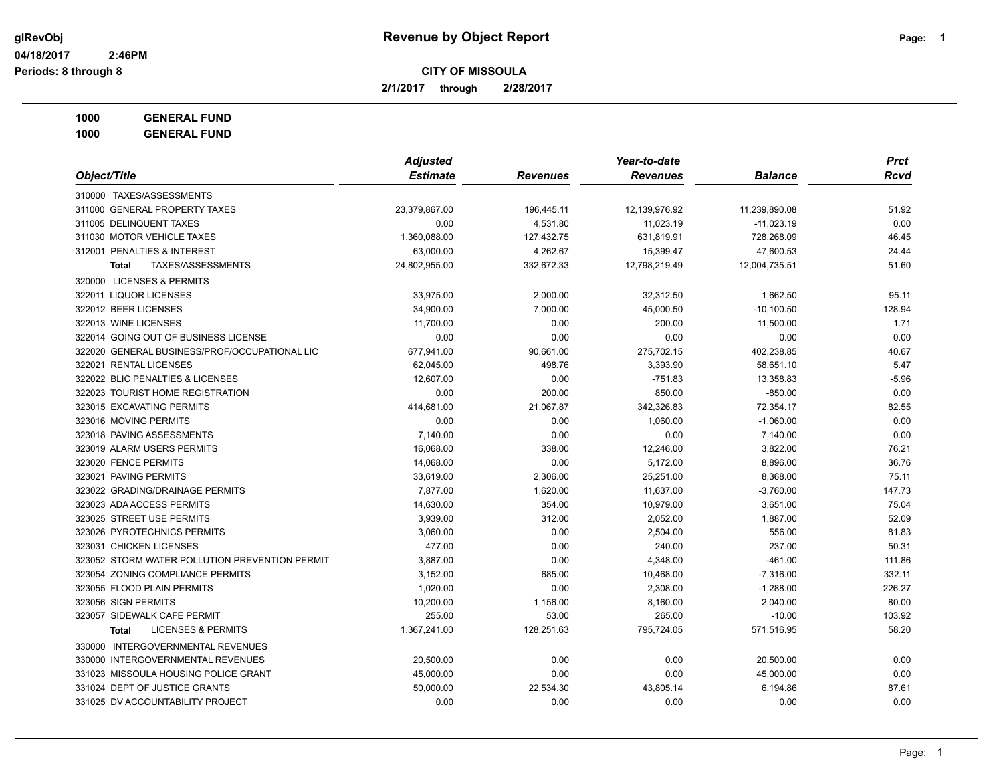**2/1/2017 through 2/28/2017**

**1000 GENERAL FUND**

**1000 GENERAL FUND**

| Object/Title                                   | <b>Adjusted</b> |                 | Year-to-date    |                | <b>Prct</b> |
|------------------------------------------------|-----------------|-----------------|-----------------|----------------|-------------|
|                                                | <b>Estimate</b> | <b>Revenues</b> | <b>Revenues</b> | <b>Balance</b> | <b>Rcvd</b> |
| 310000 TAXES/ASSESSMENTS                       |                 |                 |                 |                |             |
| 311000 GENERAL PROPERTY TAXES                  | 23,379,867.00   | 196,445.11      | 12,139,976.92   | 11,239,890.08  | 51.92       |
| 311005 DELINQUENT TAXES                        | 0.00            | 4,531.80        | 11,023.19       | $-11,023.19$   | 0.00        |
| 311030 MOTOR VEHICLE TAXES                     | 1,360,088.00    | 127,432.75      | 631,819.91      | 728,268.09     | 46.45       |
| 312001 PENALTIES & INTEREST                    | 63,000.00       | 4,262.67        | 15,399.47       | 47,600.53      | 24.44       |
| TAXES/ASSESSMENTS<br><b>Total</b>              | 24,802,955.00   | 332,672.33      | 12,798,219.49   | 12,004,735.51  | 51.60       |
| 320000 LICENSES & PERMITS                      |                 |                 |                 |                |             |
| 322011 LIQUOR LICENSES                         | 33,975.00       | 2,000.00        | 32,312.50       | 1,662.50       | 95.11       |
| 322012 BEER LICENSES                           | 34,900.00       | 7,000.00        | 45,000.50       | $-10,100.50$   | 128.94      |
| 322013 WINE LICENSES                           | 11,700.00       | 0.00            | 200.00          | 11,500.00      | 1.71        |
| 322014 GOING OUT OF BUSINESS LICENSE           | 0.00            | 0.00            | 0.00            | 0.00           | 0.00        |
| 322020 GENERAL BUSINESS/PROF/OCCUPATIONAL LIC  | 677,941.00      | 90,661.00       | 275,702.15      | 402,238.85     | 40.67       |
| 322021 RENTAL LICENSES                         | 62,045.00       | 498.76          | 3,393.90        | 58,651.10      | 5.47        |
| 322022 BLIC PENALTIES & LICENSES               | 12,607.00       | 0.00            | $-751.83$       | 13,358.83      | $-5.96$     |
| 322023 TOURIST HOME REGISTRATION               | 0.00            | 200.00          | 850.00          | $-850.00$      | 0.00        |
| 323015 EXCAVATING PERMITS                      | 414,681.00      | 21,067.87       | 342,326.83      | 72,354.17      | 82.55       |
| 323016 MOVING PERMITS                          | 0.00            | 0.00            | 1,060.00        | $-1,060.00$    | 0.00        |
| 323018 PAVING ASSESSMENTS                      | 7,140.00        | 0.00            | 0.00            | 7,140.00       | 0.00        |
| 323019 ALARM USERS PERMITS                     | 16,068.00       | 338.00          | 12,246.00       | 3,822.00       | 76.21       |
| 323020 FENCE PERMITS                           | 14,068.00       | 0.00            | 5,172.00        | 8,896.00       | 36.76       |
| 323021 PAVING PERMITS                          | 33,619.00       | 2,306.00        | 25,251.00       | 8,368.00       | 75.11       |
| 323022 GRADING/DRAINAGE PERMITS                | 7,877.00        | 1,620.00        | 11,637.00       | $-3,760.00$    | 147.73      |
| 323023 ADA ACCESS PERMITS                      | 14,630.00       | 354.00          | 10,979.00       | 3,651.00       | 75.04       |
| 323025 STREET USE PERMITS                      | 3,939.00        | 312.00          | 2,052.00        | 1,887.00       | 52.09       |
| 323026 PYROTECHNICS PERMITS                    | 3,060.00        | 0.00            | 2,504.00        | 556.00         | 81.83       |
| 323031 CHICKEN LICENSES                        | 477.00          | 0.00            | 240.00          | 237.00         | 50.31       |
| 323052 STORM WATER POLLUTION PREVENTION PERMIT | 3,887.00        | 0.00            | 4,348.00        | $-461.00$      | 111.86      |
| 323054 ZONING COMPLIANCE PERMITS               | 3,152.00        | 685.00          | 10,468.00       | $-7,316.00$    | 332.11      |
| 323055 FLOOD PLAIN PERMITS                     | 1,020.00        | 0.00            | 2,308.00        | $-1,288.00$    | 226.27      |
| 323056 SIGN PERMITS                            | 10,200.00       | 1,156.00        | 8,160.00        | 2,040.00       | 80.00       |
| 323057 SIDEWALK CAFE PERMIT                    | 255.00          | 53.00           | 265.00          | $-10.00$       | 103.92      |
| <b>LICENSES &amp; PERMITS</b><br><b>Total</b>  | 1,367,241.00    | 128,251.63      | 795,724.05      | 571,516.95     | 58.20       |
| 330000 INTERGOVERNMENTAL REVENUES              |                 |                 |                 |                |             |
| 330000 INTERGOVERNMENTAL REVENUES              | 20,500.00       | 0.00            | 0.00            | 20,500.00      | 0.00        |
| 331023 MISSOULA HOUSING POLICE GRANT           | 45,000.00       | 0.00            | 0.00            | 45,000.00      | 0.00        |
| 331024 DEPT OF JUSTICE GRANTS                  | 50,000.00       | 22,534.30       | 43,805.14       | 6,194.86       | 87.61       |
| 331025 DV ACCOUNTABILITY PROJECT               | 0.00            | 0.00            | 0.00            | 0.00           | 0.00        |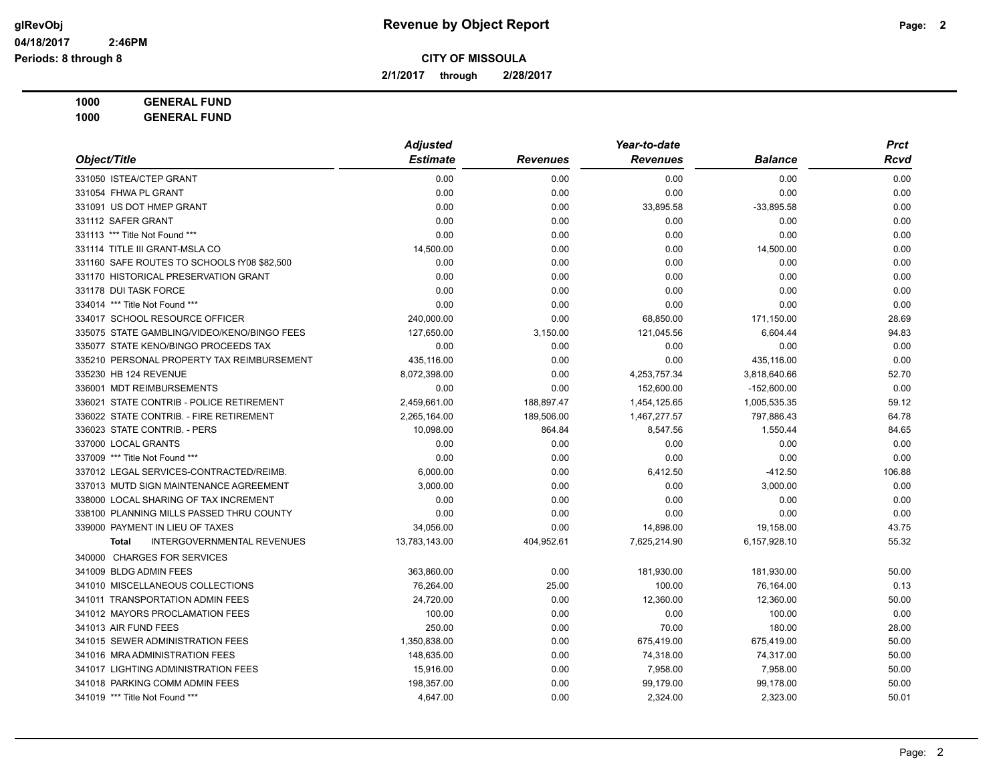**2/1/2017 through 2/28/2017**

|                                             | <b>Adjusted</b> |                 | Year-to-date    |                | <b>Prct</b> |
|---------------------------------------------|-----------------|-----------------|-----------------|----------------|-------------|
| Object/Title                                | <b>Estimate</b> | <b>Revenues</b> | <b>Revenues</b> | <b>Balance</b> | Rcvd        |
| 331050 ISTEA/CTEP GRANT                     | 0.00            | 0.00            | 0.00            | 0.00           | 0.00        |
| 331054 FHWA PL GRANT                        | 0.00            | 0.00            | 0.00            | 0.00           | 0.00        |
| 331091 US DOT HMEP GRANT                    | 0.00            | 0.00            | 33,895.58       | $-33,895.58$   | 0.00        |
| 331112 SAFER GRANT                          | 0.00            | 0.00            | 0.00            | 0.00           | 0.00        |
| 331113 *** Title Not Found ***              | 0.00            | 0.00            | 0.00            | 0.00           | 0.00        |
| 331114 TITLE III GRANT-MSLA CO              | 14,500.00       | 0.00            | 0.00            | 14,500.00      | 0.00        |
| 331160 SAFE ROUTES TO SCHOOLS fY08 \$82,500 | 0.00            | 0.00            | 0.00            | 0.00           | 0.00        |
| 331170 HISTORICAL PRESERVATION GRANT        | 0.00            | 0.00            | 0.00            | 0.00           | 0.00        |
| 331178 DUI TASK FORCE                       | 0.00            | 0.00            | 0.00            | 0.00           | 0.00        |
| 334014 *** Title Not Found ***              | 0.00            | 0.00            | 0.00            | 0.00           | 0.00        |
| 334017 SCHOOL RESOURCE OFFICER              | 240,000.00      | 0.00            | 68,850.00       | 171,150.00     | 28.69       |
| 335075 STATE GAMBLING/VIDEO/KENO/BINGO FEES | 127,650.00      | 3,150.00        | 121,045.56      | 6,604.44       | 94.83       |
| 335077 STATE KENO/BINGO PROCEEDS TAX        | 0.00            | 0.00            | 0.00            | 0.00           | 0.00        |
| 335210 PERSONAL PROPERTY TAX REIMBURSEMENT  | 435,116.00      | 0.00            | 0.00            | 435,116.00     | 0.00        |
| 335230 HB 124 REVENUE                       | 8,072,398.00    | 0.00            | 4,253,757.34    | 3,818,640.66   | 52.70       |
| 336001 MDT REIMBURSEMENTS                   | 0.00            | 0.00            | 152,600.00      | $-152,600.00$  | 0.00        |
| 336021 STATE CONTRIB - POLICE RETIREMENT    | 2,459,661.00    | 188,897.47      | 1,454,125.65    | 1,005,535.35   | 59.12       |
| 336022 STATE CONTRIB. - FIRE RETIREMENT     | 2,265,164.00    | 189,506.00      | 1,467,277.57    | 797,886.43     | 64.78       |
| 336023 STATE CONTRIB. - PERS                | 10,098.00       | 864.84          | 8,547.56        | 1,550.44       | 84.65       |
| 337000 LOCAL GRANTS                         | 0.00            | 0.00            | 0.00            | 0.00           | 0.00        |
| 337009 *** Title Not Found ***              | 0.00            | 0.00            | 0.00            | 0.00           | 0.00        |
| 337012 LEGAL SERVICES-CONTRACTED/REIMB.     | 6,000.00        | 0.00            | 6,412.50        | $-412.50$      | 106.88      |
| 337013 MUTD SIGN MAINTENANCE AGREEMENT      | 3,000.00        | 0.00            | 0.00            | 3,000.00       | 0.00        |
| 338000 LOCAL SHARING OF TAX INCREMENT       | 0.00            | 0.00            | 0.00            | 0.00           | 0.00        |
| 338100 PLANNING MILLS PASSED THRU COUNTY    | 0.00            | 0.00            | 0.00            | 0.00           | 0.00        |
| 339000 PAYMENT IN LIEU OF TAXES             | 34,056.00       | 0.00            | 14,898.00       | 19,158.00      | 43.75       |
| <b>INTERGOVERNMENTAL REVENUES</b><br>Total  | 13,783,143.00   | 404,952.61      | 7,625,214.90    | 6,157,928.10   | 55.32       |
| 340000 CHARGES FOR SERVICES                 |                 |                 |                 |                |             |
| 341009 BLDG ADMIN FEES                      | 363,860.00      | 0.00            | 181,930.00      | 181,930.00     | 50.00       |
| 341010 MISCELLANEOUS COLLECTIONS            | 76.264.00       | 25.00           | 100.00          | 76,164.00      | 0.13        |
| 341011 TRANSPORTATION ADMIN FEES            | 24,720.00       | 0.00            | 12,360.00       | 12,360.00      | 50.00       |
| 341012 MAYORS PROCLAMATION FEES             | 100.00          | 0.00            | 0.00            | 100.00         | 0.00        |
| 341013 AIR FUND FEES                        | 250.00          | 0.00            | 70.00           | 180.00         | 28.00       |
| 341015 SEWER ADMINISTRATION FEES            | 1,350,838.00    | 0.00            | 675,419.00      | 675,419.00     | 50.00       |
| 341016 MRA ADMINISTRATION FEES              | 148,635.00      | 0.00            | 74,318.00       | 74,317.00      | 50.00       |
| 341017 LIGHTING ADMINISTRATION FEES         | 15,916.00       | 0.00            | 7,958.00        | 7,958.00       | 50.00       |
| 341018 PARKING COMM ADMIN FEES              | 198,357.00      | 0.00            | 99,179.00       | 99,178.00      | 50.00       |
| 341019 *** Title Not Found ***              | 4,647.00        | 0.00            | 2,324.00        | 2,323.00       | 50.01       |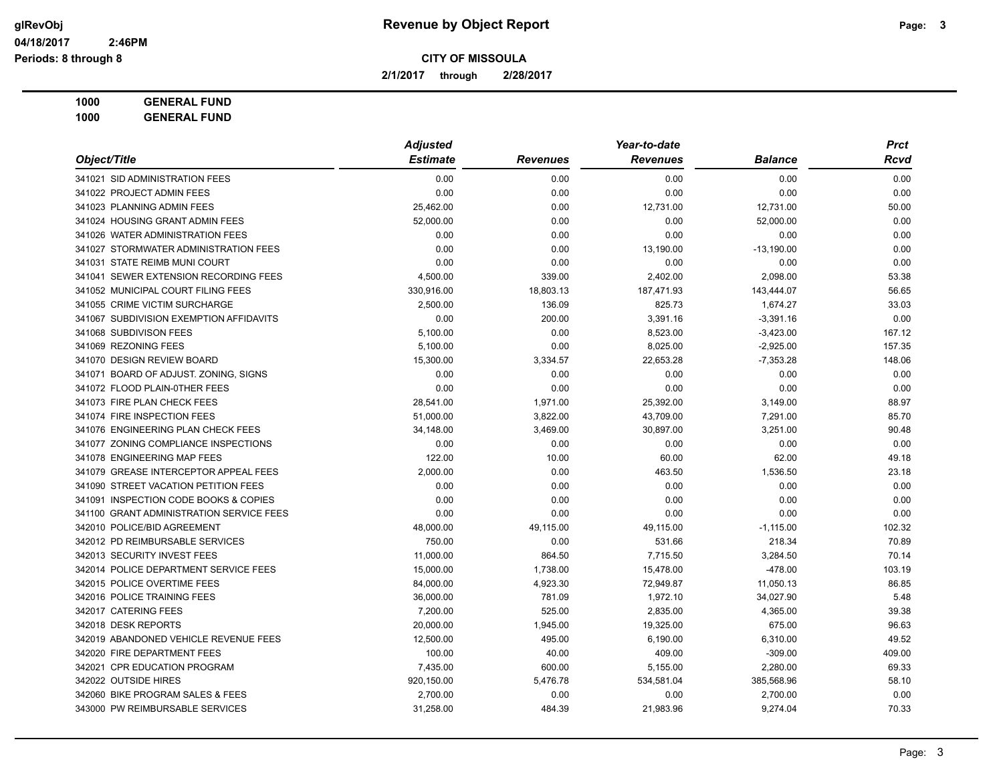**2/1/2017 through 2/28/2017**

| Object/Title                             | <b>Adjusted</b> |                 | Year-to-date    |                | <b>Prct</b> |
|------------------------------------------|-----------------|-----------------|-----------------|----------------|-------------|
|                                          | <b>Estimate</b> | <b>Revenues</b> | <b>Revenues</b> | <b>Balance</b> | <b>Rcvd</b> |
| 341021 SID ADMINISTRATION FEES           | 0.00            | 0.00            | 0.00            | 0.00           | 0.00        |
| 341022 PROJECT ADMIN FEES                | 0.00            | 0.00            | 0.00            | 0.00           | 0.00        |
| 341023 PLANNING ADMIN FEES               | 25,462.00       | 0.00            | 12,731.00       | 12,731.00      | 50.00       |
| 341024 HOUSING GRANT ADMIN FEES          | 52,000.00       | 0.00            | 0.00            | 52,000.00      | 0.00        |
| 341026 WATER ADMINISTRATION FEES         | 0.00            | 0.00            | 0.00            | 0.00           | 0.00        |
| 341027 STORMWATER ADMINISTRATION FEES    | 0.00            | 0.00            | 13,190.00       | $-13,190.00$   | 0.00        |
| 341031 STATE REIMB MUNI COURT            | 0.00            | 0.00            | 0.00            | 0.00           | 0.00        |
| 341041 SEWER EXTENSION RECORDING FEES    | 4,500.00        | 339.00          | 2,402.00        | 2,098.00       | 53.38       |
| 341052 MUNICIPAL COURT FILING FEES       | 330,916.00      | 18,803.13       | 187,471.93      | 143,444.07     | 56.65       |
| 341055 CRIME VICTIM SURCHARGE            | 2,500.00        | 136.09          | 825.73          | 1,674.27       | 33.03       |
| 341067 SUBDIVISION EXEMPTION AFFIDAVITS  | 0.00            | 200.00          | 3,391.16        | $-3,391.16$    | 0.00        |
| 341068 SUBDIVISON FEES                   | 5,100.00        | 0.00            | 8,523.00        | $-3,423.00$    | 167.12      |
| 341069 REZONING FEES                     | 5,100.00        | 0.00            | 8,025.00        | $-2,925.00$    | 157.35      |
| 341070 DESIGN REVIEW BOARD               | 15,300.00       | 3,334.57        | 22,653.28       | $-7,353.28$    | 148.06      |
| 341071 BOARD OF ADJUST. ZONING, SIGNS    | 0.00            | 0.00            | 0.00            | 0.00           | 0.00        |
| 341072 FLOOD PLAIN-0THER FEES            | 0.00            | 0.00            | 0.00            | 0.00           | 0.00        |
| 341073 FIRE PLAN CHECK FEES              | 28,541.00       | 1,971.00        | 25,392.00       | 3,149.00       | 88.97       |
| 341074 FIRE INSPECTION FEES              | 51,000.00       | 3,822.00        | 43,709.00       | 7,291.00       | 85.70       |
| 341076 ENGINEERING PLAN CHECK FEES       | 34,148.00       | 3,469.00        | 30,897.00       | 3,251.00       | 90.48       |
| 341077 ZONING COMPLIANCE INSPECTIONS     | 0.00            | 0.00            | 0.00            | 0.00           | 0.00        |
| 341078 ENGINEERING MAP FEES              | 122.00          | 10.00           | 60.00           | 62.00          | 49.18       |
| 341079 GREASE INTERCEPTOR APPEAL FEES    | 2,000.00        | 0.00            | 463.50          | 1,536.50       | 23.18       |
| 341090 STREET VACATION PETITION FEES     | 0.00            | 0.00            | 0.00            | 0.00           | 0.00        |
| 341091 INSPECTION CODE BOOKS & COPIES    | 0.00            | 0.00            | 0.00            | 0.00           | 0.00        |
| 341100 GRANT ADMINISTRATION SERVICE FEES | 0.00            | 0.00            | 0.00            | 0.00           | 0.00        |
| 342010 POLICE/BID AGREEMENT              | 48,000.00       | 49,115.00       | 49,115.00       | $-1,115.00$    | 102.32      |
| 342012 PD REIMBURSABLE SERVICES          | 750.00          | 0.00            | 531.66          | 218.34         | 70.89       |
| 342013 SECURITY INVEST FEES              | 11,000.00       | 864.50          | 7,715.50        | 3,284.50       | 70.14       |
| 342014 POLICE DEPARTMENT SERVICE FEES    | 15,000.00       | 1,738.00        | 15,478.00       | $-478.00$      | 103.19      |
| 342015 POLICE OVERTIME FEES              | 84,000.00       | 4,923.30        | 72,949.87       | 11,050.13      | 86.85       |
| 342016 POLICE TRAINING FEES              | 36,000.00       | 781.09          | 1,972.10        | 34,027.90      | 5.48        |
| 342017 CATERING FEES                     | 7,200.00        | 525.00          | 2,835.00        | 4,365.00       | 39.38       |
| 342018 DESK REPORTS                      | 20,000.00       | 1,945.00        | 19,325.00       | 675.00         | 96.63       |
| 342019 ABANDONED VEHICLE REVENUE FEES    | 12,500.00       | 495.00          | 6,190.00        | 6,310.00       | 49.52       |
| 342020 FIRE DEPARTMENT FEES              | 100.00          | 40.00           | 409.00          | $-309.00$      | 409.00      |
| 342021 CPR EDUCATION PROGRAM             | 7,435.00        | 600.00          | 5,155.00        | 2,280.00       | 69.33       |
| 342022 OUTSIDE HIRES                     | 920,150.00      | 5,476.78        | 534,581.04      | 385,568.96     | 58.10       |
| 342060 BIKE PROGRAM SALES & FEES         | 2,700.00        | 0.00            | 0.00            | 2,700.00       | 0.00        |
| 343000 PW REIMBURSABLE SERVICES          | 31,258.00       | 484.39          | 21,983.96       | 9,274.04       | 70.33       |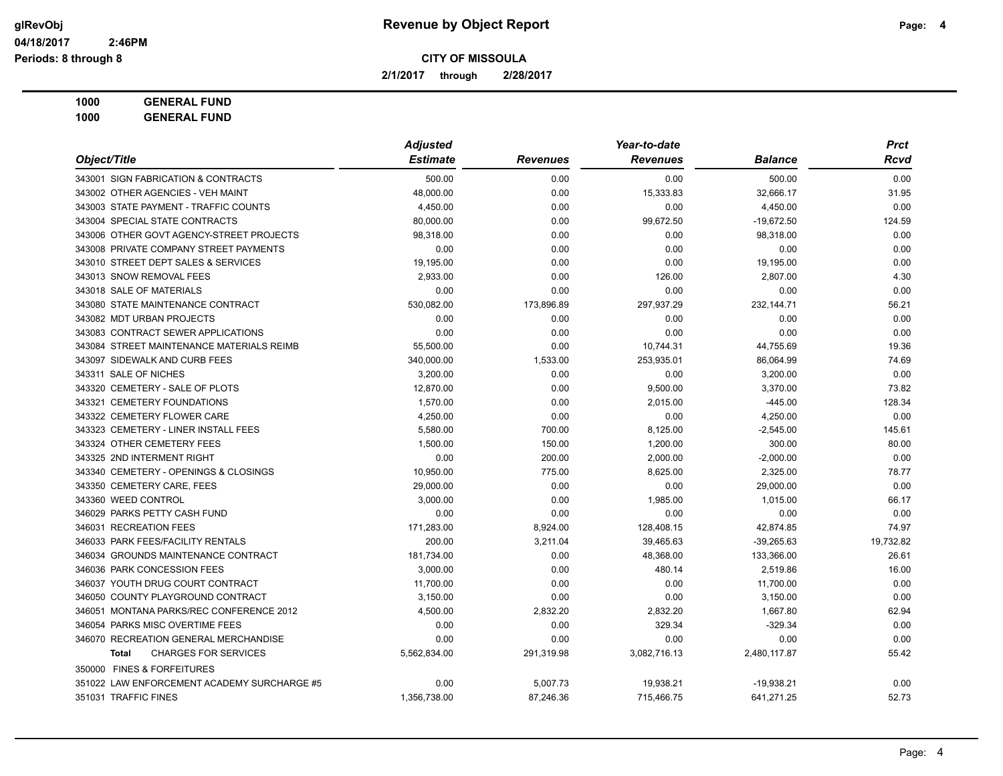**2/1/2017 through 2/28/2017**

|                                             | <b>Adjusted</b> |                 | Year-to-date    |                | <b>Prct</b> |
|---------------------------------------------|-----------------|-----------------|-----------------|----------------|-------------|
| Object/Title                                | <b>Estimate</b> | <b>Revenues</b> | <b>Revenues</b> | <b>Balance</b> | Rcvd        |
| 343001 SIGN FABRICATION & CONTRACTS         | 500.00          | 0.00            | 0.00            | 500.00         | 0.00        |
| 343002 OTHER AGENCIES - VEH MAINT           | 48,000.00       | 0.00            | 15,333.83       | 32,666.17      | 31.95       |
| 343003 STATE PAYMENT - TRAFFIC COUNTS       | 4,450.00        | 0.00            | 0.00            | 4,450.00       | 0.00        |
| 343004 SPECIAL STATE CONTRACTS              | 80,000.00       | 0.00            | 99,672.50       | $-19,672.50$   | 124.59      |
| 343006 OTHER GOVT AGENCY-STREET PROJECTS    | 98,318.00       | 0.00            | 0.00            | 98,318.00      | 0.00        |
| 343008 PRIVATE COMPANY STREET PAYMENTS      | 0.00            | 0.00            | 0.00            | 0.00           | 0.00        |
| 343010 STREET DEPT SALES & SERVICES         | 19,195.00       | 0.00            | 0.00            | 19,195.00      | 0.00        |
| 343013 SNOW REMOVAL FEES                    | 2,933.00        | 0.00            | 126.00          | 2,807.00       | 4.30        |
| 343018 SALE OF MATERIALS                    | 0.00            | 0.00            | 0.00            | 0.00           | 0.00        |
| 343080 STATE MAINTENANCE CONTRACT           | 530,082.00      | 173,896.89      | 297,937.29      | 232,144.71     | 56.21       |
| 343082 MDT URBAN PROJECTS                   | 0.00            | 0.00            | 0.00            | 0.00           | 0.00        |
| 343083 CONTRACT SEWER APPLICATIONS          | 0.00            | 0.00            | 0.00            | 0.00           | 0.00        |
| 343084 STREET MAINTENANCE MATERIALS REIMB   | 55,500.00       | 0.00            | 10,744.31       | 44,755.69      | 19.36       |
| 343097 SIDEWALK AND CURB FEES               | 340,000.00      | 1,533.00        | 253,935.01      | 86,064.99      | 74.69       |
| 343311 SALE OF NICHES                       | 3,200.00        | 0.00            | 0.00            | 3,200.00       | 0.00        |
| 343320 CEMETERY - SALE OF PLOTS             | 12,870.00       | 0.00            | 9,500.00        | 3,370.00       | 73.82       |
| 343321 CEMETERY FOUNDATIONS                 | 1,570.00        | 0.00            | 2,015.00        | $-445.00$      | 128.34      |
| 343322 CEMETERY FLOWER CARE                 | 4,250.00        | 0.00            | 0.00            | 4,250.00       | 0.00        |
| 343323 CEMETERY - LINER INSTALL FEES        | 5,580.00        | 700.00          | 8,125.00        | $-2,545.00$    | 145.61      |
| 343324 OTHER CEMETERY FEES                  | 1,500.00        | 150.00          | 1,200.00        | 300.00         | 80.00       |
| 343325 2ND INTERMENT RIGHT                  | 0.00            | 200.00          | 2,000.00        | $-2,000.00$    | 0.00        |
| 343340 CEMETERY - OPENINGS & CLOSINGS       | 10,950.00       | 775.00          | 8,625.00        | 2,325.00       | 78.77       |
| 343350 CEMETERY CARE, FEES                  | 29,000.00       | 0.00            | 0.00            | 29,000.00      | 0.00        |
| 343360 WEED CONTROL                         | 3,000.00        | 0.00            | 1,985.00        | 1,015.00       | 66.17       |
| 346029 PARKS PETTY CASH FUND                | 0.00            | 0.00            | 0.00            | 0.00           | 0.00        |
| 346031 RECREATION FEES                      | 171,283.00      | 8,924.00        | 128,408.15      | 42,874.85      | 74.97       |
| 346033 PARK FEES/FACILITY RENTALS           | 200.00          | 3,211.04        | 39,465.63       | $-39,265.63$   | 19,732.82   |
| 346034 GROUNDS MAINTENANCE CONTRACT         | 181,734.00      | 0.00            | 48,368.00       | 133,366.00     | 26.61       |
| 346036 PARK CONCESSION FEES                 | 3,000.00        | 0.00            | 480.14          | 2,519.86       | 16.00       |
| 346037 YOUTH DRUG COURT CONTRACT            | 11,700.00       | 0.00            | 0.00            | 11,700.00      | 0.00        |
| 346050 COUNTY PLAYGROUND CONTRACT           | 3,150.00        | 0.00            | 0.00            | 3,150.00       | 0.00        |
| 346051 MONTANA PARKS/REC CONFERENCE 2012    | 4,500.00        | 2,832.20        | 2,832.20        | 1,667.80       | 62.94       |
| 346054 PARKS MISC OVERTIME FEES             | 0.00            | 0.00            | 329.34          | $-329.34$      | 0.00        |
| 346070 RECREATION GENERAL MERCHANDISE       | 0.00            | 0.00            | 0.00            | 0.00           | 0.00        |
| <b>CHARGES FOR SERVICES</b><br>Total        | 5,562,834.00    | 291,319.98      | 3,082,716.13    | 2,480,117.87   | 55.42       |
| 350000 FINES & FORFEITURES                  |                 |                 |                 |                |             |
| 351022 LAW ENFORCEMENT ACADEMY SURCHARGE #5 | 0.00            | 5,007.73        | 19,938.21       | $-19,938.21$   | 0.00        |
| 351031 TRAFFIC FINES                        | 1,356,738.00    | 87,246.36       | 715,466.75      | 641,271.25     | 52.73       |
|                                             |                 |                 |                 |                |             |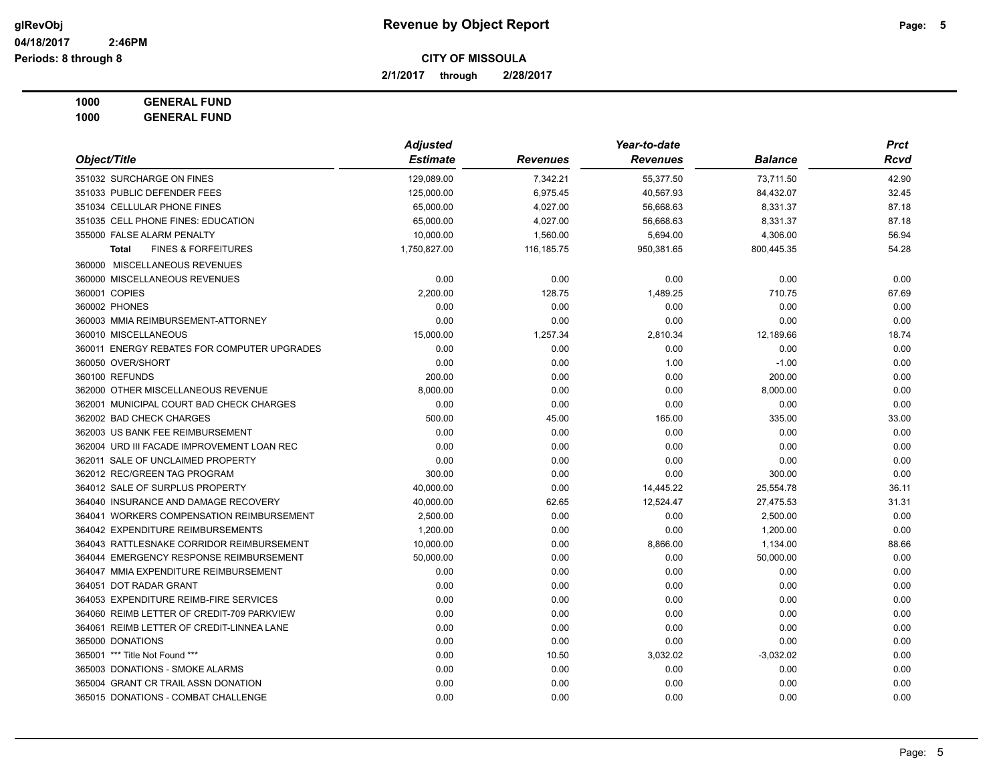**2/1/2017 through 2/28/2017**

|                                                | <b>Adjusted</b> |                 | Year-to-date    |                | <b>Prct</b> |
|------------------------------------------------|-----------------|-----------------|-----------------|----------------|-------------|
| Object/Title                                   | <b>Estimate</b> | <b>Revenues</b> | <b>Revenues</b> | <b>Balance</b> | Rcvd        |
| 351032 SURCHARGE ON FINES                      | 129,089.00      | 7,342.21        | 55,377.50       | 73,711.50      | 42.90       |
| 351033 PUBLIC DEFENDER FEES                    | 125,000.00      | 6,975.45        | 40,567.93       | 84,432.07      | 32.45       |
| 351034 CELLULAR PHONE FINES                    | 65,000.00       | 4,027.00        | 56,668.63       | 8,331.37       | 87.18       |
| 351035 CELL PHONE FINES: EDUCATION             | 65,000.00       | 4,027.00        | 56,668.63       | 8,331.37       | 87.18       |
| 355000 FALSE ALARM PENALTY                     | 10,000.00       | 1,560.00        | 5,694.00        | 4,306.00       | 56.94       |
| <b>FINES &amp; FORFEITURES</b><br><b>Total</b> | 1,750,827.00    | 116,185.75      | 950,381.65      | 800,445.35     | 54.28       |
| 360000 MISCELLANEOUS REVENUES                  |                 |                 |                 |                |             |
| 360000 MISCELLANEOUS REVENUES                  | 0.00            | 0.00            | 0.00            | 0.00           | 0.00        |
| 360001 COPIES                                  | 2,200.00        | 128.75          | 1,489.25        | 710.75         | 67.69       |
| 360002 PHONES                                  | 0.00            | 0.00            | 0.00            | 0.00           | 0.00        |
| 360003 MMIA REIMBURSEMENT-ATTORNEY             | 0.00            | 0.00            | 0.00            | 0.00           | 0.00        |
| 360010 MISCELLANEOUS                           | 15,000.00       | 1,257.34        | 2,810.34        | 12,189.66      | 18.74       |
| 360011 ENERGY REBATES FOR COMPUTER UPGRADES    | 0.00            | 0.00            | 0.00            | 0.00           | 0.00        |
| 360050 OVER/SHORT                              | 0.00            | 0.00            | 1.00            | $-1.00$        | 0.00        |
| 360100 REFUNDS                                 | 200.00          | 0.00            | 0.00            | 200.00         | 0.00        |
| 362000 OTHER MISCELLANEOUS REVENUE             | 8,000.00        | 0.00            | 0.00            | 8,000.00       | 0.00        |
| 362001 MUNICIPAL COURT BAD CHECK CHARGES       | 0.00            | 0.00            | 0.00            | 0.00           | 0.00        |
| 362002 BAD CHECK CHARGES                       | 500.00          | 45.00           | 165.00          | 335.00         | 33.00       |
| 362003 US BANK FEE REIMBURSEMENT               | 0.00            | 0.00            | 0.00            | 0.00           | 0.00        |
| 362004 URD III FACADE IMPROVEMENT LOAN REC     | 0.00            | 0.00            | 0.00            | 0.00           | 0.00        |
| 362011 SALE OF UNCLAIMED PROPERTY              | 0.00            | 0.00            | 0.00            | 0.00           | 0.00        |
| 362012 REC/GREEN TAG PROGRAM                   | 300.00          | 0.00            | 0.00            | 300.00         | 0.00        |
| 364012 SALE OF SURPLUS PROPERTY                | 40,000.00       | 0.00            | 14,445.22       | 25,554.78      | 36.11       |
| 364040 INSURANCE AND DAMAGE RECOVERY           | 40,000.00       | 62.65           | 12,524.47       | 27,475.53      | 31.31       |
| 364041 WORKERS COMPENSATION REIMBURSEMENT      | 2,500.00        | 0.00            | 0.00            | 2,500.00       | 0.00        |
| 364042 EXPENDITURE REIMBURSEMENTS              | 1,200.00        | 0.00            | 0.00            | 1,200.00       | 0.00        |
| 364043 RATTLESNAKE CORRIDOR REIMBURSEMENT      | 10,000.00       | 0.00            | 8,866.00        | 1,134.00       | 88.66       |
| 364044 EMERGENCY RESPONSE REIMBURSEMENT        | 50,000.00       | 0.00            | 0.00            | 50,000.00      | 0.00        |
| 364047 MMIA EXPENDITURE REIMBURSEMENT          | 0.00            | 0.00            | 0.00            | 0.00           | 0.00        |
| 364051 DOT RADAR GRANT                         | 0.00            | 0.00            | 0.00            | 0.00           | 0.00        |
| 364053 EXPENDITURE REIMB-FIRE SERVICES         | 0.00            | 0.00            | 0.00            | 0.00           | 0.00        |
| 364060 REIMB LETTER OF CREDIT-709 PARKVIEW     | 0.00            | 0.00            | 0.00            | 0.00           | 0.00        |
| 364061 REIMB LETTER OF CREDIT-LINNEA LANE      | 0.00            | 0.00            | 0.00            | 0.00           | 0.00        |
| 365000 DONATIONS                               | 0.00            | 0.00            | 0.00            | 0.00           | 0.00        |
| 365001 *** Title Not Found ***                 | 0.00            | 10.50           | 3,032.02        | $-3,032.02$    | 0.00        |
| 365003 DONATIONS - SMOKE ALARMS                | 0.00            | 0.00            | 0.00            | 0.00           | 0.00        |
| 365004 GRANT CR TRAIL ASSN DONATION            | 0.00            | 0.00            | 0.00            | 0.00           | 0.00        |
| 365015 DONATIONS - COMBAT CHALLENGE            | 0.00            | 0.00            | 0.00            | 0.00           | 0.00        |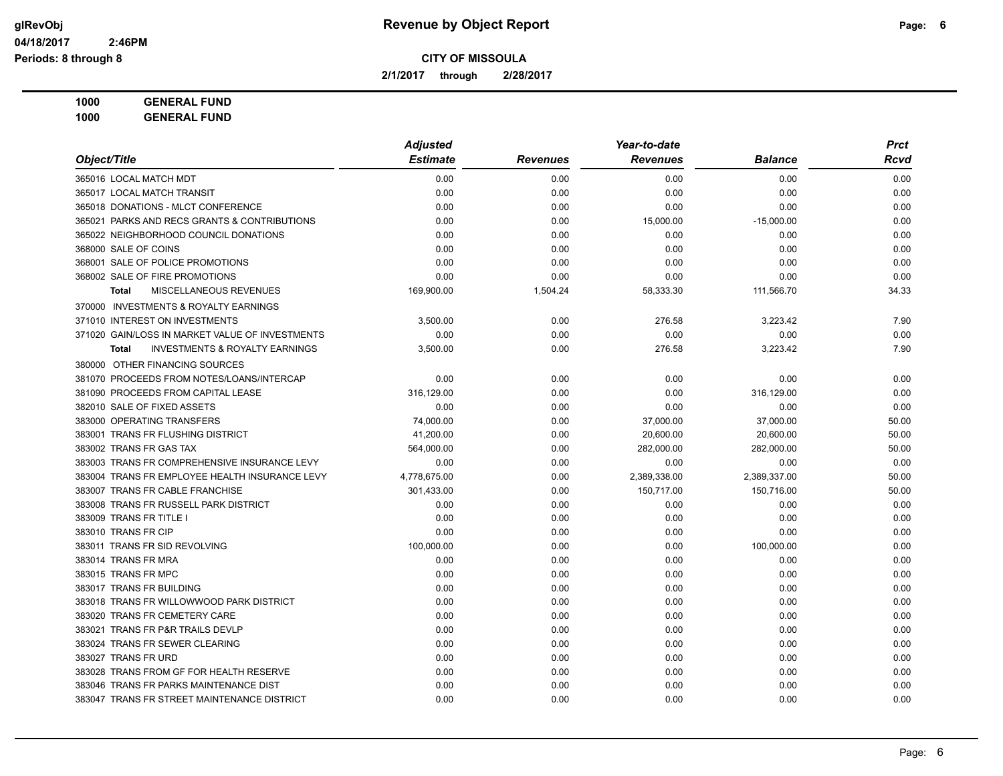**2/1/2017 through 2/28/2017**

|                                                           | <b>Adjusted</b> |                 | Year-to-date    |                | <b>Prct</b> |
|-----------------------------------------------------------|-----------------|-----------------|-----------------|----------------|-------------|
| Object/Title                                              | <b>Estimate</b> | <b>Revenues</b> | <b>Revenues</b> | <b>Balance</b> | <b>Rcvd</b> |
| 365016 LOCAL MATCH MDT                                    | 0.00            | 0.00            | 0.00            | 0.00           | 0.00        |
| 365017 LOCAL MATCH TRANSIT                                | 0.00            | 0.00            | 0.00            | 0.00           | 0.00        |
| 365018 DONATIONS - MLCT CONFERENCE                        | 0.00            | 0.00            | 0.00            | 0.00           | 0.00        |
| 365021 PARKS AND RECS GRANTS & CONTRIBUTIONS              | 0.00            | 0.00            | 15,000.00       | $-15,000.00$   | 0.00        |
| 365022 NEIGHBORHOOD COUNCIL DONATIONS                     | 0.00            | 0.00            | 0.00            | 0.00           | 0.00        |
| 368000 SALE OF COINS                                      | 0.00            | 0.00            | 0.00            | 0.00           | 0.00        |
| 368001 SALE OF POLICE PROMOTIONS                          | 0.00            | 0.00            | 0.00            | 0.00           | 0.00        |
| 368002 SALE OF FIRE PROMOTIONS                            | 0.00            | 0.00            | 0.00            | 0.00           | 0.00        |
| MISCELLANEOUS REVENUES<br><b>Total</b>                    | 169,900.00      | 1,504.24        | 58,333.30       | 111,566.70     | 34.33       |
| 370000 INVESTMENTS & ROYALTY EARNINGS                     |                 |                 |                 |                |             |
| 371010 INTEREST ON INVESTMENTS                            | 3,500.00        | 0.00            | 276.58          | 3.223.42       | 7.90        |
| 371020 GAIN/LOSS IN MARKET VALUE OF INVESTMENTS           | 0.00            | 0.00            | 0.00            | 0.00           | 0.00        |
| <b>INVESTMENTS &amp; ROYALTY EARNINGS</b><br><b>Total</b> | 3,500.00        | 0.00            | 276.58          | 3,223.42       | 7.90        |
| 380000 OTHER FINANCING SOURCES                            |                 |                 |                 |                |             |
| 381070 PROCEEDS FROM NOTES/LOANS/INTERCAP                 | 0.00            | 0.00            | 0.00            | 0.00           | 0.00        |
| 381090 PROCEEDS FROM CAPITAL LEASE                        | 316,129.00      | 0.00            | 0.00            | 316,129.00     | 0.00        |
| 382010 SALE OF FIXED ASSETS                               | 0.00            | 0.00            | 0.00            | 0.00           | 0.00        |
| 383000 OPERATING TRANSFERS                                | 74,000.00       | 0.00            | 37,000.00       | 37,000.00      | 50.00       |
| 383001 TRANS FR FLUSHING DISTRICT                         | 41,200.00       | 0.00            | 20,600.00       | 20,600.00      | 50.00       |
| 383002 TRANS FR GAS TAX                                   | 564,000.00      | 0.00            | 282,000.00      | 282,000.00     | 50.00       |
| 383003 TRANS FR COMPREHENSIVE INSURANCE LEVY              | 0.00            | 0.00            | 0.00            | 0.00           | 0.00        |
| 383004 TRANS FR EMPLOYEE HEALTH INSURANCE LEVY            | 4,778,675.00    | 0.00            | 2,389,338.00    | 2,389,337.00   | 50.00       |
| 383007 TRANS FR CABLE FRANCHISE                           | 301,433.00      | 0.00            | 150,717.00      | 150,716.00     | 50.00       |
| 383008 TRANS FR RUSSELL PARK DISTRICT                     | 0.00            | 0.00            | 0.00            | 0.00           | 0.00        |
| 383009 TRANS FR TITLE I                                   | 0.00            | 0.00            | 0.00            | 0.00           | 0.00        |
| 383010 TRANS FR CIP                                       | 0.00            | 0.00            | 0.00            | 0.00           | 0.00        |
| 383011 TRANS FR SID REVOLVING                             | 100,000.00      | 0.00            | 0.00            | 100,000.00     | 0.00        |
| 383014 TRANS FR MRA                                       | 0.00            | 0.00            | 0.00            | 0.00           | 0.00        |
| 383015 TRANS FR MPC                                       | 0.00            | 0.00            | 0.00            | 0.00           | 0.00        |
| 383017 TRANS FR BUILDING                                  | 0.00            | 0.00            | 0.00            | 0.00           | 0.00        |
| 383018 TRANS FR WILLOWWOOD PARK DISTRICT                  | 0.00            | 0.00            | 0.00            | 0.00           | 0.00        |
| 383020 TRANS FR CEMETERY CARE                             | 0.00            | 0.00            | 0.00            | 0.00           | 0.00        |
| 383021 TRANS FR P&R TRAILS DEVLP                          | 0.00            | 0.00            | 0.00            | 0.00           | 0.00        |
| 383024 TRANS FR SEWER CLEARING                            | 0.00            | 0.00            | 0.00            | 0.00           | 0.00        |
| 383027 TRANS FR URD                                       | 0.00            | 0.00            | 0.00            | 0.00           | 0.00        |
| 383028 TRANS FROM GF FOR HEALTH RESERVE                   | 0.00            | 0.00            | 0.00            | 0.00           | 0.00        |
| 383046 TRANS FR PARKS MAINTENANCE DIST                    | 0.00            | 0.00            | 0.00            | 0.00           | 0.00        |
| 383047 TRANS FR STREET MAINTENANCE DISTRICT               | 0.00            | 0.00            | 0.00            | 0.00           | 0.00        |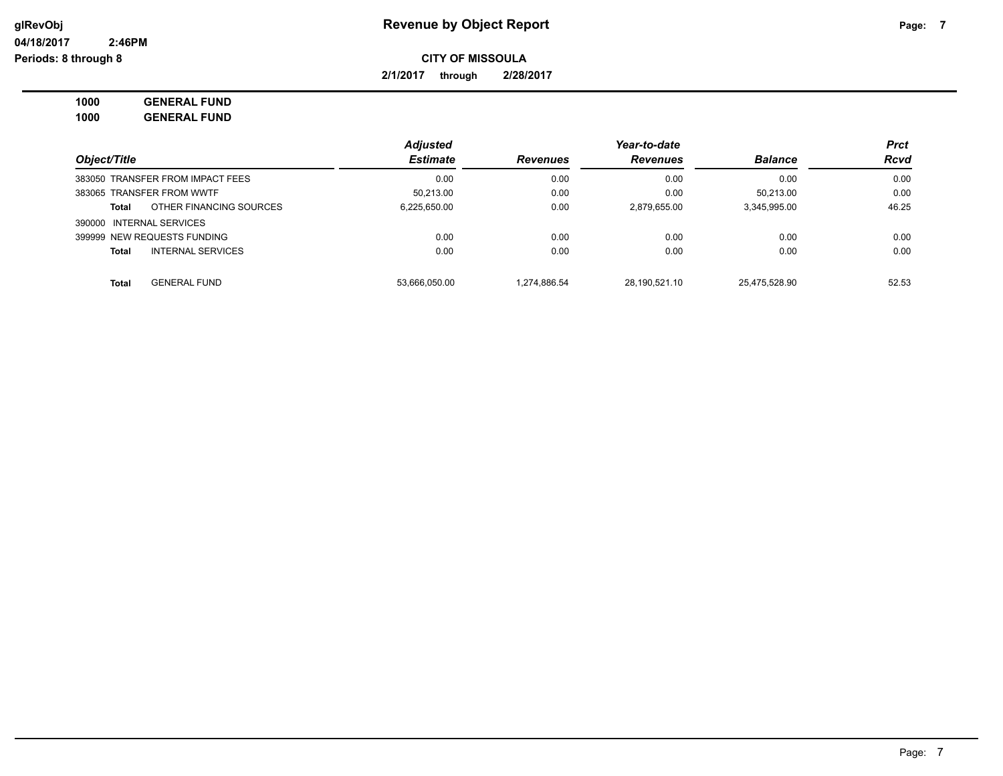**2/1/2017 through 2/28/2017**

|                                   | <b>Adjusted</b> |                 | Year-to-date    |                | <b>Prct</b> |
|-----------------------------------|-----------------|-----------------|-----------------|----------------|-------------|
| Object/Title                      | <b>Estimate</b> | <b>Revenues</b> | <b>Revenues</b> | <b>Balance</b> | <b>Rcvd</b> |
| 383050 TRANSFER FROM IMPACT FEES  | 0.00            | 0.00            | 0.00            | 0.00           | 0.00        |
| 383065 TRANSFER FROM WWTF         | 50.213.00       | 0.00            | 0.00            | 50.213.00      | 0.00        |
| OTHER FINANCING SOURCES<br>Total  | 6,225,650.00    | 0.00            | 2,879,655.00    | 3,345,995.00   | 46.25       |
| 390000 INTERNAL SERVICES          |                 |                 |                 |                |             |
| 399999 NEW REQUESTS FUNDING       | 0.00            | 0.00            | 0.00            | 0.00           | 0.00        |
| <b>INTERNAL SERVICES</b><br>Total | 0.00            | 0.00            | 0.00            | 0.00           | 0.00        |
| Total<br><b>GENERAL FUND</b>      | 53.666.050.00   | 1.274.886.54    | 28.190.521.10   | 25.475.528.90  | 52.53       |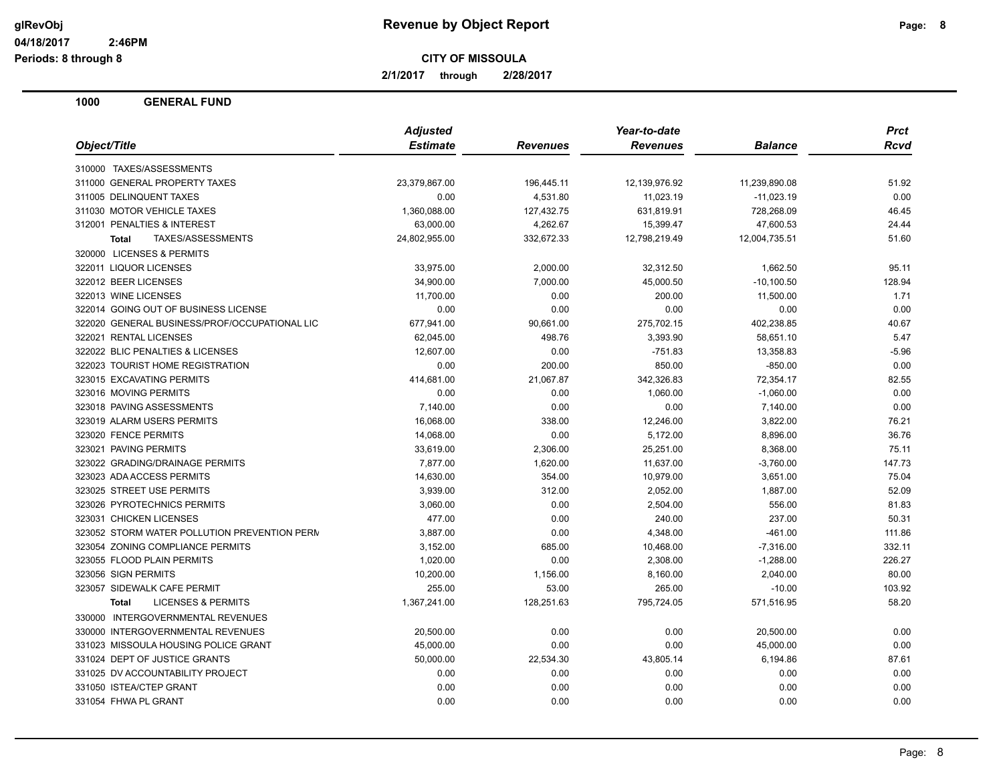**2/1/2017 through 2/28/2017**

**1000 GENERAL FUND**

|                                               | <b>Adjusted</b> | Year-to-date    |                 |               | <b>Prct</b> |
|-----------------------------------------------|-----------------|-----------------|-----------------|---------------|-------------|
| Object/Title                                  | <b>Estimate</b> | <b>Revenues</b> | <b>Revenues</b> | Balance       | <b>Rcvd</b> |
| 310000 TAXES/ASSESSMENTS                      |                 |                 |                 |               |             |
| 311000 GENERAL PROPERTY TAXES                 | 23,379,867.00   | 196,445.11      | 12,139,976.92   | 11,239,890.08 | 51.92       |
| 311005 DELINQUENT TAXES                       | 0.00            | 4,531.80        | 11,023.19       | $-11,023.19$  | 0.00        |
| 311030 MOTOR VEHICLE TAXES                    | 1,360,088.00    | 127,432.75      | 631,819.91      | 728,268.09    | 46.45       |
| 312001 PENALTIES & INTEREST                   | 63,000.00       | 4,262.67        | 15,399.47       | 47,600.53     | 24.44       |
| TAXES/ASSESSMENTS<br><b>Total</b>             | 24,802,955.00   | 332,672.33      | 12,798,219.49   | 12,004,735.51 | 51.60       |
| 320000 LICENSES & PERMITS                     |                 |                 |                 |               |             |
| 322011 LIQUOR LICENSES                        | 33,975.00       | 2,000.00        | 32,312.50       | 1,662.50      | 95.11       |
| 322012 BEER LICENSES                          | 34,900.00       | 7,000.00        | 45,000.50       | $-10,100.50$  | 128.94      |
| 322013 WINE LICENSES                          | 11,700.00       | 0.00            | 200.00          | 11,500.00     | 1.71        |
| 322014 GOING OUT OF BUSINESS LICENSE          | 0.00            | 0.00            | 0.00            | 0.00          | 0.00        |
| 322020 GENERAL BUSINESS/PROF/OCCUPATIONAL LIC | 677,941.00      | 90,661.00       | 275,702.15      | 402,238.85    | 40.67       |
| 322021 RENTAL LICENSES                        | 62,045.00       | 498.76          | 3,393.90        | 58,651.10     | 5.47        |
| 322022 BLIC PENALTIES & LICENSES              | 12,607.00       | 0.00            | $-751.83$       | 13,358.83     | $-5.96$     |
| 322023 TOURIST HOME REGISTRATION              | 0.00            | 200.00          | 850.00          | $-850.00$     | 0.00        |
| 323015 EXCAVATING PERMITS                     | 414,681.00      | 21,067.87       | 342,326.83      | 72,354.17     | 82.55       |
| 323016 MOVING PERMITS                         | 0.00            | 0.00            | 1,060.00        | $-1,060.00$   | 0.00        |
| 323018 PAVING ASSESSMENTS                     | 7,140.00        | 0.00            | 0.00            | 7,140.00      | 0.00        |
| 323019 ALARM USERS PERMITS                    | 16,068.00       | 338.00          | 12,246.00       | 3,822.00      | 76.21       |
| 323020 FENCE PERMITS                          | 14,068.00       | 0.00            | 5,172.00        | 8,896.00      | 36.76       |
| 323021 PAVING PERMITS                         | 33,619.00       | 2,306.00        | 25,251.00       | 8,368.00      | 75.11       |
| 323022 GRADING/DRAINAGE PERMITS               | 7,877.00        | 1,620.00        | 11,637.00       | $-3,760.00$   | 147.73      |
| 323023 ADA ACCESS PERMITS                     | 14,630.00       | 354.00          | 10,979.00       | 3,651.00      | 75.04       |
| 323025 STREET USE PERMITS                     | 3,939.00        | 312.00          | 2,052.00        | 1,887.00      | 52.09       |
| 323026 PYROTECHNICS PERMITS                   | 3,060.00        | 0.00            | 2,504.00        | 556.00        | 81.83       |
| 323031 CHICKEN LICENSES                       | 477.00          | 0.00            | 240.00          | 237.00        | 50.31       |
| 323052 STORM WATER POLLUTION PREVENTION PERM  | 3,887.00        | 0.00            | 4,348.00        | $-461.00$     | 111.86      |
| 323054 ZONING COMPLIANCE PERMITS              | 3,152.00        | 685.00          | 10,468.00       | $-7,316.00$   | 332.11      |
| 323055 FLOOD PLAIN PERMITS                    | 1,020.00        | 0.00            | 2,308.00        | $-1,288.00$   | 226.27      |
| 323056 SIGN PERMITS                           | 10,200.00       | 1,156.00        | 8,160.00        | 2,040.00      | 80.00       |
| 323057 SIDEWALK CAFE PERMIT                   | 255.00          | 53.00           | 265.00          | $-10.00$      | 103.92      |
| <b>LICENSES &amp; PERMITS</b><br><b>Total</b> | 1,367,241.00    | 128,251.63      | 795,724.05      | 571,516.95    | 58.20       |
| 330000 INTERGOVERNMENTAL REVENUES             |                 |                 |                 |               |             |
| 330000 INTERGOVERNMENTAL REVENUES             | 20,500.00       | 0.00            | 0.00            | 20,500.00     | 0.00        |
| 331023 MISSOULA HOUSING POLICE GRANT          | 45,000.00       | 0.00            | 0.00            | 45,000.00     | 0.00        |
| 331024 DEPT OF JUSTICE GRANTS                 | 50,000.00       | 22,534.30       | 43,805.14       | 6,194.86      | 87.61       |
| 331025 DV ACCOUNTABILITY PROJECT              | 0.00            | 0.00            | 0.00            | 0.00          | 0.00        |
| 331050 ISTEA/CTEP GRANT                       | 0.00            | 0.00            | 0.00            | 0.00          | 0.00        |
| 331054 FHWA PL GRANT                          | 0.00            | 0.00            | 0.00            | 0.00          | 0.00        |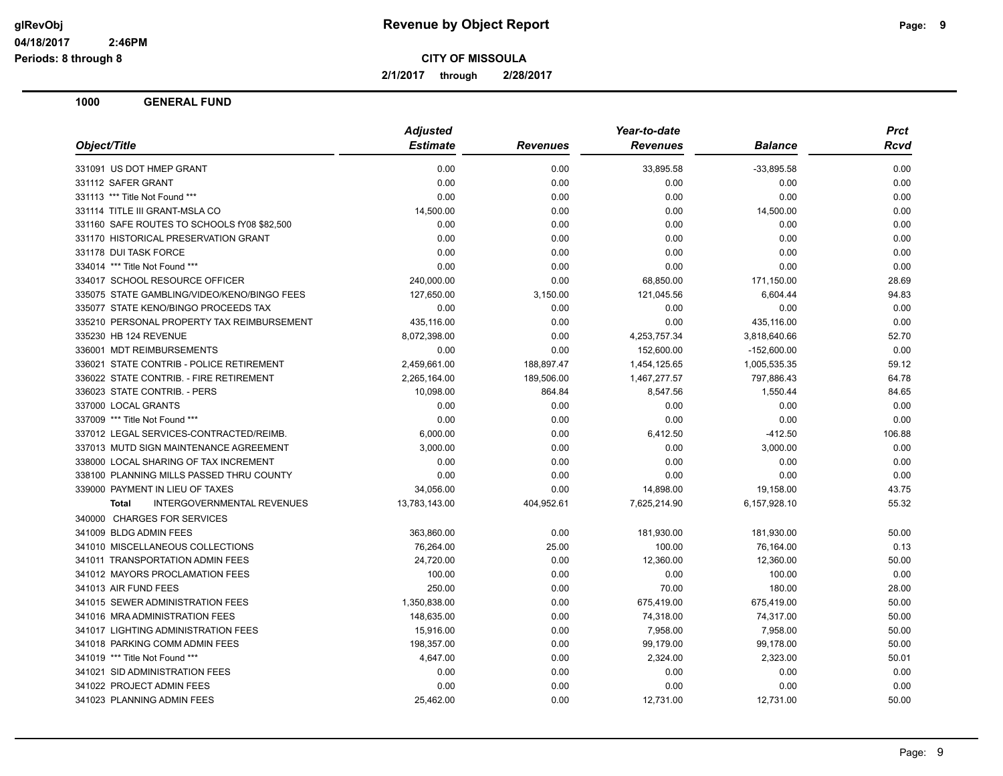**Periods: 8 through 8**

**CITY OF MISSOULA**

**2/1/2017 through 2/28/2017**

#### **1000 GENERAL FUND**

 **2:46PM**

| <b>Estimate</b><br>Object/Title<br><b>Revenues</b><br><b>Balance</b><br>Rcvd<br><b>Revenues</b><br>0.00<br>0.00<br>33,895.58<br>$-33,895.58$<br>0.00<br>331091 US DOT HMEP GRANT<br>331112 SAFER GRANT<br>0.00<br>0.00<br>0.00<br>0.00<br>0.00<br>331113 *** Title Not Found ***<br>0.00<br>0.00<br>0.00<br>0.00<br>0.00<br>331114 TITLE III GRANT-MSLA CO<br>14,500.00<br>0.00<br>0.00<br>14,500.00<br>0.00<br>331160 SAFE ROUTES TO SCHOOLS fY08 \$82,500<br>0.00<br>0.00<br>0.00<br>0.00<br>0.00<br>331170 HISTORICAL PRESERVATION GRANT<br>0.00<br>0.00<br>0.00<br>0.00<br>0.00<br>0.00<br>331178 DUI TASK FORCE<br>0.00<br>0.00<br>0.00<br>0.00<br>334014 *** Title Not Found ***<br>0.00<br>0.00<br>0.00<br>0.00<br>0.00<br>334017 SCHOOL RESOURCE OFFICER<br>240,000.00<br>0.00<br>68,850.00<br>28.69<br>171,150.00<br>335075 STATE GAMBLING/VIDEO/KENO/BINGO FEES<br>127,650.00<br>3,150.00<br>121,045.56<br>6,604.44<br>94.83<br>335077 STATE KENO/BINGO PROCEEDS TAX<br>0.00<br>0.00<br>0.00<br>0.00<br>0.00<br>335210 PERSONAL PROPERTY TAX REIMBURSEMENT<br>0.00<br>0.00<br>435,116.00<br>0.00<br>435,116.00<br>335230 HB 124 REVENUE<br>8,072,398.00<br>0.00<br>4,253,757.34<br>3,818,640.66<br>52.70<br>336001 MDT REIMBURSEMENTS<br>0.00<br>0.00<br>0.00<br>152,600.00<br>$-152,600.00$<br>336021 STATE CONTRIB - POLICE RETIREMENT<br>2,459,661.00<br>59.12<br>188,897.47<br>1,454,125.65<br>1,005,535.35<br>336022 STATE CONTRIB. - FIRE RETIREMENT<br>2,265,164.00<br>189,506.00<br>1,467,277.57<br>64.78<br>797,886.43 |
|-------------------------------------------------------------------------------------------------------------------------------------------------------------------------------------------------------------------------------------------------------------------------------------------------------------------------------------------------------------------------------------------------------------------------------------------------------------------------------------------------------------------------------------------------------------------------------------------------------------------------------------------------------------------------------------------------------------------------------------------------------------------------------------------------------------------------------------------------------------------------------------------------------------------------------------------------------------------------------------------------------------------------------------------------------------------------------------------------------------------------------------------------------------------------------------------------------------------------------------------------------------------------------------------------------------------------------------------------------------------------------------------------------------------------------------------------------------------------------------------------------------------------------------------|
|                                                                                                                                                                                                                                                                                                                                                                                                                                                                                                                                                                                                                                                                                                                                                                                                                                                                                                                                                                                                                                                                                                                                                                                                                                                                                                                                                                                                                                                                                                                                           |
|                                                                                                                                                                                                                                                                                                                                                                                                                                                                                                                                                                                                                                                                                                                                                                                                                                                                                                                                                                                                                                                                                                                                                                                                                                                                                                                                                                                                                                                                                                                                           |
|                                                                                                                                                                                                                                                                                                                                                                                                                                                                                                                                                                                                                                                                                                                                                                                                                                                                                                                                                                                                                                                                                                                                                                                                                                                                                                                                                                                                                                                                                                                                           |
|                                                                                                                                                                                                                                                                                                                                                                                                                                                                                                                                                                                                                                                                                                                                                                                                                                                                                                                                                                                                                                                                                                                                                                                                                                                                                                                                                                                                                                                                                                                                           |
|                                                                                                                                                                                                                                                                                                                                                                                                                                                                                                                                                                                                                                                                                                                                                                                                                                                                                                                                                                                                                                                                                                                                                                                                                                                                                                                                                                                                                                                                                                                                           |
|                                                                                                                                                                                                                                                                                                                                                                                                                                                                                                                                                                                                                                                                                                                                                                                                                                                                                                                                                                                                                                                                                                                                                                                                                                                                                                                                                                                                                                                                                                                                           |
|                                                                                                                                                                                                                                                                                                                                                                                                                                                                                                                                                                                                                                                                                                                                                                                                                                                                                                                                                                                                                                                                                                                                                                                                                                                                                                                                                                                                                                                                                                                                           |
|                                                                                                                                                                                                                                                                                                                                                                                                                                                                                                                                                                                                                                                                                                                                                                                                                                                                                                                                                                                                                                                                                                                                                                                                                                                                                                                                                                                                                                                                                                                                           |
|                                                                                                                                                                                                                                                                                                                                                                                                                                                                                                                                                                                                                                                                                                                                                                                                                                                                                                                                                                                                                                                                                                                                                                                                                                                                                                                                                                                                                                                                                                                                           |
|                                                                                                                                                                                                                                                                                                                                                                                                                                                                                                                                                                                                                                                                                                                                                                                                                                                                                                                                                                                                                                                                                                                                                                                                                                                                                                                                                                                                                                                                                                                                           |
|                                                                                                                                                                                                                                                                                                                                                                                                                                                                                                                                                                                                                                                                                                                                                                                                                                                                                                                                                                                                                                                                                                                                                                                                                                                                                                                                                                                                                                                                                                                                           |
|                                                                                                                                                                                                                                                                                                                                                                                                                                                                                                                                                                                                                                                                                                                                                                                                                                                                                                                                                                                                                                                                                                                                                                                                                                                                                                                                                                                                                                                                                                                                           |
|                                                                                                                                                                                                                                                                                                                                                                                                                                                                                                                                                                                                                                                                                                                                                                                                                                                                                                                                                                                                                                                                                                                                                                                                                                                                                                                                                                                                                                                                                                                                           |
|                                                                                                                                                                                                                                                                                                                                                                                                                                                                                                                                                                                                                                                                                                                                                                                                                                                                                                                                                                                                                                                                                                                                                                                                                                                                                                                                                                                                                                                                                                                                           |
|                                                                                                                                                                                                                                                                                                                                                                                                                                                                                                                                                                                                                                                                                                                                                                                                                                                                                                                                                                                                                                                                                                                                                                                                                                                                                                                                                                                                                                                                                                                                           |
|                                                                                                                                                                                                                                                                                                                                                                                                                                                                                                                                                                                                                                                                                                                                                                                                                                                                                                                                                                                                                                                                                                                                                                                                                                                                                                                                                                                                                                                                                                                                           |
|                                                                                                                                                                                                                                                                                                                                                                                                                                                                                                                                                                                                                                                                                                                                                                                                                                                                                                                                                                                                                                                                                                                                                                                                                                                                                                                                                                                                                                                                                                                                           |
| 336023 STATE CONTRIB. - PERS<br>10,098.00<br>864.84<br>8,547.56<br>1,550.44<br>84.65                                                                                                                                                                                                                                                                                                                                                                                                                                                                                                                                                                                                                                                                                                                                                                                                                                                                                                                                                                                                                                                                                                                                                                                                                                                                                                                                                                                                                                                      |
| 337000 LOCAL GRANTS<br>0.00<br>0.00<br>0.00<br>0.00<br>0.00                                                                                                                                                                                                                                                                                                                                                                                                                                                                                                                                                                                                                                                                                                                                                                                                                                                                                                                                                                                                                                                                                                                                                                                                                                                                                                                                                                                                                                                                               |
| 337009 *** Title Not Found ***<br>0.00<br>0.00<br>0.00<br>0.00<br>0.00                                                                                                                                                                                                                                                                                                                                                                                                                                                                                                                                                                                                                                                                                                                                                                                                                                                                                                                                                                                                                                                                                                                                                                                                                                                                                                                                                                                                                                                                    |
| 337012 LEGAL SERVICES-CONTRACTED/REIMB.<br>6,000.00<br>0.00<br>6,412.50<br>$-412.50$<br>106.88                                                                                                                                                                                                                                                                                                                                                                                                                                                                                                                                                                                                                                                                                                                                                                                                                                                                                                                                                                                                                                                                                                                                                                                                                                                                                                                                                                                                                                            |
| 0.00<br>337013 MUTD SIGN MAINTENANCE AGREEMENT<br>3,000.00<br>0.00<br>0.00<br>3,000.00                                                                                                                                                                                                                                                                                                                                                                                                                                                                                                                                                                                                                                                                                                                                                                                                                                                                                                                                                                                                                                                                                                                                                                                                                                                                                                                                                                                                                                                    |
| 0.00<br>338000 LOCAL SHARING OF TAX INCREMENT<br>0.00<br>0.00<br>0.00<br>0.00                                                                                                                                                                                                                                                                                                                                                                                                                                                                                                                                                                                                                                                                                                                                                                                                                                                                                                                                                                                                                                                                                                                                                                                                                                                                                                                                                                                                                                                             |
| 338100 PLANNING MILLS PASSED THRU COUNTY<br>0.00<br>0.00<br>0.00<br>0.00<br>0.00                                                                                                                                                                                                                                                                                                                                                                                                                                                                                                                                                                                                                                                                                                                                                                                                                                                                                                                                                                                                                                                                                                                                                                                                                                                                                                                                                                                                                                                          |
| 339000 PAYMENT IN LIEU OF TAXES<br>34,056.00<br>0.00<br>14,898.00<br>19,158.00<br>43.75                                                                                                                                                                                                                                                                                                                                                                                                                                                                                                                                                                                                                                                                                                                                                                                                                                                                                                                                                                                                                                                                                                                                                                                                                                                                                                                                                                                                                                                   |
| <b>Total</b><br><b>INTERGOVERNMENTAL REVENUES</b><br>13,783,143.00<br>404,952.61<br>7,625,214.90<br>6,157,928.10<br>55.32                                                                                                                                                                                                                                                                                                                                                                                                                                                                                                                                                                                                                                                                                                                                                                                                                                                                                                                                                                                                                                                                                                                                                                                                                                                                                                                                                                                                                 |
| 340000 CHARGES FOR SERVICES                                                                                                                                                                                                                                                                                                                                                                                                                                                                                                                                                                                                                                                                                                                                                                                                                                                                                                                                                                                                                                                                                                                                                                                                                                                                                                                                                                                                                                                                                                               |
| 341009 BLDG ADMIN FEES<br>363,860.00<br>0.00<br>181,930.00<br>181,930.00<br>50.00                                                                                                                                                                                                                                                                                                                                                                                                                                                                                                                                                                                                                                                                                                                                                                                                                                                                                                                                                                                                                                                                                                                                                                                                                                                                                                                                                                                                                                                         |
| 341010 MISCELLANEOUS COLLECTIONS<br>76,264.00<br>25.00<br>100.00<br>76,164.00<br>0.13                                                                                                                                                                                                                                                                                                                                                                                                                                                                                                                                                                                                                                                                                                                                                                                                                                                                                                                                                                                                                                                                                                                                                                                                                                                                                                                                                                                                                                                     |
| 341011 TRANSPORTATION ADMIN FEES<br>24,720.00<br>0.00<br>12,360.00<br>12,360.00<br>50.00                                                                                                                                                                                                                                                                                                                                                                                                                                                                                                                                                                                                                                                                                                                                                                                                                                                                                                                                                                                                                                                                                                                                                                                                                                                                                                                                                                                                                                                  |
| 341012 MAYORS PROCLAMATION FEES<br>100.00<br>0.00<br>0.00<br>100.00<br>0.00                                                                                                                                                                                                                                                                                                                                                                                                                                                                                                                                                                                                                                                                                                                                                                                                                                                                                                                                                                                                                                                                                                                                                                                                                                                                                                                                                                                                                                                               |
| 341013 AIR FUND FEES<br>250.00<br>70.00<br>0.00<br>180.00<br>28.00                                                                                                                                                                                                                                                                                                                                                                                                                                                                                                                                                                                                                                                                                                                                                                                                                                                                                                                                                                                                                                                                                                                                                                                                                                                                                                                                                                                                                                                                        |
| 341015 SEWER ADMINISTRATION FEES<br>50.00<br>1,350,838.00<br>0.00<br>675,419.00<br>675,419.00                                                                                                                                                                                                                                                                                                                                                                                                                                                                                                                                                                                                                                                                                                                                                                                                                                                                                                                                                                                                                                                                                                                                                                                                                                                                                                                                                                                                                                             |
| 341016 MRA ADMINISTRATION FEES<br>148,635.00<br>0.00<br>74,318.00<br>74,317.00<br>50.00                                                                                                                                                                                                                                                                                                                                                                                                                                                                                                                                                                                                                                                                                                                                                                                                                                                                                                                                                                                                                                                                                                                                                                                                                                                                                                                                                                                                                                                   |
| 341017 LIGHTING ADMINISTRATION FEES<br>15,916.00<br>0.00<br>7,958.00<br>7,958.00<br>50.00                                                                                                                                                                                                                                                                                                                                                                                                                                                                                                                                                                                                                                                                                                                                                                                                                                                                                                                                                                                                                                                                                                                                                                                                                                                                                                                                                                                                                                                 |
| 341018 PARKING COMM ADMIN FEES<br>198,357.00<br>0.00<br>99,179.00<br>99,178.00<br>50.00                                                                                                                                                                                                                                                                                                                                                                                                                                                                                                                                                                                                                                                                                                                                                                                                                                                                                                                                                                                                                                                                                                                                                                                                                                                                                                                                                                                                                                                   |
| 341019 *** Title Not Found ***<br>4,647.00<br>0.00<br>2,324.00<br>2,323.00<br>50.01                                                                                                                                                                                                                                                                                                                                                                                                                                                                                                                                                                                                                                                                                                                                                                                                                                                                                                                                                                                                                                                                                                                                                                                                                                                                                                                                                                                                                                                       |
| 341021 SID ADMINISTRATION FEES<br>0.00<br>0.00<br>0.00<br>0.00<br>0.00                                                                                                                                                                                                                                                                                                                                                                                                                                                                                                                                                                                                                                                                                                                                                                                                                                                                                                                                                                                                                                                                                                                                                                                                                                                                                                                                                                                                                                                                    |
| 341022 PROJECT ADMIN FEES<br>0.00<br>0.00<br>0.00<br>0.00<br>0.00                                                                                                                                                                                                                                                                                                                                                                                                                                                                                                                                                                                                                                                                                                                                                                                                                                                                                                                                                                                                                                                                                                                                                                                                                                                                                                                                                                                                                                                                         |
| 341023 PLANNING ADMIN FEES<br>25,462.00<br>0.00<br>12,731.00<br>12,731.00<br>50.00                                                                                                                                                                                                                                                                                                                                                                                                                                                                                                                                                                                                                                                                                                                                                                                                                                                                                                                                                                                                                                                                                                                                                                                                                                                                                                                                                                                                                                                        |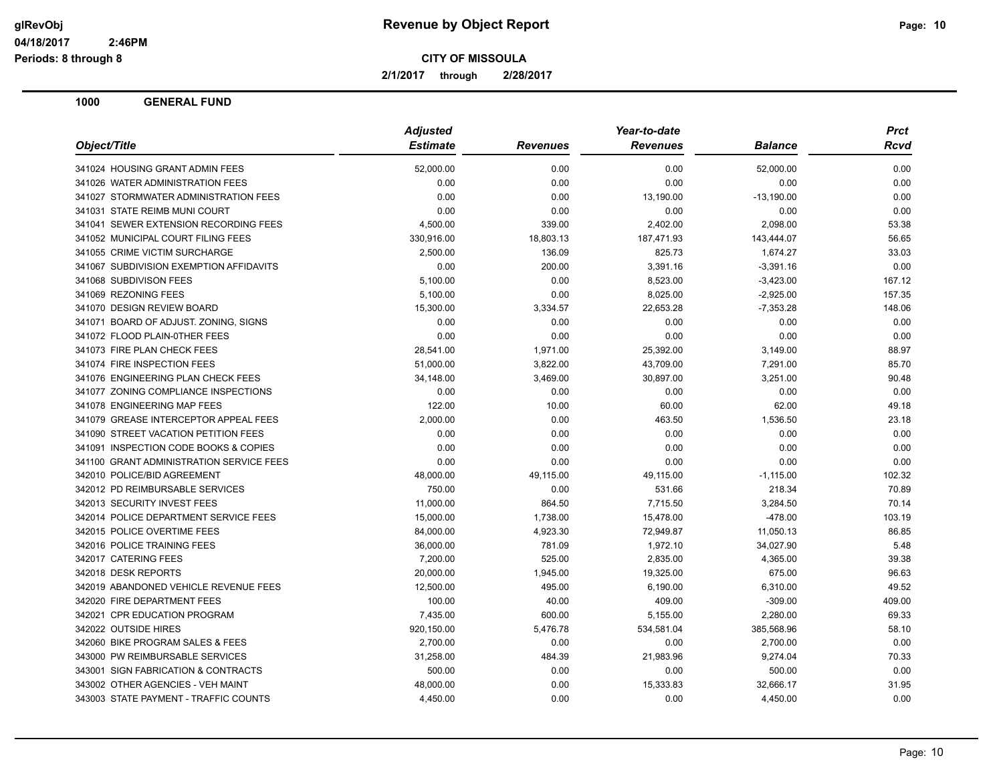**Periods: 8 through 8**

**CITY OF MISSOULA**

**2/1/2017 through 2/28/2017**

#### **1000 GENERAL FUND**

| Object/Title                             | <b>Adjusted</b> |                 |                 | <b>Prct</b>    |             |
|------------------------------------------|-----------------|-----------------|-----------------|----------------|-------------|
|                                          | <b>Estimate</b> | <b>Revenues</b> | <b>Revenues</b> | <b>Balance</b> | <b>Rcvd</b> |
| 341024 HOUSING GRANT ADMIN FEES          | 52,000.00       | 0.00            | 0.00            | 52,000.00      | 0.00        |
| 341026 WATER ADMINISTRATION FEES         | 0.00            | 0.00            | 0.00            | 0.00           | 0.00        |
| 341027 STORMWATER ADMINISTRATION FEES    | 0.00            | 0.00            | 13,190.00       | $-13,190.00$   | 0.00        |
| 341031 STATE REIMB MUNI COURT            | 0.00            | 0.00            | 0.00            | 0.00           | 0.00        |
| 341041 SEWER EXTENSION RECORDING FEES    | 4,500.00        | 339.00          | 2,402.00        | 2,098.00       | 53.38       |
| 341052 MUNICIPAL COURT FILING FEES       | 330,916.00      | 18,803.13       | 187,471.93      | 143,444.07     | 56.65       |
| 341055 CRIME VICTIM SURCHARGE            | 2,500.00        | 136.09          | 825.73          | 1,674.27       | 33.03       |
| 341067 SUBDIVISION EXEMPTION AFFIDAVITS  | 0.00            | 200.00          | 3,391.16        | $-3,391.16$    | 0.00        |
| 341068 SUBDIVISON FEES                   | 5,100.00        | 0.00            | 8,523.00        | $-3,423.00$    | 167.12      |
| 341069 REZONING FEES                     | 5,100.00        | 0.00            | 8,025.00        | $-2,925.00$    | 157.35      |
| 341070 DESIGN REVIEW BOARD               | 15,300.00       | 3,334.57        | 22,653.28       | $-7,353.28$    | 148.06      |
| 341071 BOARD OF ADJUST. ZONING, SIGNS    | 0.00            | 0.00            | 0.00            | 0.00           | 0.00        |
| 341072 FLOOD PLAIN-0THER FEES            | 0.00            | 0.00            | 0.00            | 0.00           | 0.00        |
| 341073 FIRE PLAN CHECK FEES              | 28,541.00       | 1,971.00        | 25,392.00       | 3,149.00       | 88.97       |
| 341074 FIRE INSPECTION FEES              | 51,000.00       | 3,822.00        | 43,709.00       | 7,291.00       | 85.70       |
| 341076 ENGINEERING PLAN CHECK FEES       | 34,148.00       | 3,469.00        | 30,897.00       | 3,251.00       | 90.48       |
| 341077 ZONING COMPLIANCE INSPECTIONS     | 0.00            | 0.00            | 0.00            | 0.00           | 0.00        |
| 341078 ENGINEERING MAP FEES              | 122.00          | 10.00           | 60.00           | 62.00          | 49.18       |
| 341079 GREASE INTERCEPTOR APPEAL FEES    | 2,000.00        | 0.00            | 463.50          | 1,536.50       | 23.18       |
| 341090 STREET VACATION PETITION FEES     | 0.00            | 0.00            | 0.00            | 0.00           | 0.00        |
| 341091 INSPECTION CODE BOOKS & COPIES    | 0.00            | 0.00            | 0.00            | 0.00           | 0.00        |
| 341100 GRANT ADMINISTRATION SERVICE FEES | 0.00            | 0.00            | 0.00            | 0.00           | 0.00        |
| 342010 POLICE/BID AGREEMENT              | 48,000.00       | 49,115.00       | 49,115.00       | $-1,115.00$    | 102.32      |
| 342012 PD REIMBURSABLE SERVICES          | 750.00          | 0.00            | 531.66          | 218.34         | 70.89       |
| 342013 SECURITY INVEST FEES              | 11,000.00       | 864.50          | 7,715.50        | 3,284.50       | 70.14       |
| 342014 POLICE DEPARTMENT SERVICE FEES    | 15,000.00       | 1,738.00        | 15,478.00       | $-478.00$      | 103.19      |
| 342015 POLICE OVERTIME FEES              | 84,000.00       | 4,923.30        | 72,949.87       | 11,050.13      | 86.85       |
| 342016 POLICE TRAINING FEES              | 36,000.00       | 781.09          | 1,972.10        | 34,027.90      | 5.48        |
| 342017 CATERING FEES                     | 7,200.00        | 525.00          | 2,835.00        | 4,365.00       | 39.38       |
| 342018 DESK REPORTS                      | 20,000.00       | 1,945.00        | 19,325.00       | 675.00         | 96.63       |
| 342019 ABANDONED VEHICLE REVENUE FEES    | 12,500.00       | 495.00          | 6,190.00        | 6,310.00       | 49.52       |
| 342020 FIRE DEPARTMENT FEES              | 100.00          | 40.00           | 409.00          | $-309.00$      | 409.00      |
| 342021 CPR EDUCATION PROGRAM             | 7,435.00        | 600.00          | 5,155.00        | 2,280.00       | 69.33       |
| 342022 OUTSIDE HIRES                     | 920,150.00      | 5,476.78        | 534,581.04      | 385,568.96     | 58.10       |
| 342060 BIKE PROGRAM SALES & FEES         | 2,700.00        | 0.00            | 0.00            | 2,700.00       | 0.00        |
| 343000 PW REIMBURSABLE SERVICES          | 31,258.00       | 484.39          | 21,983.96       | 9,274.04       | 70.33       |
| 343001 SIGN FABRICATION & CONTRACTS      | 500.00          | 0.00            | 0.00            | 500.00         | 0.00        |
| 343002 OTHER AGENCIES - VEH MAINT        | 48,000.00       | 0.00            | 15,333.83       | 32,666.17      | 31.95       |
| 343003 STATE PAYMENT - TRAFFIC COUNTS    | 4,450.00        | 0.00            | 0.00            | 4,450.00       | 0.00        |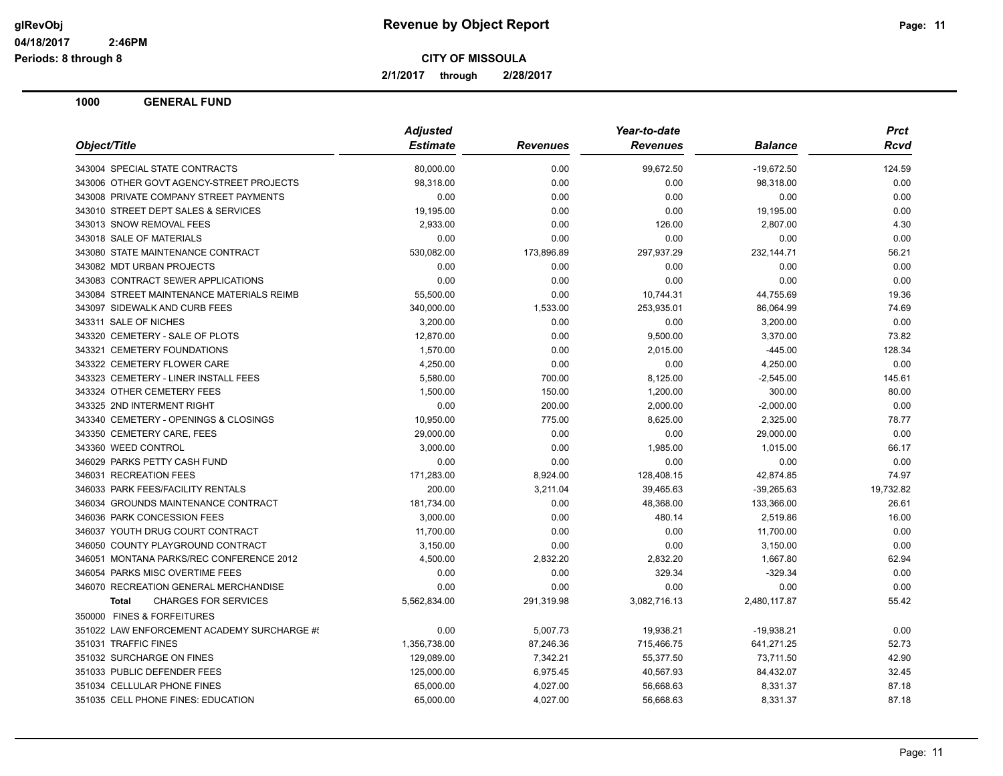**2/1/2017 through 2/28/2017**

#### **1000 GENERAL FUND**

|                                             | <b>Adjusted</b> |                 | Year-to-date    |              | <b>Prct</b> |
|---------------------------------------------|-----------------|-----------------|-----------------|--------------|-------------|
| Object/Title                                | <b>Estimate</b> | <b>Revenues</b> | <b>Revenues</b> | Balance      | <b>Rcvd</b> |
| 343004 SPECIAL STATE CONTRACTS              | 80,000.00       | 0.00            | 99,672.50       | $-19,672.50$ | 124.59      |
| 343006 OTHER GOVT AGENCY-STREET PROJECTS    | 98,318.00       | 0.00            | 0.00            | 98,318.00    | 0.00        |
| 343008 PRIVATE COMPANY STREET PAYMENTS      | 0.00            | 0.00            | 0.00            | 0.00         | 0.00        |
| 343010 STREET DEPT SALES & SERVICES         | 19,195.00       | 0.00            | 0.00            | 19,195.00    | 0.00        |
| 343013 SNOW REMOVAL FEES                    | 2,933.00        | 0.00            | 126.00          | 2,807.00     | 4.30        |
| 343018 SALE OF MATERIALS                    | 0.00            | 0.00            | 0.00            | 0.00         | 0.00        |
| 343080 STATE MAINTENANCE CONTRACT           | 530,082.00      | 173,896.89      | 297,937.29      | 232,144.71   | 56.21       |
| 343082 MDT URBAN PROJECTS                   | 0.00            | 0.00            | 0.00            | 0.00         | 0.00        |
| 343083 CONTRACT SEWER APPLICATIONS          | 0.00            | 0.00            | 0.00            | 0.00         | 0.00        |
| 343084 STREET MAINTENANCE MATERIALS REIMB   | 55,500.00       | 0.00            | 10,744.31       | 44,755.69    | 19.36       |
| 343097 SIDEWALK AND CURB FEES               | 340,000.00      | 1,533.00        | 253,935.01      | 86,064.99    | 74.69       |
| 343311 SALE OF NICHES                       | 3,200.00        | 0.00            | 0.00            | 3,200.00     | 0.00        |
| 343320 CEMETERY - SALE OF PLOTS             | 12,870.00       | 0.00            | 9,500.00        | 3,370.00     | 73.82       |
| 343321 CEMETERY FOUNDATIONS                 | 1,570.00        | 0.00            | 2,015.00        | $-445.00$    | 128.34      |
| 343322 CEMETERY FLOWER CARE                 | 4,250.00        | 0.00            | 0.00            | 4,250.00     | 0.00        |
| 343323 CEMETERY - LINER INSTALL FEES        | 5,580.00        | 700.00          | 8,125.00        | $-2,545.00$  | 145.61      |
| 343324 OTHER CEMETERY FEES                  | 1,500.00        | 150.00          | 1,200.00        | 300.00       | 80.00       |
| 343325 2ND INTERMENT RIGHT                  | 0.00            | 200.00          | 2,000.00        | $-2,000.00$  | 0.00        |
| 343340 CEMETERY - OPENINGS & CLOSINGS       | 10,950.00       | 775.00          | 8,625.00        | 2,325.00     | 78.77       |
| 343350 CEMETERY CARE, FEES                  | 29,000.00       | 0.00            | 0.00            | 29,000.00    | 0.00        |
| 343360 WEED CONTROL                         | 3,000.00        | 0.00            | 1,985.00        | 1,015.00     | 66.17       |
| 346029 PARKS PETTY CASH FUND                | 0.00            | 0.00            | 0.00            | 0.00         | 0.00        |
| 346031 RECREATION FEES                      | 171,283.00      | 8,924.00        | 128,408.15      | 42,874.85    | 74.97       |
| 346033 PARK FEES/FACILITY RENTALS           | 200.00          | 3,211.04        | 39,465.63       | -39,265.63   | 19,732.82   |
| 346034 GROUNDS MAINTENANCE CONTRACT         | 181,734.00      | 0.00            | 48,368.00       | 133,366.00   | 26.61       |
| 346036 PARK CONCESSION FEES                 | 3,000.00        | 0.00            | 480.14          | 2,519.86     | 16.00       |
| 346037 YOUTH DRUG COURT CONTRACT            | 11,700.00       | 0.00            | 0.00            | 11,700.00    | 0.00        |
| 346050 COUNTY PLAYGROUND CONTRACT           | 3,150.00        | 0.00            | 0.00            | 3,150.00     | 0.00        |
| 346051 MONTANA PARKS/REC CONFERENCE 2012    | 4,500.00        | 2,832.20        | 2,832.20        | 1,667.80     | 62.94       |
| 346054 PARKS MISC OVERTIME FEES             | 0.00            | 0.00            | 329.34          | $-329.34$    | 0.00        |
| 346070 RECREATION GENERAL MERCHANDISE       | 0.00            | 0.00            | 0.00            | 0.00         | 0.00        |
| <b>CHARGES FOR SERVICES</b><br><b>Total</b> | 5,562,834.00    | 291,319.98      | 3,082,716.13    | 2,480,117.87 | 55.42       |
| 350000 FINES & FORFEITURES                  |                 |                 |                 |              |             |
| 351022 LAW ENFORCEMENT ACADEMY SURCHARGE #  | 0.00            | 5,007.73        | 19,938.21       | $-19,938.21$ | 0.00        |
| 351031 TRAFFIC FINES                        | 1,356,738.00    | 87,246.36       | 715,466.75      | 641,271.25   | 52.73       |
| 351032 SURCHARGE ON FINES                   | 129,089.00      | 7,342.21        | 55,377.50       | 73,711.50    | 42.90       |
| 351033 PUBLIC DEFENDER FEES                 | 125,000.00      | 6,975.45        | 40,567.93       | 84,432.07    | 32.45       |
| 351034 CELLULAR PHONE FINES                 | 65,000.00       | 4,027.00        | 56,668.63       | 8,331.37     | 87.18       |
| 351035 CELL PHONE FINES: EDUCATION          | 65,000.00       | 4,027.00        | 56,668.63       | 8,331.37     | 87.18       |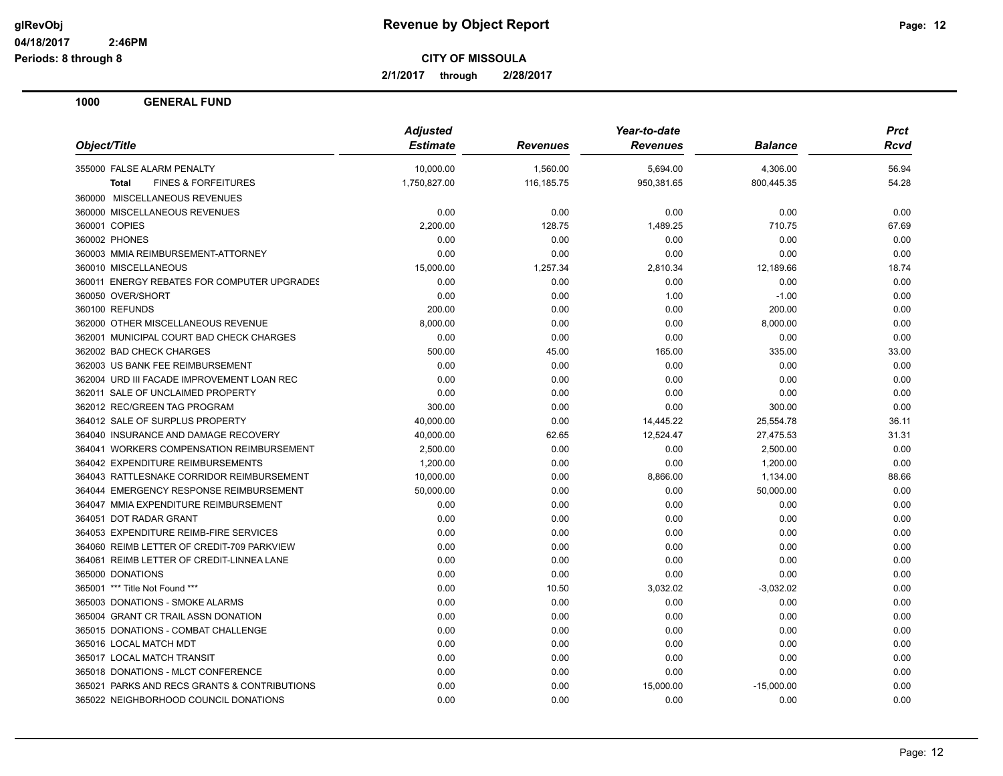**Periods: 8 through 8**

**CITY OF MISSOULA**

**2/1/2017 through 2/28/2017**

#### **1000 GENERAL FUND**

 **2:46PM**

| Object/Title                                   | <b>Adjusted</b> |                 | Year-to-date    |                | <b>Prct</b> |
|------------------------------------------------|-----------------|-----------------|-----------------|----------------|-------------|
|                                                | <b>Estimate</b> | <b>Revenues</b> | <b>Revenues</b> | <b>Balance</b> | Rcvd        |
| 355000 FALSE ALARM PENALTY                     | 10,000.00       | 1,560.00        | 5,694.00        | 4,306.00       | 56.94       |
| <b>FINES &amp; FORFEITURES</b><br><b>Total</b> | 1,750,827.00    | 116, 185. 75    | 950,381.65      | 800,445.35     | 54.28       |
| 360000 MISCELLANEOUS REVENUES                  |                 |                 |                 |                |             |
| 360000 MISCELLANEOUS REVENUES                  | 0.00            | 0.00            | 0.00            | 0.00           | 0.00        |
| 360001 COPIES                                  | 2,200.00        | 128.75          | 1,489.25        | 710.75         | 67.69       |
| 360002 PHONES                                  | 0.00            | 0.00            | 0.00            | 0.00           | 0.00        |
| 360003 MMIA REIMBURSEMENT-ATTORNEY             | 0.00            | 0.00            | 0.00            | 0.00           | 0.00        |
| 360010 MISCELLANEOUS                           | 15,000.00       | 1,257.34        | 2,810.34        | 12,189.66      | 18.74       |
| 360011 ENERGY REBATES FOR COMPUTER UPGRADES    | 0.00            | 0.00            | 0.00            | 0.00           | 0.00        |
| 360050 OVER/SHORT                              | 0.00            | 0.00            | 1.00            | $-1.00$        | 0.00        |
| 360100 REFUNDS                                 | 200.00          | 0.00            | 0.00            | 200.00         | 0.00        |
| 362000 OTHER MISCELLANEOUS REVENUE             | 8,000.00        | 0.00            | 0.00            | 8,000.00       | 0.00        |
| 362001 MUNICIPAL COURT BAD CHECK CHARGES       | 0.00            | 0.00            | 0.00            | 0.00           | 0.00        |
| 362002 BAD CHECK CHARGES                       | 500.00          | 45.00           | 165.00          | 335.00         | 33.00       |
| 362003 US BANK FEE REIMBURSEMENT               | 0.00            | 0.00            | 0.00            | 0.00           | 0.00        |
| 362004 URD III FACADE IMPROVEMENT LOAN REC     | 0.00            | 0.00            | 0.00            | 0.00           | 0.00        |
| 362011 SALE OF UNCLAIMED PROPERTY              | 0.00            | 0.00            | 0.00            | 0.00           | 0.00        |
| 362012 REC/GREEN TAG PROGRAM                   | 300.00          | 0.00            | 0.00            | 300.00         | 0.00        |
| 364012 SALE OF SURPLUS PROPERTY                | 40,000.00       | 0.00            | 14,445.22       | 25,554.78      | 36.11       |
| 364040 INSURANCE AND DAMAGE RECOVERY           | 40,000.00       | 62.65           | 12,524.47       | 27,475.53      | 31.31       |
| 364041 WORKERS COMPENSATION REIMBURSEMENT      | 2,500.00        | 0.00            | 0.00            | 2,500.00       | 0.00        |
| 364042 EXPENDITURE REIMBURSEMENTS              | 1,200.00        | 0.00            | 0.00            | 1,200.00       | 0.00        |
| 364043 RATTLESNAKE CORRIDOR REIMBURSEMENT      | 10,000.00       | 0.00            | 8,866.00        | 1,134.00       | 88.66       |
| 364044 EMERGENCY RESPONSE REIMBURSEMENT        | 50,000.00       | 0.00            | 0.00            | 50,000.00      | 0.00        |
| 364047 MMIA EXPENDITURE REIMBURSEMENT          | 0.00            | 0.00            | 0.00            | 0.00           | 0.00        |
| 364051 DOT RADAR GRANT                         | 0.00            | 0.00            | 0.00            | 0.00           | 0.00        |
| 364053 EXPENDITURE REIMB-FIRE SERVICES         | 0.00            | 0.00            | 0.00            | 0.00           | 0.00        |
| 364060 REIMB LETTER OF CREDIT-709 PARKVIEW     | 0.00            | 0.00            | 0.00            | 0.00           | 0.00        |
| 364061 REIMB LETTER OF CREDIT-LINNEA LANE      | 0.00            | 0.00            | 0.00            | 0.00           | 0.00        |
| 365000 DONATIONS                               | 0.00            | 0.00            | 0.00            | 0.00           | 0.00        |
| 365001 *** Title Not Found ***                 | 0.00            | 10.50           | 3,032.02        | $-3,032.02$    | 0.00        |
| 365003 DONATIONS - SMOKE ALARMS                | 0.00            | 0.00            | 0.00            | 0.00           | 0.00        |
| 365004 GRANT CR TRAIL ASSN DONATION            | 0.00            | 0.00            | 0.00            | 0.00           | 0.00        |
| 365015 DONATIONS - COMBAT CHALLENGE            | 0.00            | 0.00            | 0.00            | 0.00           | 0.00        |
| 365016 LOCAL MATCH MDT                         | 0.00            | 0.00            | 0.00            | 0.00           | 0.00        |
| 365017 LOCAL MATCH TRANSIT                     | 0.00            | 0.00            | 0.00            | 0.00           | 0.00        |
| 365018 DONATIONS - MLCT CONFERENCE             | 0.00            | 0.00            | 0.00            | 0.00           | 0.00        |
| 365021 PARKS AND RECS GRANTS & CONTRIBUTIONS   | 0.00            | 0.00            | 15,000.00       | $-15,000.00$   | 0.00        |
| 365022 NEIGHBORHOOD COUNCIL DONATIONS          | 0.00            | 0.00            | 0.00            | 0.00           | 0.00        |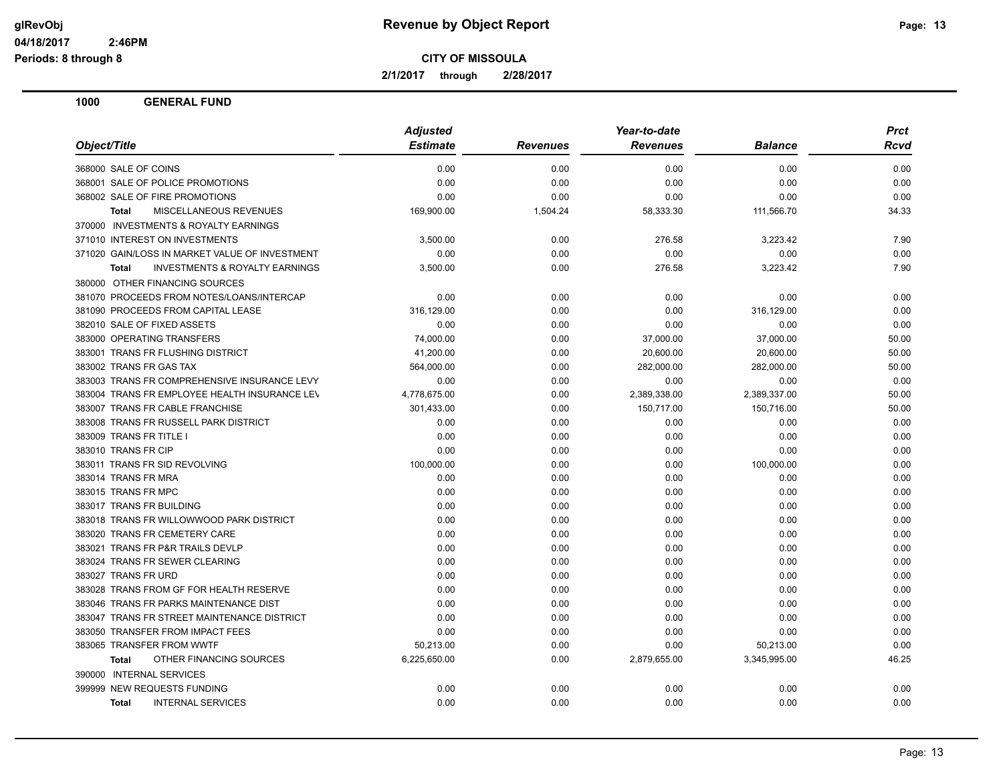**Periods: 8 through 8**

**CITY OF MISSOULA**

**2/1/2017 through 2/28/2017**

# **1000 GENERAL FUND**

 **2:46PM**

|                                                           | <b>Adjusted</b> |          | Year-to-date    |                | <b>Prct</b> |
|-----------------------------------------------------------|-----------------|----------|-----------------|----------------|-------------|
| Object/Title                                              | <b>Estimate</b> | Revenues | <b>Revenues</b> | <b>Balance</b> | Rcvd        |
| 368000 SALE OF COINS                                      | 0.00            | 0.00     | 0.00            | 0.00           | 0.00        |
| 368001 SALE OF POLICE PROMOTIONS                          | 0.00            | 0.00     | 0.00            | 0.00           | 0.00        |
| 368002 SALE OF FIRE PROMOTIONS                            | 0.00            | 0.00     | 0.00            | 0.00           | 0.00        |
| <b>Total</b><br><b>MISCELLANEOUS REVENUES</b>             | 169,900.00      | 1,504.24 | 58,333.30       | 111,566.70     | 34.33       |
| 370000 INVESTMENTS & ROYALTY EARNINGS                     |                 |          |                 |                |             |
| 371010 INTEREST ON INVESTMENTS                            | 3,500.00        | 0.00     | 276.58          | 3,223.42       | 7.90        |
| 371020 GAIN/LOSS IN MARKET VALUE OF INVESTMENT            | 0.00            | 0.00     | 0.00            | 0.00           | 0.00        |
| <b>INVESTMENTS &amp; ROYALTY EARNINGS</b><br><b>Total</b> | 3,500.00        | 0.00     | 276.58          | 3,223.42       | 7.90        |
| 380000 OTHER FINANCING SOURCES                            |                 |          |                 |                |             |
| 381070 PROCEEDS FROM NOTES/LOANS/INTERCAP                 | 0.00            | 0.00     | 0.00            | 0.00           | 0.00        |
| 381090 PROCEEDS FROM CAPITAL LEASE                        | 316,129.00      | 0.00     | 0.00            | 316,129.00     | 0.00        |
| 382010 SALE OF FIXED ASSETS                               | 0.00            | 0.00     | 0.00            | 0.00           | 0.00        |
| 383000 OPERATING TRANSFERS                                | 74,000.00       | 0.00     | 37,000.00       | 37,000.00      | 50.00       |
| 383001 TRANS FR FLUSHING DISTRICT                         | 41,200.00       | 0.00     | 20,600.00       | 20,600.00      | 50.00       |
| 383002 TRANS FR GAS TAX                                   | 564,000.00      | 0.00     | 282,000.00      | 282,000.00     | 50.00       |
| 383003 TRANS FR COMPREHENSIVE INSURANCE LEVY              | 0.00            | 0.00     | 0.00            | 0.00           | 0.00        |
| 383004 TRANS FR EMPLOYEE HEALTH INSURANCE LEV             | 4,778,675.00    | 0.00     | 2,389,338.00    | 2,389,337.00   | 50.00       |
| 383007 TRANS FR CABLE FRANCHISE                           | 301,433.00      | 0.00     | 150,717.00      | 150,716.00     | 50.00       |
| 383008 TRANS FR RUSSELL PARK DISTRICT                     | 0.00            | 0.00     | 0.00            | 0.00           | 0.00        |
| 383009 TRANS FR TITLE I                                   | 0.00            | 0.00     | 0.00            | 0.00           | 0.00        |
| 383010 TRANS FR CIP                                       | 0.00            | 0.00     | 0.00            | 0.00           | 0.00        |
| 383011 TRANS FR SID REVOLVING                             | 100,000.00      | 0.00     | 0.00            | 100,000.00     | 0.00        |
| 383014 TRANS FR MRA                                       | 0.00            | 0.00     | 0.00            | 0.00           | 0.00        |
| 383015 TRANS FR MPC                                       | 0.00            | 0.00     | 0.00            | 0.00           | 0.00        |
| 383017 TRANS FR BUILDING                                  | 0.00            | 0.00     | 0.00            | 0.00           | 0.00        |
| 383018 TRANS FR WILLOWWOOD PARK DISTRICT                  | 0.00            | 0.00     | 0.00            | 0.00           | 0.00        |
| 383020 TRANS FR CEMETERY CARE                             | 0.00            | 0.00     | 0.00            | 0.00           | 0.00        |
| 383021 TRANS FR P&R TRAILS DEVLP                          | 0.00            | 0.00     | 0.00            | 0.00           | 0.00        |
| 383024 TRANS FR SEWER CLEARING                            | 0.00            | 0.00     | 0.00            | 0.00           | 0.00        |
| 383027 TRANS FR URD                                       | 0.00            | 0.00     | 0.00            | 0.00           | 0.00        |
| 383028 TRANS FROM GF FOR HEALTH RESERVE                   | 0.00            | 0.00     | 0.00            | 0.00           | 0.00        |
| 383046 TRANS FR PARKS MAINTENANCE DIST                    | 0.00            | 0.00     | 0.00            | 0.00           | 0.00        |
| 383047 TRANS FR STREET MAINTENANCE DISTRICT               | 0.00            | 0.00     | 0.00            | 0.00           | 0.00        |
| 383050 TRANSFER FROM IMPACT FEES                          | 0.00            | 0.00     | 0.00            | 0.00           | 0.00        |
| 383065 TRANSFER FROM WWTF                                 | 50,213.00       | 0.00     | 0.00            | 50,213.00      | 0.00        |
| OTHER FINANCING SOURCES<br>Total                          | 6,225,650.00    | 0.00     | 2,879,655.00    | 3,345,995.00   | 46.25       |
| 390000 INTERNAL SERVICES                                  |                 |          |                 |                |             |
| 399999 NEW REQUESTS FUNDING                               | 0.00            | 0.00     | 0.00            | 0.00           | 0.00        |
| <b>INTERNAL SERVICES</b><br><b>Total</b>                  | 0.00            | 0.00     | 0.00            | 0.00           | 0.00        |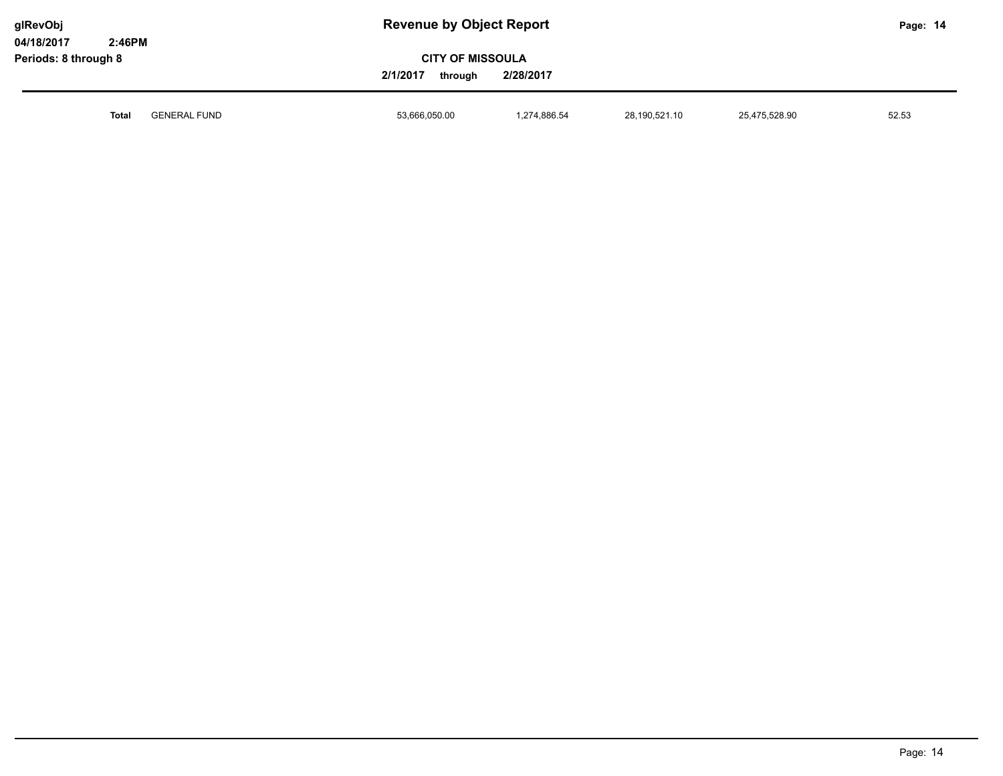| glRevObj<br>04/18/2017 | <b>Revenue by Object Report</b><br>2:46PM |                     |                                                             |              |               | Page: 14      |       |
|------------------------|-------------------------------------------|---------------------|-------------------------------------------------------------|--------------|---------------|---------------|-------|
| Periods: 8 through 8   |                                           |                     | <b>CITY OF MISSOULA</b><br>2/1/2017<br>2/28/2017<br>through |              |               |               |       |
|                        | Total                                     | <b>GENERAL FUND</b> | 53,666,050.00                                               | 1,274,886.54 | 28,190,521.10 | 25,475,528.90 | 52.53 |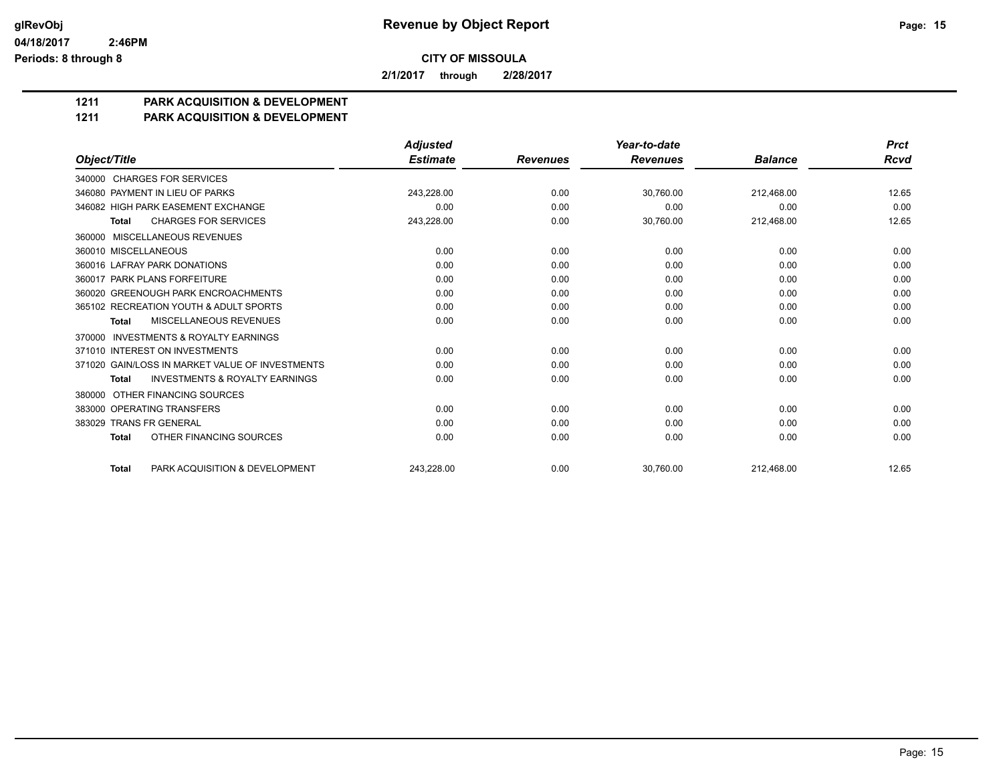**2/1/2017 through 2/28/2017**

# **1211 PARK ACQUISITION & DEVELOPMENT**

# **1211 PARK ACQUISITION & DEVELOPMENT**

|                                                           | <b>Adjusted</b> |                 | Year-to-date    |                | <b>Prct</b> |
|-----------------------------------------------------------|-----------------|-----------------|-----------------|----------------|-------------|
| Object/Title                                              | <b>Estimate</b> | <b>Revenues</b> | <b>Revenues</b> | <b>Balance</b> | Rcvd        |
| 340000 CHARGES FOR SERVICES                               |                 |                 |                 |                |             |
| 346080 PAYMENT IN LIEU OF PARKS                           | 243,228.00      | 0.00            | 30,760.00       | 212,468.00     | 12.65       |
| 346082 HIGH PARK EASEMENT EXCHANGE                        | 0.00            | 0.00            | 0.00            | 0.00           | 0.00        |
| <b>CHARGES FOR SERVICES</b><br><b>Total</b>               | 243,228.00      | 0.00            | 30,760.00       | 212,468.00     | 12.65       |
| 360000 MISCELLANEOUS REVENUES                             |                 |                 |                 |                |             |
| 360010 MISCELLANEOUS                                      | 0.00            | 0.00            | 0.00            | 0.00           | 0.00        |
| 360016 LAFRAY PARK DONATIONS                              | 0.00            | 0.00            | 0.00            | 0.00           | 0.00        |
| 360017 PARK PLANS FORFEITURE                              | 0.00            | 0.00            | 0.00            | 0.00           | 0.00        |
| 360020 GREENOUGH PARK ENCROACHMENTS                       | 0.00            | 0.00            | 0.00            | 0.00           | 0.00        |
| 365102 RECREATION YOUTH & ADULT SPORTS                    | 0.00            | 0.00            | 0.00            | 0.00           | 0.00        |
| MISCELLANEOUS REVENUES<br><b>Total</b>                    | 0.00            | 0.00            | 0.00            | 0.00           | 0.00        |
| 370000 INVESTMENTS & ROYALTY EARNINGS                     |                 |                 |                 |                |             |
| 371010 INTEREST ON INVESTMENTS                            | 0.00            | 0.00            | 0.00            | 0.00           | 0.00        |
| 371020 GAIN/LOSS IN MARKET VALUE OF INVESTMENTS           | 0.00            | 0.00            | 0.00            | 0.00           | 0.00        |
| <b>INVESTMENTS &amp; ROYALTY EARNINGS</b><br><b>Total</b> | 0.00            | 0.00            | 0.00            | 0.00           | 0.00        |
| 380000 OTHER FINANCING SOURCES                            |                 |                 |                 |                |             |
| 383000 OPERATING TRANSFERS                                | 0.00            | 0.00            | 0.00            | 0.00           | 0.00        |
| 383029 TRANS FR GENERAL                                   | 0.00            | 0.00            | 0.00            | 0.00           | 0.00        |
| OTHER FINANCING SOURCES<br><b>Total</b>                   | 0.00            | 0.00            | 0.00            | 0.00           | 0.00        |
| PARK ACQUISITION & DEVELOPMENT<br>Total                   | 243.228.00      | 0.00            | 30.760.00       | 212.468.00     | 12.65       |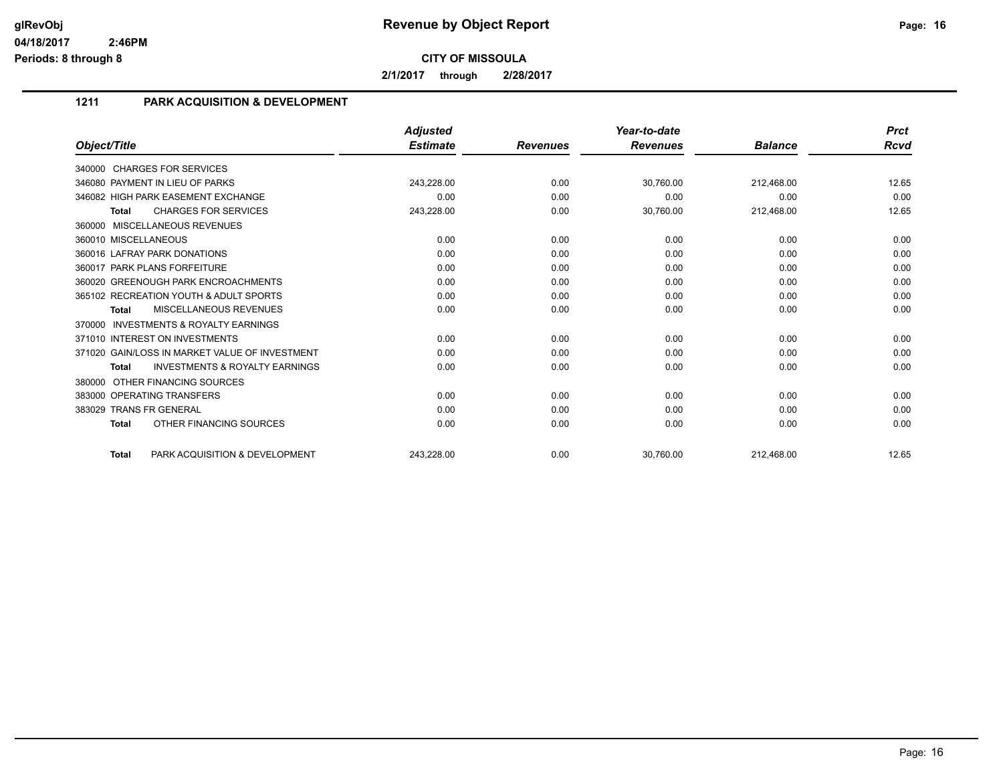**2/1/2017 through 2/28/2017**

# **1211 PARK ACQUISITION & DEVELOPMENT**

|                                                           | <b>Adjusted</b> |                 | Year-to-date    |                | <b>Prct</b> |
|-----------------------------------------------------------|-----------------|-----------------|-----------------|----------------|-------------|
| Object/Title                                              | <b>Estimate</b> | <b>Revenues</b> | <b>Revenues</b> | <b>Balance</b> | Rcvd        |
| 340000 CHARGES FOR SERVICES                               |                 |                 |                 |                |             |
| 346080 PAYMENT IN LIEU OF PARKS                           | 243,228.00      | 0.00            | 30,760.00       | 212,468.00     | 12.65       |
| 346082 HIGH PARK EASEMENT EXCHANGE                        | 0.00            | 0.00            | 0.00            | 0.00           | 0.00        |
| <b>CHARGES FOR SERVICES</b><br>Total                      | 243,228.00      | 0.00            | 30,760.00       | 212,468.00     | 12.65       |
| MISCELLANEOUS REVENUES<br>360000                          |                 |                 |                 |                |             |
| 360010 MISCELLANEOUS                                      | 0.00            | 0.00            | 0.00            | 0.00           | 0.00        |
| 360016 LAFRAY PARK DONATIONS                              | 0.00            | 0.00            | 0.00            | 0.00           | 0.00        |
| 360017 PARK PLANS FORFEITURE                              | 0.00            | 0.00            | 0.00            | 0.00           | 0.00        |
| 360020 GREENOUGH PARK ENCROACHMENTS                       | 0.00            | 0.00            | 0.00            | 0.00           | 0.00        |
| 365102 RECREATION YOUTH & ADULT SPORTS                    | 0.00            | 0.00            | 0.00            | 0.00           | 0.00        |
| MISCELLANEOUS REVENUES<br>Total                           | 0.00            | 0.00            | 0.00            | 0.00           | 0.00        |
| <b>INVESTMENTS &amp; ROYALTY EARNINGS</b><br>370000       |                 |                 |                 |                |             |
| 371010 INTEREST ON INVESTMENTS                            | 0.00            | 0.00            | 0.00            | 0.00           | 0.00        |
| 371020 GAIN/LOSS IN MARKET VALUE OF INVESTMENT            | 0.00            | 0.00            | 0.00            | 0.00           | 0.00        |
| <b>INVESTMENTS &amp; ROYALTY EARNINGS</b><br><b>Total</b> | 0.00            | 0.00            | 0.00            | 0.00           | 0.00        |
| 380000 OTHER FINANCING SOURCES                            |                 |                 |                 |                |             |
| 383000 OPERATING TRANSFERS                                | 0.00            | 0.00            | 0.00            | 0.00           | 0.00        |
| 383029 TRANS FR GENERAL                                   | 0.00            | 0.00            | 0.00            | 0.00           | 0.00        |
| OTHER FINANCING SOURCES<br><b>Total</b>                   | 0.00            | 0.00            | 0.00            | 0.00           | 0.00        |
| PARK ACQUISITION & DEVELOPMENT<br><b>Total</b>            | 243,228.00      | 0.00            | 30,760.00       | 212,468.00     | 12.65       |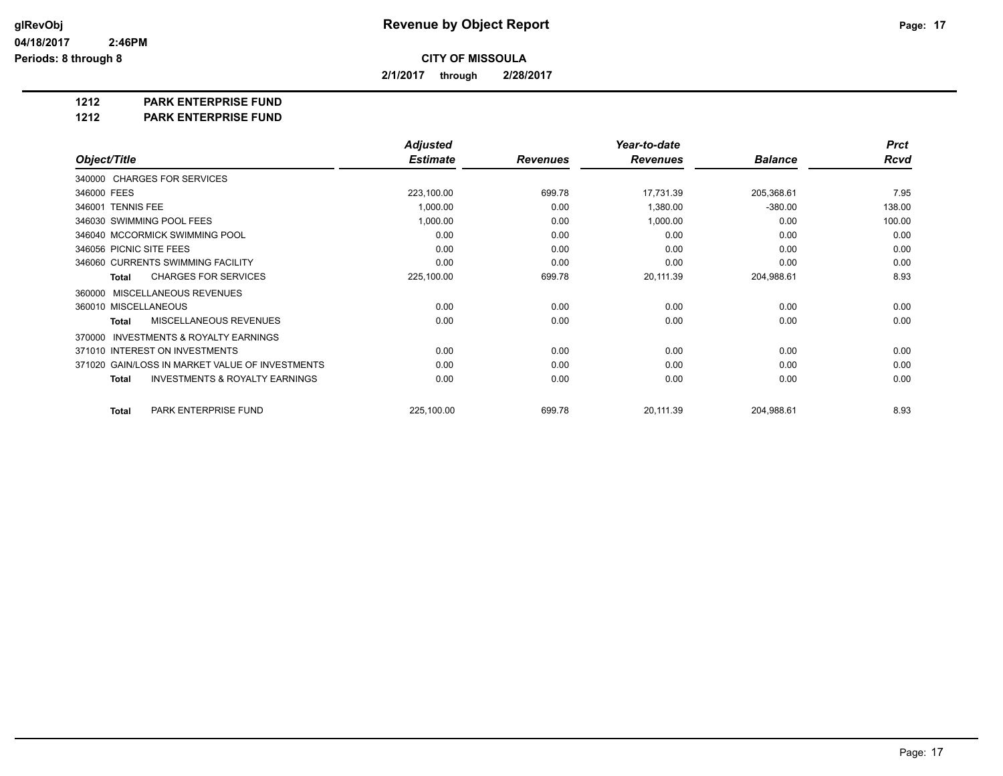*Prct Rcvd*

**CITY OF MISSOULA**

**2/1/2017 through 2/28/2017**

**1212 PARK ENTERPRISE FUND 1212 PARK ENTERPRISE FUND**

|                                                           | <b>Adjusted</b> |                 | Year-to-date    |                | <b>Prct</b> |
|-----------------------------------------------------------|-----------------|-----------------|-----------------|----------------|-------------|
| Object/Title                                              | <b>Estimate</b> | <b>Revenues</b> | <b>Revenues</b> | <b>Balance</b> | Rcva        |
| 340000 CHARGES FOR SERVICES                               |                 |                 |                 |                |             |
| 346000 FEES                                               | 223,100.00      | 699.78          | 17,731.39       | 205,368.61     | 7.95        |
| 346001 TENNIS FEE                                         | 1,000.00        | 0.00            | 1,380.00        | $-380.00$      | 138.00      |
| 346030 SWIMMING POOL FEES                                 | 1,000.00        | 0.00            | 1,000.00        | 0.00           | 100.00      |
| 346040 MCCORMICK SWIMMING POOL                            | 0.00            | 0.00            | 0.00            | 0.00           | 0.00        |
| 346056 PICNIC SITE FEES                                   | 0.00            | 0.00            | 0.00            | 0.00           | 0.00        |
| 346060 CURRENTS SWIMMING FACILITY                         | 0.00            | 0.00            | 0.00            | 0.00           | 0.00        |
| <b>CHARGES FOR SERVICES</b><br>Total                      | 225,100.00      | 699.78          | 20,111.39       | 204,988.61     | 8.93        |
| MISCELLANEOUS REVENUES<br>360000                          |                 |                 |                 |                |             |
| 360010 MISCELLANEOUS                                      | 0.00            | 0.00            | 0.00            | 0.00           | 0.00        |
| <b>MISCELLANEOUS REVENUES</b><br><b>Total</b>             | 0.00            | 0.00            | 0.00            | 0.00           | 0.00        |
| <b>INVESTMENTS &amp; ROYALTY EARNINGS</b><br>370000       |                 |                 |                 |                |             |
| 371010 INTEREST ON INVESTMENTS                            | 0.00            | 0.00            | 0.00            | 0.00           | 0.00        |
| <b>GAIN/LOSS IN MARKET VALUE OF INVESTMENTS</b><br>371020 | 0.00            | 0.00            | 0.00            | 0.00           | 0.00        |
| <b>INVESTMENTS &amp; ROYALTY EARNINGS</b><br>Total        | 0.00            | 0.00            | 0.00            | 0.00           | 0.00        |
| PARK ENTERPRISE FUND<br>Total                             | 225,100.00      | 699.78          | 20,111.39       | 204,988.61     | 8.93        |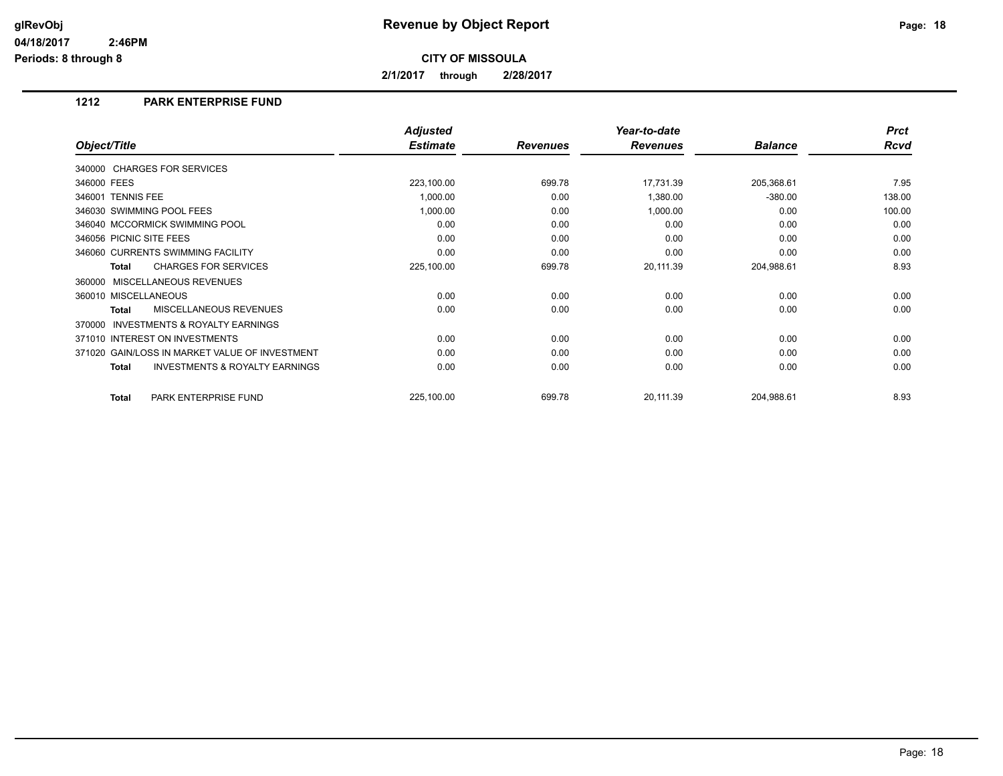**2/1/2017 through 2/28/2017**

## **1212 PARK ENTERPRISE FUND**

|                                                           | <b>Adjusted</b> |                 | Year-to-date    |                | <b>Prct</b> |
|-----------------------------------------------------------|-----------------|-----------------|-----------------|----------------|-------------|
| Object/Title                                              | <b>Estimate</b> | <b>Revenues</b> | <b>Revenues</b> | <b>Balance</b> | <b>Rcvd</b> |
| 340000 CHARGES FOR SERVICES                               |                 |                 |                 |                |             |
| 346000 FEES                                               | 223,100.00      | 699.78          | 17.731.39       | 205,368.61     | 7.95        |
| 346001 TENNIS FEE                                         | 1,000.00        | 0.00            | 1,380.00        | $-380.00$      | 138.00      |
| 346030 SWIMMING POOL FEES                                 | 1,000.00        | 0.00            | 1,000.00        | 0.00           | 100.00      |
| 346040 MCCORMICK SWIMMING POOL                            | 0.00            | 0.00            | 0.00            | 0.00           | 0.00        |
| 346056 PICNIC SITE FEES                                   | 0.00            | 0.00            | 0.00            | 0.00           | 0.00        |
| 346060 CURRENTS SWIMMING FACILITY                         | 0.00            | 0.00            | 0.00            | 0.00           | 0.00        |
| <b>CHARGES FOR SERVICES</b><br>Total                      | 225,100.00      | 699.78          | 20,111.39       | 204,988.61     | 8.93        |
| 360000 MISCELLANEOUS REVENUES                             |                 |                 |                 |                |             |
| 360010 MISCELLANEOUS                                      | 0.00            | 0.00            | 0.00            | 0.00           | 0.00        |
| <b>MISCELLANEOUS REVENUES</b><br><b>Total</b>             | 0.00            | 0.00            | 0.00            | 0.00           | 0.00        |
| <b>INVESTMENTS &amp; ROYALTY EARNINGS</b><br>370000       |                 |                 |                 |                |             |
| 371010 INTEREST ON INVESTMENTS                            | 0.00            | 0.00            | 0.00            | 0.00           | 0.00        |
| 371020 GAIN/LOSS IN MARKET VALUE OF INVESTMENT            | 0.00            | 0.00            | 0.00            | 0.00           | 0.00        |
| <b>INVESTMENTS &amp; ROYALTY EARNINGS</b><br><b>Total</b> | 0.00            | 0.00            | 0.00            | 0.00           | 0.00        |
| PARK ENTERPRISE FUND<br><b>Total</b>                      | 225,100.00      | 699.78          | 20,111.39       | 204,988.61     | 8.93        |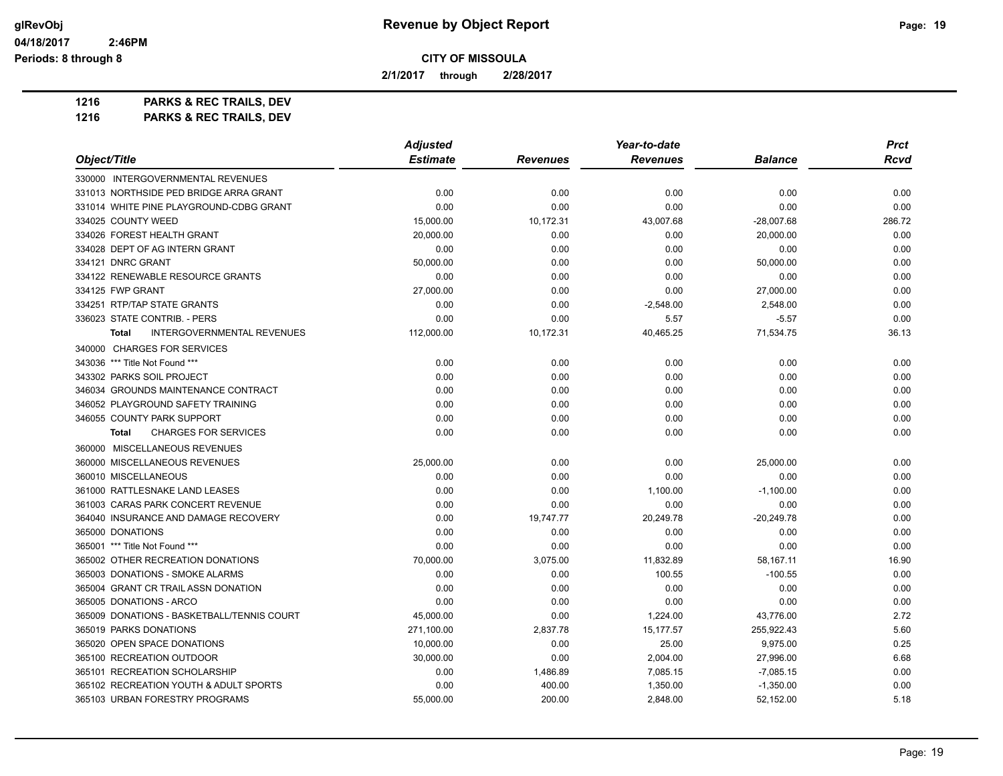**2/1/2017 through 2/28/2017**

**1216 PARKS & REC TRAILS, DEV**

**1216 PARKS & REC TRAILS, DEV**

| <b>Adjusted</b> |                 | Year-to-date    |                | <b>Prct</b> |
|-----------------|-----------------|-----------------|----------------|-------------|
| <b>Estimate</b> | <b>Revenues</b> | <b>Revenues</b> | <b>Balance</b> | <b>Rcvd</b> |
|                 |                 |                 |                |             |
| 0.00            | 0.00            | 0.00            | 0.00           | 0.00        |
| 0.00            | 0.00            | 0.00            | 0.00           | 0.00        |
| 15,000.00       | 10,172.31       | 43,007.68       | $-28,007.68$   | 286.72      |
| 20,000.00       | 0.00            | 0.00            | 20,000.00      | 0.00        |
| 0.00            | 0.00            | 0.00            | 0.00           | 0.00        |
| 50,000.00       | 0.00            | 0.00            | 50,000.00      | 0.00        |
| 0.00            | 0.00            | 0.00            | 0.00           | 0.00        |
| 27,000.00       | 0.00            | 0.00            | 27,000.00      | 0.00        |
| 0.00            | 0.00            | $-2,548.00$     | 2,548.00       | 0.00        |
| 0.00            | 0.00            | 5.57            | $-5.57$        | 0.00        |
| 112,000.00      | 10,172.31       | 40,465.25       | 71,534.75      | 36.13       |
|                 |                 |                 |                |             |
| 0.00            | 0.00            | 0.00            | 0.00           | 0.00        |
| 0.00            | 0.00            | 0.00            | 0.00           | 0.00        |
| 0.00            | 0.00            | 0.00            | 0.00           | 0.00        |
| 0.00            | 0.00            | 0.00            | 0.00           | 0.00        |
| 0.00            | 0.00            | 0.00            | 0.00           | 0.00        |
| 0.00            | 0.00            | 0.00            | 0.00           | 0.00        |
|                 |                 |                 |                |             |
| 25,000.00       | 0.00            | 0.00            | 25,000.00      | 0.00        |
| 0.00            | 0.00            | 0.00            | 0.00           | 0.00        |
| 0.00            | 0.00            | 1,100.00        | $-1,100.00$    | 0.00        |
| 0.00            | 0.00            | 0.00            | 0.00           | 0.00        |
| 0.00            | 19,747.77       | 20,249.78       | $-20,249.78$   | 0.00        |
| 0.00            | 0.00            | 0.00            | 0.00           | 0.00        |
| 0.00            | 0.00            | 0.00            | 0.00           | 0.00        |
| 70,000.00       | 3,075.00        | 11,832.89       | 58,167.11      | 16.90       |
| 0.00            | 0.00            | 100.55          | $-100.55$      | 0.00        |
| 0.00            | 0.00            | 0.00            | 0.00           | 0.00        |
| 0.00            | 0.00            | 0.00            | 0.00           | 0.00        |
| 45,000.00       | 0.00            | 1,224.00        | 43,776.00      | 2.72        |
| 271,100.00      | 2,837.78        | 15, 177.57      | 255,922.43     | 5.60        |
| 10,000.00       | 0.00            | 25.00           | 9,975.00       | 0.25        |
| 30,000.00       | 0.00            | 2,004.00        | 27,996.00      | 6.68        |
| 0.00            | 1,486.89        | 7,085.15        | $-7,085.15$    | 0.00        |
| 0.00            | 400.00          | 1,350.00        | $-1,350.00$    | 0.00        |
| 55,000.00       | 200.00          | 2,848.00        | 52,152.00      | 5.18        |
|                 |                 |                 |                |             |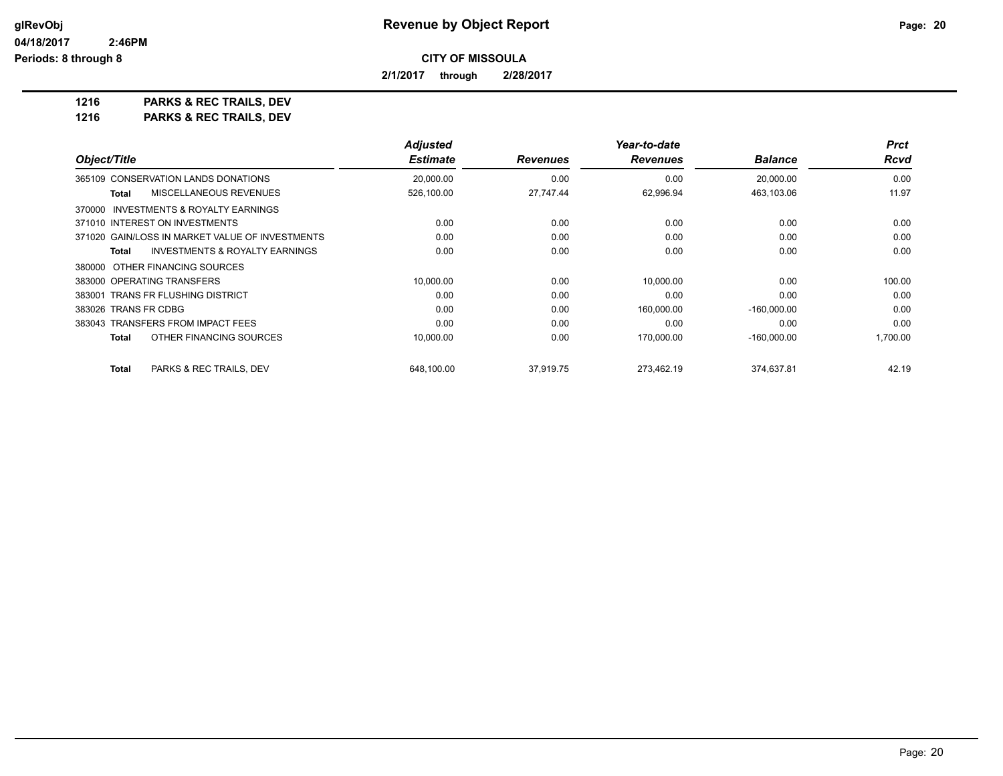**2/1/2017 through 2/28/2017**

**1216 PARKS & REC TRAILS, DEV 1216 PARKS & REC TRAILS, DEV**

*Object/Title Adjusted Estimate Revenues Year-to-date Revenues Balance Prct Rcvd* 365109 CONSERVATION LANDS DONATIONS 20,000.00 0.00 0.00 20,000.00 0.00 **Total MISCELLANEOUS REVENUES 62,900.00** 526,100.00 27,747.44 62,996.94 463,103.06 463,103.06 11.97 370000 INVESTMENTS & ROYALTY EARNINGS 371010 INTEREST ON INVESTMENTS 0.00 0.00 0.00 0.00 0.00 371020 GAIN/LOSS IN MARKET VALUE OF INVESTMENTS 0.00 0.00 0.00 0.00 0.00 **Total** INVESTMENTS & ROYALTY EARNINGS 0.00 0.00 0.00 0.00 0.00 380000 OTHER FINANCING SOURCES 383000 OPERATING TRANSFERS 10,000.00 0.00 10,000.00 100.00 100.00 383001 TRANS FR FLUSHING DISTRICT 0.00 0.00 0.00 0.00 0.00  $383026$  TRANS FR CDBG  $0.00$   $0.00$   $0.00$   $160,000.00$   $-160,000.00$   $-160,000.00$   $0.00$  $0.00 \hspace{1.5cm} 0.00 \hspace{3.1cm} 0.00 \hspace{1.5cm} 0.00 \hspace{1.5cm} 0.00 \hspace{1.5cm} 0.00 \hspace{1.5cm} 0.00 \hspace{1.5cm} 0.00 \hspace{1.5cm} 0.00 \hspace{1.5cm} 0.00 \hspace{1.5cm} 0.00 \hspace{1.5cm} 0.00 \hspace{1.5cm} 0.00 \hspace{1.5cm} 0.00 \hspace{1.5cm} 0.00 \hspace{1.5cm} 0.00 \hspace{1.5$ **Total OTHER FINANCING SOURCES** 10,000.00 0.00 0.00 170,000.00 170,000.00 160,000.00 1,700.00 **Total PARKS & REC TRAILS, DEV 648,100.00** 648,100.00 37,919.75 273,462.19 374,637.81 374,637.81 42.19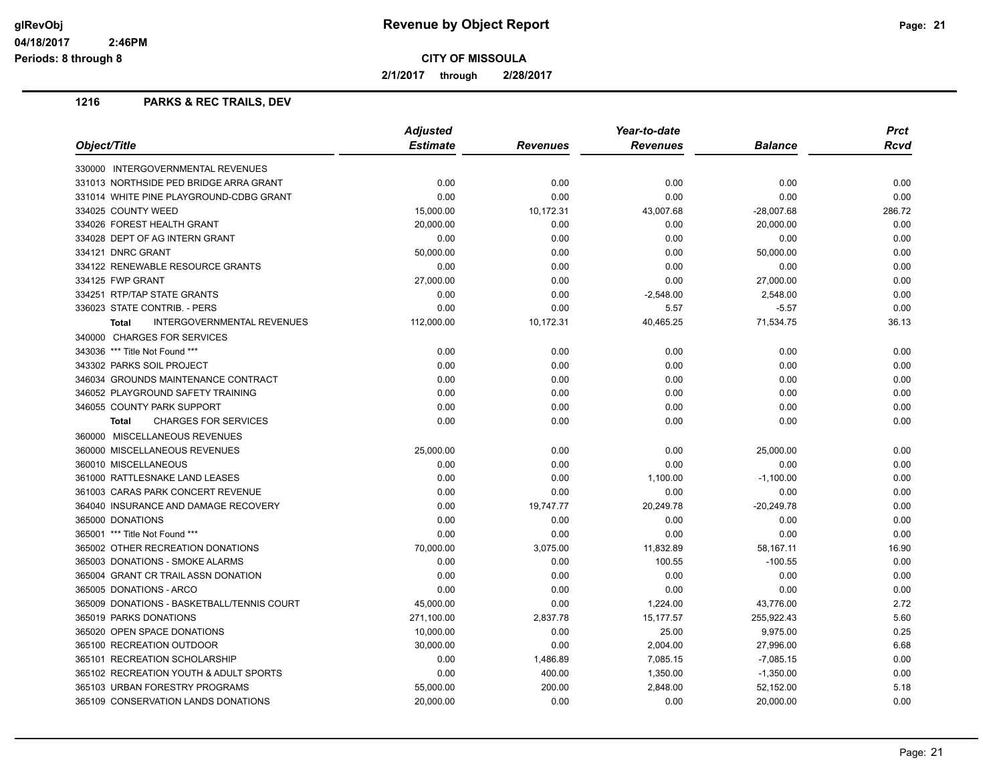**2/1/2017 through 2/28/2017**

# **1216 PARKS & REC TRAILS, DEV**

|                                                   | <b>Adjusted</b> |                 | Year-to-date    |                | <b>Prct</b> |
|---------------------------------------------------|-----------------|-----------------|-----------------|----------------|-------------|
| Object/Title                                      | <b>Estimate</b> | <b>Revenues</b> | <b>Revenues</b> | <b>Balance</b> | <b>Rcvd</b> |
| 330000 INTERGOVERNMENTAL REVENUES                 |                 |                 |                 |                |             |
| 331013 NORTHSIDE PED BRIDGE ARRA GRANT            | 0.00            | 0.00            | 0.00            | 0.00           | 0.00        |
| 331014 WHITE PINE PLAYGROUND-CDBG GRANT           | 0.00            | 0.00            | 0.00            | 0.00           | 0.00        |
| 334025 COUNTY WEED                                | 15,000.00       | 10,172.31       | 43,007.68       | $-28,007.68$   | 286.72      |
| 334026 FOREST HEALTH GRANT                        | 20,000.00       | 0.00            | 0.00            | 20,000.00      | 0.00        |
| 334028 DEPT OF AG INTERN GRANT                    | 0.00            | 0.00            | 0.00            | 0.00           | 0.00        |
| 334121 DNRC GRANT                                 | 50,000.00       | 0.00            | 0.00            | 50,000.00      | 0.00        |
| 334122 RENEWABLE RESOURCE GRANTS                  | 0.00            | 0.00            | 0.00            | 0.00           | 0.00        |
| 334125 FWP GRANT                                  | 27,000.00       | 0.00            | 0.00            | 27,000.00      | 0.00        |
| 334251 RTP/TAP STATE GRANTS                       | 0.00            | 0.00            | $-2,548.00$     | 2,548.00       | 0.00        |
| 336023 STATE CONTRIB. - PERS                      | 0.00            | 0.00            | 5.57            | $-5.57$        | 0.00        |
| <b>INTERGOVERNMENTAL REVENUES</b><br><b>Total</b> | 112,000.00      | 10,172.31       | 40,465.25       | 71,534.75      | 36.13       |
| 340000 CHARGES FOR SERVICES                       |                 |                 |                 |                |             |
| 343036 *** Title Not Found ***                    | 0.00            | 0.00            | 0.00            | 0.00           | 0.00        |
| 343302 PARKS SOIL PROJECT                         | 0.00            | 0.00            | 0.00            | 0.00           | 0.00        |
| 346034 GROUNDS MAINTENANCE CONTRACT               | 0.00            | 0.00            | 0.00            | 0.00           | 0.00        |
| 346052 PLAYGROUND SAFETY TRAINING                 | 0.00            | 0.00            | 0.00            | 0.00           | 0.00        |
| 346055 COUNTY PARK SUPPORT                        | 0.00            | 0.00            | 0.00            | 0.00           | 0.00        |
| <b>CHARGES FOR SERVICES</b><br><b>Total</b>       | 0.00            | 0.00            | 0.00            | 0.00           | 0.00        |
| 360000 MISCELLANEOUS REVENUES                     |                 |                 |                 |                |             |
| 360000 MISCELLANEOUS REVENUES                     | 25,000.00       | 0.00            | 0.00            | 25,000.00      | 0.00        |
| 360010 MISCELLANEOUS                              | 0.00            | 0.00            | 0.00            | 0.00           | 0.00        |
| 361000 RATTLESNAKE LAND LEASES                    | 0.00            | 0.00            | 1,100.00        | $-1,100.00$    | 0.00        |
| 361003 CARAS PARK CONCERT REVENUE                 | 0.00            | 0.00            | 0.00            | 0.00           | 0.00        |
| 364040 INSURANCE AND DAMAGE RECOVERY              | 0.00            | 19,747.77       | 20,249.78       | $-20,249.78$   | 0.00        |
| 365000 DONATIONS                                  | 0.00            | 0.00            | 0.00            | 0.00           | 0.00        |
| 365001 *** Title Not Found ***                    | 0.00            | 0.00            | 0.00            | 0.00           | 0.00        |
| 365002 OTHER RECREATION DONATIONS                 | 70,000.00       | 3,075.00        | 11,832.89       | 58,167.11      | 16.90       |
| 365003 DONATIONS - SMOKE ALARMS                   | 0.00            | 0.00            | 100.55          | $-100.55$      | 0.00        |
| 365004 GRANT CR TRAIL ASSN DONATION               | 0.00            | 0.00            | 0.00            | 0.00           | 0.00        |
| 365005 DONATIONS - ARCO                           | 0.00            | 0.00            | 0.00            | 0.00           | 0.00        |
| 365009 DONATIONS - BASKETBALL/TENNIS COURT        | 45,000.00       | 0.00            | 1,224.00        | 43,776.00      | 2.72        |
| 365019 PARKS DONATIONS                            | 271,100.00      | 2,837.78        | 15, 177.57      | 255,922.43     | 5.60        |
| 365020 OPEN SPACE DONATIONS                       | 10,000.00       | 0.00            | 25.00           | 9,975.00       | 0.25        |
| 365100 RECREATION OUTDOOR                         | 30,000.00       | 0.00            | 2,004.00        | 27,996.00      | 6.68        |
| 365101 RECREATION SCHOLARSHIP                     | 0.00            | 1,486.89        | 7,085.15        | $-7,085.15$    | 0.00        |
| 365102 RECREATION YOUTH & ADULT SPORTS            | 0.00            | 400.00          | 1,350.00        | $-1,350.00$    | 0.00        |
| 365103 URBAN FORESTRY PROGRAMS                    | 55,000.00       | 200.00          | 2,848.00        | 52,152.00      | 5.18        |
| 365109 CONSERVATION LANDS DONATIONS               | 20,000.00       | 0.00            | 0.00            | 20,000.00      | 0.00        |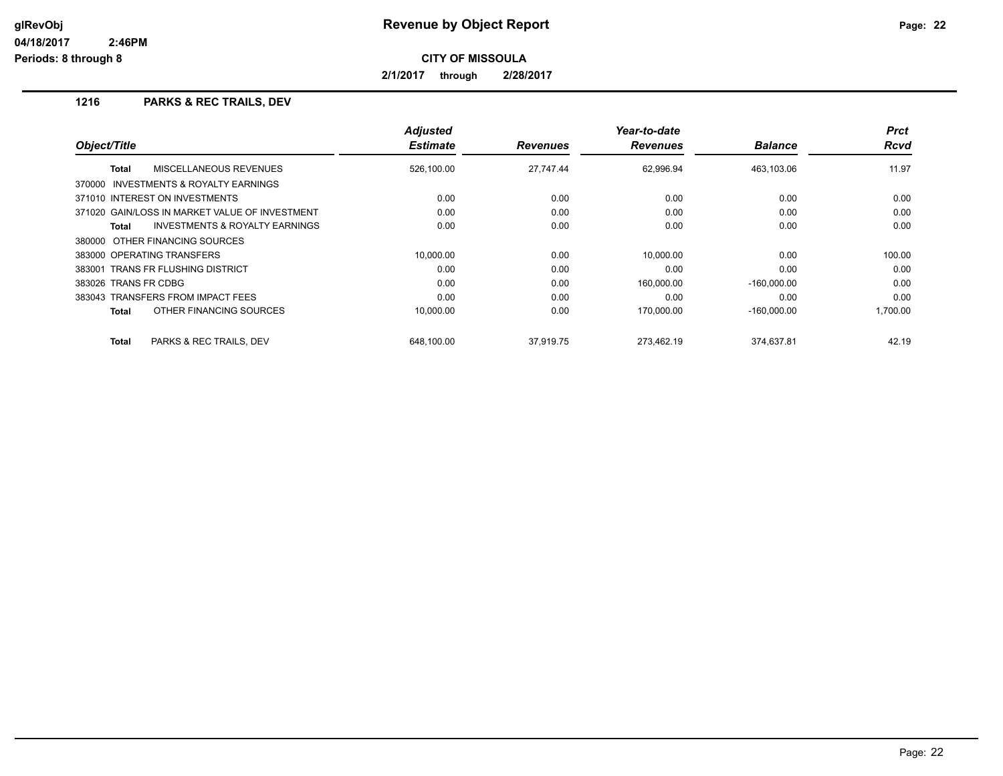**2/1/2017 through 2/28/2017**

# **1216 PARKS & REC TRAILS, DEV**

|                                                           | <b>Adjusted</b> |                 | Year-to-date    |                | <b>Prct</b> |
|-----------------------------------------------------------|-----------------|-----------------|-----------------|----------------|-------------|
| Object/Title                                              | <b>Estimate</b> | <b>Revenues</b> | <b>Revenues</b> | <b>Balance</b> | <b>Rcvd</b> |
| <b>Total</b><br>MISCELLANEOUS REVENUES                    | 526,100.00      | 27.747.44       | 62,996.94       | 463,103.06     | 11.97       |
| INVESTMENTS & ROYALTY EARNINGS<br>370000                  |                 |                 |                 |                |             |
| 371010 INTEREST ON INVESTMENTS                            | 0.00            | 0.00            | 0.00            | 0.00           | 0.00        |
| 371020 GAIN/LOSS IN MARKET VALUE OF INVESTMENT            | 0.00            | 0.00            | 0.00            | 0.00           | 0.00        |
| <b>INVESTMENTS &amp; ROYALTY EARNINGS</b><br><b>Total</b> | 0.00            | 0.00            | 0.00            | 0.00           | 0.00        |
| 380000 OTHER FINANCING SOURCES                            |                 |                 |                 |                |             |
| 383000 OPERATING TRANSFERS                                | 10,000.00       | 0.00            | 10,000.00       | 0.00           | 100.00      |
| 383001 TRANS FR FLUSHING DISTRICT                         | 0.00            | 0.00            | 0.00            | 0.00           | 0.00        |
| 383026 TRANS FR CDBG                                      | 0.00            | 0.00            | 160,000.00      | $-160,000.00$  | 0.00        |
| 383043 TRANSFERS FROM IMPACT FEES                         | 0.00            | 0.00            | 0.00            | 0.00           | 0.00        |
| OTHER FINANCING SOURCES<br><b>Total</b>                   | 10,000.00       | 0.00            | 170,000.00      | $-160,000.00$  | 1.700.00    |
| PARKS & REC TRAILS, DEV<br><b>Total</b>                   | 648.100.00      | 37.919.75       | 273.462.19      | 374.637.81     | 42.19       |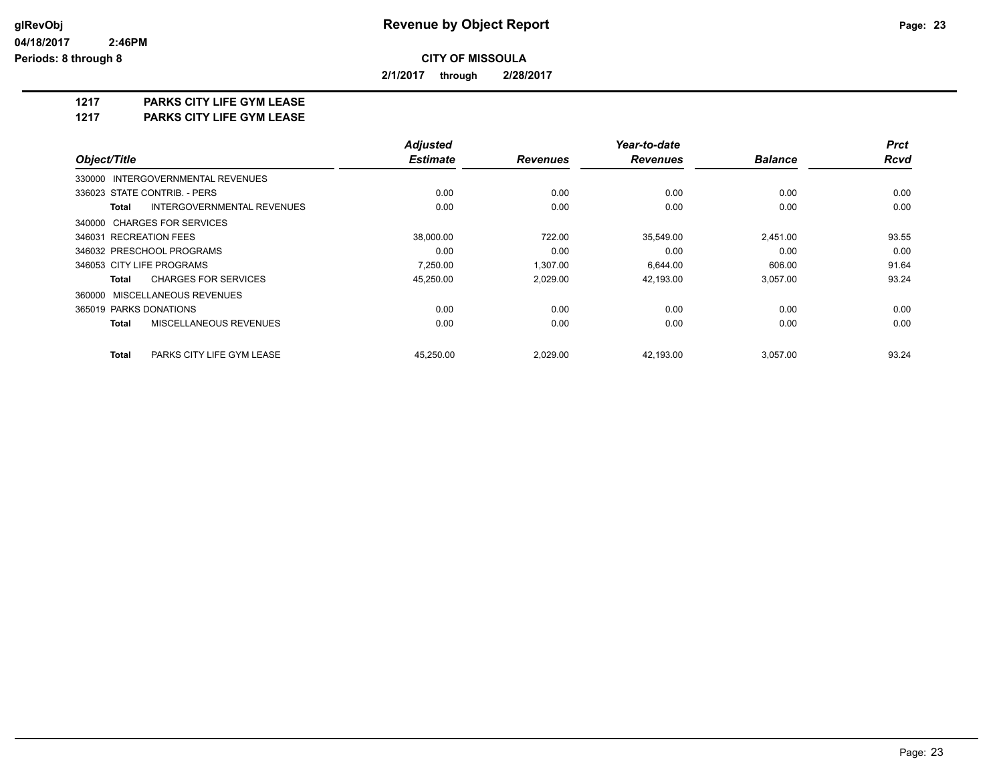**2/1/2017 through 2/28/2017**

# **1217 PARKS CITY LIFE GYM LEASE**

**1217 PARKS CITY LIFE GYM LEASE**

|                                           | <b>Adjusted</b> |                 | Year-to-date    |                | <b>Prct</b> |
|-------------------------------------------|-----------------|-----------------|-----------------|----------------|-------------|
| Object/Title                              | <b>Estimate</b> | <b>Revenues</b> | <b>Revenues</b> | <b>Balance</b> | Rcvd        |
| INTERGOVERNMENTAL REVENUES<br>330000      |                 |                 |                 |                |             |
| 336023 STATE CONTRIB. - PERS              | 0.00            | 0.00            | 0.00            | 0.00           | 0.00        |
| INTERGOVERNMENTAL REVENUES<br>Total       | 0.00            | 0.00            | 0.00            | 0.00           | 0.00        |
| 340000 CHARGES FOR SERVICES               |                 |                 |                 |                |             |
| 346031 RECREATION FEES                    | 38,000.00       | 722.00          | 35.549.00       | 2.451.00       | 93.55       |
| 346032 PRESCHOOL PROGRAMS                 | 0.00            | 0.00            | 0.00            | 0.00           | 0.00        |
| 346053 CITY LIFE PROGRAMS                 | 7,250.00        | 1,307.00        | 6,644.00        | 606.00         | 91.64       |
| <b>CHARGES FOR SERVICES</b><br>Total      | 45,250.00       | 2,029.00        | 42,193.00       | 3,057.00       | 93.24       |
| 360000 MISCELLANEOUS REVENUES             |                 |                 |                 |                |             |
| 365019 PARKS DONATIONS                    | 0.00            | 0.00            | 0.00            | 0.00           | 0.00        |
| MISCELLANEOUS REVENUES<br>Total           | 0.00            | 0.00            | 0.00            | 0.00           | 0.00        |
| PARKS CITY LIFE GYM LEASE<br><b>Total</b> | 45.250.00       | 2.029.00        | 42.193.00       | 3.057.00       | 93.24       |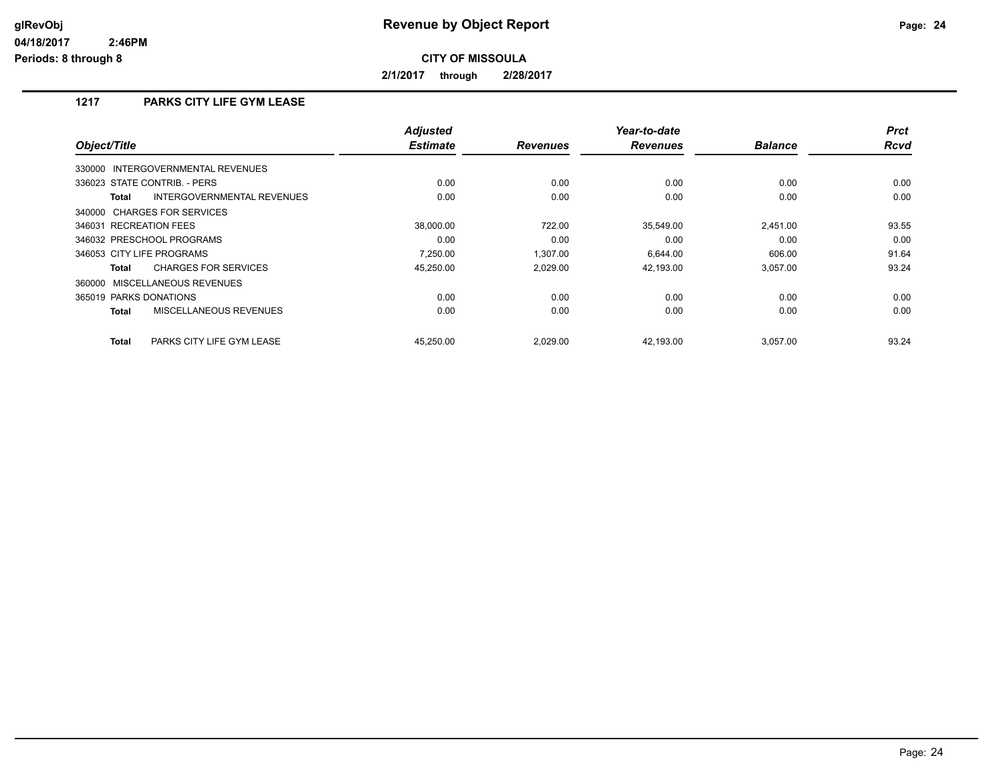**2/1/2017 through 2/28/2017**

# **1217 PARKS CITY LIFE GYM LEASE**

| Object/Title                                      | <b>Adjusted</b><br><b>Estimate</b> | <b>Revenues</b> | Year-to-date<br><b>Revenues</b> | <b>Balance</b> | <b>Prct</b><br><b>Rcvd</b> |
|---------------------------------------------------|------------------------------------|-----------------|---------------------------------|----------------|----------------------------|
| <b>INTERGOVERNMENTAL REVENUES</b><br>330000       |                                    |                 |                                 |                |                            |
| 336023 STATE CONTRIB. - PERS                      | 0.00                               | 0.00            | 0.00                            | 0.00           | 0.00                       |
| <b>INTERGOVERNMENTAL REVENUES</b><br><b>Total</b> | 0.00                               | 0.00            | 0.00                            | 0.00           | 0.00                       |
| 340000 CHARGES FOR SERVICES                       |                                    |                 |                                 |                |                            |
| 346031 RECREATION FEES                            | 38.000.00                          | 722.00          | 35.549.00                       | 2.451.00       | 93.55                      |
| 346032 PRESCHOOL PROGRAMS                         | 0.00                               | 0.00            | 0.00                            | 0.00           | 0.00                       |
| 346053 CITY LIFE PROGRAMS                         | 7.250.00                           | 1,307.00        | 6.644.00                        | 606.00         | 91.64                      |
| <b>CHARGES FOR SERVICES</b><br><b>Total</b>       | 45,250.00                          | 2.029.00        | 42,193.00                       | 3.057.00       | 93.24                      |
| MISCELLANEOUS REVENUES<br>360000                  |                                    |                 |                                 |                |                            |
| 365019 PARKS DONATIONS                            | 0.00                               | 0.00            | 0.00                            | 0.00           | 0.00                       |
| MISCELLANEOUS REVENUES<br><b>Total</b>            | 0.00                               | 0.00            | 0.00                            | 0.00           | 0.00                       |
| PARKS CITY LIFE GYM LEASE<br><b>Total</b>         | 45,250.00                          | 2,029.00        | 42,193.00                       | 3,057.00       | 93.24                      |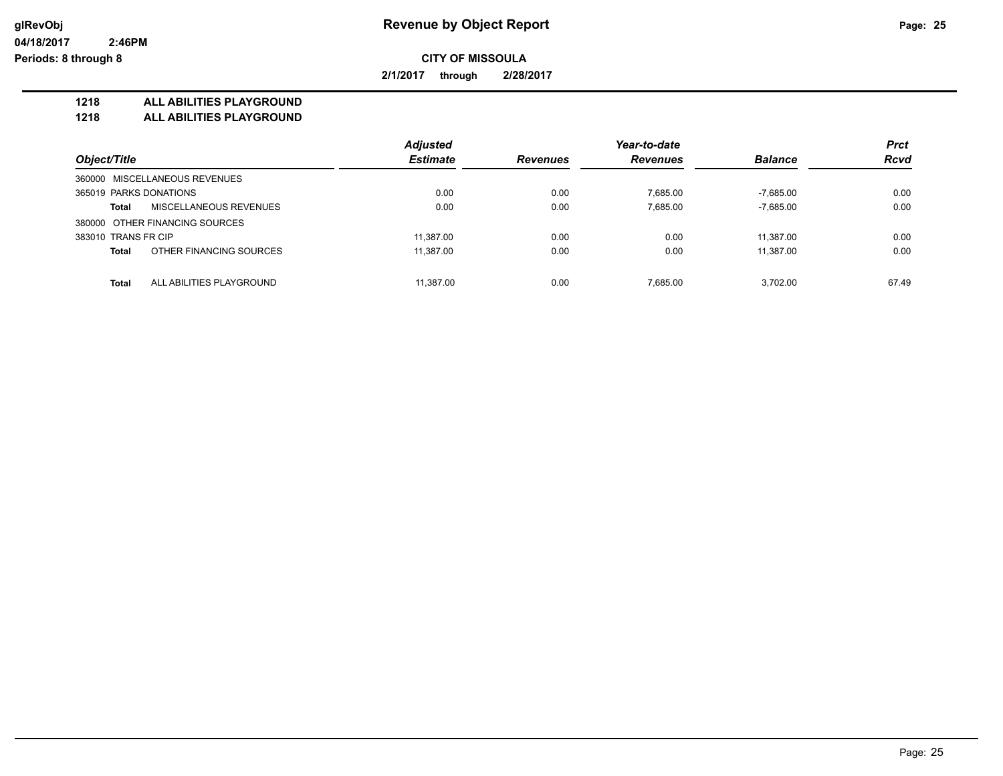**2/1/2017 through 2/28/2017**

**1218 ALL ABILITIES PLAYGROUND**

**1218 ALL ABILITIES PLAYGROUND**

|                                   | <b>Adjusted</b> |                 | Year-to-date    |                | <b>Prct</b> |
|-----------------------------------|-----------------|-----------------|-----------------|----------------|-------------|
| Object/Title                      | <b>Estimate</b> | <b>Revenues</b> | <b>Revenues</b> | <b>Balance</b> | <b>Rcvd</b> |
| 360000 MISCELLANEOUS REVENUES     |                 |                 |                 |                |             |
| 365019 PARKS DONATIONS            | 0.00            | 0.00            | 7.685.00        | $-7.685.00$    | 0.00        |
| MISCELLANEOUS REVENUES<br>Total   | 0.00            | 0.00            | 7.685.00        | $-7.685.00$    | 0.00        |
| 380000 OTHER FINANCING SOURCES    |                 |                 |                 |                |             |
| 383010 TRANS FR CIP               | 11.387.00       | 0.00            | 0.00            | 11.387.00      | 0.00        |
| OTHER FINANCING SOURCES<br>Total  | 11.387.00       | 0.00            | 0.00            | 11.387.00      | 0.00        |
|                                   |                 |                 |                 |                |             |
| Total<br>ALL ABILITIES PLAYGROUND | 11.387.00       | 0.00            | 7.685.00        | 3.702.00       | 67.49       |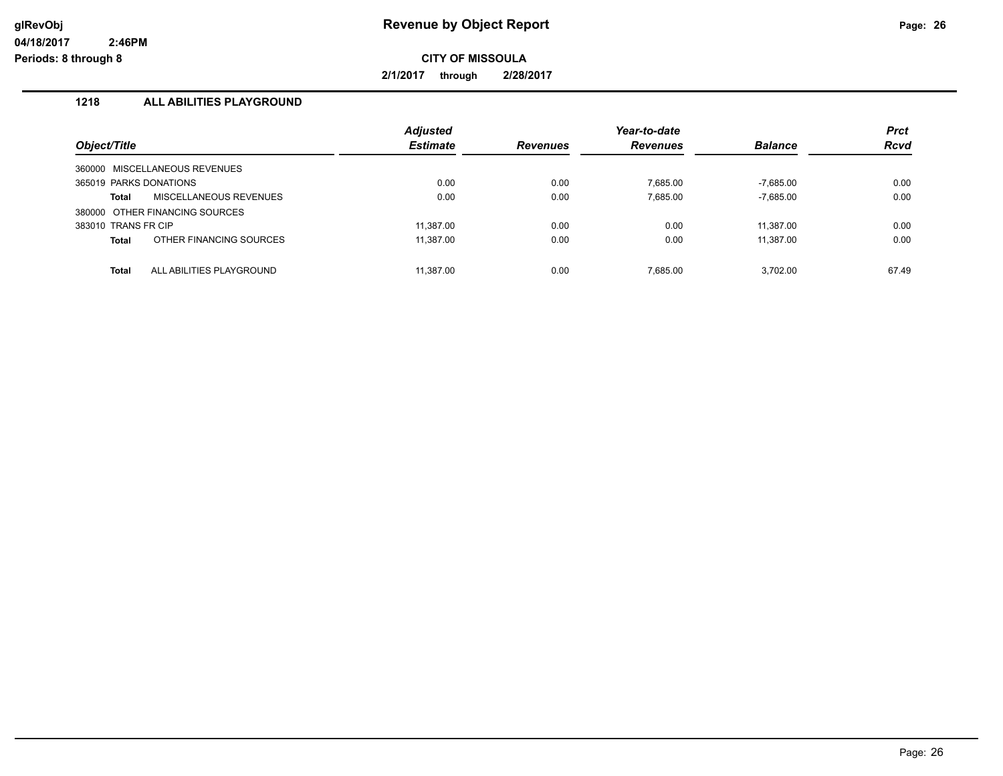**2/1/2017 through 2/28/2017**

## **1218 ALL ABILITIES PLAYGROUND**

|                        |                                | <b>Adjusted</b> |                 | Year-to-date    |                | <b>Prct</b> |
|------------------------|--------------------------------|-----------------|-----------------|-----------------|----------------|-------------|
| Object/Title           |                                | <b>Estimate</b> | <b>Revenues</b> | <b>Revenues</b> | <b>Balance</b> | <b>Rcvd</b> |
|                        | 360000 MISCELLANEOUS REVENUES  |                 |                 |                 |                |             |
| 365019 PARKS DONATIONS |                                | 0.00            | 0.00            | 7.685.00        | $-7.685.00$    | 0.00        |
| Total                  | MISCELLANEOUS REVENUES         | 0.00            | 0.00            | 7,685.00        | $-7.685.00$    | 0.00        |
|                        | 380000 OTHER FINANCING SOURCES |                 |                 |                 |                |             |
| 383010 TRANS FR CIP    |                                | 11.387.00       | 0.00            | 0.00            | 11.387.00      | 0.00        |
| Total                  | OTHER FINANCING SOURCES        | 11.387.00       | 0.00            | 0.00            | 11.387.00      | 0.00        |
| <b>Total</b>           | ALL ABILITIES PLAYGROUND       | 11.387.00       | 0.00            | 7.685.00        | 3.702.00       | 67.49       |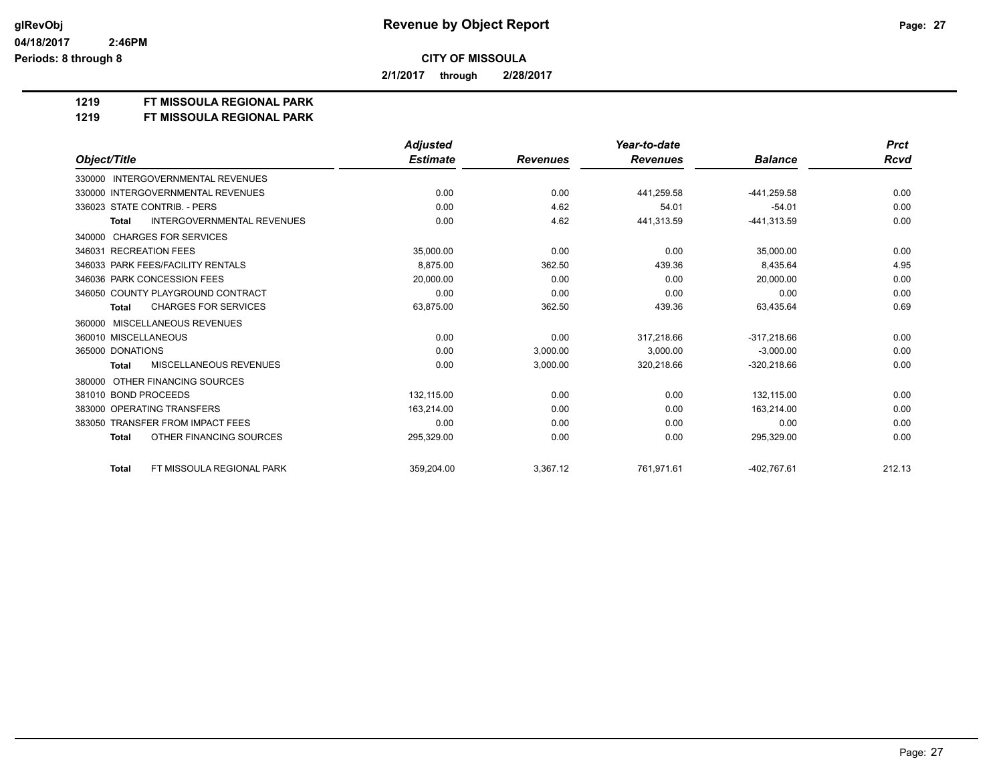**2/1/2017 through 2/28/2017**

# **1219 FT MISSOULA REGIONAL PARK**

#### **1219 FT MISSOULA REGIONAL PARK**

|                                             | <b>Adjusted</b> |                 | Year-to-date    |                | <b>Prct</b> |
|---------------------------------------------|-----------------|-----------------|-----------------|----------------|-------------|
| Object/Title                                | <b>Estimate</b> | <b>Revenues</b> | <b>Revenues</b> | <b>Balance</b> | Rcvd        |
| 330000 INTERGOVERNMENTAL REVENUES           |                 |                 |                 |                |             |
| 330000 INTERGOVERNMENTAL REVENUES           | 0.00            | 0.00            | 441.259.58      | $-441.259.58$  | 0.00        |
| 336023 STATE CONTRIB. - PERS                | 0.00            | 4.62            | 54.01           | $-54.01$       | 0.00        |
| <b>INTERGOVERNMENTAL REVENUES</b><br>Total  | 0.00            | 4.62            | 441,313.59      | -441,313.59    | 0.00        |
| 340000 CHARGES FOR SERVICES                 |                 |                 |                 |                |             |
| 346031 RECREATION FEES                      | 35,000.00       | 0.00            | 0.00            | 35,000.00      | 0.00        |
| 346033 PARK FEES/FACILITY RENTALS           | 8.875.00        | 362.50          | 439.36          | 8,435.64       | 4.95        |
| 346036 PARK CONCESSION FEES                 | 20,000.00       | 0.00            | 0.00            | 20,000.00      | 0.00        |
| 346050 COUNTY PLAYGROUND CONTRACT           | 0.00            | 0.00            | 0.00            | 0.00           | 0.00        |
| <b>CHARGES FOR SERVICES</b><br><b>Total</b> | 63,875.00       | 362.50          | 439.36          | 63,435.64      | 0.69        |
| 360000 MISCELLANEOUS REVENUES               |                 |                 |                 |                |             |
| 360010 MISCELLANEOUS                        | 0.00            | 0.00            | 317,218.66      | $-317,218.66$  | 0.00        |
| 365000 DONATIONS                            | 0.00            | 3,000.00        | 3,000.00        | $-3,000.00$    | 0.00        |
| <b>MISCELLANEOUS REVENUES</b><br>Total      | 0.00            | 3,000.00        | 320,218.66      | $-320,218.66$  | 0.00        |
| 380000 OTHER FINANCING SOURCES              |                 |                 |                 |                |             |
| 381010 BOND PROCEEDS                        | 132.115.00      | 0.00            | 0.00            | 132,115.00     | 0.00        |
| 383000 OPERATING TRANSFERS                  | 163.214.00      | 0.00            | 0.00            | 163.214.00     | 0.00        |
| 383050 TRANSFER FROM IMPACT FEES            | 0.00            | 0.00            | 0.00            | 0.00           | 0.00        |
| OTHER FINANCING SOURCES<br><b>Total</b>     | 295,329.00      | 0.00            | 0.00            | 295,329.00     | 0.00        |
| FT MISSOULA REGIONAL PARK<br><b>Total</b>   | 359,204.00      | 3,367.12        | 761,971.61      | -402,767.61    | 212.13      |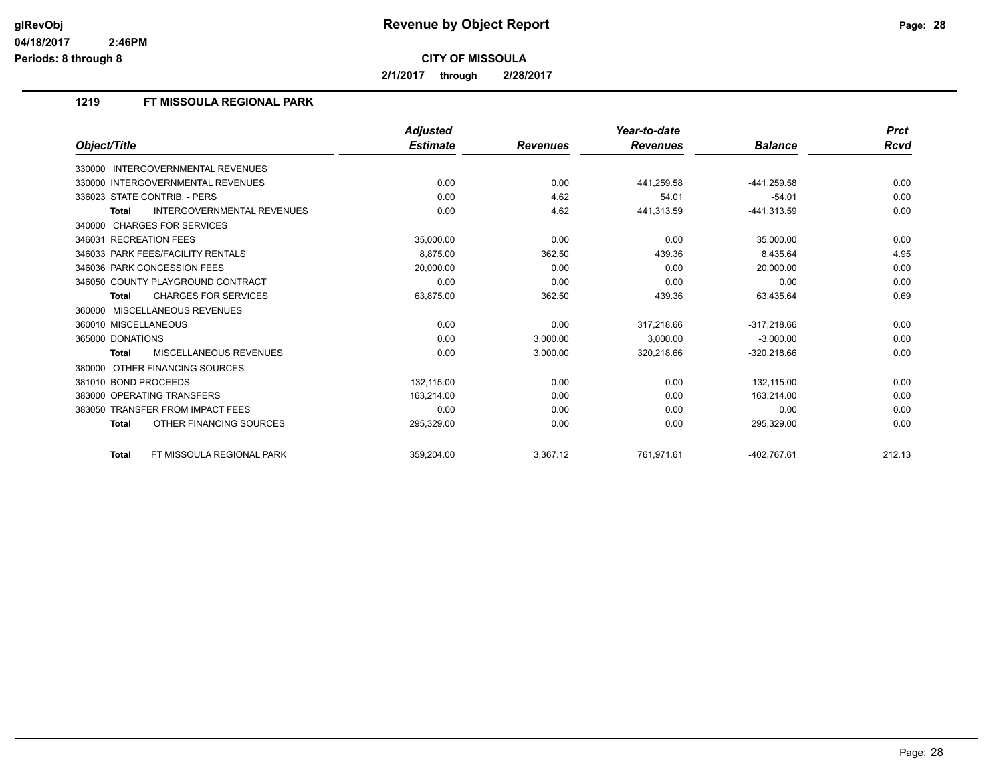**2/1/2017 through 2/28/2017**

## **1219 FT MISSOULA REGIONAL PARK**

|                                             | <b>Adjusted</b> |                 | Year-to-date    |                | <b>Prct</b> |
|---------------------------------------------|-----------------|-----------------|-----------------|----------------|-------------|
| Object/Title                                | <b>Estimate</b> | <b>Revenues</b> | <b>Revenues</b> | <b>Balance</b> | Rcvd        |
| 330000 INTERGOVERNMENTAL REVENUES           |                 |                 |                 |                |             |
| 330000 INTERGOVERNMENTAL REVENUES           | 0.00            | 0.00            | 441,259.58      | $-441,259.58$  | 0.00        |
| 336023 STATE CONTRIB. - PERS                | 0.00            | 4.62            | 54.01           | $-54.01$       | 0.00        |
| <b>INTERGOVERNMENTAL REVENUES</b><br>Total  | 0.00            | 4.62            | 441,313.59      | -441,313.59    | 0.00        |
| 340000 CHARGES FOR SERVICES                 |                 |                 |                 |                |             |
| 346031 RECREATION FEES                      | 35.000.00       | 0.00            | 0.00            | 35,000.00      | 0.00        |
| 346033 PARK FEES/FACILITY RENTALS           | 8,875.00        | 362.50          | 439.36          | 8,435.64       | 4.95        |
| 346036 PARK CONCESSION FEES                 | 20,000.00       | 0.00            | 0.00            | 20,000.00      | 0.00        |
| 346050 COUNTY PLAYGROUND CONTRACT           | 0.00            | 0.00            | 0.00            | 0.00           | 0.00        |
| <b>CHARGES FOR SERVICES</b><br><b>Total</b> | 63,875.00       | 362.50          | 439.36          | 63,435.64      | 0.69        |
| 360000 MISCELLANEOUS REVENUES               |                 |                 |                 |                |             |
| 360010 MISCELLANEOUS                        | 0.00            | 0.00            | 317,218.66      | $-317,218.66$  | 0.00        |
| 365000 DONATIONS                            | 0.00            | 3,000.00        | 3,000.00        | $-3,000.00$    | 0.00        |
| MISCELLANEOUS REVENUES<br><b>Total</b>      | 0.00            | 3,000.00        | 320,218.66      | $-320,218.66$  | 0.00        |
| OTHER FINANCING SOURCES<br>380000           |                 |                 |                 |                |             |
| 381010 BOND PROCEEDS                        | 132.115.00      | 0.00            | 0.00            | 132.115.00     | 0.00        |
| 383000 OPERATING TRANSFERS                  | 163,214.00      | 0.00            | 0.00            | 163,214.00     | 0.00        |
| 383050 TRANSFER FROM IMPACT FEES            | 0.00            | 0.00            | 0.00            | 0.00           | 0.00        |
| OTHER FINANCING SOURCES<br><b>Total</b>     | 295,329.00      | 0.00            | 0.00            | 295,329.00     | 0.00        |
| FT MISSOULA REGIONAL PARK<br><b>Total</b>   | 359,204.00      | 3,367.12        | 761,971.61      | -402,767.61    | 212.13      |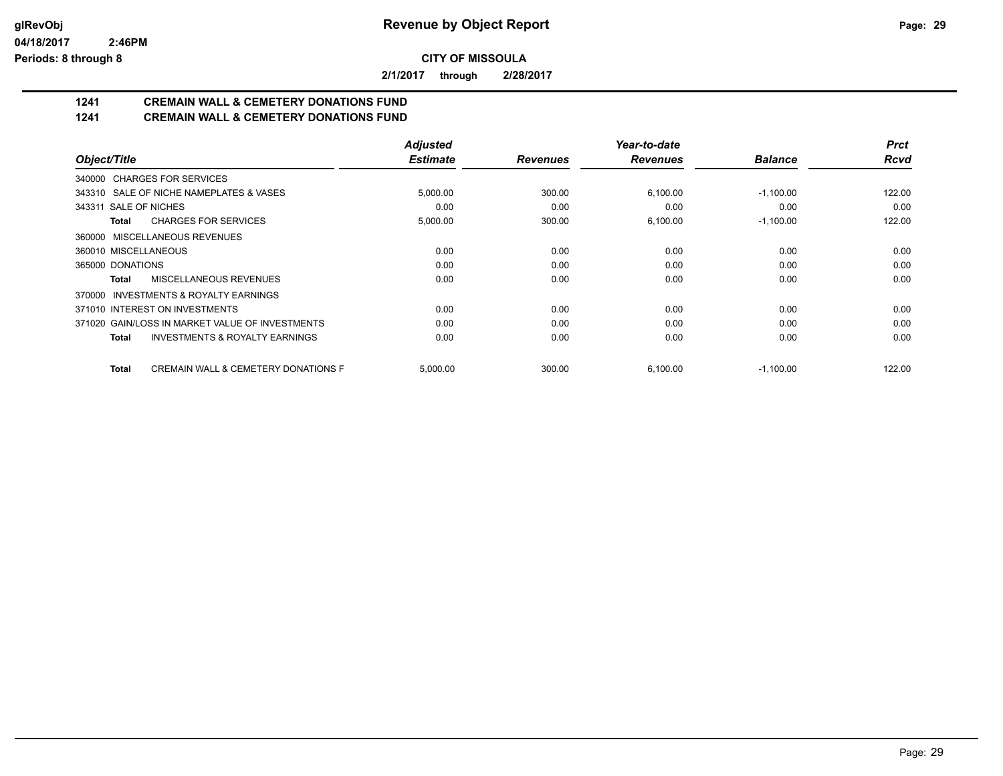**2/1/2017 through 2/28/2017**

# **1241 CREMAIN WALL & CEMETERY DONATIONS FUND 1241 CREMAIN WALL & CEMETERY DONATIONS FUND**

|                                                                | <b>Adjusted</b> |                 | Year-to-date    |                | <b>Prct</b> |
|----------------------------------------------------------------|-----------------|-----------------|-----------------|----------------|-------------|
| Object/Title                                                   | <b>Estimate</b> | <b>Revenues</b> | <b>Revenues</b> | <b>Balance</b> | <b>Rcvd</b> |
| 340000 CHARGES FOR SERVICES                                    |                 |                 |                 |                |             |
| 343310 SALE OF NICHE NAMEPLATES & VASES                        | 5,000.00        | 300.00          | 6,100.00        | $-1,100.00$    | 122.00      |
| <b>SALE OF NICHES</b><br>343311                                | 0.00            | 0.00            | 0.00            | 0.00           | 0.00        |
| <b>CHARGES FOR SERVICES</b><br>Total                           | 5,000.00        | 300.00          | 6,100.00        | $-1,100.00$    | 122.00      |
| 360000 MISCELLANEOUS REVENUES                                  |                 |                 |                 |                |             |
| 360010 MISCELLANEOUS                                           | 0.00            | 0.00            | 0.00            | 0.00           | 0.00        |
| 365000 DONATIONS                                               | 0.00            | 0.00            | 0.00            | 0.00           | 0.00        |
| MISCELLANEOUS REVENUES<br>Total                                | 0.00            | 0.00            | 0.00            | 0.00           | 0.00        |
| 370000 INVESTMENTS & ROYALTY EARNINGS                          |                 |                 |                 |                |             |
| 371010 INTEREST ON INVESTMENTS                                 | 0.00            | 0.00            | 0.00            | 0.00           | 0.00        |
| 371020 GAIN/LOSS IN MARKET VALUE OF INVESTMENTS                | 0.00            | 0.00            | 0.00            | 0.00           | 0.00        |
| <b>INVESTMENTS &amp; ROYALTY EARNINGS</b><br><b>Total</b>      | 0.00            | 0.00            | 0.00            | 0.00           | 0.00        |
| <b>CREMAIN WALL &amp; CEMETERY DONATIONS F</b><br><b>Total</b> | 5,000.00        | 300.00          | 6,100.00        | $-1,100.00$    | 122.00      |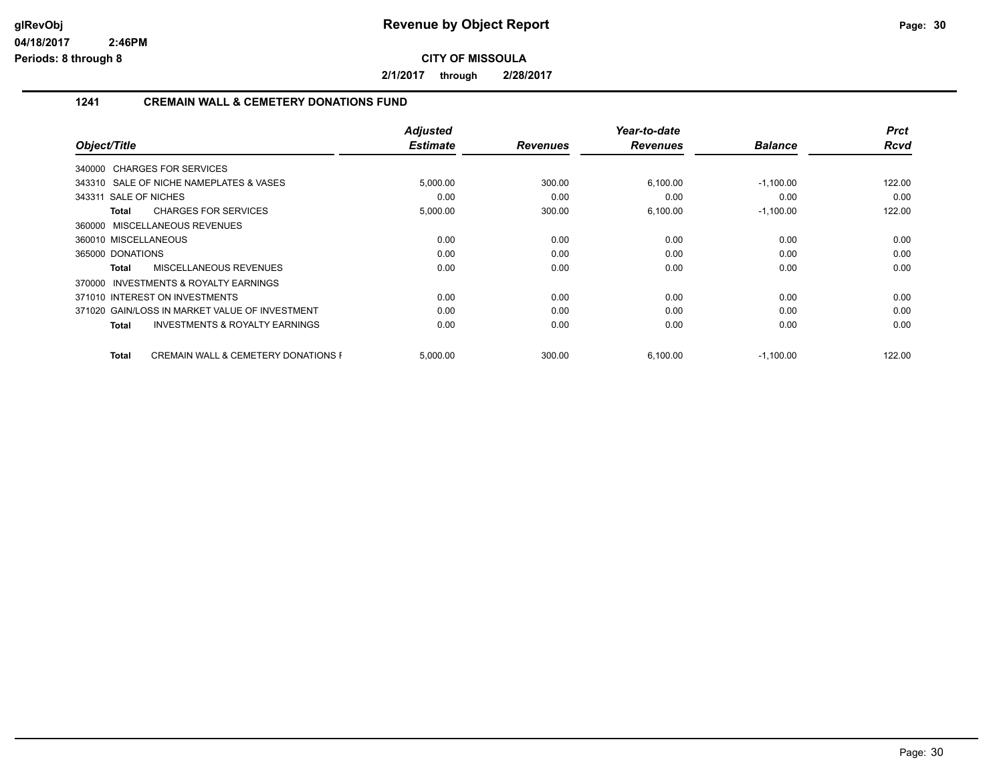**2/1/2017 through 2/28/2017**

## **1241 CREMAIN WALL & CEMETERY DONATIONS FUND**

|                                                         | <b>Adjusted</b> |                 | Year-to-date    |                | <b>Prct</b> |
|---------------------------------------------------------|-----------------|-----------------|-----------------|----------------|-------------|
| Object/Title                                            | <b>Estimate</b> | <b>Revenues</b> | <b>Revenues</b> | <b>Balance</b> | <b>Rcvd</b> |
| 340000 CHARGES FOR SERVICES                             |                 |                 |                 |                |             |
| 343310 SALE OF NICHE NAMEPLATES & VASES                 | 5,000.00        | 300.00          | 6,100.00        | $-1,100.00$    | 122.00      |
| 343311 SALE OF NICHES                                   | 0.00            | 0.00            | 0.00            | 0.00           | 0.00        |
| <b>CHARGES FOR SERVICES</b><br>Total                    | 5,000.00        | 300.00          | 6,100.00        | $-1,100.00$    | 122.00      |
| 360000 MISCELLANEOUS REVENUES                           |                 |                 |                 |                |             |
| 360010 MISCELLANEOUS                                    | 0.00            | 0.00            | 0.00            | 0.00           | 0.00        |
| 365000 DONATIONS                                        | 0.00            | 0.00            | 0.00            | 0.00           | 0.00        |
| MISCELLANEOUS REVENUES<br>Total                         | 0.00            | 0.00            | 0.00            | 0.00           | 0.00        |
| <b>INVESTMENTS &amp; ROYALTY EARNINGS</b><br>370000     |                 |                 |                 |                |             |
| 371010 INTEREST ON INVESTMENTS                          | 0.00            | 0.00            | 0.00            | 0.00           | 0.00        |
| 371020 GAIN/LOSS IN MARKET VALUE OF INVESTMENT          | 0.00            | 0.00            | 0.00            | 0.00           | 0.00        |
| <b>INVESTMENTS &amp; ROYALTY EARNINGS</b><br>Total      | 0.00            | 0.00            | 0.00            | 0.00           | 0.00        |
| <b>CREMAIN WALL &amp; CEMETERY DONATIONS F</b><br>Total | 5,000.00        | 300.00          | 6,100.00        | $-1,100.00$    | 122.00      |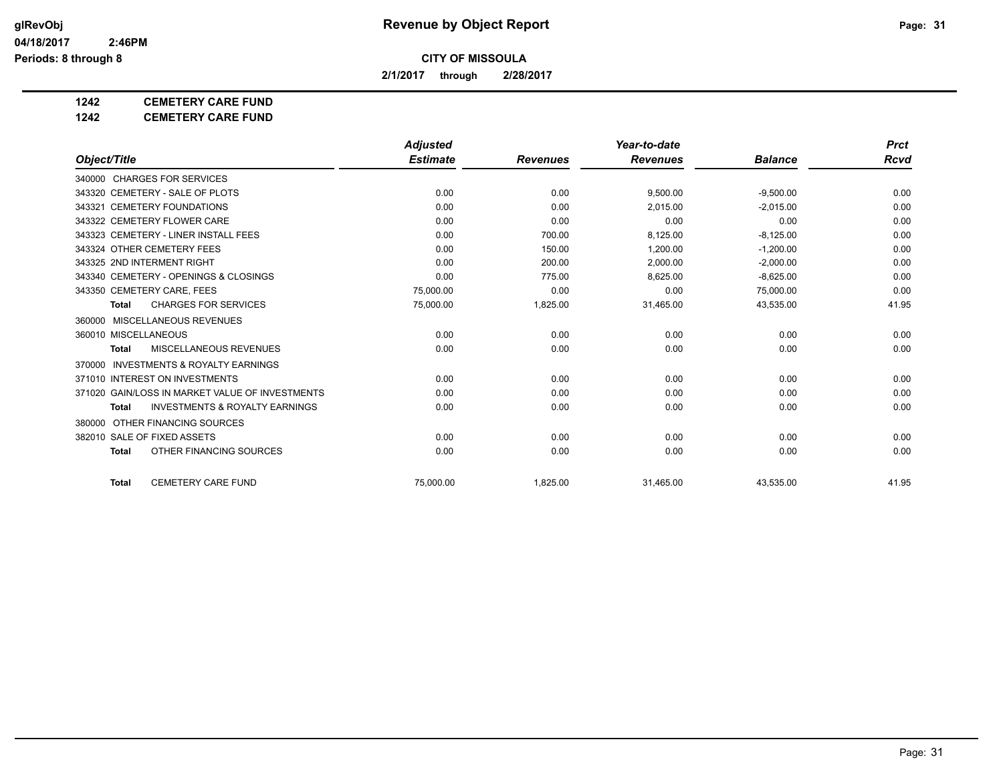**2/1/2017 through 2/28/2017**

**1242 CEMETERY CARE FUND**

| 1242 | <b>CEMETERY CARE FUND</b> |
|------|---------------------------|
|      |                           |

|                                                           | <b>Adjusted</b> |                 | Year-to-date    |                | <b>Prct</b> |
|-----------------------------------------------------------|-----------------|-----------------|-----------------|----------------|-------------|
| Object/Title                                              | <b>Estimate</b> | <b>Revenues</b> | <b>Revenues</b> | <b>Balance</b> | <b>Rcvd</b> |
| 340000 CHARGES FOR SERVICES                               |                 |                 |                 |                |             |
| 343320 CEMETERY - SALE OF PLOTS                           | 0.00            | 0.00            | 9,500.00        | $-9,500.00$    | 0.00        |
| 343321 CEMETERY FOUNDATIONS                               | 0.00            | 0.00            | 2,015.00        | $-2,015.00$    | 0.00        |
| 343322 CEMETERY FLOWER CARE                               | 0.00            | 0.00            | 0.00            | 0.00           | 0.00        |
| 343323 CEMETERY - LINER INSTALL FEES                      | 0.00            | 700.00          | 8,125.00        | $-8,125.00$    | 0.00        |
| 343324 OTHER CEMETERY FEES                                | 0.00            | 150.00          | 1.200.00        | $-1,200.00$    | 0.00        |
| 343325 2ND INTERMENT RIGHT                                | 0.00            | 200.00          | 2,000.00        | $-2,000.00$    | 0.00        |
| 343340 CEMETERY - OPENINGS & CLOSINGS                     | 0.00            | 775.00          | 8,625.00        | $-8,625.00$    | 0.00        |
| 343350 CEMETERY CARE, FEES                                | 75,000.00       | 0.00            | 0.00            | 75,000.00      | 0.00        |
| <b>CHARGES FOR SERVICES</b><br><b>Total</b>               | 75,000.00       | 1,825.00        | 31,465.00       | 43,535.00      | 41.95       |
| 360000 MISCELLANEOUS REVENUES                             |                 |                 |                 |                |             |
| 360010 MISCELLANEOUS                                      | 0.00            | 0.00            | 0.00            | 0.00           | 0.00        |
| MISCELLANEOUS REVENUES<br><b>Total</b>                    | 0.00            | 0.00            | 0.00            | 0.00           | 0.00        |
| <b>INVESTMENTS &amp; ROYALTY EARNINGS</b><br>370000       |                 |                 |                 |                |             |
| 371010 INTEREST ON INVESTMENTS                            | 0.00            | 0.00            | 0.00            | 0.00           | 0.00        |
| 371020 GAIN/LOSS IN MARKET VALUE OF INVESTMENTS           | 0.00            | 0.00            | 0.00            | 0.00           | 0.00        |
| <b>INVESTMENTS &amp; ROYALTY EARNINGS</b><br><b>Total</b> | 0.00            | 0.00            | 0.00            | 0.00           | 0.00        |
| 380000 OTHER FINANCING SOURCES                            |                 |                 |                 |                |             |
| 382010 SALE OF FIXED ASSETS                               | 0.00            | 0.00            | 0.00            | 0.00           | 0.00        |
| OTHER FINANCING SOURCES<br><b>Total</b>                   | 0.00            | 0.00            | 0.00            | 0.00           | 0.00        |
| <b>CEMETERY CARE FUND</b><br><b>Total</b>                 | 75.000.00       | 1.825.00        | 31.465.00       | 43.535.00      | 41.95       |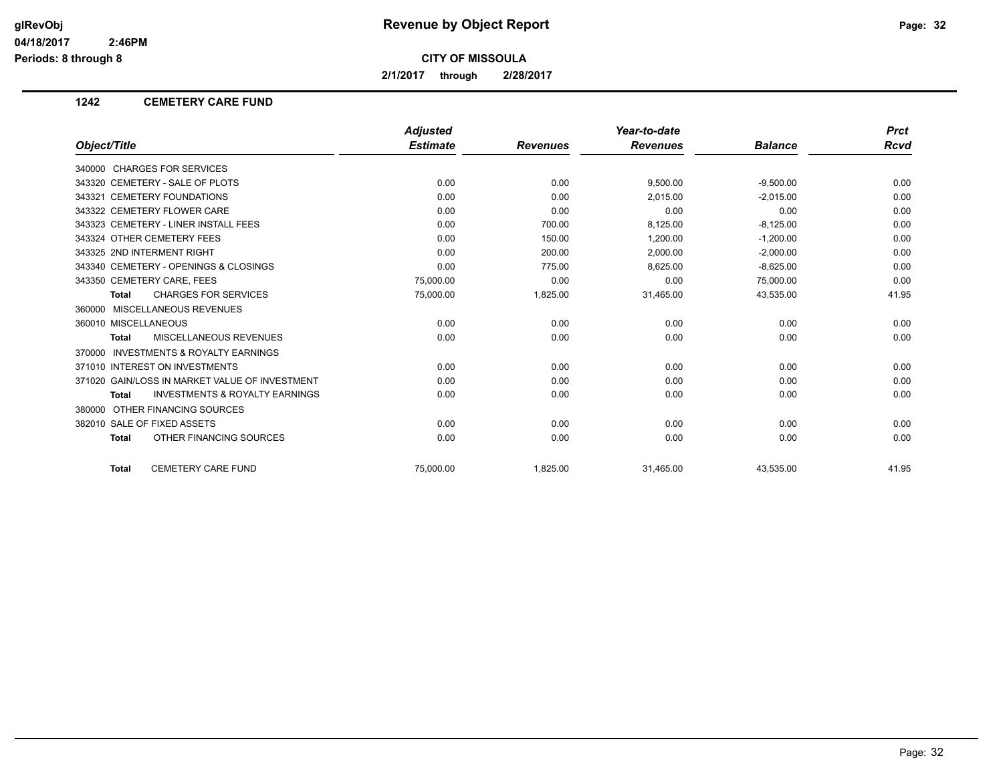**2/1/2017 through 2/28/2017**

## **1242 CEMETERY CARE FUND**

|                                                     | <b>Adjusted</b> |                 | Year-to-date    |                | <b>Prct</b> |
|-----------------------------------------------------|-----------------|-----------------|-----------------|----------------|-------------|
| Object/Title                                        | <b>Estimate</b> | <b>Revenues</b> | <b>Revenues</b> | <b>Balance</b> | Rcvd        |
| 340000 CHARGES FOR SERVICES                         |                 |                 |                 |                |             |
| 343320 CEMETERY - SALE OF PLOTS                     | 0.00            | 0.00            | 9,500.00        | $-9,500.00$    | 0.00        |
| 343321 CEMETERY FOUNDATIONS                         | 0.00            | 0.00            | 2,015.00        | $-2,015.00$    | 0.00        |
| 343322 CEMETERY FLOWER CARE                         | 0.00            | 0.00            | 0.00            | 0.00           | 0.00        |
| 343323 CEMETERY - LINER INSTALL FEES                | 0.00            | 700.00          | 8,125.00        | $-8,125.00$    | 0.00        |
| 343324 OTHER CEMETERY FEES                          | 0.00            | 150.00          | 1.200.00        | $-1,200.00$    | 0.00        |
| 343325 2ND INTERMENT RIGHT                          | 0.00            | 200.00          | 2,000.00        | $-2,000.00$    | 0.00        |
| 343340 CEMETERY - OPENINGS & CLOSINGS               | 0.00            | 775.00          | 8,625.00        | $-8,625.00$    | 0.00        |
| 343350 CEMETERY CARE, FEES                          | 75,000.00       | 0.00            | 0.00            | 75,000.00      | 0.00        |
| <b>CHARGES FOR SERVICES</b><br><b>Total</b>         | 75,000.00       | 1,825.00        | 31,465.00       | 43,535.00      | 41.95       |
| 360000 MISCELLANEOUS REVENUES                       |                 |                 |                 |                |             |
| 360010 MISCELLANEOUS                                | 0.00            | 0.00            | 0.00            | 0.00           | 0.00        |
| MISCELLANEOUS REVENUES<br><b>Total</b>              | 0.00            | 0.00            | 0.00            | 0.00           | 0.00        |
| <b>INVESTMENTS &amp; ROYALTY EARNINGS</b><br>370000 |                 |                 |                 |                |             |
| 371010 INTEREST ON INVESTMENTS                      | 0.00            | 0.00            | 0.00            | 0.00           | 0.00        |
| 371020 GAIN/LOSS IN MARKET VALUE OF INVESTMENT      | 0.00            | 0.00            | 0.00            | 0.00           | 0.00        |
| INVESTMENTS & ROYALTY EARNINGS<br><b>Total</b>      | 0.00            | 0.00            | 0.00            | 0.00           | 0.00        |
| 380000 OTHER FINANCING SOURCES                      |                 |                 |                 |                |             |
| 382010 SALE OF FIXED ASSETS                         | 0.00            | 0.00            | 0.00            | 0.00           | 0.00        |
| OTHER FINANCING SOURCES<br><b>Total</b>             | 0.00            | 0.00            | 0.00            | 0.00           | 0.00        |
| <b>CEMETERY CARE FUND</b><br><b>Total</b>           | 75.000.00       | 1.825.00        | 31.465.00       | 43.535.00      | 41.95       |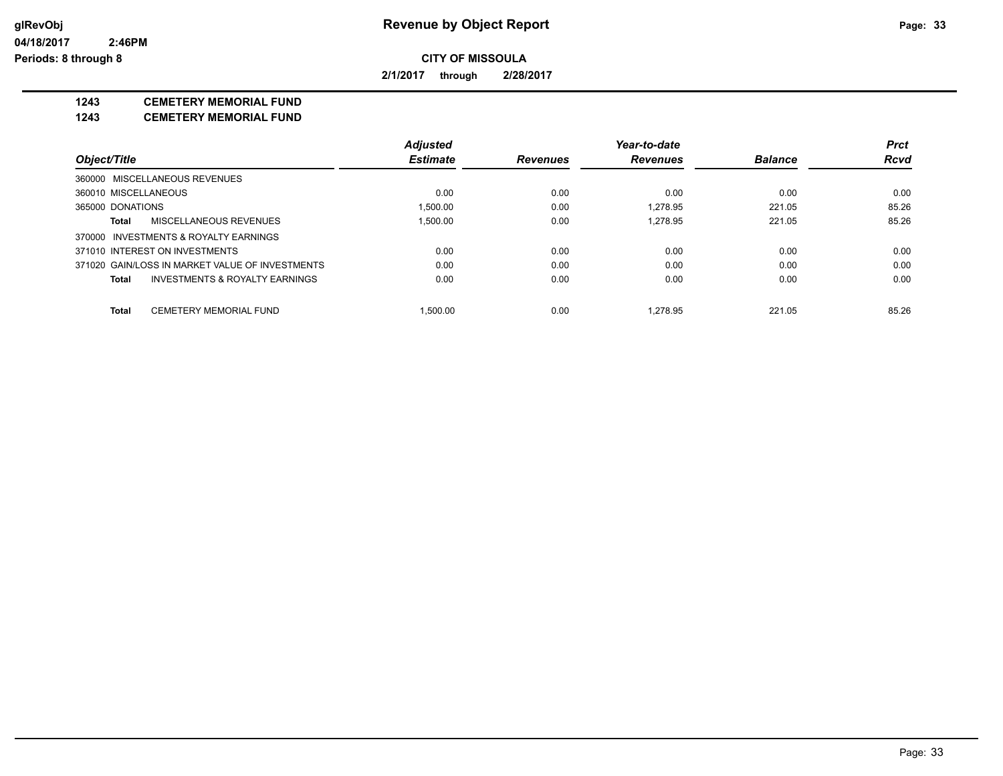**2/1/2017 through 2/28/2017**

**1243 CEMETERY MEMORIAL FUND**

**1243 CEMETERY MEMORIAL FUND**

|                                                    | <b>Adjusted</b> |          | Year-to-date    |                | <b>Prct</b> |
|----------------------------------------------------|-----------------|----------|-----------------|----------------|-------------|
| Object/Title                                       | <b>Estimate</b> | Revenues | <b>Revenues</b> | <b>Balance</b> | Rcvd        |
| 360000 MISCELLANEOUS REVENUES                      |                 |          |                 |                |             |
| 360010 MISCELLANEOUS                               | 0.00            | 0.00     | 0.00            | 0.00           | 0.00        |
| 365000 DONATIONS                                   | 1.500.00        | 0.00     | 1.278.95        | 221.05         | 85.26       |
| MISCELLANEOUS REVENUES<br>Total                    | 1,500.00        | 0.00     | 1.278.95        | 221.05         | 85.26       |
| 370000 INVESTMENTS & ROYALTY EARNINGS              |                 |          |                 |                |             |
| 371010 INTEREST ON INVESTMENTS                     | 0.00            | 0.00     | 0.00            | 0.00           | 0.00        |
| 371020 GAIN/LOSS IN MARKET VALUE OF INVESTMENTS    | 0.00            | 0.00     | 0.00            | 0.00           | 0.00        |
| <b>INVESTMENTS &amp; ROYALTY EARNINGS</b><br>Total | 0.00            | 0.00     | 0.00            | 0.00           | 0.00        |
| <b>CEMETERY MEMORIAL FUND</b><br><b>Total</b>      | 1.500.00        | 0.00     | 1.278.95        | 221.05         | 85.26       |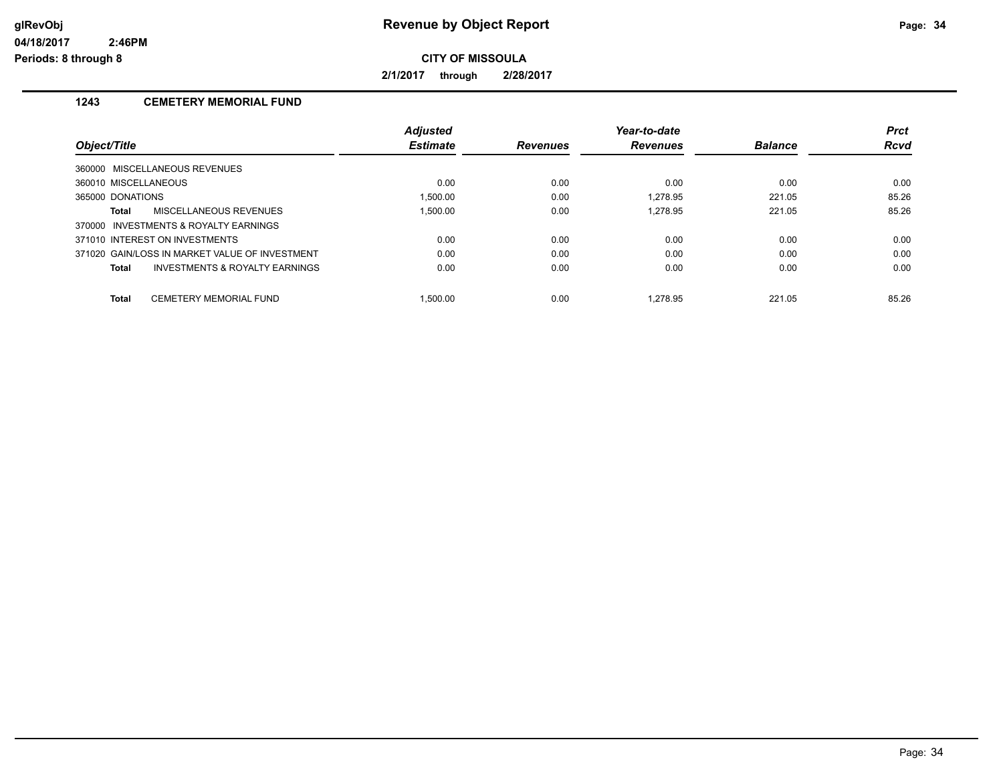**2/1/2017 through 2/28/2017**

## **1243 CEMETERY MEMORIAL FUND**

|                      |                                                | <b>Adjusted</b> |                 | Year-to-date    |                | <b>Prct</b> |
|----------------------|------------------------------------------------|-----------------|-----------------|-----------------|----------------|-------------|
| Object/Title         |                                                | <b>Estimate</b> | <b>Revenues</b> | <b>Revenues</b> | <b>Balance</b> | <b>Rcvd</b> |
|                      | 360000 MISCELLANEOUS REVENUES                  |                 |                 |                 |                |             |
| 360010 MISCELLANEOUS |                                                | 0.00            | 0.00            | 0.00            | 0.00           | 0.00        |
| 365000 DONATIONS     |                                                | 1.500.00        | 0.00            | 1.278.95        | 221.05         | 85.26       |
| Total                | MISCELLANEOUS REVENUES                         | 1.500.00        | 0.00            | 1.278.95        | 221.05         | 85.26       |
|                      | 370000 INVESTMENTS & ROYALTY EARNINGS          |                 |                 |                 |                |             |
|                      | 371010 INTEREST ON INVESTMENTS                 | 0.00            | 0.00            | 0.00            | 0.00           | 0.00        |
|                      | 371020 GAIN/LOSS IN MARKET VALUE OF INVESTMENT | 0.00            | 0.00            | 0.00            | 0.00           | 0.00        |
| Total                | INVESTMENTS & ROYALTY EARNINGS                 | 0.00            | 0.00            | 0.00            | 0.00           | 0.00        |
| <b>Total</b>         | CEMETERY MEMORIAL FUND                         | 1.500.00        | 0.00            | 1.278.95        | 221.05         | 85.26       |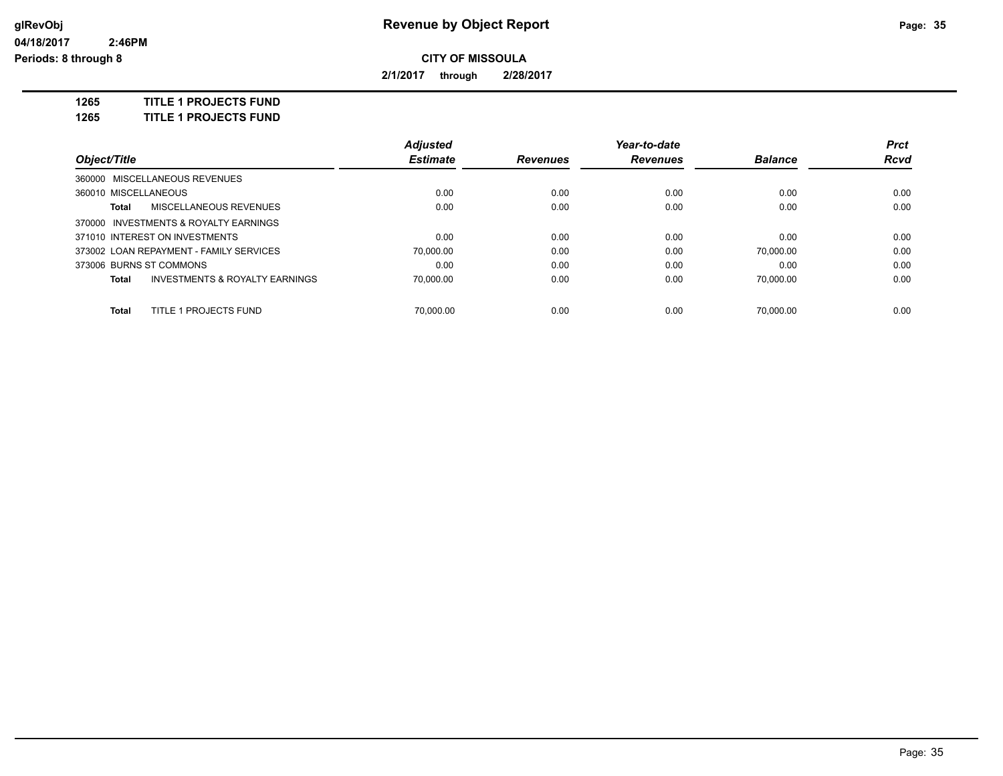**2/1/2017 through 2/28/2017**

**1265 TITLE 1 PROJECTS FUND**

**1265 TITLE 1 PROJECTS FUND**

|                                                    | <b>Adjusted</b> |                 | Year-to-date    |                | <b>Prct</b> |
|----------------------------------------------------|-----------------|-----------------|-----------------|----------------|-------------|
| Object/Title                                       | <b>Estimate</b> | <b>Revenues</b> | <b>Revenues</b> | <b>Balance</b> | <b>Rcvd</b> |
| 360000 MISCELLANEOUS REVENUES                      |                 |                 |                 |                |             |
| 360010 MISCELLANEOUS                               | 0.00            | 0.00            | 0.00            | 0.00           | 0.00        |
| MISCELLANEOUS REVENUES<br>Total                    | 0.00            | 0.00            | 0.00            | 0.00           | 0.00        |
| 370000 INVESTMENTS & ROYALTY EARNINGS              |                 |                 |                 |                |             |
| 371010 INTEREST ON INVESTMENTS                     | 0.00            | 0.00            | 0.00            | 0.00           | 0.00        |
| 373002 LOAN REPAYMENT - FAMILY SERVICES            | 70.000.00       | 0.00            | 0.00            | 70.000.00      | 0.00        |
| 373006 BURNS ST COMMONS                            | 0.00            | 0.00            | 0.00            | 0.00           | 0.00        |
| <b>INVESTMENTS &amp; ROYALTY EARNINGS</b><br>Total | 70,000.00       | 0.00            | 0.00            | 70.000.00      | 0.00        |
| <b>TITLE 1 PROJECTS FUND</b><br>Total              | 70.000.00       | 0.00            | 0.00            | 70.000.00      | 0.00        |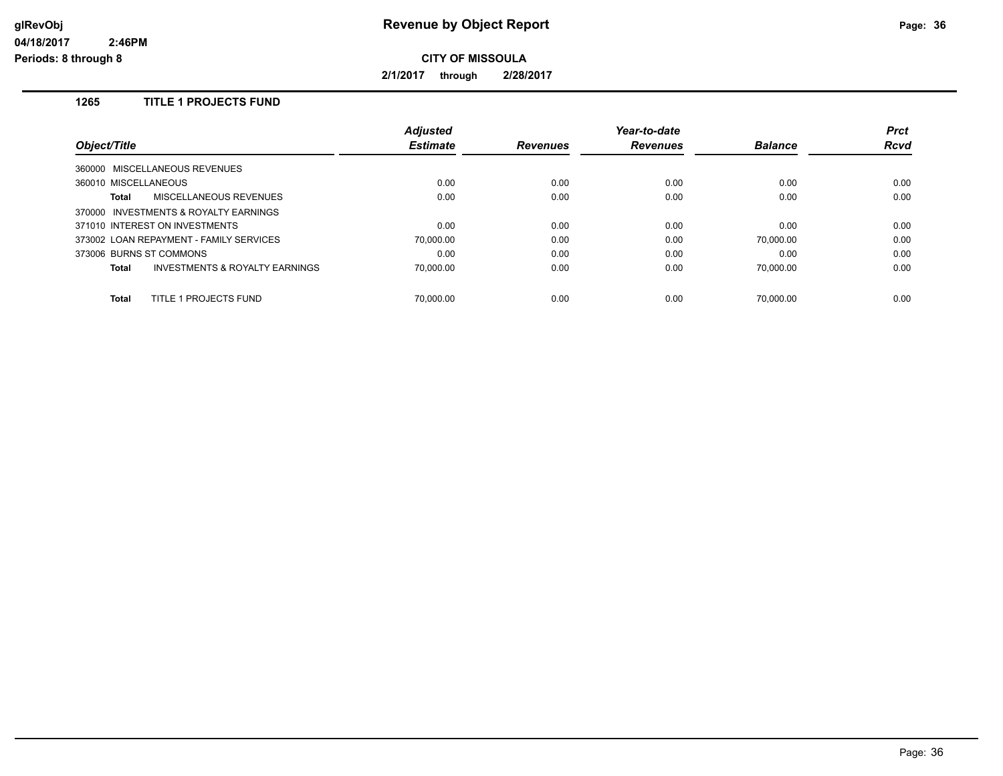**2/1/2017 through 2/28/2017**

## **1265 TITLE 1 PROJECTS FUND**

|                                         | <b>Adiusted</b> |                 | Year-to-date    |                | <b>Prct</b> |
|-----------------------------------------|-----------------|-----------------|-----------------|----------------|-------------|
| Object/Title                            | <b>Estimate</b> | <b>Revenues</b> | <b>Revenues</b> | <b>Balance</b> | <b>Rcvd</b> |
| 360000 MISCELLANEOUS REVENUES           |                 |                 |                 |                |             |
| 360010 MISCELLANEOUS                    | 0.00            | 0.00            | 0.00            | 0.00           | 0.00        |
| MISCELLANEOUS REVENUES<br>Total         | 0.00            | 0.00            | 0.00            | 0.00           | 0.00        |
| 370000 INVESTMENTS & ROYALTY EARNINGS   |                 |                 |                 |                |             |
| 371010 INTEREST ON INVESTMENTS          | 0.00            | 0.00            | 0.00            | 0.00           | 0.00        |
| 373002 LOAN REPAYMENT - FAMILY SERVICES | 70,000.00       | 0.00            | 0.00            | 70.000.00      | 0.00        |
| 373006 BURNS ST COMMONS                 | 0.00            | 0.00            | 0.00            | 0.00           | 0.00        |
| INVESTMENTS & ROYALTY EARNINGS<br>Total | 70.000.00       | 0.00            | 0.00            | 70.000.00      | 0.00        |
| TITLE 1 PROJECTS FUND<br><b>Total</b>   | 70.000.00       | 0.00            | 0.00            | 70.000.00      | 0.00        |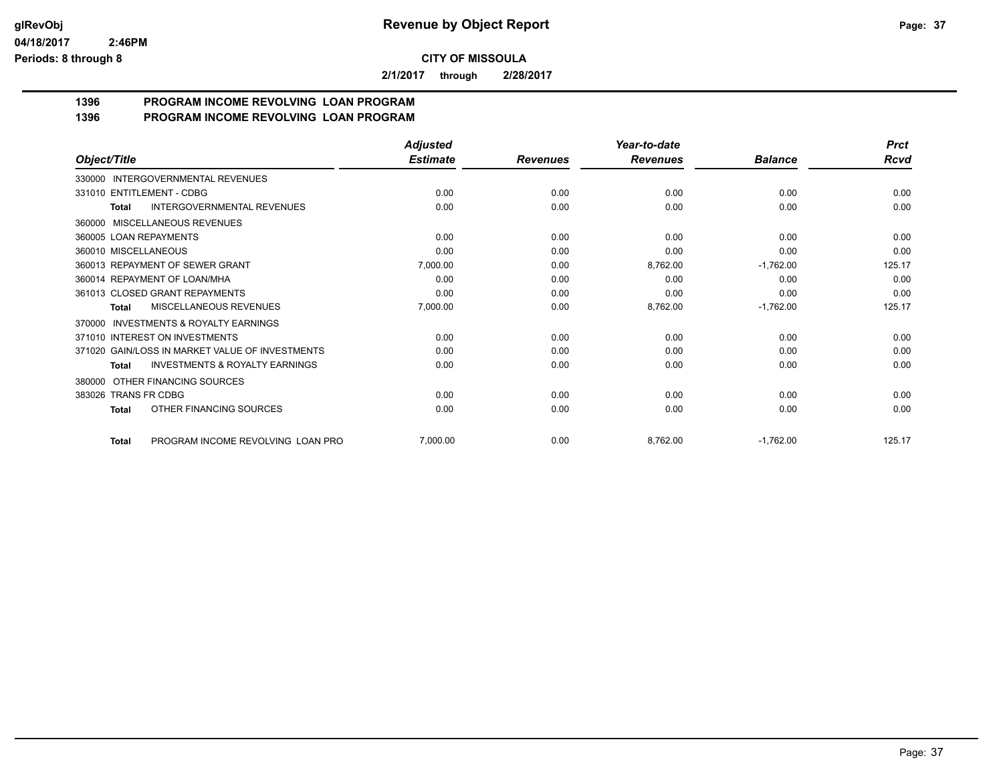**2/1/2017 through 2/28/2017**

# **1396 PROGRAM INCOME REVOLVING LOAN PROGRAM 1396 PROGRAM INCOME REVOLVING LOAN PROGRAM**

|                                                           | <b>Adjusted</b> |                 | Year-to-date    |                | <b>Prct</b> |
|-----------------------------------------------------------|-----------------|-----------------|-----------------|----------------|-------------|
| Object/Title                                              | <b>Estimate</b> | <b>Revenues</b> | <b>Revenues</b> | <b>Balance</b> | <b>Rcvd</b> |
| <b>INTERGOVERNMENTAL REVENUES</b><br>330000               |                 |                 |                 |                |             |
| 331010 ENTITLEMENT - CDBG                                 | 0.00            | 0.00            | 0.00            | 0.00           | 0.00        |
| <b>INTERGOVERNMENTAL REVENUES</b><br>Total                | 0.00            | 0.00            | 0.00            | 0.00           | 0.00        |
| MISCELLANEOUS REVENUES<br>360000                          |                 |                 |                 |                |             |
| 360005 LOAN REPAYMENTS                                    | 0.00            | 0.00            | 0.00            | 0.00           | 0.00        |
| 360010 MISCELLANEOUS                                      | 0.00            | 0.00            | 0.00            | 0.00           | 0.00        |
| 360013 REPAYMENT OF SEWER GRANT                           | 7,000.00        | 0.00            | 8,762.00        | $-1,762.00$    | 125.17      |
| 360014 REPAYMENT OF LOAN/MHA                              | 0.00            | 0.00            | 0.00            | 0.00           | 0.00        |
| 361013 CLOSED GRANT REPAYMENTS                            | 0.00            | 0.00            | 0.00            | 0.00           | 0.00        |
| MISCELLANEOUS REVENUES<br>Total                           | 7,000.00        | 0.00            | 8,762.00        | $-1,762.00$    | 125.17      |
| <b>INVESTMENTS &amp; ROYALTY EARNINGS</b><br>370000       |                 |                 |                 |                |             |
| 371010 INTEREST ON INVESTMENTS                            | 0.00            | 0.00            | 0.00            | 0.00           | 0.00        |
| 371020 GAIN/LOSS IN MARKET VALUE OF INVESTMENTS           | 0.00            | 0.00            | 0.00            | 0.00           | 0.00        |
| <b>INVESTMENTS &amp; ROYALTY EARNINGS</b><br><b>Total</b> | 0.00            | 0.00            | 0.00            | 0.00           | 0.00        |
| OTHER FINANCING SOURCES<br>380000                         |                 |                 |                 |                |             |
| <b>TRANS FR CDBG</b><br>383026                            | 0.00            | 0.00            | 0.00            | 0.00           | 0.00        |
| OTHER FINANCING SOURCES<br>Total                          | 0.00            | 0.00            | 0.00            | 0.00           | 0.00        |
| PROGRAM INCOME REVOLVING LOAN PRO<br><b>Total</b>         | 7,000.00        | 0.00            | 8,762.00        | $-1,762.00$    | 125.17      |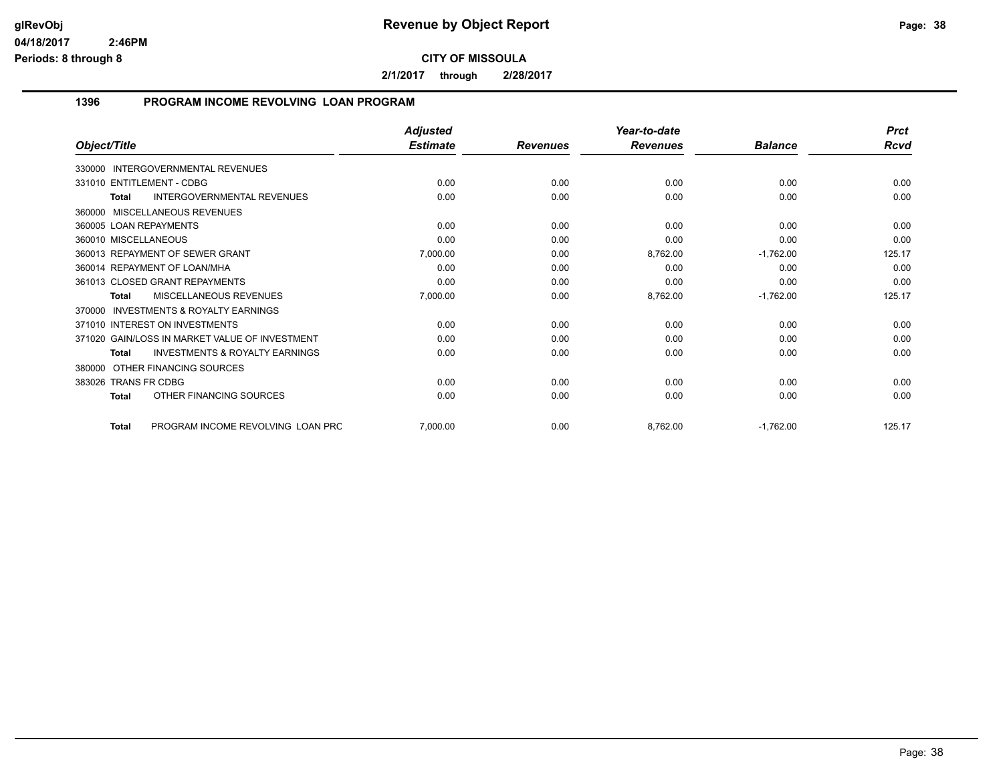**2/1/2017 through 2/28/2017**

#### **1396 PROGRAM INCOME REVOLVING LOAN PROGRAM**

|                                                           | <b>Adjusted</b> |                 | Year-to-date    |                | <b>Prct</b> |
|-----------------------------------------------------------|-----------------|-----------------|-----------------|----------------|-------------|
| Object/Title                                              | <b>Estimate</b> | <b>Revenues</b> | <b>Revenues</b> | <b>Balance</b> | Rcvd        |
| 330000 INTERGOVERNMENTAL REVENUES                         |                 |                 |                 |                |             |
| 331010 ENTITLEMENT - CDBG                                 | 0.00            | 0.00            | 0.00            | 0.00           | 0.00        |
| <b>INTERGOVERNMENTAL REVENUES</b><br><b>Total</b>         | 0.00            | 0.00            | 0.00            | 0.00           | 0.00        |
| MISCELLANEOUS REVENUES<br>360000                          |                 |                 |                 |                |             |
| 360005 LOAN REPAYMENTS                                    | 0.00            | 0.00            | 0.00            | 0.00           | 0.00        |
| 360010 MISCELLANEOUS                                      | 0.00            | 0.00            | 0.00            | 0.00           | 0.00        |
| 360013 REPAYMENT OF SEWER GRANT                           | 7,000.00        | 0.00            | 8,762.00        | $-1,762.00$    | 125.17      |
| 360014 REPAYMENT OF LOAN/MHA                              | 0.00            | 0.00            | 0.00            | 0.00           | 0.00        |
| 361013 CLOSED GRANT REPAYMENTS                            | 0.00            | 0.00            | 0.00            | 0.00           | 0.00        |
| MISCELLANEOUS REVENUES<br>Total                           | 7,000.00        | 0.00            | 8,762.00        | $-1,762.00$    | 125.17      |
| <b>INVESTMENTS &amp; ROYALTY EARNINGS</b><br>370000       |                 |                 |                 |                |             |
| 371010 INTEREST ON INVESTMENTS                            | 0.00            | 0.00            | 0.00            | 0.00           | 0.00        |
| 371020 GAIN/LOSS IN MARKET VALUE OF INVESTMENT            | 0.00            | 0.00            | 0.00            | 0.00           | 0.00        |
| <b>INVESTMENTS &amp; ROYALTY EARNINGS</b><br><b>Total</b> | 0.00            | 0.00            | 0.00            | 0.00           | 0.00        |
| OTHER FINANCING SOURCES<br>380000                         |                 |                 |                 |                |             |
| 383026 TRANS FR CDBG                                      | 0.00            | 0.00            | 0.00            | 0.00           | 0.00        |
| OTHER FINANCING SOURCES<br>Total                          | 0.00            | 0.00            | 0.00            | 0.00           | 0.00        |
| PROGRAM INCOME REVOLVING LOAN PRC<br><b>Total</b>         | 7,000.00        | 0.00            | 8,762.00        | $-1,762.00$    | 125.17      |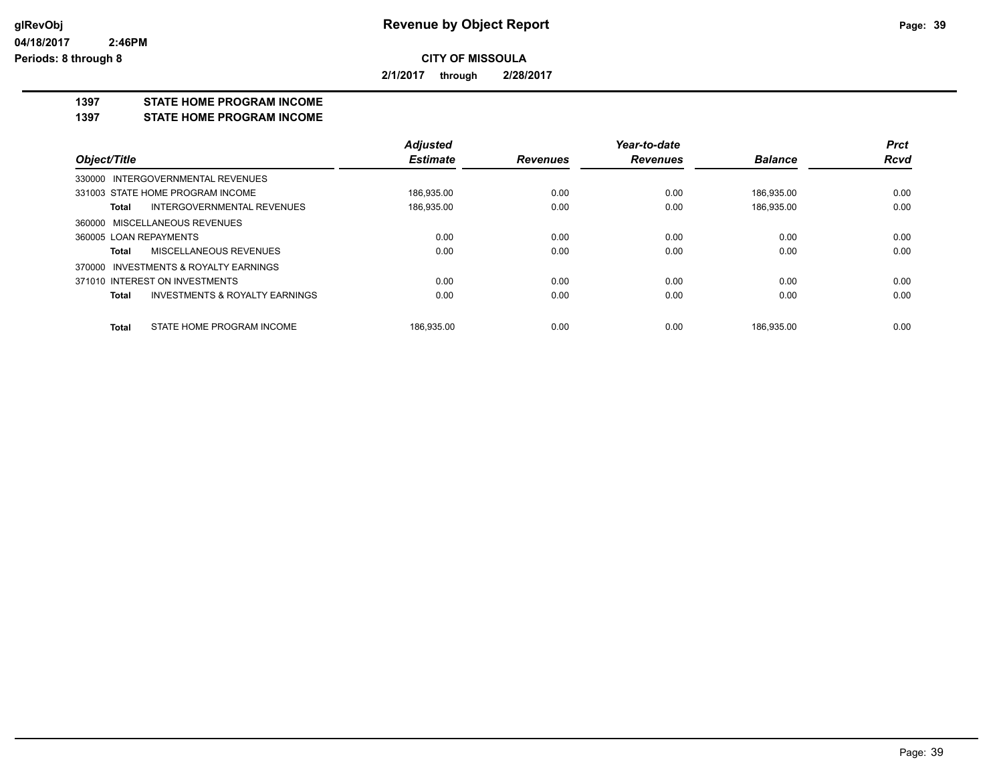**2/1/2017 through 2/28/2017**

# **1397 STATE HOME PROGRAM INCOME**

# **1397 STATE HOME PROGRAM INCOME**

|                                                    | <b>Adjusted</b> |                 | Year-to-date    |                | <b>Prct</b> |
|----------------------------------------------------|-----------------|-----------------|-----------------|----------------|-------------|
| Object/Title                                       | <b>Estimate</b> | <b>Revenues</b> | <b>Revenues</b> | <b>Balance</b> | <b>Rcvd</b> |
| 330000 INTERGOVERNMENTAL REVENUES                  |                 |                 |                 |                |             |
| 331003 STATE HOME PROGRAM INCOME                   | 186.935.00      | 0.00            | 0.00            | 186.935.00     | 0.00        |
| INTERGOVERNMENTAL REVENUES<br>Total                | 186,935.00      | 0.00            | 0.00            | 186,935.00     | 0.00        |
| 360000 MISCELLANEOUS REVENUES                      |                 |                 |                 |                |             |
| 360005 LOAN REPAYMENTS                             | 0.00            | 0.00            | 0.00            | 0.00           | 0.00        |
| MISCELLANEOUS REVENUES<br>Total                    | 0.00            | 0.00            | 0.00            | 0.00           | 0.00        |
| 370000 INVESTMENTS & ROYALTY EARNINGS              |                 |                 |                 |                |             |
| 371010 INTEREST ON INVESTMENTS                     | 0.00            | 0.00            | 0.00            | 0.00           | 0.00        |
| <b>INVESTMENTS &amp; ROYALTY EARNINGS</b><br>Total | 0.00            | 0.00            | 0.00            | 0.00           | 0.00        |
|                                                    |                 |                 |                 |                |             |
| STATE HOME PROGRAM INCOME<br>Total                 | 186.935.00      | 0.00            | 0.00            | 186.935.00     | 0.00        |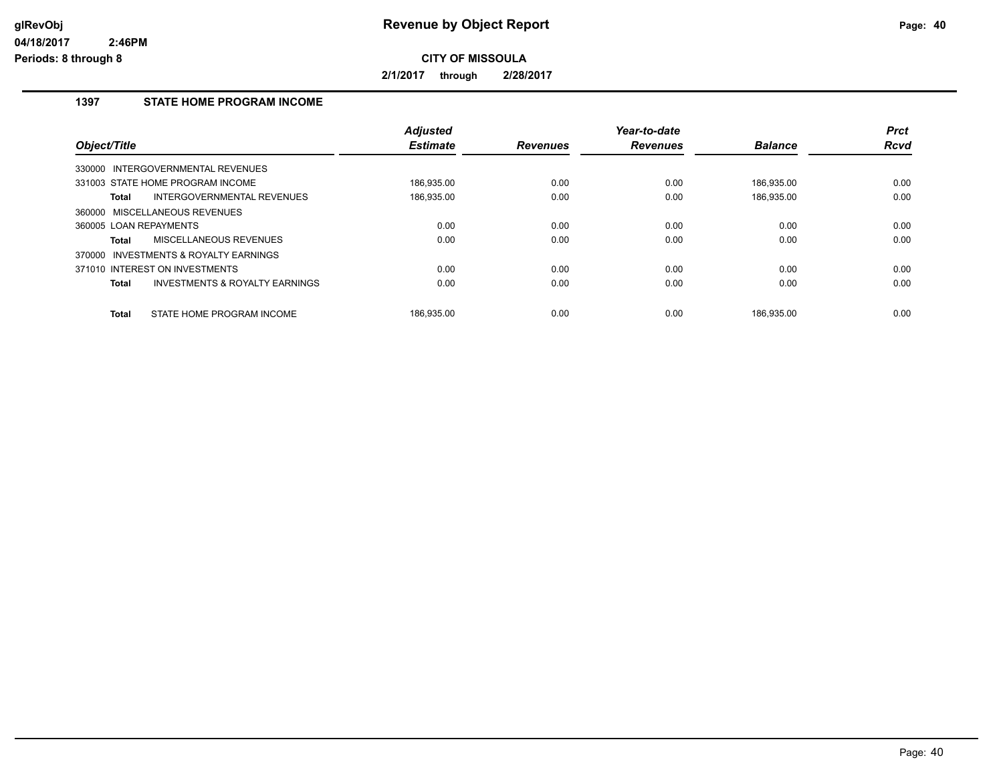**2/1/2017 through 2/28/2017**

#### **1397 STATE HOME PROGRAM INCOME**

| Object/Title           |                                           | <b>Adjusted</b><br><b>Estimate</b> | <b>Revenues</b> | Year-to-date<br><b>Revenues</b> | <b>Balance</b> | <b>Prct</b><br><b>Rcvd</b> |
|------------------------|-------------------------------------------|------------------------------------|-----------------|---------------------------------|----------------|----------------------------|
|                        |                                           |                                    |                 |                                 |                |                            |
| 330000                 | INTERGOVERNMENTAL REVENUES                |                                    |                 |                                 |                |                            |
|                        | 331003 STATE HOME PROGRAM INCOME          | 186,935.00                         | 0.00            | 0.00                            | 186,935.00     | 0.00                       |
| Total                  | <b>INTERGOVERNMENTAL REVENUES</b>         | 186,935.00                         | 0.00            | 0.00                            | 186,935.00     | 0.00                       |
|                        | 360000 MISCELLANEOUS REVENUES             |                                    |                 |                                 |                |                            |
| 360005 LOAN REPAYMENTS |                                           | 0.00                               | 0.00            | 0.00                            | 0.00           | 0.00                       |
| Total                  | MISCELLANEOUS REVENUES                    | 0.00                               | 0.00            | 0.00                            | 0.00           | 0.00                       |
| 370000                 | <b>INVESTMENTS &amp; ROYALTY EARNINGS</b> |                                    |                 |                                 |                |                            |
|                        | 371010 INTEREST ON INVESTMENTS            | 0.00                               | 0.00            | 0.00                            | 0.00           | 0.00                       |
| Total                  | <b>INVESTMENTS &amp; ROYALTY EARNINGS</b> | 0.00                               | 0.00            | 0.00                            | 0.00           | 0.00                       |
| <b>Total</b>           | STATE HOME PROGRAM INCOME                 | 186.935.00                         | 0.00            | 0.00                            | 186.935.00     | 0.00                       |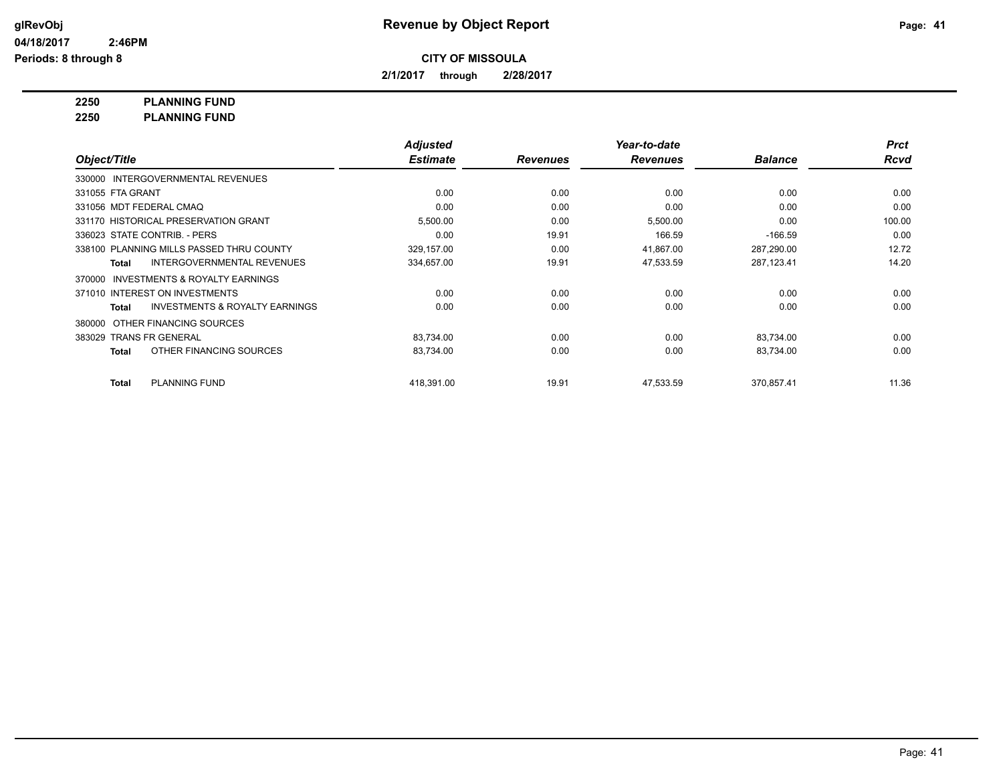**2/1/2017 through 2/28/2017**

**2250 PLANNING FUND 2250 PLANNING FUND**

|                              |                                           | <b>Adjusted</b> |                 | Year-to-date    |                | <b>Prct</b> |
|------------------------------|-------------------------------------------|-----------------|-----------------|-----------------|----------------|-------------|
| Object/Title                 |                                           | <b>Estimate</b> | <b>Revenues</b> | <b>Revenues</b> | <b>Balance</b> | <b>Rcvd</b> |
|                              | 330000 INTERGOVERNMENTAL REVENUES         |                 |                 |                 |                |             |
| 331055 FTA GRANT             |                                           | 0.00            | 0.00            | 0.00            | 0.00           | 0.00        |
| 331056 MDT FEDERAL CMAQ      |                                           | 0.00            | 0.00            | 0.00            | 0.00           | 0.00        |
|                              | 331170 HISTORICAL PRESERVATION GRANT      | 5,500.00        | 0.00            | 5,500.00        | 0.00           | 100.00      |
| 336023 STATE CONTRIB. - PERS |                                           | 0.00            | 19.91           | 166.59          | $-166.59$      | 0.00        |
|                              | 338100 PLANNING MILLS PASSED THRU COUNTY  | 329,157.00      | 0.00            | 41,867.00       | 287,290.00     | 12.72       |
| Total                        | INTERGOVERNMENTAL REVENUES                | 334,657.00      | 19.91           | 47,533.59       | 287,123.41     | 14.20       |
| 370000                       | <b>INVESTMENTS &amp; ROYALTY EARNINGS</b> |                 |                 |                 |                |             |
|                              | 371010 INTEREST ON INVESTMENTS            | 0.00            | 0.00            | 0.00            | 0.00           | 0.00        |
| Total                        | <b>INVESTMENTS &amp; ROYALTY EARNINGS</b> | 0.00            | 0.00            | 0.00            | 0.00           | 0.00        |
| 380000                       | OTHER FINANCING SOURCES                   |                 |                 |                 |                |             |
| 383029                       | <b>TRANS FR GENERAL</b>                   | 83,734.00       | 0.00            | 0.00            | 83,734.00      | 0.00        |
| Total                        | OTHER FINANCING SOURCES                   | 83,734.00       | 0.00            | 0.00            | 83,734.00      | 0.00        |
| Total                        | <b>PLANNING FUND</b>                      | 418,391.00      | 19.91           | 47,533.59       | 370,857.41     | 11.36       |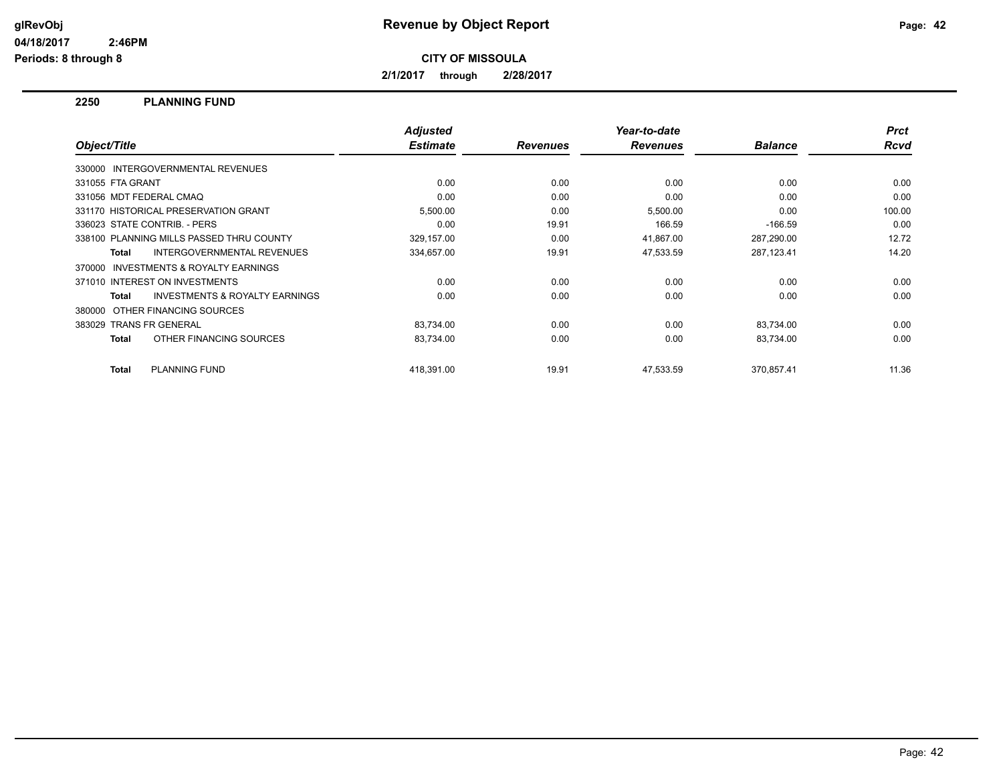**2/1/2017 through 2/28/2017**

#### **2250 PLANNING FUND**

| Object/Title                                              | <b>Adjusted</b><br><b>Estimate</b> | <b>Revenues</b> | Year-to-date<br><b>Revenues</b> | <b>Balance</b> | <b>Prct</b><br><b>Rcvd</b> |
|-----------------------------------------------------------|------------------------------------|-----------------|---------------------------------|----------------|----------------------------|
| 330000 INTERGOVERNMENTAL REVENUES                         |                                    |                 |                                 |                |                            |
| 331055 FTA GRANT                                          | 0.00                               | 0.00            | 0.00                            | 0.00           | 0.00                       |
| 331056 MDT FEDERAL CMAQ                                   | 0.00                               | 0.00            | 0.00                            | 0.00           | 0.00                       |
| 331170 HISTORICAL PRESERVATION GRANT                      | 5,500.00                           | 0.00            | 5,500.00                        | 0.00           | 100.00                     |
| 336023 STATE CONTRIB. - PERS                              | 0.00                               | 19.91           | 166.59                          | $-166.59$      | 0.00                       |
| 338100 PLANNING MILLS PASSED THRU COUNTY                  | 329,157.00                         | 0.00            | 41,867.00                       | 287,290.00     | 12.72                      |
| <b>INTERGOVERNMENTAL REVENUES</b><br><b>Total</b>         | 334,657.00                         | 19.91           | 47,533.59                       | 287,123.41     | 14.20                      |
| <b>INVESTMENTS &amp; ROYALTY EARNINGS</b><br>370000       |                                    |                 |                                 |                |                            |
| 371010 INTEREST ON INVESTMENTS                            | 0.00                               | 0.00            | 0.00                            | 0.00           | 0.00                       |
| <b>INVESTMENTS &amp; ROYALTY EARNINGS</b><br><b>Total</b> | 0.00                               | 0.00            | 0.00                            | 0.00           | 0.00                       |
| 380000 OTHER FINANCING SOURCES                            |                                    |                 |                                 |                |                            |
| 383029 TRANS FR GENERAL                                   | 83,734.00                          | 0.00            | 0.00                            | 83,734.00      | 0.00                       |
| OTHER FINANCING SOURCES<br><b>Total</b>                   | 83,734.00                          | 0.00            | 0.00                            | 83,734.00      | 0.00                       |
| PLANNING FUND<br><b>Total</b>                             | 418,391.00                         | 19.91           | 47,533.59                       | 370,857.41     | 11.36                      |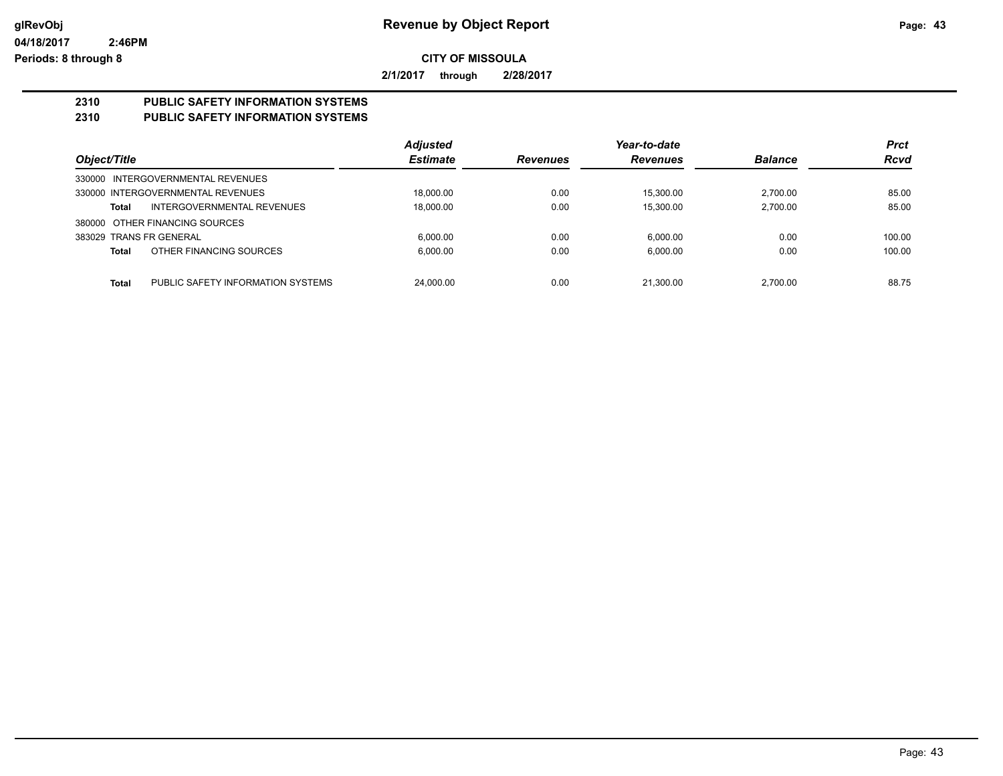**2/1/2017 through 2/28/2017**

# **2310 PUBLIC SAFETY INFORMATION SYSTEMS 2310 PUBLIC SAFETY INFORMATION SYSTEMS**

|                                                   | <b>Adjusted</b> |                 | Year-to-date    |                | <b>Prct</b> |
|---------------------------------------------------|-----------------|-----------------|-----------------|----------------|-------------|
| Object/Title                                      | <b>Estimate</b> | <b>Revenues</b> | <b>Revenues</b> | <b>Balance</b> | <b>Rcvd</b> |
| 330000 INTERGOVERNMENTAL REVENUES                 |                 |                 |                 |                |             |
| 330000 INTERGOVERNMENTAL REVENUES                 | 18.000.00       | 0.00            | 15.300.00       | 2.700.00       | 85.00       |
| INTERGOVERNMENTAL REVENUES<br>Total               | 18,000.00       | 0.00            | 15,300.00       | 2,700.00       | 85.00       |
| 380000 OTHER FINANCING SOURCES                    |                 |                 |                 |                |             |
| 383029 TRANS FR GENERAL                           | 6.000.00        | 0.00            | 6.000.00        | 0.00           | 100.00      |
| OTHER FINANCING SOURCES<br>Total                  | 6.000.00        | 0.00            | 6.000.00        | 0.00           | 100.00      |
|                                                   |                 |                 |                 |                |             |
| <b>Total</b><br>PUBLIC SAFETY INFORMATION SYSTEMS | 24.000.00       | 0.00            | 21.300.00       | 2.700.00       | 88.75       |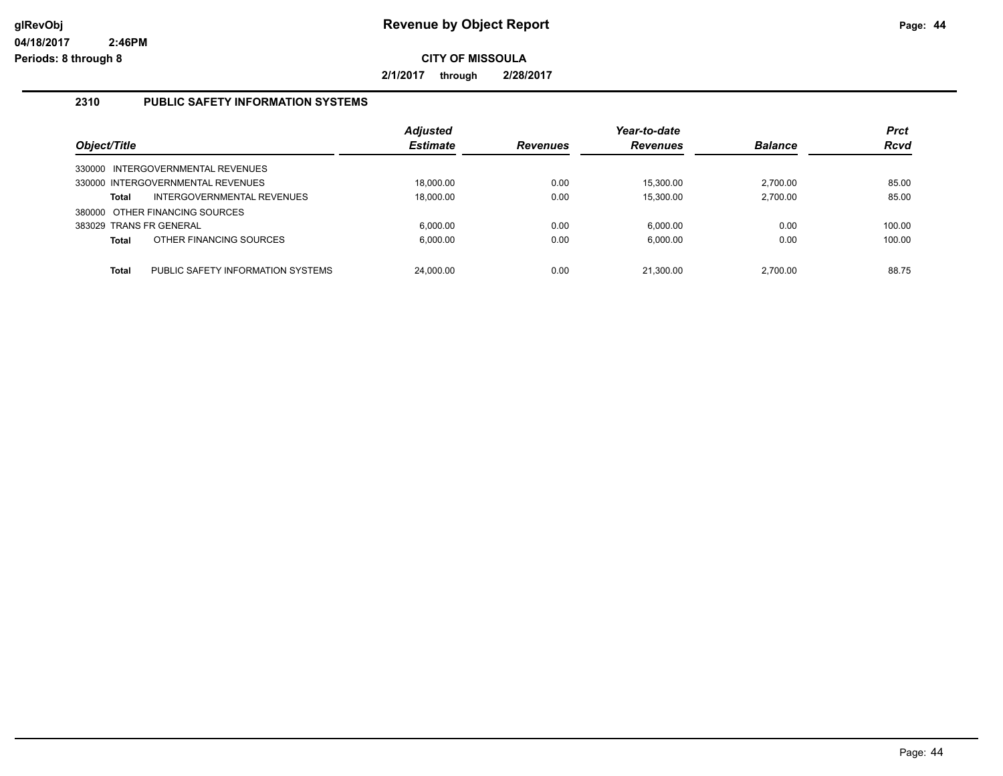**2/1/2017 through 2/28/2017**

#### **2310 PUBLIC SAFETY INFORMATION SYSTEMS**

|                         |                                   | <b>Adjusted</b> |                 | Year-to-date    |                | <b>Prct</b> |
|-------------------------|-----------------------------------|-----------------|-----------------|-----------------|----------------|-------------|
| Object/Title            |                                   | <b>Estimate</b> | <b>Revenues</b> | <b>Revenues</b> | <b>Balance</b> | <b>Rcvd</b> |
|                         | 330000 INTERGOVERNMENTAL REVENUES |                 |                 |                 |                |             |
|                         | 330000 INTERGOVERNMENTAL REVENUES | 18.000.00       | 0.00            | 15.300.00       | 2.700.00       | 85.00       |
| Total                   | INTERGOVERNMENTAL REVENUES        | 18.000.00       | 0.00            | 15,300.00       | 2,700.00       | 85.00       |
| 380000                  | OTHER FINANCING SOURCES           |                 |                 |                 |                |             |
| 383029 TRANS FR GENERAL |                                   | 6.000.00        | 0.00            | 6.000.00        | 0.00           | 100.00      |
| Total                   | OTHER FINANCING SOURCES           | 6,000.00        | 0.00            | 6.000.00        | 0.00           | 100.00      |
| <b>Total</b>            | PUBLIC SAFETY INFORMATION SYSTEMS | 24.000.00       | 0.00            | 21.300.00       | 2.700.00       | 88.75       |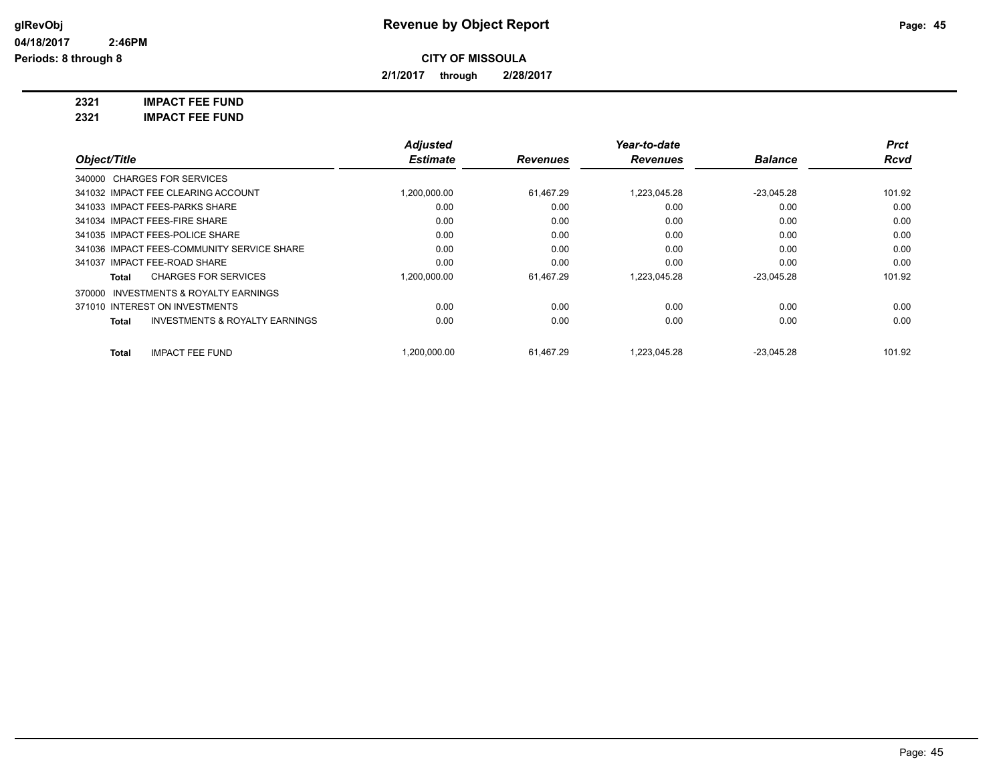**2/1/2017 through 2/28/2017**

**2321 IMPACT FEE FUND 2321 IMPACT FEE FUND**

|                                                    | <b>Adjusted</b> |                 | Year-to-date    |                | <b>Prct</b> |
|----------------------------------------------------|-----------------|-----------------|-----------------|----------------|-------------|
| Object/Title                                       | <b>Estimate</b> | <b>Revenues</b> | <b>Revenues</b> | <b>Balance</b> | Rcvd        |
| 340000 CHARGES FOR SERVICES                        |                 |                 |                 |                |             |
| 341032 IMPACT FEE CLEARING ACCOUNT                 | 1.200.000.00    | 61.467.29       | 1.223.045.28    | $-23.045.28$   | 101.92      |
| 341033 IMPACT FEES-PARKS SHARE                     | 0.00            | 0.00            | 0.00            | 0.00           | 0.00        |
| 341034 IMPACT FEES-FIRE SHARE                      | 0.00            | 0.00            | 0.00            | 0.00           | 0.00        |
| 341035 IMPACT FEES-POLICE SHARE                    | 0.00            | 0.00            | 0.00            | 0.00           | 0.00        |
| 341036 IMPACT FEES-COMMUNITY SERVICE SHARE         | 0.00            | 0.00            | 0.00            | 0.00           | 0.00        |
| 341037 IMPACT FEE-ROAD SHARE                       | 0.00            | 0.00            | 0.00            | 0.00           | 0.00        |
| <b>CHARGES FOR SERVICES</b><br>Total               | 1,200,000.00    | 61,467.29       | 1,223,045.28    | $-23,045.28$   | 101.92      |
| INVESTMENTS & ROYALTY EARNINGS<br>370000           |                 |                 |                 |                |             |
| 371010 INTEREST ON INVESTMENTS                     | 0.00            | 0.00            | 0.00            | 0.00           | 0.00        |
| <b>INVESTMENTS &amp; ROYALTY EARNINGS</b><br>Total | 0.00            | 0.00            | 0.00            | 0.00           | 0.00        |
| <b>IMPACT FEE FUND</b><br><b>Total</b>             | .200.000.00     | 61,467.29       | 1.223.045.28    | $-23.045.28$   | 101.92      |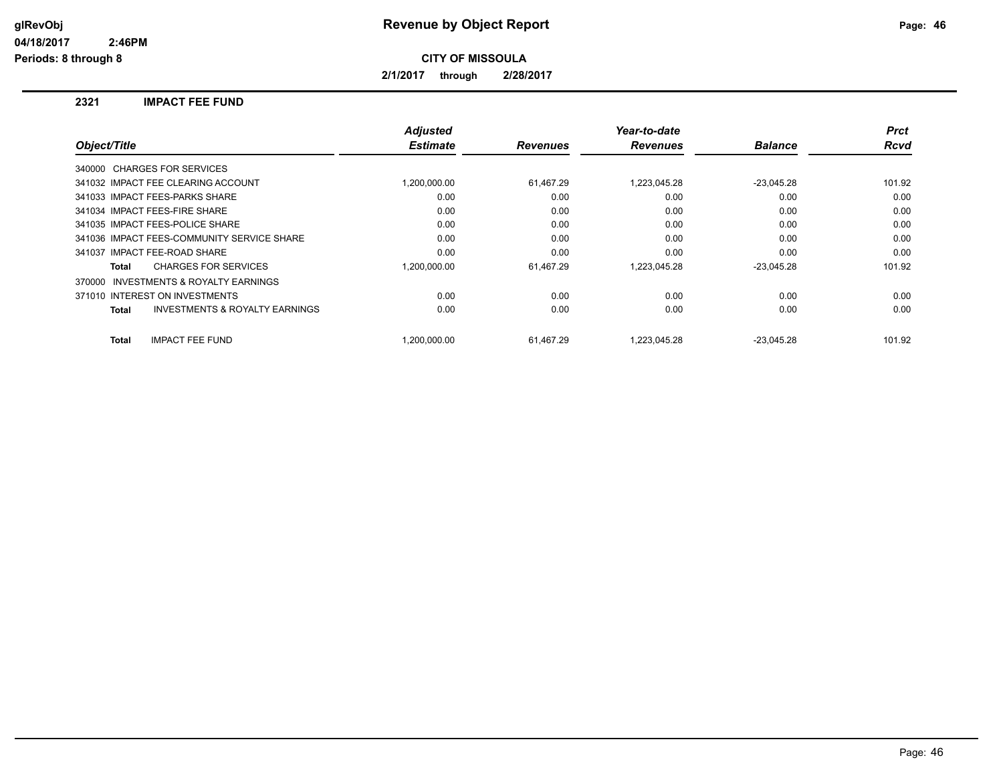**2/1/2017 through 2/28/2017**

#### **2321 IMPACT FEE FUND**

|                                                           | <b>Adjusted</b> |                 | Year-to-date    |                | <b>Prct</b> |
|-----------------------------------------------------------|-----------------|-----------------|-----------------|----------------|-------------|
| Object/Title                                              | <b>Estimate</b> | <b>Revenues</b> | <b>Revenues</b> | <b>Balance</b> | <b>Rcvd</b> |
| 340000 CHARGES FOR SERVICES                               |                 |                 |                 |                |             |
| 341032 IMPACT FEE CLEARING ACCOUNT                        | 1.200.000.00    | 61,467.29       | 1.223.045.28    | $-23,045.28$   | 101.92      |
| 341033 IMPACT FEES-PARKS SHARE                            | 0.00            | 0.00            | 0.00            | 0.00           | 0.00        |
| 341034 IMPACT FEES-FIRE SHARE                             | 0.00            | 0.00            | 0.00            | 0.00           | 0.00        |
| 341035 IMPACT FEES-POLICE SHARE                           | 0.00            | 0.00            | 0.00            | 0.00           | 0.00        |
| 341036 IMPACT FEES-COMMUNITY SERVICE SHARE                | 0.00            | 0.00            | 0.00            | 0.00           | 0.00        |
| 341037 IMPACT FEE-ROAD SHARE                              | 0.00            | 0.00            | 0.00            | 0.00           | 0.00        |
| <b>CHARGES FOR SERVICES</b><br>Total                      | 1.200.000.00    | 61.467.29       | 1.223.045.28    | $-23.045.28$   | 101.92      |
| 370000 INVESTMENTS & ROYALTY EARNINGS                     |                 |                 |                 |                |             |
| 371010 INTEREST ON INVESTMENTS                            | 0.00            | 0.00            | 0.00            | 0.00           | 0.00        |
| <b>INVESTMENTS &amp; ROYALTY EARNINGS</b><br><b>Total</b> | 0.00            | 0.00            | 0.00            | 0.00           | 0.00        |
| <b>IMPACT FEE FUND</b><br><b>Total</b>                    | 1.200.000.00    | 61,467.29       | 1.223.045.28    | $-23.045.28$   | 101.92      |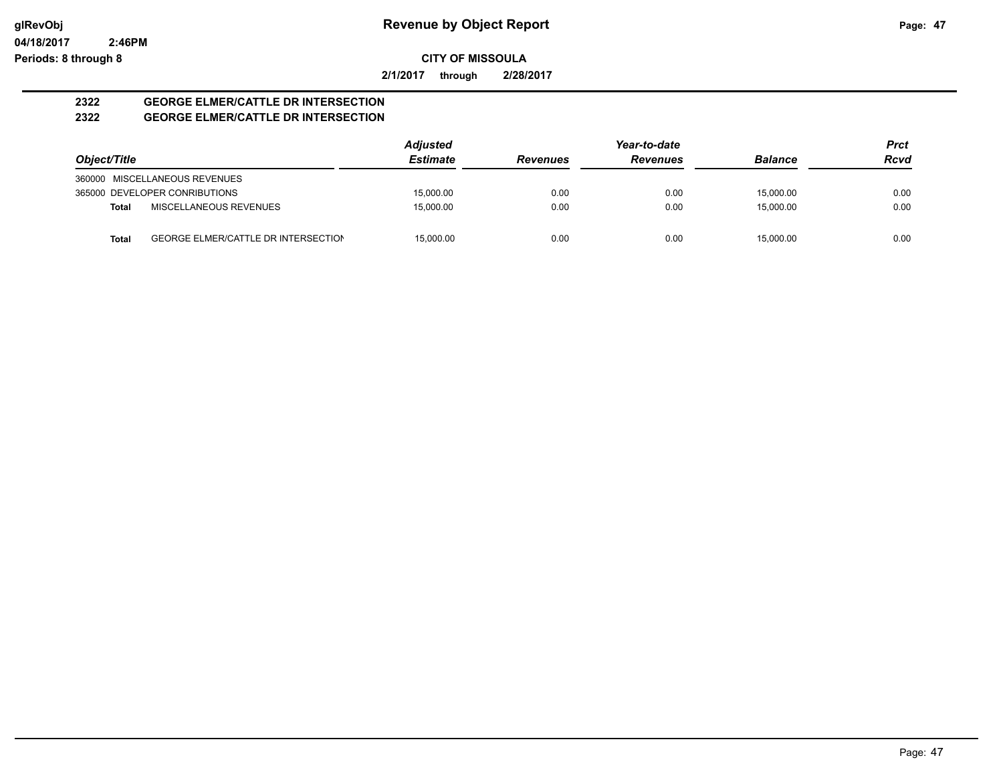**2/1/2017 through 2/28/2017**

# **2322 GEORGE ELMER/CATTLE DR INTERSECTION 2322 GEORGE ELMER/CATTLE DR INTERSECTION**

|              |                                            | <b>Adjusted</b> |                 | Year-to-date    |                | <b>Prct</b> |
|--------------|--------------------------------------------|-----------------|-----------------|-----------------|----------------|-------------|
| Object/Title |                                            | <b>Estimate</b> | <b>Revenues</b> | <b>Revenues</b> | <b>Balance</b> | <b>Rcvd</b> |
|              | 360000 MISCELLANEOUS REVENUES              |                 |                 |                 |                |             |
|              | 365000 DEVELOPER CONRIBUTIONS              | 15.000.00       | 0.00            | 0.00            | 15,000.00      | 0.00        |
| <b>Total</b> | MISCELLANEOUS REVENUES                     | 15.000.00       | 0.00            | 0.00            | 15,000.00      | 0.00        |
| Total        | <b>GEORGE ELMER/CATTLE DR INTERSECTION</b> | 15,000.00       | 0.00            | 0.00            | 15,000.00      | 0.00        |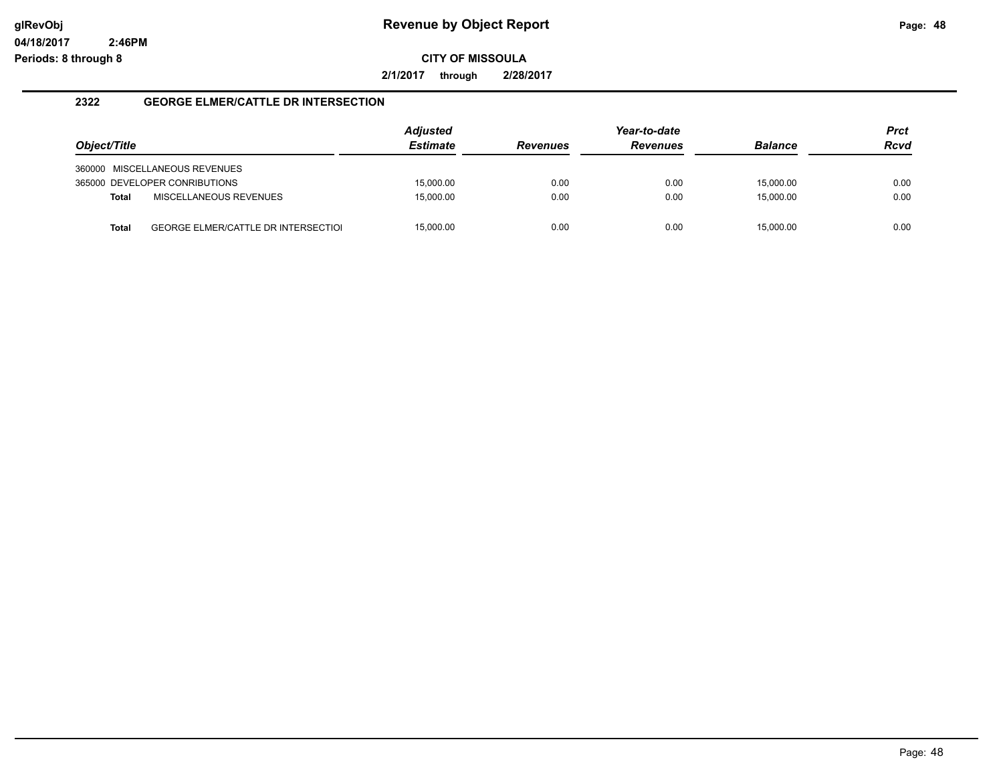**2/1/2017 through 2/28/2017**

## **2322 GEORGE ELMER/CATTLE DR INTERSECTION**

|              |                                            | <b>Adjusted</b> |                 | Year-to-date    |                | <b>Prct</b> |
|--------------|--------------------------------------------|-----------------|-----------------|-----------------|----------------|-------------|
| Object/Title |                                            | <b>Estimate</b> | <b>Revenues</b> | <b>Revenues</b> | <b>Balance</b> | <b>Rcvd</b> |
|              | 360000 MISCELLANEOUS REVENUES              |                 |                 |                 |                |             |
|              | 365000 DEVELOPER CONRIBUTIONS              | 15,000.00       | 0.00            | 0.00            | 15,000.00      | 0.00        |
| <b>Total</b> | MISCELLANEOUS REVENUES                     | 15,000.00       | 0.00            | 0.00            | 15.000.00      | 0.00        |
| <b>Total</b> | <b>GEORGE ELMER/CATTLE DR INTERSECTIOL</b> | 15,000.00       | 0.00            | 0.00            | 15.000.00      | 0.00        |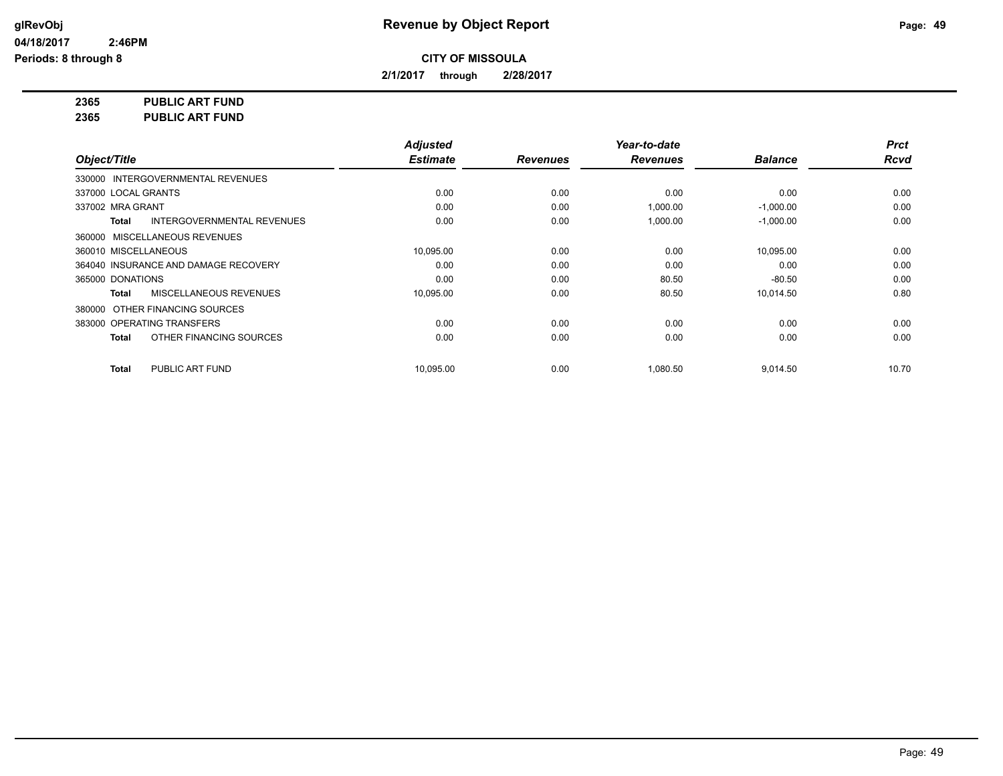**2/1/2017 through 2/28/2017**

**2365 PUBLIC ART FUND 2365 PUBLIC ART FUND**

|                                            | <b>Adjusted</b> |                 | Year-to-date    |                | <b>Prct</b> |
|--------------------------------------------|-----------------|-----------------|-----------------|----------------|-------------|
| Object/Title                               | <b>Estimate</b> | <b>Revenues</b> | <b>Revenues</b> | <b>Balance</b> | <b>Rcvd</b> |
| 330000 INTERGOVERNMENTAL REVENUES          |                 |                 |                 |                |             |
| 337000 LOCAL GRANTS                        | 0.00            | 0.00            | 0.00            | 0.00           | 0.00        |
| 337002 MRA GRANT                           | 0.00            | 0.00            | 1.000.00        | $-1,000.00$    | 0.00        |
| <b>INTERGOVERNMENTAL REVENUES</b><br>Total | 0.00            | 0.00            | 1,000.00        | $-1,000.00$    | 0.00        |
| 360000 MISCELLANEOUS REVENUES              |                 |                 |                 |                |             |
| 360010 MISCELLANEOUS                       | 10,095.00       | 0.00            | 0.00            | 10,095.00      | 0.00        |
| 364040 INSURANCE AND DAMAGE RECOVERY       | 0.00            | 0.00            | 0.00            | 0.00           | 0.00        |
| 365000 DONATIONS                           | 0.00            | 0.00            | 80.50           | $-80.50$       | 0.00        |
| MISCELLANEOUS REVENUES<br><b>Total</b>     | 10,095.00       | 0.00            | 80.50           | 10,014.50      | 0.80        |
| 380000 OTHER FINANCING SOURCES             |                 |                 |                 |                |             |
| 383000 OPERATING TRANSFERS                 | 0.00            | 0.00            | 0.00            | 0.00           | 0.00        |
| OTHER FINANCING SOURCES<br><b>Total</b>    | 0.00            | 0.00            | 0.00            | 0.00           | 0.00        |
| PUBLIC ART FUND<br><b>Total</b>            | 10.095.00       | 0.00            | 1.080.50        | 9.014.50       | 10.70       |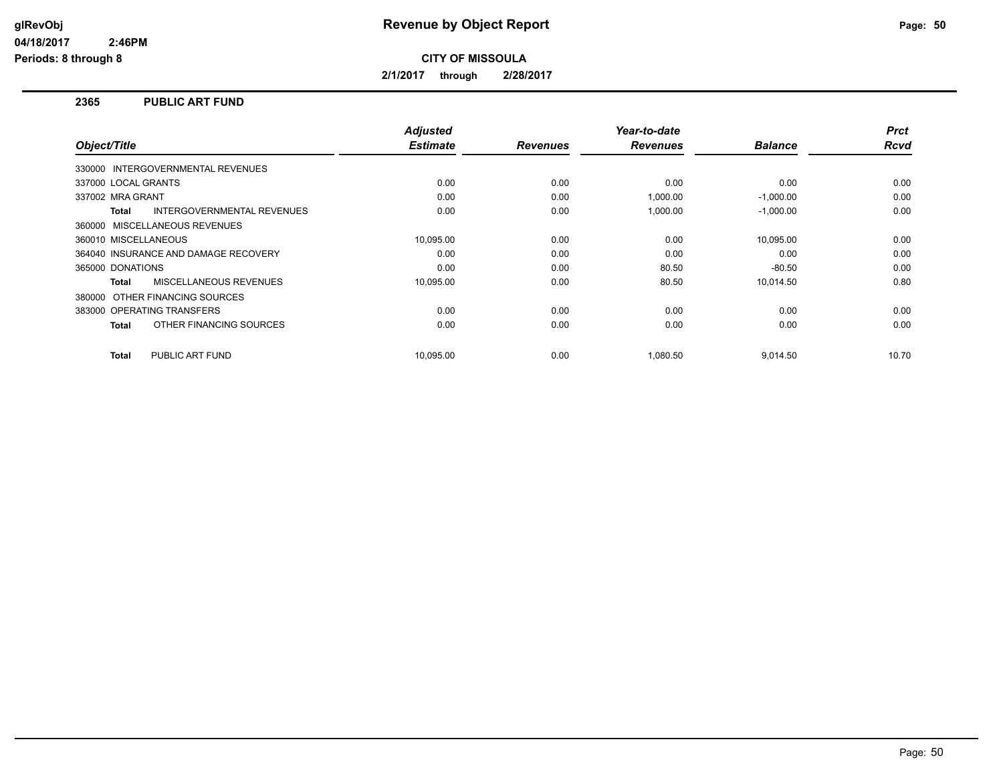**2/1/2017 through 2/28/2017**

#### **2365 PUBLIC ART FUND**

|                                            | <b>Adjusted</b> |                 | Year-to-date    |                | <b>Prct</b> |
|--------------------------------------------|-----------------|-----------------|-----------------|----------------|-------------|
| Object/Title                               | <b>Estimate</b> | <b>Revenues</b> | <b>Revenues</b> | <b>Balance</b> | Rcvd        |
| 330000 INTERGOVERNMENTAL REVENUES          |                 |                 |                 |                |             |
| 337000 LOCAL GRANTS                        | 0.00            | 0.00            | 0.00            | 0.00           | 0.00        |
| 337002 MRA GRANT                           | 0.00            | 0.00            | 1,000.00        | $-1,000.00$    | 0.00        |
| <b>INTERGOVERNMENTAL REVENUES</b><br>Total | 0.00            | 0.00            | 1,000.00        | $-1,000.00$    | 0.00        |
| 360000 MISCELLANEOUS REVENUES              |                 |                 |                 |                |             |
| 360010 MISCELLANEOUS                       | 10,095.00       | 0.00            | 0.00            | 10,095.00      | 0.00        |
| 364040 INSURANCE AND DAMAGE RECOVERY       | 0.00            | 0.00            | 0.00            | 0.00           | 0.00        |
| 365000 DONATIONS                           | 0.00            | 0.00            | 80.50           | $-80.50$       | 0.00        |
| MISCELLANEOUS REVENUES<br>Total            | 10,095.00       | 0.00            | 80.50           | 10,014.50      | 0.80        |
| 380000 OTHER FINANCING SOURCES             |                 |                 |                 |                |             |
| 383000 OPERATING TRANSFERS                 | 0.00            | 0.00            | 0.00            | 0.00           | 0.00        |
| OTHER FINANCING SOURCES<br>Total           | 0.00            | 0.00            | 0.00            | 0.00           | 0.00        |
| PUBLIC ART FUND<br><b>Total</b>            | 10,095.00       | 0.00            | 1,080.50        | 9,014.50       | 10.70       |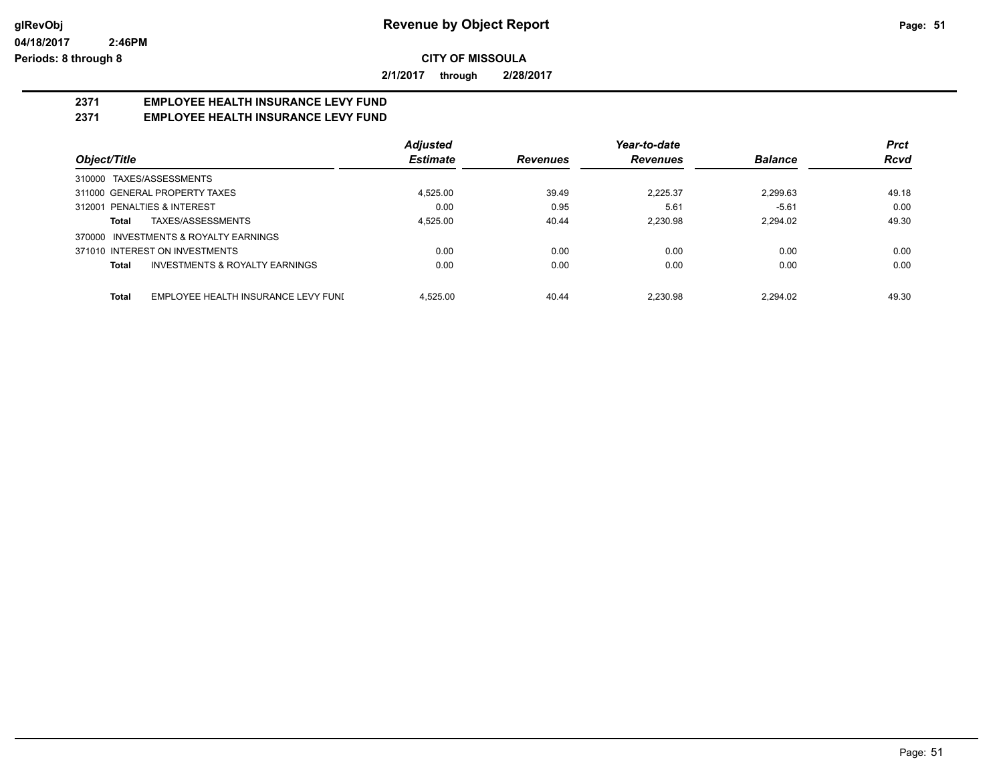**2/1/2017 through 2/28/2017**

# **2371 EMPLOYEE HEALTH INSURANCE LEVY FUND 2371 EMPLOYEE HEALTH INSURANCE LEVY FUND**

|                                              | <b>Adjusted</b> |                 | Year-to-date    |                | <b>Prct</b> |
|----------------------------------------------|-----------------|-----------------|-----------------|----------------|-------------|
| Object/Title                                 | <b>Estimate</b> | <b>Revenues</b> | <b>Revenues</b> | <b>Balance</b> | <b>Rcvd</b> |
| 310000 TAXES/ASSESSMENTS                     |                 |                 |                 |                |             |
| 311000 GENERAL PROPERTY TAXES                | 4.525.00        | 39.49           | 2.225.37        | 2.299.63       | 49.18       |
| <b>PENALTIES &amp; INTEREST</b><br>312001    | 0.00            | 0.95            | 5.61            | $-5.61$        | 0.00        |
| TAXES/ASSESSMENTS<br>Total                   | 4.525.00        | 40.44           | 2.230.98        | 2.294.02       | 49.30       |
| 370000 INVESTMENTS & ROYALTY EARNINGS        |                 |                 |                 |                |             |
| 371010 INTEREST ON INVESTMENTS               | 0.00            | 0.00            | 0.00            | 0.00           | 0.00        |
| INVESTMENTS & ROYALTY EARNINGS<br>Total      | 0.00            | 0.00            | 0.00            | 0.00           | 0.00        |
| EMPLOYEE HEALTH INSURANCE LEVY FUNI<br>Total | 4.525.00        | 40.44           | 2.230.98        | 2.294.02       | 49.30       |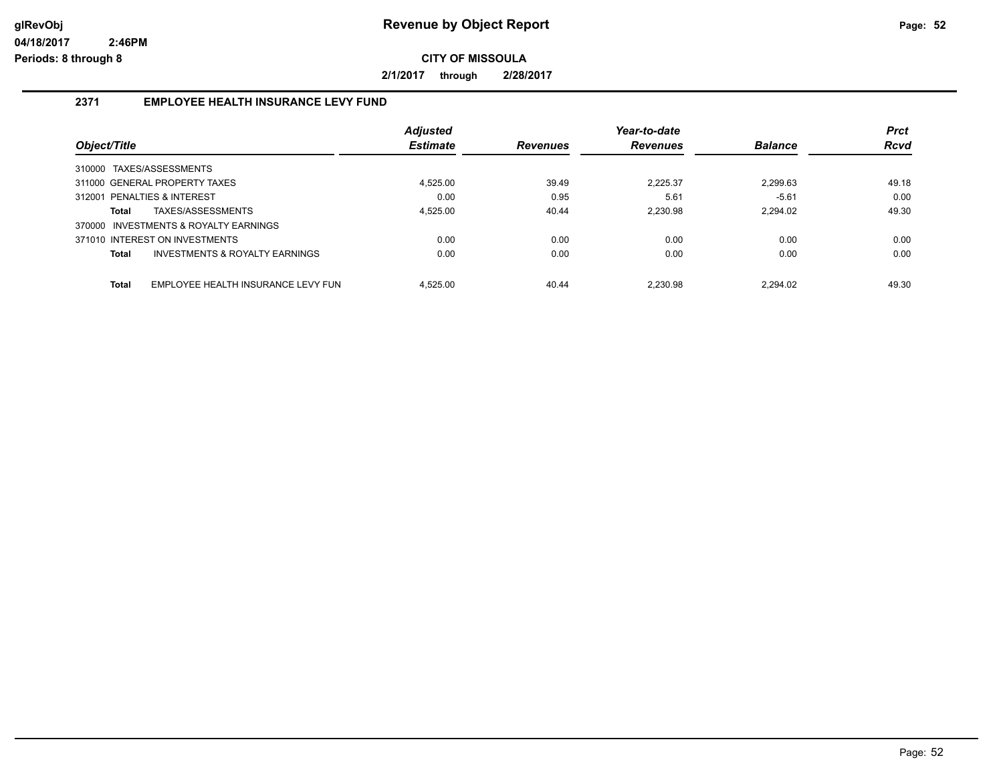**2/1/2017 through 2/28/2017**

#### **2371 EMPLOYEE HEALTH INSURANCE LEVY FUND**

|              |                                       | <b>Adjusted</b> |                 | Year-to-date    |                | <b>Prct</b> |
|--------------|---------------------------------------|-----------------|-----------------|-----------------|----------------|-------------|
| Object/Title |                                       | <b>Estimate</b> | <b>Revenues</b> | <b>Revenues</b> | <b>Balance</b> | <b>Rcvd</b> |
|              | 310000 TAXES/ASSESSMENTS              |                 |                 |                 |                |             |
|              | 311000 GENERAL PROPERTY TAXES         | 4.525.00        | 39.49           | 2.225.37        | 2.299.63       | 49.18       |
|              | 312001 PENALTIES & INTEREST           | 0.00            | 0.95            | 5.61            | $-5.61$        | 0.00        |
| Total        | TAXES/ASSESSMENTS                     | 4.525.00        | 40.44           | 2.230.98        | 2.294.02       | 49.30       |
|              | 370000 INVESTMENTS & ROYALTY EARNINGS |                 |                 |                 |                |             |
|              | 371010 INTEREST ON INVESTMENTS        | 0.00            | 0.00            | 0.00            | 0.00           | 0.00        |
| Total        | INVESTMENTS & ROYALTY EARNINGS        | 0.00            | 0.00            | 0.00            | 0.00           | 0.00        |
| <b>Total</b> | EMPLOYEE HEALTH INSURANCE LEVY FUN    | 4.525.00        | 40.44           | 2.230.98        | 2.294.02       | 49.30       |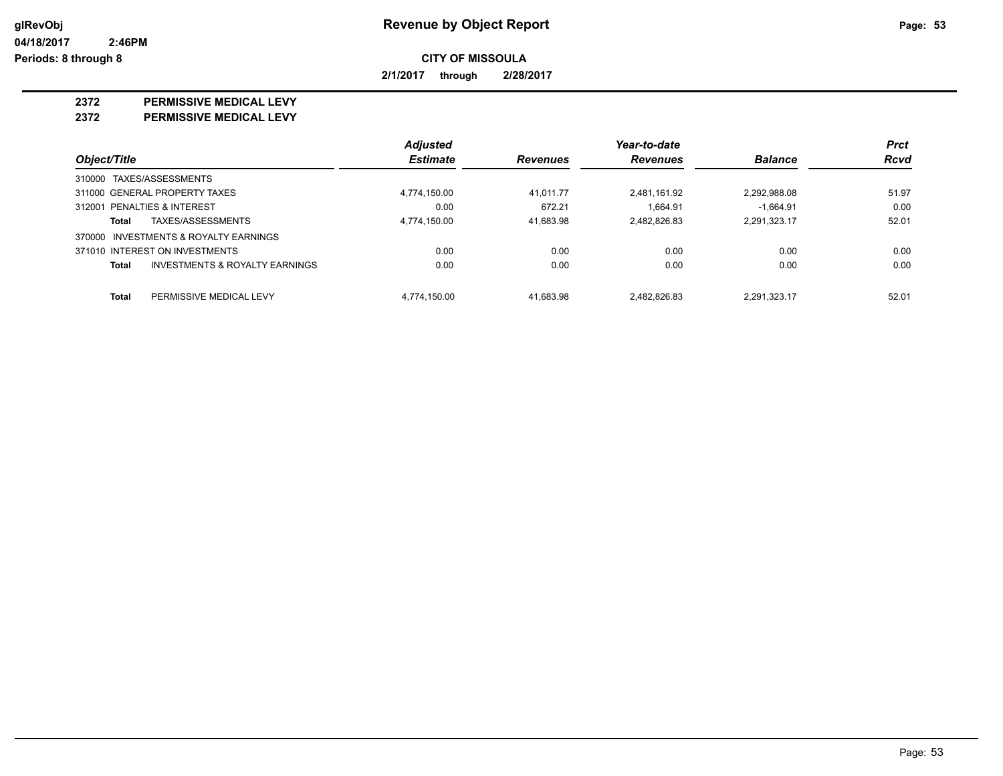*Prct Rcvd*

**CITY OF MISSOULA**

**2/1/2017 through 2/28/2017**

**2372 PERMISSIVE MEDICAL LEVY 2372 PERMISSIVE MEDICAL LEVY**

*Object/Title Adjusted Estimate Revenues Year-to-date Revenues Balance* 310000 TAXES/ASSESSMENTS 311000 GENERAL PROPERTY TAXES 61.97 (1.97%) 4,774,150.00 41,011.77 (1.481,161.92 2,481,161.92 2,292,988.08 51.97 312001 PENALTIES & INTEREST 0.00 672.21 1,664.91 -1,664.91 0.00 **Total** TAXES/ASSESSMENTS 4,774,150.00 41,683.98 2,482,826.83 2,291,323.17 52.01 370000 INVESTMENTS & ROYALTY EARNINGS 371010 INTEREST ON INVESTMENTS 0.00 0.00 0.00 0.00 0.00 **Total** INVESTMENTS & ROYALTY EARNINGS 0.00 0.00 0.00 0.00 0.00

**Total** PERMISSIVE MEDICAL LEVY 4,774,150.00 41,683.98 2,482,826.83 2,291,323.17 52.01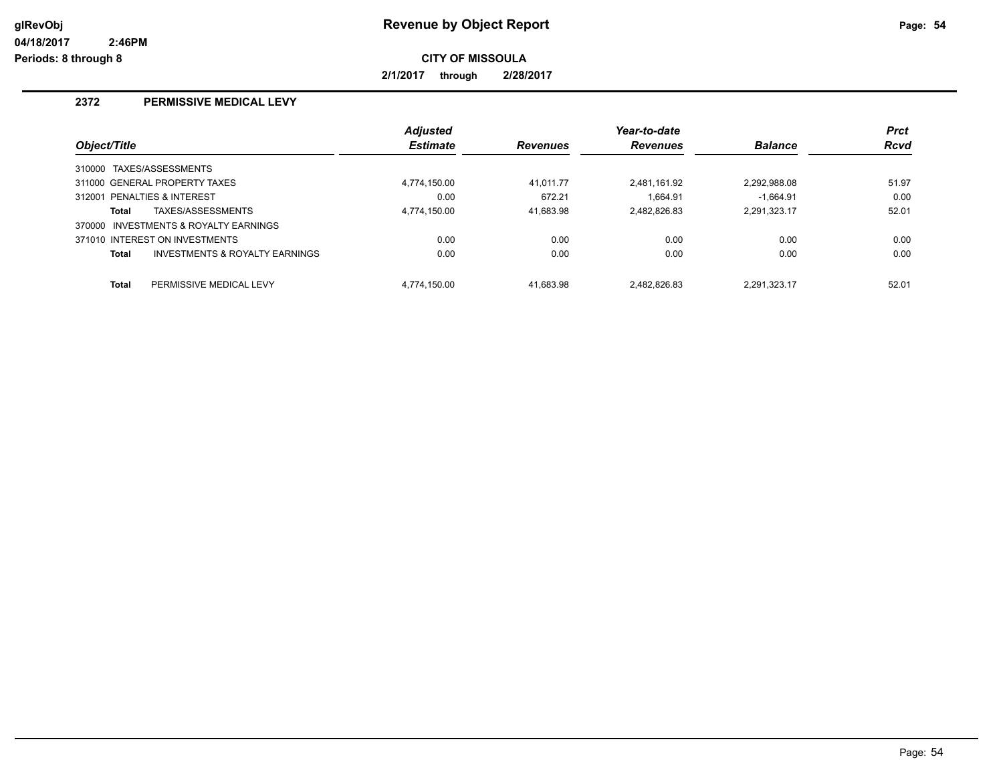**2/1/2017 through 2/28/2017**

#### **2372 PERMISSIVE MEDICAL LEVY**

|              |                                           | <b>Adjusted</b> |                 | Year-to-date    |                | <b>Prct</b> |
|--------------|-------------------------------------------|-----------------|-----------------|-----------------|----------------|-------------|
| Object/Title |                                           | <b>Estimate</b> | <b>Revenues</b> | <b>Revenues</b> | <b>Balance</b> | <b>Rcvd</b> |
|              | 310000 TAXES/ASSESSMENTS                  |                 |                 |                 |                |             |
|              | 311000 GENERAL PROPERTY TAXES             | 4.774.150.00    | 41.011.77       | 2.481.161.92    | 2,292,988.08   | 51.97       |
|              | 312001 PENALTIES & INTEREST               | 0.00            | 672.21          | 1.664.91        | $-1.664.91$    | 0.00        |
| Total        | TAXES/ASSESSMENTS                         | 4,774,150.00    | 41,683.98       | 2,482,826.83    | 2,291,323.17   | 52.01       |
| 370000       | INVESTMENTS & ROYALTY EARNINGS            |                 |                 |                 |                |             |
|              | 371010 INTEREST ON INVESTMENTS            | 0.00            | 0.00            | 0.00            | 0.00           | 0.00        |
| Total        | <b>INVESTMENTS &amp; ROYALTY EARNINGS</b> | 0.00            | 0.00            | 0.00            | 0.00           | 0.00        |
| <b>Total</b> | PERMISSIVE MEDICAL LEVY                   | 4.774.150.00    | 41.683.98       | 2.482.826.83    | 2.291.323.17   | 52.01       |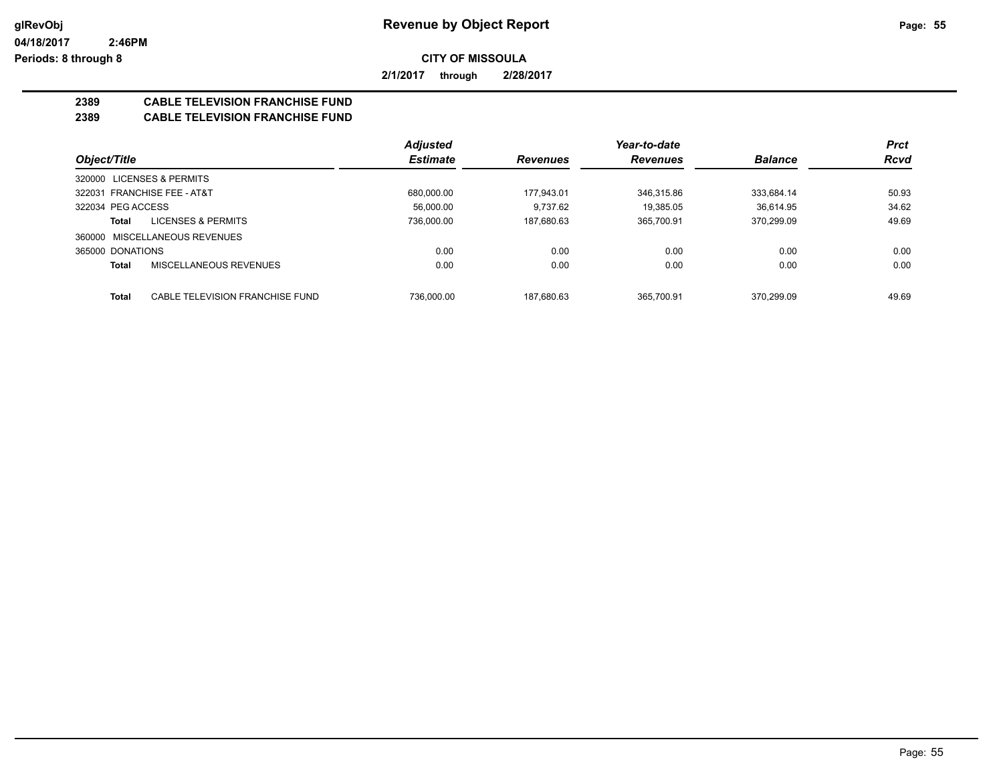**2/1/2017 through 2/28/2017**

# **2389 CABLE TELEVISION FRANCHISE FUND 2389 CABLE TELEVISION FRANCHISE FUND**

|                   |                                 | <b>Adjusted</b> |                 | Year-to-date    |                | <b>Prct</b> |
|-------------------|---------------------------------|-----------------|-----------------|-----------------|----------------|-------------|
| Object/Title      |                                 | <b>Estimate</b> | <b>Revenues</b> | <b>Revenues</b> | <b>Balance</b> | <b>Rcvd</b> |
|                   | 320000 LICENSES & PERMITS       |                 |                 |                 |                |             |
|                   | 322031 FRANCHISE FEE - AT&T     | 680.000.00      | 177.943.01      | 346.315.86      | 333.684.14     | 50.93       |
| 322034 PEG ACCESS |                                 | 56.000.00       | 9.737.62        | 19.385.05       | 36.614.95      | 34.62       |
| Total             | <b>LICENSES &amp; PERMITS</b>   | 736.000.00      | 187.680.63      | 365.700.91      | 370.299.09     | 49.69       |
|                   | 360000 MISCELLANEOUS REVENUES   |                 |                 |                 |                |             |
| 365000 DONATIONS  |                                 | 0.00            | 0.00            | 0.00            | 0.00           | 0.00        |
| Total             | MISCELLANEOUS REVENUES          | 0.00            | 0.00            | 0.00            | 0.00           | 0.00        |
| Total             | CABLE TELEVISION FRANCHISE FUND | 736.000.00      | 187.680.63      | 365.700.91      | 370.299.09     | 49.69       |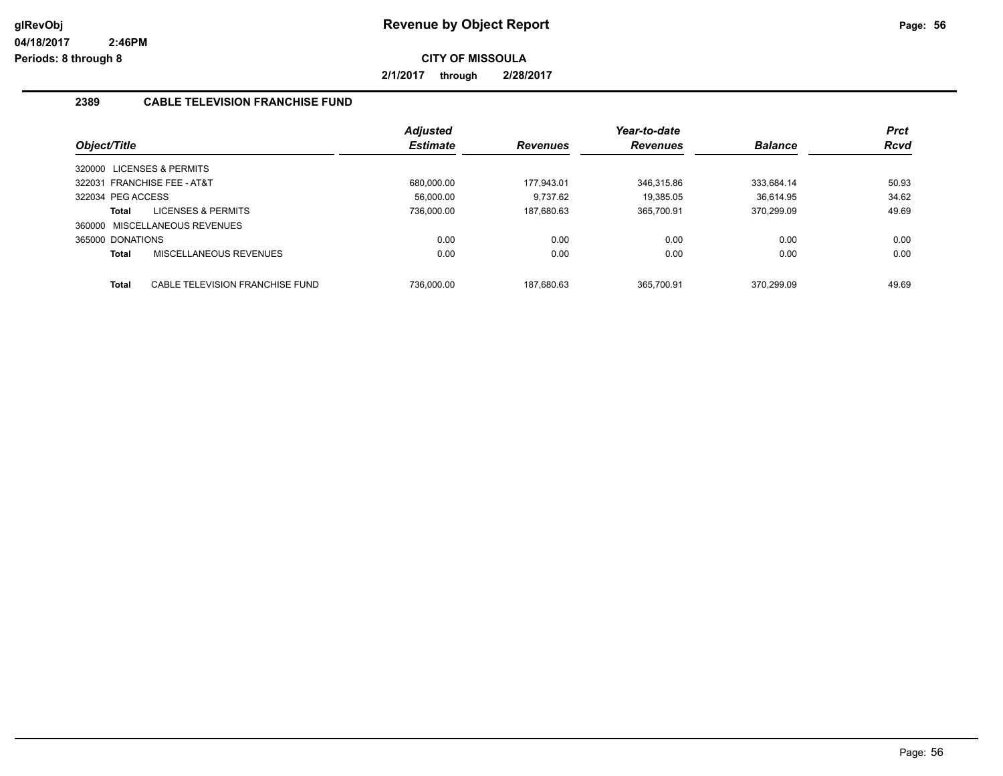**2/1/2017 through 2/28/2017**

# **2389 CABLE TELEVISION FRANCHISE FUND**

|                             |                                 | <b>Adjusted</b> |                 | Year-to-date    |                | <b>Prct</b> |
|-----------------------------|---------------------------------|-----------------|-----------------|-----------------|----------------|-------------|
| Object/Title                |                                 | <b>Estimate</b> | <b>Revenues</b> | <b>Revenues</b> | <b>Balance</b> | <b>Rcvd</b> |
| 320000 LICENSES & PERMITS   |                                 |                 |                 |                 |                |             |
| 322031 FRANCHISE FEE - AT&T |                                 | 680.000.00      | 177.943.01      | 346.315.86      | 333.684.14     | 50.93       |
| 322034 PEG ACCESS           |                                 | 56.000.00       | 9.737.62        | 19.385.05       | 36.614.95      | 34.62       |
| Total                       | LICENSES & PERMITS              | 736,000.00      | 187,680.63      | 365,700.91      | 370,299.09     | 49.69       |
|                             | 360000 MISCELLANEOUS REVENUES   |                 |                 |                 |                |             |
| 365000 DONATIONS            |                                 | 0.00            | 0.00            | 0.00            | 0.00           | 0.00        |
| Total                       | MISCELLANEOUS REVENUES          | 0.00            | 0.00            | 0.00            | 0.00           | 0.00        |
|                             |                                 |                 |                 |                 |                |             |
| <b>Total</b>                | CABLE TELEVISION FRANCHISE FUND | 736.000.00      | 187.680.63      | 365.700.91      | 370.299.09     | 49.69       |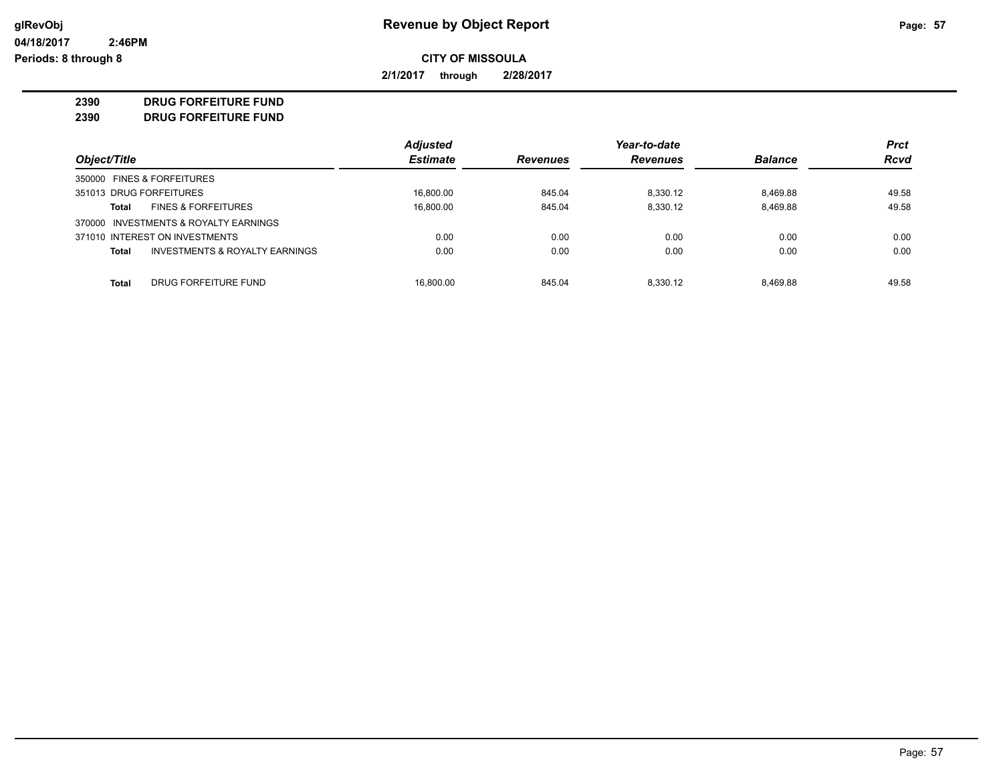**2/1/2017 through 2/28/2017**

**2390 DRUG FORFEITURE FUND 2390 DRUG FORFEITURE FUND**

|                                         | <b>Adjusted</b> |                 | Year-to-date    |                | <b>Prct</b> |
|-----------------------------------------|-----------------|-----------------|-----------------|----------------|-------------|
| Object/Title                            | <b>Estimate</b> | <b>Revenues</b> | <b>Revenues</b> | <b>Balance</b> | <b>Rcvd</b> |
| 350000 FINES & FORFEITURES              |                 |                 |                 |                |             |
| 351013 DRUG FORFEITURES                 | 16.800.00       | 845.04          | 8.330.12        | 8.469.88       | 49.58       |
| <b>FINES &amp; FORFEITURES</b><br>Total | 16,800.00       | 845.04          | 8.330.12        | 8,469.88       | 49.58       |
| 370000 INVESTMENTS & ROYALTY EARNINGS   |                 |                 |                 |                |             |
| 371010 INTEREST ON INVESTMENTS          | 0.00            | 0.00            | 0.00            | 0.00           | 0.00        |
| INVESTMENTS & ROYALTY EARNINGS<br>Total | 0.00            | 0.00            | 0.00            | 0.00           | 0.00        |
| <b>Total</b><br>DRUG FORFEITURE FUND    | 16.800.00       | 845.04          | 8.330.12        | 8.469.88       | 49.58       |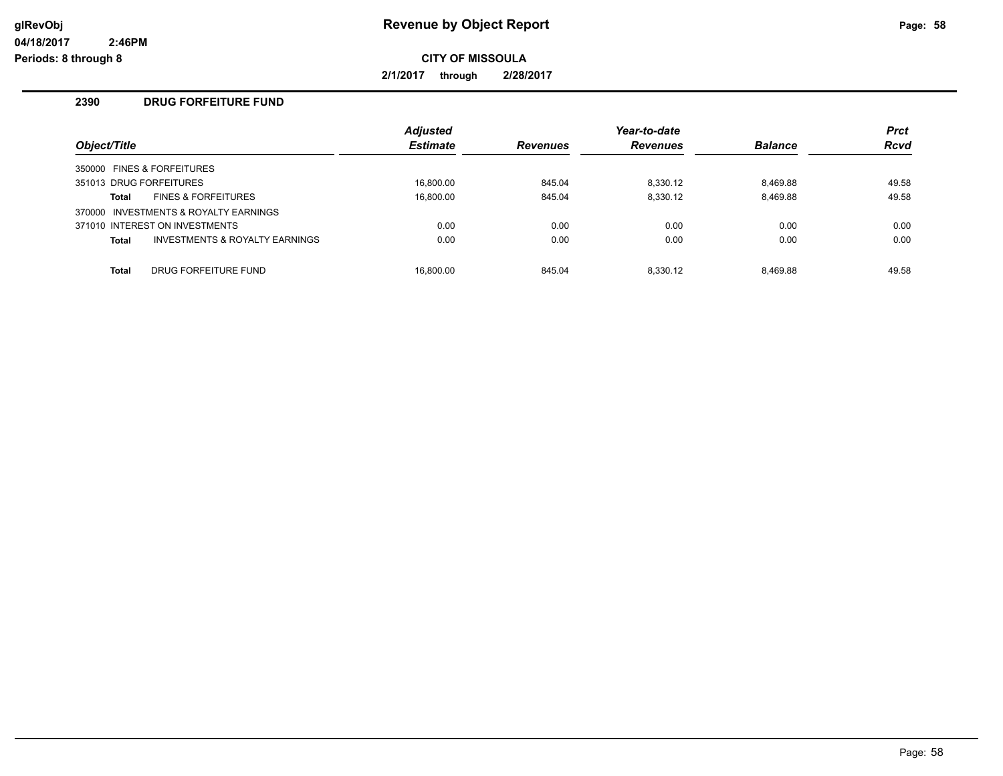**2/1/2017 through 2/28/2017**

#### **2390 DRUG FORFEITURE FUND**

|                                |                                       | <b>Adjusted</b> |                 | Year-to-date    |                |             |
|--------------------------------|---------------------------------------|-----------------|-----------------|-----------------|----------------|-------------|
| Object/Title                   |                                       | <b>Estimate</b> | <b>Revenues</b> | <b>Revenues</b> | <b>Balance</b> | <b>Rcvd</b> |
| 350000 FINES & FORFEITURES     |                                       |                 |                 |                 |                |             |
| 351013 DRUG FORFEITURES        |                                       | 16.800.00       | 845.04          | 8.330.12        | 8.469.88       | 49.58       |
| Total                          | <b>FINES &amp; FORFEITURES</b>        | 16.800.00       | 845.04          | 8.330.12        | 8,469.88       | 49.58       |
|                                | 370000 INVESTMENTS & ROYALTY EARNINGS |                 |                 |                 |                |             |
| 371010 INTEREST ON INVESTMENTS |                                       | 0.00            | 0.00            | 0.00            | 0.00           | 0.00        |
| <b>Total</b>                   | INVESTMENTS & ROYALTY EARNINGS        | 0.00            | 0.00            | 0.00            | 0.00           | 0.00        |
| <b>Total</b>                   | DRUG FORFEITURE FUND                  | 16.800.00       | 845.04          | 8.330.12        | 8.469.88       | 49.58       |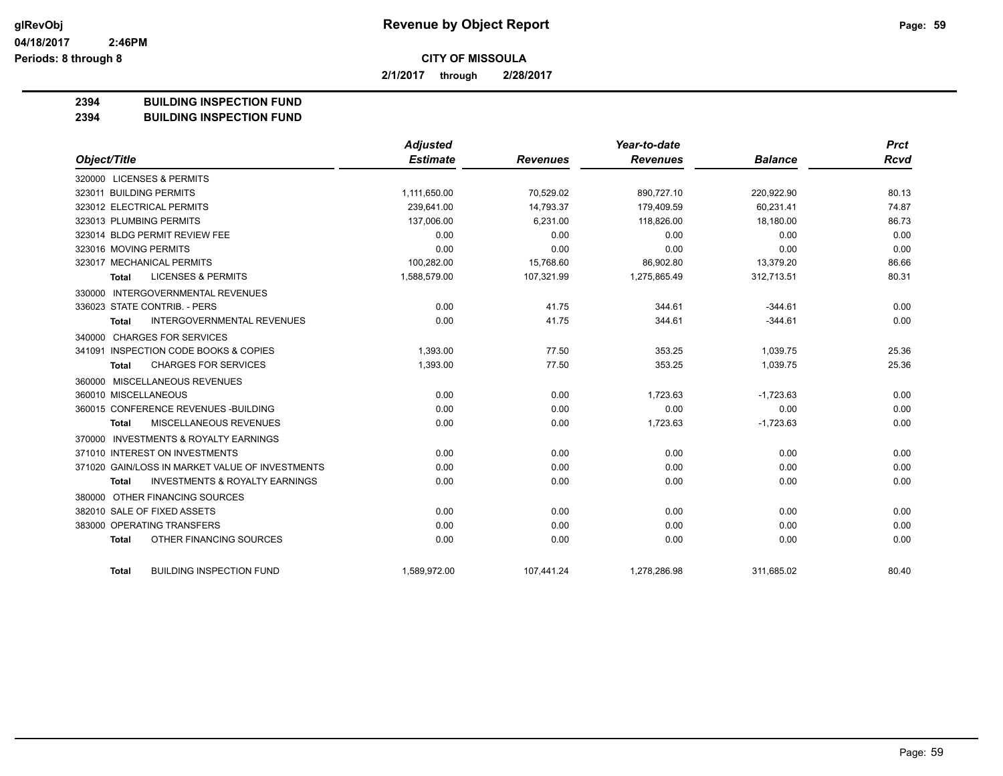**2/1/2017 through 2/28/2017**

**2394 BUILDING INSPECTION FUND**

| 2394 | <b>BUILDING INSPECTION FUND</b> |
|------|---------------------------------|
|------|---------------------------------|

|                                                           | <b>Adjusted</b> |                 | Year-to-date    |                | <b>Prct</b> |
|-----------------------------------------------------------|-----------------|-----------------|-----------------|----------------|-------------|
| Object/Title                                              | <b>Estimate</b> | <b>Revenues</b> | <b>Revenues</b> | <b>Balance</b> | <b>Rcvd</b> |
| 320000 LICENSES & PERMITS                                 |                 |                 |                 |                |             |
| 323011 BUILDING PERMITS                                   | 1,111,650.00    | 70,529.02       | 890,727.10      | 220,922.90     | 80.13       |
| 323012 ELECTRICAL PERMITS                                 | 239.641.00      | 14.793.37       | 179,409.59      | 60.231.41      | 74.87       |
| 323013 PLUMBING PERMITS                                   | 137,006.00      | 6,231.00        | 118,826.00      | 18,180.00      | 86.73       |
| 323014 BLDG PERMIT REVIEW FEE                             | 0.00            | 0.00            | 0.00            | 0.00           | 0.00        |
| 323016 MOVING PERMITS                                     | 0.00            | 0.00            | 0.00            | 0.00           | 0.00        |
| 323017 MECHANICAL PERMITS                                 | 100,282.00      | 15,768.60       | 86,902.80       | 13,379.20      | 86.66       |
| <b>LICENSES &amp; PERMITS</b><br><b>Total</b>             | 1,588,579.00    | 107,321.99      | 1,275,865.49    | 312,713.51     | 80.31       |
| 330000 INTERGOVERNMENTAL REVENUES                         |                 |                 |                 |                |             |
| 336023 STATE CONTRIB. - PERS                              | 0.00            | 41.75           | 344.61          | $-344.61$      | 0.00        |
| <b>INTERGOVERNMENTAL REVENUES</b><br><b>Total</b>         | 0.00            | 41.75           | 344.61          | $-344.61$      | 0.00        |
| 340000 CHARGES FOR SERVICES                               |                 |                 |                 |                |             |
| 341091 INSPECTION CODE BOOKS & COPIES                     | 1,393.00        | 77.50           | 353.25          | 1,039.75       | 25.36       |
| <b>CHARGES FOR SERVICES</b><br>Total                      | 1,393.00        | 77.50           | 353.25          | 1,039.75       | 25.36       |
| 360000 MISCELLANEOUS REVENUES                             |                 |                 |                 |                |             |
| 360010 MISCELLANEOUS                                      | 0.00            | 0.00            | 1,723.63        | $-1,723.63$    | 0.00        |
| 360015 CONFERENCE REVENUES - BUILDING                     | 0.00            | 0.00            | 0.00            | 0.00           | 0.00        |
| MISCELLANEOUS REVENUES<br>Total                           | 0.00            | 0.00            | 1,723.63        | $-1,723.63$    | 0.00        |
| 370000 INVESTMENTS & ROYALTY EARNINGS                     |                 |                 |                 |                |             |
| 371010 INTEREST ON INVESTMENTS                            | 0.00            | 0.00            | 0.00            | 0.00           | 0.00        |
| 371020 GAIN/LOSS IN MARKET VALUE OF INVESTMENTS           | 0.00            | 0.00            | 0.00            | 0.00           | 0.00        |
| <b>INVESTMENTS &amp; ROYALTY EARNINGS</b><br><b>Total</b> | 0.00            | 0.00            | 0.00            | 0.00           | 0.00        |
| 380000 OTHER FINANCING SOURCES                            |                 |                 |                 |                |             |
| 382010 SALE OF FIXED ASSETS                               | 0.00            | 0.00            | 0.00            | 0.00           | 0.00        |
| 383000 OPERATING TRANSFERS                                | 0.00            | 0.00            | 0.00            | 0.00           | 0.00        |
| OTHER FINANCING SOURCES<br><b>Total</b>                   | 0.00            | 0.00            | 0.00            | 0.00           | 0.00        |
| <b>BUILDING INSPECTION FUND</b><br><b>Total</b>           | 1,589,972.00    | 107,441.24      | 1,278,286.98    | 311,685.02     | 80.40       |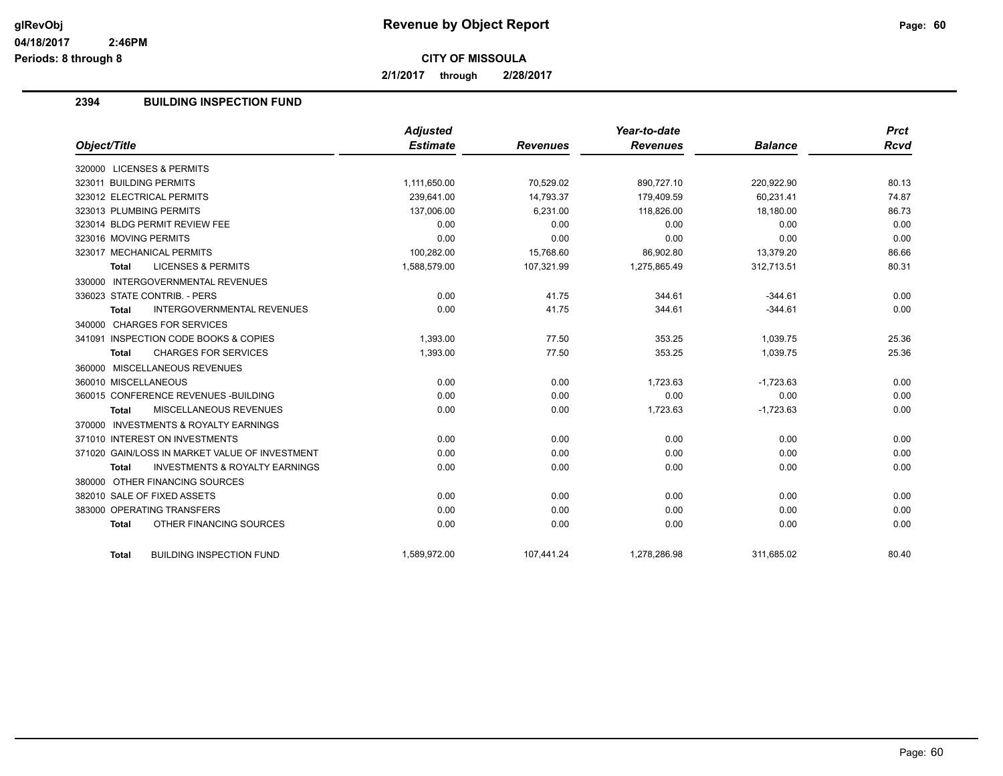**2/1/2017 through 2/28/2017**

## **2394 BUILDING INSPECTION FUND**

|                                                           | <b>Adjusted</b> |                 | Year-to-date    |                | <b>Prct</b> |
|-----------------------------------------------------------|-----------------|-----------------|-----------------|----------------|-------------|
| Object/Title                                              | <b>Estimate</b> | <b>Revenues</b> | <b>Revenues</b> | <b>Balance</b> | Rcvd        |
| 320000 LICENSES & PERMITS                                 |                 |                 |                 |                |             |
| 323011 BUILDING PERMITS                                   | 1,111,650.00    | 70,529.02       | 890,727.10      | 220,922.90     | 80.13       |
| 323012 ELECTRICAL PERMITS                                 | 239,641.00      | 14,793.37       | 179,409.59      | 60,231.41      | 74.87       |
| 323013 PLUMBING PERMITS                                   | 137.006.00      | 6,231.00        | 118,826.00      | 18,180.00      | 86.73       |
| 323014 BLDG PERMIT REVIEW FEE                             | 0.00            | 0.00            | 0.00            | 0.00           | 0.00        |
| 323016 MOVING PERMITS                                     | 0.00            | 0.00            | 0.00            | 0.00           | 0.00        |
| 323017 MECHANICAL PERMITS                                 | 100,282.00      | 15,768.60       | 86,902.80       | 13,379.20      | 86.66       |
| <b>LICENSES &amp; PERMITS</b><br>Total                    | 1,588,579.00    | 107,321.99      | 1,275,865.49    | 312,713.51     | 80.31       |
| 330000 INTERGOVERNMENTAL REVENUES                         |                 |                 |                 |                |             |
| 336023 STATE CONTRIB. - PERS                              | 0.00            | 41.75           | 344.61          | $-344.61$      | 0.00        |
| INTERGOVERNMENTAL REVENUES<br><b>Total</b>                | 0.00            | 41.75           | 344.61          | $-344.61$      | 0.00        |
| 340000 CHARGES FOR SERVICES                               |                 |                 |                 |                |             |
| 341091 INSPECTION CODE BOOKS & COPIES                     | 1.393.00        | 77.50           | 353.25          | 1,039.75       | 25.36       |
| <b>CHARGES FOR SERVICES</b><br><b>Total</b>               | 1,393.00        | 77.50           | 353.25          | 1,039.75       | 25.36       |
| 360000 MISCELLANEOUS REVENUES                             |                 |                 |                 |                |             |
| 360010 MISCELLANEOUS                                      | 0.00            | 0.00            | 1,723.63        | $-1,723.63$    | 0.00        |
| 360015 CONFERENCE REVENUES - BUILDING                     | 0.00            | 0.00            | 0.00            | 0.00           | 0.00        |
| MISCELLANEOUS REVENUES<br>Total                           | 0.00            | 0.00            | 1,723.63        | $-1,723.63$    | 0.00        |
| 370000 INVESTMENTS & ROYALTY EARNINGS                     |                 |                 |                 |                |             |
| 371010 INTEREST ON INVESTMENTS                            | 0.00            | 0.00            | 0.00            | 0.00           | 0.00        |
| 371020 GAIN/LOSS IN MARKET VALUE OF INVESTMENT            | 0.00            | 0.00            | 0.00            | 0.00           | 0.00        |
| <b>INVESTMENTS &amp; ROYALTY EARNINGS</b><br><b>Total</b> | 0.00            | 0.00            | 0.00            | 0.00           | 0.00        |
| 380000 OTHER FINANCING SOURCES                            |                 |                 |                 |                |             |
| 382010 SALE OF FIXED ASSETS                               | 0.00            | 0.00            | 0.00            | 0.00           | 0.00        |
| 383000 OPERATING TRANSFERS                                | 0.00            | 0.00            | 0.00            | 0.00           | 0.00        |
| OTHER FINANCING SOURCES<br><b>Total</b>                   | 0.00            | 0.00            | 0.00            | 0.00           | 0.00        |
|                                                           |                 |                 |                 |                |             |
| <b>BUILDING INSPECTION FUND</b><br><b>Total</b>           | 1,589,972.00    | 107,441.24      | 1,278,286.98    | 311,685.02     | 80.40       |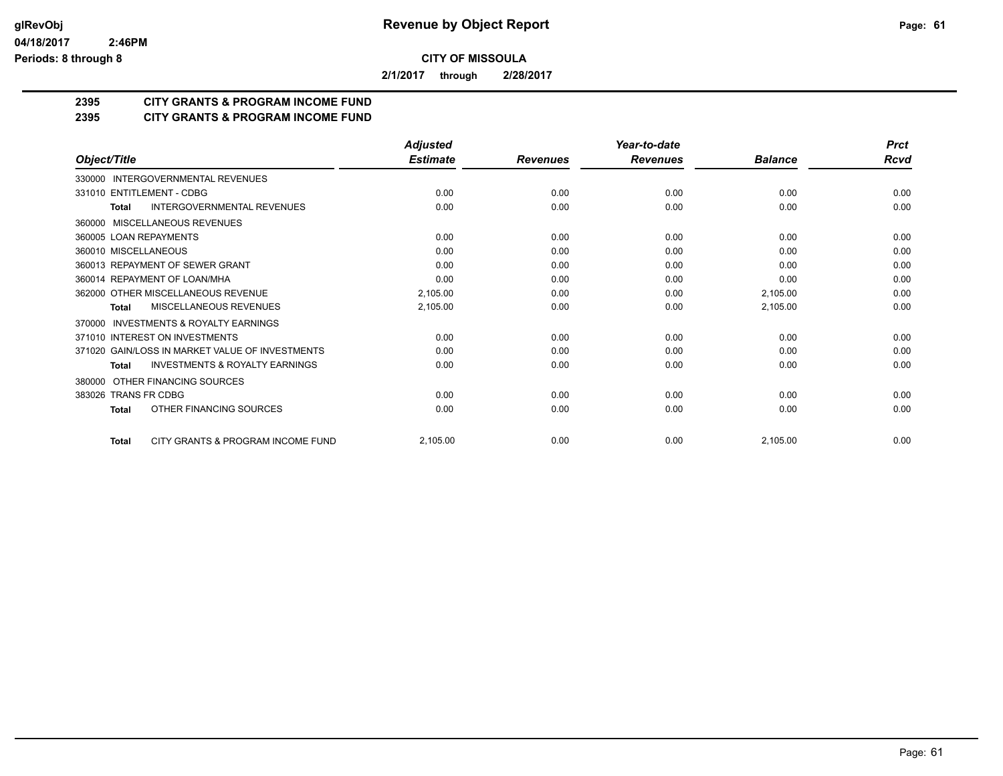**2/1/2017 through 2/28/2017**

# **2395 CITY GRANTS & PROGRAM INCOME FUND 2395 CITY GRANTS & PROGRAM INCOME FUND**

|                                                           | <b>Adjusted</b> |                 | Year-to-date    |                | <b>Prct</b> |
|-----------------------------------------------------------|-----------------|-----------------|-----------------|----------------|-------------|
| Object/Title                                              | <b>Estimate</b> | <b>Revenues</b> | <b>Revenues</b> | <b>Balance</b> | Rcvd        |
| <b>INTERGOVERNMENTAL REVENUES</b><br>330000               |                 |                 |                 |                |             |
| 331010 ENTITLEMENT - CDBG                                 | 0.00            | 0.00            | 0.00            | 0.00           | 0.00        |
| <b>INTERGOVERNMENTAL REVENUES</b><br><b>Total</b>         | 0.00            | 0.00            | 0.00            | 0.00           | 0.00        |
| MISCELLANEOUS REVENUES<br>360000                          |                 |                 |                 |                |             |
| 360005 LOAN REPAYMENTS                                    | 0.00            | 0.00            | 0.00            | 0.00           | 0.00        |
| 360010 MISCELLANEOUS                                      | 0.00            | 0.00            | 0.00            | 0.00           | 0.00        |
| 360013 REPAYMENT OF SEWER GRANT                           | 0.00            | 0.00            | 0.00            | 0.00           | 0.00        |
| 360014 REPAYMENT OF LOAN/MHA                              | 0.00            | 0.00            | 0.00            | 0.00           | 0.00        |
| 362000 OTHER MISCELLANEOUS REVENUE                        | 2,105.00        | 0.00            | 0.00            | 2,105.00       | 0.00        |
| MISCELLANEOUS REVENUES<br><b>Total</b>                    | 2,105.00        | 0.00            | 0.00            | 2,105.00       | 0.00        |
| <b>INVESTMENTS &amp; ROYALTY EARNINGS</b><br>370000       |                 |                 |                 |                |             |
| 371010 INTEREST ON INVESTMENTS                            | 0.00            | 0.00            | 0.00            | 0.00           | 0.00        |
| 371020 GAIN/LOSS IN MARKET VALUE OF INVESTMENTS           | 0.00            | 0.00            | 0.00            | 0.00           | 0.00        |
| <b>INVESTMENTS &amp; ROYALTY EARNINGS</b><br><b>Total</b> | 0.00            | 0.00            | 0.00            | 0.00           | 0.00        |
| OTHER FINANCING SOURCES<br>380000                         |                 |                 |                 |                |             |
| 383026 TRANS FR CDBG                                      | 0.00            | 0.00            | 0.00            | 0.00           | 0.00        |
| OTHER FINANCING SOURCES<br><b>Total</b>                   | 0.00            | 0.00            | 0.00            | 0.00           | 0.00        |
| CITY GRANTS & PROGRAM INCOME FUND<br><b>Total</b>         | 2,105.00        | 0.00            | 0.00            | 2,105.00       | 0.00        |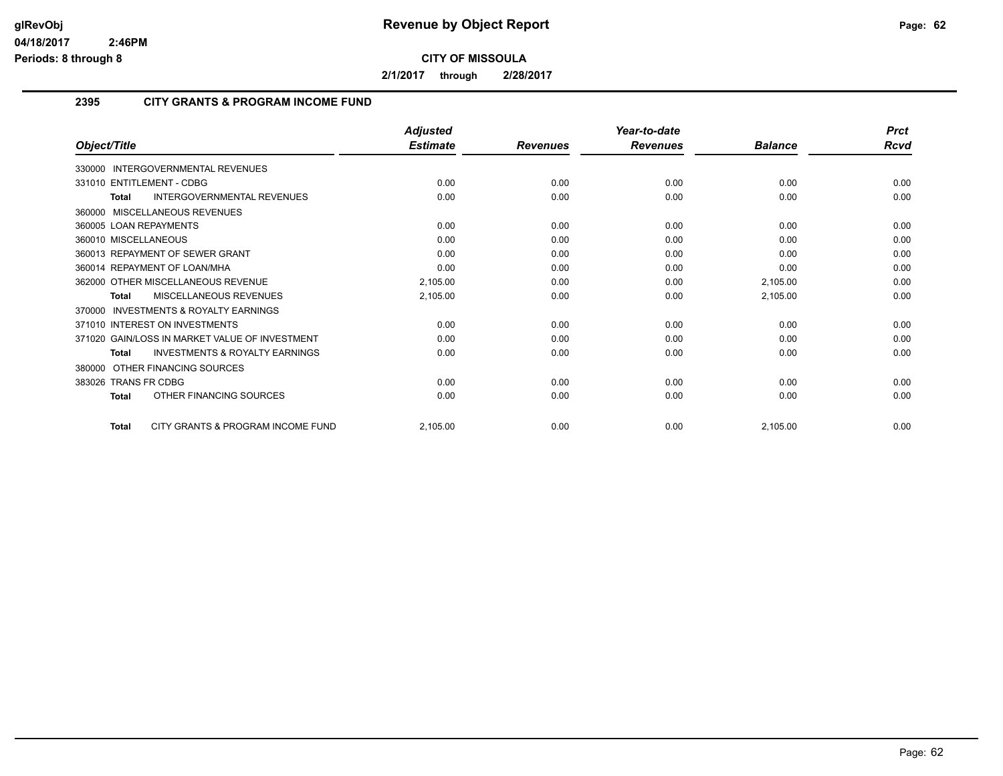**2/1/2017 through 2/28/2017**

## **2395 CITY GRANTS & PROGRAM INCOME FUND**

|                                                           | <b>Adjusted</b> |                 | Year-to-date    |                | <b>Prct</b> |
|-----------------------------------------------------------|-----------------|-----------------|-----------------|----------------|-------------|
| Object/Title                                              | <b>Estimate</b> | <b>Revenues</b> | <b>Revenues</b> | <b>Balance</b> | Rcvd        |
| 330000 INTERGOVERNMENTAL REVENUES                         |                 |                 |                 |                |             |
| 331010 ENTITLEMENT - CDBG                                 | 0.00            | 0.00            | 0.00            | 0.00           | 0.00        |
| INTERGOVERNMENTAL REVENUES<br><b>Total</b>                | 0.00            | 0.00            | 0.00            | 0.00           | 0.00        |
| 360000 MISCELLANEOUS REVENUES                             |                 |                 |                 |                |             |
| 360005 LOAN REPAYMENTS                                    | 0.00            | 0.00            | 0.00            | 0.00           | 0.00        |
| 360010 MISCELLANEOUS                                      | 0.00            | 0.00            | 0.00            | 0.00           | 0.00        |
| 360013 REPAYMENT OF SEWER GRANT                           | 0.00            | 0.00            | 0.00            | 0.00           | 0.00        |
| 360014 REPAYMENT OF LOAN/MHA                              | 0.00            | 0.00            | 0.00            | 0.00           | 0.00        |
| 362000 OTHER MISCELLANEOUS REVENUE                        | 2,105.00        | 0.00            | 0.00            | 2,105.00       | 0.00        |
| <b>MISCELLANEOUS REVENUES</b><br><b>Total</b>             | 2,105.00        | 0.00            | 0.00            | 2,105.00       | 0.00        |
| INVESTMENTS & ROYALTY EARNINGS<br>370000                  |                 |                 |                 |                |             |
| 371010 INTEREST ON INVESTMENTS                            | 0.00            | 0.00            | 0.00            | 0.00           | 0.00        |
| 371020 GAIN/LOSS IN MARKET VALUE OF INVESTMENT            | 0.00            | 0.00            | 0.00            | 0.00           | 0.00        |
| <b>INVESTMENTS &amp; ROYALTY EARNINGS</b><br><b>Total</b> | 0.00            | 0.00            | 0.00            | 0.00           | 0.00        |
| OTHER FINANCING SOURCES<br>380000                         |                 |                 |                 |                |             |
| 383026 TRANS FR CDBG                                      | 0.00            | 0.00            | 0.00            | 0.00           | 0.00        |
| OTHER FINANCING SOURCES<br><b>Total</b>                   | 0.00            | 0.00            | 0.00            | 0.00           | 0.00        |
| CITY GRANTS & PROGRAM INCOME FUND<br><b>Total</b>         | 2,105.00        | 0.00            | 0.00            | 2,105.00       | 0.00        |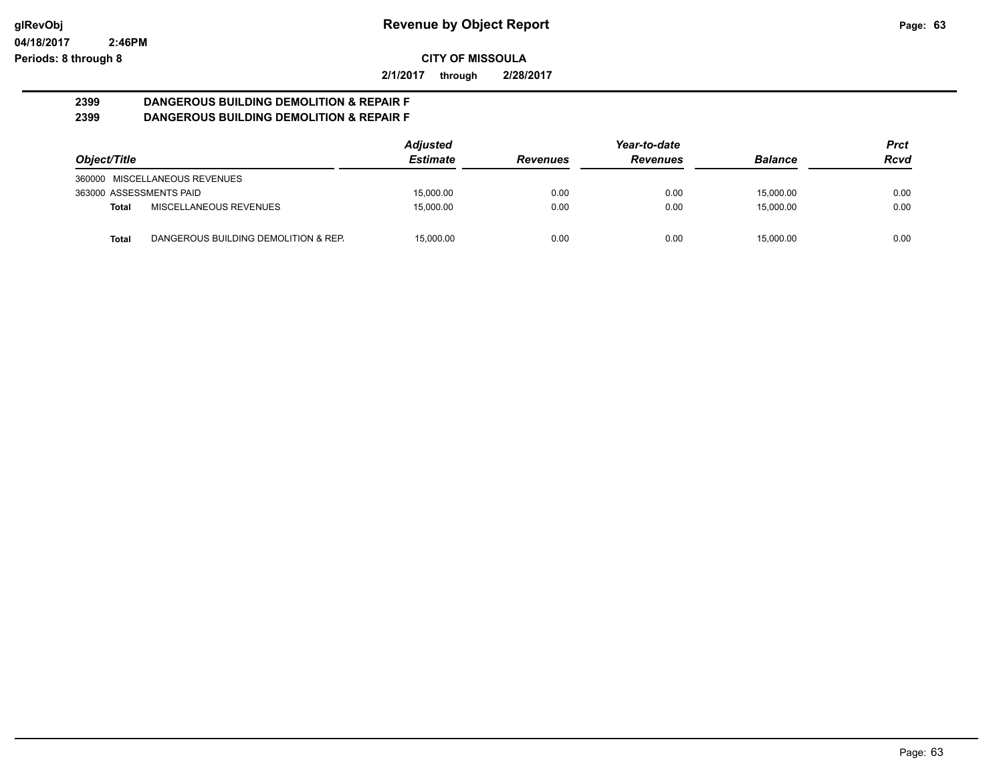**2/1/2017 through 2/28/2017**

# **2399 DANGEROUS BUILDING DEMOLITION & REPAIR F 2399 DANGEROUS BUILDING DEMOLITION & REPAIR F**

|                         |                                      | <b>Adjusted</b> |                 | Year-to-date    |                | <b>Prct</b> |
|-------------------------|--------------------------------------|-----------------|-----------------|-----------------|----------------|-------------|
| Object/Title            |                                      | <b>Estimate</b> | <b>Revenues</b> | <b>Revenues</b> | <b>Balance</b> | <b>Rcvd</b> |
|                         | 360000 MISCELLANEOUS REVENUES        |                 |                 |                 |                |             |
| 363000 ASSESSMENTS PAID |                                      | 15.000.00       | 0.00            | 0.00            | 15,000.00      | 0.00        |
| Total                   | MISCELLANEOUS REVENUES               | 15.000.00       | 0.00            | 0.00            | 15,000.00      | 0.00        |
| Total                   | DANGEROUS BUILDING DEMOLITION & REP. | 15,000.00       | 0.00            | 0.00            | 15,000.00      | 0.00        |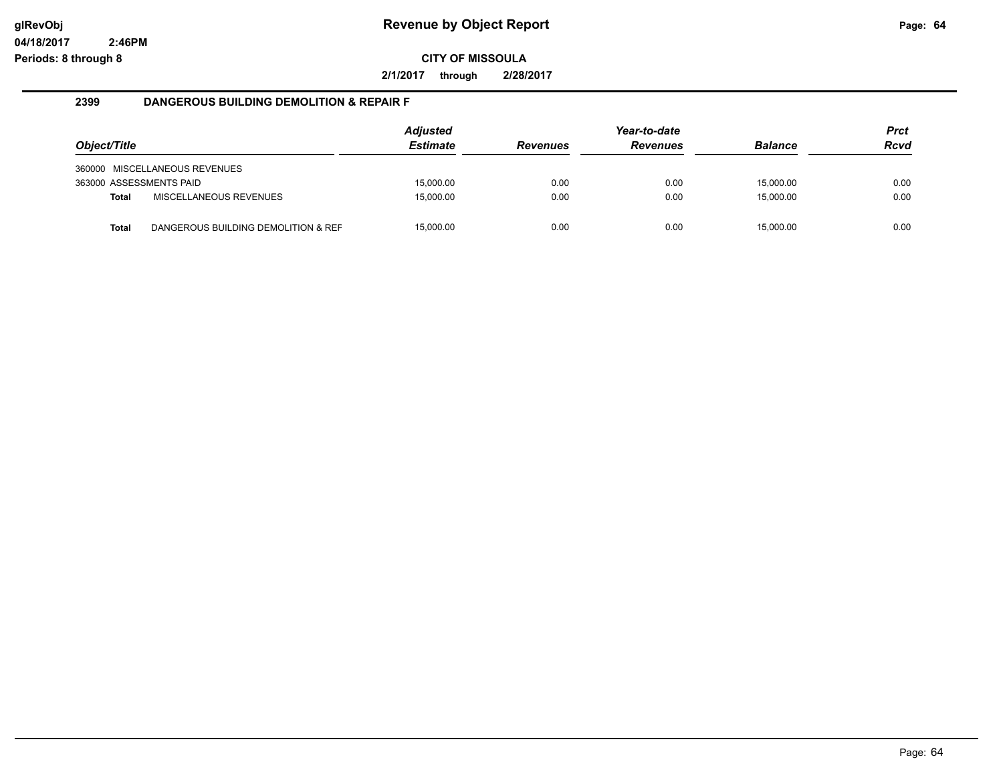**2/1/2017 through 2/28/2017**

#### **2399 DANGEROUS BUILDING DEMOLITION & REPAIR F**

|                         |                                     | <b>Adjusted</b> |                 | Year-to-date    |                | <b>Prct</b> |
|-------------------------|-------------------------------------|-----------------|-----------------|-----------------|----------------|-------------|
| Object/Title            |                                     | <b>Estimate</b> | <b>Revenues</b> | <b>Revenues</b> | <b>Balance</b> | Rcvd        |
|                         | 360000 MISCELLANEOUS REVENUES       |                 |                 |                 |                |             |
| 363000 ASSESSMENTS PAID |                                     | 15.000.00       | 0.00            | 0.00            | 15,000.00      | 0.00        |
| <b>Total</b>            | MISCELLANEOUS REVENUES              | 15,000.00       | 0.00            | 0.00            | 15,000.00      | 0.00        |
| Total                   | DANGEROUS BUILDING DEMOLITION & REF | 15.000.00       | 0.00            | 0.00            | 15,000.00      | 0.00        |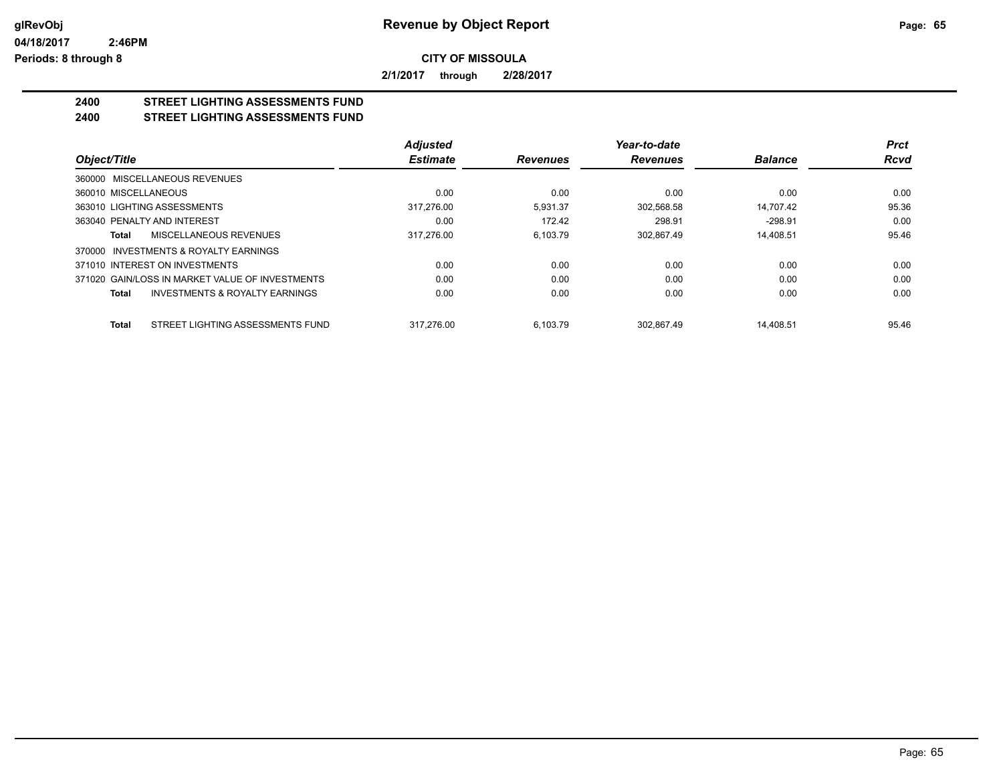**2/1/2017 through 2/28/2017**

# **2400 STREET LIGHTING ASSESSMENTS FUND 2400 STREET LIGHTING ASSESSMENTS FUND**

|                                                    | <b>Adjusted</b> |                 | Year-to-date    |                | <b>Prct</b> |
|----------------------------------------------------|-----------------|-----------------|-----------------|----------------|-------------|
| Object/Title                                       | <b>Estimate</b> | <b>Revenues</b> | <b>Revenues</b> | <b>Balance</b> | <b>Rcvd</b> |
| 360000 MISCELLANEOUS REVENUES                      |                 |                 |                 |                |             |
| 360010 MISCELLANEOUS                               | 0.00            | 0.00            | 0.00            | 0.00           | 0.00        |
| 363010 LIGHTING ASSESSMENTS                        | 317.276.00      | 5.931.37        | 302.568.58      | 14.707.42      | 95.36       |
| 363040 PENALTY AND INTEREST                        | 0.00            | 172.42          | 298.91          | $-298.91$      | 0.00        |
| <b>MISCELLANEOUS REVENUES</b><br>Total             | 317,276.00      | 6.103.79        | 302,867.49      | 14.408.51      | 95.46       |
| INVESTMENTS & ROYALTY EARNINGS<br>370000           |                 |                 |                 |                |             |
| 371010 INTEREST ON INVESTMENTS                     | 0.00            | 0.00            | 0.00            | 0.00           | 0.00        |
| 371020 GAIN/LOSS IN MARKET VALUE OF INVESTMENTS    | 0.00            | 0.00            | 0.00            | 0.00           | 0.00        |
| <b>INVESTMENTS &amp; ROYALTY EARNINGS</b><br>Total | 0.00            | 0.00            | 0.00            | 0.00           | 0.00        |
| STREET LIGHTING ASSESSMENTS FUND<br><b>Total</b>   | 317.276.00      | 6.103.79        | 302.867.49      | 14.408.51      | 95.46       |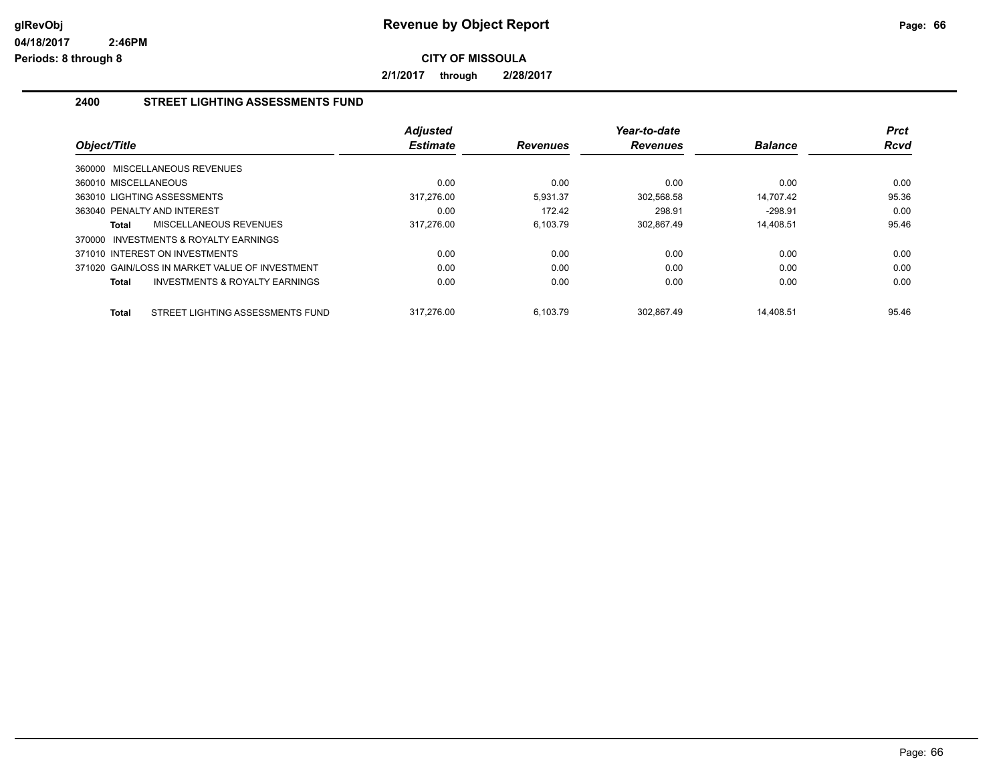**2/1/2017 through 2/28/2017**

# **2400 STREET LIGHTING ASSESSMENTS FUND**

| Object/Title                                       | <b>Adjusted</b><br><b>Estimate</b> | <b>Revenues</b> | Year-to-date<br><b>Revenues</b> | <b>Balance</b> | <b>Prct</b><br>Rcvd |
|----------------------------------------------------|------------------------------------|-----------------|---------------------------------|----------------|---------------------|
| 360000 MISCELLANEOUS REVENUES                      |                                    |                 |                                 |                |                     |
| 360010 MISCELLANEOUS                               | 0.00                               | 0.00            | 0.00                            | 0.00           | 0.00                |
| 363010 LIGHTING ASSESSMENTS                        | 317.276.00                         | 5.931.37        | 302,568.58                      | 14.707.42      | 95.36               |
| 363040 PENALTY AND INTEREST                        | 0.00                               | 172.42          | 298.91                          | $-298.91$      | 0.00                |
| MISCELLANEOUS REVENUES<br>Total                    | 317,276.00                         | 6.103.79        | 302,867.49                      | 14,408.51      | 95.46               |
| INVESTMENTS & ROYALTY EARNINGS<br>370000           |                                    |                 |                                 |                |                     |
| 371010 INTEREST ON INVESTMENTS                     | 0.00                               | 0.00            | 0.00                            | 0.00           | 0.00                |
| 371020 GAIN/LOSS IN MARKET VALUE OF INVESTMENT     | 0.00                               | 0.00            | 0.00                            | 0.00           | 0.00                |
| <b>INVESTMENTS &amp; ROYALTY EARNINGS</b><br>Total | 0.00                               | 0.00            | 0.00                            | 0.00           | 0.00                |
| STREET LIGHTING ASSESSMENTS FUND<br><b>Total</b>   | 317.276.00                         | 6.103.79        | 302.867.49                      | 14.408.51      | 95.46               |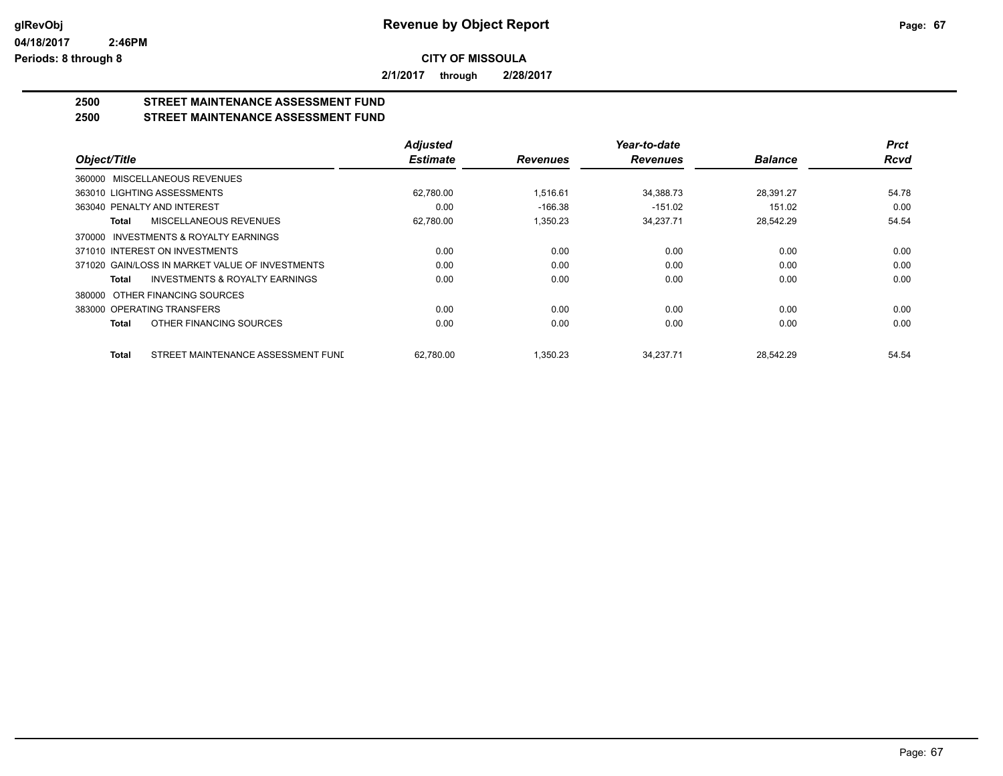**2/1/2017 through 2/28/2017**

# **2500 STREET MAINTENANCE ASSESSMENT FUND 2500 STREET MAINTENANCE ASSESSMENT FUND**

|                                                    | <b>Adjusted</b> |                 | Year-to-date    |                | <b>Prct</b> |
|----------------------------------------------------|-----------------|-----------------|-----------------|----------------|-------------|
| Object/Title                                       | <b>Estimate</b> | <b>Revenues</b> | <b>Revenues</b> | <b>Balance</b> | Rcvd        |
| MISCELLANEOUS REVENUES<br>360000                   |                 |                 |                 |                |             |
| 363010 LIGHTING ASSESSMENTS                        | 62,780.00       | 1,516.61        | 34,388.73       | 28,391.27      | 54.78       |
| 363040 PENALTY AND INTEREST                        | 0.00            | $-166.38$       | $-151.02$       | 151.02         | 0.00        |
| MISCELLANEOUS REVENUES<br><b>Total</b>             | 62,780.00       | 1,350.23        | 34,237.71       | 28.542.29      | 54.54       |
| INVESTMENTS & ROYALTY EARNINGS<br>370000           |                 |                 |                 |                |             |
| 371010 INTEREST ON INVESTMENTS                     | 0.00            | 0.00            | 0.00            | 0.00           | 0.00        |
| 371020 GAIN/LOSS IN MARKET VALUE OF INVESTMENTS    | 0.00            | 0.00            | 0.00            | 0.00           | 0.00        |
| INVESTMENTS & ROYALTY EARNINGS<br>Total            | 0.00            | 0.00            | 0.00            | 0.00           | 0.00        |
| OTHER FINANCING SOURCES<br>380000                  |                 |                 |                 |                |             |
| 383000 OPERATING TRANSFERS                         | 0.00            | 0.00            | 0.00            | 0.00           | 0.00        |
| OTHER FINANCING SOURCES<br><b>Total</b>            | 0.00            | 0.00            | 0.00            | 0.00           | 0.00        |
| STREET MAINTENANCE ASSESSMENT FUND<br><b>Total</b> | 62.780.00       | 1.350.23        | 34.237.71       | 28.542.29      | 54.54       |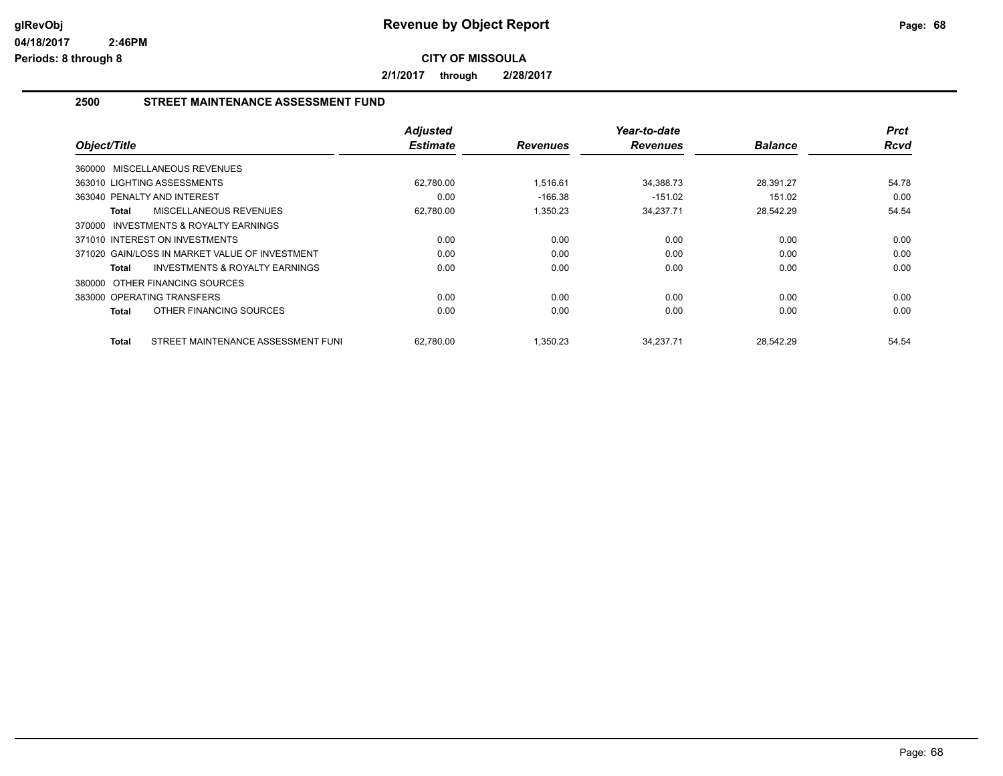**2/1/2017 through 2/28/2017**

#### **2500 STREET MAINTENANCE ASSESSMENT FUND**

|                                                    | <b>Adjusted</b> |                 | Year-to-date    |                | <b>Prct</b> |
|----------------------------------------------------|-----------------|-----------------|-----------------|----------------|-------------|
| Object/Title                                       | <b>Estimate</b> | <b>Revenues</b> | <b>Revenues</b> | <b>Balance</b> | Rcvd        |
| 360000 MISCELLANEOUS REVENUES                      |                 |                 |                 |                |             |
| 363010 LIGHTING ASSESSMENTS                        | 62,780.00       | 1.516.61        | 34,388.73       | 28,391.27      | 54.78       |
| 363040 PENALTY AND INTEREST                        | 0.00            | $-166.38$       | $-151.02$       | 151.02         | 0.00        |
| MISCELLANEOUS REVENUES<br>Total                    | 62,780.00       | 1,350.23        | 34,237.71       | 28,542.29      | 54.54       |
| 370000 INVESTMENTS & ROYALTY EARNINGS              |                 |                 |                 |                |             |
| 371010 INTEREST ON INVESTMENTS                     | 0.00            | 0.00            | 0.00            | 0.00           | 0.00        |
| 371020 GAIN/LOSS IN MARKET VALUE OF INVESTMENT     | 0.00            | 0.00            | 0.00            | 0.00           | 0.00        |
| INVESTMENTS & ROYALTY EARNINGS<br><b>Total</b>     | 0.00            | 0.00            | 0.00            | 0.00           | 0.00        |
| 380000 OTHER FINANCING SOURCES                     |                 |                 |                 |                |             |
| 383000 OPERATING TRANSFERS                         | 0.00            | 0.00            | 0.00            | 0.00           | 0.00        |
| OTHER FINANCING SOURCES<br><b>Total</b>            | 0.00            | 0.00            | 0.00            | 0.00           | 0.00        |
| STREET MAINTENANCE ASSESSMENT FUNI<br><b>Total</b> | 62.780.00       | 1.350.23        | 34.237.71       | 28.542.29      | 54.54       |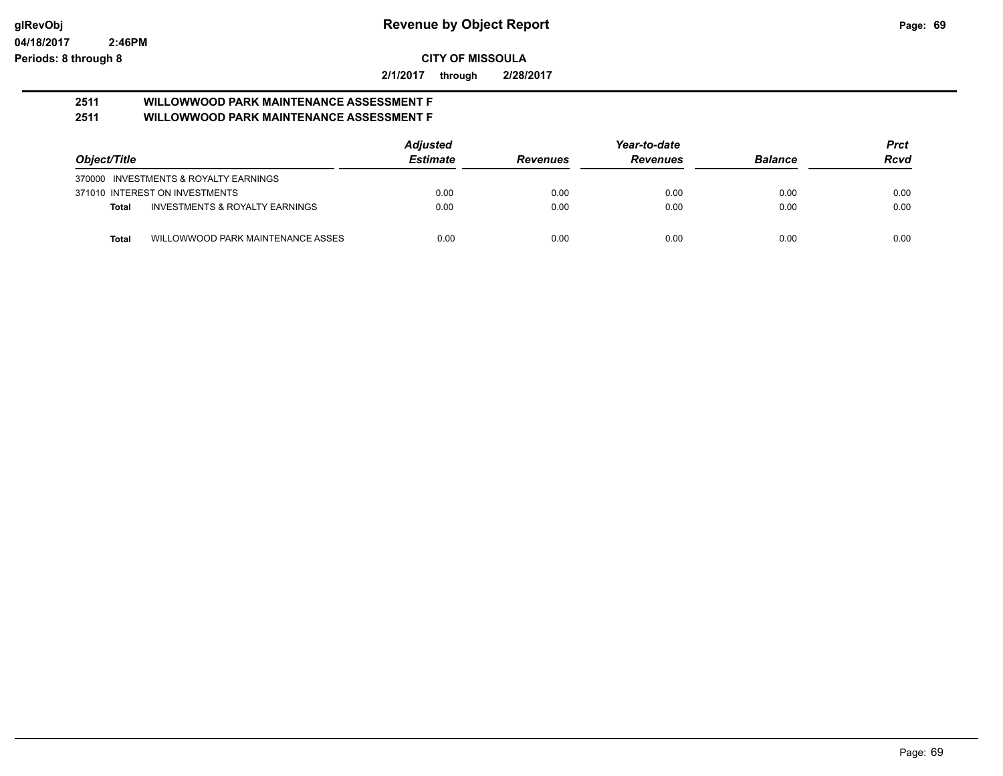**2/1/2017 through 2/28/2017**

# **2511 WILLOWWOOD PARK MAINTENANCE ASSESSMENT F 2511 WILLOWWOOD PARK MAINTENANCE ASSESSMENT F**

|              |                                       | <b>Adjusted</b> |                 | Year-to-date    |                | Prct        |
|--------------|---------------------------------------|-----------------|-----------------|-----------------|----------------|-------------|
| Object/Title |                                       | <b>Estimate</b> | <b>Revenues</b> | <b>Revenues</b> | <b>Balance</b> | <b>Rcvd</b> |
|              | 370000 INVESTMENTS & ROYALTY EARNINGS |                 |                 |                 |                |             |
|              | 371010 INTEREST ON INVESTMENTS        | 0.00            | 0.00            | 0.00            | 0.00           | 0.00        |
| <b>Total</b> | INVESTMENTS & ROYALTY EARNINGS        | 0.00            | 0.00            | 0.00            | 0.00           | 0.00        |
| <b>Total</b> | WILLOWWOOD PARK MAINTENANCE ASSES     | 0.00            | 0.00            | 0.00            | 0.00           | 0.00        |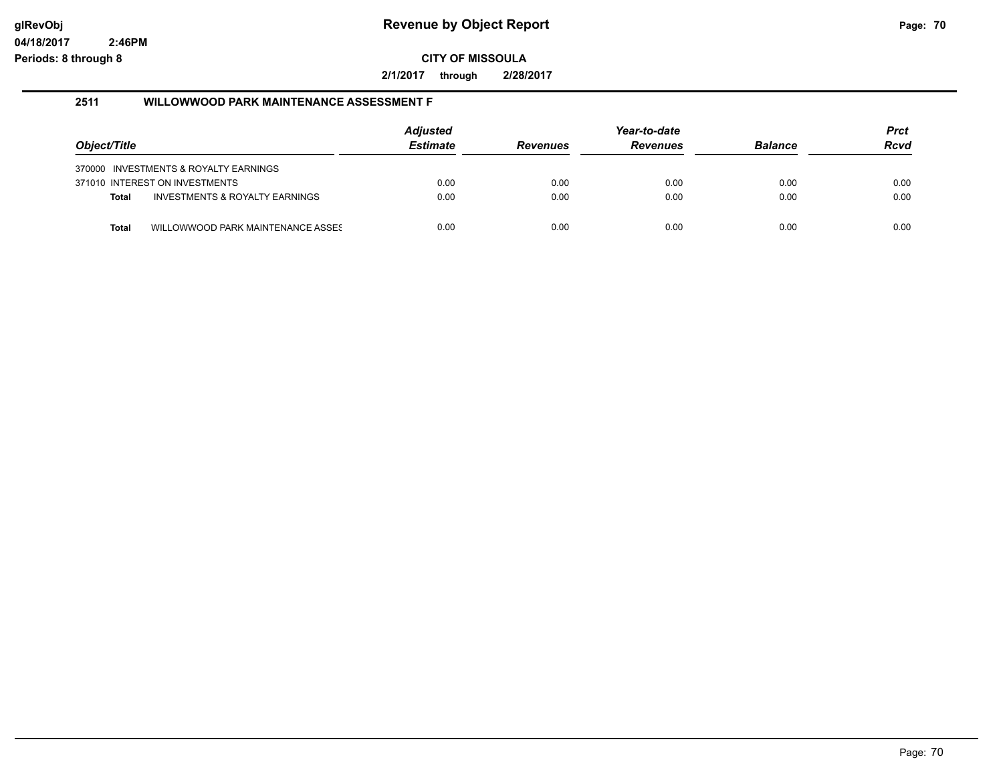**2/1/2017 through 2/28/2017**

# **2511 WILLOWWOOD PARK MAINTENANCE ASSESSMENT F**

|              |                                           | <b>Adjusted</b> |                 | Year-to-date    |                | <b>Prct</b> |
|--------------|-------------------------------------------|-----------------|-----------------|-----------------|----------------|-------------|
| Object/Title |                                           | <b>Estimate</b> | <b>Revenues</b> | <b>Revenues</b> | <b>Balance</b> | Rcvd        |
|              | 370000 INVESTMENTS & ROYALTY EARNINGS     |                 |                 |                 |                |             |
|              | 371010 INTEREST ON INVESTMENTS            | 0.00            | 0.00            | 0.00            | 0.00           | 0.00        |
| <b>Total</b> | <b>INVESTMENTS &amp; ROYALTY EARNINGS</b> | 0.00            | 0.00            | 0.00            | 0.00           | 0.00        |
| <b>Total</b> | WILLOWWOOD PARK MAINTENANCE ASSES         | 0.00            | 0.00            | 0.00            | 0.00           | 0.00        |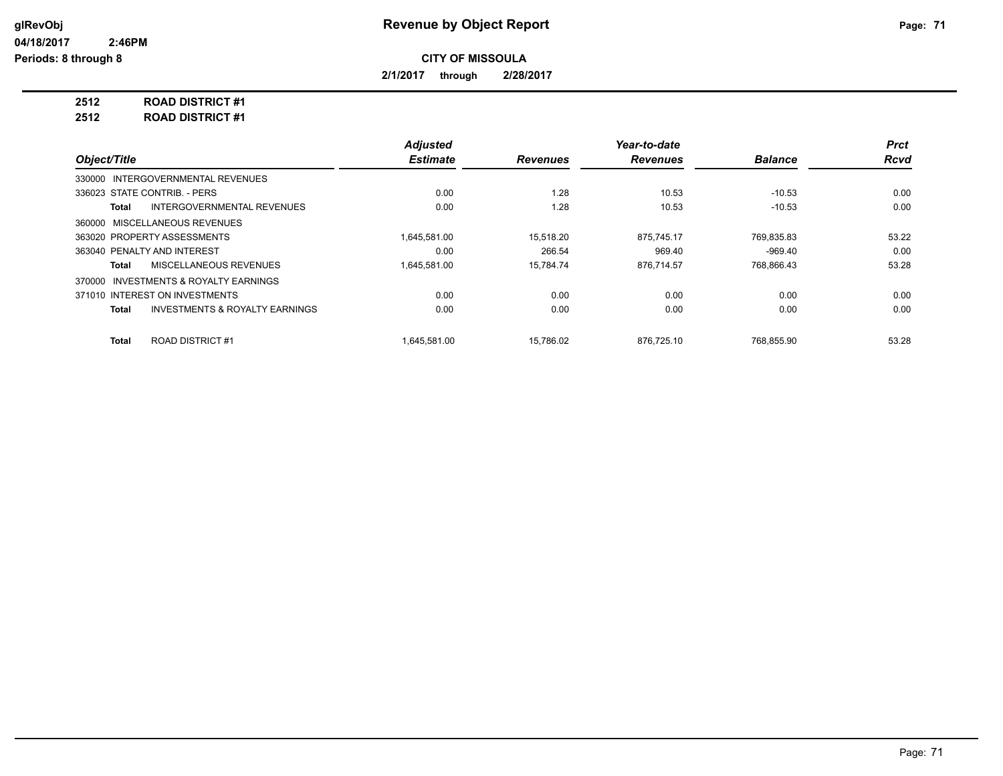**2/1/2017 through 2/28/2017**

**2512 ROAD DISTRICT #1 2512 ROAD DISTRICT #1**

|                                                    | <b>Adjusted</b> |                 | Year-to-date    |                | <b>Prct</b> |
|----------------------------------------------------|-----------------|-----------------|-----------------|----------------|-------------|
| Object/Title                                       | <b>Estimate</b> | <b>Revenues</b> | <b>Revenues</b> | <b>Balance</b> | Rcvd        |
| 330000 INTERGOVERNMENTAL REVENUES                  |                 |                 |                 |                |             |
| 336023 STATE CONTRIB. - PERS                       | 0.00            | 1.28            | 10.53           | $-10.53$       | 0.00        |
| <b>INTERGOVERNMENTAL REVENUES</b><br>Total         | 0.00            | 1.28            | 10.53           | $-10.53$       | 0.00        |
| 360000 MISCELLANEOUS REVENUES                      |                 |                 |                 |                |             |
| 363020 PROPERTY ASSESSMENTS                        | 1.645.581.00    | 15.518.20       | 875.745.17      | 769.835.83     | 53.22       |
| 363040 PENALTY AND INTEREST                        | 0.00            | 266.54          | 969.40          | $-969.40$      | 0.00        |
| MISCELLANEOUS REVENUES<br>Total                    | 1.645.581.00    | 15.784.74       | 876,714.57      | 768,866.43     | 53.28       |
| 370000 INVESTMENTS & ROYALTY EARNINGS              |                 |                 |                 |                |             |
| 371010 INTEREST ON INVESTMENTS                     | 0.00            | 0.00            | 0.00            | 0.00           | 0.00        |
| <b>INVESTMENTS &amp; ROYALTY EARNINGS</b><br>Total | 0.00            | 0.00            | 0.00            | 0.00           | 0.00        |
| <b>ROAD DISTRICT#1</b><br><b>Total</b>             | .645.581.00     | 15.786.02       | 876.725.10      | 768.855.90     | 53.28       |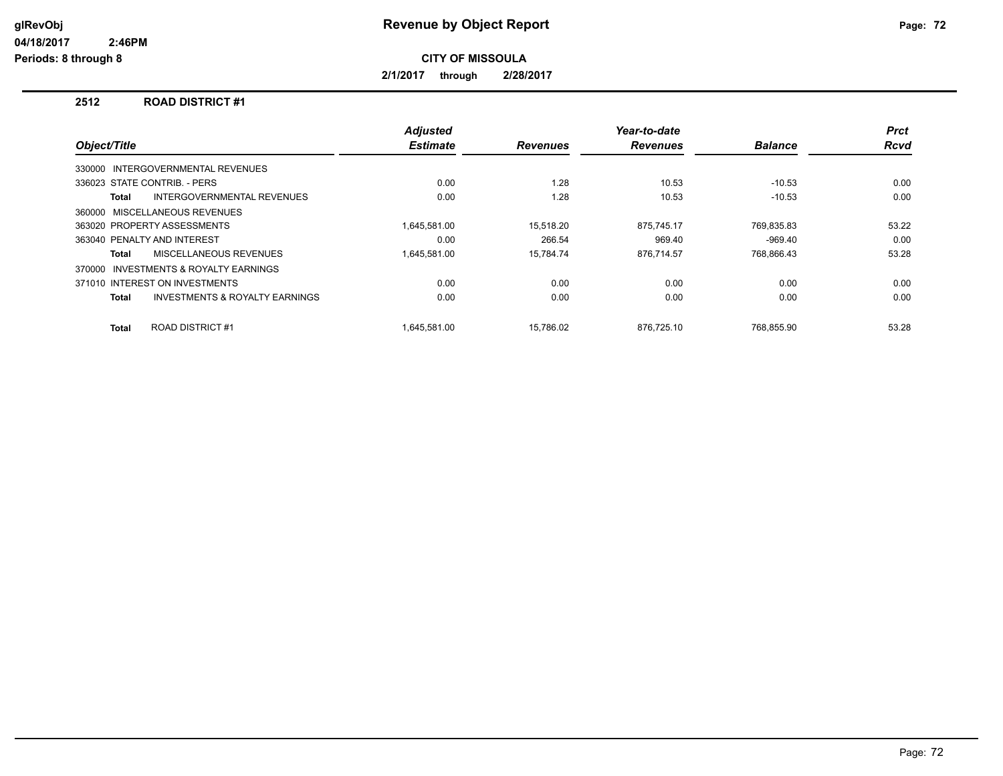**2/1/2017 through 2/28/2017**

#### **2512 ROAD DISTRICT #1**

|                                                    | <b>Adjusted</b> |                 | Year-to-date    |                | <b>Prct</b> |
|----------------------------------------------------|-----------------|-----------------|-----------------|----------------|-------------|
| Object/Title                                       | <b>Estimate</b> | <b>Revenues</b> | <b>Revenues</b> | <b>Balance</b> | <b>Rcvd</b> |
| INTERGOVERNMENTAL REVENUES<br>330000               |                 |                 |                 |                |             |
| 336023 STATE CONTRIB. - PERS                       | 0.00            | 1.28            | 10.53           | $-10.53$       | 0.00        |
| INTERGOVERNMENTAL REVENUES<br>Total                | 0.00            | 1.28            | 10.53           | $-10.53$       | 0.00        |
| 360000 MISCELLANEOUS REVENUES                      |                 |                 |                 |                |             |
| 363020 PROPERTY ASSESSMENTS                        | 1.645.581.00    | 15.518.20       | 875.745.17      | 769,835.83     | 53.22       |
| 363040 PENALTY AND INTEREST                        | 0.00            | 266.54          | 969.40          | $-969.40$      | 0.00        |
| MISCELLANEOUS REVENUES<br><b>Total</b>             | 1.645.581.00    | 15.784.74       | 876.714.57      | 768.866.43     | 53.28       |
| 370000 INVESTMENTS & ROYALTY EARNINGS              |                 |                 |                 |                |             |
| 371010 INTEREST ON INVESTMENTS                     | 0.00            | 0.00            | 0.00            | 0.00           | 0.00        |
| <b>INVESTMENTS &amp; ROYALTY EARNINGS</b><br>Total | 0.00            | 0.00            | 0.00            | 0.00           | 0.00        |
| <b>ROAD DISTRICT#1</b><br><b>Total</b>             | 1.645.581.00    | 15.786.02       | 876.725.10      | 768.855.90     | 53.28       |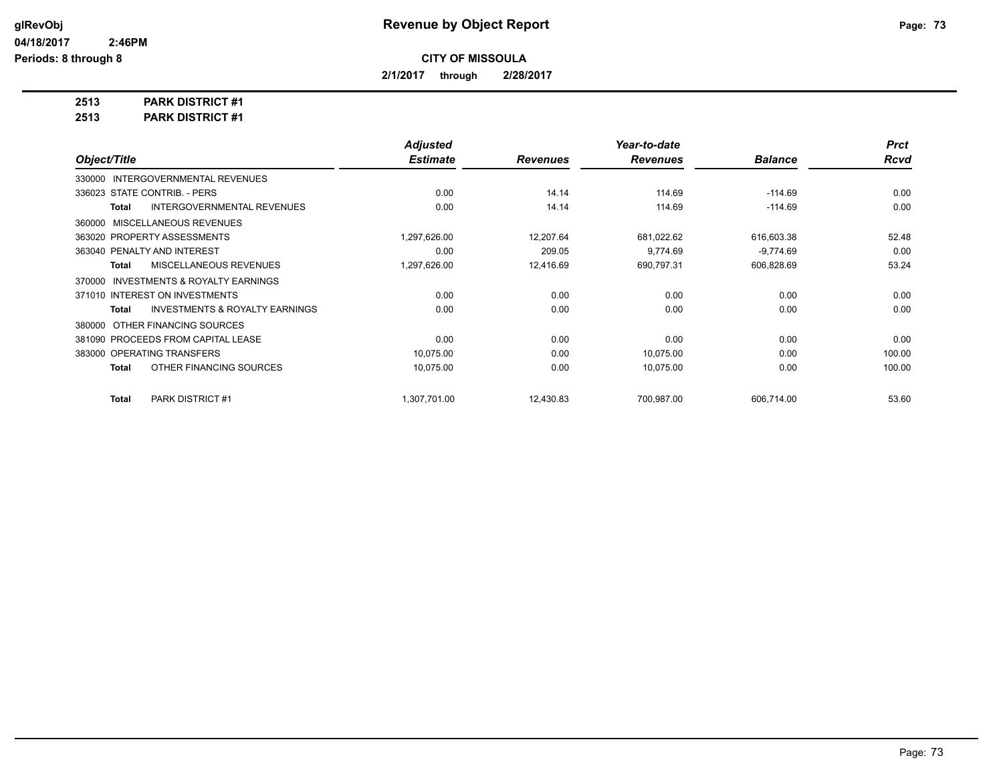**2/1/2017 through 2/28/2017**

**2513 PARK DISTRICT #1 2513 PARK DISTRICT #1**

|                                                           | <b>Adjusted</b> |                 | Year-to-date    |                | <b>Prct</b> |
|-----------------------------------------------------------|-----------------|-----------------|-----------------|----------------|-------------|
| Object/Title                                              | <b>Estimate</b> | <b>Revenues</b> | <b>Revenues</b> | <b>Balance</b> | <b>Rcvd</b> |
| INTERGOVERNMENTAL REVENUES<br>330000                      |                 |                 |                 |                |             |
| 336023 STATE CONTRIB. - PERS                              | 0.00            | 14.14           | 114.69          | $-114.69$      | 0.00        |
| INTERGOVERNMENTAL REVENUES<br><b>Total</b>                | 0.00            | 14.14           | 114.69          | $-114.69$      | 0.00        |
| MISCELLANEOUS REVENUES<br>360000                          |                 |                 |                 |                |             |
| 363020 PROPERTY ASSESSMENTS                               | 1,297,626.00    | 12,207.64       | 681,022.62      | 616,603.38     | 52.48       |
| 363040 PENALTY AND INTEREST                               | 0.00            | 209.05          | 9.774.69        | $-9.774.69$    | 0.00        |
| MISCELLANEOUS REVENUES<br><b>Total</b>                    | 1,297,626.00    | 12,416.69       | 690,797.31      | 606,828.69     | 53.24       |
| <b>INVESTMENTS &amp; ROYALTY EARNINGS</b><br>370000       |                 |                 |                 |                |             |
| 371010 INTEREST ON INVESTMENTS                            | 0.00            | 0.00            | 0.00            | 0.00           | 0.00        |
| <b>INVESTMENTS &amp; ROYALTY EARNINGS</b><br><b>Total</b> | 0.00            | 0.00            | 0.00            | 0.00           | 0.00        |
| OTHER FINANCING SOURCES<br>380000                         |                 |                 |                 |                |             |
| 381090 PROCEEDS FROM CAPITAL LEASE                        | 0.00            | 0.00            | 0.00            | 0.00           | 0.00        |
| 383000 OPERATING TRANSFERS                                | 10,075.00       | 0.00            | 10,075.00       | 0.00           | 100.00      |
| OTHER FINANCING SOURCES<br><b>Total</b>                   | 10,075.00       | 0.00            | 10,075.00       | 0.00           | 100.00      |
| PARK DISTRICT #1<br><b>Total</b>                          | 1,307,701.00    | 12,430.83       | 700,987.00      | 606,714.00     | 53.60       |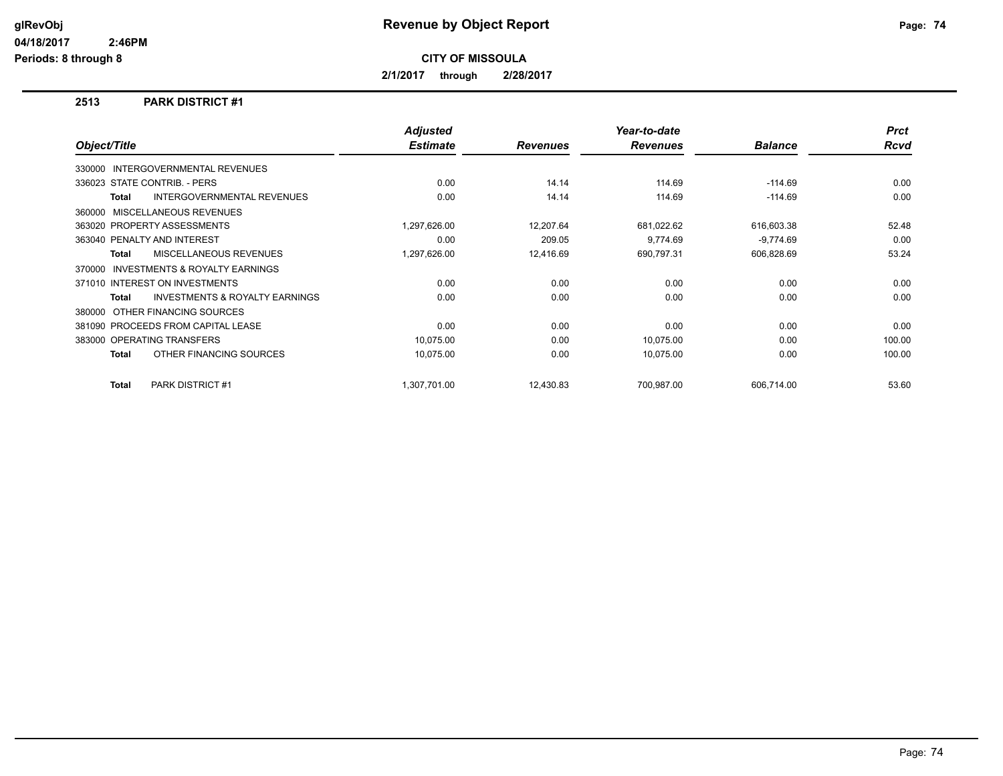**2/1/2017 through 2/28/2017**

#### **2513 PARK DISTRICT #1**

|                                                           | <b>Adjusted</b> |                 | Year-to-date    |                | <b>Prct</b> |
|-----------------------------------------------------------|-----------------|-----------------|-----------------|----------------|-------------|
| Object/Title                                              | <b>Estimate</b> | <b>Revenues</b> | <b>Revenues</b> | <b>Balance</b> | <b>Rcvd</b> |
| INTERGOVERNMENTAL REVENUES<br>330000                      |                 |                 |                 |                |             |
| 336023 STATE CONTRIB. - PERS                              | 0.00            | 14.14           | 114.69          | $-114.69$      | 0.00        |
| <b>INTERGOVERNMENTAL REVENUES</b><br>Total                | 0.00            | 14.14           | 114.69          | $-114.69$      | 0.00        |
| <b>MISCELLANEOUS REVENUES</b><br>360000                   |                 |                 |                 |                |             |
| 363020 PROPERTY ASSESSMENTS                               | 1,297,626.00    | 12,207.64       | 681,022.62      | 616,603.38     | 52.48       |
| 363040 PENALTY AND INTEREST                               | 0.00            | 209.05          | 9.774.69        | $-9.774.69$    | 0.00        |
| <b>MISCELLANEOUS REVENUES</b><br>Total                    | 1,297,626.00    | 12,416.69       | 690,797.31      | 606,828.69     | 53.24       |
| <b>INVESTMENTS &amp; ROYALTY EARNINGS</b><br>370000       |                 |                 |                 |                |             |
| 371010 INTEREST ON INVESTMENTS                            | 0.00            | 0.00            | 0.00            | 0.00           | 0.00        |
| <b>INVESTMENTS &amp; ROYALTY EARNINGS</b><br><b>Total</b> | 0.00            | 0.00            | 0.00            | 0.00           | 0.00        |
| OTHER FINANCING SOURCES<br>380000                         |                 |                 |                 |                |             |
| 381090 PROCEEDS FROM CAPITAL LEASE                        | 0.00            | 0.00            | 0.00            | 0.00           | 0.00        |
| 383000 OPERATING TRANSFERS                                | 10,075.00       | 0.00            | 10,075.00       | 0.00           | 100.00      |
| OTHER FINANCING SOURCES<br><b>Total</b>                   | 10,075.00       | 0.00            | 10,075.00       | 0.00           | 100.00      |
| <b>PARK DISTRICT #1</b><br><b>Total</b>                   | 1,307,701.00    | 12,430.83       | 700,987.00      | 606,714.00     | 53.60       |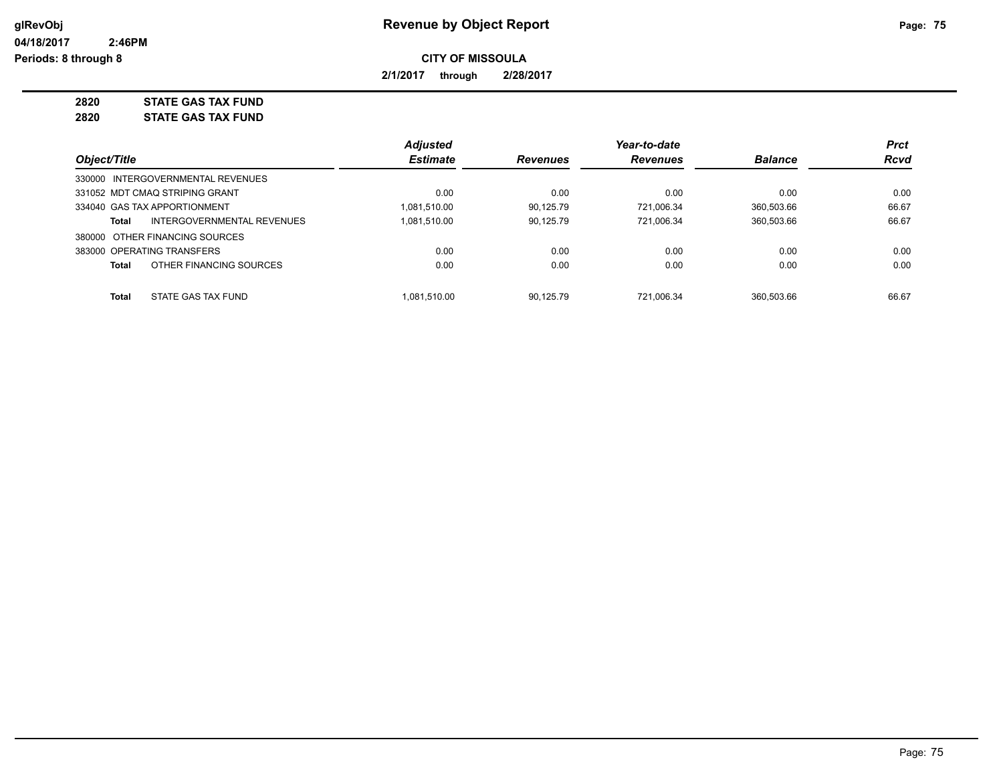**2/1/2017 through 2/28/2017**

**2820 STATE GAS TAX FUND 2820 STATE GAS TAX FUND**

|                                   |                                   | <b>Adjusted</b> |                 | Year-to-date   |             | <b>Prct</b> |
|-----------------------------------|-----------------------------------|-----------------|-----------------|----------------|-------------|-------------|
| Object/Title                      | <b>Estimate</b>                   | <b>Revenues</b> | <b>Revenues</b> | <b>Balance</b> | <b>Rcvd</b> |             |
| 330000 INTERGOVERNMENTAL REVENUES |                                   |                 |                 |                |             |             |
| 331052 MDT CMAQ STRIPING GRANT    |                                   | 0.00            | 0.00            | 0.00           | 0.00        | 0.00        |
| 334040 GAS TAX APPORTIONMENT      |                                   | 1.081.510.00    | 90.125.79       | 721.006.34     | 360,503.66  | 66.67       |
| Total                             | <b>INTERGOVERNMENTAL REVENUES</b> | 1.081.510.00    | 90.125.79       | 721.006.34     | 360.503.66  | 66.67       |
| 380000 OTHER FINANCING SOURCES    |                                   |                 |                 |                |             |             |
| 383000 OPERATING TRANSFERS        |                                   | 0.00            | 0.00            | 0.00           | 0.00        | 0.00        |
| <b>Total</b>                      | OTHER FINANCING SOURCES           | 0.00            | 0.00            | 0.00           | 0.00        | 0.00        |
| <b>Total</b>                      | STATE GAS TAX FUND                | 1.081.510.00    | 90.125.79       | 721.006.34     | 360.503.66  | 66.67       |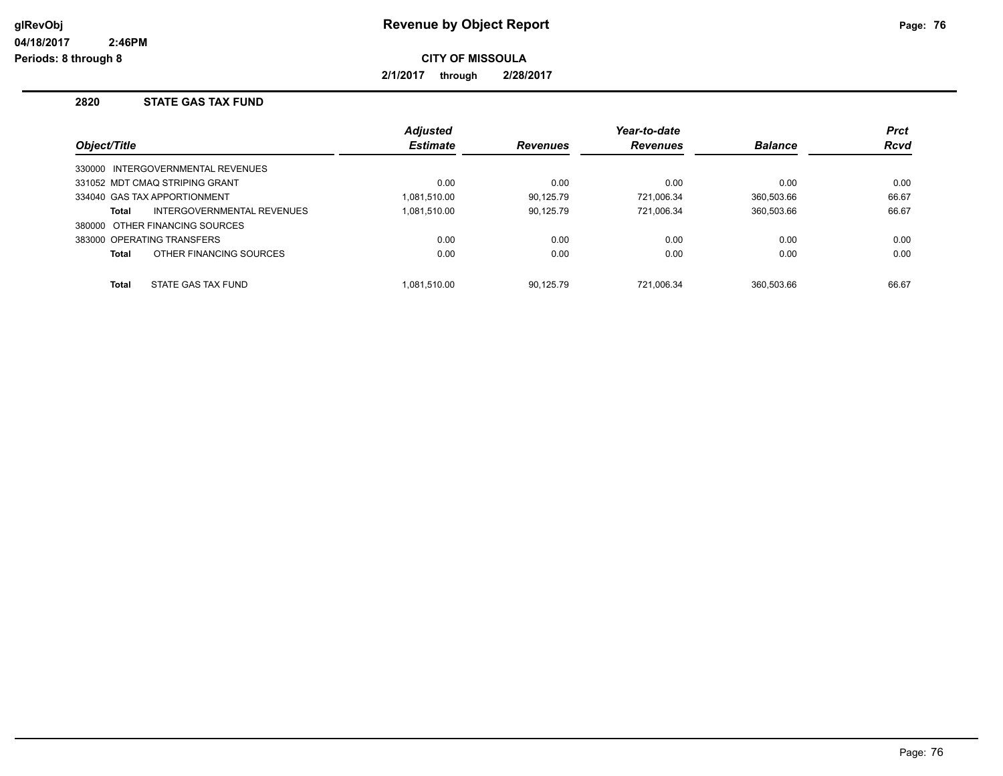**2/1/2017 through 2/28/2017**

#### **2820 STATE GAS TAX FUND**

|                                     | <b>Adjusted</b> |                 | Year-to-date    |                | <b>Prct</b> |
|-------------------------------------|-----------------|-----------------|-----------------|----------------|-------------|
| Object/Title                        | <b>Estimate</b> | <b>Revenues</b> | <b>Revenues</b> | <b>Balance</b> | <b>Rcvd</b> |
| 330000 INTERGOVERNMENTAL REVENUES   |                 |                 |                 |                |             |
| 331052 MDT CMAQ STRIPING GRANT      | 0.00            | 0.00            | 0.00            | 0.00           | 0.00        |
| 334040 GAS TAX APPORTIONMENT        | 1.081.510.00    | 90.125.79       | 721.006.34      | 360,503.66     | 66.67       |
| Total<br>INTERGOVERNMENTAL REVENUES | 1,081,510.00    | 90.125.79       | 721.006.34      | 360,503.66     | 66.67       |
| 380000 OTHER FINANCING SOURCES      |                 |                 |                 |                |             |
| 383000 OPERATING TRANSFERS          | 0.00            | 0.00            | 0.00            | 0.00           | 0.00        |
| OTHER FINANCING SOURCES<br>Total    | 0.00            | 0.00            | 0.00            | 0.00           | 0.00        |
|                                     |                 |                 |                 |                |             |
| <b>Total</b><br>STATE GAS TAX FUND  | 1.081.510.00    | 90.125.79       | 721.006.34      | 360.503.66     | 66.67       |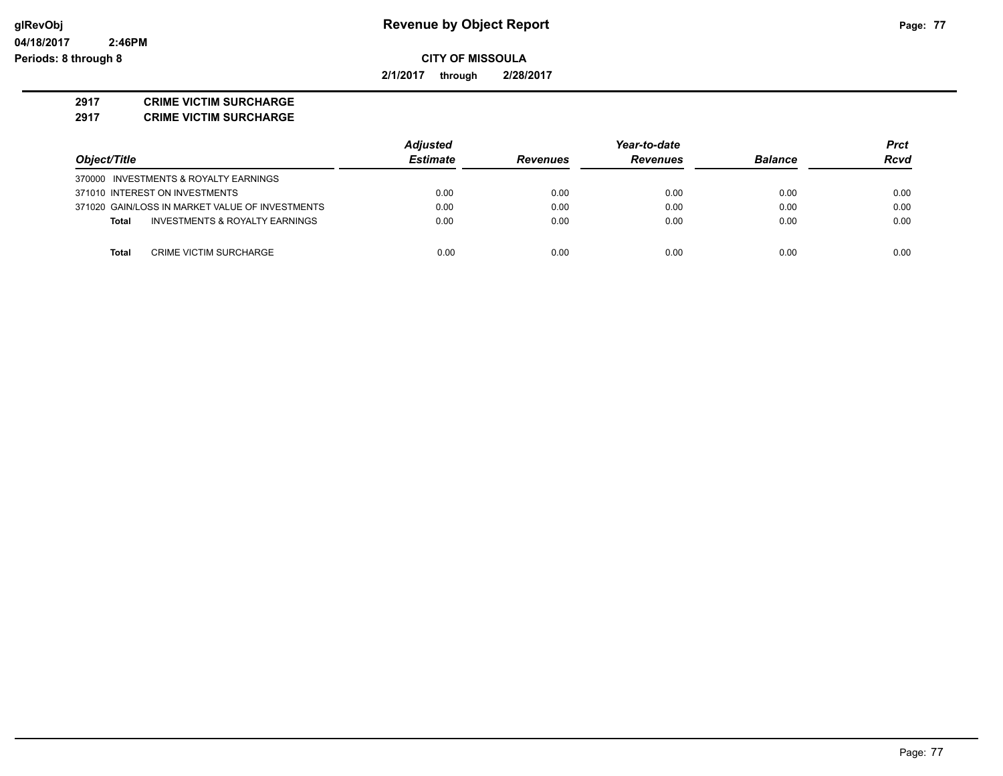*Prct Rcvd*

**CITY OF MISSOULA**

**2/1/2017 through 2/28/2017**

**2917 CRIME VICTIM SURCHARGE 2917 CRIME VICTIM SURCHARGE**

|                                                           | <b>Adjusted</b> |                 | Year-to-date    |                | Prct |
|-----------------------------------------------------------|-----------------|-----------------|-----------------|----------------|------|
| Object/Title                                              | <b>Estimate</b> | <b>Revenues</b> | <b>Revenues</b> | <b>Balance</b> | Rcvd |
| 370000 INVESTMENTS & ROYALTY EARNINGS                     |                 |                 |                 |                |      |
| 371010 INTEREST ON INVESTMENTS                            | 0.00            | 0.00            | 0.00            | 0.00           | 0.00 |
| 371020 GAIN/LOSS IN MARKET VALUE OF INVESTMENTS           | 0.00            | 0.00            | 0.00            | 0.00           | 0.00 |
| <b>INVESTMENTS &amp; ROYALTY EARNINGS</b><br><b>Total</b> | 0.00            | 0.00            | 0.00            | 0.00           | 0.00 |

**Total** CRIME VICTIM SURCHARGE 0.00 0.00 0.00 0.00 0.00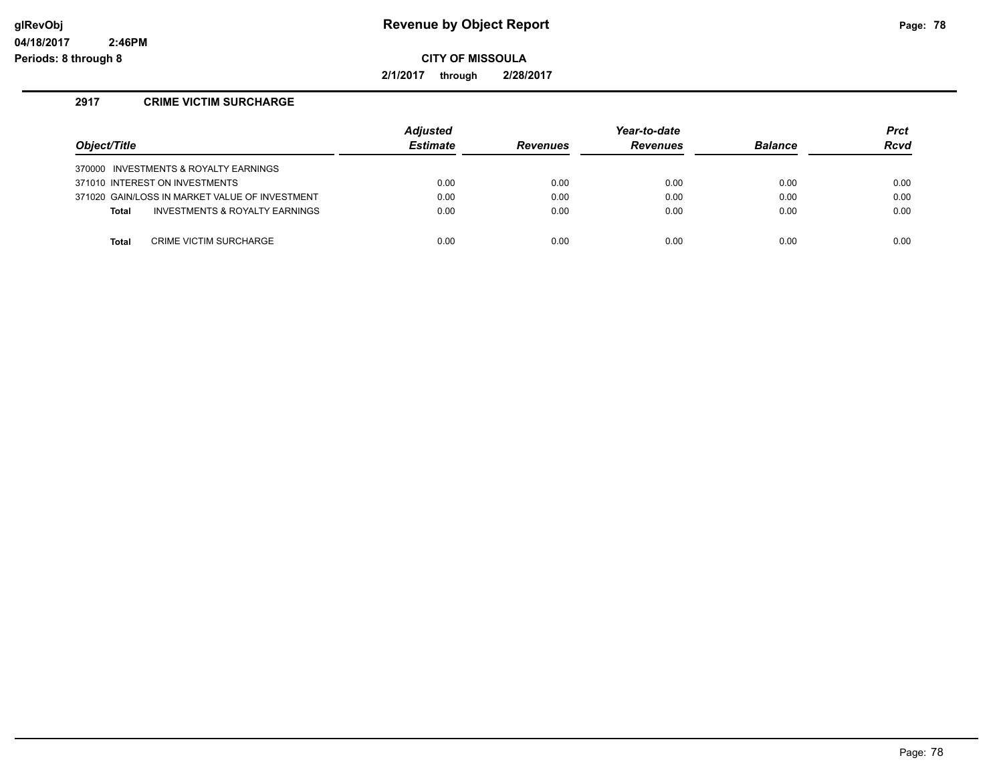**2/1/2017 through 2/28/2017**

#### **2917 CRIME VICTIM SURCHARGE**

|                                                | <b>Adjusted</b> |                 | <b>Prct</b>     |                |             |
|------------------------------------------------|-----------------|-----------------|-----------------|----------------|-------------|
| Object/Title                                   | <b>Estimate</b> | <b>Revenues</b> | <b>Revenues</b> | <b>Balance</b> | <b>Rcvd</b> |
| 370000 INVESTMENTS & ROYALTY EARNINGS          |                 |                 |                 |                |             |
| 371010 INTEREST ON INVESTMENTS                 | 0.00            | 0.00            | 0.00            | 0.00           | 0.00        |
| 371020 GAIN/LOSS IN MARKET VALUE OF INVESTMENT | 0.00            | 0.00            | 0.00            | 0.00           | 0.00        |
| INVESTMENTS & ROYALTY EARNINGS<br><b>Total</b> | 0.00            | 0.00            | 0.00            | 0.00           | 0.00        |
| Total<br>CRIME VICTIM SURCHARGE                | 0.00            | 0.00            | 0.00            | 0.00           | 0.00        |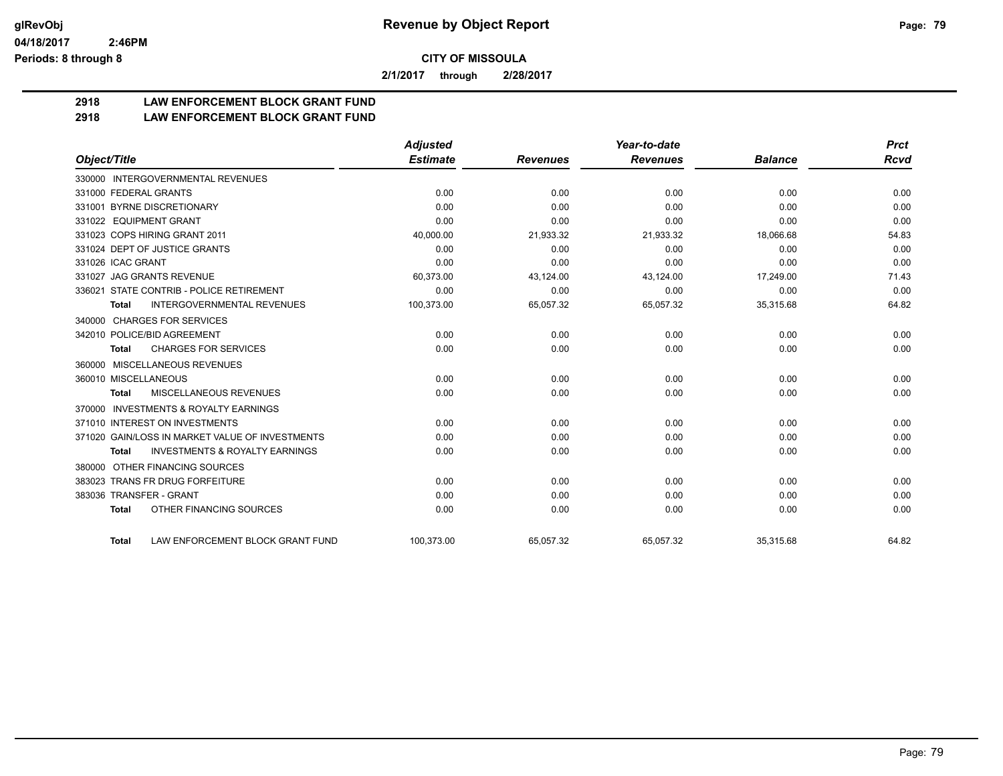**2/1/2017 through 2/28/2017**

#### **2918 LAW ENFORCEMENT BLOCK GRANT FUND 2918 LAW ENFORCEMENT BLOCK GRANT FUND**

|                                                     | <b>Adjusted</b> |                 | Year-to-date    |                | <b>Prct</b> |
|-----------------------------------------------------|-----------------|-----------------|-----------------|----------------|-------------|
| Object/Title                                        | <b>Estimate</b> | <b>Revenues</b> | <b>Revenues</b> | <b>Balance</b> | Rcvd        |
| <b>INTERGOVERNMENTAL REVENUES</b><br>330000         |                 |                 |                 |                |             |
| 331000 FEDERAL GRANTS                               | 0.00            | 0.00            | 0.00            | 0.00           | 0.00        |
| 331001 BYRNE DISCRETIONARY                          | 0.00            | 0.00            | 0.00            | 0.00           | 0.00        |
| 331022 EQUIPMENT GRANT                              | 0.00            | 0.00            | 0.00            | 0.00           | 0.00        |
| 331023 COPS HIRING GRANT 2011                       | 40,000.00       | 21,933.32       | 21,933.32       | 18,066.68      | 54.83       |
| 331024 DEPT OF JUSTICE GRANTS                       | 0.00            | 0.00            | 0.00            | 0.00           | 0.00        |
| 331026 ICAC GRANT                                   | 0.00            | 0.00            | 0.00            | 0.00           | 0.00        |
| 331027 JAG GRANTS REVENUE                           | 60,373.00       | 43,124.00       | 43,124.00       | 17,249.00      | 71.43       |
| 336021 STATE CONTRIB - POLICE RETIREMENT            | 0.00            | 0.00            | 0.00            | 0.00           | 0.00        |
| <b>INTERGOVERNMENTAL REVENUES</b><br><b>Total</b>   | 100,373.00      | 65,057.32       | 65,057.32       | 35,315.68      | 64.82       |
| <b>CHARGES FOR SERVICES</b><br>340000               |                 |                 |                 |                |             |
| 342010 POLICE/BID AGREEMENT                         | 0.00            | 0.00            | 0.00            | 0.00           | 0.00        |
| <b>CHARGES FOR SERVICES</b><br>Total                | 0.00            | 0.00            | 0.00            | 0.00           | 0.00        |
| MISCELLANEOUS REVENUES<br>360000                    |                 |                 |                 |                |             |
| 360010 MISCELLANEOUS                                | 0.00            | 0.00            | 0.00            | 0.00           | 0.00        |
| MISCELLANEOUS REVENUES<br>Total                     | 0.00            | 0.00            | 0.00            | 0.00           | 0.00        |
| <b>INVESTMENTS &amp; ROYALTY EARNINGS</b><br>370000 |                 |                 |                 |                |             |
| 371010 INTEREST ON INVESTMENTS                      | 0.00            | 0.00            | 0.00            | 0.00           | 0.00        |
| 371020 GAIN/LOSS IN MARKET VALUE OF INVESTMENTS     | 0.00            | 0.00            | 0.00            | 0.00           | 0.00        |
| <b>INVESTMENTS &amp; ROYALTY EARNINGS</b><br>Total  | 0.00            | 0.00            | 0.00            | 0.00           | 0.00        |
| OTHER FINANCING SOURCES<br>380000                   |                 |                 |                 |                |             |
| 383023 TRANS FR DRUG FORFEITURE                     | 0.00            | 0.00            | 0.00            | 0.00           | 0.00        |
| 383036 TRANSFER - GRANT                             | 0.00            | 0.00            | 0.00            | 0.00           | 0.00        |
| OTHER FINANCING SOURCES<br><b>Total</b>             | 0.00            | 0.00            | 0.00            | 0.00           | 0.00        |
|                                                     |                 |                 |                 |                |             |
| LAW ENFORCEMENT BLOCK GRANT FUND<br>Total           | 100,373.00      | 65,057.32       | 65,057.32       | 35,315.68      | 64.82       |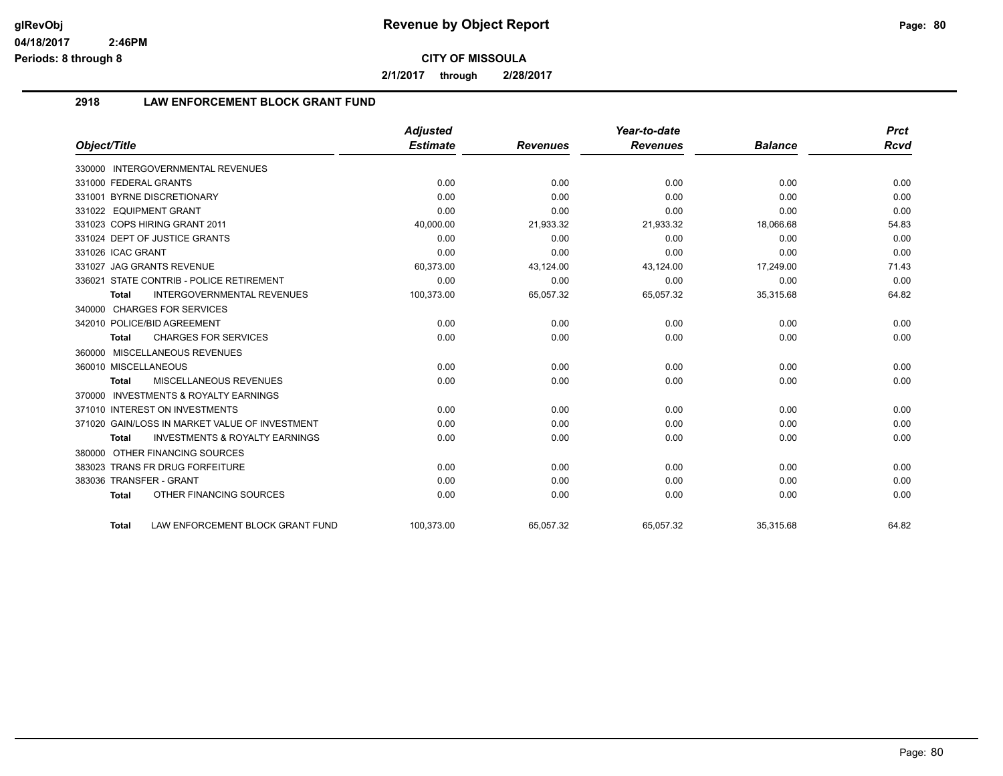**2/1/2017 through 2/28/2017**

#### **2918 LAW ENFORCEMENT BLOCK GRANT FUND**

|                                                           | <b>Adjusted</b> |                 | Year-to-date    |                | <b>Prct</b> |
|-----------------------------------------------------------|-----------------|-----------------|-----------------|----------------|-------------|
| Object/Title                                              | <b>Estimate</b> | <b>Revenues</b> | <b>Revenues</b> | <b>Balance</b> | <b>Rcvd</b> |
| 330000 INTERGOVERNMENTAL REVENUES                         |                 |                 |                 |                |             |
| 331000 FEDERAL GRANTS                                     | 0.00            | 0.00            | 0.00            | 0.00           | 0.00        |
| 331001 BYRNE DISCRETIONARY                                | 0.00            | 0.00            | 0.00            | 0.00           | 0.00        |
| 331022 EQUIPMENT GRANT                                    | 0.00            | 0.00            | 0.00            | 0.00           | 0.00        |
| 331023 COPS HIRING GRANT 2011                             | 40,000.00       | 21,933.32       | 21,933.32       | 18,066.68      | 54.83       |
| 331024 DEPT OF JUSTICE GRANTS                             | 0.00            | 0.00            | 0.00            | 0.00           | 0.00        |
| 331026 ICAC GRANT                                         | 0.00            | 0.00            | 0.00            | 0.00           | 0.00        |
| 331027 JAG GRANTS REVENUE                                 | 60,373.00       | 43,124.00       | 43,124.00       | 17,249.00      | 71.43       |
| 336021 STATE CONTRIB - POLICE RETIREMENT                  | 0.00            | 0.00            | 0.00            | 0.00           | 0.00        |
| <b>INTERGOVERNMENTAL REVENUES</b><br><b>Total</b>         | 100,373.00      | 65,057.32       | 65,057.32       | 35,315.68      | 64.82       |
| 340000 CHARGES FOR SERVICES                               |                 |                 |                 |                |             |
| 342010 POLICE/BID AGREEMENT                               | 0.00            | 0.00            | 0.00            | 0.00           | 0.00        |
| <b>CHARGES FOR SERVICES</b><br>Total                      | 0.00            | 0.00            | 0.00            | 0.00           | 0.00        |
| 360000 MISCELLANEOUS REVENUES                             |                 |                 |                 |                |             |
| 360010 MISCELLANEOUS                                      | 0.00            | 0.00            | 0.00            | 0.00           | 0.00        |
| MISCELLANEOUS REVENUES<br>Total                           | 0.00            | 0.00            | 0.00            | 0.00           | 0.00        |
| 370000 INVESTMENTS & ROYALTY EARNINGS                     |                 |                 |                 |                |             |
| 371010 INTEREST ON INVESTMENTS                            | 0.00            | 0.00            | 0.00            | 0.00           | 0.00        |
| 371020 GAIN/LOSS IN MARKET VALUE OF INVESTMENT            | 0.00            | 0.00            | 0.00            | 0.00           | 0.00        |
| <b>INVESTMENTS &amp; ROYALTY EARNINGS</b><br><b>Total</b> | 0.00            | 0.00            | 0.00            | 0.00           | 0.00        |
| 380000 OTHER FINANCING SOURCES                            |                 |                 |                 |                |             |
| 383023 TRANS FR DRUG FORFEITURE                           | 0.00            | 0.00            | 0.00            | 0.00           | 0.00        |
| 383036 TRANSFER - GRANT                                   | 0.00            | 0.00            | 0.00            | 0.00           | 0.00        |
| OTHER FINANCING SOURCES<br><b>Total</b>                   | 0.00            | 0.00            | 0.00            | 0.00           | 0.00        |
| LAW ENFORCEMENT BLOCK GRANT FUND<br>Total                 | 100,373.00      | 65,057.32       | 65,057.32       | 35,315.68      | 64.82       |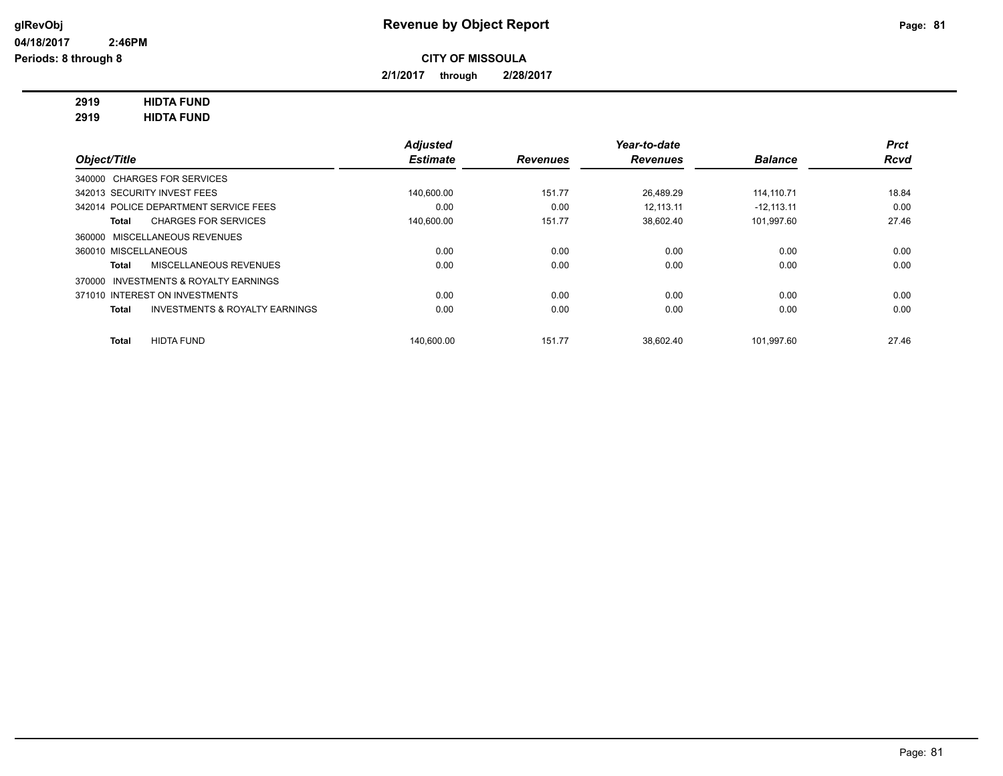**2/1/2017 through 2/28/2017**

# **2919 HIDTA FUND**

**2919 HIDTA FUND**

|                                                    | <b>Adjusted</b> |                 | Year-to-date    |                | <b>Prct</b> |
|----------------------------------------------------|-----------------|-----------------|-----------------|----------------|-------------|
| Object/Title                                       | <b>Estimate</b> | <b>Revenues</b> | <b>Revenues</b> | <b>Balance</b> | Rcvd        |
| 340000 CHARGES FOR SERVICES                        |                 |                 |                 |                |             |
| 342013 SECURITY INVEST FEES                        | 140.600.00      | 151.77          | 26.489.29       | 114.110.71     | 18.84       |
| 342014 POLICE DEPARTMENT SERVICE FEES              | 0.00            | 0.00            | 12.113.11       | $-12.113.11$   | 0.00        |
| <b>CHARGES FOR SERVICES</b><br>Total               | 140,600.00      | 151.77          | 38,602.40       | 101,997.60     | 27.46       |
| 360000 MISCELLANEOUS REVENUES                      |                 |                 |                 |                |             |
| 360010 MISCELLANEOUS                               | 0.00            | 0.00            | 0.00            | 0.00           | 0.00        |
| MISCELLANEOUS REVENUES<br>Total                    | 0.00            | 0.00            | 0.00            | 0.00           | 0.00        |
| 370000 INVESTMENTS & ROYALTY EARNINGS              |                 |                 |                 |                |             |
| 371010 INTEREST ON INVESTMENTS                     | 0.00            | 0.00            | 0.00            | 0.00           | 0.00        |
| <b>INVESTMENTS &amp; ROYALTY EARNINGS</b><br>Total | 0.00            | 0.00            | 0.00            | 0.00           | 0.00        |
| <b>HIDTA FUND</b><br><b>Total</b>                  | 140.600.00      | 151.77          | 38.602.40       | 101.997.60     | 27.46       |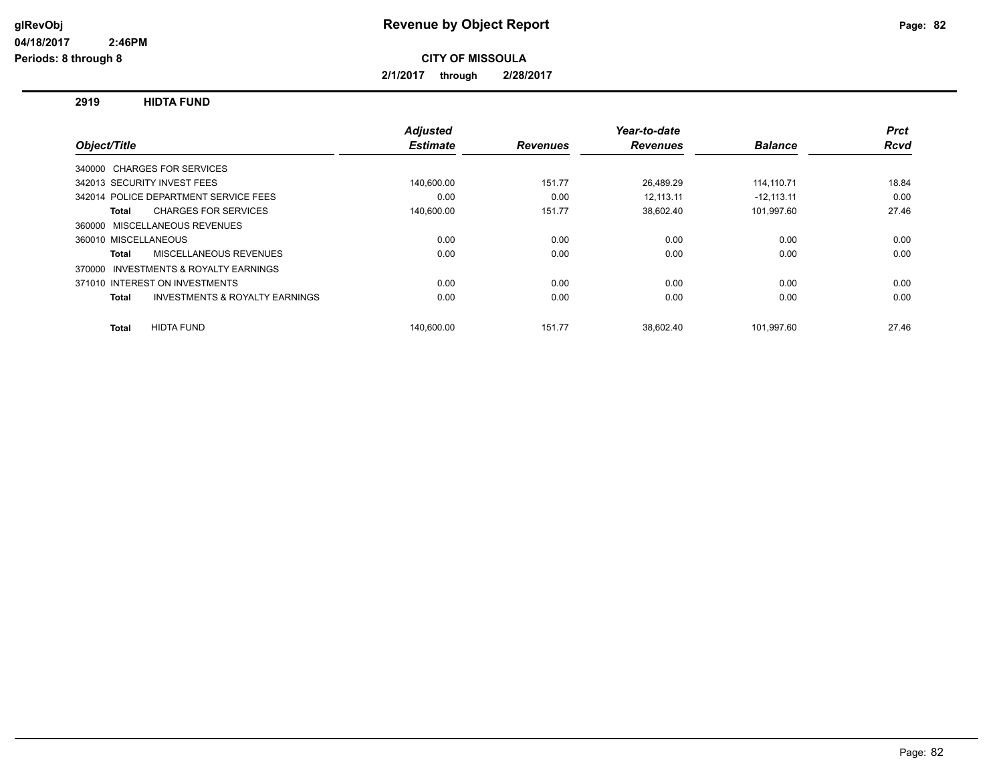**Periods: 8 through 8**

**CITY OF MISSOULA**

**2/1/2017 through 2/28/2017**

**2919 HIDTA FUND**

 **2:46PM**

|                                                | <b>Adjusted</b> |                 | Year-to-date    |                | <b>Prct</b> |
|------------------------------------------------|-----------------|-----------------|-----------------|----------------|-------------|
| Object/Title                                   | <b>Estimate</b> | <b>Revenues</b> | <b>Revenues</b> | <b>Balance</b> | <b>Rcvd</b> |
| 340000 CHARGES FOR SERVICES                    |                 |                 |                 |                |             |
| 342013 SECURITY INVEST FEES                    | 140,600.00      | 151.77          | 26.489.29       | 114.110.71     | 18.84       |
| 342014 POLICE DEPARTMENT SERVICE FEES          | 0.00            | 0.00            | 12.113.11       | $-12.113.11$   | 0.00        |
| <b>CHARGES FOR SERVICES</b><br><b>Total</b>    | 140,600.00      | 151.77          | 38.602.40       | 101,997.60     | 27.46       |
| 360000 MISCELLANEOUS REVENUES                  |                 |                 |                 |                |             |
| 360010 MISCELLANEOUS                           | 0.00            | 0.00            | 0.00            | 0.00           | 0.00        |
| MISCELLANEOUS REVENUES<br><b>Total</b>         | 0.00            | 0.00            | 0.00            | 0.00           | 0.00        |
| 370000 INVESTMENTS & ROYALTY EARNINGS          |                 |                 |                 |                |             |
| 371010 INTEREST ON INVESTMENTS                 | 0.00            | 0.00            | 0.00            | 0.00           | 0.00        |
| INVESTMENTS & ROYALTY EARNINGS<br><b>Total</b> | 0.00            | 0.00            | 0.00            | 0.00           | 0.00        |
| <b>Total</b><br><b>HIDTA FUND</b>              | 140.600.00      | 151.77          | 38.602.40       | 101.997.60     | 27.46       |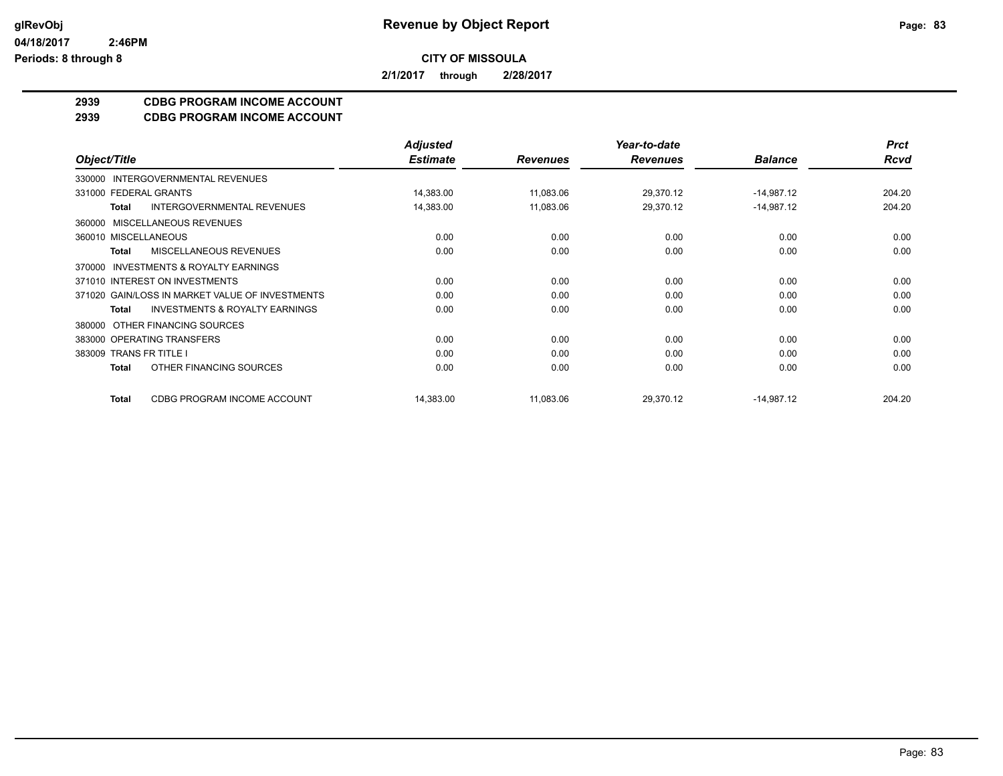**2/1/2017 through 2/28/2017**

# **2939 CDBG PROGRAM INCOME ACCOUNT**

**2939 CDBG PROGRAM INCOME ACCOUNT**

|                                                    | <b>Adjusted</b> |                 | Year-to-date    |                | <b>Prct</b> |
|----------------------------------------------------|-----------------|-----------------|-----------------|----------------|-------------|
| Object/Title                                       | <b>Estimate</b> | <b>Revenues</b> | <b>Revenues</b> | <b>Balance</b> | Rcvd        |
| INTERGOVERNMENTAL REVENUES<br>330000               |                 |                 |                 |                |             |
| 331000 FEDERAL GRANTS                              | 14,383.00       | 11,083.06       | 29,370.12       | $-14,987.12$   | 204.20      |
| INTERGOVERNMENTAL REVENUES<br>Total                | 14,383.00       | 11,083.06       | 29,370.12       | $-14,987.12$   | 204.20      |
| 360000 MISCELLANEOUS REVENUES                      |                 |                 |                 |                |             |
| 360010 MISCELLANEOUS                               | 0.00            | 0.00            | 0.00            | 0.00           | 0.00        |
| <b>MISCELLANEOUS REVENUES</b><br>Total             | 0.00            | 0.00            | 0.00            | 0.00           | 0.00        |
| 370000 INVESTMENTS & ROYALTY EARNINGS              |                 |                 |                 |                |             |
| 371010 INTEREST ON INVESTMENTS                     | 0.00            | 0.00            | 0.00            | 0.00           | 0.00        |
| 371020 GAIN/LOSS IN MARKET VALUE OF INVESTMENTS    | 0.00            | 0.00            | 0.00            | 0.00           | 0.00        |
| <b>INVESTMENTS &amp; ROYALTY EARNINGS</b><br>Total | 0.00            | 0.00            | 0.00            | 0.00           | 0.00        |
| 380000 OTHER FINANCING SOURCES                     |                 |                 |                 |                |             |
| 383000 OPERATING TRANSFERS                         | 0.00            | 0.00            | 0.00            | 0.00           | 0.00        |
| 383009 TRANS FR TITLE I                            | 0.00            | 0.00            | 0.00            | 0.00           | 0.00        |
| OTHER FINANCING SOURCES<br>Total                   | 0.00            | 0.00            | 0.00            | 0.00           | 0.00        |
| CDBG PROGRAM INCOME ACCOUNT<br><b>Total</b>        | 14,383.00       | 11,083.06       | 29.370.12       | $-14,987.12$   | 204.20      |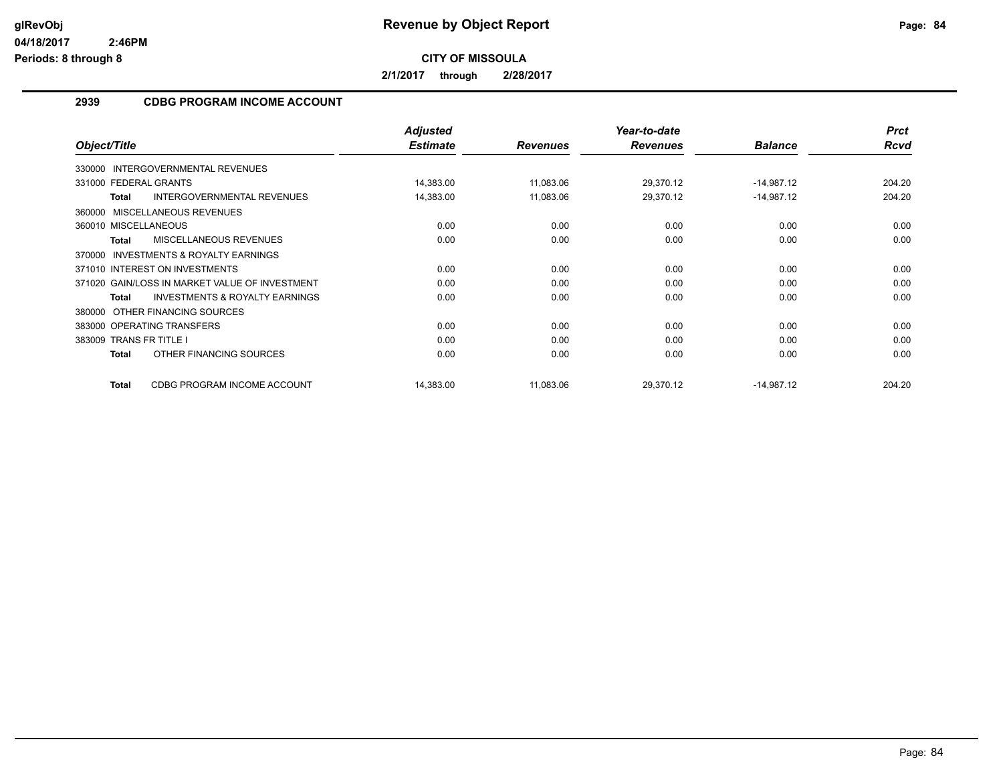**2/1/2017 through 2/28/2017**

#### **2939 CDBG PROGRAM INCOME ACCOUNT**

|                                                           | <b>Adjusted</b> |                 | Year-to-date    |                | <b>Prct</b> |
|-----------------------------------------------------------|-----------------|-----------------|-----------------|----------------|-------------|
| Object/Title                                              | <b>Estimate</b> | <b>Revenues</b> | <b>Revenues</b> | <b>Balance</b> | <b>Rcvd</b> |
| 330000 INTERGOVERNMENTAL REVENUES                         |                 |                 |                 |                |             |
| 331000 FEDERAL GRANTS                                     | 14,383.00       | 11,083.06       | 29,370.12       | $-14,987.12$   | 204.20      |
| INTERGOVERNMENTAL REVENUES<br><b>Total</b>                | 14,383.00       | 11,083.06       | 29,370.12       | $-14,987.12$   | 204.20      |
| 360000 MISCELLANEOUS REVENUES                             |                 |                 |                 |                |             |
| 360010 MISCELLANEOUS                                      | 0.00            | 0.00            | 0.00            | 0.00           | 0.00        |
| MISCELLANEOUS REVENUES<br><b>Total</b>                    | 0.00            | 0.00            | 0.00            | 0.00           | 0.00        |
| 370000 INVESTMENTS & ROYALTY EARNINGS                     |                 |                 |                 |                |             |
| 371010 INTEREST ON INVESTMENTS                            | 0.00            | 0.00            | 0.00            | 0.00           | 0.00        |
| 371020 GAIN/LOSS IN MARKET VALUE OF INVESTMENT            | 0.00            | 0.00            | 0.00            | 0.00           | 0.00        |
| <b>INVESTMENTS &amp; ROYALTY EARNINGS</b><br><b>Total</b> | 0.00            | 0.00            | 0.00            | 0.00           | 0.00        |
| 380000 OTHER FINANCING SOURCES                            |                 |                 |                 |                |             |
| 383000 OPERATING TRANSFERS                                | 0.00            | 0.00            | 0.00            | 0.00           | 0.00        |
| 383009 TRANS FR TITLE I                                   | 0.00            | 0.00            | 0.00            | 0.00           | 0.00        |
| OTHER FINANCING SOURCES<br><b>Total</b>                   | 0.00            | 0.00            | 0.00            | 0.00           | 0.00        |
| <b>Total</b><br>CDBG PROGRAM INCOME ACCOUNT               | 14,383.00       | 11,083.06       | 29,370.12       | $-14,987.12$   | 204.20      |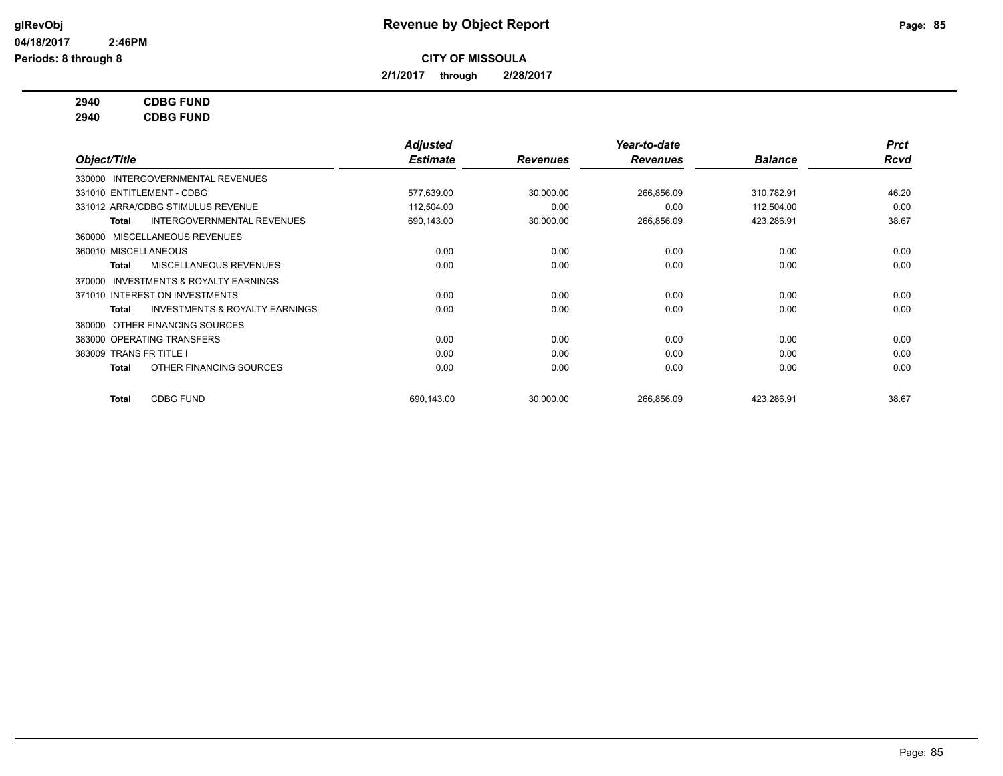**2/1/2017 through 2/28/2017**

# **2940 CDBG FUND**

**2940 CDBG FUND**

|                                                    | <b>Adjusted</b> |                 | Year-to-date    |                | <b>Prct</b> |
|----------------------------------------------------|-----------------|-----------------|-----------------|----------------|-------------|
| Object/Title                                       | <b>Estimate</b> | <b>Revenues</b> | <b>Revenues</b> | <b>Balance</b> | Rcvd        |
| 330000 INTERGOVERNMENTAL REVENUES                  |                 |                 |                 |                |             |
| 331010 ENTITLEMENT - CDBG                          | 577,639.00      | 30,000.00       | 266,856.09      | 310,782.91     | 46.20       |
| 331012 ARRA/CDBG STIMULUS REVENUE                  | 112,504.00      | 0.00            | 0.00            | 112,504.00     | 0.00        |
| <b>INTERGOVERNMENTAL REVENUES</b><br>Total         | 690,143.00      | 30,000.00       | 266,856.09      | 423,286.91     | 38.67       |
| 360000 MISCELLANEOUS REVENUES                      |                 |                 |                 |                |             |
| 360010 MISCELLANEOUS                               | 0.00            | 0.00            | 0.00            | 0.00           | 0.00        |
| MISCELLANEOUS REVENUES<br>Total                    | 0.00            | 0.00            | 0.00            | 0.00           | 0.00        |
| 370000 INVESTMENTS & ROYALTY EARNINGS              |                 |                 |                 |                |             |
| 371010 INTEREST ON INVESTMENTS                     | 0.00            | 0.00            | 0.00            | 0.00           | 0.00        |
| <b>INVESTMENTS &amp; ROYALTY EARNINGS</b><br>Total | 0.00            | 0.00            | 0.00            | 0.00           | 0.00        |
| 380000 OTHER FINANCING SOURCES                     |                 |                 |                 |                |             |
| 383000 OPERATING TRANSFERS                         | 0.00            | 0.00            | 0.00            | 0.00           | 0.00        |
| 383009 TRANS FR TITLE I                            | 0.00            | 0.00            | 0.00            | 0.00           | 0.00        |
| OTHER FINANCING SOURCES<br>Total                   | 0.00            | 0.00            | 0.00            | 0.00           | 0.00        |
| <b>CDBG FUND</b><br><b>Total</b>                   | 690,143.00      | 30,000.00       | 266,856.09      | 423,286.91     | 38.67       |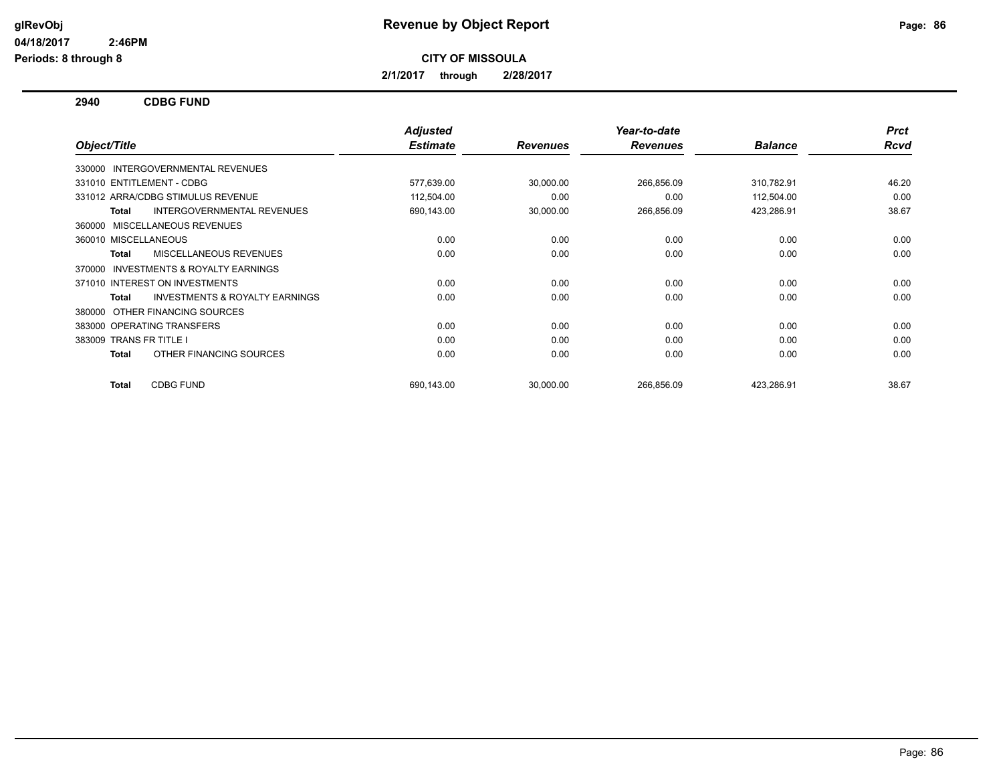**2/1/2017 through 2/28/2017**

#### **2940 CDBG FUND**

|                                                           | <b>Adjusted</b> |                 | Year-to-date    |                | <b>Prct</b> |
|-----------------------------------------------------------|-----------------|-----------------|-----------------|----------------|-------------|
| Object/Title                                              | <b>Estimate</b> | <b>Revenues</b> | <b>Revenues</b> | <b>Balance</b> | Rcvd        |
| 330000 INTERGOVERNMENTAL REVENUES                         |                 |                 |                 |                |             |
| 331010 ENTITLEMENT - CDBG                                 | 577,639.00      | 30,000.00       | 266,856.09      | 310,782.91     | 46.20       |
| 331012 ARRA/CDBG STIMULUS REVENUE                         | 112,504.00      | 0.00            | 0.00            | 112,504.00     | 0.00        |
| <b>INTERGOVERNMENTAL REVENUES</b><br><b>Total</b>         | 690,143.00      | 30,000.00       | 266,856.09      | 423,286.91     | 38.67       |
| 360000 MISCELLANEOUS REVENUES                             |                 |                 |                 |                |             |
| 360010 MISCELLANEOUS                                      | 0.00            | 0.00            | 0.00            | 0.00           | 0.00        |
| MISCELLANEOUS REVENUES<br><b>Total</b>                    | 0.00            | 0.00            | 0.00            | 0.00           | 0.00        |
| 370000 INVESTMENTS & ROYALTY EARNINGS                     |                 |                 |                 |                |             |
| 371010 INTEREST ON INVESTMENTS                            | 0.00            | 0.00            | 0.00            | 0.00           | 0.00        |
| <b>INVESTMENTS &amp; ROYALTY EARNINGS</b><br><b>Total</b> | 0.00            | 0.00            | 0.00            | 0.00           | 0.00        |
| 380000 OTHER FINANCING SOURCES                            |                 |                 |                 |                |             |
| 383000 OPERATING TRANSFERS                                | 0.00            | 0.00            | 0.00            | 0.00           | 0.00        |
| 383009 TRANS FR TITLE I                                   | 0.00            | 0.00            | 0.00            | 0.00           | 0.00        |
| OTHER FINANCING SOURCES<br><b>Total</b>                   | 0.00            | 0.00            | 0.00            | 0.00           | 0.00        |
| <b>CDBG FUND</b><br><b>Total</b>                          | 690,143.00      | 30,000.00       | 266,856.09      | 423,286.91     | 38.67       |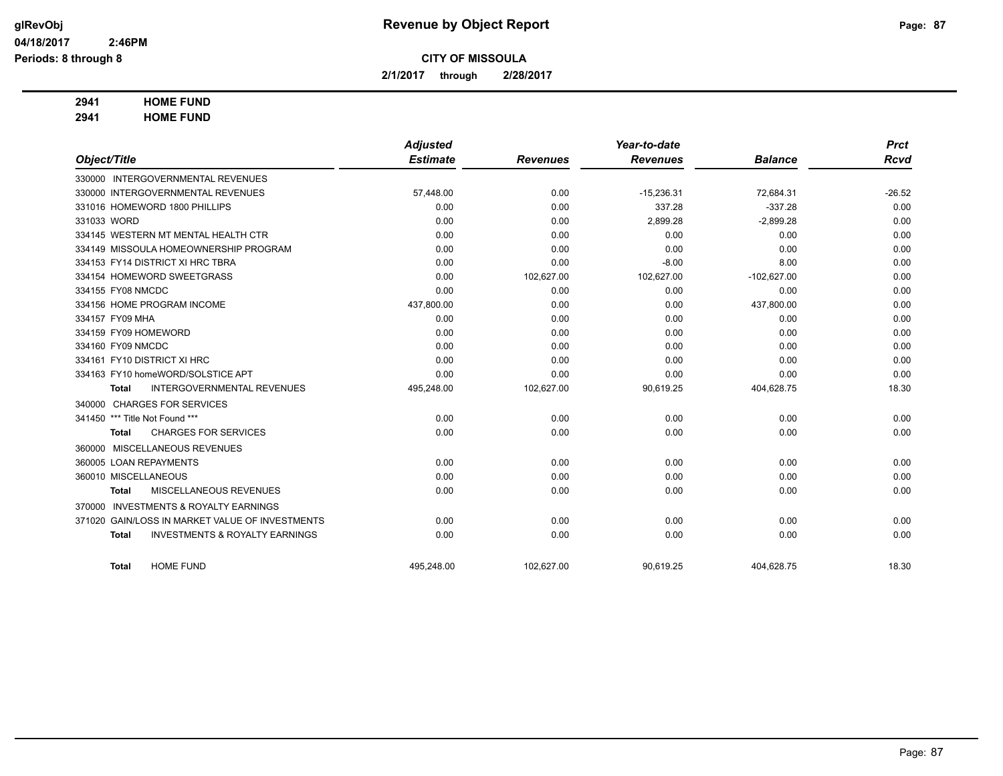**2/1/2017 through 2/28/2017**

## **2941 HOME FUND**

**2941 HOME FUND**

|                                                           | <b>Adjusted</b> |                 | Year-to-date    |                | <b>Prct</b> |
|-----------------------------------------------------------|-----------------|-----------------|-----------------|----------------|-------------|
| Object/Title                                              | <b>Estimate</b> | <b>Revenues</b> | <b>Revenues</b> | <b>Balance</b> | <b>Rcvd</b> |
| 330000 INTERGOVERNMENTAL REVENUES                         |                 |                 |                 |                |             |
| 330000 INTERGOVERNMENTAL REVENUES                         | 57,448.00       | 0.00            | $-15,236.31$    | 72,684.31      | $-26.52$    |
| 331016 HOMEWORD 1800 PHILLIPS                             | 0.00            | 0.00            | 337.28          | $-337.28$      | 0.00        |
| 331033 WORD                                               | 0.00            | 0.00            | 2,899.28        | $-2,899.28$    | 0.00        |
| 334145 WESTERN MT MENTAL HEALTH CTR                       | 0.00            | 0.00            | 0.00            | 0.00           | 0.00        |
| 334149 MISSOULA HOMEOWNERSHIP PROGRAM                     | 0.00            | 0.00            | 0.00            | 0.00           | 0.00        |
| 334153 FY14 DISTRICT XI HRC TBRA                          | 0.00            | 0.00            | $-8.00$         | 8.00           | 0.00        |
| 334154 HOMEWORD SWEETGRASS                                | 0.00            | 102,627.00      | 102,627.00      | $-102,627.00$  | 0.00        |
| 334155 FY08 NMCDC                                         | 0.00            | 0.00            | 0.00            | 0.00           | 0.00        |
| 334156 HOME PROGRAM INCOME                                | 437,800.00      | 0.00            | 0.00            | 437,800.00     | 0.00        |
| 334157 FY09 MHA                                           | 0.00            | 0.00            | 0.00            | 0.00           | 0.00        |
| 334159 FY09 HOMEWORD                                      | 0.00            | 0.00            | 0.00            | 0.00           | 0.00        |
| 334160 FY09 NMCDC                                         | 0.00            | 0.00            | 0.00            | 0.00           | 0.00        |
| 334161 FY10 DISTRICT XI HRC                               | 0.00            | 0.00            | 0.00            | 0.00           | 0.00        |
| 334163 FY10 homeWORD/SOLSTICE APT                         | 0.00            | 0.00            | 0.00            | 0.00           | 0.00        |
| <b>INTERGOVERNMENTAL REVENUES</b><br>Total                | 495,248.00      | 102,627.00      | 90,619.25       | 404,628.75     | 18.30       |
| 340000 CHARGES FOR SERVICES                               |                 |                 |                 |                |             |
| 341450 *** Title Not Found ***                            | 0.00            | 0.00            | 0.00            | 0.00           | 0.00        |
| <b>CHARGES FOR SERVICES</b><br>Total                      | 0.00            | 0.00            | 0.00            | 0.00           | 0.00        |
| 360000 MISCELLANEOUS REVENUES                             |                 |                 |                 |                |             |
| 360005 LOAN REPAYMENTS                                    | 0.00            | 0.00            | 0.00            | 0.00           | 0.00        |
| 360010 MISCELLANEOUS                                      | 0.00            | 0.00            | 0.00            | 0.00           | 0.00        |
| MISCELLANEOUS REVENUES<br><b>Total</b>                    | 0.00            | 0.00            | 0.00            | 0.00           | 0.00        |
| 370000 INVESTMENTS & ROYALTY EARNINGS                     |                 |                 |                 |                |             |
| 371020 GAIN/LOSS IN MARKET VALUE OF INVESTMENTS           | 0.00            | 0.00            | 0.00            | 0.00           | 0.00        |
| <b>INVESTMENTS &amp; ROYALTY EARNINGS</b><br><b>Total</b> | 0.00            | 0.00            | 0.00            | 0.00           | 0.00        |
| <b>HOME FUND</b><br><b>Total</b>                          | 495,248.00      | 102,627.00      | 90,619.25       | 404,628.75     | 18.30       |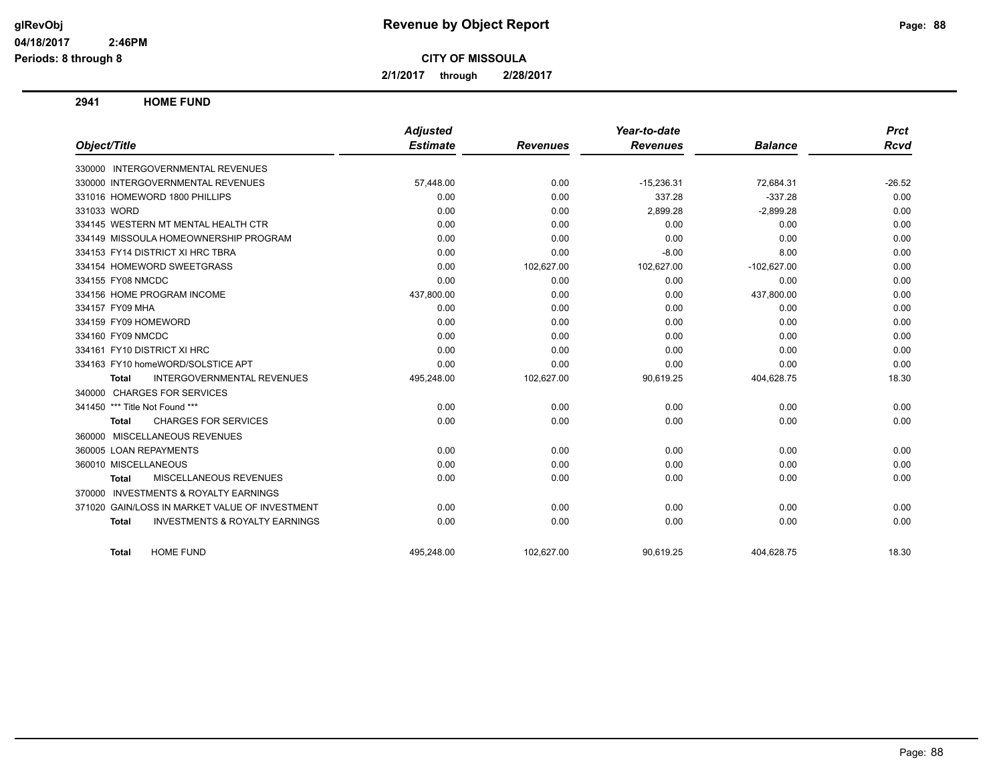**2/1/2017 through 2/28/2017**

#### **2941 HOME FUND**

|                                                           | <b>Adjusted</b> |                 | Year-to-date    |                | <b>Prct</b> |
|-----------------------------------------------------------|-----------------|-----------------|-----------------|----------------|-------------|
| Object/Title                                              | <b>Estimate</b> | <b>Revenues</b> | <b>Revenues</b> | <b>Balance</b> | <b>Rcvd</b> |
| 330000 INTERGOVERNMENTAL REVENUES                         |                 |                 |                 |                |             |
| 330000 INTERGOVERNMENTAL REVENUES                         | 57,448.00       | 0.00            | $-15,236.31$    | 72,684.31      | $-26.52$    |
| 331016 HOMEWORD 1800 PHILLIPS                             | 0.00            | 0.00            | 337.28          | $-337.28$      | 0.00        |
| 331033 WORD                                               | 0.00            | 0.00            | 2,899.28        | $-2,899.28$    | 0.00        |
| 334145 WESTERN MT MENTAL HEALTH CTR                       | 0.00            | 0.00            | 0.00            | 0.00           | 0.00        |
| 334149 MISSOULA HOMEOWNERSHIP PROGRAM                     | 0.00            | 0.00            | 0.00            | 0.00           | 0.00        |
| 334153 FY14 DISTRICT XI HRC TBRA                          | 0.00            | 0.00            | $-8.00$         | 8.00           | 0.00        |
| 334154 HOMEWORD SWEETGRASS                                | 0.00            | 102,627.00      | 102,627.00      | $-102,627.00$  | 0.00        |
| 334155 FY08 NMCDC                                         | 0.00            | 0.00            | 0.00            | 0.00           | 0.00        |
| 334156 HOME PROGRAM INCOME                                | 437,800.00      | 0.00            | 0.00            | 437,800.00     | 0.00        |
| 334157 FY09 MHA                                           | 0.00            | 0.00            | 0.00            | 0.00           | 0.00        |
| 334159 FY09 HOMEWORD                                      | 0.00            | 0.00            | 0.00            | 0.00           | 0.00        |
| 334160 FY09 NMCDC                                         | 0.00            | 0.00            | 0.00            | 0.00           | 0.00        |
| 334161 FY10 DISTRICT XI HRC                               | 0.00            | 0.00            | 0.00            | 0.00           | 0.00        |
| 334163 FY10 homeWORD/SOLSTICE APT                         | 0.00            | 0.00            | 0.00            | 0.00           | 0.00        |
| <b>INTERGOVERNMENTAL REVENUES</b><br>Total                | 495,248.00      | 102,627.00      | 90,619.25       | 404,628.75     | 18.30       |
| 340000 CHARGES FOR SERVICES                               |                 |                 |                 |                |             |
| 341450 *** Title Not Found ***                            | 0.00            | 0.00            | 0.00            | 0.00           | 0.00        |
| <b>CHARGES FOR SERVICES</b><br>Total                      | 0.00            | 0.00            | 0.00            | 0.00           | 0.00        |
| 360000 MISCELLANEOUS REVENUES                             |                 |                 |                 |                |             |
| 360005 LOAN REPAYMENTS                                    | 0.00            | 0.00            | 0.00            | 0.00           | 0.00        |
| 360010 MISCELLANEOUS                                      | 0.00            | 0.00            | 0.00            | 0.00           | 0.00        |
| MISCELLANEOUS REVENUES<br><b>Total</b>                    | 0.00            | 0.00            | 0.00            | 0.00           | 0.00        |
| 370000 INVESTMENTS & ROYALTY EARNINGS                     |                 |                 |                 |                |             |
| 371020 GAIN/LOSS IN MARKET VALUE OF INVESTMENT            | 0.00            | 0.00            | 0.00            | 0.00           | 0.00        |
| <b>INVESTMENTS &amp; ROYALTY EARNINGS</b><br><b>Total</b> | 0.00            | 0.00            | 0.00            | 0.00           | 0.00        |
|                                                           |                 |                 |                 |                |             |
| <b>HOME FUND</b><br><b>Total</b>                          | 495,248.00      | 102,627.00      | 90,619.25       | 404,628.75     | 18.30       |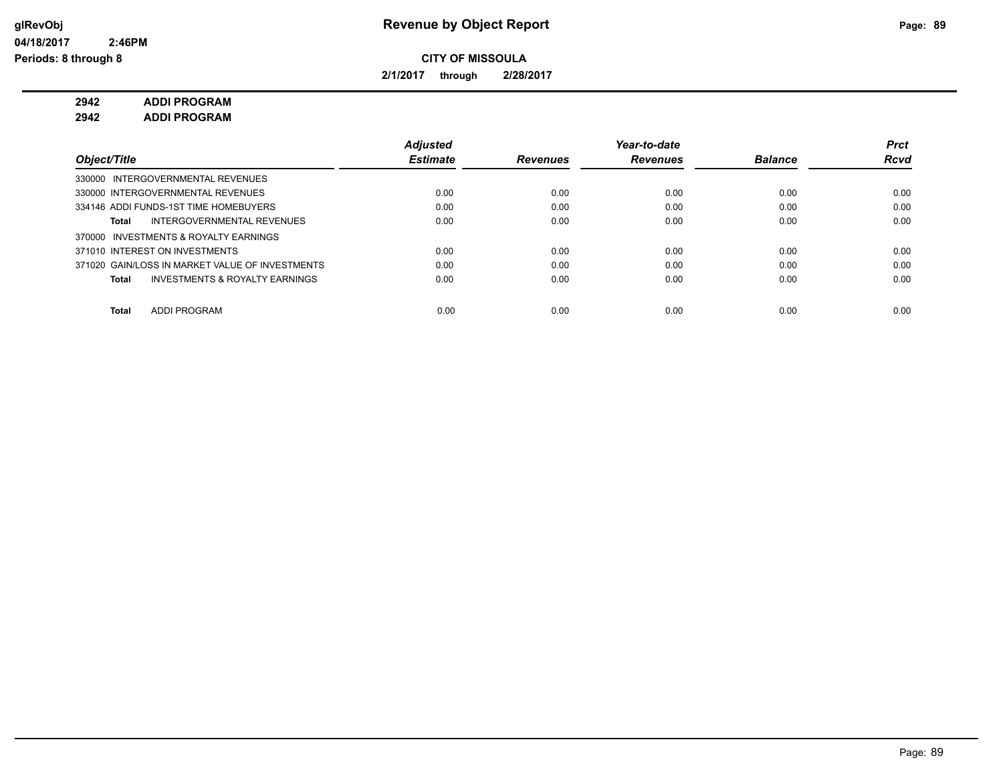**2/1/2017 through 2/28/2017**

**2942 ADDI PROGRAM 2942 ADDI PROGRAM**

|                                                    | <b>Adjusted</b> |                 | Year-to-date    |                | <b>Prct</b> |
|----------------------------------------------------|-----------------|-----------------|-----------------|----------------|-------------|
| Object/Title                                       | <b>Estimate</b> | <b>Revenues</b> | <b>Revenues</b> | <b>Balance</b> | Rcvd        |
| 330000 INTERGOVERNMENTAL REVENUES                  |                 |                 |                 |                |             |
| 330000 INTERGOVERNMENTAL REVENUES                  | 0.00            | 0.00            | 0.00            | 0.00           | 0.00        |
| 334146 ADDI FUNDS-1ST TIME HOMEBUYERS              | 0.00            | 0.00            | 0.00            | 0.00           | 0.00        |
| INTERGOVERNMENTAL REVENUES<br>Total                | 0.00            | 0.00            | 0.00            | 0.00           | 0.00        |
| 370000 INVESTMENTS & ROYALTY EARNINGS              |                 |                 |                 |                |             |
| 371010 INTEREST ON INVESTMENTS                     | 0.00            | 0.00            | 0.00            | 0.00           | 0.00        |
| 371020 GAIN/LOSS IN MARKET VALUE OF INVESTMENTS    | 0.00            | 0.00            | 0.00            | 0.00           | 0.00        |
| <b>INVESTMENTS &amp; ROYALTY EARNINGS</b><br>Total | 0.00            | 0.00            | 0.00            | 0.00           | 0.00        |
| <b>ADDI PROGRAM</b><br><b>Total</b>                | 0.00            | 0.00            | 0.00            | 0.00           | 0.00        |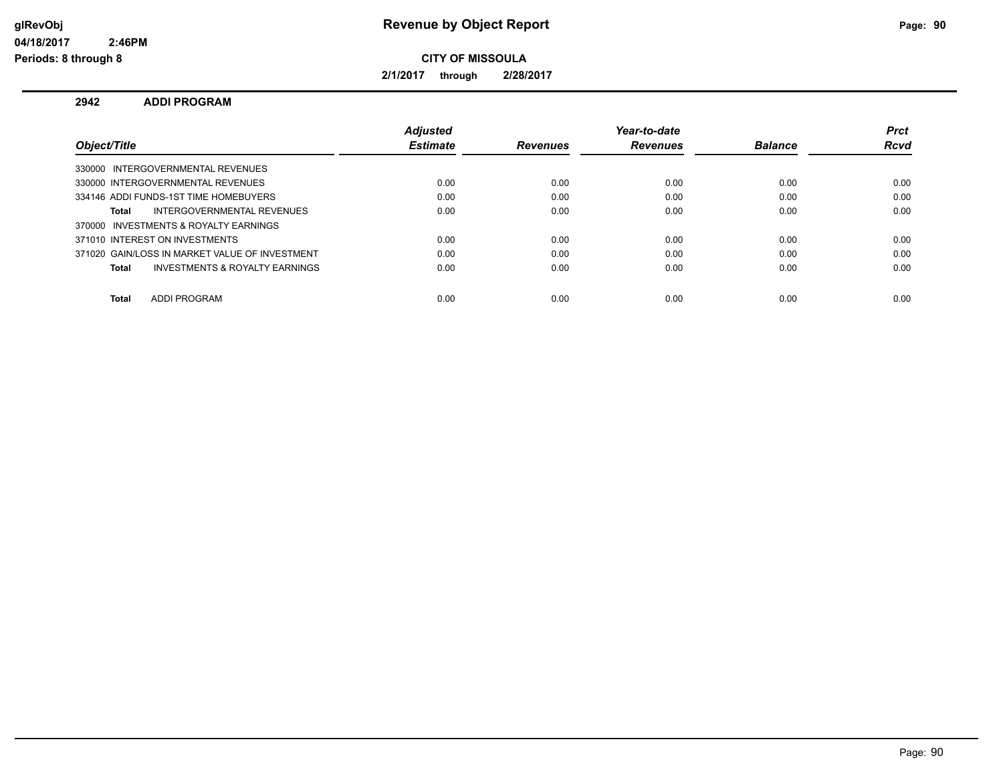**2/1/2017 through 2/28/2017**

#### **2942 ADDI PROGRAM**

|                                                | <b>Adiusted</b> |                 | Year-to-date    |                | <b>Prct</b> |
|------------------------------------------------|-----------------|-----------------|-----------------|----------------|-------------|
| Object/Title                                   | <b>Estimate</b> | <b>Revenues</b> | <b>Revenues</b> | <b>Balance</b> | Rcvd        |
| 330000 INTERGOVERNMENTAL REVENUES              |                 |                 |                 |                |             |
| 330000 INTERGOVERNMENTAL REVENUES              | 0.00            | 0.00            | 0.00            | 0.00           | 0.00        |
| 334146 ADDI FUNDS-1ST TIME HOMEBUYERS          | 0.00            | 0.00            | 0.00            | 0.00           | 0.00        |
| INTERGOVERNMENTAL REVENUES<br>Total            | 0.00            | 0.00            | 0.00            | 0.00           | 0.00        |
| 370000 INVESTMENTS & ROYALTY EARNINGS          |                 |                 |                 |                |             |
| 371010 INTEREST ON INVESTMENTS                 | 0.00            | 0.00            | 0.00            | 0.00           | 0.00        |
| 371020 GAIN/LOSS IN MARKET VALUE OF INVESTMENT | 0.00            | 0.00            | 0.00            | 0.00           | 0.00        |
| INVESTMENTS & ROYALTY EARNINGS<br>Total        | 0.00            | 0.00            | 0.00            | 0.00           | 0.00        |
| ADDI PROGRAM<br>Total                          | 0.00            | 0.00            | 0.00            | 0.00           | 0.00        |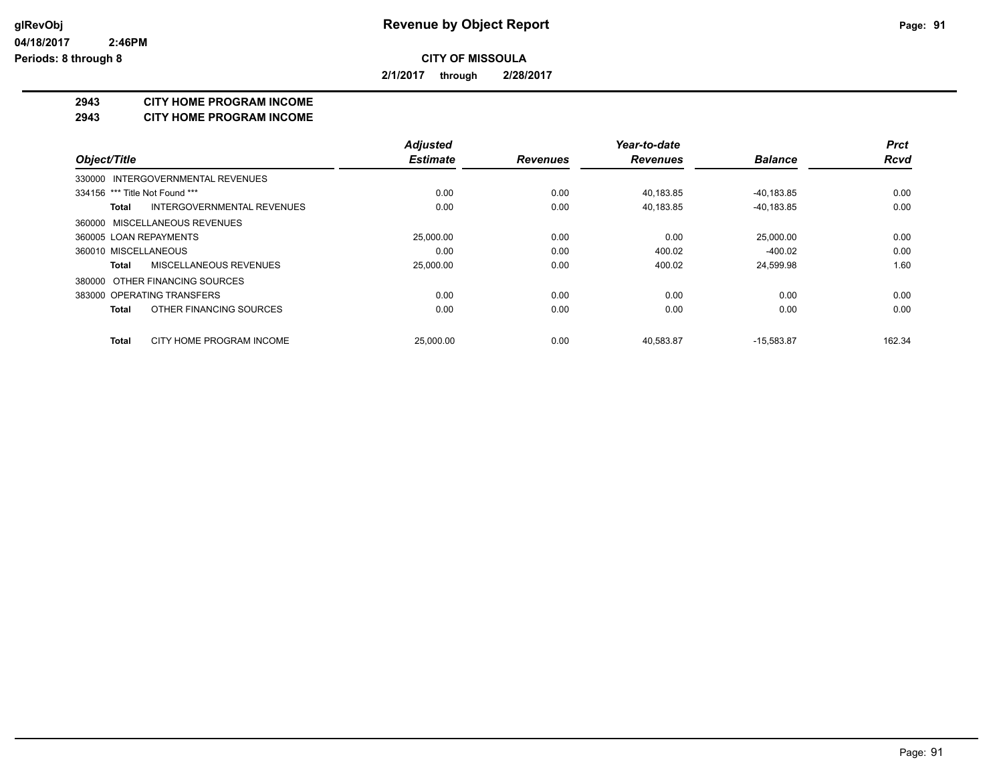**2/1/2017 through 2/28/2017**

## **2943 CITY HOME PROGRAM INCOME**

#### **2943 CITY HOME PROGRAM INCOME**

|                                          | <b>Adjusted</b> |                 | Year-to-date    |                | <b>Prct</b> |
|------------------------------------------|-----------------|-----------------|-----------------|----------------|-------------|
| Object/Title                             | <b>Estimate</b> | <b>Revenues</b> | <b>Revenues</b> | <b>Balance</b> | Rcvd        |
| 330000 INTERGOVERNMENTAL REVENUES        |                 |                 |                 |                |             |
| 334156 *** Title Not Found ***           | 0.00            | 0.00            | 40,183.85       | $-40,183.85$   | 0.00        |
| INTERGOVERNMENTAL REVENUES<br>Total      | 0.00            | 0.00            | 40,183.85       | $-40,183.85$   | 0.00        |
| 360000 MISCELLANEOUS REVENUES            |                 |                 |                 |                |             |
| 360005 LOAN REPAYMENTS                   | 25,000.00       | 0.00            | 0.00            | 25,000.00      | 0.00        |
| 360010 MISCELLANEOUS                     | 0.00            | 0.00            | 400.02          | $-400.02$      | 0.00        |
| MISCELLANEOUS REVENUES<br>Total          | 25,000.00       | 0.00            | 400.02          | 24,599.98      | 1.60        |
| 380000 OTHER FINANCING SOURCES           |                 |                 |                 |                |             |
| 383000 OPERATING TRANSFERS               | 0.00            | 0.00            | 0.00            | 0.00           | 0.00        |
| OTHER FINANCING SOURCES<br>Total         | 0.00            | 0.00            | 0.00            | 0.00           | 0.00        |
| CITY HOME PROGRAM INCOME<br><b>Total</b> | 25.000.00       | 0.00            | 40.583.87       | $-15.583.87$   | 162.34      |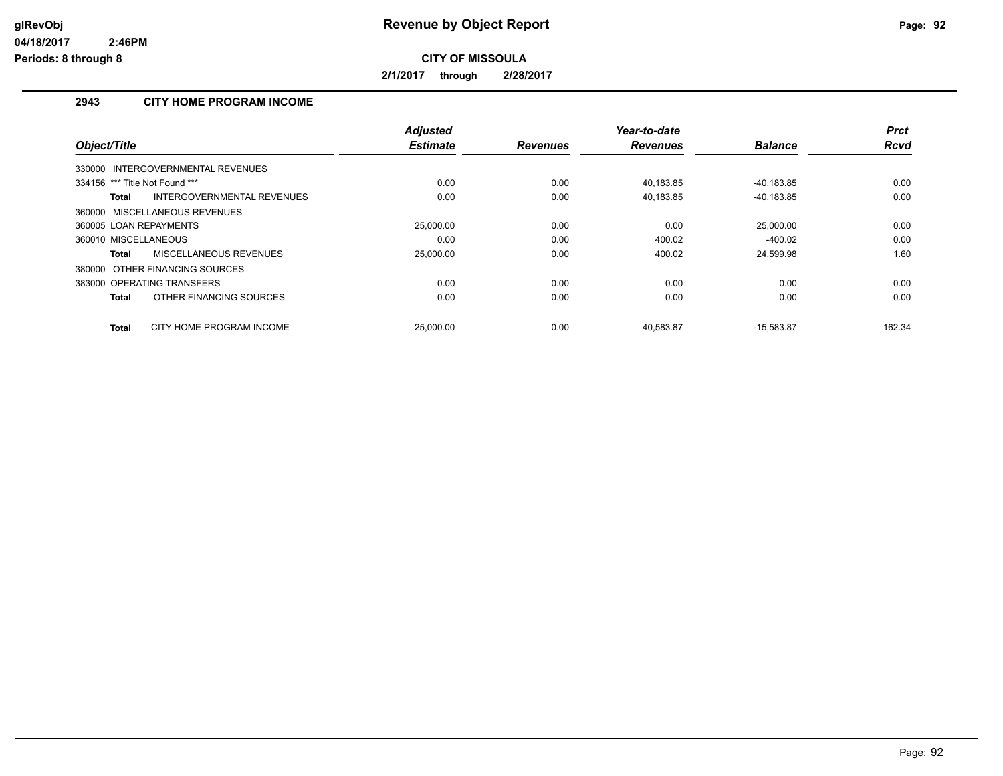**2/1/2017 through 2/28/2017**

#### **2943 CITY HOME PROGRAM INCOME**

|                                            | <b>Adjusted</b> |                 | Year-to-date    |                | <b>Prct</b> |
|--------------------------------------------|-----------------|-----------------|-----------------|----------------|-------------|
| Object/Title                               | <b>Estimate</b> | <b>Revenues</b> | <b>Revenues</b> | <b>Balance</b> | <b>Rcvd</b> |
| 330000 INTERGOVERNMENTAL REVENUES          |                 |                 |                 |                |             |
| 334156 *** Title Not Found ***             | 0.00            | 0.00            | 40,183.85       | $-40,183.85$   | 0.00        |
| INTERGOVERNMENTAL REVENUES<br><b>Total</b> | 0.00            | 0.00            | 40,183.85       | $-40,183.85$   | 0.00        |
| MISCELLANEOUS REVENUES<br>360000           |                 |                 |                 |                |             |
| 360005 LOAN REPAYMENTS                     | 25,000.00       | 0.00            | 0.00            | 25,000.00      | 0.00        |
| 360010 MISCELLANEOUS                       | 0.00            | 0.00            | 400.02          | $-400.02$      | 0.00        |
| MISCELLANEOUS REVENUES<br>Total            | 25,000.00       | 0.00            | 400.02          | 24,599.98      | 1.60        |
| OTHER FINANCING SOURCES<br>380000          |                 |                 |                 |                |             |
| 383000 OPERATING TRANSFERS                 | 0.00            | 0.00            | 0.00            | 0.00           | 0.00        |
| OTHER FINANCING SOURCES<br><b>Total</b>    | 0.00            | 0.00            | 0.00            | 0.00           | 0.00        |
| CITY HOME PROGRAM INCOME<br><b>Total</b>   | 25,000.00       | 0.00            | 40,583.87       | $-15,583.87$   | 162.34      |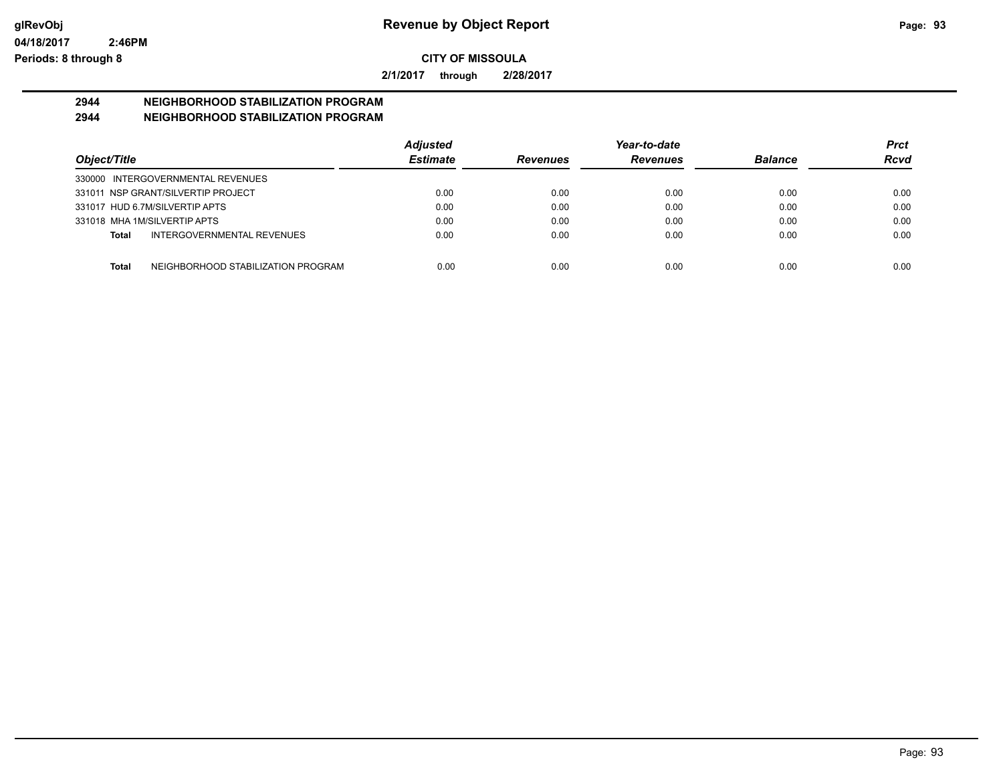**2/1/2017 through 2/28/2017**

#### **2944 NEIGHBORHOOD STABILIZATION PROGRAM 2944 NEIGHBORHOOD STABILIZATION PROGRAM**

| Object/Title |                                    | <b>Adjusted</b><br><b>Estimate</b> | <b>Revenues</b> | Year-to-date<br><b>Revenues</b> | <b>Balance</b> | Prct<br><b>Rcvd</b> |
|--------------|------------------------------------|------------------------------------|-----------------|---------------------------------|----------------|---------------------|
|              |                                    |                                    |                 |                                 |                |                     |
|              | 330000 INTERGOVERNMENTAL REVENUES  |                                    |                 |                                 |                |                     |
|              | 331011 NSP GRANT/SILVERTIP PROJECT | 0.00                               | 0.00            | 0.00                            | 0.00           | 0.00                |
|              | 331017 HUD 6.7M/SILVERTIP APTS     | 0.00                               | 0.00            | 0.00                            | 0.00           | 0.00                |
|              | 331018 MHA 1M/SILVERTIP APTS       | 0.00                               | 0.00            | 0.00                            | 0.00           | 0.00                |
| <b>Total</b> | INTERGOVERNMENTAL REVENUES         | 0.00                               | 0.00            | 0.00                            | 0.00           | 0.00                |
|              |                                    |                                    |                 |                                 |                |                     |
| Total        | NEIGHBORHOOD STABILIZATION PROGRAM | 0.00                               | 0.00            | 0.00                            | 0.00           | 0.00                |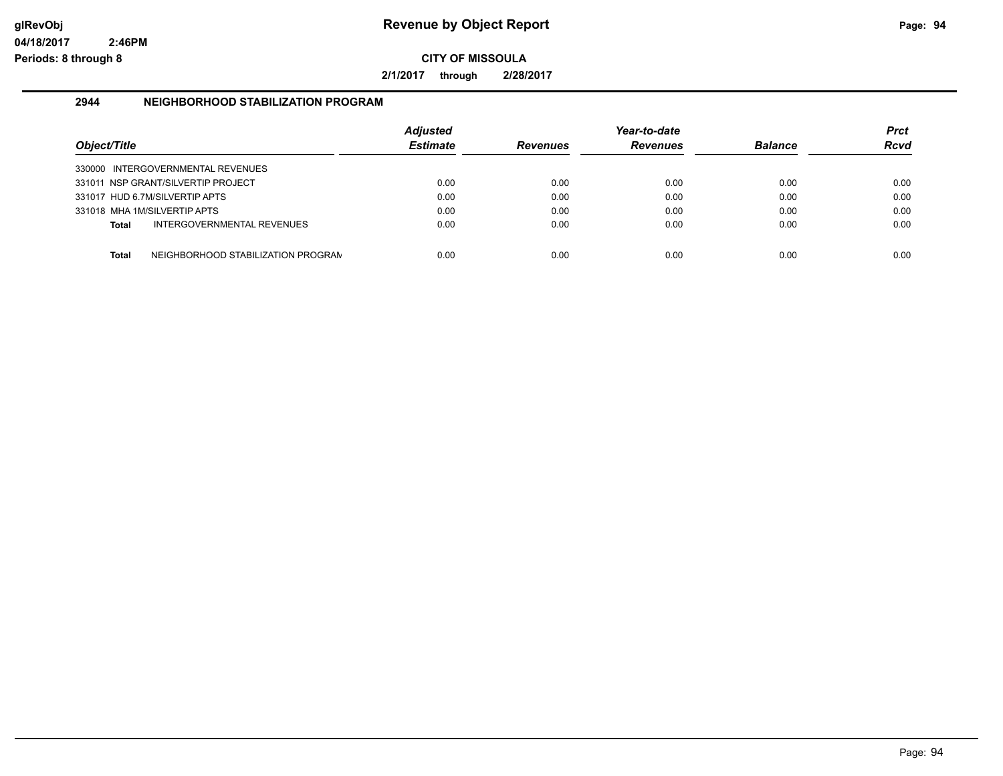**2/1/2017 through 2/28/2017**

#### **2944 NEIGHBORHOOD STABILIZATION PROGRAM**

| Object/Title                                | <b>Adjusted</b><br><b>Estimate</b> | <b>Revenues</b> | Year-to-date<br><b>Revenues</b> | <b>Balance</b> | <b>Prct</b><br><b>Rcvd</b> |
|---------------------------------------------|------------------------------------|-----------------|---------------------------------|----------------|----------------------------|
| 330000 INTERGOVERNMENTAL REVENUES           |                                    |                 |                                 |                |                            |
| 331011 NSP GRANT/SILVERTIP PROJECT          | 0.00                               | 0.00            | 0.00                            | 0.00           | 0.00                       |
| 331017 HUD 6.7M/SILVERTIP APTS              | 0.00                               | 0.00            | 0.00                            | 0.00           | 0.00                       |
| 331018 MHA 1M/SILVERTIP APTS                | 0.00                               | 0.00            | 0.00                            | 0.00           | 0.00                       |
| INTERGOVERNMENTAL REVENUES<br><b>Total</b>  | 0.00                               | 0.00            | 0.00                            | 0.00           | 0.00                       |
| Total<br>NEIGHBORHOOD STABILIZATION PROGRAM | 0.00                               | 0.00            | 0.00                            | 0.00           | 0.00                       |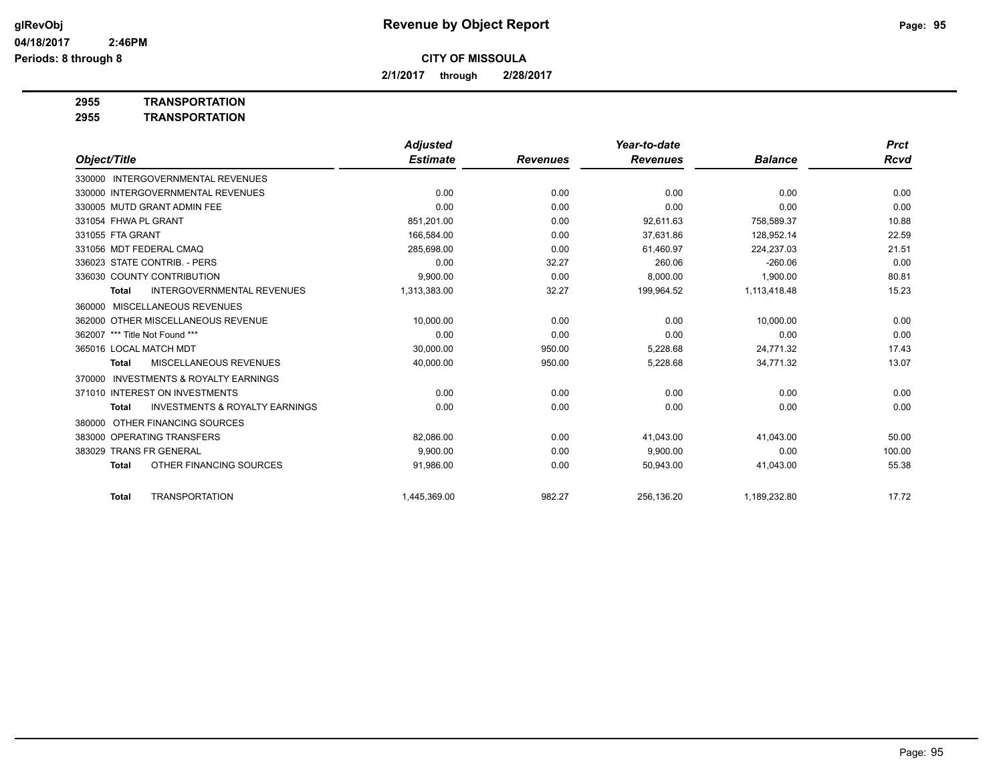**2/1/2017 through 2/28/2017**

**2955 TRANSPORTATION 2955 TRANSPORTATION**

|                                                           | <b>Adjusted</b> |                 | Year-to-date    |                | <b>Prct</b> |
|-----------------------------------------------------------|-----------------|-----------------|-----------------|----------------|-------------|
| Object/Title                                              | <b>Estimate</b> | <b>Revenues</b> | <b>Revenues</b> | <b>Balance</b> | Rcvd        |
| <b>INTERGOVERNMENTAL REVENUES</b><br>330000               |                 |                 |                 |                |             |
| 330000 INTERGOVERNMENTAL REVENUES                         | 0.00            | 0.00            | 0.00            | 0.00           | 0.00        |
| 330005 MUTD GRANT ADMIN FEE                               | 0.00            | 0.00            | 0.00            | 0.00           | 0.00        |
| 331054 FHWA PL GRANT                                      | 851,201.00      | 0.00            | 92,611.63       | 758,589.37     | 10.88       |
| 331055 FTA GRANT                                          | 166,584.00      | 0.00            | 37,631.86       | 128,952.14     | 22.59       |
| 331056 MDT FEDERAL CMAO                                   | 285,698.00      | 0.00            | 61,460.97       | 224,237.03     | 21.51       |
| 336023 STATE CONTRIB. - PERS                              | 0.00            | 32.27           | 260.06          | $-260.06$      | 0.00        |
| 336030 COUNTY CONTRIBUTION                                | 9,900.00        | 0.00            | 8.000.00        | 1,900.00       | 80.81       |
| <b>INTERGOVERNMENTAL REVENUES</b><br><b>Total</b>         | 1,313,383.00    | 32.27           | 199,964.52      | 1,113,418.48   | 15.23       |
| <b>MISCELLANEOUS REVENUES</b><br>360000                   |                 |                 |                 |                |             |
| 362000 OTHER MISCELLANEOUS REVENUE                        | 10,000.00       | 0.00            | 0.00            | 10,000.00      | 0.00        |
| 362007 *** Title Not Found ***                            | 0.00            | 0.00            | 0.00            | 0.00           | 0.00        |
| 365016 LOCAL MATCH MDT                                    | 30,000.00       | 950.00          | 5,228.68        | 24.771.32      | 17.43       |
| <b>MISCELLANEOUS REVENUES</b><br><b>Total</b>             | 40,000.00       | 950.00          | 5,228.68        | 34,771.32      | 13.07       |
| <b>INVESTMENTS &amp; ROYALTY EARNINGS</b><br>370000       |                 |                 |                 |                |             |
| 371010 INTEREST ON INVESTMENTS                            | 0.00            | 0.00            | 0.00            | 0.00           | 0.00        |
| <b>INVESTMENTS &amp; ROYALTY EARNINGS</b><br><b>Total</b> | 0.00            | 0.00            | 0.00            | 0.00           | 0.00        |
| OTHER FINANCING SOURCES<br>380000                         |                 |                 |                 |                |             |
| 383000 OPERATING TRANSFERS                                | 82.086.00       | 0.00            | 41.043.00       | 41.043.00      | 50.00       |
| 383029 TRANS FR GENERAL                                   | 9,900.00        | 0.00            | 9,900.00        | 0.00           | 100.00      |
| OTHER FINANCING SOURCES<br><b>Total</b>                   | 91,986.00       | 0.00            | 50,943.00       | 41,043.00      | 55.38       |
| <b>TRANSPORTATION</b><br><b>Total</b>                     | 1,445,369.00    | 982.27          | 256,136.20      | 1,189,232.80   | 17.72       |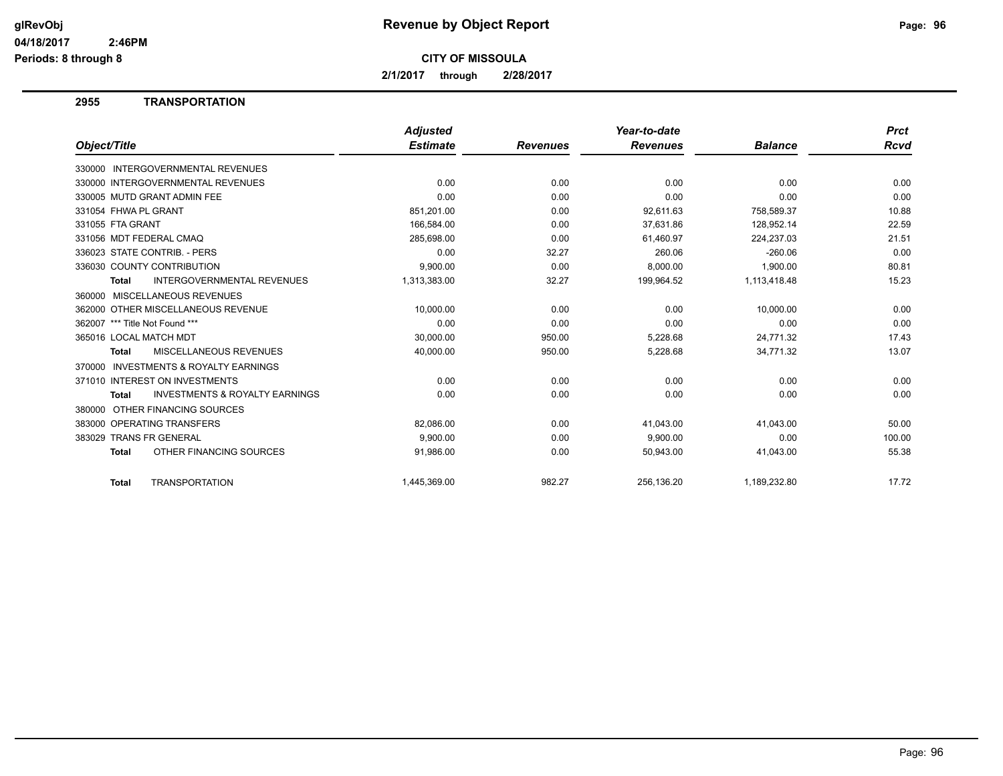**2/1/2017 through 2/28/2017**

#### **2955 TRANSPORTATION**

|                                                           | <b>Adjusted</b> |                 | Year-to-date    |                | <b>Prct</b> |
|-----------------------------------------------------------|-----------------|-----------------|-----------------|----------------|-------------|
| Object/Title                                              | <b>Estimate</b> | <b>Revenues</b> | <b>Revenues</b> | <b>Balance</b> | Rcvd        |
| 330000 INTERGOVERNMENTAL REVENUES                         |                 |                 |                 |                |             |
| 330000 INTERGOVERNMENTAL REVENUES                         | 0.00            | 0.00            | 0.00            | 0.00           | 0.00        |
| 330005 MUTD GRANT ADMIN FEE                               | 0.00            | 0.00            | 0.00            | 0.00           | 0.00        |
| 331054 FHWA PL GRANT                                      | 851.201.00      | 0.00            | 92.611.63       | 758.589.37     | 10.88       |
| 331055 FTA GRANT                                          | 166,584.00      | 0.00            | 37,631.86       | 128,952.14     | 22.59       |
| 331056 MDT FEDERAL CMAQ                                   | 285,698.00      | 0.00            | 61,460.97       | 224,237.03     | 21.51       |
| 336023 STATE CONTRIB. - PERS                              | 0.00            | 32.27           | 260.06          | $-260.06$      | 0.00        |
| 336030 COUNTY CONTRIBUTION                                | 9,900.00        | 0.00            | 8,000.00        | 1,900.00       | 80.81       |
| <b>INTERGOVERNMENTAL REVENUES</b><br><b>Total</b>         | 1,313,383.00    | 32.27           | 199,964.52      | 1,113,418.48   | 15.23       |
| 360000 MISCELLANEOUS REVENUES                             |                 |                 |                 |                |             |
| 362000 OTHER MISCELLANEOUS REVENUE                        | 10.000.00       | 0.00            | 0.00            | 10.000.00      | 0.00        |
| 362007 *** Title Not Found ***                            | 0.00            | 0.00            | 0.00            | 0.00           | 0.00        |
| 365016 LOCAL MATCH MDT                                    | 30,000.00       | 950.00          | 5,228.68        | 24,771.32      | 17.43       |
| MISCELLANEOUS REVENUES<br>Total                           | 40,000.00       | 950.00          | 5,228.68        | 34,771.32      | 13.07       |
| 370000 INVESTMENTS & ROYALTY EARNINGS                     |                 |                 |                 |                |             |
| 371010 INTEREST ON INVESTMENTS                            | 0.00            | 0.00            | 0.00            | 0.00           | 0.00        |
| <b>INVESTMENTS &amp; ROYALTY EARNINGS</b><br><b>Total</b> | 0.00            | 0.00            | 0.00            | 0.00           | 0.00        |
| 380000 OTHER FINANCING SOURCES                            |                 |                 |                 |                |             |
| 383000 OPERATING TRANSFERS                                | 82,086.00       | 0.00            | 41,043.00       | 41,043.00      | 50.00       |
| 383029 TRANS FR GENERAL                                   | 9,900.00        | 0.00            | 9,900.00        | 0.00           | 100.00      |
| OTHER FINANCING SOURCES<br>Total                          | 91,986.00       | 0.00            | 50,943.00       | 41,043.00      | 55.38       |
| <b>TRANSPORTATION</b><br><b>Total</b>                     | 1.445.369.00    | 982.27          | 256.136.20      | 1,189,232.80   | 17.72       |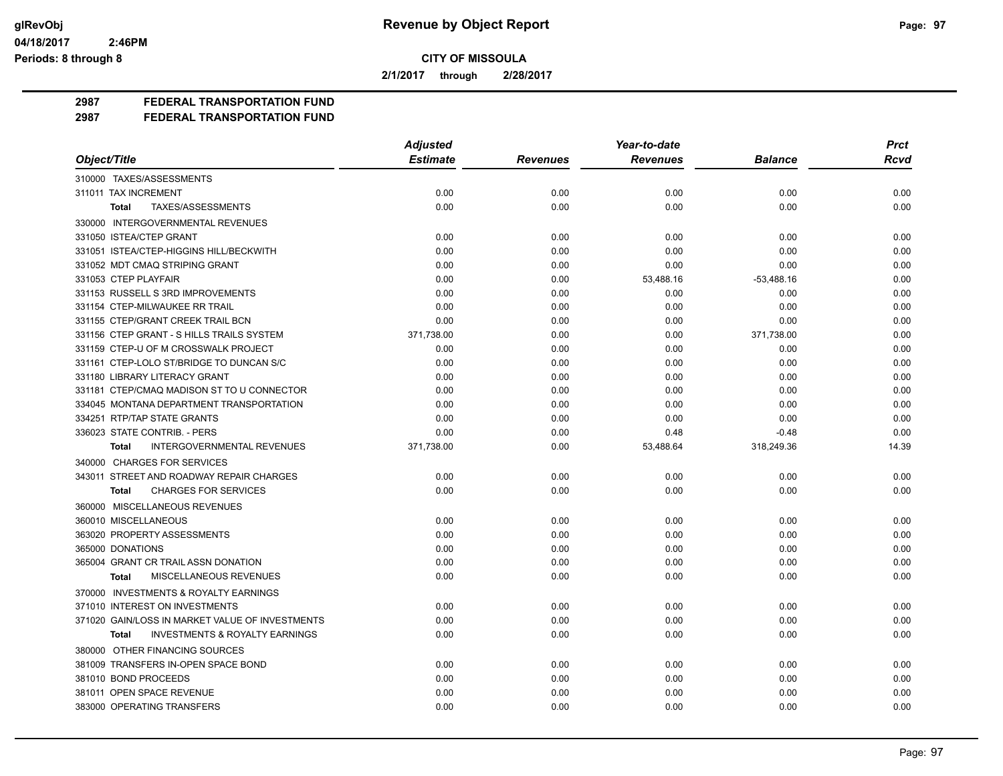**2/1/2017 through 2/28/2017**

# **2987 FEDERAL TRANSPORTATION FUND**

|                                                    | <b>Adjusted</b> |                 | Year-to-date    |                | <b>Prct</b> |
|----------------------------------------------------|-----------------|-----------------|-----------------|----------------|-------------|
| Object/Title                                       | <b>Estimate</b> | <b>Revenues</b> | <b>Revenues</b> | <b>Balance</b> | Rcvd        |
| 310000 TAXES/ASSESSMENTS                           |                 |                 |                 |                |             |
| 311011 TAX INCREMENT                               | 0.00            | 0.00            | 0.00            | 0.00           | 0.00        |
| TAXES/ASSESSMENTS<br>Total                         | 0.00            | 0.00            | 0.00            | 0.00           | 0.00        |
| 330000 INTERGOVERNMENTAL REVENUES                  |                 |                 |                 |                |             |
| 331050 ISTEA/CTEP GRANT                            | 0.00            | 0.00            | 0.00            | 0.00           | 0.00        |
| 331051 ISTEA/CTEP-HIGGINS HILL/BECKWITH            | 0.00            | 0.00            | 0.00            | 0.00           | 0.00        |
| 331052 MDT CMAQ STRIPING GRANT                     | 0.00            | 0.00            | 0.00            | 0.00           | 0.00        |
| 331053 CTEP PLAYFAIR                               | 0.00            | 0.00            | 53,488.16       | $-53,488.16$   | 0.00        |
| 331153 RUSSELL S 3RD IMPROVEMENTS                  | 0.00            | 0.00            | 0.00            | 0.00           | 0.00        |
| 331154 CTEP-MILWAUKEE RR TRAIL                     | 0.00            | 0.00            | 0.00            | 0.00           | 0.00        |
| 331155 CTEP/GRANT CREEK TRAIL BCN                  | 0.00            | 0.00            | 0.00            | 0.00           | 0.00        |
| 331156 CTEP GRANT - S HILLS TRAILS SYSTEM          | 371,738.00      | 0.00            | 0.00            | 371,738.00     | 0.00        |
| 331159 CTEP-U OF M CROSSWALK PROJECT               | 0.00            | 0.00            | 0.00            | 0.00           | 0.00        |
| 331161 CTEP-LOLO ST/BRIDGE TO DUNCAN S/C           | 0.00            | 0.00            | 0.00            | 0.00           | 0.00        |
| 331180 LIBRARY LITERACY GRANT                      | 0.00            | 0.00            | 0.00            | 0.00           | 0.00        |
| 331181 CTEP/CMAQ MADISON ST TO U CONNECTOR         | 0.00            | 0.00            | 0.00            | 0.00           | 0.00        |
| 334045 MONTANA DEPARTMENT TRANSPORTATION           | 0.00            | 0.00            | 0.00            | 0.00           | 0.00        |
| 334251 RTP/TAP STATE GRANTS                        | 0.00            | 0.00            | 0.00            | 0.00           | 0.00        |
| 336023 STATE CONTRIB. - PERS                       | 0.00            | 0.00            | 0.48            | $-0.48$        | 0.00        |
| <b>INTERGOVERNMENTAL REVENUES</b><br><b>Total</b>  | 371,738.00      | 0.00            | 53,488.64       | 318,249.36     | 14.39       |
| 340000 CHARGES FOR SERVICES                        |                 |                 |                 |                |             |
| 343011 STREET AND ROADWAY REPAIR CHARGES           | 0.00            | 0.00            | 0.00            | 0.00           | 0.00        |
| <b>CHARGES FOR SERVICES</b><br>Total               | 0.00            | 0.00            | 0.00            | 0.00           | 0.00        |
| 360000 MISCELLANEOUS REVENUES                      |                 |                 |                 |                |             |
| 360010 MISCELLANEOUS                               | 0.00            | 0.00            | 0.00            | 0.00           | 0.00        |
| 363020 PROPERTY ASSESSMENTS                        | 0.00            | 0.00            | 0.00            | 0.00           | 0.00        |
| 365000 DONATIONS                                   | 0.00            | 0.00            | 0.00            | 0.00           | 0.00        |
| 365004 GRANT CR TRAIL ASSN DONATION                | 0.00            | 0.00            | 0.00            | 0.00           | 0.00        |
| MISCELLANEOUS REVENUES<br>Total                    | 0.00            | 0.00            | 0.00            | 0.00           | 0.00        |
| 370000 INVESTMENTS & ROYALTY EARNINGS              |                 |                 |                 |                |             |
| 371010 INTEREST ON INVESTMENTS                     | 0.00            | 0.00            | 0.00            | 0.00           | 0.00        |
| 371020 GAIN/LOSS IN MARKET VALUE OF INVESTMENTS    | 0.00            | 0.00            | 0.00            | 0.00           | 0.00        |
| <b>INVESTMENTS &amp; ROYALTY EARNINGS</b><br>Total | 0.00            | 0.00            | 0.00            | 0.00           | 0.00        |
| 380000 OTHER FINANCING SOURCES                     |                 |                 |                 |                |             |
| 381009 TRANSFERS IN-OPEN SPACE BOND                | 0.00            | 0.00            | 0.00            | 0.00           | 0.00        |
| 381010 BOND PROCEEDS                               | 0.00            | 0.00            | 0.00            | 0.00           | 0.00        |
| 381011 OPEN SPACE REVENUE                          | 0.00            | 0.00            | 0.00            | 0.00           | 0.00        |
| 383000 OPERATING TRANSFERS                         | 0.00            | 0.00            | 0.00            | 0.00           | 0.00        |
|                                                    |                 |                 |                 |                |             |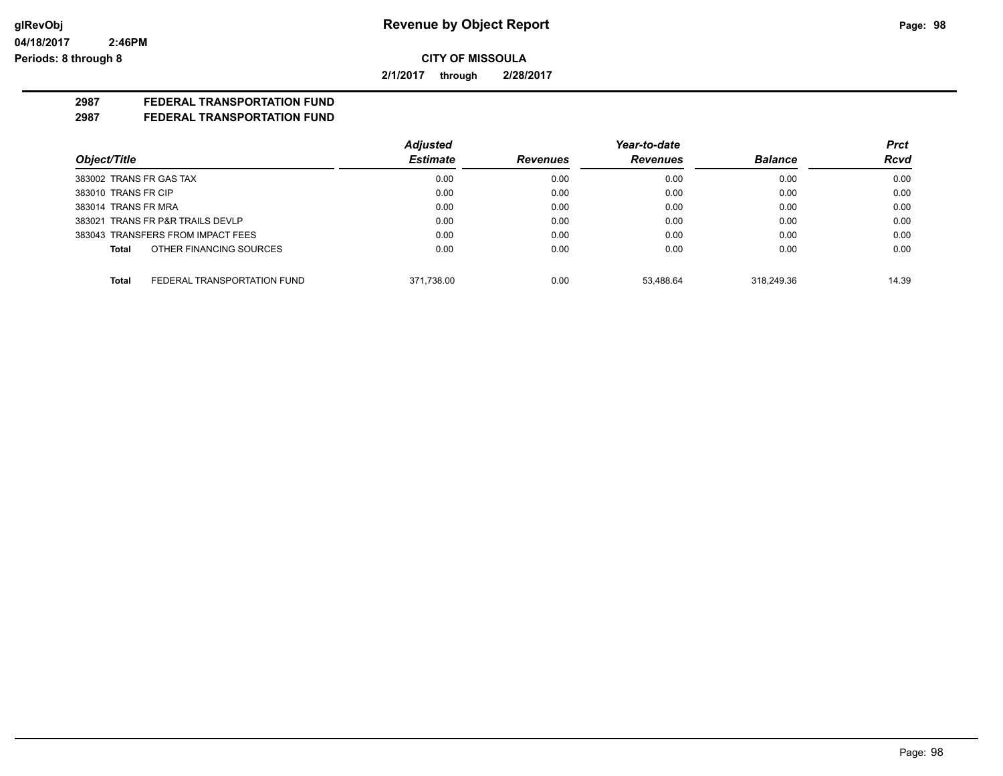**2/1/2017 through 2/28/2017**

# **2987 FEDERAL TRANSPORTATION FUND**

|                                             | <b>Adjusted</b> |                 | Year-to-date    |                | <b>Prct</b> |
|---------------------------------------------|-----------------|-----------------|-----------------|----------------|-------------|
| Object/Title                                | <b>Estimate</b> | <b>Revenues</b> | <b>Revenues</b> | <b>Balance</b> | Rcvd        |
| 383002 TRANS FR GAS TAX                     | 0.00            | 0.00            | 0.00            | 0.00           | 0.00        |
| 383010 TRANS FR CIP                         | 0.00            | 0.00            | 0.00            | 0.00           | 0.00        |
| 383014 TRANS FR MRA                         | 0.00            | 0.00            | 0.00            | 0.00           | 0.00        |
| 383021 TRANS FR P&R TRAILS DEVLP            | 0.00            | 0.00            | 0.00            | 0.00           | 0.00        |
| 383043 TRANSFERS FROM IMPACT FEES           | 0.00            | 0.00            | 0.00            | 0.00           | 0.00        |
| OTHER FINANCING SOURCES<br>Total            | 0.00            | 0.00            | 0.00            | 0.00           | 0.00        |
| FEDERAL TRANSPORTATION FUND<br><b>Total</b> | 371,738.00      | 0.00            | 53.488.64       | 318.249.36     | 14.39       |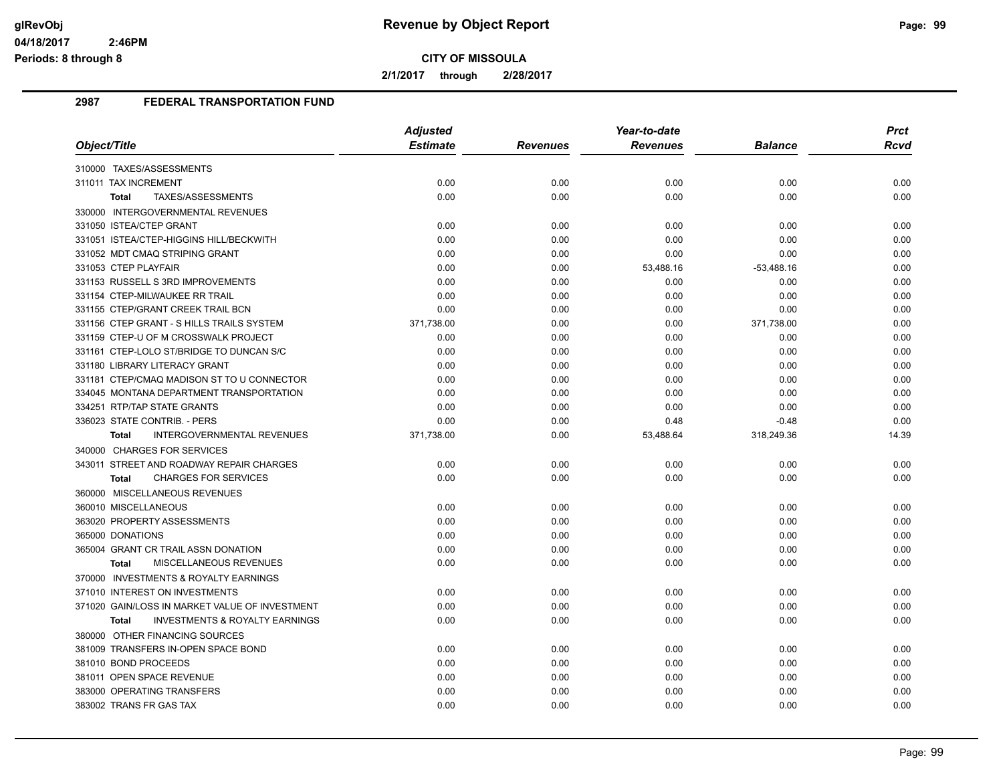**2/1/2017 through 2/28/2017**

| <b>Estimate</b><br>Object/Title<br><b>Revenues</b><br><b>Revenues</b><br><b>Balance</b><br>Rcvd<br>310000 TAXES/ASSESSMENTS<br>311011 TAX INCREMENT<br>0.00<br>0.00<br>0.00<br>0.00<br>0.00<br>TAXES/ASSESSMENTS<br>0.00<br>0.00<br>0.00<br>0.00<br>0.00<br><b>Total</b><br>330000 INTERGOVERNMENTAL REVENUES<br>331050 ISTEA/CTEP GRANT<br>0.00<br>0.00<br>0.00<br>0.00<br>0.00<br>331051 ISTEA/CTEP-HIGGINS HILL/BECKWITH<br>0.00<br>0.00<br>0.00<br>0.00<br>0.00<br>331052 MDT CMAQ STRIPING GRANT<br>0.00<br>0.00<br>0.00<br>0.00<br>0.00<br>331053 CTEP PLAYFAIR<br>53,488.16<br>$-53,488.16$<br>0.00<br>0.00<br>0.00<br>331153 RUSSELL S 3RD IMPROVEMENTS<br>0.00<br>0.00<br>0.00<br>0.00<br>0.00<br>331154 CTEP-MILWAUKEE RR TRAIL<br>0.00<br>0.00<br>0.00<br>0.00<br>0.00 |
|-----------------------------------------------------------------------------------------------------------------------------------------------------------------------------------------------------------------------------------------------------------------------------------------------------------------------------------------------------------------------------------------------------------------------------------------------------------------------------------------------------------------------------------------------------------------------------------------------------------------------------------------------------------------------------------------------------------------------------------------------------------------------------------|
|                                                                                                                                                                                                                                                                                                                                                                                                                                                                                                                                                                                                                                                                                                                                                                                   |
|                                                                                                                                                                                                                                                                                                                                                                                                                                                                                                                                                                                                                                                                                                                                                                                   |
|                                                                                                                                                                                                                                                                                                                                                                                                                                                                                                                                                                                                                                                                                                                                                                                   |
|                                                                                                                                                                                                                                                                                                                                                                                                                                                                                                                                                                                                                                                                                                                                                                                   |
|                                                                                                                                                                                                                                                                                                                                                                                                                                                                                                                                                                                                                                                                                                                                                                                   |
|                                                                                                                                                                                                                                                                                                                                                                                                                                                                                                                                                                                                                                                                                                                                                                                   |
|                                                                                                                                                                                                                                                                                                                                                                                                                                                                                                                                                                                                                                                                                                                                                                                   |
|                                                                                                                                                                                                                                                                                                                                                                                                                                                                                                                                                                                                                                                                                                                                                                                   |
|                                                                                                                                                                                                                                                                                                                                                                                                                                                                                                                                                                                                                                                                                                                                                                                   |
|                                                                                                                                                                                                                                                                                                                                                                                                                                                                                                                                                                                                                                                                                                                                                                                   |
|                                                                                                                                                                                                                                                                                                                                                                                                                                                                                                                                                                                                                                                                                                                                                                                   |
| 331155 CTEP/GRANT CREEK TRAIL BCN<br>0.00<br>0.00<br>0.00<br>0.00<br>0.00                                                                                                                                                                                                                                                                                                                                                                                                                                                                                                                                                                                                                                                                                                         |
| 331156 CTEP GRANT - S HILLS TRAILS SYSTEM<br>371,738.00<br>0.00<br>371,738.00<br>0.00<br>0.00                                                                                                                                                                                                                                                                                                                                                                                                                                                                                                                                                                                                                                                                                     |
| 331159 CTEP-U OF M CROSSWALK PROJECT<br>0.00<br>0.00<br>0.00<br>0.00<br>0.00                                                                                                                                                                                                                                                                                                                                                                                                                                                                                                                                                                                                                                                                                                      |
| 331161 CTEP-LOLO ST/BRIDGE TO DUNCAN S/C<br>0.00<br>0.00<br>0.00<br>0.00<br>0.00                                                                                                                                                                                                                                                                                                                                                                                                                                                                                                                                                                                                                                                                                                  |
| 331180 LIBRARY LITERACY GRANT<br>0.00<br>0.00<br>0.00<br>0.00<br>0.00                                                                                                                                                                                                                                                                                                                                                                                                                                                                                                                                                                                                                                                                                                             |
| 331181 CTEP/CMAQ MADISON ST TO U CONNECTOR<br>0.00<br>0.00<br>0.00<br>0.00<br>0.00                                                                                                                                                                                                                                                                                                                                                                                                                                                                                                                                                                                                                                                                                                |
| 334045 MONTANA DEPARTMENT TRANSPORTATION<br>0.00<br>0.00<br>0.00<br>0.00<br>0.00                                                                                                                                                                                                                                                                                                                                                                                                                                                                                                                                                                                                                                                                                                  |
| 334251 RTP/TAP STATE GRANTS<br>0.00<br>0.00<br>0.00<br>0.00<br>0.00                                                                                                                                                                                                                                                                                                                                                                                                                                                                                                                                                                                                                                                                                                               |
| 336023 STATE CONTRIB. - PERS<br>0.00<br>0.00<br>0.48<br>$-0.48$<br>0.00                                                                                                                                                                                                                                                                                                                                                                                                                                                                                                                                                                                                                                                                                                           |
| <b>INTERGOVERNMENTAL REVENUES</b><br>371,738.00<br>0.00<br>53,488.64<br>318,249.36<br>14.39<br><b>Total</b>                                                                                                                                                                                                                                                                                                                                                                                                                                                                                                                                                                                                                                                                       |
| 340000 CHARGES FOR SERVICES                                                                                                                                                                                                                                                                                                                                                                                                                                                                                                                                                                                                                                                                                                                                                       |
| 343011 STREET AND ROADWAY REPAIR CHARGES<br>0.00<br>0.00<br>0.00<br>0.00<br>0.00                                                                                                                                                                                                                                                                                                                                                                                                                                                                                                                                                                                                                                                                                                  |
| <b>CHARGES FOR SERVICES</b><br>0.00<br>0.00<br>0.00<br>0.00<br>0.00<br><b>Total</b>                                                                                                                                                                                                                                                                                                                                                                                                                                                                                                                                                                                                                                                                                               |
| 360000 MISCELLANEOUS REVENUES                                                                                                                                                                                                                                                                                                                                                                                                                                                                                                                                                                                                                                                                                                                                                     |
| 360010 MISCELLANEOUS<br>0.00<br>0.00<br>0.00<br>0.00<br>0.00                                                                                                                                                                                                                                                                                                                                                                                                                                                                                                                                                                                                                                                                                                                      |
| 363020 PROPERTY ASSESSMENTS<br>0.00<br>0.00<br>0.00<br>0.00<br>0.00                                                                                                                                                                                                                                                                                                                                                                                                                                                                                                                                                                                                                                                                                                               |
| 365000 DONATIONS<br>0.00<br>0.00<br>0.00<br>0.00<br>0.00                                                                                                                                                                                                                                                                                                                                                                                                                                                                                                                                                                                                                                                                                                                          |
| 365004 GRANT CR TRAIL ASSN DONATION<br>0.00<br>0.00<br>0.00<br>0.00<br>0.00                                                                                                                                                                                                                                                                                                                                                                                                                                                                                                                                                                                                                                                                                                       |
| 0.00<br>0.00<br>0.00<br>MISCELLANEOUS REVENUES<br>0.00<br>0.00<br><b>Total</b>                                                                                                                                                                                                                                                                                                                                                                                                                                                                                                                                                                                                                                                                                                    |
| 370000 INVESTMENTS & ROYALTY EARNINGS                                                                                                                                                                                                                                                                                                                                                                                                                                                                                                                                                                                                                                                                                                                                             |
| 371010 INTEREST ON INVESTMENTS<br>0.00<br>0.00<br>0.00<br>0.00<br>0.00                                                                                                                                                                                                                                                                                                                                                                                                                                                                                                                                                                                                                                                                                                            |
| 371020 GAIN/LOSS IN MARKET VALUE OF INVESTMENT<br>0.00<br>0.00<br>0.00<br>0.00<br>0.00                                                                                                                                                                                                                                                                                                                                                                                                                                                                                                                                                                                                                                                                                            |
| <b>INVESTMENTS &amp; ROYALTY EARNINGS</b><br>0.00<br>0.00<br>0.00<br>0.00<br>0.00<br><b>Total</b>                                                                                                                                                                                                                                                                                                                                                                                                                                                                                                                                                                                                                                                                                 |
| 380000 OTHER FINANCING SOURCES                                                                                                                                                                                                                                                                                                                                                                                                                                                                                                                                                                                                                                                                                                                                                    |
| 381009 TRANSFERS IN-OPEN SPACE BOND<br>0.00<br>0.00<br>0.00<br>0.00<br>0.00                                                                                                                                                                                                                                                                                                                                                                                                                                                                                                                                                                                                                                                                                                       |
| 381010 BOND PROCEEDS<br>0.00<br>0.00<br>0.00<br>0.00<br>0.00                                                                                                                                                                                                                                                                                                                                                                                                                                                                                                                                                                                                                                                                                                                      |
| 381011 OPEN SPACE REVENUE<br>0.00<br>0.00<br>0.00<br>0.00<br>0.00                                                                                                                                                                                                                                                                                                                                                                                                                                                                                                                                                                                                                                                                                                                 |
| 383000 OPERATING TRANSFERS<br>0.00<br>0.00<br>0.00<br>0.00<br>0.00                                                                                                                                                                                                                                                                                                                                                                                                                                                                                                                                                                                                                                                                                                                |
| 383002 TRANS FR GAS TAX<br>0.00<br>0.00<br>0.00<br>0.00<br>0.00                                                                                                                                                                                                                                                                                                                                                                                                                                                                                                                                                                                                                                                                                                                   |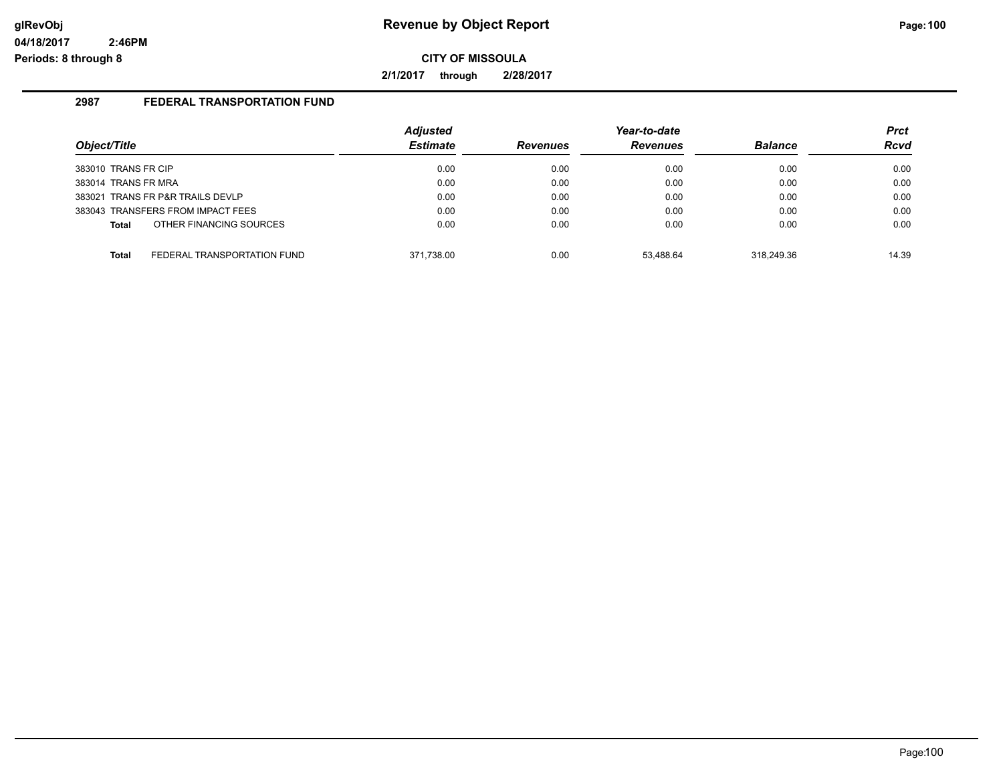**2/1/2017 through 2/28/2017**

| Object/Title                                | <b>Adjusted</b><br><b>Estimate</b> | <b>Revenues</b> | Year-to-date<br><b>Revenues</b> | <b>Balance</b> | <b>Prct</b><br><b>Rcvd</b> |
|---------------------------------------------|------------------------------------|-----------------|---------------------------------|----------------|----------------------------|
| 383010 TRANS FR CIP                         | 0.00                               | 0.00            | 0.00                            | 0.00           | 0.00                       |
| 383014 TRANS FR MRA                         | 0.00                               | 0.00            | 0.00                            | 0.00           | 0.00                       |
| 383021 TRANS FR P&R TRAILS DEVLP            | 0.00                               | 0.00            | 0.00                            | 0.00           | 0.00                       |
| 383043 TRANSFERS FROM IMPACT FEES           | 0.00                               | 0.00            | 0.00                            | 0.00           | 0.00                       |
| OTHER FINANCING SOURCES<br><b>Total</b>     | 0.00                               | 0.00            | 0.00                            | 0.00           | 0.00                       |
| <b>Total</b><br>FEDERAL TRANSPORTATION FUND | 371.738.00                         | 0.00            | 53.488.64                       | 318.249.36     | 14.39                      |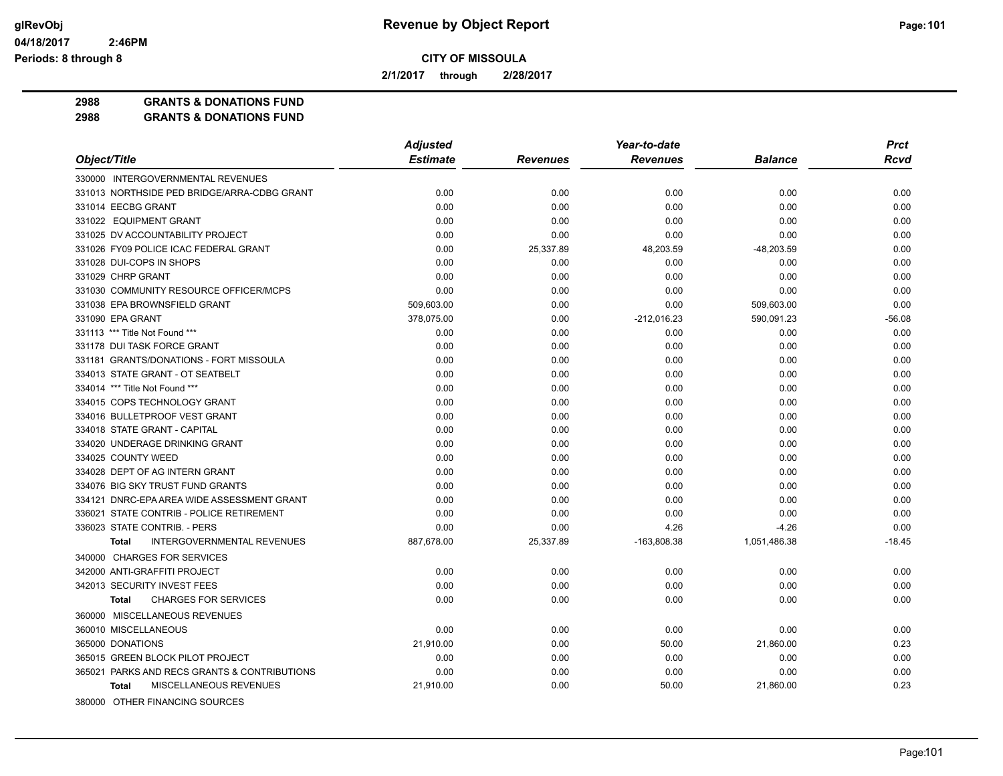**2/1/2017 through 2/28/2017**

**2988 GRANTS & DONATIONS FUND**

**2988 GRANTS & DONATIONS FUND**

| <b>Estimate</b><br>Object/Title<br><b>Revenues</b><br><b>Balance</b><br><b>Revenues</b><br>330000 INTERGOVERNMENTAL REVENUES<br>331013 NORTHSIDE PED BRIDGE/ARRA-CDBG GRANT<br>0.00<br>0.00<br>0.00<br>0.00<br>331014 EECBG GRANT<br>0.00<br>0.00<br>0.00<br>0.00<br>331022 EQUIPMENT GRANT<br>0.00<br>0.00<br>0.00<br>0.00<br>331025 DV ACCOUNTABILITY PROJECT<br>0.00<br>0.00<br>0.00<br>0.00<br>331026 FY09 POLICE ICAC FEDERAL GRANT<br>25,337.89<br>48,203.59<br>$-48,203.59$<br>0.00<br>331028 DUI-COPS IN SHOPS<br>0.00<br>0.00<br>0.00<br>0.00<br>331029 CHRP GRANT<br>0.00<br>0.00<br>0.00<br>0.00<br>331030 COMMUNITY RESOURCE OFFICER/MCPS<br>0.00<br>0.00<br>0.00<br>0.00<br>331038 EPA BROWNSFIELD GRANT<br>509,603.00<br>0.00<br>509,603.00<br>0.00<br>331090 EPA GRANT<br>378,075.00<br>590,091.23<br>0.00<br>$-212,016.23$<br>0.00<br>0.00<br>331113 *** Title Not Found ***<br>0.00<br>0.00<br>0.00<br>331178 DUI TASK FORCE GRANT<br>0.00<br>0.00<br>0.00<br>0.00<br>331181 GRANTS/DONATIONS - FORT MISSOULA<br>0.00<br>0.00<br>0.00<br>334013 STATE GRANT - OT SEATBELT<br>0.00<br>0.00<br>0.00<br>0.00<br>334014 *** Title Not Found ***<br>0.00<br>0.00<br>0.00<br>0.00<br>334015 COPS TECHNOLOGY GRANT<br>0.00<br>0.00<br>0.00<br>0.00<br>334016 BULLETPROOF VEST GRANT<br>0.00<br>0.00<br>0.00<br>0.00<br>334018 STATE GRANT - CAPITAL<br>0.00<br>0.00<br>0.00<br>0.00<br>334020 UNDERAGE DRINKING GRANT<br>0.00<br>0.00<br>0.00<br>0.00<br>334025 COUNTY WEED<br>0.00<br>0.00<br>0.00<br>0.00<br>334028 DEPT OF AG INTERN GRANT<br>0.00<br>0.00<br>0.00<br>0.00<br>334076 BIG SKY TRUST FUND GRANTS<br>0.00<br>0.00<br>0.00<br>0.00<br>334121 DNRC-EPA AREA WIDE ASSESSMENT GRANT<br>0.00<br>0.00<br>0.00<br>0.00<br>336021 STATE CONTRIB - POLICE RETIREMENT<br>0.00<br>0.00<br>0.00<br>0.00<br>336023 STATE CONTRIB. - PERS<br>0.00<br>0.00<br>4.26<br>$-4.26$<br>INTERGOVERNMENTAL REVENUES<br>887,678.00<br>25,337.89<br>-163,808.38<br>1,051,486.38<br>Total<br>340000 CHARGES FOR SERVICES<br>342000 ANTI-GRAFFITI PROJECT<br>0.00<br>0.00<br>0.00<br>0.00<br>0.00<br>342013 SECURITY INVEST FEES<br>0.00<br>0.00<br>0.00<br>0.00<br>0.00<br><b>CHARGES FOR SERVICES</b><br>0.00<br>0.00<br>0.00<br>0.00<br>0.00<br>Total<br>360000 MISCELLANEOUS REVENUES<br>360010 MISCELLANEOUS<br>0.00<br>0.00<br>0.00<br>0.00<br>0.00<br>365000 DONATIONS<br>21,910.00<br>0.00<br>50.00<br>21,860.00<br>0.23<br>365015 GREEN BLOCK PILOT PROJECT<br>0.00<br>0.00<br>0.00<br>0.00<br>0.00<br>365021 PARKS AND RECS GRANTS & CONTRIBUTIONS<br>0.00<br>0.00<br>0.00<br>0.00<br>0.00<br>MISCELLANEOUS REVENUES<br>0.00<br>50.00<br>0.23<br>21,910.00<br>21,860.00<br><b>Total</b> | <b>Adjusted</b> | Year-to-date | <b>Prct</b> |
|--------------------------------------------------------------------------------------------------------------------------------------------------------------------------------------------------------------------------------------------------------------------------------------------------------------------------------------------------------------------------------------------------------------------------------------------------------------------------------------------------------------------------------------------------------------------------------------------------------------------------------------------------------------------------------------------------------------------------------------------------------------------------------------------------------------------------------------------------------------------------------------------------------------------------------------------------------------------------------------------------------------------------------------------------------------------------------------------------------------------------------------------------------------------------------------------------------------------------------------------------------------------------------------------------------------------------------------------------------------------------------------------------------------------------------------------------------------------------------------------------------------------------------------------------------------------------------------------------------------------------------------------------------------------------------------------------------------------------------------------------------------------------------------------------------------------------------------------------------------------------------------------------------------------------------------------------------------------------------------------------------------------------------------------------------------------------------------------------------------------------------------------------------------------------------------------------------------------------------------------------------------------------------------------------------------------------------------------------------------------------------------------------------------------------------------------------------------------------------------------------------------------------------------------------------------------------------------------------------------------------------------------------------------------------------------------------|-----------------|--------------|-------------|
|                                                                                                                                                                                                                                                                                                                                                                                                                                                                                                                                                                                                                                                                                                                                                                                                                                                                                                                                                                                                                                                                                                                                                                                                                                                                                                                                                                                                                                                                                                                                                                                                                                                                                                                                                                                                                                                                                                                                                                                                                                                                                                                                                                                                                                                                                                                                                                                                                                                                                                                                                                                                                                                                                                  |                 |              | <b>Rcvd</b> |
|                                                                                                                                                                                                                                                                                                                                                                                                                                                                                                                                                                                                                                                                                                                                                                                                                                                                                                                                                                                                                                                                                                                                                                                                                                                                                                                                                                                                                                                                                                                                                                                                                                                                                                                                                                                                                                                                                                                                                                                                                                                                                                                                                                                                                                                                                                                                                                                                                                                                                                                                                                                                                                                                                                  |                 |              |             |
|                                                                                                                                                                                                                                                                                                                                                                                                                                                                                                                                                                                                                                                                                                                                                                                                                                                                                                                                                                                                                                                                                                                                                                                                                                                                                                                                                                                                                                                                                                                                                                                                                                                                                                                                                                                                                                                                                                                                                                                                                                                                                                                                                                                                                                                                                                                                                                                                                                                                                                                                                                                                                                                                                                  |                 |              | 0.00        |
|                                                                                                                                                                                                                                                                                                                                                                                                                                                                                                                                                                                                                                                                                                                                                                                                                                                                                                                                                                                                                                                                                                                                                                                                                                                                                                                                                                                                                                                                                                                                                                                                                                                                                                                                                                                                                                                                                                                                                                                                                                                                                                                                                                                                                                                                                                                                                                                                                                                                                                                                                                                                                                                                                                  |                 |              | 0.00        |
|                                                                                                                                                                                                                                                                                                                                                                                                                                                                                                                                                                                                                                                                                                                                                                                                                                                                                                                                                                                                                                                                                                                                                                                                                                                                                                                                                                                                                                                                                                                                                                                                                                                                                                                                                                                                                                                                                                                                                                                                                                                                                                                                                                                                                                                                                                                                                                                                                                                                                                                                                                                                                                                                                                  |                 |              | 0.00        |
|                                                                                                                                                                                                                                                                                                                                                                                                                                                                                                                                                                                                                                                                                                                                                                                                                                                                                                                                                                                                                                                                                                                                                                                                                                                                                                                                                                                                                                                                                                                                                                                                                                                                                                                                                                                                                                                                                                                                                                                                                                                                                                                                                                                                                                                                                                                                                                                                                                                                                                                                                                                                                                                                                                  |                 |              | 0.00        |
|                                                                                                                                                                                                                                                                                                                                                                                                                                                                                                                                                                                                                                                                                                                                                                                                                                                                                                                                                                                                                                                                                                                                                                                                                                                                                                                                                                                                                                                                                                                                                                                                                                                                                                                                                                                                                                                                                                                                                                                                                                                                                                                                                                                                                                                                                                                                                                                                                                                                                                                                                                                                                                                                                                  |                 |              | 0.00        |
|                                                                                                                                                                                                                                                                                                                                                                                                                                                                                                                                                                                                                                                                                                                                                                                                                                                                                                                                                                                                                                                                                                                                                                                                                                                                                                                                                                                                                                                                                                                                                                                                                                                                                                                                                                                                                                                                                                                                                                                                                                                                                                                                                                                                                                                                                                                                                                                                                                                                                                                                                                                                                                                                                                  |                 |              | 0.00        |
|                                                                                                                                                                                                                                                                                                                                                                                                                                                                                                                                                                                                                                                                                                                                                                                                                                                                                                                                                                                                                                                                                                                                                                                                                                                                                                                                                                                                                                                                                                                                                                                                                                                                                                                                                                                                                                                                                                                                                                                                                                                                                                                                                                                                                                                                                                                                                                                                                                                                                                                                                                                                                                                                                                  |                 |              | 0.00        |
|                                                                                                                                                                                                                                                                                                                                                                                                                                                                                                                                                                                                                                                                                                                                                                                                                                                                                                                                                                                                                                                                                                                                                                                                                                                                                                                                                                                                                                                                                                                                                                                                                                                                                                                                                                                                                                                                                                                                                                                                                                                                                                                                                                                                                                                                                                                                                                                                                                                                                                                                                                                                                                                                                                  |                 |              | 0.00        |
|                                                                                                                                                                                                                                                                                                                                                                                                                                                                                                                                                                                                                                                                                                                                                                                                                                                                                                                                                                                                                                                                                                                                                                                                                                                                                                                                                                                                                                                                                                                                                                                                                                                                                                                                                                                                                                                                                                                                                                                                                                                                                                                                                                                                                                                                                                                                                                                                                                                                                                                                                                                                                                                                                                  |                 |              | 0.00        |
|                                                                                                                                                                                                                                                                                                                                                                                                                                                                                                                                                                                                                                                                                                                                                                                                                                                                                                                                                                                                                                                                                                                                                                                                                                                                                                                                                                                                                                                                                                                                                                                                                                                                                                                                                                                                                                                                                                                                                                                                                                                                                                                                                                                                                                                                                                                                                                                                                                                                                                                                                                                                                                                                                                  |                 |              | $-56.08$    |
|                                                                                                                                                                                                                                                                                                                                                                                                                                                                                                                                                                                                                                                                                                                                                                                                                                                                                                                                                                                                                                                                                                                                                                                                                                                                                                                                                                                                                                                                                                                                                                                                                                                                                                                                                                                                                                                                                                                                                                                                                                                                                                                                                                                                                                                                                                                                                                                                                                                                                                                                                                                                                                                                                                  |                 |              | 0.00        |
|                                                                                                                                                                                                                                                                                                                                                                                                                                                                                                                                                                                                                                                                                                                                                                                                                                                                                                                                                                                                                                                                                                                                                                                                                                                                                                                                                                                                                                                                                                                                                                                                                                                                                                                                                                                                                                                                                                                                                                                                                                                                                                                                                                                                                                                                                                                                                                                                                                                                                                                                                                                                                                                                                                  |                 |              | 0.00        |
|                                                                                                                                                                                                                                                                                                                                                                                                                                                                                                                                                                                                                                                                                                                                                                                                                                                                                                                                                                                                                                                                                                                                                                                                                                                                                                                                                                                                                                                                                                                                                                                                                                                                                                                                                                                                                                                                                                                                                                                                                                                                                                                                                                                                                                                                                                                                                                                                                                                                                                                                                                                                                                                                                                  |                 |              | 0.00        |
|                                                                                                                                                                                                                                                                                                                                                                                                                                                                                                                                                                                                                                                                                                                                                                                                                                                                                                                                                                                                                                                                                                                                                                                                                                                                                                                                                                                                                                                                                                                                                                                                                                                                                                                                                                                                                                                                                                                                                                                                                                                                                                                                                                                                                                                                                                                                                                                                                                                                                                                                                                                                                                                                                                  |                 |              | 0.00        |
|                                                                                                                                                                                                                                                                                                                                                                                                                                                                                                                                                                                                                                                                                                                                                                                                                                                                                                                                                                                                                                                                                                                                                                                                                                                                                                                                                                                                                                                                                                                                                                                                                                                                                                                                                                                                                                                                                                                                                                                                                                                                                                                                                                                                                                                                                                                                                                                                                                                                                                                                                                                                                                                                                                  |                 |              | 0.00        |
|                                                                                                                                                                                                                                                                                                                                                                                                                                                                                                                                                                                                                                                                                                                                                                                                                                                                                                                                                                                                                                                                                                                                                                                                                                                                                                                                                                                                                                                                                                                                                                                                                                                                                                                                                                                                                                                                                                                                                                                                                                                                                                                                                                                                                                                                                                                                                                                                                                                                                                                                                                                                                                                                                                  |                 |              | 0.00        |
|                                                                                                                                                                                                                                                                                                                                                                                                                                                                                                                                                                                                                                                                                                                                                                                                                                                                                                                                                                                                                                                                                                                                                                                                                                                                                                                                                                                                                                                                                                                                                                                                                                                                                                                                                                                                                                                                                                                                                                                                                                                                                                                                                                                                                                                                                                                                                                                                                                                                                                                                                                                                                                                                                                  |                 |              | 0.00        |
|                                                                                                                                                                                                                                                                                                                                                                                                                                                                                                                                                                                                                                                                                                                                                                                                                                                                                                                                                                                                                                                                                                                                                                                                                                                                                                                                                                                                                                                                                                                                                                                                                                                                                                                                                                                                                                                                                                                                                                                                                                                                                                                                                                                                                                                                                                                                                                                                                                                                                                                                                                                                                                                                                                  |                 |              | 0.00        |
|                                                                                                                                                                                                                                                                                                                                                                                                                                                                                                                                                                                                                                                                                                                                                                                                                                                                                                                                                                                                                                                                                                                                                                                                                                                                                                                                                                                                                                                                                                                                                                                                                                                                                                                                                                                                                                                                                                                                                                                                                                                                                                                                                                                                                                                                                                                                                                                                                                                                                                                                                                                                                                                                                                  |                 |              | 0.00        |
|                                                                                                                                                                                                                                                                                                                                                                                                                                                                                                                                                                                                                                                                                                                                                                                                                                                                                                                                                                                                                                                                                                                                                                                                                                                                                                                                                                                                                                                                                                                                                                                                                                                                                                                                                                                                                                                                                                                                                                                                                                                                                                                                                                                                                                                                                                                                                                                                                                                                                                                                                                                                                                                                                                  |                 |              | 0.00        |
|                                                                                                                                                                                                                                                                                                                                                                                                                                                                                                                                                                                                                                                                                                                                                                                                                                                                                                                                                                                                                                                                                                                                                                                                                                                                                                                                                                                                                                                                                                                                                                                                                                                                                                                                                                                                                                                                                                                                                                                                                                                                                                                                                                                                                                                                                                                                                                                                                                                                                                                                                                                                                                                                                                  |                 |              | 0.00        |
|                                                                                                                                                                                                                                                                                                                                                                                                                                                                                                                                                                                                                                                                                                                                                                                                                                                                                                                                                                                                                                                                                                                                                                                                                                                                                                                                                                                                                                                                                                                                                                                                                                                                                                                                                                                                                                                                                                                                                                                                                                                                                                                                                                                                                                                                                                                                                                                                                                                                                                                                                                                                                                                                                                  |                 |              | 0.00        |
|                                                                                                                                                                                                                                                                                                                                                                                                                                                                                                                                                                                                                                                                                                                                                                                                                                                                                                                                                                                                                                                                                                                                                                                                                                                                                                                                                                                                                                                                                                                                                                                                                                                                                                                                                                                                                                                                                                                                                                                                                                                                                                                                                                                                                                                                                                                                                                                                                                                                                                                                                                                                                                                                                                  |                 |              | 0.00        |
|                                                                                                                                                                                                                                                                                                                                                                                                                                                                                                                                                                                                                                                                                                                                                                                                                                                                                                                                                                                                                                                                                                                                                                                                                                                                                                                                                                                                                                                                                                                                                                                                                                                                                                                                                                                                                                                                                                                                                                                                                                                                                                                                                                                                                                                                                                                                                                                                                                                                                                                                                                                                                                                                                                  |                 |              | 0.00        |
|                                                                                                                                                                                                                                                                                                                                                                                                                                                                                                                                                                                                                                                                                                                                                                                                                                                                                                                                                                                                                                                                                                                                                                                                                                                                                                                                                                                                                                                                                                                                                                                                                                                                                                                                                                                                                                                                                                                                                                                                                                                                                                                                                                                                                                                                                                                                                                                                                                                                                                                                                                                                                                                                                                  |                 |              | 0.00        |
|                                                                                                                                                                                                                                                                                                                                                                                                                                                                                                                                                                                                                                                                                                                                                                                                                                                                                                                                                                                                                                                                                                                                                                                                                                                                                                                                                                                                                                                                                                                                                                                                                                                                                                                                                                                                                                                                                                                                                                                                                                                                                                                                                                                                                                                                                                                                                                                                                                                                                                                                                                                                                                                                                                  |                 |              | $-18.45$    |
|                                                                                                                                                                                                                                                                                                                                                                                                                                                                                                                                                                                                                                                                                                                                                                                                                                                                                                                                                                                                                                                                                                                                                                                                                                                                                                                                                                                                                                                                                                                                                                                                                                                                                                                                                                                                                                                                                                                                                                                                                                                                                                                                                                                                                                                                                                                                                                                                                                                                                                                                                                                                                                                                                                  |                 |              |             |
|                                                                                                                                                                                                                                                                                                                                                                                                                                                                                                                                                                                                                                                                                                                                                                                                                                                                                                                                                                                                                                                                                                                                                                                                                                                                                                                                                                                                                                                                                                                                                                                                                                                                                                                                                                                                                                                                                                                                                                                                                                                                                                                                                                                                                                                                                                                                                                                                                                                                                                                                                                                                                                                                                                  |                 |              |             |
|                                                                                                                                                                                                                                                                                                                                                                                                                                                                                                                                                                                                                                                                                                                                                                                                                                                                                                                                                                                                                                                                                                                                                                                                                                                                                                                                                                                                                                                                                                                                                                                                                                                                                                                                                                                                                                                                                                                                                                                                                                                                                                                                                                                                                                                                                                                                                                                                                                                                                                                                                                                                                                                                                                  |                 |              |             |
|                                                                                                                                                                                                                                                                                                                                                                                                                                                                                                                                                                                                                                                                                                                                                                                                                                                                                                                                                                                                                                                                                                                                                                                                                                                                                                                                                                                                                                                                                                                                                                                                                                                                                                                                                                                                                                                                                                                                                                                                                                                                                                                                                                                                                                                                                                                                                                                                                                                                                                                                                                                                                                                                                                  |                 |              |             |
|                                                                                                                                                                                                                                                                                                                                                                                                                                                                                                                                                                                                                                                                                                                                                                                                                                                                                                                                                                                                                                                                                                                                                                                                                                                                                                                                                                                                                                                                                                                                                                                                                                                                                                                                                                                                                                                                                                                                                                                                                                                                                                                                                                                                                                                                                                                                                                                                                                                                                                                                                                                                                                                                                                  |                 |              |             |
|                                                                                                                                                                                                                                                                                                                                                                                                                                                                                                                                                                                                                                                                                                                                                                                                                                                                                                                                                                                                                                                                                                                                                                                                                                                                                                                                                                                                                                                                                                                                                                                                                                                                                                                                                                                                                                                                                                                                                                                                                                                                                                                                                                                                                                                                                                                                                                                                                                                                                                                                                                                                                                                                                                  |                 |              |             |
|                                                                                                                                                                                                                                                                                                                                                                                                                                                                                                                                                                                                                                                                                                                                                                                                                                                                                                                                                                                                                                                                                                                                                                                                                                                                                                                                                                                                                                                                                                                                                                                                                                                                                                                                                                                                                                                                                                                                                                                                                                                                                                                                                                                                                                                                                                                                                                                                                                                                                                                                                                                                                                                                                                  |                 |              |             |
|                                                                                                                                                                                                                                                                                                                                                                                                                                                                                                                                                                                                                                                                                                                                                                                                                                                                                                                                                                                                                                                                                                                                                                                                                                                                                                                                                                                                                                                                                                                                                                                                                                                                                                                                                                                                                                                                                                                                                                                                                                                                                                                                                                                                                                                                                                                                                                                                                                                                                                                                                                                                                                                                                                  |                 |              |             |
|                                                                                                                                                                                                                                                                                                                                                                                                                                                                                                                                                                                                                                                                                                                                                                                                                                                                                                                                                                                                                                                                                                                                                                                                                                                                                                                                                                                                                                                                                                                                                                                                                                                                                                                                                                                                                                                                                                                                                                                                                                                                                                                                                                                                                                                                                                                                                                                                                                                                                                                                                                                                                                                                                                  |                 |              |             |
|                                                                                                                                                                                                                                                                                                                                                                                                                                                                                                                                                                                                                                                                                                                                                                                                                                                                                                                                                                                                                                                                                                                                                                                                                                                                                                                                                                                                                                                                                                                                                                                                                                                                                                                                                                                                                                                                                                                                                                                                                                                                                                                                                                                                                                                                                                                                                                                                                                                                                                                                                                                                                                                                                                  |                 |              |             |
| 380000 OTHER FINANCING SOURCES                                                                                                                                                                                                                                                                                                                                                                                                                                                                                                                                                                                                                                                                                                                                                                                                                                                                                                                                                                                                                                                                                                                                                                                                                                                                                                                                                                                                                                                                                                                                                                                                                                                                                                                                                                                                                                                                                                                                                                                                                                                                                                                                                                                                                                                                                                                                                                                                                                                                                                                                                                                                                                                                   |                 |              |             |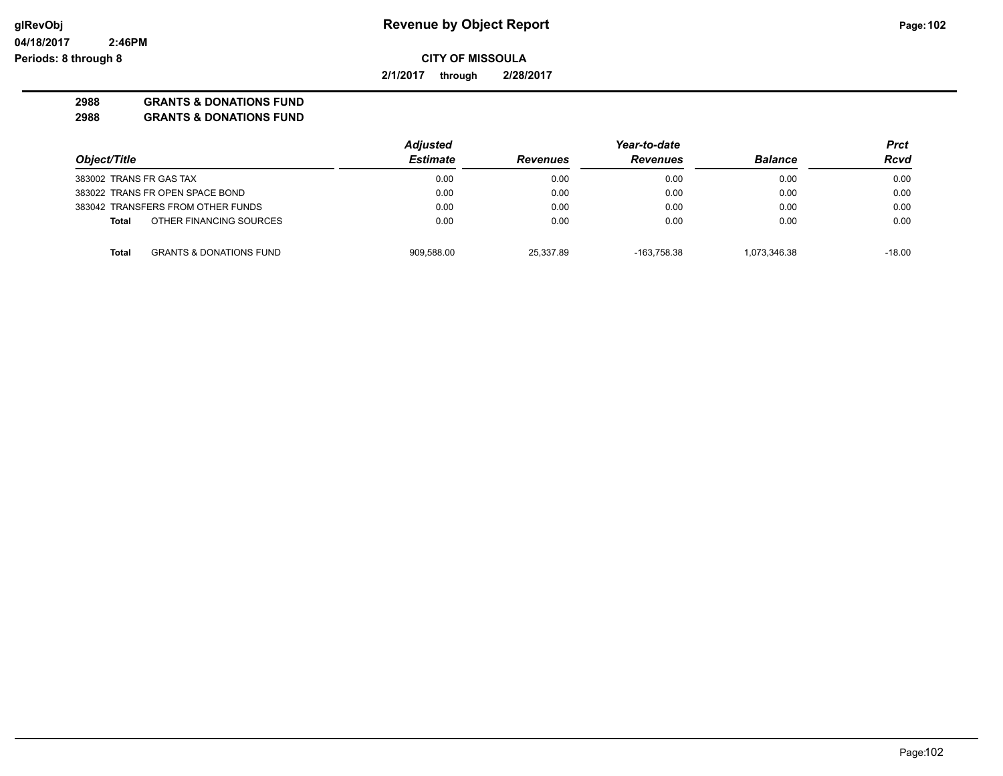**2/1/2017 through 2/28/2017**

**2988 GRANTS & DONATIONS FUND 2988 GRANTS & DONATIONS FUND**

|                                             | <b>Adjusted</b> |                 | Year-to-date    |                | Prct     |
|---------------------------------------------|-----------------|-----------------|-----------------|----------------|----------|
| Object/Title                                | <b>Estimate</b> | <b>Revenues</b> | <b>Revenues</b> | <b>Balance</b> | Rcvd     |
| 383002 TRANS FR GAS TAX                     | 0.00            | 0.00            | 0.00            | 0.00           | 0.00     |
| 383022 TRANS FR OPEN SPACE BOND             | 0.00            | 0.00            | 0.00            | 0.00           | 0.00     |
| 383042 TRANSFERS FROM OTHER FUNDS           | 0.00            | 0.00            | 0.00            | 0.00           | 0.00     |
| OTHER FINANCING SOURCES<br>Total            | 0.00            | 0.00            | 0.00            | 0.00           | 0.00     |
| <b>GRANTS &amp; DONATIONS FUND</b><br>Total | 909,588.00      | 25.337.89       | $-163.758.38$   | 1.073.346.38   | $-18.00$ |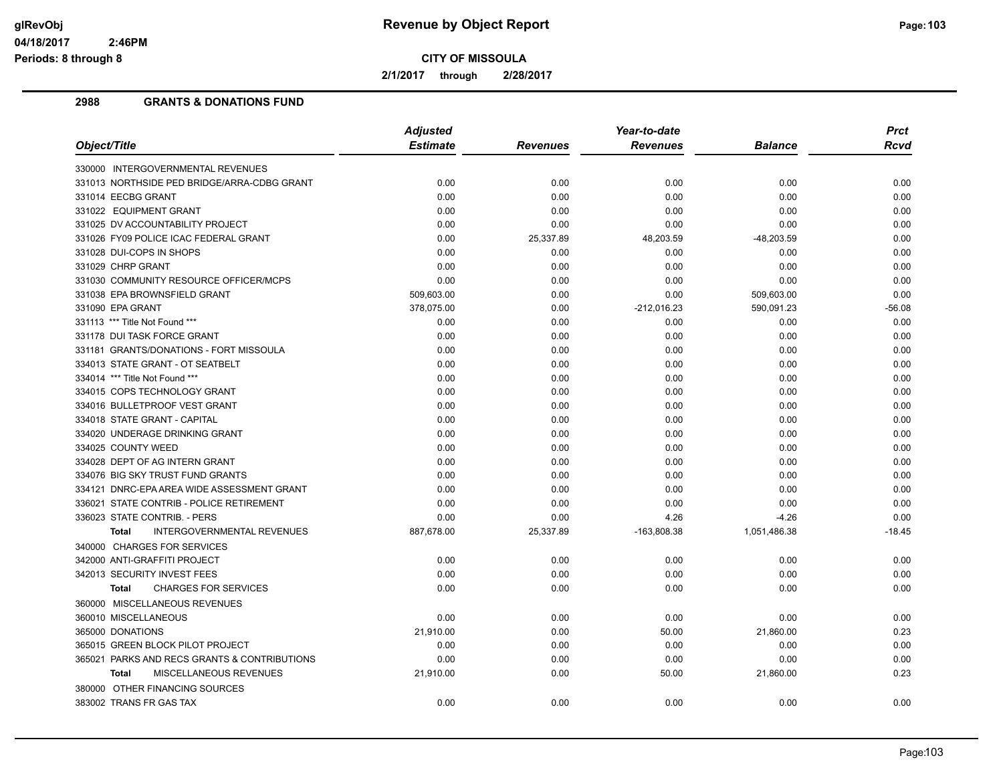**2/1/2017 through 2/28/2017**

#### **2988 GRANTS & DONATIONS FUND**

|                                                   | <b>Adjusted</b> |                 | Year-to-date    |                | <b>Prct</b> |
|---------------------------------------------------|-----------------|-----------------|-----------------|----------------|-------------|
| Object/Title                                      | <b>Estimate</b> | <b>Revenues</b> | <b>Revenues</b> | <b>Balance</b> | Rcvd        |
| 330000 INTERGOVERNMENTAL REVENUES                 |                 |                 |                 |                |             |
| 331013 NORTHSIDE PED BRIDGE/ARRA-CDBG GRANT       | 0.00            | 0.00            | 0.00            | 0.00           | 0.00        |
| 331014 EECBG GRANT                                | 0.00            | 0.00            | 0.00            | 0.00           | 0.00        |
| 331022 EQUIPMENT GRANT                            | 0.00            | 0.00            | 0.00            | 0.00           | 0.00        |
| 331025 DV ACCOUNTABILITY PROJECT                  | 0.00            | 0.00            | 0.00            | 0.00           | 0.00        |
| 331026 FY09 POLICE ICAC FEDERAL GRANT             | 0.00            | 25,337.89       | 48,203.59       | -48,203.59     | 0.00        |
| 331028 DUI-COPS IN SHOPS                          | 0.00            | 0.00            | 0.00            | 0.00           | 0.00        |
| 331029 CHRP GRANT                                 | 0.00            | 0.00            | 0.00            | 0.00           | 0.00        |
| 331030 COMMUNITY RESOURCE OFFICER/MCPS            | 0.00            | 0.00            | 0.00            | 0.00           | 0.00        |
| 331038 EPA BROWNSFIELD GRANT                      | 509,603.00      | 0.00            | 0.00            | 509,603.00     | 0.00        |
| 331090 EPA GRANT                                  | 378,075.00      | 0.00            | $-212,016.23$   | 590,091.23     | $-56.08$    |
| 331113 *** Title Not Found ***                    | 0.00            | 0.00            | 0.00            | 0.00           | 0.00        |
| 331178 DUI TASK FORCE GRANT                       | 0.00            | 0.00            | 0.00            | 0.00           | 0.00        |
| 331181 GRANTS/DONATIONS - FORT MISSOULA           | 0.00            | 0.00            | 0.00            | 0.00           | 0.00        |
| 334013 STATE GRANT - OT SEATBELT                  | 0.00            | 0.00            | 0.00            | 0.00           | 0.00        |
| 334014 *** Title Not Found ***                    | 0.00            | 0.00            | 0.00            | 0.00           | 0.00        |
| 334015 COPS TECHNOLOGY GRANT                      | 0.00            | 0.00            | 0.00            | 0.00           | 0.00        |
| 334016 BULLETPROOF VEST GRANT                     | 0.00            | 0.00            | 0.00            | 0.00           | 0.00        |
| 334018 STATE GRANT - CAPITAL                      | 0.00            | 0.00            | 0.00            | 0.00           | 0.00        |
| 334020 UNDERAGE DRINKING GRANT                    | 0.00            | 0.00            | 0.00            | 0.00           | 0.00        |
| 334025 COUNTY WEED                                | 0.00            | 0.00            | 0.00            | 0.00           | 0.00        |
| 334028 DEPT OF AG INTERN GRANT                    | 0.00            | 0.00            | 0.00            | 0.00           | 0.00        |
| 334076 BIG SKY TRUST FUND GRANTS                  | 0.00            | 0.00            | 0.00            | 0.00           | 0.00        |
| 334121 DNRC-EPA AREA WIDE ASSESSMENT GRANT        | 0.00            | 0.00            | 0.00            | 0.00           | 0.00        |
| 336021 STATE CONTRIB - POLICE RETIREMENT          | 0.00            | 0.00            | 0.00            | 0.00           | 0.00        |
| 336023 STATE CONTRIB. - PERS                      | 0.00            | 0.00            | 4.26            | $-4.26$        | 0.00        |
| <b>INTERGOVERNMENTAL REVENUES</b><br><b>Total</b> | 887,678.00      | 25,337.89       | $-163,808.38$   | 1,051,486.38   | $-18.45$    |
| 340000 CHARGES FOR SERVICES                       |                 |                 |                 |                |             |
| 342000 ANTI-GRAFFITI PROJECT                      | 0.00            | 0.00            | 0.00            | 0.00           | 0.00        |
| 342013 SECURITY INVEST FEES                       | 0.00            | 0.00            | 0.00            | 0.00           | 0.00        |
| <b>CHARGES FOR SERVICES</b><br>Total              | 0.00            | 0.00            | 0.00            | 0.00           | 0.00        |
| 360000 MISCELLANEOUS REVENUES                     |                 |                 |                 |                |             |
| 360010 MISCELLANEOUS                              | 0.00            | 0.00            | 0.00            | 0.00           | 0.00        |
| 365000 DONATIONS                                  | 21,910.00       | 0.00            | 50.00           | 21,860.00      | 0.23        |
| 365015 GREEN BLOCK PILOT PROJECT                  | 0.00            | 0.00            | 0.00            | 0.00           | 0.00        |
| 365021 PARKS AND RECS GRANTS & CONTRIBUTIONS      | 0.00            | 0.00            | 0.00            | 0.00           | 0.00        |
| MISCELLANEOUS REVENUES<br><b>Total</b>            | 21,910.00       | 0.00            | 50.00           | 21,860.00      | 0.23        |
| 380000 OTHER FINANCING SOURCES                    |                 |                 |                 |                |             |
| 383002 TRANS FR GAS TAX                           | 0.00            | 0.00            | 0.00            | 0.00           | 0.00        |
|                                                   |                 |                 |                 |                |             |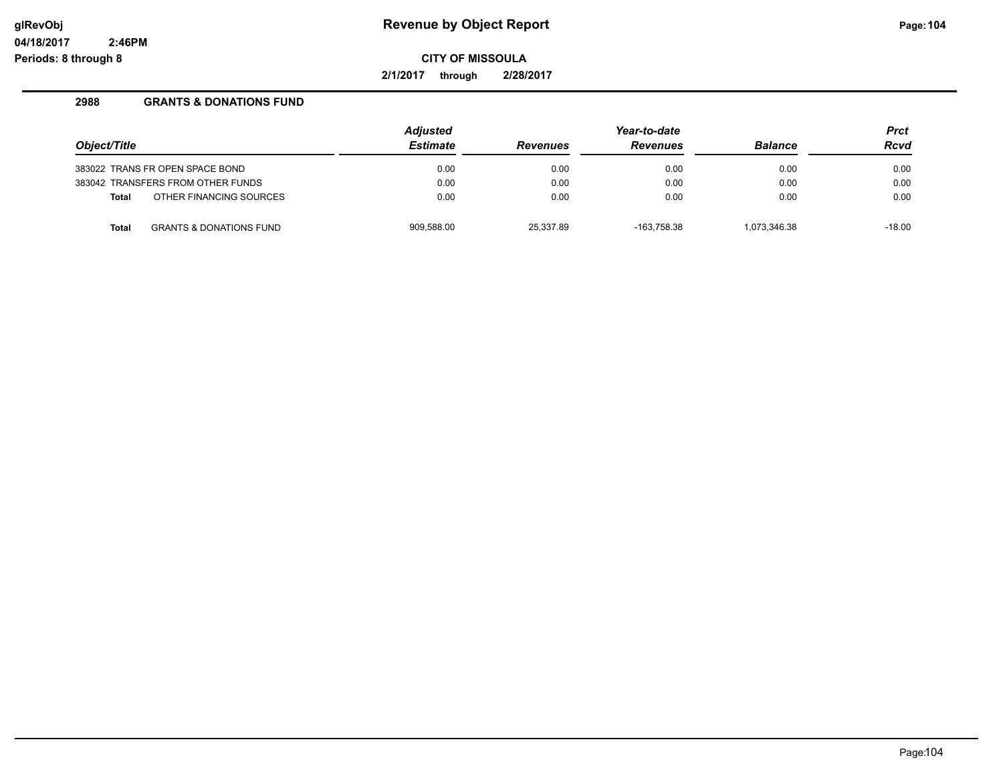**2/1/2017 through 2/28/2017**

#### **2988 GRANTS & DONATIONS FUND**

|              |                                    | <b>Adjusted</b> |                 |                 | <b>Prct</b>    |             |
|--------------|------------------------------------|-----------------|-----------------|-----------------|----------------|-------------|
| Object/Title |                                    | <b>Estimate</b> | <b>Revenues</b> | <b>Revenues</b> | <b>Balance</b> | <b>Rcvd</b> |
|              | 383022 TRANS FR OPEN SPACE BOND    | 0.00            | 0.00            | 0.00            | 0.00           | 0.00        |
|              | 383042 TRANSFERS FROM OTHER FUNDS  | 0.00            | 0.00            | 0.00            | 0.00           | 0.00        |
| <b>Total</b> | OTHER FINANCING SOURCES            | 0.00            | 0.00            | 0.00            | 0.00           | 0.00        |
| <b>Total</b> | <b>GRANTS &amp; DONATIONS FUND</b> | 909,588.00      | 25.337.89       | -163.758.38     | 1.073.346.38   | $-18.00$    |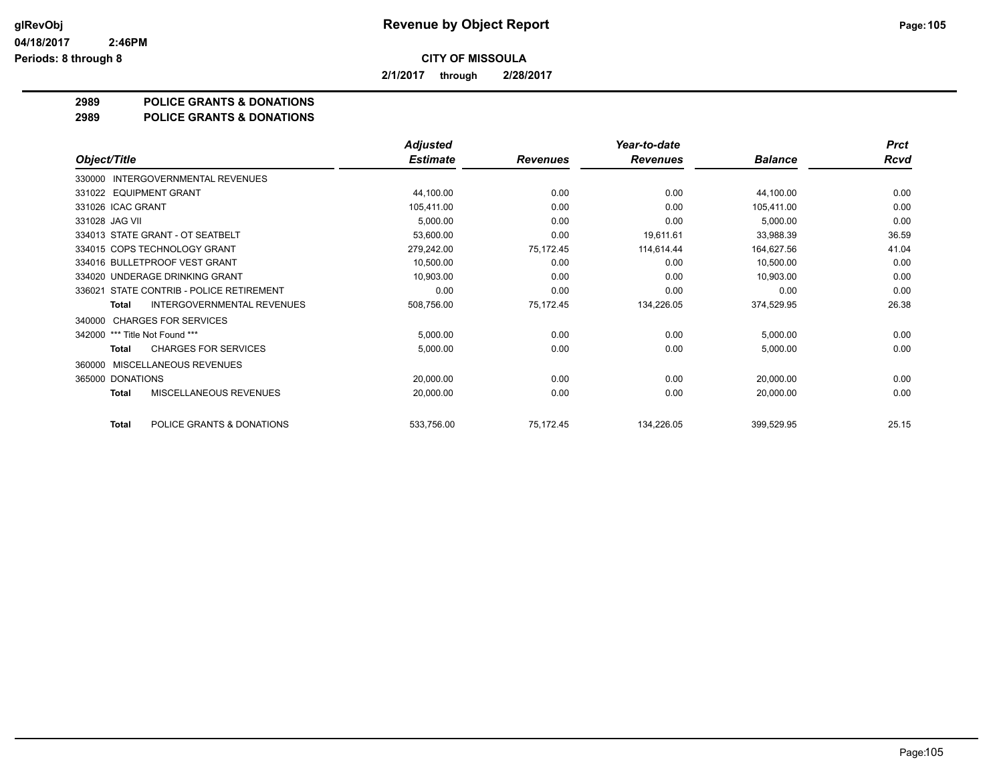*Prct Rcvd*

**CITY OF MISSOULA**

**2/1/2017 through 2/28/2017**

**2989 POLICE GRANTS & DONATIONS 2989 POLICE GRANTS & DONATIONS**

|                                                   | <b>Adjusted</b> |                 | Year-to-date    |                | <b>Prct</b> |
|---------------------------------------------------|-----------------|-----------------|-----------------|----------------|-------------|
| Object/Title                                      | <b>Estimate</b> | <b>Revenues</b> | <b>Revenues</b> | <b>Balance</b> | Rcvd        |
| 330000 INTERGOVERNMENTAL REVENUES                 |                 |                 |                 |                |             |
| 331022 EQUIPMENT GRANT                            | 44,100.00       | 0.00            | 0.00            | 44,100.00      | 0.00        |
| 331026 ICAC GRANT                                 | 105,411.00      | 0.00            | 0.00            | 105,411.00     | 0.00        |
| 331028 JAG VII                                    | 5.000.00        | 0.00            | 0.00            | 5.000.00       | 0.00        |
| 334013 STATE GRANT - OT SEATBELT                  | 53,600.00       | 0.00            | 19,611.61       | 33.988.39      | 36.59       |
| 334015 COPS TECHNOLOGY GRANT                      | 279,242.00      | 75,172.45       | 114,614.44      | 164,627.56     | 41.04       |
| 334016 BULLETPROOF VEST GRANT                     | 10.500.00       | 0.00            | 0.00            | 10,500.00      | 0.00        |
| 334020 UNDERAGE DRINKING GRANT                    | 10,903.00       | 0.00            | 0.00            | 10,903.00      | 0.00        |
| 336021 STATE CONTRIB - POLICE RETIREMENT          | 0.00            | 0.00            | 0.00            | 0.00           | 0.00        |
| <b>INTERGOVERNMENTAL REVENUES</b><br><b>Total</b> | 508,756.00      | 75,172.45       | 134,226.05      | 374.529.95     | 26.38       |
| 340000 CHARGES FOR SERVICES                       |                 |                 |                 |                |             |
| *** Title Not Found ***<br>342000                 | 5,000.00        | 0.00            | 0.00            | 5,000.00       | 0.00        |
| <b>CHARGES FOR SERVICES</b><br>Total              | 5,000.00        | 0.00            | 0.00            | 5,000.00       | 0.00        |
| MISCELLANEOUS REVENUES<br>360000                  |                 |                 |                 |                |             |
| 365000 DONATIONS                                  | 20,000.00       | 0.00            | 0.00            | 20,000.00      | 0.00        |
| <b>MISCELLANEOUS REVENUES</b><br><b>Total</b>     | 20,000.00       | 0.00            | 0.00            | 20,000.00      | 0.00        |
| POLICE GRANTS & DONATIONS<br><b>Total</b>         | 533,756.00      | 75,172.45       | 134,226.05      | 399,529.95     | 25.15       |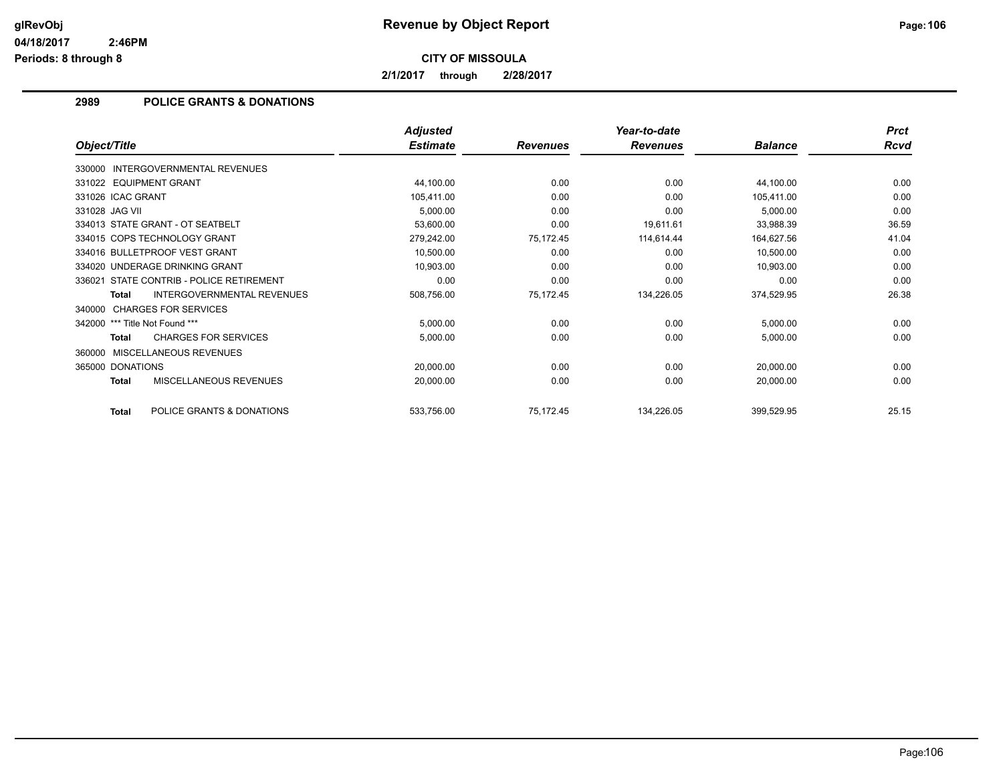**2/1/2017 through 2/28/2017**

#### **2989 POLICE GRANTS & DONATIONS**

|                                                   | <b>Adjusted</b> |                 | Year-to-date    |                | <b>Prct</b> |
|---------------------------------------------------|-----------------|-----------------|-----------------|----------------|-------------|
| Object/Title                                      | <b>Estimate</b> | <b>Revenues</b> | <b>Revenues</b> | <b>Balance</b> | Rcvd        |
| <b>INTERGOVERNMENTAL REVENUES</b><br>330000       |                 |                 |                 |                |             |
| 331022 EQUIPMENT GRANT                            | 44,100.00       | 0.00            | 0.00            | 44,100.00      | 0.00        |
| 331026 ICAC GRANT                                 | 105,411.00      | 0.00            | 0.00            | 105,411.00     | 0.00        |
| 331028 JAG VII                                    | 5,000.00        | 0.00            | 0.00            | 5,000.00       | 0.00        |
| 334013 STATE GRANT - OT SEATBELT                  | 53,600.00       | 0.00            | 19,611.61       | 33,988.39      | 36.59       |
| 334015 COPS TECHNOLOGY GRANT                      | 279,242.00      | 75,172.45       | 114,614.44      | 164,627.56     | 41.04       |
| 334016 BULLETPROOF VEST GRANT                     | 10,500.00       | 0.00            | 0.00            | 10,500.00      | 0.00        |
| 334020 UNDERAGE DRINKING GRANT                    | 10,903.00       | 0.00            | 0.00            | 10,903.00      | 0.00        |
| 336021 STATE CONTRIB - POLICE RETIREMENT          | 0.00            | 0.00            | 0.00            | 0.00           | 0.00        |
| <b>INTERGOVERNMENTAL REVENUES</b><br><b>Total</b> | 508,756.00      | 75,172.45       | 134,226.05      | 374,529.95     | 26.38       |
| 340000 CHARGES FOR SERVICES                       |                 |                 |                 |                |             |
| 342000 *** Title Not Found ***                    | 5,000.00        | 0.00            | 0.00            | 5,000.00       | 0.00        |
| <b>CHARGES FOR SERVICES</b><br><b>Total</b>       | 5,000.00        | 0.00            | 0.00            | 5,000.00       | 0.00        |
| MISCELLANEOUS REVENUES<br>360000                  |                 |                 |                 |                |             |
| 365000 DONATIONS                                  | 20,000.00       | 0.00            | 0.00            | 20,000.00      | 0.00        |
| MISCELLANEOUS REVENUES<br><b>Total</b>            | 20,000.00       | 0.00            | 0.00            | 20,000.00      | 0.00        |
| POLICE GRANTS & DONATIONS<br>Total                | 533,756.00      | 75,172.45       | 134,226.05      | 399,529.95     | 25.15       |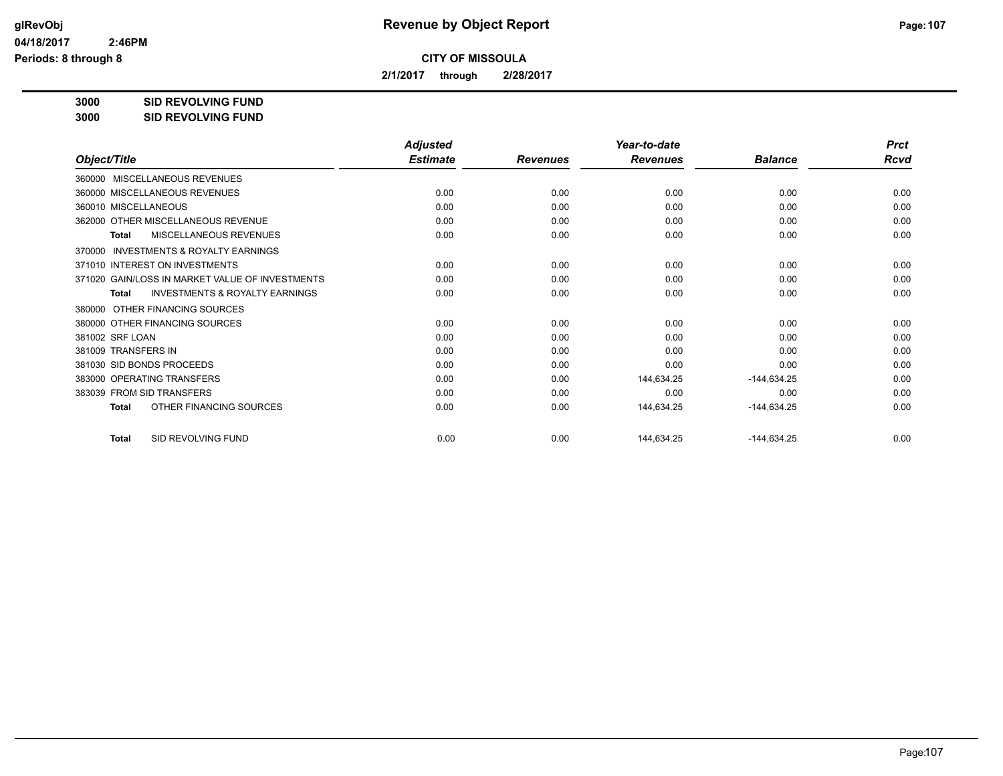**2/1/2017 through 2/28/2017**

**3000 SID REVOLVING FUND**

| 3000 | <b>SID REVOLVING FUND</b> |
|------|---------------------------|

|                                                           | <b>Adjusted</b> |                 | Year-to-date    |                | <b>Prct</b> |
|-----------------------------------------------------------|-----------------|-----------------|-----------------|----------------|-------------|
| Object/Title                                              | <b>Estimate</b> | <b>Revenues</b> | <b>Revenues</b> | <b>Balance</b> | Rcvd        |
| MISCELLANEOUS REVENUES<br>360000                          |                 |                 |                 |                |             |
| 360000 MISCELLANEOUS REVENUES                             | 0.00            | 0.00            | 0.00            | 0.00           | 0.00        |
| 360010 MISCELLANEOUS                                      | 0.00            | 0.00            | 0.00            | 0.00           | 0.00        |
| 362000 OTHER MISCELLANEOUS REVENUE                        | 0.00            | 0.00            | 0.00            | 0.00           | 0.00        |
| <b>MISCELLANEOUS REVENUES</b><br><b>Total</b>             | 0.00            | 0.00            | 0.00            | 0.00           | 0.00        |
| <b>INVESTMENTS &amp; ROYALTY EARNINGS</b><br>370000       |                 |                 |                 |                |             |
| 371010 INTEREST ON INVESTMENTS                            | 0.00            | 0.00            | 0.00            | 0.00           | 0.00        |
| 371020 GAIN/LOSS IN MARKET VALUE OF INVESTMENTS           | 0.00            | 0.00            | 0.00            | 0.00           | 0.00        |
| <b>INVESTMENTS &amp; ROYALTY EARNINGS</b><br><b>Total</b> | 0.00            | 0.00            | 0.00            | 0.00           | 0.00        |
| OTHER FINANCING SOURCES<br>380000                         |                 |                 |                 |                |             |
| 380000 OTHER FINANCING SOURCES                            | 0.00            | 0.00            | 0.00            | 0.00           | 0.00        |
| 381002 SRF LOAN                                           | 0.00            | 0.00            | 0.00            | 0.00           | 0.00        |
| 381009 TRANSFERS IN                                       | 0.00            | 0.00            | 0.00            | 0.00           | 0.00        |
| 381030 SID BONDS PROCEEDS                                 | 0.00            | 0.00            | 0.00            | 0.00           | 0.00        |
| 383000 OPERATING TRANSFERS                                | 0.00            | 0.00            | 144,634.25      | $-144,634.25$  | 0.00        |
| 383039 FROM SID TRANSFERS                                 | 0.00            | 0.00            | 0.00            | 0.00           | 0.00        |
| OTHER FINANCING SOURCES<br><b>Total</b>                   | 0.00            | 0.00            | 144,634.25      | $-144,634.25$  | 0.00        |
| SID REVOLVING FUND<br><b>Total</b>                        | 0.00            | 0.00            | 144,634.25      | $-144,634.25$  | 0.00        |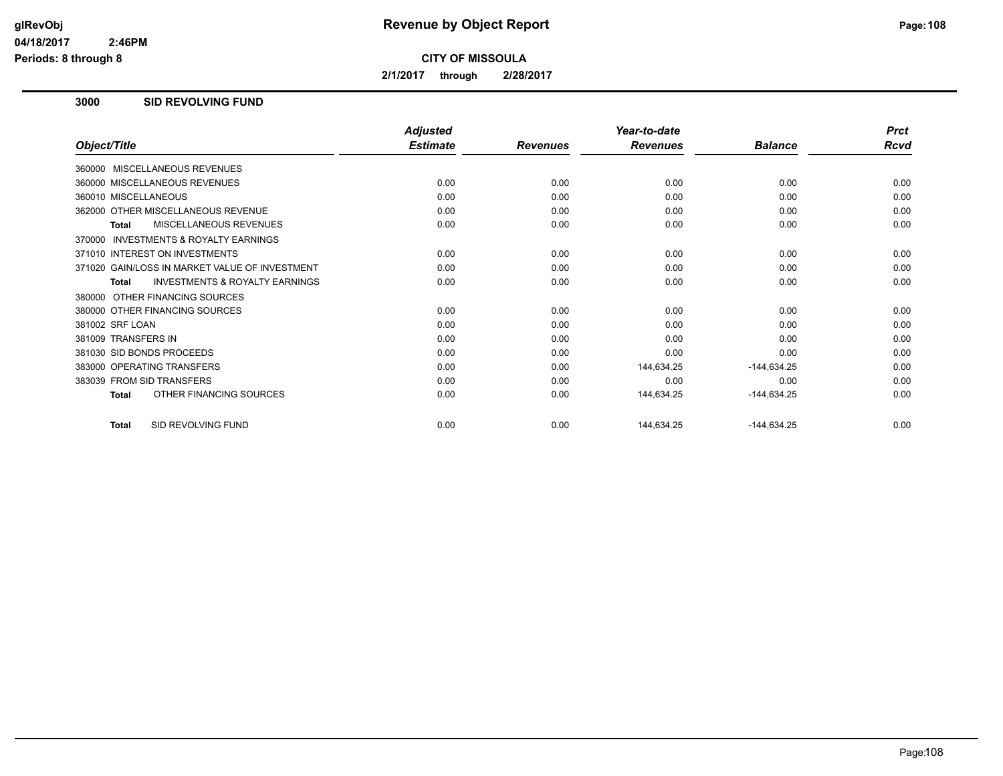**2/1/2017 through 2/28/2017**

#### **3000 SID REVOLVING FUND**

|                                                           | <b>Adjusted</b> |                 | Year-to-date    |                | <b>Prct</b> |
|-----------------------------------------------------------|-----------------|-----------------|-----------------|----------------|-------------|
| Object/Title                                              | <b>Estimate</b> | <b>Revenues</b> | <b>Revenues</b> | <b>Balance</b> | <b>Rcvd</b> |
| 360000 MISCELLANEOUS REVENUES                             |                 |                 |                 |                |             |
| 360000 MISCELLANEOUS REVENUES                             | 0.00            | 0.00            | 0.00            | 0.00           | 0.00        |
| 360010 MISCELLANEOUS                                      | 0.00            | 0.00            | 0.00            | 0.00           | 0.00        |
| 362000 OTHER MISCELLANEOUS REVENUE                        | 0.00            | 0.00            | 0.00            | 0.00           | 0.00        |
| MISCELLANEOUS REVENUES<br>Total                           | 0.00            | 0.00            | 0.00            | 0.00           | 0.00        |
| 370000 INVESTMENTS & ROYALTY EARNINGS                     |                 |                 |                 |                |             |
| 371010 INTEREST ON INVESTMENTS                            | 0.00            | 0.00            | 0.00            | 0.00           | 0.00        |
| 371020 GAIN/LOSS IN MARKET VALUE OF INVESTMENT            | 0.00            | 0.00            | 0.00            | 0.00           | 0.00        |
| <b>INVESTMENTS &amp; ROYALTY EARNINGS</b><br><b>Total</b> | 0.00            | 0.00            | 0.00            | 0.00           | 0.00        |
| 380000 OTHER FINANCING SOURCES                            |                 |                 |                 |                |             |
| 380000 OTHER FINANCING SOURCES                            | 0.00            | 0.00            | 0.00            | 0.00           | 0.00        |
| 381002 SRF LOAN                                           | 0.00            | 0.00            | 0.00            | 0.00           | 0.00        |
| 381009 TRANSFERS IN                                       | 0.00            | 0.00            | 0.00            | 0.00           | 0.00        |
| 381030 SID BONDS PROCEEDS                                 | 0.00            | 0.00            | 0.00            | 0.00           | 0.00        |
| 383000 OPERATING TRANSFERS                                | 0.00            | 0.00            | 144,634.25      | $-144,634.25$  | 0.00        |
| 383039 FROM SID TRANSFERS                                 | 0.00            | 0.00            | 0.00            | 0.00           | 0.00        |
| OTHER FINANCING SOURCES<br><b>Total</b>                   | 0.00            | 0.00            | 144,634.25      | $-144,634.25$  | 0.00        |
| SID REVOLVING FUND<br><b>Total</b>                        | 0.00            | 0.00            | 144,634.25      | $-144,634.25$  | 0.00        |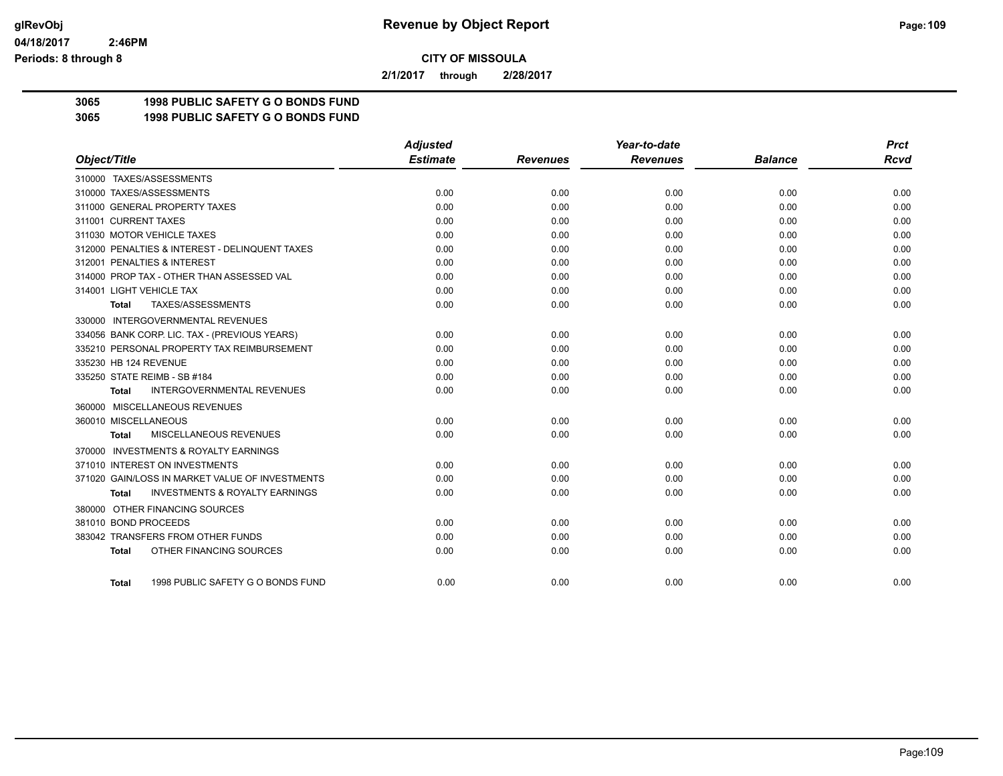**2/1/2017 through 2/28/2017**

# **3065 1998 PUBLIC SAFETY G O BONDS FUND**

**3065 1998 PUBLIC SAFETY G O BONDS FUND**

|                                                           | <b>Adjusted</b> |                 | Year-to-date    |                | <b>Prct</b> |
|-----------------------------------------------------------|-----------------|-----------------|-----------------|----------------|-------------|
| Object/Title                                              | <b>Estimate</b> | <b>Revenues</b> | <b>Revenues</b> | <b>Balance</b> | Rcvd        |
| 310000 TAXES/ASSESSMENTS                                  |                 |                 |                 |                |             |
| 310000 TAXES/ASSESSMENTS                                  | 0.00            | 0.00            | 0.00            | 0.00           | 0.00        |
| 311000 GENERAL PROPERTY TAXES                             | 0.00            | 0.00            | 0.00            | 0.00           | 0.00        |
| 311001 CURRENT TAXES                                      | 0.00            | 0.00            | 0.00            | 0.00           | 0.00        |
| 311030 MOTOR VEHICLE TAXES                                | 0.00            | 0.00            | 0.00            | 0.00           | 0.00        |
| 312000 PENALTIES & INTEREST - DELINQUENT TAXES            | 0.00            | 0.00            | 0.00            | 0.00           | 0.00        |
| 312001 PENALTIES & INTEREST                               | 0.00            | 0.00            | 0.00            | 0.00           | 0.00        |
| 314000 PROP TAX - OTHER THAN ASSESSED VAL                 | 0.00            | 0.00            | 0.00            | 0.00           | 0.00        |
| 314001 LIGHT VEHICLE TAX                                  | 0.00            | 0.00            | 0.00            | 0.00           | 0.00        |
| TAXES/ASSESSMENTS<br>Total                                | 0.00            | 0.00            | 0.00            | 0.00           | 0.00        |
| 330000 INTERGOVERNMENTAL REVENUES                         |                 |                 |                 |                |             |
| 334056 BANK CORP. LIC. TAX - (PREVIOUS YEARS)             | 0.00            | 0.00            | 0.00            | 0.00           | 0.00        |
| 335210 PERSONAL PROPERTY TAX REIMBURSEMENT                | 0.00            | 0.00            | 0.00            | 0.00           | 0.00        |
| 335230 HB 124 REVENUE                                     | 0.00            | 0.00            | 0.00            | 0.00           | 0.00        |
| 335250 STATE REIMB - SB #184                              | 0.00            | 0.00            | 0.00            | 0.00           | 0.00        |
| <b>INTERGOVERNMENTAL REVENUES</b><br><b>Total</b>         | 0.00            | 0.00            | 0.00            | 0.00           | 0.00        |
| 360000 MISCELLANEOUS REVENUES                             |                 |                 |                 |                |             |
| 360010 MISCELLANEOUS                                      | 0.00            | 0.00            | 0.00            | 0.00           | 0.00        |
| MISCELLANEOUS REVENUES<br>Total                           | 0.00            | 0.00            | 0.00            | 0.00           | 0.00        |
| 370000 INVESTMENTS & ROYALTY EARNINGS                     |                 |                 |                 |                |             |
| 371010 INTEREST ON INVESTMENTS                            | 0.00            | 0.00            | 0.00            | 0.00           | 0.00        |
| 371020 GAIN/LOSS IN MARKET VALUE OF INVESTMENTS           | 0.00            | 0.00            | 0.00            | 0.00           | 0.00        |
| <b>INVESTMENTS &amp; ROYALTY EARNINGS</b><br><b>Total</b> | 0.00            | 0.00            | 0.00            | 0.00           | 0.00        |
| 380000 OTHER FINANCING SOURCES                            |                 |                 |                 |                |             |
| 381010 BOND PROCEEDS                                      | 0.00            | 0.00            | 0.00            | 0.00           | 0.00        |
| 383042 TRANSFERS FROM OTHER FUNDS                         | 0.00            | 0.00            | 0.00            | 0.00           | 0.00        |
| OTHER FINANCING SOURCES<br><b>Total</b>                   | 0.00            | 0.00            | 0.00            | 0.00           | 0.00        |
|                                                           |                 |                 |                 |                |             |
| 1998 PUBLIC SAFETY G O BONDS FUND<br><b>Total</b>         | 0.00            | 0.00            | 0.00            | 0.00           | 0.00        |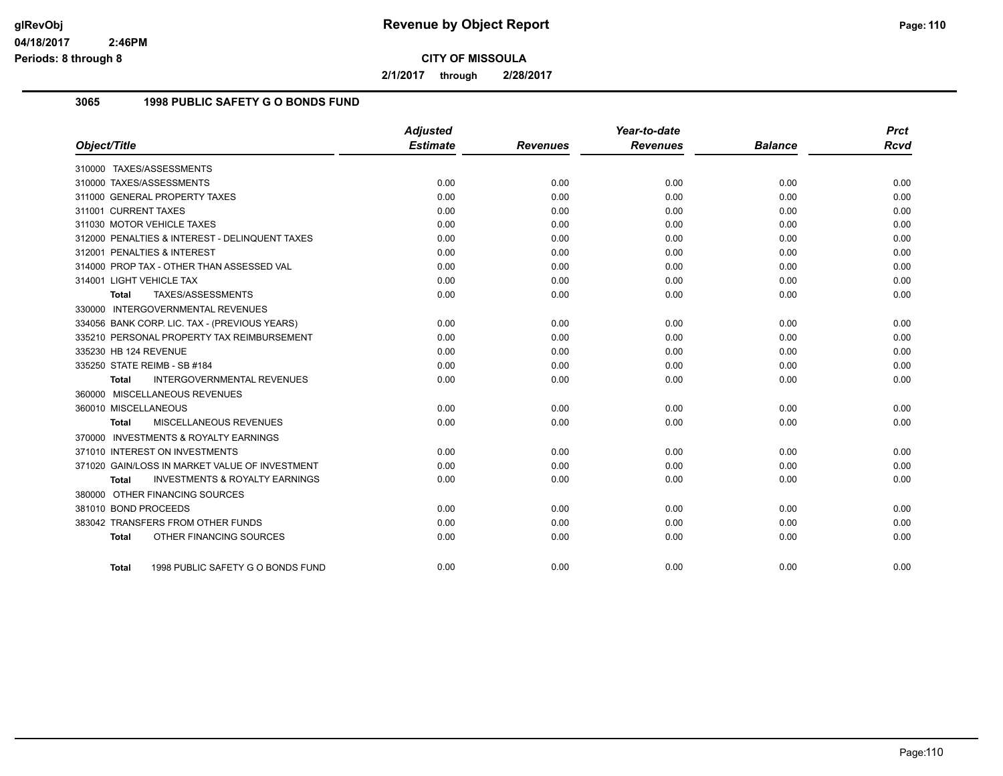**2/1/2017 through 2/28/2017**

#### **3065 1998 PUBLIC SAFETY G O BONDS FUND**

|                                                    | <b>Adjusted</b> |                 | Year-to-date    |                | <b>Prct</b> |
|----------------------------------------------------|-----------------|-----------------|-----------------|----------------|-------------|
| Object/Title                                       | <b>Estimate</b> | <b>Revenues</b> | <b>Revenues</b> | <b>Balance</b> | <b>Rcvd</b> |
| 310000 TAXES/ASSESSMENTS                           |                 |                 |                 |                |             |
| 310000 TAXES/ASSESSMENTS                           | 0.00            | 0.00            | 0.00            | 0.00           | 0.00        |
| 311000 GENERAL PROPERTY TAXES                      | 0.00            | 0.00            | 0.00            | 0.00           | 0.00        |
| 311001 CURRENT TAXES                               | 0.00            | 0.00            | 0.00            | 0.00           | 0.00        |
| 311030 MOTOR VEHICLE TAXES                         | 0.00            | 0.00            | 0.00            | 0.00           | 0.00        |
| 312000 PENALTIES & INTEREST - DELINQUENT TAXES     | 0.00            | 0.00            | 0.00            | 0.00           | 0.00        |
| 312001 PENALTIES & INTEREST                        | 0.00            | 0.00            | 0.00            | 0.00           | 0.00        |
| 314000 PROP TAX - OTHER THAN ASSESSED VAL          | 0.00            | 0.00            | 0.00            | 0.00           | 0.00        |
| 314001 LIGHT VEHICLE TAX                           | 0.00            | 0.00            | 0.00            | 0.00           | 0.00        |
| TAXES/ASSESSMENTS<br><b>Total</b>                  | 0.00            | 0.00            | 0.00            | 0.00           | 0.00        |
| 330000 INTERGOVERNMENTAL REVENUES                  |                 |                 |                 |                |             |
| 334056 BANK CORP. LIC. TAX - (PREVIOUS YEARS)      | 0.00            | 0.00            | 0.00            | 0.00           | 0.00        |
| 335210 PERSONAL PROPERTY TAX REIMBURSEMENT         | 0.00            | 0.00            | 0.00            | 0.00           | 0.00        |
| 335230 HB 124 REVENUE                              | 0.00            | 0.00            | 0.00            | 0.00           | 0.00        |
| 335250 STATE REIMB - SB #184                       | 0.00            | 0.00            | 0.00            | 0.00           | 0.00        |
| <b>INTERGOVERNMENTAL REVENUES</b><br><b>Total</b>  | 0.00            | 0.00            | 0.00            | 0.00           | 0.00        |
| 360000 MISCELLANEOUS REVENUES                      |                 |                 |                 |                |             |
| 360010 MISCELLANEOUS                               | 0.00            | 0.00            | 0.00            | 0.00           | 0.00        |
| MISCELLANEOUS REVENUES<br>Total                    | 0.00            | 0.00            | 0.00            | 0.00           | 0.00        |
| 370000 INVESTMENTS & ROYALTY EARNINGS              |                 |                 |                 |                |             |
| 371010 INTEREST ON INVESTMENTS                     | 0.00            | 0.00            | 0.00            | 0.00           | 0.00        |
| 371020 GAIN/LOSS IN MARKET VALUE OF INVESTMENT     | 0.00            | 0.00            | 0.00            | 0.00           | 0.00        |
| <b>INVESTMENTS &amp; ROYALTY EARNINGS</b><br>Total | 0.00            | 0.00            | 0.00            | 0.00           | 0.00        |
| 380000 OTHER FINANCING SOURCES                     |                 |                 |                 |                |             |
| 381010 BOND PROCEEDS                               | 0.00            | 0.00            | 0.00            | 0.00           | 0.00        |
| 383042 TRANSFERS FROM OTHER FUNDS                  | 0.00            | 0.00            | 0.00            | 0.00           | 0.00        |
| OTHER FINANCING SOURCES<br><b>Total</b>            | 0.00            | 0.00            | 0.00            | 0.00           | 0.00        |
| 1998 PUBLIC SAFETY G O BONDS FUND<br><b>Total</b>  | 0.00            | 0.00            | 0.00            | 0.00           | 0.00        |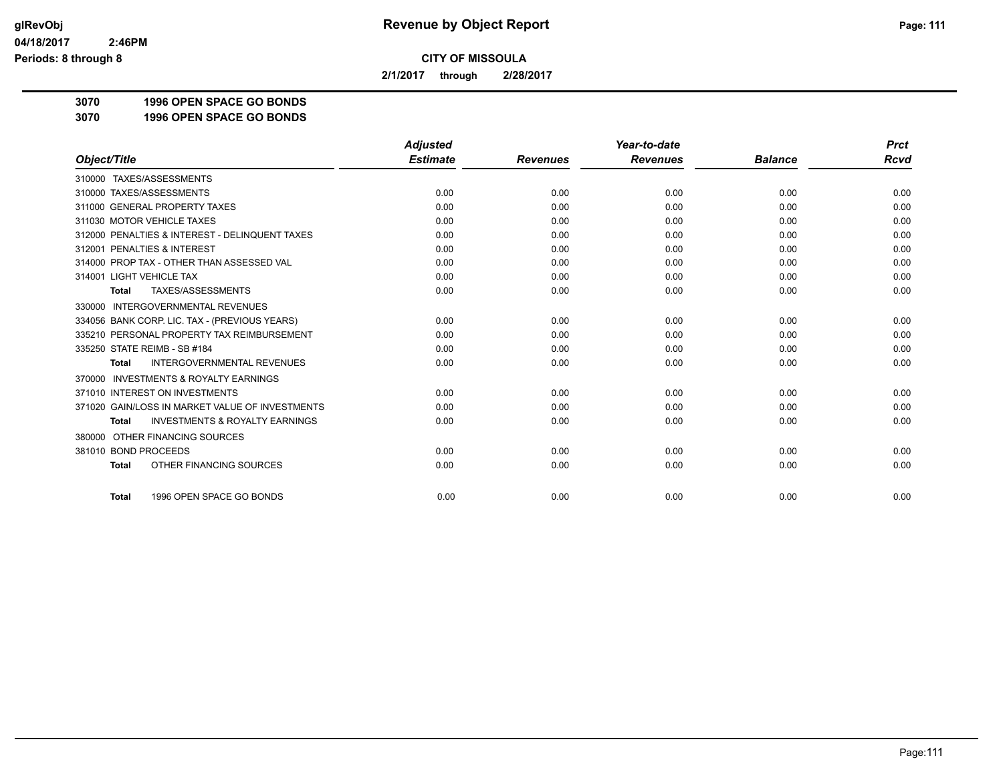**2/1/2017 through 2/28/2017**

**3070 1996 OPEN SPACE GO BONDS**

**3070 1996 OPEN SPACE GO BONDS**

|                                                           | <b>Adjusted</b> |                 | Year-to-date    |                | <b>Prct</b> |
|-----------------------------------------------------------|-----------------|-----------------|-----------------|----------------|-------------|
| Object/Title                                              | <b>Estimate</b> | <b>Revenues</b> | <b>Revenues</b> | <b>Balance</b> | Rcvd        |
| 310000 TAXES/ASSESSMENTS                                  |                 |                 |                 |                |             |
| 310000 TAXES/ASSESSMENTS                                  | 0.00            | 0.00            | 0.00            | 0.00           | 0.00        |
| 311000 GENERAL PROPERTY TAXES                             | 0.00            | 0.00            | 0.00            | 0.00           | 0.00        |
| 311030 MOTOR VEHICLE TAXES                                | 0.00            | 0.00            | 0.00            | 0.00           | 0.00        |
| 312000 PENALTIES & INTEREST - DELINQUENT TAXES            | 0.00            | 0.00            | 0.00            | 0.00           | 0.00        |
| 312001 PENALTIES & INTEREST                               | 0.00            | 0.00            | 0.00            | 0.00           | 0.00        |
| 314000 PROP TAX - OTHER THAN ASSESSED VAL                 | 0.00            | 0.00            | 0.00            | 0.00           | 0.00        |
| 314001 LIGHT VEHICLE TAX                                  | 0.00            | 0.00            | 0.00            | 0.00           | 0.00        |
| TAXES/ASSESSMENTS<br><b>Total</b>                         | 0.00            | 0.00            | 0.00            | 0.00           | 0.00        |
| 330000 INTERGOVERNMENTAL REVENUES                         |                 |                 |                 |                |             |
| 334056 BANK CORP. LIC. TAX - (PREVIOUS YEARS)             | 0.00            | 0.00            | 0.00            | 0.00           | 0.00        |
| 335210 PERSONAL PROPERTY TAX REIMBURSEMENT                | 0.00            | 0.00            | 0.00            | 0.00           | 0.00        |
| 335250 STATE REIMB - SB #184                              | 0.00            | 0.00            | 0.00            | 0.00           | 0.00        |
| <b>INTERGOVERNMENTAL REVENUES</b><br><b>Total</b>         | 0.00            | 0.00            | 0.00            | 0.00           | 0.00        |
| 370000 INVESTMENTS & ROYALTY EARNINGS                     |                 |                 |                 |                |             |
| 371010 INTEREST ON INVESTMENTS                            | 0.00            | 0.00            | 0.00            | 0.00           | 0.00        |
| 371020 GAIN/LOSS IN MARKET VALUE OF INVESTMENTS           | 0.00            | 0.00            | 0.00            | 0.00           | 0.00        |
| <b>INVESTMENTS &amp; ROYALTY EARNINGS</b><br><b>Total</b> | 0.00            | 0.00            | 0.00            | 0.00           | 0.00        |
| 380000 OTHER FINANCING SOURCES                            |                 |                 |                 |                |             |
| 381010 BOND PROCEEDS                                      | 0.00            | 0.00            | 0.00            | 0.00           | 0.00        |
| OTHER FINANCING SOURCES<br><b>Total</b>                   | 0.00            | 0.00            | 0.00            | 0.00           | 0.00        |
|                                                           |                 |                 |                 |                |             |
| 1996 OPEN SPACE GO BONDS<br><b>Total</b>                  | 0.00            | 0.00            | 0.00            | 0.00           | 0.00        |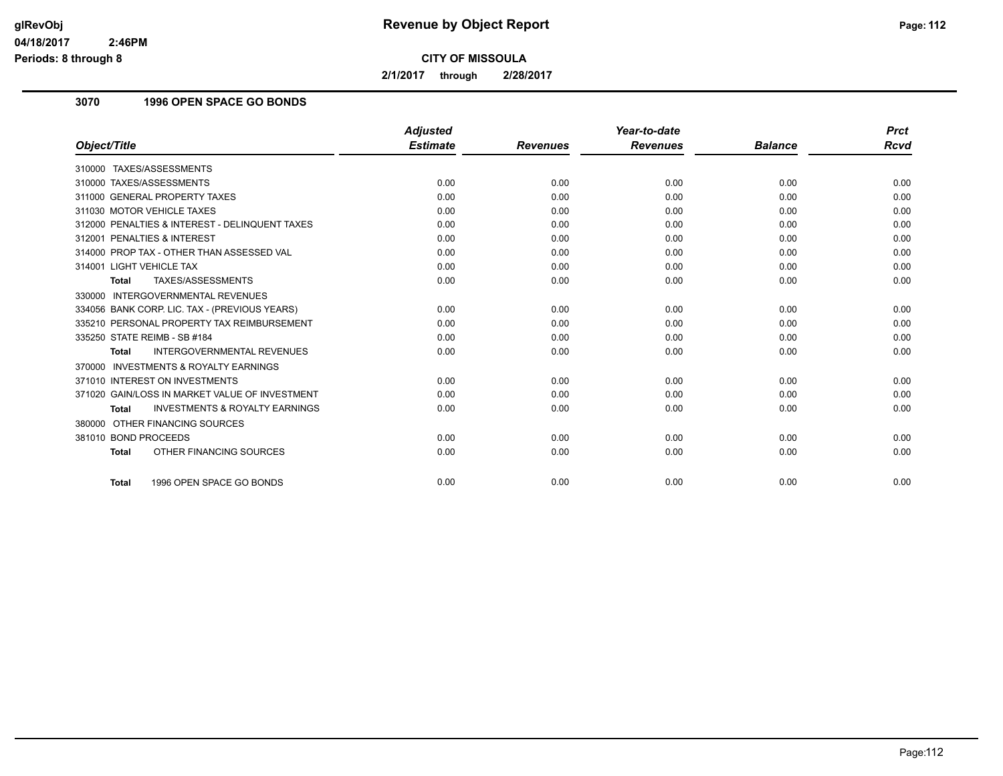**2/1/2017 through 2/28/2017**

#### **3070 1996 OPEN SPACE GO BONDS**

|                                                           | <b>Adjusted</b> |                 | Year-to-date    |                | <b>Prct</b> |
|-----------------------------------------------------------|-----------------|-----------------|-----------------|----------------|-------------|
| Object/Title                                              | <b>Estimate</b> | <b>Revenues</b> | <b>Revenues</b> | <b>Balance</b> | Rcvd        |
| 310000 TAXES/ASSESSMENTS                                  |                 |                 |                 |                |             |
| 310000 TAXES/ASSESSMENTS                                  | 0.00            | 0.00            | 0.00            | 0.00           | 0.00        |
| 311000 GENERAL PROPERTY TAXES                             | 0.00            | 0.00            | 0.00            | 0.00           | 0.00        |
| 311030 MOTOR VEHICLE TAXES                                | 0.00            | 0.00            | 0.00            | 0.00           | 0.00        |
| 312000 PENALTIES & INTEREST - DELINQUENT TAXES            | 0.00            | 0.00            | 0.00            | 0.00           | 0.00        |
| 312001 PENALTIES & INTEREST                               | 0.00            | 0.00            | 0.00            | 0.00           | 0.00        |
| 314000 PROP TAX - OTHER THAN ASSESSED VAL                 | 0.00            | 0.00            | 0.00            | 0.00           | 0.00        |
| 314001 LIGHT VEHICLE TAX                                  | 0.00            | 0.00            | 0.00            | 0.00           | 0.00        |
| TAXES/ASSESSMENTS<br><b>Total</b>                         | 0.00            | 0.00            | 0.00            | 0.00           | 0.00        |
| 330000 INTERGOVERNMENTAL REVENUES                         |                 |                 |                 |                |             |
| 334056 BANK CORP. LIC. TAX - (PREVIOUS YEARS)             | 0.00            | 0.00            | 0.00            | 0.00           | 0.00        |
| 335210 PERSONAL PROPERTY TAX REIMBURSEMENT                | 0.00            | 0.00            | 0.00            | 0.00           | 0.00        |
| 335250 STATE REIMB - SB #184                              | 0.00            | 0.00            | 0.00            | 0.00           | 0.00        |
| INTERGOVERNMENTAL REVENUES<br><b>Total</b>                | 0.00            | 0.00            | 0.00            | 0.00           | 0.00        |
| <b>INVESTMENTS &amp; ROYALTY EARNINGS</b><br>370000       |                 |                 |                 |                |             |
| 371010 INTEREST ON INVESTMENTS                            | 0.00            | 0.00            | 0.00            | 0.00           | 0.00        |
| 371020 GAIN/LOSS IN MARKET VALUE OF INVESTMENT            | 0.00            | 0.00            | 0.00            | 0.00           | 0.00        |
| <b>INVESTMENTS &amp; ROYALTY EARNINGS</b><br><b>Total</b> | 0.00            | 0.00            | 0.00            | 0.00           | 0.00        |
| 380000 OTHER FINANCING SOURCES                            |                 |                 |                 |                |             |
| 381010 BOND PROCEEDS                                      | 0.00            | 0.00            | 0.00            | 0.00           | 0.00        |
| OTHER FINANCING SOURCES<br><b>Total</b>                   | 0.00            | 0.00            | 0.00            | 0.00           | 0.00        |
| 1996 OPEN SPACE GO BONDS<br><b>Total</b>                  | 0.00            | 0.00            | 0.00            | 0.00           | 0.00        |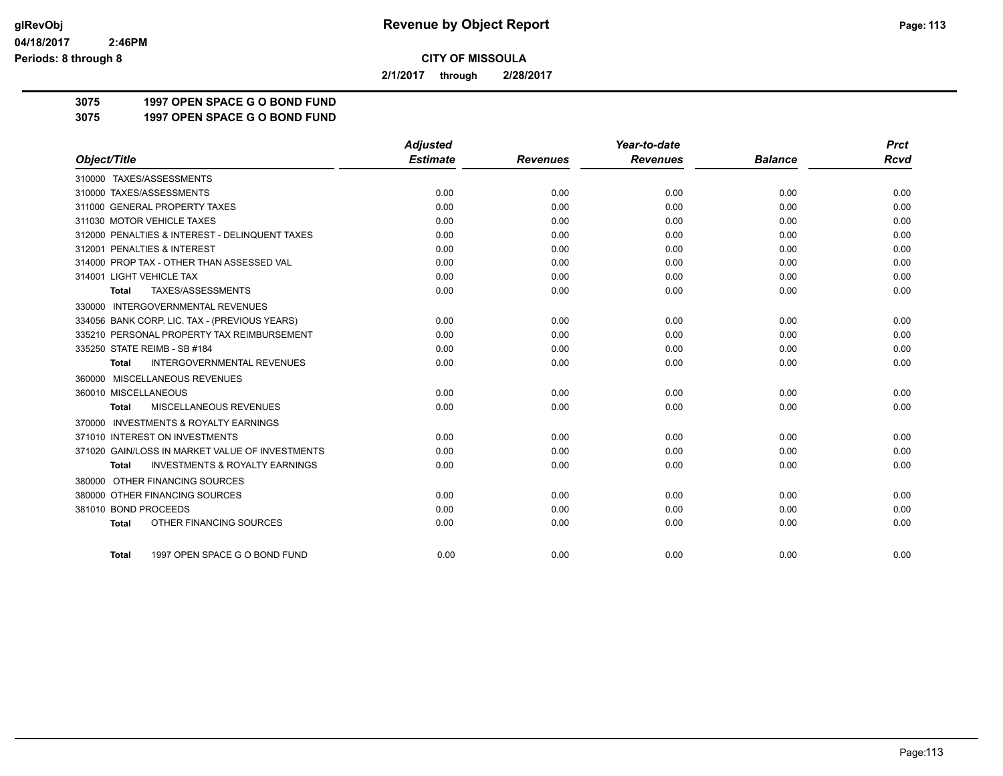**2/1/2017 through 2/28/2017**

# **3075 1997 OPEN SPACE G O BOND FUND**

**3075 1997 OPEN SPACE G O BOND FUND**

|                                                           | <b>Adjusted</b> |                 | Year-to-date    |                | <b>Prct</b> |
|-----------------------------------------------------------|-----------------|-----------------|-----------------|----------------|-------------|
| Object/Title                                              | <b>Estimate</b> | <b>Revenues</b> | <b>Revenues</b> | <b>Balance</b> | <b>Rcvd</b> |
| 310000 TAXES/ASSESSMENTS                                  |                 |                 |                 |                |             |
| 310000 TAXES/ASSESSMENTS                                  | 0.00            | 0.00            | 0.00            | 0.00           | 0.00        |
| 311000 GENERAL PROPERTY TAXES                             | 0.00            | 0.00            | 0.00            | 0.00           | 0.00        |
| 311030 MOTOR VEHICLE TAXES                                | 0.00            | 0.00            | 0.00            | 0.00           | 0.00        |
| 312000 PENALTIES & INTEREST - DELINQUENT TAXES            | 0.00            | 0.00            | 0.00            | 0.00           | 0.00        |
| 312001 PENALTIES & INTEREST                               | 0.00            | 0.00            | 0.00            | 0.00           | 0.00        |
| 314000 PROP TAX - OTHER THAN ASSESSED VAL                 | 0.00            | 0.00            | 0.00            | 0.00           | 0.00        |
| 314001 LIGHT VEHICLE TAX                                  | 0.00            | 0.00            | 0.00            | 0.00           | 0.00        |
| TAXES/ASSESSMENTS<br><b>Total</b>                         | 0.00            | 0.00            | 0.00            | 0.00           | 0.00        |
| 330000 INTERGOVERNMENTAL REVENUES                         |                 |                 |                 |                |             |
| 334056 BANK CORP. LIC. TAX - (PREVIOUS YEARS)             | 0.00            | 0.00            | 0.00            | 0.00           | 0.00        |
| 335210 PERSONAL PROPERTY TAX REIMBURSEMENT                | 0.00            | 0.00            | 0.00            | 0.00           | 0.00        |
| 335250 STATE REIMB - SB #184                              | 0.00            | 0.00            | 0.00            | 0.00           | 0.00        |
| <b>INTERGOVERNMENTAL REVENUES</b><br><b>Total</b>         | 0.00            | 0.00            | 0.00            | 0.00           | 0.00        |
| 360000 MISCELLANEOUS REVENUES                             |                 |                 |                 |                |             |
| 360010 MISCELLANEOUS                                      | 0.00            | 0.00            | 0.00            | 0.00           | 0.00        |
| MISCELLANEOUS REVENUES<br>Total                           | 0.00            | 0.00            | 0.00            | 0.00           | 0.00        |
| 370000 INVESTMENTS & ROYALTY EARNINGS                     |                 |                 |                 |                |             |
| 371010 INTEREST ON INVESTMENTS                            | 0.00            | 0.00            | 0.00            | 0.00           | 0.00        |
| 371020 GAIN/LOSS IN MARKET VALUE OF INVESTMENTS           | 0.00            | 0.00            | 0.00            | 0.00           | 0.00        |
| <b>INVESTMENTS &amp; ROYALTY EARNINGS</b><br><b>Total</b> | 0.00            | 0.00            | 0.00            | 0.00           | 0.00        |
| 380000 OTHER FINANCING SOURCES                            |                 |                 |                 |                |             |
| 380000 OTHER FINANCING SOURCES                            | 0.00            | 0.00            | 0.00            | 0.00           | 0.00        |
| 381010 BOND PROCEEDS                                      | 0.00            | 0.00            | 0.00            | 0.00           | 0.00        |
| OTHER FINANCING SOURCES<br><b>Total</b>                   | 0.00            | 0.00            | 0.00            | 0.00           | 0.00        |
| 1997 OPEN SPACE G O BOND FUND<br><b>Total</b>             | 0.00            | 0.00            | 0.00            | 0.00           | 0.00        |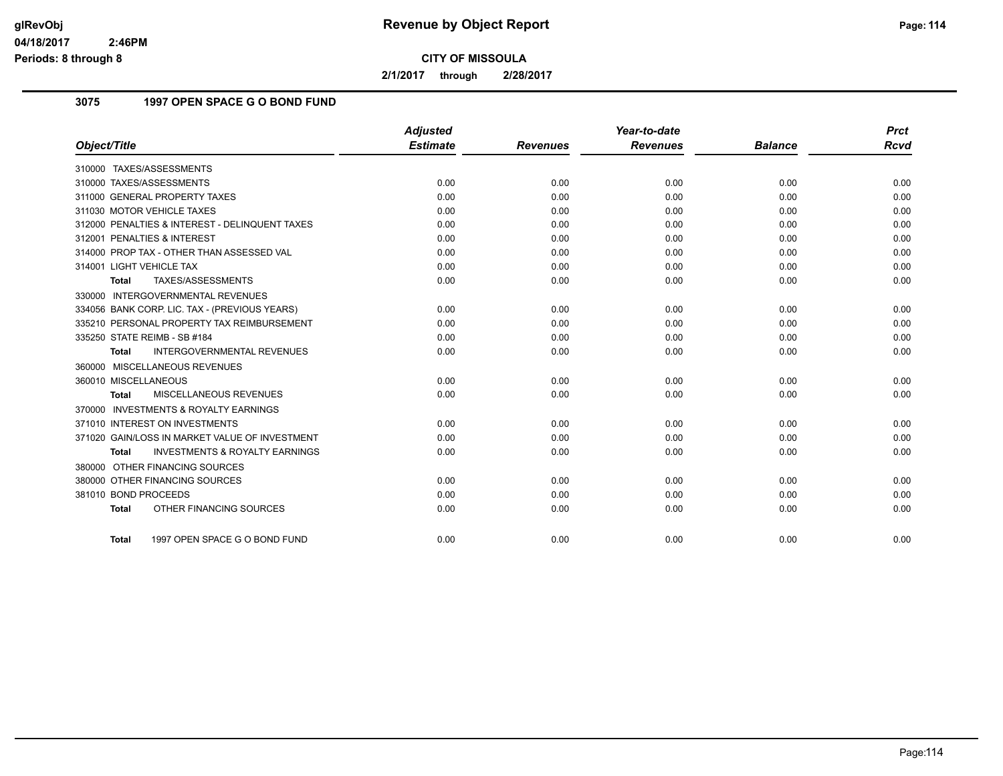**2/1/2017 through 2/28/2017**

#### **3075 1997 OPEN SPACE G O BOND FUND**

|                                                           | <b>Adjusted</b> |                 | Year-to-date    |                | <b>Prct</b> |
|-----------------------------------------------------------|-----------------|-----------------|-----------------|----------------|-------------|
| Object/Title                                              | <b>Estimate</b> | <b>Revenues</b> | <b>Revenues</b> | <b>Balance</b> | <b>Rcvd</b> |
| 310000 TAXES/ASSESSMENTS                                  |                 |                 |                 |                |             |
| 310000 TAXES/ASSESSMENTS                                  | 0.00            | 0.00            | 0.00            | 0.00           | 0.00        |
| 311000 GENERAL PROPERTY TAXES                             | 0.00            | 0.00            | 0.00            | 0.00           | 0.00        |
| 311030 MOTOR VEHICLE TAXES                                | 0.00            | 0.00            | 0.00            | 0.00           | 0.00        |
| 312000 PENALTIES & INTEREST - DELINQUENT TAXES            | 0.00            | 0.00            | 0.00            | 0.00           | 0.00        |
| 312001 PENALTIES & INTEREST                               | 0.00            | 0.00            | 0.00            | 0.00           | 0.00        |
| 314000 PROP TAX - OTHER THAN ASSESSED VAL                 | 0.00            | 0.00            | 0.00            | 0.00           | 0.00        |
| 314001 LIGHT VEHICLE TAX                                  | 0.00            | 0.00            | 0.00            | 0.00           | 0.00        |
| TAXES/ASSESSMENTS<br><b>Total</b>                         | 0.00            | 0.00            | 0.00            | 0.00           | 0.00        |
| 330000 INTERGOVERNMENTAL REVENUES                         |                 |                 |                 |                |             |
| 334056 BANK CORP. LIC. TAX - (PREVIOUS YEARS)             | 0.00            | 0.00            | 0.00            | 0.00           | 0.00        |
| 335210 PERSONAL PROPERTY TAX REIMBURSEMENT                | 0.00            | 0.00            | 0.00            | 0.00           | 0.00        |
| 335250 STATE REIMB - SB #184                              | 0.00            | 0.00            | 0.00            | 0.00           | 0.00        |
| <b>INTERGOVERNMENTAL REVENUES</b><br><b>Total</b>         | 0.00            | 0.00            | 0.00            | 0.00           | 0.00        |
| 360000 MISCELLANEOUS REVENUES                             |                 |                 |                 |                |             |
| 360010 MISCELLANEOUS                                      | 0.00            | 0.00            | 0.00            | 0.00           | 0.00        |
| MISCELLANEOUS REVENUES<br><b>Total</b>                    | 0.00            | 0.00            | 0.00            | 0.00           | 0.00        |
| 370000 INVESTMENTS & ROYALTY EARNINGS                     |                 |                 |                 |                |             |
| 371010 INTEREST ON INVESTMENTS                            | 0.00            | 0.00            | 0.00            | 0.00           | 0.00        |
| 371020 GAIN/LOSS IN MARKET VALUE OF INVESTMENT            | 0.00            | 0.00            | 0.00            | 0.00           | 0.00        |
| <b>INVESTMENTS &amp; ROYALTY EARNINGS</b><br><b>Total</b> | 0.00            | 0.00            | 0.00            | 0.00           | 0.00        |
| 380000 OTHER FINANCING SOURCES                            |                 |                 |                 |                |             |
| 380000 OTHER FINANCING SOURCES                            | 0.00            | 0.00            | 0.00            | 0.00           | 0.00        |
| 381010 BOND PROCEEDS                                      | 0.00            | 0.00            | 0.00            | 0.00           | 0.00        |
| OTHER FINANCING SOURCES<br><b>Total</b>                   | 0.00            | 0.00            | 0.00            | 0.00           | 0.00        |
| 1997 OPEN SPACE G O BOND FUND<br><b>Total</b>             | 0.00            | 0.00            | 0.00            | 0.00           | 0.00        |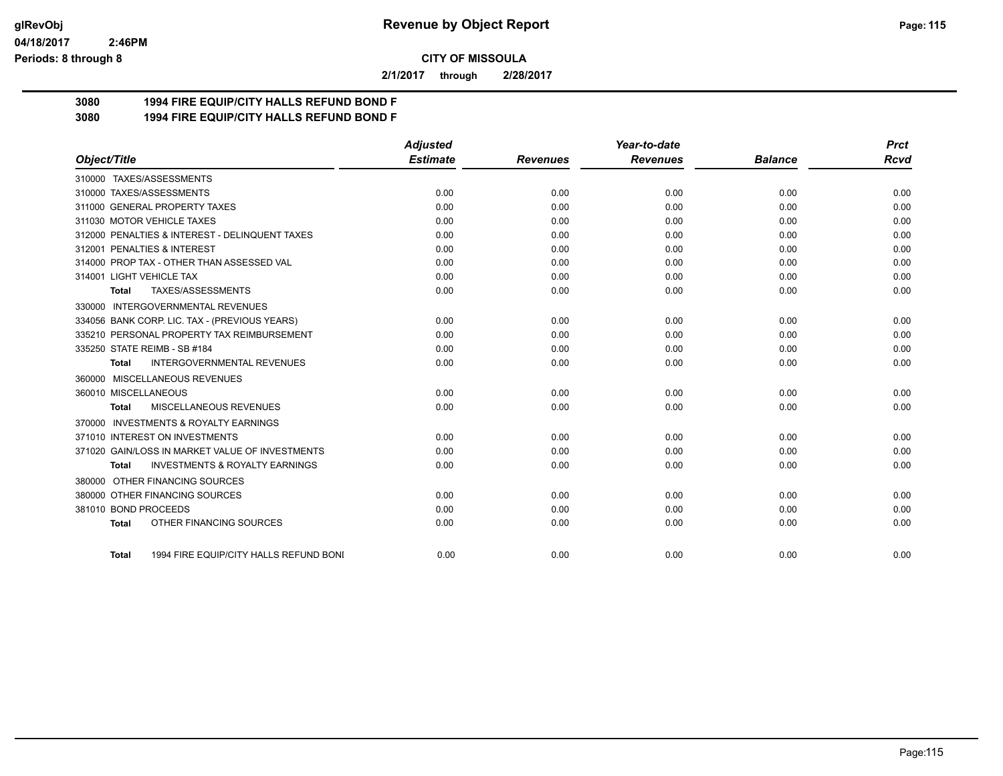**2/1/2017 through 2/28/2017**

# **3080 1994 FIRE EQUIP/CITY HALLS REFUND BOND F**

**3080 1994 FIRE EQUIP/CITY HALLS REFUND BOND F**

|                                                           | <b>Adjusted</b> |                 | Year-to-date    |                | <b>Prct</b> |
|-----------------------------------------------------------|-----------------|-----------------|-----------------|----------------|-------------|
| Object/Title                                              | <b>Estimate</b> | <b>Revenues</b> | <b>Revenues</b> | <b>Balance</b> | <b>Rcvd</b> |
| 310000 TAXES/ASSESSMENTS                                  |                 |                 |                 |                |             |
| 310000 TAXES/ASSESSMENTS                                  | 0.00            | 0.00            | 0.00            | 0.00           | 0.00        |
| 311000 GENERAL PROPERTY TAXES                             | 0.00            | 0.00            | 0.00            | 0.00           | 0.00        |
| 311030 MOTOR VEHICLE TAXES                                | 0.00            | 0.00            | 0.00            | 0.00           | 0.00        |
| 312000 PENALTIES & INTEREST - DELINQUENT TAXES            | 0.00            | 0.00            | 0.00            | 0.00           | 0.00        |
| 312001 PENALTIES & INTEREST                               | 0.00            | 0.00            | 0.00            | 0.00           | 0.00        |
| 314000 PROP TAX - OTHER THAN ASSESSED VAL                 | 0.00            | 0.00            | 0.00            | 0.00           | 0.00        |
| 314001 LIGHT VEHICLE TAX                                  | 0.00            | 0.00            | 0.00            | 0.00           | 0.00        |
| TAXES/ASSESSMENTS<br>Total                                | 0.00            | 0.00            | 0.00            | 0.00           | 0.00        |
| 330000 INTERGOVERNMENTAL REVENUES                         |                 |                 |                 |                |             |
| 334056 BANK CORP. LIC. TAX - (PREVIOUS YEARS)             | 0.00            | 0.00            | 0.00            | 0.00           | 0.00        |
| 335210 PERSONAL PROPERTY TAX REIMBURSEMENT                | 0.00            | 0.00            | 0.00            | 0.00           | 0.00        |
| 335250 STATE REIMB - SB #184                              | 0.00            | 0.00            | 0.00            | 0.00           | 0.00        |
| <b>INTERGOVERNMENTAL REVENUES</b><br><b>Total</b>         | 0.00            | 0.00            | 0.00            | 0.00           | 0.00        |
| 360000 MISCELLANEOUS REVENUES                             |                 |                 |                 |                |             |
| 360010 MISCELLANEOUS                                      | 0.00            | 0.00            | 0.00            | 0.00           | 0.00        |
| MISCELLANEOUS REVENUES<br><b>Total</b>                    | 0.00            | 0.00            | 0.00            | 0.00           | 0.00        |
| 370000 INVESTMENTS & ROYALTY EARNINGS                     |                 |                 |                 |                |             |
| 371010 INTEREST ON INVESTMENTS                            | 0.00            | 0.00            | 0.00            | 0.00           | 0.00        |
| 371020 GAIN/LOSS IN MARKET VALUE OF INVESTMENTS           | 0.00            | 0.00            | 0.00            | 0.00           | 0.00        |
| <b>INVESTMENTS &amp; ROYALTY EARNINGS</b><br><b>Total</b> | 0.00            | 0.00            | 0.00            | 0.00           | 0.00        |
| 380000 OTHER FINANCING SOURCES                            |                 |                 |                 |                |             |
| 380000 OTHER FINANCING SOURCES                            | 0.00            | 0.00            | 0.00            | 0.00           | 0.00        |
| 381010 BOND PROCEEDS                                      | 0.00            | 0.00            | 0.00            | 0.00           | 0.00        |
| OTHER FINANCING SOURCES<br><b>Total</b>                   | 0.00            | 0.00            | 0.00            | 0.00           | 0.00        |
|                                                           |                 |                 |                 |                |             |
| 1994 FIRE EQUIP/CITY HALLS REFUND BONI<br>Total           | 0.00            | 0.00            | 0.00            | 0.00           | 0.00        |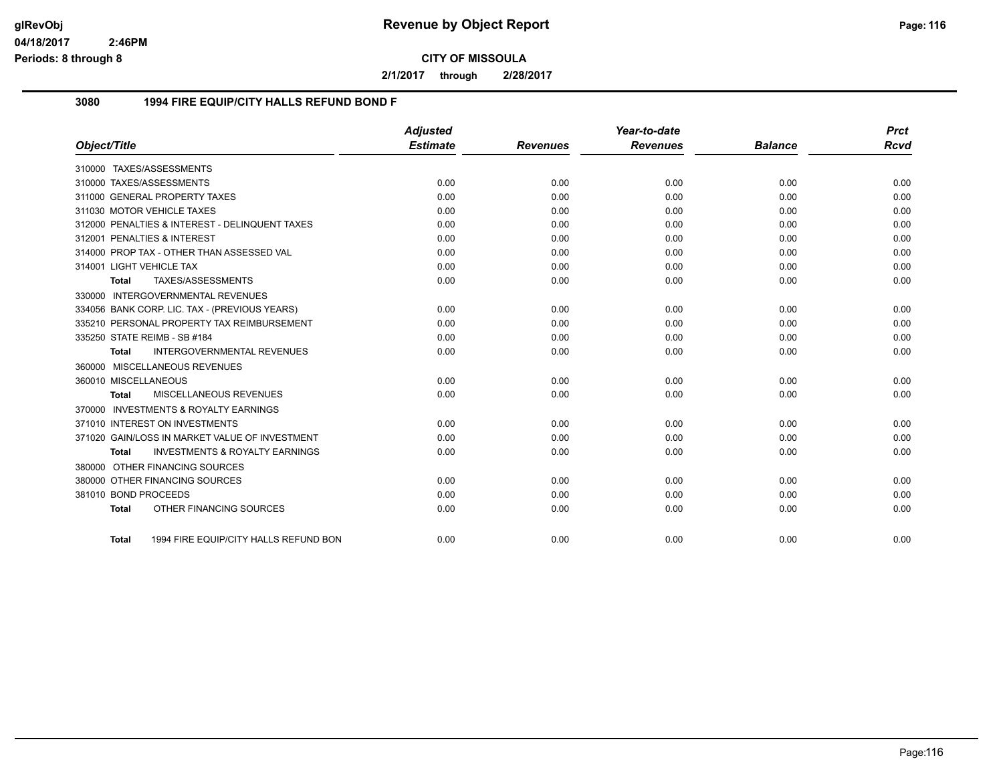**2/1/2017 through 2/28/2017**

#### **3080 1994 FIRE EQUIP/CITY HALLS REFUND BOND F**

|                                                           | <b>Adjusted</b> |                 | Year-to-date    |                | <b>Prct</b> |
|-----------------------------------------------------------|-----------------|-----------------|-----------------|----------------|-------------|
| Object/Title                                              | <b>Estimate</b> | <b>Revenues</b> | <b>Revenues</b> | <b>Balance</b> | Rcvd        |
| 310000 TAXES/ASSESSMENTS                                  |                 |                 |                 |                |             |
| 310000 TAXES/ASSESSMENTS                                  | 0.00            | 0.00            | 0.00            | 0.00           | 0.00        |
| 311000 GENERAL PROPERTY TAXES                             | 0.00            | 0.00            | 0.00            | 0.00           | 0.00        |
| 311030 MOTOR VEHICLE TAXES                                | 0.00            | 0.00            | 0.00            | 0.00           | 0.00        |
| 312000 PENALTIES & INTEREST - DELINQUENT TAXES            | 0.00            | 0.00            | 0.00            | 0.00           | 0.00        |
| 312001 PENALTIES & INTEREST                               | 0.00            | 0.00            | 0.00            | 0.00           | 0.00        |
| 314000 PROP TAX - OTHER THAN ASSESSED VAL                 | 0.00            | 0.00            | 0.00            | 0.00           | 0.00        |
| 314001 LIGHT VEHICLE TAX                                  | 0.00            | 0.00            | 0.00            | 0.00           | 0.00        |
| TAXES/ASSESSMENTS<br><b>Total</b>                         | 0.00            | 0.00            | 0.00            | 0.00           | 0.00        |
| 330000 INTERGOVERNMENTAL REVENUES                         |                 |                 |                 |                |             |
| 334056 BANK CORP. LIC. TAX - (PREVIOUS YEARS)             | 0.00            | 0.00            | 0.00            | 0.00           | 0.00        |
| 335210 PERSONAL PROPERTY TAX REIMBURSEMENT                | 0.00            | 0.00            | 0.00            | 0.00           | 0.00        |
| 335250 STATE REIMB - SB #184                              | 0.00            | 0.00            | 0.00            | 0.00           | 0.00        |
| <b>INTERGOVERNMENTAL REVENUES</b><br><b>Total</b>         | 0.00            | 0.00            | 0.00            | 0.00           | 0.00        |
| 360000 MISCELLANEOUS REVENUES                             |                 |                 |                 |                |             |
| 360010 MISCELLANEOUS                                      | 0.00            | 0.00            | 0.00            | 0.00           | 0.00        |
| MISCELLANEOUS REVENUES<br><b>Total</b>                    | 0.00            | 0.00            | 0.00            | 0.00           | 0.00        |
| 370000 INVESTMENTS & ROYALTY EARNINGS                     |                 |                 |                 |                |             |
| 371010 INTEREST ON INVESTMENTS                            | 0.00            | 0.00            | 0.00            | 0.00           | 0.00        |
| 371020 GAIN/LOSS IN MARKET VALUE OF INVESTMENT            | 0.00            | 0.00            | 0.00            | 0.00           | 0.00        |
| <b>INVESTMENTS &amp; ROYALTY EARNINGS</b><br><b>Total</b> | 0.00            | 0.00            | 0.00            | 0.00           | 0.00        |
| 380000 OTHER FINANCING SOURCES                            |                 |                 |                 |                |             |
| 380000 OTHER FINANCING SOURCES                            | 0.00            | 0.00            | 0.00            | 0.00           | 0.00        |
| 381010 BOND PROCEEDS                                      | 0.00            | 0.00            | 0.00            | 0.00           | 0.00        |
| OTHER FINANCING SOURCES<br><b>Total</b>                   | 0.00            | 0.00            | 0.00            | 0.00           | 0.00        |
| 1994 FIRE EQUIP/CITY HALLS REFUND BON<br><b>Total</b>     | 0.00            | 0.00            | 0.00            | 0.00           | 0.00        |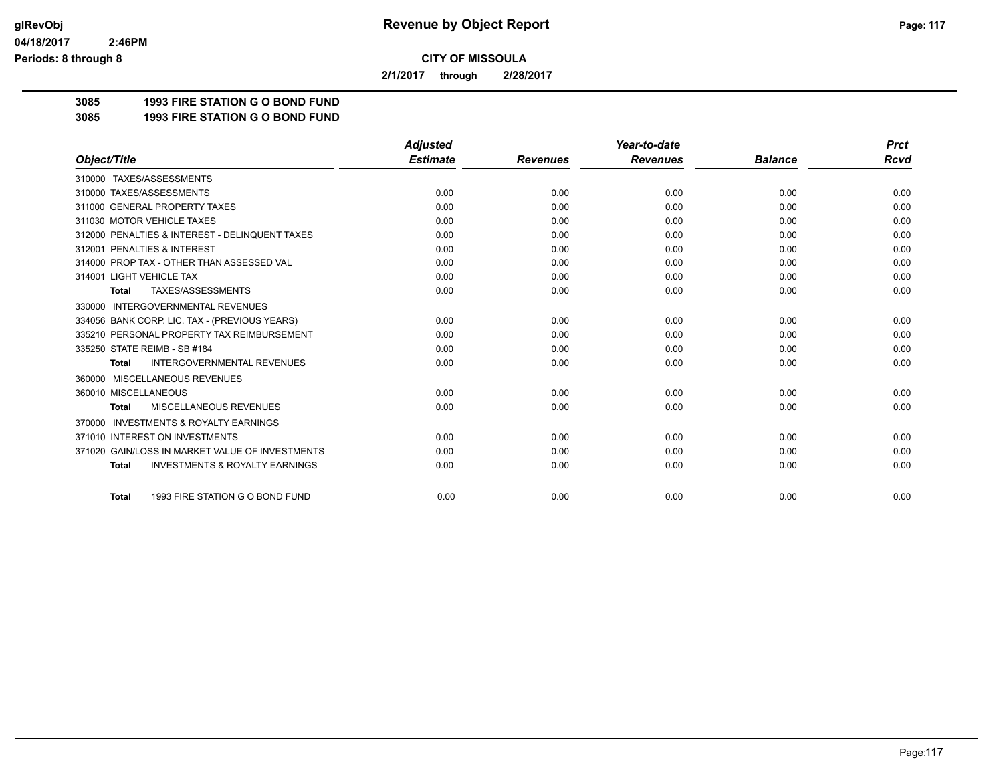**2/1/2017 through 2/28/2017**

**3085 1993 FIRE STATION G O BOND FUND**

**3085 1993 FIRE STATION G O BOND FUND**

|                                                           | <b>Adjusted</b> |                 | Year-to-date    |                | <b>Prct</b> |
|-----------------------------------------------------------|-----------------|-----------------|-----------------|----------------|-------------|
| Object/Title                                              | <b>Estimate</b> | <b>Revenues</b> | <b>Revenues</b> | <b>Balance</b> | <b>Rcvd</b> |
| 310000 TAXES/ASSESSMENTS                                  |                 |                 |                 |                |             |
| 310000 TAXES/ASSESSMENTS                                  | 0.00            | 0.00            | 0.00            | 0.00           | 0.00        |
| 311000 GENERAL PROPERTY TAXES                             | 0.00            | 0.00            | 0.00            | 0.00           | 0.00        |
| 311030 MOTOR VEHICLE TAXES                                | 0.00            | 0.00            | 0.00            | 0.00           | 0.00        |
| 312000 PENALTIES & INTEREST - DELINQUENT TAXES            | 0.00            | 0.00            | 0.00            | 0.00           | 0.00        |
| 312001 PENALTIES & INTEREST                               | 0.00            | 0.00            | 0.00            | 0.00           | 0.00        |
| 314000 PROP TAX - OTHER THAN ASSESSED VAL                 | 0.00            | 0.00            | 0.00            | 0.00           | 0.00        |
| 314001 LIGHT VEHICLE TAX                                  | 0.00            | 0.00            | 0.00            | 0.00           | 0.00        |
| TAXES/ASSESSMENTS<br><b>Total</b>                         | 0.00            | 0.00            | 0.00            | 0.00           | 0.00        |
| 330000 INTERGOVERNMENTAL REVENUES                         |                 |                 |                 |                |             |
| 334056 BANK CORP. LIC. TAX - (PREVIOUS YEARS)             | 0.00            | 0.00            | 0.00            | 0.00           | 0.00        |
| 335210 PERSONAL PROPERTY TAX REIMBURSEMENT                | 0.00            | 0.00            | 0.00            | 0.00           | 0.00        |
| 335250 STATE REIMB - SB #184                              | 0.00            | 0.00            | 0.00            | 0.00           | 0.00        |
| <b>INTERGOVERNMENTAL REVENUES</b><br><b>Total</b>         | 0.00            | 0.00            | 0.00            | 0.00           | 0.00        |
| 360000 MISCELLANEOUS REVENUES                             |                 |                 |                 |                |             |
| 360010 MISCELLANEOUS                                      | 0.00            | 0.00            | 0.00            | 0.00           | 0.00        |
| <b>MISCELLANEOUS REVENUES</b><br><b>Total</b>             | 0.00            | 0.00            | 0.00            | 0.00           | 0.00        |
| 370000 INVESTMENTS & ROYALTY EARNINGS                     |                 |                 |                 |                |             |
| 371010 INTEREST ON INVESTMENTS                            | 0.00            | 0.00            | 0.00            | 0.00           | 0.00        |
| 371020 GAIN/LOSS IN MARKET VALUE OF INVESTMENTS           | 0.00            | 0.00            | 0.00            | 0.00           | 0.00        |
| <b>INVESTMENTS &amp; ROYALTY EARNINGS</b><br><b>Total</b> | 0.00            | 0.00            | 0.00            | 0.00           | 0.00        |
|                                                           |                 |                 |                 |                |             |
| 1993 FIRE STATION G O BOND FUND<br><b>Total</b>           | 0.00            | 0.00            | 0.00            | 0.00           | 0.00        |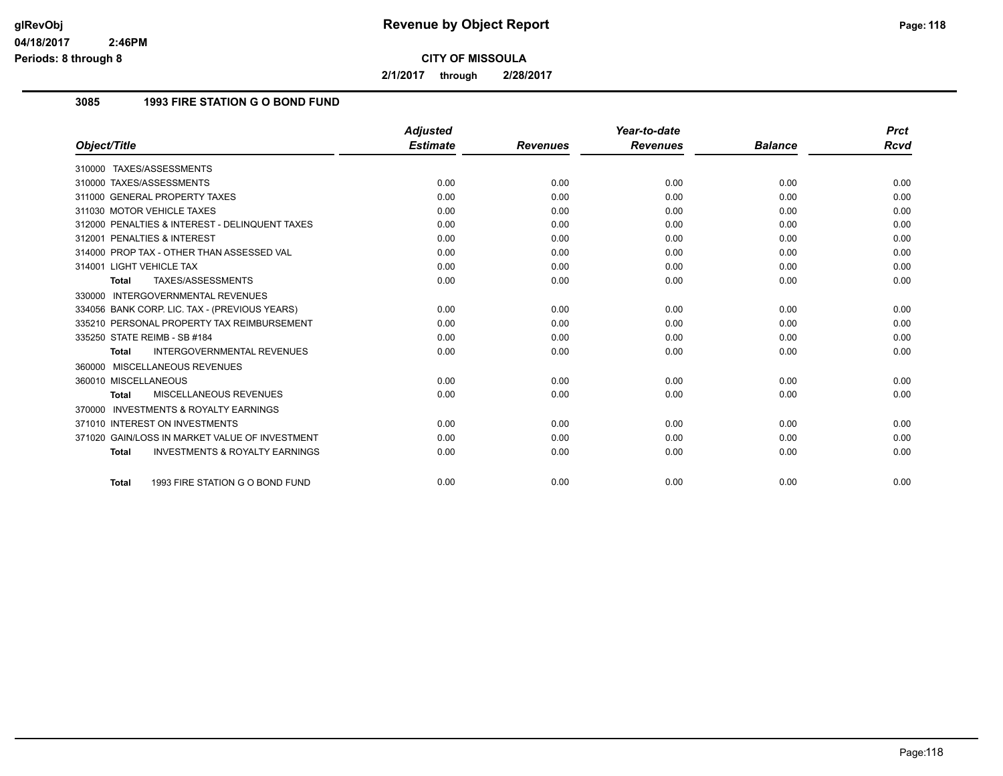**2/1/2017 through 2/28/2017**

#### **3085 1993 FIRE STATION G O BOND FUND**

|                                                           | <b>Adjusted</b> |                 | Year-to-date    |                | <b>Prct</b> |
|-----------------------------------------------------------|-----------------|-----------------|-----------------|----------------|-------------|
| Object/Title                                              | <b>Estimate</b> | <b>Revenues</b> | <b>Revenues</b> | <b>Balance</b> | Rcvd        |
| 310000 TAXES/ASSESSMENTS                                  |                 |                 |                 |                |             |
| 310000 TAXES/ASSESSMENTS                                  | 0.00            | 0.00            | 0.00            | 0.00           | 0.00        |
| 311000 GENERAL PROPERTY TAXES                             | 0.00            | 0.00            | 0.00            | 0.00           | 0.00        |
| 311030 MOTOR VEHICLE TAXES                                | 0.00            | 0.00            | 0.00            | 0.00           | 0.00        |
| 312000 PENALTIES & INTEREST - DELINQUENT TAXES            | 0.00            | 0.00            | 0.00            | 0.00           | 0.00        |
| 312001 PENALTIES & INTEREST                               | 0.00            | 0.00            | 0.00            | 0.00           | 0.00        |
| 314000 PROP TAX - OTHER THAN ASSESSED VAL                 | 0.00            | 0.00            | 0.00            | 0.00           | 0.00        |
| 314001 LIGHT VEHICLE TAX                                  | 0.00            | 0.00            | 0.00            | 0.00           | 0.00        |
| TAXES/ASSESSMENTS<br><b>Total</b>                         | 0.00            | 0.00            | 0.00            | 0.00           | 0.00        |
| 330000 INTERGOVERNMENTAL REVENUES                         |                 |                 |                 |                |             |
| 334056 BANK CORP. LIC. TAX - (PREVIOUS YEARS)             | 0.00            | 0.00            | 0.00            | 0.00           | 0.00        |
| 335210 PERSONAL PROPERTY TAX REIMBURSEMENT                | 0.00            | 0.00            | 0.00            | 0.00           | 0.00        |
| 335250 STATE REIMB - SB #184                              | 0.00            | 0.00            | 0.00            | 0.00           | 0.00        |
| <b>INTERGOVERNMENTAL REVENUES</b><br><b>Total</b>         | 0.00            | 0.00            | 0.00            | 0.00           | 0.00        |
| 360000 MISCELLANEOUS REVENUES                             |                 |                 |                 |                |             |
| 360010 MISCELLANEOUS                                      | 0.00            | 0.00            | 0.00            | 0.00           | 0.00        |
| <b>MISCELLANEOUS REVENUES</b><br><b>Total</b>             | 0.00            | 0.00            | 0.00            | 0.00           | 0.00        |
| 370000 INVESTMENTS & ROYALTY EARNINGS                     |                 |                 |                 |                |             |
| 371010 INTEREST ON INVESTMENTS                            | 0.00            | 0.00            | 0.00            | 0.00           | 0.00        |
| 371020 GAIN/LOSS IN MARKET VALUE OF INVESTMENT            | 0.00            | 0.00            | 0.00            | 0.00           | 0.00        |
| <b>INVESTMENTS &amp; ROYALTY EARNINGS</b><br><b>Total</b> | 0.00            | 0.00            | 0.00            | 0.00           | 0.00        |
| 1993 FIRE STATION G O BOND FUND<br><b>Total</b>           | 0.00            | 0.00            | 0.00            | 0.00           | 0.00        |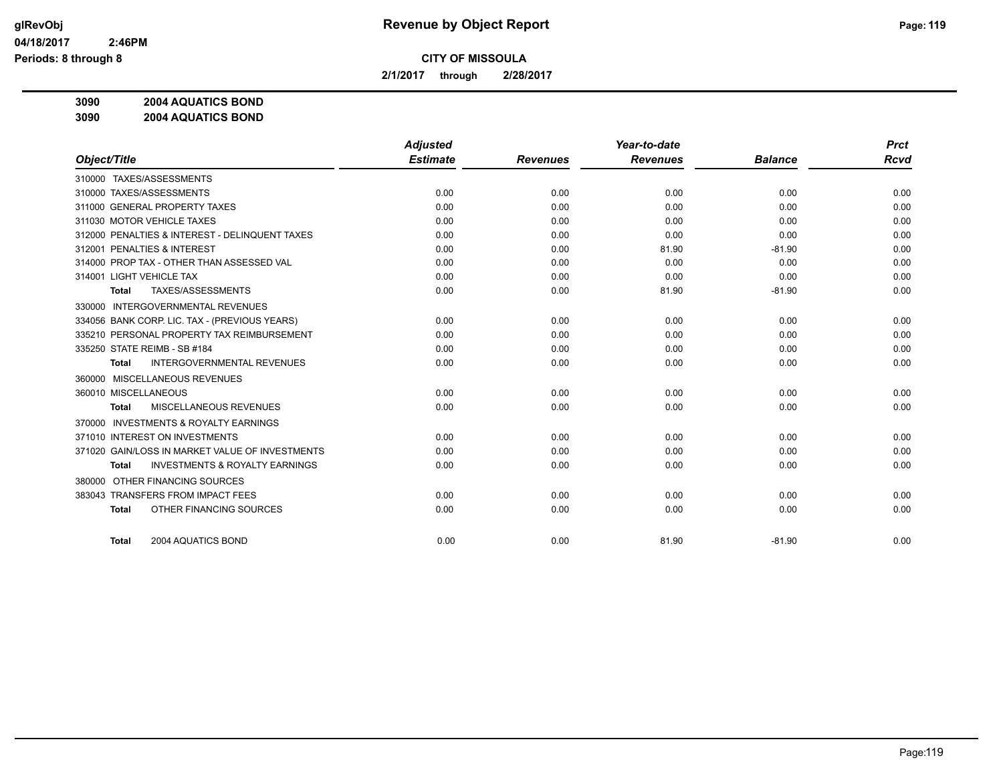**2/1/2017 through 2/28/2017**

**3090 2004 AQUATICS BOND 3090 2004 AQUATICS BOND**

|                                                           | <b>Adjusted</b> |                 | Year-to-date    |                | <b>Prct</b> |
|-----------------------------------------------------------|-----------------|-----------------|-----------------|----------------|-------------|
| Object/Title                                              | <b>Estimate</b> | <b>Revenues</b> | <b>Revenues</b> | <b>Balance</b> | <b>Rcvd</b> |
| 310000 TAXES/ASSESSMENTS                                  |                 |                 |                 |                |             |
| 310000 TAXES/ASSESSMENTS                                  | 0.00            | 0.00            | 0.00            | 0.00           | 0.00        |
| 311000 GENERAL PROPERTY TAXES                             | 0.00            | 0.00            | 0.00            | 0.00           | 0.00        |
| 311030 MOTOR VEHICLE TAXES                                | 0.00            | 0.00            | 0.00            | 0.00           | 0.00        |
| 312000 PENALTIES & INTEREST - DELINQUENT TAXES            | 0.00            | 0.00            | 0.00            | 0.00           | 0.00        |
| 312001 PENALTIES & INTEREST                               | 0.00            | 0.00            | 81.90           | $-81.90$       | 0.00        |
| 314000 PROP TAX - OTHER THAN ASSESSED VAL                 | 0.00            | 0.00            | 0.00            | 0.00           | 0.00        |
| 314001 LIGHT VEHICLE TAX                                  | 0.00            | 0.00            | 0.00            | 0.00           | 0.00        |
| TAXES/ASSESSMENTS<br><b>Total</b>                         | 0.00            | 0.00            | 81.90           | $-81.90$       | 0.00        |
| 330000 INTERGOVERNMENTAL REVENUES                         |                 |                 |                 |                |             |
| 334056 BANK CORP. LIC. TAX - (PREVIOUS YEARS)             | 0.00            | 0.00            | 0.00            | 0.00           | 0.00        |
| 335210 PERSONAL PROPERTY TAX REIMBURSEMENT                | 0.00            | 0.00            | 0.00            | 0.00           | 0.00        |
| 335250 STATE REIMB - SB #184                              | 0.00            | 0.00            | 0.00            | 0.00           | 0.00        |
| <b>INTERGOVERNMENTAL REVENUES</b><br><b>Total</b>         | 0.00            | 0.00            | 0.00            | 0.00           | 0.00        |
| 360000 MISCELLANEOUS REVENUES                             |                 |                 |                 |                |             |
| 360010 MISCELLANEOUS                                      | 0.00            | 0.00            | 0.00            | 0.00           | 0.00        |
| <b>MISCELLANEOUS REVENUES</b><br><b>Total</b>             | 0.00            | 0.00            | 0.00            | 0.00           | 0.00        |
| <b>INVESTMENTS &amp; ROYALTY EARNINGS</b><br>370000       |                 |                 |                 |                |             |
| 371010 INTEREST ON INVESTMENTS                            | 0.00            | 0.00            | 0.00            | 0.00           | 0.00        |
| 371020 GAIN/LOSS IN MARKET VALUE OF INVESTMENTS           | 0.00            | 0.00            | 0.00            | 0.00           | 0.00        |
| <b>INVESTMENTS &amp; ROYALTY EARNINGS</b><br><b>Total</b> | 0.00            | 0.00            | 0.00            | 0.00           | 0.00        |
| 380000 OTHER FINANCING SOURCES                            |                 |                 |                 |                |             |
| 383043 TRANSFERS FROM IMPACT FEES                         | 0.00            | 0.00            | 0.00            | 0.00           | 0.00        |
| OTHER FINANCING SOURCES<br>Total                          | 0.00            | 0.00            | 0.00            | 0.00           | 0.00        |
| 2004 AQUATICS BOND<br><b>Total</b>                        | 0.00            | 0.00            | 81.90           | $-81.90$       | 0.00        |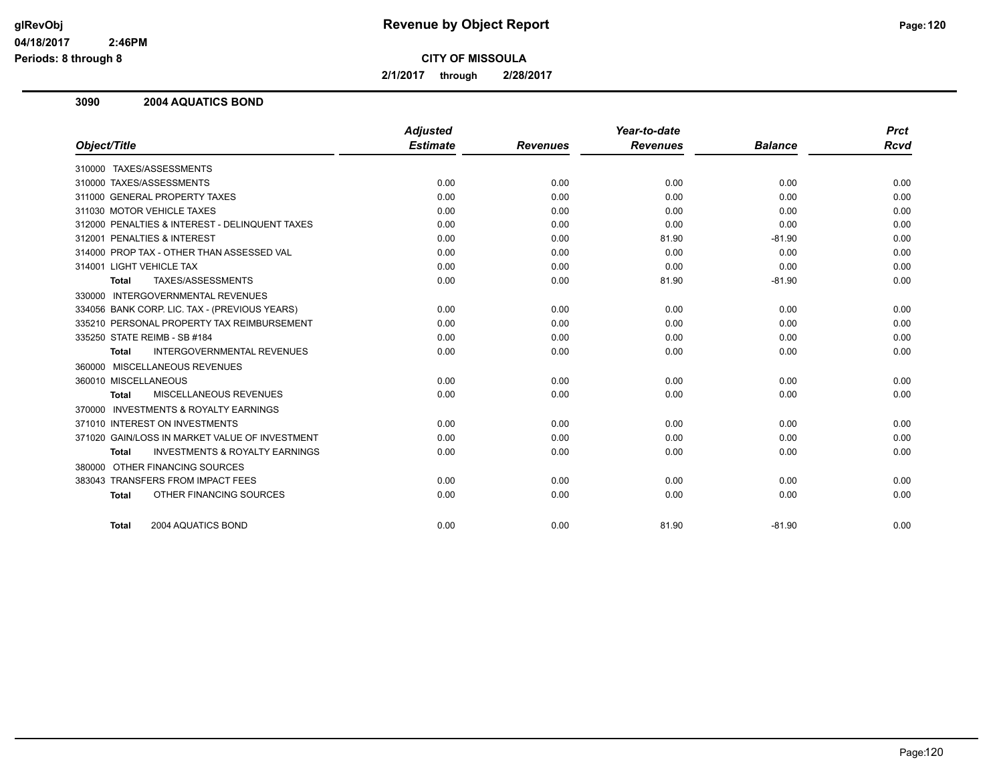**2/1/2017 through 2/28/2017**

#### **3090 2004 AQUATICS BOND**

|                                                           | <b>Adjusted</b> |                 | Year-to-date    |                | <b>Prct</b> |
|-----------------------------------------------------------|-----------------|-----------------|-----------------|----------------|-------------|
| Object/Title                                              | <b>Estimate</b> | <b>Revenues</b> | <b>Revenues</b> | <b>Balance</b> | <b>Rcvd</b> |
| 310000 TAXES/ASSESSMENTS                                  |                 |                 |                 |                |             |
| 310000 TAXES/ASSESSMENTS                                  | 0.00            | 0.00            | 0.00            | 0.00           | 0.00        |
| 311000 GENERAL PROPERTY TAXES                             | 0.00            | 0.00            | 0.00            | 0.00           | 0.00        |
| 311030 MOTOR VEHICLE TAXES                                | 0.00            | 0.00            | 0.00            | 0.00           | 0.00        |
| 312000 PENALTIES & INTEREST - DELINQUENT TAXES            | 0.00            | 0.00            | 0.00            | 0.00           | 0.00        |
| 312001 PENALTIES & INTEREST                               | 0.00            | 0.00            | 81.90           | $-81.90$       | 0.00        |
| 314000 PROP TAX - OTHER THAN ASSESSED VAL                 | 0.00            | 0.00            | 0.00            | 0.00           | 0.00        |
| 314001 LIGHT VEHICLE TAX                                  | 0.00            | 0.00            | 0.00            | 0.00           | 0.00        |
| TAXES/ASSESSMENTS<br>Total                                | 0.00            | 0.00            | 81.90           | $-81.90$       | 0.00        |
| 330000 INTERGOVERNMENTAL REVENUES                         |                 |                 |                 |                |             |
| 334056 BANK CORP. LIC. TAX - (PREVIOUS YEARS)             | 0.00            | 0.00            | 0.00            | 0.00           | 0.00        |
| 335210 PERSONAL PROPERTY TAX REIMBURSEMENT                | 0.00            | 0.00            | 0.00            | 0.00           | 0.00        |
| 335250 STATE REIMB - SB #184                              | 0.00            | 0.00            | 0.00            | 0.00           | 0.00        |
| INTERGOVERNMENTAL REVENUES<br><b>Total</b>                | 0.00            | 0.00            | 0.00            | 0.00           | 0.00        |
| 360000 MISCELLANEOUS REVENUES                             |                 |                 |                 |                |             |
| 360010 MISCELLANEOUS                                      | 0.00            | 0.00            | 0.00            | 0.00           | 0.00        |
| MISCELLANEOUS REVENUES<br>Total                           | 0.00            | 0.00            | 0.00            | 0.00           | 0.00        |
| 370000 INVESTMENTS & ROYALTY EARNINGS                     |                 |                 |                 |                |             |
| 371010 INTEREST ON INVESTMENTS                            | 0.00            | 0.00            | 0.00            | 0.00           | 0.00        |
| 371020 GAIN/LOSS IN MARKET VALUE OF INVESTMENT            | 0.00            | 0.00            | 0.00            | 0.00           | 0.00        |
| <b>INVESTMENTS &amp; ROYALTY EARNINGS</b><br><b>Total</b> | 0.00            | 0.00            | 0.00            | 0.00           | 0.00        |
| 380000 OTHER FINANCING SOURCES                            |                 |                 |                 |                |             |
| 383043 TRANSFERS FROM IMPACT FEES                         | 0.00            | 0.00            | 0.00            | 0.00           | 0.00        |
| OTHER FINANCING SOURCES<br><b>Total</b>                   | 0.00            | 0.00            | 0.00            | 0.00           | 0.00        |
| 2004 AQUATICS BOND<br><b>Total</b>                        | 0.00            | 0.00            | 81.90           | $-81.90$       | 0.00        |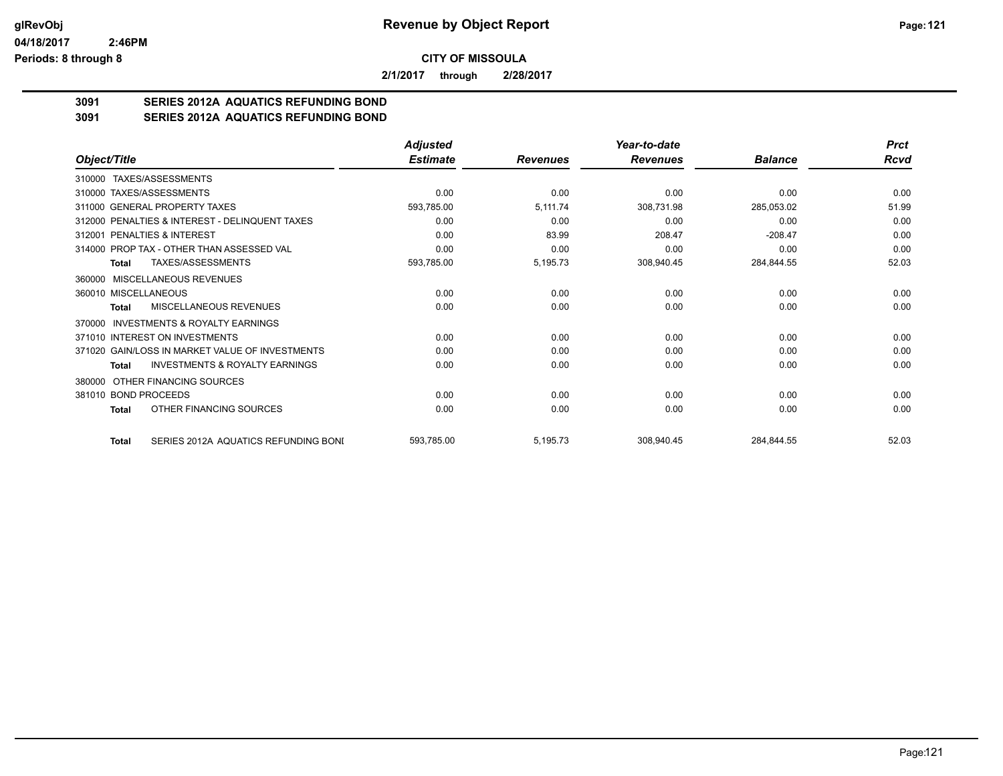**2/1/2017 through 2/28/2017**

# **3091 SERIES 2012A AQUATICS REFUNDING BOND**

| 3091 | <b>SERIES 2012A AQUATICS REFUNDING BOND</b> |  |
|------|---------------------------------------------|--|
|      |                                             |  |

|                                                           | <b>Adjusted</b> |                 | Year-to-date    |                | <b>Prct</b> |
|-----------------------------------------------------------|-----------------|-----------------|-----------------|----------------|-------------|
| Object/Title                                              | <b>Estimate</b> | <b>Revenues</b> | <b>Revenues</b> | <b>Balance</b> | Rcvd        |
| TAXES/ASSESSMENTS<br>310000                               |                 |                 |                 |                |             |
| 310000 TAXES/ASSESSMENTS                                  | 0.00            | 0.00            | 0.00            | 0.00           | 0.00        |
| 311000 GENERAL PROPERTY TAXES                             | 593,785.00      | 5,111.74        | 308,731.98      | 285,053.02     | 51.99       |
| 312000 PENALTIES & INTEREST - DELINQUENT TAXES            | 0.00            | 0.00            | 0.00            | 0.00           | 0.00        |
| 312001 PENALTIES & INTEREST                               | 0.00            | 83.99           | 208.47          | $-208.47$      | 0.00        |
| 314000 PROP TAX - OTHER THAN ASSESSED VAL                 | 0.00            | 0.00            | 0.00            | 0.00           | 0.00        |
| TAXES/ASSESSMENTS<br><b>Total</b>                         | 593,785.00      | 5,195.73        | 308,940.45      | 284,844.55     | 52.03       |
| MISCELLANEOUS REVENUES<br>360000                          |                 |                 |                 |                |             |
| 360010 MISCELLANEOUS                                      | 0.00            | 0.00            | 0.00            | 0.00           | 0.00        |
| MISCELLANEOUS REVENUES<br><b>Total</b>                    | 0.00            | 0.00            | 0.00            | 0.00           | 0.00        |
| <b>INVESTMENTS &amp; ROYALTY EARNINGS</b><br>370000       |                 |                 |                 |                |             |
| 371010 INTEREST ON INVESTMENTS                            | 0.00            | 0.00            | 0.00            | 0.00           | 0.00        |
| 371020 GAIN/LOSS IN MARKET VALUE OF INVESTMENTS           | 0.00            | 0.00            | 0.00            | 0.00           | 0.00        |
| <b>INVESTMENTS &amp; ROYALTY EARNINGS</b><br><b>Total</b> | 0.00            | 0.00            | 0.00            | 0.00           | 0.00        |
| OTHER FINANCING SOURCES<br>380000                         |                 |                 |                 |                |             |
| 381010 BOND PROCEEDS                                      | 0.00            | 0.00            | 0.00            | 0.00           | 0.00        |
| OTHER FINANCING SOURCES<br><b>Total</b>                   | 0.00            | 0.00            | 0.00            | 0.00           | 0.00        |
| SERIES 2012A AQUATICS REFUNDING BONI<br><b>Total</b>      | 593,785.00      | 5,195.73        | 308,940.45      | 284,844.55     | 52.03       |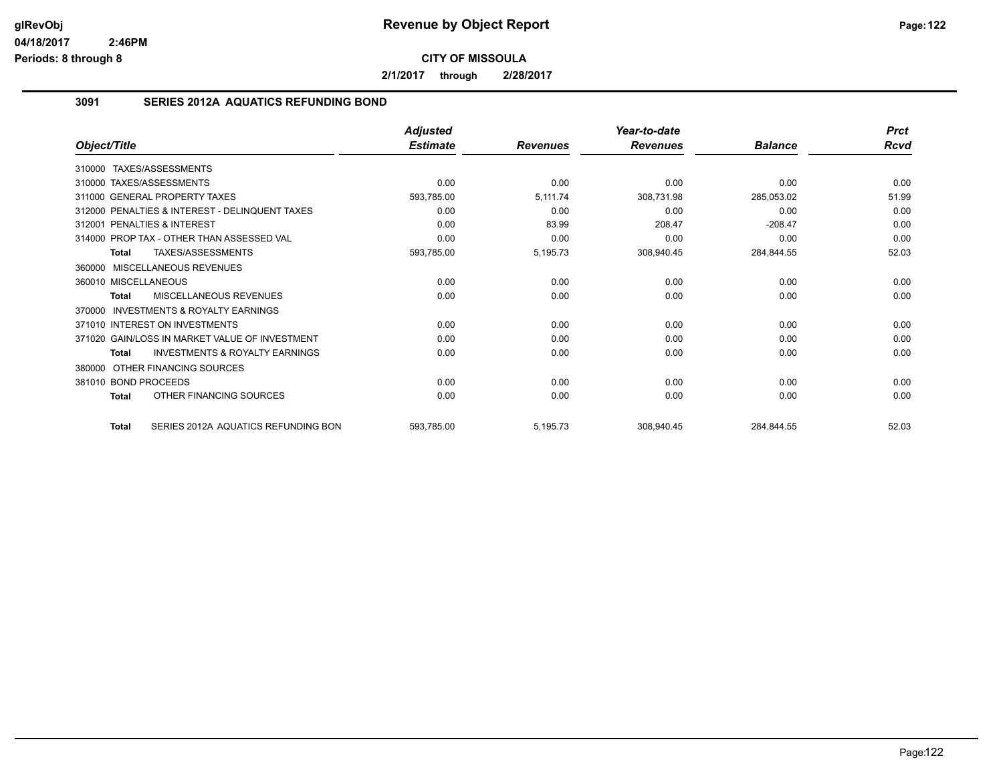**2/1/2017 through 2/28/2017**

#### **3091 SERIES 2012A AQUATICS REFUNDING BOND**

|                                                     | <b>Adjusted</b> |                 | Year-to-date    |                | <b>Prct</b> |
|-----------------------------------------------------|-----------------|-----------------|-----------------|----------------|-------------|
| Object/Title                                        | <b>Estimate</b> | <b>Revenues</b> | <b>Revenues</b> | <b>Balance</b> | Rcvd        |
| 310000 TAXES/ASSESSMENTS                            |                 |                 |                 |                |             |
| 310000 TAXES/ASSESSMENTS                            | 0.00            | 0.00            | 0.00            | 0.00           | 0.00        |
| 311000 GENERAL PROPERTY TAXES                       | 593,785.00      | 5,111.74        | 308,731.98      | 285,053.02     | 51.99       |
| 312000 PENALTIES & INTEREST - DELINQUENT TAXES      | 0.00            | 0.00            | 0.00            | 0.00           | 0.00        |
| 312001 PENALTIES & INTEREST                         | 0.00            | 83.99           | 208.47          | $-208.47$      | 0.00        |
| 314000 PROP TAX - OTHER THAN ASSESSED VAL           | 0.00            | 0.00            | 0.00            | 0.00           | 0.00        |
| TAXES/ASSESSMENTS<br><b>Total</b>                   | 593,785.00      | 5,195.73        | 308,940.45      | 284,844.55     | 52.03       |
| 360000 MISCELLANEOUS REVENUES                       |                 |                 |                 |                |             |
| 360010 MISCELLANEOUS                                | 0.00            | 0.00            | 0.00            | 0.00           | 0.00        |
| MISCELLANEOUS REVENUES<br><b>Total</b>              | 0.00            | 0.00            | 0.00            | 0.00           | 0.00        |
| <b>INVESTMENTS &amp; ROYALTY EARNINGS</b><br>370000 |                 |                 |                 |                |             |
| 371010 INTEREST ON INVESTMENTS                      | 0.00            | 0.00            | 0.00            | 0.00           | 0.00        |
| 371020 GAIN/LOSS IN MARKET VALUE OF INVESTMENT      | 0.00            | 0.00            | 0.00            | 0.00           | 0.00        |
| <b>INVESTMENTS &amp; ROYALTY EARNINGS</b><br>Total  | 0.00            | 0.00            | 0.00            | 0.00           | 0.00        |
| OTHER FINANCING SOURCES<br>380000                   |                 |                 |                 |                |             |
| 381010 BOND PROCEEDS                                | 0.00            | 0.00            | 0.00            | 0.00           | 0.00        |
| OTHER FINANCING SOURCES<br>Total                    | 0.00            | 0.00            | 0.00            | 0.00           | 0.00        |
| SERIES 2012A AQUATICS REFUNDING BON<br><b>Total</b> | 593,785.00      | 5,195.73        | 308,940.45      | 284,844.55     | 52.03       |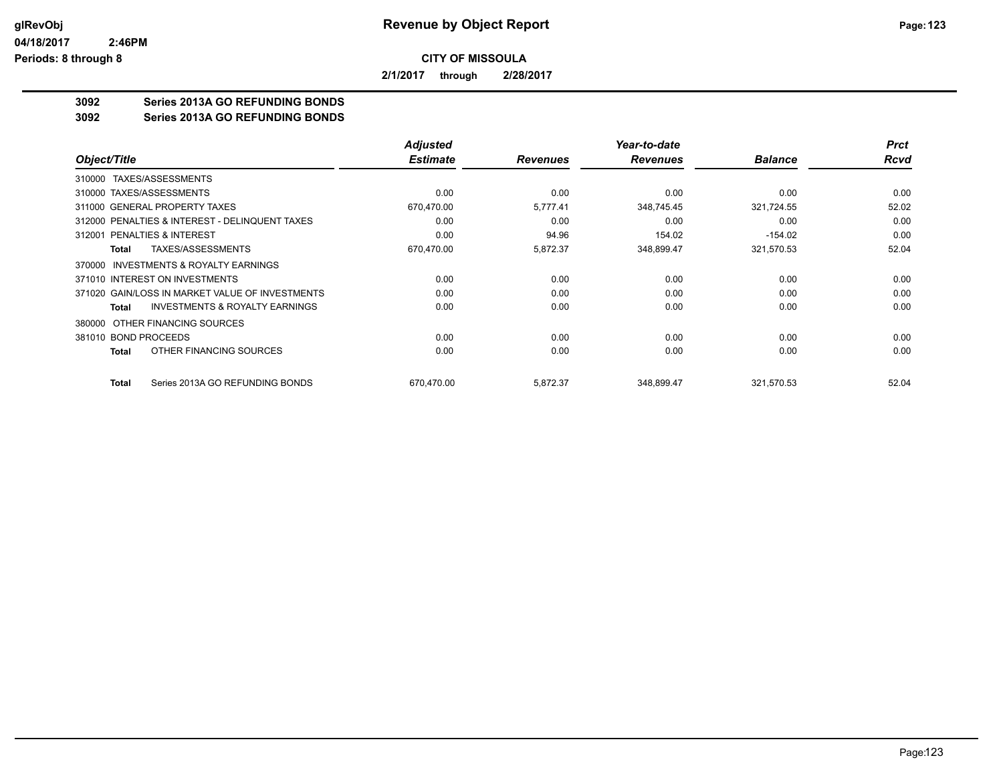**2/1/2017 through 2/28/2017**

# **3092 Series 2013A GO REFUNDING BONDS**

**3092 Series 2013A GO REFUNDING BONDS**

|                                                    | <b>Adjusted</b> |                 | Year-to-date    |                | <b>Prct</b> |
|----------------------------------------------------|-----------------|-----------------|-----------------|----------------|-------------|
| Object/Title                                       | <b>Estimate</b> | <b>Revenues</b> | <b>Revenues</b> | <b>Balance</b> | <b>Rcvd</b> |
| 310000 TAXES/ASSESSMENTS                           |                 |                 |                 |                |             |
| 310000 TAXES/ASSESSMENTS                           | 0.00            | 0.00            | 0.00            | 0.00           | 0.00        |
| 311000 GENERAL PROPERTY TAXES                      | 670,470.00      | 5,777.41        | 348,745.45      | 321,724.55     | 52.02       |
| 312000 PENALTIES & INTEREST - DELINQUENT TAXES     | 0.00            | 0.00            | 0.00            | 0.00           | 0.00        |
| <b>PENALTIES &amp; INTEREST</b><br>312001          | 0.00            | 94.96           | 154.02          | $-154.02$      | 0.00        |
| TAXES/ASSESSMENTS<br>Total                         | 670,470.00      | 5,872.37        | 348,899.47      | 321,570.53     | 52.04       |
| 370000 INVESTMENTS & ROYALTY EARNINGS              |                 |                 |                 |                |             |
| 371010 INTEREST ON INVESTMENTS                     | 0.00            | 0.00            | 0.00            | 0.00           | 0.00        |
| 371020 GAIN/LOSS IN MARKET VALUE OF INVESTMENTS    | 0.00            | 0.00            | 0.00            | 0.00           | 0.00        |
| <b>INVESTMENTS &amp; ROYALTY EARNINGS</b><br>Total | 0.00            | 0.00            | 0.00            | 0.00           | 0.00        |
| OTHER FINANCING SOURCES<br>380000                  |                 |                 |                 |                |             |
| 381010 BOND PROCEEDS                               | 0.00            | 0.00            | 0.00            | 0.00           | 0.00        |
| OTHER FINANCING SOURCES<br><b>Total</b>            | 0.00            | 0.00            | 0.00            | 0.00           | 0.00        |
| Series 2013A GO REFUNDING BONDS<br><b>Total</b>    | 670.470.00      | 5,872.37        | 348,899.47      | 321,570.53     | 52.04       |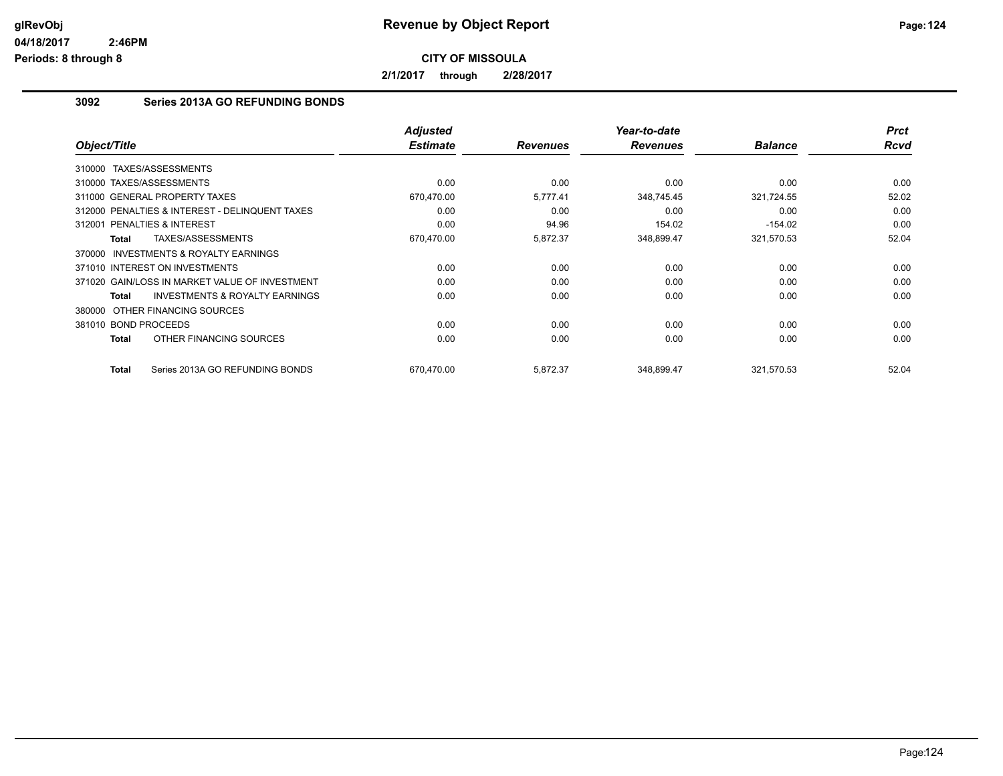**2/1/2017 through 2/28/2017**

#### **3092 Series 2013A GO REFUNDING BONDS**

| Object/Title                                        | <b>Adjusted</b><br><b>Estimate</b> | <b>Revenues</b> | Year-to-date<br><b>Revenues</b> | <b>Balance</b> | <b>Prct</b><br>Rcvd |
|-----------------------------------------------------|------------------------------------|-----------------|---------------------------------|----------------|---------------------|
|                                                     |                                    |                 |                                 |                |                     |
| TAXES/ASSESSMENTS<br>310000                         |                                    |                 |                                 |                |                     |
| 310000 TAXES/ASSESSMENTS                            | 0.00                               | 0.00            | 0.00                            | 0.00           | 0.00                |
| 311000 GENERAL PROPERTY TAXES                       | 670,470.00                         | 5.777.41        | 348,745.45                      | 321,724.55     | 52.02               |
| 312000 PENALTIES & INTEREST - DELINQUENT TAXES      | 0.00                               | 0.00            | 0.00                            | 0.00           | 0.00                |
| 312001 PENALTIES & INTEREST                         | 0.00                               | 94.96           | 154.02                          | $-154.02$      | 0.00                |
| TAXES/ASSESSMENTS<br>Total                          | 670,470.00                         | 5,872.37        | 348,899.47                      | 321,570.53     | 52.04               |
| <b>INVESTMENTS &amp; ROYALTY EARNINGS</b><br>370000 |                                    |                 |                                 |                |                     |
| 371010 INTEREST ON INVESTMENTS                      | 0.00                               | 0.00            | 0.00                            | 0.00           | 0.00                |
| 371020 GAIN/LOSS IN MARKET VALUE OF INVESTMENT      | 0.00                               | 0.00            | 0.00                            | 0.00           | 0.00                |
| <b>INVESTMENTS &amp; ROYALTY EARNINGS</b><br>Total  | 0.00                               | 0.00            | 0.00                            | 0.00           | 0.00                |
| 380000 OTHER FINANCING SOURCES                      |                                    |                 |                                 |                |                     |
| 381010 BOND PROCEEDS                                | 0.00                               | 0.00            | 0.00                            | 0.00           | 0.00                |
| OTHER FINANCING SOURCES<br><b>Total</b>             | 0.00                               | 0.00            | 0.00                            | 0.00           | 0.00                |
| Series 2013A GO REFUNDING BONDS<br><b>Total</b>     | 670,470.00                         | 5,872.37        | 348,899.47                      | 321,570.53     | 52.04               |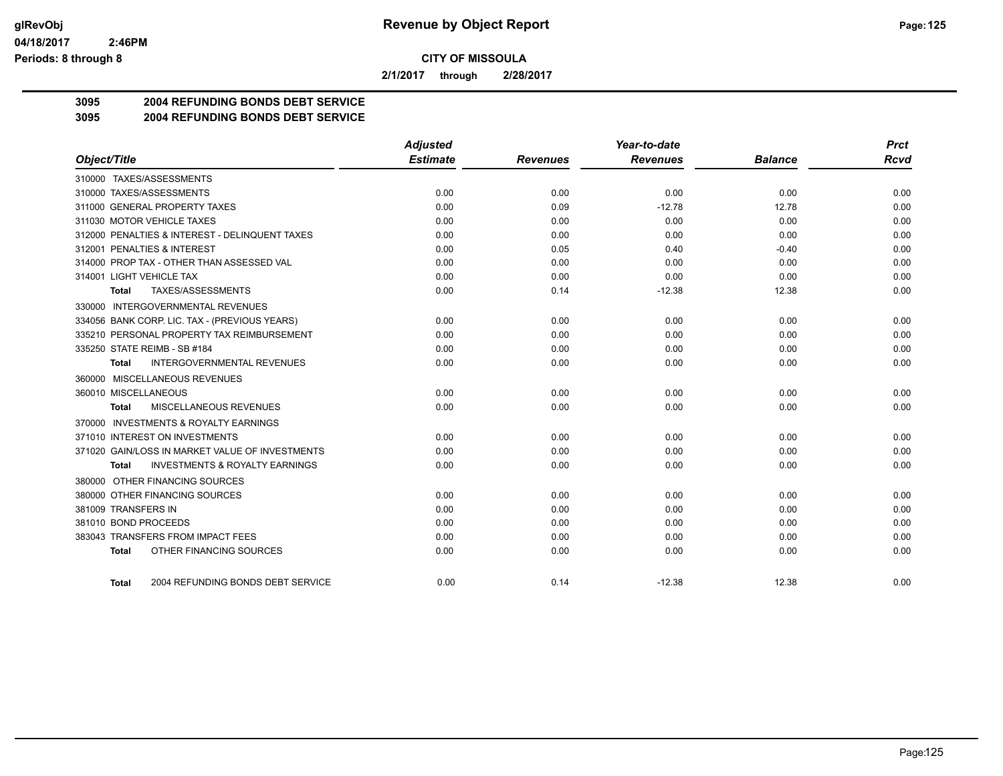**2/1/2017 through 2/28/2017**

#### **3095 2004 REFUNDING BONDS DEBT SERVICE 3095 2004 REFUNDING BONDS DEBT SERVICE**

|                                                    | <b>Adjusted</b> |                 | Year-to-date    |                | <b>Prct</b> |
|----------------------------------------------------|-----------------|-----------------|-----------------|----------------|-------------|
| Object/Title                                       | <b>Estimate</b> | <b>Revenues</b> | <b>Revenues</b> | <b>Balance</b> | <b>Rcvd</b> |
| 310000 TAXES/ASSESSMENTS                           |                 |                 |                 |                |             |
| 310000 TAXES/ASSESSMENTS                           | 0.00            | 0.00            | 0.00            | 0.00           | 0.00        |
| 311000 GENERAL PROPERTY TAXES                      | 0.00            | 0.09            | $-12.78$        | 12.78          | 0.00        |
| 311030 MOTOR VEHICLE TAXES                         | 0.00            | 0.00            | 0.00            | 0.00           | 0.00        |
| 312000 PENALTIES & INTEREST - DELINQUENT TAXES     | 0.00            | 0.00            | 0.00            | 0.00           | 0.00        |
| 312001 PENALTIES & INTEREST                        | 0.00            | 0.05            | 0.40            | $-0.40$        | 0.00        |
| 314000 PROP TAX - OTHER THAN ASSESSED VAL          | 0.00            | 0.00            | 0.00            | 0.00           | 0.00        |
| 314001 LIGHT VEHICLE TAX                           | 0.00            | 0.00            | 0.00            | 0.00           | 0.00        |
| TAXES/ASSESSMENTS<br>Total                         | 0.00            | 0.14            | $-12.38$        | 12.38          | 0.00        |
| <b>INTERGOVERNMENTAL REVENUES</b><br>330000        |                 |                 |                 |                |             |
| 334056 BANK CORP. LIC. TAX - (PREVIOUS YEARS)      | 0.00            | 0.00            | 0.00            | 0.00           | 0.00        |
| 335210 PERSONAL PROPERTY TAX REIMBURSEMENT         | 0.00            | 0.00            | 0.00            | 0.00           | 0.00        |
| 335250 STATE REIMB - SB #184                       | 0.00            | 0.00            | 0.00            | 0.00           | 0.00        |
| <b>INTERGOVERNMENTAL REVENUES</b><br>Total         | 0.00            | 0.00            | 0.00            | 0.00           | 0.00        |
| 360000 MISCELLANEOUS REVENUES                      |                 |                 |                 |                |             |
| 360010 MISCELLANEOUS                               | 0.00            | 0.00            | 0.00            | 0.00           | 0.00        |
| MISCELLANEOUS REVENUES<br>Total                    | 0.00            | 0.00            | 0.00            | 0.00           | 0.00        |
| 370000 INVESTMENTS & ROYALTY EARNINGS              |                 |                 |                 |                |             |
| 371010 INTEREST ON INVESTMENTS                     | 0.00            | 0.00            | 0.00            | 0.00           | 0.00        |
| 371020 GAIN/LOSS IN MARKET VALUE OF INVESTMENTS    | 0.00            | 0.00            | 0.00            | 0.00           | 0.00        |
| <b>INVESTMENTS &amp; ROYALTY EARNINGS</b><br>Total | 0.00            | 0.00            | 0.00            | 0.00           | 0.00        |
| 380000 OTHER FINANCING SOURCES                     |                 |                 |                 |                |             |
| 380000 OTHER FINANCING SOURCES                     | 0.00            | 0.00            | 0.00            | 0.00           | 0.00        |
| 381009 TRANSFERS IN                                | 0.00            | 0.00            | 0.00            | 0.00           | 0.00        |
| 381010 BOND PROCEEDS                               | 0.00            | 0.00            | 0.00            | 0.00           | 0.00        |
| 383043 TRANSFERS FROM IMPACT FEES                  | 0.00            | 0.00            | 0.00            | 0.00           | 0.00        |
| OTHER FINANCING SOURCES<br><b>Total</b>            | 0.00            | 0.00            | 0.00            | 0.00           | 0.00        |
| 2004 REFUNDING BONDS DEBT SERVICE<br>Total         | 0.00            | 0.14            | $-12.38$        | 12.38          | 0.00        |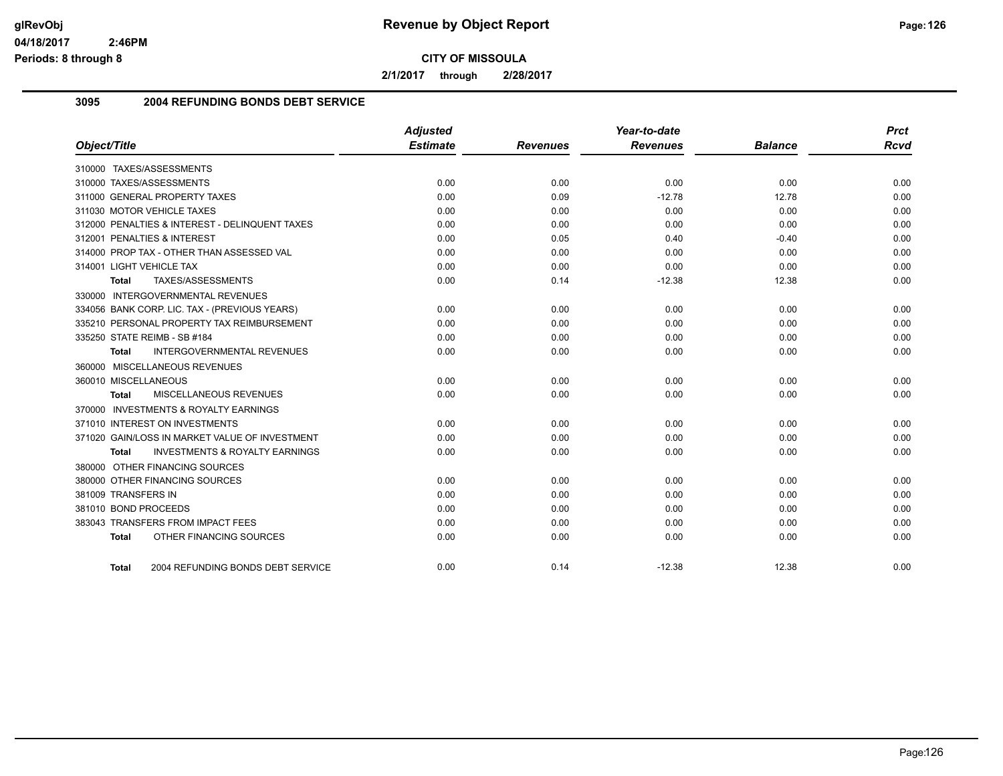**2/1/2017 through 2/28/2017**

#### **3095 2004 REFUNDING BONDS DEBT SERVICE**

|                                                           | <b>Adjusted</b> |                 | Year-to-date    |                | <b>Prct</b> |
|-----------------------------------------------------------|-----------------|-----------------|-----------------|----------------|-------------|
| Object/Title                                              | <b>Estimate</b> | <b>Revenues</b> | <b>Revenues</b> | <b>Balance</b> | <b>Rcvd</b> |
| 310000 TAXES/ASSESSMENTS                                  |                 |                 |                 |                |             |
| 310000 TAXES/ASSESSMENTS                                  | 0.00            | 0.00            | 0.00            | 0.00           | 0.00        |
| 311000 GENERAL PROPERTY TAXES                             | 0.00            | 0.09            | $-12.78$        | 12.78          | 0.00        |
| 311030 MOTOR VEHICLE TAXES                                | 0.00            | 0.00            | 0.00            | 0.00           | 0.00        |
| 312000 PENALTIES & INTEREST - DELINQUENT TAXES            | 0.00            | 0.00            | 0.00            | 0.00           | 0.00        |
| 312001 PENALTIES & INTEREST                               | 0.00            | 0.05            | 0.40            | $-0.40$        | 0.00        |
| 314000 PROP TAX - OTHER THAN ASSESSED VAL                 | 0.00            | 0.00            | 0.00            | 0.00           | 0.00        |
| 314001 LIGHT VEHICLE TAX                                  | 0.00            | 0.00            | 0.00            | 0.00           | 0.00        |
| TAXES/ASSESSMENTS<br><b>Total</b>                         | 0.00            | 0.14            | $-12.38$        | 12.38          | 0.00        |
| 330000 INTERGOVERNMENTAL REVENUES                         |                 |                 |                 |                |             |
| 334056 BANK CORP. LIC. TAX - (PREVIOUS YEARS)             | 0.00            | 0.00            | 0.00            | 0.00           | 0.00        |
| 335210 PERSONAL PROPERTY TAX REIMBURSEMENT                | 0.00            | 0.00            | 0.00            | 0.00           | 0.00        |
| 335250 STATE REIMB - SB #184                              | 0.00            | 0.00            | 0.00            | 0.00           | 0.00        |
| <b>Total</b><br>INTERGOVERNMENTAL REVENUES                | 0.00            | 0.00            | 0.00            | 0.00           | 0.00        |
| 360000 MISCELLANEOUS REVENUES                             |                 |                 |                 |                |             |
| 360010 MISCELLANEOUS                                      | 0.00            | 0.00            | 0.00            | 0.00           | 0.00        |
| <b>MISCELLANEOUS REVENUES</b><br><b>Total</b>             | 0.00            | 0.00            | 0.00            | 0.00           | 0.00        |
| 370000 INVESTMENTS & ROYALTY EARNINGS                     |                 |                 |                 |                |             |
| 371010 INTEREST ON INVESTMENTS                            | 0.00            | 0.00            | 0.00            | 0.00           | 0.00        |
| 371020 GAIN/LOSS IN MARKET VALUE OF INVESTMENT            | 0.00            | 0.00            | 0.00            | 0.00           | 0.00        |
| <b>INVESTMENTS &amp; ROYALTY EARNINGS</b><br><b>Total</b> | 0.00            | 0.00            | 0.00            | 0.00           | 0.00        |
| 380000 OTHER FINANCING SOURCES                            |                 |                 |                 |                |             |
| 380000 OTHER FINANCING SOURCES                            | 0.00            | 0.00            | 0.00            | 0.00           | 0.00        |
| 381009 TRANSFERS IN                                       | 0.00            | 0.00            | 0.00            | 0.00           | 0.00        |
| 381010 BOND PROCEEDS                                      | 0.00            | 0.00            | 0.00            | 0.00           | 0.00        |
| 383043 TRANSFERS FROM IMPACT FEES                         | 0.00            | 0.00            | 0.00            | 0.00           | 0.00        |
| OTHER FINANCING SOURCES<br><b>Total</b>                   | 0.00            | 0.00            | 0.00            | 0.00           | 0.00        |
| 2004 REFUNDING BONDS DEBT SERVICE<br><b>Total</b>         | 0.00            | 0.14            | $-12.38$        | 12.38          | 0.00        |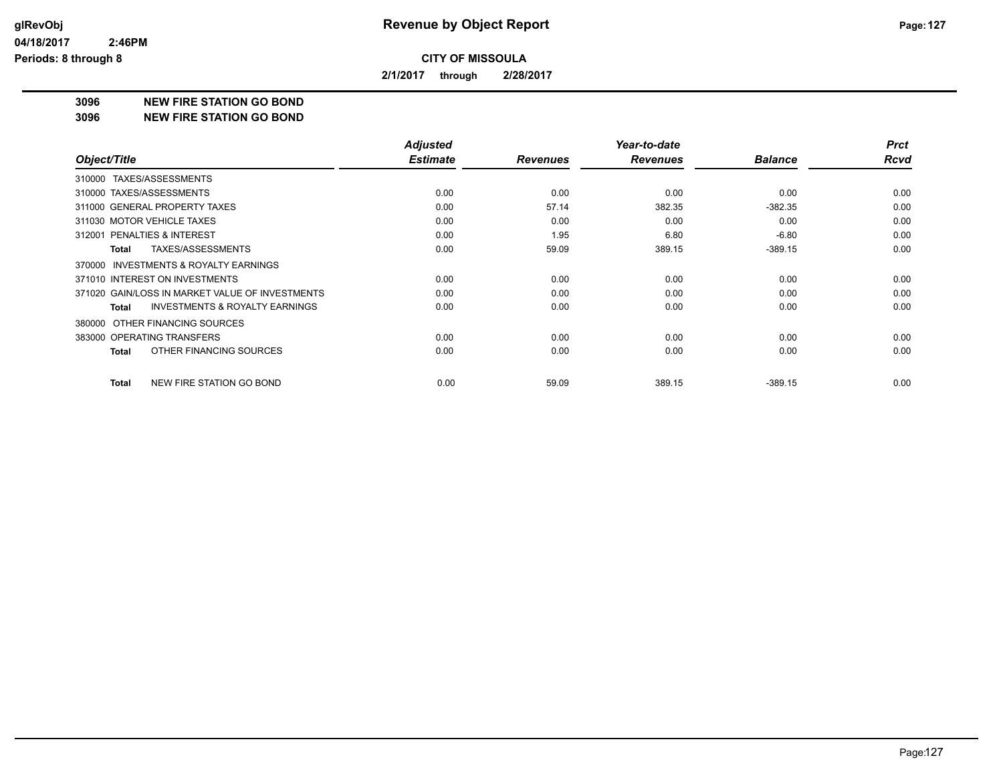**2/1/2017 through 2/28/2017**

**3096 NEW FIRE STATION GO BOND**

**3096 NEW FIRE STATION GO BOND**

|                                                           | <b>Adjusted</b> |                 | Year-to-date    |                | <b>Prct</b> |
|-----------------------------------------------------------|-----------------|-----------------|-----------------|----------------|-------------|
| Object/Title                                              | <b>Estimate</b> | <b>Revenues</b> | <b>Revenues</b> | <b>Balance</b> | <b>Rcvd</b> |
| 310000 TAXES/ASSESSMENTS                                  |                 |                 |                 |                |             |
| 310000 TAXES/ASSESSMENTS                                  | 0.00            | 0.00            | 0.00            | 0.00           | 0.00        |
| 311000 GENERAL PROPERTY TAXES                             | 0.00            | 57.14           | 382.35          | $-382.35$      | 0.00        |
| 311030 MOTOR VEHICLE TAXES                                | 0.00            | 0.00            | 0.00            | 0.00           | 0.00        |
| 312001 PENALTIES & INTEREST                               | 0.00            | 1.95            | 6.80            | $-6.80$        | 0.00        |
| TAXES/ASSESSMENTS<br>Total                                | 0.00            | 59.09           | 389.15          | $-389.15$      | 0.00        |
| 370000 INVESTMENTS & ROYALTY EARNINGS                     |                 |                 |                 |                |             |
| 371010 INTEREST ON INVESTMENTS                            | 0.00            | 0.00            | 0.00            | 0.00           | 0.00        |
| 371020 GAIN/LOSS IN MARKET VALUE OF INVESTMENTS           | 0.00            | 0.00            | 0.00            | 0.00           | 0.00        |
| <b>INVESTMENTS &amp; ROYALTY EARNINGS</b><br><b>Total</b> | 0.00            | 0.00            | 0.00            | 0.00           | 0.00        |
| 380000 OTHER FINANCING SOURCES                            |                 |                 |                 |                |             |
| 383000 OPERATING TRANSFERS                                | 0.00            | 0.00            | 0.00            | 0.00           | 0.00        |
| OTHER FINANCING SOURCES<br><b>Total</b>                   | 0.00            | 0.00            | 0.00            | 0.00           | 0.00        |
| <b>NEW FIRE STATION GO BOND</b><br><b>Total</b>           | 0.00            | 59.09           | 389.15          | $-389.15$      | 0.00        |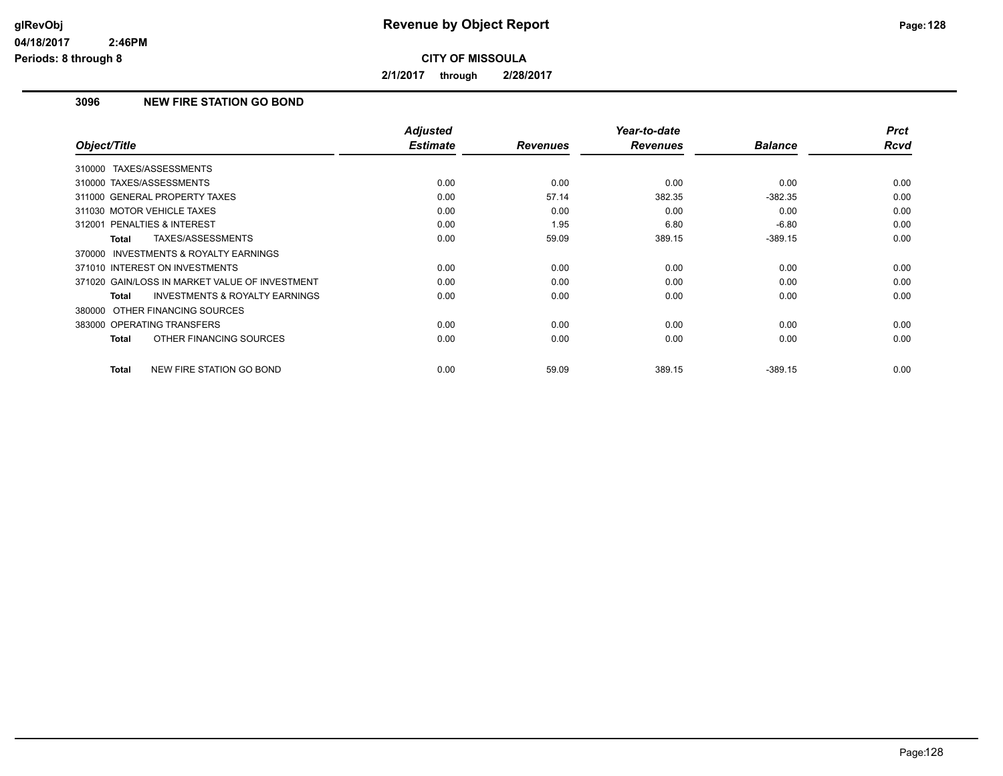**2/1/2017 through 2/28/2017**

#### **3096 NEW FIRE STATION GO BOND**

|                                                           | <b>Adjusted</b> |                 | Year-to-date    |                | <b>Prct</b> |
|-----------------------------------------------------------|-----------------|-----------------|-----------------|----------------|-------------|
| Object/Title                                              | <b>Estimate</b> | <b>Revenues</b> | <b>Revenues</b> | <b>Balance</b> | Rcvd        |
| 310000 TAXES/ASSESSMENTS                                  |                 |                 |                 |                |             |
| 310000 TAXES/ASSESSMENTS                                  | 0.00            | 0.00            | 0.00            | 0.00           | 0.00        |
| 311000 GENERAL PROPERTY TAXES                             | 0.00            | 57.14           | 382.35          | $-382.35$      | 0.00        |
| 311030 MOTOR VEHICLE TAXES                                | 0.00            | 0.00            | 0.00            | 0.00           | 0.00        |
| 312001 PENALTIES & INTEREST                               | 0.00            | 1.95            | 6.80            | $-6.80$        | 0.00        |
| TAXES/ASSESSMENTS<br><b>Total</b>                         | 0.00            | 59.09           | 389.15          | $-389.15$      | 0.00        |
| <b>INVESTMENTS &amp; ROYALTY EARNINGS</b><br>370000       |                 |                 |                 |                |             |
| 371010 INTEREST ON INVESTMENTS                            | 0.00            | 0.00            | 0.00            | 0.00           | 0.00        |
| 371020 GAIN/LOSS IN MARKET VALUE OF INVESTMENT            | 0.00            | 0.00            | 0.00            | 0.00           | 0.00        |
| <b>INVESTMENTS &amp; ROYALTY EARNINGS</b><br><b>Total</b> | 0.00            | 0.00            | 0.00            | 0.00           | 0.00        |
| 380000 OTHER FINANCING SOURCES                            |                 |                 |                 |                |             |
| 383000 OPERATING TRANSFERS                                | 0.00            | 0.00            | 0.00            | 0.00           | 0.00        |
| OTHER FINANCING SOURCES<br><b>Total</b>                   | 0.00            | 0.00            | 0.00            | 0.00           | 0.00        |
| NEW FIRE STATION GO BOND<br><b>Total</b>                  | 0.00            | 59.09           | 389.15          | $-389.15$      | 0.00        |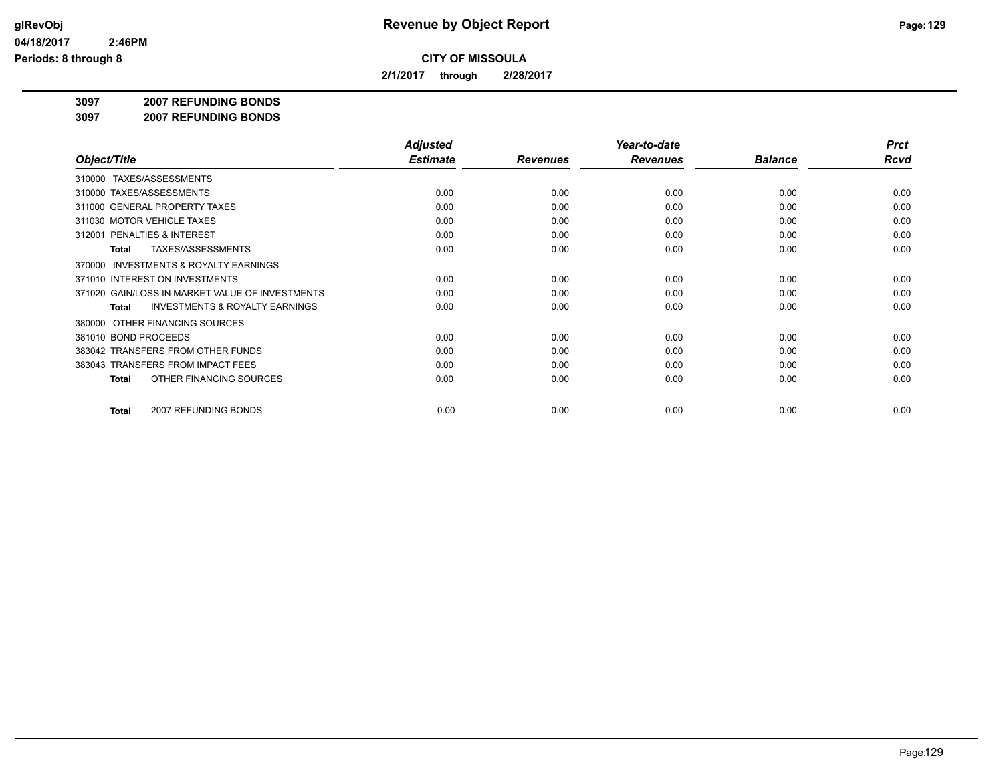**2/1/2017 through 2/28/2017**

**3097 2007 REFUNDING BONDS**

**3097 2007 REFUNDING BONDS**

|                                                    | <b>Adjusted</b> |                 | Year-to-date    |                | <b>Prct</b> |
|----------------------------------------------------|-----------------|-----------------|-----------------|----------------|-------------|
| Object/Title                                       | <b>Estimate</b> | <b>Revenues</b> | <b>Revenues</b> | <b>Balance</b> | Rcvd        |
| 310000 TAXES/ASSESSMENTS                           |                 |                 |                 |                |             |
| 310000 TAXES/ASSESSMENTS                           | 0.00            | 0.00            | 0.00            | 0.00           | 0.00        |
| 311000 GENERAL PROPERTY TAXES                      | 0.00            | 0.00            | 0.00            | 0.00           | 0.00        |
| 311030 MOTOR VEHICLE TAXES                         | 0.00            | 0.00            | 0.00            | 0.00           | 0.00        |
| <b>PENALTIES &amp; INTEREST</b><br>312001          | 0.00            | 0.00            | 0.00            | 0.00           | 0.00        |
| TAXES/ASSESSMENTS<br><b>Total</b>                  | 0.00            | 0.00            | 0.00            | 0.00           | 0.00        |
| INVESTMENTS & ROYALTY EARNINGS<br>370000           |                 |                 |                 |                |             |
| 371010 INTEREST ON INVESTMENTS                     | 0.00            | 0.00            | 0.00            | 0.00           | 0.00        |
| 371020 GAIN/LOSS IN MARKET VALUE OF INVESTMENTS    | 0.00            | 0.00            | 0.00            | 0.00           | 0.00        |
| <b>INVESTMENTS &amp; ROYALTY EARNINGS</b><br>Total | 0.00            | 0.00            | 0.00            | 0.00           | 0.00        |
| OTHER FINANCING SOURCES<br>380000                  |                 |                 |                 |                |             |
| 381010 BOND PROCEEDS                               | 0.00            | 0.00            | 0.00            | 0.00           | 0.00        |
| 383042 TRANSFERS FROM OTHER FUNDS                  | 0.00            | 0.00            | 0.00            | 0.00           | 0.00        |
| 383043 TRANSFERS FROM IMPACT FEES                  | 0.00            | 0.00            | 0.00            | 0.00           | 0.00        |
| OTHER FINANCING SOURCES<br>Total                   | 0.00            | 0.00            | 0.00            | 0.00           | 0.00        |
|                                                    |                 |                 |                 |                |             |
| 2007 REFUNDING BONDS<br><b>Total</b>               | 0.00            | 0.00            | 0.00            | 0.00           | 0.00        |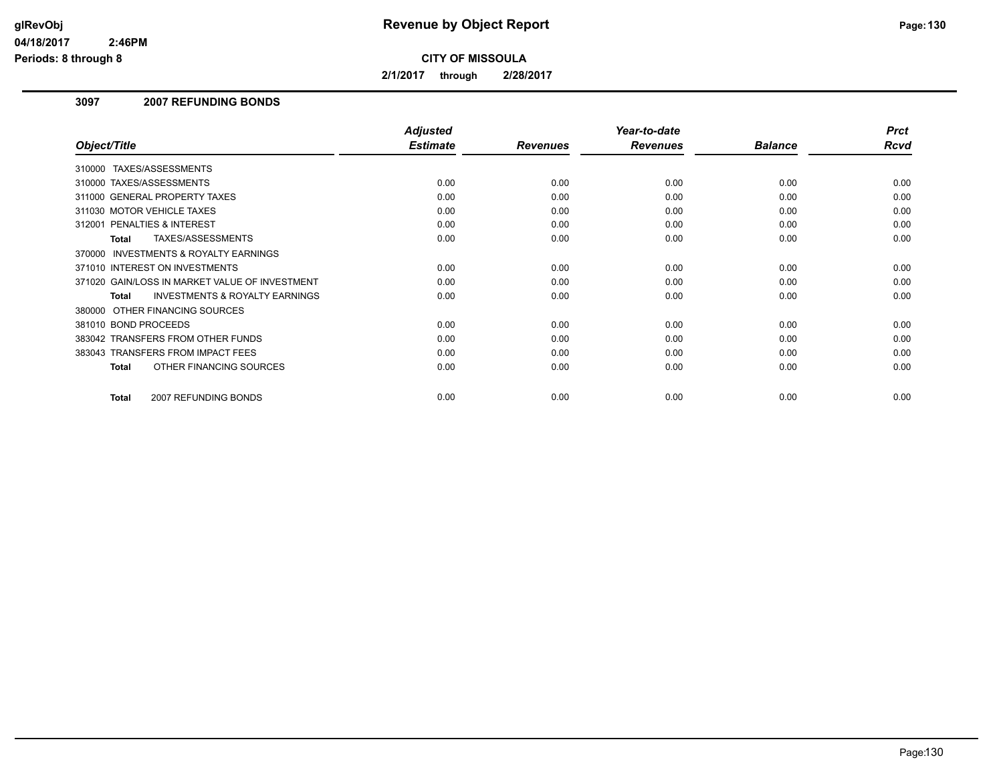**2/1/2017 through 2/28/2017**

#### **3097 2007 REFUNDING BONDS**

|                                                           | <b>Adjusted</b> |                 | Year-to-date    |                | <b>Prct</b> |
|-----------------------------------------------------------|-----------------|-----------------|-----------------|----------------|-------------|
| Object/Title                                              | <b>Estimate</b> | <b>Revenues</b> | <b>Revenues</b> | <b>Balance</b> | <b>Rcvd</b> |
| TAXES/ASSESSMENTS<br>310000                               |                 |                 |                 |                |             |
| 310000 TAXES/ASSESSMENTS                                  | 0.00            | 0.00            | 0.00            | 0.00           | 0.00        |
| 311000 GENERAL PROPERTY TAXES                             | 0.00            | 0.00            | 0.00            | 0.00           | 0.00        |
| 311030 MOTOR VEHICLE TAXES                                | 0.00            | 0.00            | 0.00            | 0.00           | 0.00        |
| 312001 PENALTIES & INTEREST                               | 0.00            | 0.00            | 0.00            | 0.00           | 0.00        |
| TAXES/ASSESSMENTS<br>Total                                | 0.00            | 0.00            | 0.00            | 0.00           | 0.00        |
| <b>INVESTMENTS &amp; ROYALTY EARNINGS</b><br>370000       |                 |                 |                 |                |             |
| 371010 INTEREST ON INVESTMENTS                            | 0.00            | 0.00            | 0.00            | 0.00           | 0.00        |
| 371020 GAIN/LOSS IN MARKET VALUE OF INVESTMENT            | 0.00            | 0.00            | 0.00            | 0.00           | 0.00        |
| <b>INVESTMENTS &amp; ROYALTY EARNINGS</b><br><b>Total</b> | 0.00            | 0.00            | 0.00            | 0.00           | 0.00        |
| 380000 OTHER FINANCING SOURCES                            |                 |                 |                 |                |             |
| 381010 BOND PROCEEDS                                      | 0.00            | 0.00            | 0.00            | 0.00           | 0.00        |
| 383042 TRANSFERS FROM OTHER FUNDS                         | 0.00            | 0.00            | 0.00            | 0.00           | 0.00        |
| 383043 TRANSFERS FROM IMPACT FEES                         | 0.00            | 0.00            | 0.00            | 0.00           | 0.00        |
| OTHER FINANCING SOURCES<br>Total                          | 0.00            | 0.00            | 0.00            | 0.00           | 0.00        |
| 2007 REFUNDING BONDS<br>Total                             | 0.00            | 0.00            | 0.00            | 0.00           | 0.00        |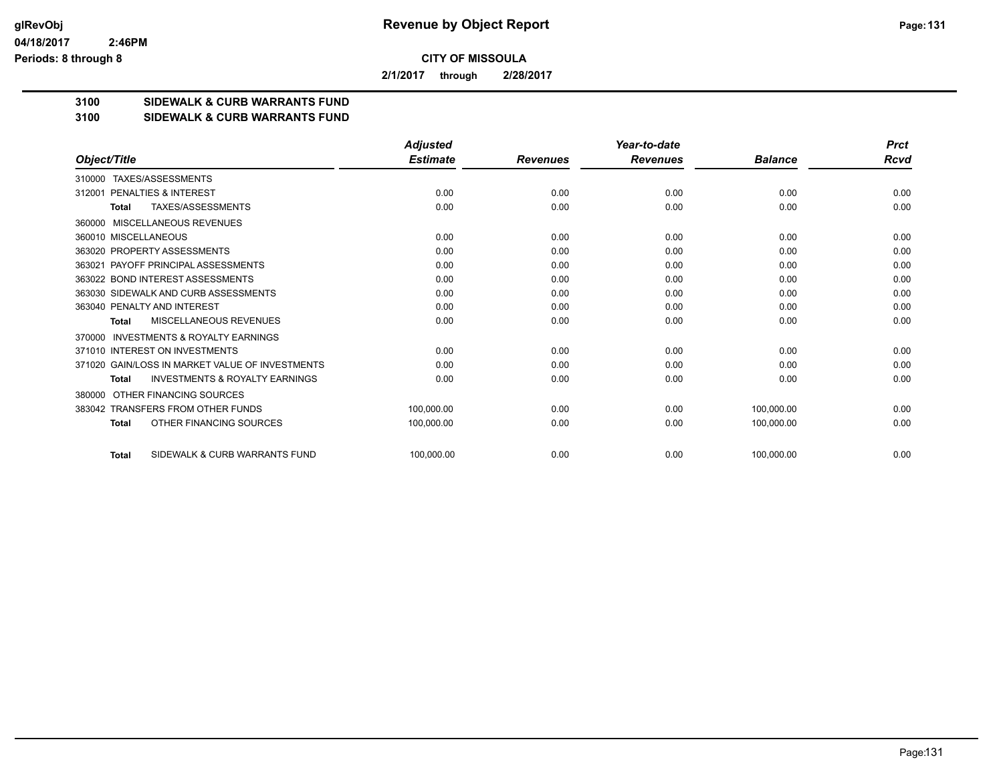**2/1/2017 through 2/28/2017**

## **3100 SIDEWALK & CURB WARRANTS FUND 3100 SIDEWALK & CURB WARRANTS FUND**

|                                                     | <b>Adjusted</b> |                 | Year-to-date    |                | <b>Prct</b> |
|-----------------------------------------------------|-----------------|-----------------|-----------------|----------------|-------------|
| Object/Title                                        | <b>Estimate</b> | <b>Revenues</b> | <b>Revenues</b> | <b>Balance</b> | <b>Rcvd</b> |
| TAXES/ASSESSMENTS<br>310000                         |                 |                 |                 |                |             |
| <b>PENALTIES &amp; INTEREST</b><br>312001           | 0.00            | 0.00            | 0.00            | 0.00           | 0.00        |
| TAXES/ASSESSMENTS<br><b>Total</b>                   | 0.00            | 0.00            | 0.00            | 0.00           | 0.00        |
| MISCELLANEOUS REVENUES<br>360000                    |                 |                 |                 |                |             |
| 360010 MISCELLANEOUS                                | 0.00            | 0.00            | 0.00            | 0.00           | 0.00        |
| 363020 PROPERTY ASSESSMENTS                         | 0.00            | 0.00            | 0.00            | 0.00           | 0.00        |
| PAYOFF PRINCIPAL ASSESSMENTS<br>363021              | 0.00            | 0.00            | 0.00            | 0.00           | 0.00        |
| 363022 BOND INTEREST ASSESSMENTS                    | 0.00            | 0.00            | 0.00            | 0.00           | 0.00        |
| 363030 SIDEWALK AND CURB ASSESSMENTS                | 0.00            | 0.00            | 0.00            | 0.00           | 0.00        |
| 363040 PENALTY AND INTEREST                         | 0.00            | 0.00            | 0.00            | 0.00           | 0.00        |
| MISCELLANEOUS REVENUES<br><b>Total</b>              | 0.00            | 0.00            | 0.00            | 0.00           | 0.00        |
| <b>INVESTMENTS &amp; ROYALTY EARNINGS</b><br>370000 |                 |                 |                 |                |             |
| 371010 INTEREST ON INVESTMENTS                      | 0.00            | 0.00            | 0.00            | 0.00           | 0.00        |
| 371020 GAIN/LOSS IN MARKET VALUE OF INVESTMENTS     | 0.00            | 0.00            | 0.00            | 0.00           | 0.00        |
| <b>INVESTMENTS &amp; ROYALTY EARNINGS</b><br>Total  | 0.00            | 0.00            | 0.00            | 0.00           | 0.00        |
| OTHER FINANCING SOURCES<br>380000                   |                 |                 |                 |                |             |
| 383042 TRANSFERS FROM OTHER FUNDS                   | 100,000.00      | 0.00            | 0.00            | 100,000.00     | 0.00        |
| OTHER FINANCING SOURCES<br>Total                    | 100,000.00      | 0.00            | 0.00            | 100,000.00     | 0.00        |
| SIDEWALK & CURB WARRANTS FUND<br><b>Total</b>       | 100,000.00      | 0.00            | 0.00            | 100,000.00     | 0.00        |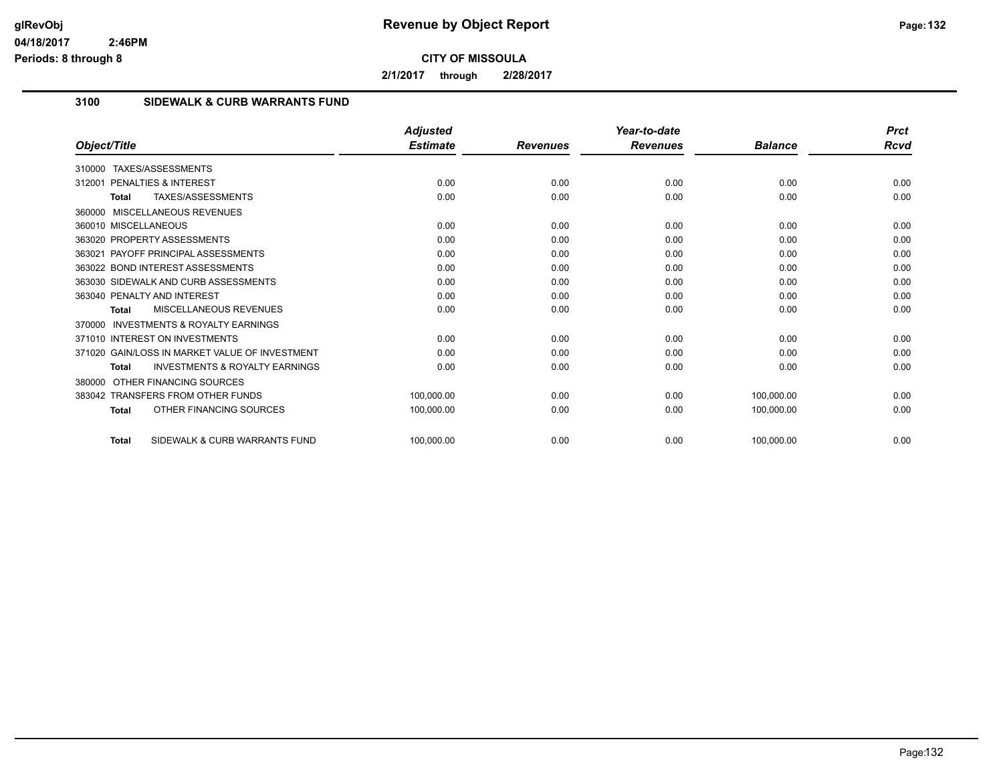**2/1/2017 through 2/28/2017**

#### **3100 SIDEWALK & CURB WARRANTS FUND**

|                                                           | <b>Adjusted</b> |                 | Year-to-date    |                | <b>Prct</b> |
|-----------------------------------------------------------|-----------------|-----------------|-----------------|----------------|-------------|
| Object/Title                                              | <b>Estimate</b> | <b>Revenues</b> | <b>Revenues</b> | <b>Balance</b> | Rcvd        |
| TAXES/ASSESSMENTS<br>310000                               |                 |                 |                 |                |             |
| PENALTIES & INTEREST<br>312001                            | 0.00            | 0.00            | 0.00            | 0.00           | 0.00        |
| TAXES/ASSESSMENTS<br><b>Total</b>                         | 0.00            | 0.00            | 0.00            | 0.00           | 0.00        |
| 360000 MISCELLANEOUS REVENUES                             |                 |                 |                 |                |             |
| 360010 MISCELLANEOUS                                      | 0.00            | 0.00            | 0.00            | 0.00           | 0.00        |
| 363020 PROPERTY ASSESSMENTS                               | 0.00            | 0.00            | 0.00            | 0.00           | 0.00        |
| 363021 PAYOFF PRINCIPAL ASSESSMENTS                       | 0.00            | 0.00            | 0.00            | 0.00           | 0.00        |
| 363022 BOND INTEREST ASSESSMENTS                          | 0.00            | 0.00            | 0.00            | 0.00           | 0.00        |
| 363030 SIDEWALK AND CURB ASSESSMENTS                      | 0.00            | 0.00            | 0.00            | 0.00           | 0.00        |
| 363040 PENALTY AND INTEREST                               | 0.00            | 0.00            | 0.00            | 0.00           | 0.00        |
| MISCELLANEOUS REVENUES<br>Total                           | 0.00            | 0.00            | 0.00            | 0.00           | 0.00        |
| INVESTMENTS & ROYALTY EARNINGS<br>370000                  |                 |                 |                 |                |             |
| 371010 INTEREST ON INVESTMENTS                            | 0.00            | 0.00            | 0.00            | 0.00           | 0.00        |
| 371020 GAIN/LOSS IN MARKET VALUE OF INVESTMENT            | 0.00            | 0.00            | 0.00            | 0.00           | 0.00        |
| <b>INVESTMENTS &amp; ROYALTY EARNINGS</b><br><b>Total</b> | 0.00            | 0.00            | 0.00            | 0.00           | 0.00        |
| 380000 OTHER FINANCING SOURCES                            |                 |                 |                 |                |             |
| 383042 TRANSFERS FROM OTHER FUNDS                         | 100,000.00      | 0.00            | 0.00            | 100,000.00     | 0.00        |
| OTHER FINANCING SOURCES<br><b>Total</b>                   | 100,000.00      | 0.00            | 0.00            | 100,000.00     | 0.00        |
| SIDEWALK & CURB WARRANTS FUND<br><b>Total</b>             | 100,000.00      | 0.00            | 0.00            | 100.000.00     | 0.00        |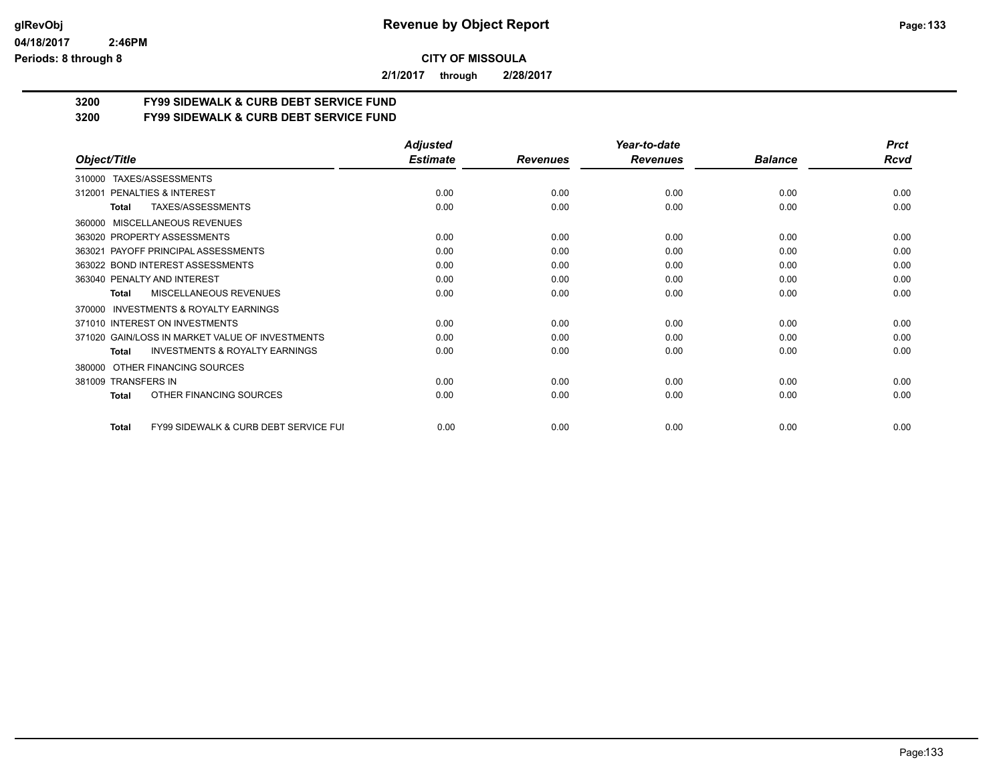**2/1/2017 through 2/28/2017**

# **3200 FY99 SIDEWALK & CURB DEBT SERVICE FUND**

| 3200 | <b>FY99 SIDEWALK &amp; CURB DEBT SERVICE FUND</b> |  |
|------|---------------------------------------------------|--|
|      |                                                   |  |

|                                                                  | <b>Adjusted</b> |                 | Year-to-date    |                | <b>Prct</b> |
|------------------------------------------------------------------|-----------------|-----------------|-----------------|----------------|-------------|
| Object/Title                                                     | <b>Estimate</b> | <b>Revenues</b> | <b>Revenues</b> | <b>Balance</b> | <b>Rcvd</b> |
| TAXES/ASSESSMENTS<br>310000                                      |                 |                 |                 |                |             |
| PENALTIES & INTEREST<br>312001                                   | 0.00            | 0.00            | 0.00            | 0.00           | 0.00        |
| TAXES/ASSESSMENTS<br>Total                                       | 0.00            | 0.00            | 0.00            | 0.00           | 0.00        |
| MISCELLANEOUS REVENUES<br>360000                                 |                 |                 |                 |                |             |
| 363020 PROPERTY ASSESSMENTS                                      | 0.00            | 0.00            | 0.00            | 0.00           | 0.00        |
| PAYOFF PRINCIPAL ASSESSMENTS<br>363021                           | 0.00            | 0.00            | 0.00            | 0.00           | 0.00        |
| 363022 BOND INTEREST ASSESSMENTS                                 | 0.00            | 0.00            | 0.00            | 0.00           | 0.00        |
| 363040 PENALTY AND INTEREST                                      | 0.00            | 0.00            | 0.00            | 0.00           | 0.00        |
| <b>MISCELLANEOUS REVENUES</b><br>Total                           | 0.00            | 0.00            | 0.00            | 0.00           | 0.00        |
| <b>INVESTMENTS &amp; ROYALTY EARNINGS</b><br>370000              |                 |                 |                 |                |             |
| 371010 INTEREST ON INVESTMENTS                                   | 0.00            | 0.00            | 0.00            | 0.00           | 0.00        |
| 371020 GAIN/LOSS IN MARKET VALUE OF INVESTMENTS                  | 0.00            | 0.00            | 0.00            | 0.00           | 0.00        |
| <b>INVESTMENTS &amp; ROYALTY EARNINGS</b><br>Total               | 0.00            | 0.00            | 0.00            | 0.00           | 0.00        |
| OTHER FINANCING SOURCES<br>380000                                |                 |                 |                 |                |             |
| 381009 TRANSFERS IN                                              | 0.00            | 0.00            | 0.00            | 0.00           | 0.00        |
| OTHER FINANCING SOURCES<br>Total                                 | 0.00            | 0.00            | 0.00            | 0.00           | 0.00        |
| <b>FY99 SIDEWALK &amp; CURB DEBT SERVICE FUI</b><br><b>Total</b> | 0.00            | 0.00            | 0.00            | 0.00           | 0.00        |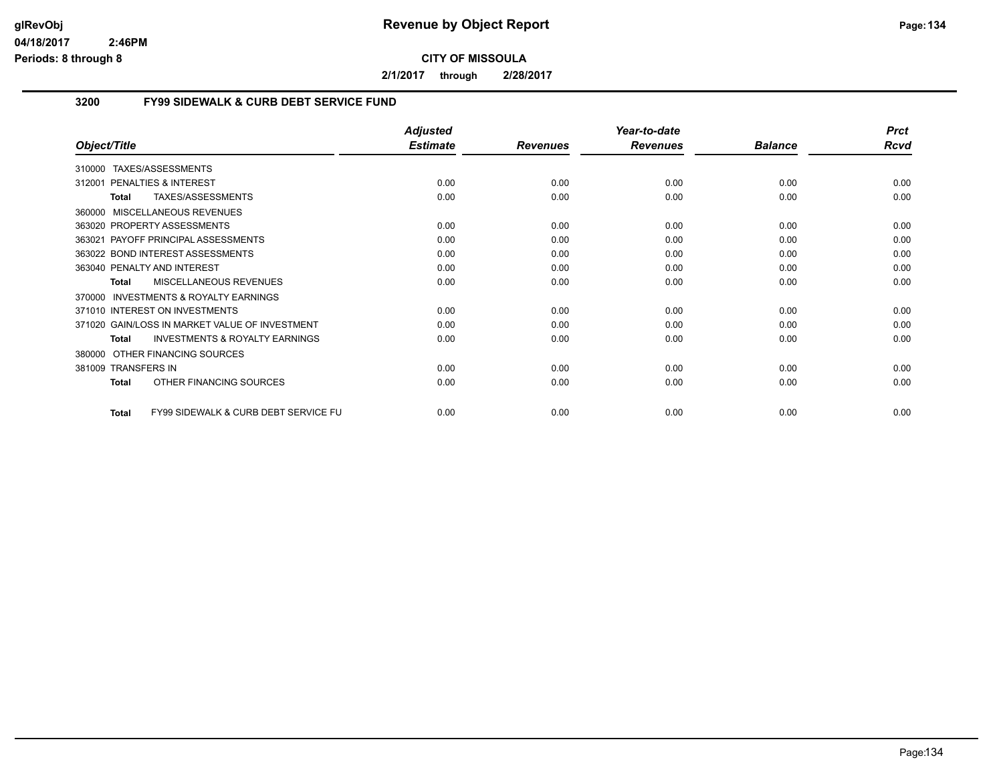**2/1/2017 through 2/28/2017**

#### **3200 FY99 SIDEWALK & CURB DEBT SERVICE FUND**

|                                                           | <b>Adjusted</b> |                 | Year-to-date    |                | <b>Prct</b> |
|-----------------------------------------------------------|-----------------|-----------------|-----------------|----------------|-------------|
| Object/Title                                              | <b>Estimate</b> | <b>Revenues</b> | <b>Revenues</b> | <b>Balance</b> | <b>Rcvd</b> |
| TAXES/ASSESSMENTS<br>310000                               |                 |                 |                 |                |             |
| <b>PENALTIES &amp; INTEREST</b><br>312001                 | 0.00            | 0.00            | 0.00            | 0.00           | 0.00        |
| TAXES/ASSESSMENTS<br><b>Total</b>                         | 0.00            | 0.00            | 0.00            | 0.00           | 0.00        |
| 360000 MISCELLANEOUS REVENUES                             |                 |                 |                 |                |             |
| 363020 PROPERTY ASSESSMENTS                               | 0.00            | 0.00            | 0.00            | 0.00           | 0.00        |
| PAYOFF PRINCIPAL ASSESSMENTS<br>363021                    | 0.00            | 0.00            | 0.00            | 0.00           | 0.00        |
| 363022 BOND INTEREST ASSESSMENTS                          | 0.00            | 0.00            | 0.00            | 0.00           | 0.00        |
| 363040 PENALTY AND INTEREST                               | 0.00            | 0.00            | 0.00            | 0.00           | 0.00        |
| MISCELLANEOUS REVENUES<br>Total                           | 0.00            | 0.00            | 0.00            | 0.00           | 0.00        |
| <b>INVESTMENTS &amp; ROYALTY EARNINGS</b><br>370000       |                 |                 |                 |                |             |
| 371010 INTEREST ON INVESTMENTS                            | 0.00            | 0.00            | 0.00            | 0.00           | 0.00        |
| 371020 GAIN/LOSS IN MARKET VALUE OF INVESTMENT            | 0.00            | 0.00            | 0.00            | 0.00           | 0.00        |
| <b>INVESTMENTS &amp; ROYALTY EARNINGS</b><br><b>Total</b> | 0.00            | 0.00            | 0.00            | 0.00           | 0.00        |
| 380000 OTHER FINANCING SOURCES                            |                 |                 |                 |                |             |
| 381009 TRANSFERS IN                                       | 0.00            | 0.00            | 0.00            | 0.00           | 0.00        |
| OTHER FINANCING SOURCES<br><b>Total</b>                   | 0.00            | 0.00            | 0.00            | 0.00           | 0.00        |
| FY99 SIDEWALK & CURB DEBT SERVICE FU<br><b>Total</b>      | 0.00            | 0.00            | 0.00            | 0.00           | 0.00        |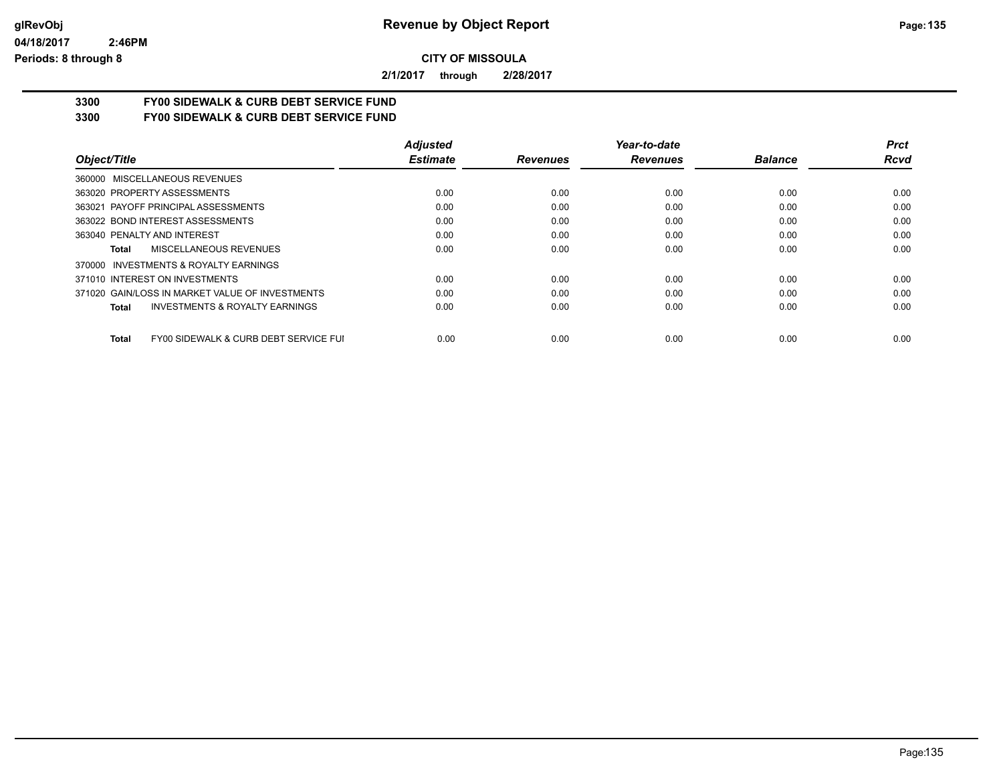**2/1/2017 through 2/28/2017**

#### **3300 FY00 SIDEWALK & CURB DEBT SERVICE FUND 3300 FY00 SIDEWALK & CURB DEBT SERVICE FUND**

|                                                       | <b>Adjusted</b> |                 | Year-to-date    |                | <b>Prct</b> |
|-------------------------------------------------------|-----------------|-----------------|-----------------|----------------|-------------|
| Object/Title                                          | <b>Estimate</b> | <b>Revenues</b> | <b>Revenues</b> | <b>Balance</b> | <b>Rcvd</b> |
| 360000 MISCELLANEOUS REVENUES                         |                 |                 |                 |                |             |
| 363020 PROPERTY ASSESSMENTS                           | 0.00            | 0.00            | 0.00            | 0.00           | 0.00        |
| 363021 PAYOFF PRINCIPAL ASSESSMENTS                   | 0.00            | 0.00            | 0.00            | 0.00           | 0.00        |
| 363022 BOND INTEREST ASSESSMENTS                      | 0.00            | 0.00            | 0.00            | 0.00           | 0.00        |
| 363040 PENALTY AND INTEREST                           | 0.00            | 0.00            | 0.00            | 0.00           | 0.00        |
| MISCELLANEOUS REVENUES<br>Total                       | 0.00            | 0.00            | 0.00            | 0.00           | 0.00        |
| INVESTMENTS & ROYALTY EARNINGS<br>370000              |                 |                 |                 |                |             |
| 371010 INTEREST ON INVESTMENTS                        | 0.00            | 0.00            | 0.00            | 0.00           | 0.00        |
| 371020 GAIN/LOSS IN MARKET VALUE OF INVESTMENTS       | 0.00            | 0.00            | 0.00            | 0.00           | 0.00        |
| INVESTMENTS & ROYALTY EARNINGS<br>Total               | 0.00            | 0.00            | 0.00            | 0.00           | 0.00        |
| FY00 SIDEWALK & CURB DEBT SERVICE FUI<br><b>Total</b> | 0.00            | 0.00            | 0.00            | 0.00           | 0.00        |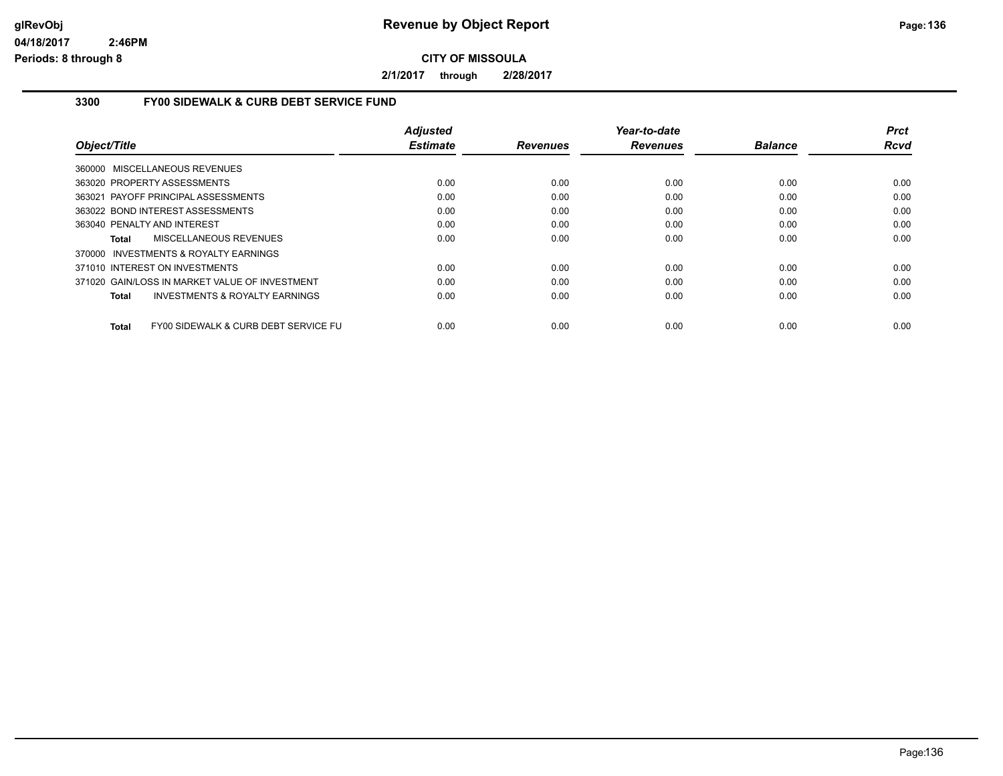**2/1/2017 through 2/28/2017**

#### **3300 FY00 SIDEWALK & CURB DEBT SERVICE FUND**

| Object/Title                                         | <b>Adjusted</b><br><b>Estimate</b> | <b>Revenues</b> | Year-to-date<br><b>Revenues</b> | <b>Balance</b> | <b>Prct</b><br><b>Rcvd</b> |
|------------------------------------------------------|------------------------------------|-----------------|---------------------------------|----------------|----------------------------|
| 360000 MISCELLANEOUS REVENUES                        |                                    |                 |                                 |                |                            |
| 363020 PROPERTY ASSESSMENTS                          | 0.00                               | 0.00            | 0.00                            | 0.00           | 0.00                       |
| 363021 PAYOFF PRINCIPAL ASSESSMENTS                  | 0.00                               | 0.00            | 0.00                            | 0.00           | 0.00                       |
| 363022 BOND INTEREST ASSESSMENTS                     | 0.00                               | 0.00            | 0.00                            | 0.00           | 0.00                       |
| 363040 PENALTY AND INTEREST                          | 0.00                               | 0.00            | 0.00                            | 0.00           | 0.00                       |
| MISCELLANEOUS REVENUES<br>Total                      | 0.00                               | 0.00            | 0.00                            | 0.00           | 0.00                       |
| 370000 INVESTMENTS & ROYALTY EARNINGS                |                                    |                 |                                 |                |                            |
| 371010 INTEREST ON INVESTMENTS                       | 0.00                               | 0.00            | 0.00                            | 0.00           | 0.00                       |
| 371020 GAIN/LOSS IN MARKET VALUE OF INVESTMENT       | 0.00                               | 0.00            | 0.00                            | 0.00           | 0.00                       |
| INVESTMENTS & ROYALTY EARNINGS<br>Total              | 0.00                               | 0.00            | 0.00                            | 0.00           | 0.00                       |
| <b>Total</b><br>FY00 SIDEWALK & CURB DEBT SERVICE FU | 0.00                               | 0.00            | 0.00                            | 0.00           | 0.00                       |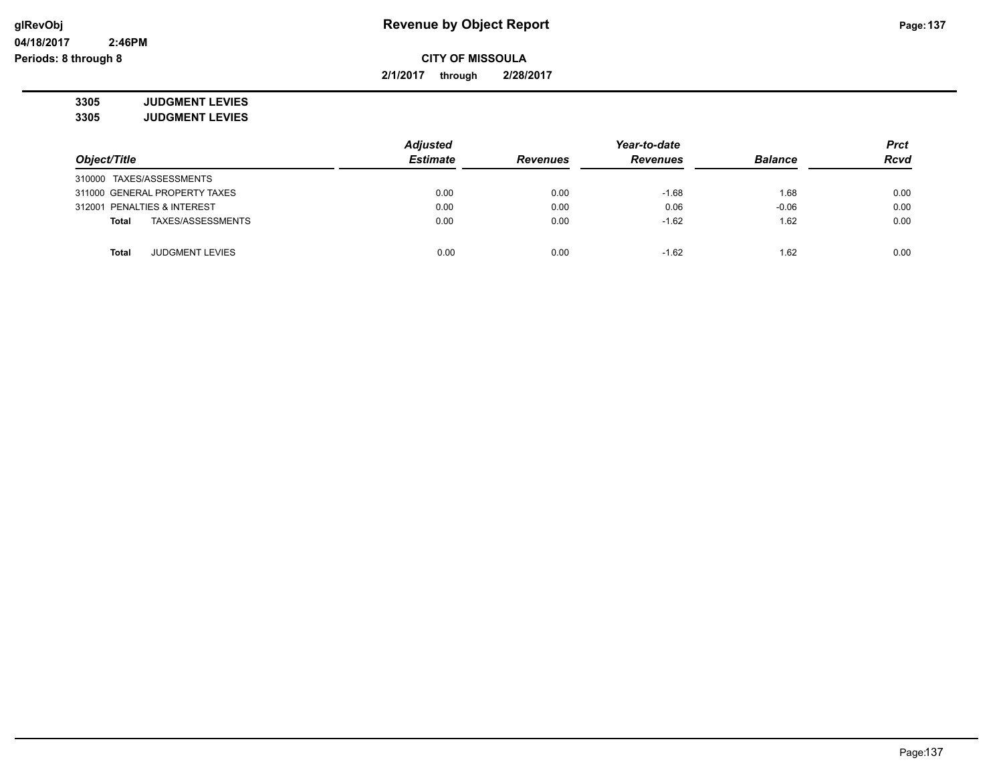**2/1/2017 through 2/28/2017**

**3305 JUDGMENT LEVIES 3305 JUDGMENT LEVIES**

| <b>Adjusted</b> |                 | Year-to-date    |                | <b>Prct</b> |
|-----------------|-----------------|-----------------|----------------|-------------|
| <b>Estimate</b> | <b>Revenues</b> | <b>Revenues</b> | <b>Balance</b> | <b>Rcvd</b> |
|                 |                 |                 |                |             |
| 0.00            | 0.00            | $-1.68$         | 1.68           | 0.00        |
| 0.00            | 0.00            | 0.06            | $-0.06$        | 0.00        |
| 0.00            | 0.00            | $-1.62$         | 1.62           | 0.00        |
|                 |                 |                 |                | 0.00        |
|                 | 0.00            | 0.00            | $-1.62$        | 1.62        |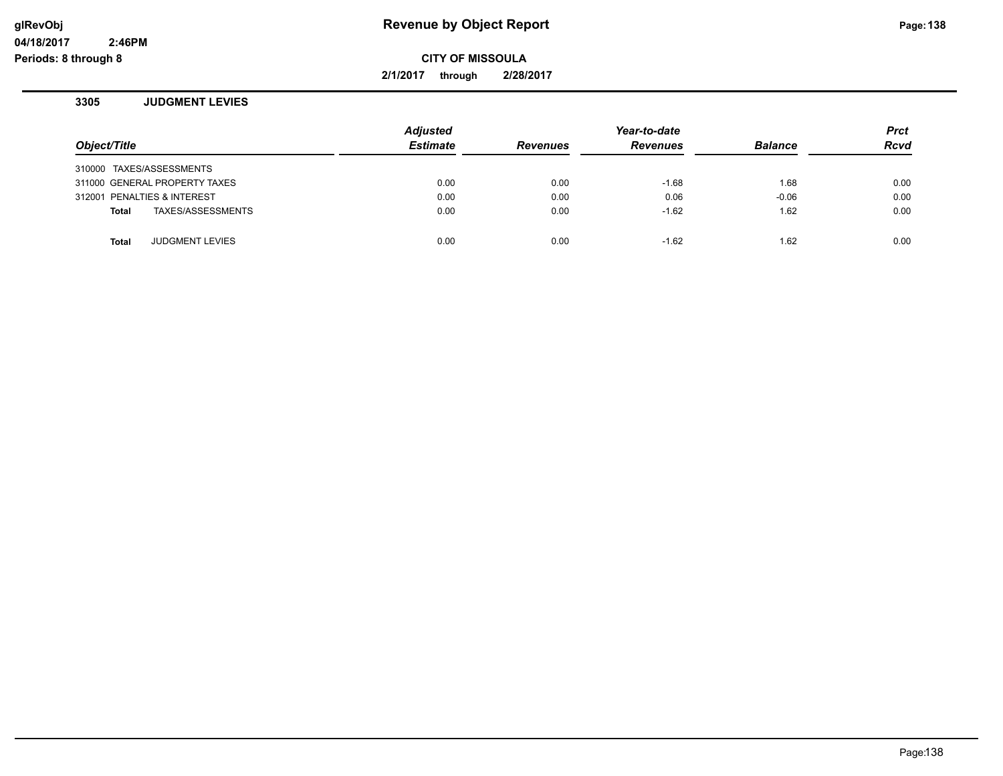**Periods: 8 through 8**

**CITY OF MISSOULA**

**2/1/2017 through 2/28/2017**

#### **3305 JUDGMENT LEVIES**

|                                   | <b>Adjusted</b> |                 | Year-to-date    |                | <b>Prct</b> |
|-----------------------------------|-----------------|-----------------|-----------------|----------------|-------------|
| Object/Title                      | <b>Estimate</b> | <b>Revenues</b> | <b>Revenues</b> | <b>Balance</b> | <b>Rcvd</b> |
| 310000 TAXES/ASSESSMENTS          |                 |                 |                 |                |             |
| 311000 GENERAL PROPERTY TAXES     | 0.00            | 0.00            | $-1.68$         | 1.68           | 0.00        |
| 312001 PENALTIES & INTEREST       | 0.00            | 0.00            | 0.06            | $-0.06$        | 0.00        |
| TAXES/ASSESSMENTS<br><b>Total</b> | 0.00            | 0.00            | $-1.62$         | 1.62           | 0.00        |
|                                   |                 |                 |                 |                |             |
| <b>JUDGMENT LEVIES</b><br>Total   | 0.00            | 0.00            | $-1.62$         | 1.62           | 0.00        |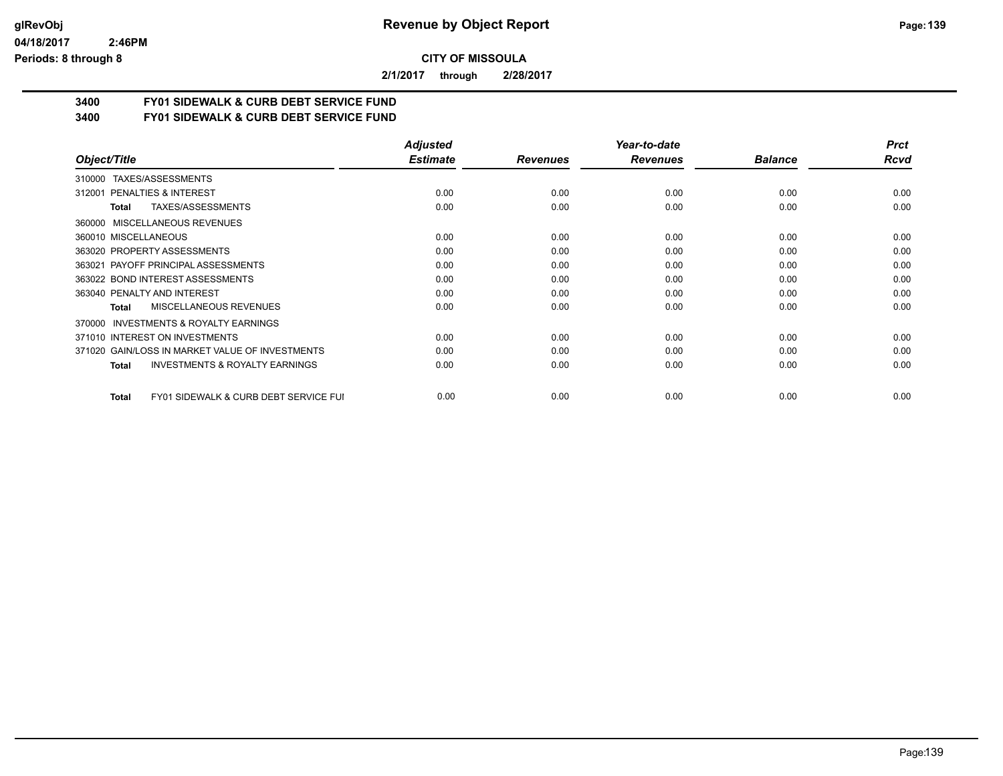*Prct Rcvd*

**CITY OF MISSOULA**

**2/1/2017 through 2/28/2017**

#### **3400 FY01 SIDEWALK & CURB DEBT SERVICE FUND 3400 FY01 SIDEWALK & CURB DEBT SERVICE FUND**

|                                                       | Adjusted        |                 | Year-to-date    |                | <b>Prct</b> |
|-------------------------------------------------------|-----------------|-----------------|-----------------|----------------|-------------|
| Object/Title                                          | <b>Estimate</b> | <b>Revenues</b> | <b>Revenues</b> | <b>Balance</b> | Rcva        |
| TAXES/ASSESSMENTS<br>310000                           |                 |                 |                 |                |             |
| PENALTIES & INTEREST<br>312001                        | 0.00            | 0.00            | 0.00            | 0.00           | 0.00        |
| TAXES/ASSESSMENTS<br>Total                            | 0.00            | 0.00            | 0.00            | 0.00           | 0.00        |
| MISCELLANEOUS REVENUES<br>360000                      |                 |                 |                 |                |             |
| 360010 MISCELLANEOUS                                  | 0.00            | 0.00            | 0.00            | 0.00           | 0.00        |
| 363020 PROPERTY ASSESSMENTS                           | 0.00            | 0.00            | 0.00            | 0.00           | 0.00        |
| 363021 PAYOFF PRINCIPAL ASSESSMENTS                   | 0.00            | 0.00            | 0.00            | 0.00           | 0.00        |
| 363022 BOND INTEREST ASSESSMENTS                      | 0.00            | 0.00            | 0.00            | 0.00           | 0.00        |
| 363040 PENALTY AND INTEREST                           | 0.00            | 0.00            | 0.00            | 0.00           | 0.00        |
| MISCELLANEOUS REVENUES<br><b>Total</b>                | 0.00            | 0.00            | 0.00            | 0.00           | 0.00        |
| <b>INVESTMENTS &amp; ROYALTY EARNINGS</b><br>370000   |                 |                 |                 |                |             |
| 371010 INTEREST ON INVESTMENTS                        | 0.00            | 0.00            | 0.00            | 0.00           | 0.00        |
| 371020 GAIN/LOSS IN MARKET VALUE OF INVESTMENTS       | 0.00            | 0.00            | 0.00            | 0.00           | 0.00        |
| <b>INVESTMENTS &amp; ROYALTY EARNINGS</b><br>Total    | 0.00            | 0.00            | 0.00            | 0.00           | 0.00        |
| FY01 SIDEWALK & CURB DEBT SERVICE FUI<br><b>Total</b> | 0.00            | 0.00            | 0.00            | 0.00           | 0.00        |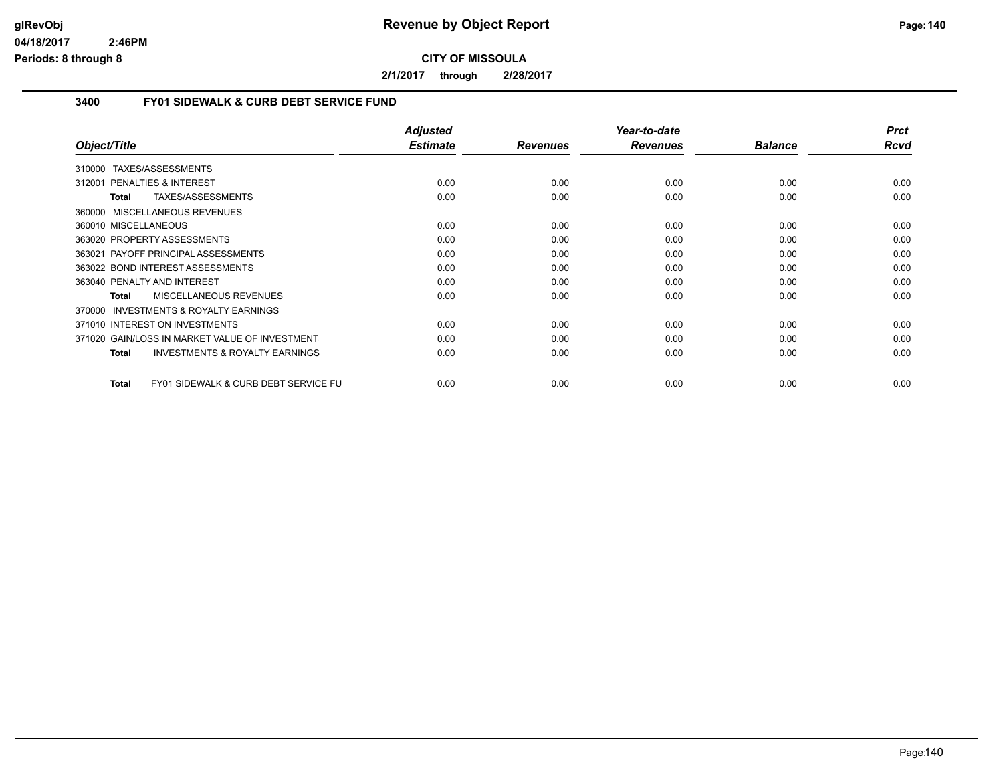**2/1/2017 through 2/28/2017**

#### **3400 FY01 SIDEWALK & CURB DEBT SERVICE FUND**

|                                                           | <b>Adjusted</b> |                 | Year-to-date    |                | <b>Prct</b> |
|-----------------------------------------------------------|-----------------|-----------------|-----------------|----------------|-------------|
| Object/Title                                              | <b>Estimate</b> | <b>Revenues</b> | <b>Revenues</b> | <b>Balance</b> | Rcvd        |
| TAXES/ASSESSMENTS<br>310000                               |                 |                 |                 |                |             |
| 312001 PENALTIES & INTEREST                               | 0.00            | 0.00            | 0.00            | 0.00           | 0.00        |
| TAXES/ASSESSMENTS<br>Total                                | 0.00            | 0.00            | 0.00            | 0.00           | 0.00        |
| 360000 MISCELLANEOUS REVENUES                             |                 |                 |                 |                |             |
| 360010 MISCELLANEOUS                                      | 0.00            | 0.00            | 0.00            | 0.00           | 0.00        |
| 363020 PROPERTY ASSESSMENTS                               | 0.00            | 0.00            | 0.00            | 0.00           | 0.00        |
| 363021 PAYOFF PRINCIPAL ASSESSMENTS                       | 0.00            | 0.00            | 0.00            | 0.00           | 0.00        |
| 363022 BOND INTEREST ASSESSMENTS                          | 0.00            | 0.00            | 0.00            | 0.00           | 0.00        |
| 363040 PENALTY AND INTEREST                               | 0.00            | 0.00            | 0.00            | 0.00           | 0.00        |
| MISCELLANEOUS REVENUES<br>Total                           | 0.00            | 0.00            | 0.00            | 0.00           | 0.00        |
| INVESTMENTS & ROYALTY EARNINGS<br>370000                  |                 |                 |                 |                |             |
| 371010 INTEREST ON INVESTMENTS                            | 0.00            | 0.00            | 0.00            | 0.00           | 0.00        |
| 371020 GAIN/LOSS IN MARKET VALUE OF INVESTMENT            | 0.00            | 0.00            | 0.00            | 0.00           | 0.00        |
| <b>INVESTMENTS &amp; ROYALTY EARNINGS</b><br><b>Total</b> | 0.00            | 0.00            | 0.00            | 0.00           | 0.00        |
| FY01 SIDEWALK & CURB DEBT SERVICE FU<br>Total             | 0.00            | 0.00            | 0.00            | 0.00           | 0.00        |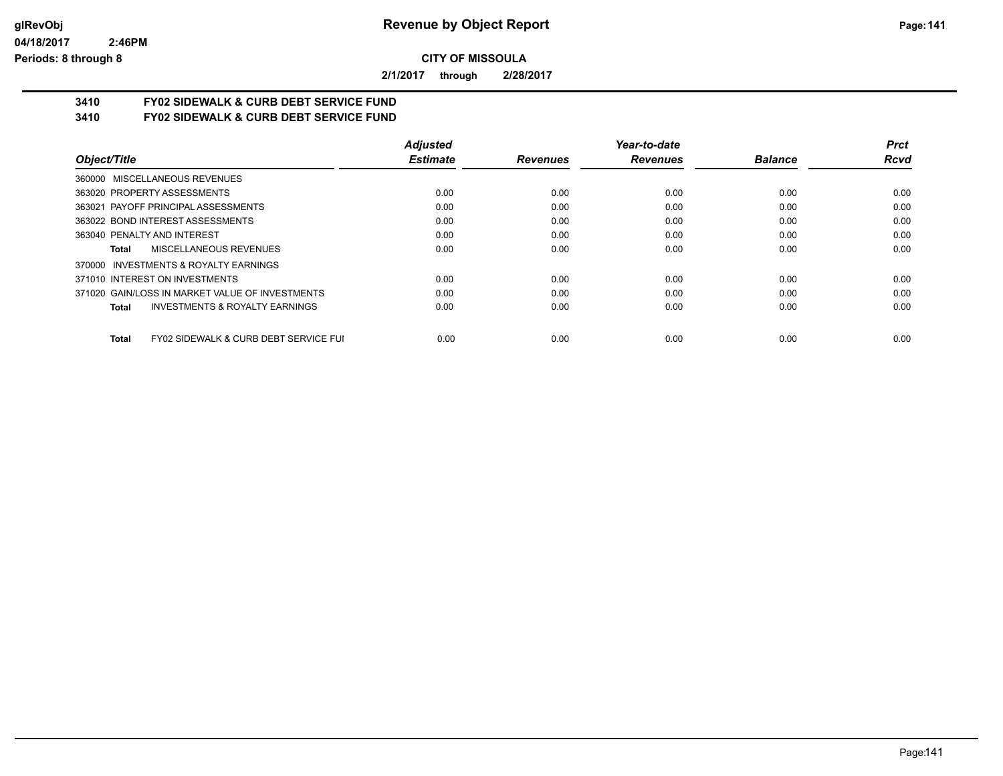*Prct Rcvd*

### **CITY OF MISSOULA**

**2/1/2017 through 2/28/2017**

#### **3410 FY02 SIDEWALK & CURB DEBT SERVICE FUND 3410 FY02 SIDEWALK & CURB DEBT SERVICE FUND**

|                                                                  | <b>Adjusted</b> |                 | Year-to-date    |                | <b>Prct</b> |
|------------------------------------------------------------------|-----------------|-----------------|-----------------|----------------|-------------|
| Object/Title                                                     | <b>Estimate</b> | <b>Revenues</b> | <b>Revenues</b> | <b>Balance</b> | Rcva        |
| 360000 MISCELLANEOUS REVENUES                                    |                 |                 |                 |                |             |
| 363020 PROPERTY ASSESSMENTS                                      | 0.00            | 0.00            | 0.00            | 0.00           | 0.00        |
| 363021 PAYOFF PRINCIPAL ASSESSMENTS                              | 0.00            | 0.00            | 0.00            | 0.00           | 0.00        |
| 363022 BOND INTEREST ASSESSMENTS                                 | 0.00            | 0.00            | 0.00            | 0.00           | 0.00        |
| 363040 PENALTY AND INTEREST                                      | 0.00            | 0.00            | 0.00            | 0.00           | 0.00        |
| MISCELLANEOUS REVENUES<br>Total                                  | 0.00            | 0.00            | 0.00            | 0.00           | 0.00        |
| 370000 INVESTMENTS & ROYALTY EARNINGS                            |                 |                 |                 |                |             |
| 371010 INTEREST ON INVESTMENTS                                   | 0.00            | 0.00            | 0.00            | 0.00           | 0.00        |
| 371020 GAIN/LOSS IN MARKET VALUE OF INVESTMENTS                  | 0.00            | 0.00            | 0.00            | 0.00           | 0.00        |
| <b>INVESTMENTS &amp; ROYALTY EARNINGS</b><br>Total               | 0.00            | 0.00            | 0.00            | 0.00           | 0.00        |
| <b>FY02 SIDEWALK &amp; CURB DEBT SERVICE FUI</b><br><b>Total</b> | 0.00            | 0.00            | 0.00            | 0.00           | 0.00        |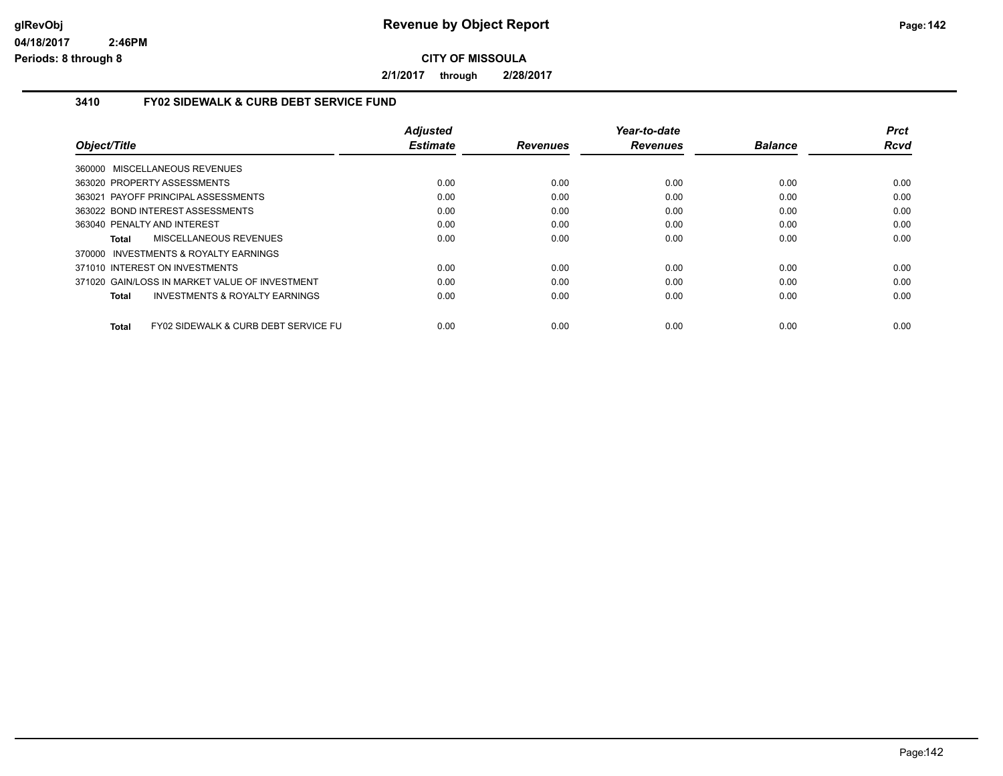**2/1/2017 through 2/28/2017**

#### **3410 FY02 SIDEWALK & CURB DEBT SERVICE FUND**

| Object/Title                                         | <b>Adjusted</b><br><b>Estimate</b> | <b>Revenues</b> | Year-to-date<br><b>Revenues</b> | <b>Balance</b> | <b>Prct</b><br><b>Rcvd</b> |
|------------------------------------------------------|------------------------------------|-----------------|---------------------------------|----------------|----------------------------|
| 360000 MISCELLANEOUS REVENUES                        |                                    |                 |                                 |                |                            |
|                                                      |                                    |                 |                                 |                |                            |
| 363020 PROPERTY ASSESSMENTS                          | 0.00                               | 0.00            | 0.00                            | 0.00           | 0.00                       |
| 363021 PAYOFF PRINCIPAL ASSESSMENTS                  | 0.00                               | 0.00            | 0.00                            | 0.00           | 0.00                       |
| 363022 BOND INTEREST ASSESSMENTS                     | 0.00                               | 0.00            | 0.00                            | 0.00           | 0.00                       |
| 363040 PENALTY AND INTEREST                          | 0.00                               | 0.00            | 0.00                            | 0.00           | 0.00                       |
| MISCELLANEOUS REVENUES<br>Total                      | 0.00                               | 0.00            | 0.00                            | 0.00           | 0.00                       |
| 370000 INVESTMENTS & ROYALTY EARNINGS                |                                    |                 |                                 |                |                            |
| 371010 INTEREST ON INVESTMENTS                       | 0.00                               | 0.00            | 0.00                            | 0.00           | 0.00                       |
| 371020 GAIN/LOSS IN MARKET VALUE OF INVESTMENT       | 0.00                               | 0.00            | 0.00                            | 0.00           | 0.00                       |
| <b>INVESTMENTS &amp; ROYALTY EARNINGS</b><br>Total   | 0.00                               | 0.00            | 0.00                            | 0.00           | 0.00                       |
| FY02 SIDEWALK & CURB DEBT SERVICE FU<br><b>Total</b> | 0.00                               | 0.00            | 0.00                            | 0.00           | 0.00                       |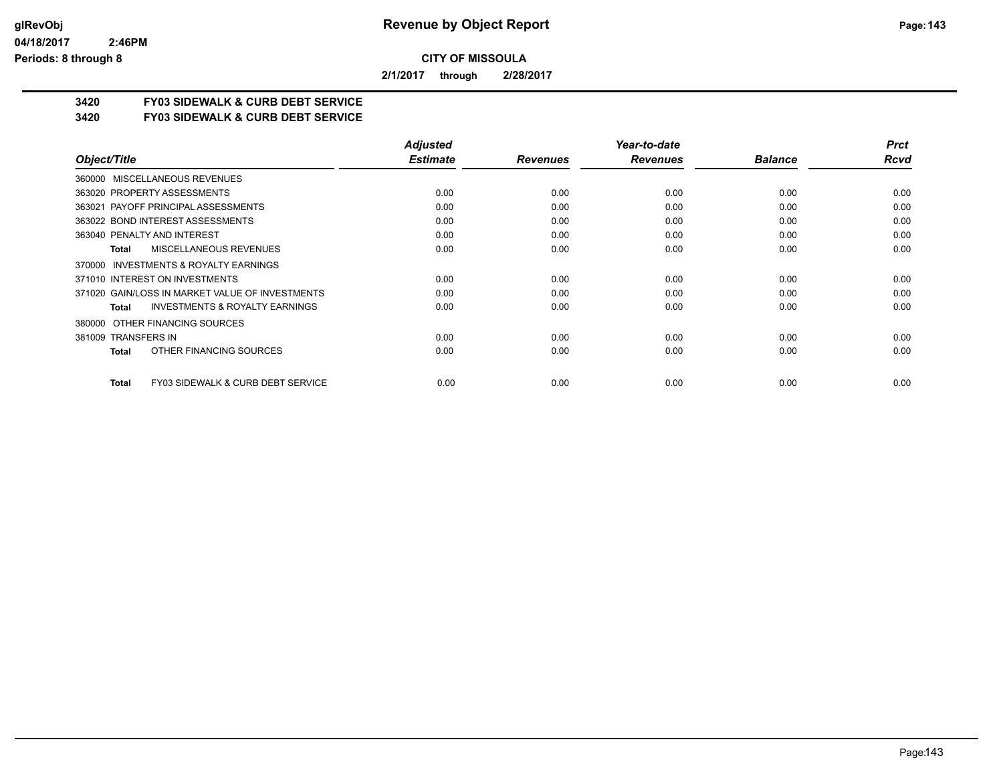**2/1/2017 through 2/28/2017**

# **3420 FY03 SIDEWALK & CURB DEBT SERVICE**

**3420 FY03 SIDEWALK & CURB DEBT SERVICE**

| Object/Title                                        | <b>Adjusted</b> |                 | Year-to-date    |                | <b>Prct</b> |
|-----------------------------------------------------|-----------------|-----------------|-----------------|----------------|-------------|
|                                                     | <b>Estimate</b> | <b>Revenues</b> | <b>Revenues</b> | <b>Balance</b> | <b>Rcvd</b> |
| 360000 MISCELLANEOUS REVENUES                       |                 |                 |                 |                |             |
| 363020 PROPERTY ASSESSMENTS                         | 0.00            | 0.00            | 0.00            | 0.00           | 0.00        |
| 363021 PAYOFF PRINCIPAL ASSESSMENTS                 | 0.00            | 0.00            | 0.00            | 0.00           | 0.00        |
| 363022 BOND INTEREST ASSESSMENTS                    | 0.00            | 0.00            | 0.00            | 0.00           | 0.00        |
| 363040 PENALTY AND INTEREST                         | 0.00            | 0.00            | 0.00            | 0.00           | 0.00        |
| MISCELLANEOUS REVENUES<br>Total                     | 0.00            | 0.00            | 0.00            | 0.00           | 0.00        |
| <b>INVESTMENTS &amp; ROYALTY EARNINGS</b><br>370000 |                 |                 |                 |                |             |
| 371010 INTEREST ON INVESTMENTS                      | 0.00            | 0.00            | 0.00            | 0.00           | 0.00        |
| 371020 GAIN/LOSS IN MARKET VALUE OF INVESTMENTS     | 0.00            | 0.00            | 0.00            | 0.00           | 0.00        |
| <b>INVESTMENTS &amp; ROYALTY EARNINGS</b><br>Total  | 0.00            | 0.00            | 0.00            | 0.00           | 0.00        |
| 380000 OTHER FINANCING SOURCES                      |                 |                 |                 |                |             |
| 381009 TRANSFERS IN                                 | 0.00            | 0.00            | 0.00            | 0.00           | 0.00        |
| OTHER FINANCING SOURCES<br>Total                    | 0.00            | 0.00            | 0.00            | 0.00           | 0.00        |
| FY03 SIDEWALK & CURB DEBT SERVICE<br><b>Total</b>   | 0.00            | 0.00            | 0.00            | 0.00           | 0.00        |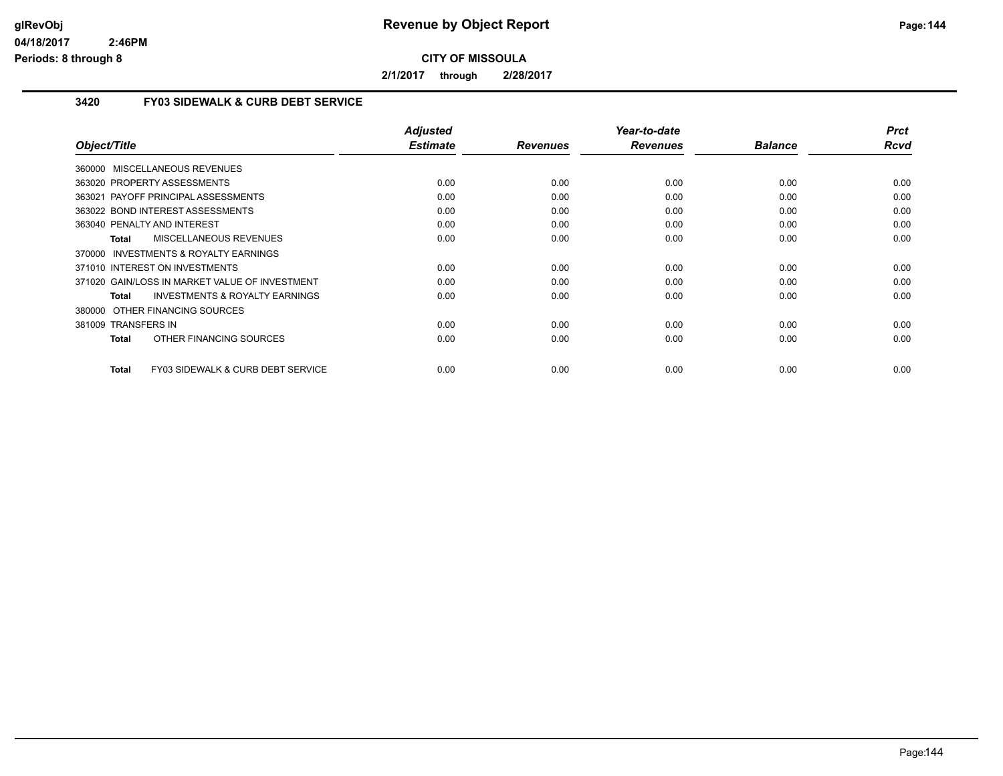**2/1/2017 through 2/28/2017**

#### **3420 FY03 SIDEWALK & CURB DEBT SERVICE**

| Object/Title                                                 | <b>Adjusted</b><br><b>Estimate</b> | <b>Revenues</b> | Year-to-date<br><b>Revenues</b> | <b>Balance</b> | <b>Prct</b><br>Rcvd |
|--------------------------------------------------------------|------------------------------------|-----------------|---------------------------------|----------------|---------------------|
| 360000 MISCELLANEOUS REVENUES                                |                                    |                 |                                 |                |                     |
| 363020 PROPERTY ASSESSMENTS                                  | 0.00                               | 0.00            | 0.00                            | 0.00           | 0.00                |
| 363021 PAYOFF PRINCIPAL ASSESSMENTS                          | 0.00                               | 0.00            | 0.00                            | 0.00           | 0.00                |
| 363022 BOND INTEREST ASSESSMENTS                             | 0.00                               | 0.00            | 0.00                            | 0.00           | 0.00                |
| 363040 PENALTY AND INTEREST                                  | 0.00                               | 0.00            | 0.00                            | 0.00           | 0.00                |
| MISCELLANEOUS REVENUES<br><b>Total</b>                       | 0.00                               | 0.00            | 0.00                            | 0.00           | 0.00                |
| 370000 INVESTMENTS & ROYALTY EARNINGS                        |                                    |                 |                                 |                |                     |
| 371010 INTEREST ON INVESTMENTS                               | 0.00                               | 0.00            | 0.00                            | 0.00           | 0.00                |
| 371020 GAIN/LOSS IN MARKET VALUE OF INVESTMENT               | 0.00                               | 0.00            | 0.00                            | 0.00           | 0.00                |
| <b>INVESTMENTS &amp; ROYALTY EARNINGS</b><br><b>Total</b>    | 0.00                               | 0.00            | 0.00                            | 0.00           | 0.00                |
| 380000 OTHER FINANCING SOURCES                               |                                    |                 |                                 |                |                     |
| 381009 TRANSFERS IN                                          | 0.00                               | 0.00            | 0.00                            | 0.00           | 0.00                |
| OTHER FINANCING SOURCES<br><b>Total</b>                      | 0.00                               | 0.00            | 0.00                            | 0.00           | 0.00                |
| <b>FY03 SIDEWALK &amp; CURB DEBT SERVICE</b><br><b>Total</b> | 0.00                               | 0.00            | 0.00                            | 0.00           | 0.00                |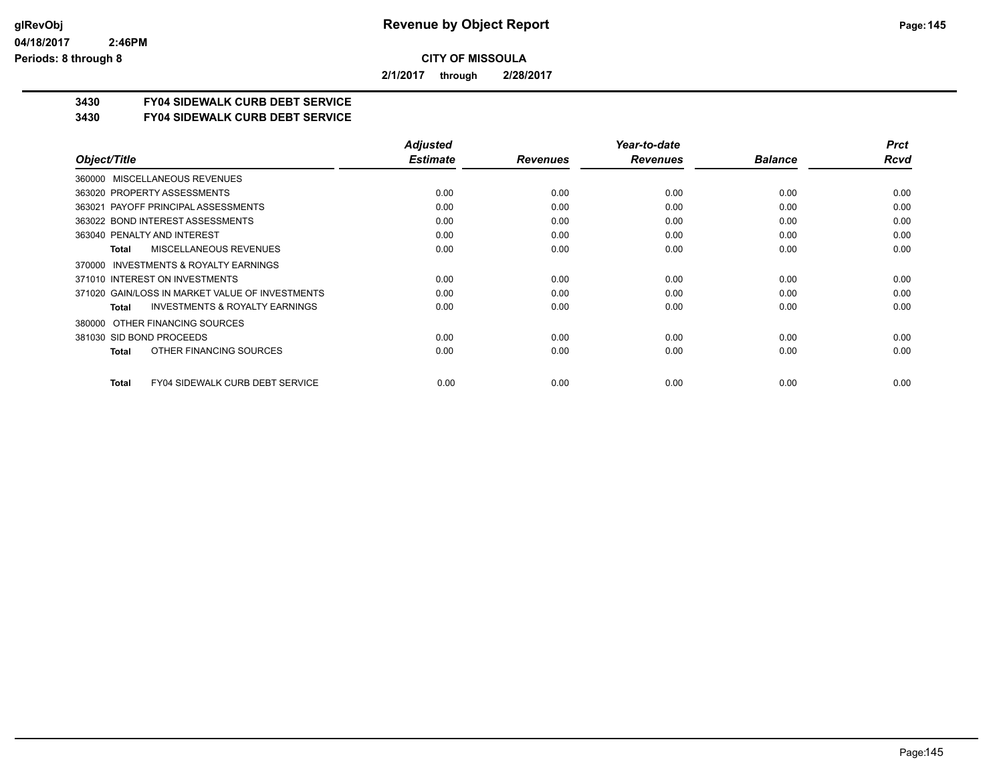**2/1/2017 through 2/28/2017**

# **3430 FY04 SIDEWALK CURB DEBT SERVICE**

**3430 FY04 SIDEWALK CURB DEBT SERVICE**

|                                                        | <b>Adjusted</b> |                 | Year-to-date    |                | <b>Prct</b> |
|--------------------------------------------------------|-----------------|-----------------|-----------------|----------------|-------------|
| Object/Title                                           | <b>Estimate</b> | <b>Revenues</b> | <b>Revenues</b> | <b>Balance</b> | <b>Rcvd</b> |
| 360000 MISCELLANEOUS REVENUES                          |                 |                 |                 |                |             |
| 363020 PROPERTY ASSESSMENTS                            | 0.00            | 0.00            | 0.00            | 0.00           | 0.00        |
| 363021 PAYOFF PRINCIPAL ASSESSMENTS                    | 0.00            | 0.00            | 0.00            | 0.00           | 0.00        |
| 363022 BOND INTEREST ASSESSMENTS                       | 0.00            | 0.00            | 0.00            | 0.00           | 0.00        |
| 363040 PENALTY AND INTEREST                            | 0.00            | 0.00            | 0.00            | 0.00           | 0.00        |
| <b>MISCELLANEOUS REVENUES</b><br>Total                 | 0.00            | 0.00            | 0.00            | 0.00           | 0.00        |
| 370000 INVESTMENTS & ROYALTY EARNINGS                  |                 |                 |                 |                |             |
| 371010 INTEREST ON INVESTMENTS                         | 0.00            | 0.00            | 0.00            | 0.00           | 0.00        |
| 371020 GAIN/LOSS IN MARKET VALUE OF INVESTMENTS        | 0.00            | 0.00            | 0.00            | 0.00           | 0.00        |
| <b>INVESTMENTS &amp; ROYALTY EARNINGS</b><br>Total     | 0.00            | 0.00            | 0.00            | 0.00           | 0.00        |
| 380000 OTHER FINANCING SOURCES                         |                 |                 |                 |                |             |
| 381030 SID BOND PROCEEDS                               | 0.00            | 0.00            | 0.00            | 0.00           | 0.00        |
| OTHER FINANCING SOURCES<br>Total                       | 0.00            | 0.00            | 0.00            | 0.00           | 0.00        |
| <b>FY04 SIDEWALK CURB DEBT SERVICE</b><br><b>Total</b> | 0.00            | 0.00            | 0.00            | 0.00           | 0.00        |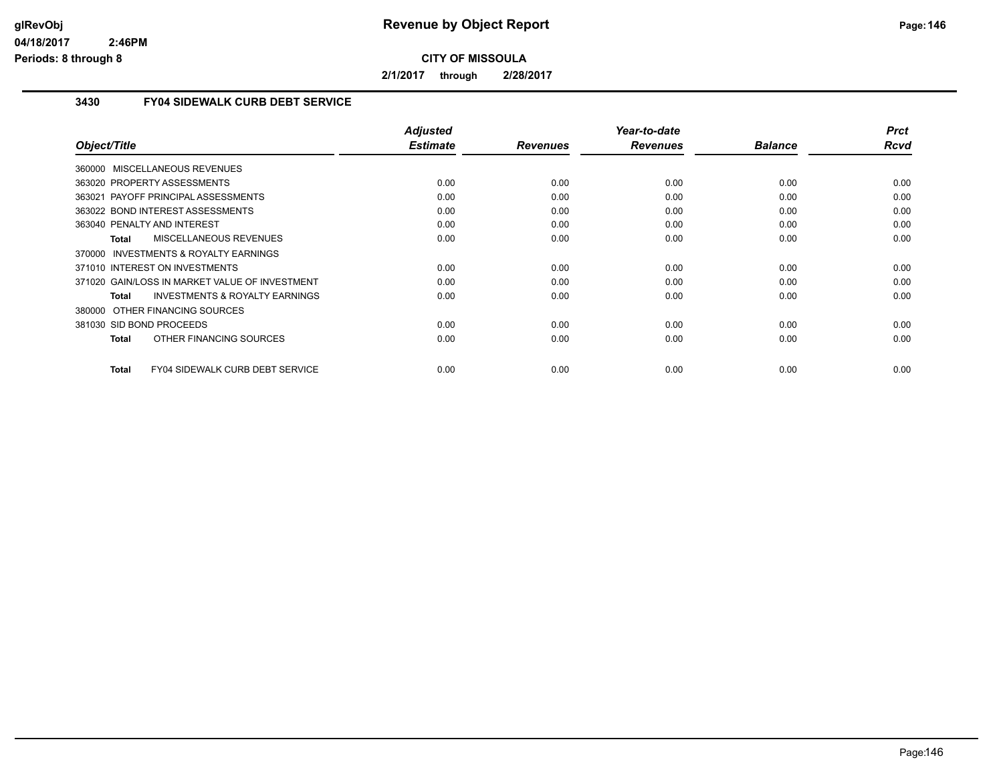**2/1/2017 through 2/28/2017**

#### **3430 FY04 SIDEWALK CURB DEBT SERVICE**

| Object/Title                                              | <b>Adjusted</b><br><b>Estimate</b> | <b>Revenues</b> | Year-to-date<br><b>Revenues</b> | <b>Balance</b> | <b>Prct</b><br>Rcvd |
|-----------------------------------------------------------|------------------------------------|-----------------|---------------------------------|----------------|---------------------|
| 360000 MISCELLANEOUS REVENUES                             |                                    |                 |                                 |                |                     |
| 363020 PROPERTY ASSESSMENTS                               | 0.00                               | 0.00            | 0.00                            | 0.00           | 0.00                |
| 363021 PAYOFF PRINCIPAL ASSESSMENTS                       | 0.00                               | 0.00            | 0.00                            | 0.00           | 0.00                |
| 363022 BOND INTEREST ASSESSMENTS                          | 0.00                               | 0.00            | 0.00                            | 0.00           | 0.00                |
| 363040 PENALTY AND INTEREST                               | 0.00                               | 0.00            | 0.00                            | 0.00           | 0.00                |
| MISCELLANEOUS REVENUES<br>Total                           | 0.00                               | 0.00            | 0.00                            | 0.00           | 0.00                |
| 370000 INVESTMENTS & ROYALTY EARNINGS                     |                                    |                 |                                 |                |                     |
| 371010 INTEREST ON INVESTMENTS                            | 0.00                               | 0.00            | 0.00                            | 0.00           | 0.00                |
| 371020 GAIN/LOSS IN MARKET VALUE OF INVESTMENT            | 0.00                               | 0.00            | 0.00                            | 0.00           | 0.00                |
| <b>INVESTMENTS &amp; ROYALTY EARNINGS</b><br><b>Total</b> | 0.00                               | 0.00            | 0.00                            | 0.00           | 0.00                |
| 380000 OTHER FINANCING SOURCES                            |                                    |                 |                                 |                |                     |
| 381030 SID BOND PROCEEDS                                  | 0.00                               | 0.00            | 0.00                            | 0.00           | 0.00                |
| OTHER FINANCING SOURCES<br><b>Total</b>                   | 0.00                               | 0.00            | 0.00                            | 0.00           | 0.00                |
| <b>FY04 SIDEWALK CURB DEBT SERVICE</b><br><b>Total</b>    | 0.00                               | 0.00            | 0.00                            | 0.00           | 0.00                |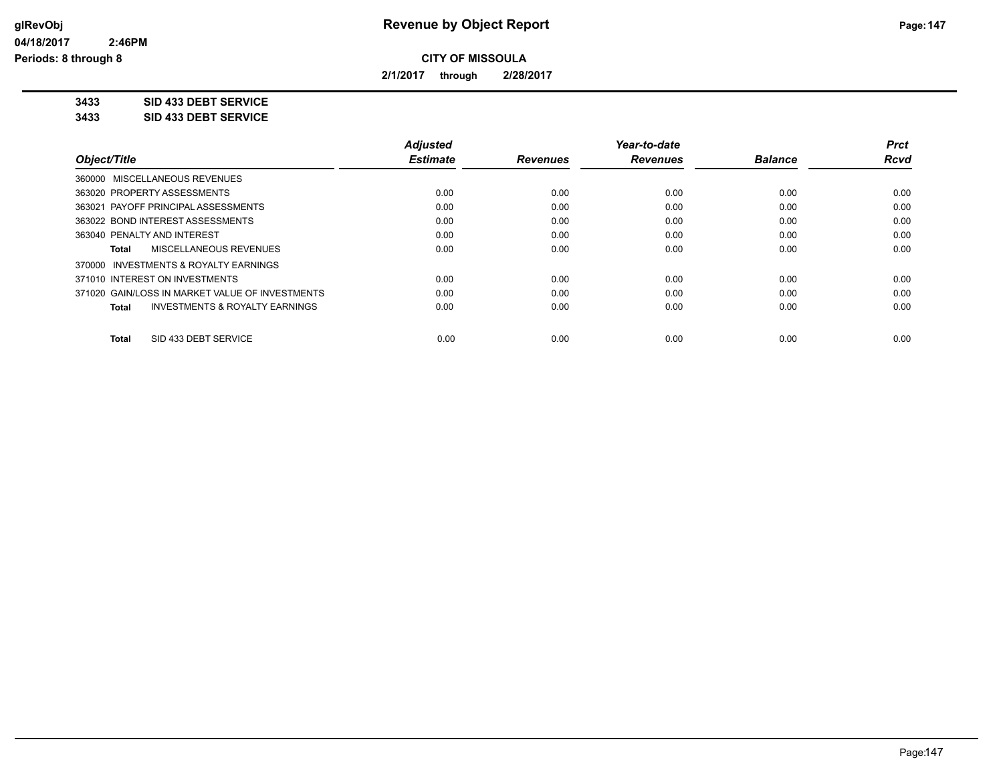**2/1/2017 through 2/28/2017**

**3433 SID 433 DEBT SERVICE**

**3433 SID 433 DEBT SERVICE**

|                                                    | <b>Adjusted</b> |                 | Year-to-date    |                | <b>Prct</b> |
|----------------------------------------------------|-----------------|-----------------|-----------------|----------------|-------------|
| Object/Title                                       | <b>Estimate</b> | <b>Revenues</b> | <b>Revenues</b> | <b>Balance</b> | Rcvd        |
| 360000 MISCELLANEOUS REVENUES                      |                 |                 |                 |                |             |
| 363020 PROPERTY ASSESSMENTS                        | 0.00            | 0.00            | 0.00            | 0.00           | 0.00        |
| 363021 PAYOFF PRINCIPAL ASSESSMENTS                | 0.00            | 0.00            | 0.00            | 0.00           | 0.00        |
| 363022 BOND INTEREST ASSESSMENTS                   | 0.00            | 0.00            | 0.00            | 0.00           | 0.00        |
| 363040 PENALTY AND INTEREST                        | 0.00            | 0.00            | 0.00            | 0.00           | 0.00        |
| MISCELLANEOUS REVENUES<br>Total                    | 0.00            | 0.00            | 0.00            | 0.00           | 0.00        |
| INVESTMENTS & ROYALTY EARNINGS<br>370000           |                 |                 |                 |                |             |
| 371010 INTEREST ON INVESTMENTS                     | 0.00            | 0.00            | 0.00            | 0.00           | 0.00        |
| 371020 GAIN/LOSS IN MARKET VALUE OF INVESTMENTS    | 0.00            | 0.00            | 0.00            | 0.00           | 0.00        |
| <b>INVESTMENTS &amp; ROYALTY EARNINGS</b><br>Total | 0.00            | 0.00            | 0.00            | 0.00           | 0.00        |
| SID 433 DEBT SERVICE<br><b>Total</b>               | 0.00            | 0.00            | 0.00            | 0.00           | 0.00        |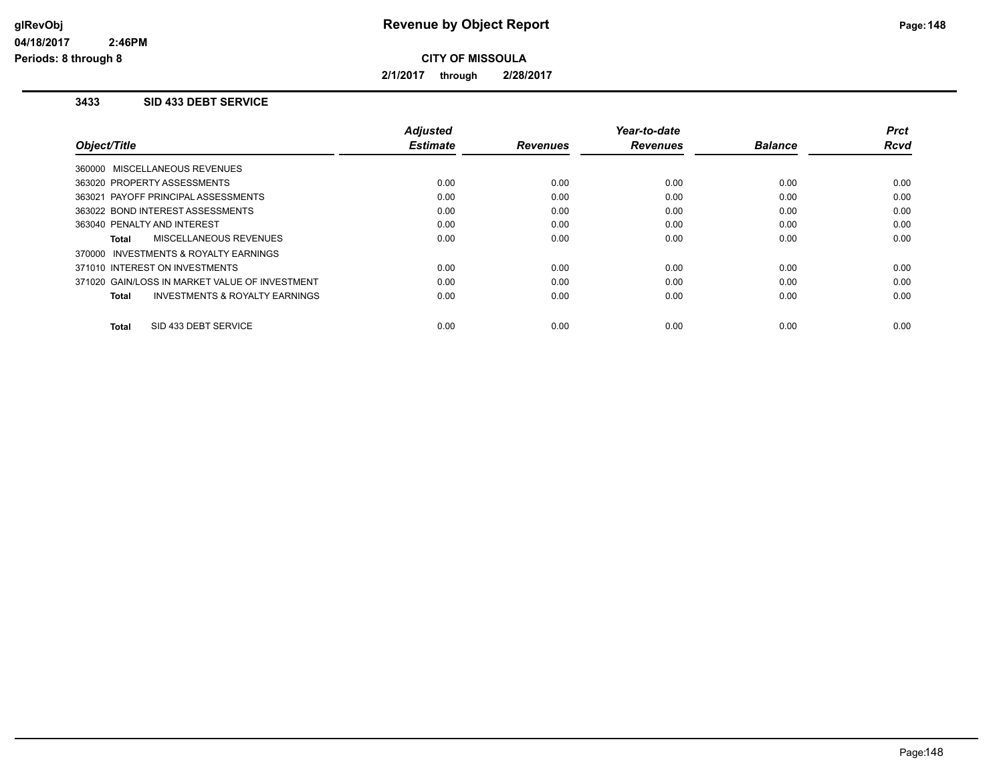**2/1/2017 through 2/28/2017**

#### **3433 SID 433 DEBT SERVICE**

| Object/Title                                       | <b>Adjusted</b><br><b>Estimate</b> | <b>Revenues</b> | Year-to-date<br><b>Revenues</b> | <b>Balance</b> | <b>Prct</b><br><b>Rcvd</b> |
|----------------------------------------------------|------------------------------------|-----------------|---------------------------------|----------------|----------------------------|
| 360000 MISCELLANEOUS REVENUES                      |                                    |                 |                                 |                |                            |
| 363020 PROPERTY ASSESSMENTS                        | 0.00                               | 0.00            | 0.00                            | 0.00           | 0.00                       |
| 363021 PAYOFF PRINCIPAL ASSESSMENTS                | 0.00                               | 0.00            | 0.00                            | 0.00           | 0.00                       |
| 363022 BOND INTEREST ASSESSMENTS                   | 0.00                               | 0.00            | 0.00                            | 0.00           | 0.00                       |
| 363040 PENALTY AND INTEREST                        | 0.00                               | 0.00            | 0.00                            | 0.00           | 0.00                       |
| MISCELLANEOUS REVENUES<br>Total                    | 0.00                               | 0.00            | 0.00                            | 0.00           | 0.00                       |
| INVESTMENTS & ROYALTY EARNINGS<br>370000           |                                    |                 |                                 |                |                            |
| 371010 INTEREST ON INVESTMENTS                     | 0.00                               | 0.00            | 0.00                            | 0.00           | 0.00                       |
| 371020 GAIN/LOSS IN MARKET VALUE OF INVESTMENT     | 0.00                               | 0.00            | 0.00                            | 0.00           | 0.00                       |
| <b>INVESTMENTS &amp; ROYALTY EARNINGS</b><br>Total | 0.00                               | 0.00            | 0.00                            | 0.00           | 0.00                       |
|                                                    |                                    |                 |                                 |                |                            |
| SID 433 DEBT SERVICE<br><b>Total</b>               | 0.00                               | 0.00            | 0.00                            | 0.00           | 0.00                       |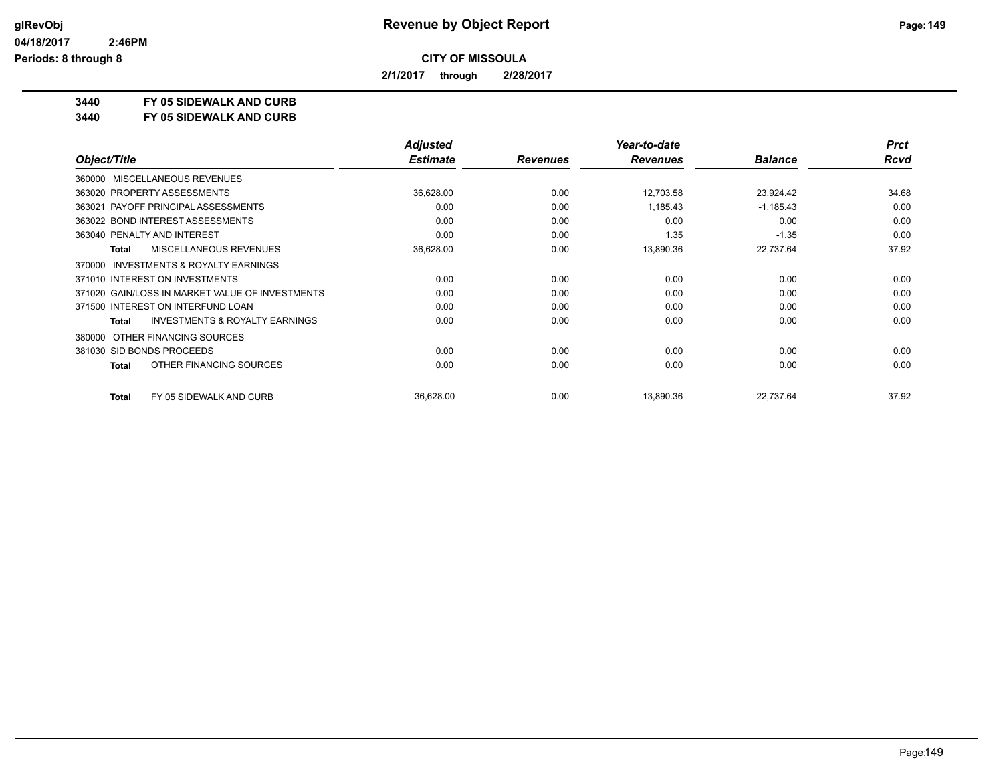**2/1/2017 through 2/28/2017**

**3440 FY 05 SIDEWALK AND CURB**

**3440 FY 05 SIDEWALK AND CURB**

|                                                    | <b>Adjusted</b> |                 | Year-to-date    |                | <b>Prct</b> |
|----------------------------------------------------|-----------------|-----------------|-----------------|----------------|-------------|
| Object/Title                                       | <b>Estimate</b> | <b>Revenues</b> | <b>Revenues</b> | <b>Balance</b> | Rcvd        |
| 360000 MISCELLANEOUS REVENUES                      |                 |                 |                 |                |             |
| 363020 PROPERTY ASSESSMENTS                        | 36,628.00       | 0.00            | 12,703.58       | 23,924.42      | 34.68       |
| 363021 PAYOFF PRINCIPAL ASSESSMENTS                | 0.00            | 0.00            | 1,185.43        | $-1,185.43$    | 0.00        |
| 363022 BOND INTEREST ASSESSMENTS                   | 0.00            | 0.00            | 0.00            | 0.00           | 0.00        |
| 363040 PENALTY AND INTEREST                        | 0.00            | 0.00            | 1.35            | $-1.35$        | 0.00        |
| MISCELLANEOUS REVENUES<br>Total                    | 36,628.00       | 0.00            | 13,890.36       | 22,737.64      | 37.92       |
| 370000 INVESTMENTS & ROYALTY EARNINGS              |                 |                 |                 |                |             |
| 371010 INTEREST ON INVESTMENTS                     | 0.00            | 0.00            | 0.00            | 0.00           | 0.00        |
| 371020 GAIN/LOSS IN MARKET VALUE OF INVESTMENTS    | 0.00            | 0.00            | 0.00            | 0.00           | 0.00        |
| 371500 INTEREST ON INTERFUND LOAN                  | 0.00            | 0.00            | 0.00            | 0.00           | 0.00        |
| <b>INVESTMENTS &amp; ROYALTY EARNINGS</b><br>Total | 0.00            | 0.00            | 0.00            | 0.00           | 0.00        |
| 380000 OTHER FINANCING SOURCES                     |                 |                 |                 |                |             |
| 381030 SID BONDS PROCEEDS                          | 0.00            | 0.00            | 0.00            | 0.00           | 0.00        |
| OTHER FINANCING SOURCES<br><b>Total</b>            | 0.00            | 0.00            | 0.00            | 0.00           | 0.00        |
| FY 05 SIDEWALK AND CURB<br><b>Total</b>            | 36,628.00       | 0.00            | 13,890.36       | 22,737.64      | 37.92       |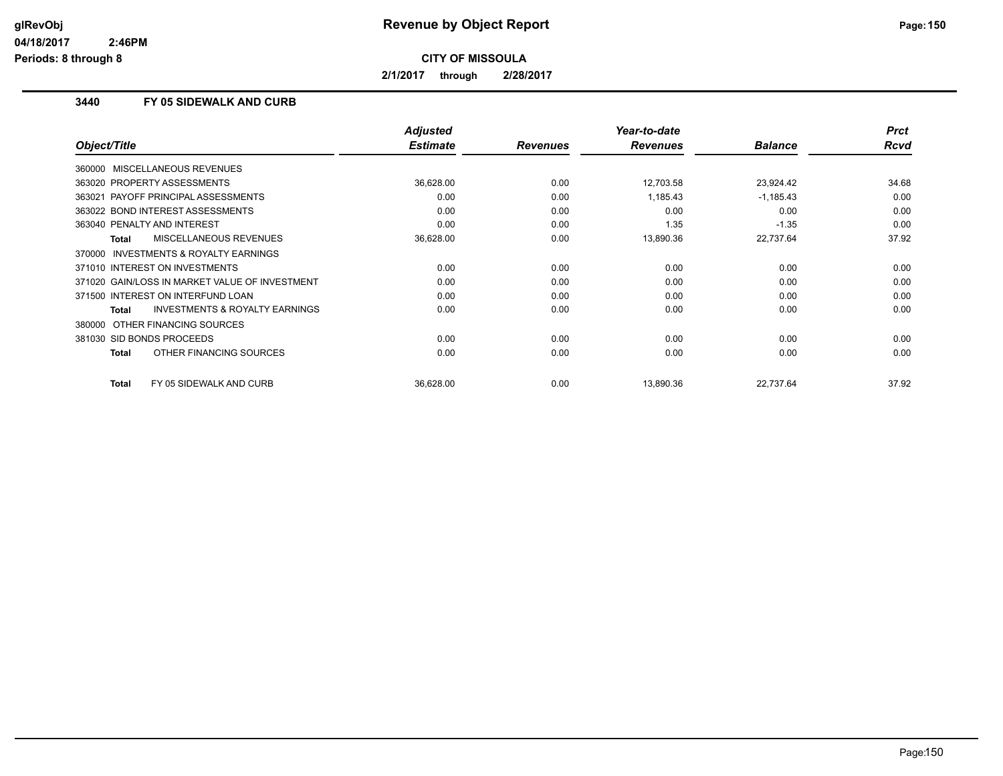**2/1/2017 through 2/28/2017**

#### **3440 FY 05 SIDEWALK AND CURB**

|                                                           | <b>Adjusted</b> |                 | Year-to-date    |                | <b>Prct</b> |
|-----------------------------------------------------------|-----------------|-----------------|-----------------|----------------|-------------|
| Object/Title                                              | <b>Estimate</b> | <b>Revenues</b> | <b>Revenues</b> | <b>Balance</b> | <b>Rcvd</b> |
| 360000 MISCELLANEOUS REVENUES                             |                 |                 |                 |                |             |
| 363020 PROPERTY ASSESSMENTS                               | 36,628.00       | 0.00            | 12,703.58       | 23,924.42      | 34.68       |
| 363021 PAYOFF PRINCIPAL ASSESSMENTS                       | 0.00            | 0.00            | 1,185.43        | $-1,185.43$    | 0.00        |
| 363022 BOND INTEREST ASSESSMENTS                          | 0.00            | 0.00            | 0.00            | 0.00           | 0.00        |
| 363040 PENALTY AND INTEREST                               | 0.00            | 0.00            | 1.35            | $-1.35$        | 0.00        |
| MISCELLANEOUS REVENUES<br><b>Total</b>                    | 36,628.00       | 0.00            | 13,890.36       | 22,737.64      | 37.92       |
| INVESTMENTS & ROYALTY EARNINGS<br>370000                  |                 |                 |                 |                |             |
| 371010 INTEREST ON INVESTMENTS                            | 0.00            | 0.00            | 0.00            | 0.00           | 0.00        |
| 371020 GAIN/LOSS IN MARKET VALUE OF INVESTMENT            | 0.00            | 0.00            | 0.00            | 0.00           | 0.00        |
| 371500 INTEREST ON INTERFUND LOAN                         | 0.00            | 0.00            | 0.00            | 0.00           | 0.00        |
| <b>INVESTMENTS &amp; ROYALTY EARNINGS</b><br><b>Total</b> | 0.00            | 0.00            | 0.00            | 0.00           | 0.00        |
| 380000 OTHER FINANCING SOURCES                            |                 |                 |                 |                |             |
| 381030 SID BONDS PROCEEDS                                 | 0.00            | 0.00            | 0.00            | 0.00           | 0.00        |
| OTHER FINANCING SOURCES<br><b>Total</b>                   | 0.00            | 0.00            | 0.00            | 0.00           | 0.00        |
| FY 05 SIDEWALK AND CURB<br><b>Total</b>                   | 36,628.00       | 0.00            | 13,890.36       | 22,737.64      | 37.92       |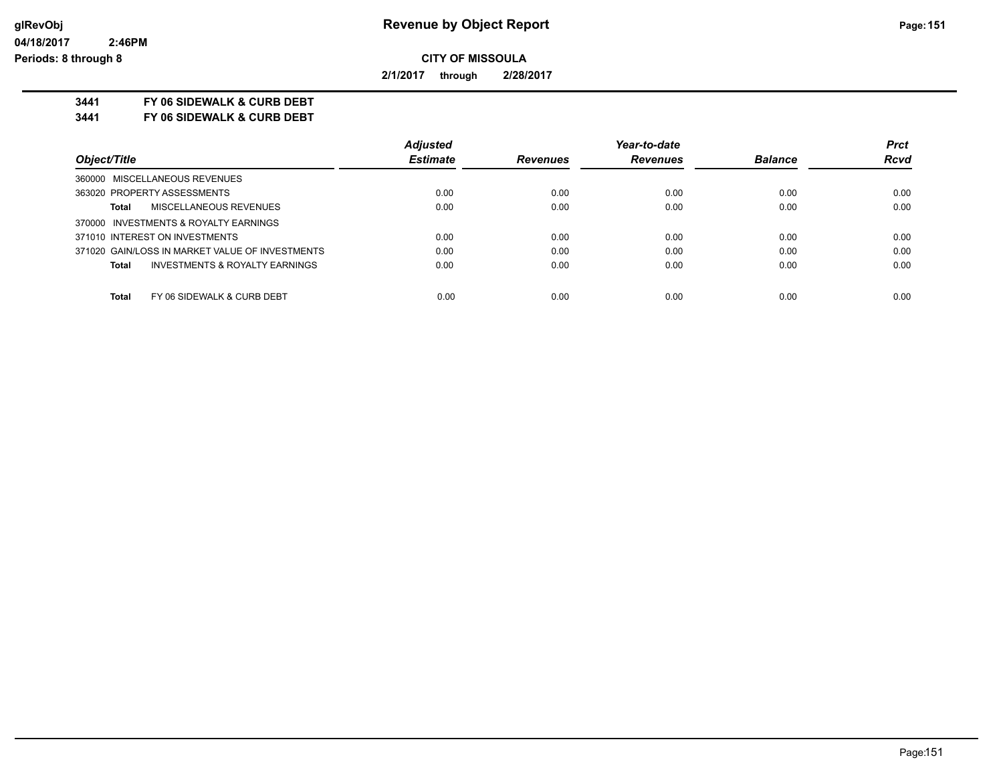**2/1/2017 through 2/28/2017**

**3441 FY 06 SIDEWALK & CURB DEBT**

**3441 FY 06 SIDEWALK & CURB DEBT**

|                                                 | <b>Adjusted</b> |                 | Year-to-date    |                | <b>Prct</b> |
|-------------------------------------------------|-----------------|-----------------|-----------------|----------------|-------------|
| Object/Title                                    | <b>Estimate</b> | <b>Revenues</b> | <b>Revenues</b> | <b>Balance</b> | <b>Rcvd</b> |
| 360000 MISCELLANEOUS REVENUES                   |                 |                 |                 |                |             |
| 363020 PROPERTY ASSESSMENTS                     | 0.00            | 0.00            | 0.00            | 0.00           | 0.00        |
| MISCELLANEOUS REVENUES<br>Total                 | 0.00            | 0.00            | 0.00            | 0.00           | 0.00        |
| 370000 INVESTMENTS & ROYALTY EARNINGS           |                 |                 |                 |                |             |
| 371010 INTEREST ON INVESTMENTS                  | 0.00            | 0.00            | 0.00            | 0.00           | 0.00        |
| 371020 GAIN/LOSS IN MARKET VALUE OF INVESTMENTS | 0.00            | 0.00            | 0.00            | 0.00           | 0.00        |
| INVESTMENTS & ROYALTY EARNINGS<br>Total         | 0.00            | 0.00            | 0.00            | 0.00           | 0.00        |
|                                                 |                 |                 |                 |                |             |
| <b>Total</b><br>FY 06 SIDEWALK & CURB DEBT      | 0.00            | 0.00            | 0.00            | 0.00           | 0.00        |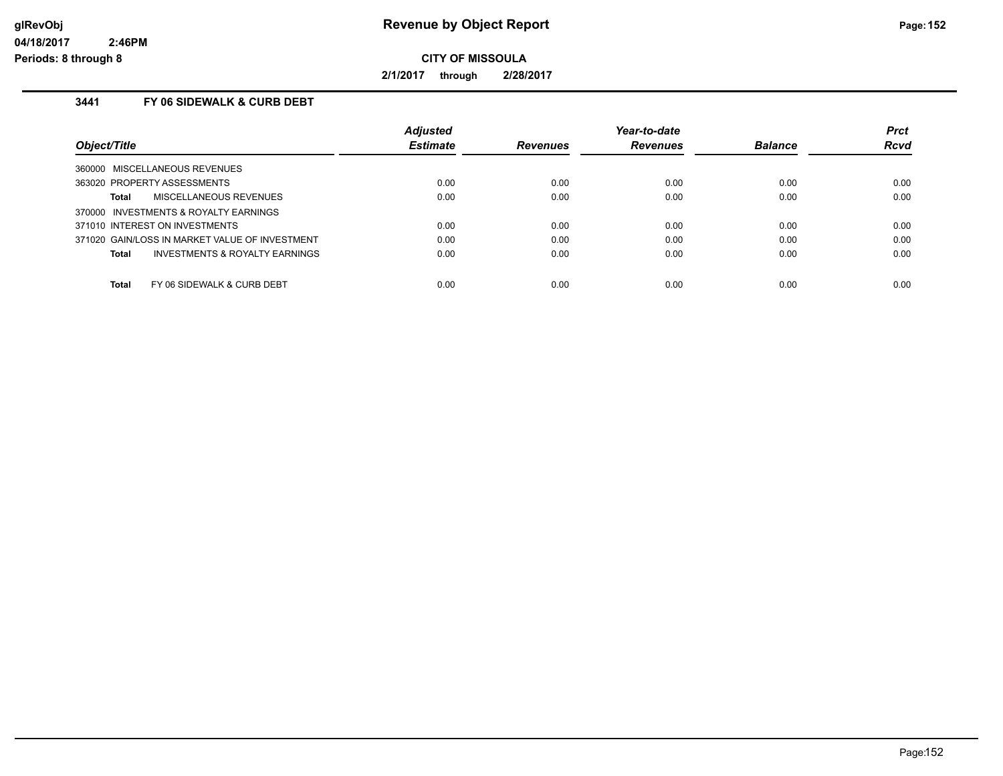**2/1/2017 through 2/28/2017**

#### **3441 FY 06 SIDEWALK & CURB DEBT**

|                                                           | <b>Adjusted</b> |                 | Year-to-date    |                | <b>Prct</b> |
|-----------------------------------------------------------|-----------------|-----------------|-----------------|----------------|-------------|
| Object/Title                                              | <b>Estimate</b> | <b>Revenues</b> | <b>Revenues</b> | <b>Balance</b> | <b>Rcvd</b> |
| MISCELLANEOUS REVENUES<br>360000                          |                 |                 |                 |                |             |
| 363020 PROPERTY ASSESSMENTS                               | 0.00            | 0.00            | 0.00            | 0.00           | 0.00        |
| MISCELLANEOUS REVENUES<br>Total                           | 0.00            | 0.00            | 0.00            | 0.00           | 0.00        |
| 370000 INVESTMENTS & ROYALTY EARNINGS                     |                 |                 |                 |                |             |
| 371010 INTEREST ON INVESTMENTS                            | 0.00            | 0.00            | 0.00            | 0.00           | 0.00        |
| 371020 GAIN/LOSS IN MARKET VALUE OF INVESTMENT            | 0.00            | 0.00            | 0.00            | 0.00           | 0.00        |
| <b>INVESTMENTS &amp; ROYALTY EARNINGS</b><br><b>Total</b> | 0.00            | 0.00            | 0.00            | 0.00           | 0.00        |
| Total<br>FY 06 SIDEWALK & CURB DEBT                       | 0.00            | 0.00            | 0.00            | 0.00           | 0.00        |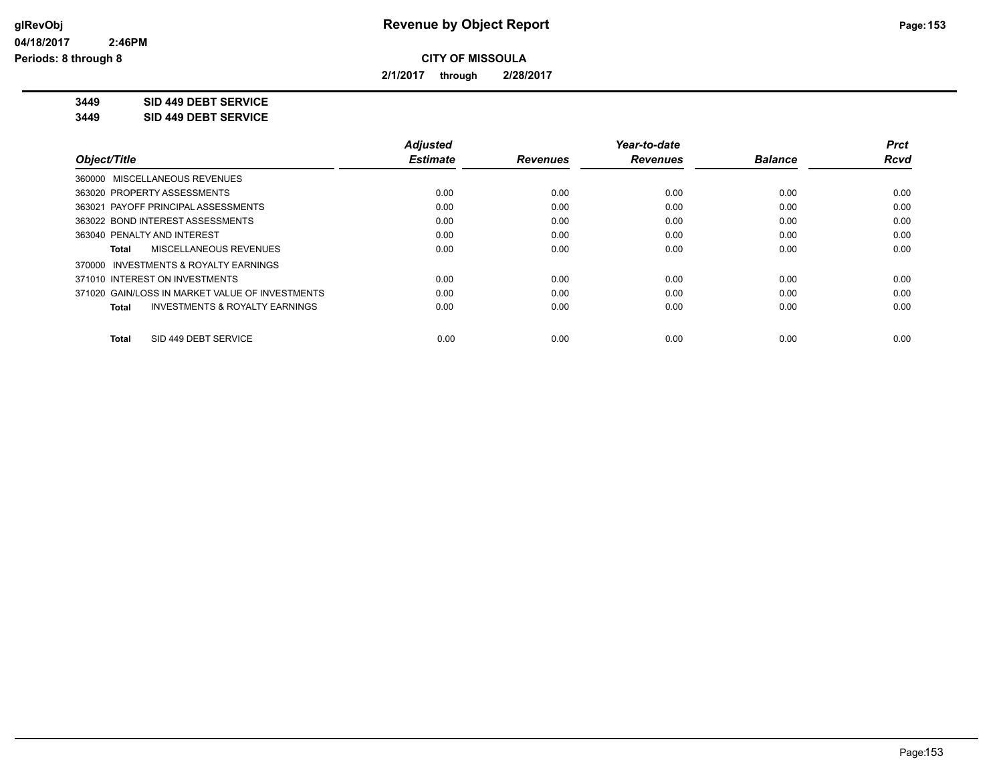**2/1/2017 through 2/28/2017**

**3449 SID 449 DEBT SERVICE**

**3449 SID 449 DEBT SERVICE**

|                                                 | <b>Adjusted</b> |                 | Year-to-date    |                | <b>Prct</b> |
|-------------------------------------------------|-----------------|-----------------|-----------------|----------------|-------------|
| Object/Title                                    | <b>Estimate</b> | <b>Revenues</b> | <b>Revenues</b> | <b>Balance</b> | Rcvd        |
| 360000 MISCELLANEOUS REVENUES                   |                 |                 |                 |                |             |
| 363020 PROPERTY ASSESSMENTS                     | 0.00            | 0.00            | 0.00            | 0.00           | 0.00        |
| 363021 PAYOFF PRINCIPAL ASSESSMENTS             | 0.00            | 0.00            | 0.00            | 0.00           | 0.00        |
| 363022 BOND INTEREST ASSESSMENTS                | 0.00            | 0.00            | 0.00            | 0.00           | 0.00        |
| 363040 PENALTY AND INTEREST                     | 0.00            | 0.00            | 0.00            | 0.00           | 0.00        |
| MISCELLANEOUS REVENUES<br>Total                 | 0.00            | 0.00            | 0.00            | 0.00           | 0.00        |
| 370000 INVESTMENTS & ROYALTY EARNINGS           |                 |                 |                 |                |             |
| 371010 INTEREST ON INVESTMENTS                  | 0.00            | 0.00            | 0.00            | 0.00           | 0.00        |
| 371020 GAIN/LOSS IN MARKET VALUE OF INVESTMENTS | 0.00            | 0.00            | 0.00            | 0.00           | 0.00        |
| INVESTMENTS & ROYALTY EARNINGS<br>Total         | 0.00            | 0.00            | 0.00            | 0.00           | 0.00        |
| SID 449 DEBT SERVICE<br><b>Total</b>            | 0.00            | 0.00            | 0.00            | 0.00           | 0.00        |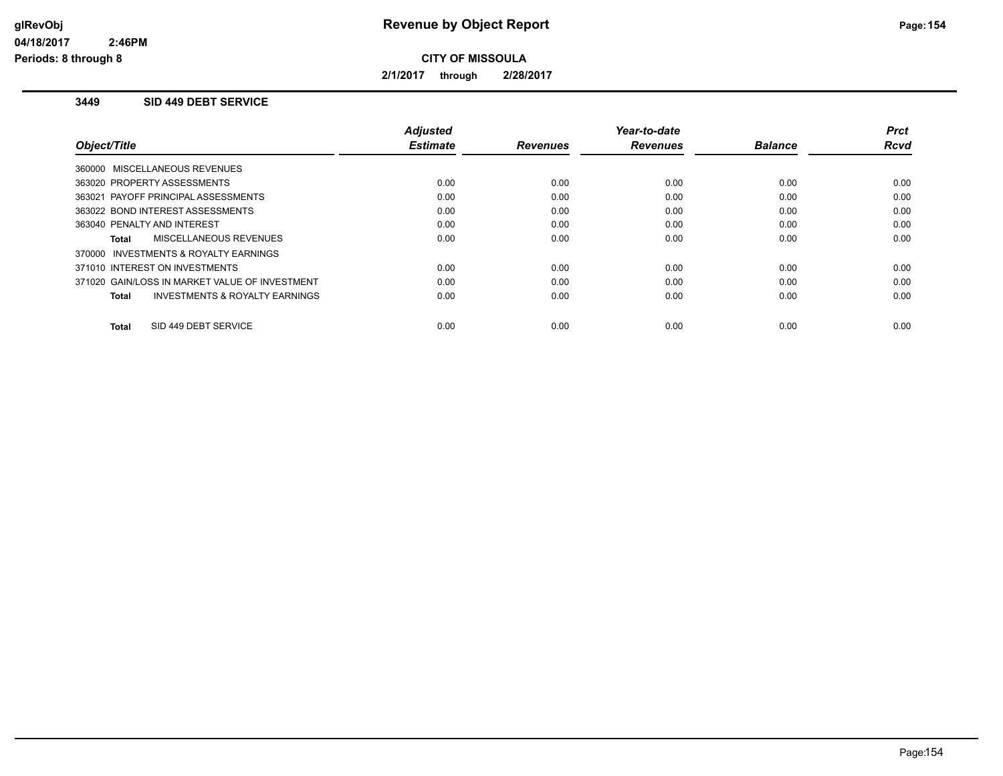**2/1/2017 through 2/28/2017**

#### **3449 SID 449 DEBT SERVICE**

|                                                    | <b>Adjusted</b> |                 | Year-to-date    |                | <b>Prct</b> |
|----------------------------------------------------|-----------------|-----------------|-----------------|----------------|-------------|
| Object/Title                                       | <b>Estimate</b> | <b>Revenues</b> | <b>Revenues</b> | <b>Balance</b> | Rcvd        |
| 360000 MISCELLANEOUS REVENUES                      |                 |                 |                 |                |             |
| 363020 PROPERTY ASSESSMENTS                        | 0.00            | 0.00            | 0.00            | 0.00           | 0.00        |
| 363021 PAYOFF PRINCIPAL ASSESSMENTS                | 0.00            | 0.00            | 0.00            | 0.00           | 0.00        |
| 363022 BOND INTEREST ASSESSMENTS                   | 0.00            | 0.00            | 0.00            | 0.00           | 0.00        |
| 363040 PENALTY AND INTEREST                        | 0.00            | 0.00            | 0.00            | 0.00           | 0.00        |
| MISCELLANEOUS REVENUES<br>Total                    | 0.00            | 0.00            | 0.00            | 0.00           | 0.00        |
| INVESTMENTS & ROYALTY EARNINGS<br>370000           |                 |                 |                 |                |             |
| 371010 INTEREST ON INVESTMENTS                     | 0.00            | 0.00            | 0.00            | 0.00           | 0.00        |
| 371020 GAIN/LOSS IN MARKET VALUE OF INVESTMENT     | 0.00            | 0.00            | 0.00            | 0.00           | 0.00        |
| <b>INVESTMENTS &amp; ROYALTY EARNINGS</b><br>Total | 0.00            | 0.00            | 0.00            | 0.00           | 0.00        |
|                                                    |                 |                 |                 |                |             |
| SID 449 DEBT SERVICE<br><b>Total</b>               | 0.00            | 0.00            | 0.00            | 0.00           | 0.00        |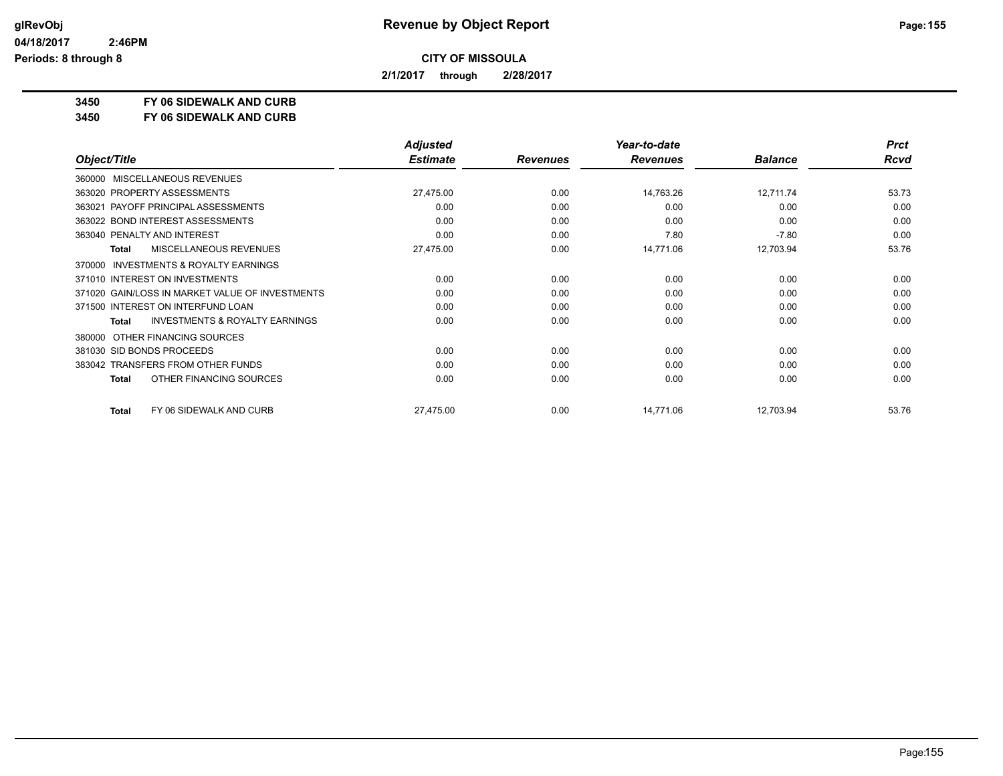**2/1/2017 through 2/28/2017**

**3450 FY 06 SIDEWALK AND CURB**

**3450 FY 06 SIDEWALK AND CURB**

|                                                     | <b>Adjusted</b> |                 | Year-to-date    |                | <b>Prct</b> |
|-----------------------------------------------------|-----------------|-----------------|-----------------|----------------|-------------|
| Object/Title                                        | <b>Estimate</b> | <b>Revenues</b> | <b>Revenues</b> | <b>Balance</b> | <b>Rcvd</b> |
| 360000 MISCELLANEOUS REVENUES                       |                 |                 |                 |                |             |
| 363020 PROPERTY ASSESSMENTS                         | 27,475.00       | 0.00            | 14,763.26       | 12,711.74      | 53.73       |
| PAYOFF PRINCIPAL ASSESSMENTS<br>363021              | 0.00            | 0.00            | 0.00            | 0.00           | 0.00        |
| 363022 BOND INTEREST ASSESSMENTS                    | 0.00            | 0.00            | 0.00            | 0.00           | 0.00        |
| 363040 PENALTY AND INTEREST                         | 0.00            | 0.00            | 7.80            | $-7.80$        | 0.00        |
| <b>MISCELLANEOUS REVENUES</b><br><b>Total</b>       | 27,475.00       | 0.00            | 14,771.06       | 12,703.94      | 53.76       |
| <b>INVESTMENTS &amp; ROYALTY EARNINGS</b><br>370000 |                 |                 |                 |                |             |
| 371010 INTEREST ON INVESTMENTS                      | 0.00            | 0.00            | 0.00            | 0.00           | 0.00        |
| 371020 GAIN/LOSS IN MARKET VALUE OF INVESTMENTS     | 0.00            | 0.00            | 0.00            | 0.00           | 0.00        |
| 371500 INTEREST ON INTERFUND LOAN                   | 0.00            | 0.00            | 0.00            | 0.00           | 0.00        |
| <b>INVESTMENTS &amp; ROYALTY EARNINGS</b><br>Total  | 0.00            | 0.00            | 0.00            | 0.00           | 0.00        |
| OTHER FINANCING SOURCES<br>380000                   |                 |                 |                 |                |             |
| 381030 SID BONDS PROCEEDS                           | 0.00            | 0.00            | 0.00            | 0.00           | 0.00        |
| 383042 TRANSFERS FROM OTHER FUNDS                   | 0.00            | 0.00            | 0.00            | 0.00           | 0.00        |
| OTHER FINANCING SOURCES<br><b>Total</b>             | 0.00            | 0.00            | 0.00            | 0.00           | 0.00        |
| FY 06 SIDEWALK AND CURB<br><b>Total</b>             | 27,475.00       | 0.00            | 14,771.06       | 12,703.94      | 53.76       |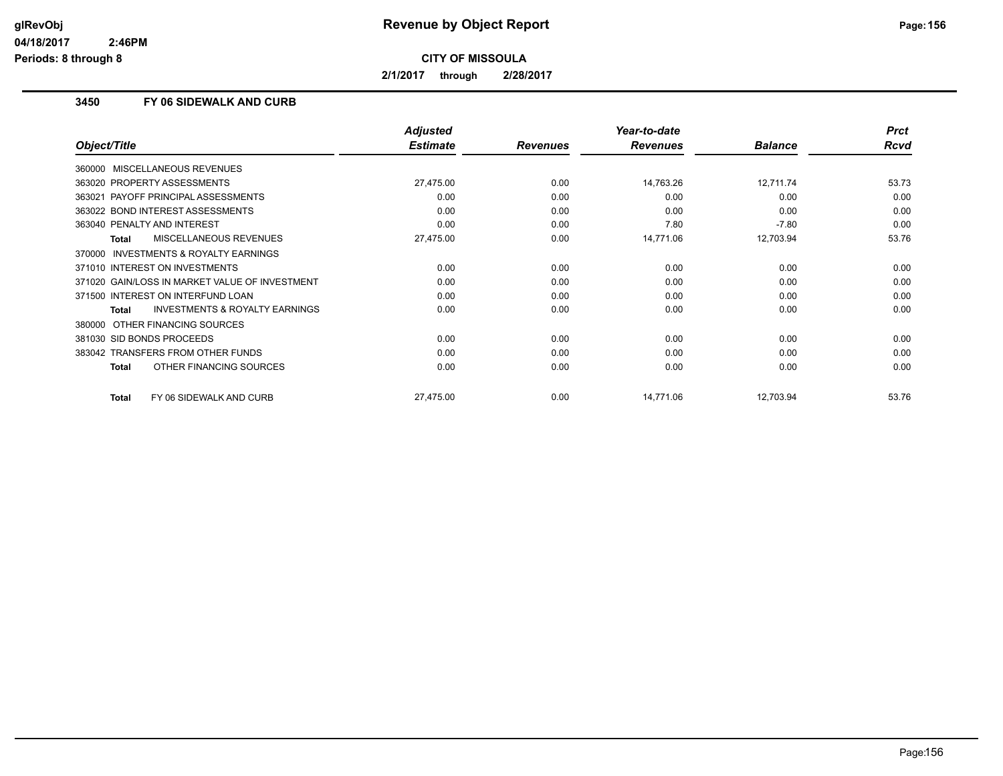**2/1/2017 through 2/28/2017**

#### **3450 FY 06 SIDEWALK AND CURB**

|                                                     | <b>Adjusted</b> |                 | Year-to-date    |                | <b>Prct</b> |
|-----------------------------------------------------|-----------------|-----------------|-----------------|----------------|-------------|
| Object/Title                                        | <b>Estimate</b> | <b>Revenues</b> | <b>Revenues</b> | <b>Balance</b> | <b>Rcvd</b> |
| 360000 MISCELLANEOUS REVENUES                       |                 |                 |                 |                |             |
| 363020 PROPERTY ASSESSMENTS                         | 27,475.00       | 0.00            | 14,763.26       | 12,711.74      | 53.73       |
| 363021 PAYOFF PRINCIPAL ASSESSMENTS                 | 0.00            | 0.00            | 0.00            | 0.00           | 0.00        |
| 363022 BOND INTEREST ASSESSMENTS                    | 0.00            | 0.00            | 0.00            | 0.00           | 0.00        |
| 363040 PENALTY AND INTEREST                         | 0.00            | 0.00            | 7.80            | $-7.80$        | 0.00        |
| <b>MISCELLANEOUS REVENUES</b><br>Total              | 27,475.00       | 0.00            | 14,771.06       | 12,703.94      | 53.76       |
| <b>INVESTMENTS &amp; ROYALTY EARNINGS</b><br>370000 |                 |                 |                 |                |             |
| 371010 INTEREST ON INVESTMENTS                      | 0.00            | 0.00            | 0.00            | 0.00           | 0.00        |
| 371020 GAIN/LOSS IN MARKET VALUE OF INVESTMENT      | 0.00            | 0.00            | 0.00            | 0.00           | 0.00        |
| 371500 INTEREST ON INTERFUND LOAN                   | 0.00            | 0.00            | 0.00            | 0.00           | 0.00        |
| <b>INVESTMENTS &amp; ROYALTY EARNINGS</b><br>Total  | 0.00            | 0.00            | 0.00            | 0.00           | 0.00        |
| 380000 OTHER FINANCING SOURCES                      |                 |                 |                 |                |             |
| 381030 SID BONDS PROCEEDS                           | 0.00            | 0.00            | 0.00            | 0.00           | 0.00        |
| 383042 TRANSFERS FROM OTHER FUNDS                   | 0.00            | 0.00            | 0.00            | 0.00           | 0.00        |
| OTHER FINANCING SOURCES<br><b>Total</b>             | 0.00            | 0.00            | 0.00            | 0.00           | 0.00        |
| FY 06 SIDEWALK AND CURB<br><b>Total</b>             | 27,475.00       | 0.00            | 14,771.06       | 12,703.94      | 53.76       |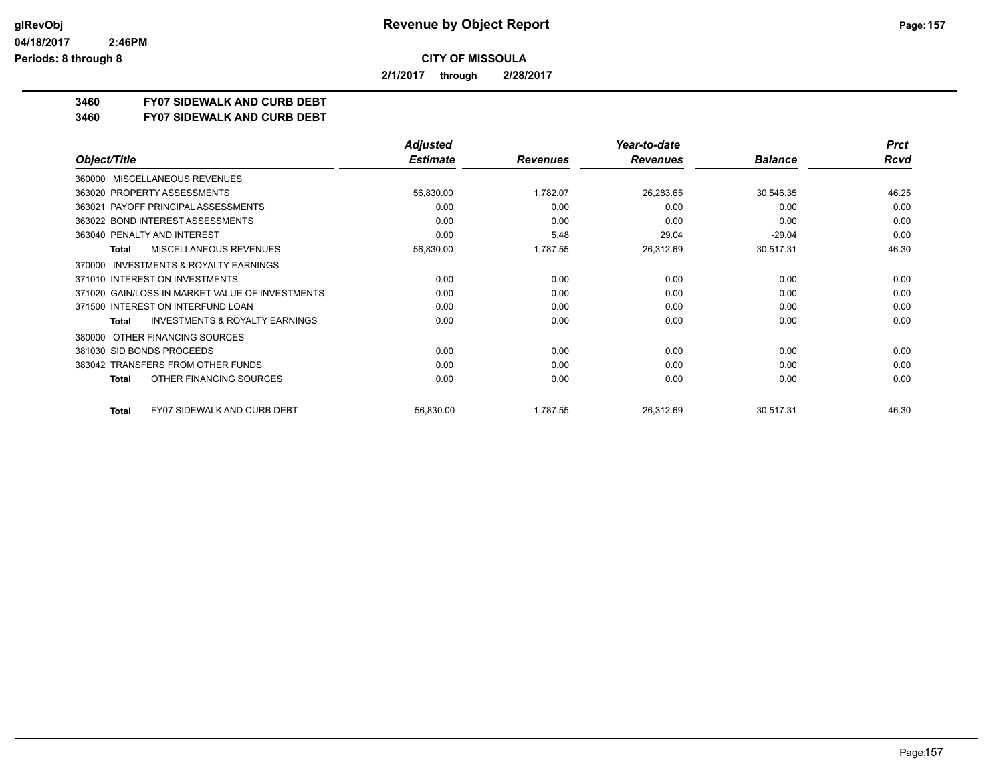**2/1/2017 through 2/28/2017**

**3460 FY07 SIDEWALK AND CURB DEBT**

**3460 FY07 SIDEWALK AND CURB DEBT**

|                                                           | <b>Adjusted</b> |                 | Year-to-date    |                | <b>Prct</b> |
|-----------------------------------------------------------|-----------------|-----------------|-----------------|----------------|-------------|
| Object/Title                                              | <b>Estimate</b> | <b>Revenues</b> | <b>Revenues</b> | <b>Balance</b> | <b>Rcvd</b> |
| 360000 MISCELLANEOUS REVENUES                             |                 |                 |                 |                |             |
| 363020 PROPERTY ASSESSMENTS                               | 56,830.00       | 1,782.07        | 26,283.65       | 30,546.35      | 46.25       |
| 363021 PAYOFF PRINCIPAL ASSESSMENTS                       | 0.00            | 0.00            | 0.00            | 0.00           | 0.00        |
| 363022 BOND INTEREST ASSESSMENTS                          | 0.00            | 0.00            | 0.00            | 0.00           | 0.00        |
| 363040 PENALTY AND INTEREST                               | 0.00            | 5.48            | 29.04           | $-29.04$       | 0.00        |
| MISCELLANEOUS REVENUES<br><b>Total</b>                    | 56,830.00       | 1,787.55        | 26,312.69       | 30,517.31      | 46.30       |
| <b>INVESTMENTS &amp; ROYALTY EARNINGS</b><br>370000       |                 |                 |                 |                |             |
| 371010 INTEREST ON INVESTMENTS                            | 0.00            | 0.00            | 0.00            | 0.00           | 0.00        |
| 371020 GAIN/LOSS IN MARKET VALUE OF INVESTMENTS           | 0.00            | 0.00            | 0.00            | 0.00           | 0.00        |
| 371500 INTEREST ON INTERFUND LOAN                         | 0.00            | 0.00            | 0.00            | 0.00           | 0.00        |
| <b>INVESTMENTS &amp; ROYALTY EARNINGS</b><br><b>Total</b> | 0.00            | 0.00            | 0.00            | 0.00           | 0.00        |
| OTHER FINANCING SOURCES<br>380000                         |                 |                 |                 |                |             |
| 381030 SID BONDS PROCEEDS                                 | 0.00            | 0.00            | 0.00            | 0.00           | 0.00        |
| 383042 TRANSFERS FROM OTHER FUNDS                         | 0.00            | 0.00            | 0.00            | 0.00           | 0.00        |
| OTHER FINANCING SOURCES<br><b>Total</b>                   | 0.00            | 0.00            | 0.00            | 0.00           | 0.00        |
| <b>FY07 SIDEWALK AND CURB DEBT</b><br><b>Total</b>        | 56,830.00       | 1,787.55        | 26,312.69       | 30,517.31      | 46.30       |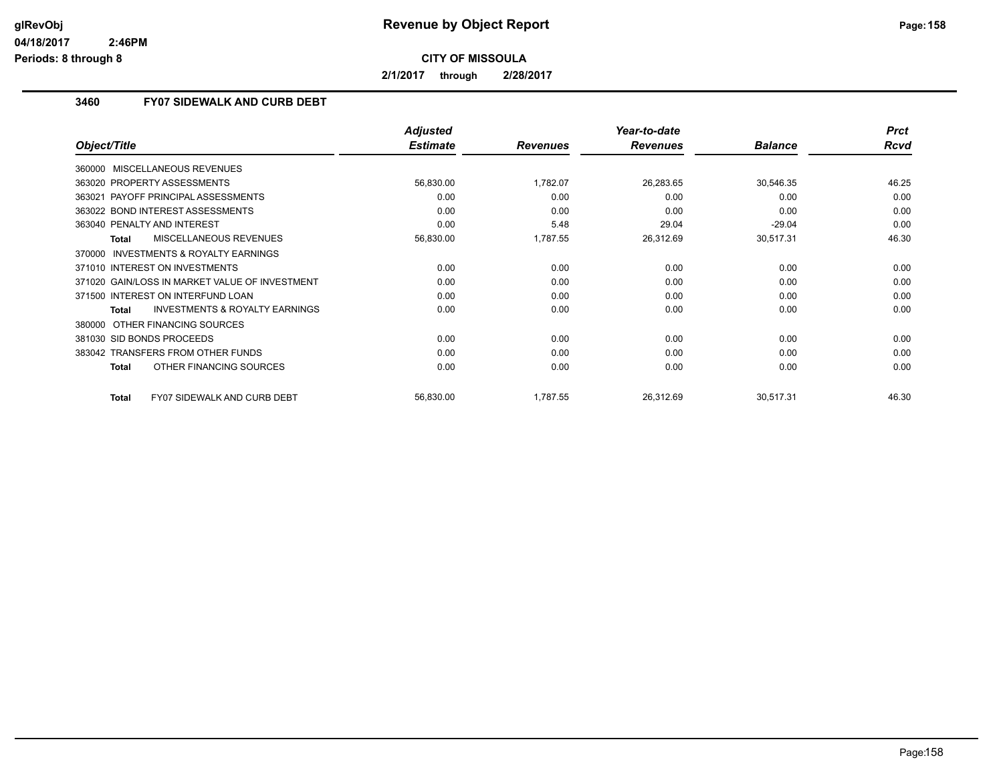**2/1/2017 through 2/28/2017**

#### **3460 FY07 SIDEWALK AND CURB DEBT**

|                                                     | <b>Adjusted</b> |                 | Year-to-date    |                | <b>Prct</b> |
|-----------------------------------------------------|-----------------|-----------------|-----------------|----------------|-------------|
| Object/Title                                        | <b>Estimate</b> | <b>Revenues</b> | <b>Revenues</b> | <b>Balance</b> | <b>Rcvd</b> |
| MISCELLANEOUS REVENUES<br>360000                    |                 |                 |                 |                |             |
| 363020 PROPERTY ASSESSMENTS                         | 56,830.00       | 1,782.07        | 26,283.65       | 30,546.35      | 46.25       |
| PAYOFF PRINCIPAL ASSESSMENTS<br>363021              | 0.00            | 0.00            | 0.00            | 0.00           | 0.00        |
| 363022 BOND INTEREST ASSESSMENTS                    | 0.00            | 0.00            | 0.00            | 0.00           | 0.00        |
| 363040 PENALTY AND INTEREST                         | 0.00            | 5.48            | 29.04           | $-29.04$       | 0.00        |
| MISCELLANEOUS REVENUES<br>Total                     | 56,830.00       | 1,787.55        | 26,312.69       | 30,517.31      | 46.30       |
| <b>INVESTMENTS &amp; ROYALTY EARNINGS</b><br>370000 |                 |                 |                 |                |             |
| 371010 INTEREST ON INVESTMENTS                      | 0.00            | 0.00            | 0.00            | 0.00           | 0.00        |
| 371020 GAIN/LOSS IN MARKET VALUE OF INVESTMENT      | 0.00            | 0.00            | 0.00            | 0.00           | 0.00        |
| 371500 INTEREST ON INTERFUND LOAN                   | 0.00            | 0.00            | 0.00            | 0.00           | 0.00        |
| <b>INVESTMENTS &amp; ROYALTY EARNINGS</b><br>Total  | 0.00            | 0.00            | 0.00            | 0.00           | 0.00        |
| 380000 OTHER FINANCING SOURCES                      |                 |                 |                 |                |             |
| 381030 SID BONDS PROCEEDS                           | 0.00            | 0.00            | 0.00            | 0.00           | 0.00        |
| 383042 TRANSFERS FROM OTHER FUNDS                   | 0.00            | 0.00            | 0.00            | 0.00           | 0.00        |
| OTHER FINANCING SOURCES<br>Total                    | 0.00            | 0.00            | 0.00            | 0.00           | 0.00        |
| <b>FY07 SIDEWALK AND CURB DEBT</b><br>Total         | 56,830.00       | 1,787.55        | 26,312.69       | 30,517.31      | 46.30       |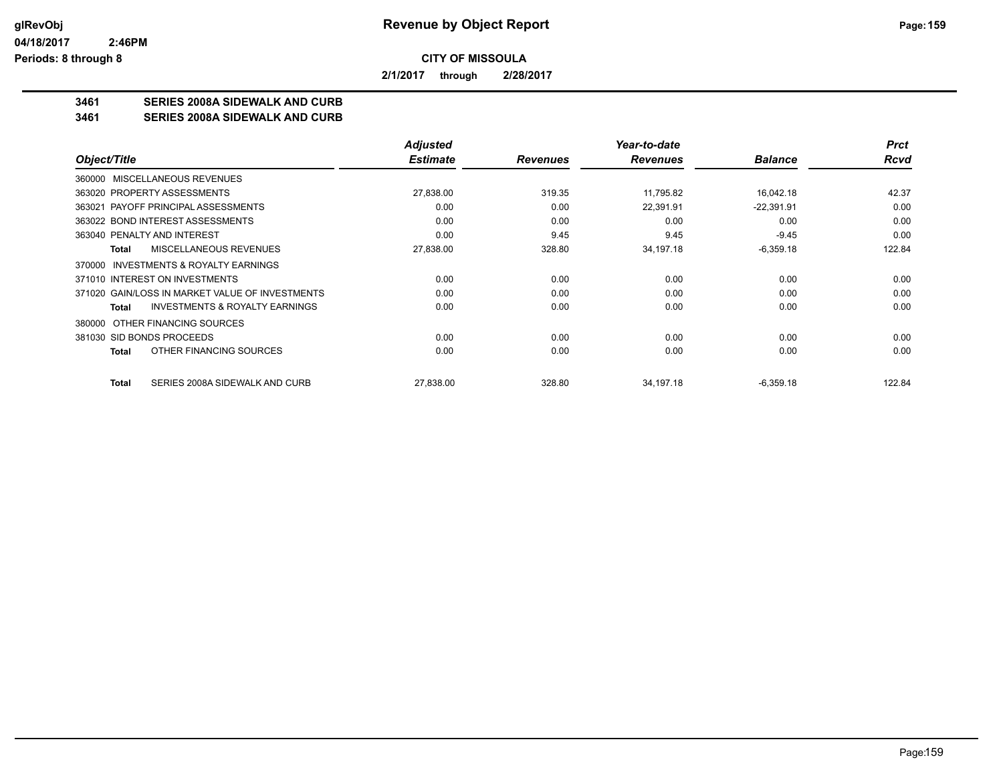**2/1/2017 through 2/28/2017**

## **3461 SERIES 2008A SIDEWALK AND CURB**

**3461 SERIES 2008A SIDEWALK AND CURB**

|                                                           | <b>Adjusted</b> |                 | Year-to-date    |                | <b>Prct</b> |
|-----------------------------------------------------------|-----------------|-----------------|-----------------|----------------|-------------|
| Object/Title                                              | <b>Estimate</b> | <b>Revenues</b> | <b>Revenues</b> | <b>Balance</b> | <b>Rcvd</b> |
| 360000 MISCELLANEOUS REVENUES                             |                 |                 |                 |                |             |
| 363020 PROPERTY ASSESSMENTS                               | 27,838.00       | 319.35          | 11,795.82       | 16,042.18      | 42.37       |
| 363021 PAYOFF PRINCIPAL ASSESSMENTS                       | 0.00            | 0.00            | 22,391.91       | $-22,391.91$   | 0.00        |
| 363022 BOND INTEREST ASSESSMENTS                          | 0.00            | 0.00            | 0.00            | 0.00           | 0.00        |
| 363040 PENALTY AND INTEREST                               | 0.00            | 9.45            | 9.45            | $-9.45$        | 0.00        |
| MISCELLANEOUS REVENUES<br>Total                           | 27,838.00       | 328.80          | 34,197.18       | $-6,359.18$    | 122.84      |
| <b>INVESTMENTS &amp; ROYALTY EARNINGS</b><br>370000       |                 |                 |                 |                |             |
| 371010 INTEREST ON INVESTMENTS                            | 0.00            | 0.00            | 0.00            | 0.00           | 0.00        |
| 371020 GAIN/LOSS IN MARKET VALUE OF INVESTMENTS           | 0.00            | 0.00            | 0.00            | 0.00           | 0.00        |
| <b>INVESTMENTS &amp; ROYALTY EARNINGS</b><br><b>Total</b> | 0.00            | 0.00            | 0.00            | 0.00           | 0.00        |
| OTHER FINANCING SOURCES<br>380000                         |                 |                 |                 |                |             |
| 381030 SID BONDS PROCEEDS                                 | 0.00            | 0.00            | 0.00            | 0.00           | 0.00        |
| OTHER FINANCING SOURCES<br>Total                          | 0.00            | 0.00            | 0.00            | 0.00           | 0.00        |
| SERIES 2008A SIDEWALK AND CURB<br><b>Total</b>            | 27,838.00       | 328.80          | 34,197.18       | $-6,359.18$    | 122.84      |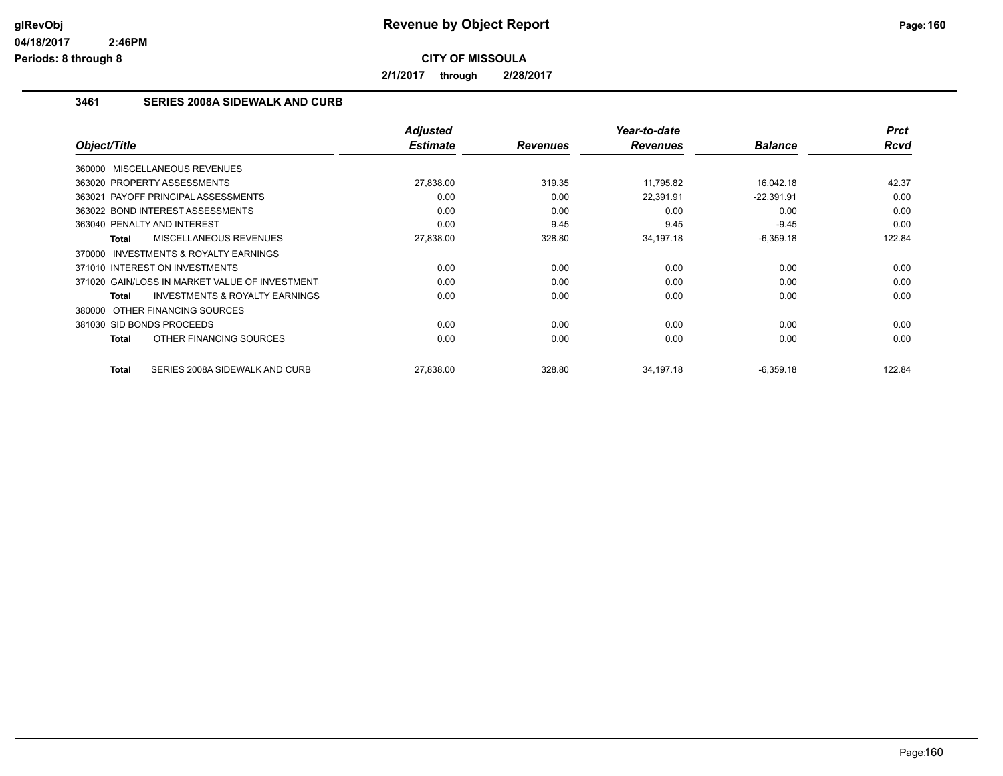**2/1/2017 through 2/28/2017**

#### **3461 SERIES 2008A SIDEWALK AND CURB**

|                                                     | <b>Adjusted</b> |                 | Year-to-date    |                | <b>Prct</b> |
|-----------------------------------------------------|-----------------|-----------------|-----------------|----------------|-------------|
| Object/Title                                        | <b>Estimate</b> | <b>Revenues</b> | <b>Revenues</b> | <b>Balance</b> | Rcvd        |
| 360000 MISCELLANEOUS REVENUES                       |                 |                 |                 |                |             |
| 363020 PROPERTY ASSESSMENTS                         | 27,838.00       | 319.35          | 11,795.82       | 16,042.18      | 42.37       |
| 363021 PAYOFF PRINCIPAL ASSESSMENTS                 | 0.00            | 0.00            | 22,391.91       | $-22,391.91$   | 0.00        |
| 363022 BOND INTEREST ASSESSMENTS                    | 0.00            | 0.00            | 0.00            | 0.00           | 0.00        |
| 363040 PENALTY AND INTEREST                         | 0.00            | 9.45            | 9.45            | $-9.45$        | 0.00        |
| MISCELLANEOUS REVENUES<br>Total                     | 27,838.00       | 328.80          | 34,197.18       | $-6,359.18$    | 122.84      |
| <b>INVESTMENTS &amp; ROYALTY EARNINGS</b><br>370000 |                 |                 |                 |                |             |
| 371010 INTEREST ON INVESTMENTS                      | 0.00            | 0.00            | 0.00            | 0.00           | 0.00        |
| 371020 GAIN/LOSS IN MARKET VALUE OF INVESTMENT      | 0.00            | 0.00            | 0.00            | 0.00           | 0.00        |
| <b>INVESTMENTS &amp; ROYALTY EARNINGS</b><br>Total  | 0.00            | 0.00            | 0.00            | 0.00           | 0.00        |
| 380000 OTHER FINANCING SOURCES                      |                 |                 |                 |                |             |
| 381030 SID BONDS PROCEEDS                           | 0.00            | 0.00            | 0.00            | 0.00           | 0.00        |
| OTHER FINANCING SOURCES<br><b>Total</b>             | 0.00            | 0.00            | 0.00            | 0.00           | 0.00        |
| SERIES 2008A SIDEWALK AND CURB<br><b>Total</b>      | 27,838.00       | 328.80          | 34,197.18       | $-6,359.18$    | 122.84      |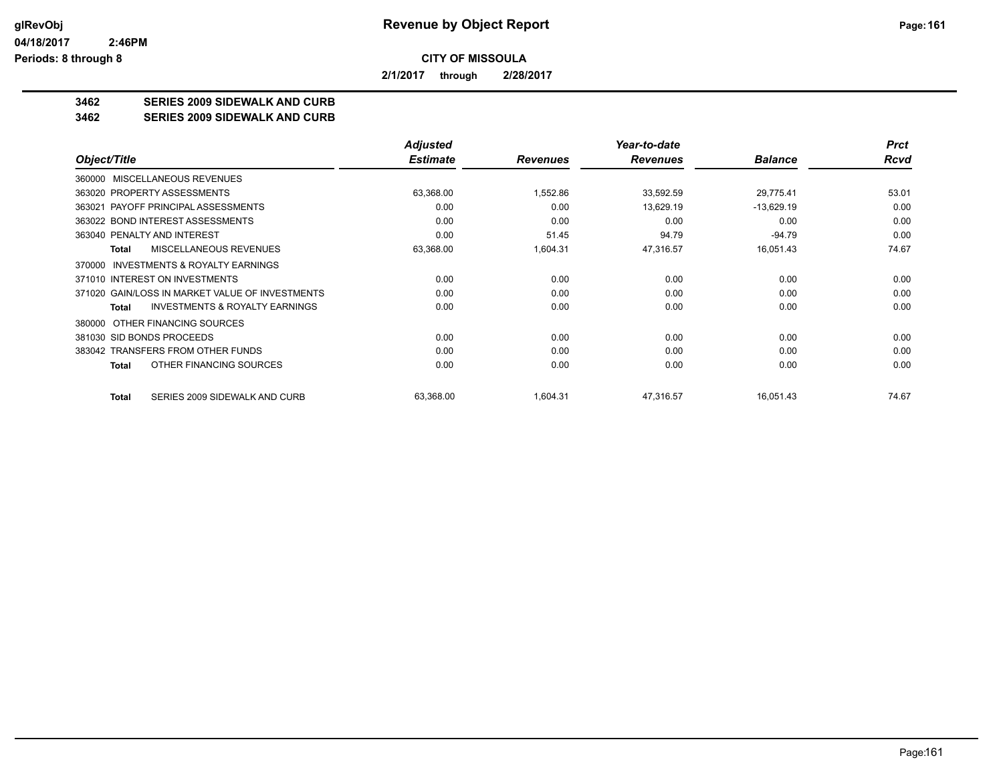**2/1/2017 through 2/28/2017**

### **3462 SERIES 2009 SIDEWALK AND CURB**

**3462 SERIES 2009 SIDEWALK AND CURB**

|                                                    | <b>Adjusted</b> |                 | Year-to-date    |                | <b>Prct</b> |
|----------------------------------------------------|-----------------|-----------------|-----------------|----------------|-------------|
| Object/Title                                       | <b>Estimate</b> | <b>Revenues</b> | <b>Revenues</b> | <b>Balance</b> | Rcvd        |
| 360000 MISCELLANEOUS REVENUES                      |                 |                 |                 |                |             |
| 363020 PROPERTY ASSESSMENTS                        | 63,368.00       | 1,552.86        | 33,592.59       | 29,775.41      | 53.01       |
| PAYOFF PRINCIPAL ASSESSMENTS<br>363021             | 0.00            | 0.00            | 13,629.19       | $-13,629.19$   | 0.00        |
| 363022 BOND INTEREST ASSESSMENTS                   | 0.00            | 0.00            | 0.00            | 0.00           | 0.00        |
| 363040 PENALTY AND INTEREST                        | 0.00            | 51.45           | 94.79           | $-94.79$       | 0.00        |
| <b>MISCELLANEOUS REVENUES</b><br>Total             | 63,368.00       | 1,604.31        | 47,316.57       | 16,051.43      | 74.67       |
| 370000 INVESTMENTS & ROYALTY EARNINGS              |                 |                 |                 |                |             |
| 371010 INTEREST ON INVESTMENTS                     | 0.00            | 0.00            | 0.00            | 0.00           | 0.00        |
| 371020 GAIN/LOSS IN MARKET VALUE OF INVESTMENTS    | 0.00            | 0.00            | 0.00            | 0.00           | 0.00        |
| <b>INVESTMENTS &amp; ROYALTY EARNINGS</b><br>Total | 0.00            | 0.00            | 0.00            | 0.00           | 0.00        |
| OTHER FINANCING SOURCES<br>380000                  |                 |                 |                 |                |             |
| 381030 SID BONDS PROCEEDS                          | 0.00            | 0.00            | 0.00            | 0.00           | 0.00        |
| 383042 TRANSFERS FROM OTHER FUNDS                  | 0.00            | 0.00            | 0.00            | 0.00           | 0.00        |
| OTHER FINANCING SOURCES<br><b>Total</b>            | 0.00            | 0.00            | 0.00            | 0.00           | 0.00        |
| SERIES 2009 SIDEWALK AND CURB<br><b>Total</b>      | 63,368.00       | 1,604.31        | 47,316.57       | 16,051.43      | 74.67       |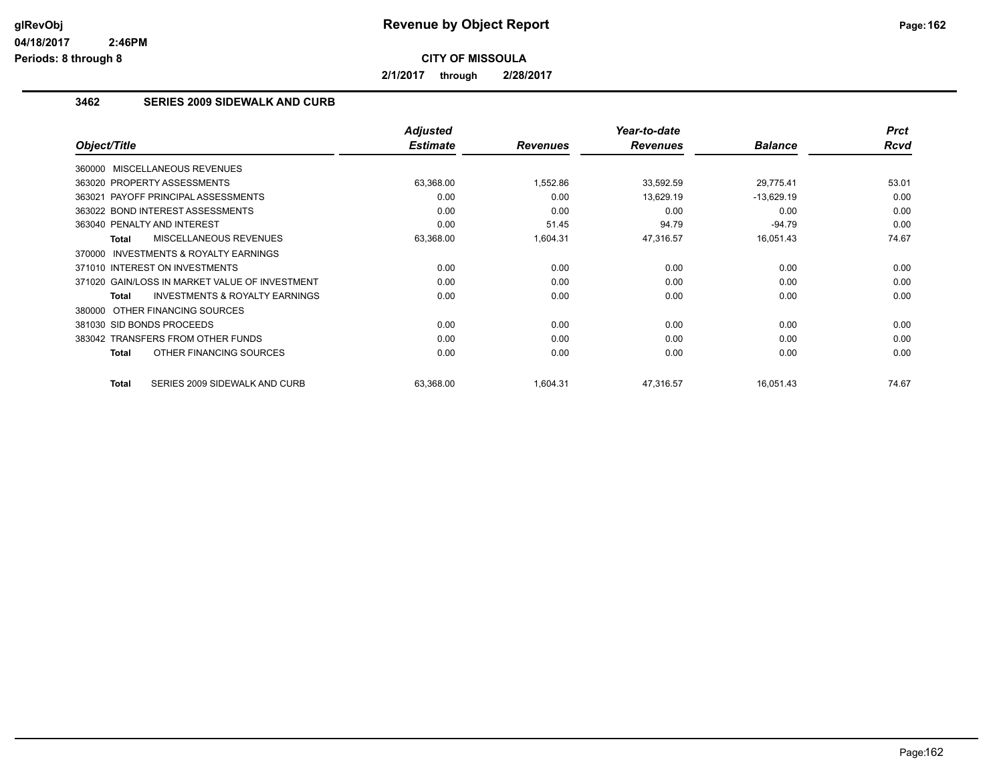**2/1/2017 through 2/28/2017**

#### **3462 SERIES 2009 SIDEWALK AND CURB**

|                                                     | <b>Adjusted</b> |                 | Year-to-date    |                | <b>Prct</b> |
|-----------------------------------------------------|-----------------|-----------------|-----------------|----------------|-------------|
| Object/Title                                        | <b>Estimate</b> | <b>Revenues</b> | <b>Revenues</b> | <b>Balance</b> | <b>Rcvd</b> |
| 360000 MISCELLANEOUS REVENUES                       |                 |                 |                 |                |             |
| 363020 PROPERTY ASSESSMENTS                         | 63,368.00       | 1,552.86        | 33,592.59       | 29,775.41      | 53.01       |
| 363021 PAYOFF PRINCIPAL ASSESSMENTS                 | 0.00            | 0.00            | 13,629.19       | $-13,629.19$   | 0.00        |
| 363022 BOND INTEREST ASSESSMENTS                    | 0.00            | 0.00            | 0.00            | 0.00           | 0.00        |
| 363040 PENALTY AND INTEREST                         | 0.00            | 51.45           | 94.79           | $-94.79$       | 0.00        |
| MISCELLANEOUS REVENUES<br>Total                     | 63,368.00       | 1,604.31        | 47,316.57       | 16,051.43      | 74.67       |
| <b>INVESTMENTS &amp; ROYALTY EARNINGS</b><br>370000 |                 |                 |                 |                |             |
| 371010 INTEREST ON INVESTMENTS                      | 0.00            | 0.00            | 0.00            | 0.00           | 0.00        |
| 371020 GAIN/LOSS IN MARKET VALUE OF INVESTMENT      | 0.00            | 0.00            | 0.00            | 0.00           | 0.00        |
| <b>INVESTMENTS &amp; ROYALTY EARNINGS</b><br>Total  | 0.00            | 0.00            | 0.00            | 0.00           | 0.00        |
| OTHER FINANCING SOURCES<br>380000                   |                 |                 |                 |                |             |
| 381030 SID BONDS PROCEEDS                           | 0.00            | 0.00            | 0.00            | 0.00           | 0.00        |
| 383042 TRANSFERS FROM OTHER FUNDS                   | 0.00            | 0.00            | 0.00            | 0.00           | 0.00        |
| OTHER FINANCING SOURCES<br>Total                    | 0.00            | 0.00            | 0.00            | 0.00           | 0.00        |
| SERIES 2009 SIDEWALK AND CURB<br><b>Total</b>       | 63,368.00       | 1,604.31        | 47,316.57       | 16,051.43      | 74.67       |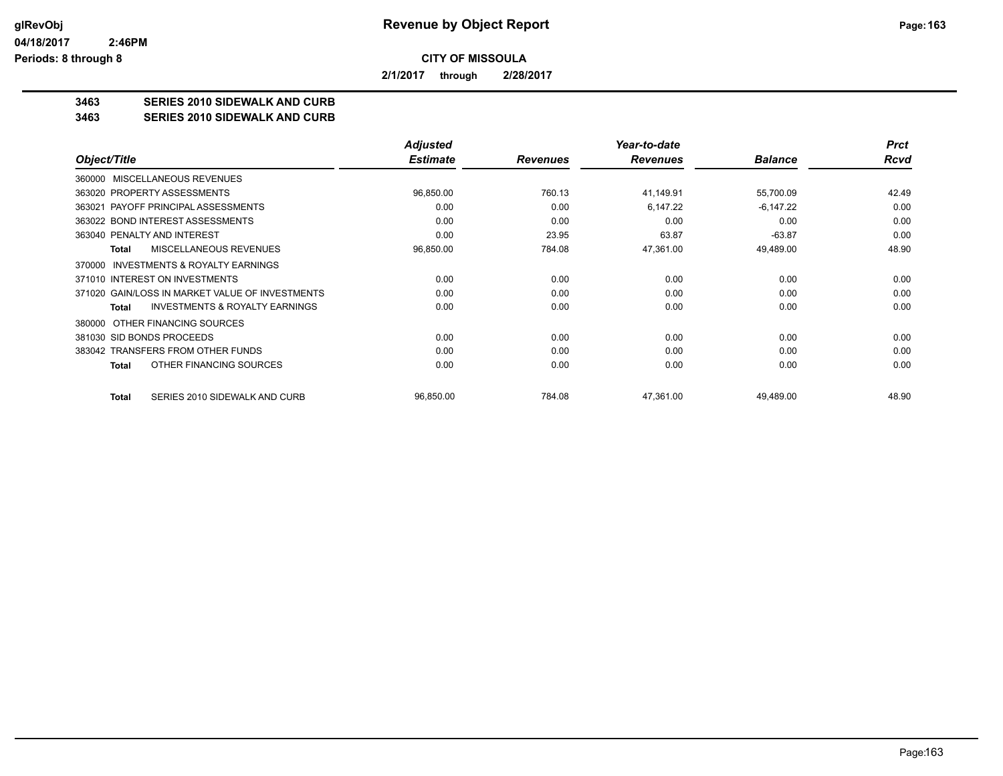**2/1/2017 through 2/28/2017**

### **3463 SERIES 2010 SIDEWALK AND CURB**

**3463 SERIES 2010 SIDEWALK AND CURB**

|                                                    | <b>Adjusted</b> |                 | Year-to-date    |                | <b>Prct</b> |
|----------------------------------------------------|-----------------|-----------------|-----------------|----------------|-------------|
| Object/Title                                       | <b>Estimate</b> | <b>Revenues</b> | <b>Revenues</b> | <b>Balance</b> | Rcvd        |
| 360000 MISCELLANEOUS REVENUES                      |                 |                 |                 |                |             |
| 363020 PROPERTY ASSESSMENTS                        | 96,850.00       | 760.13          | 41,149.91       | 55,700.09      | 42.49       |
| PAYOFF PRINCIPAL ASSESSMENTS<br>363021             | 0.00            | 0.00            | 6,147.22        | $-6,147.22$    | 0.00        |
| 363022 BOND INTEREST ASSESSMENTS                   | 0.00            | 0.00            | 0.00            | 0.00           | 0.00        |
| 363040 PENALTY AND INTEREST                        | 0.00            | 23.95           | 63.87           | $-63.87$       | 0.00        |
| <b>MISCELLANEOUS REVENUES</b><br>Total             | 96,850.00       | 784.08          | 47,361.00       | 49,489.00      | 48.90       |
| 370000 INVESTMENTS & ROYALTY EARNINGS              |                 |                 |                 |                |             |
| 371010 INTEREST ON INVESTMENTS                     | 0.00            | 0.00            | 0.00            | 0.00           | 0.00        |
| 371020 GAIN/LOSS IN MARKET VALUE OF INVESTMENTS    | 0.00            | 0.00            | 0.00            | 0.00           | 0.00        |
| <b>INVESTMENTS &amp; ROYALTY EARNINGS</b><br>Total | 0.00            | 0.00            | 0.00            | 0.00           | 0.00        |
| 380000 OTHER FINANCING SOURCES                     |                 |                 |                 |                |             |
| 381030 SID BONDS PROCEEDS                          | 0.00            | 0.00            | 0.00            | 0.00           | 0.00        |
| 383042 TRANSFERS FROM OTHER FUNDS                  | 0.00            | 0.00            | 0.00            | 0.00           | 0.00        |
| OTHER FINANCING SOURCES<br><b>Total</b>            | 0.00            | 0.00            | 0.00            | 0.00           | 0.00        |
| SERIES 2010 SIDEWALK AND CURB<br><b>Total</b>      | 96,850.00       | 784.08          | 47,361.00       | 49,489.00      | 48.90       |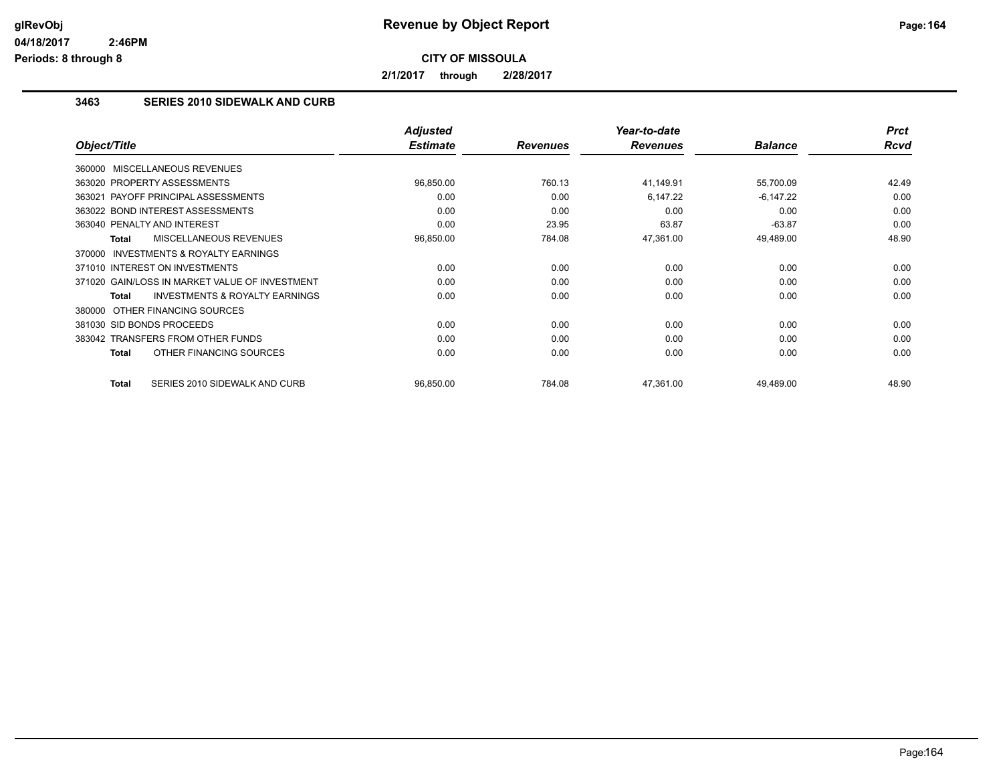**2/1/2017 through 2/28/2017**

#### **3463 SERIES 2010 SIDEWALK AND CURB**

|                                                     | <b>Adjusted</b> |                 | Year-to-date    |                | <b>Prct</b> |
|-----------------------------------------------------|-----------------|-----------------|-----------------|----------------|-------------|
| Object/Title                                        | <b>Estimate</b> | <b>Revenues</b> | <b>Revenues</b> | <b>Balance</b> | Rcvd        |
| 360000 MISCELLANEOUS REVENUES                       |                 |                 |                 |                |             |
| 363020 PROPERTY ASSESSMENTS                         | 96,850.00       | 760.13          | 41,149.91       | 55,700.09      | 42.49       |
| PAYOFF PRINCIPAL ASSESSMENTS<br>363021              | 0.00            | 0.00            | 6.147.22        | $-6.147.22$    | 0.00        |
| 363022 BOND INTEREST ASSESSMENTS                    | 0.00            | 0.00            | 0.00            | 0.00           | 0.00        |
| 363040 PENALTY AND INTEREST                         | 0.00            | 23.95           | 63.87           | $-63.87$       | 0.00        |
| MISCELLANEOUS REVENUES<br>Total                     | 96,850.00       | 784.08          | 47,361.00       | 49,489.00      | 48.90       |
| <b>INVESTMENTS &amp; ROYALTY EARNINGS</b><br>370000 |                 |                 |                 |                |             |
| 371010 INTEREST ON INVESTMENTS                      | 0.00            | 0.00            | 0.00            | 0.00           | 0.00        |
| 371020 GAIN/LOSS IN MARKET VALUE OF INVESTMENT      | 0.00            | 0.00            | 0.00            | 0.00           | 0.00        |
| <b>INVESTMENTS &amp; ROYALTY EARNINGS</b><br>Total  | 0.00            | 0.00            | 0.00            | 0.00           | 0.00        |
| 380000 OTHER FINANCING SOURCES                      |                 |                 |                 |                |             |
| 381030 SID BONDS PROCEEDS                           | 0.00            | 0.00            | 0.00            | 0.00           | 0.00        |
| 383042 TRANSFERS FROM OTHER FUNDS                   | 0.00            | 0.00            | 0.00            | 0.00           | 0.00        |
| OTHER FINANCING SOURCES<br>Total                    | 0.00            | 0.00            | 0.00            | 0.00           | 0.00        |
| SERIES 2010 SIDEWALK AND CURB<br><b>Total</b>       | 96,850.00       | 784.08          | 47,361.00       | 49,489.00      | 48.90       |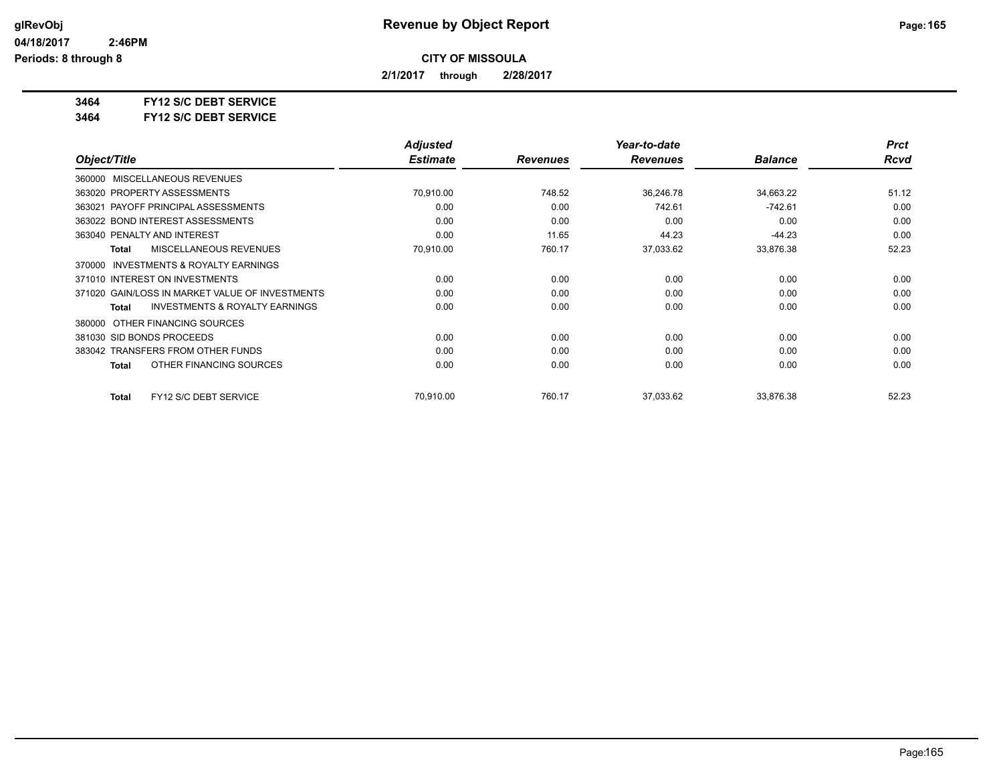**2/1/2017 through 2/28/2017**

**3464 FY12 S/C DEBT SERVICE**

**3464 FY12 S/C DEBT SERVICE**

|                                                    | <b>Adjusted</b> |                 | Year-to-date    |                | <b>Prct</b> |
|----------------------------------------------------|-----------------|-----------------|-----------------|----------------|-------------|
| Object/Title                                       | <b>Estimate</b> | <b>Revenues</b> | <b>Revenues</b> | <b>Balance</b> | <b>Rcvd</b> |
| 360000 MISCELLANEOUS REVENUES                      |                 |                 |                 |                |             |
| 363020 PROPERTY ASSESSMENTS                        | 70.910.00       | 748.52          | 36,246.78       | 34,663.22      | 51.12       |
| PAYOFF PRINCIPAL ASSESSMENTS<br>363021             | 0.00            | 0.00            | 742.61          | $-742.61$      | 0.00        |
| 363022 BOND INTEREST ASSESSMENTS                   | 0.00            | 0.00            | 0.00            | 0.00           | 0.00        |
| 363040 PENALTY AND INTEREST                        | 0.00            | 11.65           | 44.23           | $-44.23$       | 0.00        |
| <b>MISCELLANEOUS REVENUES</b><br>Total             | 70,910.00       | 760.17          | 37,033.62       | 33,876.38      | 52.23       |
| 370000 INVESTMENTS & ROYALTY EARNINGS              |                 |                 |                 |                |             |
| 371010 INTEREST ON INVESTMENTS                     | 0.00            | 0.00            | 0.00            | 0.00           | 0.00        |
| 371020 GAIN/LOSS IN MARKET VALUE OF INVESTMENTS    | 0.00            | 0.00            | 0.00            | 0.00           | 0.00        |
| <b>INVESTMENTS &amp; ROYALTY EARNINGS</b><br>Total | 0.00            | 0.00            | 0.00            | 0.00           | 0.00        |
| OTHER FINANCING SOURCES<br>380000                  |                 |                 |                 |                |             |
| 381030 SID BONDS PROCEEDS                          | 0.00            | 0.00            | 0.00            | 0.00           | 0.00        |
| 383042 TRANSFERS FROM OTHER FUNDS                  | 0.00            | 0.00            | 0.00            | 0.00           | 0.00        |
| OTHER FINANCING SOURCES<br><b>Total</b>            | 0.00            | 0.00            | 0.00            | 0.00           | 0.00        |
| FY12 S/C DEBT SERVICE<br><b>Total</b>              | 70,910.00       | 760.17          | 37,033.62       | 33,876.38      | 52.23       |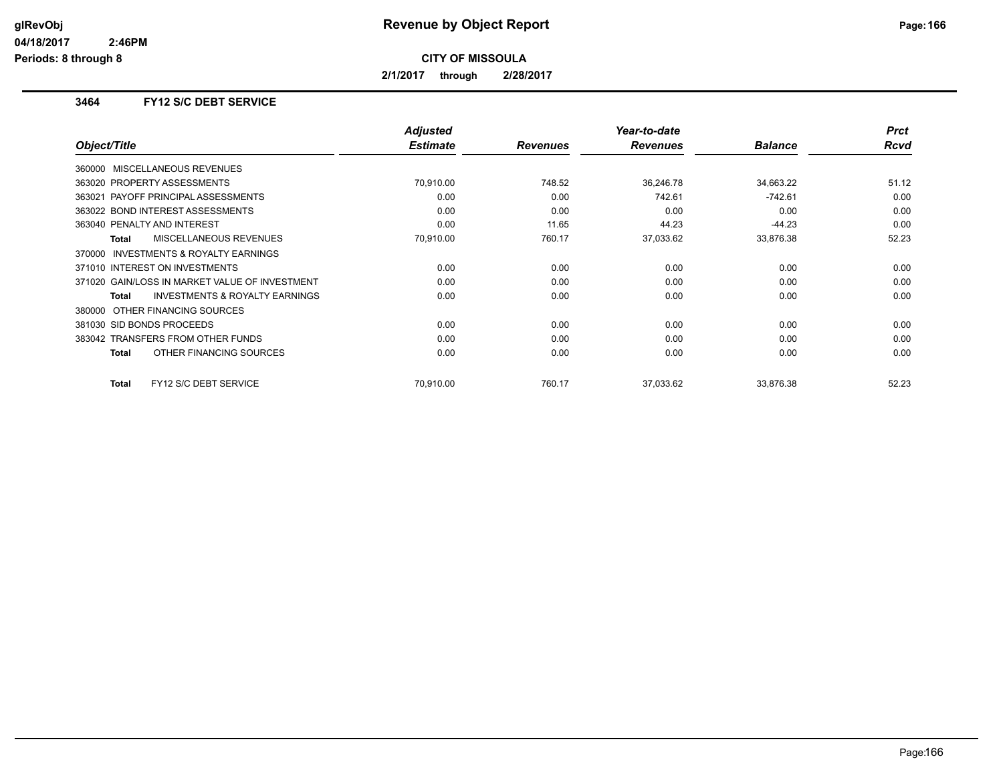**2/1/2017 through 2/28/2017**

#### **3464 FY12 S/C DEBT SERVICE**

|                                                           | <b>Adjusted</b> |                 | Year-to-date    |                | <b>Prct</b> |
|-----------------------------------------------------------|-----------------|-----------------|-----------------|----------------|-------------|
| Object/Title                                              | <b>Estimate</b> | <b>Revenues</b> | <b>Revenues</b> | <b>Balance</b> | Rcvd        |
| 360000 MISCELLANEOUS REVENUES                             |                 |                 |                 |                |             |
| 363020 PROPERTY ASSESSMENTS                               | 70,910.00       | 748.52          | 36,246.78       | 34,663.22      | 51.12       |
| 363021 PAYOFF PRINCIPAL ASSESSMENTS                       | 0.00            | 0.00            | 742.61          | $-742.61$      | 0.00        |
| 363022 BOND INTEREST ASSESSMENTS                          | 0.00            | 0.00            | 0.00            | 0.00           | 0.00        |
| 363040 PENALTY AND INTEREST                               | 0.00            | 11.65           | 44.23           | $-44.23$       | 0.00        |
| MISCELLANEOUS REVENUES<br><b>Total</b>                    | 70,910.00       | 760.17          | 37,033.62       | 33,876.38      | 52.23       |
| <b>INVESTMENTS &amp; ROYALTY EARNINGS</b><br>370000       |                 |                 |                 |                |             |
| 371010 INTEREST ON INVESTMENTS                            | 0.00            | 0.00            | 0.00            | 0.00           | 0.00        |
| 371020 GAIN/LOSS IN MARKET VALUE OF INVESTMENT            | 0.00            | 0.00            | 0.00            | 0.00           | 0.00        |
| <b>INVESTMENTS &amp; ROYALTY EARNINGS</b><br><b>Total</b> | 0.00            | 0.00            | 0.00            | 0.00           | 0.00        |
| 380000 OTHER FINANCING SOURCES                            |                 |                 |                 |                |             |
| 381030 SID BONDS PROCEEDS                                 | 0.00            | 0.00            | 0.00            | 0.00           | 0.00        |
| 383042 TRANSFERS FROM OTHER FUNDS                         | 0.00            | 0.00            | 0.00            | 0.00           | 0.00        |
| OTHER FINANCING SOURCES<br><b>Total</b>                   | 0.00            | 0.00            | 0.00            | 0.00           | 0.00        |
| <b>FY12 S/C DEBT SERVICE</b><br><b>Total</b>              | 70.910.00       | 760.17          | 37,033.62       | 33,876.38      | 52.23       |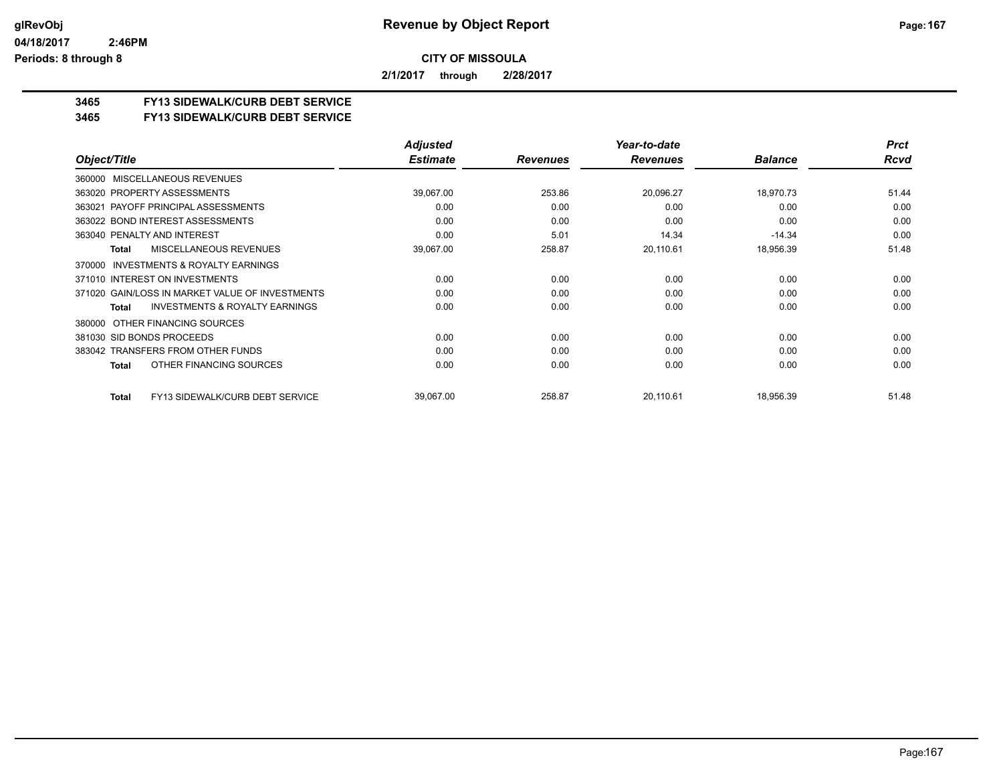**2/1/2017 through 2/28/2017**

## **3465 FY13 SIDEWALK/CURB DEBT SERVICE**

**3465 FY13 SIDEWALK/CURB DEBT SERVICE**

|                                                    | <b>Adjusted</b> |                 | Year-to-date    |                | <b>Prct</b> |
|----------------------------------------------------|-----------------|-----------------|-----------------|----------------|-------------|
| Object/Title                                       | <b>Estimate</b> | <b>Revenues</b> | <b>Revenues</b> | <b>Balance</b> | Rcvd        |
| 360000 MISCELLANEOUS REVENUES                      |                 |                 |                 |                |             |
| 363020 PROPERTY ASSESSMENTS                        | 39,067.00       | 253.86          | 20,096.27       | 18,970.73      | 51.44       |
| PAYOFF PRINCIPAL ASSESSMENTS<br>363021             | 0.00            | 0.00            | 0.00            | 0.00           | 0.00        |
| 363022 BOND INTEREST ASSESSMENTS                   | 0.00            | 0.00            | 0.00            | 0.00           | 0.00        |
| 363040 PENALTY AND INTEREST                        | 0.00            | 5.01            | 14.34           | $-14.34$       | 0.00        |
| <b>MISCELLANEOUS REVENUES</b><br>Total             | 39,067.00       | 258.87          | 20,110.61       | 18,956.39      | 51.48       |
| 370000 INVESTMENTS & ROYALTY EARNINGS              |                 |                 |                 |                |             |
| 371010 INTEREST ON INVESTMENTS                     | 0.00            | 0.00            | 0.00            | 0.00           | 0.00        |
| 371020 GAIN/LOSS IN MARKET VALUE OF INVESTMENTS    | 0.00            | 0.00            | 0.00            | 0.00           | 0.00        |
| <b>INVESTMENTS &amp; ROYALTY EARNINGS</b><br>Total | 0.00            | 0.00            | 0.00            | 0.00           | 0.00        |
| OTHER FINANCING SOURCES<br>380000                  |                 |                 |                 |                |             |
| 381030 SID BONDS PROCEEDS                          | 0.00            | 0.00            | 0.00            | 0.00           | 0.00        |
| 383042 TRANSFERS FROM OTHER FUNDS                  | 0.00            | 0.00            | 0.00            | 0.00           | 0.00        |
| OTHER FINANCING SOURCES<br><b>Total</b>            | 0.00            | 0.00            | 0.00            | 0.00           | 0.00        |
| FY13 SIDEWALK/CURB DEBT SERVICE<br><b>Total</b>    | 39,067.00       | 258.87          | 20,110.61       | 18,956.39      | 51.48       |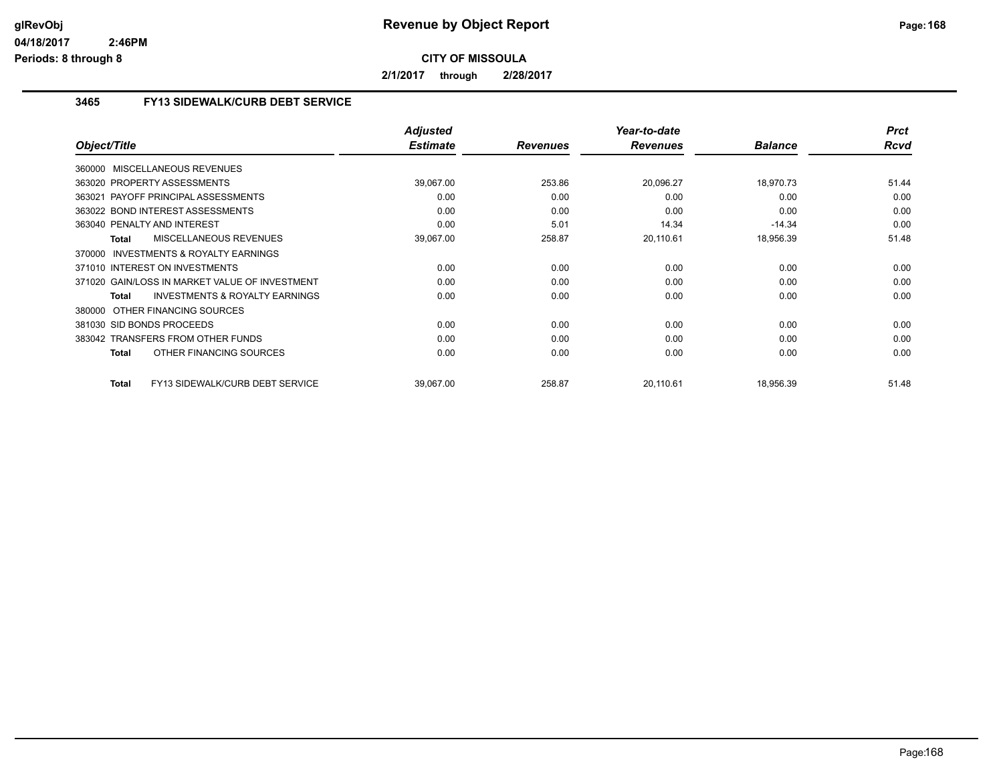**2/1/2017 through 2/28/2017**

#### **3465 FY13 SIDEWALK/CURB DEBT SERVICE**

|                                                           | <b>Adjusted</b> |                 | Year-to-date    |                | <b>Prct</b> |
|-----------------------------------------------------------|-----------------|-----------------|-----------------|----------------|-------------|
| Object/Title                                              | <b>Estimate</b> | <b>Revenues</b> | <b>Revenues</b> | <b>Balance</b> | <b>Rcvd</b> |
| 360000 MISCELLANEOUS REVENUES                             |                 |                 |                 |                |             |
| 363020 PROPERTY ASSESSMENTS                               | 39,067.00       | 253.86          | 20,096.27       | 18,970.73      | 51.44       |
| 363021 PAYOFF PRINCIPAL ASSESSMENTS                       | 0.00            | 0.00            | 0.00            | 0.00           | 0.00        |
| 363022 BOND INTEREST ASSESSMENTS                          | 0.00            | 0.00            | 0.00            | 0.00           | 0.00        |
| 363040 PENALTY AND INTEREST                               | 0.00            | 5.01            | 14.34           | $-14.34$       | 0.00        |
| MISCELLANEOUS REVENUES<br><b>Total</b>                    | 39,067.00       | 258.87          | 20,110.61       | 18,956.39      | 51.48       |
| <b>INVESTMENTS &amp; ROYALTY EARNINGS</b><br>370000       |                 |                 |                 |                |             |
| 371010 INTEREST ON INVESTMENTS                            | 0.00            | 0.00            | 0.00            | 0.00           | 0.00        |
| 371020 GAIN/LOSS IN MARKET VALUE OF INVESTMENT            | 0.00            | 0.00            | 0.00            | 0.00           | 0.00        |
| <b>INVESTMENTS &amp; ROYALTY EARNINGS</b><br><b>Total</b> | 0.00            | 0.00            | 0.00            | 0.00           | 0.00        |
| OTHER FINANCING SOURCES<br>380000                         |                 |                 |                 |                |             |
| 381030 SID BONDS PROCEEDS                                 | 0.00            | 0.00            | 0.00            | 0.00           | 0.00        |
| 383042 TRANSFERS FROM OTHER FUNDS                         | 0.00            | 0.00            | 0.00            | 0.00           | 0.00        |
| OTHER FINANCING SOURCES<br><b>Total</b>                   | 0.00            | 0.00            | 0.00            | 0.00           | 0.00        |
| FY13 SIDEWALK/CURB DEBT SERVICE<br><b>Total</b>           | 39,067.00       | 258.87          | 20.110.61       | 18,956.39      | 51.48       |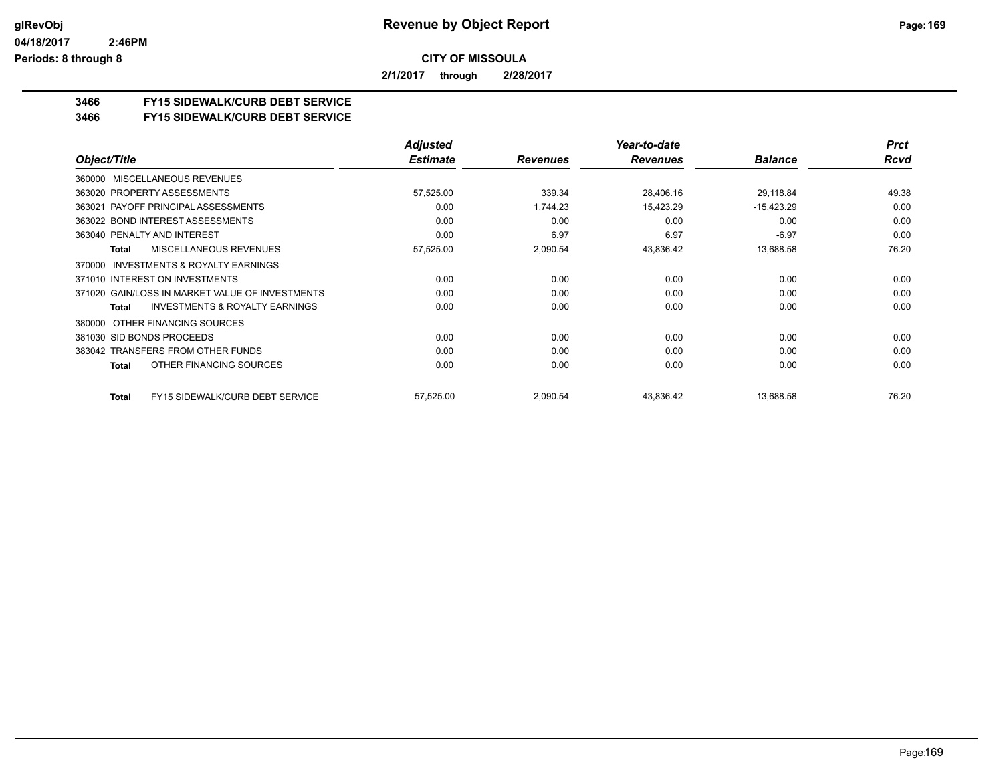**2/1/2017 through 2/28/2017**

# **3466 FY15 SIDEWALK/CURB DEBT SERVICE**

**3466 FY15 SIDEWALK/CURB DEBT SERVICE**

|                                                           | <b>Adjusted</b> |                 | Year-to-date    |                | <b>Prct</b> |
|-----------------------------------------------------------|-----------------|-----------------|-----------------|----------------|-------------|
| Object/Title                                              | <b>Estimate</b> | <b>Revenues</b> | <b>Revenues</b> | <b>Balance</b> | <b>Rcvd</b> |
| MISCELLANEOUS REVENUES<br>360000                          |                 |                 |                 |                |             |
| 363020 PROPERTY ASSESSMENTS                               | 57,525.00       | 339.34          | 28,406.16       | 29,118.84      | 49.38       |
| PAYOFF PRINCIPAL ASSESSMENTS<br>363021                    | 0.00            | 1,744.23        | 15,423.29       | $-15,423.29$   | 0.00        |
| 363022 BOND INTEREST ASSESSMENTS                          | 0.00            | 0.00            | 0.00            | 0.00           | 0.00        |
| 363040 PENALTY AND INTEREST                               | 0.00            | 6.97            | 6.97            | $-6.97$        | 0.00        |
| <b>MISCELLANEOUS REVENUES</b><br><b>Total</b>             | 57,525.00       | 2,090.54        | 43,836.42       | 13,688.58      | 76.20       |
| <b>INVESTMENTS &amp; ROYALTY EARNINGS</b><br>370000       |                 |                 |                 |                |             |
| 371010 INTEREST ON INVESTMENTS                            | 0.00            | 0.00            | 0.00            | 0.00           | 0.00        |
| 371020 GAIN/LOSS IN MARKET VALUE OF INVESTMENTS           | 0.00            | 0.00            | 0.00            | 0.00           | 0.00        |
| <b>INVESTMENTS &amp; ROYALTY EARNINGS</b><br><b>Total</b> | 0.00            | 0.00            | 0.00            | 0.00           | 0.00        |
| OTHER FINANCING SOURCES<br>380000                         |                 |                 |                 |                |             |
| 381030 SID BONDS PROCEEDS                                 | 0.00            | 0.00            | 0.00            | 0.00           | 0.00        |
| 383042 TRANSFERS FROM OTHER FUNDS                         | 0.00            | 0.00            | 0.00            | 0.00           | 0.00        |
| OTHER FINANCING SOURCES<br><b>Total</b>                   | 0.00            | 0.00            | 0.00            | 0.00           | 0.00        |
| <b>FY15 SIDEWALK/CURB DEBT SERVICE</b><br>Total           | 57,525.00       | 2,090.54        | 43,836.42       | 13,688.58      | 76.20       |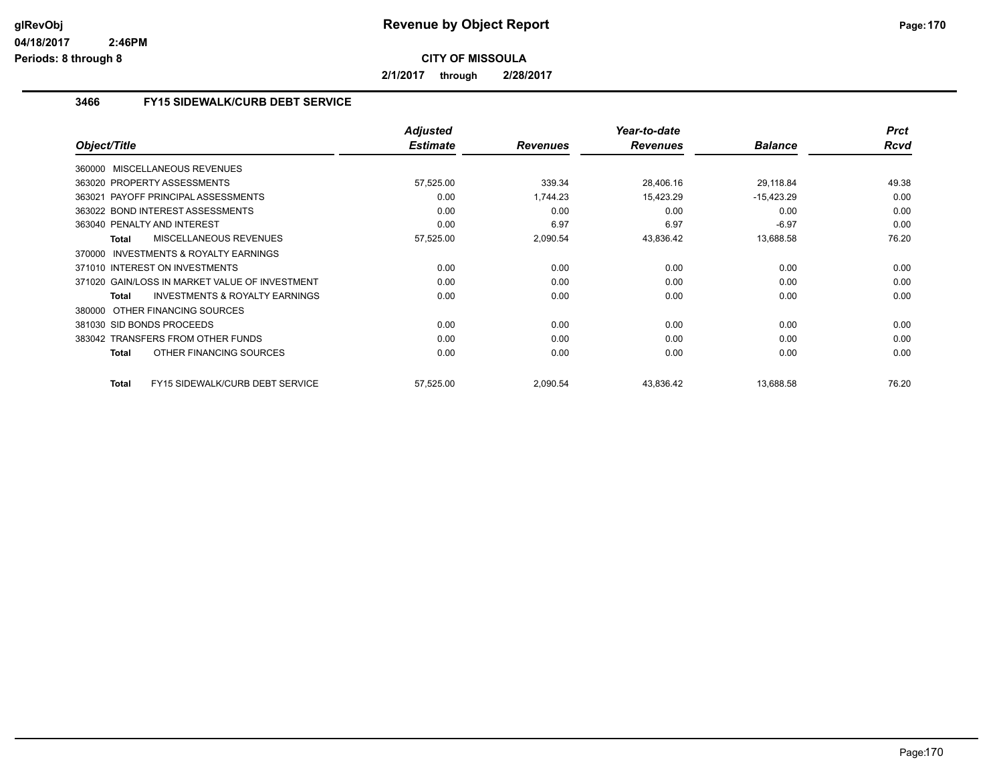**2/1/2017 through 2/28/2017**

#### **3466 FY15 SIDEWALK/CURB DEBT SERVICE**

|                                                     | <b>Adjusted</b> |                 | Year-to-date    |                | <b>Prct</b> |
|-----------------------------------------------------|-----------------|-----------------|-----------------|----------------|-------------|
| Object/Title                                        | <b>Estimate</b> | <b>Revenues</b> | <b>Revenues</b> | <b>Balance</b> | Rcvd        |
| 360000 MISCELLANEOUS REVENUES                       |                 |                 |                 |                |             |
| 363020 PROPERTY ASSESSMENTS                         | 57,525.00       | 339.34          | 28,406.16       | 29,118.84      | 49.38       |
| 363021 PAYOFF PRINCIPAL ASSESSMENTS                 | 0.00            | 1,744.23        | 15,423.29       | $-15,423.29$   | 0.00        |
| 363022 BOND INTEREST ASSESSMENTS                    | 0.00            | 0.00            | 0.00            | 0.00           | 0.00        |
| 363040 PENALTY AND INTEREST                         | 0.00            | 6.97            | 6.97            | $-6.97$        | 0.00        |
| MISCELLANEOUS REVENUES<br>Total                     | 57,525.00       | 2,090.54        | 43,836.42       | 13,688.58      | 76.20       |
| <b>INVESTMENTS &amp; ROYALTY EARNINGS</b><br>370000 |                 |                 |                 |                |             |
| 371010 INTEREST ON INVESTMENTS                      | 0.00            | 0.00            | 0.00            | 0.00           | 0.00        |
| 371020 GAIN/LOSS IN MARKET VALUE OF INVESTMENT      | 0.00            | 0.00            | 0.00            | 0.00           | 0.00        |
| <b>INVESTMENTS &amp; ROYALTY EARNINGS</b><br>Total  | 0.00            | 0.00            | 0.00            | 0.00           | 0.00        |
| OTHER FINANCING SOURCES<br>380000                   |                 |                 |                 |                |             |
| 381030 SID BONDS PROCEEDS                           | 0.00            | 0.00            | 0.00            | 0.00           | 0.00        |
| 383042 TRANSFERS FROM OTHER FUNDS                   | 0.00            | 0.00            | 0.00            | 0.00           | 0.00        |
| OTHER FINANCING SOURCES<br><b>Total</b>             | 0.00            | 0.00            | 0.00            | 0.00           | 0.00        |
| FY15 SIDEWALK/CURB DEBT SERVICE<br><b>Total</b>     | 57,525.00       | 2,090.54        | 43,836.42       | 13,688.58      | 76.20       |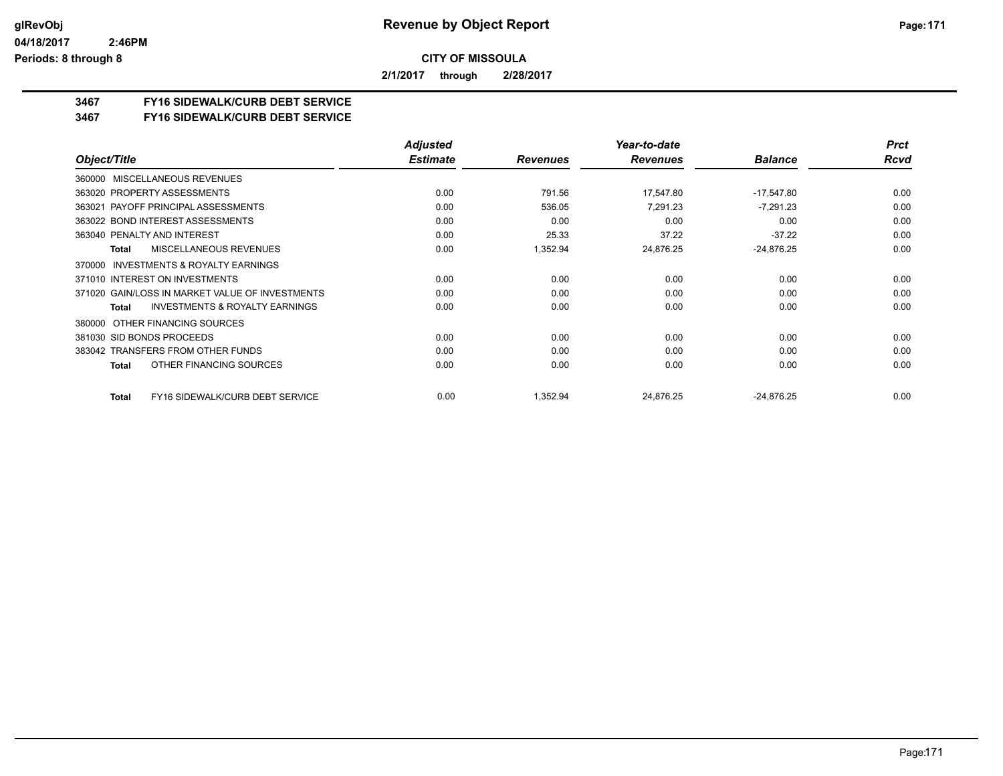**2/1/2017 through 2/28/2017**

## **3467 FY16 SIDEWALK/CURB DEBT SERVICE**

**3467 FY16 SIDEWALK/CURB DEBT SERVICE**

|                                                           | <b>Adjusted</b> |                 | Year-to-date    |                | <b>Prct</b> |
|-----------------------------------------------------------|-----------------|-----------------|-----------------|----------------|-------------|
| Object/Title                                              | <b>Estimate</b> | <b>Revenues</b> | <b>Revenues</b> | <b>Balance</b> | Rcvd        |
| 360000 MISCELLANEOUS REVENUES                             |                 |                 |                 |                |             |
| 363020 PROPERTY ASSESSMENTS                               | 0.00            | 791.56          | 17,547.80       | $-17,547.80$   | 0.00        |
| 363021 PAYOFF PRINCIPAL ASSESSMENTS                       | 0.00            | 536.05          | 7,291.23        | $-7.291.23$    | 0.00        |
| 363022 BOND INTEREST ASSESSMENTS                          | 0.00            | 0.00            | 0.00            | 0.00           | 0.00        |
| 363040 PENALTY AND INTEREST                               | 0.00            | 25.33           | 37.22           | $-37.22$       | 0.00        |
| MISCELLANEOUS REVENUES<br>Total                           | 0.00            | 1,352.94        | 24,876.25       | $-24,876.25$   | 0.00        |
| 370000 INVESTMENTS & ROYALTY EARNINGS                     |                 |                 |                 |                |             |
| 371010 INTEREST ON INVESTMENTS                            | 0.00            | 0.00            | 0.00            | 0.00           | 0.00        |
| 371020 GAIN/LOSS IN MARKET VALUE OF INVESTMENTS           | 0.00            | 0.00            | 0.00            | 0.00           | 0.00        |
| <b>INVESTMENTS &amp; ROYALTY EARNINGS</b><br><b>Total</b> | 0.00            | 0.00            | 0.00            | 0.00           | 0.00        |
| 380000 OTHER FINANCING SOURCES                            |                 |                 |                 |                |             |
| 381030 SID BONDS PROCEEDS                                 | 0.00            | 0.00            | 0.00            | 0.00           | 0.00        |
| 383042 TRANSFERS FROM OTHER FUNDS                         | 0.00            | 0.00            | 0.00            | 0.00           | 0.00        |
| OTHER FINANCING SOURCES<br>Total                          | 0.00            | 0.00            | 0.00            | 0.00           | 0.00        |
| FY16 SIDEWALK/CURB DEBT SERVICE<br><b>Total</b>           | 0.00            | 1,352.94        | 24,876.25       | $-24,876.25$   | 0.00        |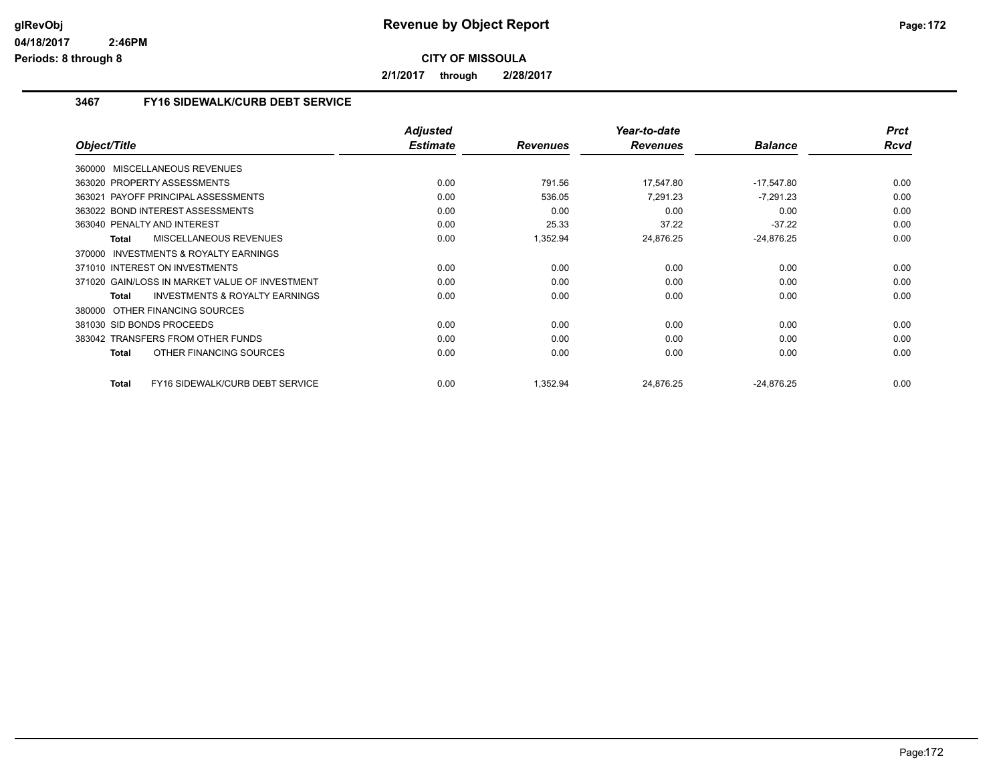**2/1/2017 through 2/28/2017**

#### **3467 FY16 SIDEWALK/CURB DEBT SERVICE**

|                                                           | <b>Adjusted</b> |                 | Year-to-date    |                | <b>Prct</b> |
|-----------------------------------------------------------|-----------------|-----------------|-----------------|----------------|-------------|
| Object/Title                                              | <b>Estimate</b> | <b>Revenues</b> | <b>Revenues</b> | <b>Balance</b> | Rcvd        |
| 360000 MISCELLANEOUS REVENUES                             |                 |                 |                 |                |             |
| 363020 PROPERTY ASSESSMENTS                               | 0.00            | 791.56          | 17,547.80       | $-17,547.80$   | 0.00        |
| 363021 PAYOFF PRINCIPAL ASSESSMENTS                       | 0.00            | 536.05          | 7,291.23        | $-7,291.23$    | 0.00        |
| 363022 BOND INTEREST ASSESSMENTS                          | 0.00            | 0.00            | 0.00            | 0.00           | 0.00        |
| 363040 PENALTY AND INTEREST                               | 0.00            | 25.33           | 37.22           | $-37.22$       | 0.00        |
| MISCELLANEOUS REVENUES<br><b>Total</b>                    | 0.00            | 1,352.94        | 24,876.25       | $-24,876.25$   | 0.00        |
| <b>INVESTMENTS &amp; ROYALTY EARNINGS</b><br>370000       |                 |                 |                 |                |             |
| 371010 INTEREST ON INVESTMENTS                            | 0.00            | 0.00            | 0.00            | 0.00           | 0.00        |
| 371020 GAIN/LOSS IN MARKET VALUE OF INVESTMENT            | 0.00            | 0.00            | 0.00            | 0.00           | 0.00        |
| <b>INVESTMENTS &amp; ROYALTY EARNINGS</b><br><b>Total</b> | 0.00            | 0.00            | 0.00            | 0.00           | 0.00        |
| OTHER FINANCING SOURCES<br>380000                         |                 |                 |                 |                |             |
| 381030 SID BONDS PROCEEDS                                 | 0.00            | 0.00            | 0.00            | 0.00           | 0.00        |
| 383042 TRANSFERS FROM OTHER FUNDS                         | 0.00            | 0.00            | 0.00            | 0.00           | 0.00        |
| OTHER FINANCING SOURCES<br><b>Total</b>                   | 0.00            | 0.00            | 0.00            | 0.00           | 0.00        |
| FY16 SIDEWALK/CURB DEBT SERVICE<br><b>Total</b>           | 0.00            | 1,352.94        | 24,876.25       | $-24.876.25$   | 0.00        |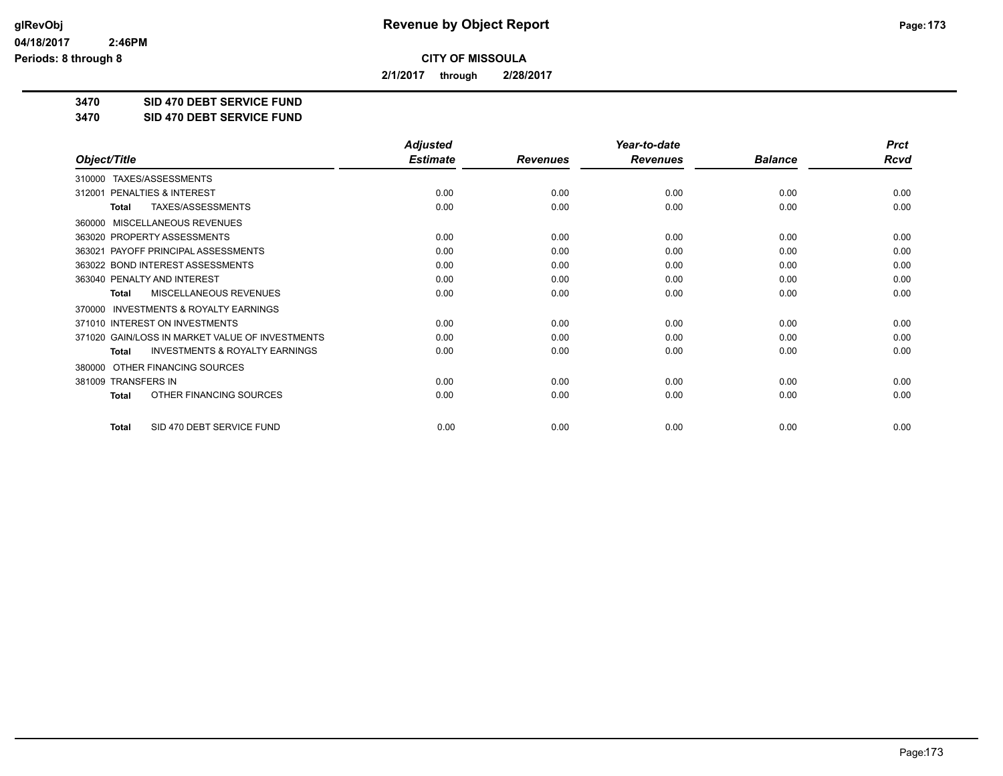**2/1/2017 through 2/28/2017**

**3470 SID 470 DEBT SERVICE FUND**

**3470 SID 470 DEBT SERVICE FUND**

|                                                     | <b>Adjusted</b> |                 | Year-to-date    |                | <b>Prct</b> |
|-----------------------------------------------------|-----------------|-----------------|-----------------|----------------|-------------|
| Object/Title                                        | <b>Estimate</b> | <b>Revenues</b> | <b>Revenues</b> | <b>Balance</b> | Rcvd        |
| TAXES/ASSESSMENTS<br>310000                         |                 |                 |                 |                |             |
| 312001 PENALTIES & INTEREST                         | 0.00            | 0.00            | 0.00            | 0.00           | 0.00        |
| TAXES/ASSESSMENTS<br>Total                          | 0.00            | 0.00            | 0.00            | 0.00           | 0.00        |
| 360000 MISCELLANEOUS REVENUES                       |                 |                 |                 |                |             |
| 363020 PROPERTY ASSESSMENTS                         | 0.00            | 0.00            | 0.00            | 0.00           | 0.00        |
| 363021 PAYOFF PRINCIPAL ASSESSMENTS                 | 0.00            | 0.00            | 0.00            | 0.00           | 0.00        |
| 363022 BOND INTEREST ASSESSMENTS                    | 0.00            | 0.00            | 0.00            | 0.00           | 0.00        |
| 363040 PENALTY AND INTEREST                         | 0.00            | 0.00            | 0.00            | 0.00           | 0.00        |
| MISCELLANEOUS REVENUES<br>Total                     | 0.00            | 0.00            | 0.00            | 0.00           | 0.00        |
| <b>INVESTMENTS &amp; ROYALTY EARNINGS</b><br>370000 |                 |                 |                 |                |             |
| 371010 INTEREST ON INVESTMENTS                      | 0.00            | 0.00            | 0.00            | 0.00           | 0.00        |
| 371020 GAIN/LOSS IN MARKET VALUE OF INVESTMENTS     | 0.00            | 0.00            | 0.00            | 0.00           | 0.00        |
| <b>INVESTMENTS &amp; ROYALTY EARNINGS</b><br>Total  | 0.00            | 0.00            | 0.00            | 0.00           | 0.00        |
| 380000 OTHER FINANCING SOURCES                      |                 |                 |                 |                |             |
| 381009 TRANSFERS IN                                 | 0.00            | 0.00            | 0.00            | 0.00           | 0.00        |
| OTHER FINANCING SOURCES<br><b>Total</b>             | 0.00            | 0.00            | 0.00            | 0.00           | 0.00        |
| SID 470 DEBT SERVICE FUND<br><b>Total</b>           | 0.00            | 0.00            | 0.00            | 0.00           | 0.00        |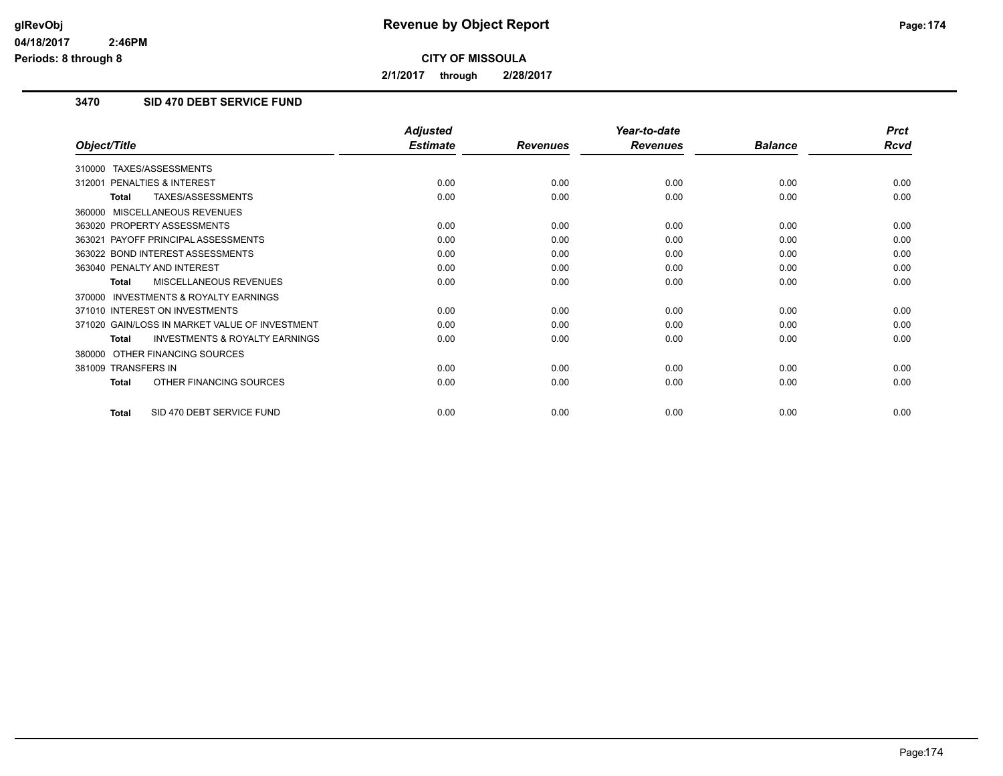**2/1/2017 through 2/28/2017**

#### **3470 SID 470 DEBT SERVICE FUND**

|                                                           | <b>Adjusted</b> |                 | Year-to-date    |                | <b>Prct</b> |
|-----------------------------------------------------------|-----------------|-----------------|-----------------|----------------|-------------|
| Object/Title                                              | <b>Estimate</b> | <b>Revenues</b> | <b>Revenues</b> | <b>Balance</b> | <b>Rcvd</b> |
| TAXES/ASSESSMENTS<br>310000                               |                 |                 |                 |                |             |
| 312001 PENALTIES & INTEREST                               | 0.00            | 0.00            | 0.00            | 0.00           | 0.00        |
| TAXES/ASSESSMENTS<br><b>Total</b>                         | 0.00            | 0.00            | 0.00            | 0.00           | 0.00        |
| MISCELLANEOUS REVENUES<br>360000                          |                 |                 |                 |                |             |
| 363020 PROPERTY ASSESSMENTS                               | 0.00            | 0.00            | 0.00            | 0.00           | 0.00        |
| 363021 PAYOFF PRINCIPAL ASSESSMENTS                       | 0.00            | 0.00            | 0.00            | 0.00           | 0.00        |
| 363022 BOND INTEREST ASSESSMENTS                          | 0.00            | 0.00            | 0.00            | 0.00           | 0.00        |
| 363040 PENALTY AND INTEREST                               | 0.00            | 0.00            | 0.00            | 0.00           | 0.00        |
| <b>MISCELLANEOUS REVENUES</b><br>Total                    | 0.00            | 0.00            | 0.00            | 0.00           | 0.00        |
| <b>INVESTMENTS &amp; ROYALTY EARNINGS</b><br>370000       |                 |                 |                 |                |             |
| 371010 INTEREST ON INVESTMENTS                            | 0.00            | 0.00            | 0.00            | 0.00           | 0.00        |
| 371020 GAIN/LOSS IN MARKET VALUE OF INVESTMENT            | 0.00            | 0.00            | 0.00            | 0.00           | 0.00        |
| <b>INVESTMENTS &amp; ROYALTY EARNINGS</b><br><b>Total</b> | 0.00            | 0.00            | 0.00            | 0.00           | 0.00        |
| OTHER FINANCING SOURCES<br>380000                         |                 |                 |                 |                |             |
| 381009 TRANSFERS IN                                       | 0.00            | 0.00            | 0.00            | 0.00           | 0.00        |
| OTHER FINANCING SOURCES<br>Total                          | 0.00            | 0.00            | 0.00            | 0.00           | 0.00        |
| SID 470 DEBT SERVICE FUND<br>Total                        | 0.00            | 0.00            | 0.00            | 0.00           | 0.00        |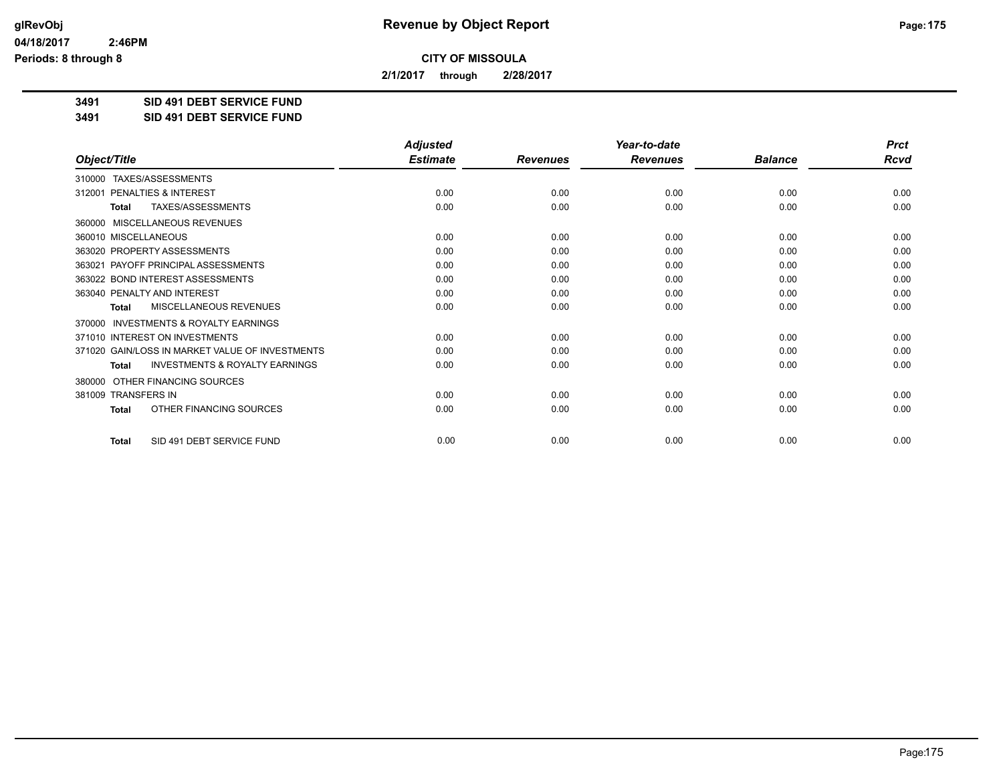**2/1/2017 through 2/28/2017**

**3491 SID 491 DEBT SERVICE FUND**

**3491 SID 491 DEBT SERVICE FUND**

|                                                     | <b>Adjusted</b> |                 | Year-to-date    |                |      |
|-----------------------------------------------------|-----------------|-----------------|-----------------|----------------|------|
| Object/Title                                        | <b>Estimate</b> | <b>Revenues</b> | <b>Revenues</b> | <b>Balance</b> | Rcvd |
| 310000 TAXES/ASSESSMENTS                            |                 |                 |                 |                |      |
| PENALTIES & INTEREST<br>312001                      | 0.00            | 0.00            | 0.00            | 0.00           | 0.00 |
| TAXES/ASSESSMENTS<br><b>Total</b>                   | 0.00            | 0.00            | 0.00            | 0.00           | 0.00 |
| 360000 MISCELLANEOUS REVENUES                       |                 |                 |                 |                |      |
| 360010 MISCELLANEOUS                                | 0.00            | 0.00            | 0.00            | 0.00           | 0.00 |
| 363020 PROPERTY ASSESSMENTS                         | 0.00            | 0.00            | 0.00            | 0.00           | 0.00 |
| 363021 PAYOFF PRINCIPAL ASSESSMENTS                 | 0.00            | 0.00            | 0.00            | 0.00           | 0.00 |
| 363022 BOND INTEREST ASSESSMENTS                    | 0.00            | 0.00            | 0.00            | 0.00           | 0.00 |
| 363040 PENALTY AND INTEREST                         | 0.00            | 0.00            | 0.00            | 0.00           | 0.00 |
| MISCELLANEOUS REVENUES<br>Total                     | 0.00            | 0.00            | 0.00            | 0.00           | 0.00 |
| <b>INVESTMENTS &amp; ROYALTY EARNINGS</b><br>370000 |                 |                 |                 |                |      |
| 371010 INTEREST ON INVESTMENTS                      | 0.00            | 0.00            | 0.00            | 0.00           | 0.00 |
| 371020 GAIN/LOSS IN MARKET VALUE OF INVESTMENTS     | 0.00            | 0.00            | 0.00            | 0.00           | 0.00 |
| <b>INVESTMENTS &amp; ROYALTY EARNINGS</b><br>Total  | 0.00            | 0.00            | 0.00            | 0.00           | 0.00 |
| OTHER FINANCING SOURCES<br>380000                   |                 |                 |                 |                |      |
| 381009 TRANSFERS IN                                 | 0.00            | 0.00            | 0.00            | 0.00           | 0.00 |
| OTHER FINANCING SOURCES<br><b>Total</b>             | 0.00            | 0.00            | 0.00            | 0.00           | 0.00 |
| SID 491 DEBT SERVICE FUND<br><b>Total</b>           | 0.00            | 0.00            | 0.00            | 0.00           | 0.00 |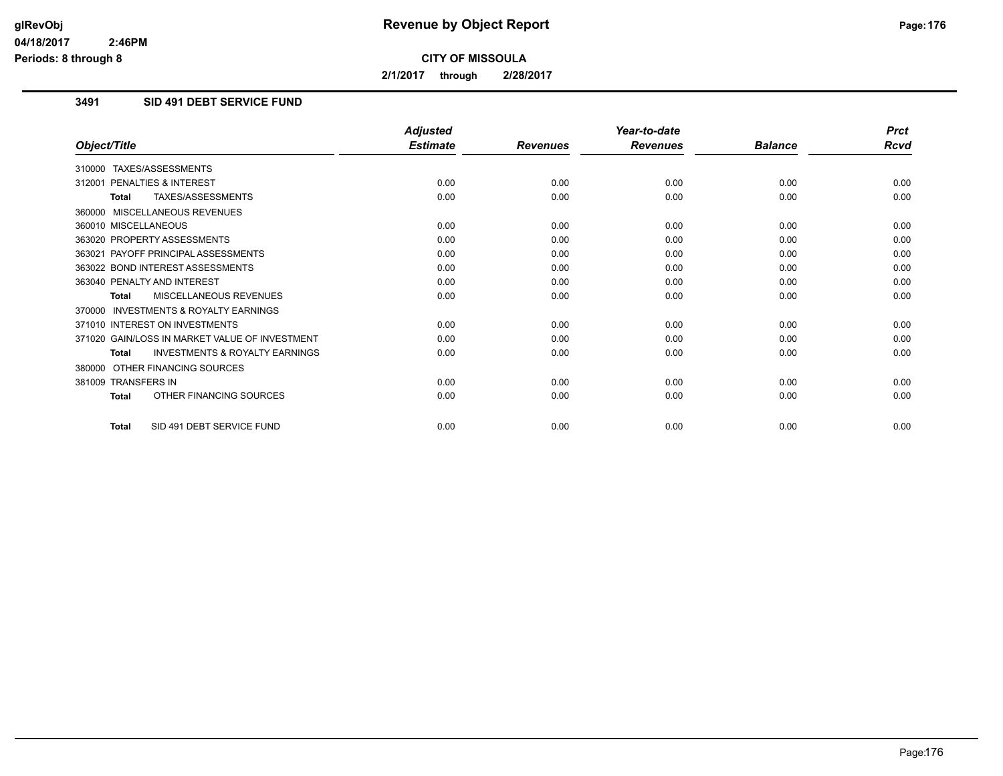**2/1/2017 through 2/28/2017**

#### **3491 SID 491 DEBT SERVICE FUND**

|                                                           | <b>Adjusted</b> |                 | Year-to-date    |                | <b>Prct</b> |
|-----------------------------------------------------------|-----------------|-----------------|-----------------|----------------|-------------|
| Object/Title                                              | <b>Estimate</b> | <b>Revenues</b> | <b>Revenues</b> | <b>Balance</b> | <b>Rcvd</b> |
| 310000 TAXES/ASSESSMENTS                                  |                 |                 |                 |                |             |
| 312001 PENALTIES & INTEREST                               | 0.00            | 0.00            | 0.00            | 0.00           | 0.00        |
| TAXES/ASSESSMENTS<br><b>Total</b>                         | 0.00            | 0.00            | 0.00            | 0.00           | 0.00        |
| 360000 MISCELLANEOUS REVENUES                             |                 |                 |                 |                |             |
| 360010 MISCELLANEOUS                                      | 0.00            | 0.00            | 0.00            | 0.00           | 0.00        |
| 363020 PROPERTY ASSESSMENTS                               | 0.00            | 0.00            | 0.00            | 0.00           | 0.00        |
| 363021 PAYOFF PRINCIPAL ASSESSMENTS                       | 0.00            | 0.00            | 0.00            | 0.00           | 0.00        |
| 363022 BOND INTEREST ASSESSMENTS                          | 0.00            | 0.00            | 0.00            | 0.00           | 0.00        |
| 363040 PENALTY AND INTEREST                               | 0.00            | 0.00            | 0.00            | 0.00           | 0.00        |
| <b>MISCELLANEOUS REVENUES</b><br>Total                    | 0.00            | 0.00            | 0.00            | 0.00           | 0.00        |
| <b>INVESTMENTS &amp; ROYALTY EARNINGS</b><br>370000       |                 |                 |                 |                |             |
| 371010 INTEREST ON INVESTMENTS                            | 0.00            | 0.00            | 0.00            | 0.00           | 0.00        |
| 371020 GAIN/LOSS IN MARKET VALUE OF INVESTMENT            | 0.00            | 0.00            | 0.00            | 0.00           | 0.00        |
| <b>INVESTMENTS &amp; ROYALTY EARNINGS</b><br><b>Total</b> | 0.00            | 0.00            | 0.00            | 0.00           | 0.00        |
| OTHER FINANCING SOURCES<br>380000                         |                 |                 |                 |                |             |
| 381009 TRANSFERS IN                                       | 0.00            | 0.00            | 0.00            | 0.00           | 0.00        |
| OTHER FINANCING SOURCES<br><b>Total</b>                   | 0.00            | 0.00            | 0.00            | 0.00           | 0.00        |
| SID 491 DEBT SERVICE FUND<br><b>Total</b>                 | 0.00            | 0.00            | 0.00            | 0.00           | 0.00        |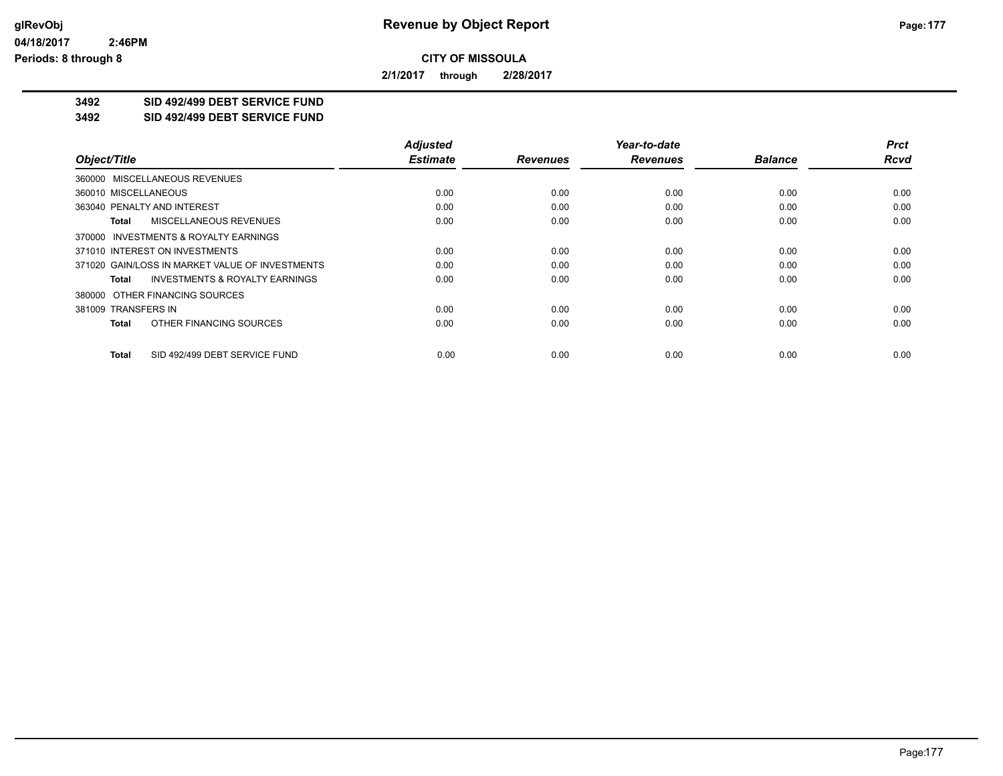**2/1/2017 through 2/28/2017**

**3492 SID 492/499 DEBT SERVICE FUND**

**3492 SID 492/499 DEBT SERVICE FUND**

|                                                    | <b>Adjusted</b> |                 | Year-to-date    |                | <b>Prct</b> |
|----------------------------------------------------|-----------------|-----------------|-----------------|----------------|-------------|
| Object/Title                                       | <b>Estimate</b> | <b>Revenues</b> | <b>Revenues</b> | <b>Balance</b> | <b>Rcvd</b> |
| 360000 MISCELLANEOUS REVENUES                      |                 |                 |                 |                |             |
| 360010 MISCELLANEOUS                               | 0.00            | 0.00            | 0.00            | 0.00           | 0.00        |
| 363040 PENALTY AND INTEREST                        | 0.00            | 0.00            | 0.00            | 0.00           | 0.00        |
| MISCELLANEOUS REVENUES<br>Total                    | 0.00            | 0.00            | 0.00            | 0.00           | 0.00        |
| 370000 INVESTMENTS & ROYALTY EARNINGS              |                 |                 |                 |                |             |
| 371010 INTEREST ON INVESTMENTS                     | 0.00            | 0.00            | 0.00            | 0.00           | 0.00        |
| 371020 GAIN/LOSS IN MARKET VALUE OF INVESTMENTS    | 0.00            | 0.00            | 0.00            | 0.00           | 0.00        |
| <b>INVESTMENTS &amp; ROYALTY EARNINGS</b><br>Total | 0.00            | 0.00            | 0.00            | 0.00           | 0.00        |
| 380000 OTHER FINANCING SOURCES                     |                 |                 |                 |                |             |
| 381009 TRANSFERS IN                                | 0.00            | 0.00            | 0.00            | 0.00           | 0.00        |
| OTHER FINANCING SOURCES<br>Total                   | 0.00            | 0.00            | 0.00            | 0.00           | 0.00        |
| <b>Total</b><br>SID 492/499 DEBT SERVICE FUND      | 0.00            | 0.00            | 0.00            | 0.00           | 0.00        |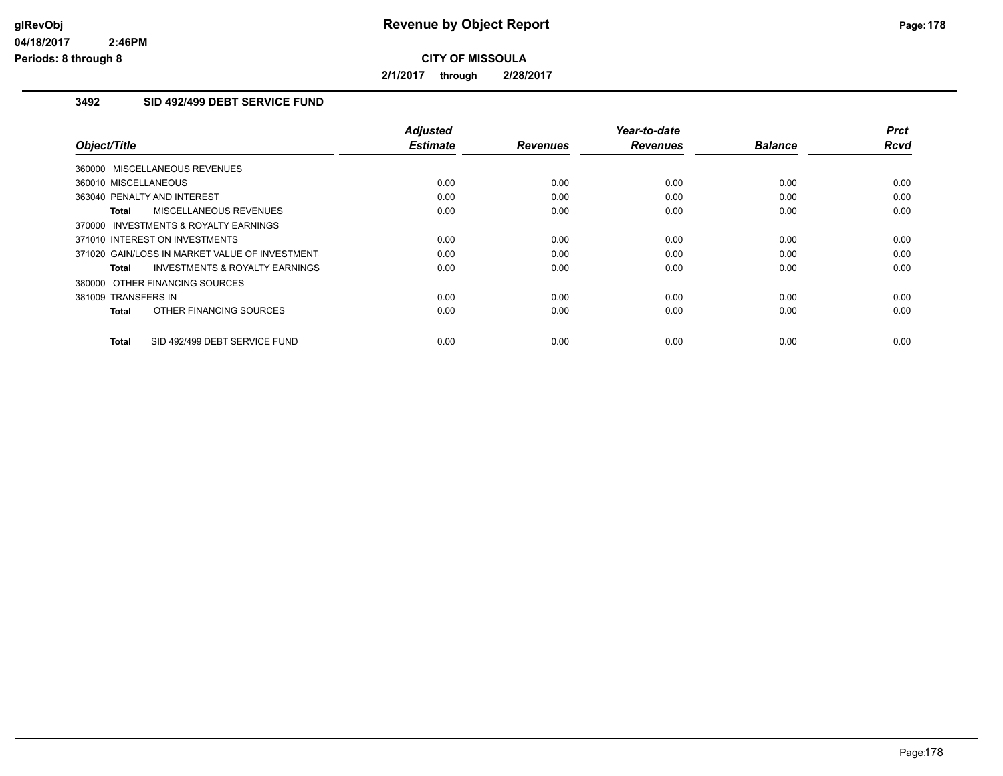**2/1/2017 through 2/28/2017**

#### **3492 SID 492/499 DEBT SERVICE FUND**

| Object/Title                                              | <b>Adjusted</b><br><b>Estimate</b> | <b>Revenues</b> | Year-to-date<br><b>Revenues</b> | <b>Balance</b> | <b>Prct</b><br>Rcvd |
|-----------------------------------------------------------|------------------------------------|-----------------|---------------------------------|----------------|---------------------|
| 360000 MISCELLANEOUS REVENUES                             |                                    |                 |                                 |                |                     |
| 360010 MISCELLANEOUS                                      | 0.00                               | 0.00            | 0.00                            | 0.00           | 0.00                |
| 363040 PENALTY AND INTEREST                               | 0.00                               | 0.00            | 0.00                            | 0.00           | 0.00                |
| MISCELLANEOUS REVENUES<br>Total                           | 0.00                               | 0.00            | 0.00                            | 0.00           | 0.00                |
| INVESTMENTS & ROYALTY EARNINGS<br>370000                  |                                    |                 |                                 |                |                     |
| 371010 INTEREST ON INVESTMENTS                            | 0.00                               | 0.00            | 0.00                            | 0.00           | 0.00                |
| 371020 GAIN/LOSS IN MARKET VALUE OF INVESTMENT            | 0.00                               | 0.00            | 0.00                            | 0.00           | 0.00                |
| <b>INVESTMENTS &amp; ROYALTY EARNINGS</b><br><b>Total</b> | 0.00                               | 0.00            | 0.00                            | 0.00           | 0.00                |
| 380000 OTHER FINANCING SOURCES                            |                                    |                 |                                 |                |                     |
| 381009 TRANSFERS IN                                       | 0.00                               | 0.00            | 0.00                            | 0.00           | 0.00                |
| OTHER FINANCING SOURCES<br><b>Total</b>                   | 0.00                               | 0.00            | 0.00                            | 0.00           | 0.00                |
| SID 492/499 DEBT SERVICE FUND<br><b>Total</b>             | 0.00                               | 0.00            | 0.00                            | 0.00           | 0.00                |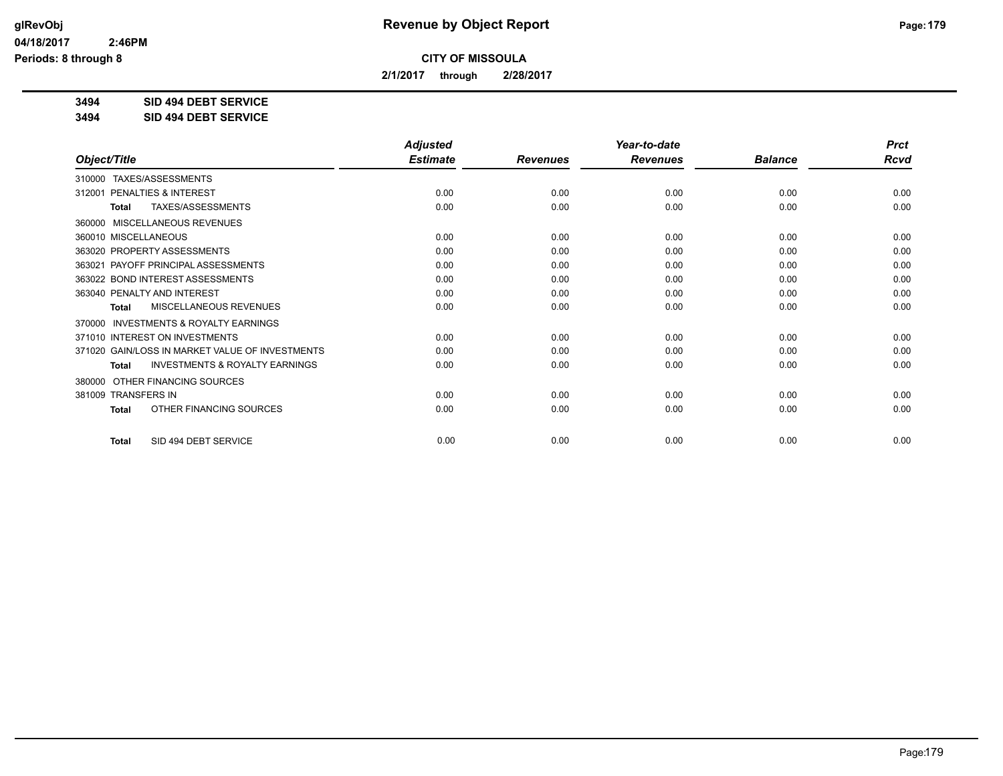**2/1/2017 through 2/28/2017**

**3494 SID 494 DEBT SERVICE**

**3494 SID 494 DEBT SERVICE**

|                                                     | <b>Adjusted</b> |                 | Year-to-date    |                |             |  |
|-----------------------------------------------------|-----------------|-----------------|-----------------|----------------|-------------|--|
| Object/Title                                        | <b>Estimate</b> | <b>Revenues</b> | <b>Revenues</b> | <b>Balance</b> | <b>Rcvd</b> |  |
| TAXES/ASSESSMENTS<br>310000                         |                 |                 |                 |                |             |  |
| 312001 PENALTIES & INTEREST                         | 0.00            | 0.00            | 0.00            | 0.00           | 0.00        |  |
| TAXES/ASSESSMENTS<br><b>Total</b>                   | 0.00            | 0.00            | 0.00            | 0.00           | 0.00        |  |
| 360000 MISCELLANEOUS REVENUES                       |                 |                 |                 |                |             |  |
| 360010 MISCELLANEOUS                                | 0.00            | 0.00            | 0.00            | 0.00           | 0.00        |  |
| 363020 PROPERTY ASSESSMENTS                         | 0.00            | 0.00            | 0.00            | 0.00           | 0.00        |  |
| 363021 PAYOFF PRINCIPAL ASSESSMENTS                 | 0.00            | 0.00            | 0.00            | 0.00           | 0.00        |  |
| 363022 BOND INTEREST ASSESSMENTS                    | 0.00            | 0.00            | 0.00            | 0.00           | 0.00        |  |
| 363040 PENALTY AND INTEREST                         | 0.00            | 0.00            | 0.00            | 0.00           | 0.00        |  |
| MISCELLANEOUS REVENUES<br><b>Total</b>              | 0.00            | 0.00            | 0.00            | 0.00           | 0.00        |  |
| <b>INVESTMENTS &amp; ROYALTY EARNINGS</b><br>370000 |                 |                 |                 |                |             |  |
| 371010 INTEREST ON INVESTMENTS                      | 0.00            | 0.00            | 0.00            | 0.00           | 0.00        |  |
| 371020 GAIN/LOSS IN MARKET VALUE OF INVESTMENTS     | 0.00            | 0.00            | 0.00            | 0.00           | 0.00        |  |
| <b>INVESTMENTS &amp; ROYALTY EARNINGS</b><br>Total  | 0.00            | 0.00            | 0.00            | 0.00           | 0.00        |  |
| OTHER FINANCING SOURCES<br>380000                   |                 |                 |                 |                |             |  |
| 381009 TRANSFERS IN                                 | 0.00            | 0.00            | 0.00            | 0.00           | 0.00        |  |
| OTHER FINANCING SOURCES<br><b>Total</b>             | 0.00            | 0.00            | 0.00            | 0.00           | 0.00        |  |
| SID 494 DEBT SERVICE<br><b>Total</b>                | 0.00            | 0.00            | 0.00            | 0.00           | 0.00        |  |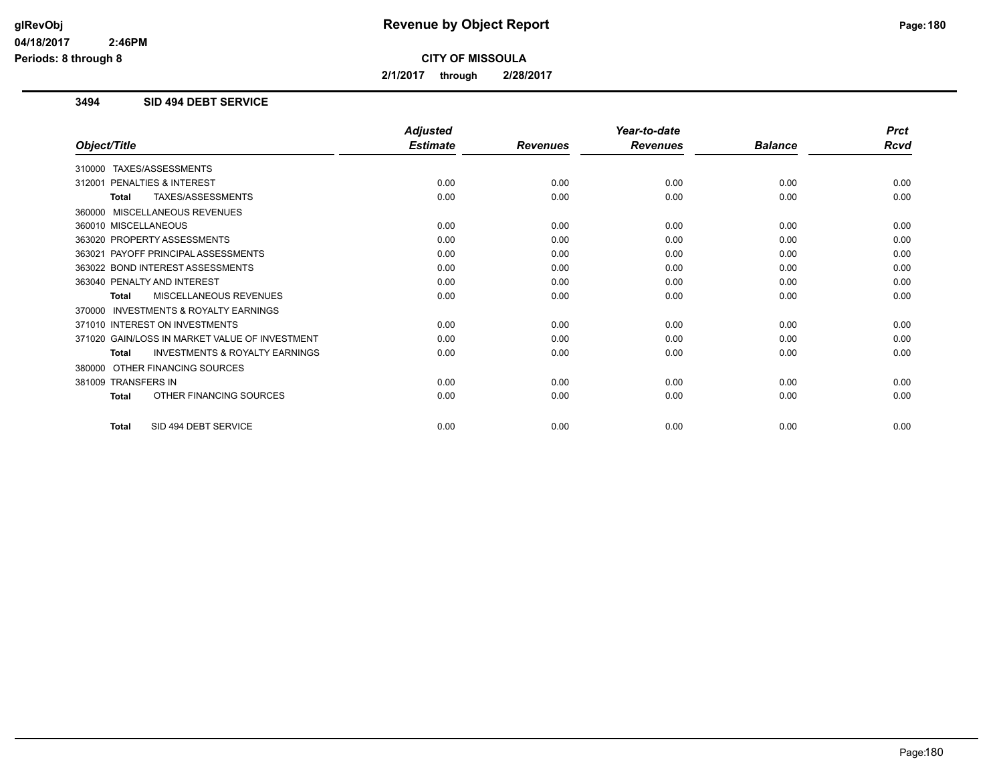**2/1/2017 through 2/28/2017**

#### **3494 SID 494 DEBT SERVICE**

|                                                           | <b>Adjusted</b> |                 | Year-to-date    |                | <b>Prct</b> |
|-----------------------------------------------------------|-----------------|-----------------|-----------------|----------------|-------------|
| Object/Title                                              | <b>Estimate</b> | <b>Revenues</b> | <b>Revenues</b> | <b>Balance</b> | <b>Rcvd</b> |
| 310000 TAXES/ASSESSMENTS                                  |                 |                 |                 |                |             |
| 312001 PENALTIES & INTEREST                               | 0.00            | 0.00            | 0.00            | 0.00           | 0.00        |
| TAXES/ASSESSMENTS<br><b>Total</b>                         | 0.00            | 0.00            | 0.00            | 0.00           | 0.00        |
| 360000 MISCELLANEOUS REVENUES                             |                 |                 |                 |                |             |
| 360010 MISCELLANEOUS                                      | 0.00            | 0.00            | 0.00            | 0.00           | 0.00        |
| 363020 PROPERTY ASSESSMENTS                               | 0.00            | 0.00            | 0.00            | 0.00           | 0.00        |
| 363021 PAYOFF PRINCIPAL ASSESSMENTS                       | 0.00            | 0.00            | 0.00            | 0.00           | 0.00        |
| 363022 BOND INTEREST ASSESSMENTS                          | 0.00            | 0.00            | 0.00            | 0.00           | 0.00        |
| 363040 PENALTY AND INTEREST                               | 0.00            | 0.00            | 0.00            | 0.00           | 0.00        |
| MISCELLANEOUS REVENUES<br>Total                           | 0.00            | 0.00            | 0.00            | 0.00           | 0.00        |
| <b>INVESTMENTS &amp; ROYALTY EARNINGS</b><br>370000       |                 |                 |                 |                |             |
| 371010 INTEREST ON INVESTMENTS                            | 0.00            | 0.00            | 0.00            | 0.00           | 0.00        |
| 371020 GAIN/LOSS IN MARKET VALUE OF INVESTMENT            | 0.00            | 0.00            | 0.00            | 0.00           | 0.00        |
| <b>INVESTMENTS &amp; ROYALTY EARNINGS</b><br><b>Total</b> | 0.00            | 0.00            | 0.00            | 0.00           | 0.00        |
| OTHER FINANCING SOURCES<br>380000                         |                 |                 |                 |                |             |
| 381009 TRANSFERS IN                                       | 0.00            | 0.00            | 0.00            | 0.00           | 0.00        |
| OTHER FINANCING SOURCES<br>Total                          | 0.00            | 0.00            | 0.00            | 0.00           | 0.00        |
| SID 494 DEBT SERVICE<br><b>Total</b>                      | 0.00            | 0.00            | 0.00            | 0.00           | 0.00        |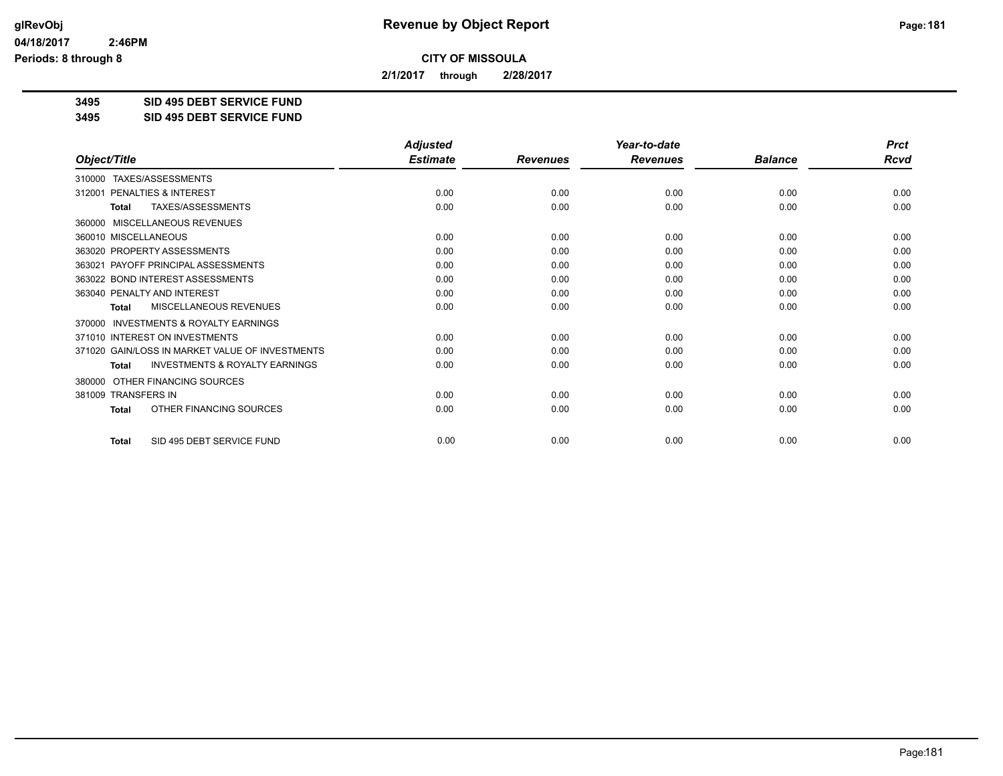**2/1/2017 through 2/28/2017**

**3495 SID 495 DEBT SERVICE FUND**

**3495 SID 495 DEBT SERVICE FUND**

|                                                           | <b>Adjusted</b> |                 | Year-to-date    |                | <b>Prct</b> |
|-----------------------------------------------------------|-----------------|-----------------|-----------------|----------------|-------------|
| Object/Title                                              | <b>Estimate</b> | <b>Revenues</b> | <b>Revenues</b> | <b>Balance</b> | Rcvd        |
| TAXES/ASSESSMENTS<br>310000                               |                 |                 |                 |                |             |
| 312001 PENALTIES & INTEREST                               | 0.00            | 0.00            | 0.00            | 0.00           | 0.00        |
| TAXES/ASSESSMENTS<br><b>Total</b>                         | 0.00            | 0.00            | 0.00            | 0.00           | 0.00        |
| 360000 MISCELLANEOUS REVENUES                             |                 |                 |                 |                |             |
| 360010 MISCELLANEOUS                                      | 0.00            | 0.00            | 0.00            | 0.00           | 0.00        |
| 363020 PROPERTY ASSESSMENTS                               | 0.00            | 0.00            | 0.00            | 0.00           | 0.00        |
| PAYOFF PRINCIPAL ASSESSMENTS<br>363021                    | 0.00            | 0.00            | 0.00            | 0.00           | 0.00        |
| 363022 BOND INTEREST ASSESSMENTS                          | 0.00            | 0.00            | 0.00            | 0.00           | 0.00        |
| 363040 PENALTY AND INTEREST                               | 0.00            | 0.00            | 0.00            | 0.00           | 0.00        |
| MISCELLANEOUS REVENUES<br><b>Total</b>                    | 0.00            | 0.00            | 0.00            | 0.00           | 0.00        |
| <b>INVESTMENTS &amp; ROYALTY EARNINGS</b><br>370000       |                 |                 |                 |                |             |
| 371010 INTEREST ON INVESTMENTS                            | 0.00            | 0.00            | 0.00            | 0.00           | 0.00        |
| 371020 GAIN/LOSS IN MARKET VALUE OF INVESTMENTS           | 0.00            | 0.00            | 0.00            | 0.00           | 0.00        |
| <b>INVESTMENTS &amp; ROYALTY EARNINGS</b><br><b>Total</b> | 0.00            | 0.00            | 0.00            | 0.00           | 0.00        |
| OTHER FINANCING SOURCES<br>380000                         |                 |                 |                 |                |             |
| 381009 TRANSFERS IN                                       | 0.00            | 0.00            | 0.00            | 0.00           | 0.00        |
| OTHER FINANCING SOURCES<br><b>Total</b>                   | 0.00            | 0.00            | 0.00            | 0.00           | 0.00        |
| SID 495 DEBT SERVICE FUND<br><b>Total</b>                 | 0.00            | 0.00            | 0.00            | 0.00           | 0.00        |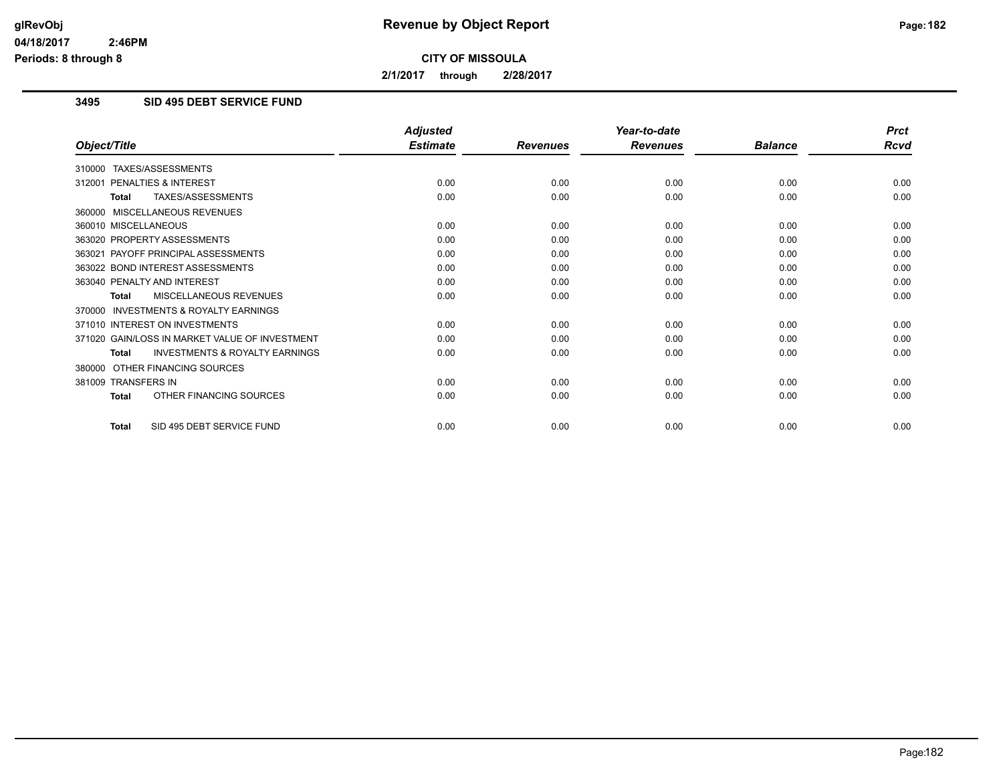**2/1/2017 through 2/28/2017**

## **3495 SID 495 DEBT SERVICE FUND**

|                                                     | <b>Adjusted</b> |                 | Year-to-date    |                | <b>Prct</b> |
|-----------------------------------------------------|-----------------|-----------------|-----------------|----------------|-------------|
| Object/Title                                        | <b>Estimate</b> | <b>Revenues</b> | <b>Revenues</b> | <b>Balance</b> | Rcvd        |
| 310000 TAXES/ASSESSMENTS                            |                 |                 |                 |                |             |
| 312001 PENALTIES & INTEREST                         | 0.00            | 0.00            | 0.00            | 0.00           | 0.00        |
| TAXES/ASSESSMENTS<br><b>Total</b>                   | 0.00            | 0.00            | 0.00            | 0.00           | 0.00        |
| 360000 MISCELLANEOUS REVENUES                       |                 |                 |                 |                |             |
| 360010 MISCELLANEOUS                                | 0.00            | 0.00            | 0.00            | 0.00           | 0.00        |
| 363020 PROPERTY ASSESSMENTS                         | 0.00            | 0.00            | 0.00            | 0.00           | 0.00        |
| 363021 PAYOFF PRINCIPAL ASSESSMENTS                 | 0.00            | 0.00            | 0.00            | 0.00           | 0.00        |
| 363022 BOND INTEREST ASSESSMENTS                    | 0.00            | 0.00            | 0.00            | 0.00           | 0.00        |
| 363040 PENALTY AND INTEREST                         | 0.00            | 0.00            | 0.00            | 0.00           | 0.00        |
| MISCELLANEOUS REVENUES<br>Total                     | 0.00            | 0.00            | 0.00            | 0.00           | 0.00        |
| <b>INVESTMENTS &amp; ROYALTY EARNINGS</b><br>370000 |                 |                 |                 |                |             |
| 371010 INTEREST ON INVESTMENTS                      | 0.00            | 0.00            | 0.00            | 0.00           | 0.00        |
| 371020 GAIN/LOSS IN MARKET VALUE OF INVESTMENT      | 0.00            | 0.00            | 0.00            | 0.00           | 0.00        |
| <b>INVESTMENTS &amp; ROYALTY EARNINGS</b><br>Total  | 0.00            | 0.00            | 0.00            | 0.00           | 0.00        |
| OTHER FINANCING SOURCES<br>380000                   |                 |                 |                 |                |             |
| 381009 TRANSFERS IN                                 | 0.00            | 0.00            | 0.00            | 0.00           | 0.00        |
| OTHER FINANCING SOURCES<br><b>Total</b>             | 0.00            | 0.00            | 0.00            | 0.00           | 0.00        |
| SID 495 DEBT SERVICE FUND<br><b>Total</b>           | 0.00            | 0.00            | 0.00            | 0.00           | 0.00        |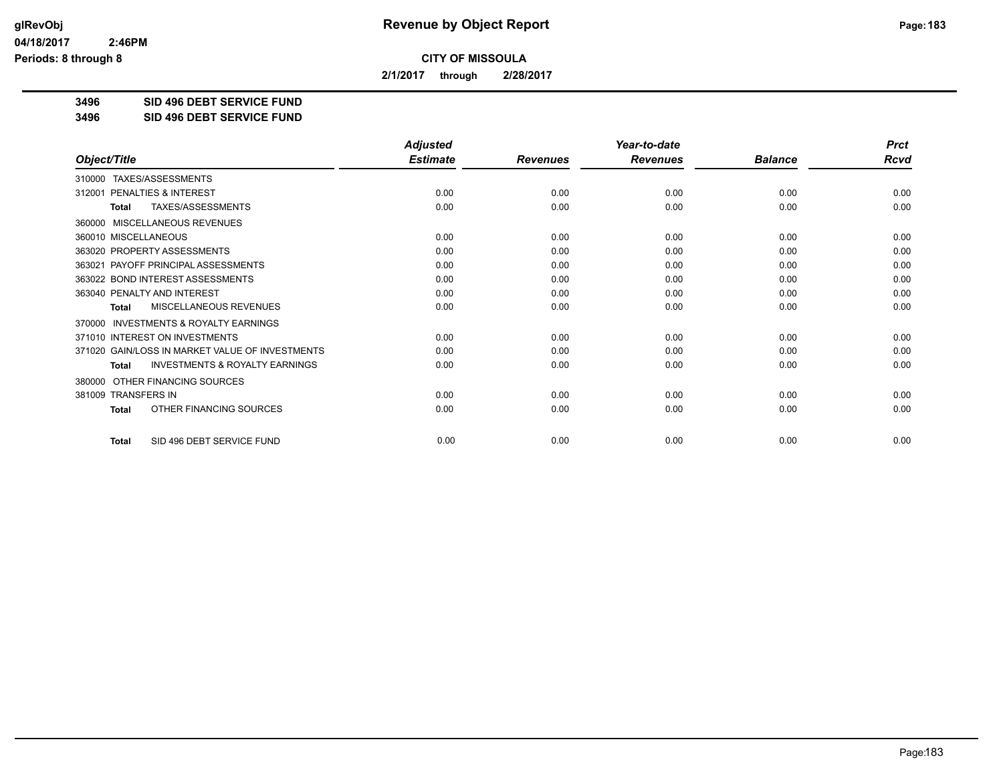**2/1/2017 through 2/28/2017**

**3496 SID 496 DEBT SERVICE FUND**

**3496 SID 496 DEBT SERVICE FUND**

|                                                     | <b>Adjusted</b> |                 | Year-to-date    | <b>Prct</b>    |             |
|-----------------------------------------------------|-----------------|-----------------|-----------------|----------------|-------------|
| Object/Title                                        | <b>Estimate</b> | <b>Revenues</b> | <b>Revenues</b> | <b>Balance</b> | <b>Rcvd</b> |
| TAXES/ASSESSMENTS<br>310000                         |                 |                 |                 |                |             |
| 312001 PENALTIES & INTEREST                         | 0.00            | 0.00            | 0.00            | 0.00           | 0.00        |
| TAXES/ASSESSMENTS<br>Total                          | 0.00            | 0.00            | 0.00            | 0.00           | 0.00        |
| 360000 MISCELLANEOUS REVENUES                       |                 |                 |                 |                |             |
| 360010 MISCELLANEOUS                                | 0.00            | 0.00            | 0.00            | 0.00           | 0.00        |
| 363020 PROPERTY ASSESSMENTS                         | 0.00            | 0.00            | 0.00            | 0.00           | 0.00        |
| 363021 PAYOFF PRINCIPAL ASSESSMENTS                 | 0.00            | 0.00            | 0.00            | 0.00           | 0.00        |
| 363022 BOND INTEREST ASSESSMENTS                    | 0.00            | 0.00            | 0.00            | 0.00           | 0.00        |
| 363040 PENALTY AND INTEREST                         | 0.00            | 0.00            | 0.00            | 0.00           | 0.00        |
| MISCELLANEOUS REVENUES<br><b>Total</b>              | 0.00            | 0.00            | 0.00            | 0.00           | 0.00        |
| <b>INVESTMENTS &amp; ROYALTY EARNINGS</b><br>370000 |                 |                 |                 |                |             |
| 371010 INTEREST ON INVESTMENTS                      | 0.00            | 0.00            | 0.00            | 0.00           | 0.00        |
| 371020 GAIN/LOSS IN MARKET VALUE OF INVESTMENTS     | 0.00            | 0.00            | 0.00            | 0.00           | 0.00        |
| <b>INVESTMENTS &amp; ROYALTY EARNINGS</b><br>Total  | 0.00            | 0.00            | 0.00            | 0.00           | 0.00        |
| OTHER FINANCING SOURCES<br>380000                   |                 |                 |                 |                |             |
| 381009 TRANSFERS IN                                 | 0.00            | 0.00            | 0.00            | 0.00           | 0.00        |
| OTHER FINANCING SOURCES<br>Total                    | 0.00            | 0.00            | 0.00            | 0.00           | 0.00        |
| SID 496 DEBT SERVICE FUND<br>Total                  | 0.00            | 0.00            | 0.00            | 0.00           | 0.00        |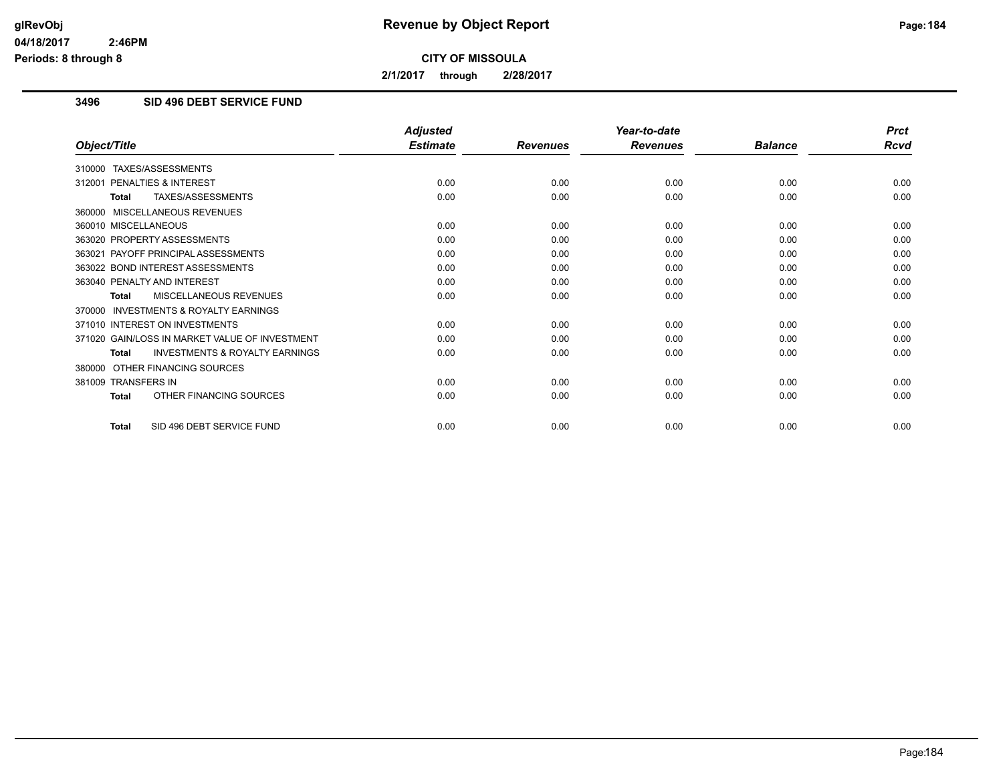**2/1/2017 through 2/28/2017**

### **3496 SID 496 DEBT SERVICE FUND**

|                                                           | <b>Adjusted</b> |                 | Year-to-date    |                | <b>Prct</b> |
|-----------------------------------------------------------|-----------------|-----------------|-----------------|----------------|-------------|
| Object/Title                                              | <b>Estimate</b> | <b>Revenues</b> | <b>Revenues</b> | <b>Balance</b> | <b>Rcvd</b> |
| 310000 TAXES/ASSESSMENTS                                  |                 |                 |                 |                |             |
| <b>PENALTIES &amp; INTEREST</b><br>312001                 | 0.00            | 0.00            | 0.00            | 0.00           | 0.00        |
| TAXES/ASSESSMENTS<br><b>Total</b>                         | 0.00            | 0.00            | 0.00            | 0.00           | 0.00        |
| 360000 MISCELLANEOUS REVENUES                             |                 |                 |                 |                |             |
| 360010 MISCELLANEOUS                                      | 0.00            | 0.00            | 0.00            | 0.00           | 0.00        |
| 363020 PROPERTY ASSESSMENTS                               | 0.00            | 0.00            | 0.00            | 0.00           | 0.00        |
| 363021 PAYOFF PRINCIPAL ASSESSMENTS                       | 0.00            | 0.00            | 0.00            | 0.00           | 0.00        |
| 363022 BOND INTEREST ASSESSMENTS                          | 0.00            | 0.00            | 0.00            | 0.00           | 0.00        |
| 363040 PENALTY AND INTEREST                               | 0.00            | 0.00            | 0.00            | 0.00           | 0.00        |
| MISCELLANEOUS REVENUES<br><b>Total</b>                    | 0.00            | 0.00            | 0.00            | 0.00           | 0.00        |
| 370000 INVESTMENTS & ROYALTY EARNINGS                     |                 |                 |                 |                |             |
| 371010 INTEREST ON INVESTMENTS                            | 0.00            | 0.00            | 0.00            | 0.00           | 0.00        |
| 371020 GAIN/LOSS IN MARKET VALUE OF INVESTMENT            | 0.00            | 0.00            | 0.00            | 0.00           | 0.00        |
| <b>INVESTMENTS &amp; ROYALTY EARNINGS</b><br><b>Total</b> | 0.00            | 0.00            | 0.00            | 0.00           | 0.00        |
| 380000 OTHER FINANCING SOURCES                            |                 |                 |                 |                |             |
| 381009 TRANSFERS IN                                       | 0.00            | 0.00            | 0.00            | 0.00           | 0.00        |
| OTHER FINANCING SOURCES<br><b>Total</b>                   | 0.00            | 0.00            | 0.00            | 0.00           | 0.00        |
| SID 496 DEBT SERVICE FUND<br><b>Total</b>                 | 0.00            | 0.00            | 0.00            | 0.00           | 0.00        |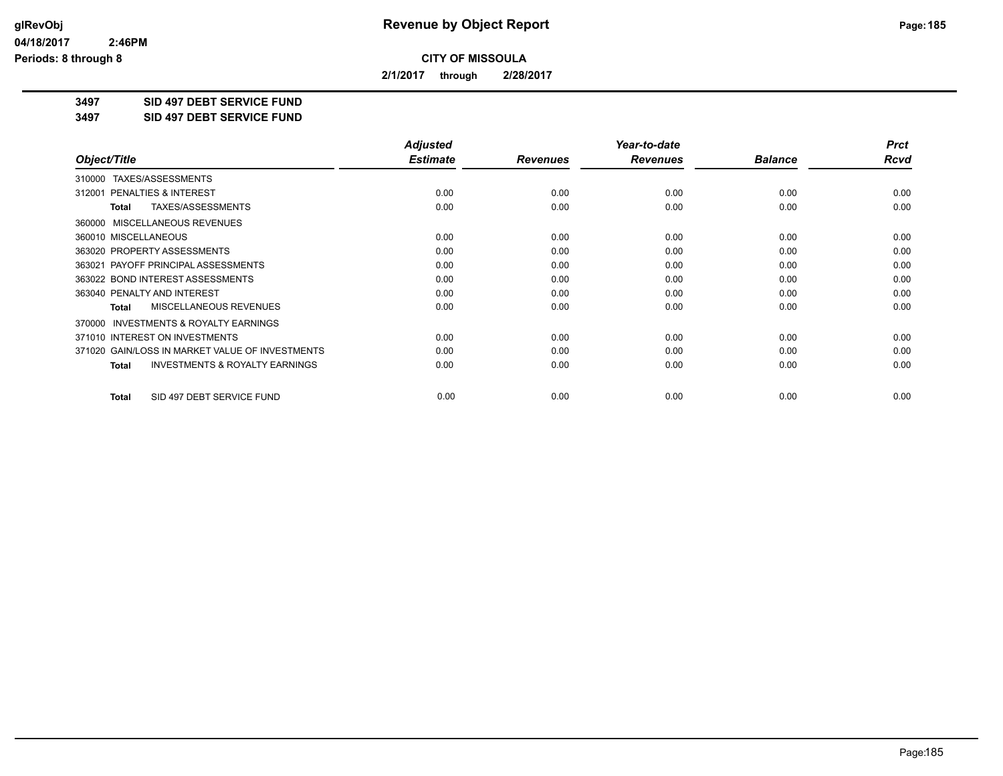**2/1/2017 through 2/28/2017**

**3497 SID 497 DEBT SERVICE FUND**

**3497 SID 497 DEBT SERVICE FUND**

|                                                           | <b>Adjusted</b> |                 | Year-to-date    |                | <b>Prct</b> |
|-----------------------------------------------------------|-----------------|-----------------|-----------------|----------------|-------------|
| Object/Title                                              | <b>Estimate</b> | <b>Revenues</b> | <b>Revenues</b> | <b>Balance</b> | <b>Rcvd</b> |
| 310000 TAXES/ASSESSMENTS                                  |                 |                 |                 |                |             |
| 312001 PENALTIES & INTEREST                               | 0.00            | 0.00            | 0.00            | 0.00           | 0.00        |
| TAXES/ASSESSMENTS<br><b>Total</b>                         | 0.00            | 0.00            | 0.00            | 0.00           | 0.00        |
| 360000 MISCELLANEOUS REVENUES                             |                 |                 |                 |                |             |
| 360010 MISCELLANEOUS                                      | 0.00            | 0.00            | 0.00            | 0.00           | 0.00        |
| 363020 PROPERTY ASSESSMENTS                               | 0.00            | 0.00            | 0.00            | 0.00           | 0.00        |
| 363021 PAYOFF PRINCIPAL ASSESSMENTS                       | 0.00            | 0.00            | 0.00            | 0.00           | 0.00        |
| 363022 BOND INTEREST ASSESSMENTS                          | 0.00            | 0.00            | 0.00            | 0.00           | 0.00        |
| 363040 PENALTY AND INTEREST                               | 0.00            | 0.00            | 0.00            | 0.00           | 0.00        |
| MISCELLANEOUS REVENUES<br>Total                           | 0.00            | 0.00            | 0.00            | 0.00           | 0.00        |
| 370000 INVESTMENTS & ROYALTY EARNINGS                     |                 |                 |                 |                |             |
| 371010 INTEREST ON INVESTMENTS                            | 0.00            | 0.00            | 0.00            | 0.00           | 0.00        |
| 371020 GAIN/LOSS IN MARKET VALUE OF INVESTMENTS           | 0.00            | 0.00            | 0.00            | 0.00           | 0.00        |
| <b>INVESTMENTS &amp; ROYALTY EARNINGS</b><br><b>Total</b> | 0.00            | 0.00            | 0.00            | 0.00           | 0.00        |
| SID 497 DEBT SERVICE FUND<br><b>Total</b>                 | 0.00            | 0.00            | 0.00            | 0.00           | 0.00        |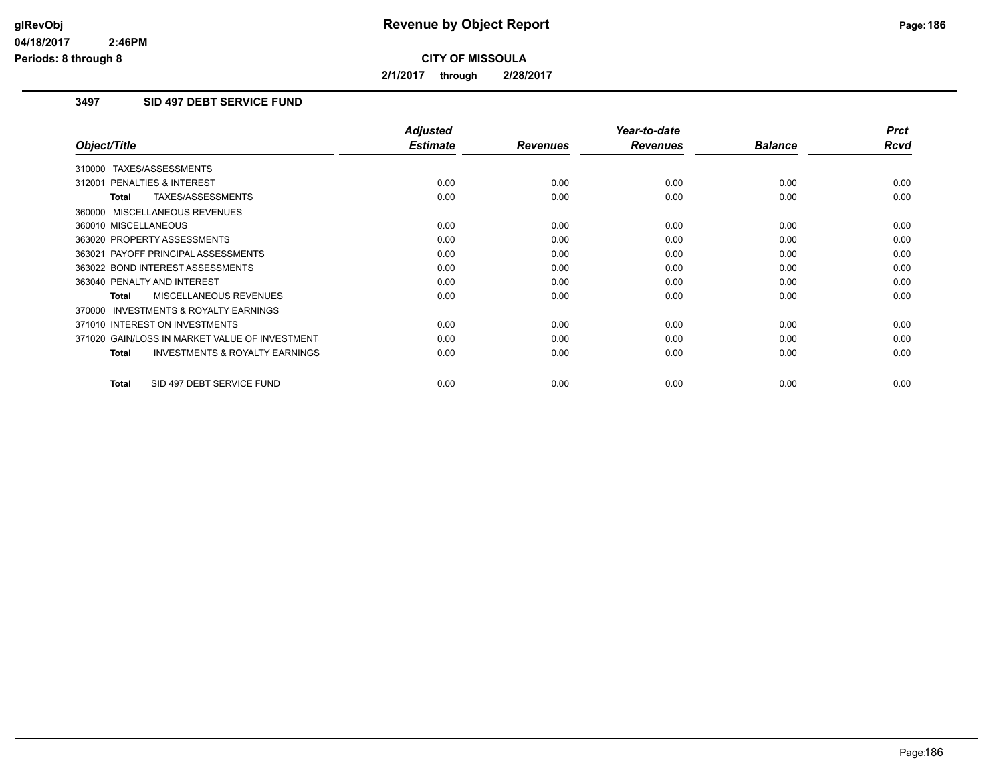**2/1/2017 through 2/28/2017**

### **3497 SID 497 DEBT SERVICE FUND**

|                                                           | <b>Adjusted</b> |                 | Year-to-date    |                | <b>Prct</b> |
|-----------------------------------------------------------|-----------------|-----------------|-----------------|----------------|-------------|
| Object/Title                                              | <b>Estimate</b> | <b>Revenues</b> | <b>Revenues</b> | <b>Balance</b> | <b>Rcvd</b> |
| 310000 TAXES/ASSESSMENTS                                  |                 |                 |                 |                |             |
| 312001 PENALTIES & INTEREST                               | 0.00            | 0.00            | 0.00            | 0.00           | 0.00        |
| TAXES/ASSESSMENTS<br>Total                                | 0.00            | 0.00            | 0.00            | 0.00           | 0.00        |
| 360000 MISCELLANEOUS REVENUES                             |                 |                 |                 |                |             |
| 360010 MISCELLANEOUS                                      | 0.00            | 0.00            | 0.00            | 0.00           | 0.00        |
| 363020 PROPERTY ASSESSMENTS                               | 0.00            | 0.00            | 0.00            | 0.00           | 0.00        |
| 363021 PAYOFF PRINCIPAL ASSESSMENTS                       | 0.00            | 0.00            | 0.00            | 0.00           | 0.00        |
| 363022 BOND INTEREST ASSESSMENTS                          | 0.00            | 0.00            | 0.00            | 0.00           | 0.00        |
| 363040 PENALTY AND INTEREST                               | 0.00            | 0.00            | 0.00            | 0.00           | 0.00        |
| <b>MISCELLANEOUS REVENUES</b><br>Total                    | 0.00            | 0.00            | 0.00            | 0.00           | 0.00        |
| INVESTMENTS & ROYALTY EARNINGS<br>370000                  |                 |                 |                 |                |             |
| 371010 INTEREST ON INVESTMENTS                            | 0.00            | 0.00            | 0.00            | 0.00           | 0.00        |
| 371020 GAIN/LOSS IN MARKET VALUE OF INVESTMENT            | 0.00            | 0.00            | 0.00            | 0.00           | 0.00        |
| <b>INVESTMENTS &amp; ROYALTY EARNINGS</b><br><b>Total</b> | 0.00            | 0.00            | 0.00            | 0.00           | 0.00        |
| SID 497 DEBT SERVICE FUND<br><b>Total</b>                 | 0.00            | 0.00            | 0.00            | 0.00           | 0.00        |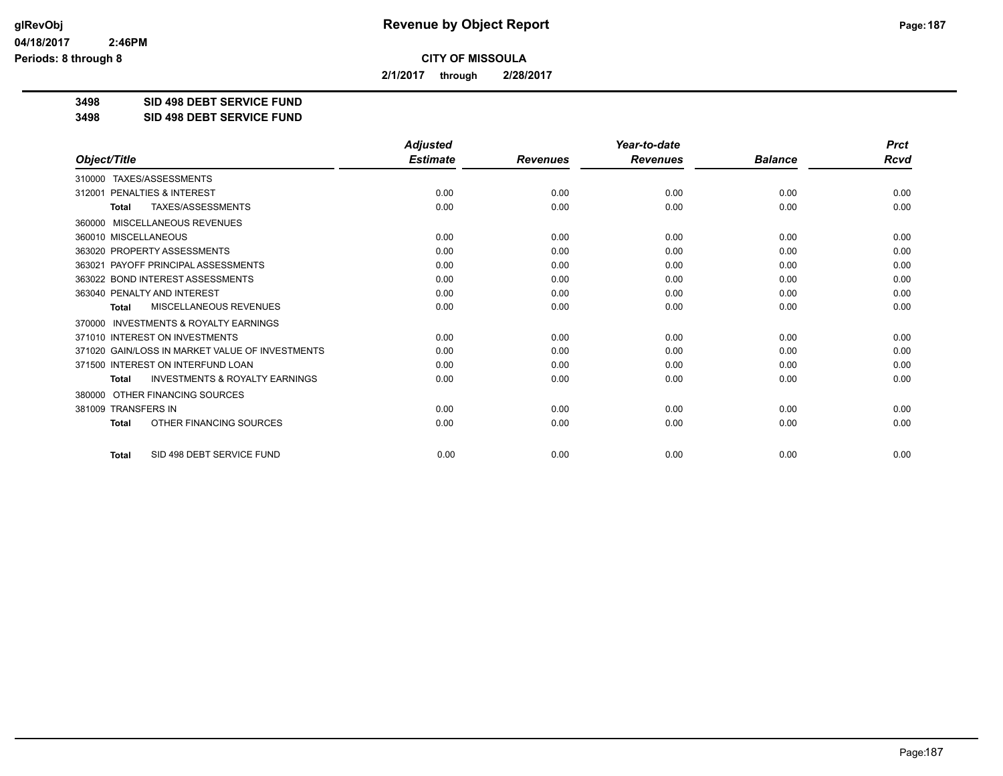**2/1/2017 through 2/28/2017**

**3498 SID 498 DEBT SERVICE FUND**

**3498 SID 498 DEBT SERVICE FUND**

|                                                     | <b>Adjusted</b> |                 | Year-to-date    |                | <b>Prct</b> |
|-----------------------------------------------------|-----------------|-----------------|-----------------|----------------|-------------|
| Object/Title                                        | <b>Estimate</b> | <b>Revenues</b> | <b>Revenues</b> | <b>Balance</b> | <b>Rcvd</b> |
| TAXES/ASSESSMENTS<br>310000                         |                 |                 |                 |                |             |
| 312001 PENALTIES & INTEREST                         | 0.00            | 0.00            | 0.00            | 0.00           | 0.00        |
| TAXES/ASSESSMENTS<br>Total                          | 0.00            | 0.00            | 0.00            | 0.00           | 0.00        |
| 360000 MISCELLANEOUS REVENUES                       |                 |                 |                 |                |             |
| 360010 MISCELLANEOUS                                | 0.00            | 0.00            | 0.00            | 0.00           | 0.00        |
| 363020 PROPERTY ASSESSMENTS                         | 0.00            | 0.00            | 0.00            | 0.00           | 0.00        |
| 363021 PAYOFF PRINCIPAL ASSESSMENTS                 | 0.00            | 0.00            | 0.00            | 0.00           | 0.00        |
| 363022 BOND INTEREST ASSESSMENTS                    | 0.00            | 0.00            | 0.00            | 0.00           | 0.00        |
| 363040 PENALTY AND INTEREST                         | 0.00            | 0.00            | 0.00            | 0.00           | 0.00        |
| MISCELLANEOUS REVENUES<br>Total                     | 0.00            | 0.00            | 0.00            | 0.00           | 0.00        |
| <b>INVESTMENTS &amp; ROYALTY EARNINGS</b><br>370000 |                 |                 |                 |                |             |
| 371010 INTEREST ON INVESTMENTS                      | 0.00            | 0.00            | 0.00            | 0.00           | 0.00        |
| 371020 GAIN/LOSS IN MARKET VALUE OF INVESTMENTS     | 0.00            | 0.00            | 0.00            | 0.00           | 0.00        |
| 371500 INTEREST ON INTERFUND LOAN                   | 0.00            | 0.00            | 0.00            | 0.00           | 0.00        |
| <b>INVESTMENTS &amp; ROYALTY EARNINGS</b><br>Total  | 0.00            | 0.00            | 0.00            | 0.00           | 0.00        |
| 380000 OTHER FINANCING SOURCES                      |                 |                 |                 |                |             |
| 381009 TRANSFERS IN                                 | 0.00            | 0.00            | 0.00            | 0.00           | 0.00        |
| OTHER FINANCING SOURCES<br>Total                    | 0.00            | 0.00            | 0.00            | 0.00           | 0.00        |
| SID 498 DEBT SERVICE FUND<br><b>Total</b>           | 0.00            | 0.00            | 0.00            | 0.00           | 0.00        |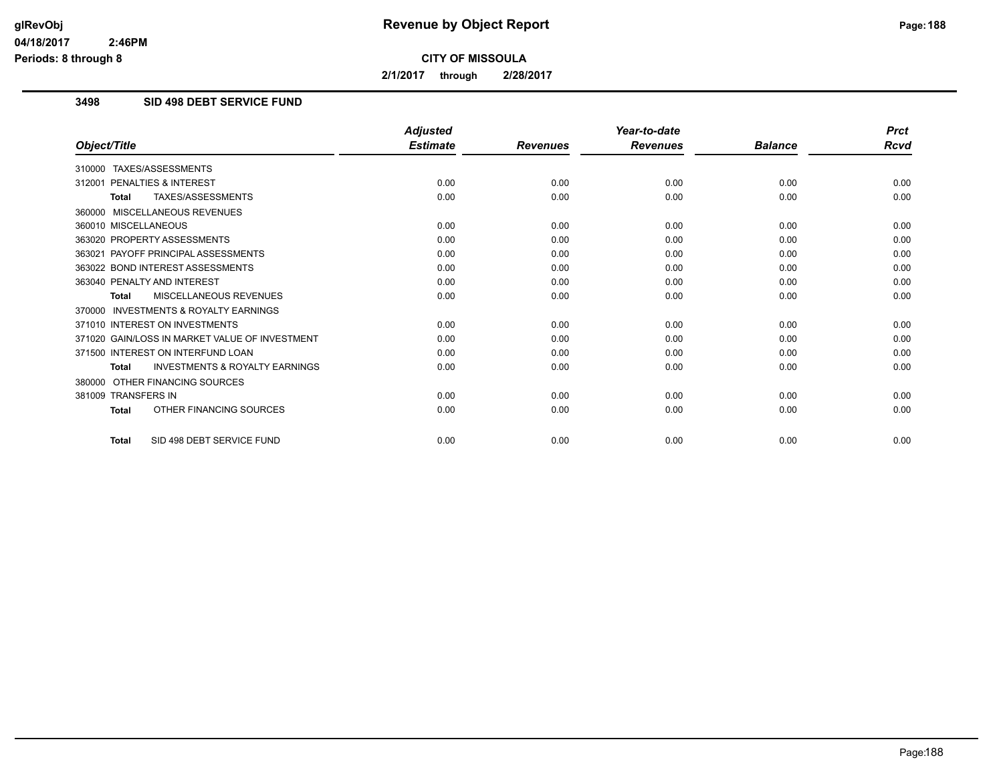**2/1/2017 through 2/28/2017**

#### **3498 SID 498 DEBT SERVICE FUND**

|                                                     | <b>Adjusted</b> |                 | Year-to-date    |                | <b>Prct</b> |
|-----------------------------------------------------|-----------------|-----------------|-----------------|----------------|-------------|
| Object/Title                                        | <b>Estimate</b> | <b>Revenues</b> | <b>Revenues</b> | <b>Balance</b> | <b>Rcvd</b> |
| TAXES/ASSESSMENTS<br>310000                         |                 |                 |                 |                |             |
| 312001 PENALTIES & INTEREST                         | 0.00            | 0.00            | 0.00            | 0.00           | 0.00        |
| TAXES/ASSESSMENTS<br>Total                          | 0.00            | 0.00            | 0.00            | 0.00           | 0.00        |
| 360000 MISCELLANEOUS REVENUES                       |                 |                 |                 |                |             |
| 360010 MISCELLANEOUS                                | 0.00            | 0.00            | 0.00            | 0.00           | 0.00        |
| 363020 PROPERTY ASSESSMENTS                         | 0.00            | 0.00            | 0.00            | 0.00           | 0.00        |
| 363021 PAYOFF PRINCIPAL ASSESSMENTS                 | 0.00            | 0.00            | 0.00            | 0.00           | 0.00        |
| 363022 BOND INTEREST ASSESSMENTS                    | 0.00            | 0.00            | 0.00            | 0.00           | 0.00        |
| 363040 PENALTY AND INTEREST                         | 0.00            | 0.00            | 0.00            | 0.00           | 0.00        |
| MISCELLANEOUS REVENUES<br>Total                     | 0.00            | 0.00            | 0.00            | 0.00           | 0.00        |
| <b>INVESTMENTS &amp; ROYALTY EARNINGS</b><br>370000 |                 |                 |                 |                |             |
| 371010 INTEREST ON INVESTMENTS                      | 0.00            | 0.00            | 0.00            | 0.00           | 0.00        |
| 371020 GAIN/LOSS IN MARKET VALUE OF INVESTMENT      | 0.00            | 0.00            | 0.00            | 0.00           | 0.00        |
| 371500 INTEREST ON INTERFUND LOAN                   | 0.00            | 0.00            | 0.00            | 0.00           | 0.00        |
| <b>INVESTMENTS &amp; ROYALTY EARNINGS</b><br>Total  | 0.00            | 0.00            | 0.00            | 0.00           | 0.00        |
| OTHER FINANCING SOURCES<br>380000                   |                 |                 |                 |                |             |
| 381009 TRANSFERS IN                                 | 0.00            | 0.00            | 0.00            | 0.00           | 0.00        |
| OTHER FINANCING SOURCES<br><b>Total</b>             | 0.00            | 0.00            | 0.00            | 0.00           | 0.00        |
| SID 498 DEBT SERVICE FUND<br><b>Total</b>           | 0.00            | 0.00            | 0.00            | 0.00           | 0.00        |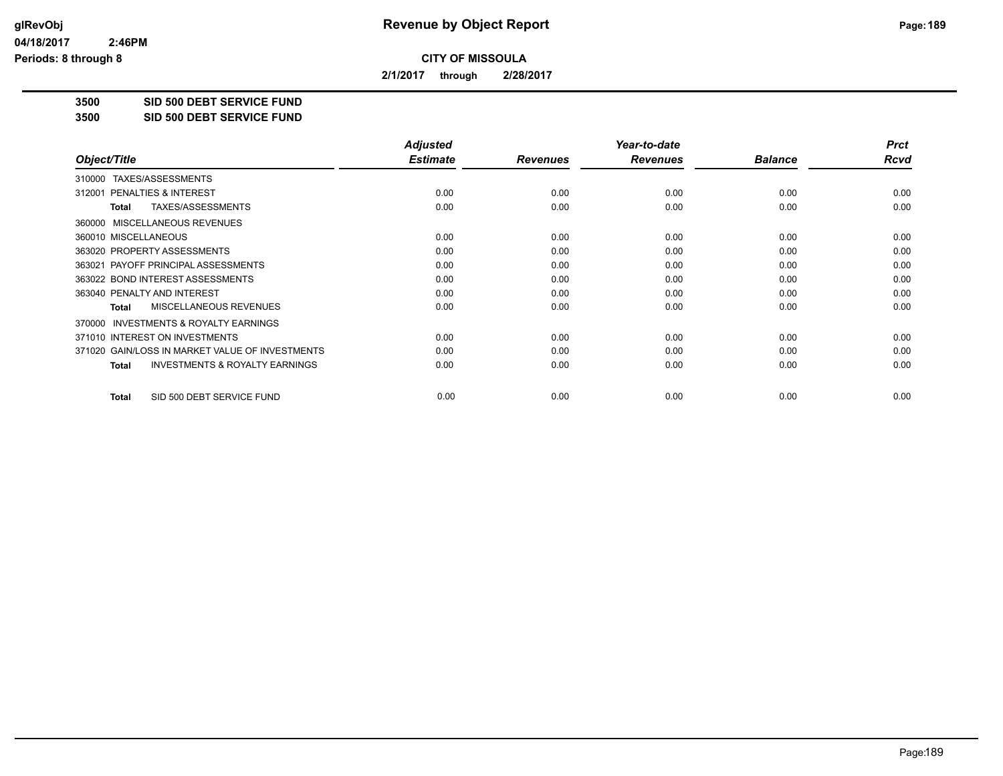**2/1/2017 through 2/28/2017**

**3500 SID 500 DEBT SERVICE FUND**

**3500 SID 500 DEBT SERVICE FUND**

|                                                    | <b>Adjusted</b> |                 | Year-to-date    |                | <b>Prct</b> |
|----------------------------------------------------|-----------------|-----------------|-----------------|----------------|-------------|
| Object/Title                                       | <b>Estimate</b> | <b>Revenues</b> | <b>Revenues</b> | <b>Balance</b> | Rcvd        |
| 310000 TAXES/ASSESSMENTS                           |                 |                 |                 |                |             |
| 312001 PENALTIES & INTEREST                        | 0.00            | 0.00            | 0.00            | 0.00           | 0.00        |
| TAXES/ASSESSMENTS<br>Total                         | 0.00            | 0.00            | 0.00            | 0.00           | 0.00        |
| 360000 MISCELLANEOUS REVENUES                      |                 |                 |                 |                |             |
| 360010 MISCELLANEOUS                               | 0.00            | 0.00            | 0.00            | 0.00           | 0.00        |
| 363020 PROPERTY ASSESSMENTS                        | 0.00            | 0.00            | 0.00            | 0.00           | 0.00        |
| 363021 PAYOFF PRINCIPAL ASSESSMENTS                | 0.00            | 0.00            | 0.00            | 0.00           | 0.00        |
| 363022 BOND INTEREST ASSESSMENTS                   | 0.00            | 0.00            | 0.00            | 0.00           | 0.00        |
| 363040 PENALTY AND INTEREST                        | 0.00            | 0.00            | 0.00            | 0.00           | 0.00        |
| MISCELLANEOUS REVENUES<br>Total                    | 0.00            | 0.00            | 0.00            | 0.00           | 0.00        |
| INVESTMENTS & ROYALTY EARNINGS<br>370000           |                 |                 |                 |                |             |
| 371010 INTEREST ON INVESTMENTS                     | 0.00            | 0.00            | 0.00            | 0.00           | 0.00        |
| 371020 GAIN/LOSS IN MARKET VALUE OF INVESTMENTS    | 0.00            | 0.00            | 0.00            | 0.00           | 0.00        |
| <b>INVESTMENTS &amp; ROYALTY EARNINGS</b><br>Total | 0.00            | 0.00            | 0.00            | 0.00           | 0.00        |
| SID 500 DEBT SERVICE FUND<br>Total                 | 0.00            | 0.00            | 0.00            | 0.00           | 0.00        |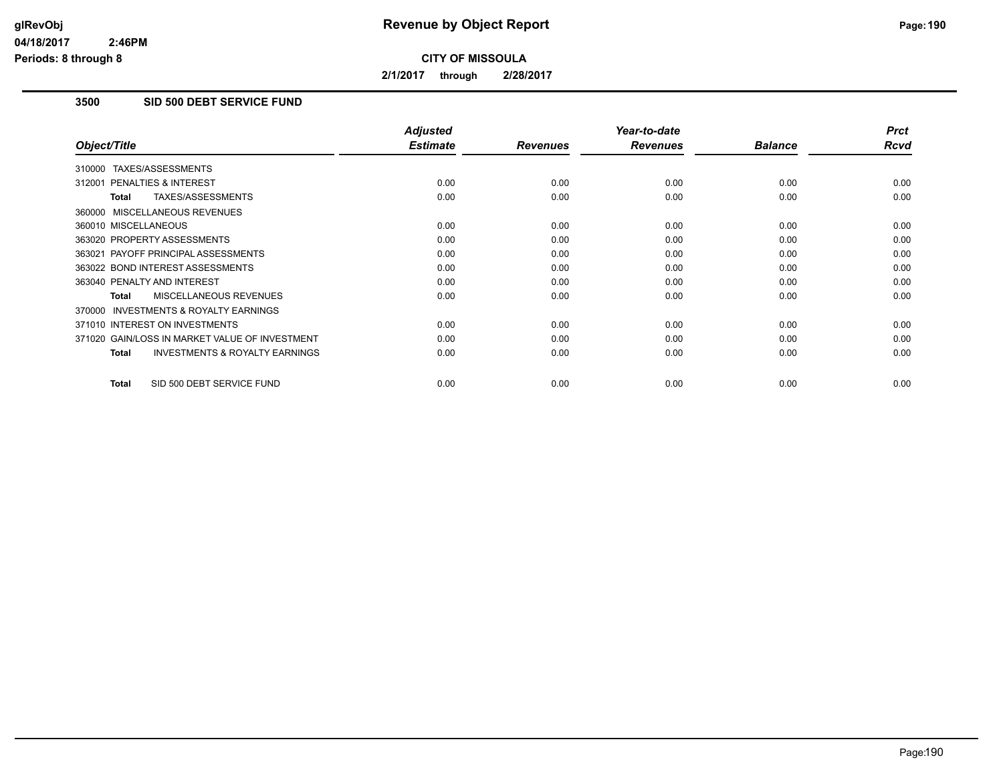**2/1/2017 through 2/28/2017**

### **3500 SID 500 DEBT SERVICE FUND**

|                                                     | <b>Adjusted</b> |                 | Year-to-date    |                | <b>Prct</b> |
|-----------------------------------------------------|-----------------|-----------------|-----------------|----------------|-------------|
| Object/Title                                        | <b>Estimate</b> | <b>Revenues</b> | <b>Revenues</b> | <b>Balance</b> | Rcvd        |
| 310000 TAXES/ASSESSMENTS                            |                 |                 |                 |                |             |
| 312001 PENALTIES & INTEREST                         | 0.00            | 0.00            | 0.00            | 0.00           | 0.00        |
| TAXES/ASSESSMENTS<br>Total                          | 0.00            | 0.00            | 0.00            | 0.00           | 0.00        |
| 360000 MISCELLANEOUS REVENUES                       |                 |                 |                 |                |             |
| 360010 MISCELLANEOUS                                | 0.00            | 0.00            | 0.00            | 0.00           | 0.00        |
| 363020 PROPERTY ASSESSMENTS                         | 0.00            | 0.00            | 0.00            | 0.00           | 0.00        |
| 363021 PAYOFF PRINCIPAL ASSESSMENTS                 | 0.00            | 0.00            | 0.00            | 0.00           | 0.00        |
| 363022 BOND INTEREST ASSESSMENTS                    | 0.00            | 0.00            | 0.00            | 0.00           | 0.00        |
| 363040 PENALTY AND INTEREST                         | 0.00            | 0.00            | 0.00            | 0.00           | 0.00        |
| MISCELLANEOUS REVENUES<br>Total                     | 0.00            | 0.00            | 0.00            | 0.00           | 0.00        |
| <b>INVESTMENTS &amp; ROYALTY EARNINGS</b><br>370000 |                 |                 |                 |                |             |
| 371010 INTEREST ON INVESTMENTS                      | 0.00            | 0.00            | 0.00            | 0.00           | 0.00        |
| 371020 GAIN/LOSS IN MARKET VALUE OF INVESTMENT      | 0.00            | 0.00            | 0.00            | 0.00           | 0.00        |
| <b>INVESTMENTS &amp; ROYALTY EARNINGS</b><br>Total  | 0.00            | 0.00            | 0.00            | 0.00           | 0.00        |
| SID 500 DEBT SERVICE FUND<br><b>Total</b>           | 0.00            | 0.00            | 0.00            | 0.00           | 0.00        |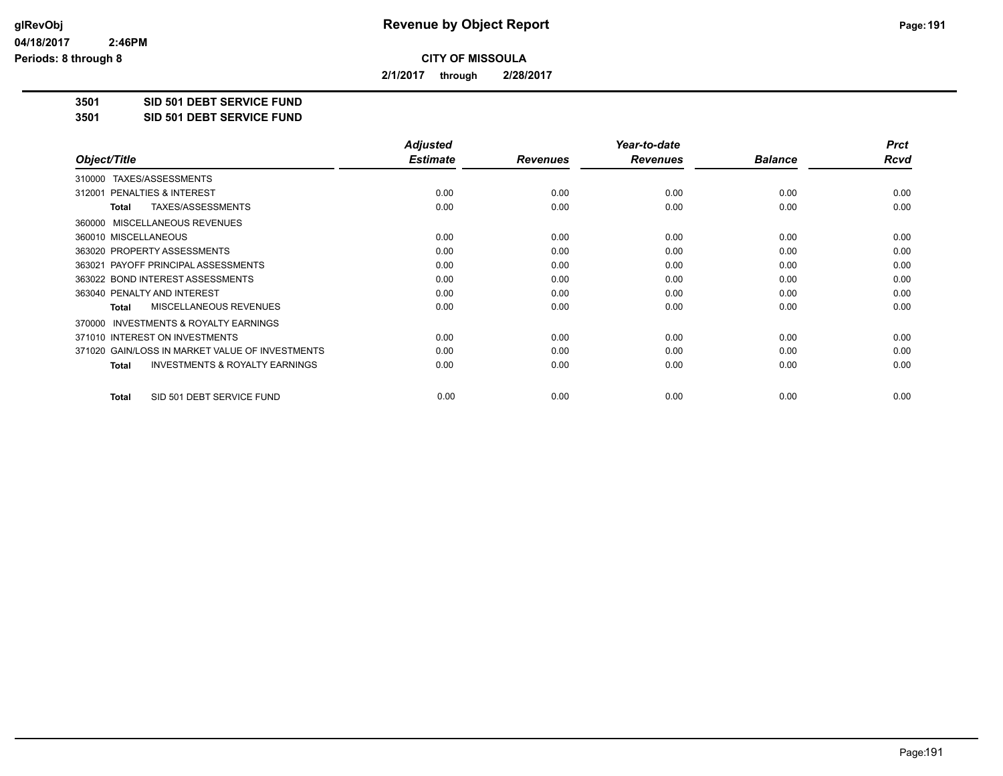**2/1/2017 through 2/28/2017**

**3501 SID 501 DEBT SERVICE FUND**

**3501 SID 501 DEBT SERVICE FUND**

|                                                    | <b>Adjusted</b> |                 | Year-to-date    |                | <b>Prct</b> |
|----------------------------------------------------|-----------------|-----------------|-----------------|----------------|-------------|
| Object/Title                                       | <b>Estimate</b> | <b>Revenues</b> | <b>Revenues</b> | <b>Balance</b> | <b>Rcvd</b> |
| 310000 TAXES/ASSESSMENTS                           |                 |                 |                 |                |             |
| 312001 PENALTIES & INTEREST                        | 0.00            | 0.00            | 0.00            | 0.00           | 0.00        |
| TAXES/ASSESSMENTS<br>Total                         | 0.00            | 0.00            | 0.00            | 0.00           | 0.00        |
| 360000 MISCELLANEOUS REVENUES                      |                 |                 |                 |                |             |
| 360010 MISCELLANEOUS                               | 0.00            | 0.00            | 0.00            | 0.00           | 0.00        |
| 363020 PROPERTY ASSESSMENTS                        | 0.00            | 0.00            | 0.00            | 0.00           | 0.00        |
| 363021 PAYOFF PRINCIPAL ASSESSMENTS                | 0.00            | 0.00            | 0.00            | 0.00           | 0.00        |
| 363022 BOND INTEREST ASSESSMENTS                   | 0.00            | 0.00            | 0.00            | 0.00           | 0.00        |
| 363040 PENALTY AND INTEREST                        | 0.00            | 0.00            | 0.00            | 0.00           | 0.00        |
| MISCELLANEOUS REVENUES<br>Total                    | 0.00            | 0.00            | 0.00            | 0.00           | 0.00        |
| 370000 INVESTMENTS & ROYALTY EARNINGS              |                 |                 |                 |                |             |
| 371010 INTEREST ON INVESTMENTS                     | 0.00            | 0.00            | 0.00            | 0.00           | 0.00        |
| 371020 GAIN/LOSS IN MARKET VALUE OF INVESTMENTS    | 0.00            | 0.00            | 0.00            | 0.00           | 0.00        |
| <b>INVESTMENTS &amp; ROYALTY EARNINGS</b><br>Total | 0.00            | 0.00            | 0.00            | 0.00           | 0.00        |
| SID 501 DEBT SERVICE FUND<br><b>Total</b>          | 0.00            | 0.00            | 0.00            | 0.00           | 0.00        |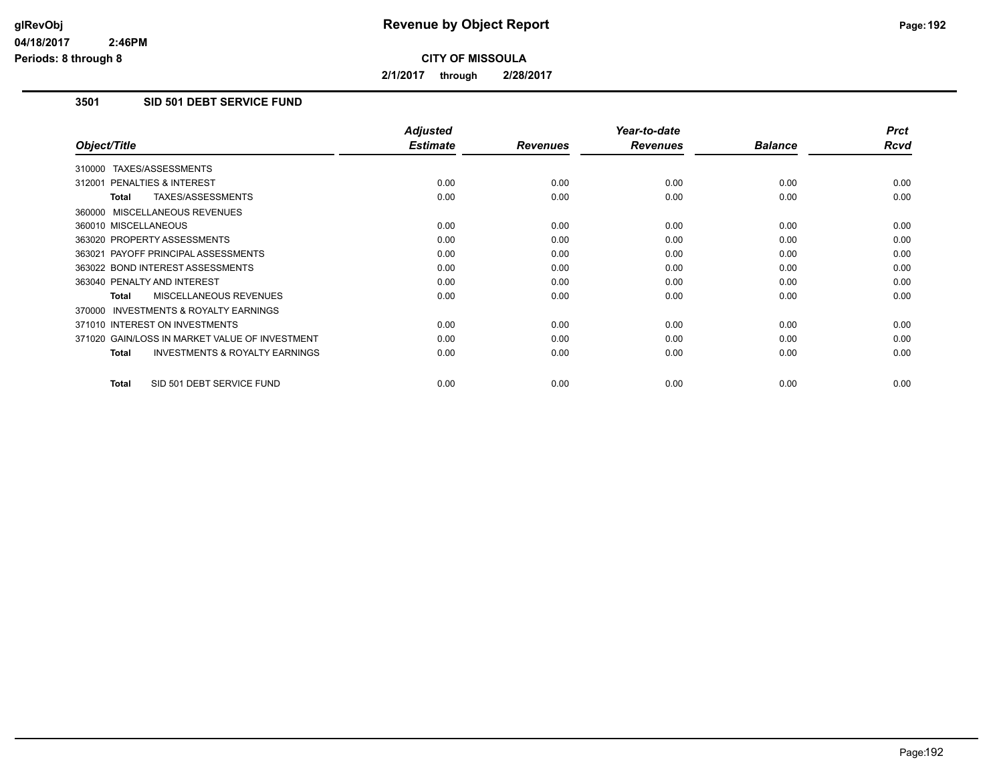**2/1/2017 through 2/28/2017**

#### **3501 SID 501 DEBT SERVICE FUND**

|                                                           | <b>Adjusted</b> |                 | Year-to-date    |                | <b>Prct</b> |
|-----------------------------------------------------------|-----------------|-----------------|-----------------|----------------|-------------|
| Object/Title                                              | <b>Estimate</b> | <b>Revenues</b> | <b>Revenues</b> | <b>Balance</b> | Rcvd        |
| TAXES/ASSESSMENTS<br>310000                               |                 |                 |                 |                |             |
| 312001 PENALTIES & INTEREST                               | 0.00            | 0.00            | 0.00            | 0.00           | 0.00        |
| TAXES/ASSESSMENTS<br><b>Total</b>                         | 0.00            | 0.00            | 0.00            | 0.00           | 0.00        |
| 360000 MISCELLANEOUS REVENUES                             |                 |                 |                 |                |             |
| 360010 MISCELLANEOUS                                      | 0.00            | 0.00            | 0.00            | 0.00           | 0.00        |
| 363020 PROPERTY ASSESSMENTS                               | 0.00            | 0.00            | 0.00            | 0.00           | 0.00        |
| 363021 PAYOFF PRINCIPAL ASSESSMENTS                       | 0.00            | 0.00            | 0.00            | 0.00           | 0.00        |
| 363022 BOND INTEREST ASSESSMENTS                          | 0.00            | 0.00            | 0.00            | 0.00           | 0.00        |
| 363040 PENALTY AND INTEREST                               | 0.00            | 0.00            | 0.00            | 0.00           | 0.00        |
| MISCELLANEOUS REVENUES<br>Total                           | 0.00            | 0.00            | 0.00            | 0.00           | 0.00        |
| <b>INVESTMENTS &amp; ROYALTY EARNINGS</b><br>370000       |                 |                 |                 |                |             |
| 371010 INTEREST ON INVESTMENTS                            | 0.00            | 0.00            | 0.00            | 0.00           | 0.00        |
| 371020 GAIN/LOSS IN MARKET VALUE OF INVESTMENT            | 0.00            | 0.00            | 0.00            | 0.00           | 0.00        |
| <b>INVESTMENTS &amp; ROYALTY EARNINGS</b><br><b>Total</b> | 0.00            | 0.00            | 0.00            | 0.00           | 0.00        |
| SID 501 DEBT SERVICE FUND<br><b>Total</b>                 | 0.00            | 0.00            | 0.00            | 0.00           | 0.00        |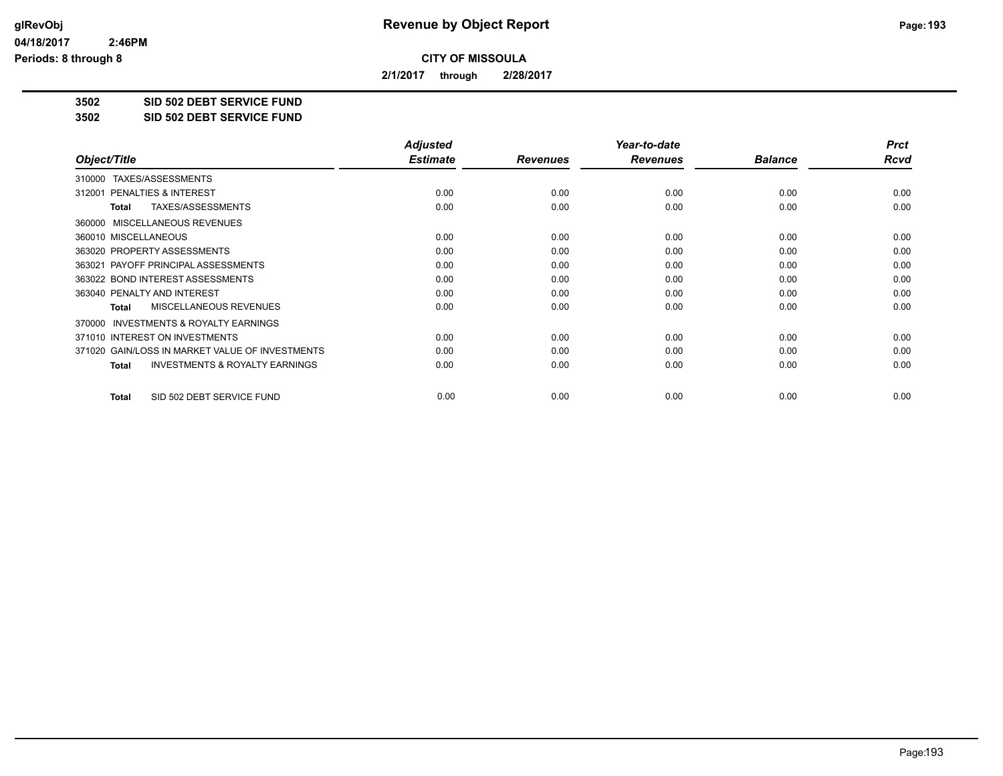**2/1/2017 through 2/28/2017**

**3502 SID 502 DEBT SERVICE FUND**

**3502 SID 502 DEBT SERVICE FUND**

|                                                    | <b>Adjusted</b> |                 | Year-to-date    |                | <b>Prct</b> |
|----------------------------------------------------|-----------------|-----------------|-----------------|----------------|-------------|
| Object/Title                                       | <b>Estimate</b> | <b>Revenues</b> | <b>Revenues</b> | <b>Balance</b> | Rcvd        |
| 310000 TAXES/ASSESSMENTS                           |                 |                 |                 |                |             |
| 312001 PENALTIES & INTEREST                        | 0.00            | 0.00            | 0.00            | 0.00           | 0.00        |
| TAXES/ASSESSMENTS<br>Total                         | 0.00            | 0.00            | 0.00            | 0.00           | 0.00        |
| 360000 MISCELLANEOUS REVENUES                      |                 |                 |                 |                |             |
| 360010 MISCELLANEOUS                               | 0.00            | 0.00            | 0.00            | 0.00           | 0.00        |
| 363020 PROPERTY ASSESSMENTS                        | 0.00            | 0.00            | 0.00            | 0.00           | 0.00        |
| 363021 PAYOFF PRINCIPAL ASSESSMENTS                | 0.00            | 0.00            | 0.00            | 0.00           | 0.00        |
| 363022 BOND INTEREST ASSESSMENTS                   | 0.00            | 0.00            | 0.00            | 0.00           | 0.00        |
| 363040 PENALTY AND INTEREST                        | 0.00            | 0.00            | 0.00            | 0.00           | 0.00        |
| MISCELLANEOUS REVENUES<br>Total                    | 0.00            | 0.00            | 0.00            | 0.00           | 0.00        |
| INVESTMENTS & ROYALTY EARNINGS<br>370000           |                 |                 |                 |                |             |
| 371010 INTEREST ON INVESTMENTS                     | 0.00            | 0.00            | 0.00            | 0.00           | 0.00        |
| 371020 GAIN/LOSS IN MARKET VALUE OF INVESTMENTS    | 0.00            | 0.00            | 0.00            | 0.00           | 0.00        |
| <b>INVESTMENTS &amp; ROYALTY EARNINGS</b><br>Total | 0.00            | 0.00            | 0.00            | 0.00           | 0.00        |
| SID 502 DEBT SERVICE FUND<br>Total                 | 0.00            | 0.00            | 0.00            | 0.00           | 0.00        |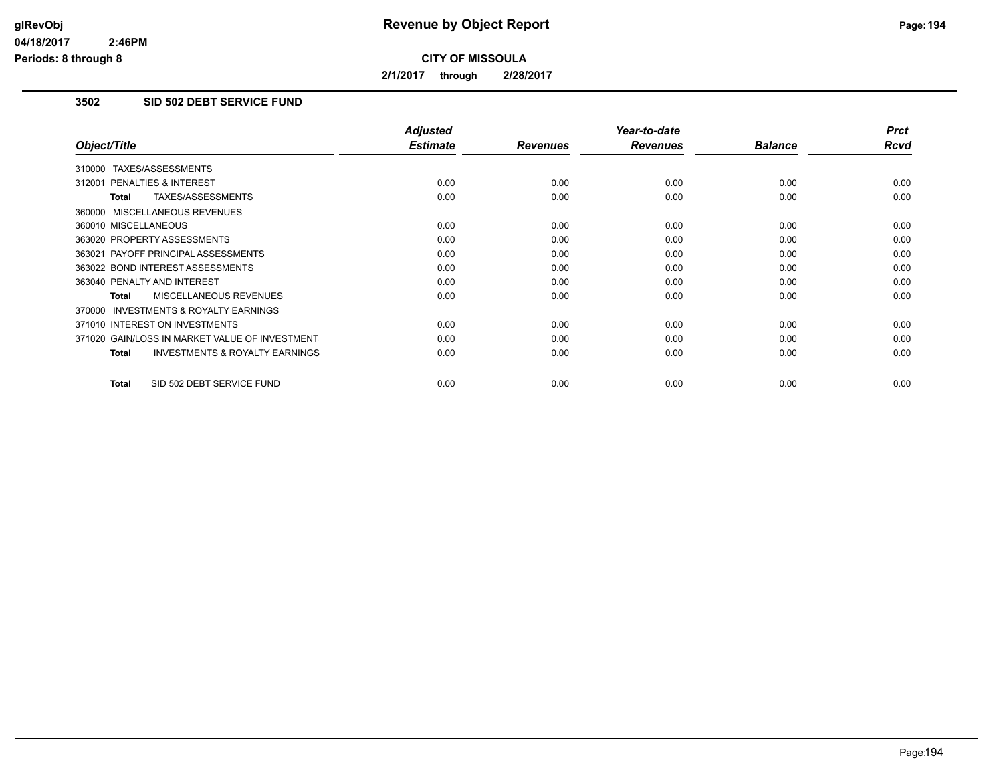**2/1/2017 through 2/28/2017**

#### **3502 SID 502 DEBT SERVICE FUND**

|                                                           | <b>Adjusted</b> |                 | Year-to-date    |                | <b>Prct</b> |
|-----------------------------------------------------------|-----------------|-----------------|-----------------|----------------|-------------|
| Object/Title                                              | <b>Estimate</b> | <b>Revenues</b> | <b>Revenues</b> | <b>Balance</b> | <b>Rcvd</b> |
| 310000 TAXES/ASSESSMENTS                                  |                 |                 |                 |                |             |
| 312001 PENALTIES & INTEREST                               | 0.00            | 0.00            | 0.00            | 0.00           | 0.00        |
| TAXES/ASSESSMENTS<br>Total                                | 0.00            | 0.00            | 0.00            | 0.00           | 0.00        |
| 360000 MISCELLANEOUS REVENUES                             |                 |                 |                 |                |             |
| 360010 MISCELLANEOUS                                      | 0.00            | 0.00            | 0.00            | 0.00           | 0.00        |
| 363020 PROPERTY ASSESSMENTS                               | 0.00            | 0.00            | 0.00            | 0.00           | 0.00        |
| 363021 PAYOFF PRINCIPAL ASSESSMENTS                       | 0.00            | 0.00            | 0.00            | 0.00           | 0.00        |
| 363022 BOND INTEREST ASSESSMENTS                          | 0.00            | 0.00            | 0.00            | 0.00           | 0.00        |
| 363040 PENALTY AND INTEREST                               | 0.00            | 0.00            | 0.00            | 0.00           | 0.00        |
| <b>MISCELLANEOUS REVENUES</b><br>Total                    | 0.00            | 0.00            | 0.00            | 0.00           | 0.00        |
| INVESTMENTS & ROYALTY EARNINGS<br>370000                  |                 |                 |                 |                |             |
| 371010 INTEREST ON INVESTMENTS                            | 0.00            | 0.00            | 0.00            | 0.00           | 0.00        |
| 371020 GAIN/LOSS IN MARKET VALUE OF INVESTMENT            | 0.00            | 0.00            | 0.00            | 0.00           | 0.00        |
| <b>INVESTMENTS &amp; ROYALTY EARNINGS</b><br><b>Total</b> | 0.00            | 0.00            | 0.00            | 0.00           | 0.00        |
| SID 502 DEBT SERVICE FUND<br><b>Total</b>                 | 0.00            | 0.00            | 0.00            | 0.00           | 0.00        |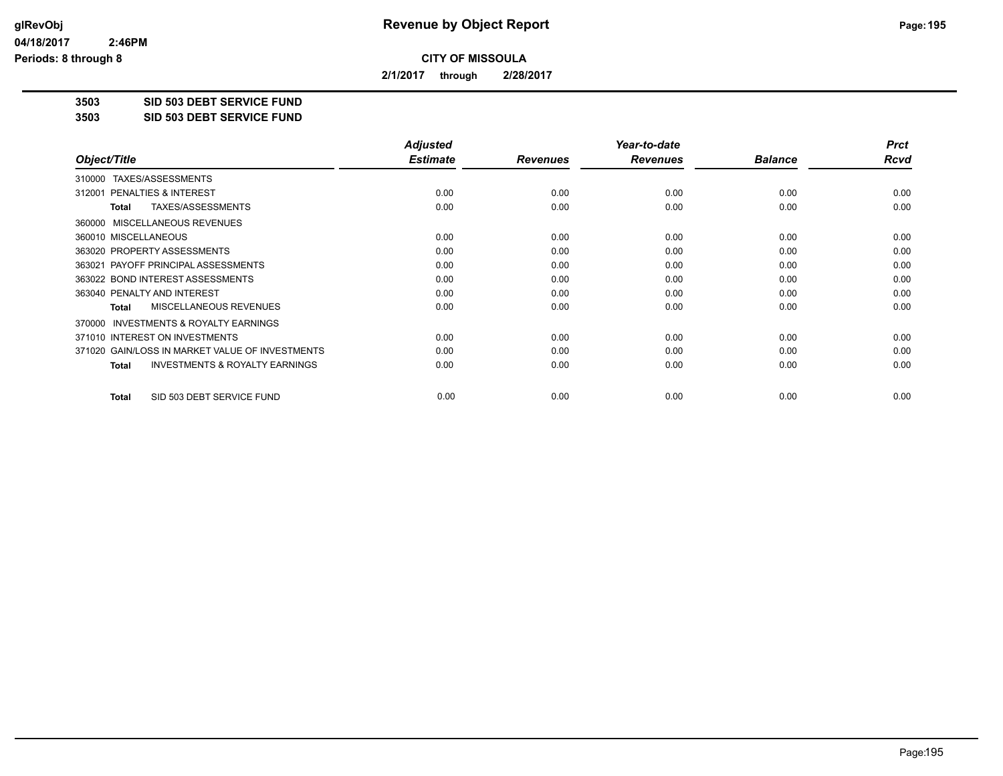**2/1/2017 through 2/28/2017**

**3503 SID 503 DEBT SERVICE FUND**

**3503 SID 503 DEBT SERVICE FUND**

| <b>Estimate</b> |                 |                 |                |             |
|-----------------|-----------------|-----------------|----------------|-------------|
|                 | <b>Revenues</b> | <b>Revenues</b> | <b>Balance</b> | <b>Rcvd</b> |
|                 |                 |                 |                |             |
| 0.00            | 0.00            | 0.00            | 0.00           | 0.00        |
| 0.00            | 0.00            | 0.00            | 0.00           | 0.00        |
|                 |                 |                 |                |             |
| 0.00            | 0.00            | 0.00            | 0.00           | 0.00        |
| 0.00            | 0.00            | 0.00            | 0.00           | 0.00        |
| 0.00            | 0.00            | 0.00            | 0.00           | 0.00        |
| 0.00            | 0.00            | 0.00            | 0.00           | 0.00        |
| 0.00            | 0.00            | 0.00            | 0.00           | 0.00        |
| 0.00            | 0.00            | 0.00            | 0.00           | 0.00        |
|                 |                 |                 |                |             |
| 0.00            | 0.00            | 0.00            | 0.00           | 0.00        |
| 0.00            | 0.00            | 0.00            | 0.00           | 0.00        |
| 0.00            | 0.00            | 0.00            | 0.00           | 0.00        |
|                 |                 |                 |                | 0.00        |
|                 | 0.00            | 0.00            | 0.00           | 0.00        |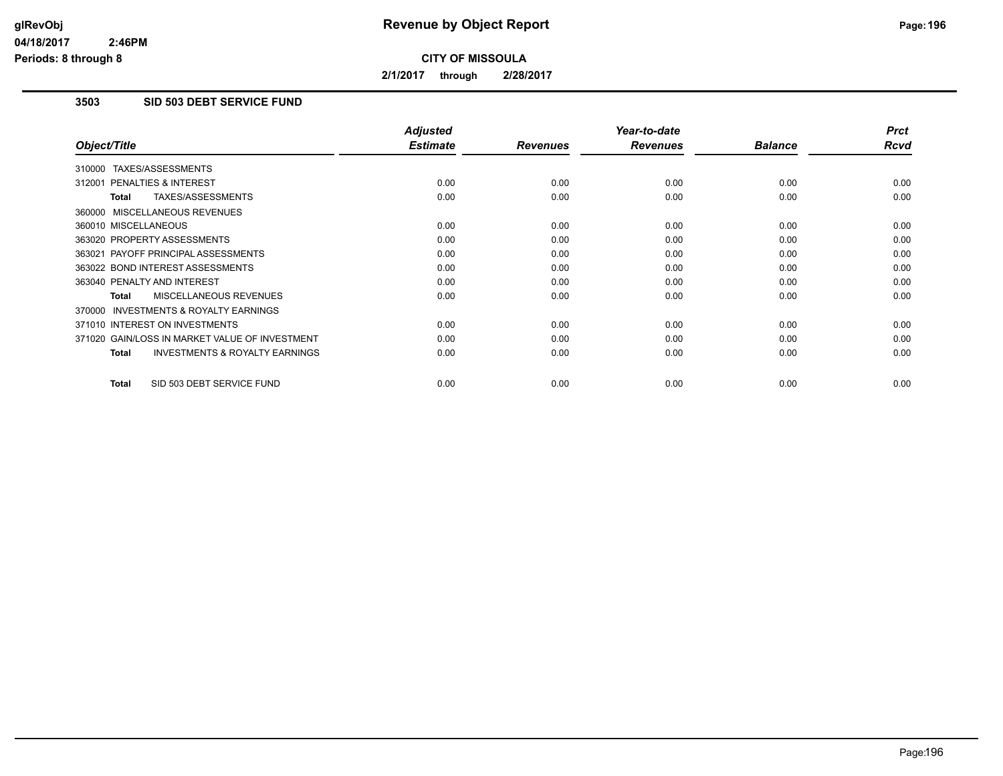**2/1/2017 through 2/28/2017**

### **3503 SID 503 DEBT SERVICE FUND**

|                                                           | <b>Adjusted</b> |                 | Year-to-date    |                | <b>Prct</b> |
|-----------------------------------------------------------|-----------------|-----------------|-----------------|----------------|-------------|
| Object/Title                                              | <b>Estimate</b> | <b>Revenues</b> | <b>Revenues</b> | <b>Balance</b> | <b>Rcvd</b> |
| 310000 TAXES/ASSESSMENTS                                  |                 |                 |                 |                |             |
| 312001 PENALTIES & INTEREST                               | 0.00            | 0.00            | 0.00            | 0.00           | 0.00        |
| TAXES/ASSESSMENTS<br><b>Total</b>                         | 0.00            | 0.00            | 0.00            | 0.00           | 0.00        |
| 360000 MISCELLANEOUS REVENUES                             |                 |                 |                 |                |             |
| 360010 MISCELLANEOUS                                      | 0.00            | 0.00            | 0.00            | 0.00           | 0.00        |
| 363020 PROPERTY ASSESSMENTS                               | 0.00            | 0.00            | 0.00            | 0.00           | 0.00        |
| 363021 PAYOFF PRINCIPAL ASSESSMENTS                       | 0.00            | 0.00            | 0.00            | 0.00           | 0.00        |
| 363022 BOND INTEREST ASSESSMENTS                          | 0.00            | 0.00            | 0.00            | 0.00           | 0.00        |
| 363040 PENALTY AND INTEREST                               | 0.00            | 0.00            | 0.00            | 0.00           | 0.00        |
| MISCELLANEOUS REVENUES<br>Total                           | 0.00            | 0.00            | 0.00            | 0.00           | 0.00        |
| <b>INVESTMENTS &amp; ROYALTY EARNINGS</b><br>370000       |                 |                 |                 |                |             |
| 371010 INTEREST ON INVESTMENTS                            | 0.00            | 0.00            | 0.00            | 0.00           | 0.00        |
| 371020 GAIN/LOSS IN MARKET VALUE OF INVESTMENT            | 0.00            | 0.00            | 0.00            | 0.00           | 0.00        |
| <b>INVESTMENTS &amp; ROYALTY EARNINGS</b><br><b>Total</b> | 0.00            | 0.00            | 0.00            | 0.00           | 0.00        |
| SID 503 DEBT SERVICE FUND<br><b>Total</b>                 | 0.00            | 0.00            | 0.00            | 0.00           | 0.00        |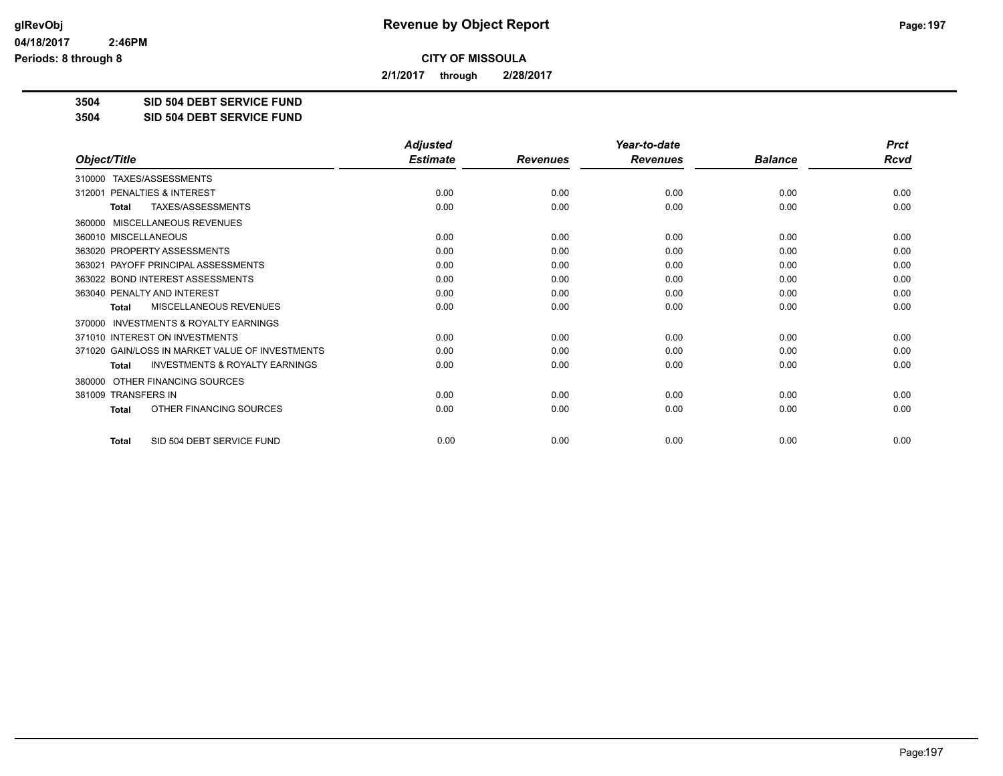**2/1/2017 through 2/28/2017**

**3504 SID 504 DEBT SERVICE FUND**

**3504 SID 504 DEBT SERVICE FUND**

|                                                           | <b>Adjusted</b> |                 | Year-to-date    |                |      |
|-----------------------------------------------------------|-----------------|-----------------|-----------------|----------------|------|
| Object/Title                                              | <b>Estimate</b> | <b>Revenues</b> | <b>Revenues</b> | <b>Balance</b> | Rcvd |
| 310000 TAXES/ASSESSMENTS                                  |                 |                 |                 |                |      |
| PENALTIES & INTEREST<br>312001                            | 0.00            | 0.00            | 0.00            | 0.00           | 0.00 |
| TAXES/ASSESSMENTS<br><b>Total</b>                         | 0.00            | 0.00            | 0.00            | 0.00           | 0.00 |
| 360000 MISCELLANEOUS REVENUES                             |                 |                 |                 |                |      |
| 360010 MISCELLANEOUS                                      | 0.00            | 0.00            | 0.00            | 0.00           | 0.00 |
| 363020 PROPERTY ASSESSMENTS                               | 0.00            | 0.00            | 0.00            | 0.00           | 0.00 |
| 363021 PAYOFF PRINCIPAL ASSESSMENTS                       | 0.00            | 0.00            | 0.00            | 0.00           | 0.00 |
| 363022 BOND INTEREST ASSESSMENTS                          | 0.00            | 0.00            | 0.00            | 0.00           | 0.00 |
| 363040 PENALTY AND INTEREST                               | 0.00            | 0.00            | 0.00            | 0.00           | 0.00 |
| MISCELLANEOUS REVENUES<br>Total                           | 0.00            | 0.00            | 0.00            | 0.00           | 0.00 |
| <b>INVESTMENTS &amp; ROYALTY EARNINGS</b><br>370000       |                 |                 |                 |                |      |
| 371010 INTEREST ON INVESTMENTS                            | 0.00            | 0.00            | 0.00            | 0.00           | 0.00 |
| 371020 GAIN/LOSS IN MARKET VALUE OF INVESTMENTS           | 0.00            | 0.00            | 0.00            | 0.00           | 0.00 |
| <b>INVESTMENTS &amp; ROYALTY EARNINGS</b><br><b>Total</b> | 0.00            | 0.00            | 0.00            | 0.00           | 0.00 |
| OTHER FINANCING SOURCES<br>380000                         |                 |                 |                 |                |      |
| 381009 TRANSFERS IN                                       | 0.00            | 0.00            | 0.00            | 0.00           | 0.00 |
| OTHER FINANCING SOURCES<br><b>Total</b>                   | 0.00            | 0.00            | 0.00            | 0.00           | 0.00 |
| SID 504 DEBT SERVICE FUND<br><b>Total</b>                 | 0.00            | 0.00            | 0.00            | 0.00           | 0.00 |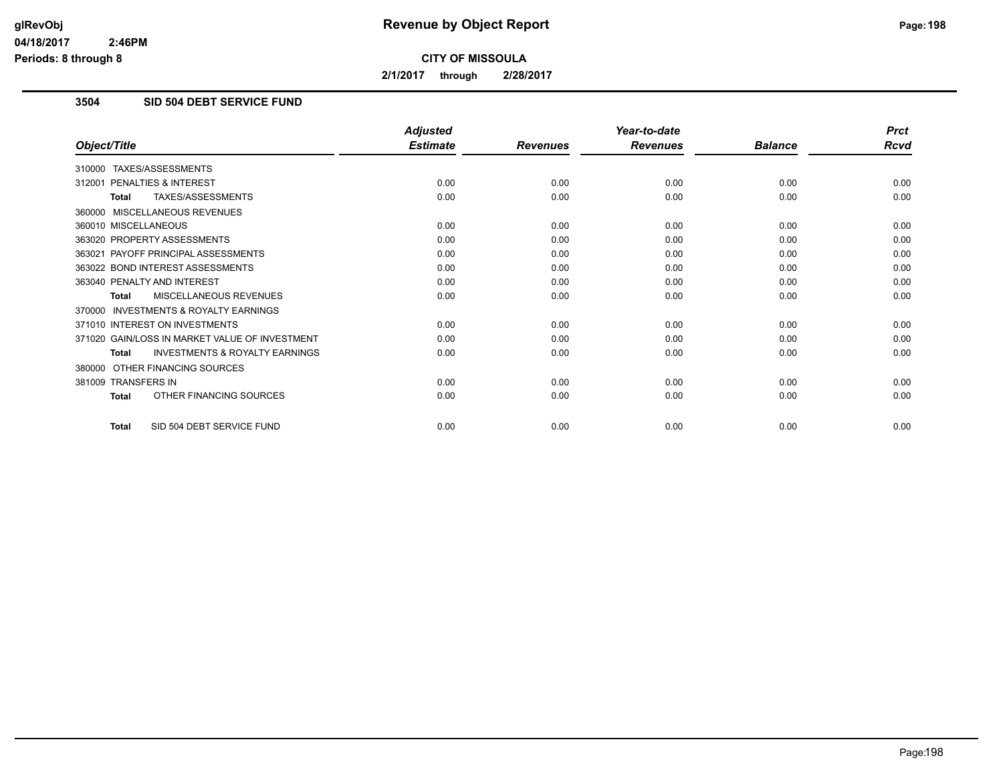**2/1/2017 through 2/28/2017**

### **3504 SID 504 DEBT SERVICE FUND**

|                                                           | <b>Adjusted</b> |                 | Year-to-date    |                | <b>Prct</b> |
|-----------------------------------------------------------|-----------------|-----------------|-----------------|----------------|-------------|
| Object/Title                                              | <b>Estimate</b> | <b>Revenues</b> | <b>Revenues</b> | <b>Balance</b> | Rcvd        |
| 310000 TAXES/ASSESSMENTS                                  |                 |                 |                 |                |             |
| 312001 PENALTIES & INTEREST                               | 0.00            | 0.00            | 0.00            | 0.00           | 0.00        |
| TAXES/ASSESSMENTS<br><b>Total</b>                         | 0.00            | 0.00            | 0.00            | 0.00           | 0.00        |
| 360000 MISCELLANEOUS REVENUES                             |                 |                 |                 |                |             |
| 360010 MISCELLANEOUS                                      | 0.00            | 0.00            | 0.00            | 0.00           | 0.00        |
| 363020 PROPERTY ASSESSMENTS                               | 0.00            | 0.00            | 0.00            | 0.00           | 0.00        |
| 363021 PAYOFF PRINCIPAL ASSESSMENTS                       | 0.00            | 0.00            | 0.00            | 0.00           | 0.00        |
| 363022 BOND INTEREST ASSESSMENTS                          | 0.00            | 0.00            | 0.00            | 0.00           | 0.00        |
| 363040 PENALTY AND INTEREST                               | 0.00            | 0.00            | 0.00            | 0.00           | 0.00        |
| MISCELLANEOUS REVENUES<br><b>Total</b>                    | 0.00            | 0.00            | 0.00            | 0.00           | 0.00        |
| <b>INVESTMENTS &amp; ROYALTY EARNINGS</b><br>370000       |                 |                 |                 |                |             |
| 371010 INTEREST ON INVESTMENTS                            | 0.00            | 0.00            | 0.00            | 0.00           | 0.00        |
| 371020 GAIN/LOSS IN MARKET VALUE OF INVESTMENT            | 0.00            | 0.00            | 0.00            | 0.00           | 0.00        |
| <b>INVESTMENTS &amp; ROYALTY EARNINGS</b><br><b>Total</b> | 0.00            | 0.00            | 0.00            | 0.00           | 0.00        |
| OTHER FINANCING SOURCES<br>380000                         |                 |                 |                 |                |             |
| 381009 TRANSFERS IN                                       | 0.00            | 0.00            | 0.00            | 0.00           | 0.00        |
| OTHER FINANCING SOURCES<br><b>Total</b>                   | 0.00            | 0.00            | 0.00            | 0.00           | 0.00        |
| SID 504 DEBT SERVICE FUND<br><b>Total</b>                 | 0.00            | 0.00            | 0.00            | 0.00           | 0.00        |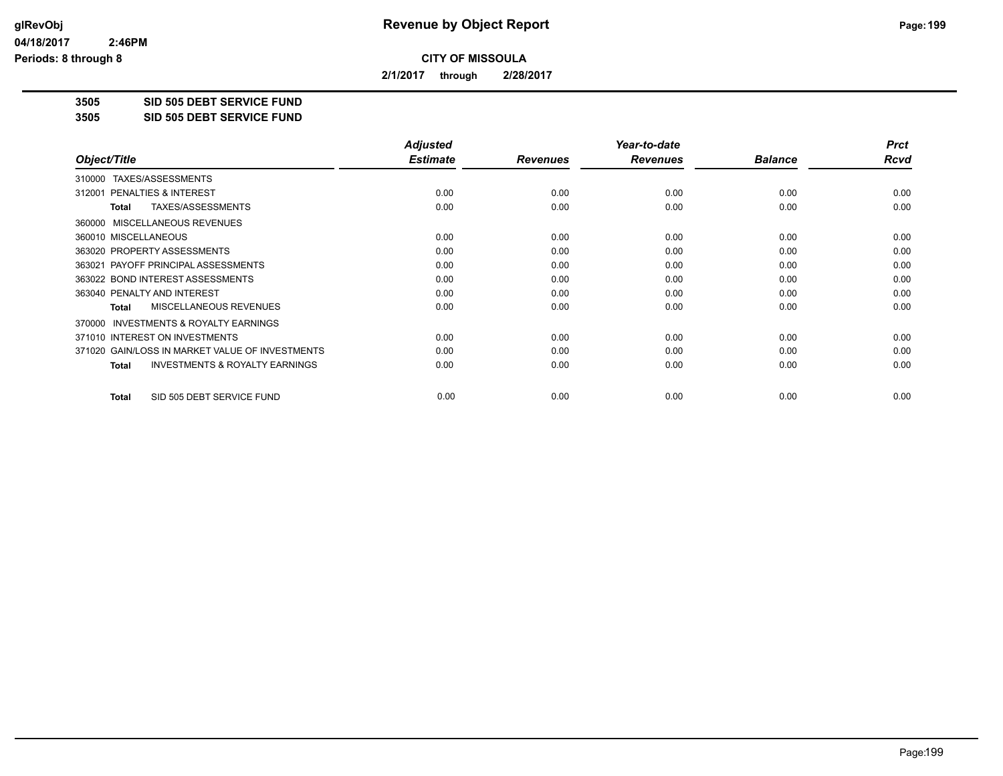**2/1/2017 through 2/28/2017**

**3505 SID 505 DEBT SERVICE FUND**

**3505 SID 505 DEBT SERVICE FUND**

|                                                           | <b>Adjusted</b> |                 | Year-to-date    |                | <b>Prct</b> |
|-----------------------------------------------------------|-----------------|-----------------|-----------------|----------------|-------------|
| Object/Title                                              | <b>Estimate</b> | <b>Revenues</b> | <b>Revenues</b> | <b>Balance</b> | Rcvd        |
| 310000 TAXES/ASSESSMENTS                                  |                 |                 |                 |                |             |
| 312001 PENALTIES & INTEREST                               | 0.00            | 0.00            | 0.00            | 0.00           | 0.00        |
| TAXES/ASSESSMENTS<br>Total                                | 0.00            | 0.00            | 0.00            | 0.00           | 0.00        |
| 360000 MISCELLANEOUS REVENUES                             |                 |                 |                 |                |             |
| 360010 MISCELLANEOUS                                      | 0.00            | 0.00            | 0.00            | 0.00           | 0.00        |
| 363020 PROPERTY ASSESSMENTS                               | 0.00            | 0.00            | 0.00            | 0.00           | 0.00        |
| 363021 PAYOFF PRINCIPAL ASSESSMENTS                       | 0.00            | 0.00            | 0.00            | 0.00           | 0.00        |
| 363022 BOND INTEREST ASSESSMENTS                          | 0.00            | 0.00            | 0.00            | 0.00           | 0.00        |
| 363040 PENALTY AND INTEREST                               | 0.00            | 0.00            | 0.00            | 0.00           | 0.00        |
| MISCELLANEOUS REVENUES<br><b>Total</b>                    | 0.00            | 0.00            | 0.00            | 0.00           | 0.00        |
| 370000 INVESTMENTS & ROYALTY EARNINGS                     |                 |                 |                 |                |             |
| 371010 INTEREST ON INVESTMENTS                            | 0.00            | 0.00            | 0.00            | 0.00           | 0.00        |
| 371020 GAIN/LOSS IN MARKET VALUE OF INVESTMENTS           | 0.00            | 0.00            | 0.00            | 0.00           | 0.00        |
| <b>INVESTMENTS &amp; ROYALTY EARNINGS</b><br><b>Total</b> | 0.00            | 0.00            | 0.00            | 0.00           | 0.00        |
| SID 505 DEBT SERVICE FUND<br>Total                        | 0.00            | 0.00            | 0.00            | 0.00           | 0.00        |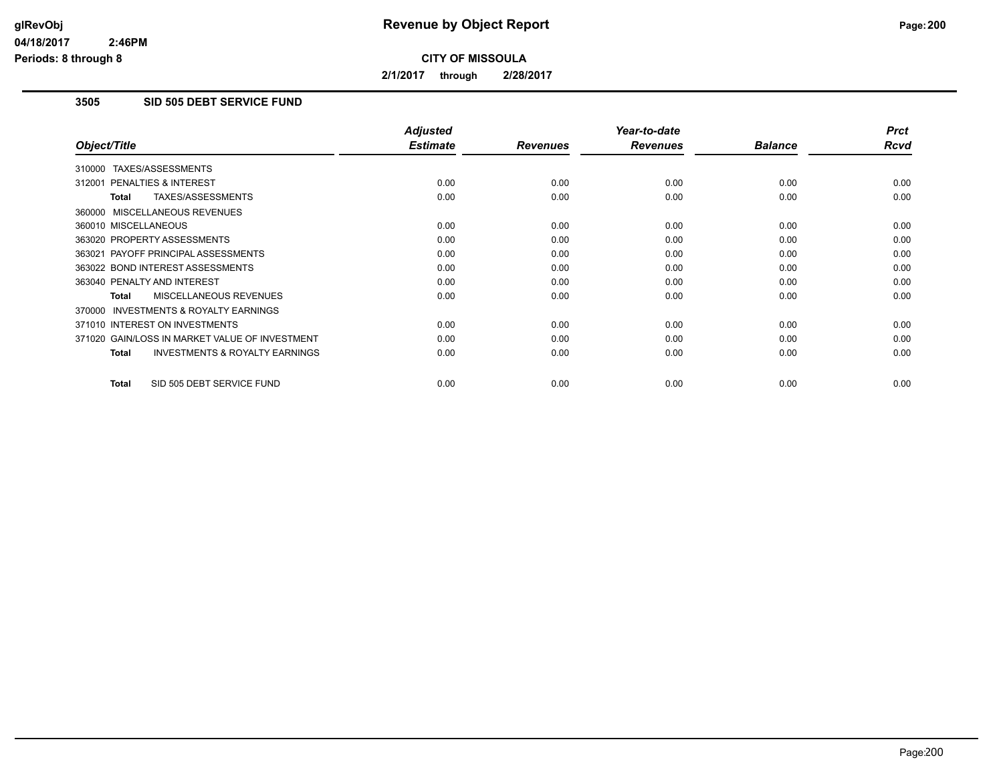**2/1/2017 through 2/28/2017**

### **3505 SID 505 DEBT SERVICE FUND**

|                                                     | <b>Adjusted</b> |                 | Year-to-date    |                | <b>Prct</b> |
|-----------------------------------------------------|-----------------|-----------------|-----------------|----------------|-------------|
| Object/Title                                        | <b>Estimate</b> | <b>Revenues</b> | <b>Revenues</b> | <b>Balance</b> | Rcvd        |
| 310000 TAXES/ASSESSMENTS                            |                 |                 |                 |                |             |
| 312001 PENALTIES & INTEREST                         | 0.00            | 0.00            | 0.00            | 0.00           | 0.00        |
| TAXES/ASSESSMENTS<br>Total                          | 0.00            | 0.00            | 0.00            | 0.00           | 0.00        |
| 360000 MISCELLANEOUS REVENUES                       |                 |                 |                 |                |             |
| 360010 MISCELLANEOUS                                | 0.00            | 0.00            | 0.00            | 0.00           | 0.00        |
| 363020 PROPERTY ASSESSMENTS                         | 0.00            | 0.00            | 0.00            | 0.00           | 0.00        |
| 363021 PAYOFF PRINCIPAL ASSESSMENTS                 | 0.00            | 0.00            | 0.00            | 0.00           | 0.00        |
| 363022 BOND INTEREST ASSESSMENTS                    | 0.00            | 0.00            | 0.00            | 0.00           | 0.00        |
| 363040 PENALTY AND INTEREST                         | 0.00            | 0.00            | 0.00            | 0.00           | 0.00        |
| MISCELLANEOUS REVENUES<br>Total                     | 0.00            | 0.00            | 0.00            | 0.00           | 0.00        |
| <b>INVESTMENTS &amp; ROYALTY EARNINGS</b><br>370000 |                 |                 |                 |                |             |
| 371010 INTEREST ON INVESTMENTS                      | 0.00            | 0.00            | 0.00            | 0.00           | 0.00        |
| 371020 GAIN/LOSS IN MARKET VALUE OF INVESTMENT      | 0.00            | 0.00            | 0.00            | 0.00           | 0.00        |
| <b>INVESTMENTS &amp; ROYALTY EARNINGS</b><br>Total  | 0.00            | 0.00            | 0.00            | 0.00           | 0.00        |
| SID 505 DEBT SERVICE FUND<br><b>Total</b>           | 0.00            | 0.00            | 0.00            | 0.00           | 0.00        |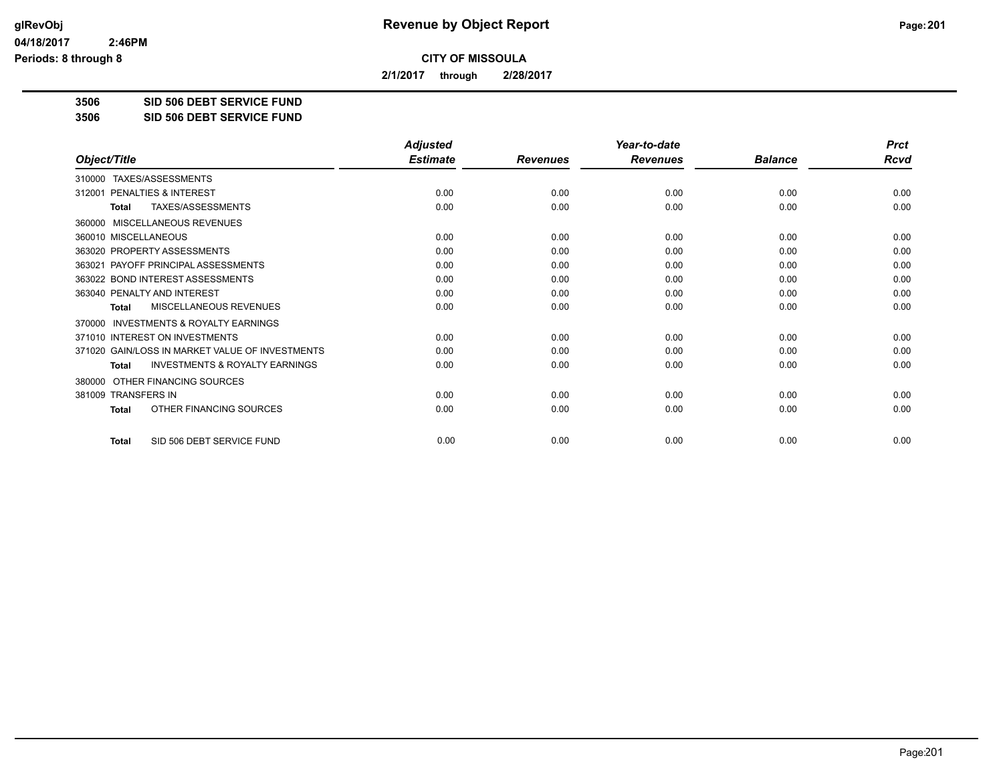**2/1/2017 through 2/28/2017**

**3506 SID 506 DEBT SERVICE FUND**

**3506 SID 506 DEBT SERVICE FUND**

|                                                    | <b>Adjusted</b> |                 | Year-to-date    |                | <b>Prct</b> |
|----------------------------------------------------|-----------------|-----------------|-----------------|----------------|-------------|
| Object/Title                                       | <b>Estimate</b> | <b>Revenues</b> | <b>Revenues</b> | <b>Balance</b> | Rcvd        |
| 310000 TAXES/ASSESSMENTS                           |                 |                 |                 |                |             |
| PENALTIES & INTEREST<br>312001                     | 0.00            | 0.00            | 0.00            | 0.00           | 0.00        |
| TAXES/ASSESSMENTS<br><b>Total</b>                  | 0.00            | 0.00            | 0.00            | 0.00           | 0.00        |
| 360000 MISCELLANEOUS REVENUES                      |                 |                 |                 |                |             |
| 360010 MISCELLANEOUS                               | 0.00            | 0.00            | 0.00            | 0.00           | 0.00        |
| 363020 PROPERTY ASSESSMENTS                        | 0.00            | 0.00            | 0.00            | 0.00           | 0.00        |
| 363021 PAYOFF PRINCIPAL ASSESSMENTS                | 0.00            | 0.00            | 0.00            | 0.00           | 0.00        |
| 363022 BOND INTEREST ASSESSMENTS                   | 0.00            | 0.00            | 0.00            | 0.00           | 0.00        |
| 363040 PENALTY AND INTEREST                        | 0.00            | 0.00            | 0.00            | 0.00           | 0.00        |
| <b>MISCELLANEOUS REVENUES</b><br><b>Total</b>      | 0.00            | 0.00            | 0.00            | 0.00           | 0.00        |
| INVESTMENTS & ROYALTY EARNINGS<br>370000           |                 |                 |                 |                |             |
| 371010 INTEREST ON INVESTMENTS                     | 0.00            | 0.00            | 0.00            | 0.00           | 0.00        |
| 371020 GAIN/LOSS IN MARKET VALUE OF INVESTMENTS    | 0.00            | 0.00            | 0.00            | 0.00           | 0.00        |
| <b>INVESTMENTS &amp; ROYALTY EARNINGS</b><br>Total | 0.00            | 0.00            | 0.00            | 0.00           | 0.00        |
| OTHER FINANCING SOURCES<br>380000                  |                 |                 |                 |                |             |
| 381009 TRANSFERS IN                                | 0.00            | 0.00            | 0.00            | 0.00           | 0.00        |
| OTHER FINANCING SOURCES<br><b>Total</b>            | 0.00            | 0.00            | 0.00            | 0.00           | 0.00        |
| SID 506 DEBT SERVICE FUND<br><b>Total</b>          | 0.00            | 0.00            | 0.00            | 0.00           | 0.00        |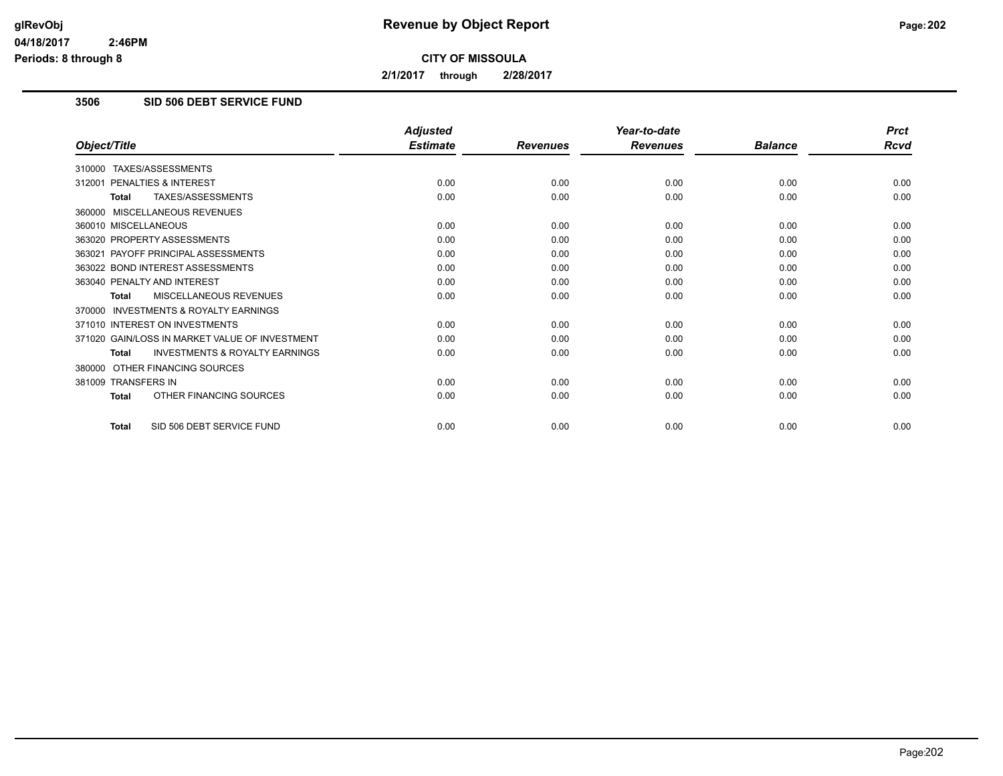**2/1/2017 through 2/28/2017**

## **3506 SID 506 DEBT SERVICE FUND**

|                                                           | <b>Adjusted</b> |                 | Year-to-date    |                | <b>Prct</b> |
|-----------------------------------------------------------|-----------------|-----------------|-----------------|----------------|-------------|
| Object/Title                                              | <b>Estimate</b> | <b>Revenues</b> | <b>Revenues</b> | <b>Balance</b> | <b>Rcvd</b> |
| 310000 TAXES/ASSESSMENTS                                  |                 |                 |                 |                |             |
| 312001 PENALTIES & INTEREST                               | 0.00            | 0.00            | 0.00            | 0.00           | 0.00        |
| TAXES/ASSESSMENTS<br><b>Total</b>                         | 0.00            | 0.00            | 0.00            | 0.00           | 0.00        |
| 360000 MISCELLANEOUS REVENUES                             |                 |                 |                 |                |             |
| 360010 MISCELLANEOUS                                      | 0.00            | 0.00            | 0.00            | 0.00           | 0.00        |
| 363020 PROPERTY ASSESSMENTS                               | 0.00            | 0.00            | 0.00            | 0.00           | 0.00        |
| 363021 PAYOFF PRINCIPAL ASSESSMENTS                       | 0.00            | 0.00            | 0.00            | 0.00           | 0.00        |
| 363022 BOND INTEREST ASSESSMENTS                          | 0.00            | 0.00            | 0.00            | 0.00           | 0.00        |
| 363040 PENALTY AND INTEREST                               | 0.00            | 0.00            | 0.00            | 0.00           | 0.00        |
| MISCELLANEOUS REVENUES<br>Total                           | 0.00            | 0.00            | 0.00            | 0.00           | 0.00        |
| <b>INVESTMENTS &amp; ROYALTY EARNINGS</b><br>370000       |                 |                 |                 |                |             |
| 371010 INTEREST ON INVESTMENTS                            | 0.00            | 0.00            | 0.00            | 0.00           | 0.00        |
| 371020 GAIN/LOSS IN MARKET VALUE OF INVESTMENT            | 0.00            | 0.00            | 0.00            | 0.00           | 0.00        |
| <b>INVESTMENTS &amp; ROYALTY EARNINGS</b><br><b>Total</b> | 0.00            | 0.00            | 0.00            | 0.00           | 0.00        |
| OTHER FINANCING SOURCES<br>380000                         |                 |                 |                 |                |             |
| 381009 TRANSFERS IN                                       | 0.00            | 0.00            | 0.00            | 0.00           | 0.00        |
| OTHER FINANCING SOURCES<br>Total                          | 0.00            | 0.00            | 0.00            | 0.00           | 0.00        |
| SID 506 DEBT SERVICE FUND<br><b>Total</b>                 | 0.00            | 0.00            | 0.00            | 0.00           | 0.00        |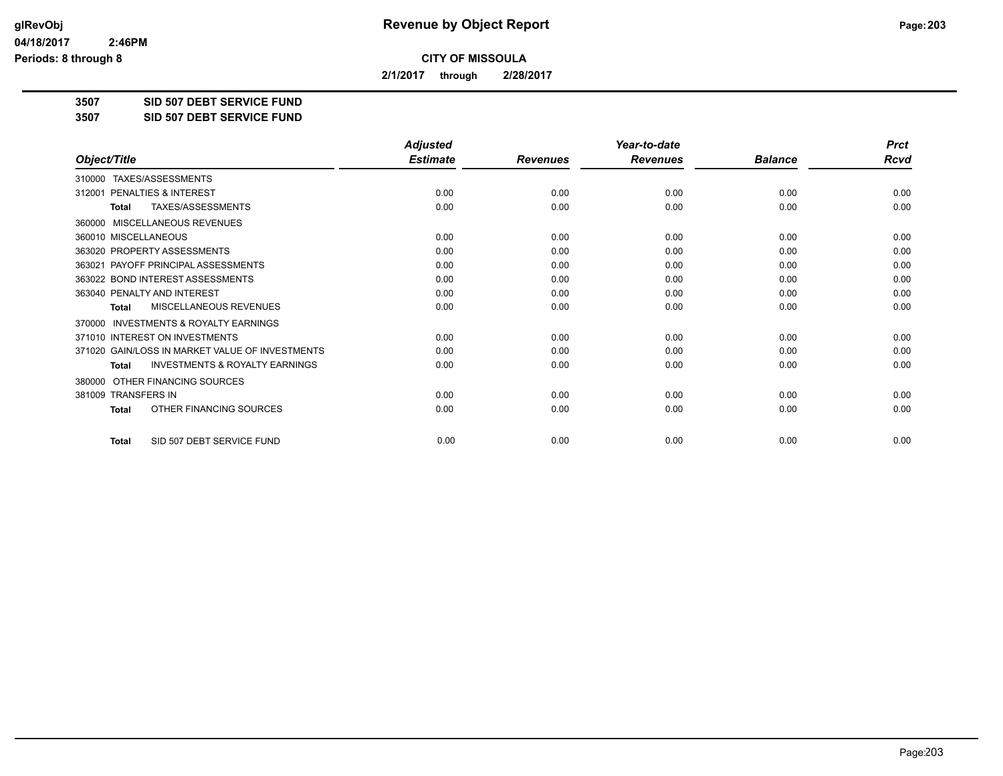**2/1/2017 through 2/28/2017**

**3507 SID 507 DEBT SERVICE FUND**

**3507 SID 507 DEBT SERVICE FUND**

|                                                           | <b>Adjusted</b> |                 | Year-to-date    |                | <b>Prct</b> |
|-----------------------------------------------------------|-----------------|-----------------|-----------------|----------------|-------------|
| Object/Title                                              | <b>Estimate</b> | <b>Revenues</b> | <b>Revenues</b> | <b>Balance</b> | Rcvd        |
| 310000 TAXES/ASSESSMENTS                                  |                 |                 |                 |                |             |
| <b>PENALTIES &amp; INTEREST</b><br>312001                 | 0.00            | 0.00            | 0.00            | 0.00           | 0.00        |
| <b>TAXES/ASSESSMENTS</b><br><b>Total</b>                  | 0.00            | 0.00            | 0.00            | 0.00           | 0.00        |
| 360000 MISCELLANEOUS REVENUES                             |                 |                 |                 |                |             |
| 360010 MISCELLANEOUS                                      | 0.00            | 0.00            | 0.00            | 0.00           | 0.00        |
| 363020 PROPERTY ASSESSMENTS                               | 0.00            | 0.00            | 0.00            | 0.00           | 0.00        |
| 363021 PAYOFF PRINCIPAL ASSESSMENTS                       | 0.00            | 0.00            | 0.00            | 0.00           | 0.00        |
| 363022 BOND INTEREST ASSESSMENTS                          | 0.00            | 0.00            | 0.00            | 0.00           | 0.00        |
| 363040 PENALTY AND INTEREST                               | 0.00            | 0.00            | 0.00            | 0.00           | 0.00        |
| MISCELLANEOUS REVENUES<br>Total                           | 0.00            | 0.00            | 0.00            | 0.00           | 0.00        |
| <b>INVESTMENTS &amp; ROYALTY EARNINGS</b><br>370000       |                 |                 |                 |                |             |
| 371010 INTEREST ON INVESTMENTS                            | 0.00            | 0.00            | 0.00            | 0.00           | 0.00        |
| 371020 GAIN/LOSS IN MARKET VALUE OF INVESTMENTS           | 0.00            | 0.00            | 0.00            | 0.00           | 0.00        |
| <b>INVESTMENTS &amp; ROYALTY EARNINGS</b><br><b>Total</b> | 0.00            | 0.00            | 0.00            | 0.00           | 0.00        |
| OTHER FINANCING SOURCES<br>380000                         |                 |                 |                 |                |             |
| 381009 TRANSFERS IN                                       | 0.00            | 0.00            | 0.00            | 0.00           | 0.00        |
| OTHER FINANCING SOURCES<br><b>Total</b>                   | 0.00            | 0.00            | 0.00            | 0.00           | 0.00        |
| SID 507 DEBT SERVICE FUND<br><b>Total</b>                 | 0.00            | 0.00            | 0.00            | 0.00           | 0.00        |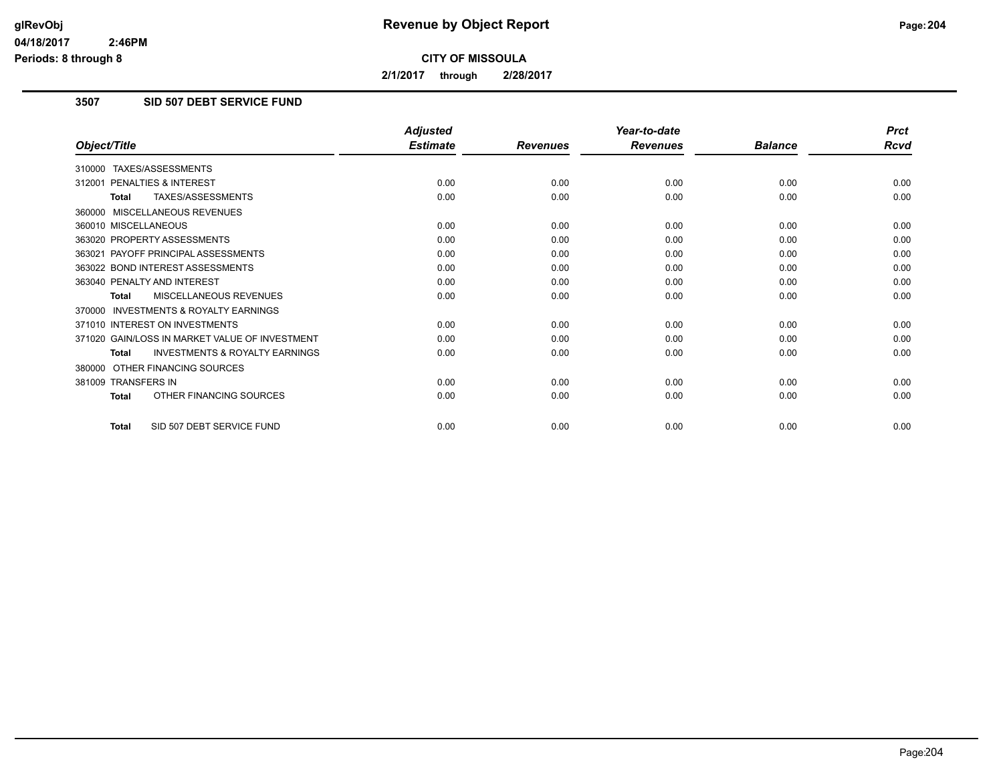**2/1/2017 through 2/28/2017**

## **3507 SID 507 DEBT SERVICE FUND**

|                                                     | <b>Adjusted</b> |                 | Year-to-date    |                | <b>Prct</b> |
|-----------------------------------------------------|-----------------|-----------------|-----------------|----------------|-------------|
| Object/Title                                        | <b>Estimate</b> | <b>Revenues</b> | <b>Revenues</b> | <b>Balance</b> | Rcvd        |
| 310000 TAXES/ASSESSMENTS                            |                 |                 |                 |                |             |
| 312001 PENALTIES & INTEREST                         | 0.00            | 0.00            | 0.00            | 0.00           | 0.00        |
| TAXES/ASSESSMENTS<br><b>Total</b>                   | 0.00            | 0.00            | 0.00            | 0.00           | 0.00        |
| 360000 MISCELLANEOUS REVENUES                       |                 |                 |                 |                |             |
| 360010 MISCELLANEOUS                                | 0.00            | 0.00            | 0.00            | 0.00           | 0.00        |
| 363020 PROPERTY ASSESSMENTS                         | 0.00            | 0.00            | 0.00            | 0.00           | 0.00        |
| 363021 PAYOFF PRINCIPAL ASSESSMENTS                 | 0.00            | 0.00            | 0.00            | 0.00           | 0.00        |
| 363022 BOND INTEREST ASSESSMENTS                    | 0.00            | 0.00            | 0.00            | 0.00           | 0.00        |
| 363040 PENALTY AND INTEREST                         | 0.00            | 0.00            | 0.00            | 0.00           | 0.00        |
| MISCELLANEOUS REVENUES<br>Total                     | 0.00            | 0.00            | 0.00            | 0.00           | 0.00        |
| <b>INVESTMENTS &amp; ROYALTY EARNINGS</b><br>370000 |                 |                 |                 |                |             |
| 371010 INTEREST ON INVESTMENTS                      | 0.00            | 0.00            | 0.00            | 0.00           | 0.00        |
| 371020 GAIN/LOSS IN MARKET VALUE OF INVESTMENT      | 0.00            | 0.00            | 0.00            | 0.00           | 0.00        |
| <b>INVESTMENTS &amp; ROYALTY EARNINGS</b><br>Total  | 0.00            | 0.00            | 0.00            | 0.00           | 0.00        |
| OTHER FINANCING SOURCES<br>380000                   |                 |                 |                 |                |             |
| 381009 TRANSFERS IN                                 | 0.00            | 0.00            | 0.00            | 0.00           | 0.00        |
| OTHER FINANCING SOURCES<br><b>Total</b>             | 0.00            | 0.00            | 0.00            | 0.00           | 0.00        |
| SID 507 DEBT SERVICE FUND<br><b>Total</b>           | 0.00            | 0.00            | 0.00            | 0.00           | 0.00        |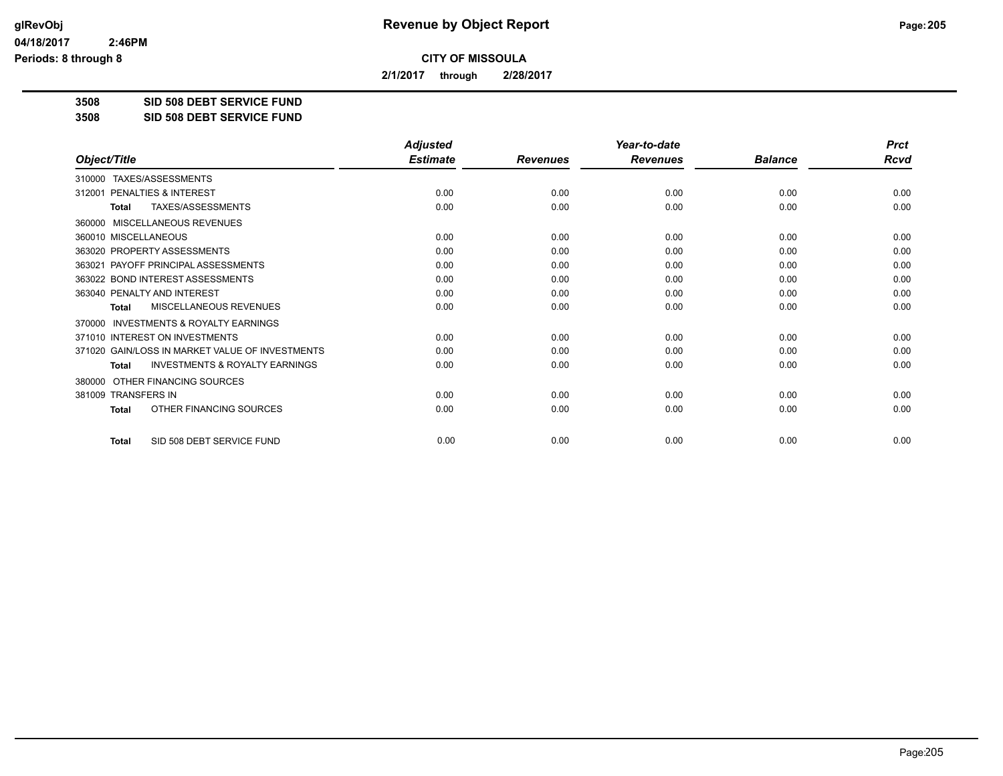**2/1/2017 through 2/28/2017**

**3508 SID 508 DEBT SERVICE FUND**

**3508 SID 508 DEBT SERVICE FUND**

|                                                           | <b>Adjusted</b> |                 | Year-to-date    |                | <b>Prct</b> |
|-----------------------------------------------------------|-----------------|-----------------|-----------------|----------------|-------------|
| Object/Title                                              | <b>Estimate</b> | <b>Revenues</b> | <b>Revenues</b> | <b>Balance</b> | Rcvd        |
| 310000 TAXES/ASSESSMENTS                                  |                 |                 |                 |                |             |
| <b>PENALTIES &amp; INTEREST</b><br>312001                 | 0.00            | 0.00            | 0.00            | 0.00           | 0.00        |
| <b>TAXES/ASSESSMENTS</b><br><b>Total</b>                  | 0.00            | 0.00            | 0.00            | 0.00           | 0.00        |
| 360000 MISCELLANEOUS REVENUES                             |                 |                 |                 |                |             |
| 360010 MISCELLANEOUS                                      | 0.00            | 0.00            | 0.00            | 0.00           | 0.00        |
| 363020 PROPERTY ASSESSMENTS                               | 0.00            | 0.00            | 0.00            | 0.00           | 0.00        |
| 363021 PAYOFF PRINCIPAL ASSESSMENTS                       | 0.00            | 0.00            | 0.00            | 0.00           | 0.00        |
| 363022 BOND INTEREST ASSESSMENTS                          | 0.00            | 0.00            | 0.00            | 0.00           | 0.00        |
| 363040 PENALTY AND INTEREST                               | 0.00            | 0.00            | 0.00            | 0.00           | 0.00        |
| MISCELLANEOUS REVENUES<br>Total                           | 0.00            | 0.00            | 0.00            | 0.00           | 0.00        |
| <b>INVESTMENTS &amp; ROYALTY EARNINGS</b><br>370000       |                 |                 |                 |                |             |
| 371010 INTEREST ON INVESTMENTS                            | 0.00            | 0.00            | 0.00            | 0.00           | 0.00        |
| 371020 GAIN/LOSS IN MARKET VALUE OF INVESTMENTS           | 0.00            | 0.00            | 0.00            | 0.00           | 0.00        |
| <b>INVESTMENTS &amp; ROYALTY EARNINGS</b><br><b>Total</b> | 0.00            | 0.00            | 0.00            | 0.00           | 0.00        |
| OTHER FINANCING SOURCES<br>380000                         |                 |                 |                 |                |             |
| 381009 TRANSFERS IN                                       | 0.00            | 0.00            | 0.00            | 0.00           | 0.00        |
| OTHER FINANCING SOURCES<br><b>Total</b>                   | 0.00            | 0.00            | 0.00            | 0.00           | 0.00        |
| SID 508 DEBT SERVICE FUND<br><b>Total</b>                 | 0.00            | 0.00            | 0.00            | 0.00           | 0.00        |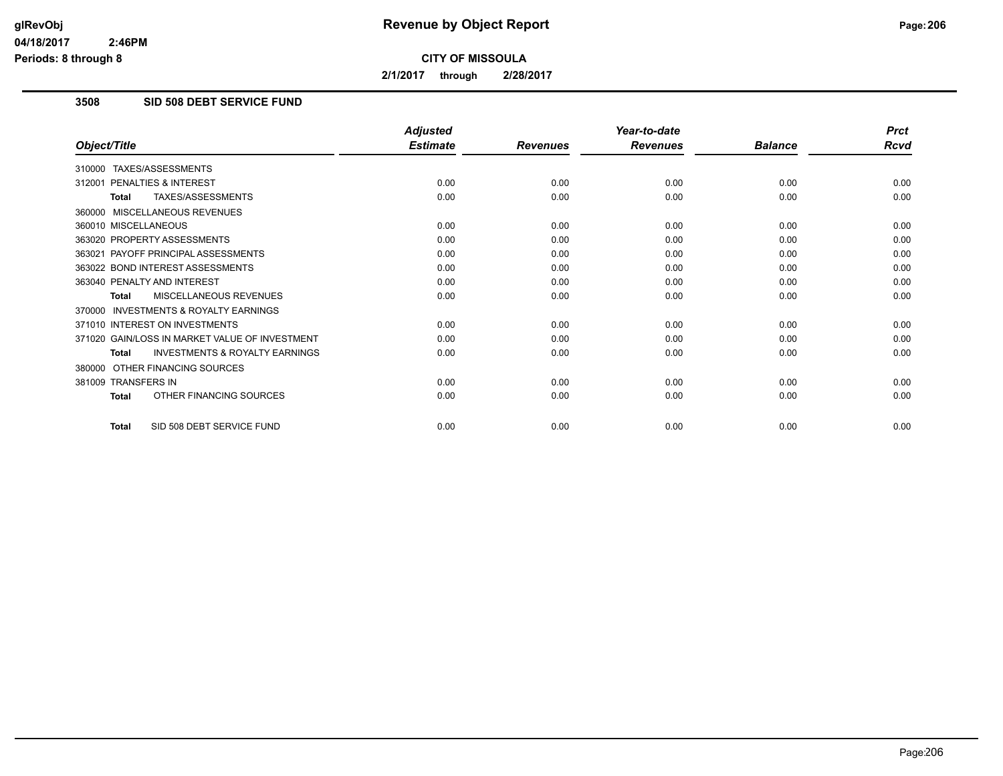**2/1/2017 through 2/28/2017**

### **3508 SID 508 DEBT SERVICE FUND**

|                                                           | <b>Adjusted</b> |                 | Year-to-date    |                | <b>Prct</b> |
|-----------------------------------------------------------|-----------------|-----------------|-----------------|----------------|-------------|
| Object/Title                                              | <b>Estimate</b> | <b>Revenues</b> | <b>Revenues</b> | <b>Balance</b> | Rcvd        |
| 310000 TAXES/ASSESSMENTS                                  |                 |                 |                 |                |             |
| PENALTIES & INTEREST<br>312001                            | 0.00            | 0.00            | 0.00            | 0.00           | 0.00        |
| TAXES/ASSESSMENTS<br><b>Total</b>                         | 0.00            | 0.00            | 0.00            | 0.00           | 0.00        |
| 360000 MISCELLANEOUS REVENUES                             |                 |                 |                 |                |             |
| 360010 MISCELLANEOUS                                      | 0.00            | 0.00            | 0.00            | 0.00           | 0.00        |
| 363020 PROPERTY ASSESSMENTS                               | 0.00            | 0.00            | 0.00            | 0.00           | 0.00        |
| 363021 PAYOFF PRINCIPAL ASSESSMENTS                       | 0.00            | 0.00            | 0.00            | 0.00           | 0.00        |
| 363022 BOND INTEREST ASSESSMENTS                          | 0.00            | 0.00            | 0.00            | 0.00           | 0.00        |
| 363040 PENALTY AND INTEREST                               | 0.00            | 0.00            | 0.00            | 0.00           | 0.00        |
| MISCELLANEOUS REVENUES<br><b>Total</b>                    | 0.00            | 0.00            | 0.00            | 0.00           | 0.00        |
| 370000 INVESTMENTS & ROYALTY EARNINGS                     |                 |                 |                 |                |             |
| 371010 INTEREST ON INVESTMENTS                            | 0.00            | 0.00            | 0.00            | 0.00           | 0.00        |
| 371020 GAIN/LOSS IN MARKET VALUE OF INVESTMENT            | 0.00            | 0.00            | 0.00            | 0.00           | 0.00        |
| <b>INVESTMENTS &amp; ROYALTY EARNINGS</b><br><b>Total</b> | 0.00            | 0.00            | 0.00            | 0.00           | 0.00        |
| 380000 OTHER FINANCING SOURCES                            |                 |                 |                 |                |             |
| 381009 TRANSFERS IN                                       | 0.00            | 0.00            | 0.00            | 0.00           | 0.00        |
| OTHER FINANCING SOURCES<br><b>Total</b>                   | 0.00            | 0.00            | 0.00            | 0.00           | 0.00        |
| SID 508 DEBT SERVICE FUND<br><b>Total</b>                 | 0.00            | 0.00            | 0.00            | 0.00           | 0.00        |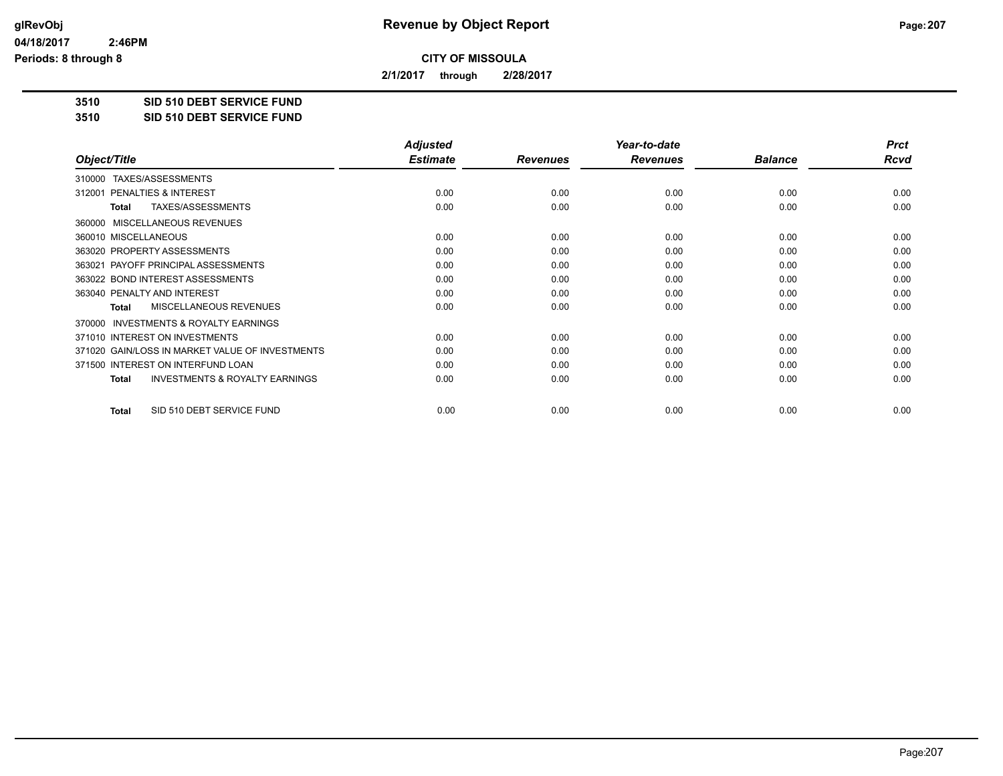**2/1/2017 through 2/28/2017**

**3510 SID 510 DEBT SERVICE FUND**

**3510 SID 510 DEBT SERVICE FUND**

|                                                           | <b>Adjusted</b> |                 | Year-to-date    |                | <b>Prct</b> |
|-----------------------------------------------------------|-----------------|-----------------|-----------------|----------------|-------------|
| Object/Title                                              | <b>Estimate</b> | <b>Revenues</b> | <b>Revenues</b> | <b>Balance</b> | Rcvd        |
| TAXES/ASSESSMENTS<br>310000                               |                 |                 |                 |                |             |
| 312001 PENALTIES & INTEREST                               | 0.00            | 0.00            | 0.00            | 0.00           | 0.00        |
| TAXES/ASSESSMENTS<br><b>Total</b>                         | 0.00            | 0.00            | 0.00            | 0.00           | 0.00        |
| 360000 MISCELLANEOUS REVENUES                             |                 |                 |                 |                |             |
| 360010 MISCELLANEOUS                                      | 0.00            | 0.00            | 0.00            | 0.00           | 0.00        |
| 363020 PROPERTY ASSESSMENTS                               | 0.00            | 0.00            | 0.00            | 0.00           | 0.00        |
| 363021 PAYOFF PRINCIPAL ASSESSMENTS                       | 0.00            | 0.00            | 0.00            | 0.00           | 0.00        |
| 363022 BOND INTEREST ASSESSMENTS                          | 0.00            | 0.00            | 0.00            | 0.00           | 0.00        |
| 363040 PENALTY AND INTEREST                               | 0.00            | 0.00            | 0.00            | 0.00           | 0.00        |
| MISCELLANEOUS REVENUES<br><b>Total</b>                    | 0.00            | 0.00            | 0.00            | 0.00           | 0.00        |
| <b>INVESTMENTS &amp; ROYALTY EARNINGS</b><br>370000       |                 |                 |                 |                |             |
| 371010 INTEREST ON INVESTMENTS                            | 0.00            | 0.00            | 0.00            | 0.00           | 0.00        |
| 371020 GAIN/LOSS IN MARKET VALUE OF INVESTMENTS           | 0.00            | 0.00            | 0.00            | 0.00           | 0.00        |
| 371500 INTEREST ON INTERFUND LOAN                         | 0.00            | 0.00            | 0.00            | 0.00           | 0.00        |
| <b>INVESTMENTS &amp; ROYALTY EARNINGS</b><br><b>Total</b> | 0.00            | 0.00            | 0.00            | 0.00           | 0.00        |
| SID 510 DEBT SERVICE FUND<br>Total                        | 0.00            | 0.00            | 0.00            | 0.00           | 0.00        |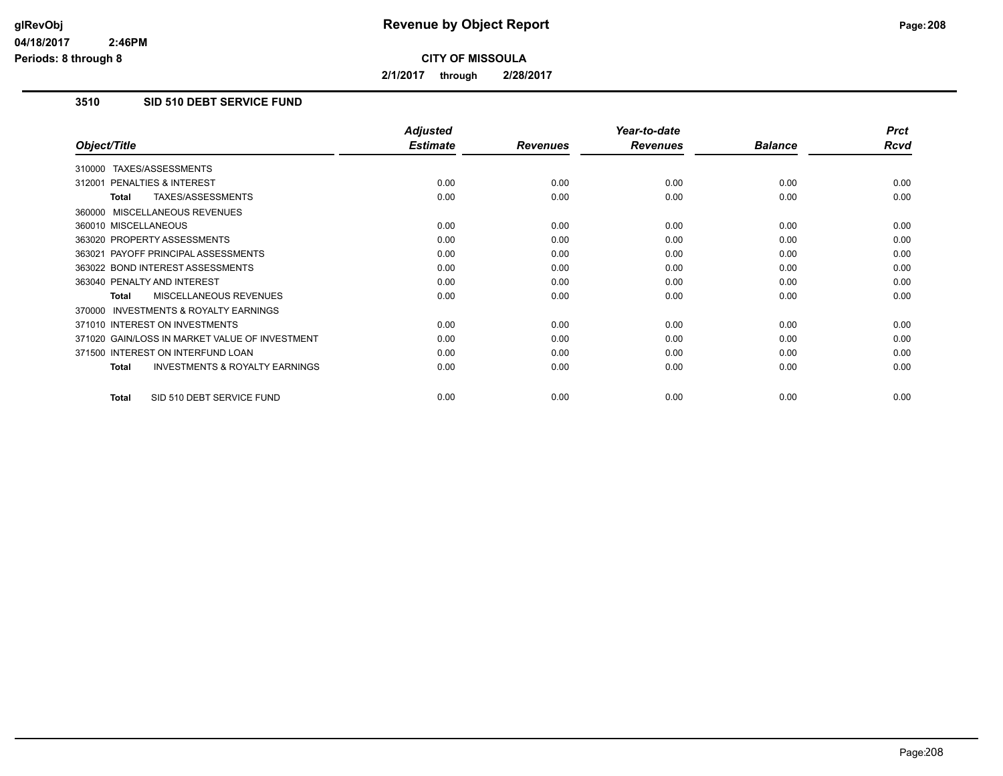**2/1/2017 through 2/28/2017**

# **3510 SID 510 DEBT SERVICE FUND**

|                                                           | <b>Adjusted</b> |                 | Year-to-date    |                | <b>Prct</b> |
|-----------------------------------------------------------|-----------------|-----------------|-----------------|----------------|-------------|
| Object/Title                                              | <b>Estimate</b> | <b>Revenues</b> | <b>Revenues</b> | <b>Balance</b> | <b>Rcvd</b> |
| TAXES/ASSESSMENTS<br>310000                               |                 |                 |                 |                |             |
| 312001 PENALTIES & INTEREST                               | 0.00            | 0.00            | 0.00            | 0.00           | 0.00        |
| TAXES/ASSESSMENTS<br><b>Total</b>                         | 0.00            | 0.00            | 0.00            | 0.00           | 0.00        |
| 360000 MISCELLANEOUS REVENUES                             |                 |                 |                 |                |             |
| 360010 MISCELLANEOUS                                      | 0.00            | 0.00            | 0.00            | 0.00           | 0.00        |
| 363020 PROPERTY ASSESSMENTS                               | 0.00            | 0.00            | 0.00            | 0.00           | 0.00        |
| 363021 PAYOFF PRINCIPAL ASSESSMENTS                       | 0.00            | 0.00            | 0.00            | 0.00           | 0.00        |
| 363022 BOND INTEREST ASSESSMENTS                          | 0.00            | 0.00            | 0.00            | 0.00           | 0.00        |
| 363040 PENALTY AND INTEREST                               | 0.00            | 0.00            | 0.00            | 0.00           | 0.00        |
| MISCELLANEOUS REVENUES<br><b>Total</b>                    | 0.00            | 0.00            | 0.00            | 0.00           | 0.00        |
| <b>INVESTMENTS &amp; ROYALTY EARNINGS</b><br>370000       |                 |                 |                 |                |             |
| 371010 INTEREST ON INVESTMENTS                            | 0.00            | 0.00            | 0.00            | 0.00           | 0.00        |
| 371020 GAIN/LOSS IN MARKET VALUE OF INVESTMENT            | 0.00            | 0.00            | 0.00            | 0.00           | 0.00        |
| 371500 INTEREST ON INTERFUND LOAN                         | 0.00            | 0.00            | 0.00            | 0.00           | 0.00        |
| <b>INVESTMENTS &amp; ROYALTY EARNINGS</b><br><b>Total</b> | 0.00            | 0.00            | 0.00            | 0.00           | 0.00        |
| SID 510 DEBT SERVICE FUND<br><b>Total</b>                 | 0.00            | 0.00            | 0.00            | 0.00           | 0.00        |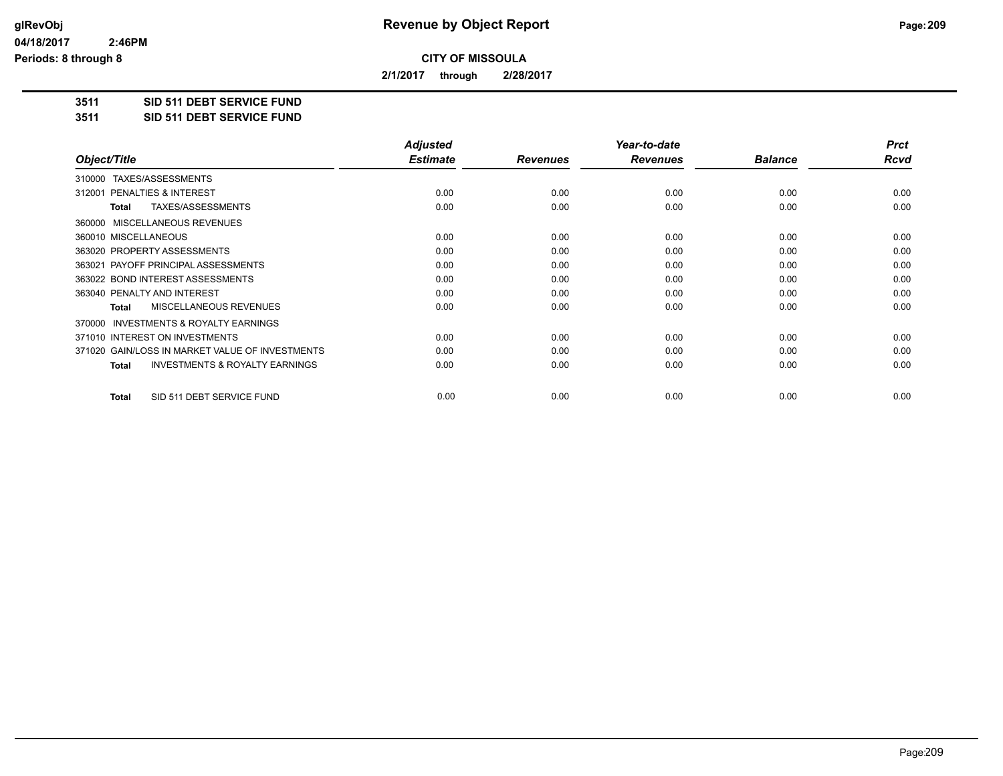**2/1/2017 through 2/28/2017**

**3511 SID 511 DEBT SERVICE FUND**

**3511 SID 511 DEBT SERVICE FUND**

|                                                           | <b>Adjusted</b> |                 | Year-to-date    |                | <b>Prct</b> |
|-----------------------------------------------------------|-----------------|-----------------|-----------------|----------------|-------------|
| Object/Title                                              | <b>Estimate</b> | <b>Revenues</b> | <b>Revenues</b> | <b>Balance</b> | <b>Rcvd</b> |
| 310000 TAXES/ASSESSMENTS                                  |                 |                 |                 |                |             |
| 312001 PENALTIES & INTEREST                               | 0.00            | 0.00            | 0.00            | 0.00           | 0.00        |
| TAXES/ASSESSMENTS<br><b>Total</b>                         | 0.00            | 0.00            | 0.00            | 0.00           | 0.00        |
| 360000 MISCELLANEOUS REVENUES                             |                 |                 |                 |                |             |
| 360010 MISCELLANEOUS                                      | 0.00            | 0.00            | 0.00            | 0.00           | 0.00        |
| 363020 PROPERTY ASSESSMENTS                               | 0.00            | 0.00            | 0.00            | 0.00           | 0.00        |
| 363021 PAYOFF PRINCIPAL ASSESSMENTS                       | 0.00            | 0.00            | 0.00            | 0.00           | 0.00        |
| 363022 BOND INTEREST ASSESSMENTS                          | 0.00            | 0.00            | 0.00            | 0.00           | 0.00        |
| 363040 PENALTY AND INTEREST                               | 0.00            | 0.00            | 0.00            | 0.00           | 0.00        |
| MISCELLANEOUS REVENUES<br><b>Total</b>                    | 0.00            | 0.00            | 0.00            | 0.00           | 0.00        |
| <b>INVESTMENTS &amp; ROYALTY EARNINGS</b><br>370000       |                 |                 |                 |                |             |
| 371010 INTEREST ON INVESTMENTS                            | 0.00            | 0.00            | 0.00            | 0.00           | 0.00        |
| 371020 GAIN/LOSS IN MARKET VALUE OF INVESTMENTS           | 0.00            | 0.00            | 0.00            | 0.00           | 0.00        |
| <b>INVESTMENTS &amp; ROYALTY EARNINGS</b><br><b>Total</b> | 0.00            | 0.00            | 0.00            | 0.00           | 0.00        |
| SID 511 DEBT SERVICE FUND<br><b>Total</b>                 | 0.00            | 0.00            | 0.00            | 0.00           | 0.00        |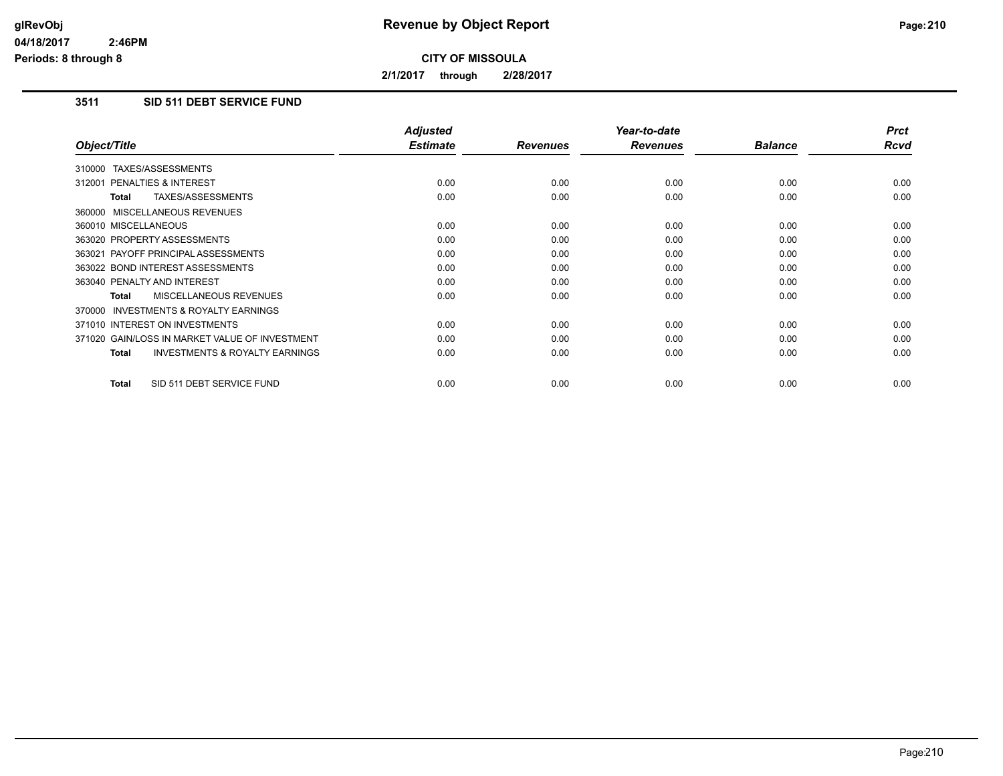**2/1/2017 through 2/28/2017**

# **3511 SID 511 DEBT SERVICE FUND**

|                                                     | <b>Adjusted</b> |                 | Year-to-date    |                | <b>Prct</b> |
|-----------------------------------------------------|-----------------|-----------------|-----------------|----------------|-------------|
| Object/Title                                        | <b>Estimate</b> | <b>Revenues</b> | <b>Revenues</b> | <b>Balance</b> | Rcvd        |
| 310000 TAXES/ASSESSMENTS                            |                 |                 |                 |                |             |
| 312001 PENALTIES & INTEREST                         | 0.00            | 0.00            | 0.00            | 0.00           | 0.00        |
| TAXES/ASSESSMENTS<br>Total                          | 0.00            | 0.00            | 0.00            | 0.00           | 0.00        |
| 360000 MISCELLANEOUS REVENUES                       |                 |                 |                 |                |             |
| 360010 MISCELLANEOUS                                | 0.00            | 0.00            | 0.00            | 0.00           | 0.00        |
| 363020 PROPERTY ASSESSMENTS                         | 0.00            | 0.00            | 0.00            | 0.00           | 0.00        |
| 363021 PAYOFF PRINCIPAL ASSESSMENTS                 | 0.00            | 0.00            | 0.00            | 0.00           | 0.00        |
| 363022 BOND INTEREST ASSESSMENTS                    | 0.00            | 0.00            | 0.00            | 0.00           | 0.00        |
| 363040 PENALTY AND INTEREST                         | 0.00            | 0.00            | 0.00            | 0.00           | 0.00        |
| MISCELLANEOUS REVENUES<br>Total                     | 0.00            | 0.00            | 0.00            | 0.00           | 0.00        |
| <b>INVESTMENTS &amp; ROYALTY EARNINGS</b><br>370000 |                 |                 |                 |                |             |
| 371010 INTEREST ON INVESTMENTS                      | 0.00            | 0.00            | 0.00            | 0.00           | 0.00        |
| 371020 GAIN/LOSS IN MARKET VALUE OF INVESTMENT      | 0.00            | 0.00            | 0.00            | 0.00           | 0.00        |
| <b>INVESTMENTS &amp; ROYALTY EARNINGS</b><br>Total  | 0.00            | 0.00            | 0.00            | 0.00           | 0.00        |
| SID 511 DEBT SERVICE FUND<br><b>Total</b>           | 0.00            | 0.00            | 0.00            | 0.00           | 0.00        |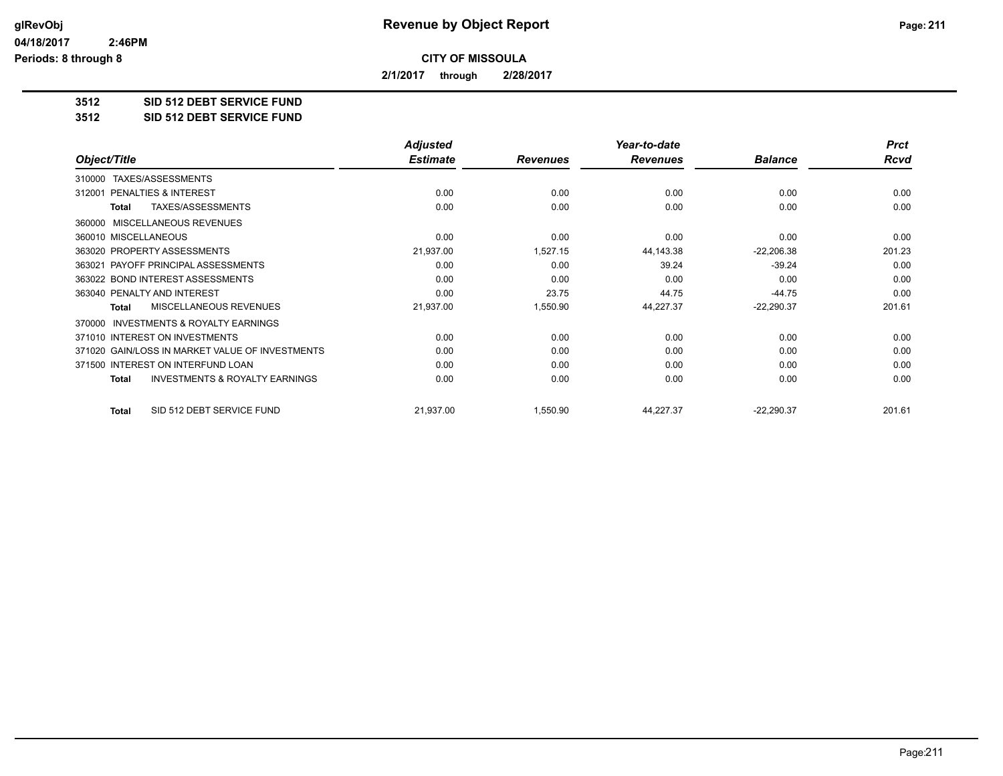**2/1/2017 through 2/28/2017**

**3512 SID 512 DEBT SERVICE FUND**

**3512 SID 512 DEBT SERVICE FUND**

|                                                     | <b>Adjusted</b> |                 | Year-to-date    |                | <b>Prct</b> |
|-----------------------------------------------------|-----------------|-----------------|-----------------|----------------|-------------|
| Object/Title                                        | <b>Estimate</b> | <b>Revenues</b> | <b>Revenues</b> | <b>Balance</b> | <b>Rcvd</b> |
| TAXES/ASSESSMENTS<br>310000                         |                 |                 |                 |                |             |
| 312001 PENALTIES & INTEREST                         | 0.00            | 0.00            | 0.00            | 0.00           | 0.00        |
| TAXES/ASSESSMENTS<br><b>Total</b>                   | 0.00            | 0.00            | 0.00            | 0.00           | 0.00        |
| 360000 MISCELLANEOUS REVENUES                       |                 |                 |                 |                |             |
| 360010 MISCELLANEOUS                                | 0.00            | 0.00            | 0.00            | 0.00           | 0.00        |
| 363020 PROPERTY ASSESSMENTS                         | 21,937.00       | 1,527.15        | 44,143.38       | $-22,206.38$   | 201.23      |
| 363021 PAYOFF PRINCIPAL ASSESSMENTS                 | 0.00            | 0.00            | 39.24           | $-39.24$       | 0.00        |
| 363022 BOND INTEREST ASSESSMENTS                    | 0.00            | 0.00            | 0.00            | 0.00           | 0.00        |
| 363040 PENALTY AND INTEREST                         | 0.00            | 23.75           | 44.75           | $-44.75$       | 0.00        |
| MISCELLANEOUS REVENUES<br>Total                     | 21,937.00       | 1,550.90        | 44,227.37       | $-22,290.37$   | 201.61      |
| <b>INVESTMENTS &amp; ROYALTY EARNINGS</b><br>370000 |                 |                 |                 |                |             |
| 371010 INTEREST ON INVESTMENTS                      | 0.00            | 0.00            | 0.00            | 0.00           | 0.00        |
| 371020 GAIN/LOSS IN MARKET VALUE OF INVESTMENTS     | 0.00            | 0.00            | 0.00            | 0.00           | 0.00        |
| 371500 INTEREST ON INTERFUND LOAN                   | 0.00            | 0.00            | 0.00            | 0.00           | 0.00        |
| <b>INVESTMENTS &amp; ROYALTY EARNINGS</b><br>Total  | 0.00            | 0.00            | 0.00            | 0.00           | 0.00        |
| SID 512 DEBT SERVICE FUND<br>Total                  | 21,937.00       | 1,550.90        | 44,227.37       | $-22,290.37$   | 201.61      |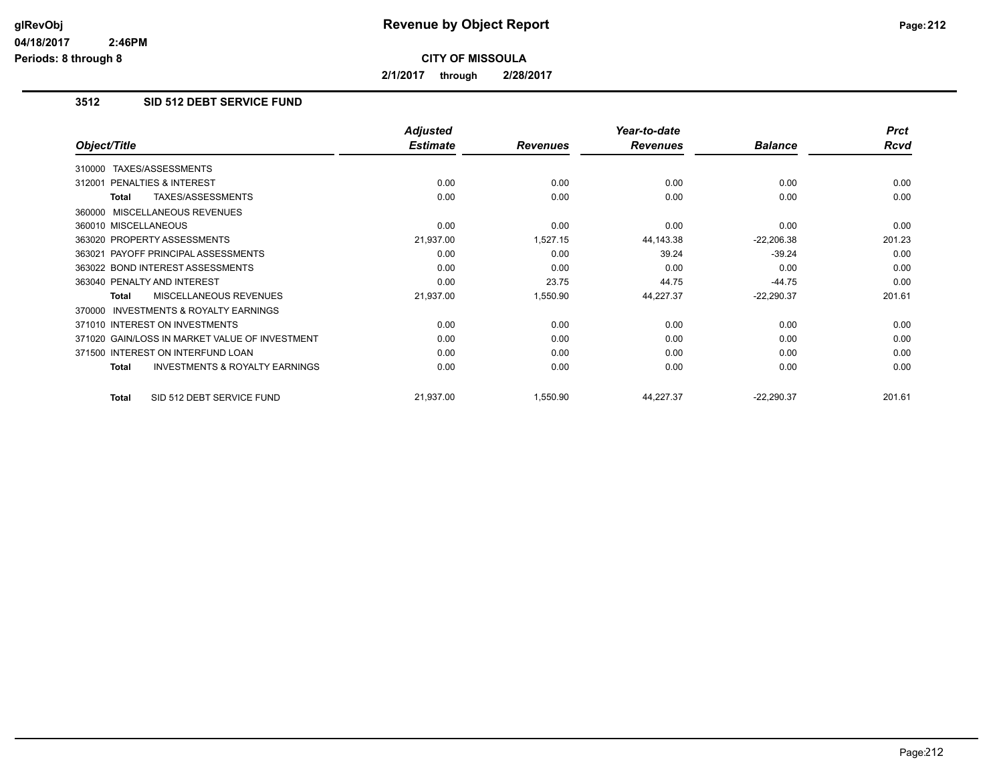**2/1/2017 through 2/28/2017**

# **3512 SID 512 DEBT SERVICE FUND**

|                                                           | <b>Adjusted</b> |                 | Year-to-date    |                | <b>Prct</b> |
|-----------------------------------------------------------|-----------------|-----------------|-----------------|----------------|-------------|
| Object/Title                                              | <b>Estimate</b> | <b>Revenues</b> | <b>Revenues</b> | <b>Balance</b> | Rcvd        |
| TAXES/ASSESSMENTS<br>310000                               |                 |                 |                 |                |             |
| <b>PENALTIES &amp; INTEREST</b><br>312001                 | 0.00            | 0.00            | 0.00            | 0.00           | 0.00        |
| TAXES/ASSESSMENTS<br><b>Total</b>                         | 0.00            | 0.00            | 0.00            | 0.00           | 0.00        |
| 360000 MISCELLANEOUS REVENUES                             |                 |                 |                 |                |             |
| 360010 MISCELLANEOUS                                      | 0.00            | 0.00            | 0.00            | 0.00           | 0.00        |
| 363020 PROPERTY ASSESSMENTS                               | 21,937.00       | 1,527.15        | 44,143.38       | $-22,206.38$   | 201.23      |
| 363021 PAYOFF PRINCIPAL ASSESSMENTS                       | 0.00            | 0.00            | 39.24           | $-39.24$       | 0.00        |
| 363022 BOND INTEREST ASSESSMENTS                          | 0.00            | 0.00            | 0.00            | 0.00           | 0.00        |
| 363040 PENALTY AND INTEREST                               | 0.00            | 23.75           | 44.75           | $-44.75$       | 0.00        |
| MISCELLANEOUS REVENUES<br>Total                           | 21,937.00       | 1,550.90        | 44,227.37       | $-22,290.37$   | 201.61      |
| 370000 INVESTMENTS & ROYALTY EARNINGS                     |                 |                 |                 |                |             |
| 371010 INTEREST ON INVESTMENTS                            | 0.00            | 0.00            | 0.00            | 0.00           | 0.00        |
| 371020 GAIN/LOSS IN MARKET VALUE OF INVESTMENT            | 0.00            | 0.00            | 0.00            | 0.00           | 0.00        |
| 371500 INTEREST ON INTERFUND LOAN                         | 0.00            | 0.00            | 0.00            | 0.00           | 0.00        |
| <b>INVESTMENTS &amp; ROYALTY EARNINGS</b><br><b>Total</b> | 0.00            | 0.00            | 0.00            | 0.00           | 0.00        |
| SID 512 DEBT SERVICE FUND<br><b>Total</b>                 | 21,937.00       | 1,550.90        | 44,227.37       | $-22,290.37$   | 201.61      |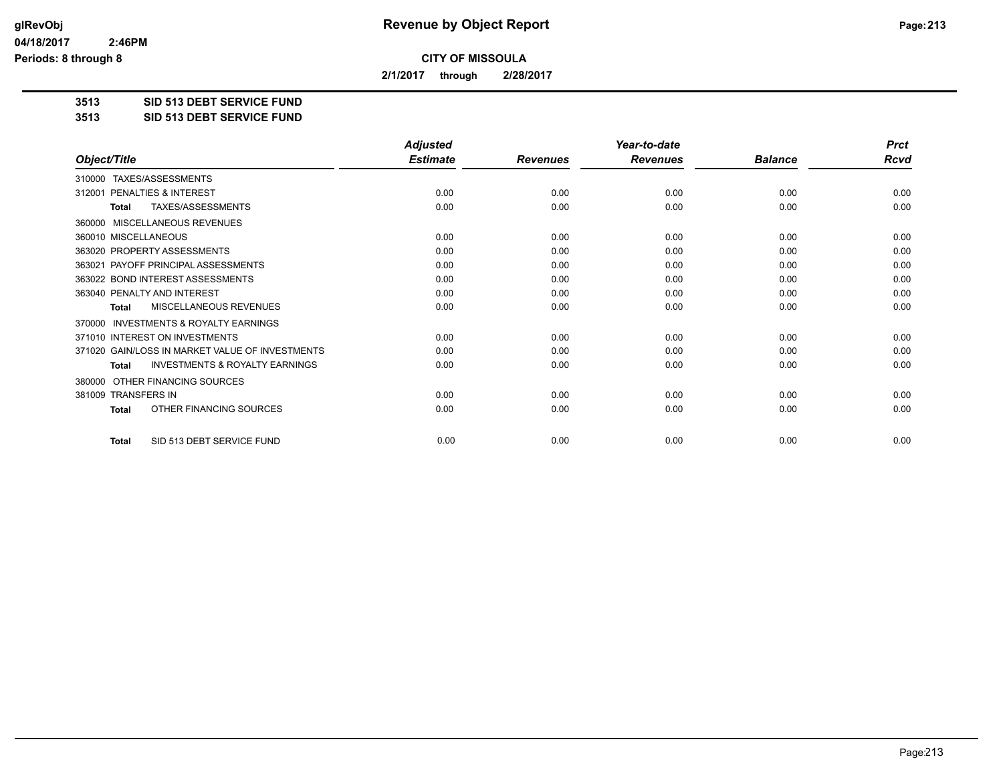**2/1/2017 through 2/28/2017**

**3513 SID 513 DEBT SERVICE FUND**

**3513 SID 513 DEBT SERVICE FUND**

|                                                     | <b>Adjusted</b> |                 | Year-to-date    |                | <b>Prct</b> |
|-----------------------------------------------------|-----------------|-----------------|-----------------|----------------|-------------|
| Object/Title                                        | <b>Estimate</b> | <b>Revenues</b> | <b>Revenues</b> | <b>Balance</b> | <b>Rcvd</b> |
| TAXES/ASSESSMENTS<br>310000                         |                 |                 |                 |                |             |
| PENALTIES & INTEREST<br>312001                      | 0.00            | 0.00            | 0.00            | 0.00           | 0.00        |
| TAXES/ASSESSMENTS<br><b>Total</b>                   | 0.00            | 0.00            | 0.00            | 0.00           | 0.00        |
| 360000 MISCELLANEOUS REVENUES                       |                 |                 |                 |                |             |
| 360010 MISCELLANEOUS                                | 0.00            | 0.00            | 0.00            | 0.00           | 0.00        |
| 363020 PROPERTY ASSESSMENTS                         | 0.00            | 0.00            | 0.00            | 0.00           | 0.00        |
| 363021 PAYOFF PRINCIPAL ASSESSMENTS                 | 0.00            | 0.00            | 0.00            | 0.00           | 0.00        |
| 363022 BOND INTEREST ASSESSMENTS                    | 0.00            | 0.00            | 0.00            | 0.00           | 0.00        |
| 363040 PENALTY AND INTEREST                         | 0.00            | 0.00            | 0.00            | 0.00           | 0.00        |
| MISCELLANEOUS REVENUES<br>Total                     | 0.00            | 0.00            | 0.00            | 0.00           | 0.00        |
| <b>INVESTMENTS &amp; ROYALTY EARNINGS</b><br>370000 |                 |                 |                 |                |             |
| 371010 INTEREST ON INVESTMENTS                      | 0.00            | 0.00            | 0.00            | 0.00           | 0.00        |
| 371020 GAIN/LOSS IN MARKET VALUE OF INVESTMENTS     | 0.00            | 0.00            | 0.00            | 0.00           | 0.00        |
| <b>INVESTMENTS &amp; ROYALTY EARNINGS</b><br>Total  | 0.00            | 0.00            | 0.00            | 0.00           | 0.00        |
| OTHER FINANCING SOURCES<br>380000                   |                 |                 |                 |                |             |
| 381009 TRANSFERS IN                                 | 0.00            | 0.00            | 0.00            | 0.00           | 0.00        |
| OTHER FINANCING SOURCES<br>Total                    | 0.00            | 0.00            | 0.00            | 0.00           | 0.00        |
| SID 513 DEBT SERVICE FUND<br><b>Total</b>           | 0.00            | 0.00            | 0.00            | 0.00           | 0.00        |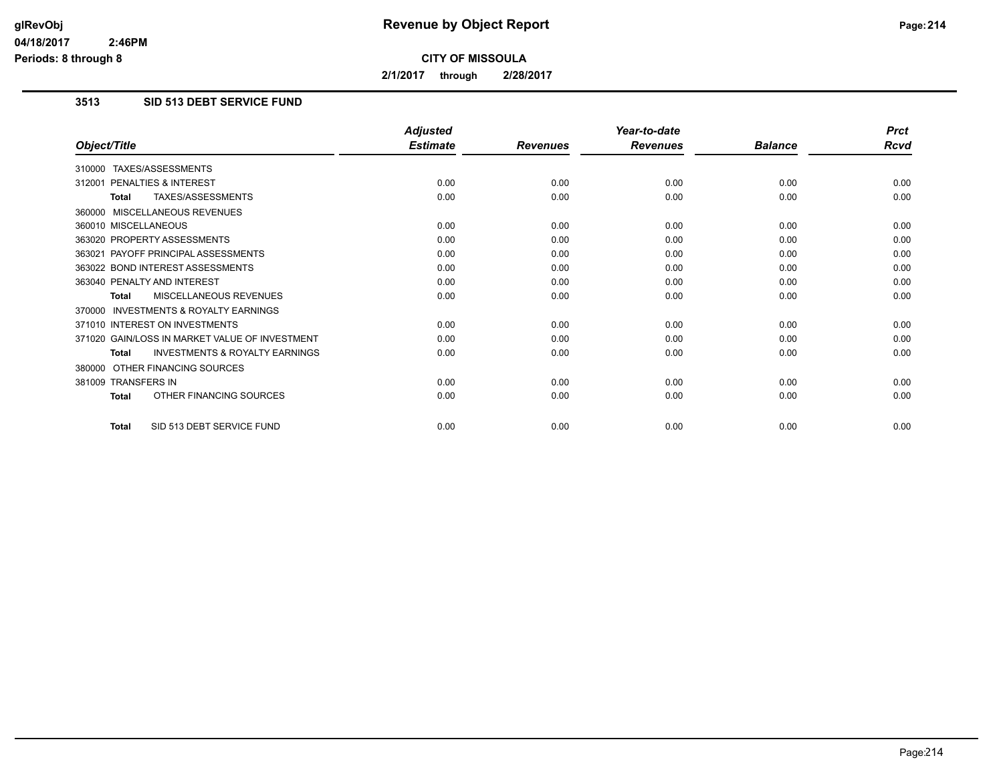**2/1/2017 through 2/28/2017**

# **3513 SID 513 DEBT SERVICE FUND**

|                                                           | <b>Adjusted</b> |                 | Year-to-date    |                | <b>Prct</b> |
|-----------------------------------------------------------|-----------------|-----------------|-----------------|----------------|-------------|
| Object/Title                                              | <b>Estimate</b> | <b>Revenues</b> | <b>Revenues</b> | <b>Balance</b> | Rcvd        |
| 310000 TAXES/ASSESSMENTS                                  |                 |                 |                 |                |             |
| 312001 PENALTIES & INTEREST                               | 0.00            | 0.00            | 0.00            | 0.00           | 0.00        |
| TAXES/ASSESSMENTS<br>Total                                | 0.00            | 0.00            | 0.00            | 0.00           | 0.00        |
| 360000 MISCELLANEOUS REVENUES                             |                 |                 |                 |                |             |
| 360010 MISCELLANEOUS                                      | 0.00            | 0.00            | 0.00            | 0.00           | 0.00        |
| 363020 PROPERTY ASSESSMENTS                               | 0.00            | 0.00            | 0.00            | 0.00           | 0.00        |
| 363021 PAYOFF PRINCIPAL ASSESSMENTS                       | 0.00            | 0.00            | 0.00            | 0.00           | 0.00        |
| 363022 BOND INTEREST ASSESSMENTS                          | 0.00            | 0.00            | 0.00            | 0.00           | 0.00        |
| 363040 PENALTY AND INTEREST                               | 0.00            | 0.00            | 0.00            | 0.00           | 0.00        |
| MISCELLANEOUS REVENUES<br>Total                           | 0.00            | 0.00            | 0.00            | 0.00           | 0.00        |
| <b>INVESTMENTS &amp; ROYALTY EARNINGS</b><br>370000       |                 |                 |                 |                |             |
| 371010 INTEREST ON INVESTMENTS                            | 0.00            | 0.00            | 0.00            | 0.00           | 0.00        |
| 371020 GAIN/LOSS IN MARKET VALUE OF INVESTMENT            | 0.00            | 0.00            | 0.00            | 0.00           | 0.00        |
| <b>INVESTMENTS &amp; ROYALTY EARNINGS</b><br><b>Total</b> | 0.00            | 0.00            | 0.00            | 0.00           | 0.00        |
| OTHER FINANCING SOURCES<br>380000                         |                 |                 |                 |                |             |
| 381009 TRANSFERS IN                                       | 0.00            | 0.00            | 0.00            | 0.00           | 0.00        |
| OTHER FINANCING SOURCES<br>Total                          | 0.00            | 0.00            | 0.00            | 0.00           | 0.00        |
| SID 513 DEBT SERVICE FUND<br><b>Total</b>                 | 0.00            | 0.00            | 0.00            | 0.00           | 0.00        |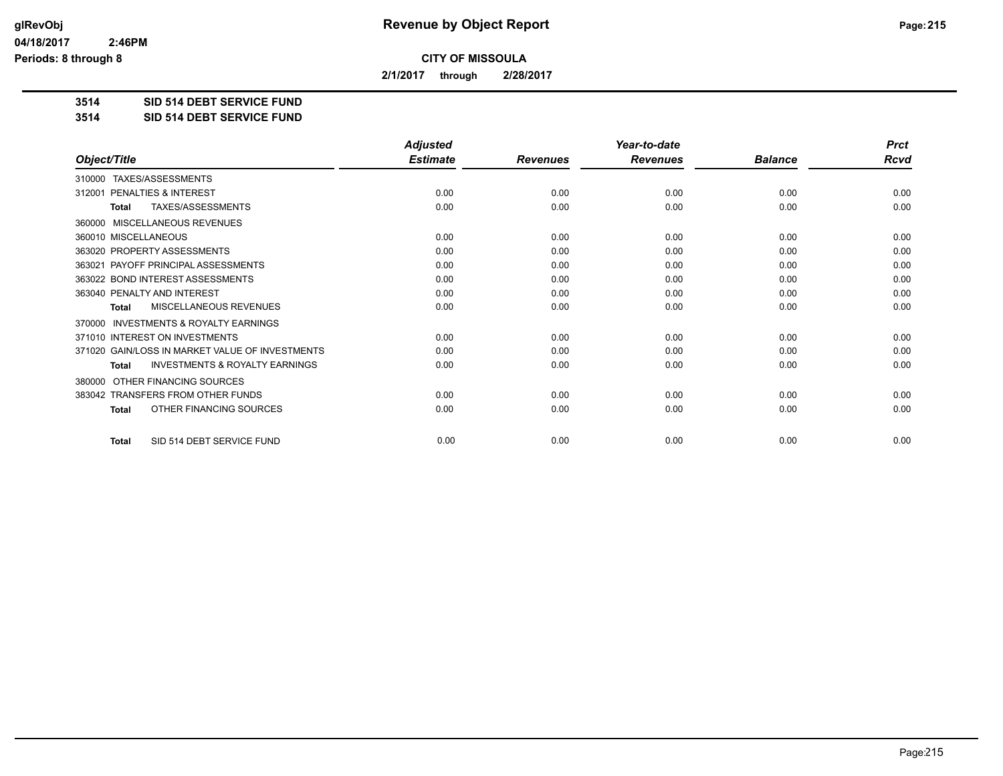**2/1/2017 through 2/28/2017**

**3514 SID 514 DEBT SERVICE FUND**

**3514 SID 514 DEBT SERVICE FUND**

|                                                     | <b>Adjusted</b> |                 | Year-to-date    |                |      |  |
|-----------------------------------------------------|-----------------|-----------------|-----------------|----------------|------|--|
| Object/Title                                        | <b>Estimate</b> | <b>Revenues</b> | <b>Revenues</b> | <b>Balance</b> | Rcvd |  |
| 310000 TAXES/ASSESSMENTS                            |                 |                 |                 |                |      |  |
| PENALTIES & INTEREST<br>312001                      | 0.00            | 0.00            | 0.00            | 0.00           | 0.00 |  |
| TAXES/ASSESSMENTS<br><b>Total</b>                   | 0.00            | 0.00            | 0.00            | 0.00           | 0.00 |  |
| 360000 MISCELLANEOUS REVENUES                       |                 |                 |                 |                |      |  |
| 360010 MISCELLANEOUS                                | 0.00            | 0.00            | 0.00            | 0.00           | 0.00 |  |
| 363020 PROPERTY ASSESSMENTS                         | 0.00            | 0.00            | 0.00            | 0.00           | 0.00 |  |
| 363021 PAYOFF PRINCIPAL ASSESSMENTS                 | 0.00            | 0.00            | 0.00            | 0.00           | 0.00 |  |
| 363022 BOND INTEREST ASSESSMENTS                    | 0.00            | 0.00            | 0.00            | 0.00           | 0.00 |  |
| 363040 PENALTY AND INTEREST                         | 0.00            | 0.00            | 0.00            | 0.00           | 0.00 |  |
| MISCELLANEOUS REVENUES<br>Total                     | 0.00            | 0.00            | 0.00            | 0.00           | 0.00 |  |
| <b>INVESTMENTS &amp; ROYALTY EARNINGS</b><br>370000 |                 |                 |                 |                |      |  |
| 371010 INTEREST ON INVESTMENTS                      | 0.00            | 0.00            | 0.00            | 0.00           | 0.00 |  |
| 371020 GAIN/LOSS IN MARKET VALUE OF INVESTMENTS     | 0.00            | 0.00            | 0.00            | 0.00           | 0.00 |  |
| <b>INVESTMENTS &amp; ROYALTY EARNINGS</b><br>Total  | 0.00            | 0.00            | 0.00            | 0.00           | 0.00 |  |
| OTHER FINANCING SOURCES<br>380000                   |                 |                 |                 |                |      |  |
| 383042 TRANSFERS FROM OTHER FUNDS                   | 0.00            | 0.00            | 0.00            | 0.00           | 0.00 |  |
| OTHER FINANCING SOURCES<br><b>Total</b>             | 0.00            | 0.00            | 0.00            | 0.00           | 0.00 |  |
| SID 514 DEBT SERVICE FUND<br><b>Total</b>           | 0.00            | 0.00            | 0.00            | 0.00           | 0.00 |  |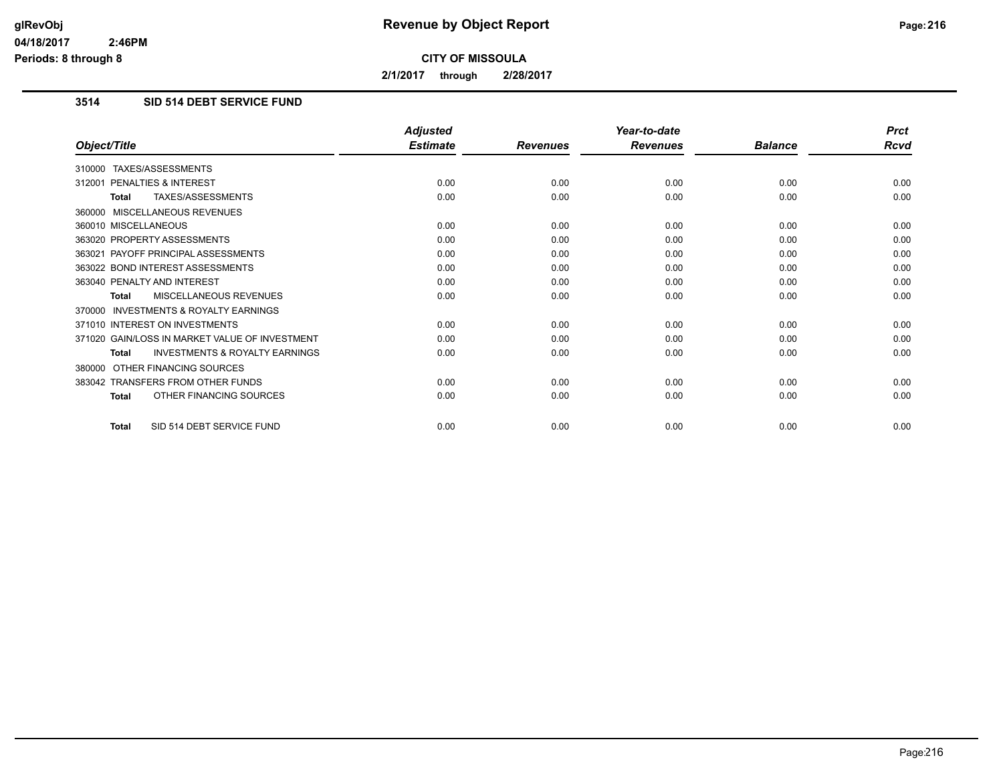**2/1/2017 through 2/28/2017**

# **3514 SID 514 DEBT SERVICE FUND**

|                                                           | <b>Adjusted</b> |                 | Year-to-date    |                | <b>Prct</b> |
|-----------------------------------------------------------|-----------------|-----------------|-----------------|----------------|-------------|
| Object/Title                                              | <b>Estimate</b> | <b>Revenues</b> | <b>Revenues</b> | <b>Balance</b> | Rcvd        |
| 310000 TAXES/ASSESSMENTS                                  |                 |                 |                 |                |             |
| 312001 PENALTIES & INTEREST                               | 0.00            | 0.00            | 0.00            | 0.00           | 0.00        |
| TAXES/ASSESSMENTS<br><b>Total</b>                         | 0.00            | 0.00            | 0.00            | 0.00           | 0.00        |
| 360000 MISCELLANEOUS REVENUES                             |                 |                 |                 |                |             |
| 360010 MISCELLANEOUS                                      | 0.00            | 0.00            | 0.00            | 0.00           | 0.00        |
| 363020 PROPERTY ASSESSMENTS                               | 0.00            | 0.00            | 0.00            | 0.00           | 0.00        |
| 363021 PAYOFF PRINCIPAL ASSESSMENTS                       | 0.00            | 0.00            | 0.00            | 0.00           | 0.00        |
| 363022 BOND INTEREST ASSESSMENTS                          | 0.00            | 0.00            | 0.00            | 0.00           | 0.00        |
| 363040 PENALTY AND INTEREST                               | 0.00            | 0.00            | 0.00            | 0.00           | 0.00        |
| MISCELLANEOUS REVENUES<br><b>Total</b>                    | 0.00            | 0.00            | 0.00            | 0.00           | 0.00        |
| <b>INVESTMENTS &amp; ROYALTY EARNINGS</b><br>370000       |                 |                 |                 |                |             |
| 371010 INTEREST ON INVESTMENTS                            | 0.00            | 0.00            | 0.00            | 0.00           | 0.00        |
| 371020 GAIN/LOSS IN MARKET VALUE OF INVESTMENT            | 0.00            | 0.00            | 0.00            | 0.00           | 0.00        |
| <b>INVESTMENTS &amp; ROYALTY EARNINGS</b><br><b>Total</b> | 0.00            | 0.00            | 0.00            | 0.00           | 0.00        |
| OTHER FINANCING SOURCES<br>380000                         |                 |                 |                 |                |             |
| 383042 TRANSFERS FROM OTHER FUNDS                         | 0.00            | 0.00            | 0.00            | 0.00           | 0.00        |
| OTHER FINANCING SOURCES<br><b>Total</b>                   | 0.00            | 0.00            | 0.00            | 0.00           | 0.00        |
| SID 514 DEBT SERVICE FUND<br><b>Total</b>                 | 0.00            | 0.00            | 0.00            | 0.00           | 0.00        |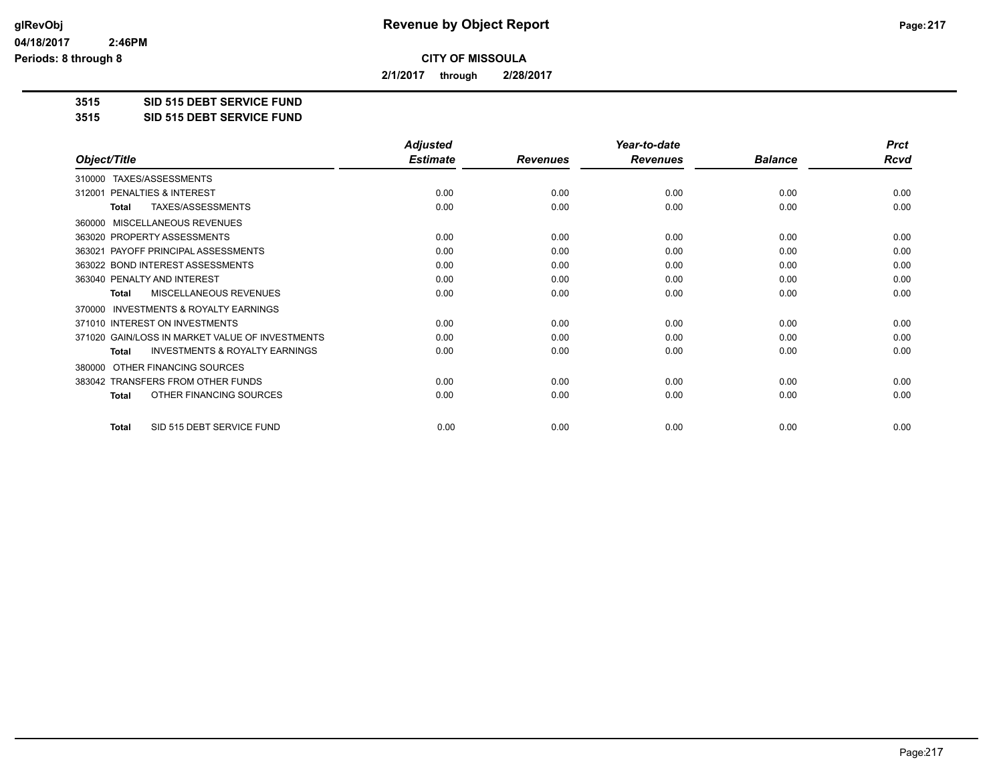**2/1/2017 through 2/28/2017**

**3515 SID 515 DEBT SERVICE FUND**

**3515 SID 515 DEBT SERVICE FUND**

|                                                           | <b>Adjusted</b> |                 | Year-to-date    |                | <b>Prct</b> |
|-----------------------------------------------------------|-----------------|-----------------|-----------------|----------------|-------------|
| Object/Title                                              | <b>Estimate</b> | <b>Revenues</b> | <b>Revenues</b> | <b>Balance</b> | Rcvd        |
| TAXES/ASSESSMENTS<br>310000                               |                 |                 |                 |                |             |
| <b>PENALTIES &amp; INTEREST</b><br>312001                 | 0.00            | 0.00            | 0.00            | 0.00           | 0.00        |
| TAXES/ASSESSMENTS<br><b>Total</b>                         | 0.00            | 0.00            | 0.00            | 0.00           | 0.00        |
| 360000 MISCELLANEOUS REVENUES                             |                 |                 |                 |                |             |
| 363020 PROPERTY ASSESSMENTS                               | 0.00            | 0.00            | 0.00            | 0.00           | 0.00        |
| 363021 PAYOFF PRINCIPAL ASSESSMENTS                       | 0.00            | 0.00            | 0.00            | 0.00           | 0.00        |
| 363022 BOND INTEREST ASSESSMENTS                          | 0.00            | 0.00            | 0.00            | 0.00           | 0.00        |
| 363040 PENALTY AND INTEREST                               | 0.00            | 0.00            | 0.00            | 0.00           | 0.00        |
| MISCELLANEOUS REVENUES<br><b>Total</b>                    | 0.00            | 0.00            | 0.00            | 0.00           | 0.00        |
| <b>INVESTMENTS &amp; ROYALTY EARNINGS</b><br>370000       |                 |                 |                 |                |             |
| 371010 INTEREST ON INVESTMENTS                            | 0.00            | 0.00            | 0.00            | 0.00           | 0.00        |
| 371020 GAIN/LOSS IN MARKET VALUE OF INVESTMENTS           | 0.00            | 0.00            | 0.00            | 0.00           | 0.00        |
| <b>INVESTMENTS &amp; ROYALTY EARNINGS</b><br><b>Total</b> | 0.00            | 0.00            | 0.00            | 0.00           | 0.00        |
| OTHER FINANCING SOURCES<br>380000                         |                 |                 |                 |                |             |
| 383042 TRANSFERS FROM OTHER FUNDS                         | 0.00            | 0.00            | 0.00            | 0.00           | 0.00        |
| OTHER FINANCING SOURCES<br><b>Total</b>                   | 0.00            | 0.00            | 0.00            | 0.00           | 0.00        |
|                                                           |                 |                 |                 |                | 0.00        |
| SID 515 DEBT SERVICE FUND<br><b>Total</b>                 | 0.00            | 0.00            | 0.00            | 0.00           |             |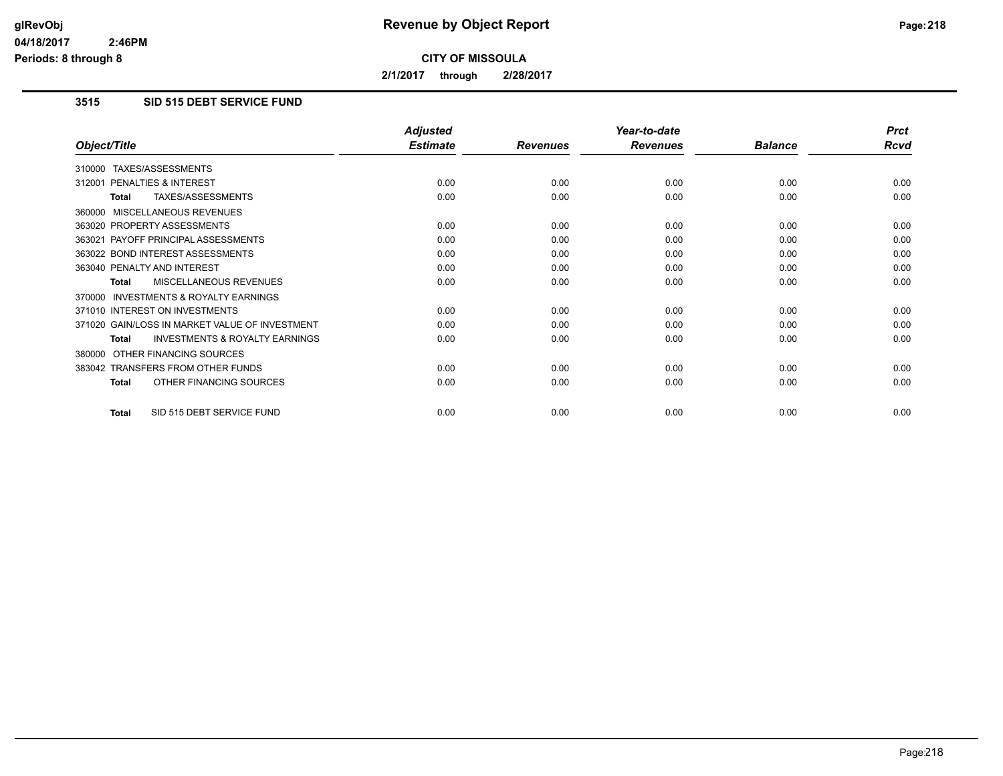**2/1/2017 through 2/28/2017**

#### **3515 SID 515 DEBT SERVICE FUND**

|                                                           | <b>Adjusted</b> |                 | Year-to-date    |                | <b>Prct</b> |
|-----------------------------------------------------------|-----------------|-----------------|-----------------|----------------|-------------|
| Object/Title                                              | <b>Estimate</b> | <b>Revenues</b> | <b>Revenues</b> | <b>Balance</b> | <b>Rcvd</b> |
| TAXES/ASSESSMENTS<br>310000                               |                 |                 |                 |                |             |
| 312001 PENALTIES & INTEREST                               | 0.00            | 0.00            | 0.00            | 0.00           | 0.00        |
| TAXES/ASSESSMENTS<br><b>Total</b>                         | 0.00            | 0.00            | 0.00            | 0.00           | 0.00        |
| <b>MISCELLANEOUS REVENUES</b><br>360000                   |                 |                 |                 |                |             |
| 363020 PROPERTY ASSESSMENTS                               | 0.00            | 0.00            | 0.00            | 0.00           | 0.00        |
| 363021 PAYOFF PRINCIPAL ASSESSMENTS                       | 0.00            | 0.00            | 0.00            | 0.00           | 0.00        |
| 363022 BOND INTEREST ASSESSMENTS                          | 0.00            | 0.00            | 0.00            | 0.00           | 0.00        |
| 363040 PENALTY AND INTEREST                               | 0.00            | 0.00            | 0.00            | 0.00           | 0.00        |
| <b>MISCELLANEOUS REVENUES</b><br>Total                    | 0.00            | 0.00            | 0.00            | 0.00           | 0.00        |
| <b>INVESTMENTS &amp; ROYALTY EARNINGS</b><br>370000       |                 |                 |                 |                |             |
| 371010 INTEREST ON INVESTMENTS                            | 0.00            | 0.00            | 0.00            | 0.00           | 0.00        |
| 371020 GAIN/LOSS IN MARKET VALUE OF INVESTMENT            | 0.00            | 0.00            | 0.00            | 0.00           | 0.00        |
| <b>INVESTMENTS &amp; ROYALTY EARNINGS</b><br><b>Total</b> | 0.00            | 0.00            | 0.00            | 0.00           | 0.00        |
| OTHER FINANCING SOURCES<br>380000                         |                 |                 |                 |                |             |
| 383042 TRANSFERS FROM OTHER FUNDS                         | 0.00            | 0.00            | 0.00            | 0.00           | 0.00        |
| OTHER FINANCING SOURCES<br>Total                          | 0.00            | 0.00            | 0.00            | 0.00           | 0.00        |
| SID 515 DEBT SERVICE FUND<br><b>Total</b>                 | 0.00            | 0.00            | 0.00            | 0.00           | 0.00        |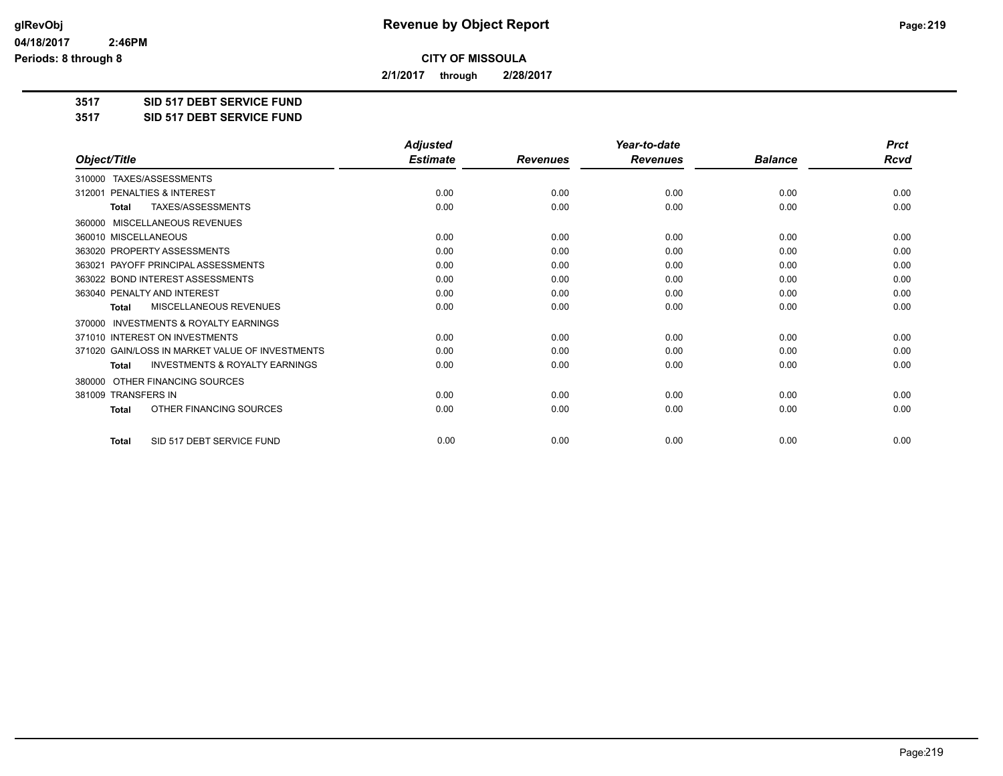**2/1/2017 through 2/28/2017**

**3517 SID 517 DEBT SERVICE FUND**

**3517 SID 517 DEBT SERVICE FUND**

|                                                    | <b>Adjusted</b> |                 | Year-to-date    |                |      |  |
|----------------------------------------------------|-----------------|-----------------|-----------------|----------------|------|--|
| Object/Title                                       | <b>Estimate</b> | <b>Revenues</b> | <b>Revenues</b> | <b>Balance</b> | Rcvd |  |
| 310000 TAXES/ASSESSMENTS                           |                 |                 |                 |                |      |  |
| PENALTIES & INTEREST<br>312001                     | 0.00            | 0.00            | 0.00            | 0.00           | 0.00 |  |
| TAXES/ASSESSMENTS<br>Total                         | 0.00            | 0.00            | 0.00            | 0.00           | 0.00 |  |
| 360000 MISCELLANEOUS REVENUES                      |                 |                 |                 |                |      |  |
| 360010 MISCELLANEOUS                               | 0.00            | 0.00            | 0.00            | 0.00           | 0.00 |  |
| 363020 PROPERTY ASSESSMENTS                        | 0.00            | 0.00            | 0.00            | 0.00           | 0.00 |  |
| 363021 PAYOFF PRINCIPAL ASSESSMENTS                | 0.00            | 0.00            | 0.00            | 0.00           | 0.00 |  |
| 363022 BOND INTEREST ASSESSMENTS                   | 0.00            | 0.00            | 0.00            | 0.00           | 0.00 |  |
| 363040 PENALTY AND INTEREST                        | 0.00            | 0.00            | 0.00            | 0.00           | 0.00 |  |
| MISCELLANEOUS REVENUES<br>Total                    | 0.00            | 0.00            | 0.00            | 0.00           | 0.00 |  |
| 370000 INVESTMENTS & ROYALTY EARNINGS              |                 |                 |                 |                |      |  |
| 371010 INTEREST ON INVESTMENTS                     | 0.00            | 0.00            | 0.00            | 0.00           | 0.00 |  |
| 371020 GAIN/LOSS IN MARKET VALUE OF INVESTMENTS    | 0.00            | 0.00            | 0.00            | 0.00           | 0.00 |  |
| <b>INVESTMENTS &amp; ROYALTY EARNINGS</b><br>Total | 0.00            | 0.00            | 0.00            | 0.00           | 0.00 |  |
| 380000 OTHER FINANCING SOURCES                     |                 |                 |                 |                |      |  |
| 381009 TRANSFERS IN                                | 0.00            | 0.00            | 0.00            | 0.00           | 0.00 |  |
| OTHER FINANCING SOURCES<br><b>Total</b>            | 0.00            | 0.00            | 0.00            | 0.00           | 0.00 |  |
| SID 517 DEBT SERVICE FUND<br><b>Total</b>          | 0.00            | 0.00            | 0.00            | 0.00           | 0.00 |  |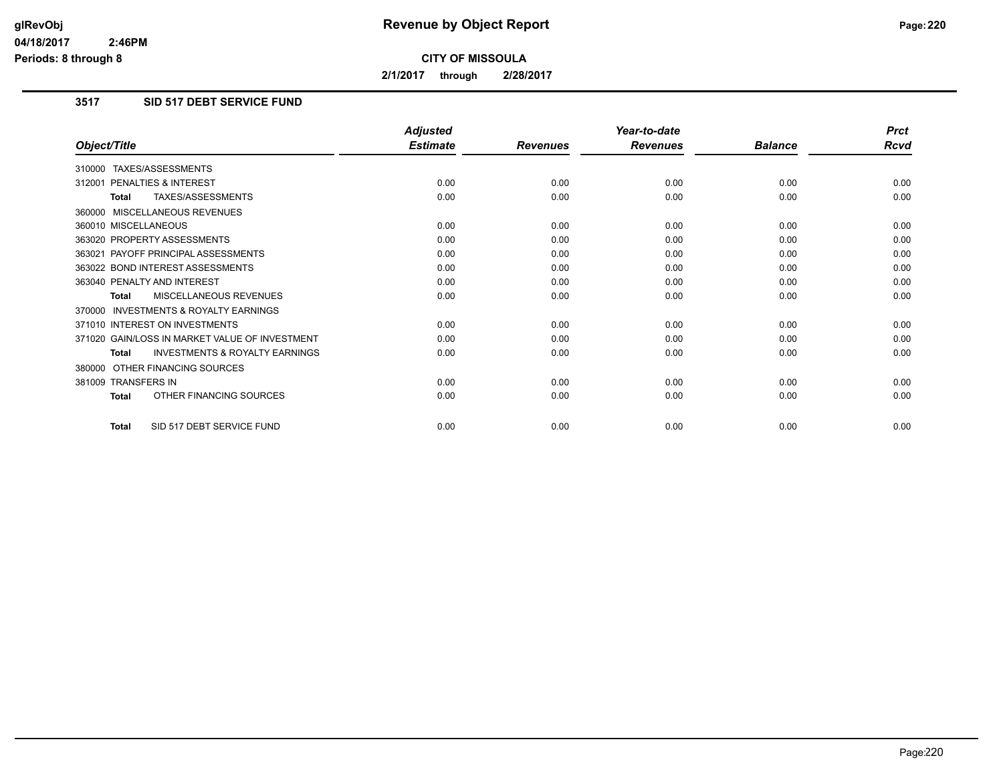**2/1/2017 through 2/28/2017**

#### **3517 SID 517 DEBT SERVICE FUND**

|                                                           | <b>Adjusted</b> |                 | Year-to-date    |                | <b>Prct</b> |
|-----------------------------------------------------------|-----------------|-----------------|-----------------|----------------|-------------|
| Object/Title                                              | <b>Estimate</b> | <b>Revenues</b> | <b>Revenues</b> | <b>Balance</b> | Rcvd        |
| 310000 TAXES/ASSESSMENTS                                  |                 |                 |                 |                |             |
| PENALTIES & INTEREST<br>312001                            | 0.00            | 0.00            | 0.00            | 0.00           | 0.00        |
| TAXES/ASSESSMENTS<br><b>Total</b>                         | 0.00            | 0.00            | 0.00            | 0.00           | 0.00        |
| 360000 MISCELLANEOUS REVENUES                             |                 |                 |                 |                |             |
| 360010 MISCELLANEOUS                                      | 0.00            | 0.00            | 0.00            | 0.00           | 0.00        |
| 363020 PROPERTY ASSESSMENTS                               | 0.00            | 0.00            | 0.00            | 0.00           | 0.00        |
| 363021 PAYOFF PRINCIPAL ASSESSMENTS                       | 0.00            | 0.00            | 0.00            | 0.00           | 0.00        |
| 363022 BOND INTEREST ASSESSMENTS                          | 0.00            | 0.00            | 0.00            | 0.00           | 0.00        |
| 363040 PENALTY AND INTEREST                               | 0.00            | 0.00            | 0.00            | 0.00           | 0.00        |
| MISCELLANEOUS REVENUES<br><b>Total</b>                    | 0.00            | 0.00            | 0.00            | 0.00           | 0.00        |
| 370000 INVESTMENTS & ROYALTY EARNINGS                     |                 |                 |                 |                |             |
| 371010 INTEREST ON INVESTMENTS                            | 0.00            | 0.00            | 0.00            | 0.00           | 0.00        |
| 371020 GAIN/LOSS IN MARKET VALUE OF INVESTMENT            | 0.00            | 0.00            | 0.00            | 0.00           | 0.00        |
| <b>INVESTMENTS &amp; ROYALTY EARNINGS</b><br><b>Total</b> | 0.00            | 0.00            | 0.00            | 0.00           | 0.00        |
| 380000 OTHER FINANCING SOURCES                            |                 |                 |                 |                |             |
| 381009 TRANSFERS IN                                       | 0.00            | 0.00            | 0.00            | 0.00           | 0.00        |
| OTHER FINANCING SOURCES<br><b>Total</b>                   | 0.00            | 0.00            | 0.00            | 0.00           | 0.00        |
| SID 517 DEBT SERVICE FUND<br><b>Total</b>                 | 0.00            | 0.00            | 0.00            | 0.00           | 0.00        |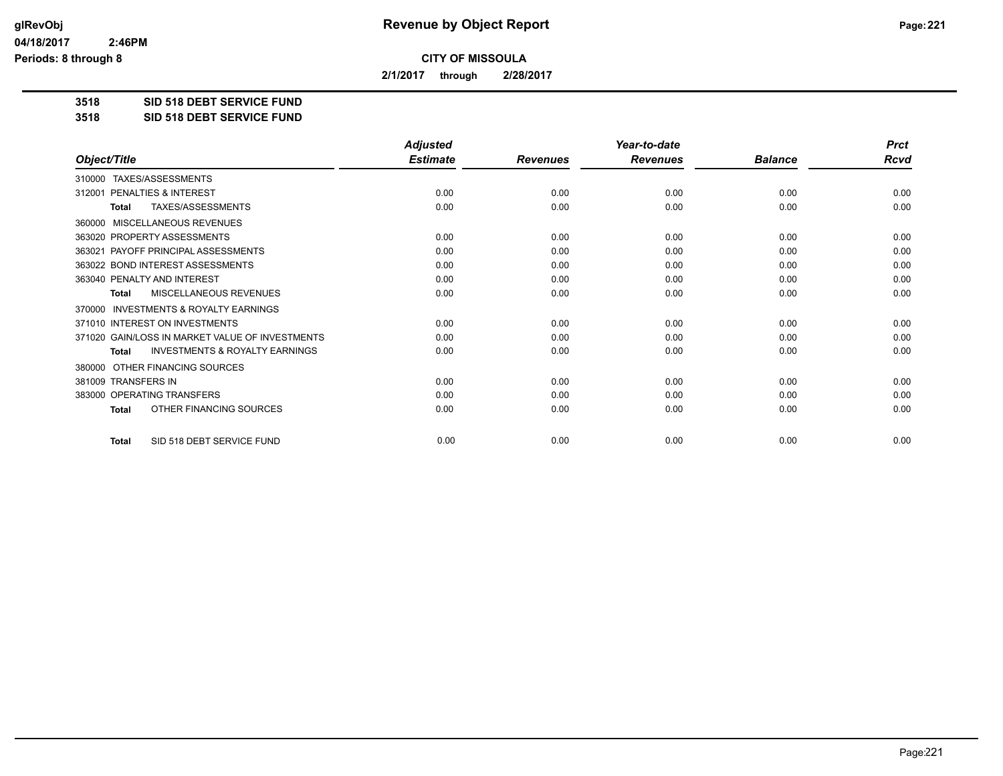**2/1/2017 through 2/28/2017**

**3518 SID 518 DEBT SERVICE FUND**

**3518 SID 518 DEBT SERVICE FUND**

|                                                    | <b>Adjusted</b> |                 | Year-to-date    |                | <b>Prct</b> |
|----------------------------------------------------|-----------------|-----------------|-----------------|----------------|-------------|
| Object/Title                                       | <b>Estimate</b> | <b>Revenues</b> | <b>Revenues</b> | <b>Balance</b> | Rcvd        |
| 310000 TAXES/ASSESSMENTS                           |                 |                 |                 |                |             |
| PENALTIES & INTEREST<br>312001                     | 0.00            | 0.00            | 0.00            | 0.00           | 0.00        |
| TAXES/ASSESSMENTS<br><b>Total</b>                  | 0.00            | 0.00            | 0.00            | 0.00           | 0.00        |
| 360000 MISCELLANEOUS REVENUES                      |                 |                 |                 |                |             |
| 363020 PROPERTY ASSESSMENTS                        | 0.00            | 0.00            | 0.00            | 0.00           | 0.00        |
| 363021 PAYOFF PRINCIPAL ASSESSMENTS                | 0.00            | 0.00            | 0.00            | 0.00           | 0.00        |
| 363022 BOND INTEREST ASSESSMENTS                   | 0.00            | 0.00            | 0.00            | 0.00           | 0.00        |
| 363040 PENALTY AND INTEREST                        | 0.00            | 0.00            | 0.00            | 0.00           | 0.00        |
| <b>MISCELLANEOUS REVENUES</b><br><b>Total</b>      | 0.00            | 0.00            | 0.00            | 0.00           | 0.00        |
| 370000 INVESTMENTS & ROYALTY EARNINGS              |                 |                 |                 |                |             |
| 371010 INTEREST ON INVESTMENTS                     | 0.00            | 0.00            | 0.00            | 0.00           | 0.00        |
| 371020 GAIN/LOSS IN MARKET VALUE OF INVESTMENTS    | 0.00            | 0.00            | 0.00            | 0.00           | 0.00        |
| <b>INVESTMENTS &amp; ROYALTY EARNINGS</b><br>Total | 0.00            | 0.00            | 0.00            | 0.00           | 0.00        |
| 380000 OTHER FINANCING SOURCES                     |                 |                 |                 |                |             |
| 381009 TRANSFERS IN                                | 0.00            | 0.00            | 0.00            | 0.00           | 0.00        |
| 383000 OPERATING TRANSFERS                         | 0.00            | 0.00            | 0.00            | 0.00           | 0.00        |
| OTHER FINANCING SOURCES<br><b>Total</b>            | 0.00            | 0.00            | 0.00            | 0.00           | 0.00        |
| SID 518 DEBT SERVICE FUND<br><b>Total</b>          | 0.00            | 0.00            | 0.00            | 0.00           | 0.00        |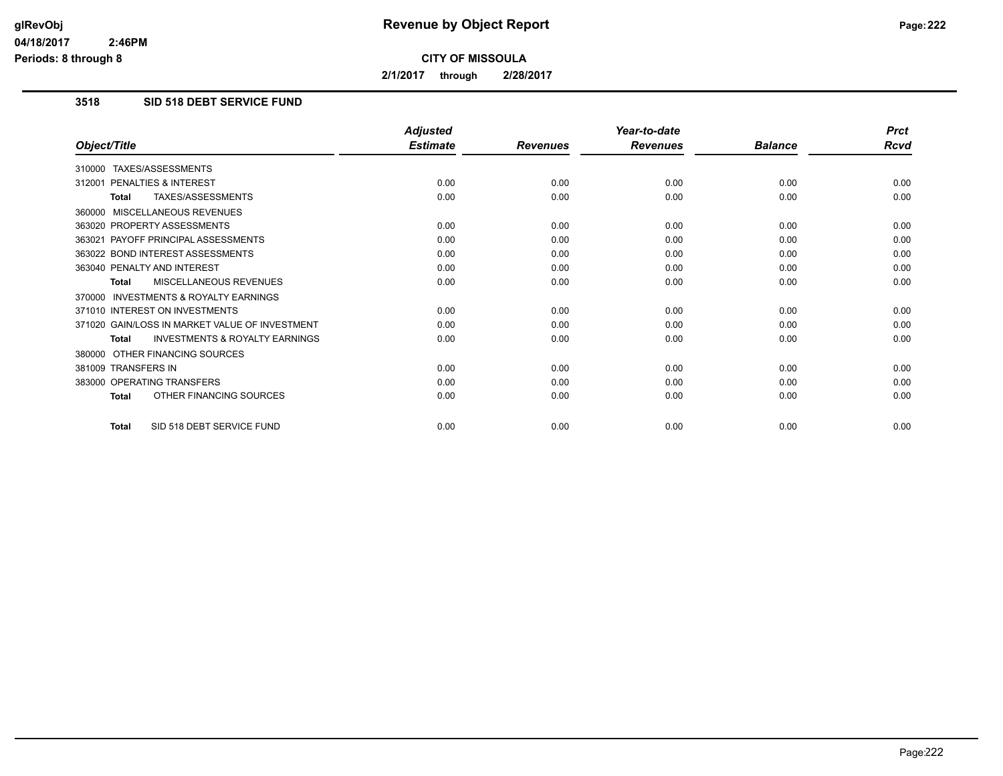**2/1/2017 through 2/28/2017**

#### **3518 SID 518 DEBT SERVICE FUND**

|                                                           | <b>Adjusted</b> |                 | Year-to-date    |                | <b>Prct</b> |
|-----------------------------------------------------------|-----------------|-----------------|-----------------|----------------|-------------|
| Object/Title                                              | <b>Estimate</b> | <b>Revenues</b> | <b>Revenues</b> | <b>Balance</b> | Rcvd        |
| 310000 TAXES/ASSESSMENTS                                  |                 |                 |                 |                |             |
| 312001 PENALTIES & INTEREST                               | 0.00            | 0.00            | 0.00            | 0.00           | 0.00        |
| TAXES/ASSESSMENTS<br><b>Total</b>                         | 0.00            | 0.00            | 0.00            | 0.00           | 0.00        |
| 360000 MISCELLANEOUS REVENUES                             |                 |                 |                 |                |             |
| 363020 PROPERTY ASSESSMENTS                               | 0.00            | 0.00            | 0.00            | 0.00           | 0.00        |
| 363021 PAYOFF PRINCIPAL ASSESSMENTS                       | 0.00            | 0.00            | 0.00            | 0.00           | 0.00        |
| 363022 BOND INTEREST ASSESSMENTS                          | 0.00            | 0.00            | 0.00            | 0.00           | 0.00        |
| 363040 PENALTY AND INTEREST                               | 0.00            | 0.00            | 0.00            | 0.00           | 0.00        |
| <b>MISCELLANEOUS REVENUES</b><br>Total                    | 0.00            | 0.00            | 0.00            | 0.00           | 0.00        |
| <b>INVESTMENTS &amp; ROYALTY EARNINGS</b><br>370000       |                 |                 |                 |                |             |
| 371010 INTEREST ON INVESTMENTS                            | 0.00            | 0.00            | 0.00            | 0.00           | 0.00        |
| 371020 GAIN/LOSS IN MARKET VALUE OF INVESTMENT            | 0.00            | 0.00            | 0.00            | 0.00           | 0.00        |
| <b>INVESTMENTS &amp; ROYALTY EARNINGS</b><br><b>Total</b> | 0.00            | 0.00            | 0.00            | 0.00           | 0.00        |
| 380000 OTHER FINANCING SOURCES                            |                 |                 |                 |                |             |
| 381009 TRANSFERS IN                                       | 0.00            | 0.00            | 0.00            | 0.00           | 0.00        |
| 383000 OPERATING TRANSFERS                                | 0.00            | 0.00            | 0.00            | 0.00           | 0.00        |
| OTHER FINANCING SOURCES<br>Total                          | 0.00            | 0.00            | 0.00            | 0.00           | 0.00        |
| SID 518 DEBT SERVICE FUND<br><b>Total</b>                 | 0.00            | 0.00            | 0.00            | 0.00           | 0.00        |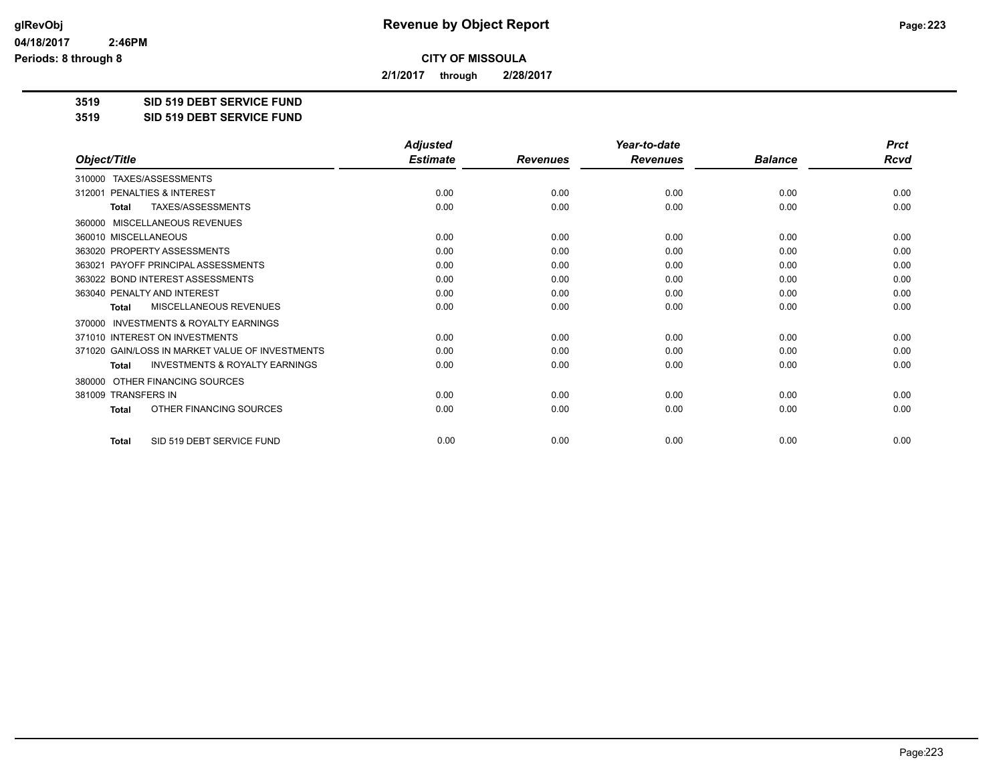**2/1/2017 through 2/28/2017**

**3519 SID 519 DEBT SERVICE FUND**

**3519 SID 519 DEBT SERVICE FUND**

|                                                           | <b>Adjusted</b> |                 | Year-to-date    |                | <b>Prct</b> |
|-----------------------------------------------------------|-----------------|-----------------|-----------------|----------------|-------------|
| Object/Title                                              | <b>Estimate</b> | <b>Revenues</b> | <b>Revenues</b> | <b>Balance</b> | <b>Rcvd</b> |
| TAXES/ASSESSMENTS<br>310000                               |                 |                 |                 |                |             |
| 312001 PENALTIES & INTEREST                               | 0.00            | 0.00            | 0.00            | 0.00           | 0.00        |
| TAXES/ASSESSMENTS<br><b>Total</b>                         | 0.00            | 0.00            | 0.00            | 0.00           | 0.00        |
| 360000 MISCELLANEOUS REVENUES                             |                 |                 |                 |                |             |
| 360010 MISCELLANEOUS                                      | 0.00            | 0.00            | 0.00            | 0.00           | 0.00        |
| 363020 PROPERTY ASSESSMENTS                               | 0.00            | 0.00            | 0.00            | 0.00           | 0.00        |
| 363021 PAYOFF PRINCIPAL ASSESSMENTS                       | 0.00            | 0.00            | 0.00            | 0.00           | 0.00        |
| 363022 BOND INTEREST ASSESSMENTS                          | 0.00            | 0.00            | 0.00            | 0.00           | 0.00        |
| 363040 PENALTY AND INTEREST                               | 0.00            | 0.00            | 0.00            | 0.00           | 0.00        |
| MISCELLANEOUS REVENUES<br>Total                           | 0.00            | 0.00            | 0.00            | 0.00           | 0.00        |
| <b>INVESTMENTS &amp; ROYALTY EARNINGS</b><br>370000       |                 |                 |                 |                |             |
| 371010 INTEREST ON INVESTMENTS                            | 0.00            | 0.00            | 0.00            | 0.00           | 0.00        |
| 371020 GAIN/LOSS IN MARKET VALUE OF INVESTMENTS           | 0.00            | 0.00            | 0.00            | 0.00           | 0.00        |
| <b>INVESTMENTS &amp; ROYALTY EARNINGS</b><br><b>Total</b> | 0.00            | 0.00            | 0.00            | 0.00           | 0.00        |
| OTHER FINANCING SOURCES<br>380000                         |                 |                 |                 |                |             |
| 381009 TRANSFERS IN                                       | 0.00            | 0.00            | 0.00            | 0.00           | 0.00        |
| OTHER FINANCING SOURCES<br><b>Total</b>                   | 0.00            | 0.00            | 0.00            | 0.00           | 0.00        |
| SID 519 DEBT SERVICE FUND<br>Total                        | 0.00            | 0.00            | 0.00            | 0.00           | 0.00        |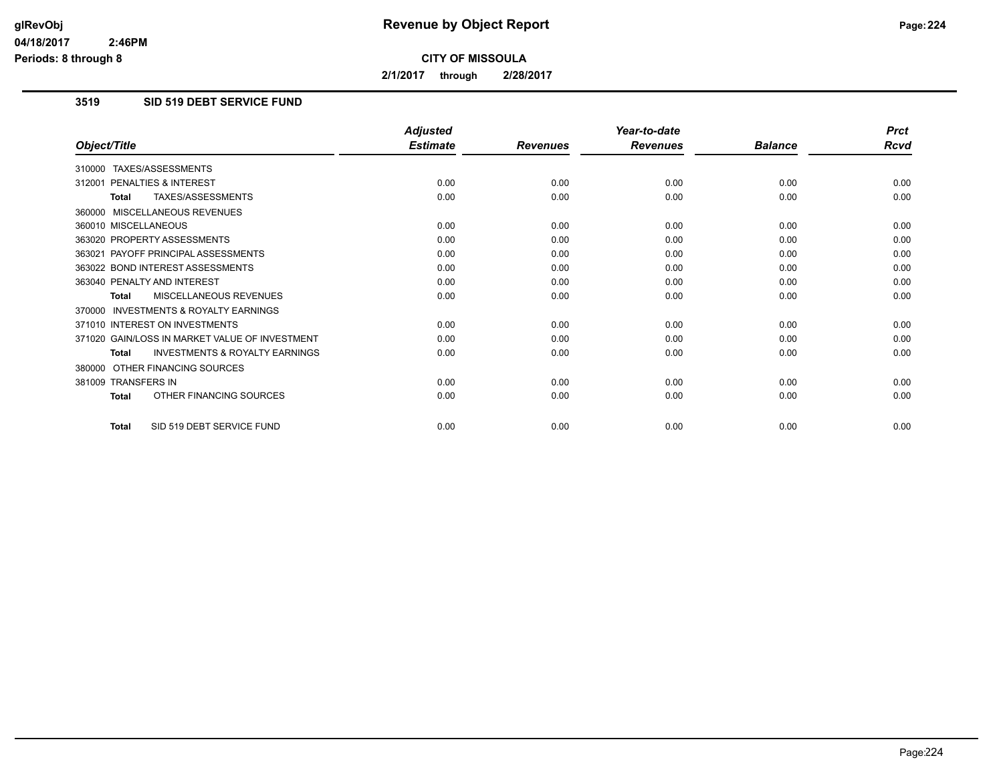**2/1/2017 through 2/28/2017**

#### **3519 SID 519 DEBT SERVICE FUND**

|                                                           | <b>Adjusted</b> |                 | Year-to-date    |                | <b>Prct</b> |
|-----------------------------------------------------------|-----------------|-----------------|-----------------|----------------|-------------|
| Object/Title                                              | <b>Estimate</b> | <b>Revenues</b> | <b>Revenues</b> | <b>Balance</b> | Rcvd        |
| 310000 TAXES/ASSESSMENTS                                  |                 |                 |                 |                |             |
| 312001 PENALTIES & INTEREST                               | 0.00            | 0.00            | 0.00            | 0.00           | 0.00        |
| TAXES/ASSESSMENTS<br><b>Total</b>                         | 0.00            | 0.00            | 0.00            | 0.00           | 0.00        |
| 360000 MISCELLANEOUS REVENUES                             |                 |                 |                 |                |             |
| 360010 MISCELLANEOUS                                      | 0.00            | 0.00            | 0.00            | 0.00           | 0.00        |
| 363020 PROPERTY ASSESSMENTS                               | 0.00            | 0.00            | 0.00            | 0.00           | 0.00        |
| 363021 PAYOFF PRINCIPAL ASSESSMENTS                       | 0.00            | 0.00            | 0.00            | 0.00           | 0.00        |
| 363022 BOND INTEREST ASSESSMENTS                          | 0.00            | 0.00            | 0.00            | 0.00           | 0.00        |
| 363040 PENALTY AND INTEREST                               | 0.00            | 0.00            | 0.00            | 0.00           | 0.00        |
| MISCELLANEOUS REVENUES<br>Total                           | 0.00            | 0.00            | 0.00            | 0.00           | 0.00        |
| <b>INVESTMENTS &amp; ROYALTY EARNINGS</b><br>370000       |                 |                 |                 |                |             |
| 371010 INTEREST ON INVESTMENTS                            | 0.00            | 0.00            | 0.00            | 0.00           | 0.00        |
| 371020 GAIN/LOSS IN MARKET VALUE OF INVESTMENT            | 0.00            | 0.00            | 0.00            | 0.00           | 0.00        |
| <b>INVESTMENTS &amp; ROYALTY EARNINGS</b><br><b>Total</b> | 0.00            | 0.00            | 0.00            | 0.00           | 0.00        |
| OTHER FINANCING SOURCES<br>380000                         |                 |                 |                 |                |             |
| 381009 TRANSFERS IN                                       | 0.00            | 0.00            | 0.00            | 0.00           | 0.00        |
| OTHER FINANCING SOURCES<br>Total                          | 0.00            | 0.00            | 0.00            | 0.00           | 0.00        |
| SID 519 DEBT SERVICE FUND<br><b>Total</b>                 | 0.00            | 0.00            | 0.00            | 0.00           | 0.00        |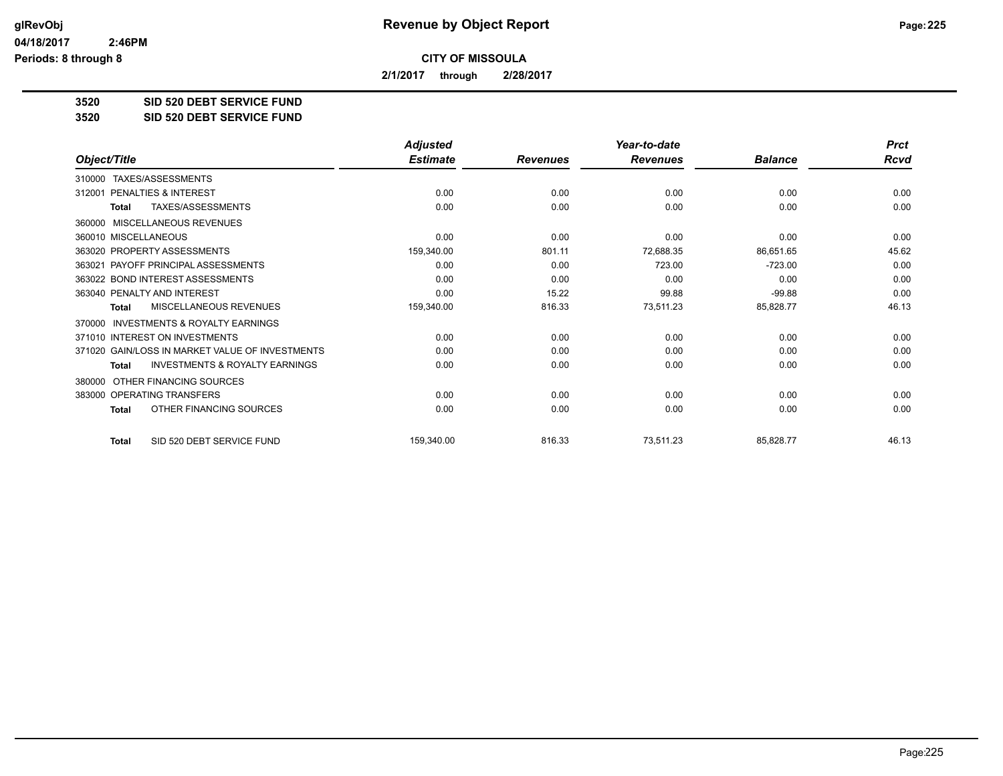**2/1/2017 through 2/28/2017**

**3520 SID 520 DEBT SERVICE FUND**

**3520 SID 520 DEBT SERVICE FUND**

|                                                     | <b>Adjusted</b> |                 | Year-to-date    |                | <b>Prct</b> |
|-----------------------------------------------------|-----------------|-----------------|-----------------|----------------|-------------|
| Object/Title                                        | <b>Estimate</b> | <b>Revenues</b> | <b>Revenues</b> | <b>Balance</b> | Rcvd        |
| TAXES/ASSESSMENTS<br>310000                         |                 |                 |                 |                |             |
| 312001 PENALTIES & INTEREST                         | 0.00            | 0.00            | 0.00            | 0.00           | 0.00        |
| TAXES/ASSESSMENTS<br>Total                          | 0.00            | 0.00            | 0.00            | 0.00           | 0.00        |
| MISCELLANEOUS REVENUES<br>360000                    |                 |                 |                 |                |             |
| 360010 MISCELLANEOUS                                | 0.00            | 0.00            | 0.00            | 0.00           | 0.00        |
| 363020 PROPERTY ASSESSMENTS                         | 159,340.00      | 801.11          | 72,688.35       | 86,651.65      | 45.62       |
| 363021 PAYOFF PRINCIPAL ASSESSMENTS                 | 0.00            | 0.00            | 723.00          | $-723.00$      | 0.00        |
| 363022 BOND INTEREST ASSESSMENTS                    | 0.00            | 0.00            | 0.00            | 0.00           | 0.00        |
| 363040 PENALTY AND INTEREST                         | 0.00            | 15.22           | 99.88           | $-99.88$       | 0.00        |
| MISCELLANEOUS REVENUES<br>Total                     | 159,340.00      | 816.33          | 73,511.23       | 85,828.77      | 46.13       |
| <b>INVESTMENTS &amp; ROYALTY EARNINGS</b><br>370000 |                 |                 |                 |                |             |
| 371010 INTEREST ON INVESTMENTS                      | 0.00            | 0.00            | 0.00            | 0.00           | 0.00        |
| 371020 GAIN/LOSS IN MARKET VALUE OF INVESTMENTS     | 0.00            | 0.00            | 0.00            | 0.00           | 0.00        |
| <b>INVESTMENTS &amp; ROYALTY EARNINGS</b><br>Total  | 0.00            | 0.00            | 0.00            | 0.00           | 0.00        |
| OTHER FINANCING SOURCES<br>380000                   |                 |                 |                 |                |             |
| 383000 OPERATING TRANSFERS                          | 0.00            | 0.00            | 0.00            | 0.00           | 0.00        |
| OTHER FINANCING SOURCES<br>Total                    | 0.00            | 0.00            | 0.00            | 0.00           | 0.00        |
| SID 520 DEBT SERVICE FUND<br>Total                  | 159,340.00      | 816.33          | 73,511.23       | 85,828.77      | 46.13       |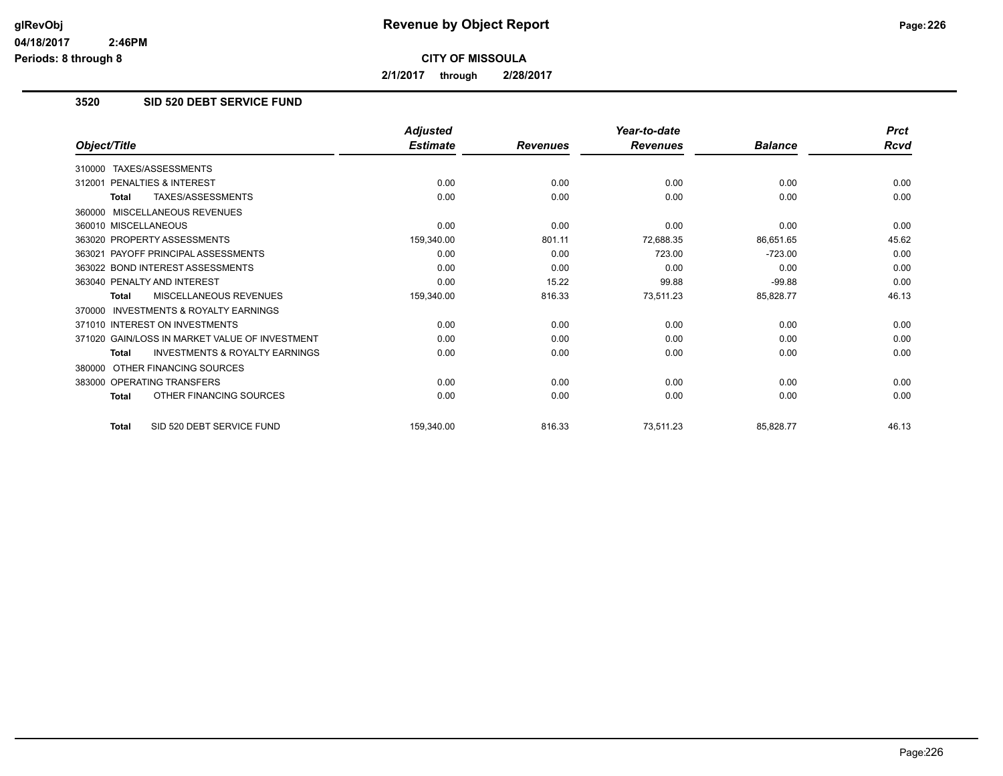**2/1/2017 through 2/28/2017**

#### **3520 SID 520 DEBT SERVICE FUND**

|                                                           | <b>Adjusted</b> |                 | Year-to-date    |                | <b>Prct</b> |
|-----------------------------------------------------------|-----------------|-----------------|-----------------|----------------|-------------|
| Object/Title                                              | <b>Estimate</b> | <b>Revenues</b> | <b>Revenues</b> | <b>Balance</b> | Rcvd        |
| 310000 TAXES/ASSESSMENTS                                  |                 |                 |                 |                |             |
| PENALTIES & INTEREST<br>312001                            | 0.00            | 0.00            | 0.00            | 0.00           | 0.00        |
| TAXES/ASSESSMENTS<br><b>Total</b>                         | 0.00            | 0.00            | 0.00            | 0.00           | 0.00        |
| 360000 MISCELLANEOUS REVENUES                             |                 |                 |                 |                |             |
| 360010 MISCELLANEOUS                                      | 0.00            | 0.00            | 0.00            | 0.00           | 0.00        |
| 363020 PROPERTY ASSESSMENTS                               | 159,340.00      | 801.11          | 72,688.35       | 86,651.65      | 45.62       |
| 363021 PAYOFF PRINCIPAL ASSESSMENTS                       | 0.00            | 0.00            | 723.00          | $-723.00$      | 0.00        |
| 363022 BOND INTEREST ASSESSMENTS                          | 0.00            | 0.00            | 0.00            | 0.00           | 0.00        |
| 363040 PENALTY AND INTEREST                               | 0.00            | 15.22           | 99.88           | $-99.88$       | 0.00        |
| MISCELLANEOUS REVENUES<br>Total                           | 159,340.00      | 816.33          | 73,511.23       | 85,828.77      | 46.13       |
| 370000 INVESTMENTS & ROYALTY EARNINGS                     |                 |                 |                 |                |             |
| 371010 INTEREST ON INVESTMENTS                            | 0.00            | 0.00            | 0.00            | 0.00           | 0.00        |
| 371020 GAIN/LOSS IN MARKET VALUE OF INVESTMENT            | 0.00            | 0.00            | 0.00            | 0.00           | 0.00        |
| <b>INVESTMENTS &amp; ROYALTY EARNINGS</b><br><b>Total</b> | 0.00            | 0.00            | 0.00            | 0.00           | 0.00        |
| 380000 OTHER FINANCING SOURCES                            |                 |                 |                 |                |             |
| 383000 OPERATING TRANSFERS                                | 0.00            | 0.00            | 0.00            | 0.00           | 0.00        |
| OTHER FINANCING SOURCES<br><b>Total</b>                   | 0.00            | 0.00            | 0.00            | 0.00           | 0.00        |
| SID 520 DEBT SERVICE FUND<br><b>Total</b>                 | 159,340.00      | 816.33          | 73,511.23       | 85,828.77      | 46.13       |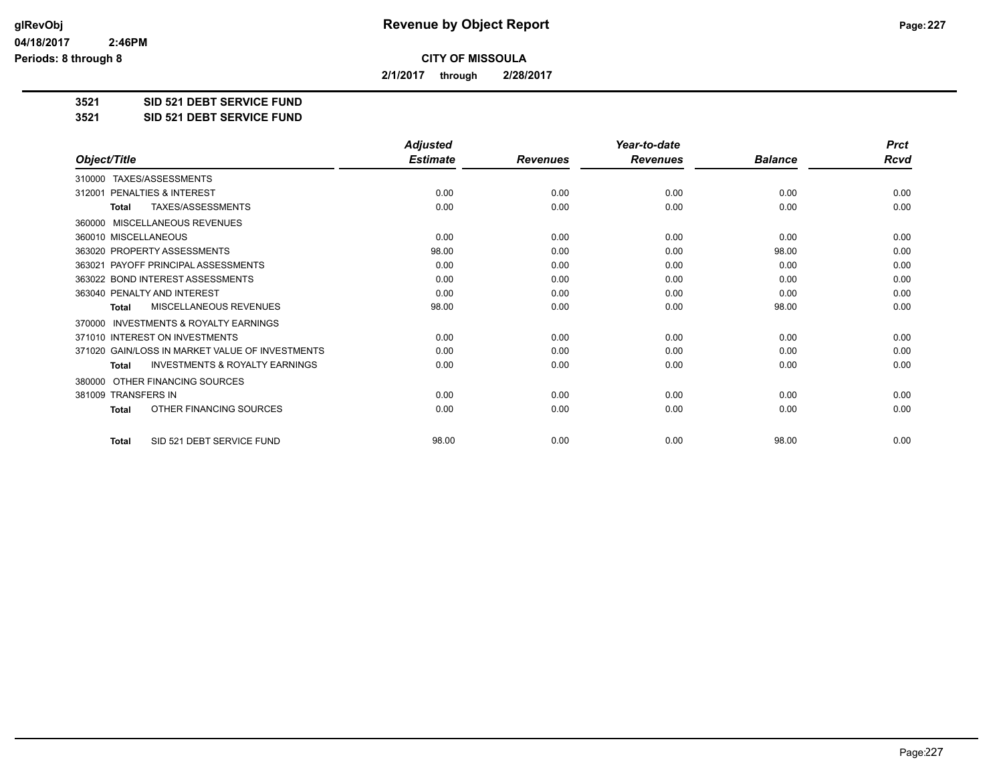**2/1/2017 through 2/28/2017**

**3521 SID 521 DEBT SERVICE FUND**

**3521 SID 521 DEBT SERVICE FUND**

|                                                     | <b>Adjusted</b> |                 | Year-to-date    |                |      |  |
|-----------------------------------------------------|-----------------|-----------------|-----------------|----------------|------|--|
| Object/Title                                        | <b>Estimate</b> | <b>Revenues</b> | <b>Revenues</b> | <b>Balance</b> | Rcvd |  |
| TAXES/ASSESSMENTS<br>310000                         |                 |                 |                 |                |      |  |
| PENALTIES & INTEREST<br>312001                      | 0.00            | 0.00            | 0.00            | 0.00           | 0.00 |  |
| TAXES/ASSESSMENTS<br><b>Total</b>                   | 0.00            | 0.00            | 0.00            | 0.00           | 0.00 |  |
| 360000 MISCELLANEOUS REVENUES                       |                 |                 |                 |                |      |  |
| 360010 MISCELLANEOUS                                | 0.00            | 0.00            | 0.00            | 0.00           | 0.00 |  |
| 363020 PROPERTY ASSESSMENTS                         | 98.00           | 0.00            | 0.00            | 98.00          | 0.00 |  |
| 363021 PAYOFF PRINCIPAL ASSESSMENTS                 | 0.00            | 0.00            | 0.00            | 0.00           | 0.00 |  |
| 363022 BOND INTEREST ASSESSMENTS                    | 0.00            | 0.00            | 0.00            | 0.00           | 0.00 |  |
| 363040 PENALTY AND INTEREST                         | 0.00            | 0.00            | 0.00            | 0.00           | 0.00 |  |
| MISCELLANEOUS REVENUES<br>Total                     | 98.00           | 0.00            | 0.00            | 98.00          | 0.00 |  |
| <b>INVESTMENTS &amp; ROYALTY EARNINGS</b><br>370000 |                 |                 |                 |                |      |  |
| 371010 INTEREST ON INVESTMENTS                      | 0.00            | 0.00            | 0.00            | 0.00           | 0.00 |  |
| 371020 GAIN/LOSS IN MARKET VALUE OF INVESTMENTS     | 0.00            | 0.00            | 0.00            | 0.00           | 0.00 |  |
| <b>INVESTMENTS &amp; ROYALTY EARNINGS</b><br>Total  | 0.00            | 0.00            | 0.00            | 0.00           | 0.00 |  |
| OTHER FINANCING SOURCES<br>380000                   |                 |                 |                 |                |      |  |
| 381009 TRANSFERS IN                                 | 0.00            | 0.00            | 0.00            | 0.00           | 0.00 |  |
| OTHER FINANCING SOURCES<br><b>Total</b>             | 0.00            | 0.00            | 0.00            | 0.00           | 0.00 |  |
| SID 521 DEBT SERVICE FUND<br><b>Total</b>           | 98.00           | 0.00            | 0.00            | 98.00          | 0.00 |  |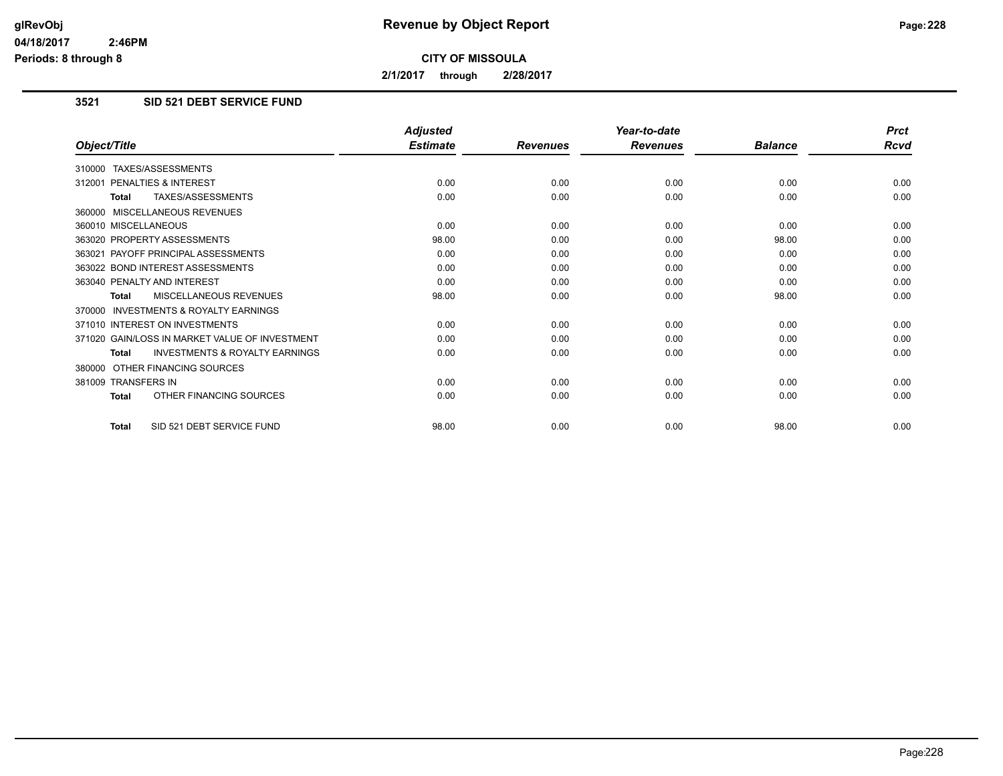**2/1/2017 through 2/28/2017**

#### **3521 SID 521 DEBT SERVICE FUND**

|                                                           | <b>Adjusted</b> |                 | Year-to-date    |                | <b>Prct</b> |
|-----------------------------------------------------------|-----------------|-----------------|-----------------|----------------|-------------|
| Object/Title                                              | <b>Estimate</b> | <b>Revenues</b> | <b>Revenues</b> | <b>Balance</b> | <b>Rcvd</b> |
| 310000 TAXES/ASSESSMENTS                                  |                 |                 |                 |                |             |
| 312001 PENALTIES & INTEREST                               | 0.00            | 0.00            | 0.00            | 0.00           | 0.00        |
| TAXES/ASSESSMENTS<br><b>Total</b>                         | 0.00            | 0.00            | 0.00            | 0.00           | 0.00        |
| 360000 MISCELLANEOUS REVENUES                             |                 |                 |                 |                |             |
| 360010 MISCELLANEOUS                                      | 0.00            | 0.00            | 0.00            | 0.00           | 0.00        |
| 363020 PROPERTY ASSESSMENTS                               | 98.00           | 0.00            | 0.00            | 98.00          | 0.00        |
| 363021 PAYOFF PRINCIPAL ASSESSMENTS                       | 0.00            | 0.00            | 0.00            | 0.00           | 0.00        |
| 363022 BOND INTEREST ASSESSMENTS                          | 0.00            | 0.00            | 0.00            | 0.00           | 0.00        |
| 363040 PENALTY AND INTEREST                               | 0.00            | 0.00            | 0.00            | 0.00           | 0.00        |
| MISCELLANEOUS REVENUES<br>Total                           | 98.00           | 0.00            | 0.00            | 98.00          | 0.00        |
| <b>INVESTMENTS &amp; ROYALTY EARNINGS</b><br>370000       |                 |                 |                 |                |             |
| 371010 INTEREST ON INVESTMENTS                            | 0.00            | 0.00            | 0.00            | 0.00           | 0.00        |
| 371020 GAIN/LOSS IN MARKET VALUE OF INVESTMENT            | 0.00            | 0.00            | 0.00            | 0.00           | 0.00        |
| <b>INVESTMENTS &amp; ROYALTY EARNINGS</b><br><b>Total</b> | 0.00            | 0.00            | 0.00            | 0.00           | 0.00        |
| OTHER FINANCING SOURCES<br>380000                         |                 |                 |                 |                |             |
| 381009 TRANSFERS IN                                       | 0.00            | 0.00            | 0.00            | 0.00           | 0.00        |
| OTHER FINANCING SOURCES<br><b>Total</b>                   | 0.00            | 0.00            | 0.00            | 0.00           | 0.00        |
| SID 521 DEBT SERVICE FUND<br><b>Total</b>                 | 98.00           | 0.00            | 0.00            | 98.00          | 0.00        |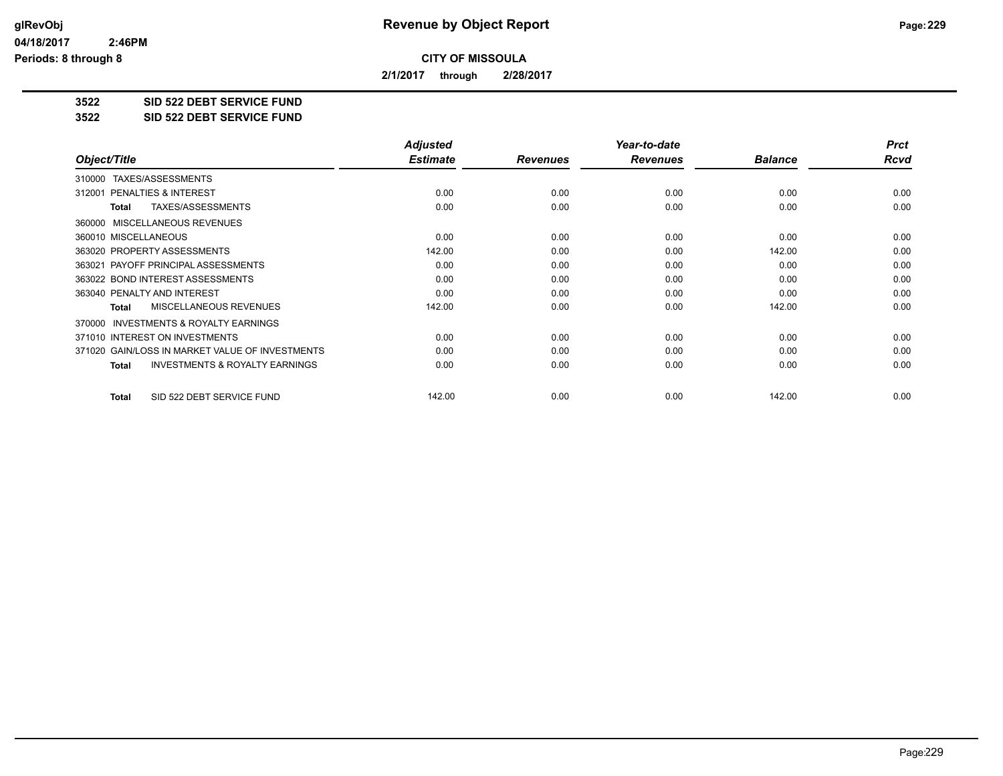**2/1/2017 through 2/28/2017**

**3522 SID 522 DEBT SERVICE FUND**

**3522 SID 522 DEBT SERVICE FUND**

|                                                           | <b>Adjusted</b> |                 | Year-to-date    |                | <b>Prct</b> |
|-----------------------------------------------------------|-----------------|-----------------|-----------------|----------------|-------------|
| Object/Title                                              | <b>Estimate</b> | <b>Revenues</b> | <b>Revenues</b> | <b>Balance</b> | <b>Rcvd</b> |
| 310000 TAXES/ASSESSMENTS                                  |                 |                 |                 |                |             |
| 312001 PENALTIES & INTEREST                               | 0.00            | 0.00            | 0.00            | 0.00           | 0.00        |
| TAXES/ASSESSMENTS<br>Total                                | 0.00            | 0.00            | 0.00            | 0.00           | 0.00        |
| 360000 MISCELLANEOUS REVENUES                             |                 |                 |                 |                |             |
| 360010 MISCELLANEOUS                                      | 0.00            | 0.00            | 0.00            | 0.00           | 0.00        |
| 363020 PROPERTY ASSESSMENTS                               | 142.00          | 0.00            | 0.00            | 142.00         | 0.00        |
| 363021 PAYOFF PRINCIPAL ASSESSMENTS                       | 0.00            | 0.00            | 0.00            | 0.00           | 0.00        |
| 363022 BOND INTEREST ASSESSMENTS                          | 0.00            | 0.00            | 0.00            | 0.00           | 0.00        |
| 363040 PENALTY AND INTEREST                               | 0.00            | 0.00            | 0.00            | 0.00           | 0.00        |
| MISCELLANEOUS REVENUES<br><b>Total</b>                    | 142.00          | 0.00            | 0.00            | 142.00         | 0.00        |
| <b>INVESTMENTS &amp; ROYALTY EARNINGS</b><br>370000       |                 |                 |                 |                |             |
| 371010 INTEREST ON INVESTMENTS                            | 0.00            | 0.00            | 0.00            | 0.00           | 0.00        |
| 371020 GAIN/LOSS IN MARKET VALUE OF INVESTMENTS           | 0.00            | 0.00            | 0.00            | 0.00           | 0.00        |
| <b>INVESTMENTS &amp; ROYALTY EARNINGS</b><br><b>Total</b> | 0.00            | 0.00            | 0.00            | 0.00           | 0.00        |
| SID 522 DEBT SERVICE FUND<br>Total                        | 142.00          | 0.00            | 0.00            | 142.00         | 0.00        |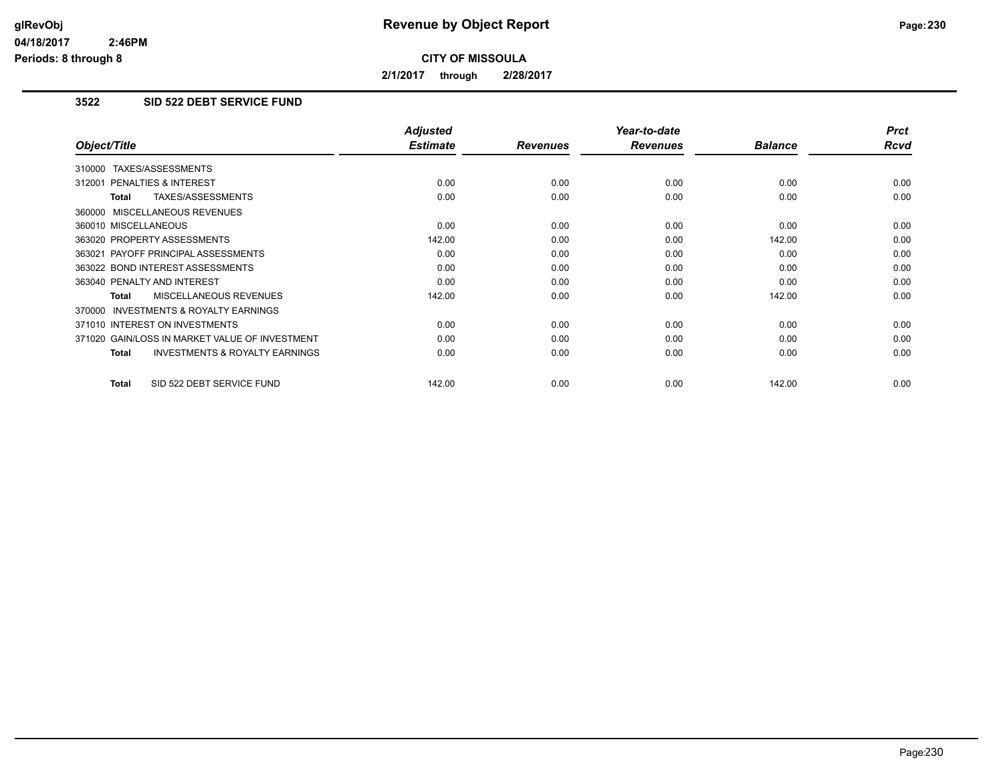**2/1/2017 through 2/28/2017**

#### **3522 SID 522 DEBT SERVICE FUND**

|                                                           | <b>Adjusted</b> |                 | Year-to-date    |                | <b>Prct</b> |
|-----------------------------------------------------------|-----------------|-----------------|-----------------|----------------|-------------|
| Object/Title                                              | <b>Estimate</b> | <b>Revenues</b> | <b>Revenues</b> | <b>Balance</b> | <b>Rcvd</b> |
| 310000 TAXES/ASSESSMENTS                                  |                 |                 |                 |                |             |
| 312001 PENALTIES & INTEREST                               | 0.00            | 0.00            | 0.00            | 0.00           | 0.00        |
| TAXES/ASSESSMENTS<br><b>Total</b>                         | 0.00            | 0.00            | 0.00            | 0.00           | 0.00        |
| 360000 MISCELLANEOUS REVENUES                             |                 |                 |                 |                |             |
| 360010 MISCELLANEOUS                                      | 0.00            | 0.00            | 0.00            | 0.00           | 0.00        |
| 363020 PROPERTY ASSESSMENTS                               | 142.00          | 0.00            | 0.00            | 142.00         | 0.00        |
| 363021 PAYOFF PRINCIPAL ASSESSMENTS                       | 0.00            | 0.00            | 0.00            | 0.00           | 0.00        |
| 363022 BOND INTEREST ASSESSMENTS                          | 0.00            | 0.00            | 0.00            | 0.00           | 0.00        |
| 363040 PENALTY AND INTEREST                               | 0.00            | 0.00            | 0.00            | 0.00           | 0.00        |
| MISCELLANEOUS REVENUES<br><b>Total</b>                    | 142.00          | 0.00            | 0.00            | 142.00         | 0.00        |
| INVESTMENTS & ROYALTY EARNINGS<br>370000                  |                 |                 |                 |                |             |
| 371010 INTEREST ON INVESTMENTS                            | 0.00            | 0.00            | 0.00            | 0.00           | 0.00        |
| 371020 GAIN/LOSS IN MARKET VALUE OF INVESTMENT            | 0.00            | 0.00            | 0.00            | 0.00           | 0.00        |
| <b>INVESTMENTS &amp; ROYALTY EARNINGS</b><br><b>Total</b> | 0.00            | 0.00            | 0.00            | 0.00           | 0.00        |
| SID 522 DEBT SERVICE FUND<br><b>Total</b>                 | 142.00          | 0.00            | 0.00            | 142.00         | 0.00        |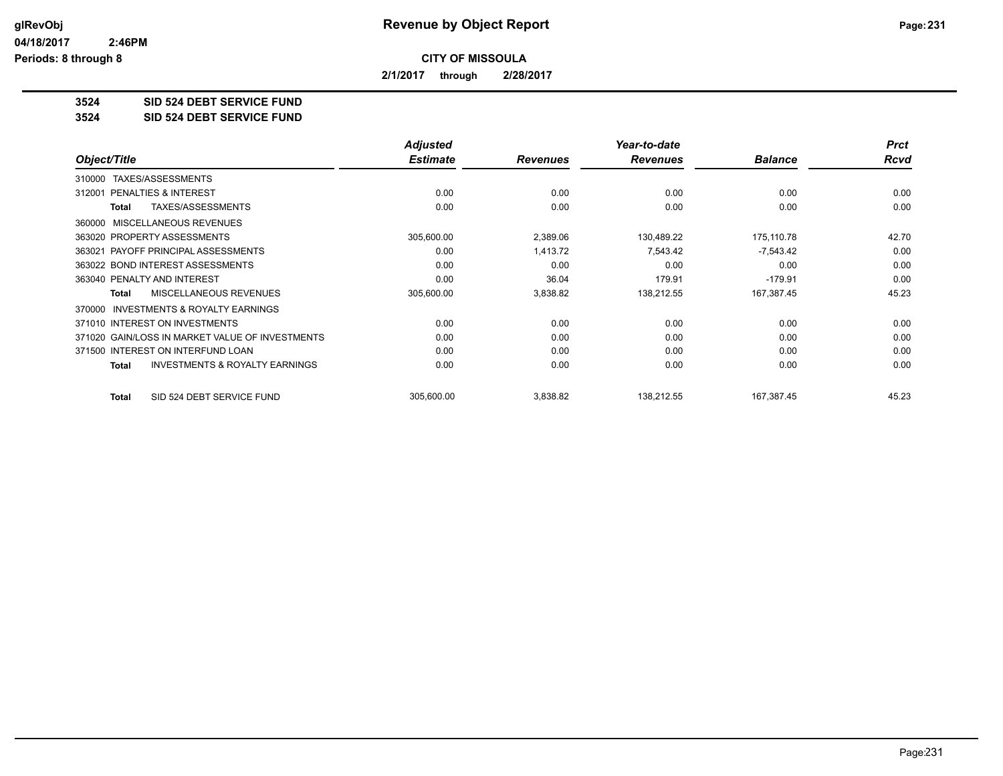**2/1/2017 through 2/28/2017**

**3524 SID 524 DEBT SERVICE FUND**

**3524 SID 524 DEBT SERVICE FUND**

|                                                    | <b>Adjusted</b> |                 | Year-to-date    |                | <b>Prct</b> |
|----------------------------------------------------|-----------------|-----------------|-----------------|----------------|-------------|
| Object/Title                                       | <b>Estimate</b> | <b>Revenues</b> | <b>Revenues</b> | <b>Balance</b> | Rcvd        |
| 310000 TAXES/ASSESSMENTS                           |                 |                 |                 |                |             |
| 312001 PENALTIES & INTEREST                        | 0.00            | 0.00            | 0.00            | 0.00           | 0.00        |
| TAXES/ASSESSMENTS<br>Total                         | 0.00            | 0.00            | 0.00            | 0.00           | 0.00        |
| 360000 MISCELLANEOUS REVENUES                      |                 |                 |                 |                |             |
| 363020 PROPERTY ASSESSMENTS                        | 305,600.00      | 2,389.06        | 130,489.22      | 175,110.78     | 42.70       |
| 363021 PAYOFF PRINCIPAL ASSESSMENTS                | 0.00            | 1,413.72        | 7,543.42        | $-7,543.42$    | 0.00        |
| 363022 BOND INTEREST ASSESSMENTS                   | 0.00            | 0.00            | 0.00            | 0.00           | 0.00        |
| 363040 PENALTY AND INTEREST                        | 0.00            | 36.04           | 179.91          | $-179.91$      | 0.00        |
| <b>MISCELLANEOUS REVENUES</b><br>Total             | 305,600.00      | 3,838.82        | 138,212.55      | 167,387.45     | 45.23       |
| 370000 INVESTMENTS & ROYALTY EARNINGS              |                 |                 |                 |                |             |
| 371010 INTEREST ON INVESTMENTS                     | 0.00            | 0.00            | 0.00            | 0.00           | 0.00        |
| 371020 GAIN/LOSS IN MARKET VALUE OF INVESTMENTS    | 0.00            | 0.00            | 0.00            | 0.00           | 0.00        |
| 371500 INTEREST ON INTERFUND LOAN                  | 0.00            | 0.00            | 0.00            | 0.00           | 0.00        |
| <b>INVESTMENTS &amp; ROYALTY EARNINGS</b><br>Total | 0.00            | 0.00            | 0.00            | 0.00           | 0.00        |
| SID 524 DEBT SERVICE FUND<br>Total                 | 305,600.00      | 3,838.82        | 138,212.55      | 167,387.45     | 45.23       |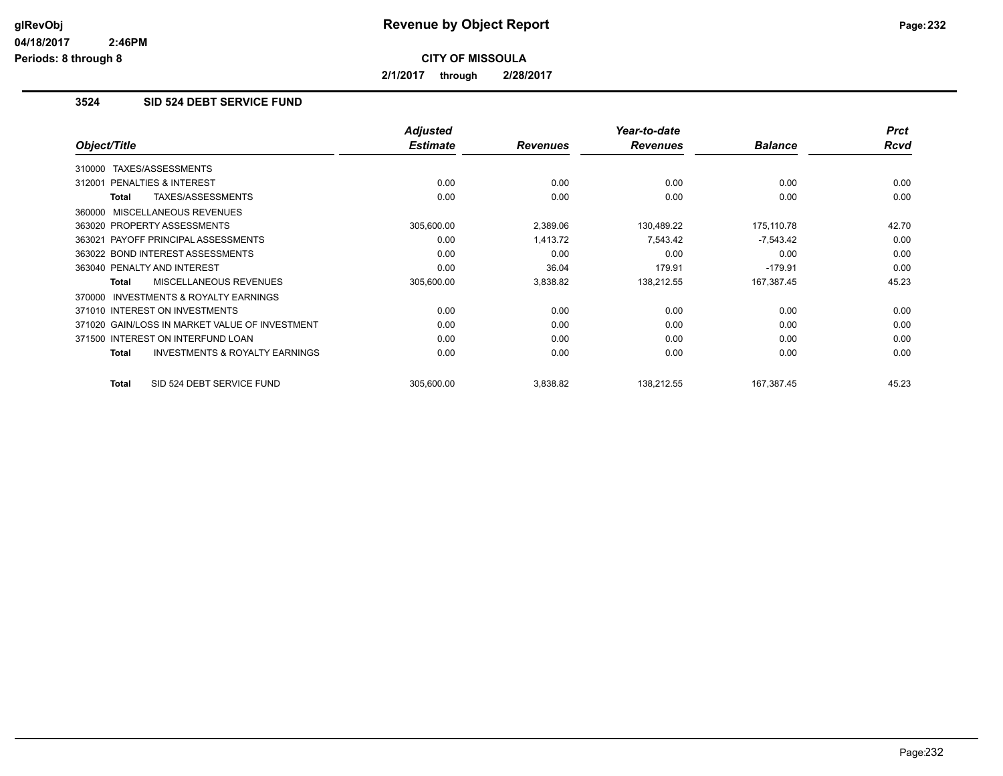**2/1/2017 through 2/28/2017**

#### **3524 SID 524 DEBT SERVICE FUND**

|                                                     | <b>Adjusted</b> |                 | Year-to-date    |                | <b>Prct</b> |
|-----------------------------------------------------|-----------------|-----------------|-----------------|----------------|-------------|
| Object/Title                                        | <b>Estimate</b> | <b>Revenues</b> | <b>Revenues</b> | <b>Balance</b> | Rcvd        |
| 310000 TAXES/ASSESSMENTS                            |                 |                 |                 |                |             |
| <b>PENALTIES &amp; INTEREST</b><br>312001           | 0.00            | 0.00            | 0.00            | 0.00           | 0.00        |
| TAXES/ASSESSMENTS<br>Total                          | 0.00            | 0.00            | 0.00            | 0.00           | 0.00        |
| 360000 MISCELLANEOUS REVENUES                       |                 |                 |                 |                |             |
| 363020 PROPERTY ASSESSMENTS                         | 305,600.00      | 2,389.06        | 130,489.22      | 175,110.78     | 42.70       |
| 363021 PAYOFF PRINCIPAL ASSESSMENTS                 | 0.00            | 1,413.72        | 7,543.42        | $-7,543.42$    | 0.00        |
| 363022 BOND INTEREST ASSESSMENTS                    | 0.00            | 0.00            | 0.00            | 0.00           | 0.00        |
| 363040 PENALTY AND INTEREST                         | 0.00            | 36.04           | 179.91          | $-179.91$      | 0.00        |
| MISCELLANEOUS REVENUES<br><b>Total</b>              | 305,600.00      | 3,838.82        | 138,212.55      | 167,387.45     | 45.23       |
| <b>INVESTMENTS &amp; ROYALTY EARNINGS</b><br>370000 |                 |                 |                 |                |             |
| 371010 INTEREST ON INVESTMENTS                      | 0.00            | 0.00            | 0.00            | 0.00           | 0.00        |
| 371020 GAIN/LOSS IN MARKET VALUE OF INVESTMENT      | 0.00            | 0.00            | 0.00            | 0.00           | 0.00        |
| 371500 INTEREST ON INTERFUND LOAN                   | 0.00            | 0.00            | 0.00            | 0.00           | 0.00        |
| <b>INVESTMENTS &amp; ROYALTY EARNINGS</b><br>Total  | 0.00            | 0.00            | 0.00            | 0.00           | 0.00        |
| SID 524 DEBT SERVICE FUND<br><b>Total</b>           | 305,600.00      | 3,838.82        | 138,212.55      | 167,387.45     | 45.23       |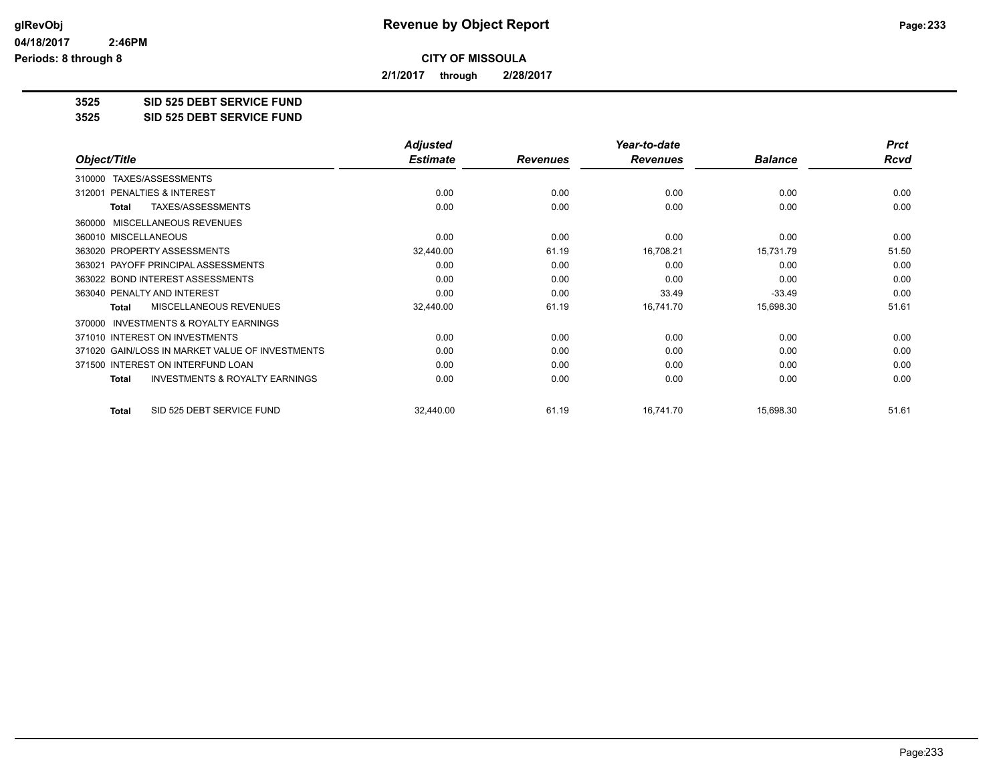**2/1/2017 through 2/28/2017**

**3525 SID 525 DEBT SERVICE FUND**

**3525 SID 525 DEBT SERVICE FUND**

|                                                     | <b>Adjusted</b> |                 | Year-to-date    |                | <b>Prct</b> |
|-----------------------------------------------------|-----------------|-----------------|-----------------|----------------|-------------|
| Object/Title                                        | <b>Estimate</b> | <b>Revenues</b> | <b>Revenues</b> | <b>Balance</b> | Rcvd        |
| TAXES/ASSESSMENTS<br>310000                         |                 |                 |                 |                |             |
| 312001 PENALTIES & INTEREST                         | 0.00            | 0.00            | 0.00            | 0.00           | 0.00        |
| TAXES/ASSESSMENTS<br>Total                          | 0.00            | 0.00            | 0.00            | 0.00           | 0.00        |
| MISCELLANEOUS REVENUES<br>360000                    |                 |                 |                 |                |             |
| 360010 MISCELLANEOUS                                | 0.00            | 0.00            | 0.00            | 0.00           | 0.00        |
| 363020 PROPERTY ASSESSMENTS                         | 32,440.00       | 61.19           | 16,708.21       | 15,731.79      | 51.50       |
| 363021 PAYOFF PRINCIPAL ASSESSMENTS                 | 0.00            | 0.00            | 0.00            | 0.00           | 0.00        |
| 363022 BOND INTEREST ASSESSMENTS                    | 0.00            | 0.00            | 0.00            | 0.00           | 0.00        |
| 363040 PENALTY AND INTEREST                         | 0.00            | 0.00            | 33.49           | $-33.49$       | 0.00        |
| MISCELLANEOUS REVENUES<br>Total                     | 32,440.00       | 61.19           | 16,741.70       | 15,698.30      | 51.61       |
| <b>INVESTMENTS &amp; ROYALTY EARNINGS</b><br>370000 |                 |                 |                 |                |             |
| 371010 INTEREST ON INVESTMENTS                      | 0.00            | 0.00            | 0.00            | 0.00           | 0.00        |
| 371020 GAIN/LOSS IN MARKET VALUE OF INVESTMENTS     | 0.00            | 0.00            | 0.00            | 0.00           | 0.00        |
| 371500 INTEREST ON INTERFUND LOAN                   | 0.00            | 0.00            | 0.00            | 0.00           | 0.00        |
| <b>INVESTMENTS &amp; ROYALTY EARNINGS</b><br>Total  | 0.00            | 0.00            | 0.00            | 0.00           | 0.00        |
| SID 525 DEBT SERVICE FUND<br><b>Total</b>           | 32,440.00       | 61.19           | 16,741.70       | 15,698.30      | 51.61       |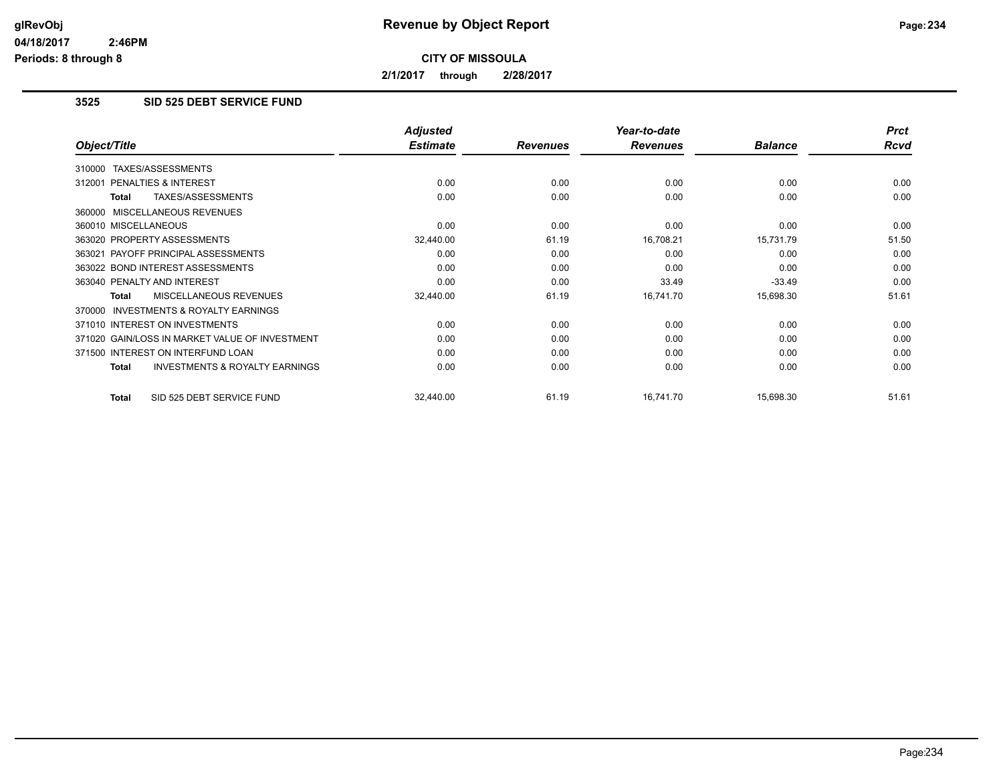**2/1/2017 through 2/28/2017**

#### **3525 SID 525 DEBT SERVICE FUND**

|                                                           | <b>Adjusted</b> |                 | Year-to-date    |                | <b>Prct</b> |
|-----------------------------------------------------------|-----------------|-----------------|-----------------|----------------|-------------|
| Object/Title                                              | <b>Estimate</b> | <b>Revenues</b> | <b>Revenues</b> | <b>Balance</b> | Rcvd        |
| TAXES/ASSESSMENTS<br>310000                               |                 |                 |                 |                |             |
| <b>PENALTIES &amp; INTEREST</b><br>312001                 | 0.00            | 0.00            | 0.00            | 0.00           | 0.00        |
| TAXES/ASSESSMENTS<br>Total                                | 0.00            | 0.00            | 0.00            | 0.00           | 0.00        |
| 360000 MISCELLANEOUS REVENUES                             |                 |                 |                 |                |             |
| 360010 MISCELLANEOUS                                      | 0.00            | 0.00            | 0.00            | 0.00           | 0.00        |
| 363020 PROPERTY ASSESSMENTS                               | 32,440.00       | 61.19           | 16,708.21       | 15,731.79      | 51.50       |
| 363021 PAYOFF PRINCIPAL ASSESSMENTS                       | 0.00            | 0.00            | 0.00            | 0.00           | 0.00        |
| 363022 BOND INTEREST ASSESSMENTS                          | 0.00            | 0.00            | 0.00            | 0.00           | 0.00        |
| 363040 PENALTY AND INTEREST                               | 0.00            | 0.00            | 33.49           | $-33.49$       | 0.00        |
| MISCELLANEOUS REVENUES<br>Total                           | 32,440.00       | 61.19           | 16,741.70       | 15,698.30      | 51.61       |
| 370000 INVESTMENTS & ROYALTY EARNINGS                     |                 |                 |                 |                |             |
| 371010 INTEREST ON INVESTMENTS                            | 0.00            | 0.00            | 0.00            | 0.00           | 0.00        |
| 371020 GAIN/LOSS IN MARKET VALUE OF INVESTMENT            | 0.00            | 0.00            | 0.00            | 0.00           | 0.00        |
| 371500 INTEREST ON INTERFUND LOAN                         | 0.00            | 0.00            | 0.00            | 0.00           | 0.00        |
| <b>INVESTMENTS &amp; ROYALTY EARNINGS</b><br><b>Total</b> | 0.00            | 0.00            | 0.00            | 0.00           | 0.00        |
| SID 525 DEBT SERVICE FUND<br>Total                        | 32,440.00       | 61.19           | 16,741.70       | 15,698.30      | 51.61       |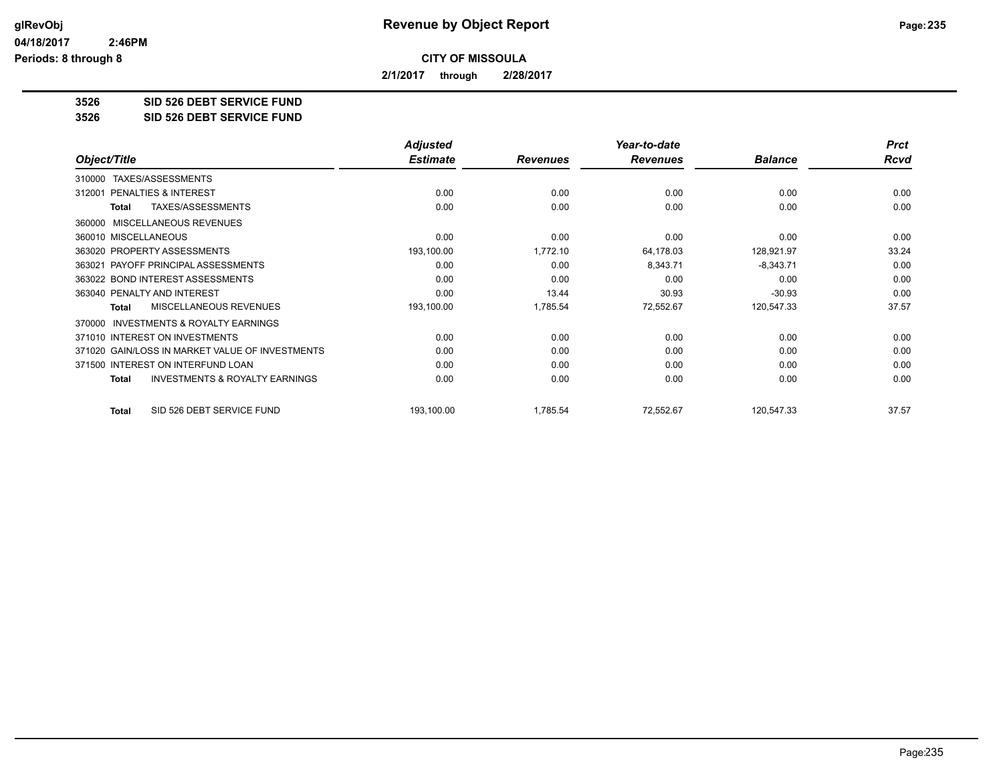**2/1/2017 through 2/28/2017**

**3526 SID 526 DEBT SERVICE FUND**

**3526 SID 526 DEBT SERVICE FUND**

|                                                     | <b>Adjusted</b> |                 | Year-to-date    |                | <b>Prct</b> |
|-----------------------------------------------------|-----------------|-----------------|-----------------|----------------|-------------|
| Object/Title                                        | <b>Estimate</b> | <b>Revenues</b> | <b>Revenues</b> | <b>Balance</b> | <b>Rcvd</b> |
| 310000 TAXES/ASSESSMENTS                            |                 |                 |                 |                |             |
| <b>PENALTIES &amp; INTEREST</b><br>312001           | 0.00            | 0.00            | 0.00            | 0.00           | 0.00        |
| TAXES/ASSESSMENTS<br>Total                          | 0.00            | 0.00            | 0.00            | 0.00           | 0.00        |
| 360000 MISCELLANEOUS REVENUES                       |                 |                 |                 |                |             |
| 360010 MISCELLANEOUS                                | 0.00            | 0.00            | 0.00            | 0.00           | 0.00        |
| 363020 PROPERTY ASSESSMENTS                         | 193,100.00      | 1,772.10        | 64,178.03       | 128,921.97     | 33.24       |
| 363021 PAYOFF PRINCIPAL ASSESSMENTS                 | 0.00            | 0.00            | 8,343.71        | $-8,343.71$    | 0.00        |
| 363022 BOND INTEREST ASSESSMENTS                    | 0.00            | 0.00            | 0.00            | 0.00           | 0.00        |
| 363040 PENALTY AND INTEREST                         | 0.00            | 13.44           | 30.93           | $-30.93$       | 0.00        |
| MISCELLANEOUS REVENUES<br><b>Total</b>              | 193,100.00      | 1,785.54        | 72,552.67       | 120,547.33     | 37.57       |
| <b>INVESTMENTS &amp; ROYALTY EARNINGS</b><br>370000 |                 |                 |                 |                |             |
| 371010 INTEREST ON INVESTMENTS                      | 0.00            | 0.00            | 0.00            | 0.00           | 0.00        |
| 371020 GAIN/LOSS IN MARKET VALUE OF INVESTMENTS     | 0.00            | 0.00            | 0.00            | 0.00           | 0.00        |
| 371500 INTEREST ON INTERFUND LOAN                   | 0.00            | 0.00            | 0.00            | 0.00           | 0.00        |
| <b>INVESTMENTS &amp; ROYALTY EARNINGS</b><br>Total  | 0.00            | 0.00            | 0.00            | 0.00           | 0.00        |
| SID 526 DEBT SERVICE FUND<br><b>Total</b>           | 193,100.00      | 1,785.54        | 72,552.67       | 120,547.33     | 37.57       |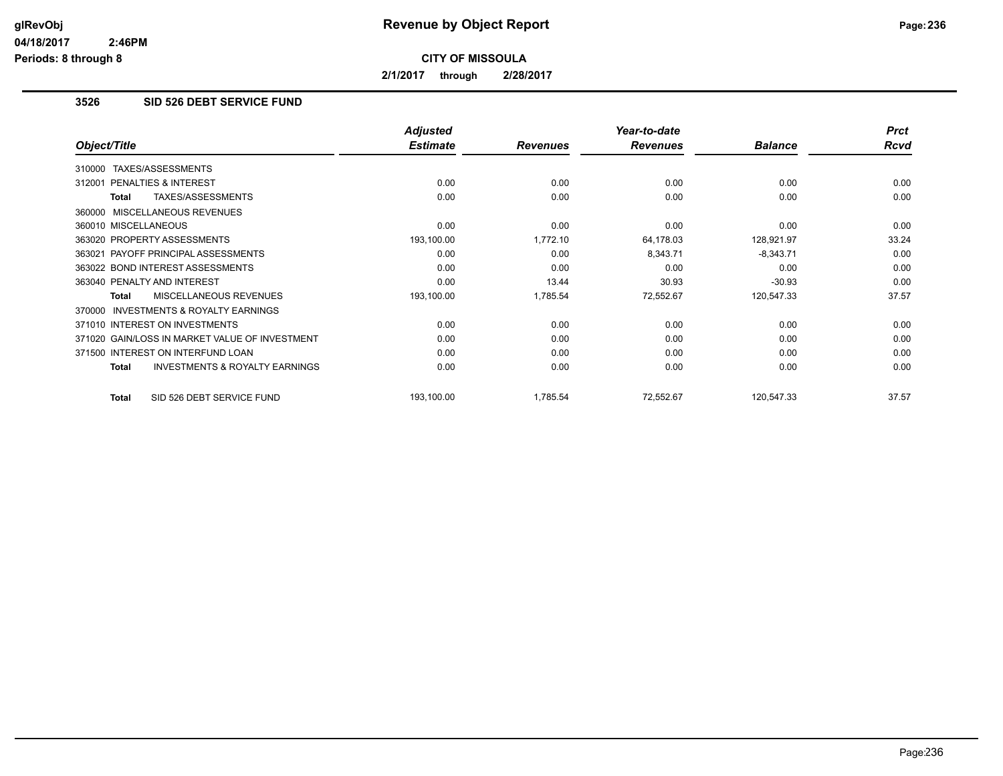**2/1/2017 through 2/28/2017**

#### **3526 SID 526 DEBT SERVICE FUND**

|                                                    | <b>Adjusted</b> |                 | Year-to-date    |                | <b>Prct</b> |
|----------------------------------------------------|-----------------|-----------------|-----------------|----------------|-------------|
| Object/Title                                       | <b>Estimate</b> | <b>Revenues</b> | <b>Revenues</b> | <b>Balance</b> | Rcvd        |
| TAXES/ASSESSMENTS<br>310000                        |                 |                 |                 |                |             |
| PENALTIES & INTEREST<br>312001                     | 0.00            | 0.00            | 0.00            | 0.00           | 0.00        |
| TAXES/ASSESSMENTS<br>Total                         | 0.00            | 0.00            | 0.00            | 0.00           | 0.00        |
| 360000 MISCELLANEOUS REVENUES                      |                 |                 |                 |                |             |
| 360010 MISCELLANEOUS                               | 0.00            | 0.00            | 0.00            | 0.00           | 0.00        |
| 363020 PROPERTY ASSESSMENTS                        | 193,100.00      | 1,772.10        | 64,178.03       | 128,921.97     | 33.24       |
| 363021 PAYOFF PRINCIPAL ASSESSMENTS                | 0.00            | 0.00            | 8,343.71        | $-8,343.71$    | 0.00        |
| 363022 BOND INTEREST ASSESSMENTS                   | 0.00            | 0.00            | 0.00            | 0.00           | 0.00        |
| 363040 PENALTY AND INTEREST                        | 0.00            | 13.44           | 30.93           | $-30.93$       | 0.00        |
| MISCELLANEOUS REVENUES<br>Total                    | 193,100.00      | 1,785.54        | 72,552.67       | 120,547.33     | 37.57       |
| 370000 INVESTMENTS & ROYALTY EARNINGS              |                 |                 |                 |                |             |
| 371010 INTEREST ON INVESTMENTS                     | 0.00            | 0.00            | 0.00            | 0.00           | 0.00        |
| 371020 GAIN/LOSS IN MARKET VALUE OF INVESTMENT     | 0.00            | 0.00            | 0.00            | 0.00           | 0.00        |
| 371500 INTEREST ON INTERFUND LOAN                  | 0.00            | 0.00            | 0.00            | 0.00           | 0.00        |
| <b>INVESTMENTS &amp; ROYALTY EARNINGS</b><br>Total | 0.00            | 0.00            | 0.00            | 0.00           | 0.00        |
| SID 526 DEBT SERVICE FUND<br><b>Total</b>          | 193,100.00      | 1,785.54        | 72,552.67       | 120,547.33     | 37.57       |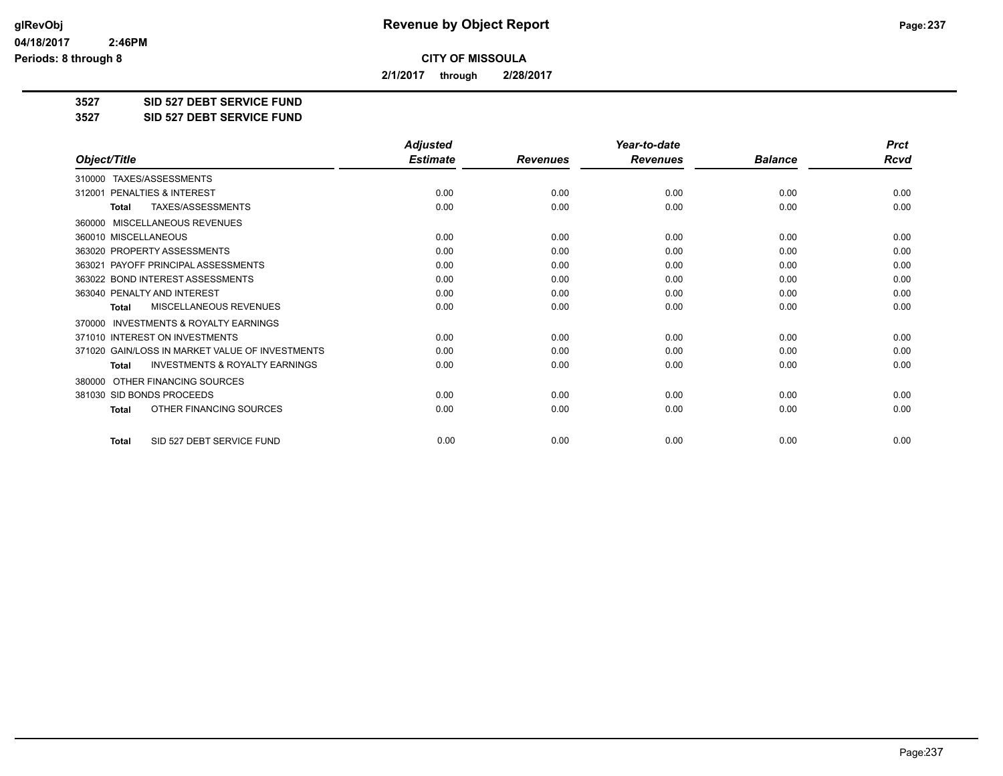**2/1/2017 through 2/28/2017**

**3527 SID 527 DEBT SERVICE FUND**

**3527 SID 527 DEBT SERVICE FUND**

|                                                     | <b>Adjusted</b> |                 | Year-to-date    |                | <b>Prct</b> |
|-----------------------------------------------------|-----------------|-----------------|-----------------|----------------|-------------|
| Object/Title                                        | <b>Estimate</b> | <b>Revenues</b> | <b>Revenues</b> | <b>Balance</b> | Rcvd        |
| 310000 TAXES/ASSESSMENTS                            |                 |                 |                 |                |             |
| PENALTIES & INTEREST<br>312001                      | 0.00            | 0.00            | 0.00            | 0.00           | 0.00        |
| TAXES/ASSESSMENTS<br>Total                          | 0.00            | 0.00            | 0.00            | 0.00           | 0.00        |
| 360000 MISCELLANEOUS REVENUES                       |                 |                 |                 |                |             |
| 360010 MISCELLANEOUS                                | 0.00            | 0.00            | 0.00            | 0.00           | 0.00        |
| 363020 PROPERTY ASSESSMENTS                         | 0.00            | 0.00            | 0.00            | 0.00           | 0.00        |
| 363021 PAYOFF PRINCIPAL ASSESSMENTS                 | 0.00            | 0.00            | 0.00            | 0.00           | 0.00        |
| 363022 BOND INTEREST ASSESSMENTS                    | 0.00            | 0.00            | 0.00            | 0.00           | 0.00        |
| 363040 PENALTY AND INTEREST                         | 0.00            | 0.00            | 0.00            | 0.00           | 0.00        |
| MISCELLANEOUS REVENUES<br>Total                     | 0.00            | 0.00            | 0.00            | 0.00           | 0.00        |
| <b>INVESTMENTS &amp; ROYALTY EARNINGS</b><br>370000 |                 |                 |                 |                |             |
| 371010 INTEREST ON INVESTMENTS                      | 0.00            | 0.00            | 0.00            | 0.00           | 0.00        |
| 371020 GAIN/LOSS IN MARKET VALUE OF INVESTMENTS     | 0.00            | 0.00            | 0.00            | 0.00           | 0.00        |
| <b>INVESTMENTS &amp; ROYALTY EARNINGS</b><br>Total  | 0.00            | 0.00            | 0.00            | 0.00           | 0.00        |
| OTHER FINANCING SOURCES<br>380000                   |                 |                 |                 |                |             |
| 381030 SID BONDS PROCEEDS                           | 0.00            | 0.00            | 0.00            | 0.00           | 0.00        |
| OTHER FINANCING SOURCES<br><b>Total</b>             | 0.00            | 0.00            | 0.00            | 0.00           | 0.00        |
| SID 527 DEBT SERVICE FUND<br><b>Total</b>           | 0.00            | 0.00            | 0.00            | 0.00           | 0.00        |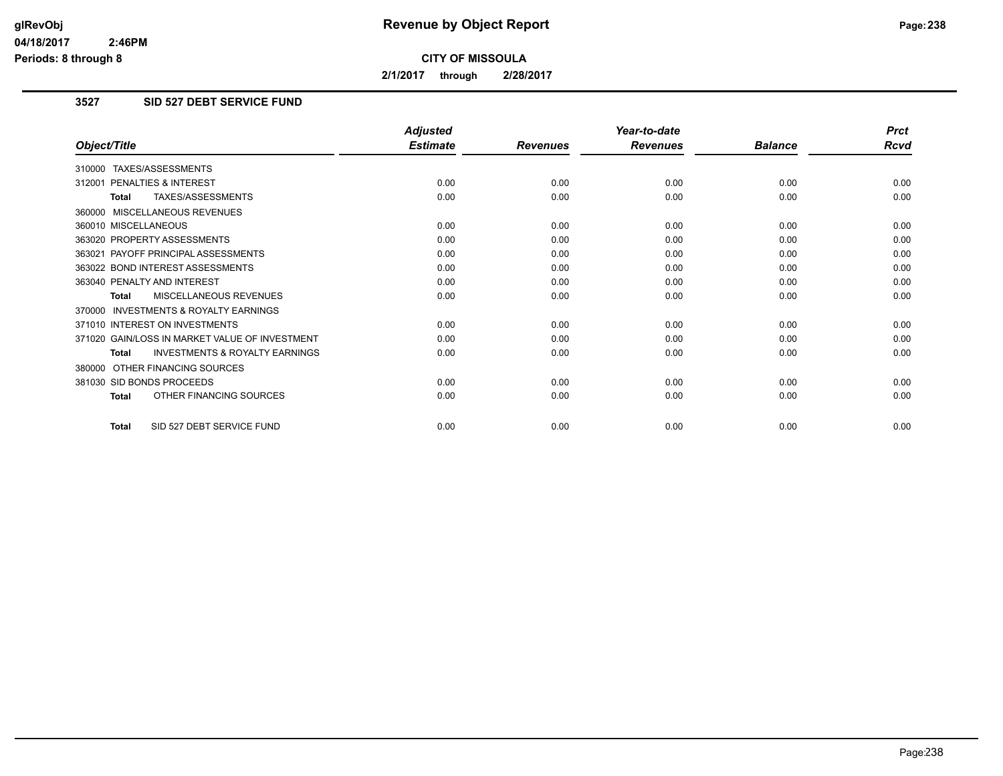**2/1/2017 through 2/28/2017**

#### **3527 SID 527 DEBT SERVICE FUND**

|                                                           | <b>Adjusted</b> |                 | Year-to-date    |                | <b>Prct</b> |
|-----------------------------------------------------------|-----------------|-----------------|-----------------|----------------|-------------|
| Object/Title                                              | <b>Estimate</b> | <b>Revenues</b> | <b>Revenues</b> | <b>Balance</b> | <b>Rcvd</b> |
| 310000 TAXES/ASSESSMENTS                                  |                 |                 |                 |                |             |
| PENALTIES & INTEREST<br>312001                            | 0.00            | 0.00            | 0.00            | 0.00           | 0.00        |
| TAXES/ASSESSMENTS<br><b>Total</b>                         | 0.00            | 0.00            | 0.00            | 0.00           | 0.00        |
| 360000 MISCELLANEOUS REVENUES                             |                 |                 |                 |                |             |
| 360010 MISCELLANEOUS                                      | 0.00            | 0.00            | 0.00            | 0.00           | 0.00        |
| 363020 PROPERTY ASSESSMENTS                               | 0.00            | 0.00            | 0.00            | 0.00           | 0.00        |
| 363021 PAYOFF PRINCIPAL ASSESSMENTS                       | 0.00            | 0.00            | 0.00            | 0.00           | 0.00        |
| 363022 BOND INTEREST ASSESSMENTS                          | 0.00            | 0.00            | 0.00            | 0.00           | 0.00        |
| 363040 PENALTY AND INTEREST                               | 0.00            | 0.00            | 0.00            | 0.00           | 0.00        |
| MISCELLANEOUS REVENUES<br><b>Total</b>                    | 0.00            | 0.00            | 0.00            | 0.00           | 0.00        |
| <b>INVESTMENTS &amp; ROYALTY EARNINGS</b><br>370000       |                 |                 |                 |                |             |
| 371010 INTEREST ON INVESTMENTS                            | 0.00            | 0.00            | 0.00            | 0.00           | 0.00        |
| 371020 GAIN/LOSS IN MARKET VALUE OF INVESTMENT            | 0.00            | 0.00            | 0.00            | 0.00           | 0.00        |
| <b>INVESTMENTS &amp; ROYALTY EARNINGS</b><br><b>Total</b> | 0.00            | 0.00            | 0.00            | 0.00           | 0.00        |
| OTHER FINANCING SOURCES<br>380000                         |                 |                 |                 |                |             |
| 381030 SID BONDS PROCEEDS                                 | 0.00            | 0.00            | 0.00            | 0.00           | 0.00        |
| OTHER FINANCING SOURCES<br><b>Total</b>                   | 0.00            | 0.00            | 0.00            | 0.00           | 0.00        |
| SID 527 DEBT SERVICE FUND<br><b>Total</b>                 | 0.00            | 0.00            | 0.00            | 0.00           | 0.00        |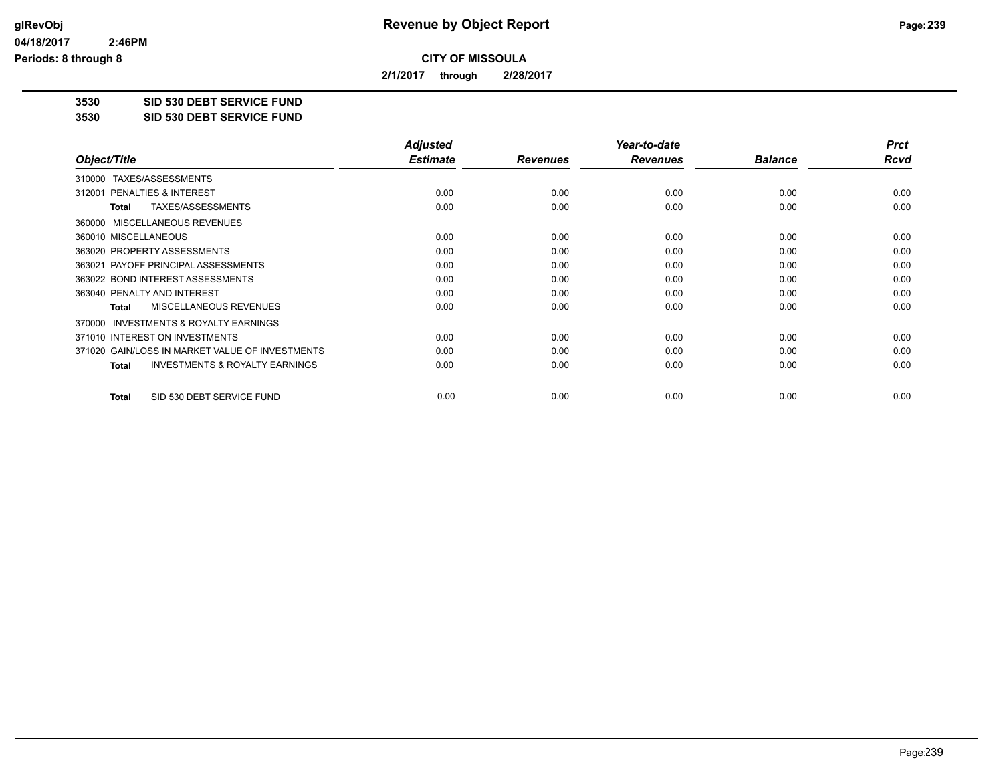**2/1/2017 through 2/28/2017**

**3530 SID 530 DEBT SERVICE FUND**

**3530 SID 530 DEBT SERVICE FUND**

|                                                     | <b>Adjusted</b> |                 | Year-to-date    |                | <b>Prct</b> |
|-----------------------------------------------------|-----------------|-----------------|-----------------|----------------|-------------|
| Object/Title                                        | <b>Estimate</b> | <b>Revenues</b> | <b>Revenues</b> | <b>Balance</b> | Rcvd        |
| 310000 TAXES/ASSESSMENTS                            |                 |                 |                 |                |             |
| 312001 PENALTIES & INTEREST                         | 0.00            | 0.00            | 0.00            | 0.00           | 0.00        |
| TAXES/ASSESSMENTS<br>Total                          | 0.00            | 0.00            | 0.00            | 0.00           | 0.00        |
| 360000 MISCELLANEOUS REVENUES                       |                 |                 |                 |                |             |
| 360010 MISCELLANEOUS                                | 0.00            | 0.00            | 0.00            | 0.00           | 0.00        |
| 363020 PROPERTY ASSESSMENTS                         | 0.00            | 0.00            | 0.00            | 0.00           | 0.00        |
| 363021 PAYOFF PRINCIPAL ASSESSMENTS                 | 0.00            | 0.00            | 0.00            | 0.00           | 0.00        |
| 363022 BOND INTEREST ASSESSMENTS                    | 0.00            | 0.00            | 0.00            | 0.00           | 0.00        |
| 363040 PENALTY AND INTEREST                         | 0.00            | 0.00            | 0.00            | 0.00           | 0.00        |
| MISCELLANEOUS REVENUES<br>Total                     | 0.00            | 0.00            | 0.00            | 0.00           | 0.00        |
| <b>INVESTMENTS &amp; ROYALTY EARNINGS</b><br>370000 |                 |                 |                 |                |             |
| 371010 INTEREST ON INVESTMENTS                      | 0.00            | 0.00            | 0.00            | 0.00           | 0.00        |
| 371020 GAIN/LOSS IN MARKET VALUE OF INVESTMENTS     | 0.00            | 0.00            | 0.00            | 0.00           | 0.00        |
| <b>INVESTMENTS &amp; ROYALTY EARNINGS</b><br>Total  | 0.00            | 0.00            | 0.00            | 0.00           | 0.00        |
| SID 530 DEBT SERVICE FUND<br>Total                  | 0.00            | 0.00            | 0.00            | 0.00           | 0.00        |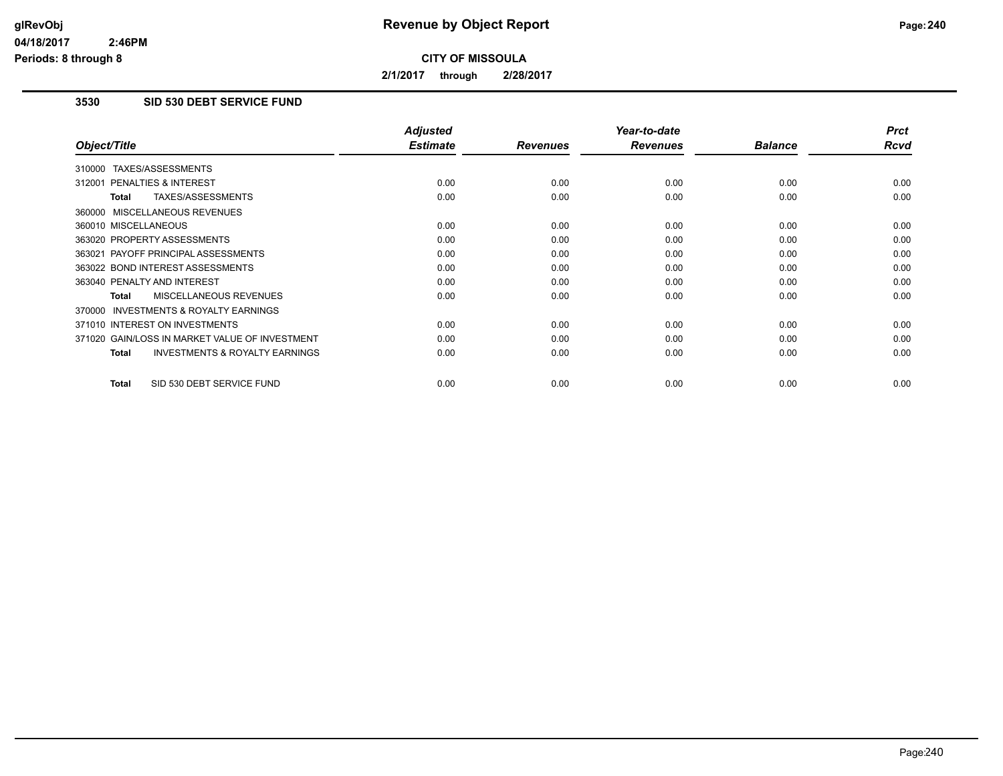**2/1/2017 through 2/28/2017**

#### **3530 SID 530 DEBT SERVICE FUND**

|                                                           | <b>Adjusted</b> |                 | Year-to-date    |                | <b>Prct</b> |
|-----------------------------------------------------------|-----------------|-----------------|-----------------|----------------|-------------|
| Object/Title                                              | <b>Estimate</b> | <b>Revenues</b> | <b>Revenues</b> | <b>Balance</b> | <b>Rcvd</b> |
| 310000 TAXES/ASSESSMENTS                                  |                 |                 |                 |                |             |
| 312001 PENALTIES & INTEREST                               | 0.00            | 0.00            | 0.00            | 0.00           | 0.00        |
| TAXES/ASSESSMENTS<br>Total                                | 0.00            | 0.00            | 0.00            | 0.00           | 0.00        |
| 360000 MISCELLANEOUS REVENUES                             |                 |                 |                 |                |             |
| 360010 MISCELLANEOUS                                      | 0.00            | 0.00            | 0.00            | 0.00           | 0.00        |
| 363020 PROPERTY ASSESSMENTS                               | 0.00            | 0.00            | 0.00            | 0.00           | 0.00        |
| 363021 PAYOFF PRINCIPAL ASSESSMENTS                       | 0.00            | 0.00            | 0.00            | 0.00           | 0.00        |
| 363022 BOND INTEREST ASSESSMENTS                          | 0.00            | 0.00            | 0.00            | 0.00           | 0.00        |
| 363040 PENALTY AND INTEREST                               | 0.00            | 0.00            | 0.00            | 0.00           | 0.00        |
| <b>MISCELLANEOUS REVENUES</b><br>Total                    | 0.00            | 0.00            | 0.00            | 0.00           | 0.00        |
| INVESTMENTS & ROYALTY EARNINGS<br>370000                  |                 |                 |                 |                |             |
| 371010 INTEREST ON INVESTMENTS                            | 0.00            | 0.00            | 0.00            | 0.00           | 0.00        |
| 371020 GAIN/LOSS IN MARKET VALUE OF INVESTMENT            | 0.00            | 0.00            | 0.00            | 0.00           | 0.00        |
| <b>INVESTMENTS &amp; ROYALTY EARNINGS</b><br><b>Total</b> | 0.00            | 0.00            | 0.00            | 0.00           | 0.00        |
| SID 530 DEBT SERVICE FUND<br><b>Total</b>                 | 0.00            | 0.00            | 0.00            | 0.00           | 0.00        |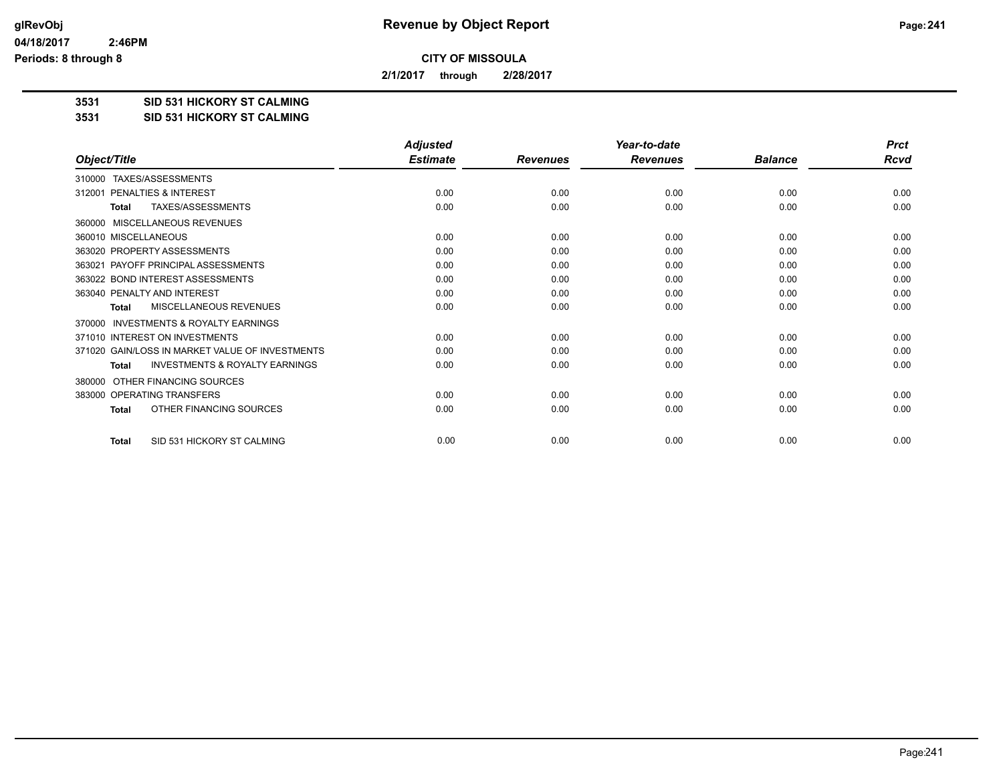**2/1/2017 through 2/28/2017**

**3531 SID 531 HICKORY ST CALMING**

**3531 SID 531 HICKORY ST CALMING**

|                                                     | <b>Adjusted</b> |                 | Year-to-date    |                | <b>Prct</b> |
|-----------------------------------------------------|-----------------|-----------------|-----------------|----------------|-------------|
| Object/Title                                        | <b>Estimate</b> | <b>Revenues</b> | <b>Revenues</b> | <b>Balance</b> | Rcvd        |
| TAXES/ASSESSMENTS<br>310000                         |                 |                 |                 |                |             |
| 312001 PENALTIES & INTEREST                         | 0.00            | 0.00            | 0.00            | 0.00           | 0.00        |
| TAXES/ASSESSMENTS<br><b>Total</b>                   | 0.00            | 0.00            | 0.00            | 0.00           | 0.00        |
| MISCELLANEOUS REVENUES<br>360000                    |                 |                 |                 |                |             |
| 360010 MISCELLANEOUS                                | 0.00            | 0.00            | 0.00            | 0.00           | 0.00        |
| 363020 PROPERTY ASSESSMENTS                         | 0.00            | 0.00            | 0.00            | 0.00           | 0.00        |
| 363021 PAYOFF PRINCIPAL ASSESSMENTS                 | 0.00            | 0.00            | 0.00            | 0.00           | 0.00        |
| 363022 BOND INTEREST ASSESSMENTS                    | 0.00            | 0.00            | 0.00            | 0.00           | 0.00        |
| 363040 PENALTY AND INTEREST                         | 0.00            | 0.00            | 0.00            | 0.00           | 0.00        |
| MISCELLANEOUS REVENUES<br>Total                     | 0.00            | 0.00            | 0.00            | 0.00           | 0.00        |
| <b>INVESTMENTS &amp; ROYALTY EARNINGS</b><br>370000 |                 |                 |                 |                |             |
| 371010 INTEREST ON INVESTMENTS                      | 0.00            | 0.00            | 0.00            | 0.00           | 0.00        |
| 371020 GAIN/LOSS IN MARKET VALUE OF INVESTMENTS     | 0.00            | 0.00            | 0.00            | 0.00           | 0.00        |
| <b>INVESTMENTS &amp; ROYALTY EARNINGS</b><br>Total  | 0.00            | 0.00            | 0.00            | 0.00           | 0.00        |
| OTHER FINANCING SOURCES<br>380000                   |                 |                 |                 |                |             |
| 383000 OPERATING TRANSFERS                          | 0.00            | 0.00            | 0.00            | 0.00           | 0.00        |
| OTHER FINANCING SOURCES<br>Total                    | 0.00            | 0.00            | 0.00            | 0.00           | 0.00        |
| SID 531 HICKORY ST CALMING<br>Total                 | 0.00            | 0.00            | 0.00            | 0.00           | 0.00        |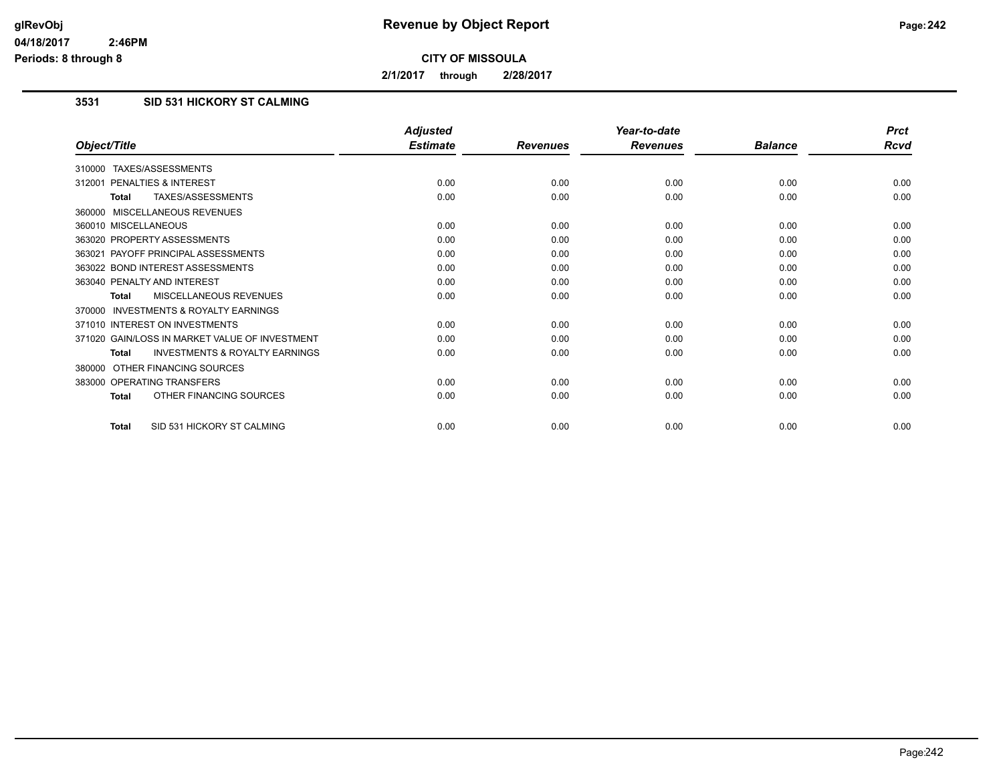**2/1/2017 through 2/28/2017**

#### **3531 SID 531 HICKORY ST CALMING**

|                                                           | <b>Adjusted</b> |                 | Year-to-date    |                | <b>Prct</b> |
|-----------------------------------------------------------|-----------------|-----------------|-----------------|----------------|-------------|
| Object/Title                                              | <b>Estimate</b> | <b>Revenues</b> | <b>Revenues</b> | <b>Balance</b> | Rcvd        |
| 310000 TAXES/ASSESSMENTS                                  |                 |                 |                 |                |             |
| PENALTIES & INTEREST<br>312001                            | 0.00            | 0.00            | 0.00            | 0.00           | 0.00        |
| TAXES/ASSESSMENTS<br><b>Total</b>                         | 0.00            | 0.00            | 0.00            | 0.00           | 0.00        |
| 360000 MISCELLANEOUS REVENUES                             |                 |                 |                 |                |             |
| 360010 MISCELLANEOUS                                      | 0.00            | 0.00            | 0.00            | 0.00           | 0.00        |
| 363020 PROPERTY ASSESSMENTS                               | 0.00            | 0.00            | 0.00            | 0.00           | 0.00        |
| 363021 PAYOFF PRINCIPAL ASSESSMENTS                       | 0.00            | 0.00            | 0.00            | 0.00           | 0.00        |
| 363022 BOND INTEREST ASSESSMENTS                          | 0.00            | 0.00            | 0.00            | 0.00           | 0.00        |
| 363040 PENALTY AND INTEREST                               | 0.00            | 0.00            | 0.00            | 0.00           | 0.00        |
| MISCELLANEOUS REVENUES<br><b>Total</b>                    | 0.00            | 0.00            | 0.00            | 0.00           | 0.00        |
| <b>INVESTMENTS &amp; ROYALTY EARNINGS</b><br>370000       |                 |                 |                 |                |             |
| 371010 INTEREST ON INVESTMENTS                            | 0.00            | 0.00            | 0.00            | 0.00           | 0.00        |
| 371020 GAIN/LOSS IN MARKET VALUE OF INVESTMENT            | 0.00            | 0.00            | 0.00            | 0.00           | 0.00        |
| <b>INVESTMENTS &amp; ROYALTY EARNINGS</b><br><b>Total</b> | 0.00            | 0.00            | 0.00            | 0.00           | 0.00        |
| OTHER FINANCING SOURCES<br>380000                         |                 |                 |                 |                |             |
| 383000 OPERATING TRANSFERS                                | 0.00            | 0.00            | 0.00            | 0.00           | 0.00        |
| OTHER FINANCING SOURCES<br>Total                          | 0.00            | 0.00            | 0.00            | 0.00           | 0.00        |
| SID 531 HICKORY ST CALMING<br><b>Total</b>                | 0.00            | 0.00            | 0.00            | 0.00           | 0.00        |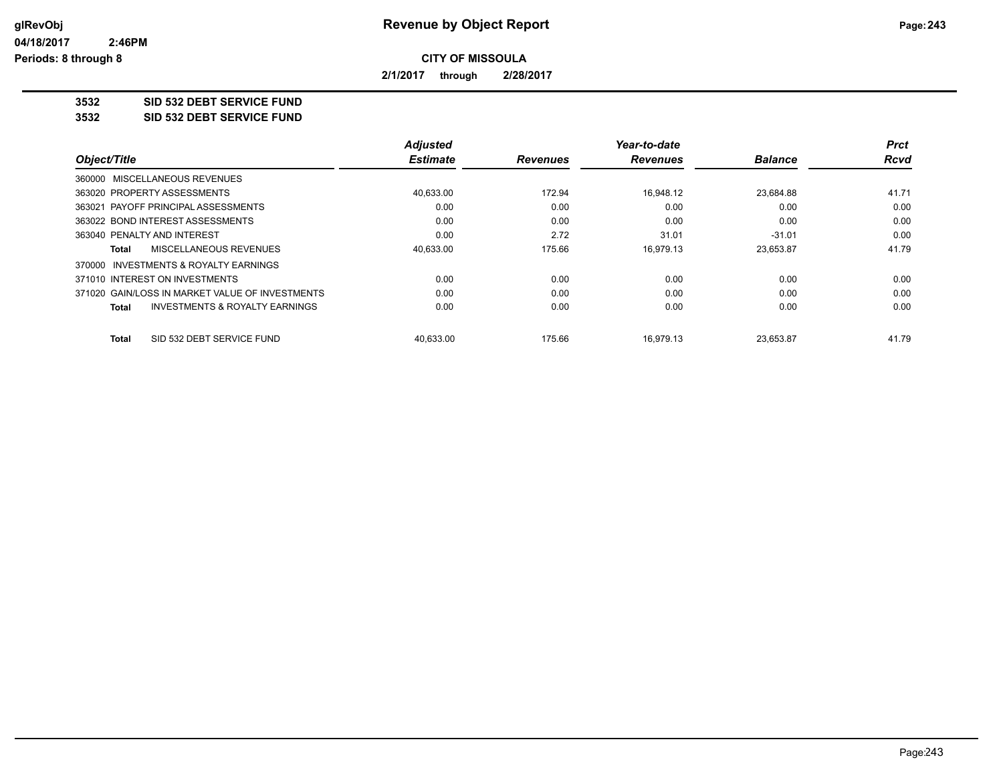**2/1/2017 through 2/28/2017**

**3532 SID 532 DEBT SERVICE FUND**

**3532 SID 532 DEBT SERVICE FUND**

|                                                    | <b>Adjusted</b> |                 | Year-to-date    |                | <b>Prct</b> |
|----------------------------------------------------|-----------------|-----------------|-----------------|----------------|-------------|
| Object/Title                                       | <b>Estimate</b> | <b>Revenues</b> | <b>Revenues</b> | <b>Balance</b> | Rcvd        |
| 360000 MISCELLANEOUS REVENUES                      |                 |                 |                 |                |             |
| 363020 PROPERTY ASSESSMENTS                        | 40,633.00       | 172.94          | 16.948.12       | 23.684.88      | 41.71       |
| 363021 PAYOFF PRINCIPAL ASSESSMENTS                | 0.00            | 0.00            | 0.00            | 0.00           | 0.00        |
| 363022 BOND INTEREST ASSESSMENTS                   | 0.00            | 0.00            | 0.00            | 0.00           | 0.00        |
| 363040 PENALTY AND INTEREST                        | 0.00            | 2.72            | 31.01           | $-31.01$       | 0.00        |
| MISCELLANEOUS REVENUES<br>Total                    | 40,633.00       | 175.66          | 16.979.13       | 23,653.87      | 41.79       |
| 370000 INVESTMENTS & ROYALTY EARNINGS              |                 |                 |                 |                |             |
| 371010 INTEREST ON INVESTMENTS                     | 0.00            | 0.00            | 0.00            | 0.00           | 0.00        |
| 371020 GAIN/LOSS IN MARKET VALUE OF INVESTMENTS    | 0.00            | 0.00            | 0.00            | 0.00           | 0.00        |
| <b>INVESTMENTS &amp; ROYALTY EARNINGS</b><br>Total | 0.00            | 0.00            | 0.00            | 0.00           | 0.00        |
| SID 532 DEBT SERVICE FUND<br><b>Total</b>          | 40.633.00       | 175.66          | 16.979.13       | 23.653.87      | 41.79       |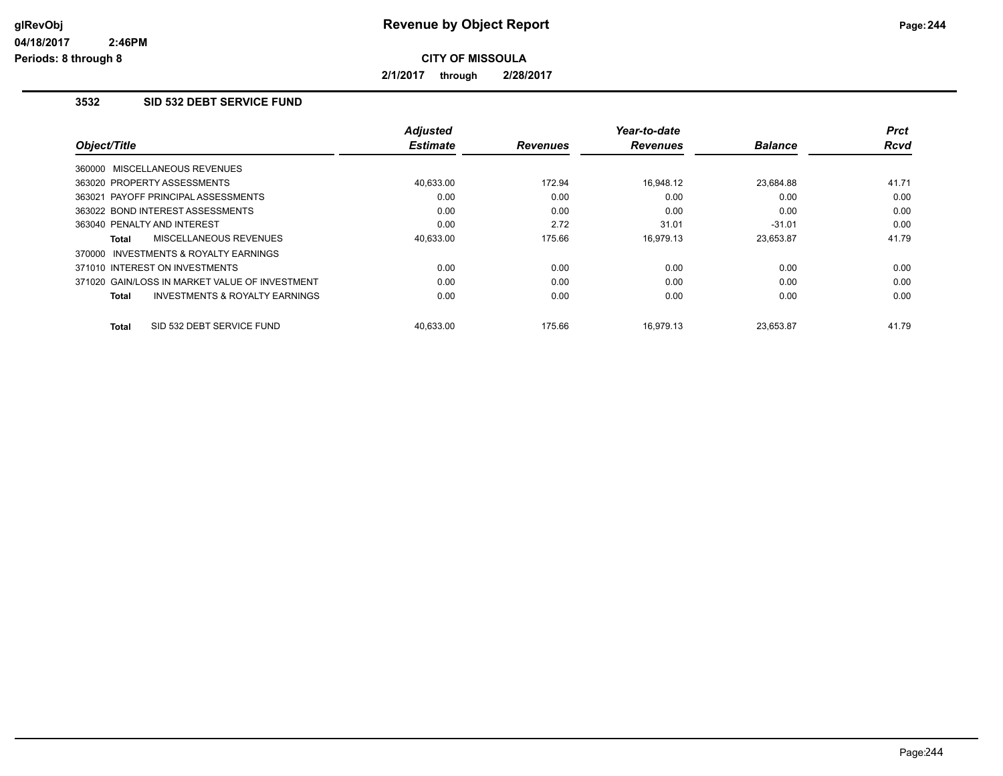**2/1/2017 through 2/28/2017**

#### **3532 SID 532 DEBT SERVICE FUND**

|                                                    | <b>Adjusted</b> |                 | Year-to-date    |                | <b>Prct</b> |
|----------------------------------------------------|-----------------|-----------------|-----------------|----------------|-------------|
| Object/Title                                       | <b>Estimate</b> | <b>Revenues</b> | <b>Revenues</b> | <b>Balance</b> | <b>Rcvd</b> |
| 360000 MISCELLANEOUS REVENUES                      |                 |                 |                 |                |             |
| 363020 PROPERTY ASSESSMENTS                        | 40.633.00       | 172.94          | 16.948.12       | 23.684.88      | 41.71       |
| 363021 PAYOFF PRINCIPAL ASSESSMENTS                | 0.00            | 0.00            | 0.00            | 0.00           | 0.00        |
| 363022 BOND INTEREST ASSESSMENTS                   | 0.00            | 0.00            | 0.00            | 0.00           | 0.00        |
| 363040 PENALTY AND INTEREST                        | 0.00            | 2.72            | 31.01           | $-31.01$       | 0.00        |
| MISCELLANEOUS REVENUES<br>Total                    | 40,633.00       | 175.66          | 16,979.13       | 23,653.87      | 41.79       |
| 370000 INVESTMENTS & ROYALTY EARNINGS              |                 |                 |                 |                |             |
| 371010 INTEREST ON INVESTMENTS                     | 0.00            | 0.00            | 0.00            | 0.00           | 0.00        |
| 371020 GAIN/LOSS IN MARKET VALUE OF INVESTMENT     | 0.00            | 0.00            | 0.00            | 0.00           | 0.00        |
| <b>INVESTMENTS &amp; ROYALTY EARNINGS</b><br>Total | 0.00            | 0.00            | 0.00            | 0.00           | 0.00        |
| SID 532 DEBT SERVICE FUND<br><b>Total</b>          | 40.633.00       | 175.66          | 16.979.13       | 23.653.87      | 41.79       |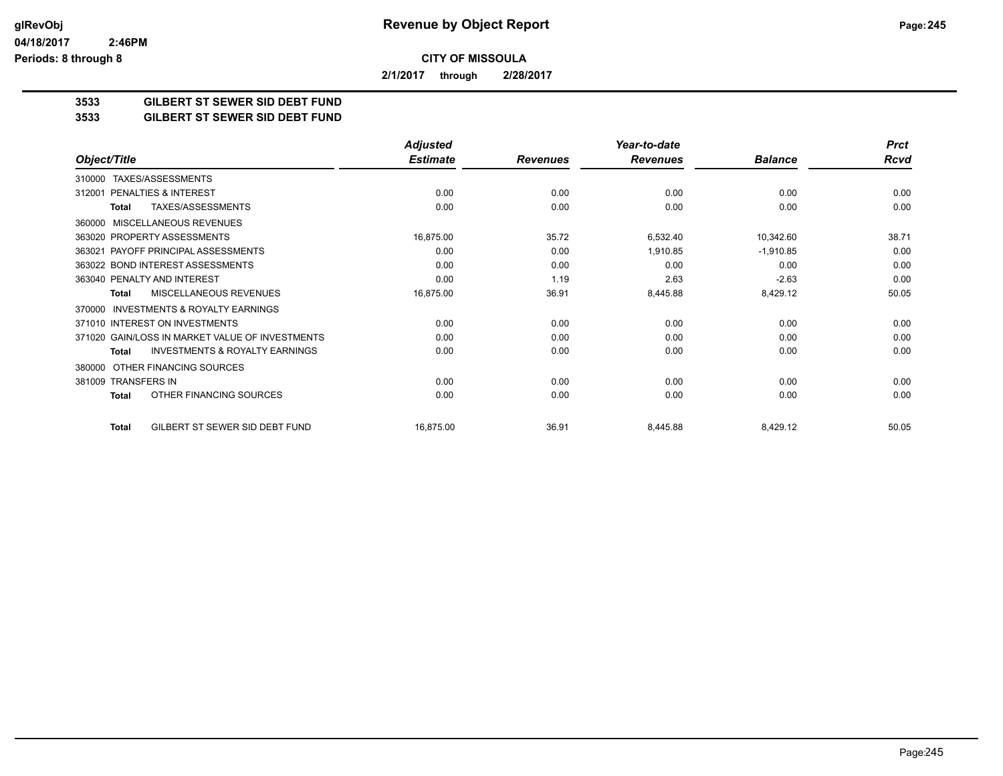**2/1/2017 through 2/28/2017**

# **3533 GILBERT ST SEWER SID DEBT FUND**

## **3533 GILBERT ST SEWER SID DEBT FUND**

|                                                           | <b>Adjusted</b> |                 | Year-to-date    |                | <b>Prct</b> |
|-----------------------------------------------------------|-----------------|-----------------|-----------------|----------------|-------------|
| Object/Title                                              | <b>Estimate</b> | <b>Revenues</b> | <b>Revenues</b> | <b>Balance</b> | <b>Rcvd</b> |
| TAXES/ASSESSMENTS<br>310000                               |                 |                 |                 |                |             |
| <b>PENALTIES &amp; INTEREST</b><br>312001                 | 0.00            | 0.00            | 0.00            | 0.00           | 0.00        |
| TAXES/ASSESSMENTS<br>Total                                | 0.00            | 0.00            | 0.00            | 0.00           | 0.00        |
| MISCELLANEOUS REVENUES<br>360000                          |                 |                 |                 |                |             |
| 363020 PROPERTY ASSESSMENTS                               | 16,875.00       | 35.72           | 6,532.40        | 10,342.60      | 38.71       |
| PAYOFF PRINCIPAL ASSESSMENTS<br>363021                    | 0.00            | 0.00            | 1,910.85        | $-1,910.85$    | 0.00        |
| 363022 BOND INTEREST ASSESSMENTS                          | 0.00            | 0.00            | 0.00            | 0.00           | 0.00        |
| 363040 PENALTY AND INTEREST                               | 0.00            | 1.19            | 2.63            | $-2.63$        | 0.00        |
| MISCELLANEOUS REVENUES<br>Total                           | 16,875.00       | 36.91           | 8,445.88        | 8,429.12       | 50.05       |
| <b>INVESTMENTS &amp; ROYALTY EARNINGS</b><br>370000       |                 |                 |                 |                |             |
| 371010 INTEREST ON INVESTMENTS                            | 0.00            | 0.00            | 0.00            | 0.00           | 0.00        |
| 371020 GAIN/LOSS IN MARKET VALUE OF INVESTMENTS           | 0.00            | 0.00            | 0.00            | 0.00           | 0.00        |
| <b>INVESTMENTS &amp; ROYALTY EARNINGS</b><br><b>Total</b> | 0.00            | 0.00            | 0.00            | 0.00           | 0.00        |
| OTHER FINANCING SOURCES<br>380000                         |                 |                 |                 |                |             |
| 381009 TRANSFERS IN                                       | 0.00            | 0.00            | 0.00            | 0.00           | 0.00        |
| OTHER FINANCING SOURCES<br><b>Total</b>                   | 0.00            | 0.00            | 0.00            | 0.00           | 0.00        |
| GILBERT ST SEWER SID DEBT FUND<br><b>Total</b>            | 16,875.00       | 36.91           | 8,445.88        | 8,429.12       | 50.05       |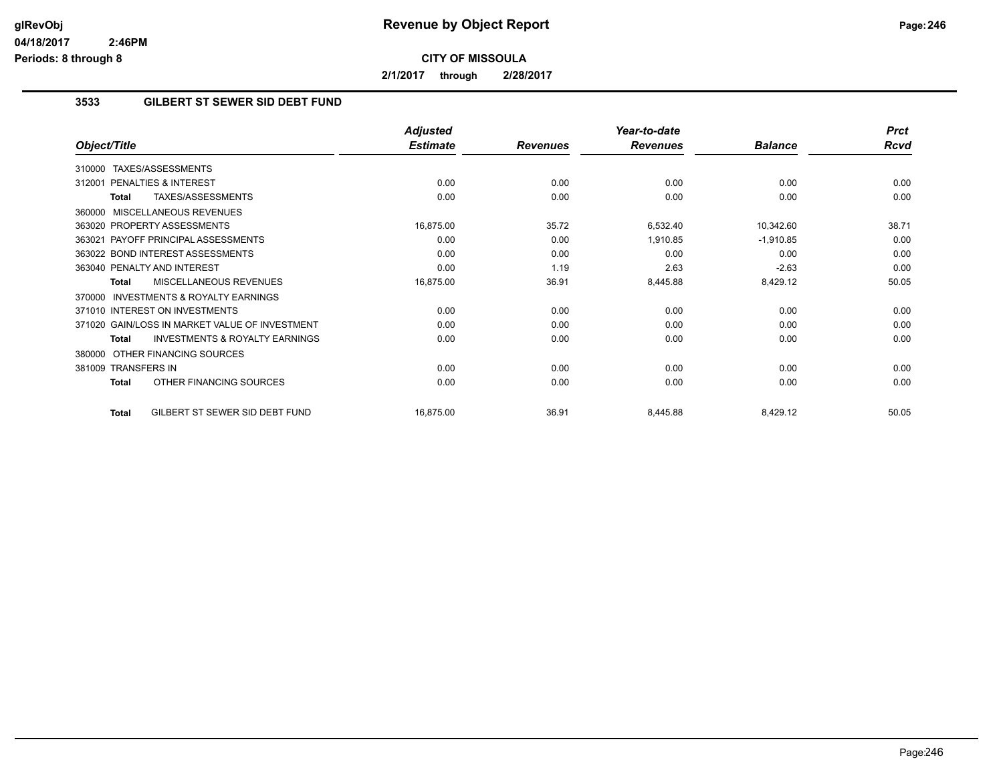**2/1/2017 through 2/28/2017**

#### **3533 GILBERT ST SEWER SID DEBT FUND**

|                                                           | <b>Adjusted</b> |                 | Year-to-date    |                | <b>Prct</b> |
|-----------------------------------------------------------|-----------------|-----------------|-----------------|----------------|-------------|
| Object/Title                                              | <b>Estimate</b> | <b>Revenues</b> | <b>Revenues</b> | <b>Balance</b> | <b>Rcvd</b> |
| TAXES/ASSESSMENTS<br>310000                               |                 |                 |                 |                |             |
| 312001 PENALTIES & INTEREST                               | 0.00            | 0.00            | 0.00            | 0.00           | 0.00        |
| TAXES/ASSESSMENTS<br><b>Total</b>                         | 0.00            | 0.00            | 0.00            | 0.00           | 0.00        |
| MISCELLANEOUS REVENUES<br>360000                          |                 |                 |                 |                |             |
| 363020 PROPERTY ASSESSMENTS                               | 16,875.00       | 35.72           | 6,532.40        | 10,342.60      | 38.71       |
| 363021 PAYOFF PRINCIPAL ASSESSMENTS                       | 0.00            | 0.00            | 1,910.85        | $-1,910.85$    | 0.00        |
| 363022 BOND INTEREST ASSESSMENTS                          | 0.00            | 0.00            | 0.00            | 0.00           | 0.00        |
| 363040 PENALTY AND INTEREST                               | 0.00            | 1.19            | 2.63            | $-2.63$        | 0.00        |
| MISCELLANEOUS REVENUES<br>Total                           | 16,875.00       | 36.91           | 8,445.88        | 8,429.12       | 50.05       |
| <b>INVESTMENTS &amp; ROYALTY EARNINGS</b><br>370000       |                 |                 |                 |                |             |
| 371010 INTEREST ON INVESTMENTS                            | 0.00            | 0.00            | 0.00            | 0.00           | 0.00        |
| 371020 GAIN/LOSS IN MARKET VALUE OF INVESTMENT            | 0.00            | 0.00            | 0.00            | 0.00           | 0.00        |
| <b>INVESTMENTS &amp; ROYALTY EARNINGS</b><br><b>Total</b> | 0.00            | 0.00            | 0.00            | 0.00           | 0.00        |
| OTHER FINANCING SOURCES<br>380000                         |                 |                 |                 |                |             |
| 381009 TRANSFERS IN                                       | 0.00            | 0.00            | 0.00            | 0.00           | 0.00        |
| OTHER FINANCING SOURCES<br><b>Total</b>                   | 0.00            | 0.00            | 0.00            | 0.00           | 0.00        |
| GILBERT ST SEWER SID DEBT FUND<br><b>Total</b>            | 16,875.00       | 36.91           | 8,445.88        | 8,429.12       | 50.05       |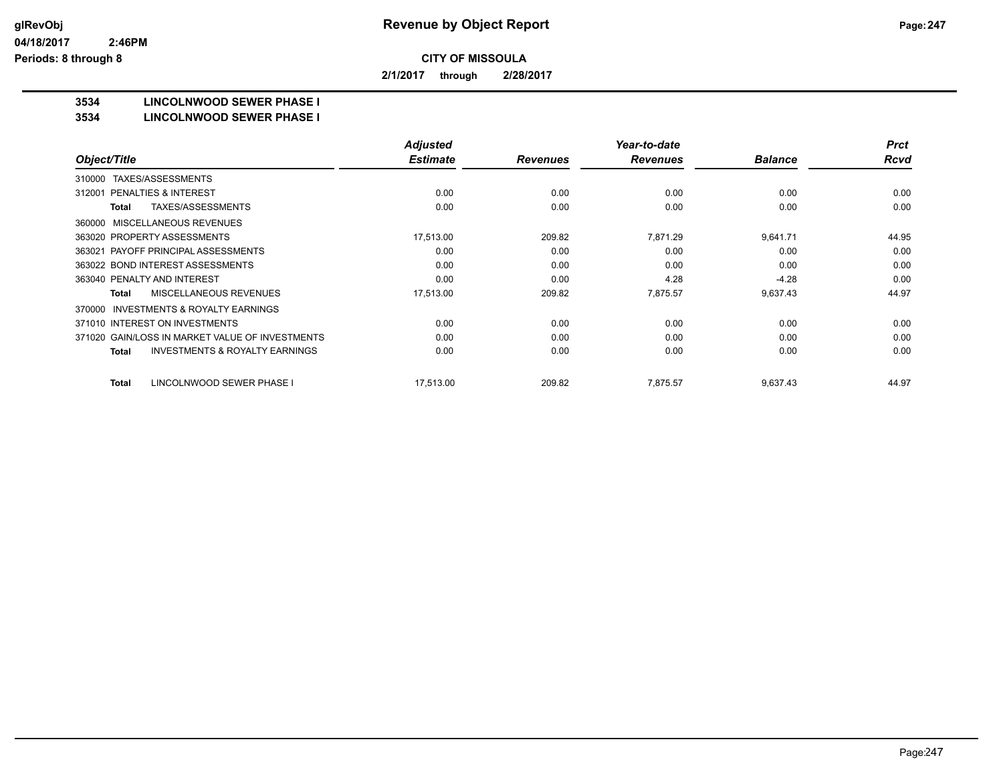**2/1/2017 through 2/28/2017**

**3534 LINCOLNWOOD SEWER PHASE I**

| 3534 | LINCOLNWOOD SEWER PHASE I |
|------|---------------------------|
|      |                           |

|                                                     | <b>Adjusted</b> |                 | Year-to-date    |                | <b>Prct</b> |
|-----------------------------------------------------|-----------------|-----------------|-----------------|----------------|-------------|
| Object/Title                                        | <b>Estimate</b> | <b>Revenues</b> | <b>Revenues</b> | <b>Balance</b> | <b>Rcvd</b> |
| TAXES/ASSESSMENTS<br>310000                         |                 |                 |                 |                |             |
| <b>PENALTIES &amp; INTEREST</b><br>312001           | 0.00            | 0.00            | 0.00            | 0.00           | 0.00        |
| TAXES/ASSESSMENTS<br>Total                          | 0.00            | 0.00            | 0.00            | 0.00           | 0.00        |
| MISCELLANEOUS REVENUES<br>360000                    |                 |                 |                 |                |             |
| 363020 PROPERTY ASSESSMENTS                         | 17,513.00       | 209.82          | 7,871.29        | 9,641.71       | 44.95       |
| 363021 PAYOFF PRINCIPAL ASSESSMENTS                 | 0.00            | 0.00            | 0.00            | 0.00           | 0.00        |
| 363022 BOND INTEREST ASSESSMENTS                    | 0.00            | 0.00            | 0.00            | 0.00           | 0.00        |
| 363040 PENALTY AND INTEREST                         | 0.00            | 0.00            | 4.28            | $-4.28$        | 0.00        |
| MISCELLANEOUS REVENUES<br>Total                     | 17,513.00       | 209.82          | 7,875.57        | 9,637.43       | 44.97       |
| <b>INVESTMENTS &amp; ROYALTY EARNINGS</b><br>370000 |                 |                 |                 |                |             |
| 371010 INTEREST ON INVESTMENTS                      | 0.00            | 0.00            | 0.00            | 0.00           | 0.00        |
| 371020 GAIN/LOSS IN MARKET VALUE OF INVESTMENTS     | 0.00            | 0.00            | 0.00            | 0.00           | 0.00        |
| <b>INVESTMENTS &amp; ROYALTY EARNINGS</b><br>Total  | 0.00            | 0.00            | 0.00            | 0.00           | 0.00        |
| LINCOLNWOOD SEWER PHASE I<br><b>Total</b>           | 17.513.00       | 209.82          | 7.875.57        | 9,637.43       | 44.97       |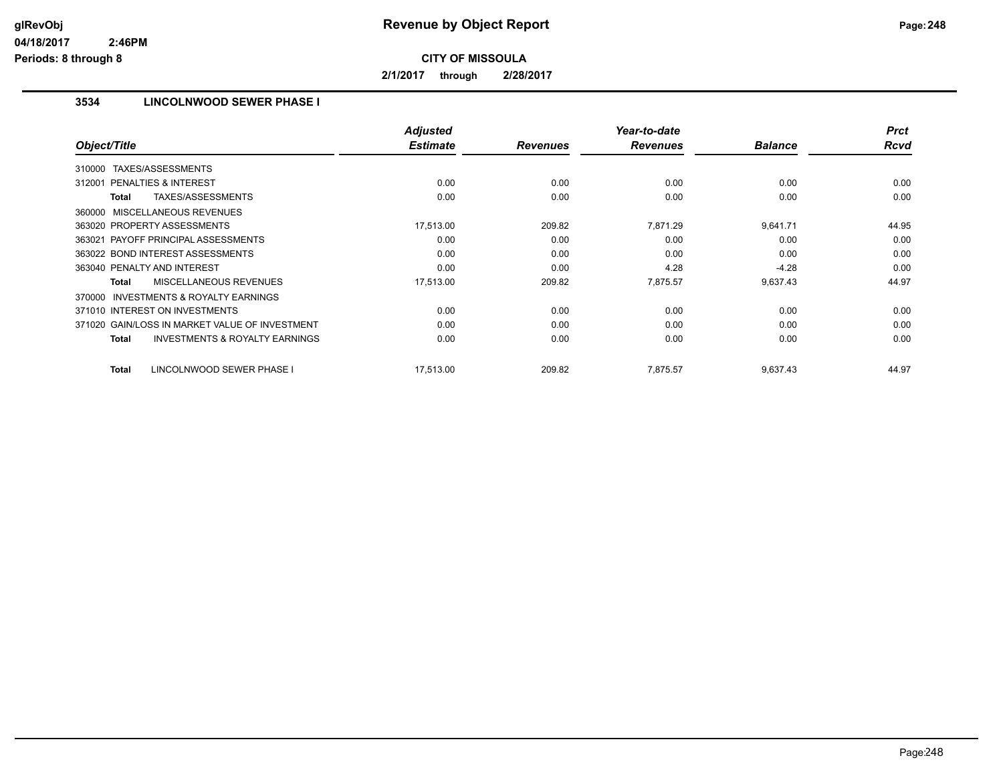**2/1/2017 through 2/28/2017**

#### **3534 LINCOLNWOOD SEWER PHASE I**

|                                                           | <b>Adjusted</b> |                 | Year-to-date    |                | <b>Prct</b> |
|-----------------------------------------------------------|-----------------|-----------------|-----------------|----------------|-------------|
| Object/Title                                              | <b>Estimate</b> | <b>Revenues</b> | <b>Revenues</b> | <b>Balance</b> | <b>Rcvd</b> |
| TAXES/ASSESSMENTS<br>310000                               |                 |                 |                 |                |             |
| 312001 PENALTIES & INTEREST                               | 0.00            | 0.00            | 0.00            | 0.00           | 0.00        |
| TAXES/ASSESSMENTS<br>Total                                | 0.00            | 0.00            | 0.00            | 0.00           | 0.00        |
| MISCELLANEOUS REVENUES<br>360000                          |                 |                 |                 |                |             |
| 363020 PROPERTY ASSESSMENTS                               | 17,513.00       | 209.82          | 7,871.29        | 9,641.71       | 44.95       |
| 363021 PAYOFF PRINCIPAL ASSESSMENTS                       | 0.00            | 0.00            | 0.00            | 0.00           | 0.00        |
| 363022 BOND INTEREST ASSESSMENTS                          | 0.00            | 0.00            | 0.00            | 0.00           | 0.00        |
| 363040 PENALTY AND INTEREST                               | 0.00            | 0.00            | 4.28            | $-4.28$        | 0.00        |
| <b>MISCELLANEOUS REVENUES</b><br>Total                    | 17,513.00       | 209.82          | 7,875.57        | 9,637.43       | 44.97       |
| <b>INVESTMENTS &amp; ROYALTY EARNINGS</b><br>370000       |                 |                 |                 |                |             |
| 371010 INTEREST ON INVESTMENTS                            | 0.00            | 0.00            | 0.00            | 0.00           | 0.00        |
| 371020 GAIN/LOSS IN MARKET VALUE OF INVESTMENT            | 0.00            | 0.00            | 0.00            | 0.00           | 0.00        |
| <b>INVESTMENTS &amp; ROYALTY EARNINGS</b><br><b>Total</b> | 0.00            | 0.00            | 0.00            | 0.00           | 0.00        |
| LINCOLNWOOD SEWER PHASE I<br>Total                        | 17,513.00       | 209.82          | 7,875.57        | 9,637.43       | 44.97       |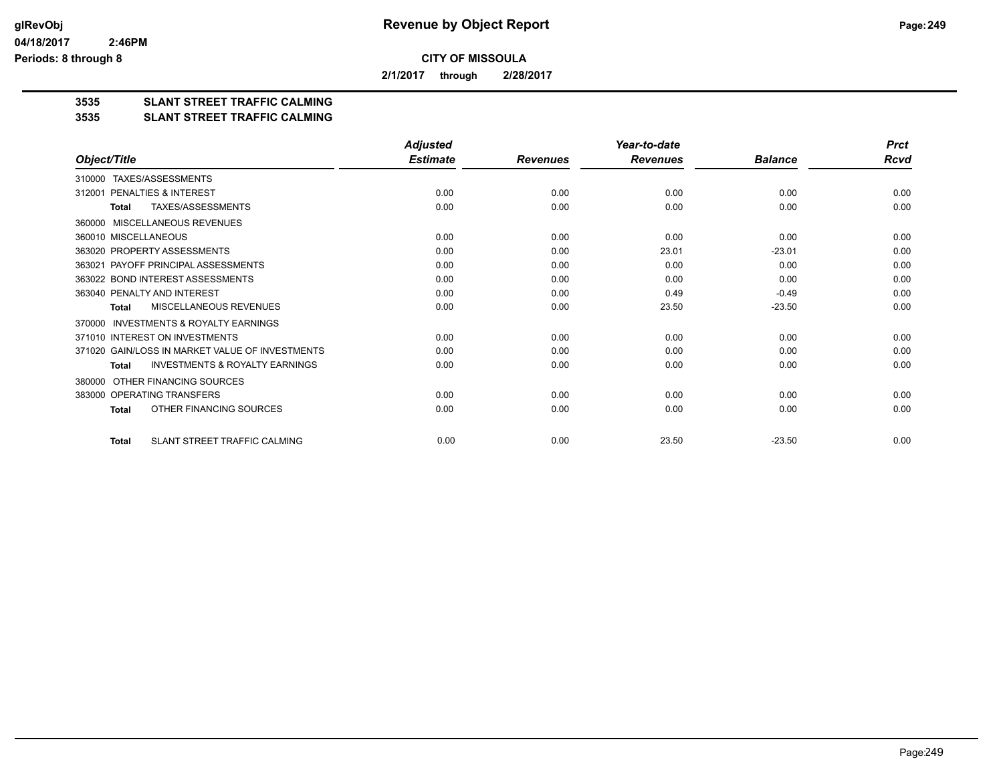**2/1/2017 through 2/28/2017**

# **3535 SLANT STREET TRAFFIC CALMING**

## **3535 SLANT STREET TRAFFIC CALMING**

|                                                     | <b>Adjusted</b> |                 | Year-to-date    |                | <b>Prct</b> |
|-----------------------------------------------------|-----------------|-----------------|-----------------|----------------|-------------|
| Object/Title                                        | <b>Estimate</b> | <b>Revenues</b> | <b>Revenues</b> | <b>Balance</b> | <b>Rcvd</b> |
| TAXES/ASSESSMENTS<br>310000                         |                 |                 |                 |                |             |
| PENALTIES & INTEREST<br>312001                      | 0.00            | 0.00            | 0.00            | 0.00           | 0.00        |
| TAXES/ASSESSMENTS<br><b>Total</b>                   | 0.00            | 0.00            | 0.00            | 0.00           | 0.00        |
| 360000 MISCELLANEOUS REVENUES                       |                 |                 |                 |                |             |
| 360010 MISCELLANEOUS                                | 0.00            | 0.00            | 0.00            | 0.00           | 0.00        |
| 363020 PROPERTY ASSESSMENTS                         | 0.00            | 0.00            | 23.01           | $-23.01$       | 0.00        |
| 363021 PAYOFF PRINCIPAL ASSESSMENTS                 | 0.00            | 0.00            | 0.00            | 0.00           | 0.00        |
| 363022 BOND INTEREST ASSESSMENTS                    | 0.00            | 0.00            | 0.00            | 0.00           | 0.00        |
| 363040 PENALTY AND INTEREST                         | 0.00            | 0.00            | 0.49            | $-0.49$        | 0.00        |
| MISCELLANEOUS REVENUES<br><b>Total</b>              | 0.00            | 0.00            | 23.50           | $-23.50$       | 0.00        |
| <b>INVESTMENTS &amp; ROYALTY EARNINGS</b><br>370000 |                 |                 |                 |                |             |
| 371010 INTEREST ON INVESTMENTS                      | 0.00            | 0.00            | 0.00            | 0.00           | 0.00        |
| 371020 GAIN/LOSS IN MARKET VALUE OF INVESTMENTS     | 0.00            | 0.00            | 0.00            | 0.00           | 0.00        |
| <b>INVESTMENTS &amp; ROYALTY EARNINGS</b><br>Total  | 0.00            | 0.00            | 0.00            | 0.00           | 0.00        |
| OTHER FINANCING SOURCES<br>380000                   |                 |                 |                 |                |             |
| 383000 OPERATING TRANSFERS                          | 0.00            | 0.00            | 0.00            | 0.00           | 0.00        |
| OTHER FINANCING SOURCES<br><b>Total</b>             | 0.00            | 0.00            | 0.00            | 0.00           | 0.00        |
| SLANT STREET TRAFFIC CALMING<br><b>Total</b>        | 0.00            | 0.00            | 23.50           | $-23.50$       | 0.00        |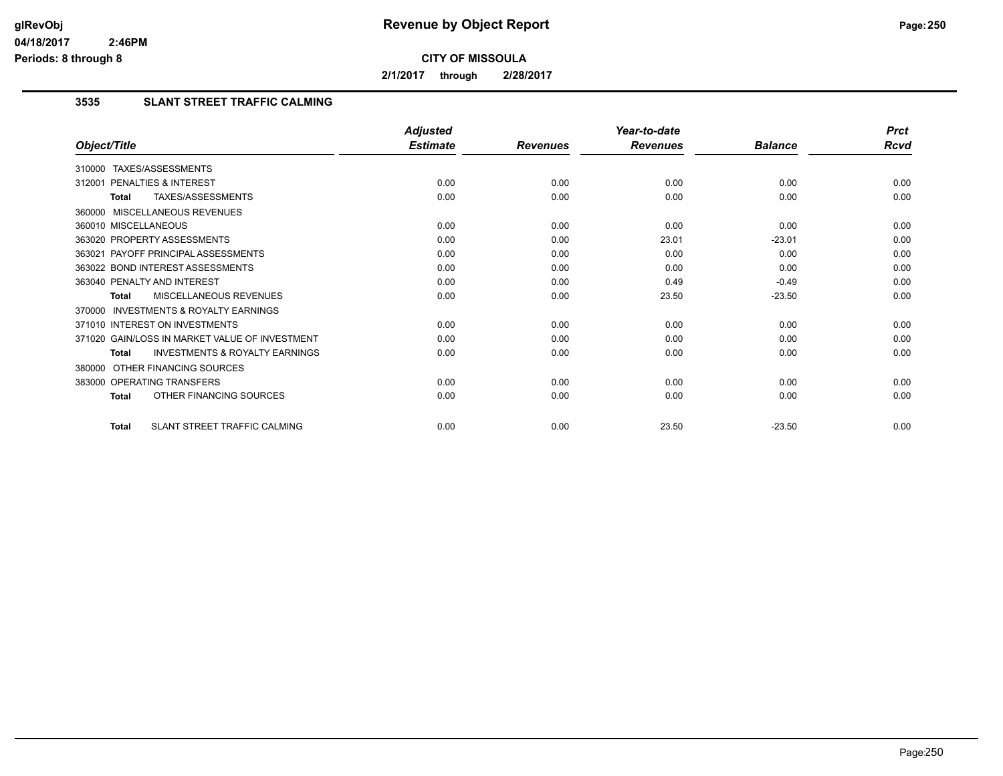**2/1/2017 through 2/28/2017**

### **3535 SLANT STREET TRAFFIC CALMING**

|                                                           | <b>Adjusted</b> |                 | Year-to-date    |                | <b>Prct</b> |
|-----------------------------------------------------------|-----------------|-----------------|-----------------|----------------|-------------|
| Object/Title                                              | <b>Estimate</b> | <b>Revenues</b> | <b>Revenues</b> | <b>Balance</b> | Rcvd        |
| 310000 TAXES/ASSESSMENTS                                  |                 |                 |                 |                |             |
| PENALTIES & INTEREST<br>312001                            | 0.00            | 0.00            | 0.00            | 0.00           | 0.00        |
| TAXES/ASSESSMENTS<br><b>Total</b>                         | 0.00            | 0.00            | 0.00            | 0.00           | 0.00        |
| 360000 MISCELLANEOUS REVENUES                             |                 |                 |                 |                |             |
| 360010 MISCELLANEOUS                                      | 0.00            | 0.00            | 0.00            | 0.00           | 0.00        |
| 363020 PROPERTY ASSESSMENTS                               | 0.00            | 0.00            | 23.01           | $-23.01$       | 0.00        |
| 363021 PAYOFF PRINCIPAL ASSESSMENTS                       | 0.00            | 0.00            | 0.00            | 0.00           | 0.00        |
| 363022 BOND INTEREST ASSESSMENTS                          | 0.00            | 0.00            | 0.00            | 0.00           | 0.00        |
| 363040 PENALTY AND INTEREST                               | 0.00            | 0.00            | 0.49            | $-0.49$        | 0.00        |
| MISCELLANEOUS REVENUES<br><b>Total</b>                    | 0.00            | 0.00            | 23.50           | $-23.50$       | 0.00        |
| <b>INVESTMENTS &amp; ROYALTY EARNINGS</b><br>370000       |                 |                 |                 |                |             |
| 371010 INTEREST ON INVESTMENTS                            | 0.00            | 0.00            | 0.00            | 0.00           | 0.00        |
| 371020 GAIN/LOSS IN MARKET VALUE OF INVESTMENT            | 0.00            | 0.00            | 0.00            | 0.00           | 0.00        |
| <b>INVESTMENTS &amp; ROYALTY EARNINGS</b><br><b>Total</b> | 0.00            | 0.00            | 0.00            | 0.00           | 0.00        |
| 380000 OTHER FINANCING SOURCES                            |                 |                 |                 |                |             |
| 383000 OPERATING TRANSFERS                                | 0.00            | 0.00            | 0.00            | 0.00           | 0.00        |
| OTHER FINANCING SOURCES<br><b>Total</b>                   | 0.00            | 0.00            | 0.00            | 0.00           | 0.00        |
| SLANT STREET TRAFFIC CALMING<br><b>Total</b>              | 0.00            | 0.00            | 23.50           | $-23.50$       | 0.00        |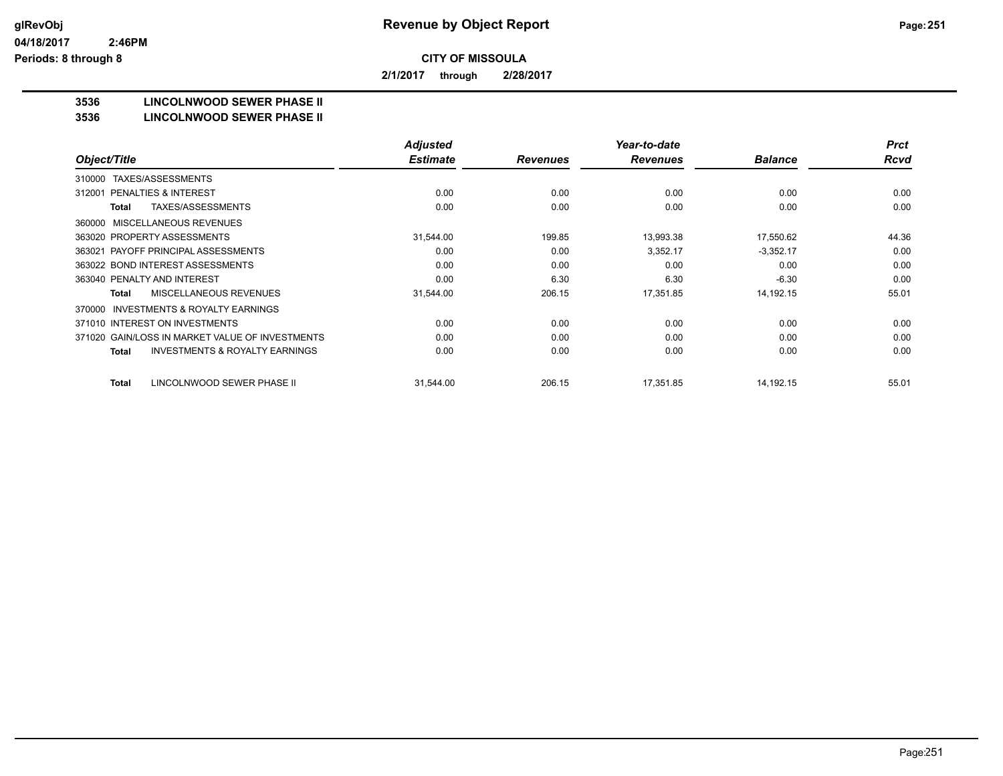**2/1/2017 through 2/28/2017**

# **3536 LINCOLNWOOD SEWER PHASE II**

## **3536 LINCOLNWOOD SEWER PHASE II**

|                                                           | <b>Adjusted</b> |                 | Year-to-date    |                | <b>Prct</b> |
|-----------------------------------------------------------|-----------------|-----------------|-----------------|----------------|-------------|
| Object/Title                                              | <b>Estimate</b> | <b>Revenues</b> | <b>Revenues</b> | <b>Balance</b> | <b>Rcvd</b> |
| TAXES/ASSESSMENTS<br>310000                               |                 |                 |                 |                |             |
| <b>PENALTIES &amp; INTEREST</b><br>312001                 | 0.00            | 0.00            | 0.00            | 0.00           | 0.00        |
| TAXES/ASSESSMENTS<br><b>Total</b>                         | 0.00            | 0.00            | 0.00            | 0.00           | 0.00        |
| <b>MISCELLANEOUS REVENUES</b><br>360000                   |                 |                 |                 |                |             |
| 363020 PROPERTY ASSESSMENTS                               | 31,544.00       | 199.85          | 13,993.38       | 17,550.62      | 44.36       |
| 363021 PAYOFF PRINCIPAL ASSESSMENTS                       | 0.00            | 0.00            | 3,352.17        | $-3,352.17$    | 0.00        |
| 363022 BOND INTEREST ASSESSMENTS                          | 0.00            | 0.00            | 0.00            | 0.00           | 0.00        |
| 363040 PENALTY AND INTEREST                               | 0.00            | 6.30            | 6.30            | $-6.30$        | 0.00        |
| <b>MISCELLANEOUS REVENUES</b><br><b>Total</b>             | 31,544.00       | 206.15          | 17,351.85       | 14,192.15      | 55.01       |
| <b>INVESTMENTS &amp; ROYALTY EARNINGS</b><br>370000       |                 |                 |                 |                |             |
| 371010 INTEREST ON INVESTMENTS                            | 0.00            | 0.00            | 0.00            | 0.00           | 0.00        |
| 371020 GAIN/LOSS IN MARKET VALUE OF INVESTMENTS           | 0.00            | 0.00            | 0.00            | 0.00           | 0.00        |
| <b>INVESTMENTS &amp; ROYALTY EARNINGS</b><br><b>Total</b> | 0.00            | 0.00            | 0.00            | 0.00           | 0.00        |
| LINCOLNWOOD SEWER PHASE II<br>Total                       | 31,544.00       | 206.15          | 17,351.85       | 14,192.15      | 55.01       |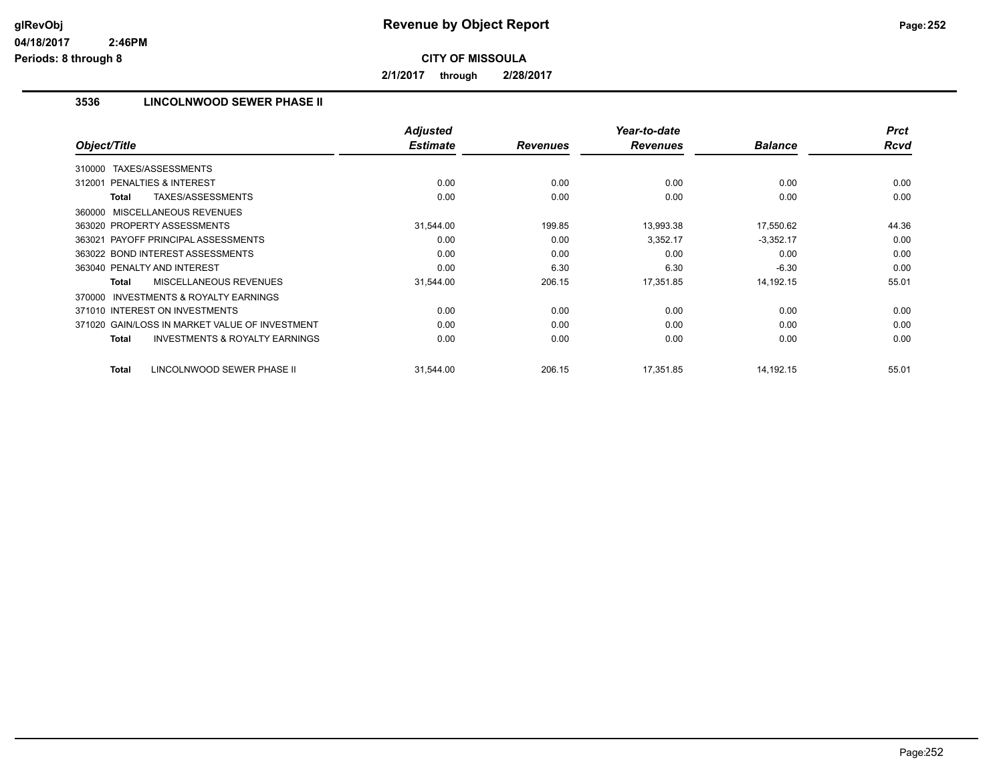**2/1/2017 through 2/28/2017**

#### **3536 LINCOLNWOOD SEWER PHASE II**

| Object/Title                                              | <b>Adjusted</b> |                 | Year-to-date    |                | <b>Prct</b> |
|-----------------------------------------------------------|-----------------|-----------------|-----------------|----------------|-------------|
|                                                           | <b>Estimate</b> | <b>Revenues</b> | <b>Revenues</b> | <b>Balance</b> | <b>Rcvd</b> |
| TAXES/ASSESSMENTS<br>310000                               |                 |                 |                 |                |             |
| 312001 PENALTIES & INTEREST                               | 0.00            | 0.00            | 0.00            | 0.00           | 0.00        |
| TAXES/ASSESSMENTS<br>Total                                | 0.00            | 0.00            | 0.00            | 0.00           | 0.00        |
| MISCELLANEOUS REVENUES<br>360000                          |                 |                 |                 |                |             |
| 363020 PROPERTY ASSESSMENTS                               | 31,544.00       | 199.85          | 13,993.38       | 17,550.62      | 44.36       |
| 363021 PAYOFF PRINCIPAL ASSESSMENTS                       | 0.00            | 0.00            | 3,352.17        | $-3,352.17$    | 0.00        |
| 363022 BOND INTEREST ASSESSMENTS                          | 0.00            | 0.00            | 0.00            | 0.00           | 0.00        |
| 363040 PENALTY AND INTEREST                               | 0.00            | 6.30            | 6.30            | $-6.30$        | 0.00        |
| MISCELLANEOUS REVENUES<br>Total                           | 31,544.00       | 206.15          | 17,351.85       | 14,192.15      | 55.01       |
| <b>INVESTMENTS &amp; ROYALTY EARNINGS</b><br>370000       |                 |                 |                 |                |             |
| 371010 INTEREST ON INVESTMENTS                            | 0.00            | 0.00            | 0.00            | 0.00           | 0.00        |
| 371020 GAIN/LOSS IN MARKET VALUE OF INVESTMENT            | 0.00            | 0.00            | 0.00            | 0.00           | 0.00        |
| <b>INVESTMENTS &amp; ROYALTY EARNINGS</b><br><b>Total</b> | 0.00            | 0.00            | 0.00            | 0.00           | 0.00        |
| LINCOLNWOOD SEWER PHASE II<br>Total                       | 31,544.00       | 206.15          | 17,351.85       | 14,192.15      | 55.01       |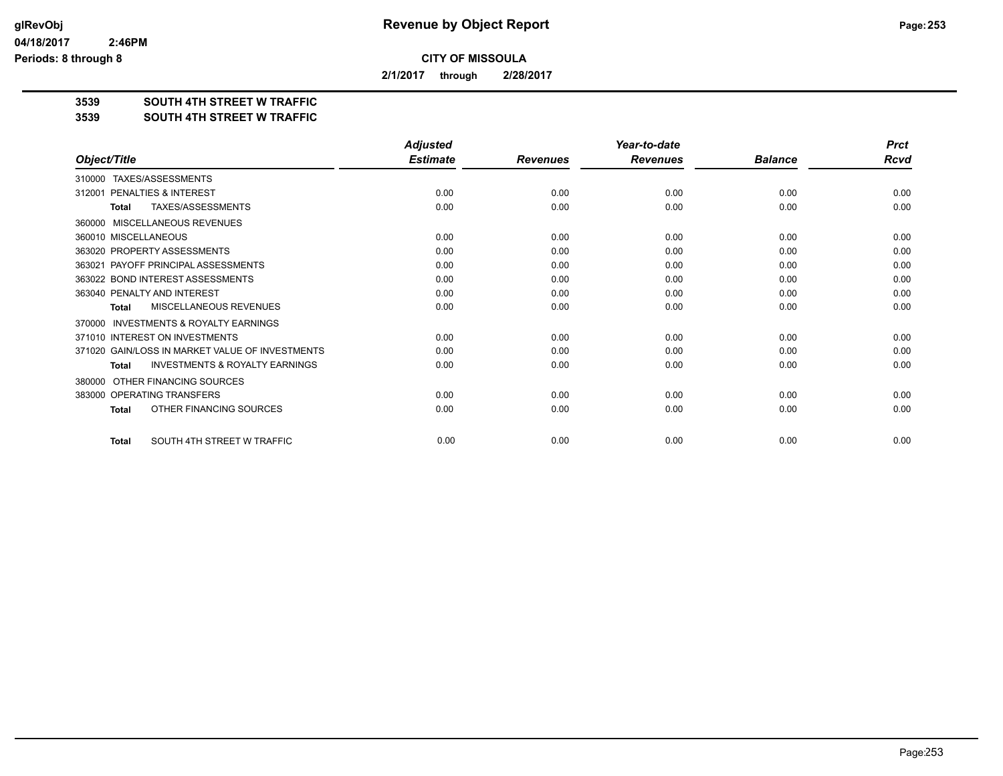**2/1/2017 through 2/28/2017**

## **3539 SOUTH 4TH STREET W TRAFFIC**

## **3539 SOUTH 4TH STREET W TRAFFIC**

|                                                           | <b>Adjusted</b> |                 | Year-to-date    |                | <b>Prct</b> |
|-----------------------------------------------------------|-----------------|-----------------|-----------------|----------------|-------------|
| Object/Title                                              | <b>Estimate</b> | <b>Revenues</b> | <b>Revenues</b> | <b>Balance</b> | <b>Rcvd</b> |
| 310000 TAXES/ASSESSMENTS                                  |                 |                 |                 |                |             |
| PENALTIES & INTEREST<br>312001                            | 0.00            | 0.00            | 0.00            | 0.00           | 0.00        |
| TAXES/ASSESSMENTS<br>Total                                | 0.00            | 0.00            | 0.00            | 0.00           | 0.00        |
| 360000 MISCELLANEOUS REVENUES                             |                 |                 |                 |                |             |
| 360010 MISCELLANEOUS                                      | 0.00            | 0.00            | 0.00            | 0.00           | 0.00        |
| 363020 PROPERTY ASSESSMENTS                               | 0.00            | 0.00            | 0.00            | 0.00           | 0.00        |
| 363021 PAYOFF PRINCIPAL ASSESSMENTS                       | 0.00            | 0.00            | 0.00            | 0.00           | 0.00        |
| 363022 BOND INTEREST ASSESSMENTS                          | 0.00            | 0.00            | 0.00            | 0.00           | 0.00        |
| 363040 PENALTY AND INTEREST                               | 0.00            | 0.00            | 0.00            | 0.00           | 0.00        |
| <b>MISCELLANEOUS REVENUES</b><br><b>Total</b>             | 0.00            | 0.00            | 0.00            | 0.00           | 0.00        |
| 370000 INVESTMENTS & ROYALTY EARNINGS                     |                 |                 |                 |                |             |
| 371010 INTEREST ON INVESTMENTS                            | 0.00            | 0.00            | 0.00            | 0.00           | 0.00        |
| 371020 GAIN/LOSS IN MARKET VALUE OF INVESTMENTS           | 0.00            | 0.00            | 0.00            | 0.00           | 0.00        |
| <b>INVESTMENTS &amp; ROYALTY EARNINGS</b><br><b>Total</b> | 0.00            | 0.00            | 0.00            | 0.00           | 0.00        |
| 380000 OTHER FINANCING SOURCES                            |                 |                 |                 |                |             |
| 383000 OPERATING TRANSFERS                                | 0.00            | 0.00            | 0.00            | 0.00           | 0.00        |
| OTHER FINANCING SOURCES<br>Total                          | 0.00            | 0.00            | 0.00            | 0.00           | 0.00        |
| SOUTH 4TH STREET W TRAFFIC<br><b>Total</b>                | 0.00            | 0.00            | 0.00            | 0.00           | 0.00        |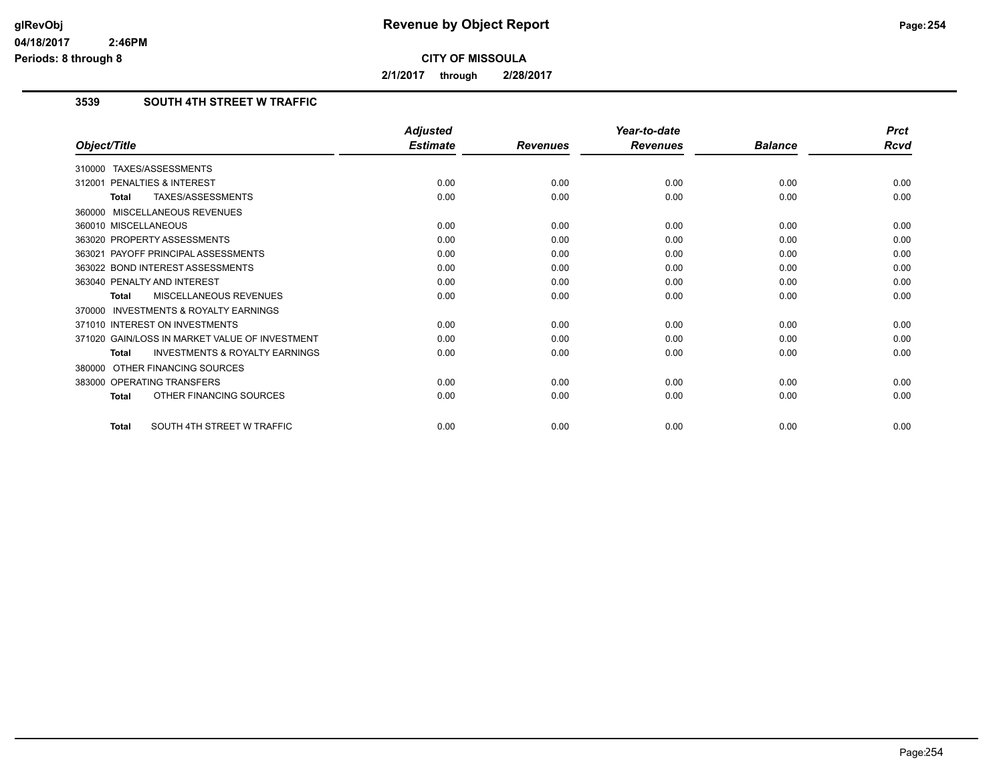**2/1/2017 through 2/28/2017**

## **3539 SOUTH 4TH STREET W TRAFFIC**

|                                                           | <b>Adjusted</b> |                 | Year-to-date    |                | <b>Prct</b> |
|-----------------------------------------------------------|-----------------|-----------------|-----------------|----------------|-------------|
| Object/Title                                              | <b>Estimate</b> | <b>Revenues</b> | <b>Revenues</b> | <b>Balance</b> | Rcvd        |
| 310000 TAXES/ASSESSMENTS                                  |                 |                 |                 |                |             |
| PENALTIES & INTEREST<br>312001                            | 0.00            | 0.00            | 0.00            | 0.00           | 0.00        |
| TAXES/ASSESSMENTS<br><b>Total</b>                         | 0.00            | 0.00            | 0.00            | 0.00           | 0.00        |
| 360000 MISCELLANEOUS REVENUES                             |                 |                 |                 |                |             |
| 360010 MISCELLANEOUS                                      | 0.00            | 0.00            | 0.00            | 0.00           | 0.00        |
| 363020 PROPERTY ASSESSMENTS                               | 0.00            | 0.00            | 0.00            | 0.00           | 0.00        |
| 363021 PAYOFF PRINCIPAL ASSESSMENTS                       | 0.00            | 0.00            | 0.00            | 0.00           | 0.00        |
| 363022 BOND INTEREST ASSESSMENTS                          | 0.00            | 0.00            | 0.00            | 0.00           | 0.00        |
| 363040 PENALTY AND INTEREST                               | 0.00            | 0.00            | 0.00            | 0.00           | 0.00        |
| MISCELLANEOUS REVENUES<br><b>Total</b>                    | 0.00            | 0.00            | 0.00            | 0.00           | 0.00        |
| <b>INVESTMENTS &amp; ROYALTY EARNINGS</b><br>370000       |                 |                 |                 |                |             |
| 371010 INTEREST ON INVESTMENTS                            | 0.00            | 0.00            | 0.00            | 0.00           | 0.00        |
| 371020 GAIN/LOSS IN MARKET VALUE OF INVESTMENT            | 0.00            | 0.00            | 0.00            | 0.00           | 0.00        |
| <b>INVESTMENTS &amp; ROYALTY EARNINGS</b><br><b>Total</b> | 0.00            | 0.00            | 0.00            | 0.00           | 0.00        |
| 380000 OTHER FINANCING SOURCES                            |                 |                 |                 |                |             |
| 383000 OPERATING TRANSFERS                                | 0.00            | 0.00            | 0.00            | 0.00           | 0.00        |
| OTHER FINANCING SOURCES<br><b>Total</b>                   | 0.00            | 0.00            | 0.00            | 0.00           | 0.00        |
| SOUTH 4TH STREET W TRAFFIC<br><b>Total</b>                | 0.00            | 0.00            | 0.00            | 0.00           | 0.00        |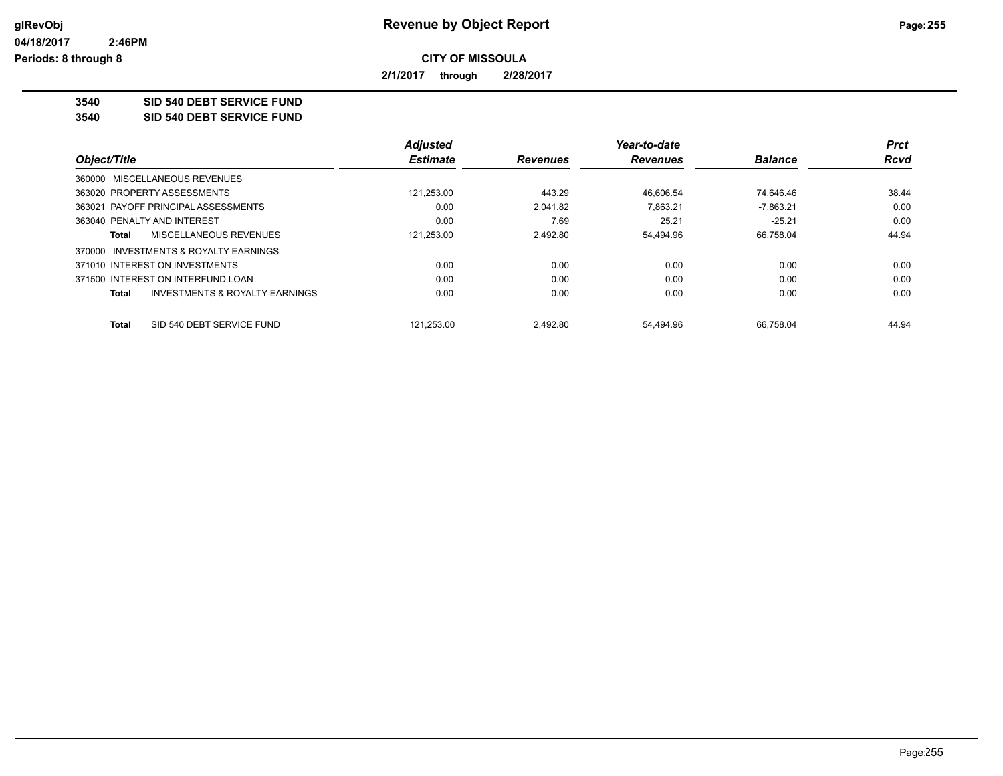**2/1/2017 through 2/28/2017**

**3540 SID 540 DEBT SERVICE FUND**

**3540 SID 540 DEBT SERVICE FUND**

|                                                    | <b>Adjusted</b> |                 | Year-to-date    |                | <b>Prct</b> |
|----------------------------------------------------|-----------------|-----------------|-----------------|----------------|-------------|
| Object/Title                                       | <b>Estimate</b> | <b>Revenues</b> | <b>Revenues</b> | <b>Balance</b> | <b>Rcvd</b> |
| 360000 MISCELLANEOUS REVENUES                      |                 |                 |                 |                |             |
| 363020 PROPERTY ASSESSMENTS                        | 121,253.00      | 443.29          | 46.606.54       | 74.646.46      | 38.44       |
| 363021 PAYOFF PRINCIPAL ASSESSMENTS                | 0.00            | 2.041.82        | 7.863.21        | $-7.863.21$    | 0.00        |
| 363040 PENALTY AND INTEREST                        | 0.00            | 7.69            | 25.21           | $-25.21$       | 0.00        |
| <b>MISCELLANEOUS REVENUES</b><br>Total             | 121,253.00      | 2,492.80        | 54,494.96       | 66,758.04      | 44.94       |
| 370000 INVESTMENTS & ROYALTY EARNINGS              |                 |                 |                 |                |             |
| 371010 INTEREST ON INVESTMENTS                     | 0.00            | 0.00            | 0.00            | 0.00           | 0.00        |
| 371500 INTEREST ON INTERFUND LOAN                  | 0.00            | 0.00            | 0.00            | 0.00           | 0.00        |
| <b>INVESTMENTS &amp; ROYALTY EARNINGS</b><br>Total | 0.00            | 0.00            | 0.00            | 0.00           | 0.00        |
| SID 540 DEBT SERVICE FUND<br>Total                 | 121.253.00      | 2.492.80        | 54.494.96       | 66.758.04      | 44.94       |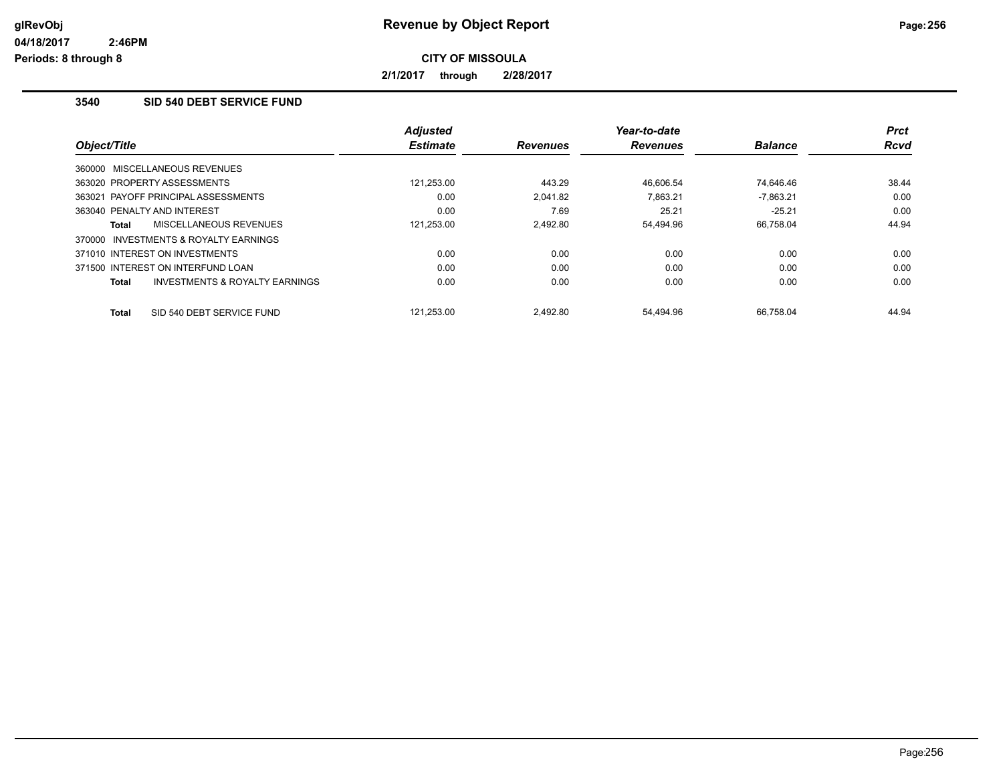**2/1/2017 through 2/28/2017**

#### **3540 SID 540 DEBT SERVICE FUND**

| Object/Title                              | <b>Adjusted</b><br><b>Estimate</b> | <b>Revenues</b> | Year-to-date<br><b>Revenues</b> | <b>Balance</b> | <b>Prct</b><br><b>Rcvd</b> |
|-------------------------------------------|------------------------------------|-----------------|---------------------------------|----------------|----------------------------|
| 360000 MISCELLANEOUS REVENUES             |                                    |                 |                                 |                |                            |
| 363020 PROPERTY ASSESSMENTS               | 121,253.00                         | 443.29          | 46,606.54                       | 74.646.46      | 38.44                      |
| 363021 PAYOFF PRINCIPAL ASSESSMENTS       | 0.00                               | 2.041.82        | 7.863.21                        | $-7.863.21$    | 0.00                       |
| 363040 PENALTY AND INTEREST               | 0.00                               | 7.69            | 25.21                           | $-25.21$       | 0.00                       |
| MISCELLANEOUS REVENUES<br>Total           | 121,253.00                         | 2.492.80        | 54,494.96                       | 66.758.04      | 44.94                      |
| 370000 INVESTMENTS & ROYALTY EARNINGS     |                                    |                 |                                 |                |                            |
| 371010 INTEREST ON INVESTMENTS            | 0.00                               | 0.00            | 0.00                            | 0.00           | 0.00                       |
| 371500 INTEREST ON INTERFUND LOAN         | 0.00                               | 0.00            | 0.00                            | 0.00           | 0.00                       |
| INVESTMENTS & ROYALTY EARNINGS<br>Total   | 0.00                               | 0.00            | 0.00                            | 0.00           | 0.00                       |
| SID 540 DEBT SERVICE FUND<br><b>Total</b> | 121.253.00                         | 2.492.80        | 54.494.96                       | 66.758.04      | 44.94                      |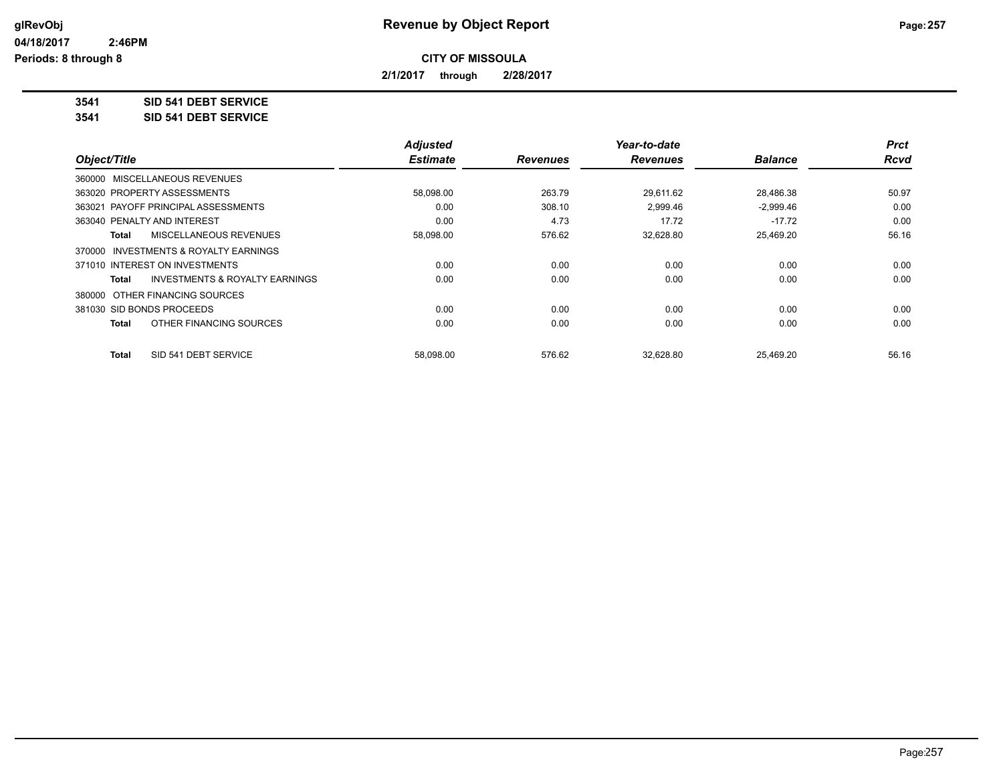**2/1/2017 through 2/28/2017**

**3541 SID 541 DEBT SERVICE**

| 3541 |  |  | <b>SID 541 DEBT SERVICE</b> |
|------|--|--|-----------------------------|
|------|--|--|-----------------------------|

|                                                    | <b>Adjusted</b> |                 | Year-to-date    |                | <b>Prct</b> |
|----------------------------------------------------|-----------------|-----------------|-----------------|----------------|-------------|
| Object/Title                                       | <b>Estimate</b> | <b>Revenues</b> | <b>Revenues</b> | <b>Balance</b> | <b>Rcvd</b> |
| 360000 MISCELLANEOUS REVENUES                      |                 |                 |                 |                |             |
| 363020 PROPERTY ASSESSMENTS                        | 58,098.00       | 263.79          | 29.611.62       | 28,486.38      | 50.97       |
| 363021 PAYOFF PRINCIPAL ASSESSMENTS                | 0.00            | 308.10          | 2,999.46        | $-2,999.46$    | 0.00        |
| 363040 PENALTY AND INTEREST                        | 0.00            | 4.73            | 17.72           | $-17.72$       | 0.00        |
| MISCELLANEOUS REVENUES<br>Total                    | 58,098.00       | 576.62          | 32,628.80       | 25,469.20      | 56.16       |
| INVESTMENTS & ROYALTY EARNINGS<br>370000           |                 |                 |                 |                |             |
| 371010 INTEREST ON INVESTMENTS                     | 0.00            | 0.00            | 0.00            | 0.00           | 0.00        |
| <b>INVESTMENTS &amp; ROYALTY EARNINGS</b><br>Total | 0.00            | 0.00            | 0.00            | 0.00           | 0.00        |
| 380000 OTHER FINANCING SOURCES                     |                 |                 |                 |                |             |
| 381030 SID BONDS PROCEEDS                          | 0.00            | 0.00            | 0.00            | 0.00           | 0.00        |
| OTHER FINANCING SOURCES<br>Total                   | 0.00            | 0.00            | 0.00            | 0.00           | 0.00        |
| SID 541 DEBT SERVICE<br><b>Total</b>               | 58,098.00       | 576.62          | 32,628.80       | 25.469.20      | 56.16       |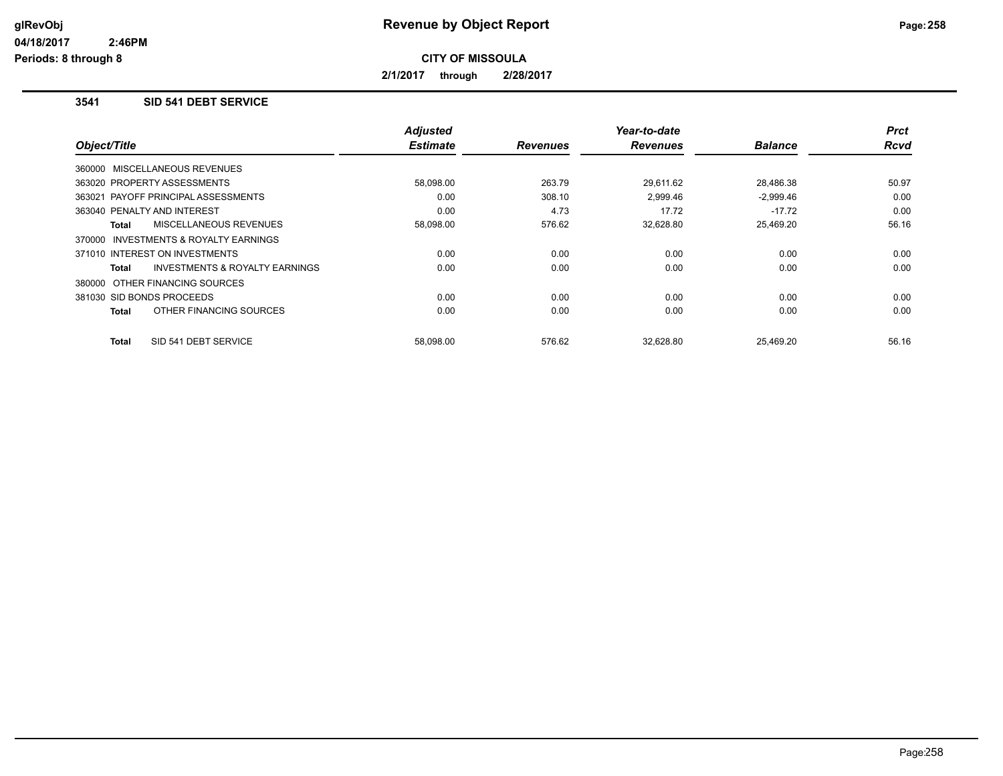**2/1/2017 through 2/28/2017**

#### **3541 SID 541 DEBT SERVICE**

| Object/Title                                              | <b>Adjusted</b><br><b>Estimate</b> | <b>Revenues</b> | Year-to-date<br><b>Revenues</b> | <b>Balance</b> | <b>Prct</b><br>Rcvd |
|-----------------------------------------------------------|------------------------------------|-----------------|---------------------------------|----------------|---------------------|
| <b>MISCELLANEOUS REVENUES</b><br>360000                   |                                    |                 |                                 |                |                     |
| 363020 PROPERTY ASSESSMENTS                               | 58,098.00                          | 263.79          | 29.611.62                       | 28,486.38      | 50.97               |
| 363021 PAYOFF PRINCIPAL ASSESSMENTS                       | 0.00                               | 308.10          | 2,999.46                        | $-2,999.46$    | 0.00                |
| 363040 PENALTY AND INTEREST                               | 0.00                               | 4.73            | 17.72                           | $-17.72$       | 0.00                |
| MISCELLANEOUS REVENUES<br>Total                           | 58,098.00                          | 576.62          | 32,628.80                       | 25.469.20      | 56.16               |
| <b>INVESTMENTS &amp; ROYALTY EARNINGS</b><br>370000       |                                    |                 |                                 |                |                     |
| 371010 INTEREST ON INVESTMENTS                            | 0.00                               | 0.00            | 0.00                            | 0.00           | 0.00                |
| <b>INVESTMENTS &amp; ROYALTY EARNINGS</b><br><b>Total</b> | 0.00                               | 0.00            | 0.00                            | 0.00           | 0.00                |
| 380000 OTHER FINANCING SOURCES                            |                                    |                 |                                 |                |                     |
| 381030 SID BONDS PROCEEDS                                 | 0.00                               | 0.00            | 0.00                            | 0.00           | 0.00                |
| OTHER FINANCING SOURCES<br><b>Total</b>                   | 0.00                               | 0.00            | 0.00                            | 0.00           | 0.00                |
| <b>Total</b><br>SID 541 DEBT SERVICE                      | 58.098.00                          | 576.62          | 32.628.80                       | 25.469.20      | 56.16               |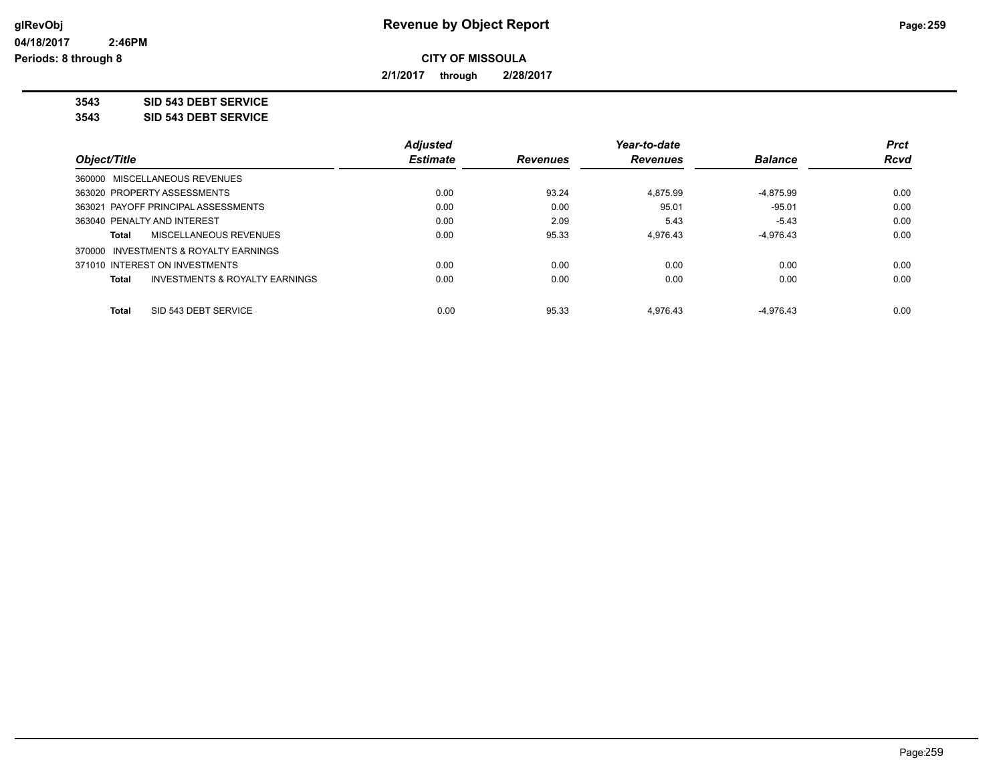**2/1/2017 through 2/28/2017**

**3543 SID 543 DEBT SERVICE**

**3543 SID 543 DEBT SERVICE**

|                                         | <b>Adjusted</b> |                 | Year-to-date    |                | <b>Prct</b> |
|-----------------------------------------|-----------------|-----------------|-----------------|----------------|-------------|
| Object/Title                            | <b>Estimate</b> | <b>Revenues</b> | <b>Revenues</b> | <b>Balance</b> | <b>Rcvd</b> |
| 360000 MISCELLANEOUS REVENUES           |                 |                 |                 |                |             |
| 363020 PROPERTY ASSESSMENTS             | 0.00            | 93.24           | 4.875.99        | $-4.875.99$    | 0.00        |
| 363021 PAYOFF PRINCIPAL ASSESSMENTS     | 0.00            | 0.00            | 95.01           | $-95.01$       | 0.00        |
| 363040 PENALTY AND INTEREST             | 0.00            | 2.09            | 5.43            | $-5.43$        | 0.00        |
| <b>MISCELLANEOUS REVENUES</b><br>Total  | 0.00            | 95.33           | 4,976.43        | $-4.976.43$    | 0.00        |
| 370000 INVESTMENTS & ROYALTY EARNINGS   |                 |                 |                 |                |             |
| 371010 INTEREST ON INVESTMENTS          | 0.00            | 0.00            | 0.00            | 0.00           | 0.00        |
| INVESTMENTS & ROYALTY EARNINGS<br>Total | 0.00            | 0.00            | 0.00            | 0.00           | 0.00        |
| SID 543 DEBT SERVICE<br><b>Total</b>    | 0.00            | 95.33           | 4.976.43        | -4.976.43      | 0.00        |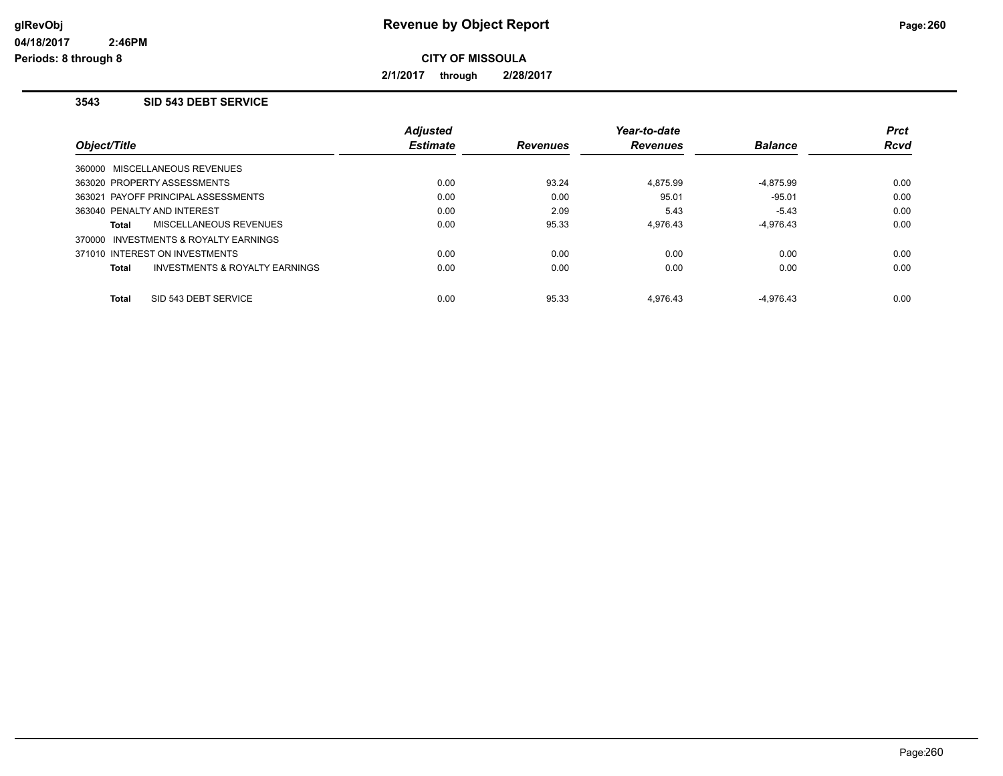**2/1/2017 through 2/28/2017**

#### **3543 SID 543 DEBT SERVICE**

|                             |                                           | <b>Adjusted</b> |                 | Year-to-date    |                | <b>Prct</b> |
|-----------------------------|-------------------------------------------|-----------------|-----------------|-----------------|----------------|-------------|
| Object/Title                |                                           | <b>Estimate</b> | <b>Revenues</b> | <b>Revenues</b> | <b>Balance</b> | <b>Rcvd</b> |
|                             | 360000 MISCELLANEOUS REVENUES             |                 |                 |                 |                |             |
|                             | 363020 PROPERTY ASSESSMENTS               | 0.00            | 93.24           | 4.875.99        | -4.875.99      | 0.00        |
|                             | 363021 PAYOFF PRINCIPAL ASSESSMENTS       | 0.00            | 0.00            | 95.01           | $-95.01$       | 0.00        |
| 363040 PENALTY AND INTEREST |                                           | 0.00            | 2.09            | 5.43            | $-5.43$        | 0.00        |
| Total                       | MISCELLANEOUS REVENUES                    | 0.00            | 95.33           | 4.976.43        | $-4.976.43$    | 0.00        |
| 370000                      | <b>INVESTMENTS &amp; ROYALTY EARNINGS</b> |                 |                 |                 |                |             |
|                             | 371010 INTEREST ON INVESTMENTS            | 0.00            | 0.00            | 0.00            | 0.00           | 0.00        |
| <b>Total</b>                | INVESTMENTS & ROYALTY EARNINGS            | 0.00            | 0.00            | 0.00            | 0.00           | 0.00        |
| <b>Total</b>                | SID 543 DEBT SERVICE                      | 0.00            | 95.33           | 4.976.43        | -4.976.43      | 0.00        |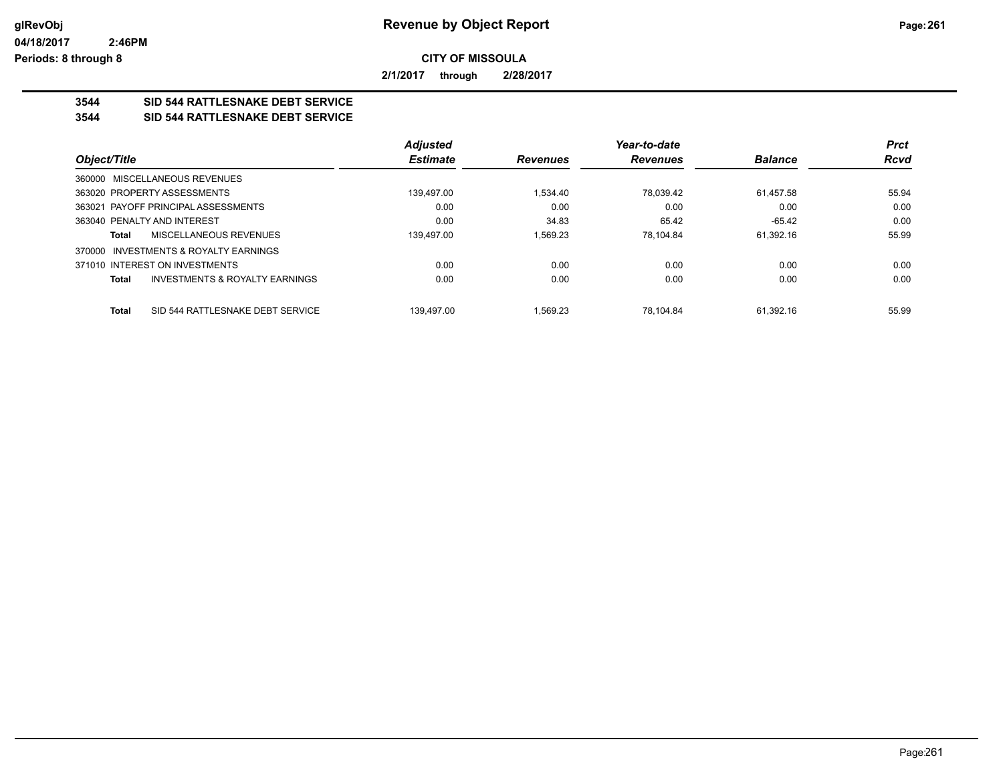**2/1/2017 through 2/28/2017**

## **3544 SID 544 RATTLESNAKE DEBT SERVICE 3544 SID 544 RATTLESNAKE DEBT SERVICE**

|                                                    | <b>Adjusted</b> |                 | Year-to-date    |                | <b>Prct</b> |
|----------------------------------------------------|-----------------|-----------------|-----------------|----------------|-------------|
| Object/Title                                       | <b>Estimate</b> | <b>Revenues</b> | <b>Revenues</b> | <b>Balance</b> | <b>Rcvd</b> |
| 360000 MISCELLANEOUS REVENUES                      |                 |                 |                 |                |             |
| 363020 PROPERTY ASSESSMENTS                        | 139.497.00      | 1.534.40        | 78.039.42       | 61,457.58      | 55.94       |
| 363021 PAYOFF PRINCIPAL ASSESSMENTS                | 0.00            | 0.00            | 0.00            | 0.00           | 0.00        |
| 363040 PENALTY AND INTEREST                        | 0.00            | 34.83           | 65.42           | $-65.42$       | 0.00        |
| MISCELLANEOUS REVENUES<br>Total                    | 139,497.00      | 1,569.23        | 78.104.84       | 61.392.16      | 55.99       |
| 370000 INVESTMENTS & ROYALTY EARNINGS              |                 |                 |                 |                |             |
| 371010 INTEREST ON INVESTMENTS                     | 0.00            | 0.00            | 0.00            | 0.00           | 0.00        |
| <b>INVESTMENTS &amp; ROYALTY EARNINGS</b><br>Total | 0.00            | 0.00            | 0.00            | 0.00           | 0.00        |
| SID 544 RATTLESNAKE DEBT SERVICE<br>Total          | 139.497.00      | 1.569.23        | 78.104.84       | 61.392.16      | 55.99       |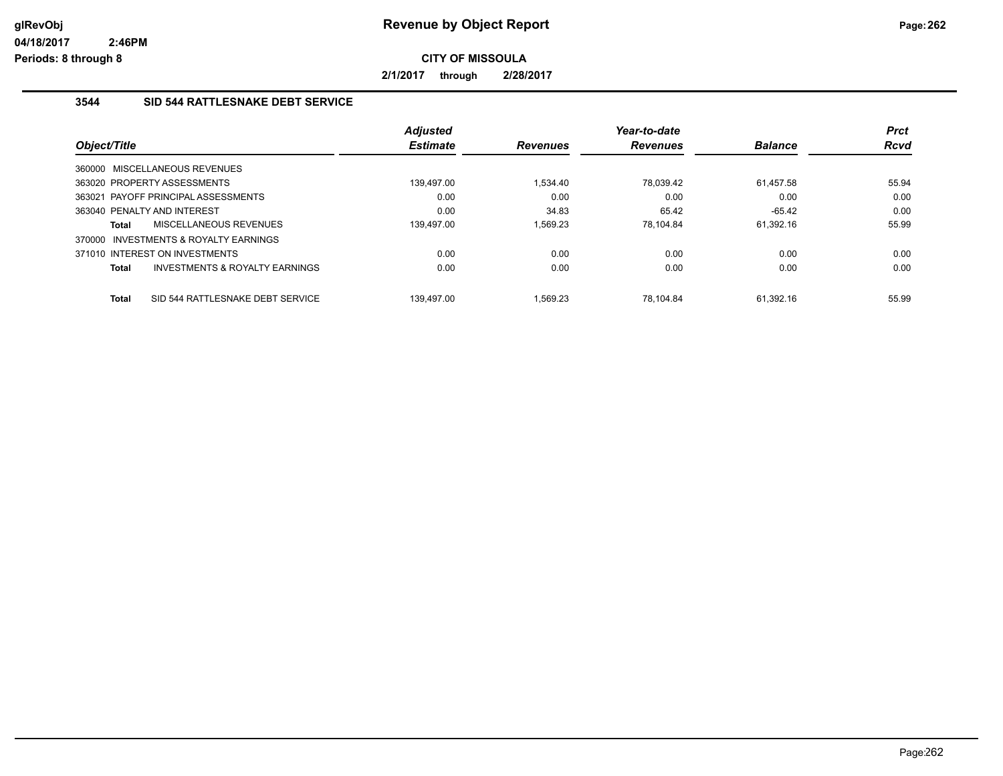**2/1/2017 through 2/28/2017**

#### **3544 SID 544 RATTLESNAKE DEBT SERVICE**

|                             |                                       | <b>Adjusted</b> |                 | Year-to-date    |                | <b>Prct</b> |
|-----------------------------|---------------------------------------|-----------------|-----------------|-----------------|----------------|-------------|
| Object/Title                |                                       | <b>Estimate</b> | <b>Revenues</b> | <b>Revenues</b> | <b>Balance</b> | Rcvd        |
|                             | 360000 MISCELLANEOUS REVENUES         |                 |                 |                 |                |             |
| 363020 PROPERTY ASSESSMENTS |                                       | 139,497.00      | 1.534.40        | 78.039.42       | 61,457.58      | 55.94       |
|                             | 363021 PAYOFF PRINCIPAL ASSESSMENTS   | 0.00            | 0.00            | 0.00            | 0.00           | 0.00        |
| 363040 PENALTY AND INTEREST |                                       | 0.00            | 34.83           | 65.42           | $-65.42$       | 0.00        |
| Total                       | MISCELLANEOUS REVENUES                | 139,497.00      | 1.569.23        | 78.104.84       | 61.392.16      | 55.99       |
|                             | 370000 INVESTMENTS & ROYALTY EARNINGS |                 |                 |                 |                |             |
|                             | 371010 INTEREST ON INVESTMENTS        | 0.00            | 0.00            | 0.00            | 0.00           | 0.00        |
| <b>Total</b>                | INVESTMENTS & ROYALTY EARNINGS        | 0.00            | 0.00            | 0.00            | 0.00           | 0.00        |
| <b>Total</b>                | SID 544 RATTLESNAKE DEBT SERVICE      | 139.497.00      | 1.569.23        | 78.104.84       | 61.392.16      | 55.99       |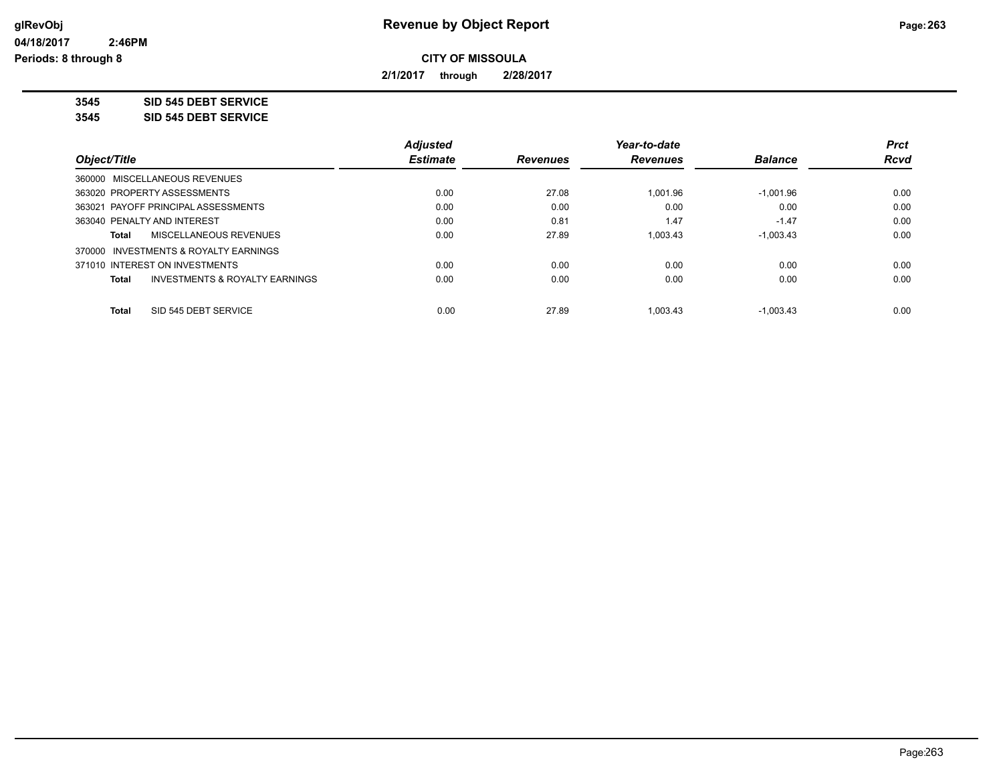**2/1/2017 through 2/28/2017**

**3545 SID 545 DEBT SERVICE**

**3545 SID 545 DEBT SERVICE**

|                                                    | <b>Adjusted</b> |                 | Year-to-date    |                | <b>Prct</b> |
|----------------------------------------------------|-----------------|-----------------|-----------------|----------------|-------------|
| Object/Title                                       | <b>Estimate</b> | <b>Revenues</b> | <b>Revenues</b> | <b>Balance</b> | <b>Rcvd</b> |
| 360000 MISCELLANEOUS REVENUES                      |                 |                 |                 |                |             |
| 363020 PROPERTY ASSESSMENTS                        | 0.00            | 27.08           | 1.001.96        | $-1.001.96$    | 0.00        |
| 363021 PAYOFF PRINCIPAL ASSESSMENTS                | 0.00            | 0.00            | 0.00            | 0.00           | 0.00        |
| 363040 PENALTY AND INTEREST                        | 0.00            | 0.81            | 1.47            | $-1.47$        | 0.00        |
| MISCELLANEOUS REVENUES<br>Total                    | 0.00            | 27.89           | 1.003.43        | $-1.003.43$    | 0.00        |
| 370000 INVESTMENTS & ROYALTY EARNINGS              |                 |                 |                 |                |             |
| 371010 INTEREST ON INVESTMENTS                     | 0.00            | 0.00            | 0.00            | 0.00           | 0.00        |
| <b>INVESTMENTS &amp; ROYALTY EARNINGS</b><br>Total | 0.00            | 0.00            | 0.00            | 0.00           | 0.00        |
|                                                    |                 |                 |                 |                |             |
| SID 545 DEBT SERVICE<br>Total                      | 0.00            | 27.89           | 1.003.43        | $-1.003.43$    | 0.00        |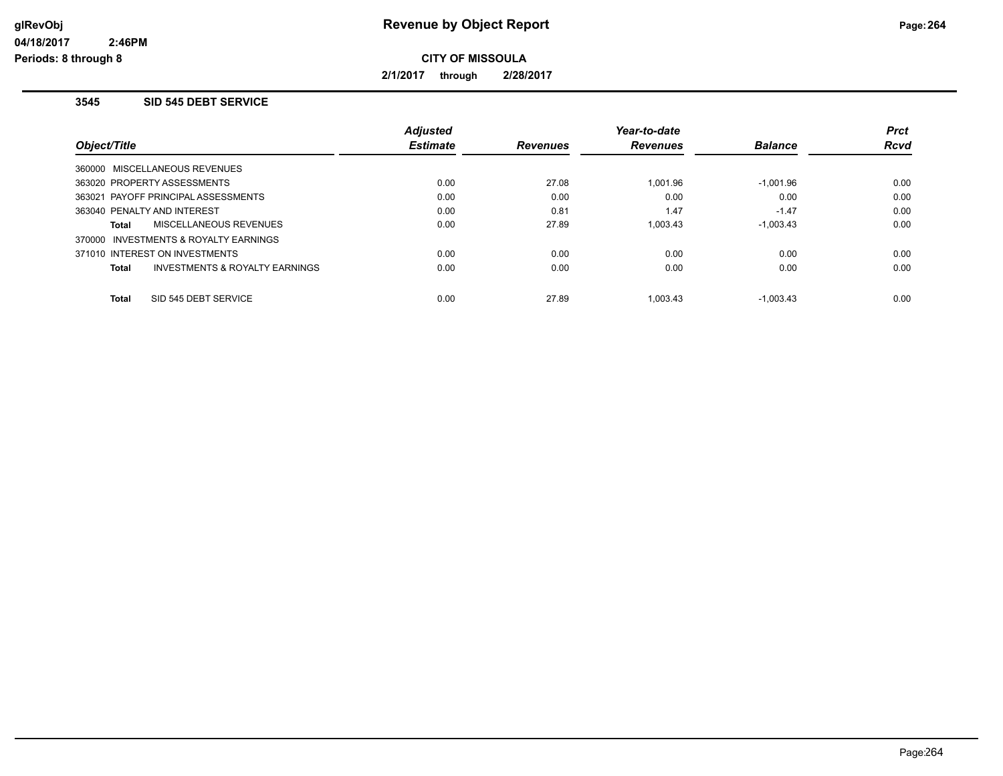**2/1/2017 through 2/28/2017**

#### **3545 SID 545 DEBT SERVICE**

|                                          | <b>Adiusted</b> |                 | Year-to-date    |                | <b>Prct</b> |
|------------------------------------------|-----------------|-----------------|-----------------|----------------|-------------|
| Object/Title                             | <b>Estimate</b> | <b>Revenues</b> | <b>Revenues</b> | <b>Balance</b> | <b>Rcvd</b> |
| 360000 MISCELLANEOUS REVENUES            |                 |                 |                 |                |             |
| 363020 PROPERTY ASSESSMENTS              | 0.00            | 27.08           | 1.001.96        | $-1.001.96$    | 0.00        |
| 363021 PAYOFF PRINCIPAL ASSESSMENTS      | 0.00            | 0.00            | 0.00            | 0.00           | 0.00        |
| 363040 PENALTY AND INTEREST              | 0.00            | 0.81            | 1.47            | $-1.47$        | 0.00        |
| MISCELLANEOUS REVENUES<br>Total          | 0.00            | 27.89           | 1.003.43        | $-1.003.43$    | 0.00        |
| INVESTMENTS & ROYALTY EARNINGS<br>370000 |                 |                 |                 |                |             |
| 371010 INTEREST ON INVESTMENTS           | 0.00            | 0.00            | 0.00            | 0.00           | 0.00        |
| INVESTMENTS & ROYALTY EARNINGS<br>Total  | 0.00            | 0.00            | 0.00            | 0.00           | 0.00        |
| SID 545 DEBT SERVICE<br><b>Total</b>     | 0.00            | 27.89           | 1.003.43        | $-1.003.43$    | 0.00        |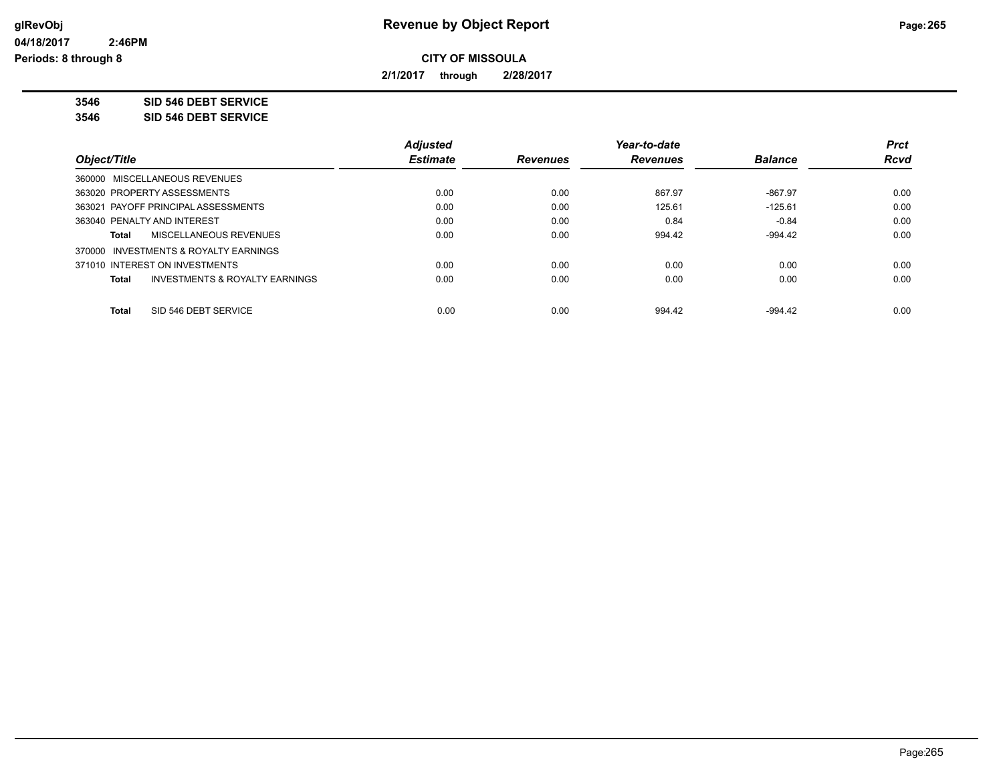**2/1/2017 through 2/28/2017**

**3546 SID 546 DEBT SERVICE**

**3546 SID 546 DEBT SERVICE**

|                                         | <b>Adjusted</b> |          | Year-to-date    |                | <b>Prct</b> |
|-----------------------------------------|-----------------|----------|-----------------|----------------|-------------|
| Object/Title                            | <b>Estimate</b> | Revenues | <b>Revenues</b> | <b>Balance</b> | <b>Rcvd</b> |
| 360000 MISCELLANEOUS REVENUES           |                 |          |                 |                |             |
| 363020 PROPERTY ASSESSMENTS             | 0.00            | 0.00     | 867.97          | $-867.97$      | 0.00        |
| 363021 PAYOFF PRINCIPAL ASSESSMENTS     | 0.00            | 0.00     | 125.61          | $-125.61$      | 0.00        |
| 363040 PENALTY AND INTEREST             | 0.00            | 0.00     | 0.84            | $-0.84$        | 0.00        |
| MISCELLANEOUS REVENUES<br>Total         | 0.00            | 0.00     | 994.42          | $-994.42$      | 0.00        |
| 370000 INVESTMENTS & ROYALTY EARNINGS   |                 |          |                 |                |             |
| 371010 INTEREST ON INVESTMENTS          | 0.00            | 0.00     | 0.00            | 0.00           | 0.00        |
| INVESTMENTS & ROYALTY EARNINGS<br>Total | 0.00            | 0.00     | 0.00            | 0.00           | 0.00        |
|                                         |                 |          |                 |                |             |
| SID 546 DEBT SERVICE<br><b>Total</b>    | 0.00            | 0.00     | 994.42          | $-994.42$      | 0.00        |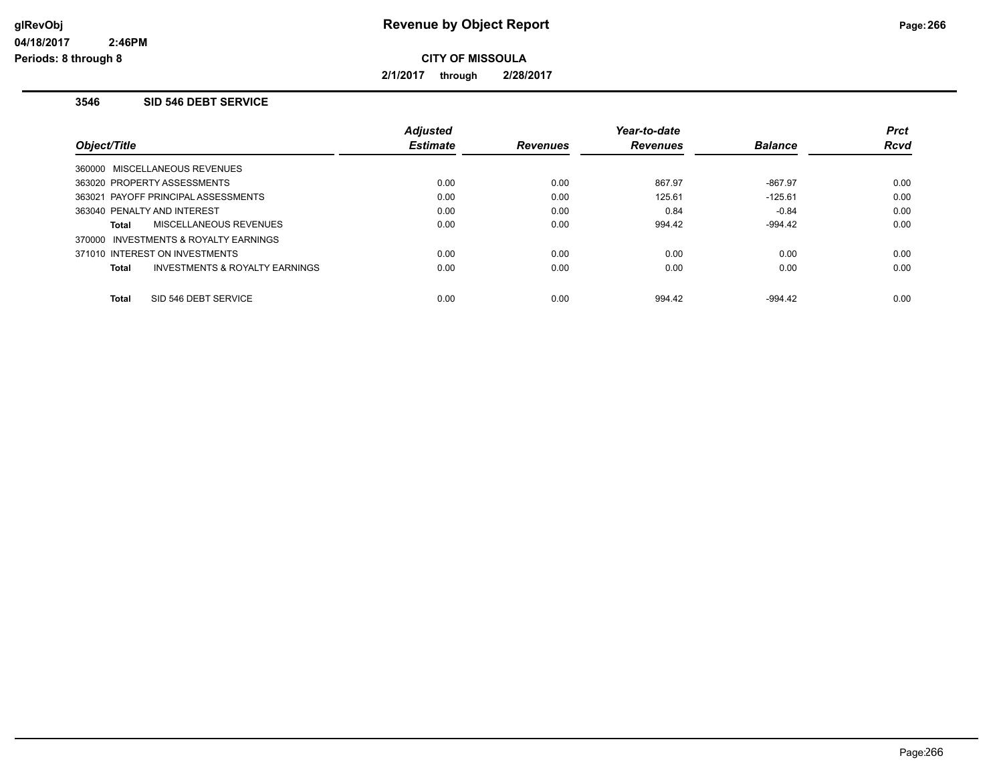**2/1/2017 through 2/28/2017**

#### **3546 SID 546 DEBT SERVICE**

|                                         | <b>Adjusted</b> |                 | Year-to-date    |                | <b>Prct</b> |
|-----------------------------------------|-----------------|-----------------|-----------------|----------------|-------------|
| Object/Title                            | <b>Estimate</b> | <b>Revenues</b> | <b>Revenues</b> | <b>Balance</b> | Rcvd        |
| MISCELLANEOUS REVENUES<br>360000        |                 |                 |                 |                |             |
| 363020 PROPERTY ASSESSMENTS             | 0.00            | 0.00            | 867.97          | $-867.97$      | 0.00        |
| 363021 PAYOFF PRINCIPAL ASSESSMENTS     | 0.00            | 0.00            | 125.61          | $-125.61$      | 0.00        |
| 363040 PENALTY AND INTEREST             | 0.00            | 0.00            | 0.84            | $-0.84$        | 0.00        |
| MISCELLANEOUS REVENUES<br>Total         | 0.00            | 0.00            | 994.42          | $-994.42$      | 0.00        |
| 370000 INVESTMENTS & ROYALTY EARNINGS   |                 |                 |                 |                |             |
| 371010 INTEREST ON INVESTMENTS          | 0.00            | 0.00            | 0.00            | 0.00           | 0.00        |
| INVESTMENTS & ROYALTY EARNINGS<br>Total | 0.00            | 0.00            | 0.00            | 0.00           | 0.00        |
| SID 546 DEBT SERVICE<br>Total           | 0.00            | 0.00            | 994.42          | -994.42        | 0.00        |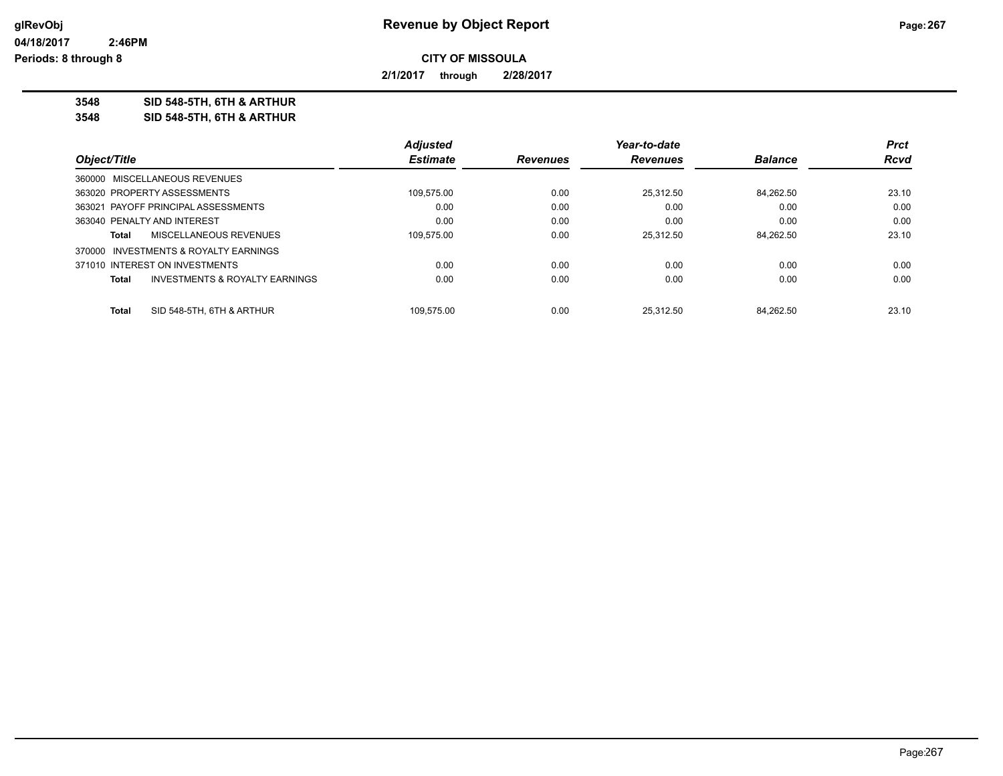**2/1/2017 through 2/28/2017**

**3548 SID 548-5TH, 6TH & ARTHUR**

**3548 SID 548-5TH, 6TH & ARTHUR**

|                                                    | <b>Adjusted</b> |                 | Year-to-date    |                | <b>Prct</b> |
|----------------------------------------------------|-----------------|-----------------|-----------------|----------------|-------------|
| Object/Title                                       | <b>Estimate</b> | <b>Revenues</b> | <b>Revenues</b> | <b>Balance</b> | <b>Rcvd</b> |
| 360000 MISCELLANEOUS REVENUES                      |                 |                 |                 |                |             |
| 363020 PROPERTY ASSESSMENTS                        | 109.575.00      | 0.00            | 25.312.50       | 84.262.50      | 23.10       |
| 363021 PAYOFF PRINCIPAL ASSESSMENTS                | 0.00            | 0.00            | 0.00            | 0.00           | 0.00        |
| 363040 PENALTY AND INTEREST                        | 0.00            | 0.00            | 0.00            | 0.00           | 0.00        |
| <b>MISCELLANEOUS REVENUES</b><br>Total             | 109.575.00      | 0.00            | 25.312.50       | 84.262.50      | 23.10       |
| 370000 INVESTMENTS & ROYALTY EARNINGS              |                 |                 |                 |                |             |
| 371010 INTEREST ON INVESTMENTS                     | 0.00            | 0.00            | 0.00            | 0.00           | 0.00        |
| <b>INVESTMENTS &amp; ROYALTY EARNINGS</b><br>Total | 0.00            | 0.00            | 0.00            | 0.00           | 0.00        |
| SID 548-5TH, 6TH & ARTHUR<br><b>Total</b>          | 109.575.00      | 0.00            | 25.312.50       | 84.262.50      | 23.10       |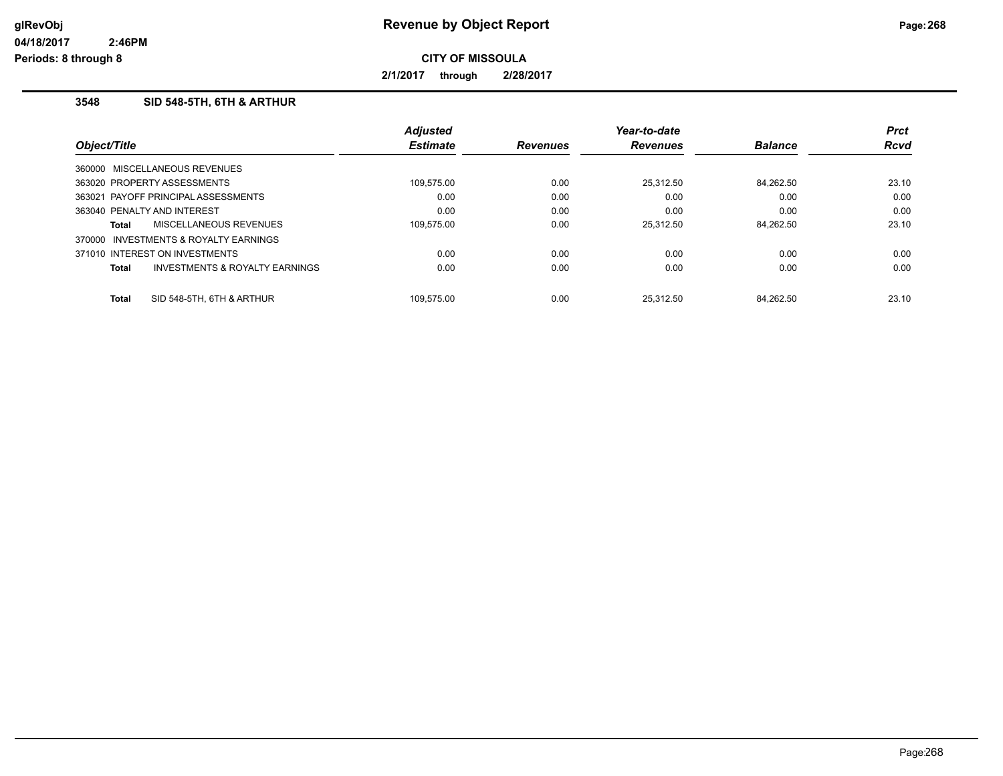**2/1/2017 through 2/28/2017**

#### **3548 SID 548-5TH, 6TH & ARTHUR**

|                             |                                       | <b>Adjusted</b> |                 | Year-to-date    |                | <b>Prct</b> |
|-----------------------------|---------------------------------------|-----------------|-----------------|-----------------|----------------|-------------|
| Object/Title                |                                       | <b>Estimate</b> | <b>Revenues</b> | <b>Revenues</b> | <b>Balance</b> | <b>Rcvd</b> |
|                             | 360000 MISCELLANEOUS REVENUES         |                 |                 |                 |                |             |
|                             | 363020 PROPERTY ASSESSMENTS           | 109,575.00      | 0.00            | 25.312.50       | 84.262.50      | 23.10       |
|                             | 363021 PAYOFF PRINCIPAL ASSESSMENTS   | 0.00            | 0.00            | 0.00            | 0.00           | 0.00        |
| 363040 PENALTY AND INTEREST |                                       | 0.00            | 0.00            | 0.00            | 0.00           | 0.00        |
| Total                       | MISCELLANEOUS REVENUES                | 109.575.00      | 0.00            | 25.312.50       | 84.262.50      | 23.10       |
|                             | 370000 INVESTMENTS & ROYALTY EARNINGS |                 |                 |                 |                |             |
|                             | 371010 INTEREST ON INVESTMENTS        | 0.00            | 0.00            | 0.00            | 0.00           | 0.00        |
| <b>Total</b>                | INVESTMENTS & ROYALTY EARNINGS        | 0.00            | 0.00            | 0.00            | 0.00           | 0.00        |
| <b>Total</b>                | SID 548-5TH, 6TH & ARTHUR             | 109.575.00      | 0.00            | 25.312.50       | 84.262.50      | 23.10       |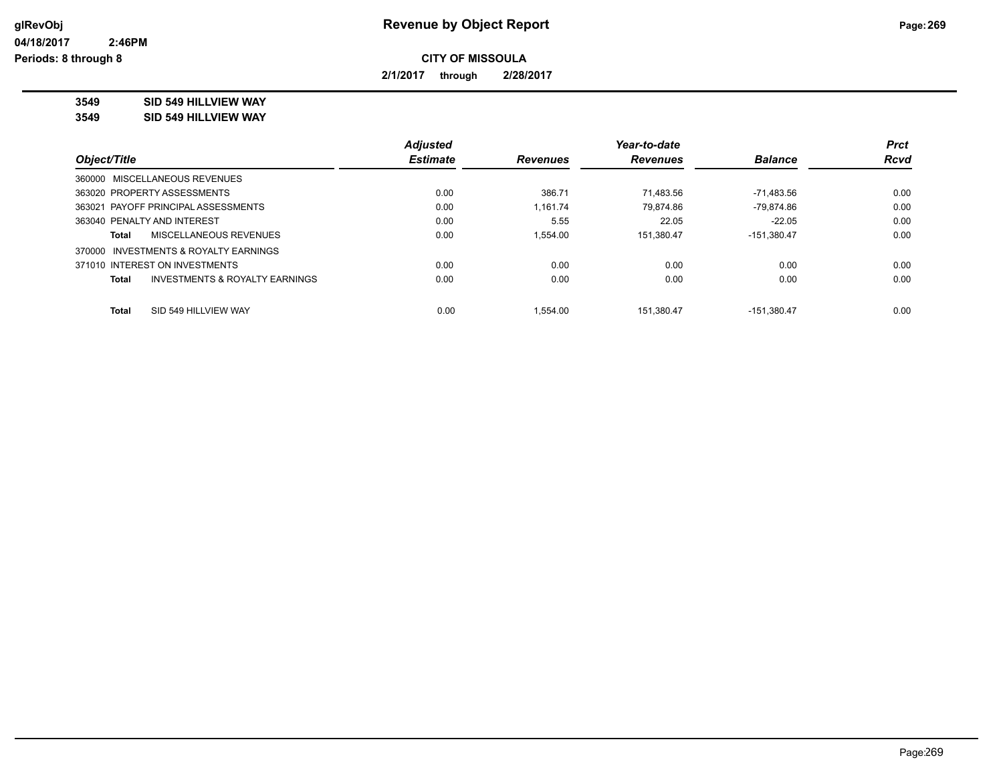**2/1/2017 through 2/28/2017**

**3549 SID 549 HILLVIEW WAY**

**3549 SID 549 HILLVIEW WAY**

|                                                    | <b>Adjusted</b> |                 | Year-to-date    |                | <b>Prct</b> |
|----------------------------------------------------|-----------------|-----------------|-----------------|----------------|-------------|
| Object/Title                                       | <b>Estimate</b> | <b>Revenues</b> | <b>Revenues</b> | <b>Balance</b> | <b>Rcvd</b> |
| 360000 MISCELLANEOUS REVENUES                      |                 |                 |                 |                |             |
| 363020 PROPERTY ASSESSMENTS                        | 0.00            | 386.71          | 71.483.56       | $-71.483.56$   | 0.00        |
| 363021 PAYOFF PRINCIPAL ASSESSMENTS                | 0.00            | 1.161.74        | 79.874.86       | -79.874.86     | 0.00        |
| 363040 PENALTY AND INTEREST                        | 0.00            | 5.55            | 22.05           | $-22.05$       | 0.00        |
| MISCELLANEOUS REVENUES<br>Total                    | 0.00            | 1.554.00        | 151,380.47      | $-151,380.47$  | 0.00        |
| 370000 INVESTMENTS & ROYALTY EARNINGS              |                 |                 |                 |                |             |
| 371010 INTEREST ON INVESTMENTS                     | 0.00            | 0.00            | 0.00            | 0.00           | 0.00        |
| <b>INVESTMENTS &amp; ROYALTY EARNINGS</b><br>Total | 0.00            | 0.00            | 0.00            | 0.00           | 0.00        |
| <b>Total</b><br>SID 549 HILLVIEW WAY               | 0.00            | 1.554.00        | 151.380.47      | $-151.380.47$  | 0.00        |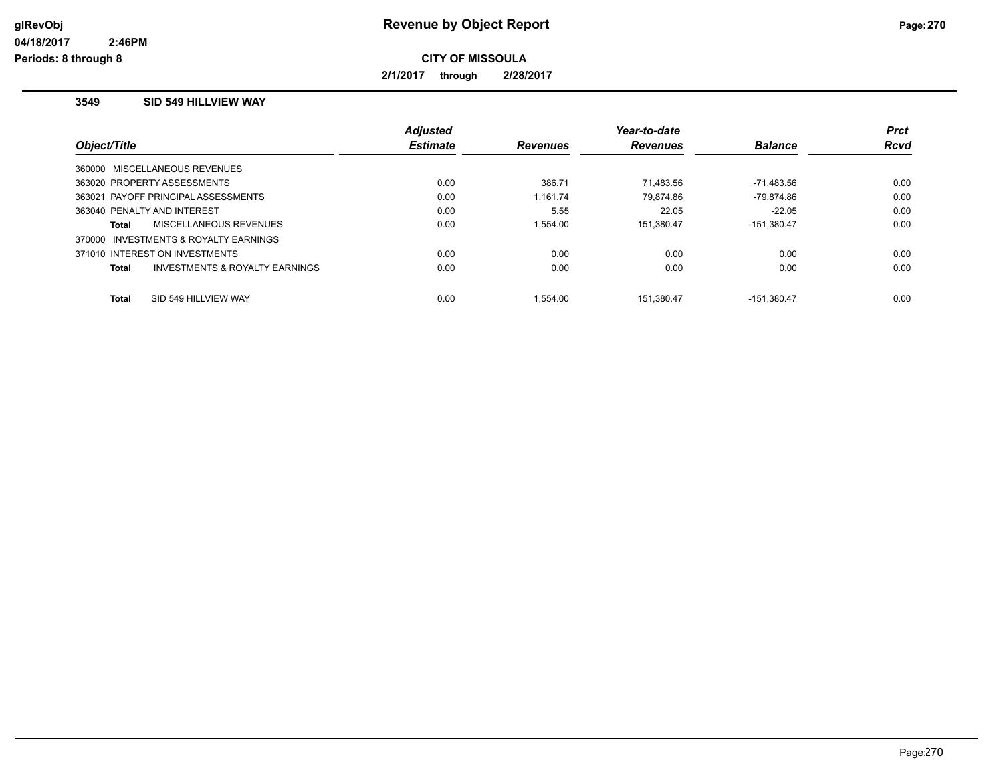**2/1/2017 through 2/28/2017**

## **3549 SID 549 HILLVIEW WAY**

|                                                | <b>Adjusted</b> |                 | Year-to-date    |                | <b>Prct</b> |
|------------------------------------------------|-----------------|-----------------|-----------------|----------------|-------------|
| Object/Title                                   | <b>Estimate</b> | <b>Revenues</b> | <b>Revenues</b> | <b>Balance</b> | <b>Rcvd</b> |
| 360000 MISCELLANEOUS REVENUES                  |                 |                 |                 |                |             |
| 363020 PROPERTY ASSESSMENTS                    | 0.00            | 386.71          | 71.483.56       | $-71,483.56$   | 0.00        |
| 363021 PAYOFF PRINCIPAL ASSESSMENTS            | 0.00            | 1.161.74        | 79.874.86       | -79.874.86     | 0.00        |
| 363040 PENALTY AND INTEREST                    | 0.00            | 5.55            | 22.05           | $-22.05$       | 0.00        |
| MISCELLANEOUS REVENUES<br>Total                | 0.00            | 1.554.00        | 151,380.47      | $-151.380.47$  | 0.00        |
| 370000 INVESTMENTS & ROYALTY EARNINGS          |                 |                 |                 |                |             |
| 371010 INTEREST ON INVESTMENTS                 | 0.00            | 0.00            | 0.00            | 0.00           | 0.00        |
| INVESTMENTS & ROYALTY EARNINGS<br><b>Total</b> | 0.00            | 0.00            | 0.00            | 0.00           | 0.00        |
| SID 549 HILLVIEW WAY<br><b>Total</b>           | 0.00            | 1.554.00        | 151.380.47      | -151.380.47    | 0.00        |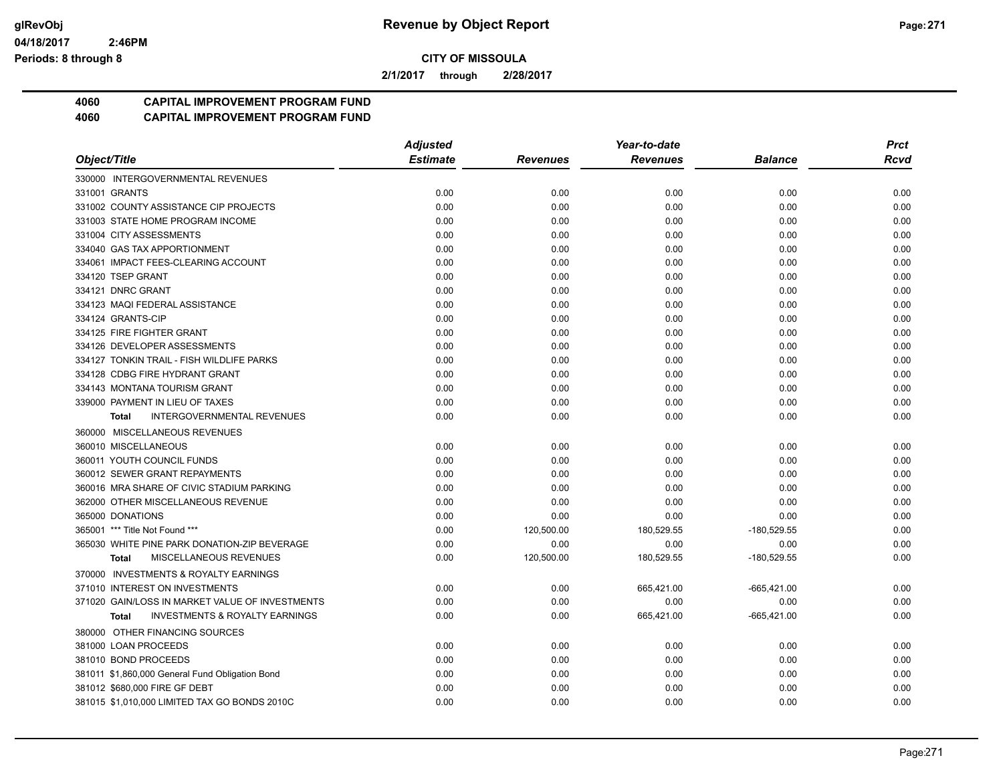**2/1/2017 through 2/28/2017**

## **4060 CAPITAL IMPROVEMENT PROGRAM FUND 4060 CAPITAL IMPROVEMENT PROGRAM FUND**

|                                                           | <b>Adjusted</b> |                 | Year-to-date    |                | <b>Prct</b> |
|-----------------------------------------------------------|-----------------|-----------------|-----------------|----------------|-------------|
| Object/Title                                              | <b>Estimate</b> | <b>Revenues</b> | <b>Revenues</b> | <b>Balance</b> | <b>Rcvd</b> |
| 330000 INTERGOVERNMENTAL REVENUES                         |                 |                 |                 |                |             |
| 331001 GRANTS                                             | 0.00            | 0.00            | 0.00            | 0.00           | 0.00        |
| 331002 COUNTY ASSISTANCE CIP PROJECTS                     | 0.00            | 0.00            | 0.00            | 0.00           | 0.00        |
| 331003 STATE HOME PROGRAM INCOME                          | 0.00            | 0.00            | 0.00            | 0.00           | 0.00        |
| 331004 CITY ASSESSMENTS                                   | 0.00            | 0.00            | 0.00            | 0.00           | 0.00        |
| 334040 GAS TAX APPORTIONMENT                              | 0.00            | 0.00            | 0.00            | 0.00           | 0.00        |
| 334061 IMPACT FEES-CLEARING ACCOUNT                       | 0.00            | 0.00            | 0.00            | 0.00           | 0.00        |
| 334120 TSEP GRANT                                         | 0.00            | 0.00            | 0.00            | 0.00           | 0.00        |
| 334121 DNRC GRANT                                         | 0.00            | 0.00            | 0.00            | 0.00           | 0.00        |
| 334123 MAQI FEDERAL ASSISTANCE                            | 0.00            | 0.00            | 0.00            | 0.00           | 0.00        |
| 334124 GRANTS-CIP                                         | 0.00            | 0.00            | 0.00            | 0.00           | 0.00        |
| 334125 FIRE FIGHTER GRANT                                 | 0.00            | 0.00            | 0.00            | 0.00           | 0.00        |
| 334126 DEVELOPER ASSESSMENTS                              | 0.00            | 0.00            | 0.00            | 0.00           | 0.00        |
| 334127 TONKIN TRAIL - FISH WILDLIFE PARKS                 | 0.00            | 0.00            | 0.00            | 0.00           | 0.00        |
| 334128 CDBG FIRE HYDRANT GRANT                            | 0.00            | 0.00            | 0.00            | 0.00           | 0.00        |
| 334143 MONTANA TOURISM GRANT                              | 0.00            | 0.00            | 0.00            | 0.00           | 0.00        |
| 339000 PAYMENT IN LIEU OF TAXES                           | 0.00            | 0.00            | 0.00            | 0.00           | 0.00        |
| <b>Total</b><br><b>INTERGOVERNMENTAL REVENUES</b>         | 0.00            | 0.00            | 0.00            | 0.00           | 0.00        |
| 360000 MISCELLANEOUS REVENUES                             |                 |                 |                 |                |             |
| 360010 MISCELLANEOUS                                      | 0.00            | 0.00            | 0.00            | 0.00           | 0.00        |
| 360011 YOUTH COUNCIL FUNDS                                | 0.00            | 0.00            | 0.00            | 0.00           | 0.00        |
| 360012 SEWER GRANT REPAYMENTS                             | 0.00            | 0.00            | 0.00            | 0.00           | 0.00        |
| 360016 MRA SHARE OF CIVIC STADIUM PARKING                 | 0.00            | 0.00            | 0.00            | 0.00           | 0.00        |
| 362000 OTHER MISCELLANEOUS REVENUE                        | 0.00            | 0.00            | 0.00            | 0.00           | 0.00        |
| 365000 DONATIONS                                          | 0.00            | 0.00            | 0.00            | 0.00           | 0.00        |
| 365001 *** Title Not Found ***                            | 0.00            | 120,500.00      | 180,529.55      | -180,529.55    | 0.00        |
| 365030 WHITE PINE PARK DONATION-ZIP BEVERAGE              | 0.00            | 0.00            | 0.00            | 0.00           | 0.00        |
| MISCELLANEOUS REVENUES<br>Total                           | 0.00            | 120,500.00      | 180,529.55      | -180,529.55    | 0.00        |
| 370000 INVESTMENTS & ROYALTY EARNINGS                     |                 |                 |                 |                |             |
| 371010 INTEREST ON INVESTMENTS                            | 0.00            | 0.00            | 665,421.00      | $-665,421.00$  | 0.00        |
| 371020 GAIN/LOSS IN MARKET VALUE OF INVESTMENTS           | 0.00            | 0.00            | 0.00            | 0.00           | 0.00        |
| <b>INVESTMENTS &amp; ROYALTY EARNINGS</b><br><b>Total</b> | 0.00            | 0.00            | 665,421.00      | $-665,421.00$  | 0.00        |
| 380000 OTHER FINANCING SOURCES                            |                 |                 |                 |                |             |
| 381000 LOAN PROCEEDS                                      | 0.00            | 0.00            | 0.00            | 0.00           | 0.00        |
| 381010 BOND PROCEEDS                                      | 0.00            | 0.00            | 0.00            | 0.00           | 0.00        |
| 381011 \$1,860,000 General Fund Obligation Bond           | 0.00            | 0.00            | 0.00            | 0.00           | 0.00        |
| 381012 \$680,000 FIRE GF DEBT                             | 0.00            | 0.00            | 0.00            | 0.00           | 0.00        |
| 381015 \$1,010,000 LIMITED TAX GO BONDS 2010C             | 0.00            | 0.00            | 0.00            | 0.00           | 0.00        |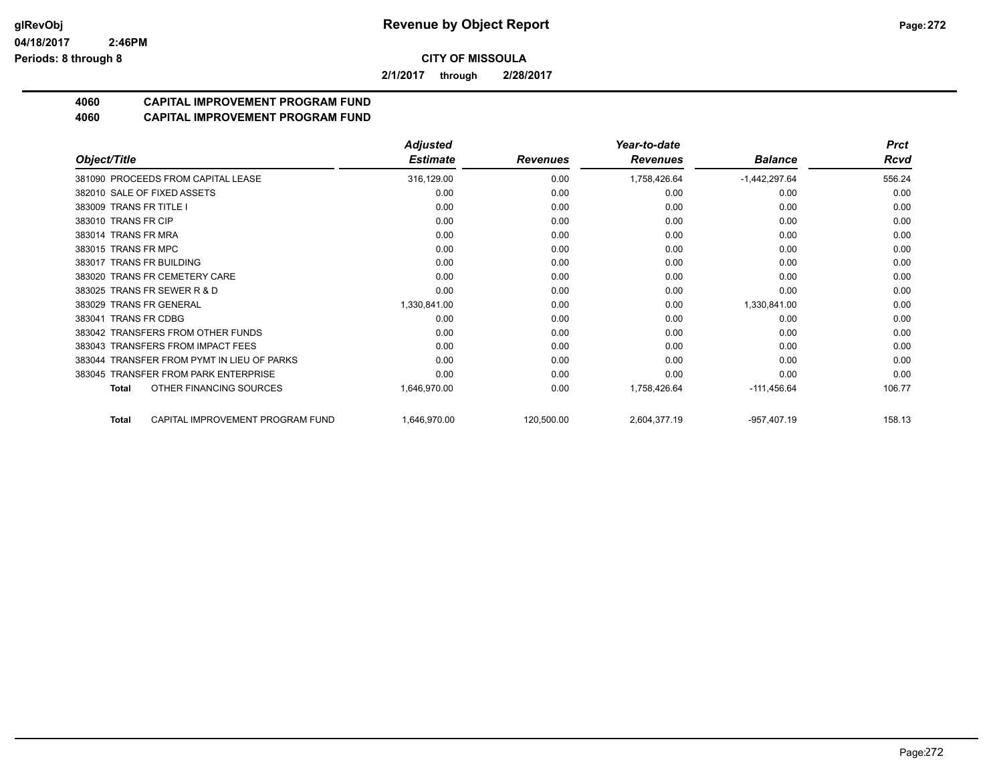**2/1/2017 through 2/28/2017**

## **4060 CAPITAL IMPROVEMENT PROGRAM FUND 4060 CAPITAL IMPROVEMENT PROGRAM FUND**

|                                                  | <b>Adjusted</b> |                 | Year-to-date    |                 | <b>Prct</b> |
|--------------------------------------------------|-----------------|-----------------|-----------------|-----------------|-------------|
| Object/Title                                     | <b>Estimate</b> | <b>Revenues</b> | <b>Revenues</b> | <b>Balance</b>  | <b>Rcvd</b> |
| 381090 PROCEEDS FROM CAPITAL LEASE               | 316,129.00      | 0.00            | 1,758,426.64    | $-1,442,297.64$ | 556.24      |
| 382010 SALE OF FIXED ASSETS                      | 0.00            | 0.00            | 0.00            | 0.00            | 0.00        |
| 383009 TRANS FR TITLE I                          | 0.00            | 0.00            | 0.00            | 0.00            | 0.00        |
| 383010 TRANS FR CIP                              | 0.00            | 0.00            | 0.00            | 0.00            | 0.00        |
| 383014 TRANS FR MRA                              | 0.00            | 0.00            | 0.00            | 0.00            | 0.00        |
| 383015 TRANS FR MPC                              | 0.00            | 0.00            | 0.00            | 0.00            | 0.00        |
| 383017 TRANS FR BUILDING                         | 0.00            | 0.00            | 0.00            | 0.00            | 0.00        |
| 383020 TRANS FR CEMETERY CARE                    | 0.00            | 0.00            | 0.00            | 0.00            | 0.00        |
| 383025 TRANS FR SEWER R & D                      | 0.00            | 0.00            | 0.00            | 0.00            | 0.00        |
| 383029 TRANS FR GENERAL                          | 1,330,841.00    | 0.00            | 0.00            | 1,330,841.00    | 0.00        |
| 383041 TRANS FR CDBG                             | 0.00            | 0.00            | 0.00            | 0.00            | 0.00        |
| 383042 TRANSFERS FROM OTHER FUNDS                | 0.00            | 0.00            | 0.00            | 0.00            | 0.00        |
| 383043 TRANSFERS FROM IMPACT FEES                | 0.00            | 0.00            | 0.00            | 0.00            | 0.00        |
| 383044 TRANSFER FROM PYMT IN LIEU OF PARKS       | 0.00            | 0.00            | 0.00            | 0.00            | 0.00        |
| 383045 TRANSFER FROM PARK ENTERPRISE             | 0.00            | 0.00            | 0.00            | 0.00            | 0.00        |
| OTHER FINANCING SOURCES<br>Total                 | 1,646,970.00    | 0.00            | 1,758,426.64    | $-111,456.64$   | 106.77      |
| CAPITAL IMPROVEMENT PROGRAM FUND<br><b>Total</b> | 1,646,970.00    | 120,500.00      | 2,604,377.19    | $-957,407.19$   | 158.13      |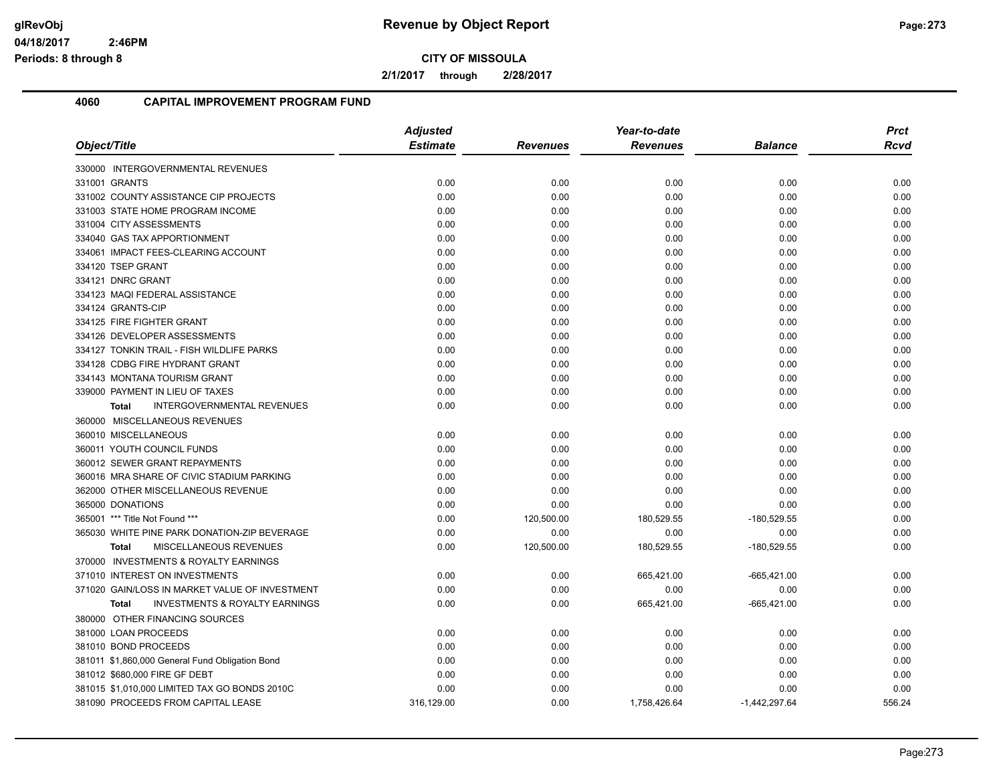**2/1/2017 through 2/28/2017**

## **4060 CAPITAL IMPROVEMENT PROGRAM FUND**

|                                                           | <b>Adjusted</b> |                 | Year-to-date    |                 | <b>Prct</b> |
|-----------------------------------------------------------|-----------------|-----------------|-----------------|-----------------|-------------|
| Object/Title                                              | <b>Estimate</b> | <b>Revenues</b> | <b>Revenues</b> | <b>Balance</b>  | <b>Rcvd</b> |
| 330000 INTERGOVERNMENTAL REVENUES                         |                 |                 |                 |                 |             |
| 331001 GRANTS                                             | 0.00            | 0.00            | 0.00            | 0.00            | 0.00        |
| 331002 COUNTY ASSISTANCE CIP PROJECTS                     | 0.00            | 0.00            | 0.00            | 0.00            | 0.00        |
| 331003 STATE HOME PROGRAM INCOME                          | 0.00            | 0.00            | 0.00            | 0.00            | 0.00        |
| 331004 CITY ASSESSMENTS                                   | 0.00            | 0.00            | 0.00            | 0.00            | 0.00        |
| 334040 GAS TAX APPORTIONMENT                              | 0.00            | 0.00            | 0.00            | 0.00            | 0.00        |
| 334061 IMPACT FEES-CLEARING ACCOUNT                       | 0.00            | 0.00            | 0.00            | 0.00            | 0.00        |
| 334120 TSEP GRANT                                         | 0.00            | 0.00            | 0.00            | 0.00            | 0.00        |
| 334121 DNRC GRANT                                         | 0.00            | 0.00            | 0.00            | 0.00            | 0.00        |
| 334123 MAQI FEDERAL ASSISTANCE                            | 0.00            | 0.00            | 0.00            | 0.00            | 0.00        |
| 334124 GRANTS-CIP                                         | 0.00            | 0.00            | 0.00            | 0.00            | 0.00        |
| 334125 FIRE FIGHTER GRANT                                 | 0.00            | 0.00            | 0.00            | 0.00            | 0.00        |
| 334126 DEVELOPER ASSESSMENTS                              | 0.00            | 0.00            | 0.00            | 0.00            | 0.00        |
| 334127 TONKIN TRAIL - FISH WILDLIFE PARKS                 | 0.00            | 0.00            | 0.00            | 0.00            | 0.00        |
| 334128 CDBG FIRE HYDRANT GRANT                            | 0.00            | 0.00            | 0.00            | 0.00            | 0.00        |
| 334143 MONTANA TOURISM GRANT                              | 0.00            | 0.00            | 0.00            | 0.00            | 0.00        |
| 339000 PAYMENT IN LIEU OF TAXES                           | 0.00            | 0.00            | 0.00            | 0.00            | 0.00        |
| <b>INTERGOVERNMENTAL REVENUES</b><br><b>Total</b>         | 0.00            | 0.00            | 0.00            | 0.00            | 0.00        |
| 360000 MISCELLANEOUS REVENUES                             |                 |                 |                 |                 |             |
| 360010 MISCELLANEOUS                                      | 0.00            | 0.00            | 0.00            | 0.00            | 0.00        |
| 360011 YOUTH COUNCIL FUNDS                                | 0.00            | 0.00            | 0.00            | 0.00            | 0.00        |
| 360012 SEWER GRANT REPAYMENTS                             | 0.00            | 0.00            | 0.00            | 0.00            | 0.00        |
| 360016 MRA SHARE OF CIVIC STADIUM PARKING                 | 0.00            | 0.00            | 0.00            | 0.00            | 0.00        |
| 362000 OTHER MISCELLANEOUS REVENUE                        | 0.00            | 0.00            | 0.00            | 0.00            | 0.00        |
| 365000 DONATIONS                                          | 0.00            | 0.00            | 0.00            | 0.00            | 0.00        |
| 365001 *** Title Not Found ***                            | 0.00            | 120,500.00      | 180,529.55      | $-180,529.55$   | 0.00        |
| 365030 WHITE PINE PARK DONATION-ZIP BEVERAGE              | 0.00            | 0.00            | 0.00            | 0.00            | 0.00        |
| MISCELLANEOUS REVENUES<br><b>Total</b>                    | 0.00            | 120,500.00      | 180,529.55      | $-180,529.55$   | 0.00        |
| 370000 INVESTMENTS & ROYALTY EARNINGS                     |                 |                 |                 |                 |             |
| 371010 INTEREST ON INVESTMENTS                            | 0.00            | 0.00            | 665,421.00      | $-665,421.00$   | 0.00        |
| 371020 GAIN/LOSS IN MARKET VALUE OF INVESTMENT            | 0.00            | 0.00            | 0.00            | 0.00            | 0.00        |
| <b>INVESTMENTS &amp; ROYALTY EARNINGS</b><br><b>Total</b> | 0.00            | 0.00            | 665,421.00      | $-665,421.00$   | 0.00        |
| 380000 OTHER FINANCING SOURCES                            |                 |                 |                 |                 |             |
| 381000 LOAN PROCEEDS                                      | 0.00            | 0.00            | 0.00            | 0.00            | 0.00        |
| 381010 BOND PROCEEDS                                      | 0.00            | 0.00            | 0.00            | 0.00            | 0.00        |
| 381011 \$1,860,000 General Fund Obligation Bond           | 0.00            | 0.00            | 0.00            | 0.00            | 0.00        |
| 381012 \$680,000 FIRE GF DEBT                             | 0.00            | 0.00            | 0.00            | 0.00            | 0.00        |
| 381015 \$1,010,000 LIMITED TAX GO BONDS 2010C             | 0.00            | 0.00            | 0.00            | 0.00            | 0.00        |
| 381090 PROCEEDS FROM CAPITAL LEASE                        | 316.129.00      | 0.00            | 1,758,426.64    | $-1.442.297.64$ | 556.24      |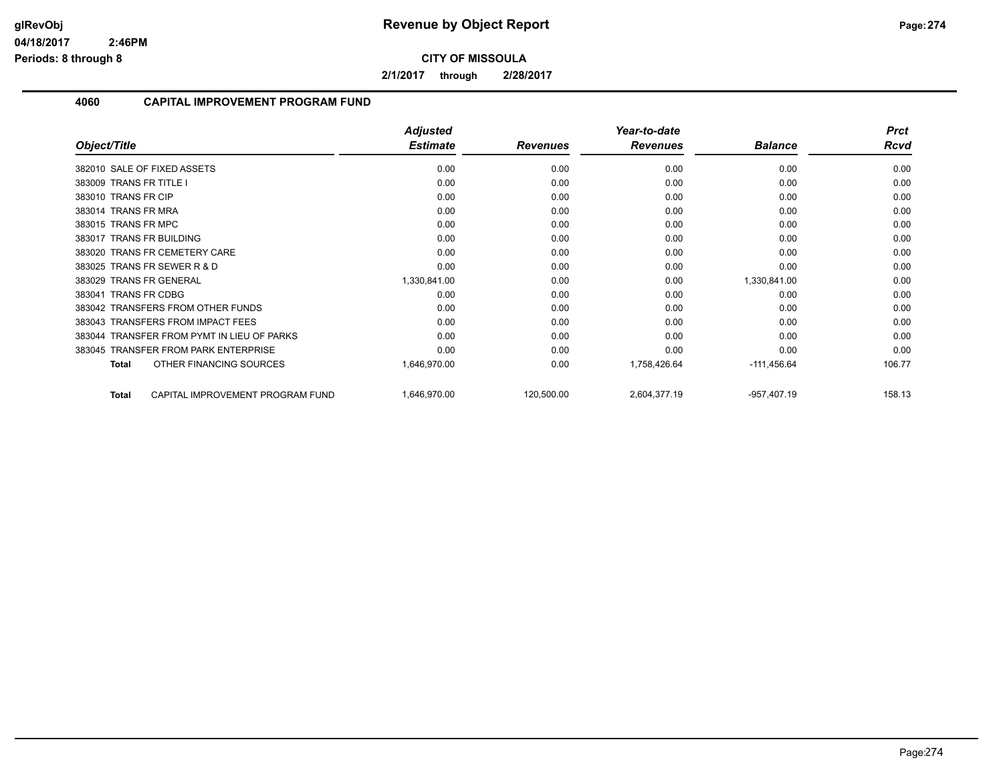**2/1/2017 through 2/28/2017**

## **4060 CAPITAL IMPROVEMENT PROGRAM FUND**

|                                                  | <b>Adjusted</b> |                 | Year-to-date    |                | <b>Prct</b> |
|--------------------------------------------------|-----------------|-----------------|-----------------|----------------|-------------|
| Object/Title                                     | <b>Estimate</b> | <b>Revenues</b> | <b>Revenues</b> | <b>Balance</b> | Rcvd        |
| 382010 SALE OF FIXED ASSETS                      | 0.00            | 0.00            | 0.00            | 0.00           | 0.00        |
| 383009 TRANS FR TITLE I                          | 0.00            | 0.00            | 0.00            | 0.00           | 0.00        |
| 383010 TRANS FR CIP                              | 0.00            | 0.00            | 0.00            | 0.00           | 0.00        |
| 383014 TRANS FR MRA                              | 0.00            | 0.00            | 0.00            | 0.00           | 0.00        |
| 383015 TRANS FR MPC                              | 0.00            | 0.00            | 0.00            | 0.00           | 0.00        |
| 383017 TRANS FR BUILDING                         | 0.00            | 0.00            | 0.00            | 0.00           | 0.00        |
| 383020 TRANS FR CEMETERY CARE                    | 0.00            | 0.00            | 0.00            | 0.00           | 0.00        |
| 383025 TRANS FR SEWER R & D                      | 0.00            | 0.00            | 0.00            | 0.00           | 0.00        |
| 383029 TRANS FR GENERAL                          | 1,330,841.00    | 0.00            | 0.00            | 1,330,841.00   | 0.00        |
| 383041 TRANS FR CDBG                             | 0.00            | 0.00            | 0.00            | 0.00           | 0.00        |
| 383042 TRANSFERS FROM OTHER FUNDS                | 0.00            | 0.00            | 0.00            | 0.00           | 0.00        |
| 383043 TRANSFERS FROM IMPACT FEES                | 0.00            | 0.00            | 0.00            | 0.00           | 0.00        |
| 383044 TRANSFER FROM PYMT IN LIEU OF PARKS       | 0.00            | 0.00            | 0.00            | 0.00           | 0.00        |
| 383045 TRANSFER FROM PARK ENTERPRISE             | 0.00            | 0.00            | 0.00            | 0.00           | 0.00        |
| OTHER FINANCING SOURCES<br>Total                 | 1,646,970.00    | 0.00            | 1,758,426.64    | $-111,456.64$  | 106.77      |
| CAPITAL IMPROVEMENT PROGRAM FUND<br><b>Total</b> | 1,646,970.00    | 120,500.00      | 2,604,377.19    | $-957,407.19$  | 158.13      |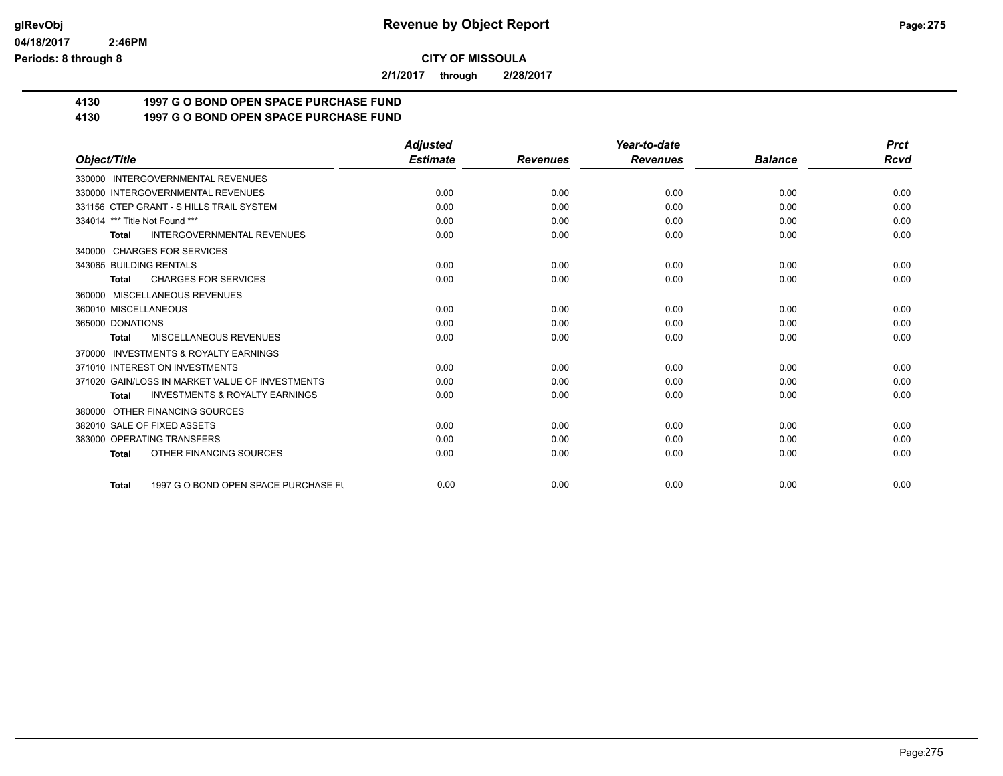**2/1/2017 through 2/28/2017**

## **4130 1997 G O BOND OPEN SPACE PURCHASE FUND 4130 1997 G O BOND OPEN SPACE PURCHASE FUND**

|                                                           | <b>Adjusted</b> |                 | Year-to-date    |                | <b>Prct</b> |
|-----------------------------------------------------------|-----------------|-----------------|-----------------|----------------|-------------|
| Object/Title                                              | <b>Estimate</b> | <b>Revenues</b> | <b>Revenues</b> | <b>Balance</b> | <b>Rcvd</b> |
| 330000 INTERGOVERNMENTAL REVENUES                         |                 |                 |                 |                |             |
| 330000 INTERGOVERNMENTAL REVENUES                         | 0.00            | 0.00            | 0.00            | 0.00           | 0.00        |
| 331156 CTEP GRANT - S HILLS TRAIL SYSTEM                  | 0.00            | 0.00            | 0.00            | 0.00           | 0.00        |
| 334014 *** Title Not Found ***                            | 0.00            | 0.00            | 0.00            | 0.00           | 0.00        |
| <b>INTERGOVERNMENTAL REVENUES</b><br>Total                | 0.00            | 0.00            | 0.00            | 0.00           | 0.00        |
| <b>CHARGES FOR SERVICES</b><br>340000                     |                 |                 |                 |                |             |
| 343065 BUILDING RENTALS                                   | 0.00            | 0.00            | 0.00            | 0.00           | 0.00        |
| <b>CHARGES FOR SERVICES</b><br><b>Total</b>               | 0.00            | 0.00            | 0.00            | 0.00           | 0.00        |
| MISCELLANEOUS REVENUES<br>360000                          |                 |                 |                 |                |             |
| 360010 MISCELLANEOUS                                      | 0.00            | 0.00            | 0.00            | 0.00           | 0.00        |
| 365000 DONATIONS                                          | 0.00            | 0.00            | 0.00            | 0.00           | 0.00        |
| <b>MISCELLANEOUS REVENUES</b><br><b>Total</b>             | 0.00            | 0.00            | 0.00            | 0.00           | 0.00        |
| <b>INVESTMENTS &amp; ROYALTY EARNINGS</b><br>370000       |                 |                 |                 |                |             |
| 371010 INTEREST ON INVESTMENTS                            | 0.00            | 0.00            | 0.00            | 0.00           | 0.00        |
| 371020 GAIN/LOSS IN MARKET VALUE OF INVESTMENTS           | 0.00            | 0.00            | 0.00            | 0.00           | 0.00        |
| <b>INVESTMENTS &amp; ROYALTY EARNINGS</b><br><b>Total</b> | 0.00            | 0.00            | 0.00            | 0.00           | 0.00        |
| OTHER FINANCING SOURCES<br>380000                         |                 |                 |                 |                |             |
| 382010 SALE OF FIXED ASSETS                               | 0.00            | 0.00            | 0.00            | 0.00           | 0.00        |
| 383000 OPERATING TRANSFERS                                | 0.00            | 0.00            | 0.00            | 0.00           | 0.00        |
| OTHER FINANCING SOURCES<br><b>Total</b>                   | 0.00            | 0.00            | 0.00            | 0.00           | 0.00        |
| 1997 G O BOND OPEN SPACE PURCHASE FU<br><b>Total</b>      | 0.00            | 0.00            | 0.00            | 0.00           | 0.00        |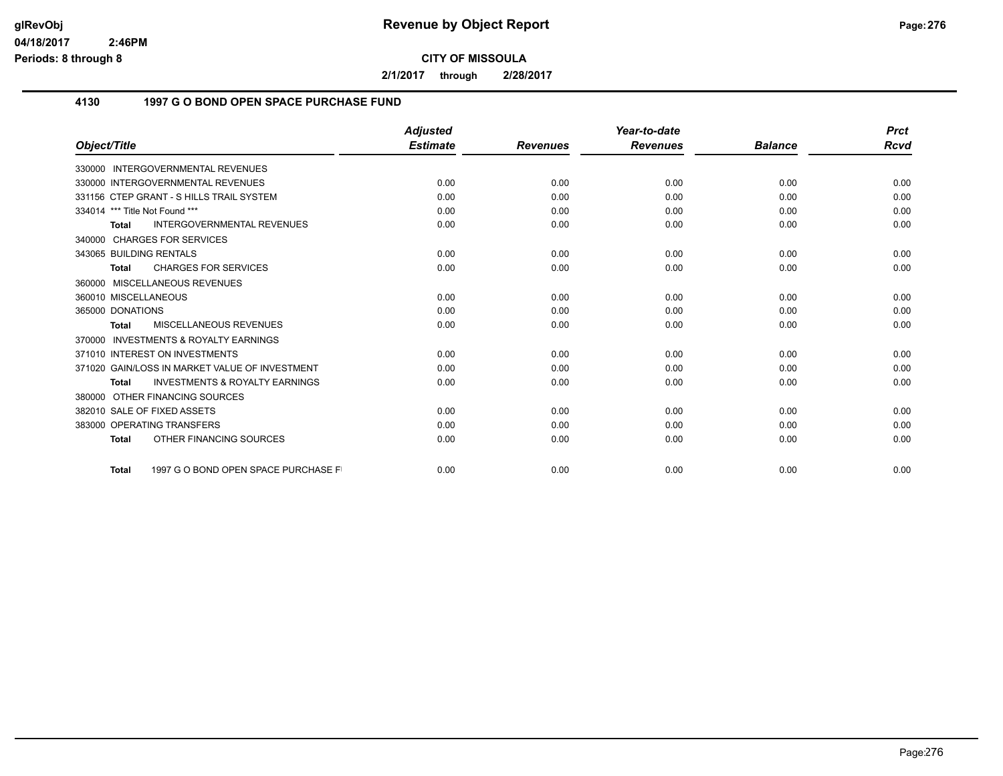**2/1/2017 through 2/28/2017**

## **4130 1997 G O BOND OPEN SPACE PURCHASE FUND**

|                                                     | <b>Adjusted</b> |                 | Year-to-date    |                | <b>Prct</b> |
|-----------------------------------------------------|-----------------|-----------------|-----------------|----------------|-------------|
| Object/Title                                        | <b>Estimate</b> | <b>Revenues</b> | <b>Revenues</b> | <b>Balance</b> | Rcvd        |
| <b>INTERGOVERNMENTAL REVENUES</b><br>330000         |                 |                 |                 |                |             |
| 330000 INTERGOVERNMENTAL REVENUES                   | 0.00            | 0.00            | 0.00            | 0.00           | 0.00        |
| 331156 CTEP GRANT - S HILLS TRAIL SYSTEM            | 0.00            | 0.00            | 0.00            | 0.00           | 0.00        |
| 334014 *** Title Not Found ***                      | 0.00            | 0.00            | 0.00            | 0.00           | 0.00        |
| <b>INTERGOVERNMENTAL REVENUES</b><br><b>Total</b>   | 0.00            | 0.00            | 0.00            | 0.00           | 0.00        |
| 340000 CHARGES FOR SERVICES                         |                 |                 |                 |                |             |
| 343065 BUILDING RENTALS                             | 0.00            | 0.00            | 0.00            | 0.00           | 0.00        |
| <b>CHARGES FOR SERVICES</b><br>Total                | 0.00            | 0.00            | 0.00            | 0.00           | 0.00        |
| 360000 MISCELLANEOUS REVENUES                       |                 |                 |                 |                |             |
| 360010 MISCELLANEOUS                                | 0.00            | 0.00            | 0.00            | 0.00           | 0.00        |
| 365000 DONATIONS                                    | 0.00            | 0.00            | 0.00            | 0.00           | 0.00        |
| <b>MISCELLANEOUS REVENUES</b><br><b>Total</b>       | 0.00            | 0.00            | 0.00            | 0.00           | 0.00        |
| <b>INVESTMENTS &amp; ROYALTY EARNINGS</b><br>370000 |                 |                 |                 |                |             |
| 371010 INTEREST ON INVESTMENTS                      | 0.00            | 0.00            | 0.00            | 0.00           | 0.00        |
| 371020 GAIN/LOSS IN MARKET VALUE OF INVESTMENT      | 0.00            | 0.00            | 0.00            | 0.00           | 0.00        |
| <b>INVESTMENTS &amp; ROYALTY EARNINGS</b><br>Total  | 0.00            | 0.00            | 0.00            | 0.00           | 0.00        |
| 380000 OTHER FINANCING SOURCES                      |                 |                 |                 |                |             |
| 382010 SALE OF FIXED ASSETS                         | 0.00            | 0.00            | 0.00            | 0.00           | 0.00        |
| 383000 OPERATING TRANSFERS                          | 0.00            | 0.00            | 0.00            | 0.00           | 0.00        |
| OTHER FINANCING SOURCES<br><b>Total</b>             | 0.00            | 0.00            | 0.00            | 0.00           | 0.00        |
| 1997 G O BOND OPEN SPACE PURCHASE F<br><b>Total</b> | 0.00            | 0.00            | 0.00            | 0.00           | 0.00        |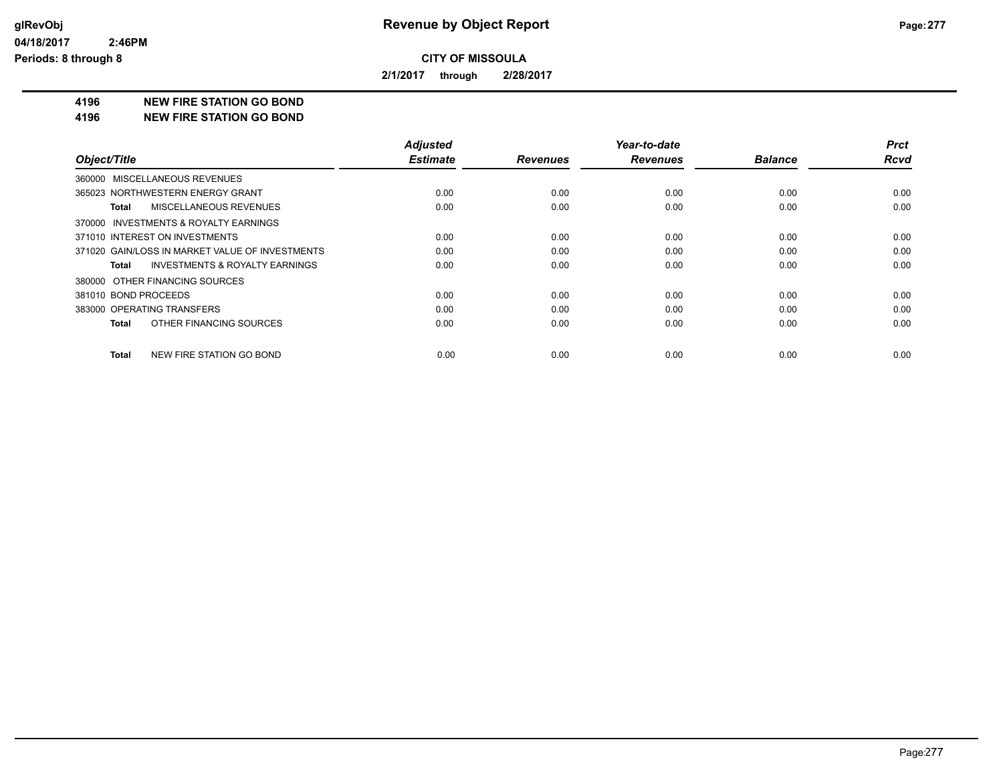**2/1/2017 through 2/28/2017**

**4196 NEW FIRE STATION GO BOND**

**4196 NEW FIRE STATION GO BOND**

|                                                           | <b>Adjusted</b> |                 | Year-to-date    |                | <b>Prct</b> |
|-----------------------------------------------------------|-----------------|-----------------|-----------------|----------------|-------------|
| Object/Title                                              | <b>Estimate</b> | <b>Revenues</b> | <b>Revenues</b> | <b>Balance</b> | <b>Rcvd</b> |
| 360000 MISCELLANEOUS REVENUES                             |                 |                 |                 |                |             |
| 365023 NORTHWESTERN ENERGY GRANT                          | 0.00            | 0.00            | 0.00            | 0.00           | 0.00        |
| MISCELLANEOUS REVENUES<br><b>Total</b>                    | 0.00            | 0.00            | 0.00            | 0.00           | 0.00        |
| 370000 INVESTMENTS & ROYALTY EARNINGS                     |                 |                 |                 |                |             |
| 371010 INTEREST ON INVESTMENTS                            | 0.00            | 0.00            | 0.00            | 0.00           | 0.00        |
| 371020 GAIN/LOSS IN MARKET VALUE OF INVESTMENTS           | 0.00            | 0.00            | 0.00            | 0.00           | 0.00        |
| <b>INVESTMENTS &amp; ROYALTY EARNINGS</b><br><b>Total</b> | 0.00            | 0.00            | 0.00            | 0.00           | 0.00        |
| 380000 OTHER FINANCING SOURCES                            |                 |                 |                 |                |             |
| 381010 BOND PROCEEDS                                      | 0.00            | 0.00            | 0.00            | 0.00           | 0.00        |
| 383000 OPERATING TRANSFERS                                | 0.00            | 0.00            | 0.00            | 0.00           | 0.00        |
| OTHER FINANCING SOURCES<br><b>Total</b>                   | 0.00            | 0.00            | 0.00            | 0.00           | 0.00        |
| NEW FIRE STATION GO BOND<br><b>Total</b>                  | 0.00            | 0.00            | 0.00            | 0.00           | 0.00        |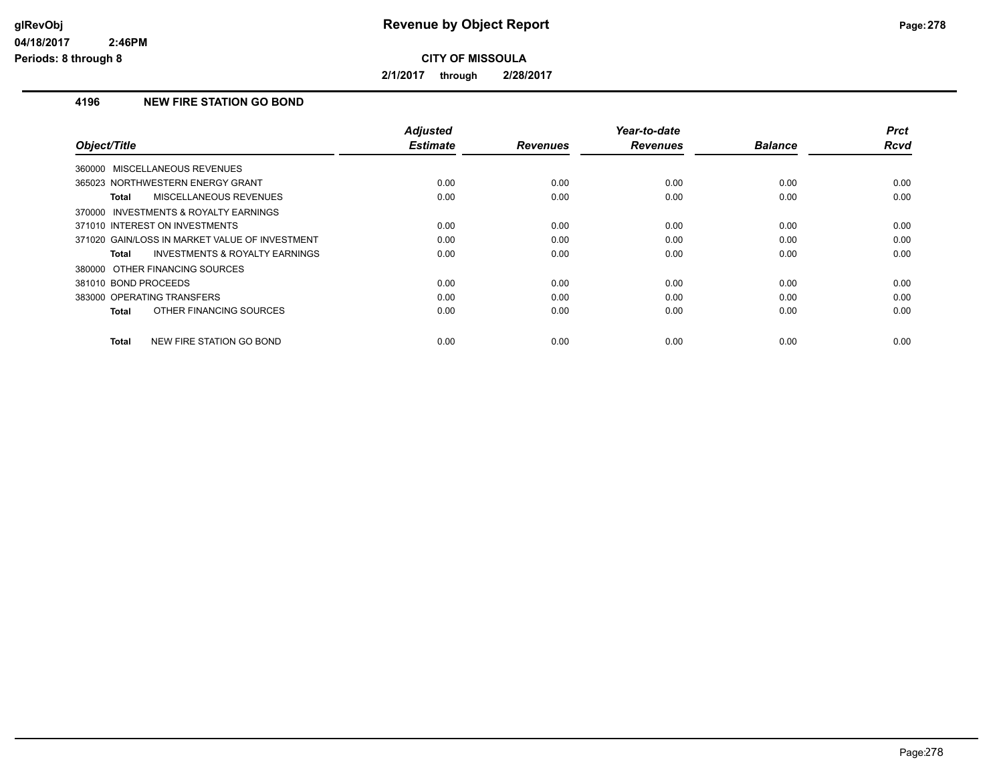**2/1/2017 through 2/28/2017**

## **4196 NEW FIRE STATION GO BOND**

| Object/Title                                    | <b>Adjusted</b><br><b>Estimate</b> | <b>Revenues</b> | Year-to-date<br><b>Revenues</b> | <b>Balance</b> | <b>Prct</b><br><b>Rcvd</b> |
|-------------------------------------------------|------------------------------------|-----------------|---------------------------------|----------------|----------------------------|
|                                                 |                                    |                 |                                 |                |                            |
| MISCELLANEOUS REVENUES<br>360000                |                                    |                 |                                 |                |                            |
| 365023 NORTHWESTERN ENERGY GRANT                | 0.00                               | 0.00            | 0.00                            | 0.00           | 0.00                       |
| MISCELLANEOUS REVENUES<br><b>Total</b>          | 0.00                               | 0.00            | 0.00                            | 0.00           | 0.00                       |
| 370000 INVESTMENTS & ROYALTY EARNINGS           |                                    |                 |                                 |                |                            |
| 371010 INTEREST ON INVESTMENTS                  | 0.00                               | 0.00            | 0.00                            | 0.00           | 0.00                       |
| 371020 GAIN/LOSS IN MARKET VALUE OF INVESTMENT  | 0.00                               | 0.00            | 0.00                            | 0.00           | 0.00                       |
| INVESTMENTS & ROYALTY EARNINGS<br>Total         | 0.00                               | 0.00            | 0.00                            | 0.00           | 0.00                       |
| 380000 OTHER FINANCING SOURCES                  |                                    |                 |                                 |                |                            |
| 381010 BOND PROCEEDS                            | 0.00                               | 0.00            | 0.00                            | 0.00           | 0.00                       |
| 383000 OPERATING TRANSFERS                      | 0.00                               | 0.00            | 0.00                            | 0.00           | 0.00                       |
| OTHER FINANCING SOURCES<br><b>Total</b>         | 0.00                               | 0.00            | 0.00                            | 0.00           | 0.00                       |
| <b>NEW FIRE STATION GO BOND</b><br><b>Total</b> | 0.00                               | 0.00            | 0.00                            | 0.00           | 0.00                       |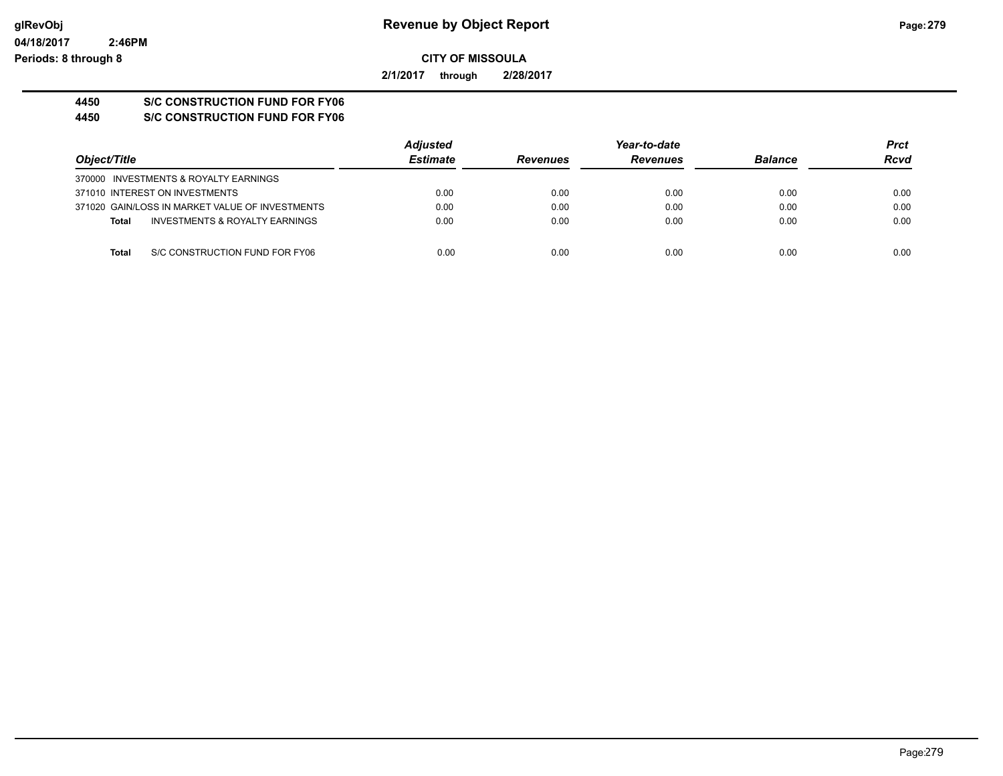**2/1/2017 through 2/28/2017**

## **4450 S/C CONSTRUCTION FUND FOR FY06 4450 S/C CONSTRUCTION FUND FOR FY06**

|                                                 | <b>Adjusted</b> |                 | Year-to-date    |                | <b>Prct</b> |
|-------------------------------------------------|-----------------|-----------------|-----------------|----------------|-------------|
| Object/Title                                    | <b>Estimate</b> | <b>Revenues</b> | <b>Revenues</b> | <b>Balance</b> | <b>Rcvd</b> |
| 370000 INVESTMENTS & ROYALTY EARNINGS           |                 |                 |                 |                |             |
| 371010 INTEREST ON INVESTMENTS                  | 0.00            | 0.00            | 0.00            | 0.00           | 0.00        |
| 371020 GAIN/LOSS IN MARKET VALUE OF INVESTMENTS | 0.00            | 0.00            | 0.00            | 0.00           | 0.00        |
| INVESTMENTS & ROYALTY EARNINGS<br><b>Total</b>  | 0.00            | 0.00            | 0.00            | 0.00           | 0.00        |
|                                                 |                 |                 |                 |                |             |
| S/C CONSTRUCTION FUND FOR FY06<br><b>Total</b>  | 0.00            | 0.00            | 0.00            | 0.00           | 0.00        |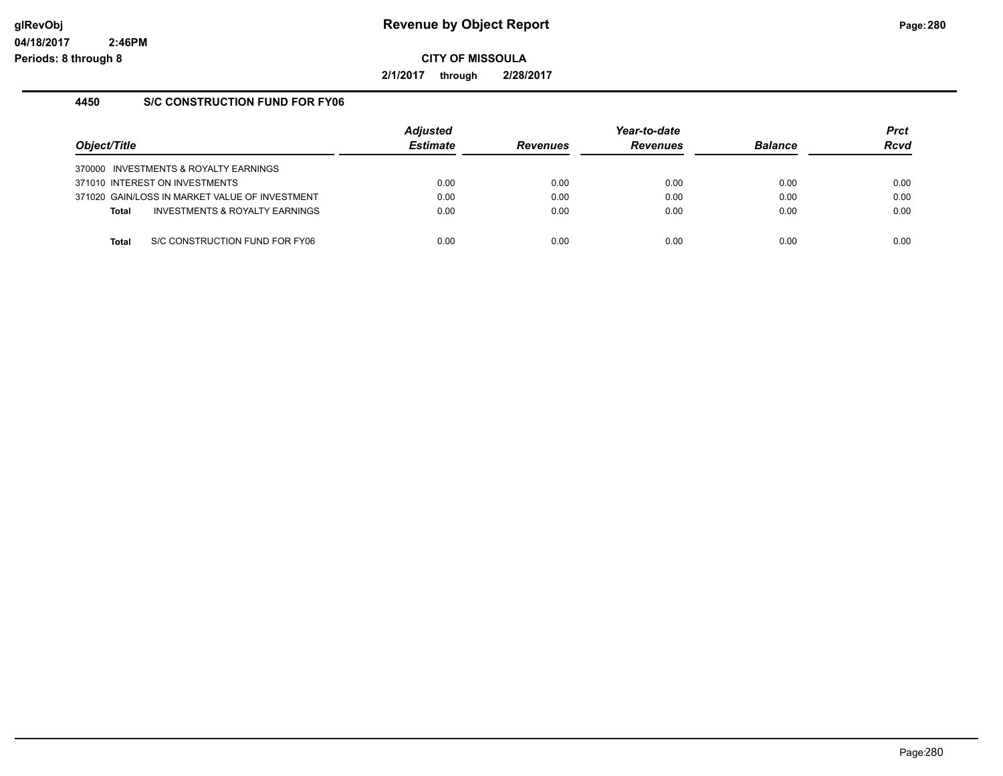**2/1/2017 through 2/28/2017**

## **4450 S/C CONSTRUCTION FUND FOR FY06**

|                                                | <b>Adjusted</b> | Year-to-date    |                 |                | <b>Prct</b> |
|------------------------------------------------|-----------------|-----------------|-----------------|----------------|-------------|
| Object/Title                                   | <b>Estimate</b> | <b>Revenues</b> | <b>Revenues</b> | <b>Balance</b> | <b>Rcvd</b> |
| 370000 INVESTMENTS & ROYALTY EARNINGS          |                 |                 |                 |                |             |
| 371010 INTEREST ON INVESTMENTS                 | 0.00            | 0.00            | 0.00            | 0.00           | 0.00        |
| 371020 GAIN/LOSS IN MARKET VALUE OF INVESTMENT | 0.00            | 0.00            | 0.00            | 0.00           | 0.00        |
| INVESTMENTS & ROYALTY EARNINGS<br><b>Total</b> | 0.00            | 0.00            | 0.00            | 0.00           | 0.00        |
| Total<br>S/C CONSTRUCTION FUND FOR FY06        | 0.00            | 0.00            | 0.00            | 0.00           | 0.00        |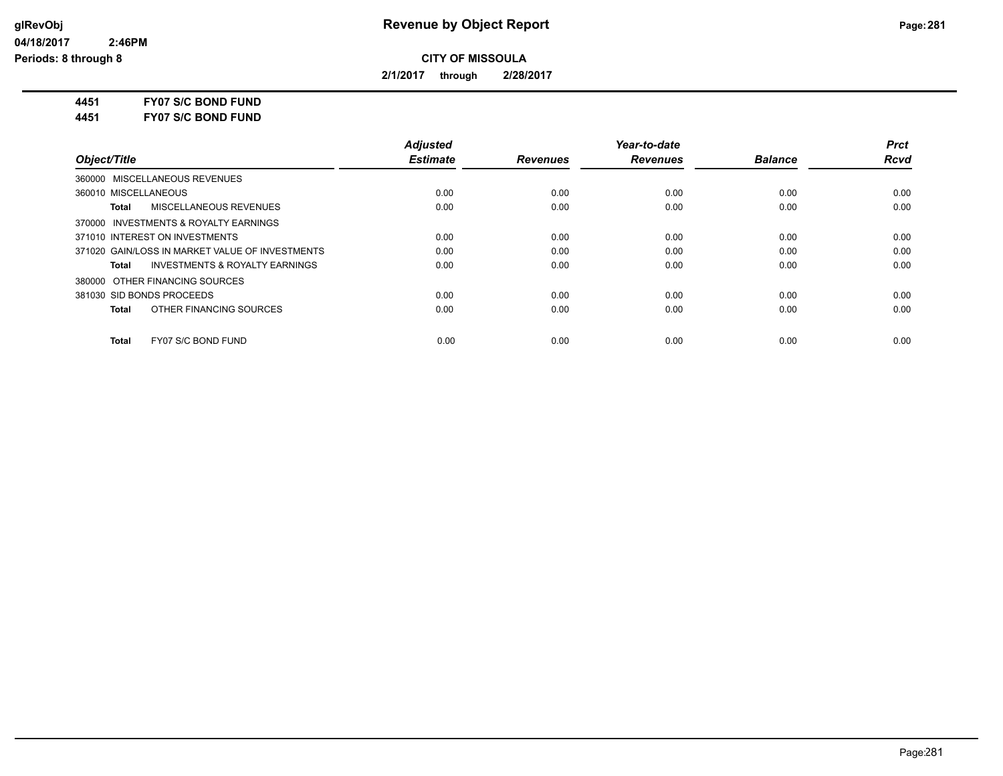**2/1/2017 through 2/28/2017**

**4451 FY07 S/C BOND FUND**

**4451 FY07 S/C BOND FUND**

| Object/Title                                       | <b>Adjusted</b><br><b>Estimate</b> | <b>Revenues</b> | Year-to-date<br><b>Revenues</b> | <b>Balance</b> | <b>Prct</b><br><b>Rcvd</b> |
|----------------------------------------------------|------------------------------------|-----------------|---------------------------------|----------------|----------------------------|
| 360000 MISCELLANEOUS REVENUES                      |                                    |                 |                                 |                |                            |
| 360010 MISCELLANEOUS                               | 0.00                               | 0.00            | 0.00                            | 0.00           | 0.00                       |
| MISCELLANEOUS REVENUES<br>Total                    | 0.00                               | 0.00            | 0.00                            | 0.00           | 0.00                       |
| 370000 INVESTMENTS & ROYALTY EARNINGS              |                                    |                 |                                 |                |                            |
| 371010 INTEREST ON INVESTMENTS                     | 0.00                               | 0.00            | 0.00                            | 0.00           | 0.00                       |
| 371020 GAIN/LOSS IN MARKET VALUE OF INVESTMENTS    | 0.00                               | 0.00            | 0.00                            | 0.00           | 0.00                       |
| <b>INVESTMENTS &amp; ROYALTY EARNINGS</b><br>Total | 0.00                               | 0.00            | 0.00                            | 0.00           | 0.00                       |
| 380000 OTHER FINANCING SOURCES                     |                                    |                 |                                 |                |                            |
| 381030 SID BONDS PROCEEDS                          | 0.00                               | 0.00            | 0.00                            | 0.00           | 0.00                       |
| OTHER FINANCING SOURCES<br>Total                   | 0.00                               | 0.00            | 0.00                            | 0.00           | 0.00                       |
| FY07 S/C BOND FUND<br><b>Total</b>                 | 0.00                               | 0.00            | 0.00                            | 0.00           | 0.00                       |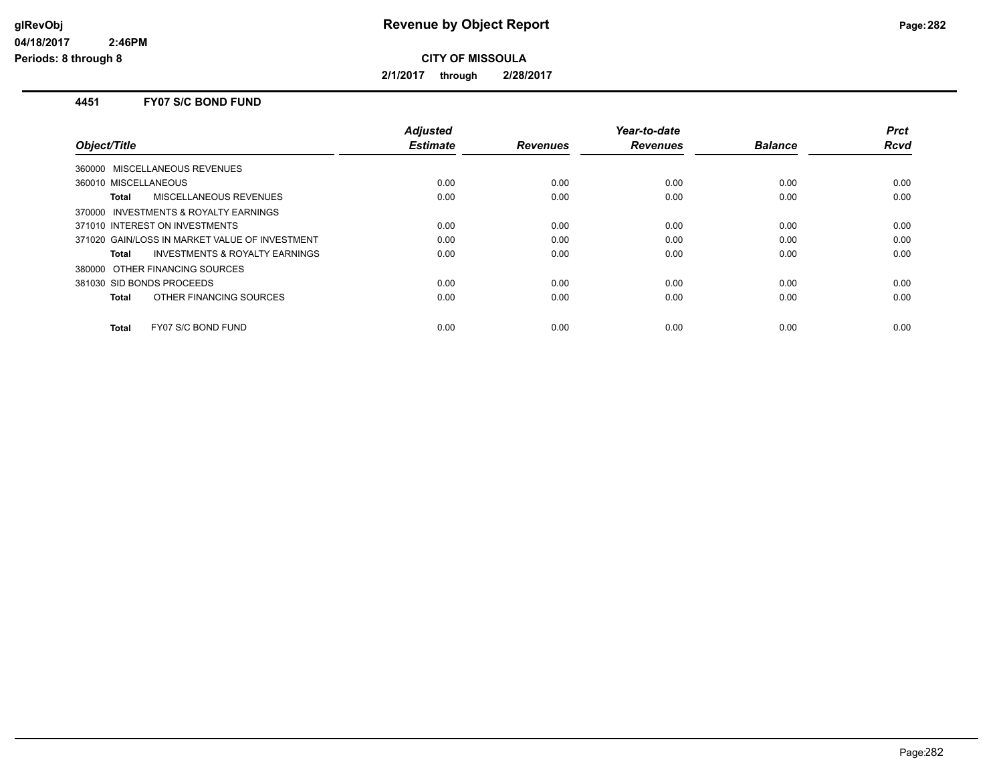**2/1/2017 through 2/28/2017**

#### **4451 FY07 S/C BOND FUND**

|                                                           | <b>Adjusted</b> |                 | Year-to-date    |                | <b>Prct</b> |
|-----------------------------------------------------------|-----------------|-----------------|-----------------|----------------|-------------|
| Object/Title                                              | <b>Estimate</b> | <b>Revenues</b> | <b>Revenues</b> | <b>Balance</b> | <b>Rcvd</b> |
| MISCELLANEOUS REVENUES<br>360000                          |                 |                 |                 |                |             |
| 360010 MISCELLANEOUS                                      | 0.00            | 0.00            | 0.00            | 0.00           | 0.00        |
| MISCELLANEOUS REVENUES<br><b>Total</b>                    | 0.00            | 0.00            | 0.00            | 0.00           | 0.00        |
| 370000 INVESTMENTS & ROYALTY EARNINGS                     |                 |                 |                 |                |             |
| 371010 INTEREST ON INVESTMENTS                            | 0.00            | 0.00            | 0.00            | 0.00           | 0.00        |
| 371020 GAIN/LOSS IN MARKET VALUE OF INVESTMENT            | 0.00            | 0.00            | 0.00            | 0.00           | 0.00        |
| <b>INVESTMENTS &amp; ROYALTY EARNINGS</b><br><b>Total</b> | 0.00            | 0.00            | 0.00            | 0.00           | 0.00        |
| 380000 OTHER FINANCING SOURCES                            |                 |                 |                 |                |             |
| 381030 SID BONDS PROCEEDS                                 | 0.00            | 0.00            | 0.00            | 0.00           | 0.00        |
| OTHER FINANCING SOURCES<br><b>Total</b>                   | 0.00            | 0.00            | 0.00            | 0.00           | 0.00        |
| FY07 S/C BOND FUND<br><b>Total</b>                        | 0.00            | 0.00            | 0.00            | 0.00           | 0.00        |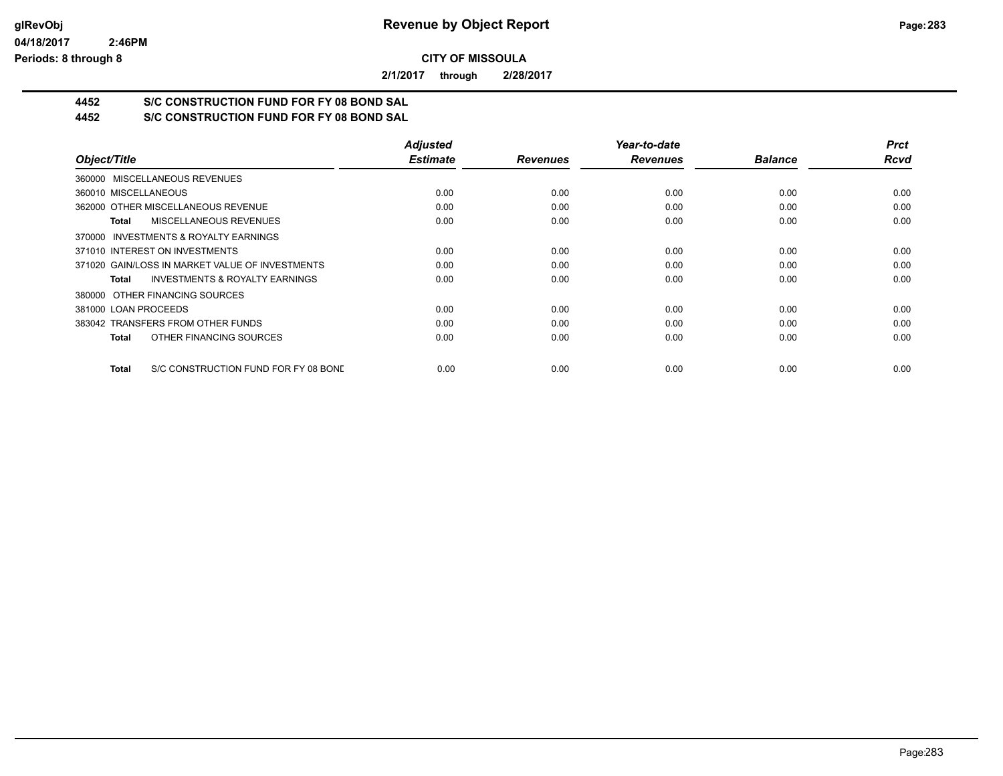**2/1/2017 through 2/28/2017**

# **4452 S/C CONSTRUCTION FUND FOR FY 08 BOND SAL**

**4452 S/C CONSTRUCTION FUND FOR FY 08 BOND SAL**

|                                                           | <b>Adjusted</b> |                 | Year-to-date    |                | <b>Prct</b> |
|-----------------------------------------------------------|-----------------|-----------------|-----------------|----------------|-------------|
| Object/Title                                              | <b>Estimate</b> | <b>Revenues</b> | <b>Revenues</b> | <b>Balance</b> | <b>Rcvd</b> |
| 360000 MISCELLANEOUS REVENUES                             |                 |                 |                 |                |             |
| 360010 MISCELLANEOUS                                      | 0.00            | 0.00            | 0.00            | 0.00           | 0.00        |
| 362000 OTHER MISCELLANEOUS REVENUE                        | 0.00            | 0.00            | 0.00            | 0.00           | 0.00        |
| MISCELLANEOUS REVENUES<br><b>Total</b>                    | 0.00            | 0.00            | 0.00            | 0.00           | 0.00        |
| 370000 INVESTMENTS & ROYALTY EARNINGS                     |                 |                 |                 |                |             |
| 371010 INTEREST ON INVESTMENTS                            | 0.00            | 0.00            | 0.00            | 0.00           | 0.00        |
| 371020 GAIN/LOSS IN MARKET VALUE OF INVESTMENTS           | 0.00            | 0.00            | 0.00            | 0.00           | 0.00        |
| <b>INVESTMENTS &amp; ROYALTY EARNINGS</b><br><b>Total</b> | 0.00            | 0.00            | 0.00            | 0.00           | 0.00        |
| 380000 OTHER FINANCING SOURCES                            |                 |                 |                 |                |             |
| 381000 LOAN PROCEEDS                                      | 0.00            | 0.00            | 0.00            | 0.00           | 0.00        |
| 383042 TRANSFERS FROM OTHER FUNDS                         | 0.00            | 0.00            | 0.00            | 0.00           | 0.00        |
| OTHER FINANCING SOURCES<br>Total                          | 0.00            | 0.00            | 0.00            | 0.00           | 0.00        |
| S/C CONSTRUCTION FUND FOR FY 08 BOND<br>Total             | 0.00            | 0.00            | 0.00            | 0.00           | 0.00        |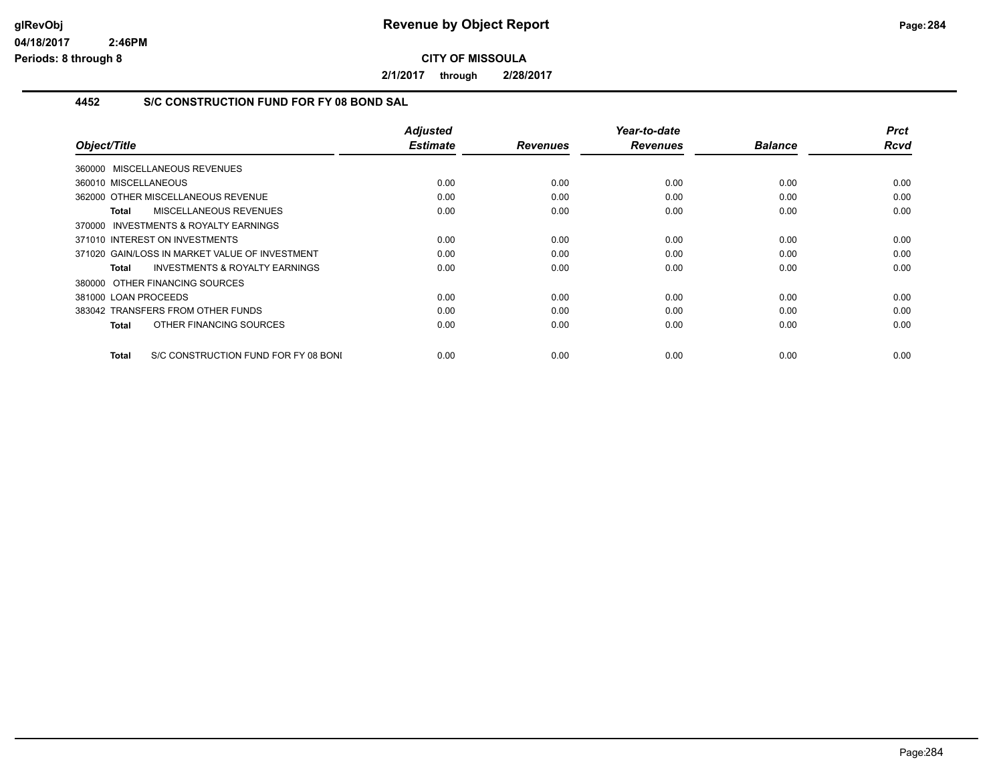**2/1/2017 through 2/28/2017**

## **4452 S/C CONSTRUCTION FUND FOR FY 08 BOND SAL**

|                                                      | <b>Adjusted</b> |                 | Year-to-date    |                | <b>Prct</b> |
|------------------------------------------------------|-----------------|-----------------|-----------------|----------------|-------------|
| Object/Title                                         | <b>Estimate</b> | <b>Revenues</b> | <b>Revenues</b> | <b>Balance</b> | <b>Rcvd</b> |
| 360000 MISCELLANEOUS REVENUES                        |                 |                 |                 |                |             |
| 360010 MISCELLANEOUS                                 | 0.00            | 0.00            | 0.00            | 0.00           | 0.00        |
| 362000 OTHER MISCELLANEOUS REVENUE                   | 0.00            | 0.00            | 0.00            | 0.00           | 0.00        |
| <b>MISCELLANEOUS REVENUES</b><br>Total               | 0.00            | 0.00            | 0.00            | 0.00           | 0.00        |
| <b>INVESTMENTS &amp; ROYALTY EARNINGS</b><br>370000  |                 |                 |                 |                |             |
| 371010 INTEREST ON INVESTMENTS                       | 0.00            | 0.00            | 0.00            | 0.00           | 0.00        |
| 371020 GAIN/LOSS IN MARKET VALUE OF INVESTMENT       | 0.00            | 0.00            | 0.00            | 0.00           | 0.00        |
| INVESTMENTS & ROYALTY EARNINGS<br>Total              | 0.00            | 0.00            | 0.00            | 0.00           | 0.00        |
| 380000 OTHER FINANCING SOURCES                       |                 |                 |                 |                |             |
| 381000 LOAN PROCEEDS                                 | 0.00            | 0.00            | 0.00            | 0.00           | 0.00        |
| 383042 TRANSFERS FROM OTHER FUNDS                    | 0.00            | 0.00            | 0.00            | 0.00           | 0.00        |
| OTHER FINANCING SOURCES<br>Total                     | 0.00            | 0.00            | 0.00            | 0.00           | 0.00        |
|                                                      |                 |                 |                 |                |             |
| S/C CONSTRUCTION FUND FOR FY 08 BONI<br><b>Total</b> | 0.00            | 0.00            | 0.00            | 0.00           | 0.00        |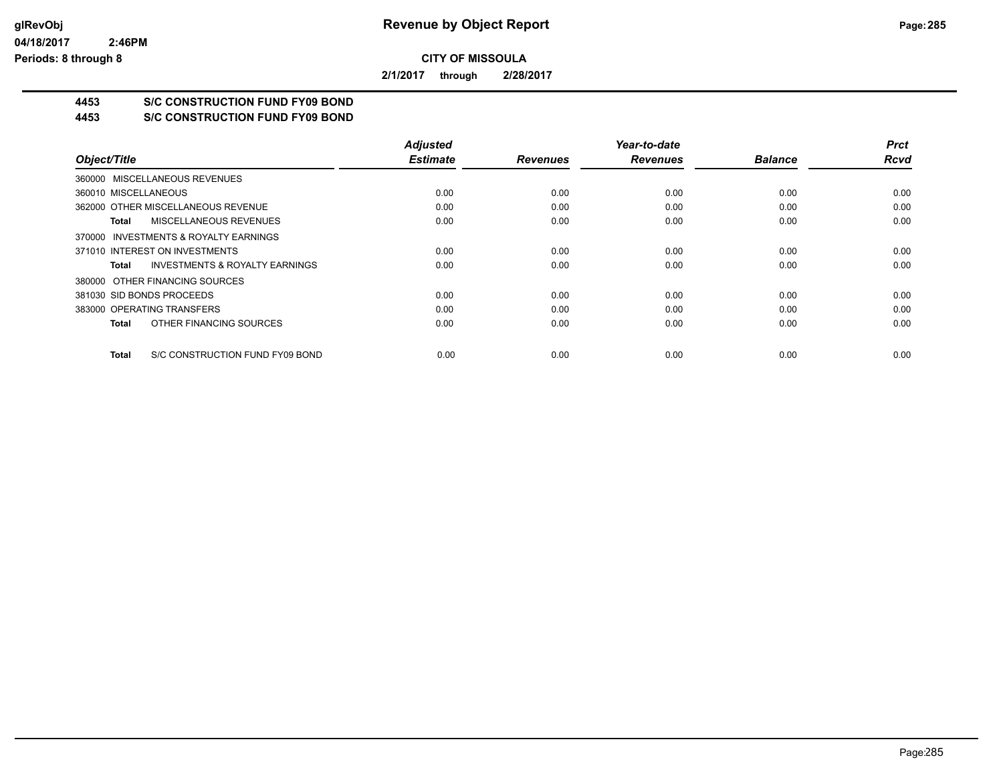**2/1/2017 through 2/28/2017**

# **4453 S/C CONSTRUCTION FUND FY09 BOND**

**4453 S/C CONSTRUCTION FUND FY09 BOND**

|                                                    | <b>Adjusted</b> |                 | Year-to-date    |                | <b>Prct</b> |
|----------------------------------------------------|-----------------|-----------------|-----------------|----------------|-------------|
| Object/Title                                       | <b>Estimate</b> | <b>Revenues</b> | <b>Revenues</b> | <b>Balance</b> | Rcvd        |
| 360000 MISCELLANEOUS REVENUES                      |                 |                 |                 |                |             |
| 360010 MISCELLANEOUS                               | 0.00            | 0.00            | 0.00            | 0.00           | 0.00        |
| 362000 OTHER MISCELLANEOUS REVENUE                 | 0.00            | 0.00            | 0.00            | 0.00           | 0.00        |
| MISCELLANEOUS REVENUES<br>Total                    | 0.00            | 0.00            | 0.00            | 0.00           | 0.00        |
| INVESTMENTS & ROYALTY EARNINGS<br>370000           |                 |                 |                 |                |             |
| 371010 INTEREST ON INVESTMENTS                     | 0.00            | 0.00            | 0.00            | 0.00           | 0.00        |
| <b>INVESTMENTS &amp; ROYALTY EARNINGS</b><br>Total | 0.00            | 0.00            | 0.00            | 0.00           | 0.00        |
| 380000 OTHER FINANCING SOURCES                     |                 |                 |                 |                |             |
| 381030 SID BONDS PROCEEDS                          | 0.00            | 0.00            | 0.00            | 0.00           | 0.00        |
| 383000 OPERATING TRANSFERS                         | 0.00            | 0.00            | 0.00            | 0.00           | 0.00        |
| OTHER FINANCING SOURCES<br>Total                   | 0.00            | 0.00            | 0.00            | 0.00           | 0.00        |
| S/C CONSTRUCTION FUND FY09 BOND<br>Total           | 0.00            | 0.00            | 0.00            | 0.00           | 0.00        |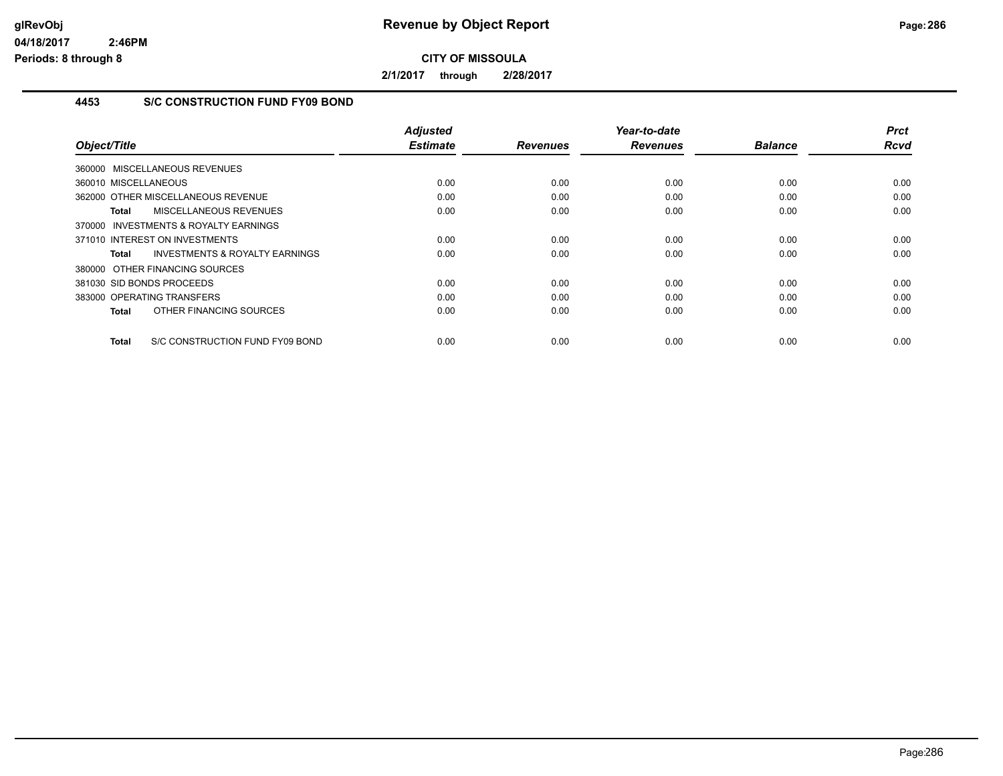**2/1/2017 through 2/28/2017**

## **4453 S/C CONSTRUCTION FUND FY09 BOND**

|                                                    | <b>Adjusted</b> |                 | Year-to-date    |                | <b>Prct</b> |
|----------------------------------------------------|-----------------|-----------------|-----------------|----------------|-------------|
| Object/Title                                       | <b>Estimate</b> | <b>Revenues</b> | <b>Revenues</b> | <b>Balance</b> | Rcvd        |
| 360000 MISCELLANEOUS REVENUES                      |                 |                 |                 |                |             |
| 360010 MISCELLANEOUS                               | 0.00            | 0.00            | 0.00            | 0.00           | 0.00        |
| 362000 OTHER MISCELLANEOUS REVENUE                 | 0.00            | 0.00            | 0.00            | 0.00           | 0.00        |
| MISCELLANEOUS REVENUES<br>Total                    | 0.00            | 0.00            | 0.00            | 0.00           | 0.00        |
| 370000 INVESTMENTS & ROYALTY EARNINGS              |                 |                 |                 |                |             |
| 371010 INTEREST ON INVESTMENTS                     | 0.00            | 0.00            | 0.00            | 0.00           | 0.00        |
| <b>INVESTMENTS &amp; ROYALTY EARNINGS</b><br>Total | 0.00            | 0.00            | 0.00            | 0.00           | 0.00        |
| 380000 OTHER FINANCING SOURCES                     |                 |                 |                 |                |             |
| 381030 SID BONDS PROCEEDS                          | 0.00            | 0.00            | 0.00            | 0.00           | 0.00        |
| 383000 OPERATING TRANSFERS                         | 0.00            | 0.00            | 0.00            | 0.00           | 0.00        |
| OTHER FINANCING SOURCES<br><b>Total</b>            | 0.00            | 0.00            | 0.00            | 0.00           | 0.00        |
| S/C CONSTRUCTION FUND FY09 BOND<br><b>Total</b>    | 0.00            | 0.00            | 0.00            | 0.00           | 0.00        |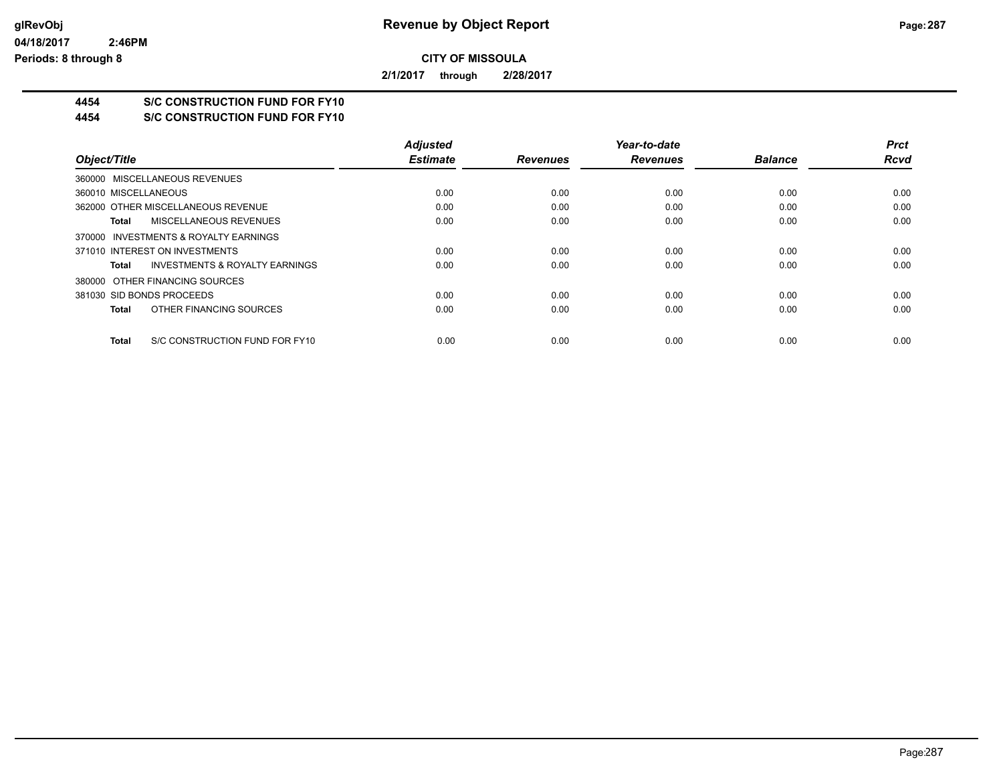**2/1/2017 through 2/28/2017**

## **4454 S/C CONSTRUCTION FUND FOR FY10**

**4454 S/C CONSTRUCTION FUND FOR FY10**

|                                                    | <b>Adjusted</b> |                 | Year-to-date    |                | <b>Prct</b> |
|----------------------------------------------------|-----------------|-----------------|-----------------|----------------|-------------|
| Object/Title                                       | <b>Estimate</b> | <b>Revenues</b> | <b>Revenues</b> | <b>Balance</b> | Rcvd        |
| 360000 MISCELLANEOUS REVENUES                      |                 |                 |                 |                |             |
| 360010 MISCELLANEOUS                               | 0.00            | 0.00            | 0.00            | 0.00           | 0.00        |
| 362000 OTHER MISCELLANEOUS REVENUE                 | 0.00            | 0.00            | 0.00            | 0.00           | 0.00        |
| MISCELLANEOUS REVENUES<br>Total                    | 0.00            | 0.00            | 0.00            | 0.00           | 0.00        |
| 370000 INVESTMENTS & ROYALTY EARNINGS              |                 |                 |                 |                |             |
| 371010 INTEREST ON INVESTMENTS                     | 0.00            | 0.00            | 0.00            | 0.00           | 0.00        |
| <b>INVESTMENTS &amp; ROYALTY EARNINGS</b><br>Total | 0.00            | 0.00            | 0.00            | 0.00           | 0.00        |
| 380000 OTHER FINANCING SOURCES                     |                 |                 |                 |                |             |
| 381030 SID BONDS PROCEEDS                          | 0.00            | 0.00            | 0.00            | 0.00           | 0.00        |
| OTHER FINANCING SOURCES<br>Total                   | 0.00            | 0.00            | 0.00            | 0.00           | 0.00        |
| <b>Total</b><br>S/C CONSTRUCTION FUND FOR FY10     | 0.00            | 0.00            | 0.00            | 0.00           | 0.00        |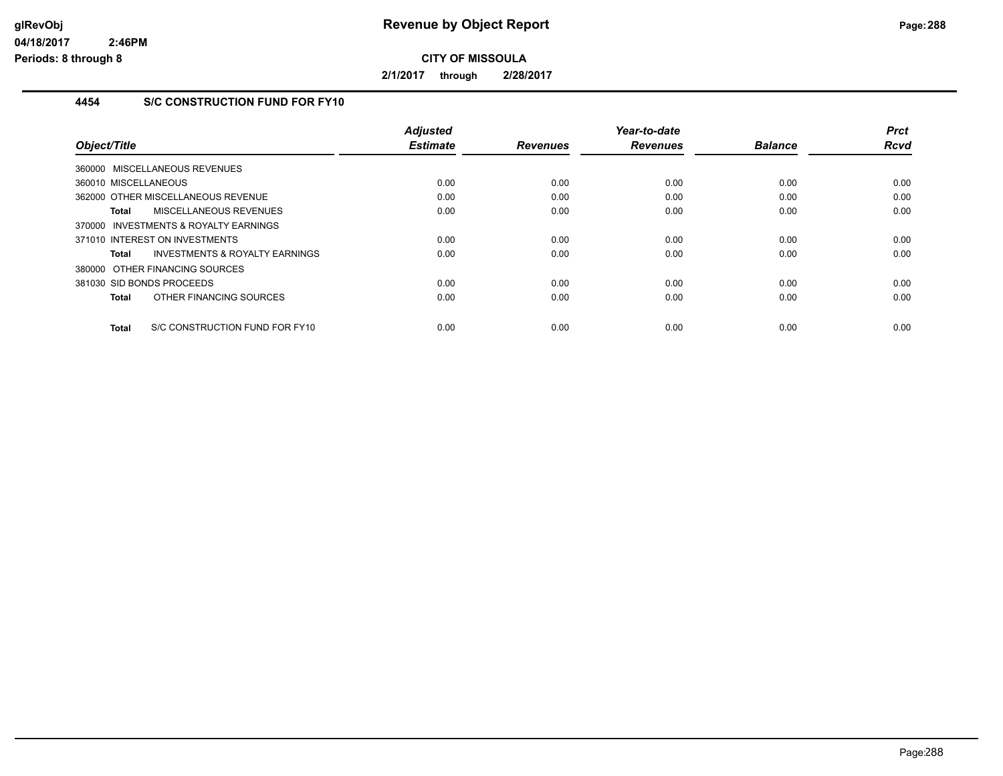**2/1/2017 through 2/28/2017**

## **4454 S/C CONSTRUCTION FUND FOR FY10**

| Object/Title                                        | <b>Adjusted</b><br><b>Estimate</b> | <b>Revenues</b> | Year-to-date<br><b>Revenues</b> | <b>Balance</b> | <b>Prct</b><br><b>Rcvd</b> |
|-----------------------------------------------------|------------------------------------|-----------------|---------------------------------|----------------|----------------------------|
|                                                     |                                    |                 |                                 |                |                            |
| 360000 MISCELLANEOUS REVENUES                       |                                    |                 |                                 |                |                            |
| 360010 MISCELLANEOUS                                | 0.00                               | 0.00            | 0.00                            | 0.00           | 0.00                       |
| 362000 OTHER MISCELLANEOUS REVENUE                  | 0.00                               | 0.00            | 0.00                            | 0.00           | 0.00                       |
| MISCELLANEOUS REVENUES<br>Total                     | 0.00                               | 0.00            | 0.00                            | 0.00           | 0.00                       |
| <b>INVESTMENTS &amp; ROYALTY EARNINGS</b><br>370000 |                                    |                 |                                 |                |                            |
| 371010 INTEREST ON INVESTMENTS                      | 0.00                               | 0.00            | 0.00                            | 0.00           | 0.00                       |
| <b>INVESTMENTS &amp; ROYALTY EARNINGS</b><br>Total  | 0.00                               | 0.00            | 0.00                            | 0.00           | 0.00                       |
| 380000 OTHER FINANCING SOURCES                      |                                    |                 |                                 |                |                            |
| 381030 SID BONDS PROCEEDS                           | 0.00                               | 0.00            | 0.00                            | 0.00           | 0.00                       |
| OTHER FINANCING SOURCES<br>Total                    | 0.00                               | 0.00            | 0.00                            | 0.00           | 0.00                       |
| <b>Total</b><br>S/C CONSTRUCTION FUND FOR FY10      | 0.00                               | 0.00            | 0.00                            | 0.00           | 0.00                       |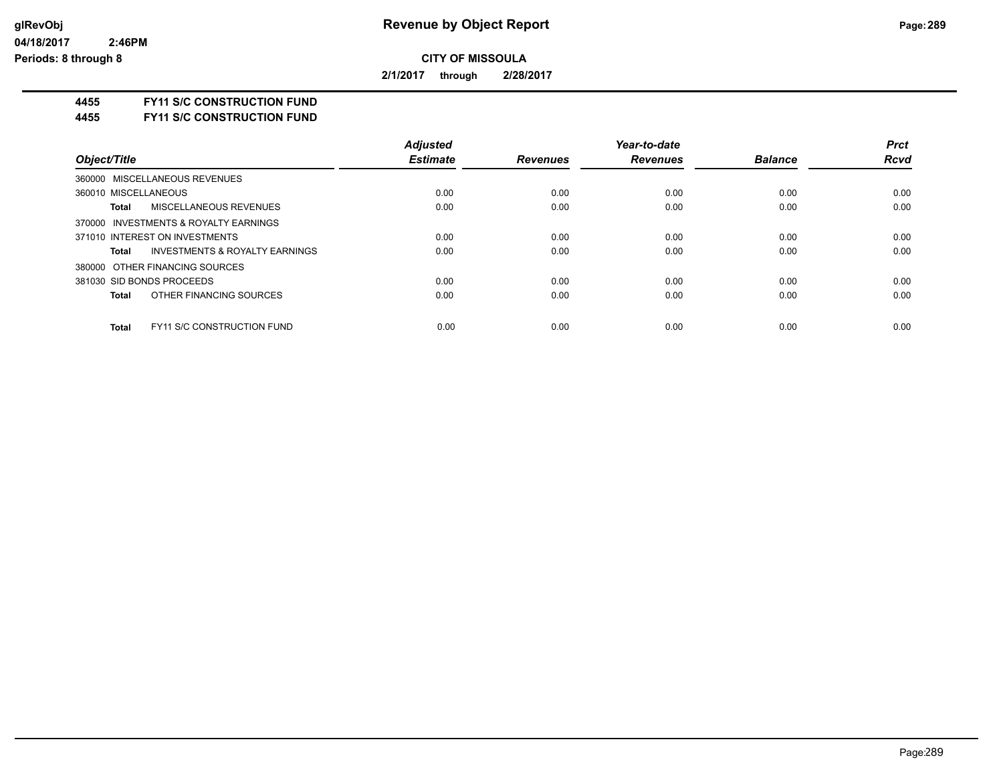**2/1/2017 through 2/28/2017**

**4455 FY11 S/C CONSTRUCTION FUND**

**4455 FY11 S/C CONSTRUCTION FUND**

|                                                   | <b>Adjusted</b> |                 | Year-to-date    |                | <b>Prct</b> |
|---------------------------------------------------|-----------------|-----------------|-----------------|----------------|-------------|
| Object/Title                                      | <b>Estimate</b> | <b>Revenues</b> | <b>Revenues</b> | <b>Balance</b> | <b>Rcvd</b> |
| 360000 MISCELLANEOUS REVENUES                     |                 |                 |                 |                |             |
| 360010 MISCELLANEOUS                              | 0.00            | 0.00            | 0.00            | 0.00           | 0.00        |
| <b>MISCELLANEOUS REVENUES</b><br>Total            | 0.00            | 0.00            | 0.00            | 0.00           | 0.00        |
| 370000 INVESTMENTS & ROYALTY EARNINGS             |                 |                 |                 |                |             |
| 371010 INTEREST ON INVESTMENTS                    | 0.00            | 0.00            | 0.00            | 0.00           | 0.00        |
| INVESTMENTS & ROYALTY EARNINGS<br>Total           | 0.00            | 0.00            | 0.00            | 0.00           | 0.00        |
| 380000 OTHER FINANCING SOURCES                    |                 |                 |                 |                |             |
| 381030 SID BONDS PROCEEDS                         | 0.00            | 0.00            | 0.00            | 0.00           | 0.00        |
| OTHER FINANCING SOURCES<br>Total                  | 0.00            | 0.00            | 0.00            | 0.00           | 0.00        |
|                                                   |                 |                 |                 |                |             |
| <b>FY11 S/C CONSTRUCTION FUND</b><br><b>Total</b> | 0.00            | 0.00            | 0.00            | 0.00           | 0.00        |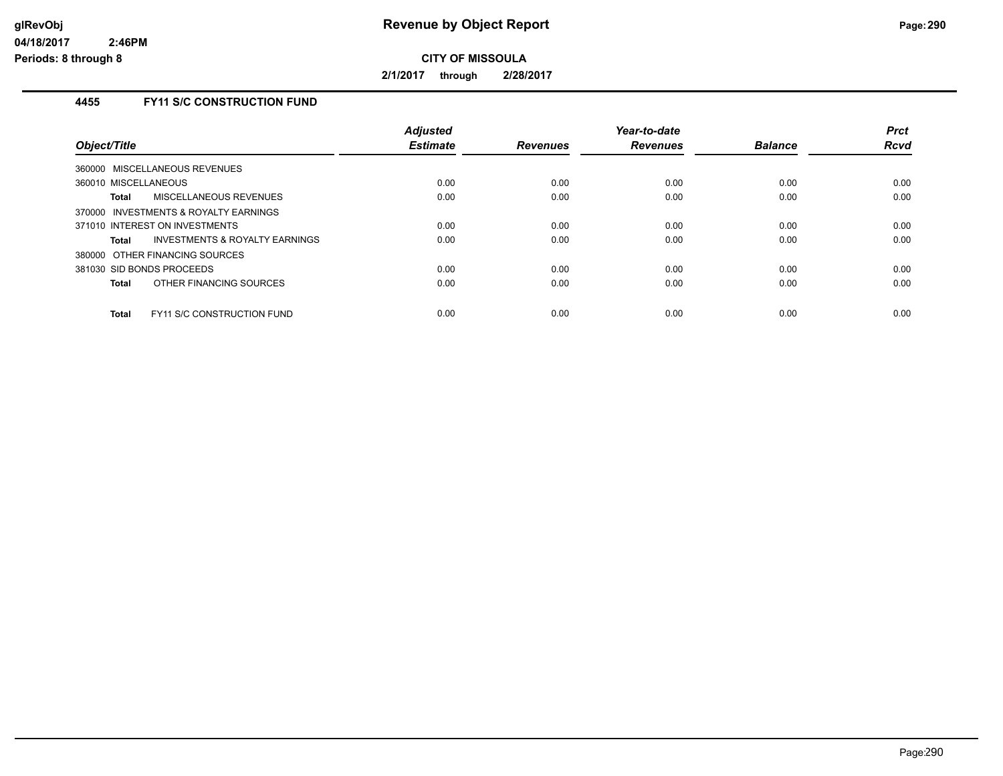**2/1/2017 through 2/28/2017**

#### **4455 FY11 S/C CONSTRUCTION FUND**

| Object/Title                                       | <b>Adjusted</b><br><b>Estimate</b> | <b>Revenues</b> | Year-to-date<br><b>Revenues</b> | <b>Balance</b> | <b>Prct</b><br><b>Rcvd</b> |
|----------------------------------------------------|------------------------------------|-----------------|---------------------------------|----------------|----------------------------|
|                                                    |                                    |                 |                                 |                |                            |
| 360000 MISCELLANEOUS REVENUES                      |                                    |                 |                                 |                |                            |
| 360010 MISCELLANEOUS                               | 0.00                               | 0.00            | 0.00                            | 0.00           | 0.00                       |
| MISCELLANEOUS REVENUES<br>Total                    | 0.00                               | 0.00            | 0.00                            | 0.00           | 0.00                       |
| INVESTMENTS & ROYALTY EARNINGS<br>370000           |                                    |                 |                                 |                |                            |
| 371010 INTEREST ON INVESTMENTS                     | 0.00                               | 0.00            | 0.00                            | 0.00           | 0.00                       |
| <b>INVESTMENTS &amp; ROYALTY EARNINGS</b><br>Total | 0.00                               | 0.00            | 0.00                            | 0.00           | 0.00                       |
| 380000 OTHER FINANCING SOURCES                     |                                    |                 |                                 |                |                            |
| 381030 SID BONDS PROCEEDS                          | 0.00                               | 0.00            | 0.00                            | 0.00           | 0.00                       |
| OTHER FINANCING SOURCES<br>Total                   | 0.00                               | 0.00            | 0.00                            | 0.00           | 0.00                       |
| <b>FY11 S/C CONSTRUCTION FUND</b><br>Total         | 0.00                               | 0.00            | 0.00                            | 0.00           | 0.00                       |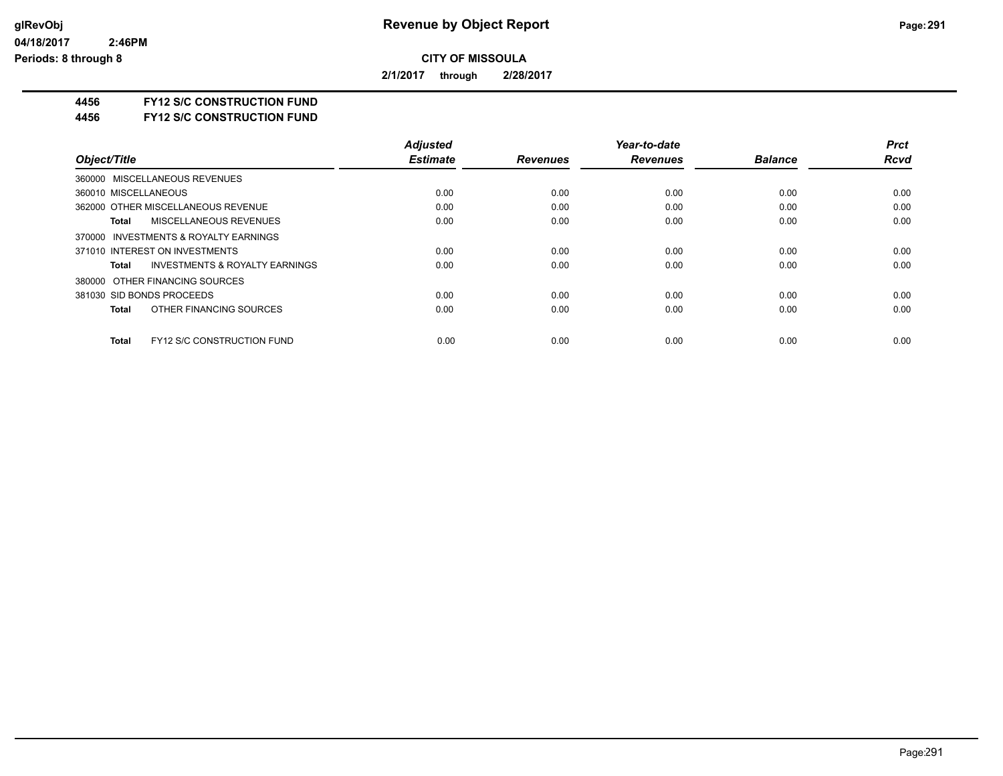**2/1/2017 through 2/28/2017**

**4456 FY12 S/C CONSTRUCTION FUND**

**4456 FY12 S/C CONSTRUCTION FUND**

|                                                    | <b>Adjusted</b> |                 | Year-to-date    |                | <b>Prct</b> |
|----------------------------------------------------|-----------------|-----------------|-----------------|----------------|-------------|
| Object/Title                                       | <b>Estimate</b> | <b>Revenues</b> | <b>Revenues</b> | <b>Balance</b> | <b>Rcvd</b> |
| 360000 MISCELLANEOUS REVENUES                      |                 |                 |                 |                |             |
| 360010 MISCELLANEOUS                               | 0.00            | 0.00            | 0.00            | 0.00           | 0.00        |
| 362000 OTHER MISCELLANEOUS REVENUE                 | 0.00            | 0.00            | 0.00            | 0.00           | 0.00        |
| <b>MISCELLANEOUS REVENUES</b><br>Total             | 0.00            | 0.00            | 0.00            | 0.00           | 0.00        |
| 370000 INVESTMENTS & ROYALTY EARNINGS              |                 |                 |                 |                |             |
| 371010 INTEREST ON INVESTMENTS                     | 0.00            | 0.00            | 0.00            | 0.00           | 0.00        |
| <b>INVESTMENTS &amp; ROYALTY EARNINGS</b><br>Total | 0.00            | 0.00            | 0.00            | 0.00           | 0.00        |
| 380000 OTHER FINANCING SOURCES                     |                 |                 |                 |                |             |
| 381030 SID BONDS PROCEEDS                          | 0.00            | 0.00            | 0.00            | 0.00           | 0.00        |
| OTHER FINANCING SOURCES<br>Total                   | 0.00            | 0.00            | 0.00            | 0.00           | 0.00        |
| <b>FY12 S/C CONSTRUCTION FUND</b><br><b>Total</b>  | 0.00            | 0.00            | 0.00            | 0.00           | 0.00        |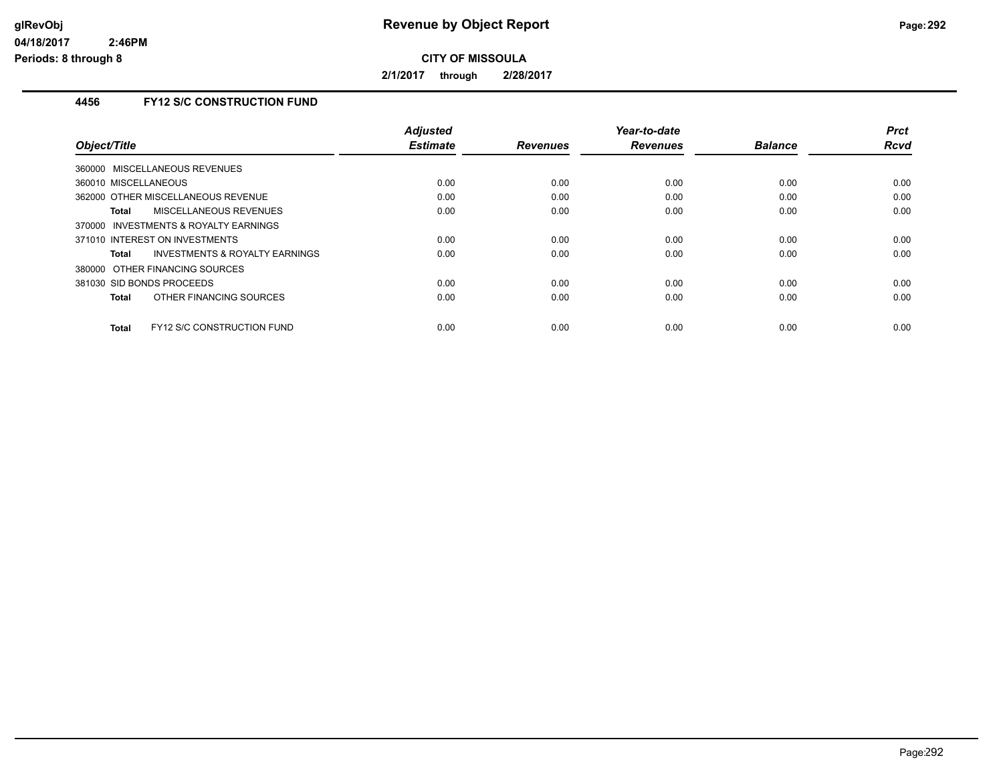**2/1/2017 through 2/28/2017**

#### **4456 FY12 S/C CONSTRUCTION FUND**

|                                                     | <b>Adjusted</b> |                 | Year-to-date    |                | <b>Prct</b> |
|-----------------------------------------------------|-----------------|-----------------|-----------------|----------------|-------------|
| Object/Title                                        | <b>Estimate</b> | <b>Revenues</b> | <b>Revenues</b> | <b>Balance</b> | <b>Rcvd</b> |
| 360000 MISCELLANEOUS REVENUES                       |                 |                 |                 |                |             |
| 360010 MISCELLANEOUS                                | 0.00            | 0.00            | 0.00            | 0.00           | 0.00        |
| 362000 OTHER MISCELLANEOUS REVENUE                  | 0.00            | 0.00            | 0.00            | 0.00           | 0.00        |
| MISCELLANEOUS REVENUES<br>Total                     | 0.00            | 0.00            | 0.00            | 0.00           | 0.00        |
| <b>INVESTMENTS &amp; ROYALTY EARNINGS</b><br>370000 |                 |                 |                 |                |             |
| 371010 INTEREST ON INVESTMENTS                      | 0.00            | 0.00            | 0.00            | 0.00           | 0.00        |
| <b>INVESTMENTS &amp; ROYALTY EARNINGS</b><br>Total  | 0.00            | 0.00            | 0.00            | 0.00           | 0.00        |
| 380000 OTHER FINANCING SOURCES                      |                 |                 |                 |                |             |
| 381030 SID BONDS PROCEEDS                           | 0.00            | 0.00            | 0.00            | 0.00           | 0.00        |
| OTHER FINANCING SOURCES<br>Total                    | 0.00            | 0.00            | 0.00            | 0.00           | 0.00        |
| <b>FY12 S/C CONSTRUCTION FUND</b><br>Total          | 0.00            | 0.00            | 0.00            | 0.00           | 0.00        |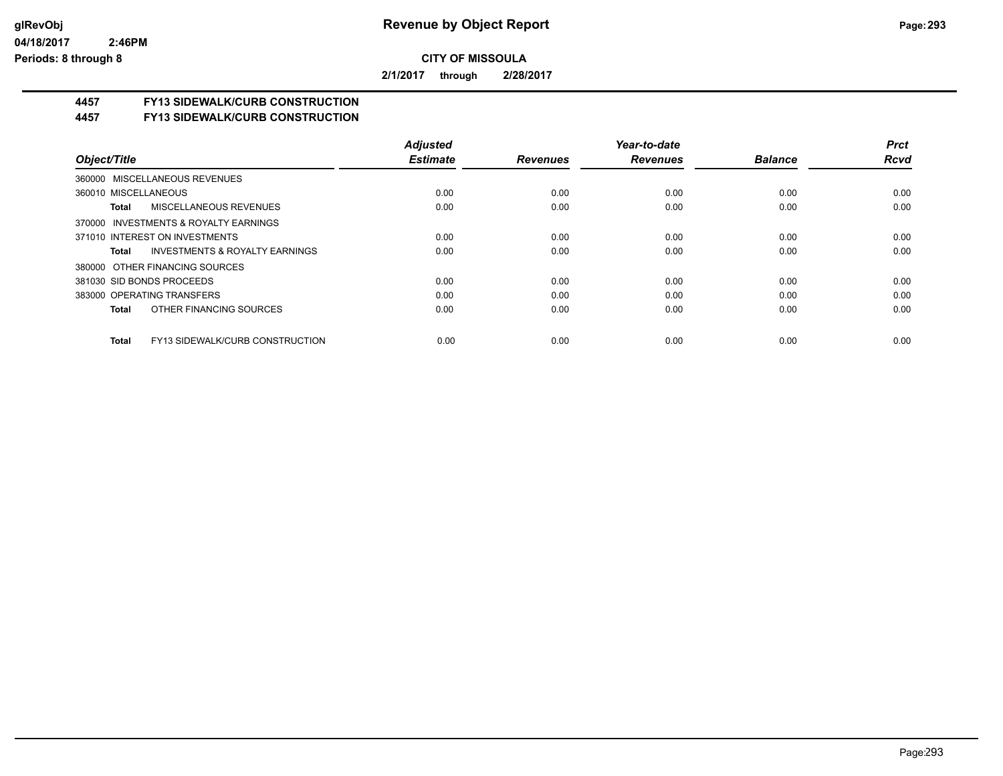**2/1/2017 through 2/28/2017**

# **4457 FY13 SIDEWALK/CURB CONSTRUCTION**

## **4457 FY13 SIDEWALK/CURB CONSTRUCTION**

|                                                        | <b>Adjusted</b> |                 | Year-to-date    |                | <b>Prct</b> |
|--------------------------------------------------------|-----------------|-----------------|-----------------|----------------|-------------|
| Object/Title                                           | <b>Estimate</b> | <b>Revenues</b> | <b>Revenues</b> | <b>Balance</b> | <b>Rcvd</b> |
| 360000 MISCELLANEOUS REVENUES                          |                 |                 |                 |                |             |
| 360010 MISCELLANEOUS                                   | 0.00            | 0.00            | 0.00            | 0.00           | 0.00        |
| MISCELLANEOUS REVENUES<br>Total                        | 0.00            | 0.00            | 0.00            | 0.00           | 0.00        |
| 370000 INVESTMENTS & ROYALTY EARNINGS                  |                 |                 |                 |                |             |
| 371010 INTEREST ON INVESTMENTS                         | 0.00            | 0.00            | 0.00            | 0.00           | 0.00        |
| INVESTMENTS & ROYALTY EARNINGS<br>Total                | 0.00            | 0.00            | 0.00            | 0.00           | 0.00        |
| 380000 OTHER FINANCING SOURCES                         |                 |                 |                 |                |             |
| 381030 SID BONDS PROCEEDS                              | 0.00            | 0.00            | 0.00            | 0.00           | 0.00        |
| 383000 OPERATING TRANSFERS                             | 0.00            | 0.00            | 0.00            | 0.00           | 0.00        |
| OTHER FINANCING SOURCES<br><b>Total</b>                | 0.00            | 0.00            | 0.00            | 0.00           | 0.00        |
| <b>FY13 SIDEWALK/CURB CONSTRUCTION</b><br><b>Total</b> | 0.00            | 0.00            | 0.00            | 0.00           | 0.00        |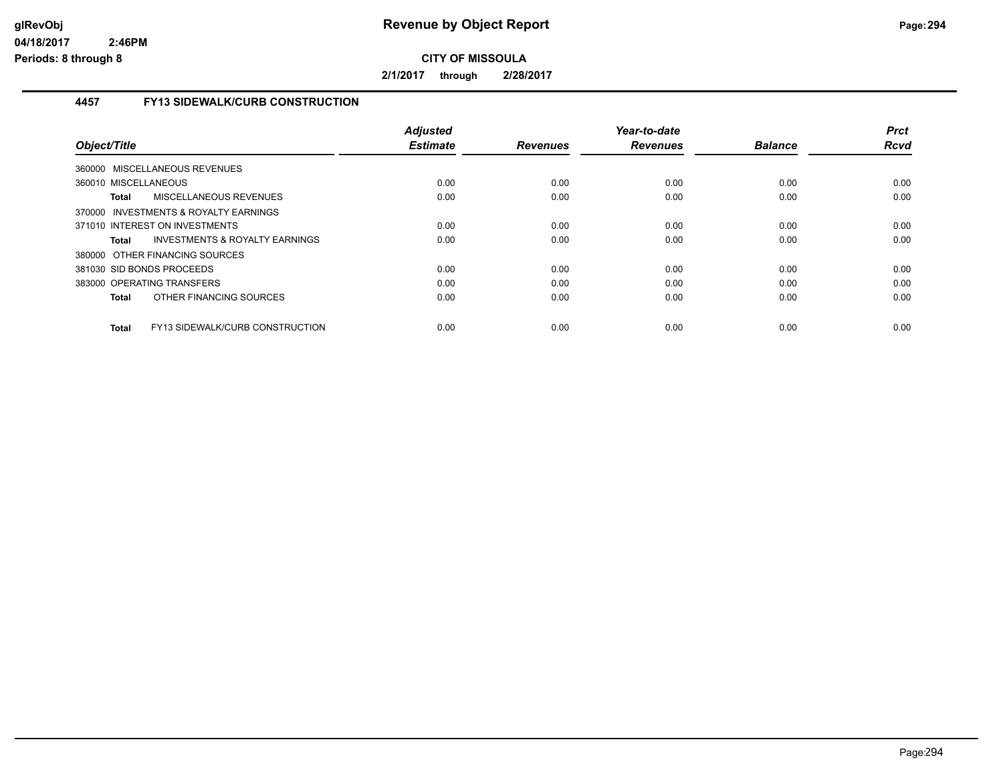**2/1/2017 through 2/28/2017**

#### **4457 FY13 SIDEWALK/CURB CONSTRUCTION**

|                                                        | <b>Adjusted</b> |                 | Year-to-date    |                | <b>Prct</b> |
|--------------------------------------------------------|-----------------|-----------------|-----------------|----------------|-------------|
| Object/Title                                           | <b>Estimate</b> | <b>Revenues</b> | <b>Revenues</b> | <b>Balance</b> | <b>Rcvd</b> |
| 360000 MISCELLANEOUS REVENUES                          |                 |                 |                 |                |             |
| 360010 MISCELLANEOUS                                   | 0.00            | 0.00            | 0.00            | 0.00           | 0.00        |
| MISCELLANEOUS REVENUES<br>Total                        | 0.00            | 0.00            | 0.00            | 0.00           | 0.00        |
| 370000 INVESTMENTS & ROYALTY EARNINGS                  |                 |                 |                 |                |             |
| 371010 INTEREST ON INVESTMENTS                         | 0.00            | 0.00            | 0.00            | 0.00           | 0.00        |
| INVESTMENTS & ROYALTY EARNINGS<br>Total                | 0.00            | 0.00            | 0.00            | 0.00           | 0.00        |
| 380000 OTHER FINANCING SOURCES                         |                 |                 |                 |                |             |
| 381030 SID BONDS PROCEEDS                              | 0.00            | 0.00            | 0.00            | 0.00           | 0.00        |
| 383000 OPERATING TRANSFERS                             | 0.00            | 0.00            | 0.00            | 0.00           | 0.00        |
| OTHER FINANCING SOURCES<br>Total                       | 0.00            | 0.00            | 0.00            | 0.00           | 0.00        |
| <b>FY13 SIDEWALK/CURB CONSTRUCTION</b><br><b>Total</b> | 0.00            | 0.00            | 0.00            | 0.00           | 0.00        |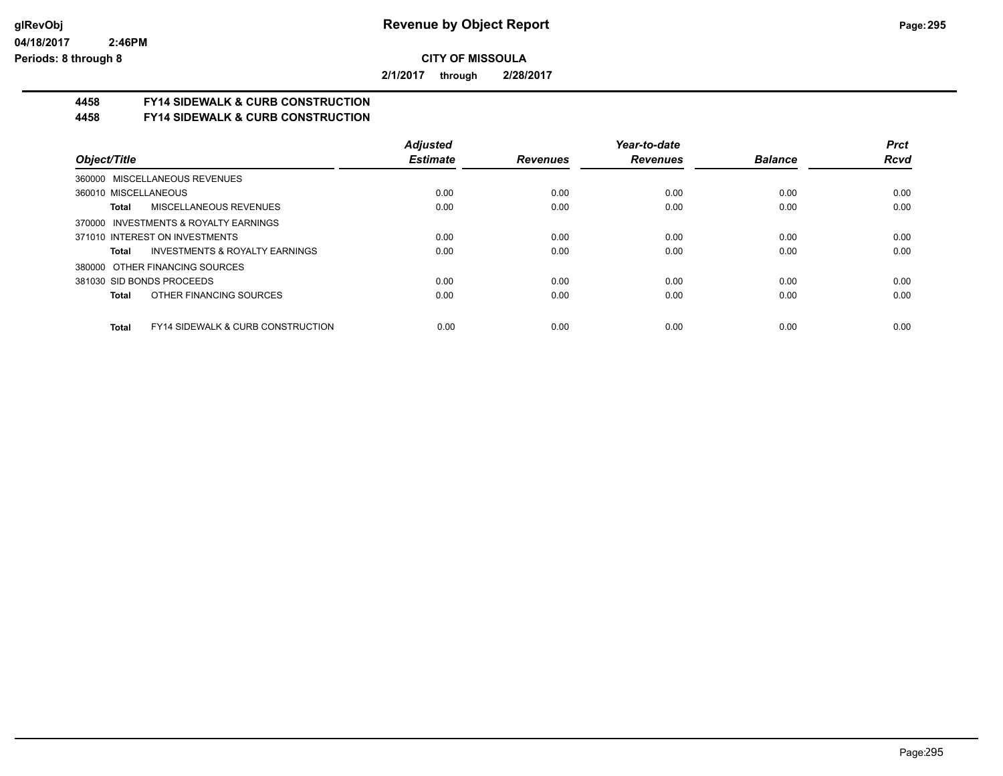**2/1/2017 through 2/28/2017**

#### **4458 FY14 SIDEWALK & CURB CONSTRUCTION 4458 FY14 SIDEWALK & CURB CONSTRUCTION**

| Object/Title                                                 | <b>Adjusted</b><br><b>Estimate</b> | <b>Revenues</b> | Year-to-date<br><b>Revenues</b> | <b>Balance</b> | <b>Prct</b><br><b>Rcvd</b> |
|--------------------------------------------------------------|------------------------------------|-----------------|---------------------------------|----------------|----------------------------|
| 360000 MISCELLANEOUS REVENUES                                |                                    |                 |                                 |                |                            |
| 360010 MISCELLANEOUS                                         | 0.00                               | 0.00            | 0.00                            | 0.00           | 0.00                       |
| MISCELLANEOUS REVENUES<br>Total                              | 0.00                               | 0.00            | 0.00                            | 0.00           | 0.00                       |
| INVESTMENTS & ROYALTY EARNINGS<br>370000                     |                                    |                 |                                 |                |                            |
| 371010 INTEREST ON INVESTMENTS                               | 0.00                               | 0.00            | 0.00                            | 0.00           | 0.00                       |
| <b>INVESTMENTS &amp; ROYALTY EARNINGS</b><br>Total           | 0.00                               | 0.00            | 0.00                            | 0.00           | 0.00                       |
| 380000 OTHER FINANCING SOURCES                               |                                    |                 |                                 |                |                            |
| 381030 SID BONDS PROCEEDS                                    | 0.00                               | 0.00            | 0.00                            | 0.00           | 0.00                       |
| OTHER FINANCING SOURCES<br>Total                             | 0.00                               | 0.00            | 0.00                            | 0.00           | 0.00                       |
|                                                              |                                    |                 |                                 |                |                            |
| <b>FY14 SIDEWALK &amp; CURB CONSTRUCTION</b><br><b>Total</b> | 0.00                               | 0.00            | 0.00                            | 0.00           | 0.00                       |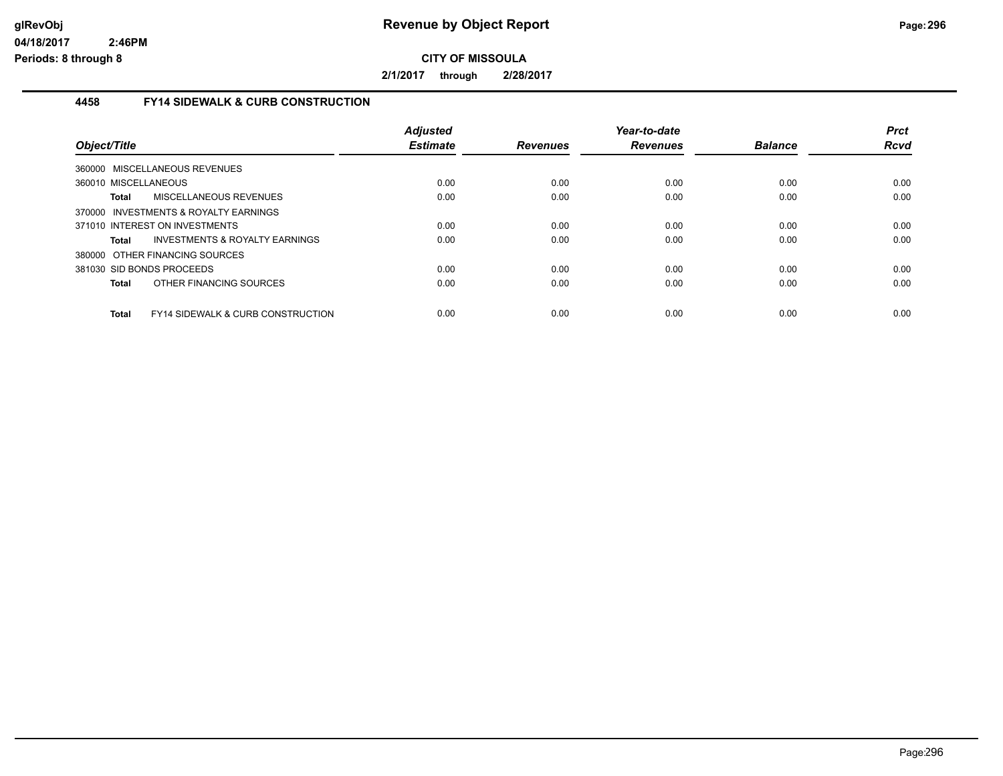**2/1/2017 through 2/28/2017**

#### **4458 FY14 SIDEWALK & CURB CONSTRUCTION**

| Object/Title                                                 | <b>Adjusted</b><br><b>Estimate</b> |      | <b>Revenues</b> | Year-to-date<br><b>Revenues</b> | <b>Balance</b> | <b>Prct</b><br><b>Rcvd</b> |
|--------------------------------------------------------------|------------------------------------|------|-----------------|---------------------------------|----------------|----------------------------|
| 360000 MISCELLANEOUS REVENUES                                |                                    |      |                 |                                 |                |                            |
| 360010 MISCELLANEOUS                                         |                                    | 0.00 | 0.00            | 0.00                            | 0.00           | 0.00                       |
| MISCELLANEOUS REVENUES<br>Total                              |                                    | 0.00 | 0.00            | 0.00                            | 0.00           | 0.00                       |
| 370000 INVESTMENTS & ROYALTY EARNINGS                        |                                    |      |                 |                                 |                |                            |
| 371010 INTEREST ON INVESTMENTS                               |                                    | 0.00 | 0.00            | 0.00                            | 0.00           | 0.00                       |
| INVESTMENTS & ROYALTY EARNINGS<br>Total                      |                                    | 0.00 | 0.00            | 0.00                            | 0.00           | 0.00                       |
| 380000 OTHER FINANCING SOURCES                               |                                    |      |                 |                                 |                |                            |
| 381030 SID BONDS PROCEEDS                                    |                                    | 0.00 | 0.00            | 0.00                            | 0.00           | 0.00                       |
| OTHER FINANCING SOURCES<br>Total                             |                                    | 0.00 | 0.00            | 0.00                            | 0.00           | 0.00                       |
| <b>FY14 SIDEWALK &amp; CURB CONSTRUCTION</b><br><b>Total</b> |                                    | 0.00 | 0.00            | 0.00                            | 0.00           | 0.00                       |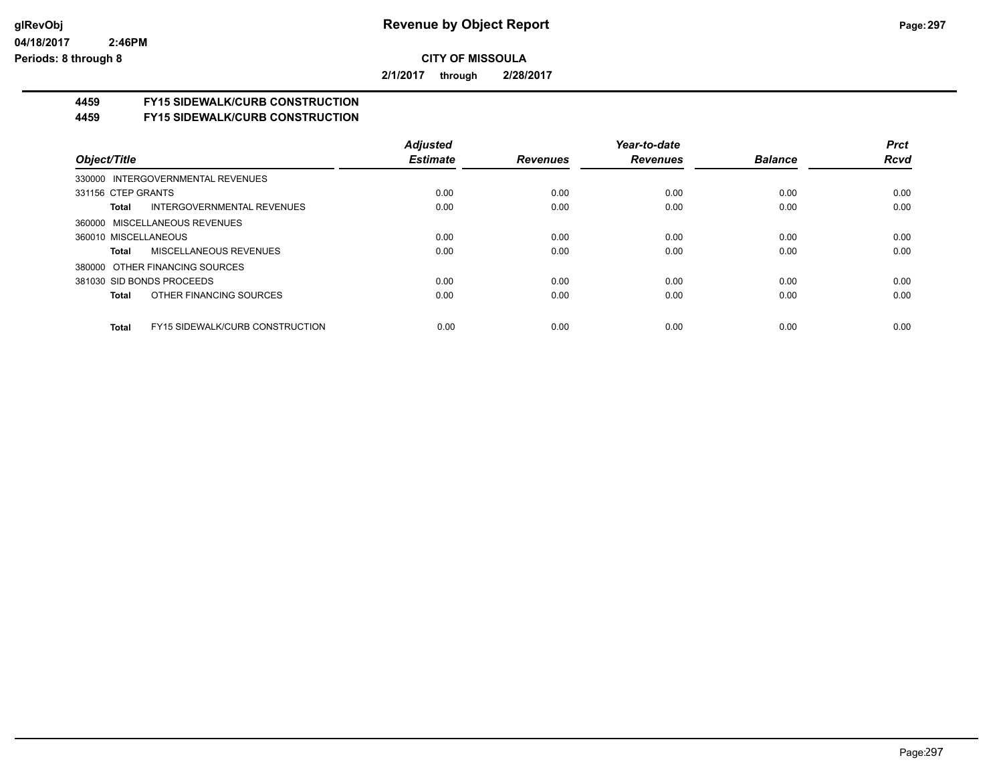**2/1/2017 through 2/28/2017**

## **4459 FY15 SIDEWALK/CURB CONSTRUCTION 4459 FY15 SIDEWALK/CURB CONSTRUCTION**

| Object/Title                                           | <b>Adjusted</b><br><b>Estimate</b> | <b>Revenues</b> | Year-to-date<br><b>Revenues</b> | <b>Balance</b> | <b>Prct</b><br><b>Rcvd</b> |
|--------------------------------------------------------|------------------------------------|-----------------|---------------------------------|----------------|----------------------------|
| 330000 INTERGOVERNMENTAL REVENUES                      |                                    |                 |                                 |                |                            |
| 331156 CTEP GRANTS                                     | 0.00                               | 0.00            | 0.00                            | 0.00           | 0.00                       |
| INTERGOVERNMENTAL REVENUES<br>Total                    | 0.00                               | 0.00            | 0.00                            | 0.00           | 0.00                       |
| 360000 MISCELLANEOUS REVENUES                          |                                    |                 |                                 |                |                            |
| 360010 MISCELLANEOUS                                   | 0.00                               | 0.00            | 0.00                            | 0.00           | 0.00                       |
| MISCELLANEOUS REVENUES<br>Total                        | 0.00                               | 0.00            | 0.00                            | 0.00           | 0.00                       |
| 380000 OTHER FINANCING SOURCES                         |                                    |                 |                                 |                |                            |
| 381030 SID BONDS PROCEEDS                              | 0.00                               | 0.00            | 0.00                            | 0.00           | 0.00                       |
| OTHER FINANCING SOURCES<br>Total                       | 0.00                               | 0.00            | 0.00                            | 0.00           | 0.00                       |
|                                                        |                                    |                 |                                 |                |                            |
| <b>FY15 SIDEWALK/CURB CONSTRUCTION</b><br><b>Total</b> | 0.00                               | 0.00            | 0.00                            | 0.00           | 0.00                       |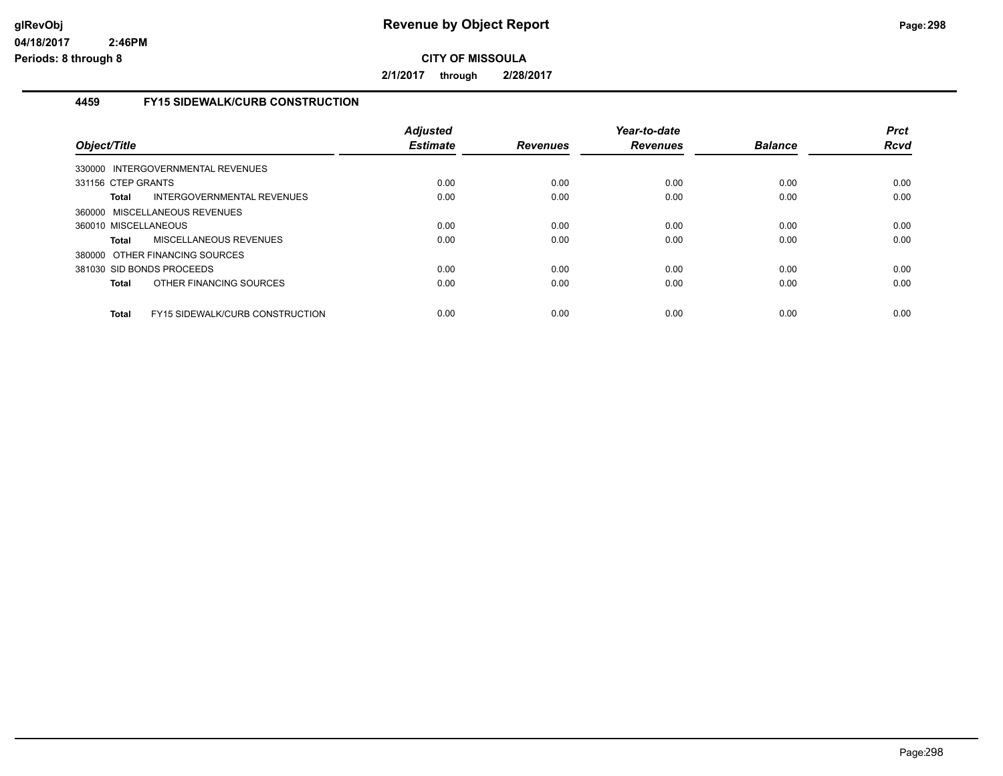**2/1/2017 through 2/28/2017**

#### **4459 FY15 SIDEWALK/CURB CONSTRUCTION**

| Object/Title         |                                   | <b>Adjusted</b><br><b>Estimate</b> | <b>Revenues</b> | Year-to-date<br><b>Revenues</b> | <b>Balance</b> | <b>Prct</b><br><b>Rcvd</b> |
|----------------------|-----------------------------------|------------------------------------|-----------------|---------------------------------|----------------|----------------------------|
|                      | 330000 INTERGOVERNMENTAL REVENUES |                                    |                 |                                 |                |                            |
| 331156 CTEP GRANTS   |                                   | 0.00                               | 0.00            | 0.00                            | 0.00           | 0.00                       |
| Total                | INTERGOVERNMENTAL REVENUES        | 0.00                               | 0.00            | 0.00                            | 0.00           | 0.00                       |
|                      | 360000 MISCELLANEOUS REVENUES     |                                    |                 |                                 |                |                            |
| 360010 MISCELLANEOUS |                                   | 0.00                               | 0.00            | 0.00                            | 0.00           | 0.00                       |
| Total                | MISCELLANEOUS REVENUES            | 0.00                               | 0.00            | 0.00                            | 0.00           | 0.00                       |
|                      | 380000 OTHER FINANCING SOURCES    |                                    |                 |                                 |                |                            |
|                      | 381030 SID BONDS PROCEEDS         | 0.00                               | 0.00            | 0.00                            | 0.00           | 0.00                       |
| Total                | OTHER FINANCING SOURCES           | 0.00                               | 0.00            | 0.00                            | 0.00           | 0.00                       |
| <b>Total</b>         | FY15 SIDEWALK/CURB CONSTRUCTION   | 0.00                               | 0.00            | 0.00                            | 0.00           | 0.00                       |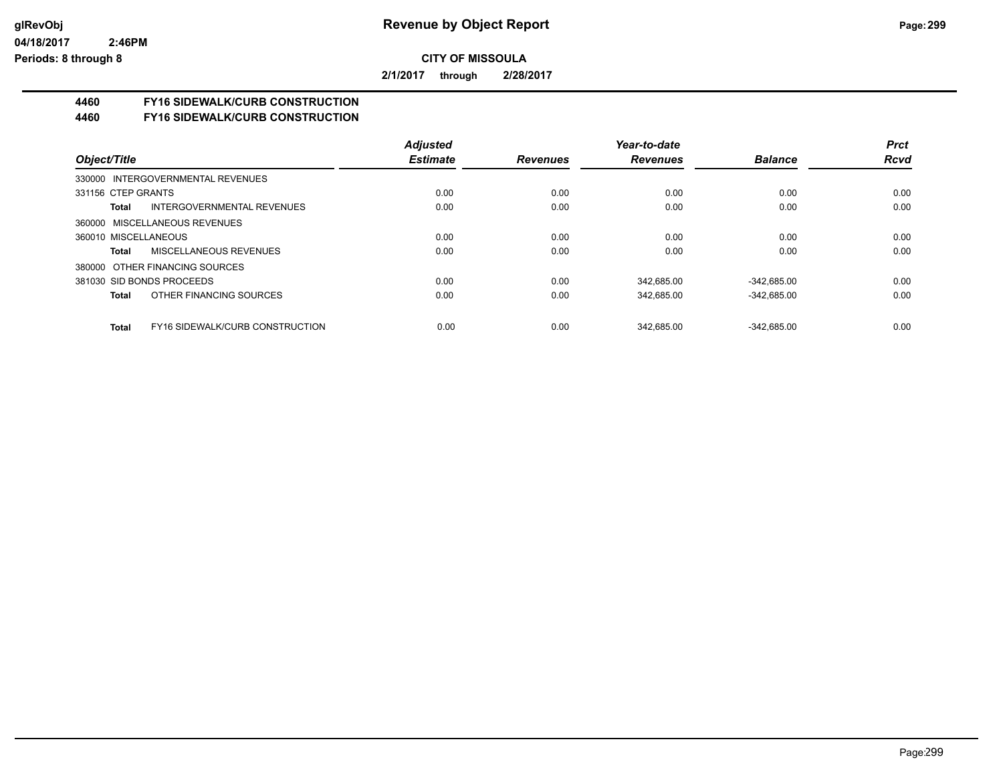**2/1/2017 through 2/28/2017**

## **4460 FY16 SIDEWALK/CURB CONSTRUCTION 4460 FY16 SIDEWALK/CURB CONSTRUCTION**

| Object/Title                                           | <b>Adjusted</b><br><b>Estimate</b> | <b>Revenues</b> | Year-to-date<br><b>Revenues</b> | <b>Balance</b> | <b>Prct</b><br><b>Rcvd</b> |
|--------------------------------------------------------|------------------------------------|-----------------|---------------------------------|----------------|----------------------------|
| 330000 INTERGOVERNMENTAL REVENUES                      |                                    |                 |                                 |                |                            |
| 331156 CTEP GRANTS                                     | 0.00                               | 0.00            | 0.00                            | 0.00           | 0.00                       |
| INTERGOVERNMENTAL REVENUES<br>Total                    | 0.00                               | 0.00            | 0.00                            | 0.00           | 0.00                       |
| 360000 MISCELLANEOUS REVENUES                          |                                    |                 |                                 |                |                            |
| 360010 MISCELLANEOUS                                   | 0.00                               | 0.00            | 0.00                            | 0.00           | 0.00                       |
| MISCELLANEOUS REVENUES<br>Total                        | 0.00                               | 0.00            | 0.00                            | 0.00           | 0.00                       |
| 380000 OTHER FINANCING SOURCES                         |                                    |                 |                                 |                |                            |
| 381030 SID BONDS PROCEEDS                              | 0.00                               | 0.00            | 342,685.00                      | $-342,685.00$  | 0.00                       |
| OTHER FINANCING SOURCES<br>Total                       | 0.00                               | 0.00            | 342.685.00                      | $-342.685.00$  | 0.00                       |
|                                                        |                                    |                 |                                 |                |                            |
| <b>FY16 SIDEWALK/CURB CONSTRUCTION</b><br><b>Total</b> | 0.00                               | 0.00            | 342.685.00                      | $-342.685.00$  | 0.00                       |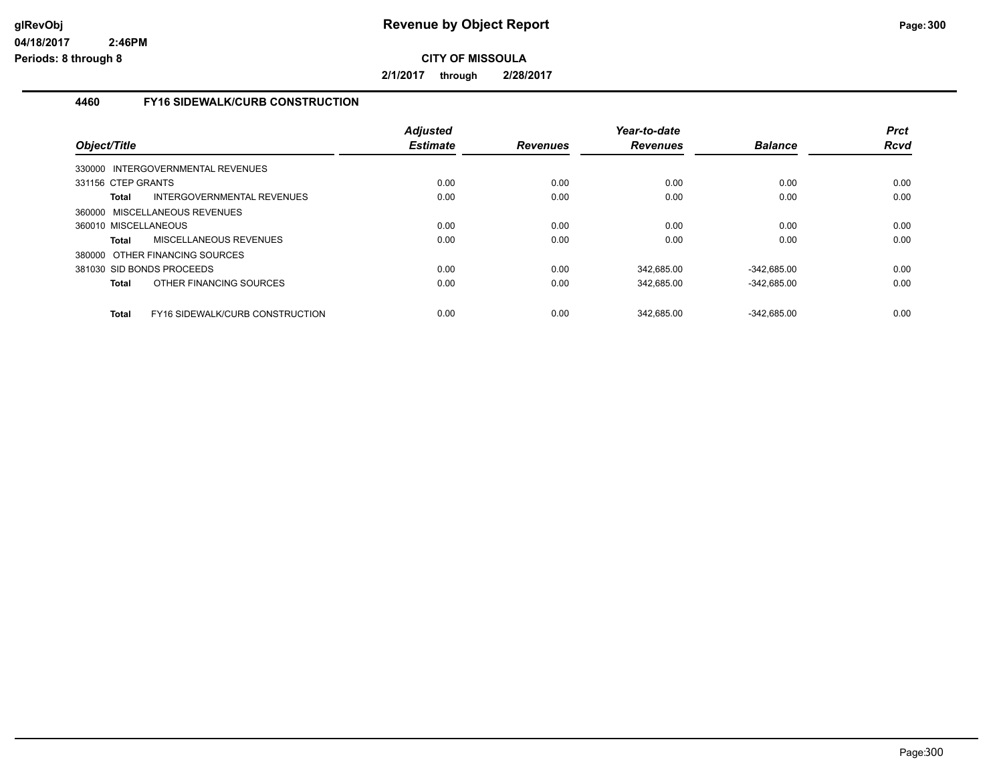**2/1/2017 through 2/28/2017**

#### **4460 FY16 SIDEWALK/CURB CONSTRUCTION**

| Object/Title                   |                                 | <b>Adjusted</b><br><b>Estimate</b> | <b>Revenues</b> | Year-to-date<br><b>Revenues</b> | <b>Balance</b> | <b>Prct</b><br><b>Rcvd</b> |
|--------------------------------|---------------------------------|------------------------------------|-----------------|---------------------------------|----------------|----------------------------|
| 330000                         | INTERGOVERNMENTAL REVENUES      |                                    |                 |                                 |                |                            |
| 331156 CTEP GRANTS             |                                 | 0.00                               | 0.00            | 0.00                            | 0.00           | 0.00                       |
| <b>Total</b>                   | INTERGOVERNMENTAL REVENUES      | 0.00                               | 0.00            | 0.00                            | 0.00           | 0.00                       |
| 360000 MISCELLANEOUS REVENUES  |                                 |                                    |                 |                                 |                |                            |
| 360010 MISCELLANEOUS           |                                 | 0.00                               | 0.00            | 0.00                            | 0.00           | 0.00                       |
| <b>Total</b>                   | MISCELLANEOUS REVENUES          | 0.00                               | 0.00            | 0.00                            | 0.00           | 0.00                       |
| 380000 OTHER FINANCING SOURCES |                                 |                                    |                 |                                 |                |                            |
| 381030 SID BONDS PROCEEDS      |                                 | 0.00                               | 0.00            | 342.685.00                      | -342.685.00    | 0.00                       |
| <b>Total</b>                   | OTHER FINANCING SOURCES         | 0.00                               | 0.00            | 342,685.00                      | $-342,685.00$  | 0.00                       |
| <b>Total</b>                   | FY16 SIDEWALK/CURB CONSTRUCTION | 0.00                               | 0.00            | 342.685.00                      | -342.685.00    | 0.00                       |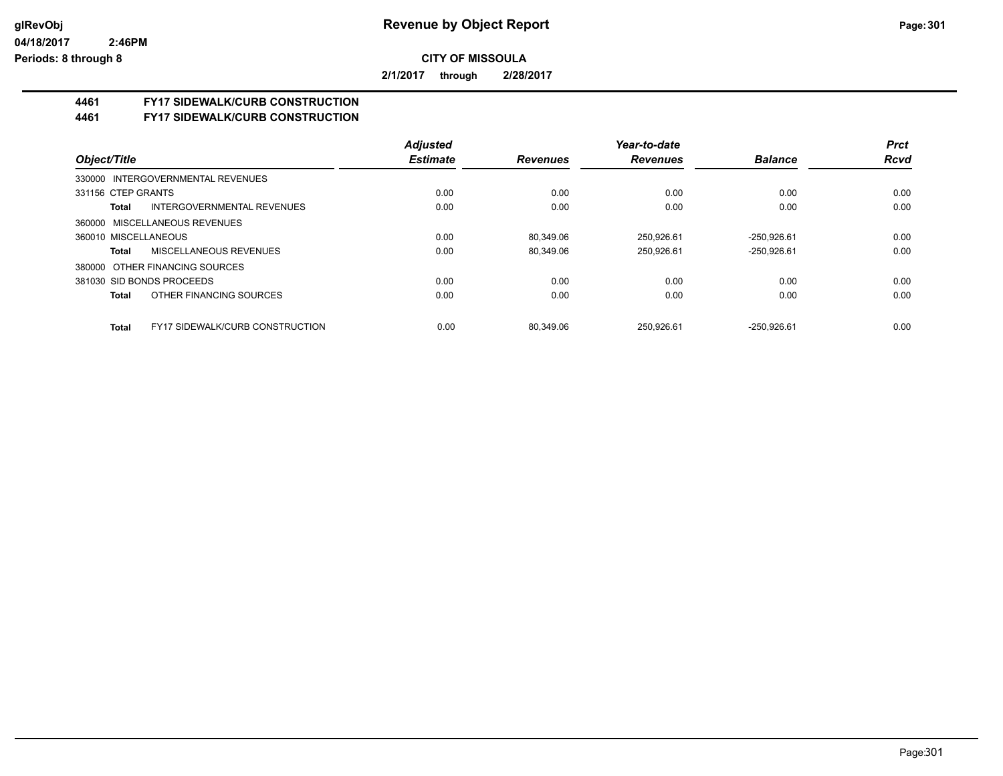**2/1/2017 through 2/28/2017**

## **4461 FY17 SIDEWALK/CURB CONSTRUCTION 4461 FY17 SIDEWALK/CURB CONSTRUCTION**

| Object/Title                                           | <b>Adjusted</b><br><b>Estimate</b> | <b>Revenues</b> | Year-to-date<br><b>Revenues</b> | <b>Balance</b> | <b>Prct</b><br><b>Rcvd</b> |
|--------------------------------------------------------|------------------------------------|-----------------|---------------------------------|----------------|----------------------------|
| 330000 INTERGOVERNMENTAL REVENUES                      |                                    |                 |                                 |                |                            |
| 331156 CTEP GRANTS                                     | 0.00                               | 0.00            | 0.00                            | 0.00           | 0.00                       |
| INTERGOVERNMENTAL REVENUES<br>Total                    | 0.00                               | 0.00            | 0.00                            | 0.00           | 0.00                       |
| 360000 MISCELLANEOUS REVENUES                          |                                    |                 |                                 |                |                            |
| 360010 MISCELLANEOUS                                   | 0.00                               | 80.349.06       | 250.926.61                      | $-250.926.61$  | 0.00                       |
| MISCELLANEOUS REVENUES<br>Total                        | 0.00                               | 80,349.06       | 250,926.61                      | $-250,926.61$  | 0.00                       |
| 380000 OTHER FINANCING SOURCES                         |                                    |                 |                                 |                |                            |
| 381030 SID BONDS PROCEEDS                              | 0.00                               | 0.00            | 0.00                            | 0.00           | 0.00                       |
| OTHER FINANCING SOURCES<br>Total                       | 0.00                               | 0.00            | 0.00                            | 0.00           | 0.00                       |
|                                                        |                                    |                 |                                 |                |                            |
| <b>FY17 SIDEWALK/CURB CONSTRUCTION</b><br><b>Total</b> | 0.00                               | 80,349.06       | 250.926.61                      | $-250.926.61$  | 0.00                       |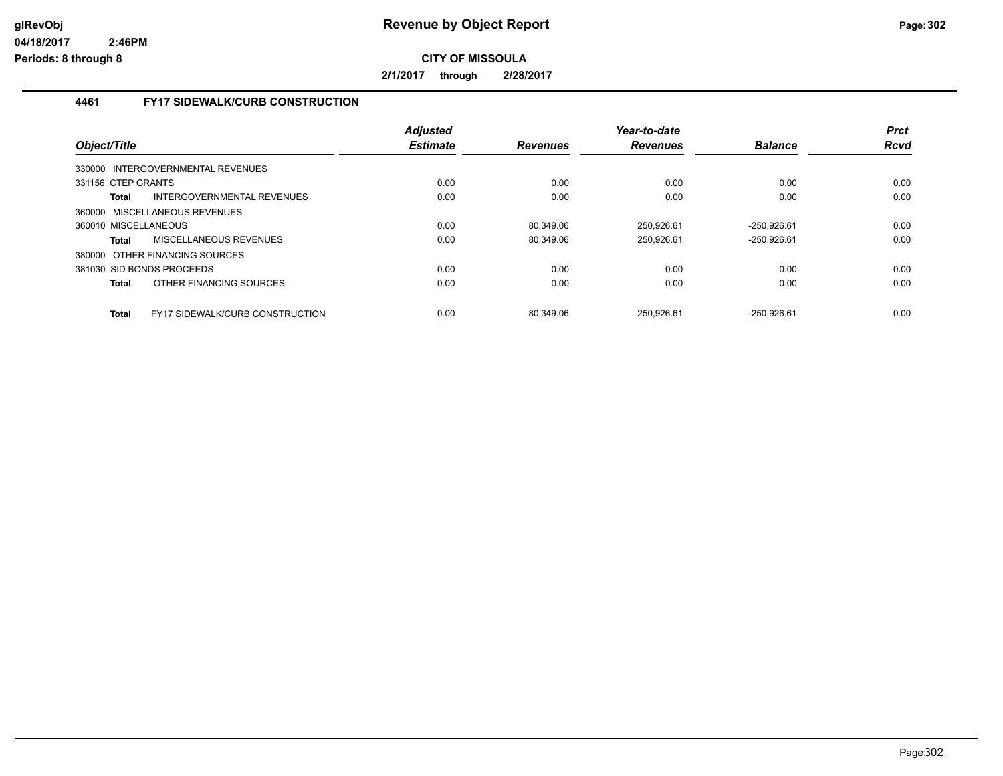**2/1/2017 through 2/28/2017**

#### **4461 FY17 SIDEWALK/CURB CONSTRUCTION**

| Object/Title                                           | <b>Adjusted</b><br><b>Estimate</b> | <b>Revenues</b> | Year-to-date<br><b>Revenues</b> | <b>Balance</b> | <b>Prct</b><br><b>Rcvd</b> |
|--------------------------------------------------------|------------------------------------|-----------------|---------------------------------|----------------|----------------------------|
| INTERGOVERNMENTAL REVENUES<br>330000                   |                                    |                 |                                 |                |                            |
| 331156 CTEP GRANTS                                     | 0.00                               | 0.00            | 0.00                            | 0.00           | 0.00                       |
| INTERGOVERNMENTAL REVENUES<br><b>Total</b>             | 0.00                               | 0.00            | 0.00                            | 0.00           | 0.00                       |
| 360000 MISCELLANEOUS REVENUES                          |                                    |                 |                                 |                |                            |
| 360010 MISCELLANEOUS                                   | 0.00                               | 80.349.06       | 250.926.61                      | $-250.926.61$  | 0.00                       |
| MISCELLANEOUS REVENUES<br><b>Total</b>                 | 0.00                               | 80,349.06       | 250,926.61                      | $-250,926.61$  | 0.00                       |
| 380000 OTHER FINANCING SOURCES                         |                                    |                 |                                 |                |                            |
| 381030 SID BONDS PROCEEDS                              | 0.00                               | 0.00            | 0.00                            | 0.00           | 0.00                       |
| OTHER FINANCING SOURCES<br><b>Total</b>                | 0.00                               | 0.00            | 0.00                            | 0.00           | 0.00                       |
| <b>FY17 SIDEWALK/CURB CONSTRUCTION</b><br><b>Total</b> | 0.00                               | 80.349.06       | 250.926.61                      | $-250.926.61$  | 0.00                       |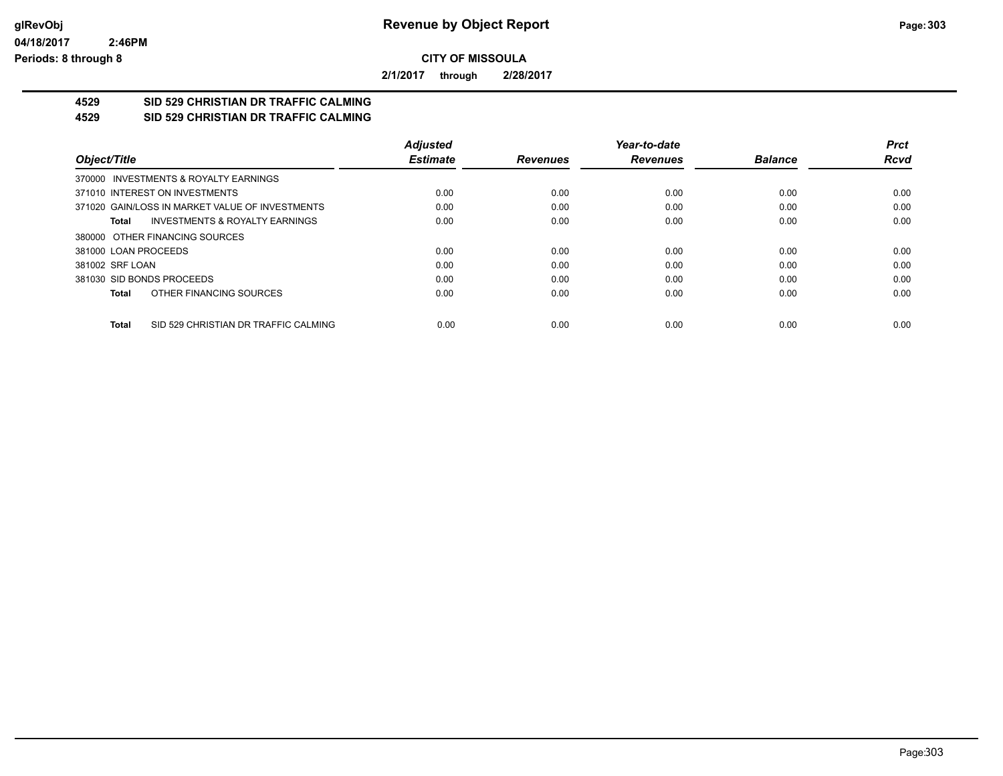**2/1/2017 through 2/28/2017**

#### **4529 SID 529 CHRISTIAN DR TRAFFIC CALMING 4529 SID 529 CHRISTIAN DR TRAFFIC CALMING**

| Object/Title                                         | <b>Adjusted</b><br><b>Estimate</b> | <b>Revenues</b> | Year-to-date<br><b>Revenues</b> | <b>Balance</b> | <b>Prct</b><br><b>Rcvd</b> |
|------------------------------------------------------|------------------------------------|-----------------|---------------------------------|----------------|----------------------------|
|                                                      |                                    |                 |                                 |                |                            |
| 370000 INVESTMENTS & ROYALTY EARNINGS                |                                    |                 |                                 |                |                            |
| 371010 INTEREST ON INVESTMENTS                       | 0.00                               | 0.00            | 0.00                            | 0.00           | 0.00                       |
| 371020 GAIN/LOSS IN MARKET VALUE OF INVESTMENTS      | 0.00                               | 0.00            | 0.00                            | 0.00           | 0.00                       |
| <b>INVESTMENTS &amp; ROYALTY EARNINGS</b><br>Total   | 0.00                               | 0.00            | 0.00                            | 0.00           | 0.00                       |
| 380000 OTHER FINANCING SOURCES                       |                                    |                 |                                 |                |                            |
| 381000 LOAN PROCEEDS                                 | 0.00                               | 0.00            | 0.00                            | 0.00           | 0.00                       |
| 381002 SRF LOAN                                      | 0.00                               | 0.00            | 0.00                            | 0.00           | 0.00                       |
| 381030 SID BONDS PROCEEDS                            | 0.00                               | 0.00            | 0.00                            | 0.00           | 0.00                       |
| OTHER FINANCING SOURCES<br>Total                     | 0.00                               | 0.00            | 0.00                            | 0.00           | 0.00                       |
|                                                      |                                    |                 |                                 |                |                            |
| SID 529 CHRISTIAN DR TRAFFIC CALMING<br><b>Total</b> | 0.00                               | 0.00            | 0.00                            | 0.00           | 0.00                       |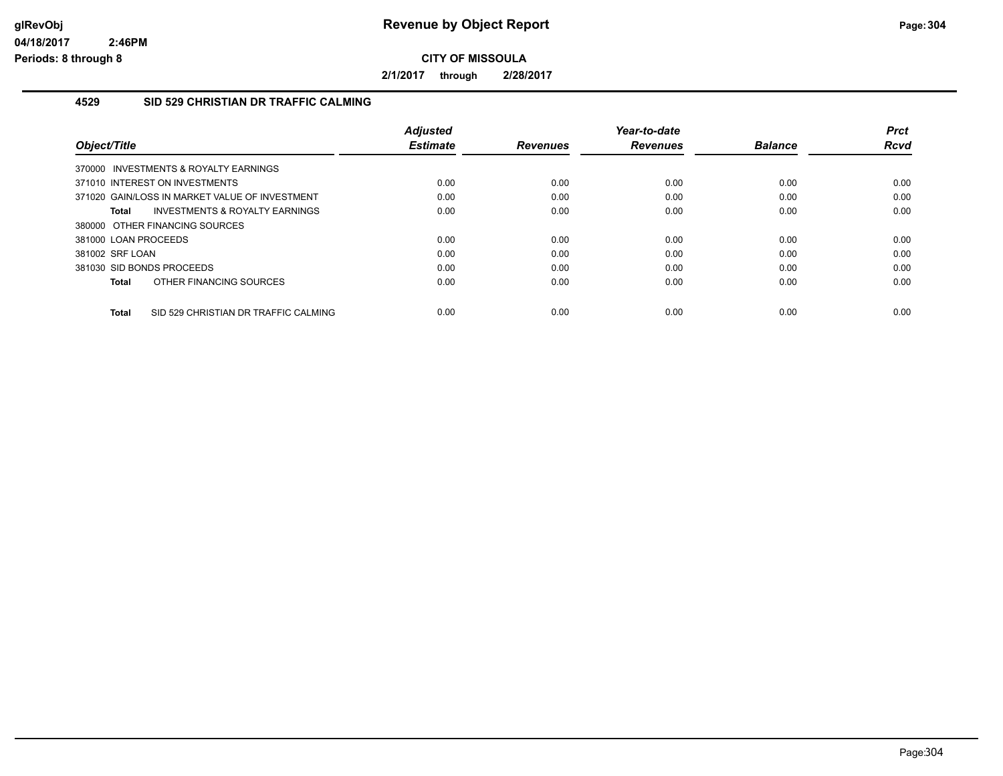**2/1/2017 through 2/28/2017**

#### **4529 SID 529 CHRISTIAN DR TRAFFIC CALMING**

| Object/Title                                         | <b>Adjusted</b><br><b>Estimate</b> | <b>Revenues</b> | Year-to-date<br><b>Revenues</b> | <b>Balance</b> | <b>Prct</b><br><b>Rcvd</b> |
|------------------------------------------------------|------------------------------------|-----------------|---------------------------------|----------------|----------------------------|
| INVESTMENTS & ROYALTY EARNINGS<br>370000             |                                    |                 |                                 |                |                            |
| 371010 INTEREST ON INVESTMENTS                       | 0.00                               | 0.00            | 0.00                            | 0.00           | 0.00                       |
| 371020 GAIN/LOSS IN MARKET VALUE OF INVESTMENT       | 0.00                               | 0.00            | 0.00                            | 0.00           | 0.00                       |
| INVESTMENTS & ROYALTY EARNINGS<br>Total              | 0.00                               | 0.00            | 0.00                            | 0.00           | 0.00                       |
| 380000 OTHER FINANCING SOURCES                       |                                    |                 |                                 |                |                            |
| 381000 LOAN PROCEEDS                                 | 0.00                               | 0.00            | 0.00                            | 0.00           | 0.00                       |
| 381002 SRF LOAN                                      | 0.00                               | 0.00            | 0.00                            | 0.00           | 0.00                       |
| 381030 SID BONDS PROCEEDS                            | 0.00                               | 0.00            | 0.00                            | 0.00           | 0.00                       |
| OTHER FINANCING SOURCES<br>Total                     | 0.00                               | 0.00            | 0.00                            | 0.00           | 0.00                       |
| <b>Total</b><br>SID 529 CHRISTIAN DR TRAFFIC CALMING | 0.00                               | 0.00            | 0.00                            | 0.00           | 0.00                       |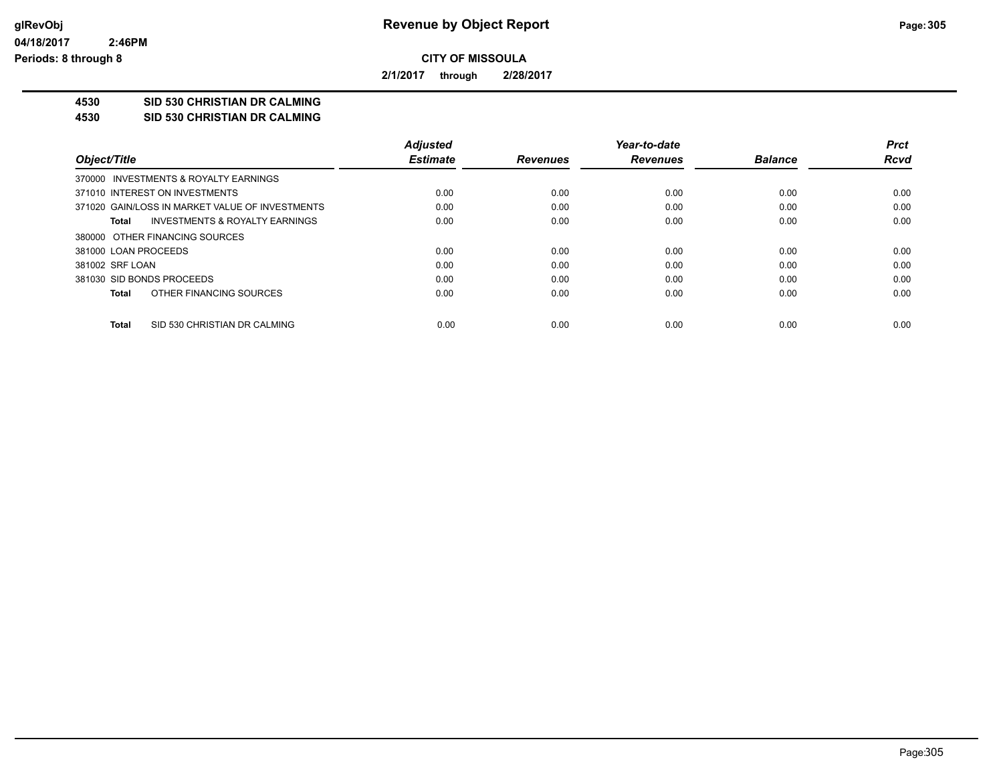**2/1/2017 through 2/28/2017**

**4530 SID 530 CHRISTIAN DR CALMING**

|  | 4530 | <b>SID 530 CHRISTIAN DR CALMING</b> |
|--|------|-------------------------------------|
|--|------|-------------------------------------|

|                                                 | <b>Adjusted</b> |                 | Year-to-date    |                | <b>Prct</b> |
|-------------------------------------------------|-----------------|-----------------|-----------------|----------------|-------------|
| Object/Title                                    | <b>Estimate</b> | <b>Revenues</b> | <b>Revenues</b> | <b>Balance</b> | Rcvd        |
| 370000 INVESTMENTS & ROYALTY EARNINGS           |                 |                 |                 |                |             |
| 371010 INTEREST ON INVESTMENTS                  | 0.00            | 0.00            | 0.00            | 0.00           | 0.00        |
| 371020 GAIN/LOSS IN MARKET VALUE OF INVESTMENTS | 0.00            | 0.00            | 0.00            | 0.00           | 0.00        |
| INVESTMENTS & ROYALTY EARNINGS<br>Total         | 0.00            | 0.00            | 0.00            | 0.00           | 0.00        |
| 380000 OTHER FINANCING SOURCES                  |                 |                 |                 |                |             |
| 381000 LOAN PROCEEDS                            | 0.00            | 0.00            | 0.00            | 0.00           | 0.00        |
| 381002 SRF LOAN                                 | 0.00            | 0.00            | 0.00            | 0.00           | 0.00        |
| 381030 SID BONDS PROCEEDS                       | 0.00            | 0.00            | 0.00            | 0.00           | 0.00        |
| OTHER FINANCING SOURCES<br><b>Total</b>         | 0.00            | 0.00            | 0.00            | 0.00           | 0.00        |
|                                                 |                 |                 |                 |                |             |
| SID 530 CHRISTIAN DR CALMING<br>Total           | 0.00            | 0.00            | 0.00            | 0.00           | 0.00        |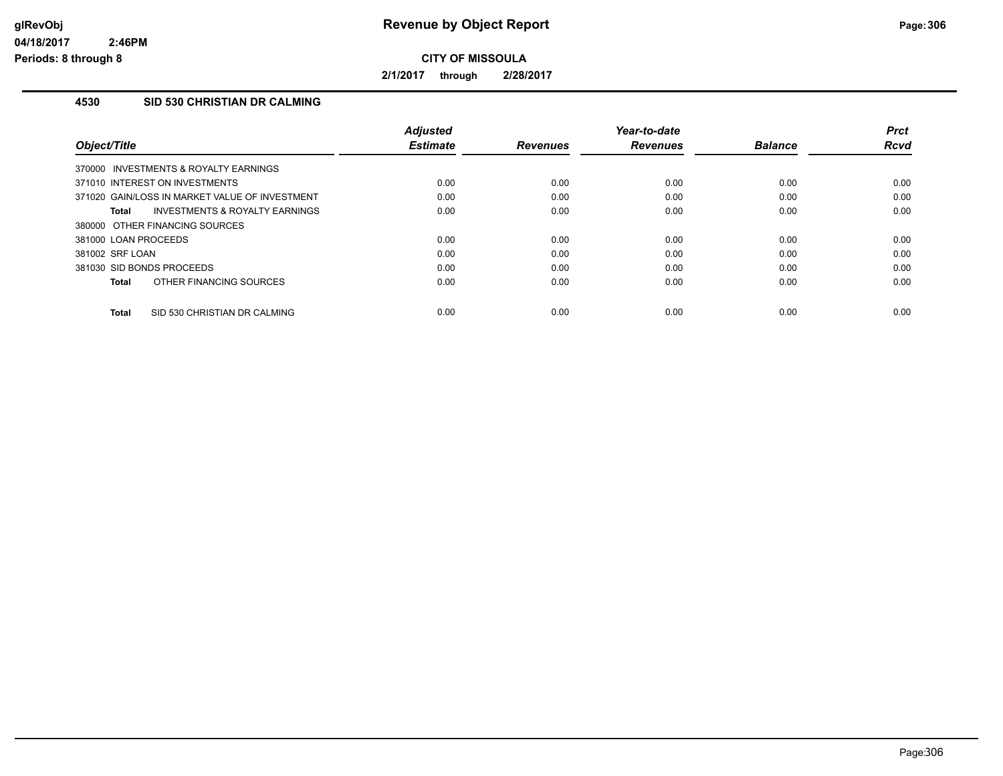**2/1/2017 through 2/28/2017**

#### **4530 SID 530 CHRISTIAN DR CALMING**

| Object/Title                                       | <b>Adjusted</b><br><b>Estimate</b> | <b>Revenues</b> | Year-to-date<br><b>Revenues</b> | <b>Balance</b> | <b>Prct</b><br><b>Rcvd</b> |
|----------------------------------------------------|------------------------------------|-----------------|---------------------------------|----------------|----------------------------|
| 370000 INVESTMENTS & ROYALTY EARNINGS              |                                    |                 |                                 |                |                            |
| 371010 INTEREST ON INVESTMENTS                     | 0.00                               | 0.00            | 0.00                            | 0.00           | 0.00                       |
| 371020 GAIN/LOSS IN MARKET VALUE OF INVESTMENT     | 0.00                               | 0.00            | 0.00                            | 0.00           | 0.00                       |
| <b>INVESTMENTS &amp; ROYALTY EARNINGS</b><br>Total | 0.00                               | 0.00            | 0.00                            | 0.00           | 0.00                       |
| 380000 OTHER FINANCING SOURCES                     |                                    |                 |                                 |                |                            |
| 381000 LOAN PROCEEDS                               | 0.00                               | 0.00            | 0.00                            | 0.00           | 0.00                       |
| 381002 SRF LOAN                                    | 0.00                               | 0.00            | 0.00                            | 0.00           | 0.00                       |
| 381030 SID BONDS PROCEEDS                          | 0.00                               | 0.00            | 0.00                            | 0.00           | 0.00                       |
| OTHER FINANCING SOURCES<br>Total                   | 0.00                               | 0.00            | 0.00                            | 0.00           | 0.00                       |
| SID 530 CHRISTIAN DR CALMING<br><b>Total</b>       | 0.00                               | 0.00            | 0.00                            | 0.00           | 0.00                       |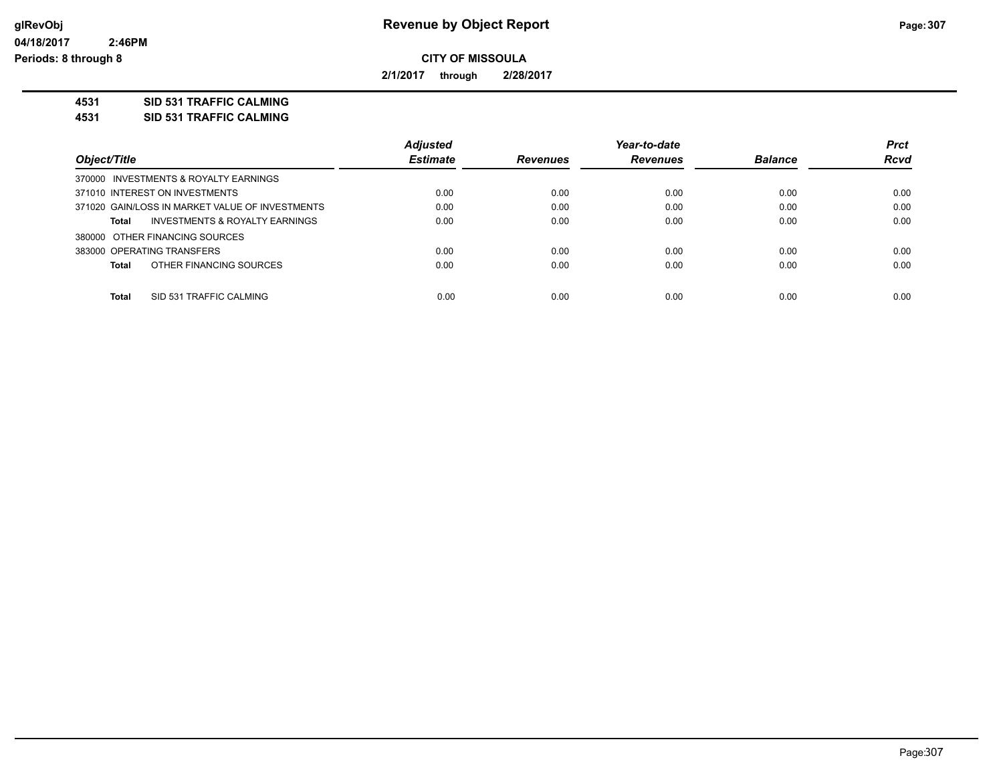**2/1/2017 through 2/28/2017**

**4531 SID 531 TRAFFIC CALMING**

**4531 SID 531 TRAFFIC CALMING**

|                                                 | <b>Adjusted</b>         |                 | Year-to-date    |                | <b>Prct</b> |
|-------------------------------------------------|-------------------------|-----------------|-----------------|----------------|-------------|
|                                                 | <b>Estimate</b>         | <b>Revenues</b> | <b>Revenues</b> | <b>Balance</b> | <b>Rcvd</b> |
| 370000 INVESTMENTS & ROYALTY EARNINGS           |                         |                 |                 |                |             |
| 371010 INTEREST ON INVESTMENTS                  | 0.00                    | 0.00            | 0.00            | 0.00           | 0.00        |
| 371020 GAIN/LOSS IN MARKET VALUE OF INVESTMENTS | 0.00                    | 0.00            | 0.00            | 0.00           | 0.00        |
| INVESTMENTS & ROYALTY EARNINGS                  | 0.00                    | 0.00            | 0.00            | 0.00           | 0.00        |
| 380000 OTHER FINANCING SOURCES                  |                         |                 |                 |                |             |
| 383000 OPERATING TRANSFERS                      | 0.00                    | 0.00            | 0.00            | 0.00           | 0.00        |
| OTHER FINANCING SOURCES                         | 0.00                    | 0.00            | 0.00            | 0.00           | 0.00        |
|                                                 |                         |                 |                 |                | 0.00        |
|                                                 | SID 531 TRAFFIC CALMING | 0.00            | 0.00            | 0.00           | 0.00        |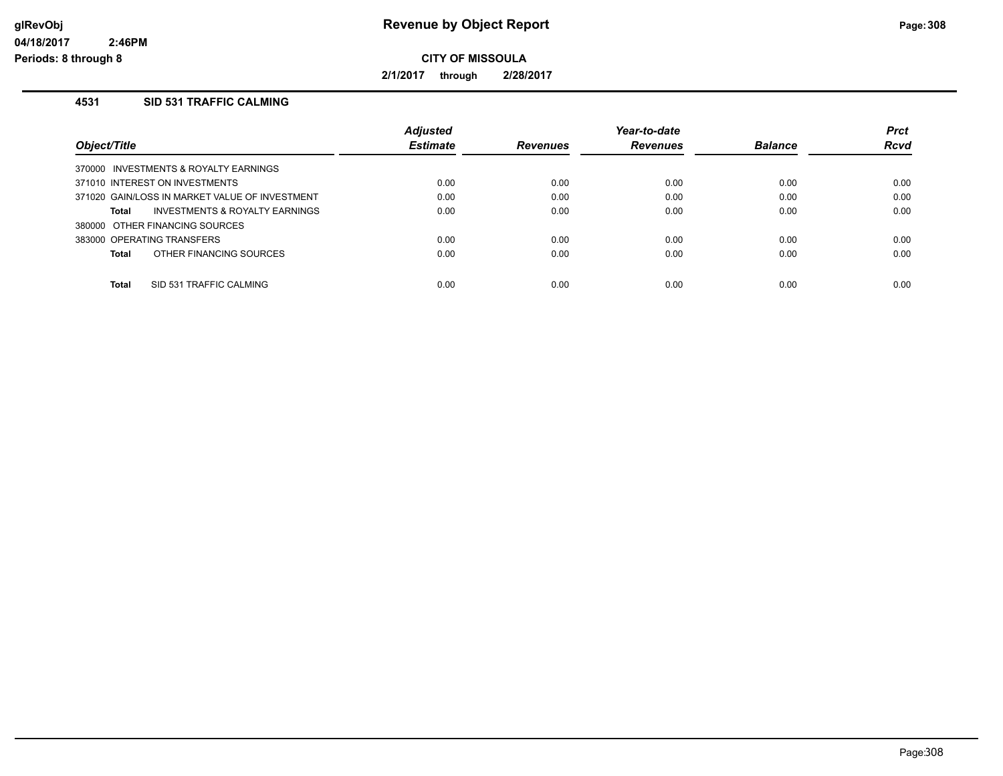**2/1/2017 through 2/28/2017**

#### **4531 SID 531 TRAFFIC CALMING**

|                                                    | <b>Adjusted</b> |                 | Year-to-date    |                | <b>Prct</b> |  |
|----------------------------------------------------|-----------------|-----------------|-----------------|----------------|-------------|--|
| Object/Title                                       | <b>Estimate</b> | <b>Revenues</b> | <b>Revenues</b> | <b>Balance</b> | <b>Rcvd</b> |  |
| 370000 INVESTMENTS & ROYALTY EARNINGS              |                 |                 |                 |                |             |  |
| 371010 INTEREST ON INVESTMENTS                     | 0.00            | 0.00            | 0.00            | 0.00           | 0.00        |  |
| 371020 GAIN/LOSS IN MARKET VALUE OF INVESTMENT     | 0.00            | 0.00            | 0.00            | 0.00           | 0.00        |  |
| <b>INVESTMENTS &amp; ROYALTY EARNINGS</b><br>Total | 0.00            | 0.00            | 0.00            | 0.00           | 0.00        |  |
| 380000 OTHER FINANCING SOURCES                     |                 |                 |                 |                |             |  |
| 383000 OPERATING TRANSFERS                         | 0.00            | 0.00            | 0.00            | 0.00           | 0.00        |  |
| OTHER FINANCING SOURCES<br>Total                   | 0.00            | 0.00            | 0.00            | 0.00           | 0.00        |  |
| SID 531 TRAFFIC CALMING<br><b>Total</b>            | 0.00            | 0.00            | 0.00            | 0.00           | 0.00        |  |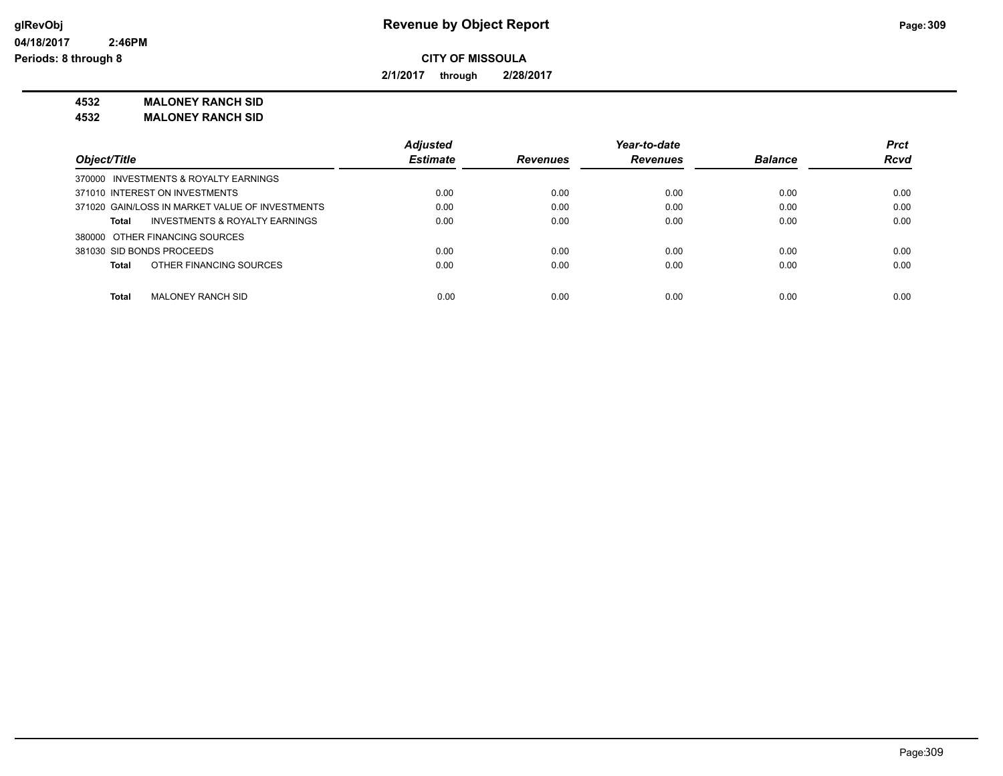**2/1/2017 through 2/28/2017**

**4532 MALONEY RANCH SID**

**4532 MALONEY RANCH SID**

|                                                 | <b>Adjusted</b> |                 | Year-to-date    |                | <b>Prct</b> |
|-------------------------------------------------|-----------------|-----------------|-----------------|----------------|-------------|
| Object/Title                                    | <b>Estimate</b> | <b>Revenues</b> | <b>Revenues</b> | <b>Balance</b> | Rcvd        |
| 370000 INVESTMENTS & ROYALTY EARNINGS           |                 |                 |                 |                |             |
| 371010 INTEREST ON INVESTMENTS                  | 0.00            | 0.00            | 0.00            | 0.00           | 0.00        |
| 371020 GAIN/LOSS IN MARKET VALUE OF INVESTMENTS | 0.00            | 0.00            | 0.00            | 0.00           | 0.00        |
| INVESTMENTS & ROYALTY EARNINGS<br>Total         | 0.00            | 0.00            | 0.00            | 0.00           | 0.00        |
| 380000 OTHER FINANCING SOURCES                  |                 |                 |                 |                |             |
| 381030 SID BONDS PROCEEDS                       | 0.00            | 0.00            | 0.00            | 0.00           | 0.00        |
| OTHER FINANCING SOURCES<br><b>Total</b>         | 0.00            | 0.00            | 0.00            | 0.00           | 0.00        |
|                                                 |                 |                 |                 |                |             |
| <b>Total</b><br><b>MALONEY RANCH SID</b>        | 0.00            | 0.00            | 0.00            | 0.00           | 0.00        |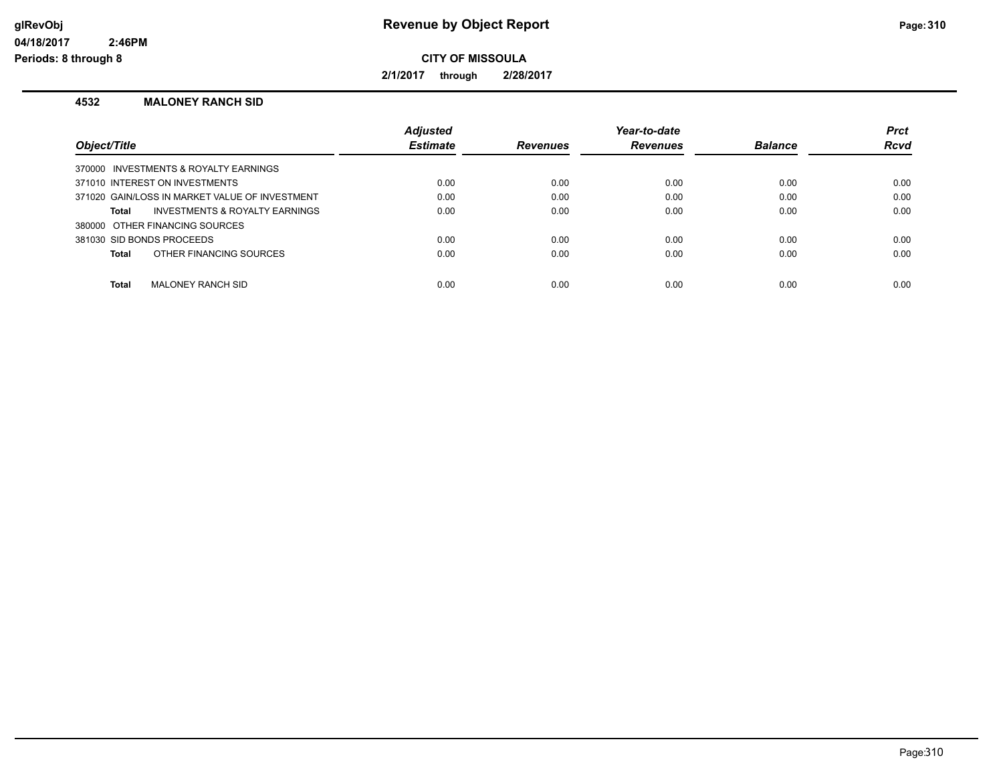**2/1/2017 through 2/28/2017**

#### **4532 MALONEY RANCH SID**

| Object/Title                                   | <b>Adjusted</b><br><b>Estimate</b> | <b>Revenues</b> | Year-to-date<br><b>Revenues</b> | <b>Balance</b> | <b>Prct</b><br><b>Rcvd</b> |
|------------------------------------------------|------------------------------------|-----------------|---------------------------------|----------------|----------------------------|
|                                                |                                    |                 |                                 |                |                            |
| 370000 INVESTMENTS & ROYALTY EARNINGS          |                                    |                 |                                 |                |                            |
| 371010 INTEREST ON INVESTMENTS                 | 0.00                               | 0.00            | 0.00                            | 0.00           | 0.00                       |
| 371020 GAIN/LOSS IN MARKET VALUE OF INVESTMENT | 0.00                               | 0.00            | 0.00                            | 0.00           | 0.00                       |
| INVESTMENTS & ROYALTY EARNINGS<br>Total        | 0.00                               | 0.00            | 0.00                            | 0.00           | 0.00                       |
| 380000 OTHER FINANCING SOURCES                 |                                    |                 |                                 |                |                            |
| 381030 SID BONDS PROCEEDS                      | 0.00                               | 0.00            | 0.00                            | 0.00           | 0.00                       |
| OTHER FINANCING SOURCES<br>Total               | 0.00                               | 0.00            | 0.00                            | 0.00           | 0.00                       |
|                                                |                                    |                 |                                 |                |                            |
| Total<br>MALONEY RANCH SID                     | 0.00                               | 0.00            | 0.00                            | 0.00           | 0.00                       |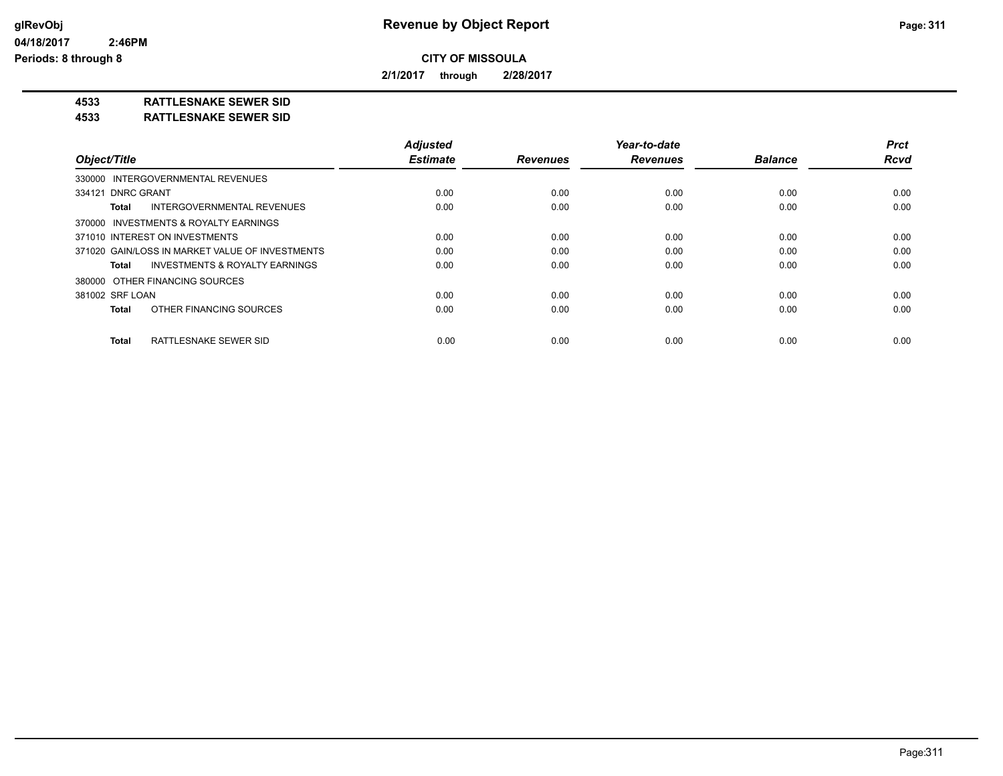**2/1/2017 through 2/28/2017**

**4533 RATTLESNAKE SEWER SID**

**4533 RATTLESNAKE SEWER SID**

|                                                    | <b>Adjusted</b> |                 | Year-to-date    |                | Prct |
|----------------------------------------------------|-----------------|-----------------|-----------------|----------------|------|
| Object/Title                                       | <b>Estimate</b> | <b>Revenues</b> | <b>Revenues</b> | <b>Balance</b> | Rcvd |
| 330000 INTERGOVERNMENTAL REVENUES                  |                 |                 |                 |                |      |
| 334121 DNRC GRANT                                  | 0.00            | 0.00            | 0.00            | 0.00           | 0.00 |
| INTERGOVERNMENTAL REVENUES<br>Total                | 0.00            | 0.00            | 0.00            | 0.00           | 0.00 |
| 370000 INVESTMENTS & ROYALTY EARNINGS              |                 |                 |                 |                |      |
| 371010 INTEREST ON INVESTMENTS                     | 0.00            | 0.00            | 0.00            | 0.00           | 0.00 |
| 371020 GAIN/LOSS IN MARKET VALUE OF INVESTMENTS    | 0.00            | 0.00            | 0.00            | 0.00           | 0.00 |
| <b>INVESTMENTS &amp; ROYALTY EARNINGS</b><br>Total | 0.00            | 0.00            | 0.00            | 0.00           | 0.00 |
| 380000 OTHER FINANCING SOURCES                     |                 |                 |                 |                |      |
| 381002 SRF LOAN                                    | 0.00            | 0.00            | 0.00            | 0.00           | 0.00 |
| OTHER FINANCING SOURCES<br>Total                   | 0.00            | 0.00            | 0.00            | 0.00           | 0.00 |
| RATTLESNAKE SEWER SID<br>Total                     | 0.00            | 0.00            | 0.00            | 0.00           | 0.00 |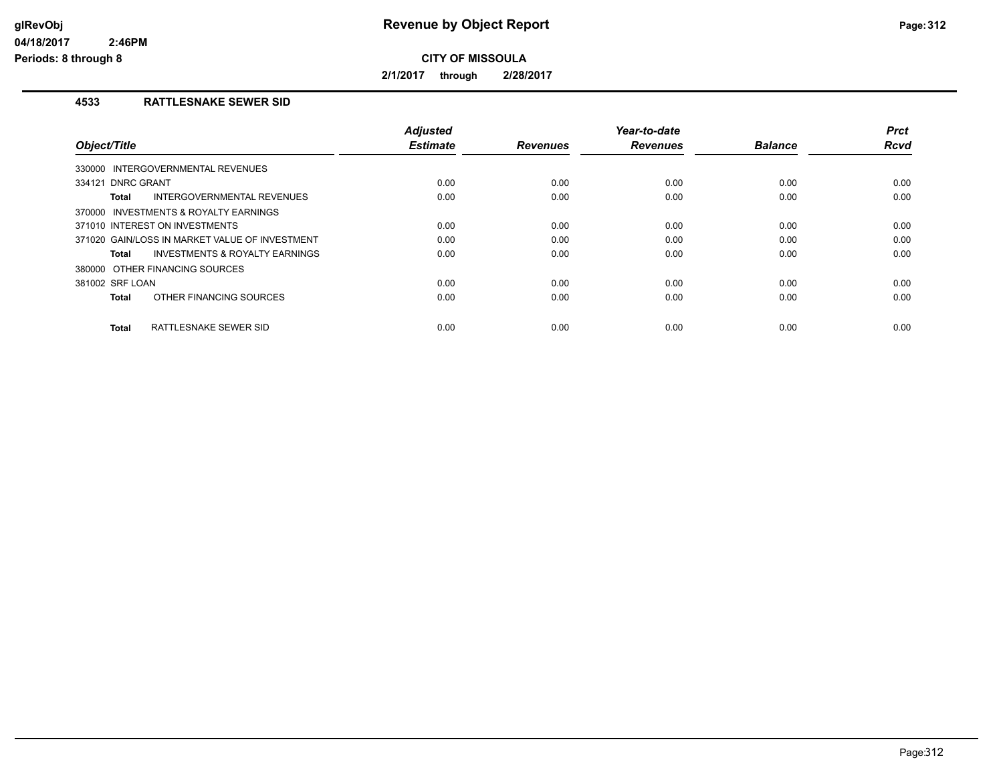**2/1/2017 through 2/28/2017**

#### **4533 RATTLESNAKE SEWER SID**

|                                                | <b>Adjusted</b> |                 | Year-to-date    |                | <b>Prct</b> |
|------------------------------------------------|-----------------|-----------------|-----------------|----------------|-------------|
| Object/Title                                   | <b>Estimate</b> | <b>Revenues</b> | <b>Revenues</b> | <b>Balance</b> | <b>Rcvd</b> |
| 330000 INTERGOVERNMENTAL REVENUES              |                 |                 |                 |                |             |
| 334121 DNRC GRANT                              | 0.00            | 0.00            | 0.00            | 0.00           | 0.00        |
| INTERGOVERNMENTAL REVENUES<br>Total            | 0.00            | 0.00            | 0.00            | 0.00           | 0.00        |
| 370000 INVESTMENTS & ROYALTY EARNINGS          |                 |                 |                 |                |             |
| 371010 INTEREST ON INVESTMENTS                 | 0.00            | 0.00            | 0.00            | 0.00           | 0.00        |
| 371020 GAIN/LOSS IN MARKET VALUE OF INVESTMENT | 0.00            | 0.00            | 0.00            | 0.00           | 0.00        |
| INVESTMENTS & ROYALTY EARNINGS<br>Total        | 0.00            | 0.00            | 0.00            | 0.00           | 0.00        |
| 380000 OTHER FINANCING SOURCES                 |                 |                 |                 |                |             |
| 381002 SRF LOAN                                | 0.00            | 0.00            | 0.00            | 0.00           | 0.00        |
| OTHER FINANCING SOURCES<br>Total               | 0.00            | 0.00            | 0.00            | 0.00           | 0.00        |
| RATTLESNAKE SEWER SID<br><b>Total</b>          | 0.00            | 0.00            | 0.00            | 0.00           | 0.00        |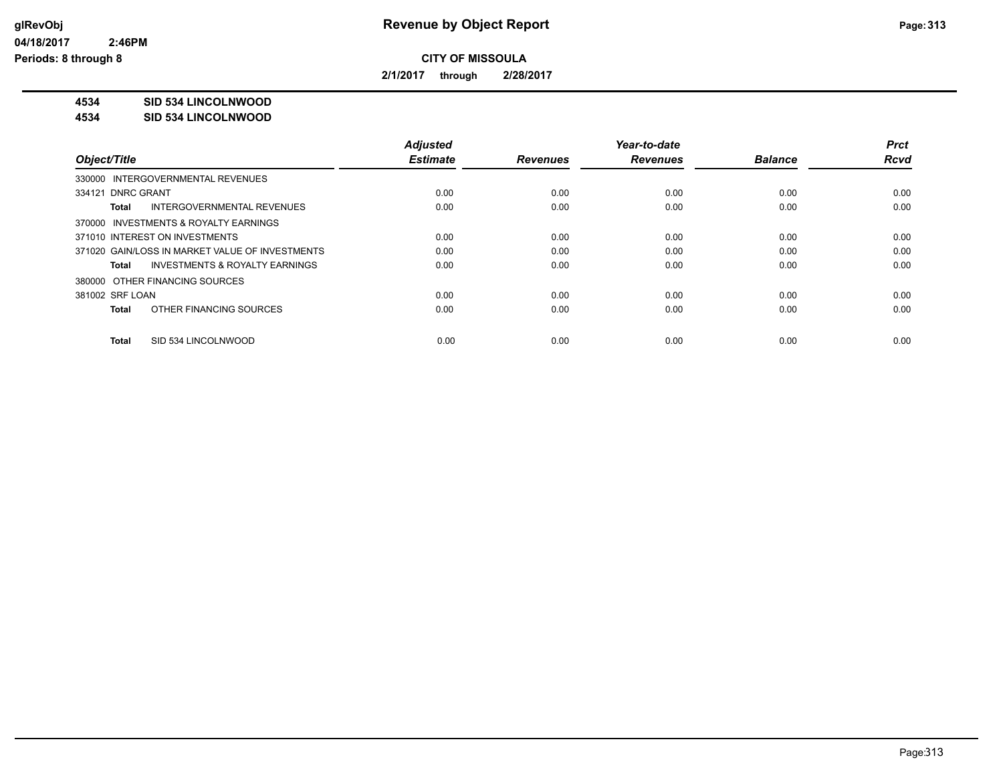**2/1/2017 through 2/28/2017**

**4534 SID 534 LINCOLNWOOD**

**4534 SID 534 LINCOLNWOOD**

|                                                    | <b>Adjusted</b> |                 | Year-to-date    |                | <b>Prct</b> |
|----------------------------------------------------|-----------------|-----------------|-----------------|----------------|-------------|
| Object/Title                                       | <b>Estimate</b> | <b>Revenues</b> | <b>Revenues</b> | <b>Balance</b> | Rcvd        |
| 330000 INTERGOVERNMENTAL REVENUES                  |                 |                 |                 |                |             |
| 334121 DNRC GRANT                                  | 0.00            | 0.00            | 0.00            | 0.00           | 0.00        |
| INTERGOVERNMENTAL REVENUES<br>Total                | 0.00            | 0.00            | 0.00            | 0.00           | 0.00        |
| 370000 INVESTMENTS & ROYALTY EARNINGS              |                 |                 |                 |                |             |
| 371010 INTEREST ON INVESTMENTS                     | 0.00            | 0.00            | 0.00            | 0.00           | 0.00        |
| 371020 GAIN/LOSS IN MARKET VALUE OF INVESTMENTS    | 0.00            | 0.00            | 0.00            | 0.00           | 0.00        |
| <b>INVESTMENTS &amp; ROYALTY EARNINGS</b><br>Total | 0.00            | 0.00            | 0.00            | 0.00           | 0.00        |
| 380000 OTHER FINANCING SOURCES                     |                 |                 |                 |                |             |
| 381002 SRF LOAN                                    | 0.00            | 0.00            | 0.00            | 0.00           | 0.00        |
| OTHER FINANCING SOURCES<br>Total                   | 0.00            | 0.00            | 0.00            | 0.00           | 0.00        |
| SID 534 LINCOLNWOOD<br>Total                       | 0.00            | 0.00            | 0.00            | 0.00           | 0.00        |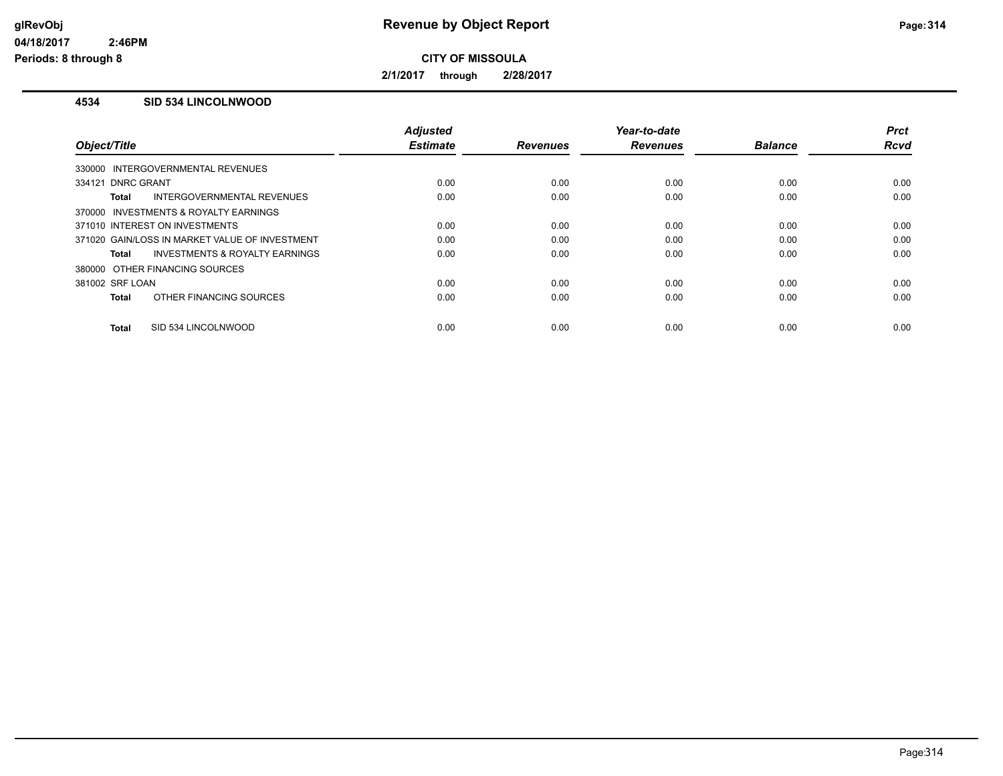**2/1/2017 through 2/28/2017**

#### **4534 SID 534 LINCOLNWOOD**

|                                                | <b>Adjusted</b> |                 | Year-to-date    |                | <b>Prct</b> |
|------------------------------------------------|-----------------|-----------------|-----------------|----------------|-------------|
| Object/Title                                   | <b>Estimate</b> | <b>Revenues</b> | <b>Revenues</b> | <b>Balance</b> | <b>Rcvd</b> |
| INTERGOVERNMENTAL REVENUES<br>330000           |                 |                 |                 |                |             |
| 334121 DNRC GRANT                              | 0.00            | 0.00            | 0.00            | 0.00           | 0.00        |
| INTERGOVERNMENTAL REVENUES<br><b>Total</b>     | 0.00            | 0.00            | 0.00            | 0.00           | 0.00        |
| 370000 INVESTMENTS & ROYALTY EARNINGS          |                 |                 |                 |                |             |
| 371010 INTEREST ON INVESTMENTS                 | 0.00            | 0.00            | 0.00            | 0.00           | 0.00        |
| 371020 GAIN/LOSS IN MARKET VALUE OF INVESTMENT | 0.00            | 0.00            | 0.00            | 0.00           | 0.00        |
| INVESTMENTS & ROYALTY EARNINGS<br>Total        | 0.00            | 0.00            | 0.00            | 0.00           | 0.00        |
| 380000 OTHER FINANCING SOURCES                 |                 |                 |                 |                |             |
| 381002 SRF LOAN                                | 0.00            | 0.00            | 0.00            | 0.00           | 0.00        |
| OTHER FINANCING SOURCES<br><b>Total</b>        | 0.00            | 0.00            | 0.00            | 0.00           | 0.00        |
| SID 534 LINCOLNWOOD<br><b>Total</b>            | 0.00            | 0.00            | 0.00            | 0.00           | 0.00        |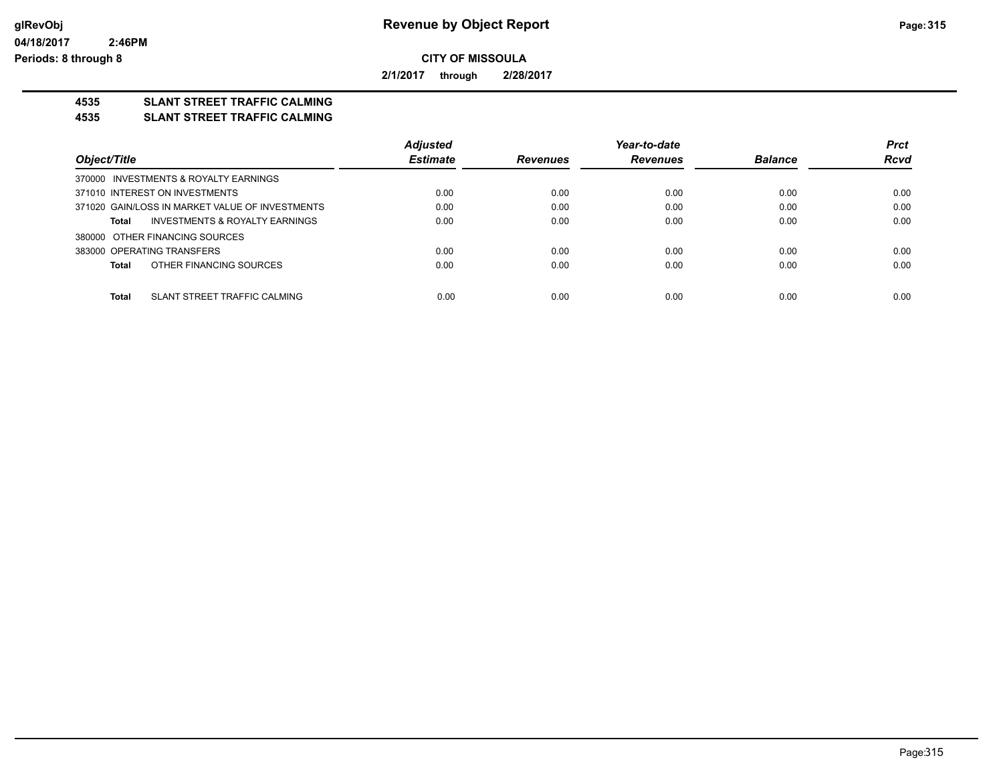**2/1/2017 through 2/28/2017**

#### **4535 SLANT STREET TRAFFIC CALMING 4535 SLANT STREET TRAFFIC CALMING**

|                                                 | <b>Adjusted</b> |                 | Year-to-date    |                | <b>Prct</b> |
|-------------------------------------------------|-----------------|-----------------|-----------------|----------------|-------------|
| Object/Title                                    | <b>Estimate</b> | <b>Revenues</b> | <b>Revenues</b> | <b>Balance</b> | <b>Rcvd</b> |
| 370000 INVESTMENTS & ROYALTY EARNINGS           |                 |                 |                 |                |             |
| 371010 INTEREST ON INVESTMENTS                  | 0.00            | 0.00            | 0.00            | 0.00           | 0.00        |
| 371020 GAIN/LOSS IN MARKET VALUE OF INVESTMENTS | 0.00            | 0.00            | 0.00            | 0.00           | 0.00        |
| INVESTMENTS & ROYALTY EARNINGS<br>Total         | 0.00            | 0.00            | 0.00            | 0.00           | 0.00        |
| 380000 OTHER FINANCING SOURCES                  |                 |                 |                 |                |             |
| 383000 OPERATING TRANSFERS                      | 0.00            | 0.00            | 0.00            | 0.00           | 0.00        |
| OTHER FINANCING SOURCES<br>Total                | 0.00            | 0.00            | 0.00            | 0.00           | 0.00        |
|                                                 |                 |                 |                 |                |             |
| SLANT STREET TRAFFIC CALMING<br><b>Total</b>    | 0.00            | 0.00            | 0.00            | 0.00           | 0.00        |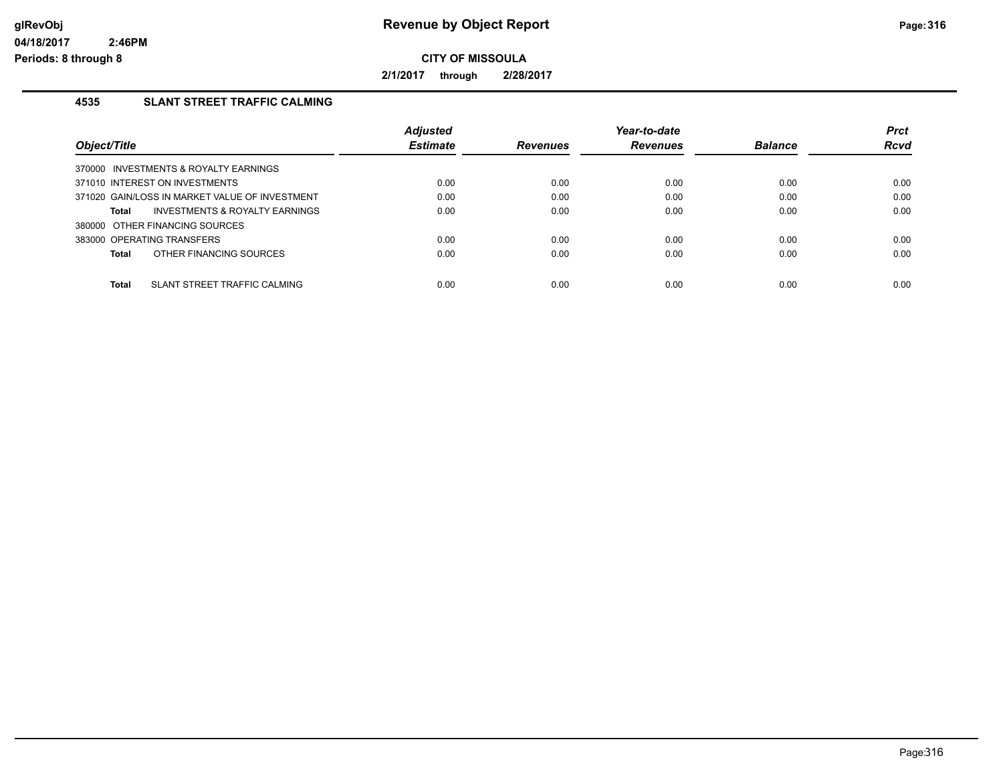**2/1/2017 through 2/28/2017**

#### **4535 SLANT STREET TRAFFIC CALMING**

|                                                | <b>Adjusted</b> |                 | Year-to-date    |                | <b>Prct</b> |
|------------------------------------------------|-----------------|-----------------|-----------------|----------------|-------------|
| Object/Title                                   | <b>Estimate</b> | <b>Revenues</b> | <b>Revenues</b> | <b>Balance</b> | <b>Rcvd</b> |
| 370000 INVESTMENTS & ROYALTY EARNINGS          |                 |                 |                 |                |             |
| 371010 INTEREST ON INVESTMENTS                 | 0.00            | 0.00            | 0.00            | 0.00           | 0.00        |
| 371020 GAIN/LOSS IN MARKET VALUE OF INVESTMENT | 0.00            | 0.00            | 0.00            | 0.00           | 0.00        |
| INVESTMENTS & ROYALTY EARNINGS<br>Total        | 0.00            | 0.00            | 0.00            | 0.00           | 0.00        |
| 380000 OTHER FINANCING SOURCES                 |                 |                 |                 |                |             |
| 383000 OPERATING TRANSFERS                     | 0.00            | 0.00            | 0.00            | 0.00           | 0.00        |
| OTHER FINANCING SOURCES<br>Total               | 0.00            | 0.00            | 0.00            | 0.00           | 0.00        |
| Total<br>SLANT STREET TRAFFIC CALMING          | 0.00            | 0.00            | 0.00            | 0.00           | 0.00        |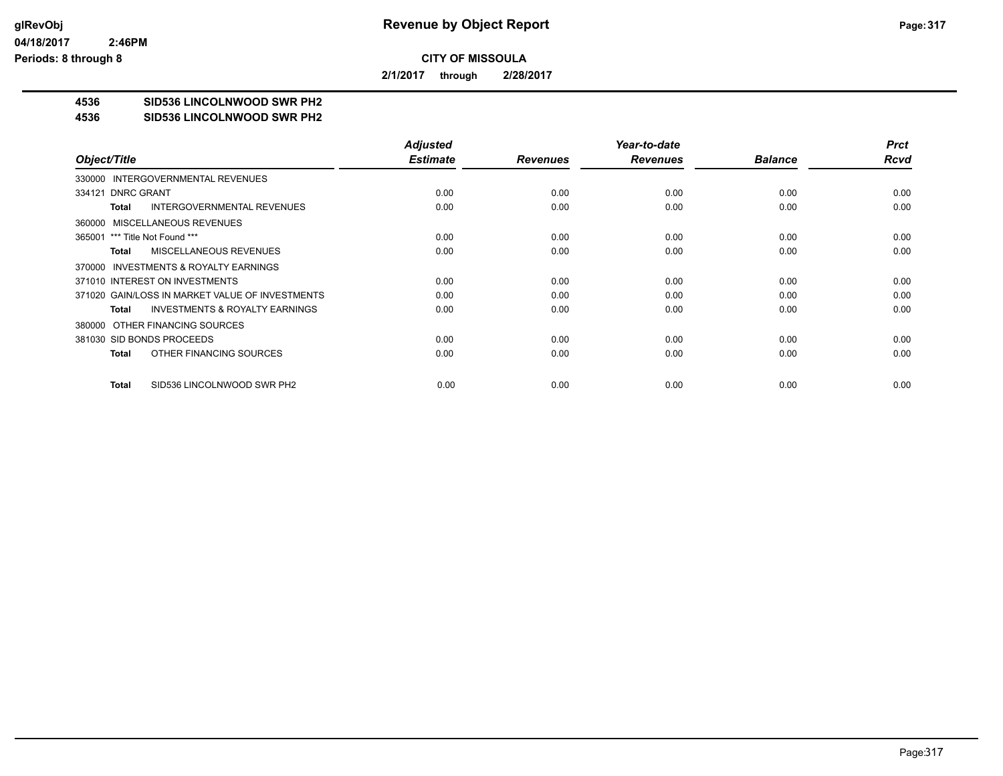**2/1/2017 through 2/28/2017**

## **4536 SID536 LINCOLNWOOD SWR PH2**

## **4536 SID536 LINCOLNWOOD SWR PH2**

|                                                    | <b>Adjusted</b> |                 | Year-to-date    |                | <b>Prct</b> |
|----------------------------------------------------|-----------------|-----------------|-----------------|----------------|-------------|
| Object/Title                                       | <b>Estimate</b> | <b>Revenues</b> | <b>Revenues</b> | <b>Balance</b> | Rcvd        |
| 330000 INTERGOVERNMENTAL REVENUES                  |                 |                 |                 |                |             |
| 334121 DNRC GRANT                                  | 0.00            | 0.00            | 0.00            | 0.00           | 0.00        |
| <b>INTERGOVERNMENTAL REVENUES</b><br>Total         | 0.00            | 0.00            | 0.00            | 0.00           | 0.00        |
| 360000 MISCELLANEOUS REVENUES                      |                 |                 |                 |                |             |
| 365001 *** Title Not Found ***                     | 0.00            | 0.00            | 0.00            | 0.00           | 0.00        |
| <b>MISCELLANEOUS REVENUES</b><br>Total             | 0.00            | 0.00            | 0.00            | 0.00           | 0.00        |
| 370000 INVESTMENTS & ROYALTY EARNINGS              |                 |                 |                 |                |             |
| 371010 INTEREST ON INVESTMENTS                     | 0.00            | 0.00            | 0.00            | 0.00           | 0.00        |
| 371020 GAIN/LOSS IN MARKET VALUE OF INVESTMENTS    | 0.00            | 0.00            | 0.00            | 0.00           | 0.00        |
| <b>INVESTMENTS &amp; ROYALTY EARNINGS</b><br>Total | 0.00            | 0.00            | 0.00            | 0.00           | 0.00        |
| 380000 OTHER FINANCING SOURCES                     |                 |                 |                 |                |             |
| 381030 SID BONDS PROCEEDS                          | 0.00            | 0.00            | 0.00            | 0.00           | 0.00        |
| OTHER FINANCING SOURCES<br>Total                   | 0.00            | 0.00            | 0.00            | 0.00           | 0.00        |
|                                                    |                 |                 |                 |                |             |
| SID536 LINCOLNWOOD SWR PH2<br><b>Total</b>         | 0.00            | 0.00            | 0.00            | 0.00           | 0.00        |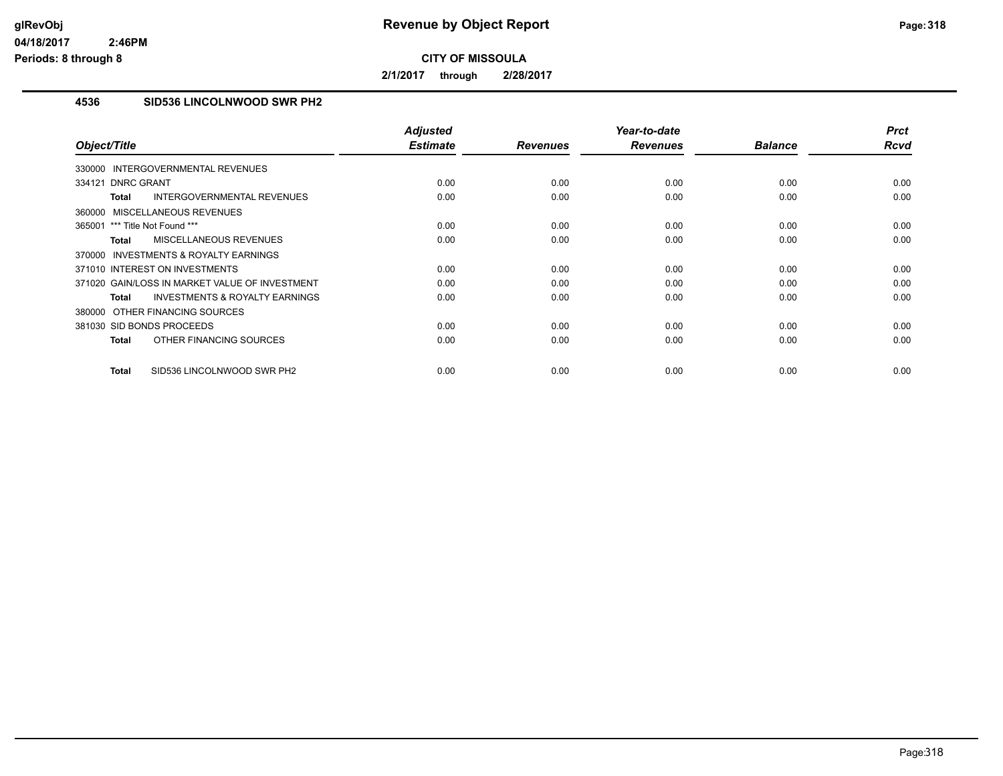**2/1/2017 through 2/28/2017**

#### **4536 SID536 LINCOLNWOOD SWR PH2**

| Object/Title                                              | <b>Adjusted</b><br><b>Estimate</b> | <b>Revenues</b> | Year-to-date<br><b>Revenues</b> | <b>Balance</b> | <b>Prct</b><br><b>Rcvd</b> |
|-----------------------------------------------------------|------------------------------------|-----------------|---------------------------------|----------------|----------------------------|
|                                                           |                                    |                 |                                 |                |                            |
| <b>INTERGOVERNMENTAL REVENUES</b><br>330000               |                                    |                 |                                 |                |                            |
| 334121 DNRC GRANT                                         | 0.00                               | 0.00            | 0.00                            | 0.00           | 0.00                       |
| INTERGOVERNMENTAL REVENUES<br>Total                       | 0.00                               | 0.00            | 0.00                            | 0.00           | 0.00                       |
| MISCELLANEOUS REVENUES<br>360000                          |                                    |                 |                                 |                |                            |
| 365001 *** Title Not Found ***                            | 0.00                               | 0.00            | 0.00                            | 0.00           | 0.00                       |
| <b>MISCELLANEOUS REVENUES</b><br>Total                    | 0.00                               | 0.00            | 0.00                            | 0.00           | 0.00                       |
| INVESTMENTS & ROYALTY EARNINGS<br>370000                  |                                    |                 |                                 |                |                            |
| 371010 INTEREST ON INVESTMENTS                            | 0.00                               | 0.00            | 0.00                            | 0.00           | 0.00                       |
| 371020 GAIN/LOSS IN MARKET VALUE OF INVESTMENT            | 0.00                               | 0.00            | 0.00                            | 0.00           | 0.00                       |
| <b>INVESTMENTS &amp; ROYALTY EARNINGS</b><br><b>Total</b> | 0.00                               | 0.00            | 0.00                            | 0.00           | 0.00                       |
| 380000 OTHER FINANCING SOURCES                            |                                    |                 |                                 |                |                            |
| 381030 SID BONDS PROCEEDS                                 | 0.00                               | 0.00            | 0.00                            | 0.00           | 0.00                       |
| OTHER FINANCING SOURCES<br>Total                          | 0.00                               | 0.00            | 0.00                            | 0.00           | 0.00                       |
| SID536 LINCOLNWOOD SWR PH2<br><b>Total</b>                | 0.00                               | 0.00            | 0.00                            | 0.00           | 0.00                       |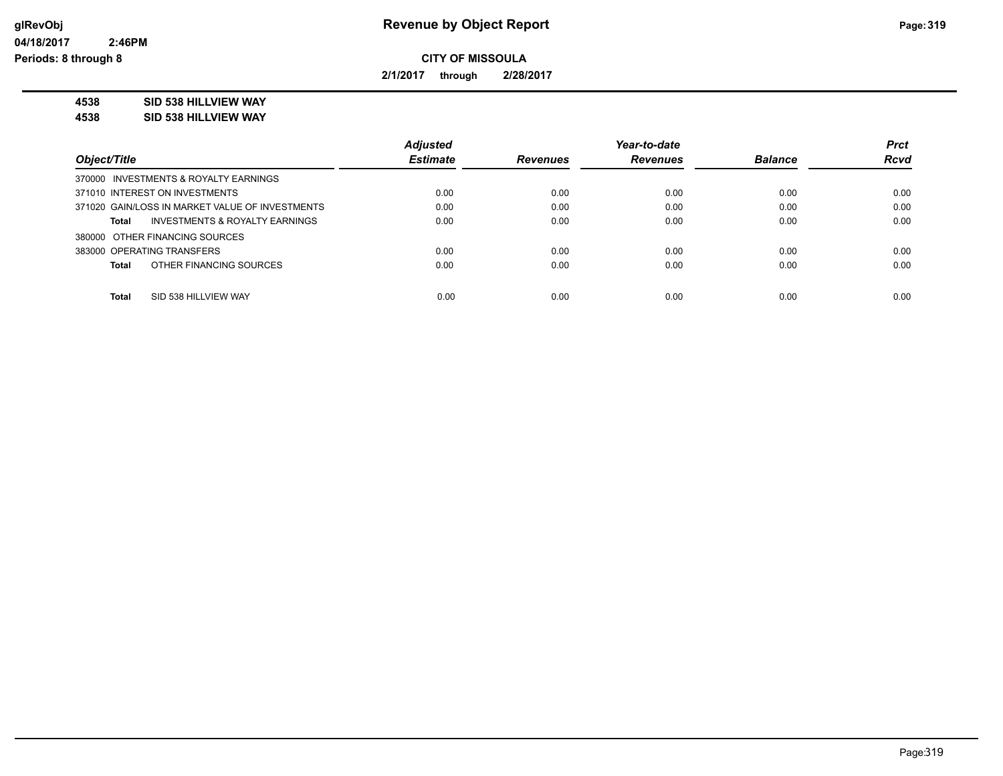**2/1/2017 through 2/28/2017**

**4538 SID 538 HILLVIEW WAY**

**4538 SID 538 HILLVIEW WAY**

|                                                 | <b>Adjusted</b> |                 | Year-to-date    |                | <b>Prct</b> |
|-------------------------------------------------|-----------------|-----------------|-----------------|----------------|-------------|
| Object/Title                                    | <b>Estimate</b> | <b>Revenues</b> | <b>Revenues</b> | <b>Balance</b> | Rcvd        |
| 370000 INVESTMENTS & ROYALTY EARNINGS           |                 |                 |                 |                |             |
| 371010 INTEREST ON INVESTMENTS                  | 0.00            | 0.00            | 0.00            | 0.00           | 0.00        |
| 371020 GAIN/LOSS IN MARKET VALUE OF INVESTMENTS | 0.00            | 0.00            | 0.00            | 0.00           | 0.00        |
| INVESTMENTS & ROYALTY EARNINGS<br>Total         | 0.00            | 0.00            | 0.00            | 0.00           | 0.00        |
| 380000 OTHER FINANCING SOURCES                  |                 |                 |                 |                |             |
| 383000 OPERATING TRANSFERS                      | 0.00            | 0.00            | 0.00            | 0.00           | 0.00        |
| OTHER FINANCING SOURCES<br>Total                | 0.00            | 0.00            | 0.00            | 0.00           | 0.00        |
| SID 538 HILLVIEW WAY<br><b>Total</b>            | 0.00            | 0.00            | 0.00            | 0.00           | 0.00        |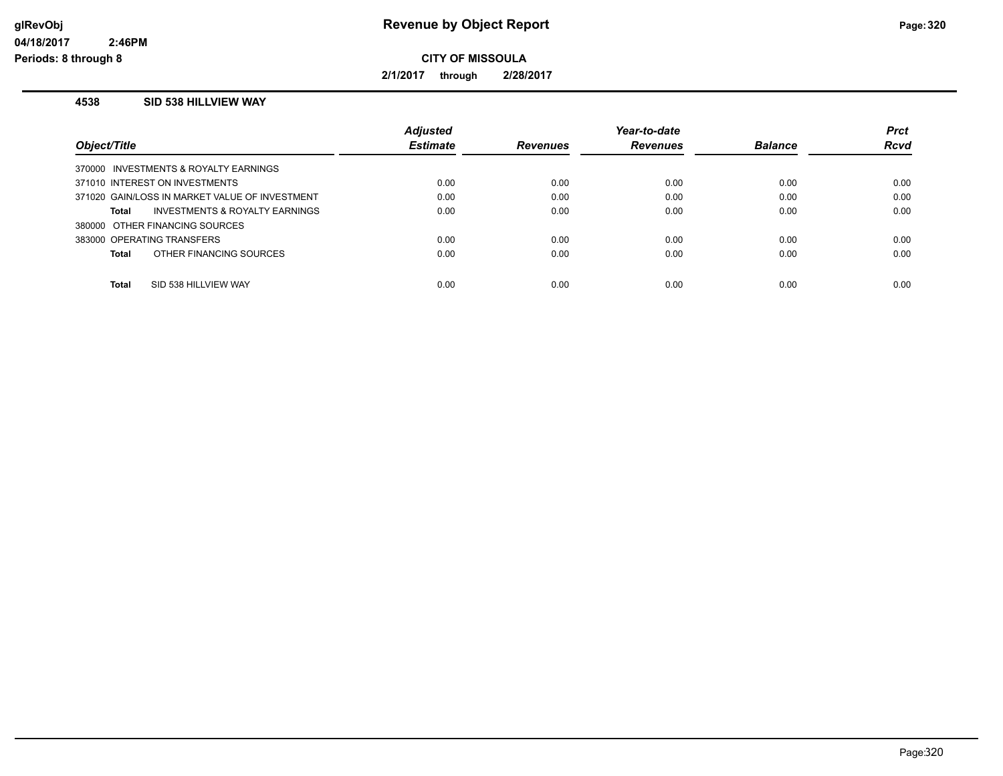**2/1/2017 through 2/28/2017**

#### **4538 SID 538 HILLVIEW WAY**

|                                                | <b>Adjusted</b> |                 | Year-to-date    |                | <b>Prct</b> |
|------------------------------------------------|-----------------|-----------------|-----------------|----------------|-------------|
| Object/Title                                   | <b>Estimate</b> | <b>Revenues</b> | <b>Revenues</b> | <b>Balance</b> | <b>Rcvd</b> |
| 370000 INVESTMENTS & ROYALTY EARNINGS          |                 |                 |                 |                |             |
| 371010 INTEREST ON INVESTMENTS                 | 0.00            | 0.00            | 0.00            | 0.00           | 0.00        |
| 371020 GAIN/LOSS IN MARKET VALUE OF INVESTMENT | 0.00            | 0.00            | 0.00            | 0.00           | 0.00        |
| Total<br>INVESTMENTS & ROYALTY EARNINGS        | 0.00            | 0.00            | 0.00            | 0.00           | 0.00        |
| 380000 OTHER FINANCING SOURCES                 |                 |                 |                 |                |             |
| 383000 OPERATING TRANSFERS                     | 0.00            | 0.00            | 0.00            | 0.00           | 0.00        |
| OTHER FINANCING SOURCES<br>Total               | 0.00            | 0.00            | 0.00            | 0.00           | 0.00        |
|                                                |                 |                 |                 |                |             |
| Total<br>SID 538 HILLVIEW WAY                  | 0.00            | 0.00            | 0.00            | 0.00           | 0.00        |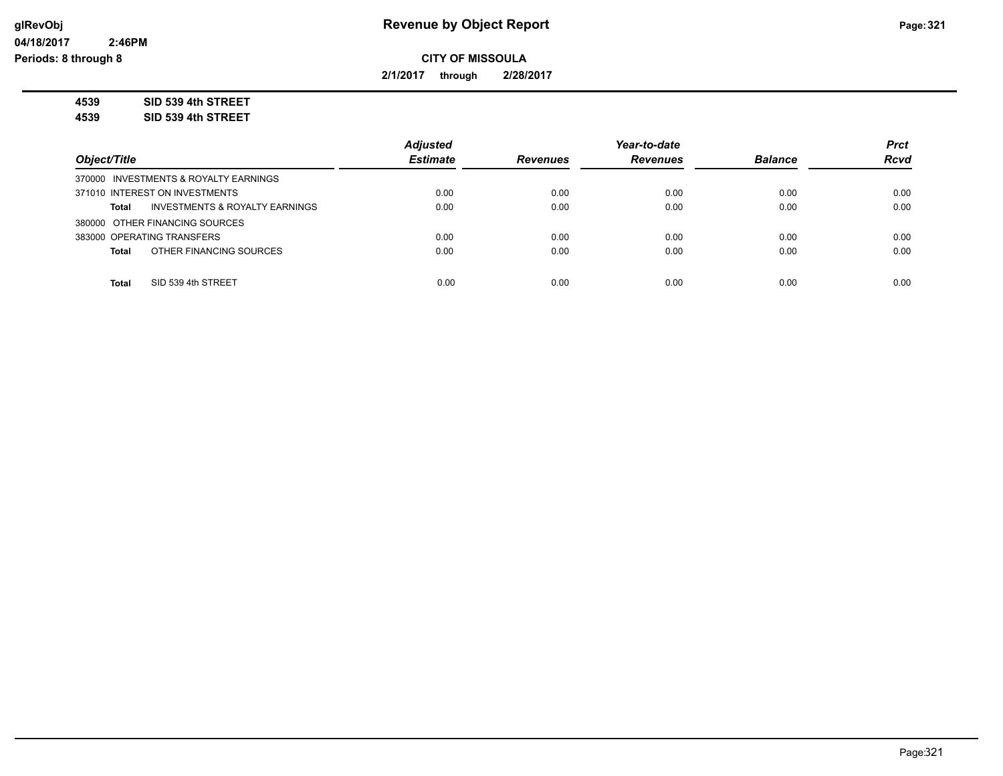**Periods: 8 through 8**

**CITY OF MISSOULA**

**2/1/2017 through 2/28/2017**

**4539 SID 539 4th STREET 4539 SID 539 4th STREET**

 **2:46PM**

| Object/Title                                   | <b>Adjusted</b><br><b>Estimate</b> | <b>Revenues</b> | Year-to-date<br><b>Revenues</b> | <b>Balance</b> | <b>Prct</b><br><b>Rcvd</b> |
|------------------------------------------------|------------------------------------|-----------------|---------------------------------|----------------|----------------------------|
| 370000 INVESTMENTS & ROYALTY EARNINGS          |                                    |                 |                                 |                |                            |
| 371010 INTEREST ON INVESTMENTS                 | 0.00                               | 0.00            | 0.00                            | 0.00           | 0.00                       |
| INVESTMENTS & ROYALTY EARNINGS<br><b>Total</b> | 0.00                               | 0.00            | 0.00                            | 0.00           | 0.00                       |
| 380000 OTHER FINANCING SOURCES                 |                                    |                 |                                 |                |                            |
| 383000 OPERATING TRANSFERS                     | 0.00                               | 0.00            | 0.00                            | 0.00           | 0.00                       |
| OTHER FINANCING SOURCES<br><b>Total</b>        | 0.00                               | 0.00            | 0.00                            | 0.00           | 0.00                       |
|                                                |                                    |                 |                                 |                |                            |
| <b>Total</b><br>SID 539 4th STREET             | 0.00                               | 0.00            | 0.00                            | 0.00           | 0.00                       |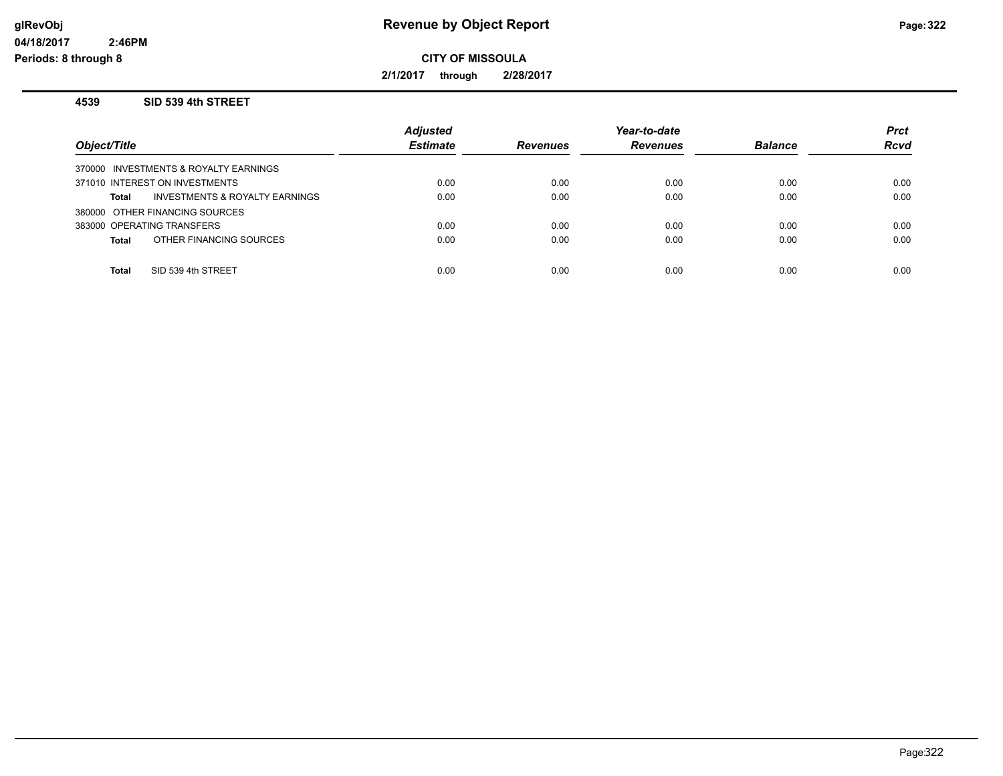**Periods: 8 through 8**

**CITY OF MISSOULA**

**2/1/2017 through 2/28/2017**

#### **4539 SID 539 4th STREET**

 **2:46PM**

|                                         | <b>Adjusted</b> |                 | Year-to-date    |                |             |
|-----------------------------------------|-----------------|-----------------|-----------------|----------------|-------------|
| Object/Title                            | <b>Estimate</b> | <b>Revenues</b> | <b>Revenues</b> | <b>Balance</b> | <b>Rcvd</b> |
| 370000 INVESTMENTS & ROYALTY EARNINGS   |                 |                 |                 |                |             |
| 371010 INTEREST ON INVESTMENTS          | 0.00            | 0.00            | 0.00            | 0.00           | 0.00        |
| INVESTMENTS & ROYALTY EARNINGS<br>Total | 0.00            | 0.00            | 0.00            | 0.00           | 0.00        |
| 380000 OTHER FINANCING SOURCES          |                 |                 |                 |                |             |
| 383000 OPERATING TRANSFERS              | 0.00            | 0.00            | 0.00            | 0.00           | 0.00        |
| OTHER FINANCING SOURCES<br>Total        | 0.00            | 0.00            | 0.00            | 0.00           | 0.00        |
| Total<br>SID 539 4th STREET             | 0.00            | 0.00            | 0.00            | 0.00           | 0.00        |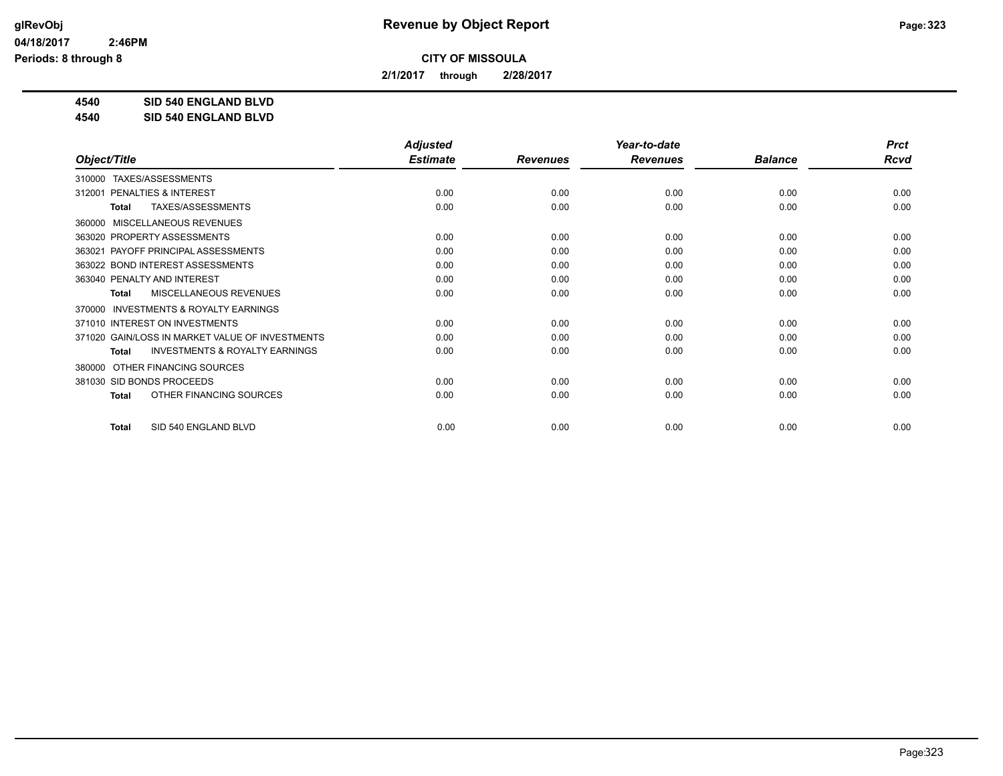**2/1/2017 through 2/28/2017**

**4540 SID 540 ENGLAND BLVD 4540 SID 540 ENGLAND BLVD**

|                                                     | <b>Adjusted</b> |                 | Year-to-date    |                | <b>Prct</b> |
|-----------------------------------------------------|-----------------|-----------------|-----------------|----------------|-------------|
| Object/Title                                        | <b>Estimate</b> | <b>Revenues</b> | <b>Revenues</b> | <b>Balance</b> | Rcvd        |
| TAXES/ASSESSMENTS<br>310000                         |                 |                 |                 |                |             |
| PENALTIES & INTEREST<br>312001                      | 0.00            | 0.00            | 0.00            | 0.00           | 0.00        |
| TAXES/ASSESSMENTS<br>Total                          | 0.00            | 0.00            | 0.00            | 0.00           | 0.00        |
| MISCELLANEOUS REVENUES<br>360000                    |                 |                 |                 |                |             |
| 363020 PROPERTY ASSESSMENTS                         | 0.00            | 0.00            | 0.00            | 0.00           | 0.00        |
| 363021 PAYOFF PRINCIPAL ASSESSMENTS                 | 0.00            | 0.00            | 0.00            | 0.00           | 0.00        |
| 363022 BOND INTEREST ASSESSMENTS                    | 0.00            | 0.00            | 0.00            | 0.00           | 0.00        |
| 363040 PENALTY AND INTEREST                         | 0.00            | 0.00            | 0.00            | 0.00           | 0.00        |
| <b>MISCELLANEOUS REVENUES</b><br>Total              | 0.00            | 0.00            | 0.00            | 0.00           | 0.00        |
| <b>INVESTMENTS &amp; ROYALTY EARNINGS</b><br>370000 |                 |                 |                 |                |             |
| 371010 INTEREST ON INVESTMENTS                      | 0.00            | 0.00            | 0.00            | 0.00           | 0.00        |
| 371020 GAIN/LOSS IN MARKET VALUE OF INVESTMENTS     | 0.00            | 0.00            | 0.00            | 0.00           | 0.00        |
| <b>INVESTMENTS &amp; ROYALTY EARNINGS</b><br>Total  | 0.00            | 0.00            | 0.00            | 0.00           | 0.00        |
| OTHER FINANCING SOURCES<br>380000                   |                 |                 |                 |                |             |
| 381030 SID BONDS PROCEEDS                           | 0.00            | 0.00            | 0.00            | 0.00           | 0.00        |
| OTHER FINANCING SOURCES<br>Total                    | 0.00            | 0.00            | 0.00            | 0.00           | 0.00        |
|                                                     |                 |                 |                 |                |             |
| SID 540 ENGLAND BLVD<br><b>Total</b>                | 0.00            | 0.00            | 0.00            | 0.00           | 0.00        |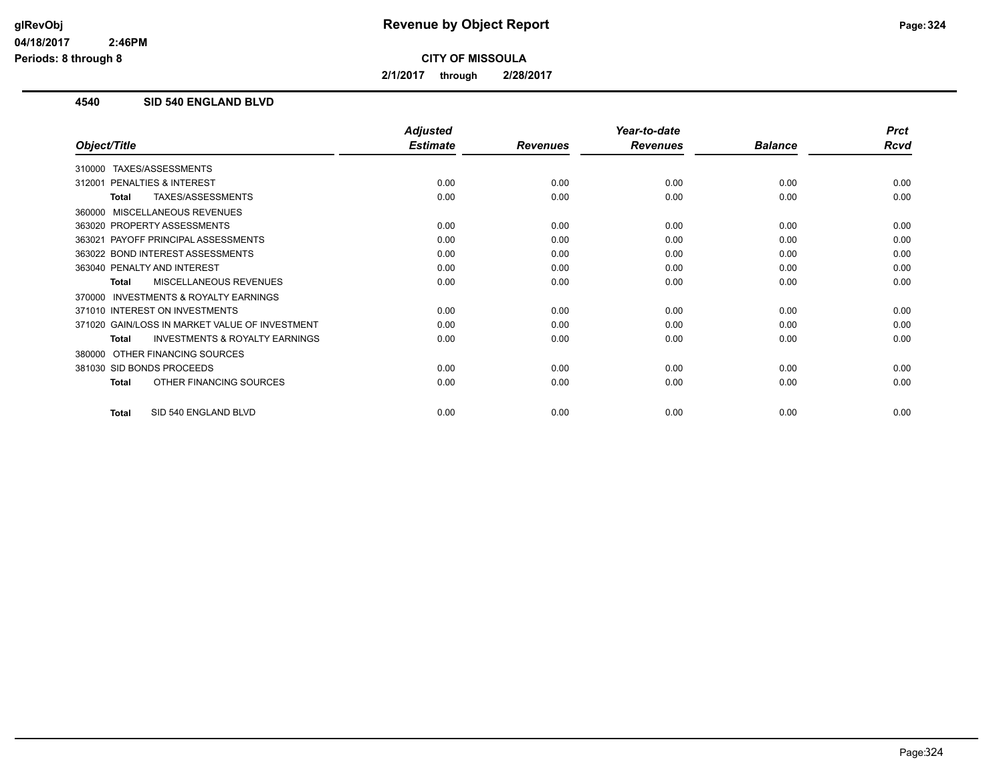**2/1/2017 through 2/28/2017**

#### **4540 SID 540 ENGLAND BLVD**

| Object/Title                                        | <b>Adjusted</b> |                 | Year-to-date    |                | <b>Prct</b> |
|-----------------------------------------------------|-----------------|-----------------|-----------------|----------------|-------------|
|                                                     | <b>Estimate</b> | <b>Revenues</b> | <b>Revenues</b> | <b>Balance</b> | <b>Rcvd</b> |
| TAXES/ASSESSMENTS<br>310000                         |                 |                 |                 |                |             |
| 312001 PENALTIES & INTEREST                         | 0.00            | 0.00            | 0.00            | 0.00           | 0.00        |
| TAXES/ASSESSMENTS<br><b>Total</b>                   | 0.00            | 0.00            | 0.00            | 0.00           | 0.00        |
| MISCELLANEOUS REVENUES<br>360000                    |                 |                 |                 |                |             |
| 363020 PROPERTY ASSESSMENTS                         | 0.00            | 0.00            | 0.00            | 0.00           | 0.00        |
| 363021 PAYOFF PRINCIPAL ASSESSMENTS                 | 0.00            | 0.00            | 0.00            | 0.00           | 0.00        |
| 363022 BOND INTEREST ASSESSMENTS                    | 0.00            | 0.00            | 0.00            | 0.00           | 0.00        |
| 363040 PENALTY AND INTEREST                         | 0.00            | 0.00            | 0.00            | 0.00           | 0.00        |
| <b>MISCELLANEOUS REVENUES</b><br>Total              | 0.00            | 0.00            | 0.00            | 0.00           | 0.00        |
| <b>INVESTMENTS &amp; ROYALTY EARNINGS</b><br>370000 |                 |                 |                 |                |             |
| 371010 INTEREST ON INVESTMENTS                      | 0.00            | 0.00            | 0.00            | 0.00           | 0.00        |
| 371020 GAIN/LOSS IN MARKET VALUE OF INVESTMENT      | 0.00            | 0.00            | 0.00            | 0.00           | 0.00        |
| <b>INVESTMENTS &amp; ROYALTY EARNINGS</b><br>Total  | 0.00            | 0.00            | 0.00            | 0.00           | 0.00        |
| 380000 OTHER FINANCING SOURCES                      |                 |                 |                 |                |             |
| 381030 SID BONDS PROCEEDS                           | 0.00            | 0.00            | 0.00            | 0.00           | 0.00        |
| OTHER FINANCING SOURCES<br>Total                    | 0.00            | 0.00            | 0.00            | 0.00           | 0.00        |
| SID 540 ENGLAND BLVD<br><b>Total</b>                | 0.00            | 0.00            | 0.00            | 0.00           | 0.00        |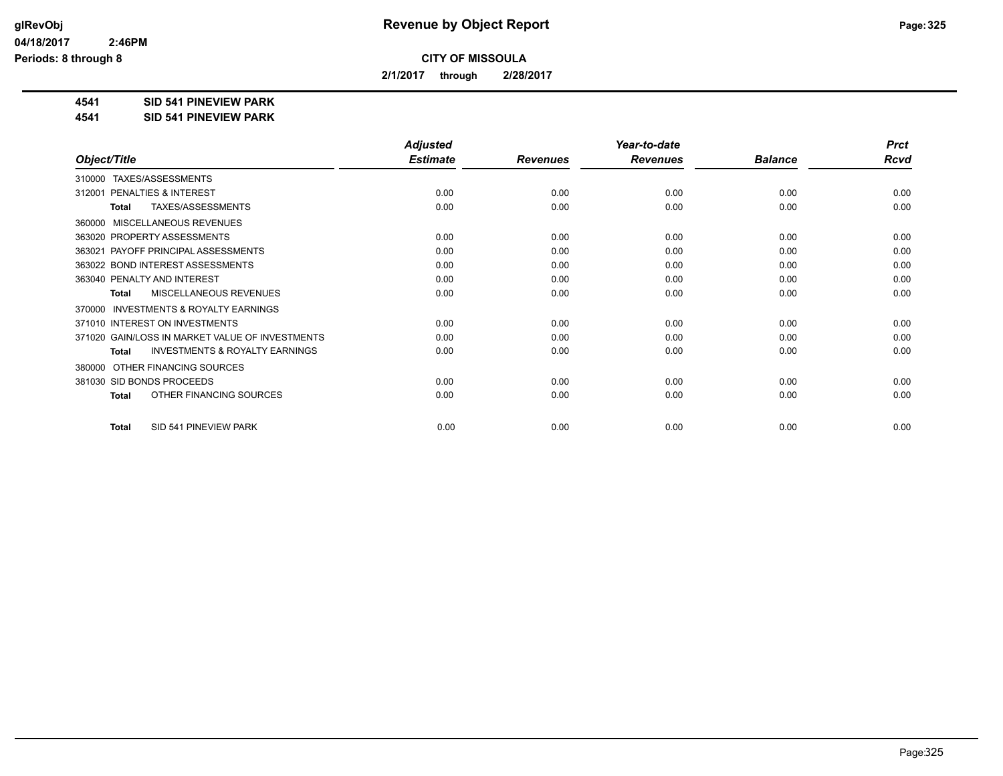**2/1/2017 through 2/28/2017**

**4541 SID 541 PINEVIEW PARK**

**4541 SID 541 PINEVIEW PARK**

|                                                    | <b>Adjusted</b> |                 | Year-to-date    |                | <b>Prct</b> |
|----------------------------------------------------|-----------------|-----------------|-----------------|----------------|-------------|
| Object/Title                                       | <b>Estimate</b> | <b>Revenues</b> | <b>Revenues</b> | <b>Balance</b> | Rcvd        |
| TAXES/ASSESSMENTS<br>310000                        |                 |                 |                 |                |             |
| PENALTIES & INTEREST<br>312001                     | 0.00            | 0.00            | 0.00            | 0.00           | 0.00        |
| TAXES/ASSESSMENTS<br><b>Total</b>                  | 0.00            | 0.00            | 0.00            | 0.00           | 0.00        |
| 360000 MISCELLANEOUS REVENUES                      |                 |                 |                 |                |             |
| 363020 PROPERTY ASSESSMENTS                        | 0.00            | 0.00            | 0.00            | 0.00           | 0.00        |
| PAYOFF PRINCIPAL ASSESSMENTS<br>363021             | 0.00            | 0.00            | 0.00            | 0.00           | 0.00        |
| 363022 BOND INTEREST ASSESSMENTS                   | 0.00            | 0.00            | 0.00            | 0.00           | 0.00        |
| 363040 PENALTY AND INTEREST                        | 0.00            | 0.00            | 0.00            | 0.00           | 0.00        |
| MISCELLANEOUS REVENUES<br><b>Total</b>             | 0.00            | 0.00            | 0.00            | 0.00           | 0.00        |
| 370000 INVESTMENTS & ROYALTY EARNINGS              |                 |                 |                 |                |             |
| 371010 INTEREST ON INVESTMENTS                     | 0.00            | 0.00            | 0.00            | 0.00           | 0.00        |
| 371020 GAIN/LOSS IN MARKET VALUE OF INVESTMENTS    | 0.00            | 0.00            | 0.00            | 0.00           | 0.00        |
| <b>INVESTMENTS &amp; ROYALTY EARNINGS</b><br>Total | 0.00            | 0.00            | 0.00            | 0.00           | 0.00        |
| 380000 OTHER FINANCING SOURCES                     |                 |                 |                 |                |             |
| 381030 SID BONDS PROCEEDS                          | 0.00            | 0.00            | 0.00            | 0.00           | 0.00        |
| OTHER FINANCING SOURCES<br><b>Total</b>            | 0.00            | 0.00            | 0.00            | 0.00           | 0.00        |
|                                                    |                 |                 |                 |                |             |
| SID 541 PINEVIEW PARK<br><b>Total</b>              | 0.00            | 0.00            | 0.00            | 0.00           | 0.00        |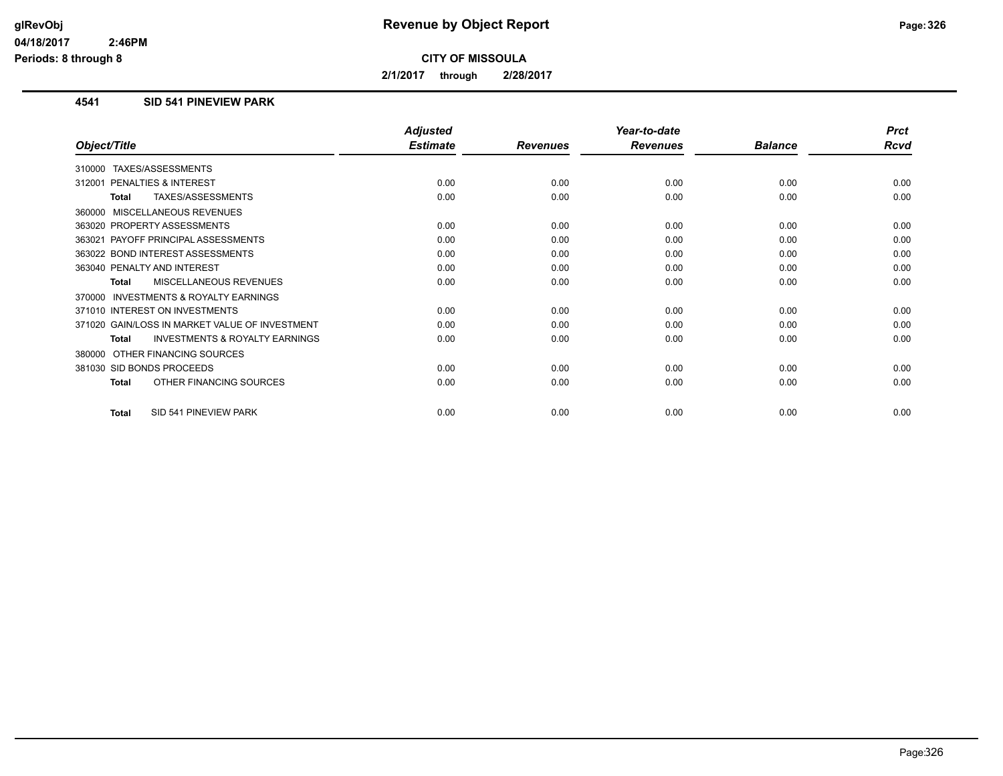**2/1/2017 through 2/28/2017**

#### **4541 SID 541 PINEVIEW PARK**

|                                                     | <b>Adjusted</b> |                 | Year-to-date    |                | <b>Prct</b> |
|-----------------------------------------------------|-----------------|-----------------|-----------------|----------------|-------------|
| Object/Title                                        | <b>Estimate</b> | <b>Revenues</b> | <b>Revenues</b> | <b>Balance</b> | <b>Rcvd</b> |
| TAXES/ASSESSMENTS<br>310000                         |                 |                 |                 |                |             |
| 312001 PENALTIES & INTEREST                         | 0.00            | 0.00            | 0.00            | 0.00           | 0.00        |
| TAXES/ASSESSMENTS<br><b>Total</b>                   | 0.00            | 0.00            | 0.00            | 0.00           | 0.00        |
| 360000 MISCELLANEOUS REVENUES                       |                 |                 |                 |                |             |
| 363020 PROPERTY ASSESSMENTS                         | 0.00            | 0.00            | 0.00            | 0.00           | 0.00        |
| PAYOFF PRINCIPAL ASSESSMENTS<br>363021              | 0.00            | 0.00            | 0.00            | 0.00           | 0.00        |
| 363022 BOND INTEREST ASSESSMENTS                    | 0.00            | 0.00            | 0.00            | 0.00           | 0.00        |
| 363040 PENALTY AND INTEREST                         | 0.00            | 0.00            | 0.00            | 0.00           | 0.00        |
| MISCELLANEOUS REVENUES<br>Total                     | 0.00            | 0.00            | 0.00            | 0.00           | 0.00        |
| <b>INVESTMENTS &amp; ROYALTY EARNINGS</b><br>370000 |                 |                 |                 |                |             |
| 371010 INTEREST ON INVESTMENTS                      | 0.00            | 0.00            | 0.00            | 0.00           | 0.00        |
| 371020 GAIN/LOSS IN MARKET VALUE OF INVESTMENT      | 0.00            | 0.00            | 0.00            | 0.00           | 0.00        |
| <b>INVESTMENTS &amp; ROYALTY EARNINGS</b><br>Total  | 0.00            | 0.00            | 0.00            | 0.00           | 0.00        |
| 380000 OTHER FINANCING SOURCES                      |                 |                 |                 |                |             |
| 381030 SID BONDS PROCEEDS                           | 0.00            | 0.00            | 0.00            | 0.00           | 0.00        |
| OTHER FINANCING SOURCES<br>Total                    | 0.00            | 0.00            | 0.00            | 0.00           | 0.00        |
| SID 541 PINEVIEW PARK<br>Total                      | 0.00            | 0.00            | 0.00            | 0.00           | 0.00        |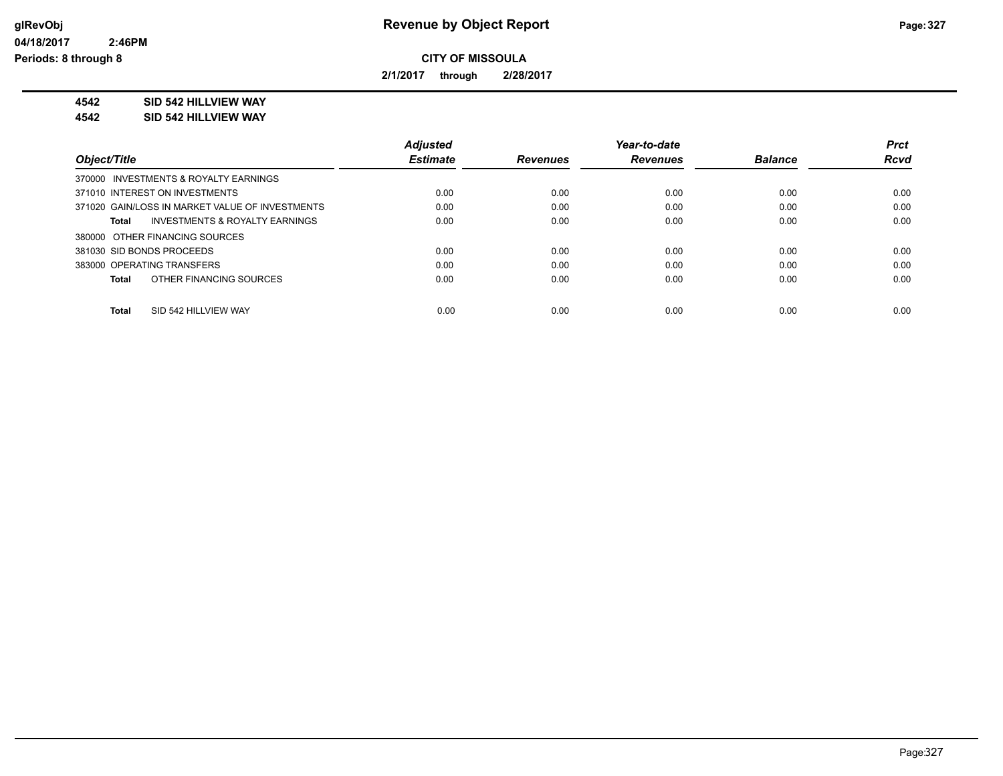**2/1/2017 through 2/28/2017**

**4542 SID 542 HILLVIEW WAY**

**4542 SID 542 HILLVIEW WAY**

|                                                 | <b>Adjusted</b> |                 | Year-to-date    |                | <b>Prct</b> |
|-------------------------------------------------|-----------------|-----------------|-----------------|----------------|-------------|
| Object/Title                                    | <b>Estimate</b> | <b>Revenues</b> | <b>Revenues</b> | <b>Balance</b> | <b>Rcvd</b> |
| 370000 INVESTMENTS & ROYALTY EARNINGS           |                 |                 |                 |                |             |
| 371010 INTEREST ON INVESTMENTS                  | 0.00            | 0.00            | 0.00            | 0.00           | 0.00        |
| 371020 GAIN/LOSS IN MARKET VALUE OF INVESTMENTS | 0.00            | 0.00            | 0.00            | 0.00           | 0.00        |
| INVESTMENTS & ROYALTY EARNINGS<br>Total         | 0.00            | 0.00            | 0.00            | 0.00           | 0.00        |
| 380000 OTHER FINANCING SOURCES                  |                 |                 |                 |                |             |
| 381030 SID BONDS PROCEEDS                       | 0.00            | 0.00            | 0.00            | 0.00           | 0.00        |
| 383000 OPERATING TRANSFERS                      | 0.00            | 0.00            | 0.00            | 0.00           | 0.00        |
| OTHER FINANCING SOURCES<br>Total                | 0.00            | 0.00            | 0.00            | 0.00           | 0.00        |
| SID 542 HILLVIEW WAY<br><b>Total</b>            | 0.00            | 0.00            | 0.00            | 0.00           | 0.00        |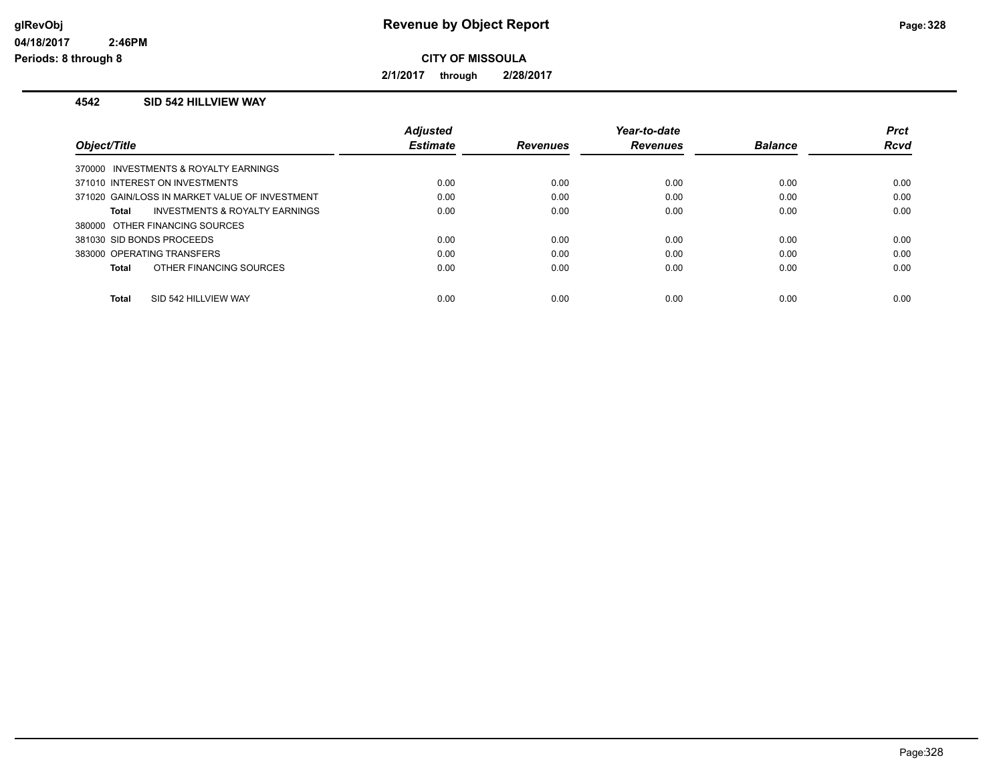**2/1/2017 through 2/28/2017**

#### **4542 SID 542 HILLVIEW WAY**

|                                                | <b>Adjusted</b> |                 | Year-to-date    |                | <b>Prct</b> |
|------------------------------------------------|-----------------|-----------------|-----------------|----------------|-------------|
| Object/Title                                   | <b>Estimate</b> | <b>Revenues</b> | <b>Revenues</b> | <b>Balance</b> | <b>Rcvd</b> |
| 370000 INVESTMENTS & ROYALTY EARNINGS          |                 |                 |                 |                |             |
| 371010 INTEREST ON INVESTMENTS                 | 0.00            | 0.00            | 0.00            | 0.00           | 0.00        |
| 371020 GAIN/LOSS IN MARKET VALUE OF INVESTMENT | 0.00            | 0.00            | 0.00            | 0.00           | 0.00        |
| INVESTMENTS & ROYALTY EARNINGS<br>Total        | 0.00            | 0.00            | 0.00            | 0.00           | 0.00        |
| 380000 OTHER FINANCING SOURCES                 |                 |                 |                 |                |             |
| 381030 SID BONDS PROCEEDS                      | 0.00            | 0.00            | 0.00            | 0.00           | 0.00        |
| 383000 OPERATING TRANSFERS                     | 0.00            | 0.00            | 0.00            | 0.00           | 0.00        |
| Total<br>OTHER FINANCING SOURCES               | 0.00            | 0.00            | 0.00            | 0.00           | 0.00        |
| SID 542 HILLVIEW WAY<br><b>Total</b>           | 0.00            | 0.00            | 0.00            | 0.00           | 0.00        |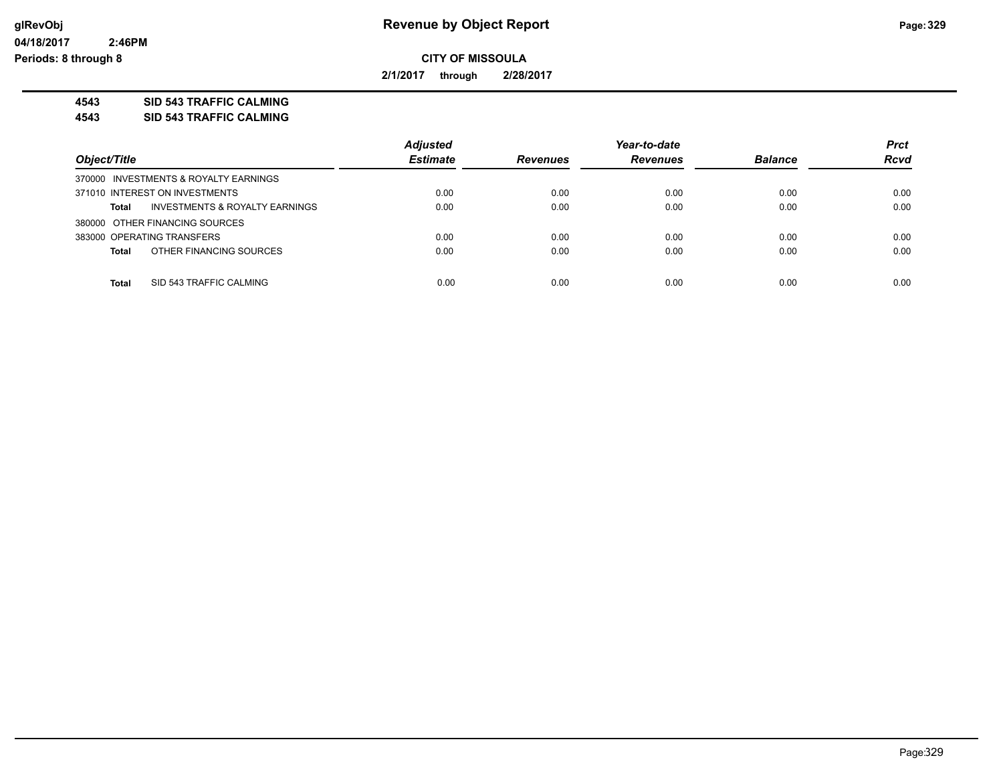**2/1/2017 through 2/28/2017**

**4543 SID 543 TRAFFIC CALMING**

**4543 SID 543 TRAFFIC CALMING**

|                                         | <b>Adjusted</b> |                 | Year-to-date    |                | <b>Prct</b> |
|-----------------------------------------|-----------------|-----------------|-----------------|----------------|-------------|
| Object/Title                            | <b>Estimate</b> | <b>Revenues</b> | <b>Revenues</b> | <b>Balance</b> | <b>Rcvd</b> |
| 370000 INVESTMENTS & ROYALTY EARNINGS   |                 |                 |                 |                |             |
| 371010 INTEREST ON INVESTMENTS          | 0.00            | 0.00            | 0.00            | 0.00           | 0.00        |
| INVESTMENTS & ROYALTY EARNINGS<br>Total | 0.00            | 0.00            | 0.00            | 0.00           | 0.00        |
| 380000 OTHER FINANCING SOURCES          |                 |                 |                 |                |             |
| 383000 OPERATING TRANSFERS              | 0.00            | 0.00            | 0.00            | 0.00           | 0.00        |
| OTHER FINANCING SOURCES<br>Total        | 0.00            | 0.00            | 0.00            | 0.00           | 0.00        |
|                                         |                 |                 |                 |                |             |
| Total<br>SID 543 TRAFFIC CALMING        | 0.00            | 0.00            | 0.00            | 0.00           | 0.00        |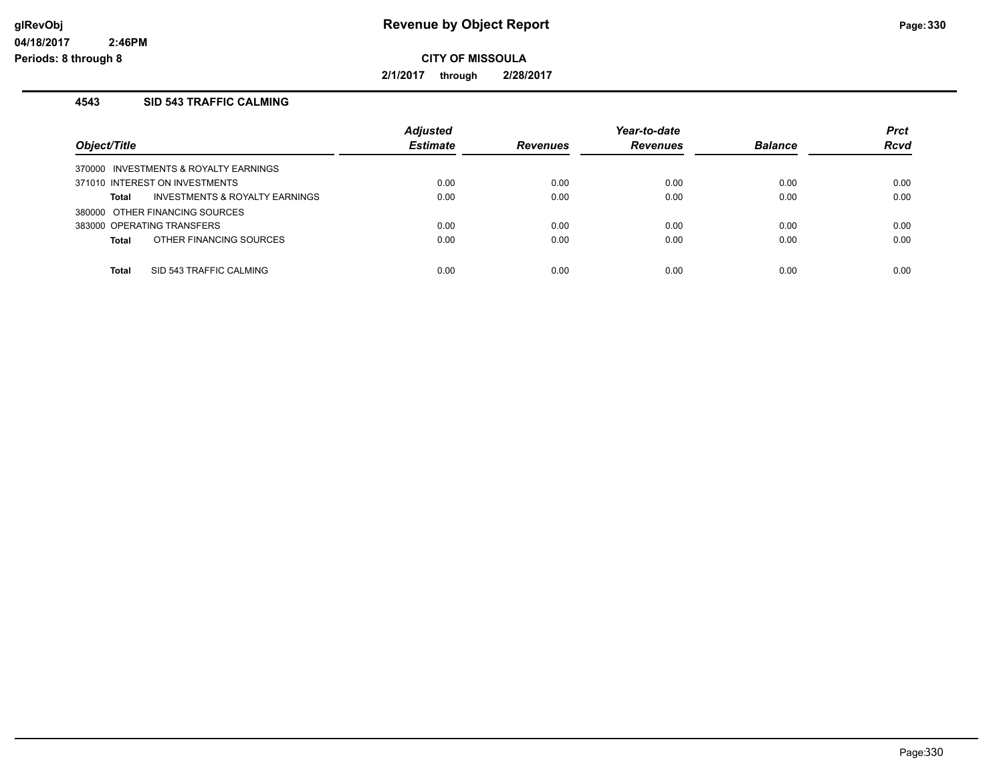**2/1/2017 through 2/28/2017**

## **4543 SID 543 TRAFFIC CALMING**

|              |                                       | <b>Adjusted</b> |                 | Year-to-date    |                | <b>Prct</b> |
|--------------|---------------------------------------|-----------------|-----------------|-----------------|----------------|-------------|
| Object/Title |                                       | <b>Estimate</b> | <b>Revenues</b> | <b>Revenues</b> | <b>Balance</b> | <b>Rcvd</b> |
|              | 370000 INVESTMENTS & ROYALTY EARNINGS |                 |                 |                 |                |             |
|              | 371010 INTEREST ON INVESTMENTS        | 0.00            | 0.00            | 0.00            | 0.00           | 0.00        |
| Total        | INVESTMENTS & ROYALTY EARNINGS        | 0.00            | 0.00            | 0.00            | 0.00           | 0.00        |
|              | 380000 OTHER FINANCING SOURCES        |                 |                 |                 |                |             |
|              | 383000 OPERATING TRANSFERS            | 0.00            | 0.00            | 0.00            | 0.00           | 0.00        |
| <b>Total</b> | OTHER FINANCING SOURCES               | 0.00            | 0.00            | 0.00            | 0.00           | 0.00        |
| <b>Total</b> | SID 543 TRAFFIC CALMING               | 0.00            | 0.00            | 0.00            | 0.00           | 0.00        |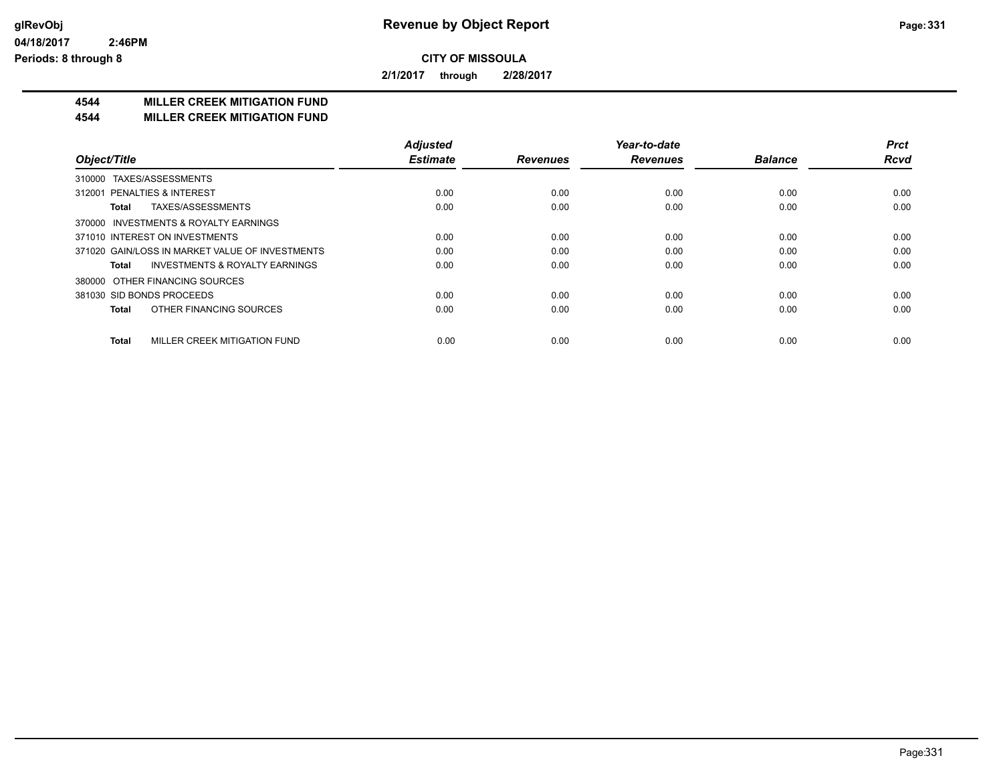**2/1/2017 through 2/28/2017**

# **4544 MILLER CREEK MITIGATION FUND**

## **4544 MILLER CREEK MITIGATION FUND**

|                                                    | <b>Adjusted</b> |                 | Year-to-date    |                | <b>Prct</b> |
|----------------------------------------------------|-----------------|-----------------|-----------------|----------------|-------------|
| Object/Title                                       | <b>Estimate</b> | <b>Revenues</b> | <b>Revenues</b> | <b>Balance</b> | <b>Rcvd</b> |
| 310000 TAXES/ASSESSMENTS                           |                 |                 |                 |                |             |
| PENALTIES & INTEREST<br>312001                     | 0.00            | 0.00            | 0.00            | 0.00           | 0.00        |
| TAXES/ASSESSMENTS<br>Total                         | 0.00            | 0.00            | 0.00            | 0.00           | 0.00        |
| 370000 INVESTMENTS & ROYALTY EARNINGS              |                 |                 |                 |                |             |
| 371010 INTEREST ON INVESTMENTS                     | 0.00            | 0.00            | 0.00            | 0.00           | 0.00        |
| 371020 GAIN/LOSS IN MARKET VALUE OF INVESTMENTS    | 0.00            | 0.00            | 0.00            | 0.00           | 0.00        |
| <b>INVESTMENTS &amp; ROYALTY EARNINGS</b><br>Total | 0.00            | 0.00            | 0.00            | 0.00           | 0.00        |
| 380000 OTHER FINANCING SOURCES                     |                 |                 |                 |                |             |
| 381030 SID BONDS PROCEEDS                          | 0.00            | 0.00            | 0.00            | 0.00           | 0.00        |
| OTHER FINANCING SOURCES<br>Total                   | 0.00            | 0.00            | 0.00            | 0.00           | 0.00        |
| MILLER CREEK MITIGATION FUND<br><b>Total</b>       | 0.00            | 0.00            | 0.00            | 0.00           | 0.00        |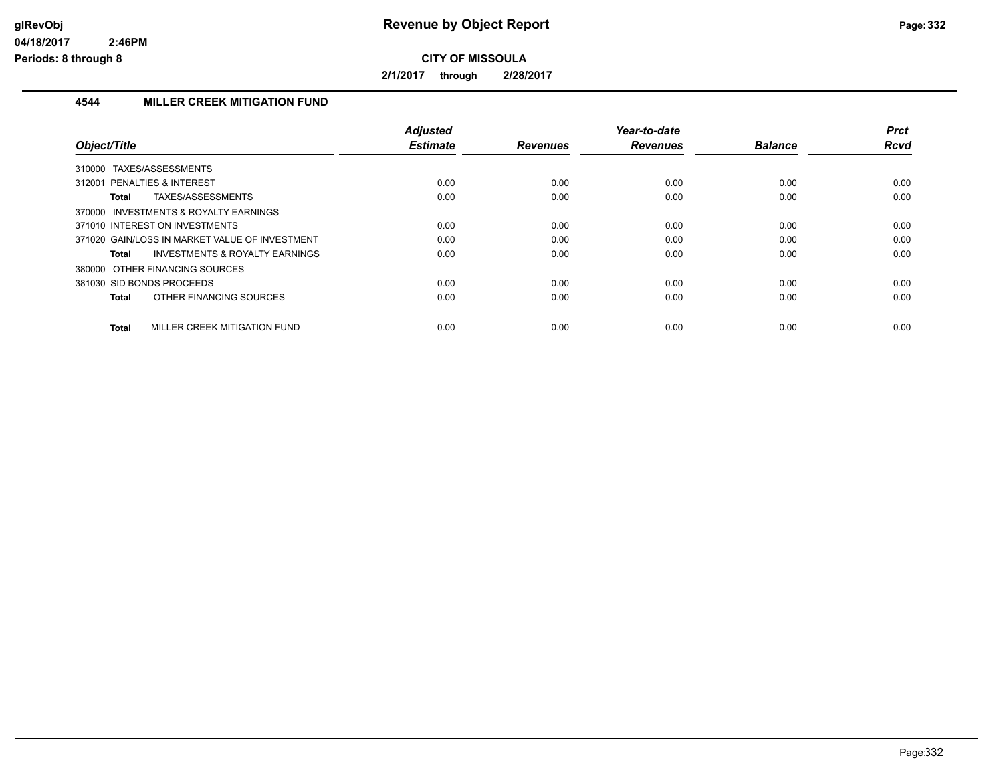**2/1/2017 through 2/28/2017**

### **4544 MILLER CREEK MITIGATION FUND**

| Object/Title                                        | <b>Adjusted</b><br><b>Estimate</b> | <b>Revenues</b> | Year-to-date<br><b>Revenues</b> | <b>Balance</b> | <b>Prct</b><br><b>Rcvd</b> |
|-----------------------------------------------------|------------------------------------|-----------------|---------------------------------|----------------|----------------------------|
|                                                     |                                    |                 |                                 |                |                            |
| TAXES/ASSESSMENTS<br>310000                         |                                    |                 |                                 |                |                            |
| 312001 PENALTIES & INTEREST                         | 0.00                               | 0.00            | 0.00                            | 0.00           | 0.00                       |
| TAXES/ASSESSMENTS<br>Total                          | 0.00                               | 0.00            | 0.00                            | 0.00           | 0.00                       |
| <b>INVESTMENTS &amp; ROYALTY EARNINGS</b><br>370000 |                                    |                 |                                 |                |                            |
| 371010 INTEREST ON INVESTMENTS                      | 0.00                               | 0.00            | 0.00                            | 0.00           | 0.00                       |
| 371020 GAIN/LOSS IN MARKET VALUE OF INVESTMENT      | 0.00                               | 0.00            | 0.00                            | 0.00           | 0.00                       |
| INVESTMENTS & ROYALTY EARNINGS<br>Total             | 0.00                               | 0.00            | 0.00                            | 0.00           | 0.00                       |
| 380000 OTHER FINANCING SOURCES                      |                                    |                 |                                 |                |                            |
| 381030 SID BONDS PROCEEDS                           | 0.00                               | 0.00            | 0.00                            | 0.00           | 0.00                       |
| OTHER FINANCING SOURCES<br>Total                    | 0.00                               | 0.00            | 0.00                            | 0.00           | 0.00                       |
| <b>Total</b><br>MILLER CREEK MITIGATION FUND        | 0.00                               | 0.00            | 0.00                            | 0.00           | 0.00                       |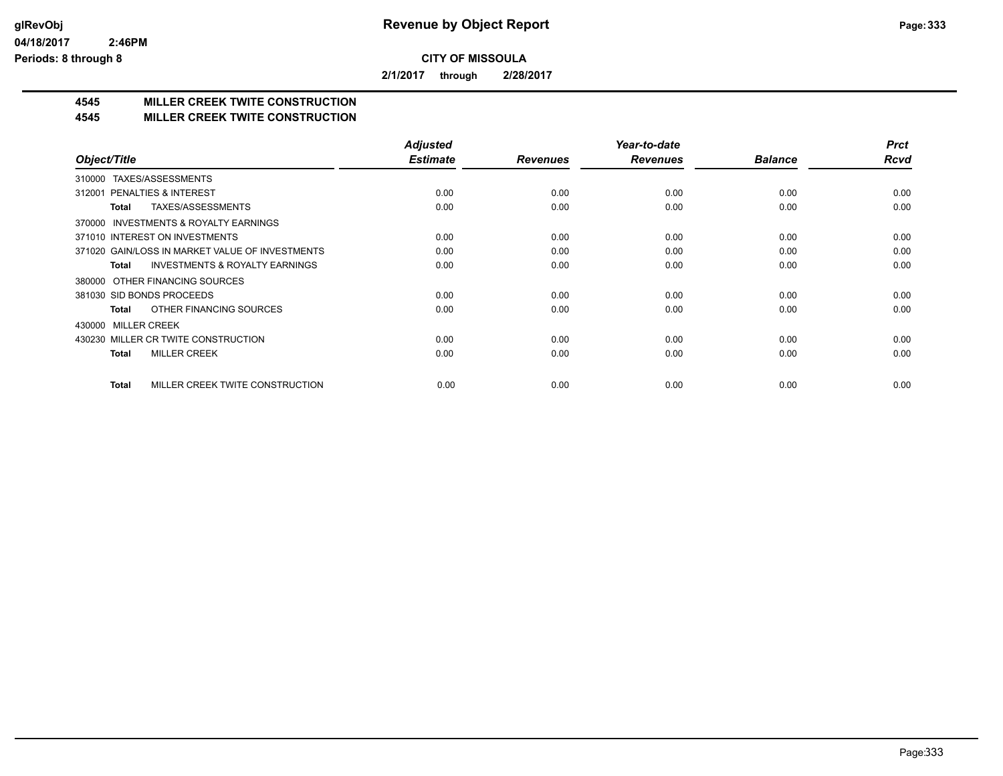**2/1/2017 through 2/28/2017**

## **4545 MILLER CREEK TWITE CONSTRUCTION 4545 MILLER CREEK TWITE CONSTRUCTION**

| Object/Title                                        | <b>Adjusted</b><br><b>Estimate</b> | <b>Revenues</b> | Year-to-date<br><b>Revenues</b> | <b>Balance</b> | <b>Prct</b><br><b>Rcvd</b> |
|-----------------------------------------------------|------------------------------------|-----------------|---------------------------------|----------------|----------------------------|
| TAXES/ASSESSMENTS<br>310000                         |                                    |                 |                                 |                |                            |
| PENALTIES & INTEREST<br>312001                      | 0.00                               | 0.00            | 0.00                            | 0.00           | 0.00                       |
| TAXES/ASSESSMENTS<br>Total                          | 0.00                               | 0.00            | 0.00                            | 0.00           | 0.00                       |
| <b>INVESTMENTS &amp; ROYALTY EARNINGS</b><br>370000 |                                    |                 |                                 |                |                            |
| 371010 INTEREST ON INVESTMENTS                      | 0.00                               | 0.00            | 0.00                            | 0.00           | 0.00                       |
| 371020 GAIN/LOSS IN MARKET VALUE OF INVESTMENTS     | 0.00                               | 0.00            | 0.00                            | 0.00           | 0.00                       |
| <b>INVESTMENTS &amp; ROYALTY EARNINGS</b><br>Total  | 0.00                               | 0.00            | 0.00                            | 0.00           | 0.00                       |
| OTHER FINANCING SOURCES<br>380000                   |                                    |                 |                                 |                |                            |
| 381030 SID BONDS PROCEEDS                           | 0.00                               | 0.00            | 0.00                            | 0.00           | 0.00                       |
| OTHER FINANCING SOURCES<br>Total                    | 0.00                               | 0.00            | 0.00                            | 0.00           | 0.00                       |
| <b>MILLER CREEK</b><br>430000                       |                                    |                 |                                 |                |                            |
| 430230 MILLER CR TWITE CONSTRUCTION                 | 0.00                               | 0.00            | 0.00                            | 0.00           | 0.00                       |
| <b>MILLER CREEK</b><br>Total                        | 0.00                               | 0.00            | 0.00                            | 0.00           | 0.00                       |
|                                                     |                                    |                 |                                 |                |                            |
| MILLER CREEK TWITE CONSTRUCTION<br>Total            | 0.00                               | 0.00            | 0.00                            | 0.00           | 0.00                       |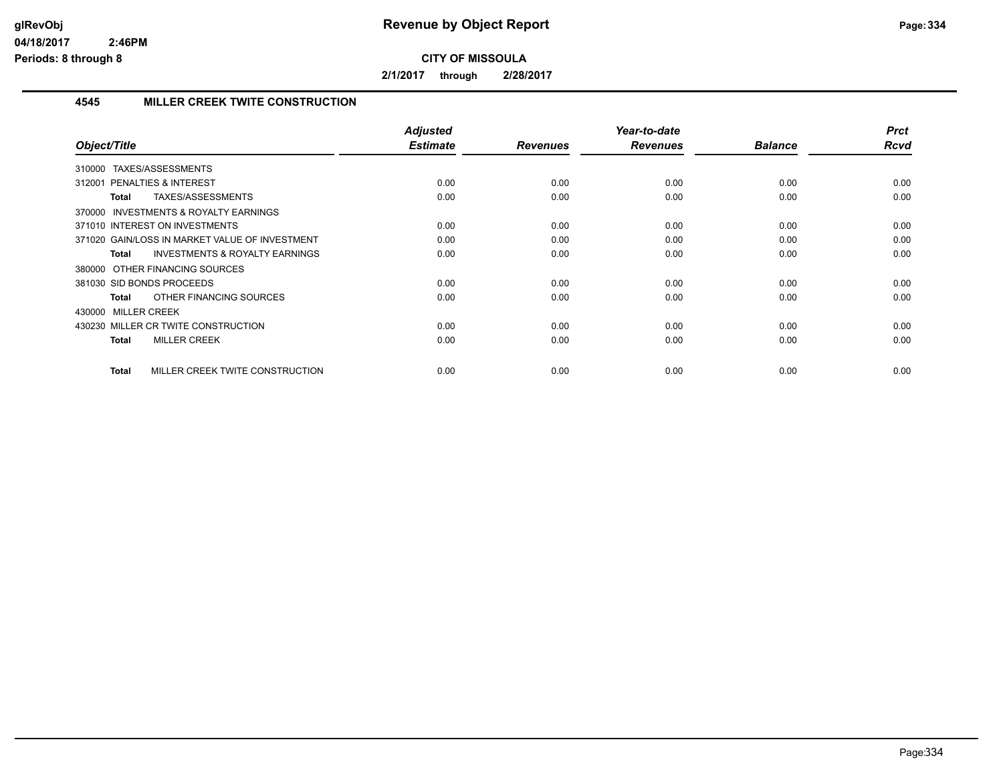**2/1/2017 through 2/28/2017**

## **4545 MILLER CREEK TWITE CONSTRUCTION**

| Object/Title                                       | <b>Adjusted</b><br><b>Estimate</b> | <b>Revenues</b> | Year-to-date<br><b>Revenues</b> | <b>Balance</b> | <b>Prct</b><br><b>Rcvd</b> |
|----------------------------------------------------|------------------------------------|-----------------|---------------------------------|----------------|----------------------------|
|                                                    |                                    |                 |                                 |                |                            |
| TAXES/ASSESSMENTS<br>310000                        |                                    |                 |                                 |                |                            |
| 312001 PENALTIES & INTEREST                        | 0.00                               | 0.00            | 0.00                            | 0.00           | 0.00                       |
| TAXES/ASSESSMENTS<br><b>Total</b>                  | 0.00                               | 0.00            | 0.00                            | 0.00           | 0.00                       |
| INVESTMENTS & ROYALTY EARNINGS<br>370000           |                                    |                 |                                 |                |                            |
| 371010 INTEREST ON INVESTMENTS                     | 0.00                               | 0.00            | 0.00                            | 0.00           | 0.00                       |
| 371020 GAIN/LOSS IN MARKET VALUE OF INVESTMENT     | 0.00                               | 0.00            | 0.00                            | 0.00           | 0.00                       |
| <b>INVESTMENTS &amp; ROYALTY EARNINGS</b><br>Total | 0.00                               | 0.00            | 0.00                            | 0.00           | 0.00                       |
| 380000 OTHER FINANCING SOURCES                     |                                    |                 |                                 |                |                            |
| 381030 SID BONDS PROCEEDS                          | 0.00                               | 0.00            | 0.00                            | 0.00           | 0.00                       |
| OTHER FINANCING SOURCES<br><b>Total</b>            | 0.00                               | 0.00            | 0.00                            | 0.00           | 0.00                       |
| 430000 MILLER CREEK                                |                                    |                 |                                 |                |                            |
| 430230 MILLER CR TWITE CONSTRUCTION                | 0.00                               | 0.00            | 0.00                            | 0.00           | 0.00                       |
| <b>MILLER CREEK</b><br><b>Total</b>                | 0.00                               | 0.00            | 0.00                            | 0.00           | 0.00                       |
|                                                    |                                    |                 |                                 |                |                            |
| MILLER CREEK TWITE CONSTRUCTION<br><b>Total</b>    | 0.00                               | 0.00            | 0.00                            | 0.00           | 0.00                       |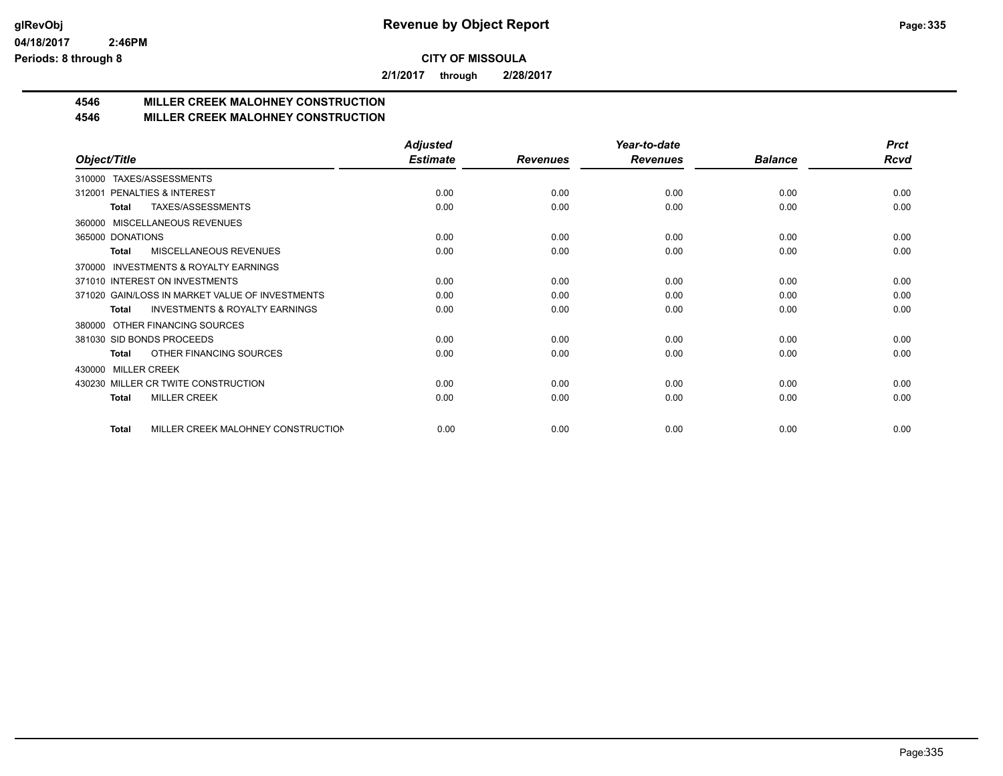**2/1/2017 through 2/28/2017**

## **4546 MILLER CREEK MALOHNEY CONSTRUCTION 4546 MILLER CREEK MALOHNEY CONSTRUCTION**

|                                                           | <b>Adjusted</b> |                 | Year-to-date    |                | <b>Prct</b> |
|-----------------------------------------------------------|-----------------|-----------------|-----------------|----------------|-------------|
| Object/Title                                              | <b>Estimate</b> | <b>Revenues</b> | <b>Revenues</b> | <b>Balance</b> | <b>Rcvd</b> |
| TAXES/ASSESSMENTS<br>310000                               |                 |                 |                 |                |             |
| PENALTIES & INTEREST<br>312001                            | 0.00            | 0.00            | 0.00            | 0.00           | 0.00        |
| TAXES/ASSESSMENTS<br><b>Total</b>                         | 0.00            | 0.00            | 0.00            | 0.00           | 0.00        |
| <b>MISCELLANEOUS REVENUES</b><br>360000                   |                 |                 |                 |                |             |
| 365000 DONATIONS                                          | 0.00            | 0.00            | 0.00            | 0.00           | 0.00        |
| MISCELLANEOUS REVENUES<br><b>Total</b>                    | 0.00            | 0.00            | 0.00            | 0.00           | 0.00        |
| <b>INVESTMENTS &amp; ROYALTY EARNINGS</b><br>370000       |                 |                 |                 |                |             |
| 371010 INTEREST ON INVESTMENTS                            | 0.00            | 0.00            | 0.00            | 0.00           | 0.00        |
| 371020 GAIN/LOSS IN MARKET VALUE OF INVESTMENTS           | 0.00            | 0.00            | 0.00            | 0.00           | 0.00        |
| <b>INVESTMENTS &amp; ROYALTY EARNINGS</b><br><b>Total</b> | 0.00            | 0.00            | 0.00            | 0.00           | 0.00        |
| OTHER FINANCING SOURCES<br>380000                         |                 |                 |                 |                |             |
| 381030 SID BONDS PROCEEDS                                 | 0.00            | 0.00            | 0.00            | 0.00           | 0.00        |
| OTHER FINANCING SOURCES<br>Total                          | 0.00            | 0.00            | 0.00            | 0.00           | 0.00        |
| <b>MILLER CREEK</b><br>430000                             |                 |                 |                 |                |             |
| 430230 MILLER CR TWITE CONSTRUCTION                       | 0.00            | 0.00            | 0.00            | 0.00           | 0.00        |
| <b>MILLER CREEK</b><br><b>Total</b>                       | 0.00            | 0.00            | 0.00            | 0.00           | 0.00        |
| MILLER CREEK MALOHNEY CONSTRUCTION<br><b>Total</b>        | 0.00            | 0.00            | 0.00            | 0.00           | 0.00        |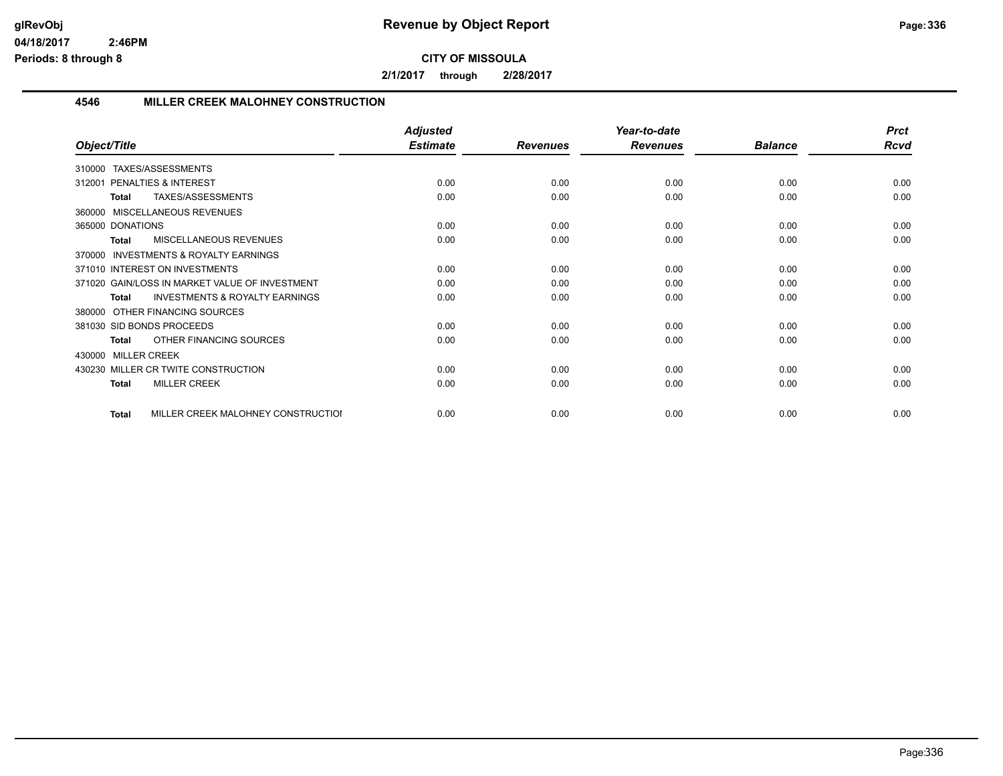**2/1/2017 through 2/28/2017**

### **4546 MILLER CREEK MALOHNEY CONSTRUCTION**

|                                                           | <b>Adjusted</b> |                 | Year-to-date    |                | <b>Prct</b> |
|-----------------------------------------------------------|-----------------|-----------------|-----------------|----------------|-------------|
| Object/Title                                              | <b>Estimate</b> | <b>Revenues</b> | <b>Revenues</b> | <b>Balance</b> | <b>Rcvd</b> |
| 310000 TAXES/ASSESSMENTS                                  |                 |                 |                 |                |             |
| PENALTIES & INTEREST<br>312001                            | 0.00            | 0.00            | 0.00            | 0.00           | 0.00        |
| <b>TAXES/ASSESSMENTS</b><br><b>Total</b>                  | 0.00            | 0.00            | 0.00            | 0.00           | 0.00        |
| 360000 MISCELLANEOUS REVENUES                             |                 |                 |                 |                |             |
| 365000 DONATIONS                                          | 0.00            | 0.00            | 0.00            | 0.00           | 0.00        |
| <b>MISCELLANEOUS REVENUES</b><br><b>Total</b>             | 0.00            | 0.00            | 0.00            | 0.00           | 0.00        |
| 370000 INVESTMENTS & ROYALTY EARNINGS                     |                 |                 |                 |                |             |
| 371010 INTEREST ON INVESTMENTS                            | 0.00            | 0.00            | 0.00            | 0.00           | 0.00        |
| 371020 GAIN/LOSS IN MARKET VALUE OF INVESTMENT            | 0.00            | 0.00            | 0.00            | 0.00           | 0.00        |
| <b>INVESTMENTS &amp; ROYALTY EARNINGS</b><br><b>Total</b> | 0.00            | 0.00            | 0.00            | 0.00           | 0.00        |
| 380000 OTHER FINANCING SOURCES                            |                 |                 |                 |                |             |
| 381030 SID BONDS PROCEEDS                                 | 0.00            | 0.00            | 0.00            | 0.00           | 0.00        |
| OTHER FINANCING SOURCES<br><b>Total</b>                   | 0.00            | 0.00            | 0.00            | 0.00           | 0.00        |
| 430000 MILLER CREEK                                       |                 |                 |                 |                |             |
| 430230 MILLER CR TWITE CONSTRUCTION                       | 0.00            | 0.00            | 0.00            | 0.00           | 0.00        |
| <b>MILLER CREEK</b><br><b>Total</b>                       | 0.00            | 0.00            | 0.00            | 0.00           | 0.00        |
|                                                           |                 |                 |                 |                |             |
| MILLER CREEK MALOHNEY CONSTRUCTION<br><b>Total</b>        | 0.00            | 0.00            | 0.00            | 0.00           | 0.00        |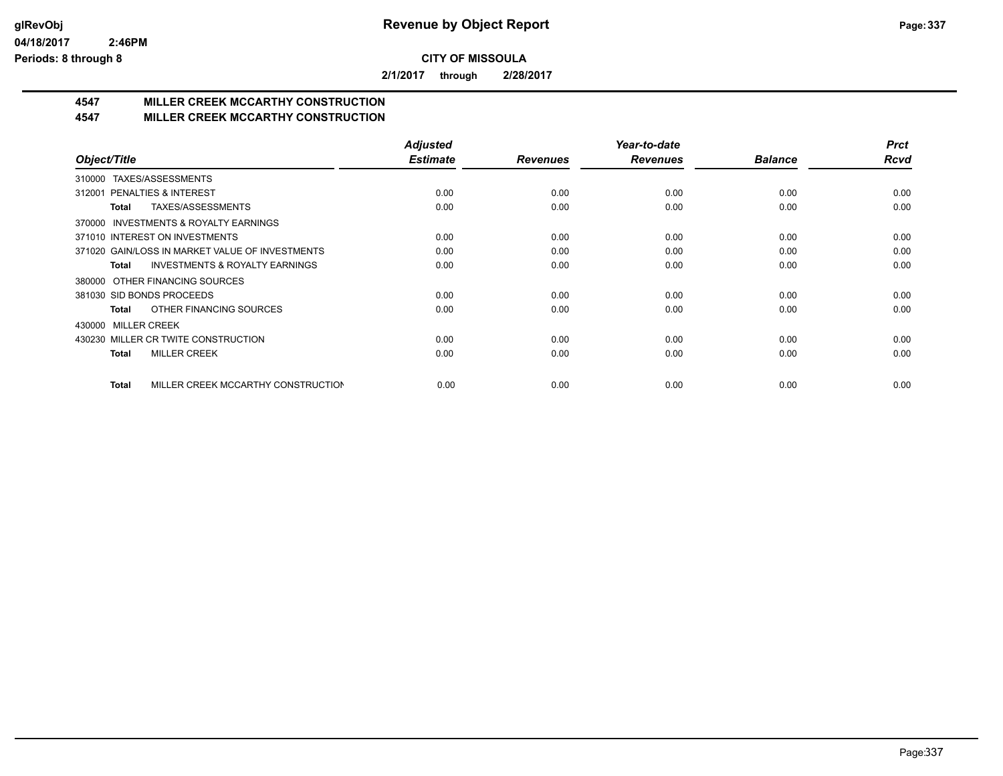**2/1/2017 through 2/28/2017**

## **4547 MILLER CREEK MCCARTHY CONSTRUCTION 4547 MILLER CREEK MCCARTHY CONSTRUCTION**

|                                                     | <b>Adjusted</b> |                 | Year-to-date    |                | <b>Prct</b> |
|-----------------------------------------------------|-----------------|-----------------|-----------------|----------------|-------------|
| Object/Title                                        | <b>Estimate</b> | <b>Revenues</b> | <b>Revenues</b> | <b>Balance</b> | Rcvd        |
| TAXES/ASSESSMENTS<br>310000                         |                 |                 |                 |                |             |
| PENALTIES & INTEREST<br>312001                      | 0.00            | 0.00            | 0.00            | 0.00           | 0.00        |
| TAXES/ASSESSMENTS<br>Total                          | 0.00            | 0.00            | 0.00            | 0.00           | 0.00        |
| <b>INVESTMENTS &amp; ROYALTY EARNINGS</b><br>370000 |                 |                 |                 |                |             |
| 371010 INTEREST ON INVESTMENTS                      | 0.00            | 0.00            | 0.00            | 0.00           | 0.00        |
| 371020 GAIN/LOSS IN MARKET VALUE OF INVESTMENTS     | 0.00            | 0.00            | 0.00            | 0.00           | 0.00        |
| <b>INVESTMENTS &amp; ROYALTY EARNINGS</b><br>Total  | 0.00            | 0.00            | 0.00            | 0.00           | 0.00        |
| 380000 OTHER FINANCING SOURCES                      |                 |                 |                 |                |             |
| 381030 SID BONDS PROCEEDS                           | 0.00            | 0.00            | 0.00            | 0.00           | 0.00        |
| OTHER FINANCING SOURCES<br>Total                    | 0.00            | 0.00            | 0.00            | 0.00           | 0.00        |
| <b>MILLER CREEK</b><br>430000                       |                 |                 |                 |                |             |
| 430230 MILLER CR TWITE CONSTRUCTION                 | 0.00            | 0.00            | 0.00            | 0.00           | 0.00        |
| <b>MILLER CREEK</b><br>Total                        | 0.00            | 0.00            | 0.00            | 0.00           | 0.00        |
|                                                     |                 |                 |                 |                |             |
| MILLER CREEK MCCARTHY CONSTRUCTION<br>Total         | 0.00            | 0.00            | 0.00            | 0.00           | 0.00        |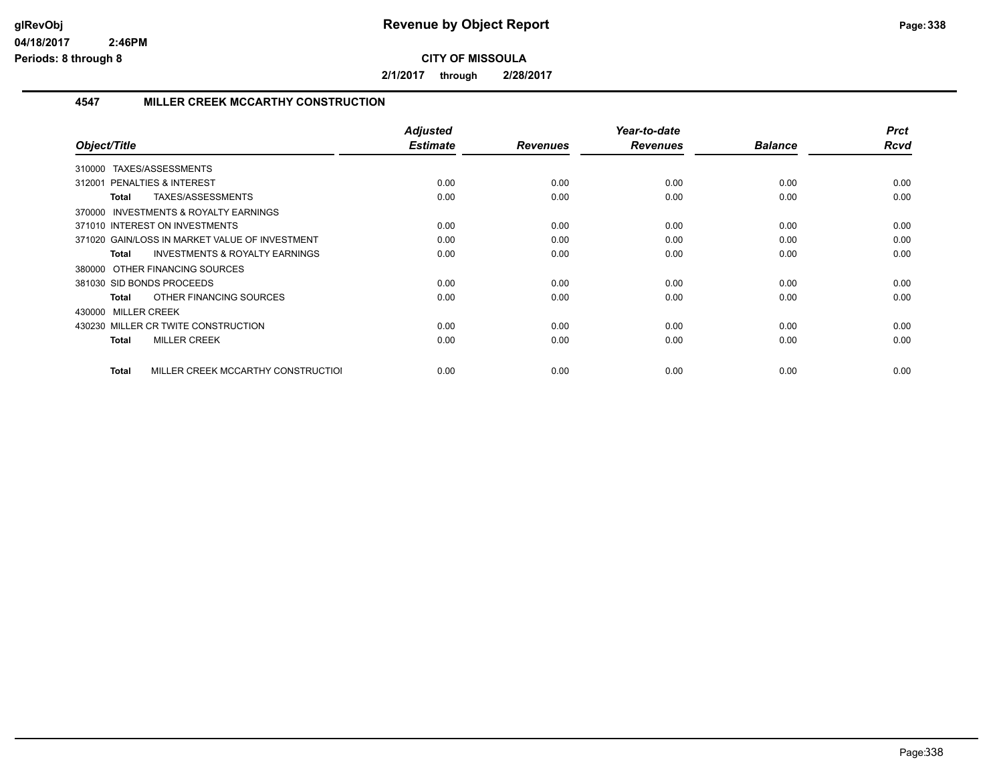**2/1/2017 through 2/28/2017**

### **4547 MILLER CREEK MCCARTHY CONSTRUCTION**

| Object/Title                                              | <b>Adjusted</b><br><b>Estimate</b> | <b>Revenues</b> | Year-to-date<br><b>Revenues</b> | <b>Balance</b> | <b>Prct</b><br><b>Rcvd</b> |
|-----------------------------------------------------------|------------------------------------|-----------------|---------------------------------|----------------|----------------------------|
| TAXES/ASSESSMENTS<br>310000                               |                                    |                 |                                 |                |                            |
| 312001 PENALTIES & INTEREST                               | 0.00                               | 0.00            | 0.00                            | 0.00           | 0.00                       |
| TAXES/ASSESSMENTS<br><b>Total</b>                         | 0.00                               | 0.00            | 0.00                            | 0.00           | 0.00                       |
| INVESTMENTS & ROYALTY EARNINGS<br>370000                  |                                    |                 |                                 |                |                            |
| 371010 INTEREST ON INVESTMENTS                            | 0.00                               | 0.00            | 0.00                            | 0.00           | 0.00                       |
| 371020 GAIN/LOSS IN MARKET VALUE OF INVESTMENT            | 0.00                               | 0.00            | 0.00                            | 0.00           | 0.00                       |
| <b>INVESTMENTS &amp; ROYALTY EARNINGS</b><br><b>Total</b> | 0.00                               | 0.00            | 0.00                            | 0.00           | 0.00                       |
| 380000 OTHER FINANCING SOURCES                            |                                    |                 |                                 |                |                            |
| 381030 SID BONDS PROCEEDS                                 | 0.00                               | 0.00            | 0.00                            | 0.00           | 0.00                       |
| OTHER FINANCING SOURCES<br>Total                          | 0.00                               | 0.00            | 0.00                            | 0.00           | 0.00                       |
| 430000 MILLER CREEK                                       |                                    |                 |                                 |                |                            |
| 430230 MILLER CR TWITE CONSTRUCTION                       | 0.00                               | 0.00            | 0.00                            | 0.00           | 0.00                       |
| <b>MILLER CREEK</b><br><b>Total</b>                       | 0.00                               | 0.00            | 0.00                            | 0.00           | 0.00                       |
| MILLER CREEK MCCARTHY CONSTRUCTIOL<br><b>Total</b>        | 0.00                               | 0.00            | 0.00                            | 0.00           | 0.00                       |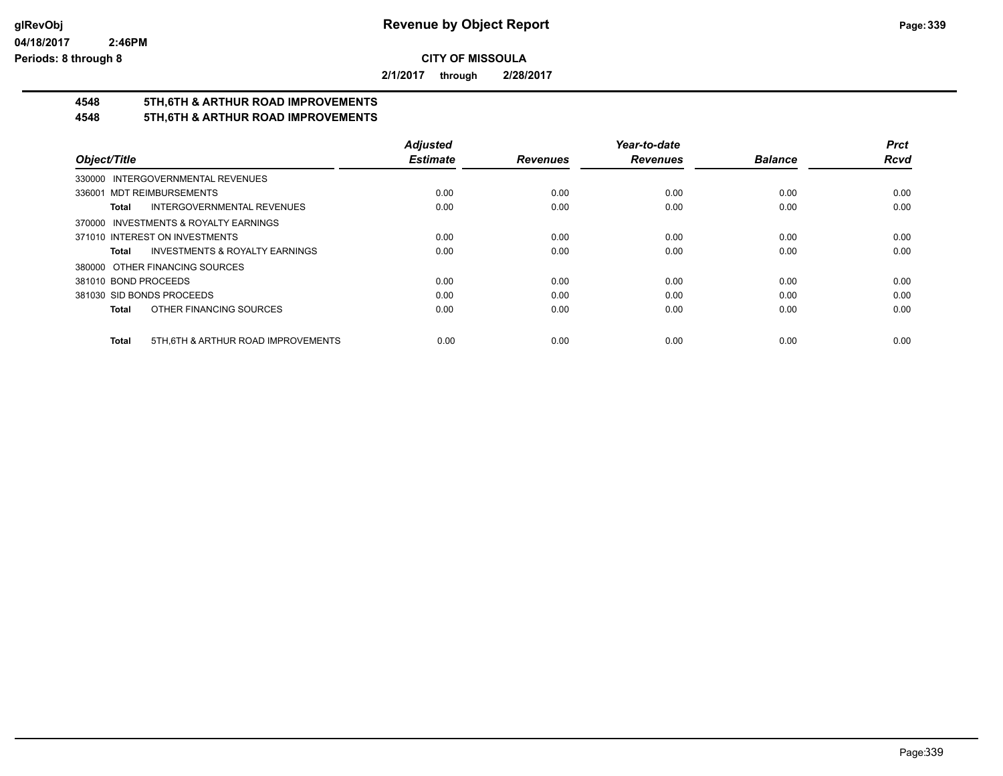**2/1/2017 through 2/28/2017**

## **4548 5TH,6TH & ARTHUR ROAD IMPROVEMENTS 4548 5TH,6TH & ARTHUR ROAD IMPROVEMENTS**

|                                                     | <b>Adjusted</b> |                 | Year-to-date    |                | <b>Prct</b> |
|-----------------------------------------------------|-----------------|-----------------|-----------------|----------------|-------------|
| Object/Title                                        | <b>Estimate</b> | <b>Revenues</b> | <b>Revenues</b> | <b>Balance</b> | <b>Rcvd</b> |
| 330000 INTERGOVERNMENTAL REVENUES                   |                 |                 |                 |                |             |
| 336001 MDT REIMBURSEMENTS                           | 0.00            | 0.00            | 0.00            | 0.00           | 0.00        |
| INTERGOVERNMENTAL REVENUES<br>Total                 | 0.00            | 0.00            | 0.00            | 0.00           | 0.00        |
| INVESTMENTS & ROYALTY EARNINGS<br>370000            |                 |                 |                 |                |             |
| 371010 INTEREST ON INVESTMENTS                      | 0.00            | 0.00            | 0.00            | 0.00           | 0.00        |
| <b>INVESTMENTS &amp; ROYALTY EARNINGS</b><br>Total  | 0.00            | 0.00            | 0.00            | 0.00           | 0.00        |
| OTHER FINANCING SOURCES<br>380000                   |                 |                 |                 |                |             |
| 381010 BOND PROCEEDS                                | 0.00            | 0.00            | 0.00            | 0.00           | 0.00        |
| 381030 SID BONDS PROCEEDS                           | 0.00            | 0.00            | 0.00            | 0.00           | 0.00        |
| OTHER FINANCING SOURCES<br>Total                    | 0.00            | 0.00            | 0.00            | 0.00           | 0.00        |
| 5TH, 6TH & ARTHUR ROAD IMPROVEMENTS<br><b>Total</b> | 0.00            | 0.00            | 0.00            | 0.00           | 0.00        |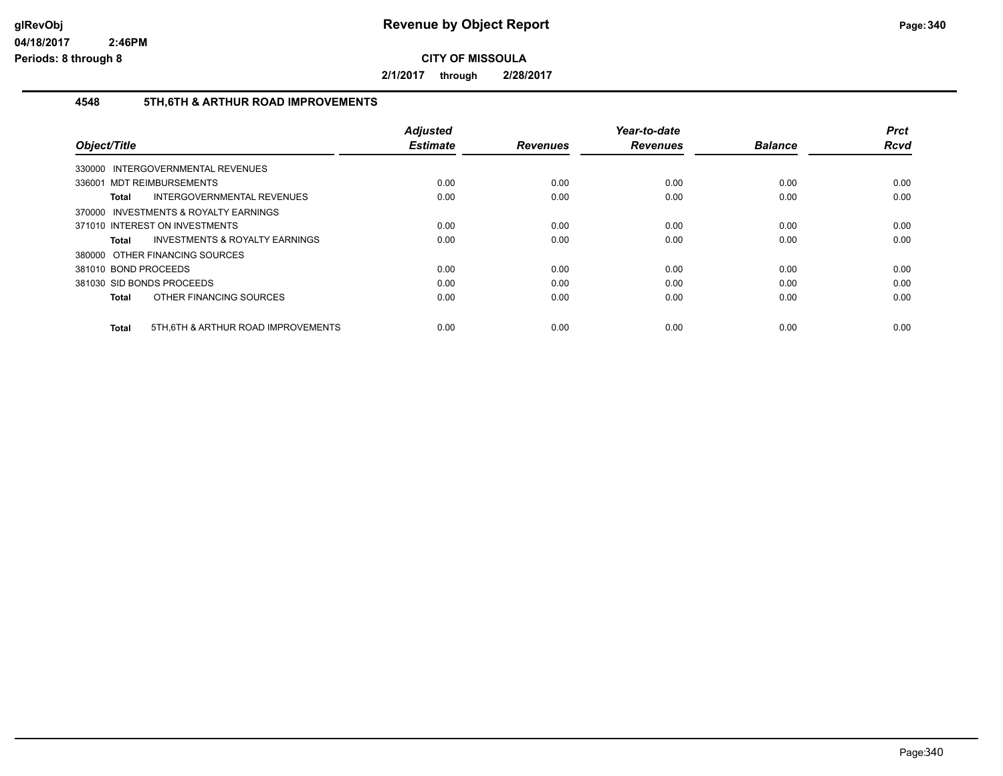**2/1/2017 through 2/28/2017**

#### **4548 5TH,6TH & ARTHUR ROAD IMPROVEMENTS**

|                                                     | <b>Adjusted</b> |                 | Year-to-date    |                | <b>Prct</b> |
|-----------------------------------------------------|-----------------|-----------------|-----------------|----------------|-------------|
| Object/Title                                        | <b>Estimate</b> | <b>Revenues</b> | <b>Revenues</b> | <b>Balance</b> | <b>Rcvd</b> |
| INTERGOVERNMENTAL REVENUES<br>330000                |                 |                 |                 |                |             |
| 336001 MDT REIMBURSEMENTS                           | 0.00            | 0.00            | 0.00            | 0.00           | 0.00        |
| INTERGOVERNMENTAL REVENUES<br><b>Total</b>          | 0.00            | 0.00            | 0.00            | 0.00           | 0.00        |
| 370000 INVESTMENTS & ROYALTY EARNINGS               |                 |                 |                 |                |             |
| 371010 INTEREST ON INVESTMENTS                      | 0.00            | 0.00            | 0.00            | 0.00           | 0.00        |
| INVESTMENTS & ROYALTY EARNINGS<br>Total             | 0.00            | 0.00            | 0.00            | 0.00           | 0.00        |
| 380000 OTHER FINANCING SOURCES                      |                 |                 |                 |                |             |
| 381010 BOND PROCEEDS                                | 0.00            | 0.00            | 0.00            | 0.00           | 0.00        |
| 381030 SID BONDS PROCEEDS                           | 0.00            | 0.00            | 0.00            | 0.00           | 0.00        |
| OTHER FINANCING SOURCES<br>Total                    | 0.00            | 0.00            | 0.00            | 0.00           | 0.00        |
| 5TH, 6TH & ARTHUR ROAD IMPROVEMENTS<br><b>Total</b> | 0.00            | 0.00            | 0.00            | 0.00           | 0.00        |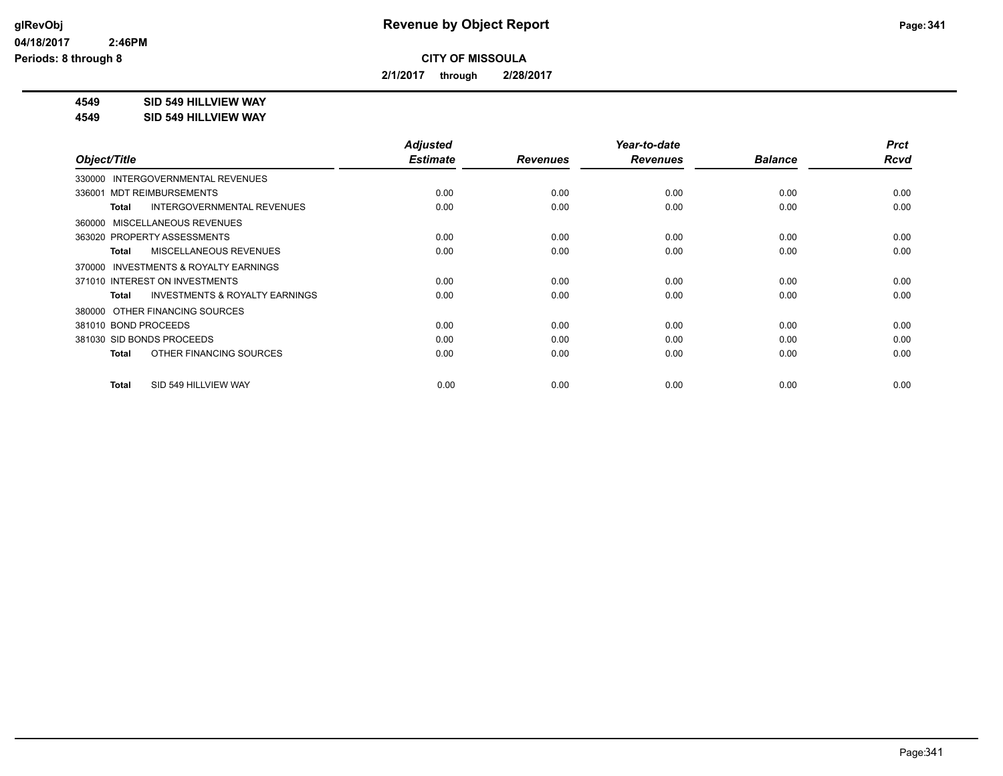**2/1/2017 through 2/28/2017**

**4549 SID 549 HILLVIEW WAY**

| SID 549 HILLVIEW WAY<br>4549 |
|------------------------------|
|------------------------------|

|                                                    | <b>Adjusted</b> |                 | Year-to-date    |                | <b>Prct</b> |
|----------------------------------------------------|-----------------|-----------------|-----------------|----------------|-------------|
| Object/Title                                       | <b>Estimate</b> | <b>Revenues</b> | <b>Revenues</b> | <b>Balance</b> | <b>Rcvd</b> |
| 330000 INTERGOVERNMENTAL REVENUES                  |                 |                 |                 |                |             |
| 336001 MDT REIMBURSEMENTS                          | 0.00            | 0.00            | 0.00            | 0.00           | 0.00        |
| <b>INTERGOVERNMENTAL REVENUES</b><br><b>Total</b>  | 0.00            | 0.00            | 0.00            | 0.00           | 0.00        |
| 360000 MISCELLANEOUS REVENUES                      |                 |                 |                 |                |             |
| 363020 PROPERTY ASSESSMENTS                        | 0.00            | 0.00            | 0.00            | 0.00           | 0.00        |
| MISCELLANEOUS REVENUES<br>Total                    | 0.00            | 0.00            | 0.00            | 0.00           | 0.00        |
| 370000 INVESTMENTS & ROYALTY EARNINGS              |                 |                 |                 |                |             |
| 371010 INTEREST ON INVESTMENTS                     | 0.00            | 0.00            | 0.00            | 0.00           | 0.00        |
| <b>INVESTMENTS &amp; ROYALTY EARNINGS</b><br>Total | 0.00            | 0.00            | 0.00            | 0.00           | 0.00        |
| 380000 OTHER FINANCING SOURCES                     |                 |                 |                 |                |             |
| 381010 BOND PROCEEDS                               | 0.00            | 0.00            | 0.00            | 0.00           | 0.00        |
| 381030 SID BONDS PROCEEDS                          | 0.00            | 0.00            | 0.00            | 0.00           | 0.00        |
| OTHER FINANCING SOURCES<br>Total                   | 0.00            | 0.00            | 0.00            | 0.00           | 0.00        |
|                                                    |                 |                 |                 |                |             |
| SID 549 HILLVIEW WAY<br><b>Total</b>               | 0.00            | 0.00            | 0.00            | 0.00           | 0.00        |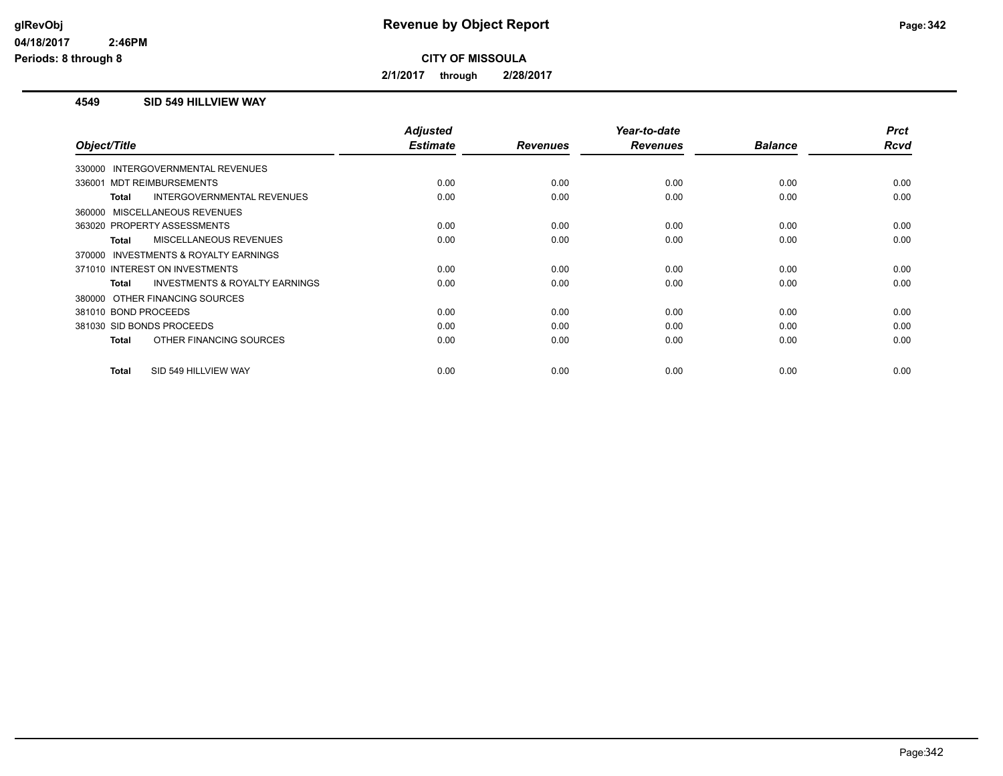**2/1/2017 through 2/28/2017**

#### **4549 SID 549 HILLVIEW WAY**

|                                                           | <b>Adjusted</b> |                 | Year-to-date    |                | <b>Prct</b> |
|-----------------------------------------------------------|-----------------|-----------------|-----------------|----------------|-------------|
| Object/Title                                              | <b>Estimate</b> | <b>Revenues</b> | <b>Revenues</b> | <b>Balance</b> | <b>Rcvd</b> |
| 330000 INTERGOVERNMENTAL REVENUES                         |                 |                 |                 |                |             |
| 336001 MDT REIMBURSEMENTS                                 | 0.00            | 0.00            | 0.00            | 0.00           | 0.00        |
| INTERGOVERNMENTAL REVENUES<br><b>Total</b>                | 0.00            | 0.00            | 0.00            | 0.00           | 0.00        |
| 360000 MISCELLANEOUS REVENUES                             |                 |                 |                 |                |             |
| 363020 PROPERTY ASSESSMENTS                               | 0.00            | 0.00            | 0.00            | 0.00           | 0.00        |
| MISCELLANEOUS REVENUES<br><b>Total</b>                    | 0.00            | 0.00            | 0.00            | 0.00           | 0.00        |
| 370000 INVESTMENTS & ROYALTY EARNINGS                     |                 |                 |                 |                |             |
| 371010 INTEREST ON INVESTMENTS                            | 0.00            | 0.00            | 0.00            | 0.00           | 0.00        |
| <b>INVESTMENTS &amp; ROYALTY EARNINGS</b><br><b>Total</b> | 0.00            | 0.00            | 0.00            | 0.00           | 0.00        |
| 380000 OTHER FINANCING SOURCES                            |                 |                 |                 |                |             |
| 381010 BOND PROCEEDS                                      | 0.00            | 0.00            | 0.00            | 0.00           | 0.00        |
| 381030 SID BONDS PROCEEDS                                 | 0.00            | 0.00            | 0.00            | 0.00           | 0.00        |
| OTHER FINANCING SOURCES<br><b>Total</b>                   | 0.00            | 0.00            | 0.00            | 0.00           | 0.00        |
|                                                           |                 |                 |                 |                |             |
| SID 549 HILLVIEW WAY<br><b>Total</b>                      | 0.00            | 0.00            | 0.00            | 0.00           | 0.00        |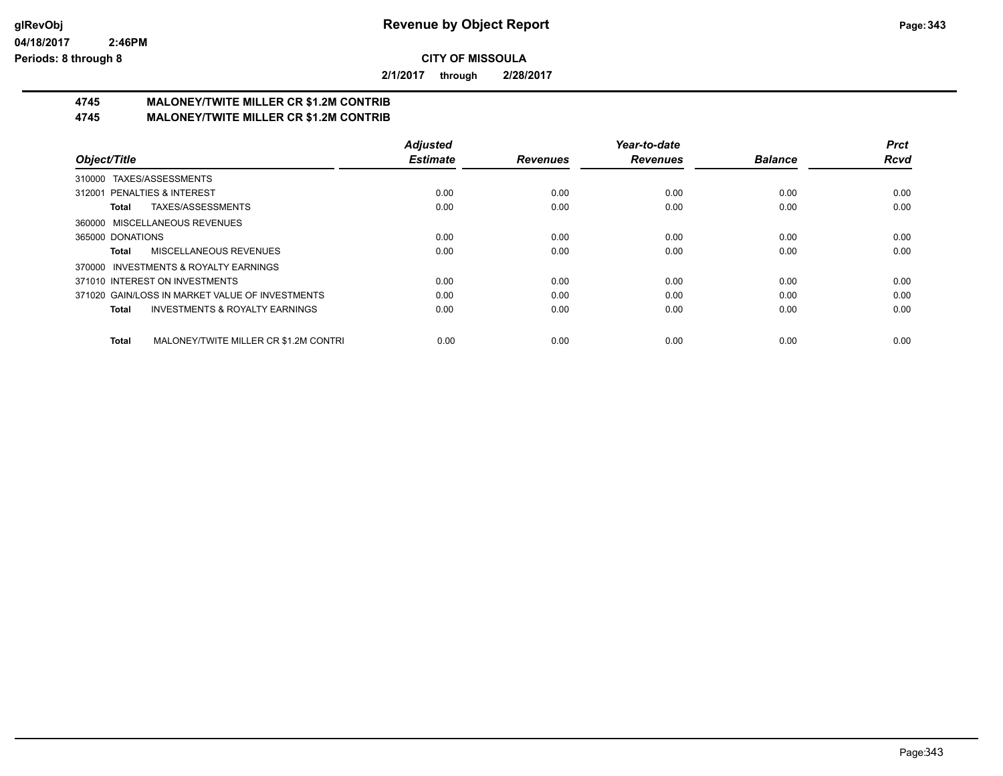**2/1/2017 through 2/28/2017**

## **4745 MALONEY/TWITE MILLER CR \$1.2M CONTRIB 4745 MALONEY/TWITE MILLER CR \$1.2M CONTRIB**

| Object/Title                                          | <b>Adjusted</b><br><b>Estimate</b> | <b>Revenues</b> | Year-to-date<br><b>Revenues</b> | <b>Balance</b> | <b>Prct</b><br><b>Rcvd</b> |
|-------------------------------------------------------|------------------------------------|-----------------|---------------------------------|----------------|----------------------------|
| TAXES/ASSESSMENTS<br>310000                           |                                    |                 |                                 |                |                            |
| 312001 PENALTIES & INTEREST                           | 0.00                               | 0.00            | 0.00                            | 0.00           | 0.00                       |
| TAXES/ASSESSMENTS<br>Total                            | 0.00                               | 0.00            | 0.00                            | 0.00           | 0.00                       |
| 360000 MISCELLANEOUS REVENUES                         |                                    |                 |                                 |                |                            |
| 365000 DONATIONS                                      | 0.00                               | 0.00            | 0.00                            | 0.00           | 0.00                       |
| MISCELLANEOUS REVENUES<br>Total                       | 0.00                               | 0.00            | 0.00                            | 0.00           | 0.00                       |
| INVESTMENTS & ROYALTY EARNINGS<br>370000              |                                    |                 |                                 |                |                            |
| 371010 INTEREST ON INVESTMENTS                        | 0.00                               | 0.00            | 0.00                            | 0.00           | 0.00                       |
| 371020 GAIN/LOSS IN MARKET VALUE OF INVESTMENTS       | 0.00                               | 0.00            | 0.00                            | 0.00           | 0.00                       |
| INVESTMENTS & ROYALTY EARNINGS<br>Total               | 0.00                               | 0.00            | 0.00                            | 0.00           | 0.00                       |
| MALONEY/TWITE MILLER CR \$1.2M CONTRI<br><b>Total</b> | 0.00                               | 0.00            | 0.00                            | 0.00           | 0.00                       |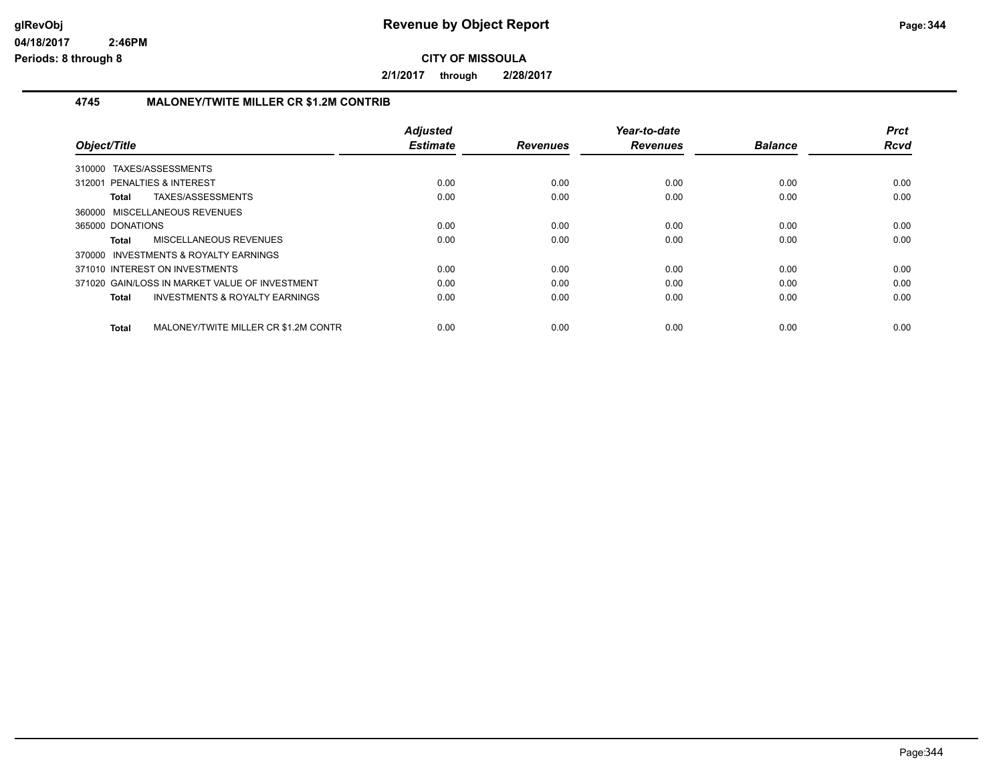**2/1/2017 through 2/28/2017**

#### **4745 MALONEY/TWITE MILLER CR \$1.2M CONTRIB**

| Object/Title                                              | <b>Adjusted</b><br><b>Estimate</b> | <b>Revenues</b> | Year-to-date<br><b>Revenues</b> | <b>Balance</b> | <b>Prct</b><br><b>Rcvd</b> |
|-----------------------------------------------------------|------------------------------------|-----------------|---------------------------------|----------------|----------------------------|
|                                                           |                                    |                 |                                 |                |                            |
| 310000 TAXES/ASSESSMENTS                                  |                                    |                 |                                 |                |                            |
| 312001 PENALTIES & INTEREST                               | 0.00                               | 0.00            | 0.00                            | 0.00           | 0.00                       |
| TAXES/ASSESSMENTS<br>Total                                | 0.00                               | 0.00            | 0.00                            | 0.00           | 0.00                       |
| 360000 MISCELLANEOUS REVENUES                             |                                    |                 |                                 |                |                            |
| 365000 DONATIONS                                          | 0.00                               | 0.00            | 0.00                            | 0.00           | 0.00                       |
| MISCELLANEOUS REVENUES<br>Total                           | 0.00                               | 0.00            | 0.00                            | 0.00           | 0.00                       |
| 370000 INVESTMENTS & ROYALTY EARNINGS                     |                                    |                 |                                 |                |                            |
| 371010 INTEREST ON INVESTMENTS                            | 0.00                               | 0.00            | 0.00                            | 0.00           | 0.00                       |
| 371020 GAIN/LOSS IN MARKET VALUE OF INVESTMENT            | 0.00                               | 0.00            | 0.00                            | 0.00           | 0.00                       |
| <b>INVESTMENTS &amp; ROYALTY EARNINGS</b><br><b>Total</b> | 0.00                               | 0.00            | 0.00                            | 0.00           | 0.00                       |
| MALONEY/TWITE MILLER CR \$1.2M CONTR<br><b>Total</b>      | 0.00                               | 0.00            | 0.00                            | 0.00           | 0.00                       |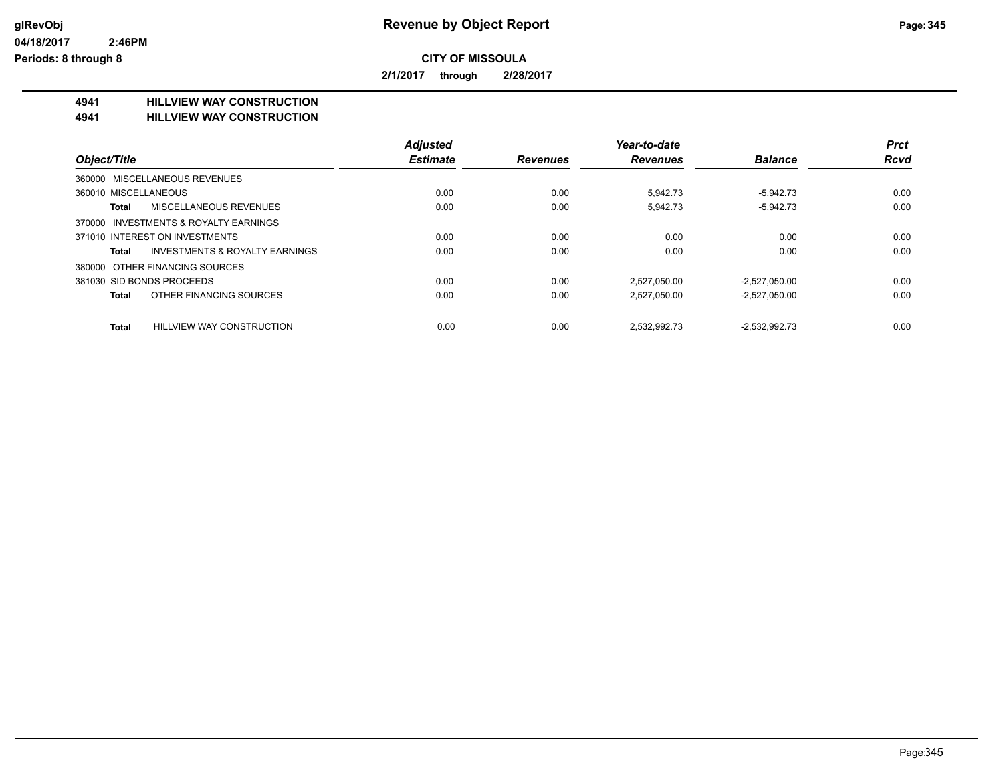**2/1/2017 through 2/28/2017**

**4941 HILLVIEW WAY CONSTRUCTION**

**4941 HILLVIEW WAY CONSTRUCTION**

|                                           | <b>Adjusted</b> |                 | Year-to-date    |                 | <b>Prct</b> |
|-------------------------------------------|-----------------|-----------------|-----------------|-----------------|-------------|
| Object/Title                              | <b>Estimate</b> | <b>Revenues</b> | <b>Revenues</b> | <b>Balance</b>  | <b>Rcvd</b> |
| 360000 MISCELLANEOUS REVENUES             |                 |                 |                 |                 |             |
| 360010 MISCELLANEOUS                      | 0.00            | 0.00            | 5.942.73        | $-5.942.73$     | 0.00        |
| MISCELLANEOUS REVENUES<br>Total           | 0.00            | 0.00            | 5.942.73        | $-5.942.73$     | 0.00        |
| 370000 INVESTMENTS & ROYALTY EARNINGS     |                 |                 |                 |                 |             |
| 371010 INTEREST ON INVESTMENTS            | 0.00            | 0.00            | 0.00            | 0.00            | 0.00        |
| INVESTMENTS & ROYALTY EARNINGS<br>Total   | 0.00            | 0.00            | 0.00            | 0.00            | 0.00        |
| 380000 OTHER FINANCING SOURCES            |                 |                 |                 |                 |             |
| 381030 SID BONDS PROCEEDS                 | 0.00            | 0.00            | 2.527.050.00    | $-2,527,050.00$ | 0.00        |
| OTHER FINANCING SOURCES<br>Total          | 0.00            | 0.00            | 2.527.050.00    | $-2.527.050.00$ | 0.00        |
|                                           |                 |                 |                 |                 |             |
| HILLVIEW WAY CONSTRUCTION<br><b>Total</b> | 0.00            | 0.00            | 2.532.992.73    | $-2.532.992.73$ | 0.00        |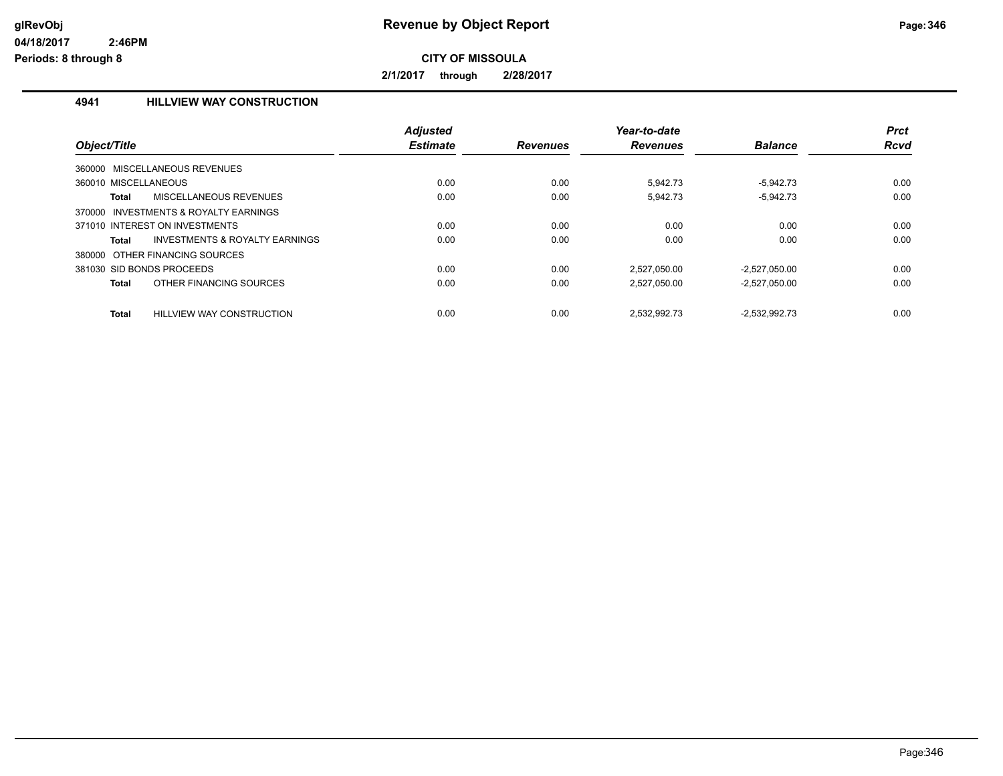**2/1/2017 through 2/28/2017**

#### **4941 HILLVIEW WAY CONSTRUCTION**

|                                                    | <b>Adjusted</b> |                 | Year-to-date    |                 | <b>Prct</b> |
|----------------------------------------------------|-----------------|-----------------|-----------------|-----------------|-------------|
| Object/Title                                       | <b>Estimate</b> | <b>Revenues</b> | <b>Revenues</b> | <b>Balance</b>  | Rcvd        |
| MISCELLANEOUS REVENUES<br>360000                   |                 |                 |                 |                 |             |
| 360010 MISCELLANEOUS                               | 0.00            | 0.00            | 5.942.73        | $-5.942.73$     | 0.00        |
| MISCELLANEOUS REVENUES<br>Total                    | 0.00            | 0.00            | 5.942.73        | $-5.942.73$     | 0.00        |
| INVESTMENTS & ROYALTY EARNINGS<br>370000           |                 |                 |                 |                 |             |
| 371010 INTEREST ON INVESTMENTS                     | 0.00            | 0.00            | 0.00            | 0.00            | 0.00        |
| <b>INVESTMENTS &amp; ROYALTY EARNINGS</b><br>Total | 0.00            | 0.00            | 0.00            | 0.00            | 0.00        |
| OTHER FINANCING SOURCES<br>380000                  |                 |                 |                 |                 |             |
| 381030 SID BONDS PROCEEDS                          | 0.00            | 0.00            | 2.527.050.00    | $-2.527.050.00$ | 0.00        |
| OTHER FINANCING SOURCES<br><b>Total</b>            | 0.00            | 0.00            | 2,527,050.00    | $-2,527,050.00$ | 0.00        |
| <b>HILLVIEW WAY CONSTRUCTION</b><br><b>Total</b>   | 0.00            | 0.00            | 2.532.992.73    | $-2.532.992.73$ | 0.00        |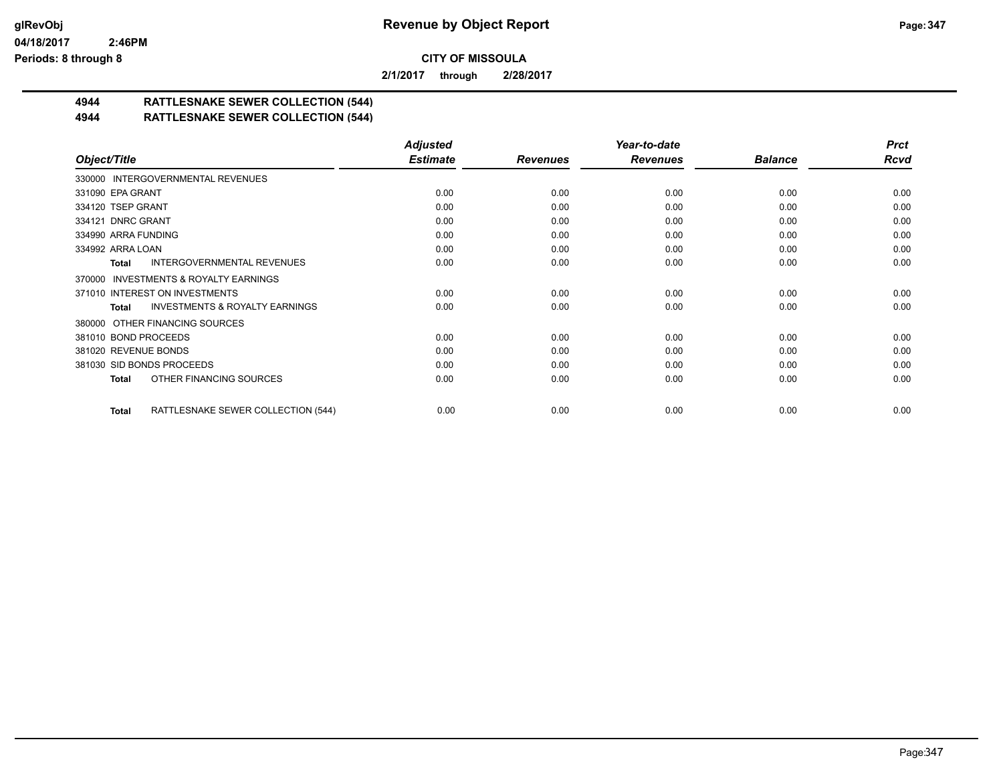**2/1/2017 through 2/28/2017**

## **4944 RATTLESNAKE SEWER COLLECTION (544) 4944 RATTLESNAKE SEWER COLLECTION (544)**

|                                                     | <b>Adjusted</b> |                 | Year-to-date    |                | <b>Prct</b> |
|-----------------------------------------------------|-----------------|-----------------|-----------------|----------------|-------------|
| Object/Title                                        | <b>Estimate</b> | <b>Revenues</b> | <b>Revenues</b> | <b>Balance</b> | Rcvd        |
| 330000 INTERGOVERNMENTAL REVENUES                   |                 |                 |                 |                |             |
| 331090 EPA GRANT                                    | 0.00            | 0.00            | 0.00            | 0.00           | 0.00        |
| 334120 TSEP GRANT                                   | 0.00            | 0.00            | 0.00            | 0.00           | 0.00        |
| 334121 DNRC GRANT                                   | 0.00            | 0.00            | 0.00            | 0.00           | 0.00        |
| 334990 ARRA FUNDING                                 | 0.00            | 0.00            | 0.00            | 0.00           | 0.00        |
| 334992 ARRA LOAN                                    | 0.00            | 0.00            | 0.00            | 0.00           | 0.00        |
| INTERGOVERNMENTAL REVENUES<br>Total                 | 0.00            | 0.00            | 0.00            | 0.00           | 0.00        |
| <b>INVESTMENTS &amp; ROYALTY EARNINGS</b><br>370000 |                 |                 |                 |                |             |
| 371010 INTEREST ON INVESTMENTS                      | 0.00            | 0.00            | 0.00            | 0.00           | 0.00        |
| <b>INVESTMENTS &amp; ROYALTY EARNINGS</b><br>Total  | 0.00            | 0.00            | 0.00            | 0.00           | 0.00        |
| 380000 OTHER FINANCING SOURCES                      |                 |                 |                 |                |             |
| 381010 BOND PROCEEDS                                | 0.00            | 0.00            | 0.00            | 0.00           | 0.00        |
| 381020 REVENUE BONDS                                | 0.00            | 0.00            | 0.00            | 0.00           | 0.00        |
| 381030 SID BONDS PROCEEDS                           | 0.00            | 0.00            | 0.00            | 0.00           | 0.00        |
| OTHER FINANCING SOURCES<br>Total                    | 0.00            | 0.00            | 0.00            | 0.00           | 0.00        |
| RATTLESNAKE SEWER COLLECTION (544)<br>Total         | 0.00            | 0.00            | 0.00            | 0.00           | 0.00        |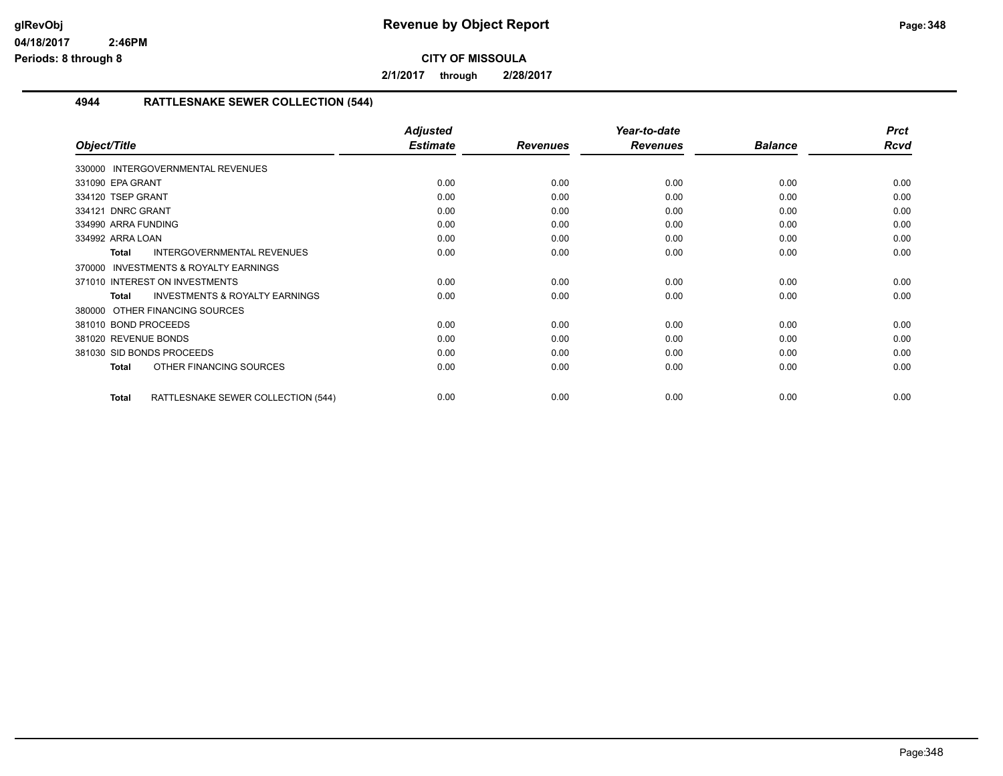**2/1/2017 through 2/28/2017**

## **4944 RATTLESNAKE SEWER COLLECTION (544)**

|                                                     | <b>Adjusted</b> |                 | Year-to-date    |                | <b>Prct</b> |
|-----------------------------------------------------|-----------------|-----------------|-----------------|----------------|-------------|
| Object/Title                                        | <b>Estimate</b> | <b>Revenues</b> | <b>Revenues</b> | <b>Balance</b> | <b>Rcvd</b> |
| 330000 INTERGOVERNMENTAL REVENUES                   |                 |                 |                 |                |             |
| 331090 EPA GRANT                                    | 0.00            | 0.00            | 0.00            | 0.00           | 0.00        |
| 334120 TSEP GRANT                                   | 0.00            | 0.00            | 0.00            | 0.00           | 0.00        |
| 334121 DNRC GRANT                                   | 0.00            | 0.00            | 0.00            | 0.00           | 0.00        |
| 334990 ARRA FUNDING                                 | 0.00            | 0.00            | 0.00            | 0.00           | 0.00        |
| 334992 ARRA LOAN                                    | 0.00            | 0.00            | 0.00            | 0.00           | 0.00        |
| <b>INTERGOVERNMENTAL REVENUES</b><br><b>Total</b>   | 0.00            | 0.00            | 0.00            | 0.00           | 0.00        |
| <b>INVESTMENTS &amp; ROYALTY EARNINGS</b><br>370000 |                 |                 |                 |                |             |
| 371010 INTEREST ON INVESTMENTS                      | 0.00            | 0.00            | 0.00            | 0.00           | 0.00        |
| <b>INVESTMENTS &amp; ROYALTY EARNINGS</b><br>Total  | 0.00            | 0.00            | 0.00            | 0.00           | 0.00        |
| 380000 OTHER FINANCING SOURCES                      |                 |                 |                 |                |             |
| 381010 BOND PROCEEDS                                | 0.00            | 0.00            | 0.00            | 0.00           | 0.00        |
| 381020 REVENUE BONDS                                | 0.00            | 0.00            | 0.00            | 0.00           | 0.00        |
| 381030 SID BONDS PROCEEDS                           | 0.00            | 0.00            | 0.00            | 0.00           | 0.00        |
| OTHER FINANCING SOURCES<br>Total                    | 0.00            | 0.00            | 0.00            | 0.00           | 0.00        |
|                                                     |                 |                 |                 |                |             |
| RATTLESNAKE SEWER COLLECTION (544)<br>Total         | 0.00            | 0.00            | 0.00            | 0.00           | 0.00        |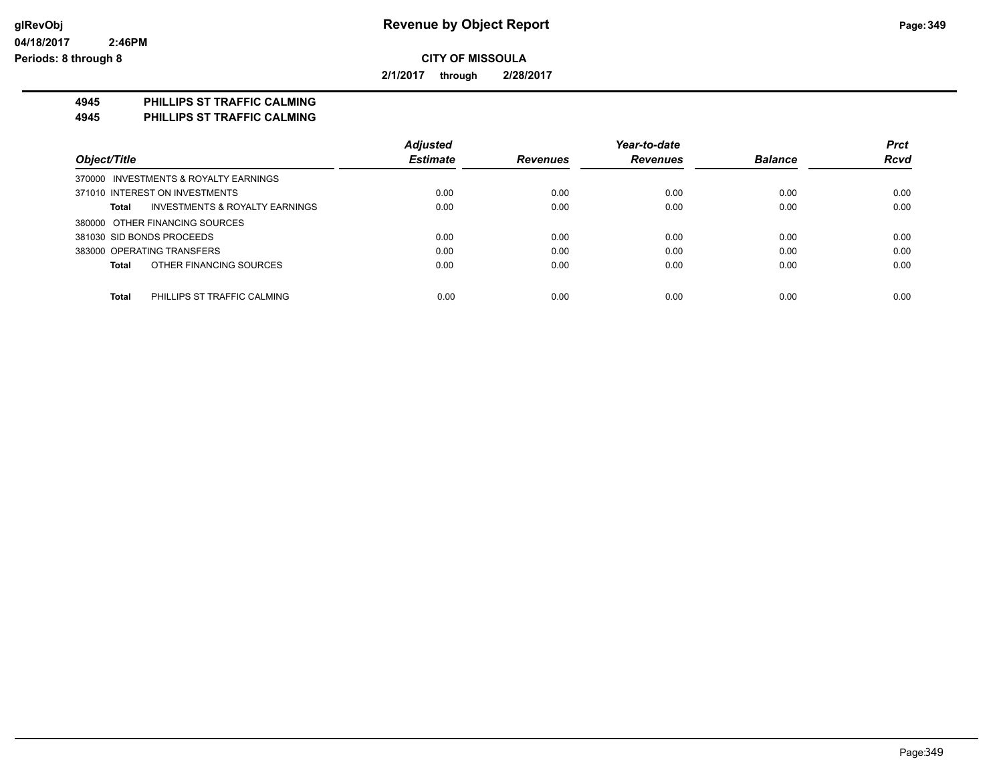**2/1/2017 through 2/28/2017**

**4945 PHILLIPS ST TRAFFIC CALMING**

**4945 PHILLIPS ST TRAFFIC CALMING**

|                                             | <b>Adjusted</b> |                 | Year-to-date    |                | <b>Prct</b> |
|---------------------------------------------|-----------------|-----------------|-----------------|----------------|-------------|
| Object/Title                                | <b>Estimate</b> | <b>Revenues</b> | <b>Revenues</b> | <b>Balance</b> | <b>Rcvd</b> |
| 370000 INVESTMENTS & ROYALTY EARNINGS       | 0.00            |                 | 0.00            | 0.00           | 0.00        |
| 371010 INTEREST ON INVESTMENTS              |                 | 0.00            |                 |                |             |
| INVESTMENTS & ROYALTY EARNINGS<br>Total     | 0.00            | 0.00            | 0.00            | 0.00           | 0.00        |
| 380000 OTHER FINANCING SOURCES              |                 |                 |                 |                |             |
| 381030 SID BONDS PROCEEDS                   | 0.00            | 0.00            | 0.00            | 0.00           | 0.00        |
| 383000 OPERATING TRANSFERS                  | 0.00            | 0.00            | 0.00            | 0.00           | 0.00        |
| OTHER FINANCING SOURCES<br>Total            | 0.00            | 0.00            | 0.00            | 0.00           | 0.00        |
|                                             |                 |                 |                 |                |             |
| <b>Total</b><br>PHILLIPS ST TRAFFIC CALMING | 0.00            | 0.00            | 0.00            | 0.00           | 0.00        |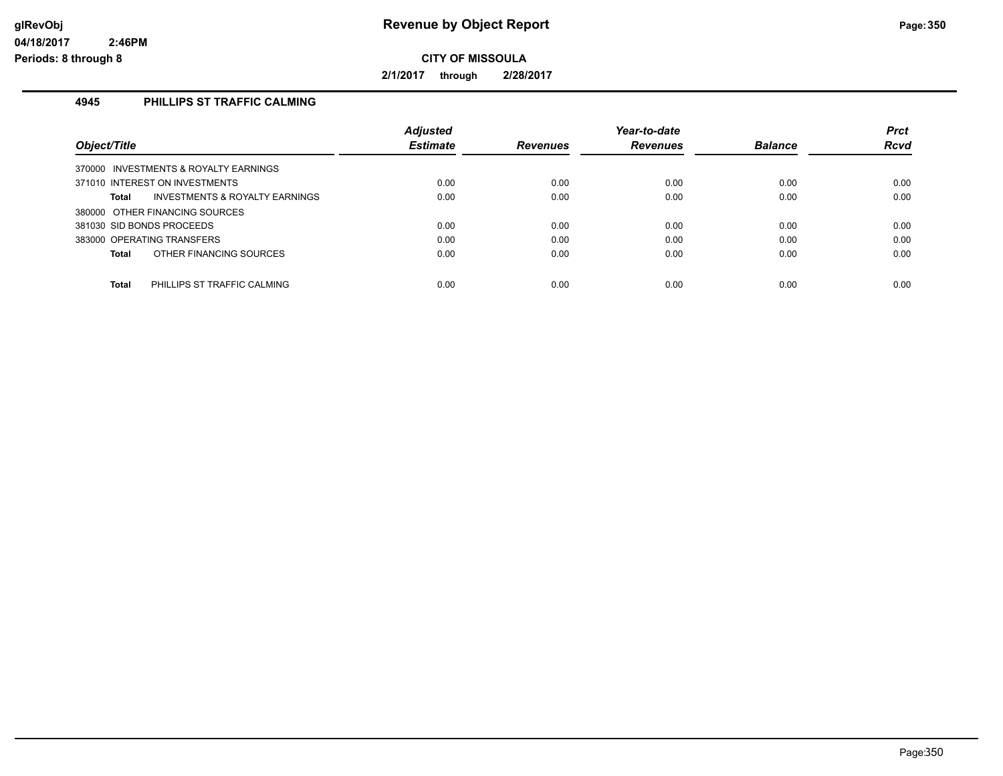**2/1/2017 through 2/28/2017**

#### **4945 PHILLIPS ST TRAFFIC CALMING**

|                                             | <b>Adjusted</b> |                 | Year-to-date    |                | <b>Prct</b> |
|---------------------------------------------|-----------------|-----------------|-----------------|----------------|-------------|
| Object/Title                                | <b>Estimate</b> | <b>Revenues</b> | <b>Revenues</b> | <b>Balance</b> | <b>Rcvd</b> |
| 370000 INVESTMENTS & ROYALTY EARNINGS       |                 |                 |                 |                |             |
| 371010 INTEREST ON INVESTMENTS              | 0.00            | 0.00            | 0.00            | 0.00           | 0.00        |
| INVESTMENTS & ROYALTY EARNINGS<br>Total     | 0.00            | 0.00            | 0.00            | 0.00           | 0.00        |
| 380000 OTHER FINANCING SOURCES              |                 |                 |                 |                |             |
| 381030 SID BONDS PROCEEDS                   | 0.00            | 0.00            | 0.00            | 0.00           | 0.00        |
| 383000 OPERATING TRANSFERS                  | 0.00            | 0.00            | 0.00            | 0.00           | 0.00        |
| OTHER FINANCING SOURCES<br>Total            | 0.00            | 0.00            | 0.00            | 0.00           | 0.00        |
| <b>Total</b><br>PHILLIPS ST TRAFFIC CALMING | 0.00            | 0.00            | 0.00            | 0.00           | 0.00        |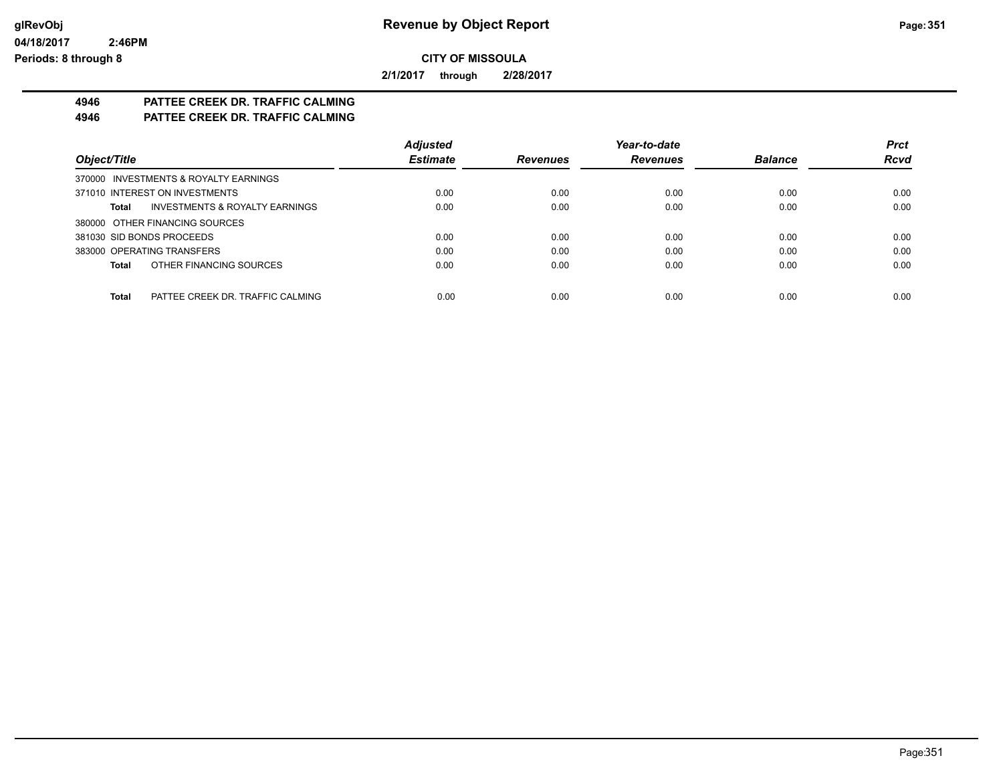**2/1/2017 through 2/28/2017**

## **4946 PATTEE CREEK DR. TRAFFIC CALMING 4946 PATTEE CREEK DR. TRAFFIC CALMING**

|                                                  | <b>Adjusted</b> |                 | Year-to-date    |                | <b>Prct</b> |
|--------------------------------------------------|-----------------|-----------------|-----------------|----------------|-------------|
| Object/Title                                     | <b>Estimate</b> | <b>Revenues</b> | <b>Revenues</b> | <b>Balance</b> | <b>Rcvd</b> |
| 370000 INVESTMENTS & ROYALTY EARNINGS            |                 |                 |                 |                |             |
| 371010 INTEREST ON INVESTMENTS                   | 0.00            | 0.00            | 0.00            | 0.00           | 0.00        |
| INVESTMENTS & ROYALTY EARNINGS<br>Total          | 0.00            | 0.00            | 0.00            | 0.00           | 0.00        |
| 380000 OTHER FINANCING SOURCES                   |                 |                 |                 |                |             |
| 381030 SID BONDS PROCEEDS                        | 0.00            | 0.00            | 0.00            | 0.00           | 0.00        |
| 383000 OPERATING TRANSFERS                       | 0.00            | 0.00            | 0.00            | 0.00           | 0.00        |
| OTHER FINANCING SOURCES<br>Total                 | 0.00            | 0.00            | 0.00            | 0.00           | 0.00        |
|                                                  |                 |                 |                 |                |             |
| <b>Total</b><br>PATTEE CREEK DR. TRAFFIC CALMING | 0.00            | 0.00            | 0.00            | 0.00           | 0.00        |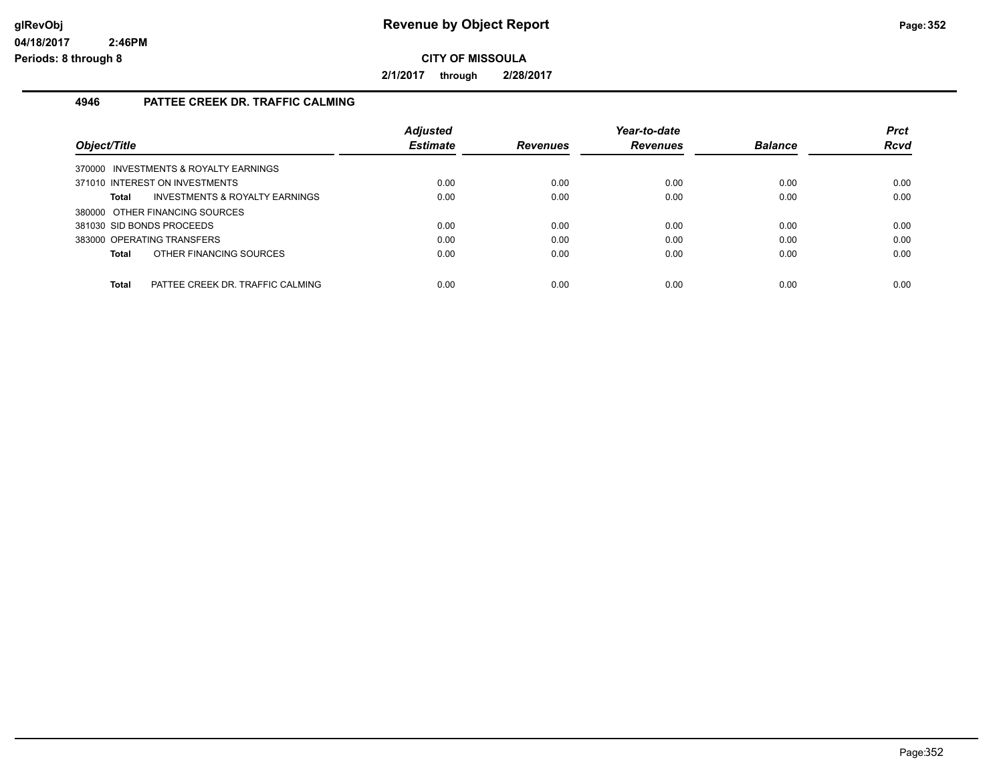**2/1/2017 through 2/28/2017**

## **4946 PATTEE CREEK DR. TRAFFIC CALMING**

| Object/Title                                     | <b>Adjusted</b><br><b>Estimate</b> | <b>Revenues</b> | Year-to-date<br><b>Revenues</b> | <b>Balance</b> | <b>Prct</b><br><b>Rcvd</b> |
|--------------------------------------------------|------------------------------------|-----------------|---------------------------------|----------------|----------------------------|
|                                                  |                                    |                 |                                 |                |                            |
| 370000 INVESTMENTS & ROYALTY EARNINGS            |                                    |                 |                                 |                |                            |
| 371010 INTEREST ON INVESTMENTS                   | 0.00                               | 0.00            | 0.00                            | 0.00           | 0.00                       |
| INVESTMENTS & ROYALTY EARNINGS<br>Total          | 0.00                               | 0.00            | 0.00                            | 0.00           | 0.00                       |
| 380000 OTHER FINANCING SOURCES                   |                                    |                 |                                 |                |                            |
| 381030 SID BONDS PROCEEDS                        | 0.00                               | 0.00            | 0.00                            | 0.00           | 0.00                       |
| 383000 OPERATING TRANSFERS                       | 0.00                               | 0.00            | 0.00                            | 0.00           | 0.00                       |
| OTHER FINANCING SOURCES<br>Total                 | 0.00                               | 0.00            | 0.00                            | 0.00           | 0.00                       |
|                                                  |                                    |                 |                                 |                |                            |
| <b>Total</b><br>PATTEE CREEK DR. TRAFFIC CALMING | 0.00                               | 0.00            | 0.00                            | 0.00           | 0.00                       |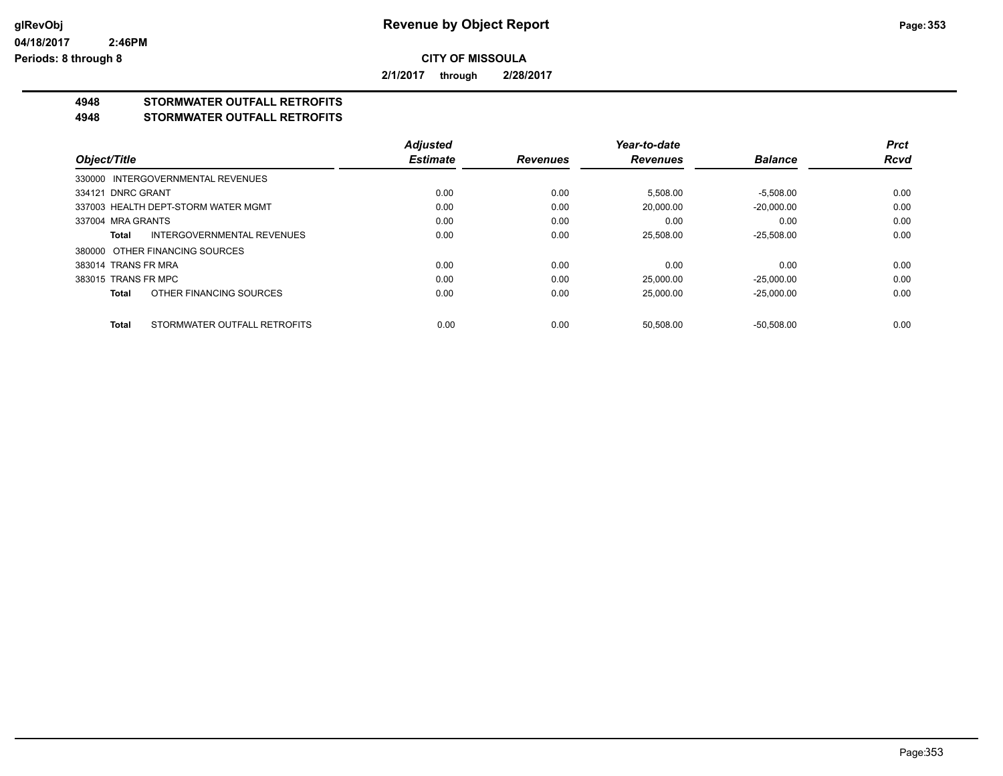**2/1/2017 through 2/28/2017**

## **4948 STORMWATER OUTFALL RETROFITS 4948 STORMWATER OUTFALL RETROFITS**

|                                                          | <b>Adjusted</b> |                 | Year-to-date          |                             | <b>Prct</b>  |
|----------------------------------------------------------|-----------------|-----------------|-----------------------|-----------------------------|--------------|
| Object/Title                                             | <b>Estimate</b> | <b>Revenues</b> | <b>Revenues</b>       | <b>Balance</b>              | <b>Rcvd</b>  |
| 330000 INTERGOVERNMENTAL REVENUES                        |                 |                 |                       |                             |              |
| 334121 DNRC GRANT<br>337003 HEALTH DEPT-STORM WATER MGMT | 0.00<br>0.00    | 0.00<br>0.00    | 5.508.00<br>20,000.00 | $-5,508.00$<br>$-20,000.00$ | 0.00<br>0.00 |
|                                                          |                 |                 |                       |                             |              |
| INTERGOVERNMENTAL REVENUES<br>Total                      | 0.00            | 0.00            | 25.508.00             | $-25,508.00$                | 0.00         |
| 380000 OTHER FINANCING SOURCES                           |                 |                 |                       |                             |              |
| 383014 TRANS FR MRA                                      | 0.00<br>0.00    | 0.00            | 0.00                  | 0.00                        |              |
| 383015 TRANS FR MPC                                      | 0.00            | 0.00            | 25.000.00             | $-25.000.00$                | 0.00         |
| OTHER FINANCING SOURCES<br><b>Total</b>                  | 0.00            | 0.00            | 25,000.00             | $-25.000.00$                | 0.00         |
|                                                          |                 |                 |                       |                             |              |
| STORMWATER OUTFALL RETROFITS<br>Total                    | 0.00            | 0.00            | 50.508.00             | $-50.508.00$                | 0.00         |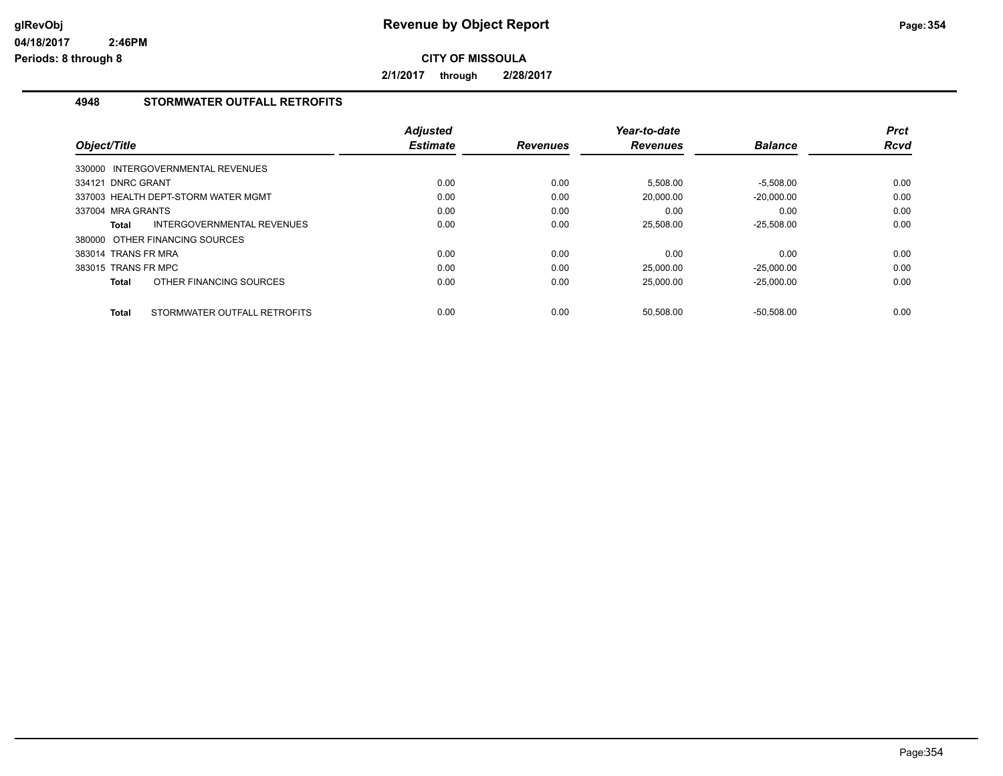**2/1/2017 through 2/28/2017**

## **4948 STORMWATER OUTFALL RETROFITS**

| Object/Title                                 | <b>Adjusted</b><br><b>Estimate</b> | <b>Revenues</b> | Year-to-date<br><b>Revenues</b> | <b>Balance</b> | <b>Prct</b><br><b>Rcvd</b> |
|----------------------------------------------|------------------------------------|-----------------|---------------------------------|----------------|----------------------------|
|                                              |                                    |                 |                                 |                |                            |
| INTERGOVERNMENTAL REVENUES<br>330000         |                                    |                 |                                 |                |                            |
| 334121 DNRC GRANT                            | 0.00                               | 0.00            | 5,508.00                        | $-5,508.00$    | 0.00                       |
| 337003 HEALTH DEPT-STORM WATER MGMT          | 0.00                               | 0.00            | 20,000.00                       | $-20.000.00$   | 0.00                       |
| 337004 MRA GRANTS                            | 0.00                               | 0.00            | 0.00                            | 0.00           | 0.00                       |
| INTERGOVERNMENTAL REVENUES<br>Total          | 0.00                               | 0.00            | 25,508.00                       | $-25,508.00$   | 0.00                       |
| 380000 OTHER FINANCING SOURCES               |                                    |                 |                                 |                |                            |
| 383014 TRANS FR MRA                          | 0.00                               | 0.00            | 0.00                            | 0.00           | 0.00                       |
| 383015 TRANS FR MPC                          | 0.00                               | 0.00            | 25.000.00                       | $-25,000.00$   | 0.00                       |
| OTHER FINANCING SOURCES<br>Total             | 0.00                               | 0.00            | 25,000.00                       | $-25.000.00$   | 0.00                       |
| STORMWATER OUTFALL RETROFITS<br><b>Total</b> | 0.00                               | 0.00            | 50.508.00                       | $-50.508.00$   | 0.00                       |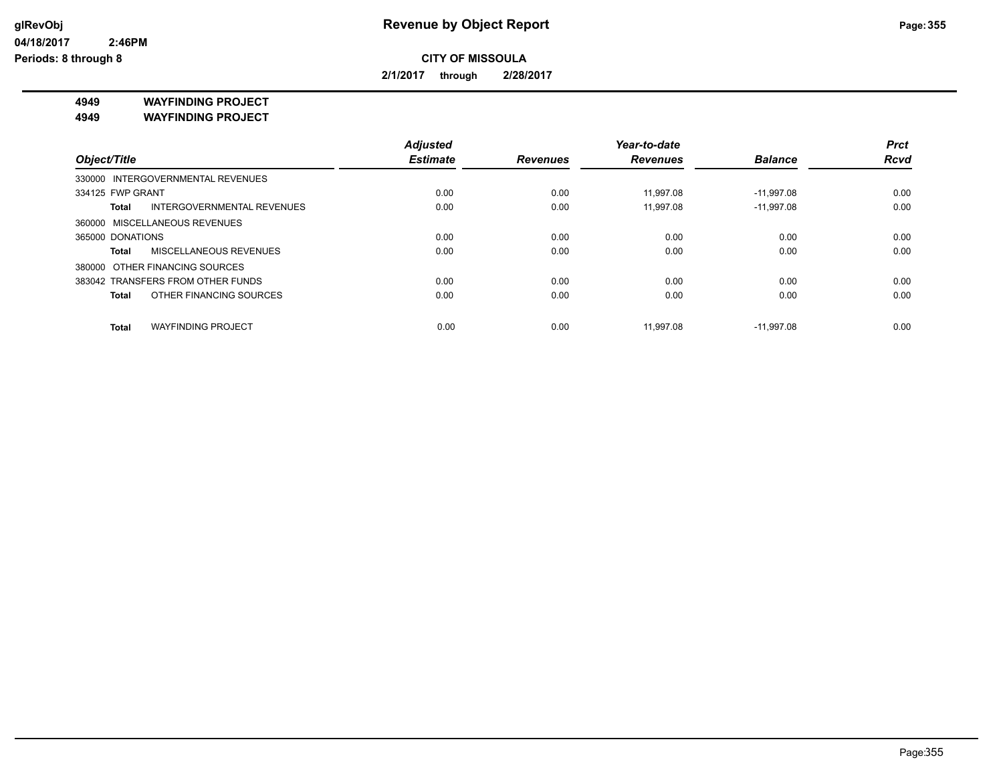**2/1/2017 through 2/28/2017**

**4949 WAYFINDING PROJECT 4949 WAYFINDING PROJECT**

|                                           | <b>Adjusted</b> |                 | Year-to-date    |                | <b>Prct</b><br><b>Rcvd</b> |
|-------------------------------------------|-----------------|-----------------|-----------------|----------------|----------------------------|
| Object/Title                              | <b>Estimate</b> | <b>Revenues</b> | <b>Revenues</b> | <b>Balance</b> |                            |
| 330000 INTERGOVERNMENTAL REVENUES         |                 |                 |                 |                |                            |
| 334125 FWP GRANT                          | 0.00            | 0.00            | 11.997.08       | $-11,997.08$   | 0.00                       |
| INTERGOVERNMENTAL REVENUES<br>Total       | 0.00            | 0.00            | 11.997.08       | $-11.997.08$   | 0.00                       |
| 360000 MISCELLANEOUS REVENUES             |                 |                 |                 |                |                            |
| 365000 DONATIONS                          | 0.00            | 0.00            | 0.00            | 0.00           | 0.00                       |
| MISCELLANEOUS REVENUES<br>Total           | 0.00            | 0.00            | 0.00            | 0.00           | 0.00                       |
| 380000 OTHER FINANCING SOURCES            |                 |                 |                 |                |                            |
| 383042 TRANSFERS FROM OTHER FUNDS         | 0.00            | 0.00            | 0.00            | 0.00           | 0.00                       |
| OTHER FINANCING SOURCES<br><b>Total</b>   | 0.00            | 0.00            | 0.00            | 0.00           | 0.00                       |
|                                           |                 |                 |                 |                |                            |
| <b>WAYFINDING PROJECT</b><br><b>Total</b> | 0.00            | 0.00            | 11.997.08       | $-11.997.08$   | 0.00                       |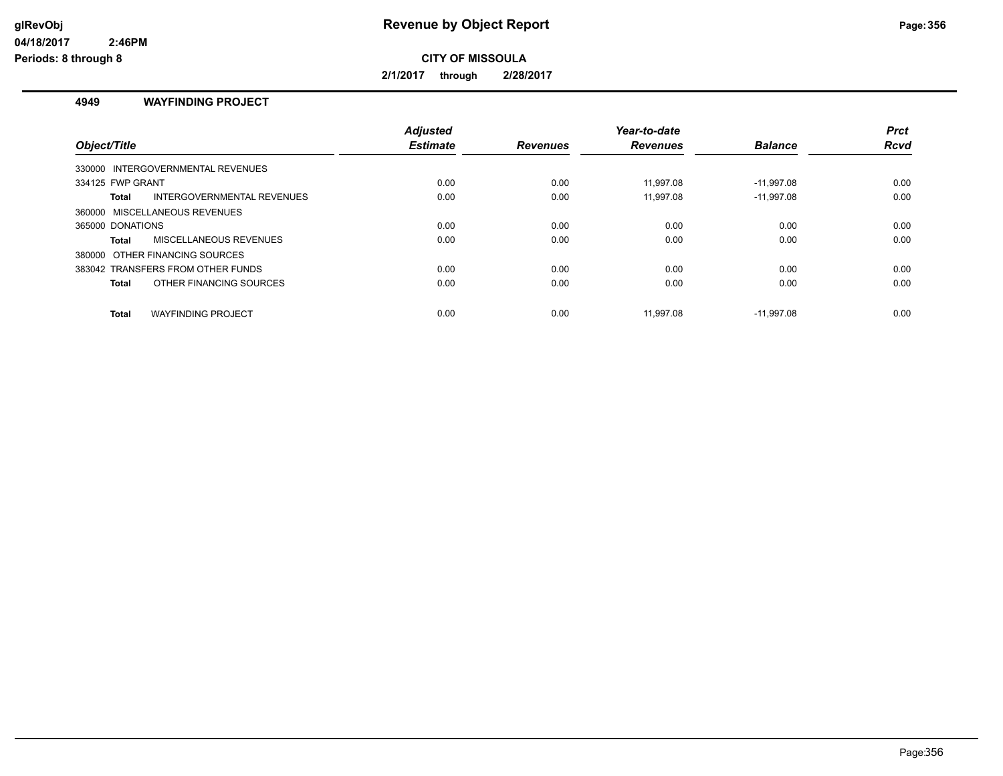**2/1/2017 through 2/28/2017**

#### **4949 WAYFINDING PROJECT**

| Object/Title                              | Adjusted<br><b>Estimate</b> | <b>Revenues</b> | Year-to-date<br><b>Revenues</b> | <b>Balance</b> | <b>Prct</b><br><b>Rcvd</b> |
|-------------------------------------------|-----------------------------|-----------------|---------------------------------|----------------|----------------------------|
|                                           |                             |                 |                                 |                |                            |
| 330000 INTERGOVERNMENTAL REVENUES         |                             |                 |                                 |                |                            |
| 334125 FWP GRANT                          | 0.00                        | 0.00            | 11.997.08                       | $-11,997.08$   | 0.00                       |
| INTERGOVERNMENTAL REVENUES<br>Total       | 0.00                        | 0.00            | 11.997.08                       | $-11,997.08$   | 0.00                       |
| 360000 MISCELLANEOUS REVENUES             |                             |                 |                                 |                |                            |
| 365000 DONATIONS                          | 0.00                        | 0.00            | 0.00                            | 0.00           | 0.00                       |
| <b>MISCELLANEOUS REVENUES</b><br>Total    | 0.00                        | 0.00            | 0.00                            | 0.00           | 0.00                       |
| 380000 OTHER FINANCING SOURCES            |                             |                 |                                 |                |                            |
| 383042 TRANSFERS FROM OTHER FUNDS         | 0.00                        | 0.00            | 0.00                            | 0.00           | 0.00                       |
| OTHER FINANCING SOURCES<br>Total          | 0.00                        | 0.00            | 0.00                            | 0.00           | 0.00                       |
| <b>WAYFINDING PROJECT</b><br><b>Total</b> | 0.00                        | 0.00            | 11.997.08                       | $-11.997.08$   | 0.00                       |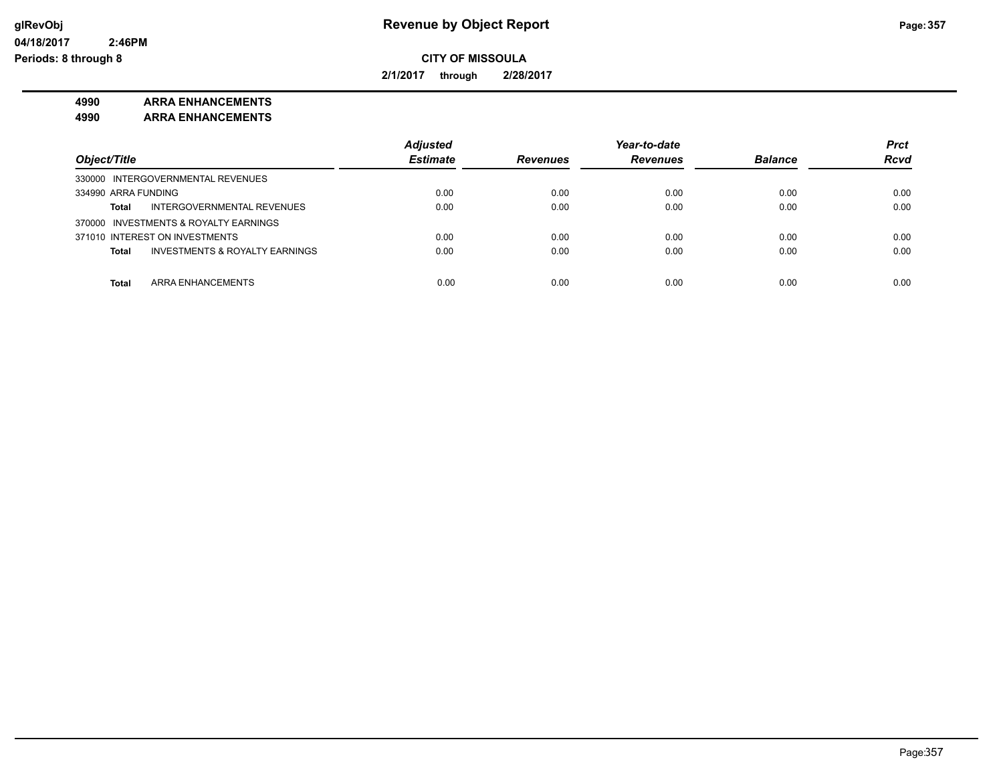**2/1/2017 through 2/28/2017**

**4990 ARRA ENHANCEMENTS**

| 4990 | <b>ARRA ENHANCEMENTS</b> |
|------|--------------------------|
|      |                          |

|                                                   | <b>Adjusted</b> |                 | Year-to-date    |                | <b>Prct</b> |
|---------------------------------------------------|-----------------|-----------------|-----------------|----------------|-------------|
| Object/Title<br>330000 INTERGOVERNMENTAL REVENUES | <b>Estimate</b> | <b>Revenues</b> | <b>Revenues</b> | <b>Balance</b> | <b>Rcvd</b> |
|                                                   |                 |                 |                 |                |             |
| 334990 ARRA FUNDING                               | 0.00            | 0.00            | 0.00            | 0.00           | 0.00        |
| INTERGOVERNMENTAL REVENUES<br>Total               | 0.00            | 0.00            | 0.00            | 0.00           | 0.00        |
| 370000 INVESTMENTS & ROYALTY EARNINGS             |                 |                 |                 |                |             |
| 371010 INTEREST ON INVESTMENTS                    | 0.00            | 0.00            | 0.00            | 0.00           | 0.00        |
| INVESTMENTS & ROYALTY EARNINGS<br>Total           | 0.00            | 0.00            | 0.00            | 0.00           | 0.00        |
|                                                   |                 |                 |                 |                |             |
| <b>Total</b><br>ARRA ENHANCEMENTS                 | 0.00            | 0.00            | 0.00            | 0.00           | 0.00        |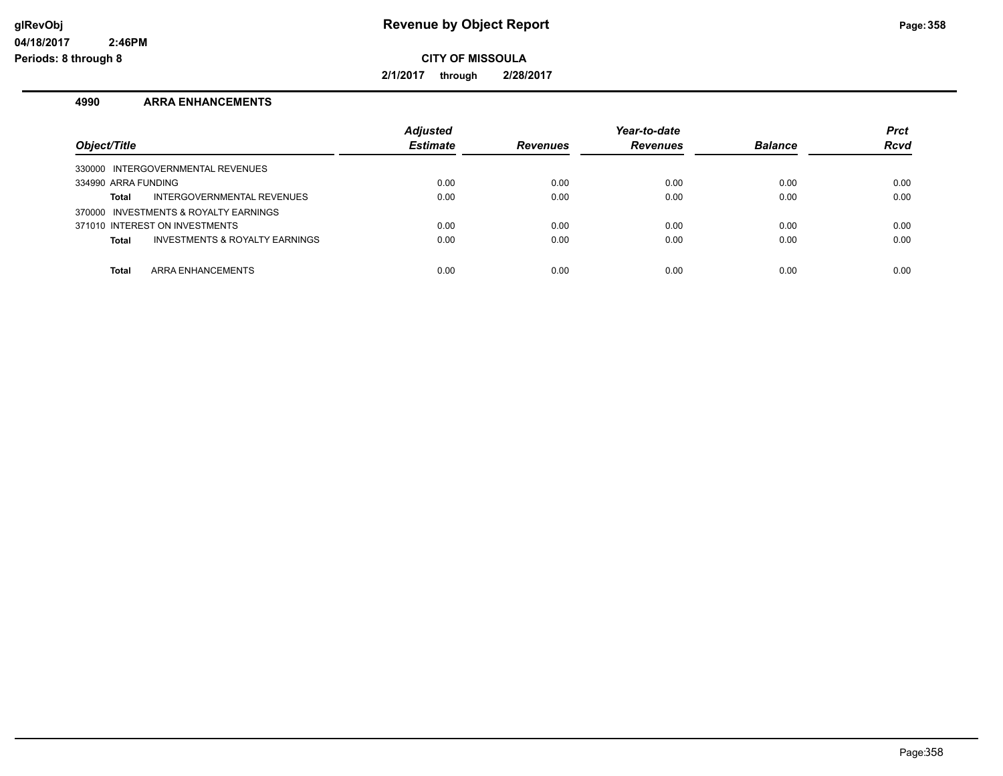**2/1/2017 through 2/28/2017**

#### **4990 ARRA ENHANCEMENTS**

|                                                | <b>Adjusted</b> |                 | Year-to-date    |                | <b>Prct</b> |
|------------------------------------------------|-----------------|-----------------|-----------------|----------------|-------------|
| Object/Title                                   | <b>Estimate</b> | <b>Revenues</b> | <b>Revenues</b> | <b>Balance</b> | <b>Rcvd</b> |
| 330000 INTERGOVERNMENTAL REVENUES              |                 |                 |                 |                |             |
| 334990 ARRA FUNDING                            | 0.00            | 0.00            | 0.00            | 0.00           | 0.00        |
| INTERGOVERNMENTAL REVENUES<br>Total            | 0.00            | 0.00            | 0.00            | 0.00           | 0.00        |
| 370000 INVESTMENTS & ROYALTY EARNINGS          |                 |                 |                 |                |             |
| 371010 INTEREST ON INVESTMENTS                 | 0.00            | 0.00            | 0.00            | 0.00           | 0.00        |
| INVESTMENTS & ROYALTY EARNINGS<br><b>Total</b> | 0.00            | 0.00            | 0.00            | 0.00           | 0.00        |
| Total<br>ARRA ENHANCEMENTS                     | 0.00            | 0.00            | 0.00            | 0.00           | 0.00        |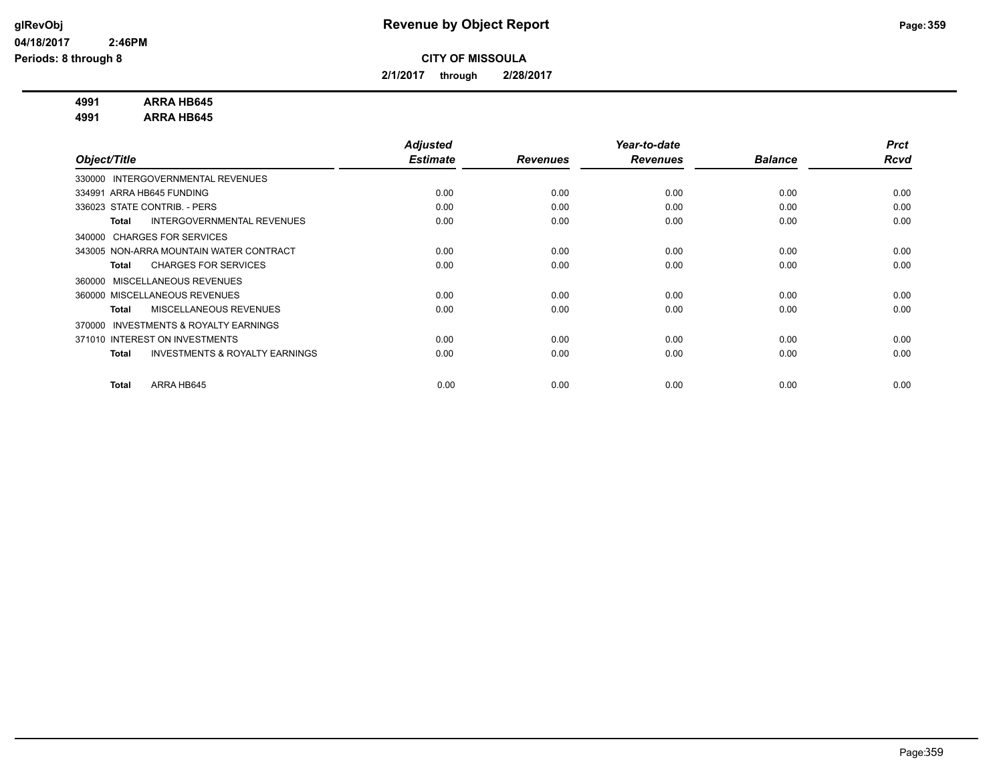**2/1/2017 through 2/28/2017**

# **4991 ARRA HB645**

**4991 ARRA HB645**

| Object/Title                                        | <b>Adjusted</b> |                 | Year-to-date    |                | <b>Prct</b> |
|-----------------------------------------------------|-----------------|-----------------|-----------------|----------------|-------------|
|                                                     | <b>Estimate</b> | <b>Revenues</b> | <b>Revenues</b> | <b>Balance</b> | <b>Rcvd</b> |
| INTERGOVERNMENTAL REVENUES<br>330000                |                 |                 |                 |                |             |
| 334991 ARRA HB645 FUNDING                           | 0.00            | 0.00            | 0.00            | 0.00           | 0.00        |
| 336023 STATE CONTRIB. - PERS                        | 0.00            | 0.00            | 0.00            | 0.00           | 0.00        |
| <b>INTERGOVERNMENTAL REVENUES</b><br>Total          | 0.00            | 0.00            | 0.00            | 0.00           | 0.00        |
| 340000 CHARGES FOR SERVICES                         |                 |                 |                 |                |             |
| 343005 NON-ARRA MOUNTAIN WATER CONTRACT             | 0.00            | 0.00            | 0.00            | 0.00           | 0.00        |
| <b>CHARGES FOR SERVICES</b><br>Total                | 0.00            | 0.00            | 0.00            | 0.00           | 0.00        |
| 360000 MISCELLANEOUS REVENUES                       |                 |                 |                 |                |             |
| 360000 MISCELLANEOUS REVENUES                       | 0.00            | 0.00            | 0.00            | 0.00           | 0.00        |
| MISCELLANEOUS REVENUES<br>Total                     | 0.00            | 0.00            | 0.00            | 0.00           | 0.00        |
| <b>INVESTMENTS &amp; ROYALTY EARNINGS</b><br>370000 |                 |                 |                 |                |             |
| 371010 INTEREST ON INVESTMENTS                      | 0.00            | 0.00            | 0.00            | 0.00           | 0.00        |
| <b>INVESTMENTS &amp; ROYALTY EARNINGS</b><br>Total  | 0.00            | 0.00            | 0.00            | 0.00           | 0.00        |
| ARRA HB645<br><b>Total</b>                          | 0.00            | 0.00            | 0.00            | 0.00           | 0.00        |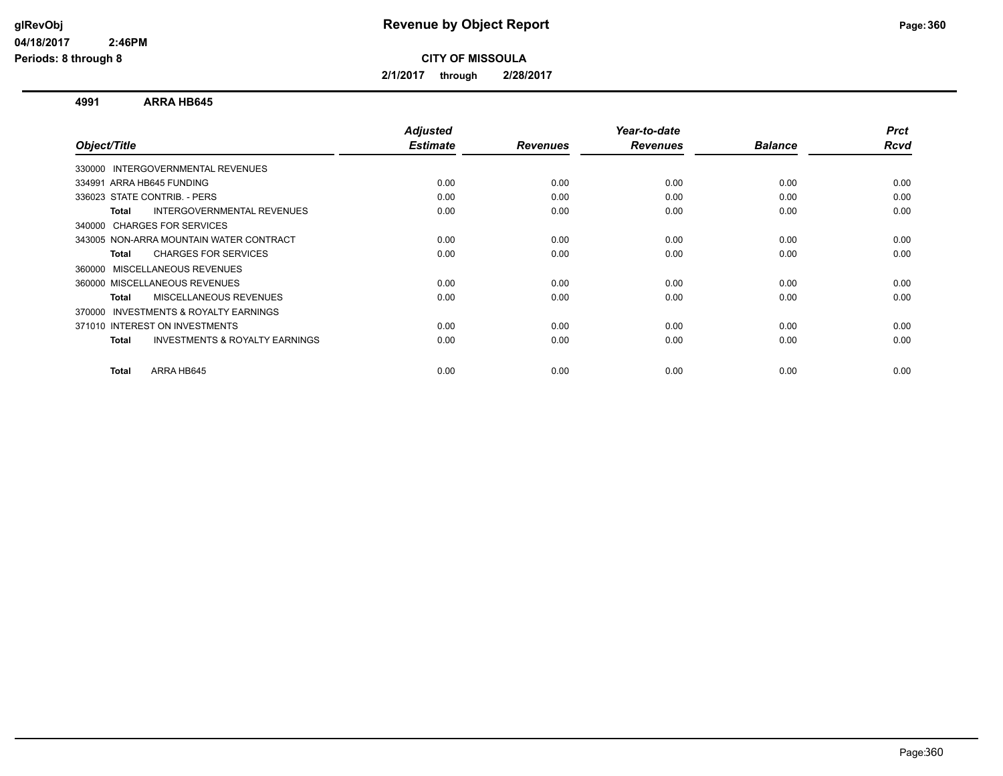**2/1/2017 through 2/28/2017**

#### **4991 ARRA HB645**

| Object/Title                                              | <b>Adjusted</b><br><b>Estimate</b> | <b>Revenues</b> | Year-to-date<br><b>Revenues</b> | <b>Balance</b> | <b>Prct</b><br><b>Rcvd</b> |
|-----------------------------------------------------------|------------------------------------|-----------------|---------------------------------|----------------|----------------------------|
| 330000 INTERGOVERNMENTAL REVENUES                         |                                    |                 |                                 |                |                            |
| 334991 ARRA HB645 FUNDING                                 | 0.00                               | 0.00            | 0.00                            | 0.00           | 0.00                       |
| 336023 STATE CONTRIB. - PERS                              | 0.00                               | 0.00            | 0.00                            | 0.00           | 0.00                       |
| <b>INTERGOVERNMENTAL REVENUES</b><br><b>Total</b>         | 0.00                               | 0.00            | 0.00                            | 0.00           | 0.00                       |
| 340000 CHARGES FOR SERVICES                               |                                    |                 |                                 |                |                            |
| 343005 NON-ARRA MOUNTAIN WATER CONTRACT                   | 0.00                               | 0.00            | 0.00                            | 0.00           | 0.00                       |
| <b>CHARGES FOR SERVICES</b><br><b>Total</b>               | 0.00                               | 0.00            | 0.00                            | 0.00           | 0.00                       |
| 360000 MISCELLANEOUS REVENUES                             |                                    |                 |                                 |                |                            |
| 360000 MISCELLANEOUS REVENUES                             | 0.00                               | 0.00            | 0.00                            | 0.00           | 0.00                       |
| MISCELLANEOUS REVENUES<br><b>Total</b>                    | 0.00                               | 0.00            | 0.00                            | 0.00           | 0.00                       |
| INVESTMENTS & ROYALTY EARNINGS<br>370000                  |                                    |                 |                                 |                |                            |
| 371010 INTEREST ON INVESTMENTS                            | 0.00                               | 0.00            | 0.00                            | 0.00           | 0.00                       |
| <b>INVESTMENTS &amp; ROYALTY EARNINGS</b><br><b>Total</b> | 0.00                               | 0.00            | 0.00                            | 0.00           | 0.00                       |
|                                                           |                                    |                 |                                 |                |                            |
| ARRA HB645<br><b>Total</b>                                | 0.00                               | 0.00            | 0.00                            | 0.00           | 0.00                       |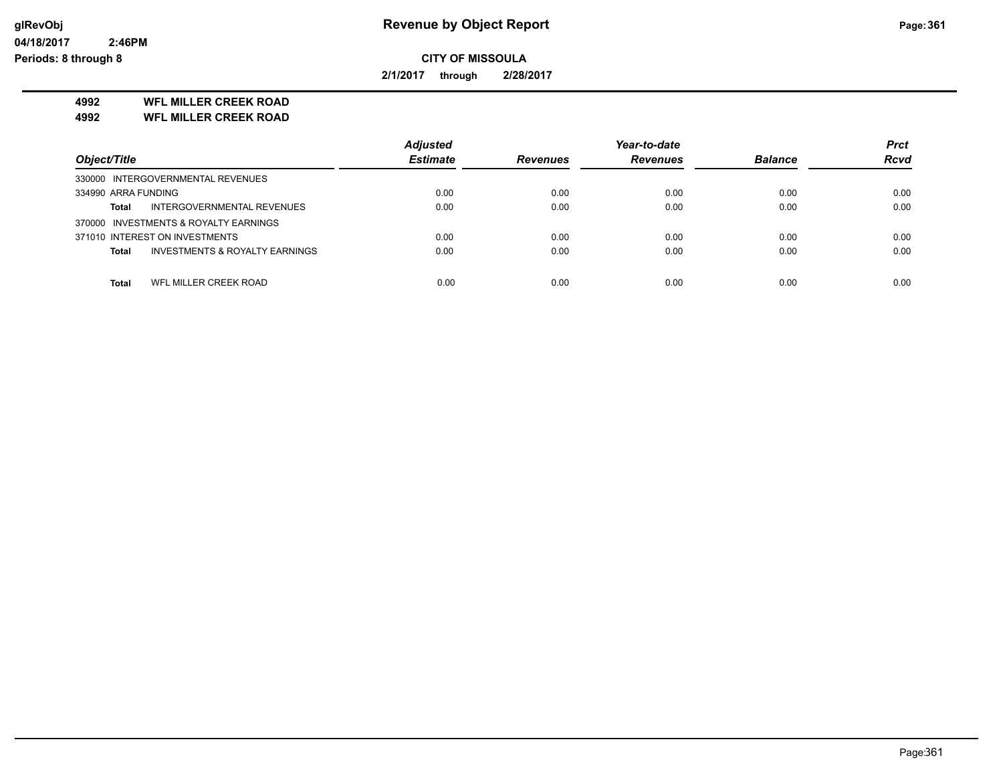**2/1/2017 through 2/28/2017**

**4992 WFL MILLER CREEK ROAD**

**4992 WFL MILLER CREEK ROAD**

|                                                           | <b>Adjusted</b> |                 | Year-to-date    |                | <b>Prct</b> |
|-----------------------------------------------------------|-----------------|-----------------|-----------------|----------------|-------------|
| Object/Title                                              | <b>Estimate</b> | <b>Revenues</b> | <b>Revenues</b> | <b>Balance</b> | <b>Rcvd</b> |
| 330000 INTERGOVERNMENTAL REVENUES                         |                 |                 |                 |                |             |
| 334990 ARRA FUNDING                                       | 0.00            | 0.00            | 0.00            | 0.00           | 0.00        |
| INTERGOVERNMENTAL REVENUES<br>Total                       | 0.00            | 0.00            | 0.00            | 0.00           | 0.00        |
| 370000 INVESTMENTS & ROYALTY EARNINGS                     |                 |                 |                 |                |             |
| 371010 INTEREST ON INVESTMENTS                            | 0.00            | 0.00            | 0.00            | 0.00           | 0.00        |
| <b>INVESTMENTS &amp; ROYALTY EARNINGS</b><br><b>Total</b> | 0.00            | 0.00            | 0.00            | 0.00           | 0.00        |
|                                                           |                 |                 |                 |                |             |
| <b>Total</b><br>WFL MILLER CREEK ROAD                     | 0.00            | 0.00            | 0.00            | 0.00           | 0.00        |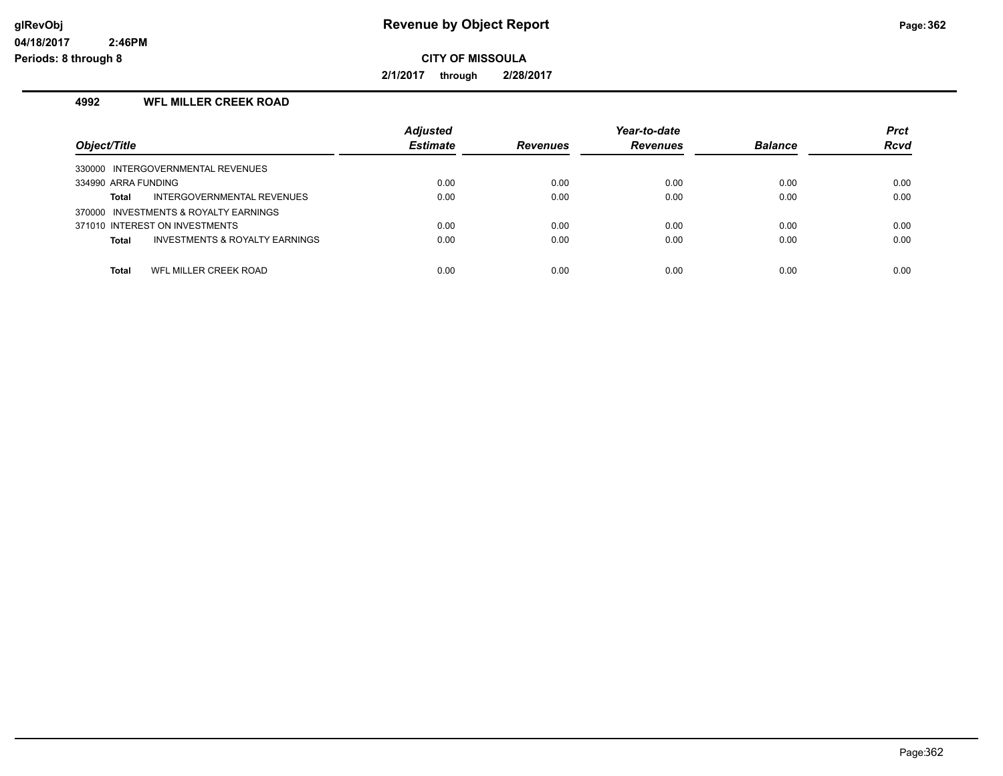**2/1/2017 through 2/28/2017**

#### **4992 WFL MILLER CREEK ROAD**

|                                                | <b>Adjusted</b> |                 | Year-to-date    |                | <b>Prct</b> |
|------------------------------------------------|-----------------|-----------------|-----------------|----------------|-------------|
| Object/Title                                   | <b>Estimate</b> | <b>Revenues</b> | <b>Revenues</b> | <b>Balance</b> | <b>Rcvd</b> |
| 330000 INTERGOVERNMENTAL REVENUES              |                 |                 |                 |                |             |
| 334990 ARRA FUNDING                            | 0.00            | 0.00            | 0.00            | 0.00           | 0.00        |
| INTERGOVERNMENTAL REVENUES<br>Total            | 0.00            | 0.00            | 0.00            | 0.00           | 0.00        |
| 370000 INVESTMENTS & ROYALTY EARNINGS          |                 |                 |                 |                |             |
| 371010 INTEREST ON INVESTMENTS                 | 0.00            | 0.00            | 0.00            | 0.00           | 0.00        |
| INVESTMENTS & ROYALTY EARNINGS<br><b>Total</b> | 0.00            | 0.00            | 0.00            | 0.00           | 0.00        |
| <b>Total</b><br>WFL MILLER CREEK ROAD          | 0.00            | 0.00            | 0.00            | 0.00           | 0.00        |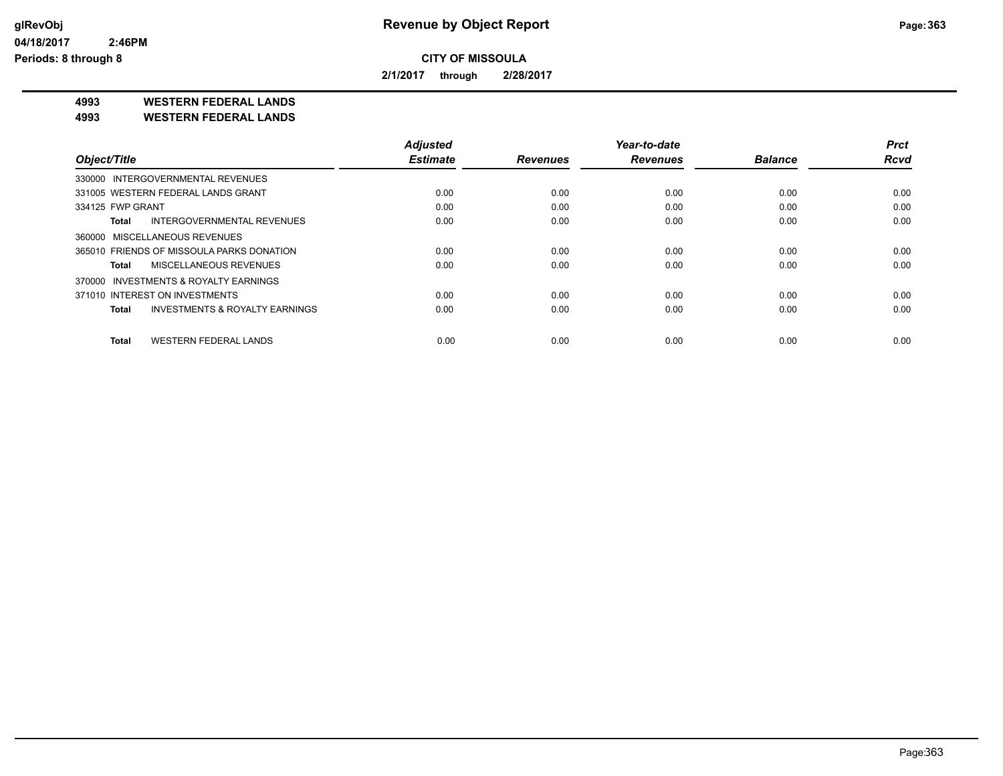*Prct Rcvd*

**CITY OF MISSOULA**

**2/1/2017 through 2/28/2017**

**4993 WESTERN FEDERAL LANDS 4993 WESTERN FEDERAL LANDS**

|                                                    | Adjusted        |                 | Year-to-date    |                | <b>Prct</b> |
|----------------------------------------------------|-----------------|-----------------|-----------------|----------------|-------------|
| Object/Title                                       | <b>Estimate</b> | <b>Revenues</b> | <b>Revenues</b> | <b>Balance</b> | Rcva        |
| 330000 INTERGOVERNMENTAL REVENUES                  |                 |                 |                 |                |             |
| 331005 WESTERN FEDERAL LANDS GRANT                 | 0.00            | 0.00            | 0.00            | 0.00           | 0.00        |
| 334125 FWP GRANT                                   | 0.00            | 0.00            | 0.00            | 0.00           | 0.00        |
| INTERGOVERNMENTAL REVENUES<br>Total                | 0.00            | 0.00            | 0.00            | 0.00           | 0.00        |
| 360000 MISCELLANEOUS REVENUES                      |                 |                 |                 |                |             |
| 365010 FRIENDS OF MISSOULA PARKS DONATION          | 0.00            | 0.00            | 0.00            | 0.00           | 0.00        |
| MISCELLANEOUS REVENUES<br>Total                    | 0.00            | 0.00            | 0.00            | 0.00           | 0.00        |
| 370000 INVESTMENTS & ROYALTY EARNINGS              |                 |                 |                 |                |             |
| 371010 INTEREST ON INVESTMENTS                     | 0.00            | 0.00            | 0.00            | 0.00           | 0.00        |
| <b>INVESTMENTS &amp; ROYALTY EARNINGS</b><br>Total | 0.00            | 0.00            | 0.00            | 0.00           | 0.00        |
|                                                    |                 |                 |                 |                |             |
| <b>WESTERN FEDERAL LANDS</b><br><b>Total</b>       | 0.00            | 0.00            | 0.00            | 0.00           | 0.00        |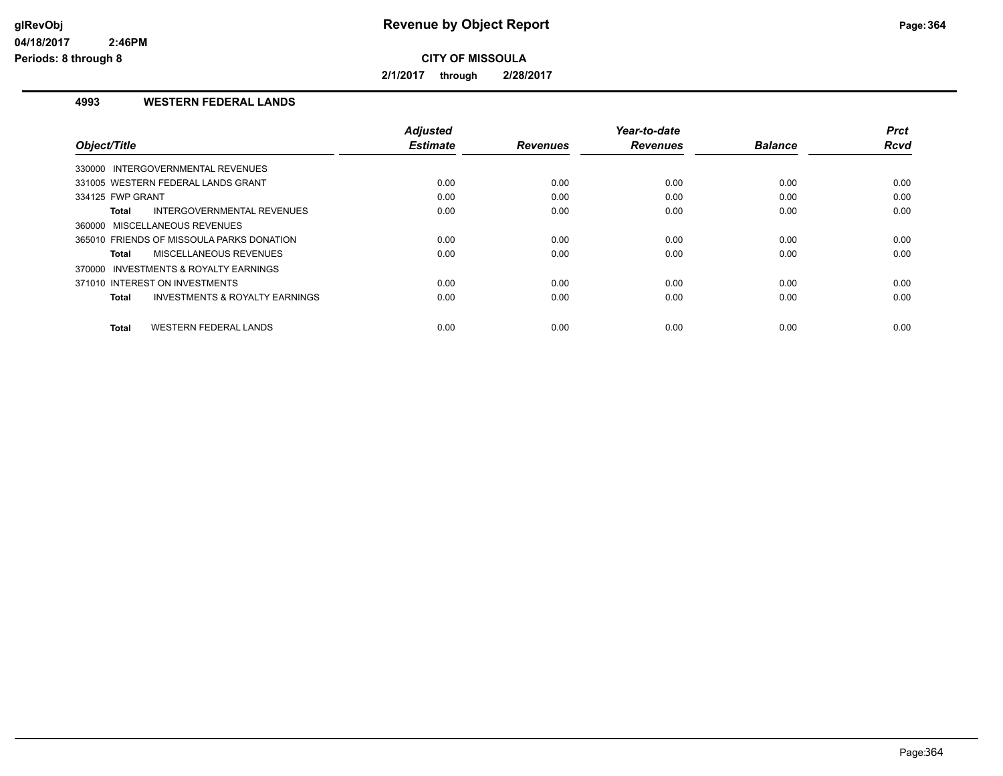**2/1/2017 through 2/28/2017**

### **4993 WESTERN FEDERAL LANDS**

|                                                    | <b>Adjusted</b> |                 | Year-to-date    |                | <b>Prct</b> |
|----------------------------------------------------|-----------------|-----------------|-----------------|----------------|-------------|
| Object/Title                                       | <b>Estimate</b> | <b>Revenues</b> | <b>Revenues</b> | <b>Balance</b> | <b>Rcvd</b> |
| 330000 INTERGOVERNMENTAL REVENUES                  |                 |                 |                 |                |             |
| 331005 WESTERN FEDERAL LANDS GRANT                 | 0.00            | 0.00            | 0.00            | 0.00           | 0.00        |
| 334125 FWP GRANT                                   | 0.00            | 0.00            | 0.00            | 0.00           | 0.00        |
| <b>Total</b><br>INTERGOVERNMENTAL REVENUES         | 0.00            | 0.00            | 0.00            | 0.00           | 0.00        |
| MISCELLANEOUS REVENUES<br>360000                   |                 |                 |                 |                |             |
| 365010 FRIENDS OF MISSOULA PARKS DONATION          | 0.00            | 0.00            | 0.00            | 0.00           | 0.00        |
| MISCELLANEOUS REVENUES<br>Total                    | 0.00            | 0.00            | 0.00            | 0.00           | 0.00        |
| INVESTMENTS & ROYALTY EARNINGS<br>370000           |                 |                 |                 |                |             |
| 371010 INTEREST ON INVESTMENTS                     | 0.00            | 0.00            | 0.00            | 0.00           | 0.00        |
| <b>INVESTMENTS &amp; ROYALTY EARNINGS</b><br>Total | 0.00            | 0.00            | 0.00            | 0.00           | 0.00        |
| <b>WESTERN FEDERAL LANDS</b><br>Total              | 0.00            | 0.00            | 0.00            | 0.00           | 0.00        |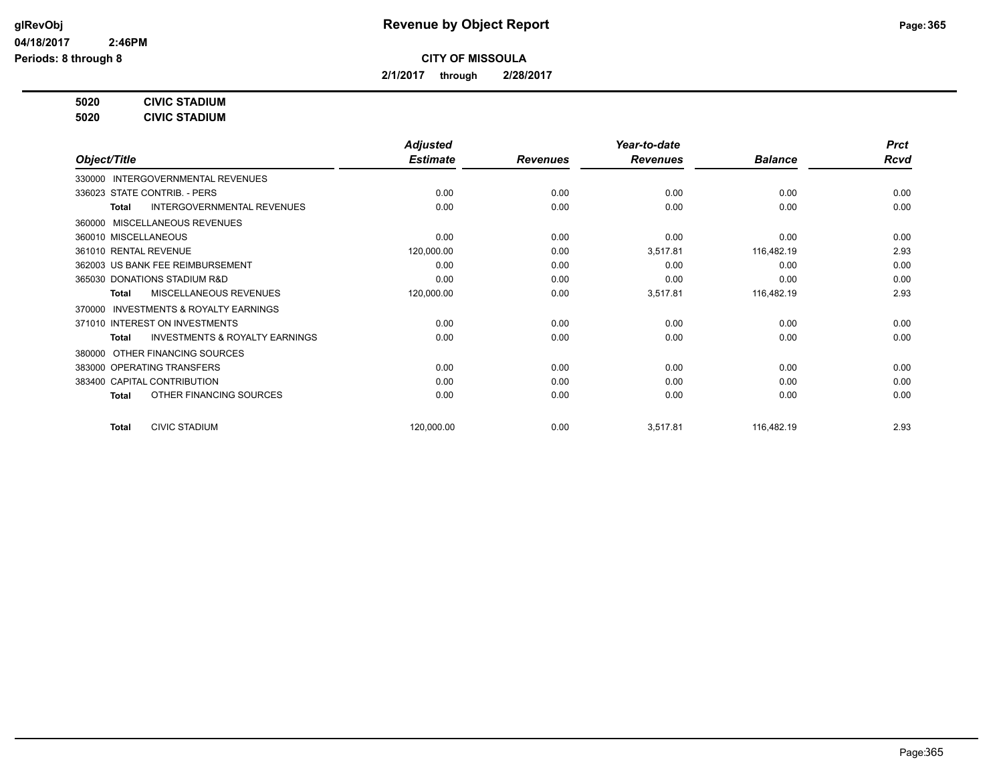**2/1/2017 through 2/28/2017**

**5020 CIVIC STADIUM 5020 CIVIC STADIUM**

|                                                           | <b>Adjusted</b> |                 | Year-to-date    |                | <b>Prct</b> |
|-----------------------------------------------------------|-----------------|-----------------|-----------------|----------------|-------------|
| Object/Title                                              | <b>Estimate</b> | <b>Revenues</b> | <b>Revenues</b> | <b>Balance</b> | Rcvd        |
| INTERGOVERNMENTAL REVENUES<br>330000                      |                 |                 |                 |                |             |
| 336023 STATE CONTRIB. - PERS                              | 0.00            | 0.00            | 0.00            | 0.00           | 0.00        |
| <b>INTERGOVERNMENTAL REVENUES</b><br>Total                | 0.00            | 0.00            | 0.00            | 0.00           | 0.00        |
| MISCELLANEOUS REVENUES<br>360000                          |                 |                 |                 |                |             |
| 360010 MISCELLANEOUS                                      | 0.00            | 0.00            | 0.00            | 0.00           | 0.00        |
| 361010 RENTAL REVENUE                                     | 120,000.00      | 0.00            | 3,517.81        | 116,482.19     | 2.93        |
| 362003 US BANK FEE REIMBURSEMENT                          | 0.00            | 0.00            | 0.00            | 0.00           | 0.00        |
| 365030 DONATIONS STADIUM R&D                              | 0.00            | 0.00            | 0.00            | 0.00           | 0.00        |
| MISCELLANEOUS REVENUES<br><b>Total</b>                    | 120,000.00      | 0.00            | 3,517.81        | 116,482.19     | 2.93        |
| <b>INVESTMENTS &amp; ROYALTY EARNINGS</b><br>370000       |                 |                 |                 |                |             |
| 371010 INTEREST ON INVESTMENTS                            | 0.00            | 0.00            | 0.00            | 0.00           | 0.00        |
| <b>INVESTMENTS &amp; ROYALTY EARNINGS</b><br><b>Total</b> | 0.00            | 0.00            | 0.00            | 0.00           | 0.00        |
| OTHER FINANCING SOURCES<br>380000                         |                 |                 |                 |                |             |
| 383000 OPERATING TRANSFERS                                | 0.00            | 0.00            | 0.00            | 0.00           | 0.00        |
| 383400 CAPITAL CONTRIBUTION                               | 0.00            | 0.00            | 0.00            | 0.00           | 0.00        |
| OTHER FINANCING SOURCES<br><b>Total</b>                   | 0.00            | 0.00            | 0.00            | 0.00           | 0.00        |
|                                                           |                 |                 |                 |                |             |
| <b>CIVIC STADIUM</b><br><b>Total</b>                      | 120,000.00      | 0.00            | 3,517.81        | 116,482.19     | 2.93        |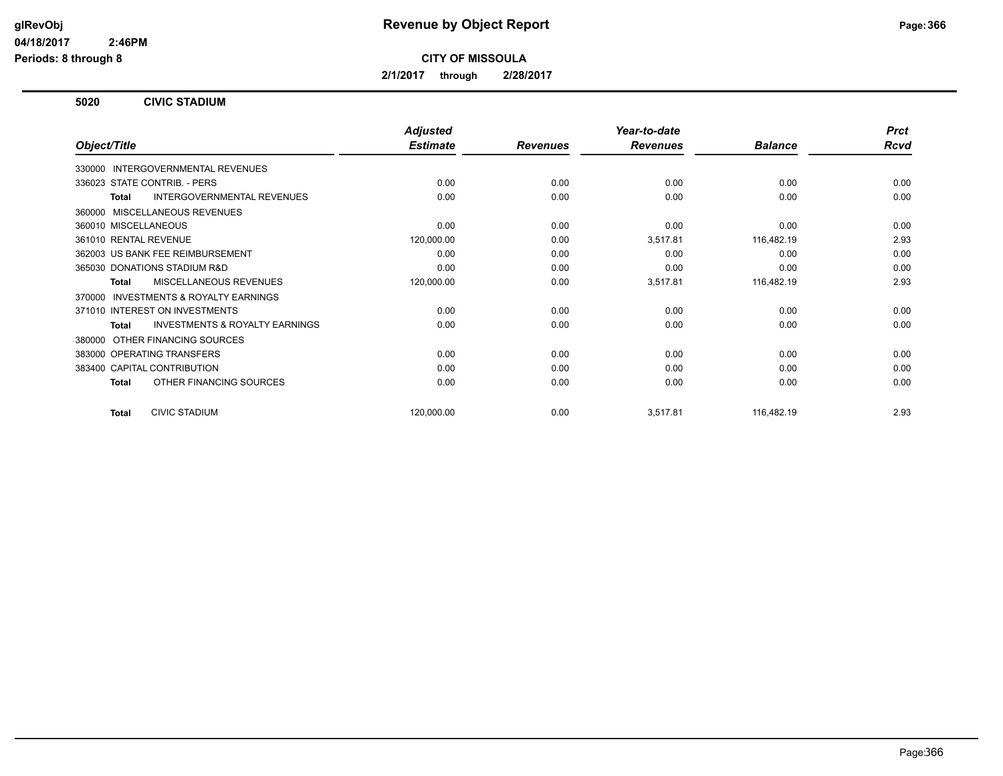**2/1/2017 through 2/28/2017**

#### **5020 CIVIC STADIUM**

|                                                           | <b>Adjusted</b> |                 | Year-to-date    |                | <b>Prct</b> |
|-----------------------------------------------------------|-----------------|-----------------|-----------------|----------------|-------------|
| Object/Title                                              | <b>Estimate</b> | <b>Revenues</b> | <b>Revenues</b> | <b>Balance</b> | <b>Rcvd</b> |
| 330000 INTERGOVERNMENTAL REVENUES                         |                 |                 |                 |                |             |
| 336023 STATE CONTRIB. - PERS                              | 0.00            | 0.00            | 0.00            | 0.00           | 0.00        |
| <b>INTERGOVERNMENTAL REVENUES</b><br>Total                | 0.00            | 0.00            | 0.00            | 0.00           | 0.00        |
| 360000 MISCELLANEOUS REVENUES                             |                 |                 |                 |                |             |
| 360010 MISCELLANEOUS                                      | 0.00            | 0.00            | 0.00            | 0.00           | 0.00        |
| 361010 RENTAL REVENUE                                     | 120,000.00      | 0.00            | 3,517.81        | 116,482.19     | 2.93        |
| 362003 US BANK FEE REIMBURSEMENT                          | 0.00            | 0.00            | 0.00            | 0.00           | 0.00        |
| 365030 DONATIONS STADIUM R&D                              | 0.00            | 0.00            | 0.00            | 0.00           | 0.00        |
| MISCELLANEOUS REVENUES<br>Total                           | 120,000.00      | 0.00            | 3,517.81        | 116,482.19     | 2.93        |
| 370000 INVESTMENTS & ROYALTY EARNINGS                     |                 |                 |                 |                |             |
| 371010 INTEREST ON INVESTMENTS                            | 0.00            | 0.00            | 0.00            | 0.00           | 0.00        |
| <b>INVESTMENTS &amp; ROYALTY EARNINGS</b><br><b>Total</b> | 0.00            | 0.00            | 0.00            | 0.00           | 0.00        |
| 380000 OTHER FINANCING SOURCES                            |                 |                 |                 |                |             |
| 383000 OPERATING TRANSFERS                                | 0.00            | 0.00            | 0.00            | 0.00           | 0.00        |
| 383400 CAPITAL CONTRIBUTION                               | 0.00            | 0.00            | 0.00            | 0.00           | 0.00        |
| OTHER FINANCING SOURCES<br><b>Total</b>                   | 0.00            | 0.00            | 0.00            | 0.00           | 0.00        |
| <b>CIVIC STADIUM</b><br><b>Total</b>                      | 120,000.00      | 0.00            | 3,517.81        | 116,482.19     | 2.93        |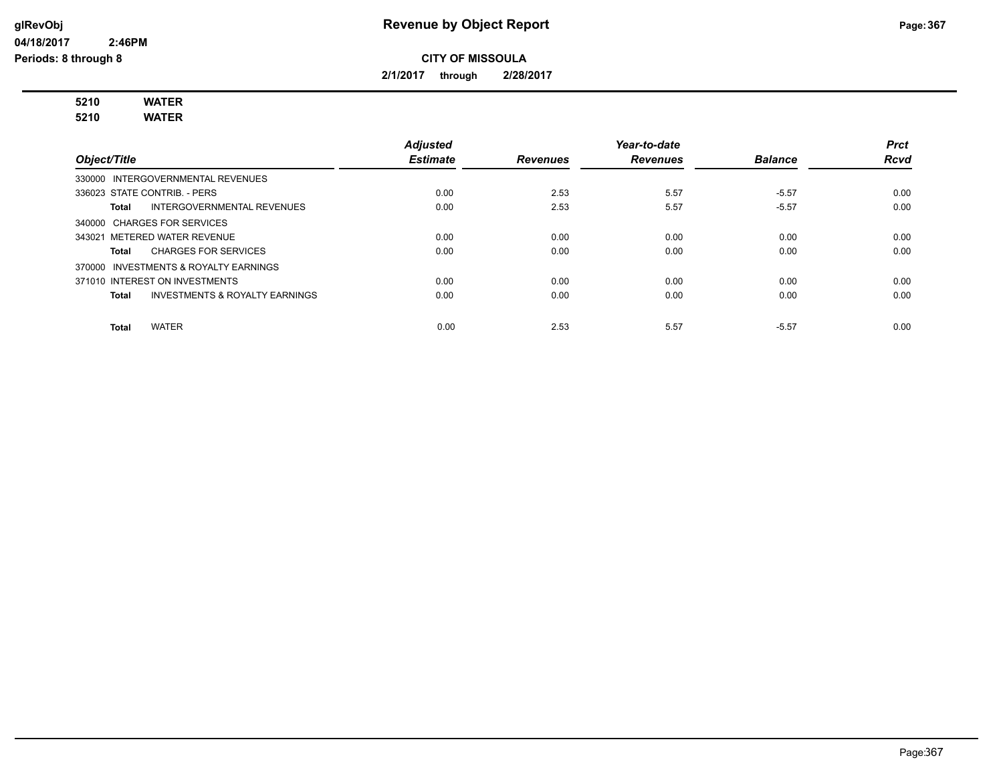**2/1/2017 through 2/28/2017**

# **5210 WATER**

**5210 WATER**

|                                                    | <b>Adjusted</b> |                 | Year-to-date    |                | <b>Prct</b> |
|----------------------------------------------------|-----------------|-----------------|-----------------|----------------|-------------|
| Object/Title                                       | <b>Estimate</b> | <b>Revenues</b> | <b>Revenues</b> | <b>Balance</b> | <b>Rcvd</b> |
| 330000 INTERGOVERNMENTAL REVENUES                  |                 |                 |                 |                |             |
| 336023 STATE CONTRIB. - PERS                       | 0.00            | 2.53            | 5.57            | $-5.57$        | 0.00        |
| <b>INTERGOVERNMENTAL REVENUES</b><br>Total         | 0.00            | 2.53            | 5.57            | $-5.57$        | 0.00        |
| 340000 CHARGES FOR SERVICES                        |                 |                 |                 |                |             |
| 343021 METERED WATER REVENUE                       | 0.00            | 0.00            | 0.00            | 0.00           | 0.00        |
| <b>CHARGES FOR SERVICES</b><br>Total               | 0.00            | 0.00            | 0.00            | 0.00           | 0.00        |
| 370000 INVESTMENTS & ROYALTY EARNINGS              |                 |                 |                 |                |             |
| 371010 INTEREST ON INVESTMENTS                     | 0.00            | 0.00            | 0.00            | 0.00           | 0.00        |
| <b>INVESTMENTS &amp; ROYALTY EARNINGS</b><br>Total | 0.00            | 0.00            | 0.00            | 0.00           | 0.00        |
|                                                    |                 |                 |                 |                |             |
| <b>WATER</b><br>Total                              | 0.00            | 2.53            | 5.57            | $-5.57$        | 0.00        |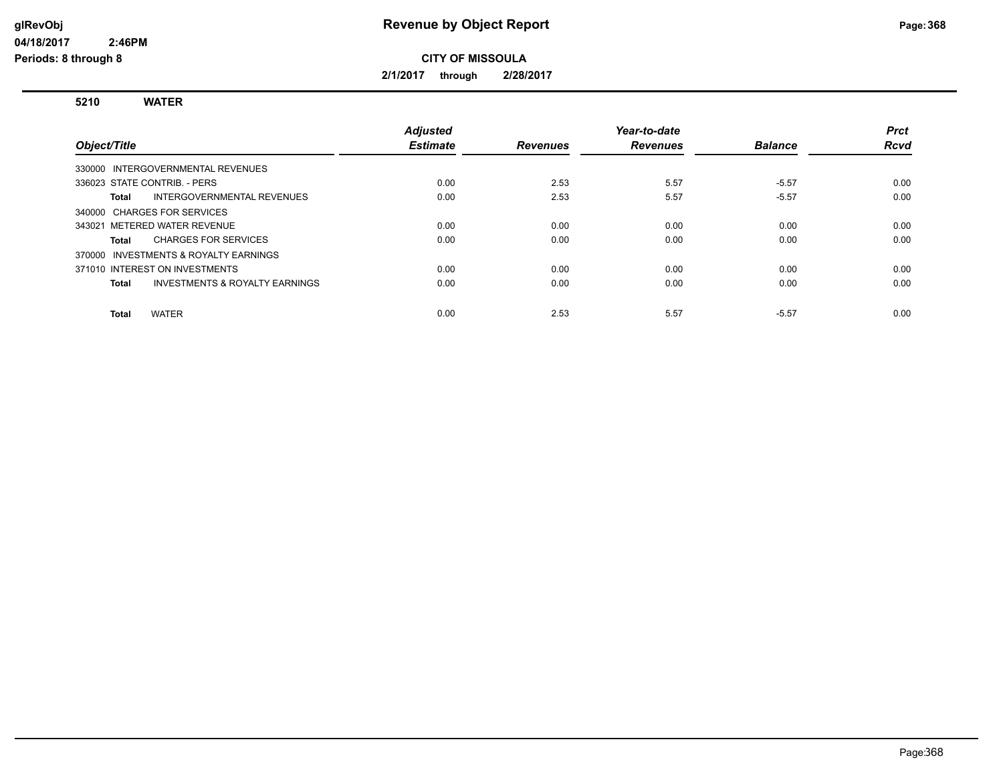**2/1/2017 through 2/28/2017**

**5210 WATER**

|                                            | <b>Adjusted</b> |                 | Year-to-date    |                | <b>Prct</b> |
|--------------------------------------------|-----------------|-----------------|-----------------|----------------|-------------|
| Object/Title                               | <b>Estimate</b> | <b>Revenues</b> | <b>Revenues</b> | <b>Balance</b> | <b>Rcvd</b> |
| 330000 INTERGOVERNMENTAL REVENUES          |                 |                 |                 |                |             |
| 336023 STATE CONTRIB. - PERS               | 0.00            | 2.53            | 5.57            | $-5.57$        | 0.00        |
| <b>INTERGOVERNMENTAL REVENUES</b><br>Total | 0.00            | 2.53            | 5.57            | $-5.57$        | 0.00        |
| 340000 CHARGES FOR SERVICES                |                 |                 |                 |                |             |
| 343021 METERED WATER REVENUE               | 0.00            | 0.00            | 0.00            | 0.00           | 0.00        |
| <b>CHARGES FOR SERVICES</b><br>Total       | 0.00            | 0.00            | 0.00            | 0.00           | 0.00        |
| 370000 INVESTMENTS & ROYALTY EARNINGS      |                 |                 |                 |                |             |
| 371010 INTEREST ON INVESTMENTS             | 0.00            | 0.00            | 0.00            | 0.00           | 0.00        |
| INVESTMENTS & ROYALTY EARNINGS<br>Total    | 0.00            | 0.00            | 0.00            | 0.00           | 0.00        |
|                                            |                 |                 |                 |                |             |
| <b>WATER</b><br><b>Total</b>               | 0.00            | 2.53            | 5.57            | $-5.57$        | 0.00        |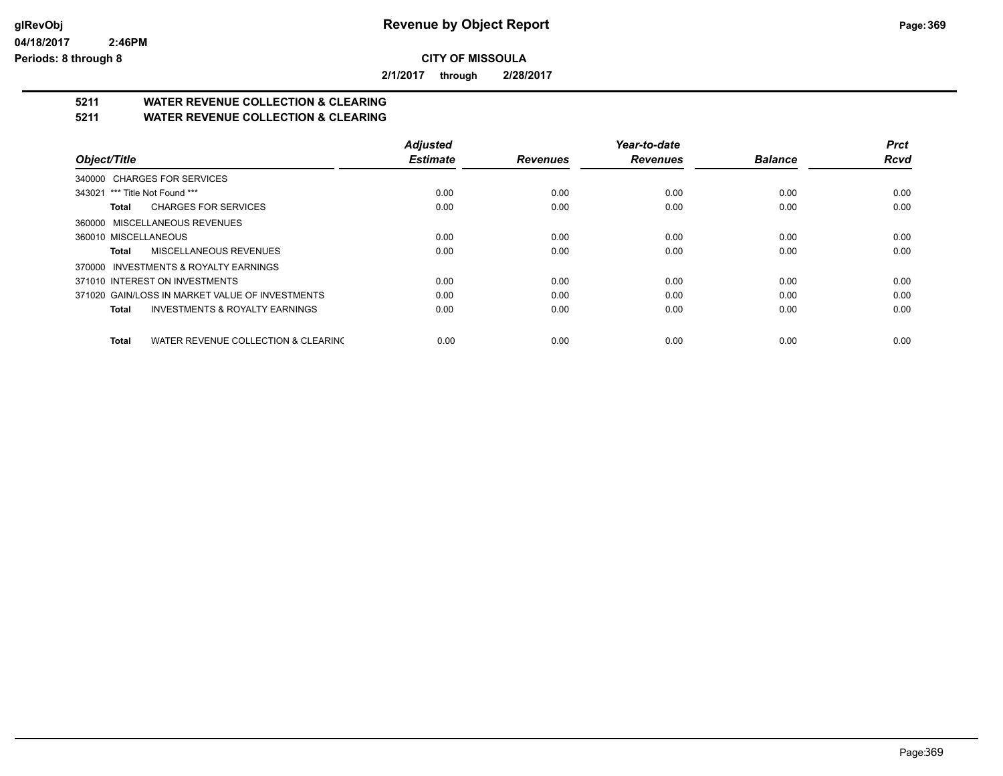**2/1/2017 through 2/28/2017**

# **5211 WATER REVENUE COLLECTION & CLEARING 5211 WATER REVENUE COLLECTION & CLEARING**

|                                                     | <b>Adjusted</b> |                 | Year-to-date    |                | <b>Prct</b> |
|-----------------------------------------------------|-----------------|-----------------|-----------------|----------------|-------------|
| Object/Title                                        | <b>Estimate</b> | <b>Revenues</b> | <b>Revenues</b> | <b>Balance</b> | <b>Rcvd</b> |
| 340000 CHARGES FOR SERVICES                         |                 |                 |                 |                |             |
| *** Title Not Found ***<br>343021                   | 0.00            | 0.00            | 0.00            | 0.00           | 0.00        |
| <b>CHARGES FOR SERVICES</b><br>Total                | 0.00            | 0.00            | 0.00            | 0.00           | 0.00        |
| 360000 MISCELLANEOUS REVENUES                       |                 |                 |                 |                |             |
| 360010 MISCELLANEOUS                                | 0.00            | 0.00            | 0.00            | 0.00           | 0.00        |
| <b>MISCELLANEOUS REVENUES</b><br>Total              | 0.00            | 0.00            | 0.00            | 0.00           | 0.00        |
| <b>INVESTMENTS &amp; ROYALTY EARNINGS</b><br>370000 |                 |                 |                 |                |             |
| 371010 INTEREST ON INVESTMENTS                      | 0.00            | 0.00            | 0.00            | 0.00           | 0.00        |
| 371020 GAIN/LOSS IN MARKET VALUE OF INVESTMENTS     | 0.00            | 0.00            | 0.00            | 0.00           | 0.00        |
| <b>INVESTMENTS &amp; ROYALTY EARNINGS</b><br>Total  | 0.00            | 0.00            | 0.00            | 0.00           | 0.00        |
| WATER REVENUE COLLECTION & CLEARING<br><b>Total</b> | 0.00            | 0.00            | 0.00            | 0.00           | 0.00        |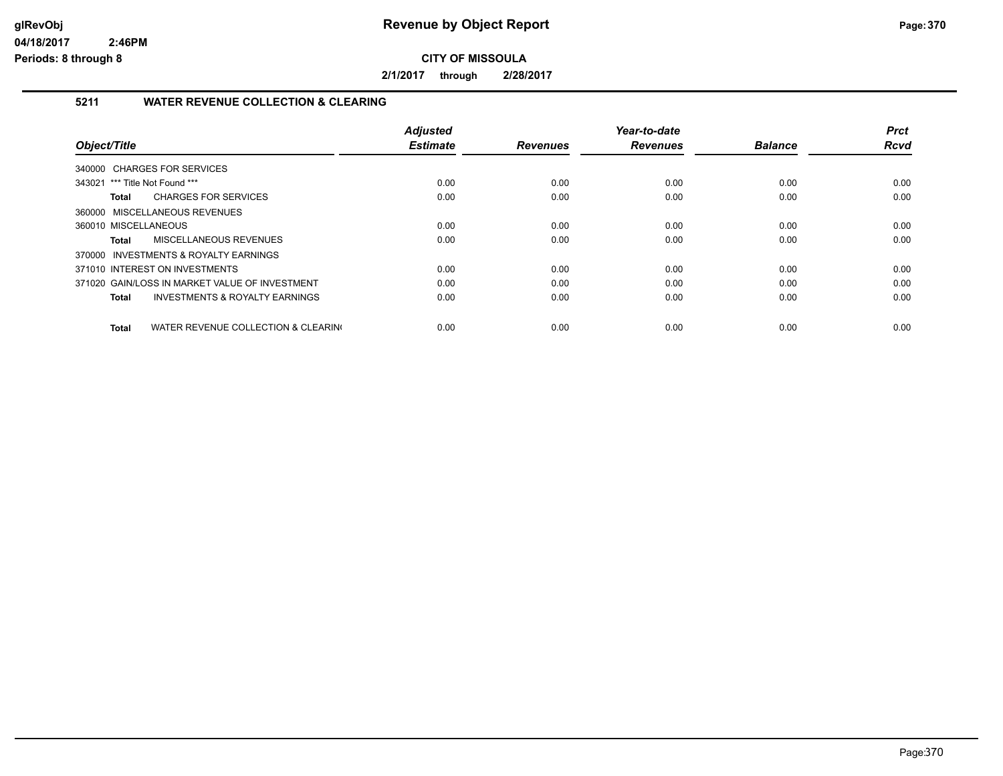**2/1/2017 through 2/28/2017**

### **5211 WATER REVENUE COLLECTION & CLEARING**

|                                                     | <b>Adjusted</b> |                 | Year-to-date    |                | <b>Prct</b> |
|-----------------------------------------------------|-----------------|-----------------|-----------------|----------------|-------------|
| Object/Title                                        | <b>Estimate</b> | <b>Revenues</b> | <b>Revenues</b> | <b>Balance</b> | <b>Rcvd</b> |
| 340000 CHARGES FOR SERVICES                         |                 |                 |                 |                |             |
| 343021 *** Title Not Found ***                      | 0.00            | 0.00            | 0.00            | 0.00           | 0.00        |
| <b>CHARGES FOR SERVICES</b><br>Total                | 0.00            | 0.00            | 0.00            | 0.00           | 0.00        |
| 360000 MISCELLANEOUS REVENUES                       |                 |                 |                 |                |             |
| 360010 MISCELLANEOUS                                | 0.00            | 0.00            | 0.00            | 0.00           | 0.00        |
| <b>MISCELLANEOUS REVENUES</b><br>Total              | 0.00            | 0.00            | 0.00            | 0.00           | 0.00        |
| 370000 INVESTMENTS & ROYALTY EARNINGS               |                 |                 |                 |                |             |
| 371010 INTEREST ON INVESTMENTS                      | 0.00            | 0.00            | 0.00            | 0.00           | 0.00        |
| 371020 GAIN/LOSS IN MARKET VALUE OF INVESTMENT      | 0.00            | 0.00            | 0.00            | 0.00           | 0.00        |
| <b>INVESTMENTS &amp; ROYALTY EARNINGS</b><br>Total  | 0.00            | 0.00            | 0.00            | 0.00           | 0.00        |
| WATER REVENUE COLLECTION & CLEARING<br><b>Total</b> | 0.00            | 0.00            | 0.00            | 0.00           | 0.00        |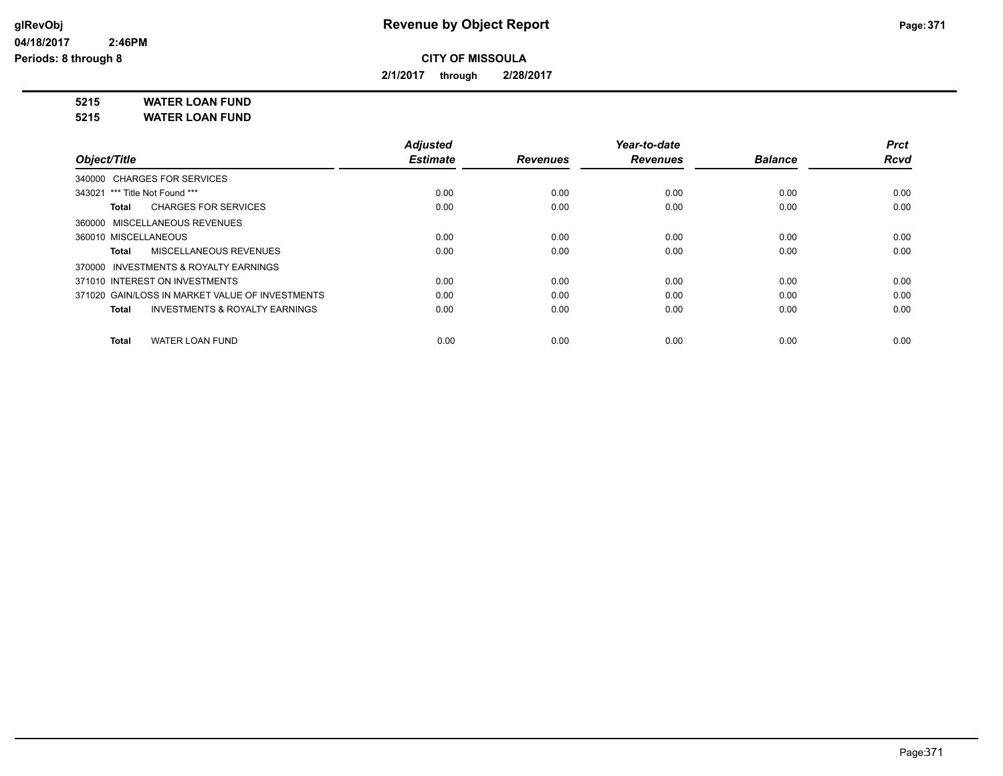**2/1/2017 through 2/28/2017**

**5215 WATER LOAN FUND**

|                                                    | <b>Adjusted</b> |                 | Year-to-date    |                | <b>Prct</b> |
|----------------------------------------------------|-----------------|-----------------|-----------------|----------------|-------------|
| Object/Title                                       | <b>Estimate</b> | <b>Revenues</b> | <b>Revenues</b> | <b>Balance</b> | <b>Rcvd</b> |
| 340000 CHARGES FOR SERVICES                        |                 |                 |                 |                |             |
| 343021 *** Title Not Found ***                     | 0.00            | 0.00            | 0.00            | 0.00           | 0.00        |
| <b>CHARGES FOR SERVICES</b><br>Total               | 0.00            | 0.00            | 0.00            | 0.00           | 0.00        |
| 360000 MISCELLANEOUS REVENUES                      |                 |                 |                 |                |             |
| 360010 MISCELLANEOUS                               | 0.00            | 0.00            | 0.00            | 0.00           | 0.00        |
| MISCELLANEOUS REVENUES<br>Total                    | 0.00            | 0.00            | 0.00            | 0.00           | 0.00        |
| 370000 INVESTMENTS & ROYALTY EARNINGS              |                 |                 |                 |                |             |
| 371010 INTEREST ON INVESTMENTS                     | 0.00            | 0.00            | 0.00            | 0.00           | 0.00        |
| 371020 GAIN/LOSS IN MARKET VALUE OF INVESTMENTS    | 0.00            | 0.00            | 0.00            | 0.00           | 0.00        |
| <b>INVESTMENTS &amp; ROYALTY EARNINGS</b><br>Total | 0.00            | 0.00            | 0.00            | 0.00           | 0.00        |
| <b>WATER LOAN FUND</b><br><b>Total</b>             | 0.00            | 0.00            | 0.00            | 0.00           | 0.00        |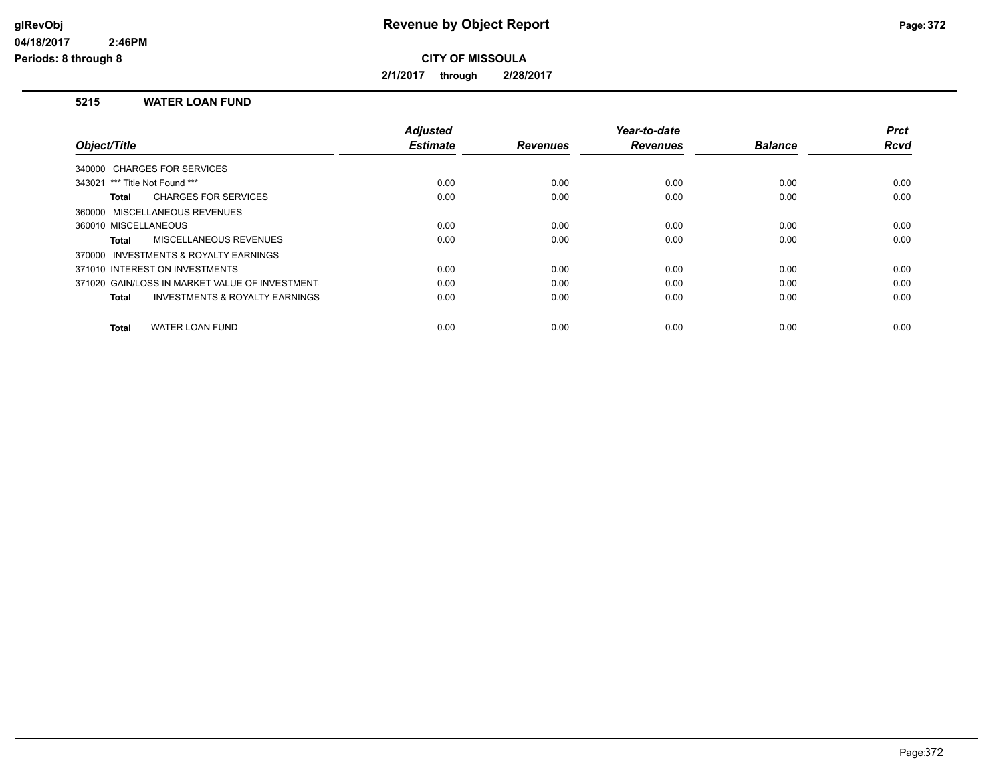**2/1/2017 through 2/28/2017**

### **5215 WATER LOAN FUND**

|                                                | <b>Adjusted</b> |                 | Year-to-date    |                | <b>Prct</b> |
|------------------------------------------------|-----------------|-----------------|-----------------|----------------|-------------|
| Object/Title                                   | <b>Estimate</b> | <b>Revenues</b> | <b>Revenues</b> | <b>Balance</b> | <b>Rcvd</b> |
| 340000 CHARGES FOR SERVICES                    |                 |                 |                 |                |             |
| 343021 *** Title Not Found ***                 | 0.00            | 0.00            | 0.00            | 0.00           | 0.00        |
| <b>CHARGES FOR SERVICES</b><br>Total           | 0.00            | 0.00            | 0.00            | 0.00           | 0.00        |
| 360000 MISCELLANEOUS REVENUES                  |                 |                 |                 |                |             |
| 360010 MISCELLANEOUS                           | 0.00            | 0.00            | 0.00            | 0.00           | 0.00        |
| MISCELLANEOUS REVENUES<br>Total                | 0.00            | 0.00            | 0.00            | 0.00           | 0.00        |
| 370000 INVESTMENTS & ROYALTY EARNINGS          |                 |                 |                 |                |             |
| 371010 INTEREST ON INVESTMENTS                 | 0.00            | 0.00            | 0.00            | 0.00           | 0.00        |
| 371020 GAIN/LOSS IN MARKET VALUE OF INVESTMENT | 0.00            | 0.00            | 0.00            | 0.00           | 0.00        |
| INVESTMENTS & ROYALTY EARNINGS<br>Total        | 0.00            | 0.00            | 0.00            | 0.00           | 0.00        |
| <b>WATER LOAN FUND</b><br><b>Total</b>         | 0.00            | 0.00            | 0.00            | 0.00           | 0.00        |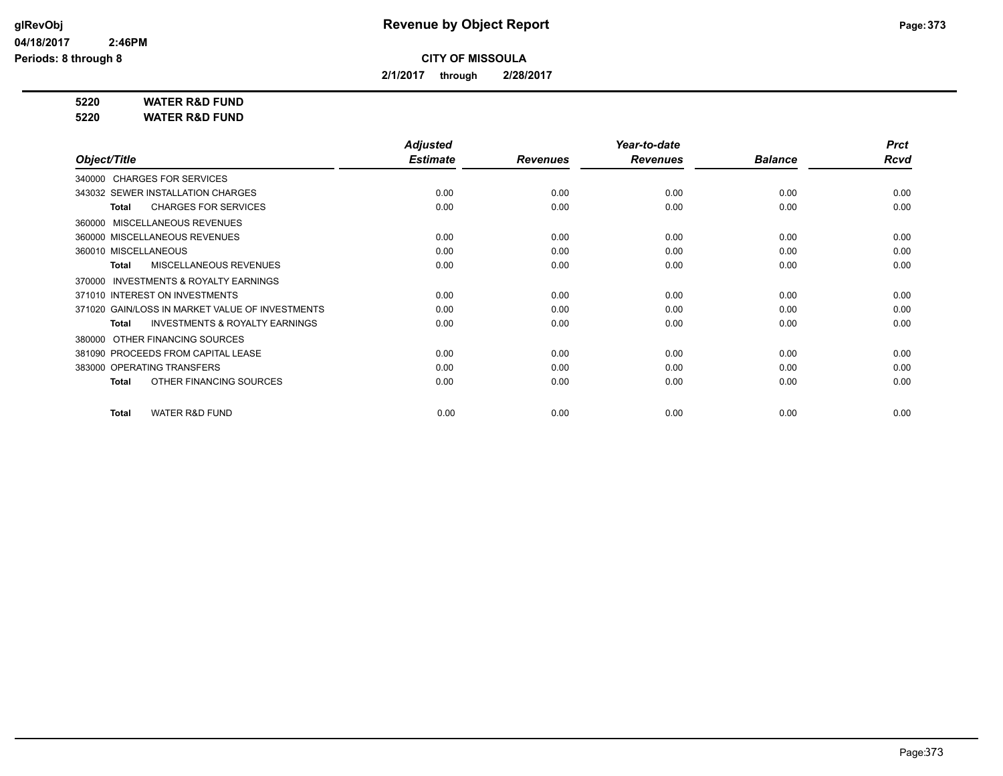**2/1/2017 through 2/28/2017**

**5220 WATER R&D FUND 5220 WATER R&D FUND**

|                                                           | <b>Adjusted</b> |                 | Year-to-date    |                | <b>Prct</b> |
|-----------------------------------------------------------|-----------------|-----------------|-----------------|----------------|-------------|
| Object/Title                                              | <b>Estimate</b> | <b>Revenues</b> | <b>Revenues</b> | <b>Balance</b> | <b>Rcvd</b> |
| 340000 CHARGES FOR SERVICES                               |                 |                 |                 |                |             |
| 343032 SEWER INSTALLATION CHARGES                         | 0.00            | 0.00            | 0.00            | 0.00           | 0.00        |
| <b>CHARGES FOR SERVICES</b><br>Total                      | 0.00            | 0.00            | 0.00            | 0.00           | 0.00        |
| MISCELLANEOUS REVENUES<br>360000                          |                 |                 |                 |                |             |
| 360000 MISCELLANEOUS REVENUES                             | 0.00            | 0.00            | 0.00            | 0.00           | 0.00        |
| 360010 MISCELLANEOUS                                      | 0.00            | 0.00            | 0.00            | 0.00           | 0.00        |
| MISCELLANEOUS REVENUES<br><b>Total</b>                    | 0.00            | 0.00            | 0.00            | 0.00           | 0.00        |
| <b>INVESTMENTS &amp; ROYALTY EARNINGS</b><br>370000       |                 |                 |                 |                |             |
| 371010 INTEREST ON INVESTMENTS                            | 0.00            | 0.00            | 0.00            | 0.00           | 0.00        |
| 371020 GAIN/LOSS IN MARKET VALUE OF INVESTMENTS           | 0.00            | 0.00            | 0.00            | 0.00           | 0.00        |
| <b>INVESTMENTS &amp; ROYALTY EARNINGS</b><br><b>Total</b> | 0.00            | 0.00            | 0.00            | 0.00           | 0.00        |
| OTHER FINANCING SOURCES<br>380000                         |                 |                 |                 |                |             |
| 381090 PROCEEDS FROM CAPITAL LEASE                        | 0.00            | 0.00            | 0.00            | 0.00           | 0.00        |
| 383000 OPERATING TRANSFERS                                | 0.00            | 0.00            | 0.00            | 0.00           | 0.00        |
| OTHER FINANCING SOURCES<br><b>Total</b>                   | 0.00            | 0.00            | 0.00            | 0.00           | 0.00        |
|                                                           |                 |                 |                 |                |             |
| <b>WATER R&amp;D FUND</b><br><b>Total</b>                 | 0.00            | 0.00            | 0.00            | 0.00           | 0.00        |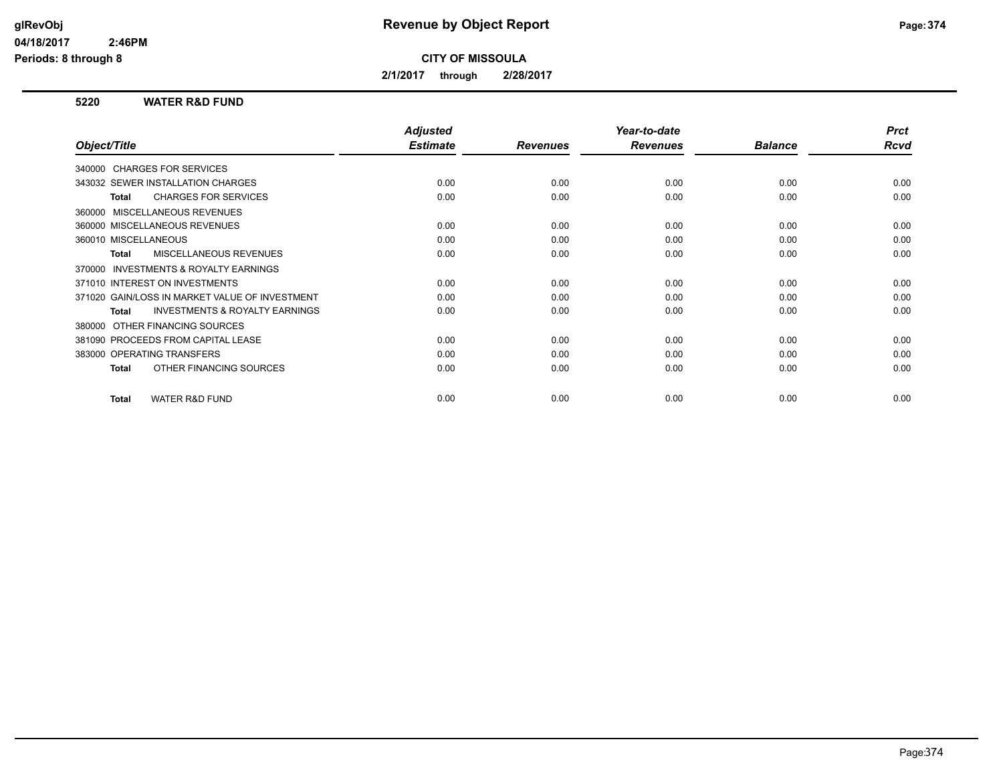**2/1/2017 through 2/28/2017**

### **5220 WATER R&D FUND**

|                                                           | <b>Adjusted</b> |                 | Year-to-date    |                | <b>Prct</b> |
|-----------------------------------------------------------|-----------------|-----------------|-----------------|----------------|-------------|
| Object/Title                                              | <b>Estimate</b> | <b>Revenues</b> | <b>Revenues</b> | <b>Balance</b> | Rcvd        |
| 340000 CHARGES FOR SERVICES                               |                 |                 |                 |                |             |
| 343032 SEWER INSTALLATION CHARGES                         | 0.00            | 0.00            | 0.00            | 0.00           | 0.00        |
| <b>CHARGES FOR SERVICES</b><br>Total                      | 0.00            | 0.00            | 0.00            | 0.00           | 0.00        |
| 360000 MISCELLANEOUS REVENUES                             |                 |                 |                 |                |             |
| 360000 MISCELLANEOUS REVENUES                             | 0.00            | 0.00            | 0.00            | 0.00           | 0.00        |
| 360010 MISCELLANEOUS                                      | 0.00            | 0.00            | 0.00            | 0.00           | 0.00        |
| <b>MISCELLANEOUS REVENUES</b><br><b>Total</b>             | 0.00            | 0.00            | 0.00            | 0.00           | 0.00        |
| <b>INVESTMENTS &amp; ROYALTY EARNINGS</b><br>370000       |                 |                 |                 |                |             |
| 371010 INTEREST ON INVESTMENTS                            | 0.00            | 0.00            | 0.00            | 0.00           | 0.00        |
| 371020 GAIN/LOSS IN MARKET VALUE OF INVESTMENT            | 0.00            | 0.00            | 0.00            | 0.00           | 0.00        |
| <b>INVESTMENTS &amp; ROYALTY EARNINGS</b><br><b>Total</b> | 0.00            | 0.00            | 0.00            | 0.00           | 0.00        |
| 380000 OTHER FINANCING SOURCES                            |                 |                 |                 |                |             |
| 381090 PROCEEDS FROM CAPITAL LEASE                        | 0.00            | 0.00            | 0.00            | 0.00           | 0.00        |
| 383000 OPERATING TRANSFERS                                | 0.00            | 0.00            | 0.00            | 0.00           | 0.00        |
| OTHER FINANCING SOURCES<br><b>Total</b>                   | 0.00            | 0.00            | 0.00            | 0.00           | 0.00        |
|                                                           |                 |                 |                 |                |             |
| <b>WATER R&amp;D FUND</b><br><b>Total</b>                 | 0.00            | 0.00            | 0.00            | 0.00           | 0.00        |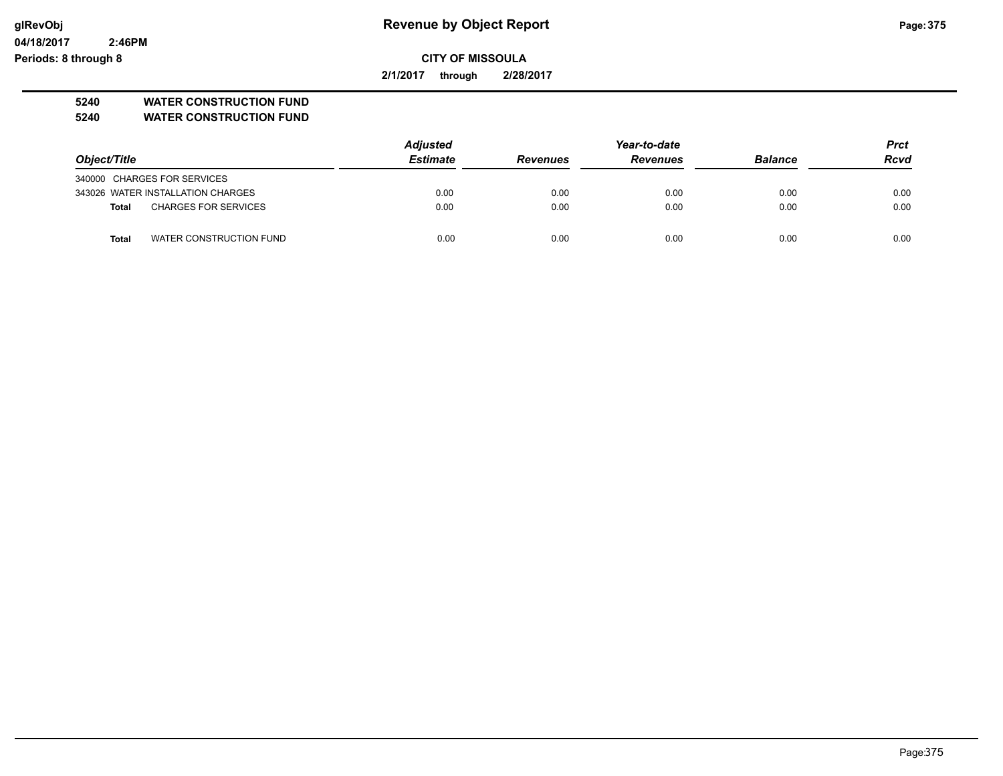**04/18/2017 2:46PM Periods: 8 through 8**

**CITY OF MISSOULA**

**2/1/2017 through 2/28/2017**

**5240 WATER CONSTRUCTION FUND**

**5240 WATER CONSTRUCTION FUND**

|                                   |                             | <b>Adjusted</b> |                 | Year-to-date    |                |             |
|-----------------------------------|-----------------------------|-----------------|-----------------|-----------------|----------------|-------------|
| Object/Title                      |                             | <b>Estimate</b> | <b>Revenues</b> | <b>Revenues</b> | <b>Balance</b> | <b>Rcvd</b> |
| 340000 CHARGES FOR SERVICES       |                             |                 |                 |                 |                |             |
| 343026 WATER INSTALLATION CHARGES |                             | 0.00            | 0.00            | 0.00            | 0.00           | 0.00        |
| <b>Total</b>                      | <b>CHARGES FOR SERVICES</b> | 0.00            | 0.00            | 0.00            | 0.00           | 0.00        |
| Total                             | WATER CONSTRUCTION FUND     | 0.00            | 0.00            | 0.00            | 0.00           | 0.00        |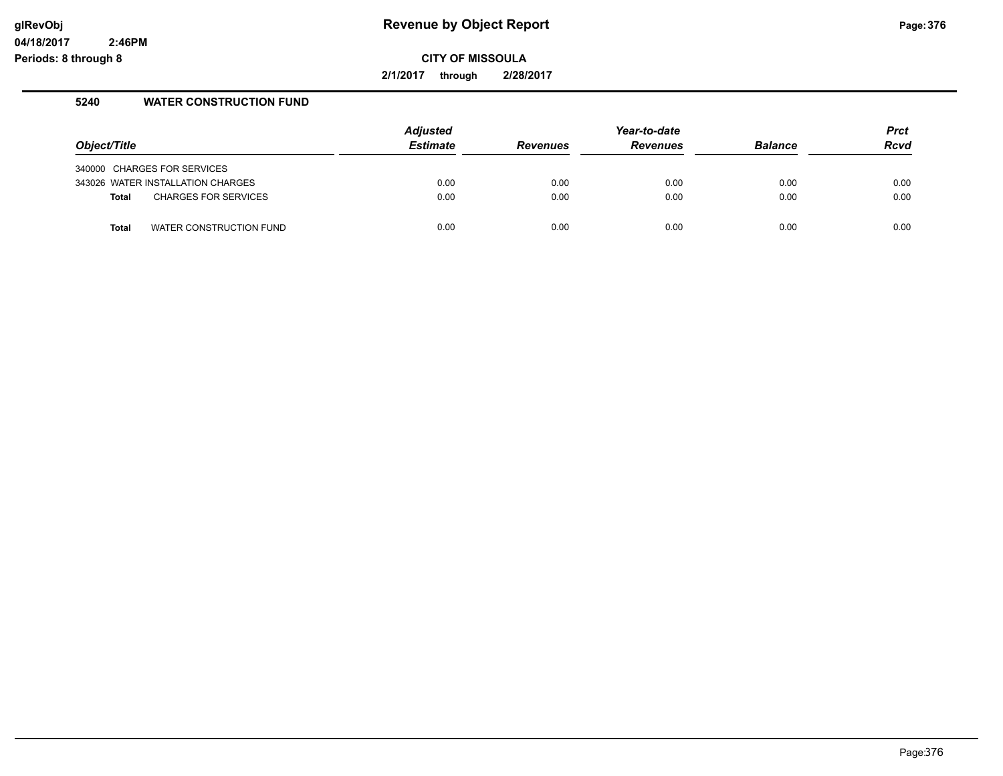**Periods: 8 through 8**

**CITY OF MISSOULA**

**2/1/2017 through 2/28/2017**

# **5240 WATER CONSTRUCTION FUND**

 **2:46PM**

|                                             | <b>Adjusted</b> |                                    | Year-to-date |                | <b>Prct</b> |
|---------------------------------------------|-----------------|------------------------------------|--------------|----------------|-------------|
| Object/Title                                | <b>Estimate</b> | <b>Revenues</b><br><b>Revenues</b> |              | <b>Balance</b> | Rcvd        |
| 340000 CHARGES FOR SERVICES                 |                 |                                    |              |                |             |
| 343026 WATER INSTALLATION CHARGES           | 0.00            | 0.00                               | 0.00         | 0.00           | 0.00        |
| <b>CHARGES FOR SERVICES</b><br><b>Total</b> | 0.00            | 0.00                               | 0.00         | 0.00           | 0.00        |
| WATER CONSTRUCTION FUND<br>Total            | 0.00            | 0.00                               | 0.00         | 0.00           | 0.00        |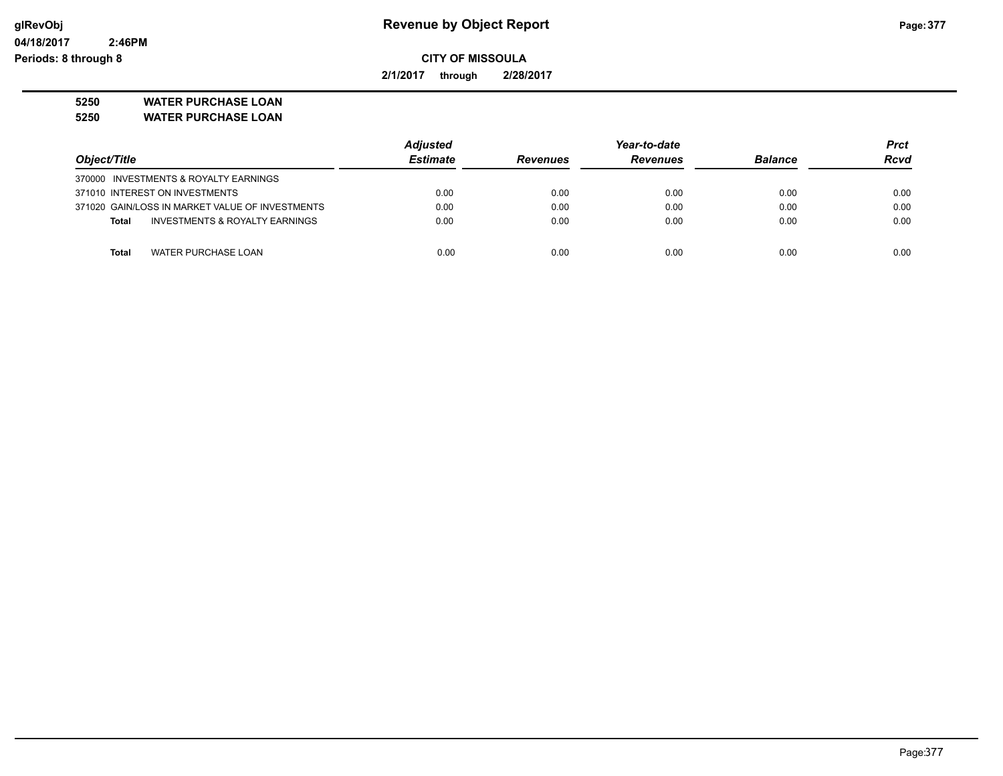**2/1/2017 through 2/28/2017**

**5250 WATER PURCHASE LOAN 5250 WATER PURCHASE LOAN**

|              |                                                 | <b>Adjusted</b> |                 | Year-to-date   |             | <b>Prct</b> |
|--------------|-------------------------------------------------|-----------------|-----------------|----------------|-------------|-------------|
| Object/Title | <b>Estimate</b>                                 | <b>Revenues</b> | <b>Revenues</b> | <b>Balance</b> | <b>Rcvd</b> |             |
|              | 370000 INVESTMENTS & ROYALTY EARNINGS           |                 |                 |                |             |             |
|              | 371010 INTEREST ON INVESTMENTS                  | 0.00            | 0.00            | 0.00           | 0.00        | 0.00        |
|              | 371020 GAIN/LOSS IN MARKET VALUE OF INVESTMENTS | 0.00            | 0.00            | 0.00           | 0.00        | 0.00        |
| Total        | INVESTMENTS & ROYALTY EARNINGS                  | 0.00            | 0.00            | 0.00           | 0.00        | 0.00        |
| Total        | WATER PURCHASE LOAN                             | 0.00            | 0.00            | 0.00           | 0.00        | 0.00        |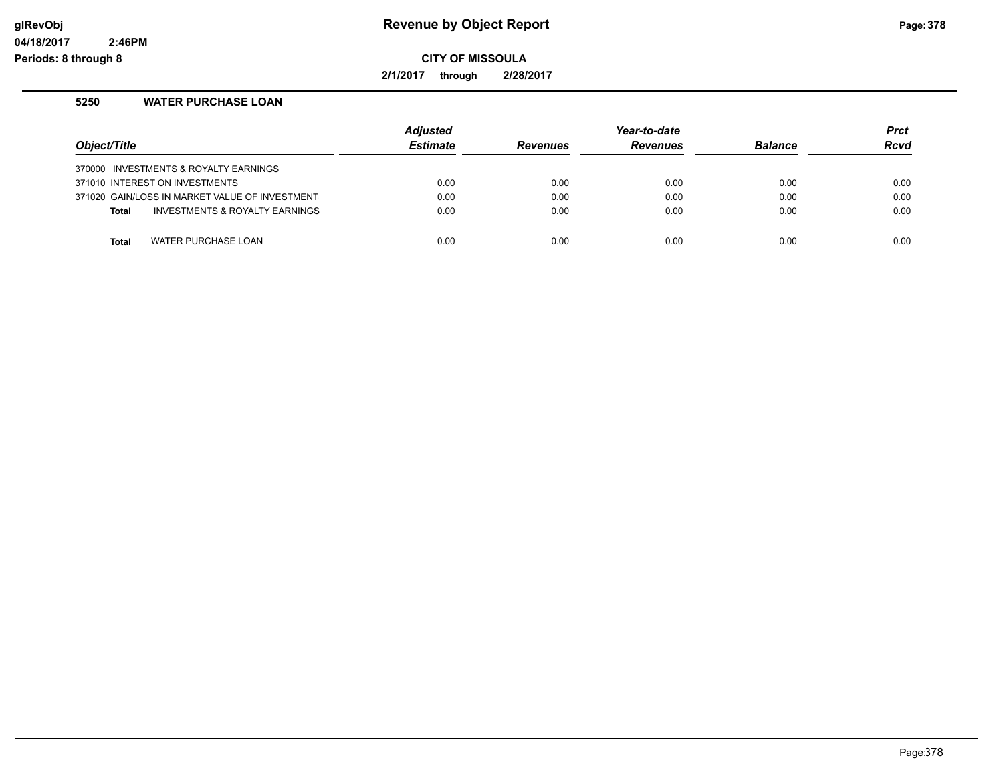**2/1/2017 through 2/28/2017**

# **5250 WATER PURCHASE LOAN**

|                                                    | <b>Adjusted</b> |                 | Year-to-date    |                | <b>Prct</b> |
|----------------------------------------------------|-----------------|-----------------|-----------------|----------------|-------------|
| Object/Title                                       | <b>Estimate</b> | <b>Revenues</b> | <b>Revenues</b> | <b>Balance</b> | <b>Rcvd</b> |
| 370000 INVESTMENTS & ROYALTY EARNINGS              |                 |                 |                 |                |             |
| 371010 INTEREST ON INVESTMENTS                     | 0.00            | 0.00            | 0.00            | 0.00           | 0.00        |
| 371020 GAIN/LOSS IN MARKET VALUE OF INVESTMENT     | 0.00            | 0.00            | 0.00            | 0.00           | 0.00        |
| <b>INVESTMENTS &amp; ROYALTY EARNINGS</b><br>Total | 0.00            | 0.00            | 0.00            | 0.00           | 0.00        |
|                                                    |                 |                 |                 |                |             |
| <b>Total</b><br><b>WATER PURCHASE LOAN</b>         | 0.00            | 0.00            | 0.00            | 0.00           | 0.00        |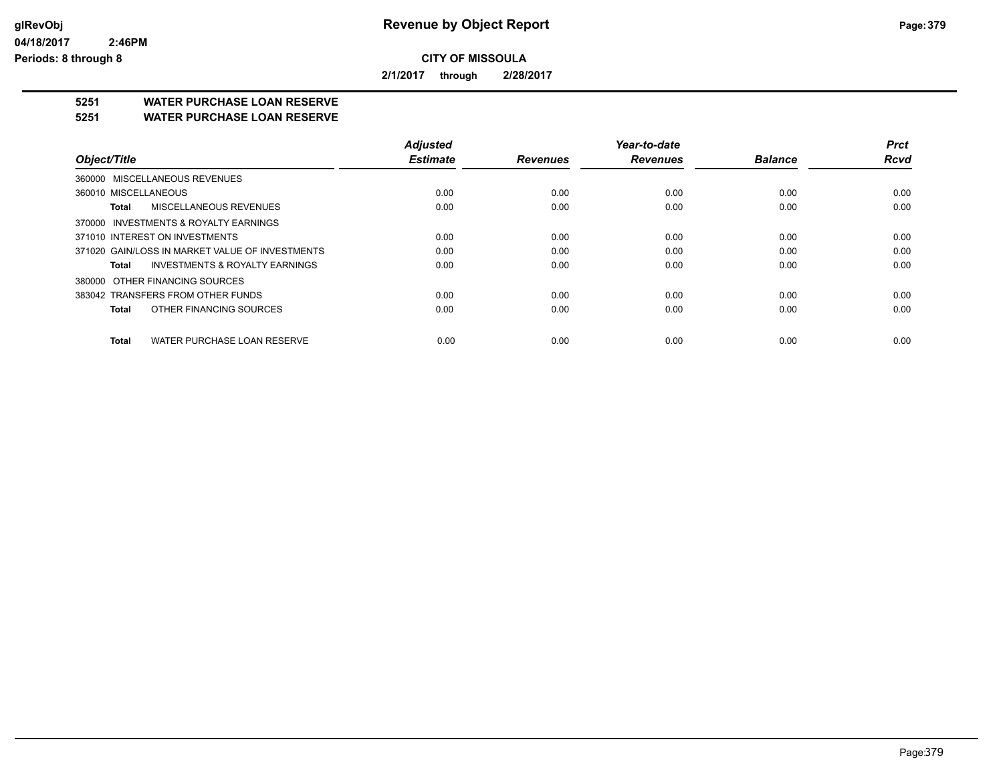**2/1/2017 through 2/28/2017**

# **5251 WATER PURCHASE LOAN RESERVE**

# **5251 WATER PURCHASE LOAN RESERVE**

|                                                    | <b>Adjusted</b> |                 | Year-to-date    |                | <b>Prct</b> |
|----------------------------------------------------|-----------------|-----------------|-----------------|----------------|-------------|
| Object/Title                                       | <b>Estimate</b> | <b>Revenues</b> | <b>Revenues</b> | <b>Balance</b> | Rcvd        |
| 360000 MISCELLANEOUS REVENUES                      |                 |                 |                 |                |             |
| 360010 MISCELLANEOUS                               | 0.00            | 0.00            | 0.00            | 0.00           | 0.00        |
| MISCELLANEOUS REVENUES<br>Total                    | 0.00            | 0.00            | 0.00            | 0.00           | 0.00        |
| 370000 INVESTMENTS & ROYALTY EARNINGS              |                 |                 |                 |                |             |
| 371010 INTEREST ON INVESTMENTS                     | 0.00            | 0.00            | 0.00            | 0.00           | 0.00        |
| 371020 GAIN/LOSS IN MARKET VALUE OF INVESTMENTS    | 0.00            | 0.00            | 0.00            | 0.00           | 0.00        |
| <b>INVESTMENTS &amp; ROYALTY EARNINGS</b><br>Total | 0.00            | 0.00            | 0.00            | 0.00           | 0.00        |
| 380000 OTHER FINANCING SOURCES                     |                 |                 |                 |                |             |
| 383042 TRANSFERS FROM OTHER FUNDS                  | 0.00            | 0.00            | 0.00            | 0.00           | 0.00        |
| OTHER FINANCING SOURCES<br>Total                   | 0.00            | 0.00            | 0.00            | 0.00           | 0.00        |
| WATER PURCHASE LOAN RESERVE<br><b>Total</b>        | 0.00            | 0.00            | 0.00            | 0.00           | 0.00        |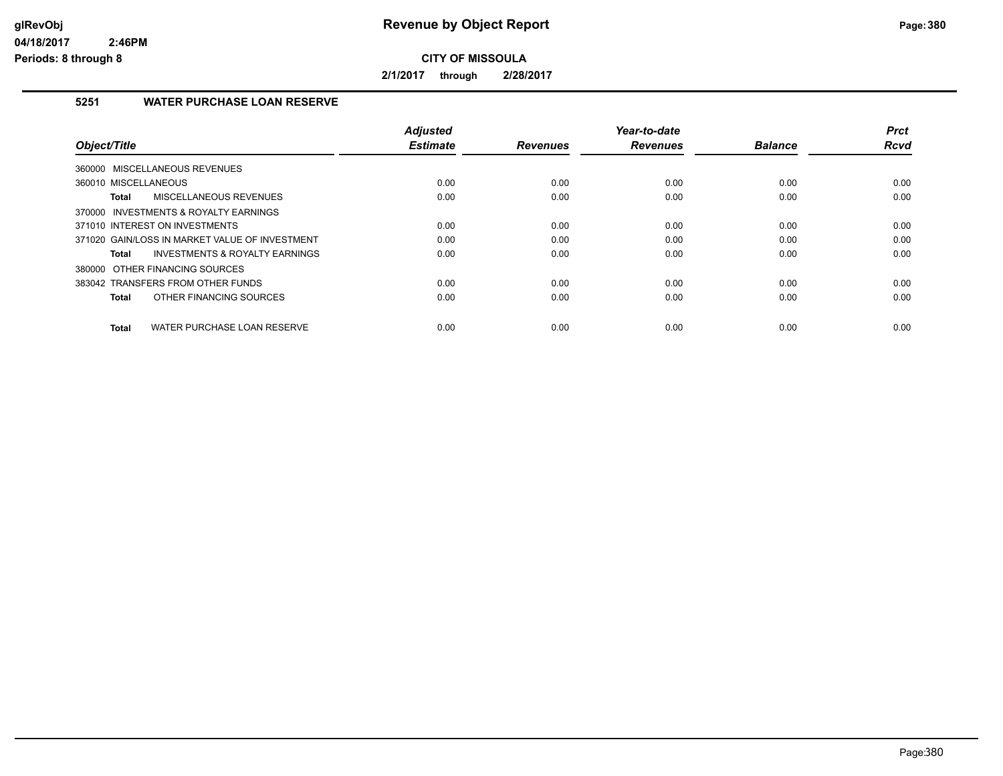**2/1/2017 through 2/28/2017**

# **5251 WATER PURCHASE LOAN RESERVE**

|                                                | <b>Adjusted</b> |                 | Year-to-date    |                | <b>Prct</b> |
|------------------------------------------------|-----------------|-----------------|-----------------|----------------|-------------|
| Object/Title                                   | <b>Estimate</b> | <b>Revenues</b> | <b>Revenues</b> | <b>Balance</b> | <b>Rcvd</b> |
| 360000 MISCELLANEOUS REVENUES                  |                 |                 |                 |                |             |
| 360010 MISCELLANEOUS                           | 0.00            | 0.00            | 0.00            | 0.00           | 0.00        |
| MISCELLANEOUS REVENUES<br>Total                | 0.00            | 0.00            | 0.00            | 0.00           | 0.00        |
| 370000 INVESTMENTS & ROYALTY EARNINGS          |                 |                 |                 |                |             |
| 371010 INTEREST ON INVESTMENTS                 | 0.00            | 0.00            | 0.00            | 0.00           | 0.00        |
| 371020 GAIN/LOSS IN MARKET VALUE OF INVESTMENT | 0.00            | 0.00            | 0.00            | 0.00           | 0.00        |
| INVESTMENTS & ROYALTY EARNINGS<br>Total        | 0.00            | 0.00            | 0.00            | 0.00           | 0.00        |
| 380000 OTHER FINANCING SOURCES                 |                 |                 |                 |                |             |
| 383042 TRANSFERS FROM OTHER FUNDS              | 0.00            | 0.00            | 0.00            | 0.00           | 0.00        |
| OTHER FINANCING SOURCES<br>Total               | 0.00            | 0.00            | 0.00            | 0.00           | 0.00        |
| <b>Total</b><br>WATER PURCHASE LOAN RESERVE    | 0.00            | 0.00            | 0.00            | 0.00           | 0.00        |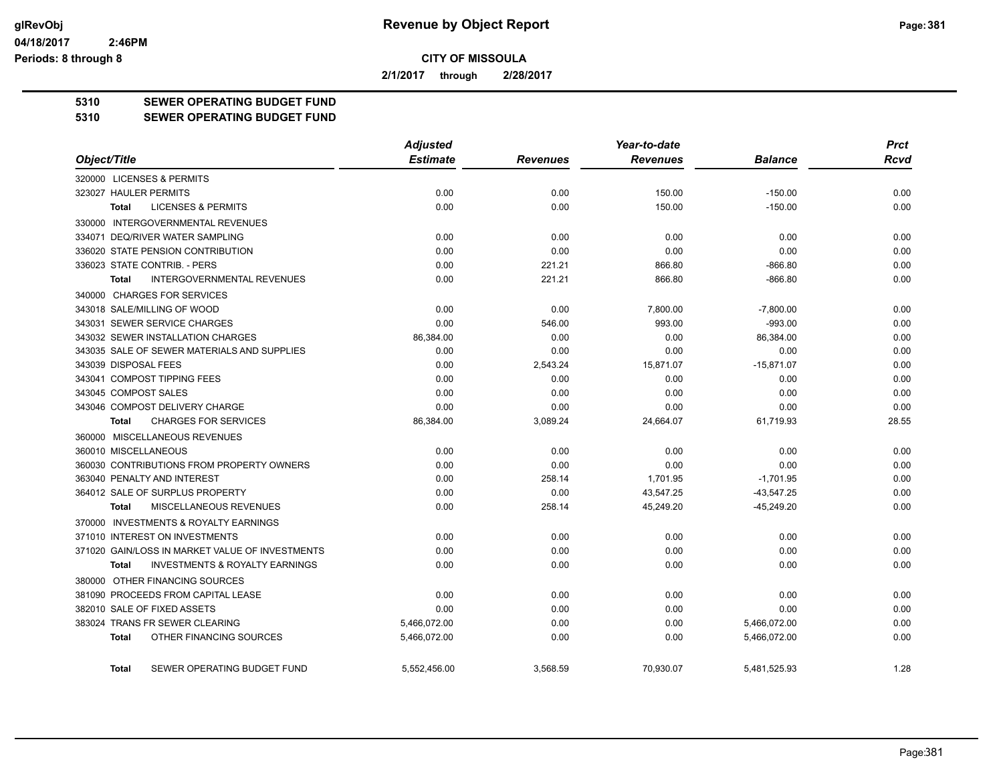**2/1/2017 through 2/28/2017**

# **5310 SEWER OPERATING BUDGET FUND**

**5310 SEWER OPERATING BUDGET FUND**

|                                                           | <b>Adjusted</b> |                 | Year-to-date    |                | <b>Prct</b> |
|-----------------------------------------------------------|-----------------|-----------------|-----------------|----------------|-------------|
| Object/Title                                              | <b>Estimate</b> | <b>Revenues</b> | <b>Revenues</b> | <b>Balance</b> | <b>Rcvd</b> |
| 320000 LICENSES & PERMITS                                 |                 |                 |                 |                |             |
| 323027 HAULER PERMITS                                     | 0.00            | 0.00            | 150.00          | $-150.00$      | 0.00        |
| <b>LICENSES &amp; PERMITS</b><br><b>Total</b>             | 0.00            | 0.00            | 150.00          | $-150.00$      | 0.00        |
| 330000 INTERGOVERNMENTAL REVENUES                         |                 |                 |                 |                |             |
| 334071 DEQ/RIVER WATER SAMPLING                           | 0.00            | 0.00            | 0.00            | 0.00           | 0.00        |
| 336020 STATE PENSION CONTRIBUTION                         | 0.00            | 0.00            | 0.00            | 0.00           | 0.00        |
| 336023 STATE CONTRIB. - PERS                              | 0.00            | 221.21          | 866.80          | $-866.80$      | 0.00        |
| <b>INTERGOVERNMENTAL REVENUES</b><br><b>Total</b>         | 0.00            | 221.21          | 866.80          | $-866.80$      | 0.00        |
| 340000 CHARGES FOR SERVICES                               |                 |                 |                 |                |             |
| 343018 SALE/MILLING OF WOOD                               | 0.00            | 0.00            | 7,800.00        | $-7,800.00$    | 0.00        |
| 343031 SEWER SERVICE CHARGES                              | 0.00            | 546.00          | 993.00          | $-993.00$      | 0.00        |
| 343032 SEWER INSTALLATION CHARGES                         | 86,384.00       | 0.00            | 0.00            | 86,384.00      | 0.00        |
| 343035 SALE OF SEWER MATERIALS AND SUPPLIES               | 0.00            | 0.00            | 0.00            | 0.00           | 0.00        |
| 343039 DISPOSAL FEES                                      | 0.00            | 2,543.24        | 15,871.07       | $-15,871.07$   | 0.00        |
| 343041 COMPOST TIPPING FEES                               | 0.00            | 0.00            | 0.00            | 0.00           | 0.00        |
| 343045 COMPOST SALES                                      | 0.00            | 0.00            | 0.00            | 0.00           | 0.00        |
| 343046 COMPOST DELIVERY CHARGE                            | 0.00            | 0.00            | 0.00            | 0.00           | 0.00        |
| <b>CHARGES FOR SERVICES</b><br><b>Total</b>               | 86,384.00       | 3,089.24        | 24,664.07       | 61,719.93      | 28.55       |
| 360000 MISCELLANEOUS REVENUES                             |                 |                 |                 |                |             |
| 360010 MISCELLANEOUS                                      | 0.00            | 0.00            | 0.00            | 0.00           | 0.00        |
| 360030 CONTRIBUTIONS FROM PROPERTY OWNERS                 | 0.00            | 0.00            | 0.00            | 0.00           | 0.00        |
| 363040 PENALTY AND INTEREST                               | 0.00            | 258.14          | 1,701.95        | $-1,701.95$    | 0.00        |
| 364012 SALE OF SURPLUS PROPERTY                           | 0.00            | 0.00            | 43,547.25       | $-43,547.25$   | 0.00        |
| MISCELLANEOUS REVENUES<br><b>Total</b>                    | 0.00            | 258.14          | 45,249.20       | $-45,249.20$   | 0.00        |
| 370000 INVESTMENTS & ROYALTY EARNINGS                     |                 |                 |                 |                |             |
| 371010 INTEREST ON INVESTMENTS                            | 0.00            | 0.00            | 0.00            | 0.00           | 0.00        |
| 371020 GAIN/LOSS IN MARKET VALUE OF INVESTMENTS           | 0.00            | 0.00            | 0.00            | 0.00           | 0.00        |
| <b>INVESTMENTS &amp; ROYALTY EARNINGS</b><br><b>Total</b> | 0.00            | 0.00            | 0.00            | 0.00           | 0.00        |
| 380000 OTHER FINANCING SOURCES                            |                 |                 |                 |                |             |
| 381090 PROCEEDS FROM CAPITAL LEASE                        | 0.00            | 0.00            | 0.00            | 0.00           | 0.00        |
| 382010 SALE OF FIXED ASSETS                               | 0.00            | 0.00            | 0.00            | 0.00           | 0.00        |
| 383024 TRANS FR SEWER CLEARING                            | 5,466,072.00    | 0.00            | 0.00            | 5,466,072.00   | 0.00        |
| OTHER FINANCING SOURCES<br><b>Total</b>                   | 5,466,072.00    | 0.00            | 0.00            | 5,466,072.00   | 0.00        |
| SEWER OPERATING BUDGET FUND<br><b>Total</b>               | 5,552,456.00    | 3,568.59        | 70,930.07       | 5,481,525.93   | 1.28        |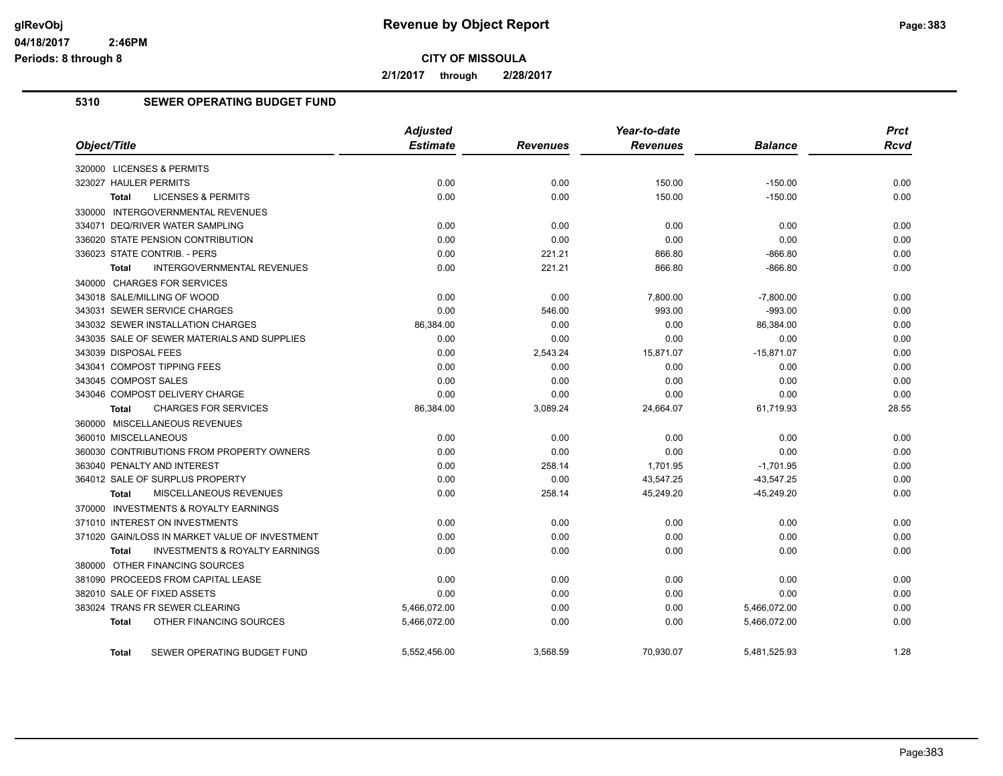**2/1/2017 through 2/28/2017**

### **5310 SEWER OPERATING BUDGET FUND**

|                                                    | <b>Adjusted</b> |                 | Year-to-date    |                | <b>Prct</b> |
|----------------------------------------------------|-----------------|-----------------|-----------------|----------------|-------------|
| Object/Title                                       | <b>Estimate</b> | <b>Revenues</b> | <b>Revenues</b> | <b>Balance</b> | <b>Rcvd</b> |
| 320000 LICENSES & PERMITS                          |                 |                 |                 |                |             |
| 323027 HAULER PERMITS                              | 0.00            | 0.00            | 150.00          | $-150.00$      | 0.00        |
| <b>LICENSES &amp; PERMITS</b><br>Total             | 0.00            | 0.00            | 150.00          | $-150.00$      | 0.00        |
| 330000 INTERGOVERNMENTAL REVENUES                  |                 |                 |                 |                |             |
| 334071 DEQ/RIVER WATER SAMPLING                    | 0.00            | 0.00            | 0.00            | 0.00           | 0.00        |
| 336020 STATE PENSION CONTRIBUTION                  | 0.00            | 0.00            | 0.00            | 0.00           | 0.00        |
| 336023 STATE CONTRIB. - PERS                       | 0.00            | 221.21          | 866.80          | $-866.80$      | 0.00        |
| <b>INTERGOVERNMENTAL REVENUES</b><br><b>Total</b>  | 0.00            | 221.21          | 866.80          | $-866.80$      | 0.00        |
| 340000 CHARGES FOR SERVICES                        |                 |                 |                 |                |             |
| 343018 SALE/MILLING OF WOOD                        | 0.00            | 0.00            | 7,800.00        | $-7,800.00$    | 0.00        |
| 343031 SEWER SERVICE CHARGES                       | 0.00            | 546.00          | 993.00          | $-993.00$      | 0.00        |
| 343032 SEWER INSTALLATION CHARGES                  | 86,384.00       | 0.00            | 0.00            | 86,384.00      | 0.00        |
| 343035 SALE OF SEWER MATERIALS AND SUPPLIES        | 0.00            | 0.00            | 0.00            | 0.00           | 0.00        |
| 343039 DISPOSAL FEES                               | 0.00            | 2,543.24        | 15,871.07       | $-15,871.07$   | 0.00        |
| 343041 COMPOST TIPPING FEES                        | 0.00            | 0.00            | 0.00            | 0.00           | 0.00        |
| 343045 COMPOST SALES                               | 0.00            | 0.00            | 0.00            | 0.00           | 0.00        |
| 343046 COMPOST DELIVERY CHARGE                     | 0.00            | 0.00            | 0.00            | 0.00           | 0.00        |
| <b>CHARGES FOR SERVICES</b><br><b>Total</b>        | 86,384.00       | 3,089.24        | 24,664.07       | 61,719.93      | 28.55       |
| 360000 MISCELLANEOUS REVENUES                      |                 |                 |                 |                |             |
| 360010 MISCELLANEOUS                               | 0.00            | 0.00            | 0.00            | 0.00           | 0.00        |
| 360030 CONTRIBUTIONS FROM PROPERTY OWNERS          | 0.00            | 0.00            | 0.00            | 0.00           | 0.00        |
| 363040 PENALTY AND INTEREST                        | 0.00            | 258.14          | 1,701.95        | $-1,701.95$    | 0.00        |
| 364012 SALE OF SURPLUS PROPERTY                    | 0.00            | 0.00            | 43,547.25       | $-43,547.25$   | 0.00        |
| MISCELLANEOUS REVENUES<br>Total                    | 0.00            | 258.14          | 45,249.20       | $-45,249.20$   | 0.00        |
| 370000 INVESTMENTS & ROYALTY EARNINGS              |                 |                 |                 |                |             |
| 371010 INTEREST ON INVESTMENTS                     | 0.00            | 0.00            | 0.00            | 0.00           | 0.00        |
| 371020 GAIN/LOSS IN MARKET VALUE OF INVESTMENT     | 0.00            | 0.00            | 0.00            | 0.00           | 0.00        |
| <b>INVESTMENTS &amp; ROYALTY EARNINGS</b><br>Total | 0.00            | 0.00            | 0.00            | 0.00           | 0.00        |
| 380000 OTHER FINANCING SOURCES                     |                 |                 |                 |                |             |
| 381090 PROCEEDS FROM CAPITAL LEASE                 | 0.00            | 0.00            | 0.00            | 0.00           | 0.00        |
| 382010 SALE OF FIXED ASSETS                        | 0.00            | 0.00            | 0.00            | 0.00           | 0.00        |
| 383024 TRANS FR SEWER CLEARING                     | 5,466,072.00    | 0.00            | 0.00            | 5,466,072.00   | 0.00        |
| OTHER FINANCING SOURCES<br><b>Total</b>            | 5,466,072.00    | 0.00            | 0.00            | 5,466,072.00   | 0.00        |
| SEWER OPERATING BUDGET FUND<br><b>Total</b>        | 5,552,456.00    | 3,568.59        | 70,930.07       | 5,481,525.93   | 1.28        |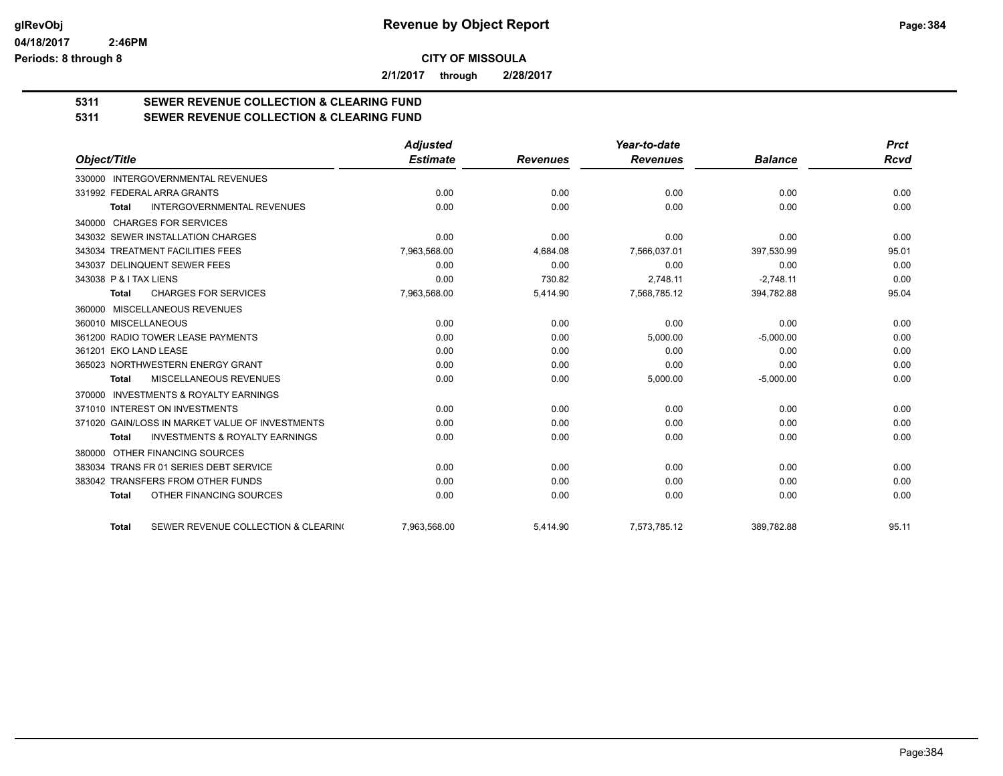**2/1/2017 through 2/28/2017**

# **5311 SEWER REVENUE COLLECTION & CLEARING FUND 5311 SEWER REVENUE COLLECTION & CLEARING FUND**

|                                                           | <b>Adjusted</b> |                 | Year-to-date    |                | <b>Prct</b> |
|-----------------------------------------------------------|-----------------|-----------------|-----------------|----------------|-------------|
| Object/Title                                              | <b>Estimate</b> | <b>Revenues</b> | <b>Revenues</b> | <b>Balance</b> | Rcvd        |
| <b>INTERGOVERNMENTAL REVENUES</b><br>330000               |                 |                 |                 |                |             |
| 331992 FEDERAL ARRA GRANTS                                | 0.00            | 0.00            | 0.00            | 0.00           | 0.00        |
| <b>INTERGOVERNMENTAL REVENUES</b><br><b>Total</b>         | 0.00            | 0.00            | 0.00            | 0.00           | 0.00        |
| <b>CHARGES FOR SERVICES</b><br>340000                     |                 |                 |                 |                |             |
| 343032 SEWER INSTALLATION CHARGES                         | 0.00            | 0.00            | 0.00            | 0.00           | 0.00        |
| 343034 TREATMENT FACILITIES FEES                          | 7,963,568.00    | 4,684.08        | 7,566,037.01    | 397,530.99     | 95.01       |
| 343037 DELINQUENT SEWER FEES                              | 0.00            | 0.00            | 0.00            | 0.00           | 0.00        |
| 343038 P & I TAX LIENS                                    | 0.00            | 730.82          | 2,748.11        | $-2,748.11$    | 0.00        |
| <b>CHARGES FOR SERVICES</b><br><b>Total</b>               | 7,963,568.00    | 5,414.90        | 7,568,785.12    | 394,782.88     | 95.04       |
| MISCELLANEOUS REVENUES<br>360000                          |                 |                 |                 |                |             |
| 360010 MISCELLANEOUS                                      | 0.00            | 0.00            | 0.00            | 0.00           | 0.00        |
| 361200 RADIO TOWER LEASE PAYMENTS                         | 0.00            | 0.00            | 5,000.00        | $-5,000.00$    | 0.00        |
| 361201 EKO LAND LEASE                                     | 0.00            | 0.00            | 0.00            | 0.00           | 0.00        |
| 365023 NORTHWESTERN ENERGY GRANT                          | 0.00            | 0.00            | 0.00            | 0.00           | 0.00        |
| MISCELLANEOUS REVENUES<br><b>Total</b>                    | 0.00            | 0.00            | 5,000.00        | $-5,000.00$    | 0.00        |
| <b>INVESTMENTS &amp; ROYALTY EARNINGS</b><br>370000       |                 |                 |                 |                |             |
| 371010 INTEREST ON INVESTMENTS                            | 0.00            | 0.00            | 0.00            | 0.00           | 0.00        |
| 371020 GAIN/LOSS IN MARKET VALUE OF INVESTMENTS           | 0.00            | 0.00            | 0.00            | 0.00           | 0.00        |
| <b>INVESTMENTS &amp; ROYALTY EARNINGS</b><br><b>Total</b> | 0.00            | 0.00            | 0.00            | 0.00           | 0.00        |
| OTHER FINANCING SOURCES<br>380000                         |                 |                 |                 |                |             |
| TRANS FR 01 SERIES DEBT SERVICE<br>383034                 | 0.00            | 0.00            | 0.00            | 0.00           | 0.00        |
| 383042 TRANSFERS FROM OTHER FUNDS                         | 0.00            | 0.00            | 0.00            | 0.00           | 0.00        |
| OTHER FINANCING SOURCES<br><b>Total</b>                   | 0.00            | 0.00            | 0.00            | 0.00           | 0.00        |
|                                                           |                 |                 |                 |                |             |
| SEWER REVENUE COLLECTION & CLEARING<br><b>Total</b>       | 7,963,568.00    | 5,414.90        | 7,573,785.12    | 389,782.88     | 95.11       |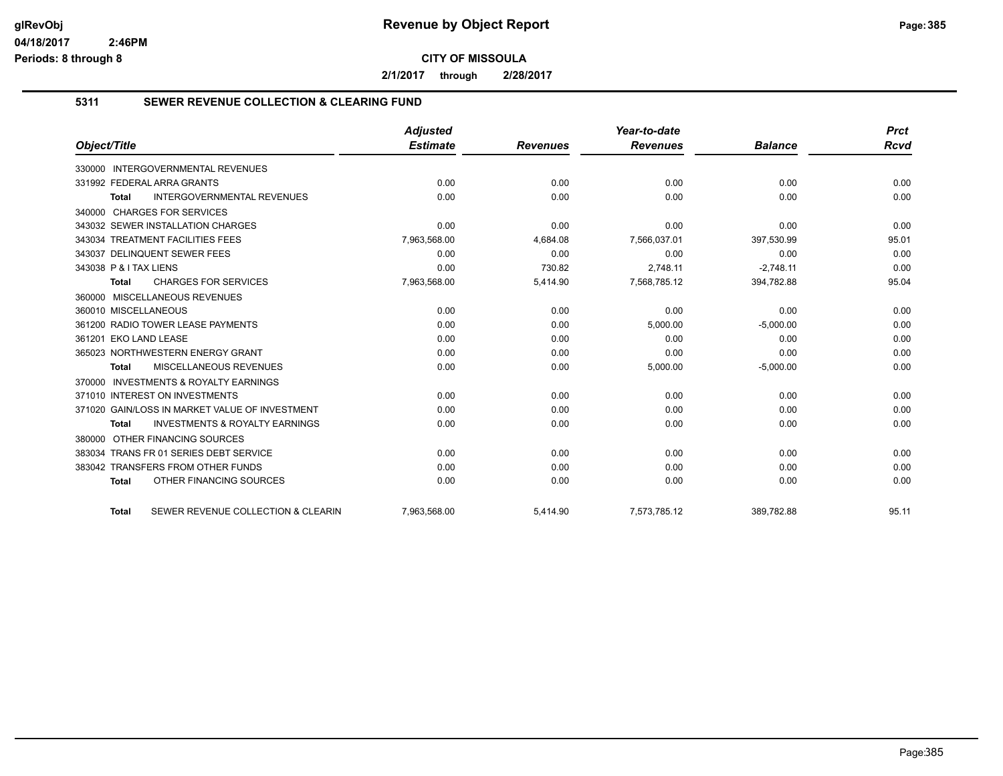**2/1/2017 through 2/28/2017**

## **5311 SEWER REVENUE COLLECTION & CLEARING FUND**

|                                                           | <b>Adjusted</b> |                 | Year-to-date    |                | <b>Prct</b> |
|-----------------------------------------------------------|-----------------|-----------------|-----------------|----------------|-------------|
| Object/Title                                              | <b>Estimate</b> | <b>Revenues</b> | <b>Revenues</b> | <b>Balance</b> | <b>Rcvd</b> |
| 330000 INTERGOVERNMENTAL REVENUES                         |                 |                 |                 |                |             |
| 331992 FEDERAL ARRA GRANTS                                | 0.00            | 0.00            | 0.00            | 0.00           | 0.00        |
| <b>INTERGOVERNMENTAL REVENUES</b><br>Total                | 0.00            | 0.00            | 0.00            | 0.00           | 0.00        |
| 340000 CHARGES FOR SERVICES                               |                 |                 |                 |                |             |
| 343032 SEWER INSTALLATION CHARGES                         | 0.00            | 0.00            | 0.00            | 0.00           | 0.00        |
| 343034 TREATMENT FACILITIES FEES                          | 7,963,568.00    | 4,684.08        | 7,566,037.01    | 397,530.99     | 95.01       |
| 343037 DELINQUENT SEWER FEES                              | 0.00            | 0.00            | 0.00            | 0.00           | 0.00        |
| 343038 P & I TAX LIENS                                    | 0.00            | 730.82          | 2,748.11        | $-2,748.11$    | 0.00        |
| <b>CHARGES FOR SERVICES</b><br><b>Total</b>               | 7,963,568.00    | 5,414.90        | 7,568,785.12    | 394,782.88     | 95.04       |
| 360000 MISCELLANEOUS REVENUES                             |                 |                 |                 |                |             |
| 360010 MISCELLANEOUS                                      | 0.00            | 0.00            | 0.00            | 0.00           | 0.00        |
| 361200 RADIO TOWER LEASE PAYMENTS                         | 0.00            | 0.00            | 5,000.00        | $-5,000.00$    | 0.00        |
| 361201 EKO LAND LEASE                                     | 0.00            | 0.00            | 0.00            | 0.00           | 0.00        |
| 365023 NORTHWESTERN ENERGY GRANT                          | 0.00            | 0.00            | 0.00            | 0.00           | 0.00        |
| MISCELLANEOUS REVENUES<br><b>Total</b>                    | 0.00            | 0.00            | 5,000.00        | $-5,000.00$    | 0.00        |
| 370000 INVESTMENTS & ROYALTY EARNINGS                     |                 |                 |                 |                |             |
| 371010 INTEREST ON INVESTMENTS                            | 0.00            | 0.00            | 0.00            | 0.00           | 0.00        |
| 371020 GAIN/LOSS IN MARKET VALUE OF INVESTMENT            | 0.00            | 0.00            | 0.00            | 0.00           | 0.00        |
| <b>INVESTMENTS &amp; ROYALTY EARNINGS</b><br><b>Total</b> | 0.00            | 0.00            | 0.00            | 0.00           | 0.00        |
| 380000 OTHER FINANCING SOURCES                            |                 |                 |                 |                |             |
| 383034 TRANS FR 01 SERIES DEBT SERVICE                    | 0.00            | 0.00            | 0.00            | 0.00           | 0.00        |
| 383042 TRANSFERS FROM OTHER FUNDS                         | 0.00            | 0.00            | 0.00            | 0.00           | 0.00        |
| OTHER FINANCING SOURCES<br><b>Total</b>                   | 0.00            | 0.00            | 0.00            | 0.00           | 0.00        |
| SEWER REVENUE COLLECTION & CLEARIN<br><b>Total</b>        | 7,963,568.00    | 5,414.90        | 7,573,785.12    | 389,782.88     | 95.11       |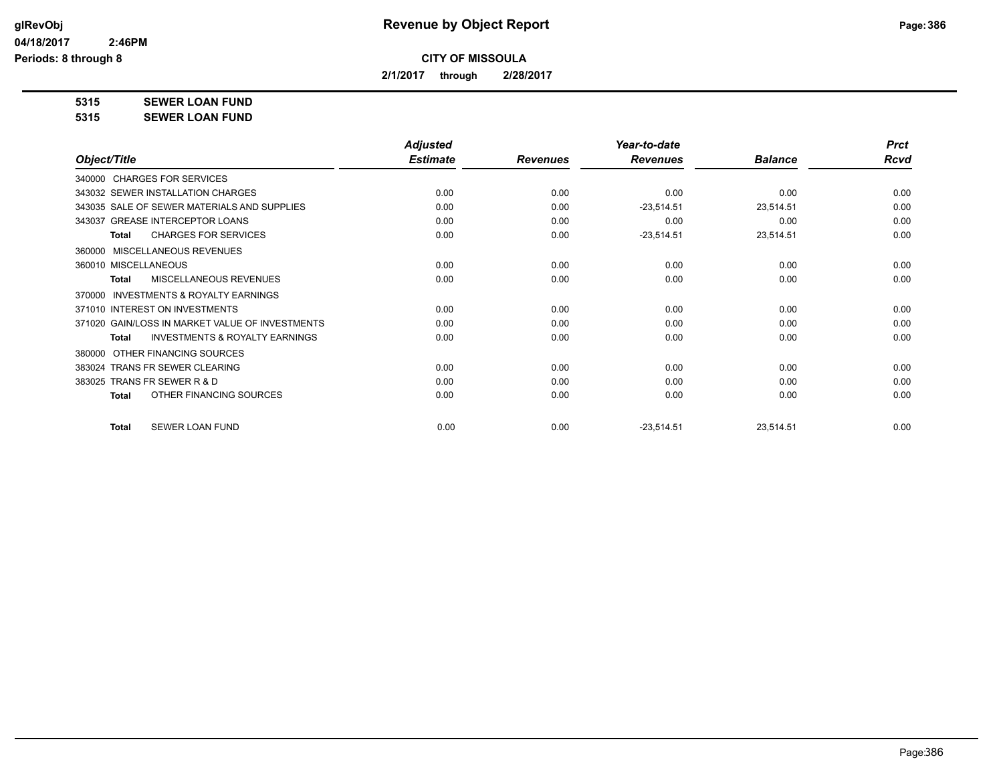**CITY OF MISSOULA**

**2/1/2017 through 2/28/2017**

**5315 SEWER LOAN FUND 5315 SEWER LOAN FUND**

|        |                                                    | <b>Adjusted</b> |                 | Year-to-date    |                | <b>Prct</b> |
|--------|----------------------------------------------------|-----------------|-----------------|-----------------|----------------|-------------|
|        | Object/Title                                       | <b>Estimate</b> | <b>Revenues</b> | <b>Revenues</b> | <b>Balance</b> | Rcvd        |
| 340000 | <b>CHARGES FOR SERVICES</b>                        |                 |                 |                 |                |             |
|        | 343032 SEWER INSTALLATION CHARGES                  | 0.00            | 0.00            | 0.00            | 0.00           | 0.00        |
|        | 343035 SALE OF SEWER MATERIALS AND SUPPLIES        | 0.00            | 0.00            | $-23,514.51$    | 23,514.51      | 0.00        |
|        | 343037 GREASE INTERCEPTOR LOANS                    | 0.00            | 0.00            | 0.00            | 0.00           | 0.00        |
|        | <b>CHARGES FOR SERVICES</b><br><b>Total</b>        | 0.00            | 0.00            | $-23,514.51$    | 23,514.51      | 0.00        |
| 360000 | MISCELLANEOUS REVENUES                             |                 |                 |                 |                |             |
|        | 360010 MISCELLANEOUS                               | 0.00            | 0.00            | 0.00            | 0.00           | 0.00        |
|        | MISCELLANEOUS REVENUES<br>Total                    | 0.00            | 0.00            | 0.00            | 0.00           | 0.00        |
| 370000 | <b>INVESTMENTS &amp; ROYALTY EARNINGS</b>          |                 |                 |                 |                |             |
|        | 371010 INTEREST ON INVESTMENTS                     | 0.00            | 0.00            | 0.00            | 0.00           | 0.00        |
|        | 371020 GAIN/LOSS IN MARKET VALUE OF INVESTMENTS    | 0.00            | 0.00            | 0.00            | 0.00           | 0.00        |
|        | <b>INVESTMENTS &amp; ROYALTY EARNINGS</b><br>Total | 0.00            | 0.00            | 0.00            | 0.00           | 0.00        |
| 380000 | OTHER FINANCING SOURCES                            |                 |                 |                 |                |             |
| 383024 | <b>TRANS FR SEWER CLEARING</b>                     | 0.00            | 0.00            | 0.00            | 0.00           | 0.00        |
|        | 383025 TRANS FR SEWER R & D                        | 0.00            | 0.00            | 0.00            | 0.00           | 0.00        |
|        | OTHER FINANCING SOURCES<br>Total                   | 0.00            | 0.00            | 0.00            | 0.00           | 0.00        |
|        | <b>SEWER LOAN FUND</b><br><b>Total</b>             | 0.00            | 0.00            | $-23,514.51$    | 23,514.51      | 0.00        |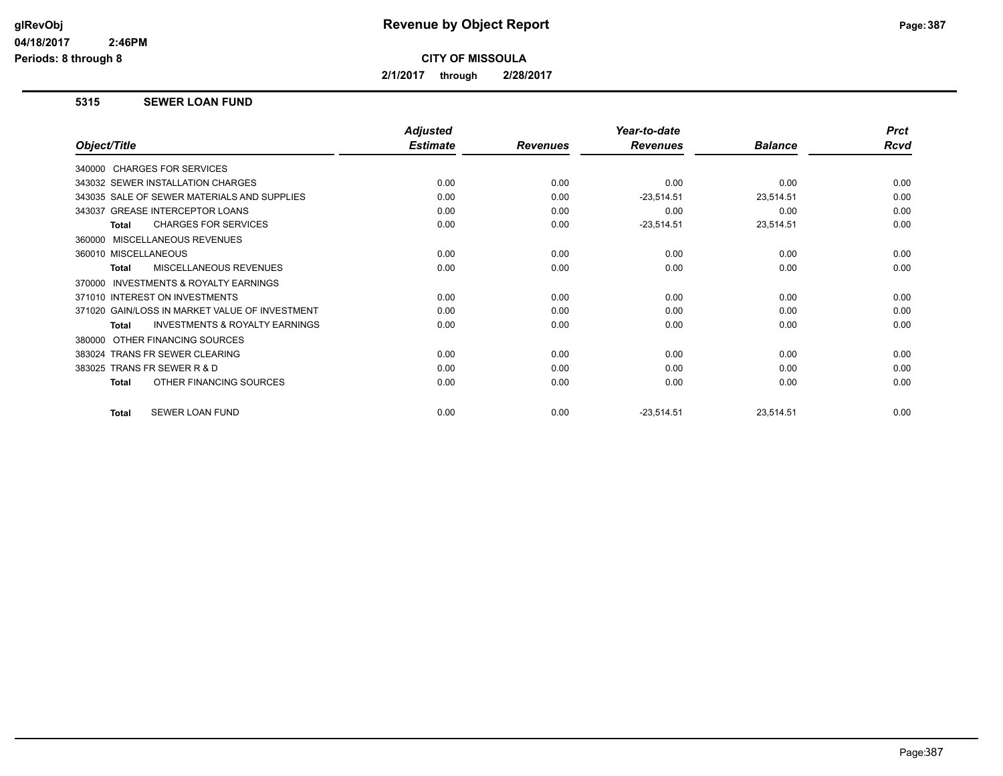**2/1/2017 through 2/28/2017**

#### **5315 SEWER LOAN FUND**

|                                                           | <b>Adjusted</b> |                 | Year-to-date    |                | <b>Prct</b> |
|-----------------------------------------------------------|-----------------|-----------------|-----------------|----------------|-------------|
| Object/Title                                              | <b>Estimate</b> | <b>Revenues</b> | <b>Revenues</b> | <b>Balance</b> | <b>Rcvd</b> |
| 340000 CHARGES FOR SERVICES                               |                 |                 |                 |                |             |
| 343032 SEWER INSTALLATION CHARGES                         | 0.00            | 0.00            | 0.00            | 0.00           | 0.00        |
| 343035 SALE OF SEWER MATERIALS AND SUPPLIES               | 0.00            | 0.00            | $-23,514.51$    | 23,514.51      | 0.00        |
| 343037 GREASE INTERCEPTOR LOANS                           | 0.00            | 0.00            | 0.00            | 0.00           | 0.00        |
| <b>CHARGES FOR SERVICES</b><br>Total                      | 0.00            | 0.00            | $-23,514.51$    | 23,514.51      | 0.00        |
| MISCELLANEOUS REVENUES<br>360000                          |                 |                 |                 |                |             |
| 360010 MISCELLANEOUS                                      | 0.00            | 0.00            | 0.00            | 0.00           | 0.00        |
| <b>MISCELLANEOUS REVENUES</b><br><b>Total</b>             | 0.00            | 0.00            | 0.00            | 0.00           | 0.00        |
| <b>INVESTMENTS &amp; ROYALTY EARNINGS</b><br>370000       |                 |                 |                 |                |             |
| 371010 INTEREST ON INVESTMENTS                            | 0.00            | 0.00            | 0.00            | 0.00           | 0.00        |
| 371020 GAIN/LOSS IN MARKET VALUE OF INVESTMENT            | 0.00            | 0.00            | 0.00            | 0.00           | 0.00        |
| <b>INVESTMENTS &amp; ROYALTY EARNINGS</b><br><b>Total</b> | 0.00            | 0.00            | 0.00            | 0.00           | 0.00        |
| OTHER FINANCING SOURCES<br>380000                         |                 |                 |                 |                |             |
| 383024 TRANS FR SEWER CLEARING                            | 0.00            | 0.00            | 0.00            | 0.00           | 0.00        |
| 383025 TRANS FR SEWER R & D                               | 0.00            | 0.00            | 0.00            | 0.00           | 0.00        |
| OTHER FINANCING SOURCES<br><b>Total</b>                   | 0.00            | 0.00            | 0.00            | 0.00           | 0.00        |
| SEWER LOAN FUND<br><b>Total</b>                           | 0.00            | 0.00            | $-23,514.51$    | 23,514.51      | 0.00        |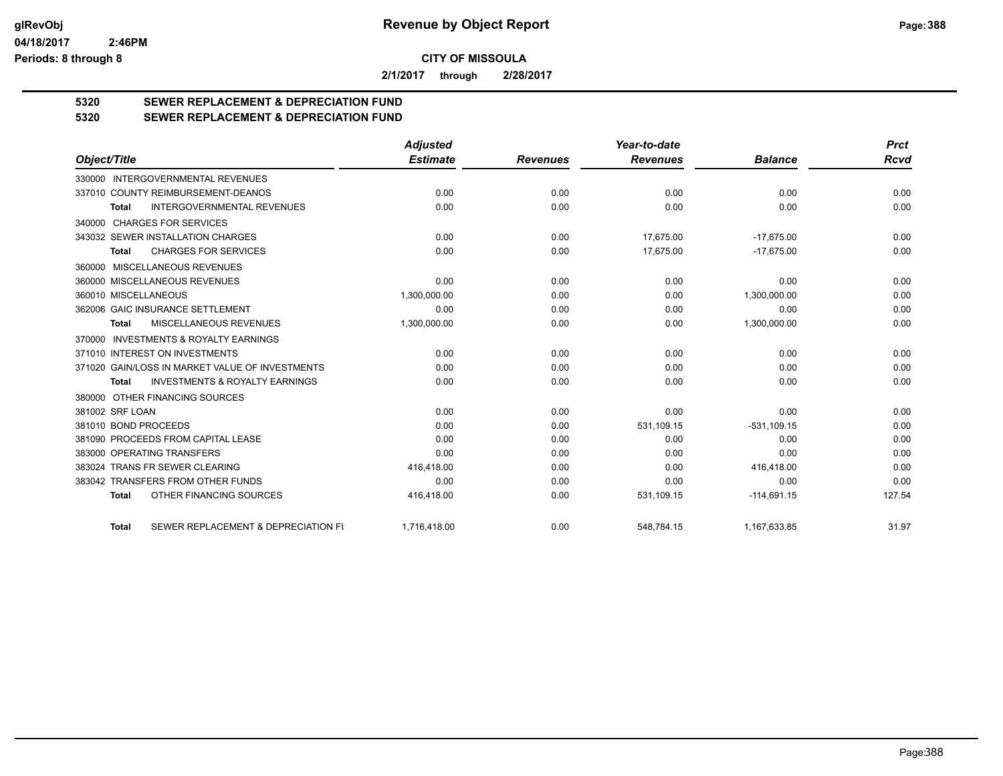**2/1/2017 through 2/28/2017**

# **5320 SEWER REPLACEMENT & DEPRECIATION FUND 5320 SEWER REPLACEMENT & DEPRECIATION FUND**

|                                                           | <b>Adjusted</b> |                 | Year-to-date    |                | <b>Prct</b> |
|-----------------------------------------------------------|-----------------|-----------------|-----------------|----------------|-------------|
| Object/Title                                              | <b>Estimate</b> | <b>Revenues</b> | <b>Revenues</b> | <b>Balance</b> | <b>Rcvd</b> |
| 330000 INTERGOVERNMENTAL REVENUES                         |                 |                 |                 |                |             |
| 337010 COUNTY REIMBURSEMENT-DEANOS                        | 0.00            | 0.00            | 0.00            | 0.00           | 0.00        |
| <b>INTERGOVERNMENTAL REVENUES</b><br>Total                | 0.00            | 0.00            | 0.00            | 0.00           | 0.00        |
| 340000 CHARGES FOR SERVICES                               |                 |                 |                 |                |             |
| 343032 SEWER INSTALLATION CHARGES                         | 0.00            | 0.00            | 17,675.00       | $-17,675.00$   | 0.00        |
| <b>CHARGES FOR SERVICES</b><br><b>Total</b>               | 0.00            | 0.00            | 17,675.00       | $-17,675.00$   | 0.00        |
| MISCELLANEOUS REVENUES<br>360000                          |                 |                 |                 |                |             |
| 360000 MISCELLANEOUS REVENUES                             | 0.00            | 0.00            | 0.00            | 0.00           | 0.00        |
| 360010 MISCELLANEOUS                                      | 1,300,000.00    | 0.00            | 0.00            | 1,300,000.00   | 0.00        |
| 362006 GAIC INSURANCE SETTLEMENT                          | 0.00            | 0.00            | 0.00            | 0.00           | 0.00        |
| <b>MISCELLANEOUS REVENUES</b><br>Total                    | 1,300,000.00    | 0.00            | 0.00            | 1,300,000.00   | 0.00        |
| <b>INVESTMENTS &amp; ROYALTY EARNINGS</b><br>370000       |                 |                 |                 |                |             |
| 371010 INTEREST ON INVESTMENTS                            | 0.00            | 0.00            | 0.00            | 0.00           | 0.00        |
| 371020 GAIN/LOSS IN MARKET VALUE OF INVESTMENTS           | 0.00            | 0.00            | 0.00            | 0.00           | 0.00        |
| <b>INVESTMENTS &amp; ROYALTY EARNINGS</b><br><b>Total</b> | 0.00            | 0.00            | 0.00            | 0.00           | 0.00        |
| 380000 OTHER FINANCING SOURCES                            |                 |                 |                 |                |             |
| 381002 SRF LOAN                                           | 0.00            | 0.00            | 0.00            | 0.00           | 0.00        |
| 381010 BOND PROCEEDS                                      | 0.00            | 0.00            | 531,109.15      | $-531,109.15$  | 0.00        |
| 381090 PROCEEDS FROM CAPITAL LEASE                        | 0.00            | 0.00            | 0.00            | 0.00           | 0.00        |
| 383000 OPERATING TRANSFERS                                | 0.00            | 0.00            | 0.00            | 0.00           | 0.00        |
| 383024 TRANS FR SEWER CLEARING                            | 416,418.00      | 0.00            | 0.00            | 416,418.00     | 0.00        |
| 383042 TRANSFERS FROM OTHER FUNDS                         | 0.00            | 0.00            | 0.00            | 0.00           | 0.00        |
| OTHER FINANCING SOURCES<br><b>Total</b>                   | 416,418.00      | 0.00            | 531,109.15      | $-114,691.15$  | 127.54      |
|                                                           |                 |                 |                 |                |             |
| SEWER REPLACEMENT & DEPRECIATION FU<br><b>Total</b>       | 1,716,418.00    | 0.00            | 548,784.15      | 1,167,633.85   | 31.97       |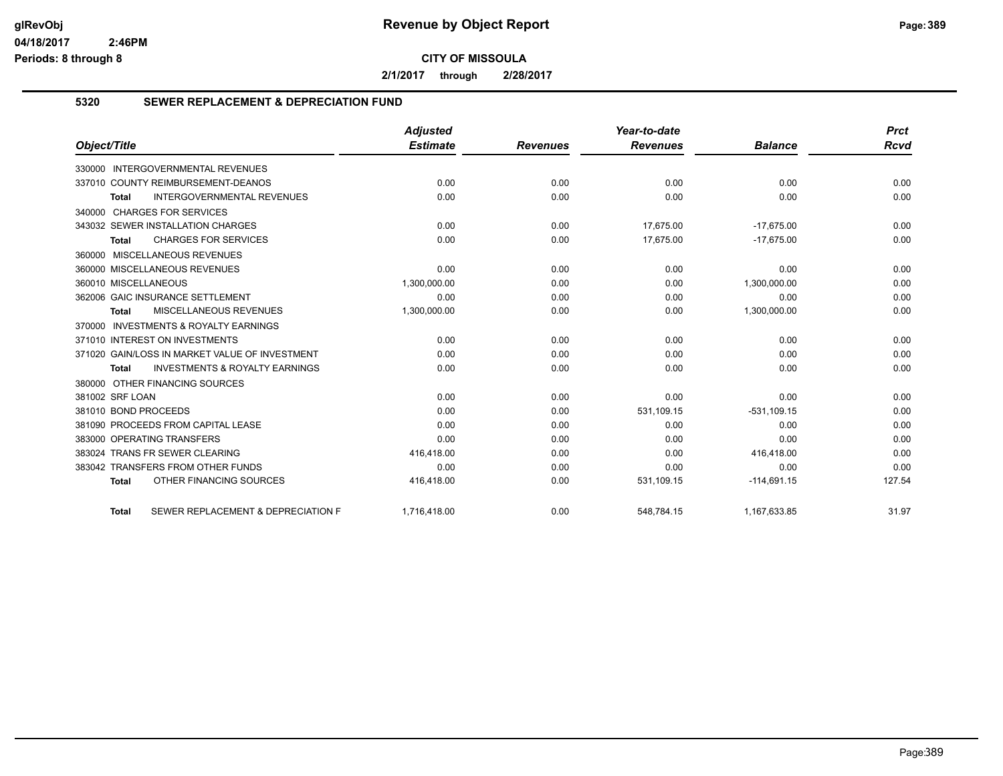**2/1/2017 through 2/28/2017**

### **5320 SEWER REPLACEMENT & DEPRECIATION FUND**

|                                                    | <b>Adjusted</b> |                 | Year-to-date    |                | <b>Prct</b> |
|----------------------------------------------------|-----------------|-----------------|-----------------|----------------|-------------|
| Object/Title                                       | <b>Estimate</b> | <b>Revenues</b> | <b>Revenues</b> | <b>Balance</b> | <b>Rcvd</b> |
| 330000 INTERGOVERNMENTAL REVENUES                  |                 |                 |                 |                |             |
| 337010 COUNTY REIMBURSEMENT-DEANOS                 | 0.00            | 0.00            | 0.00            | 0.00           | 0.00        |
| <b>INTERGOVERNMENTAL REVENUES</b><br><b>Total</b>  | 0.00            | 0.00            | 0.00            | 0.00           | 0.00        |
| 340000 CHARGES FOR SERVICES                        |                 |                 |                 |                |             |
| 343032 SEWER INSTALLATION CHARGES                  | 0.00            | 0.00            | 17.675.00       | $-17.675.00$   | 0.00        |
| <b>CHARGES FOR SERVICES</b><br><b>Total</b>        | 0.00            | 0.00            | 17,675.00       | $-17,675.00$   | 0.00        |
| 360000 MISCELLANEOUS REVENUES                      |                 |                 |                 |                |             |
| 360000 MISCELLANEOUS REVENUES                      | 0.00            | 0.00            | 0.00            | 0.00           | 0.00        |
| 360010 MISCELLANEOUS                               | 1,300,000.00    | 0.00            | 0.00            | 1,300,000.00   | 0.00        |
| 362006 GAIC INSURANCE SETTLEMENT                   | 0.00            | 0.00            | 0.00            | 0.00           | 0.00        |
| MISCELLANEOUS REVENUES<br>Total                    | 1,300,000.00    | 0.00            | 0.00            | 1,300,000.00   | 0.00        |
| 370000 INVESTMENTS & ROYALTY EARNINGS              |                 |                 |                 |                |             |
| 371010 INTEREST ON INVESTMENTS                     | 0.00            | 0.00            | 0.00            | 0.00           | 0.00        |
| 371020 GAIN/LOSS IN MARKET VALUE OF INVESTMENT     | 0.00            | 0.00            | 0.00            | 0.00           | 0.00        |
| <b>INVESTMENTS &amp; ROYALTY EARNINGS</b><br>Total | 0.00            | 0.00            | 0.00            | 0.00           | 0.00        |
| 380000 OTHER FINANCING SOURCES                     |                 |                 |                 |                |             |
| 381002 SRF LOAN                                    | 0.00            | 0.00            | 0.00            | 0.00           | 0.00        |
| 381010 BOND PROCEEDS                               | 0.00            | 0.00            | 531,109.15      | $-531,109.15$  | 0.00        |
| 381090 PROCEEDS FROM CAPITAL LEASE                 | 0.00            | 0.00            | 0.00            | 0.00           | 0.00        |
| 383000 OPERATING TRANSFERS                         | 0.00            | 0.00            | 0.00            | 0.00           | 0.00        |
| 383024 TRANS FR SEWER CLEARING                     | 416,418.00      | 0.00            | 0.00            | 416,418.00     | 0.00        |
| 383042 TRANSFERS FROM OTHER FUNDS                  | 0.00            | 0.00            | 0.00            | 0.00           | 0.00        |
| OTHER FINANCING SOURCES<br><b>Total</b>            | 416,418.00      | 0.00            | 531,109.15      | $-114,691.15$  | 127.54      |
| SEWER REPLACEMENT & DEPRECIATION F<br><b>Total</b> | 1,716,418.00    | 0.00            | 548,784.15      | 1,167,633.85   | 31.97       |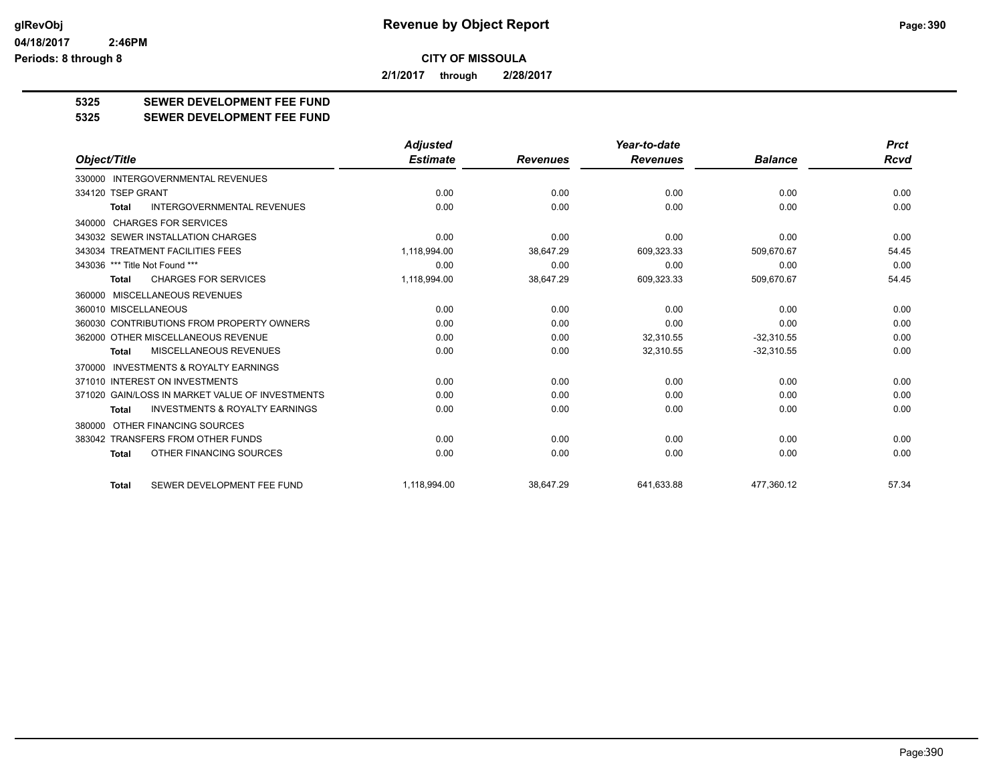**2/1/2017 through 2/28/2017**

# **5325 SEWER DEVELOPMENT FEE FUND**

**5325 SEWER DEVELOPMENT FEE FUND**

|                                                           | <b>Adjusted</b> |                 | Year-to-date    |                | <b>Prct</b> |
|-----------------------------------------------------------|-----------------|-----------------|-----------------|----------------|-------------|
| Object/Title                                              | <b>Estimate</b> | <b>Revenues</b> | <b>Revenues</b> | <b>Balance</b> | Rcvd        |
| 330000 INTERGOVERNMENTAL REVENUES                         |                 |                 |                 |                |             |
| 334120 TSEP GRANT                                         | 0.00            | 0.00            | 0.00            | 0.00           | 0.00        |
| <b>INTERGOVERNMENTAL REVENUES</b><br><b>Total</b>         | 0.00            | 0.00            | 0.00            | 0.00           | 0.00        |
| 340000 CHARGES FOR SERVICES                               |                 |                 |                 |                |             |
| 343032 SEWER INSTALLATION CHARGES                         | 0.00            | 0.00            | 0.00            | 0.00           | 0.00        |
| 343034 TREATMENT FACILITIES FEES                          | 1,118,994.00    | 38,647.29       | 609,323.33      | 509,670.67     | 54.45       |
| 343036 *** Title Not Found ***                            | 0.00            | 0.00            | 0.00            | 0.00           | 0.00        |
| <b>CHARGES FOR SERVICES</b><br><b>Total</b>               | 1,118,994.00    | 38,647.29       | 609,323.33      | 509,670.67     | 54.45       |
| 360000 MISCELLANEOUS REVENUES                             |                 |                 |                 |                |             |
| 360010 MISCELLANEOUS                                      | 0.00            | 0.00            | 0.00            | 0.00           | 0.00        |
| 360030 CONTRIBUTIONS FROM PROPERTY OWNERS                 | 0.00            | 0.00            | 0.00            | 0.00           | 0.00        |
| 362000 OTHER MISCELLANEOUS REVENUE                        | 0.00            | 0.00            | 32.310.55       | $-32,310.55$   | 0.00        |
| MISCELLANEOUS REVENUES<br><b>Total</b>                    | 0.00            | 0.00            | 32,310.55       | $-32,310.55$   | 0.00        |
| <b>INVESTMENTS &amp; ROYALTY EARNINGS</b><br>370000       |                 |                 |                 |                |             |
| 371010 INTEREST ON INVESTMENTS                            | 0.00            | 0.00            | 0.00            | 0.00           | 0.00        |
| 371020 GAIN/LOSS IN MARKET VALUE OF INVESTMENTS           | 0.00            | 0.00            | 0.00            | 0.00           | 0.00        |
| <b>INVESTMENTS &amp; ROYALTY EARNINGS</b><br><b>Total</b> | 0.00            | 0.00            | 0.00            | 0.00           | 0.00        |
| 380000 OTHER FINANCING SOURCES                            |                 |                 |                 |                |             |
| 383042 TRANSFERS FROM OTHER FUNDS                         | 0.00            | 0.00            | 0.00            | 0.00           | 0.00        |
| OTHER FINANCING SOURCES<br><b>Total</b>                   | 0.00            | 0.00            | 0.00            | 0.00           | 0.00        |
| SEWER DEVELOPMENT FEE FUND<br><b>Total</b>                | 1,118,994.00    | 38,647.29       | 641,633.88      | 477.360.12     | 57.34       |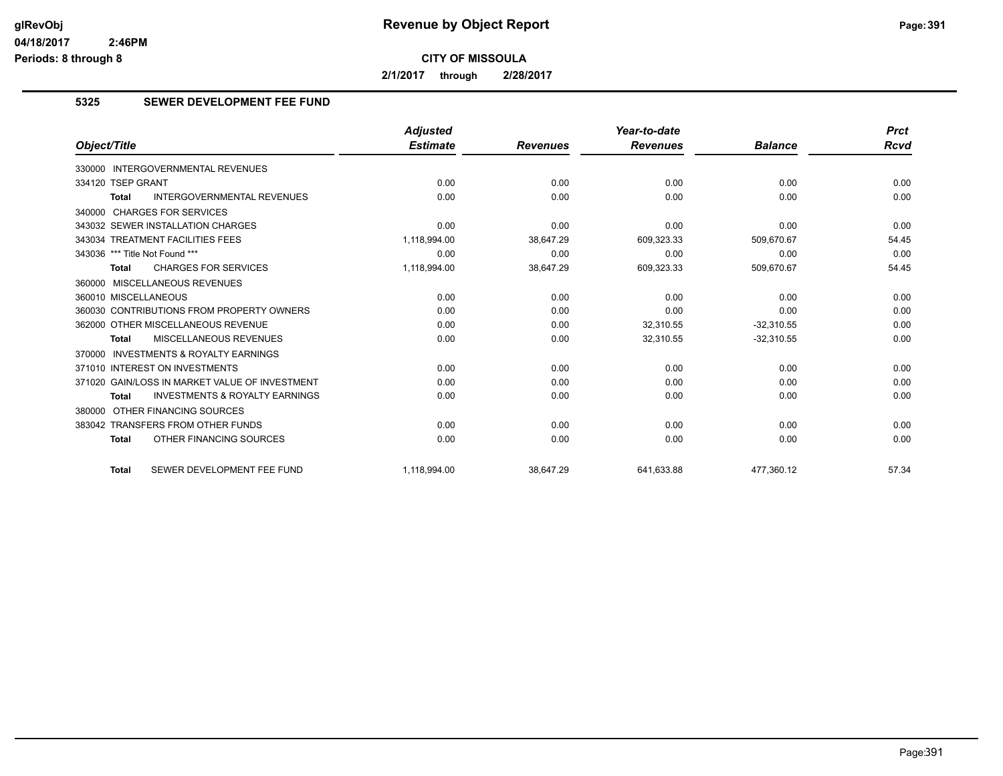**2/1/2017 through 2/28/2017**

# **5325 SEWER DEVELOPMENT FEE FUND**

|                                                           | <b>Adjusted</b> |                 | Year-to-date    |                | <b>Prct</b> |
|-----------------------------------------------------------|-----------------|-----------------|-----------------|----------------|-------------|
| Object/Title                                              | <b>Estimate</b> | <b>Revenues</b> | <b>Revenues</b> | <b>Balance</b> | <b>Rcvd</b> |
| 330000 INTERGOVERNMENTAL REVENUES                         |                 |                 |                 |                |             |
| 334120 TSEP GRANT                                         | 0.00            | 0.00            | 0.00            | 0.00           | 0.00        |
| <b>INTERGOVERNMENTAL REVENUES</b><br>Total                | 0.00            | 0.00            | 0.00            | 0.00           | 0.00        |
| 340000 CHARGES FOR SERVICES                               |                 |                 |                 |                |             |
| 343032 SEWER INSTALLATION CHARGES                         | 0.00            | 0.00            | 0.00            | 0.00           | 0.00        |
| 343034 TREATMENT FACILITIES FEES                          | 1,118,994.00    | 38.647.29       | 609,323.33      | 509.670.67     | 54.45       |
| 343036 *** Title Not Found ***                            | 0.00            | 0.00            | 0.00            | 0.00           | 0.00        |
| Total<br><b>CHARGES FOR SERVICES</b>                      | 1,118,994.00    | 38,647.29       | 609,323.33      | 509,670.67     | 54.45       |
| 360000 MISCELLANEOUS REVENUES                             |                 |                 |                 |                |             |
| 360010 MISCELLANEOUS                                      | 0.00            | 0.00            | 0.00            | 0.00           | 0.00        |
| 360030 CONTRIBUTIONS FROM PROPERTY OWNERS                 | 0.00            | 0.00            | 0.00            | 0.00           | 0.00        |
| 362000 OTHER MISCELLANEOUS REVENUE                        | 0.00            | 0.00            | 32,310.55       | $-32,310.55$   | 0.00        |
| <b>MISCELLANEOUS REVENUES</b><br><b>Total</b>             | 0.00            | 0.00            | 32,310.55       | $-32,310.55$   | 0.00        |
| 370000 INVESTMENTS & ROYALTY EARNINGS                     |                 |                 |                 |                |             |
| 371010 INTEREST ON INVESTMENTS                            | 0.00            | 0.00            | 0.00            | 0.00           | 0.00        |
| 371020 GAIN/LOSS IN MARKET VALUE OF INVESTMENT            | 0.00            | 0.00            | 0.00            | 0.00           | 0.00        |
| <b>INVESTMENTS &amp; ROYALTY EARNINGS</b><br><b>Total</b> | 0.00            | 0.00            | 0.00            | 0.00           | 0.00        |
| 380000 OTHER FINANCING SOURCES                            |                 |                 |                 |                |             |
| 383042 TRANSFERS FROM OTHER FUNDS                         | 0.00            | 0.00            | 0.00            | 0.00           | 0.00        |
| OTHER FINANCING SOURCES<br><b>Total</b>                   | 0.00            | 0.00            | 0.00            | 0.00           | 0.00        |
| SEWER DEVELOPMENT FEE FUND<br><b>Total</b>                | 1.118.994.00    | 38.647.29       | 641.633.88      | 477.360.12     | 57.34       |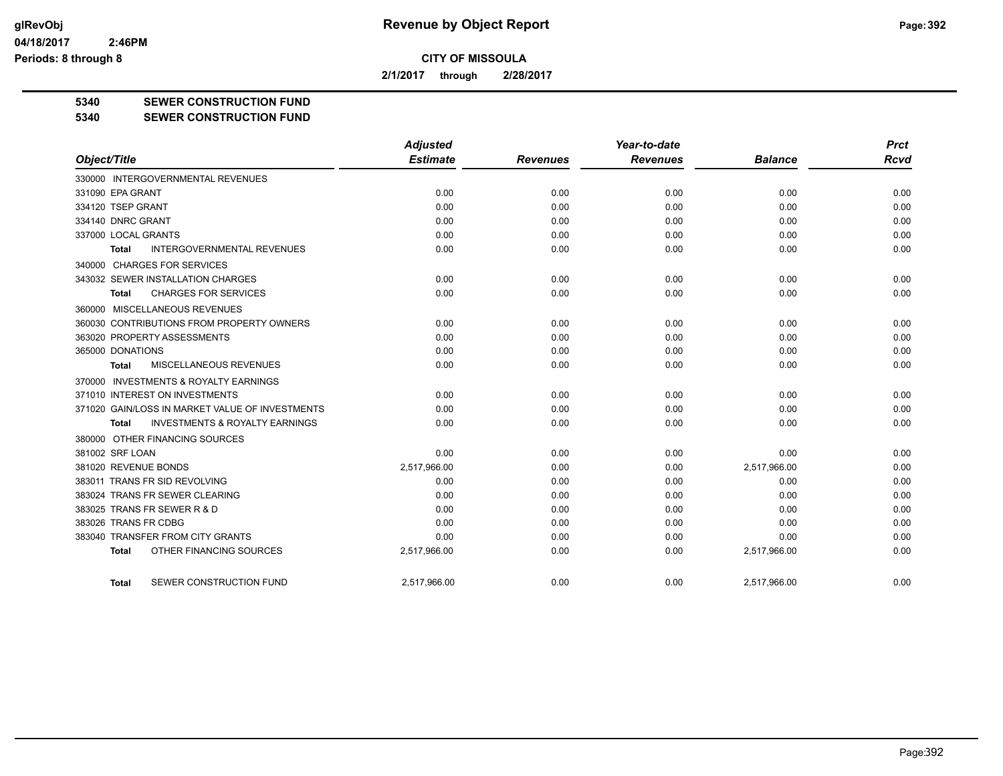**2/1/2017 through 2/28/2017**

**5340 SEWER CONSTRUCTION FUND**

**5340 SEWER CONSTRUCTION FUND**

|                                                    | <b>Adjusted</b> |                 | Year-to-date    |                | <b>Prct</b> |
|----------------------------------------------------|-----------------|-----------------|-----------------|----------------|-------------|
| Object/Title                                       | <b>Estimate</b> | <b>Revenues</b> | <b>Revenues</b> | <b>Balance</b> | <b>Rcvd</b> |
| 330000 INTERGOVERNMENTAL REVENUES                  |                 |                 |                 |                |             |
| 331090 EPA GRANT                                   | 0.00            | 0.00            | 0.00            | 0.00           | 0.00        |
| 334120 TSEP GRANT                                  | 0.00            | 0.00            | 0.00            | 0.00           | 0.00        |
| 334140 DNRC GRANT                                  | 0.00            | 0.00            | 0.00            | 0.00           | 0.00        |
| 337000 LOCAL GRANTS                                | 0.00            | 0.00            | 0.00            | 0.00           | 0.00        |
| <b>INTERGOVERNMENTAL REVENUES</b><br>Total         | 0.00            | 0.00            | 0.00            | 0.00           | 0.00        |
| 340000 CHARGES FOR SERVICES                        |                 |                 |                 |                |             |
| 343032 SEWER INSTALLATION CHARGES                  | 0.00            | 0.00            | 0.00            | 0.00           | 0.00        |
| <b>CHARGES FOR SERVICES</b><br><b>Total</b>        | 0.00            | 0.00            | 0.00            | 0.00           | 0.00        |
| 360000 MISCELLANEOUS REVENUES                      |                 |                 |                 |                |             |
| 360030 CONTRIBUTIONS FROM PROPERTY OWNERS          | 0.00            | 0.00            | 0.00            | 0.00           | 0.00        |
| 363020 PROPERTY ASSESSMENTS                        | 0.00            | 0.00            | 0.00            | 0.00           | 0.00        |
| 365000 DONATIONS                                   | 0.00            | 0.00            | 0.00            | 0.00           | 0.00        |
| MISCELLANEOUS REVENUES<br><b>Total</b>             | 0.00            | 0.00            | 0.00            | 0.00           | 0.00        |
| 370000 INVESTMENTS & ROYALTY EARNINGS              |                 |                 |                 |                |             |
| 371010 INTEREST ON INVESTMENTS                     | 0.00            | 0.00            | 0.00            | 0.00           | 0.00        |
| 371020 GAIN/LOSS IN MARKET VALUE OF INVESTMENTS    | 0.00            | 0.00            | 0.00            | 0.00           | 0.00        |
| <b>INVESTMENTS &amp; ROYALTY EARNINGS</b><br>Total | 0.00            | 0.00            | 0.00            | 0.00           | 0.00        |
| 380000 OTHER FINANCING SOURCES                     |                 |                 |                 |                |             |
| 381002 SRF LOAN                                    | 0.00            | 0.00            | 0.00            | 0.00           | 0.00        |
| 381020 REVENUE BONDS                               | 2,517,966.00    | 0.00            | 0.00            | 2,517,966.00   | 0.00        |
| 383011 TRANS FR SID REVOLVING                      | 0.00            | 0.00            | 0.00            | 0.00           | 0.00        |
| 383024 TRANS FR SEWER CLEARING                     | 0.00            | 0.00            | 0.00            | 0.00           | 0.00        |
| 383025 TRANS FR SEWER R & D                        | 0.00            | 0.00            | 0.00            | 0.00           | 0.00        |
| 383026 TRANS FR CDBG                               | 0.00            | 0.00            | 0.00            | 0.00           | 0.00        |
| 383040 TRANSFER FROM CITY GRANTS                   | 0.00            | 0.00            | 0.00            | 0.00           | 0.00        |
| OTHER FINANCING SOURCES<br>Total                   | 2,517,966.00    | 0.00            | 0.00            | 2,517,966.00   | 0.00        |
| SEWER CONSTRUCTION FUND<br>Total                   | 2,517,966.00    | 0.00            | 0.00            | 2,517,966.00   | 0.00        |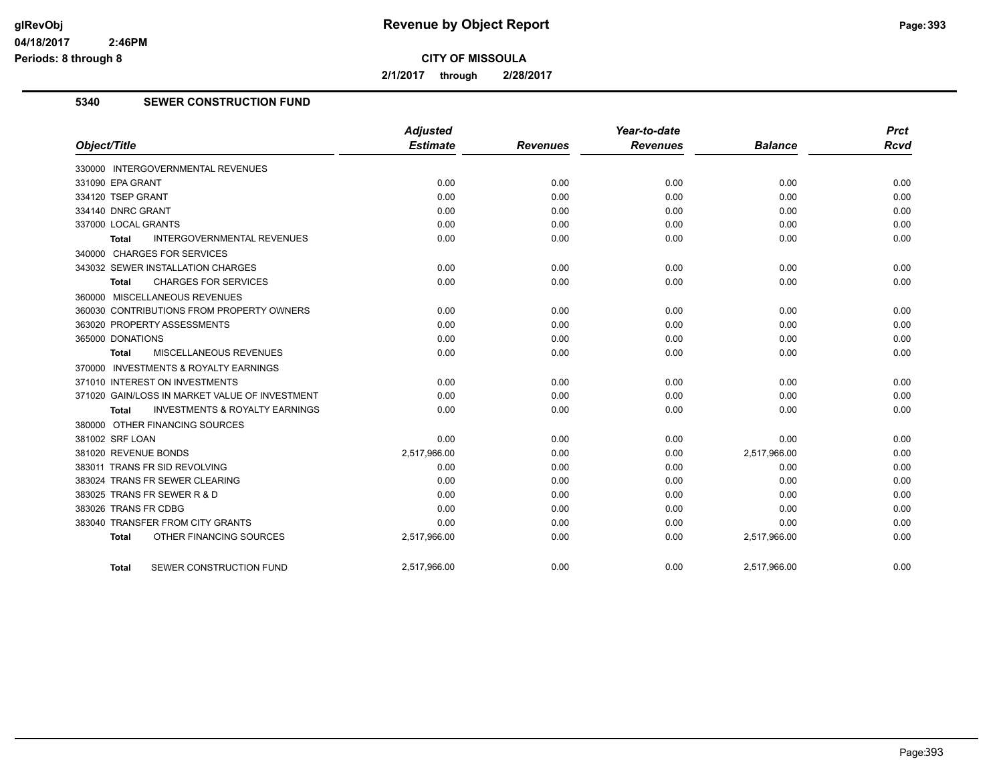**2/1/2017 through 2/28/2017**

# **5340 SEWER CONSTRUCTION FUND**

|                                                    | <b>Adjusted</b> |                 | Year-to-date    |                | <b>Prct</b> |
|----------------------------------------------------|-----------------|-----------------|-----------------|----------------|-------------|
| Object/Title                                       | <b>Estimate</b> | <b>Revenues</b> | <b>Revenues</b> | <b>Balance</b> | <b>Rcvd</b> |
| 330000 INTERGOVERNMENTAL REVENUES                  |                 |                 |                 |                |             |
| 331090 EPA GRANT                                   | 0.00            | 0.00            | 0.00            | 0.00           | 0.00        |
| 334120 TSEP GRANT                                  | 0.00            | 0.00            | 0.00            | 0.00           | 0.00        |
| 334140 DNRC GRANT                                  | 0.00            | 0.00            | 0.00            | 0.00           | 0.00        |
| 337000 LOCAL GRANTS                                | 0.00            | 0.00            | 0.00            | 0.00           | 0.00        |
| <b>INTERGOVERNMENTAL REVENUES</b><br><b>Total</b>  | 0.00            | 0.00            | 0.00            | 0.00           | 0.00        |
| 340000 CHARGES FOR SERVICES                        |                 |                 |                 |                |             |
| 343032 SEWER INSTALLATION CHARGES                  | 0.00            | 0.00            | 0.00            | 0.00           | 0.00        |
| <b>CHARGES FOR SERVICES</b><br><b>Total</b>        | 0.00            | 0.00            | 0.00            | 0.00           | 0.00        |
| 360000 MISCELLANEOUS REVENUES                      |                 |                 |                 |                |             |
| 360030 CONTRIBUTIONS FROM PROPERTY OWNERS          | 0.00            | 0.00            | 0.00            | 0.00           | 0.00        |
| 363020 PROPERTY ASSESSMENTS                        | 0.00            | 0.00            | 0.00            | 0.00           | 0.00        |
| 365000 DONATIONS                                   | 0.00            | 0.00            | 0.00            | 0.00           | 0.00        |
| MISCELLANEOUS REVENUES<br><b>Total</b>             | 0.00            | 0.00            | 0.00            | 0.00           | 0.00        |
| 370000 INVESTMENTS & ROYALTY EARNINGS              |                 |                 |                 |                |             |
| 371010 INTEREST ON INVESTMENTS                     | 0.00            | 0.00            | 0.00            | 0.00           | 0.00        |
| 371020 GAIN/LOSS IN MARKET VALUE OF INVESTMENT     | 0.00            | 0.00            | 0.00            | 0.00           | 0.00        |
| <b>INVESTMENTS &amp; ROYALTY EARNINGS</b><br>Total | 0.00            | 0.00            | 0.00            | 0.00           | 0.00        |
| 380000 OTHER FINANCING SOURCES                     |                 |                 |                 |                |             |
| 381002 SRF LOAN                                    | 0.00            | 0.00            | 0.00            | 0.00           | 0.00        |
| 381020 REVENUE BONDS                               | 2,517,966.00    | 0.00            | 0.00            | 2,517,966.00   | 0.00        |
| 383011 TRANS FR SID REVOLVING                      | 0.00            | 0.00            | 0.00            | 0.00           | 0.00        |
| 383024 TRANS FR SEWER CLEARING                     | 0.00            | 0.00            | 0.00            | 0.00           | 0.00        |
| 383025 TRANS FR SEWER R & D                        | 0.00            | 0.00            | 0.00            | 0.00           | 0.00        |
| 383026 TRANS FR CDBG                               | 0.00            | 0.00            | 0.00            | 0.00           | 0.00        |
| 383040 TRANSFER FROM CITY GRANTS                   | 0.00            | 0.00            | 0.00            | 0.00           | 0.00        |
| OTHER FINANCING SOURCES<br><b>Total</b>            | 2,517,966.00    | 0.00            | 0.00            | 2,517,966.00   | 0.00        |
| SEWER CONSTRUCTION FUND<br><b>Total</b>            | 2.517.966.00    | 0.00            | 0.00            | 2.517.966.00   | 0.00        |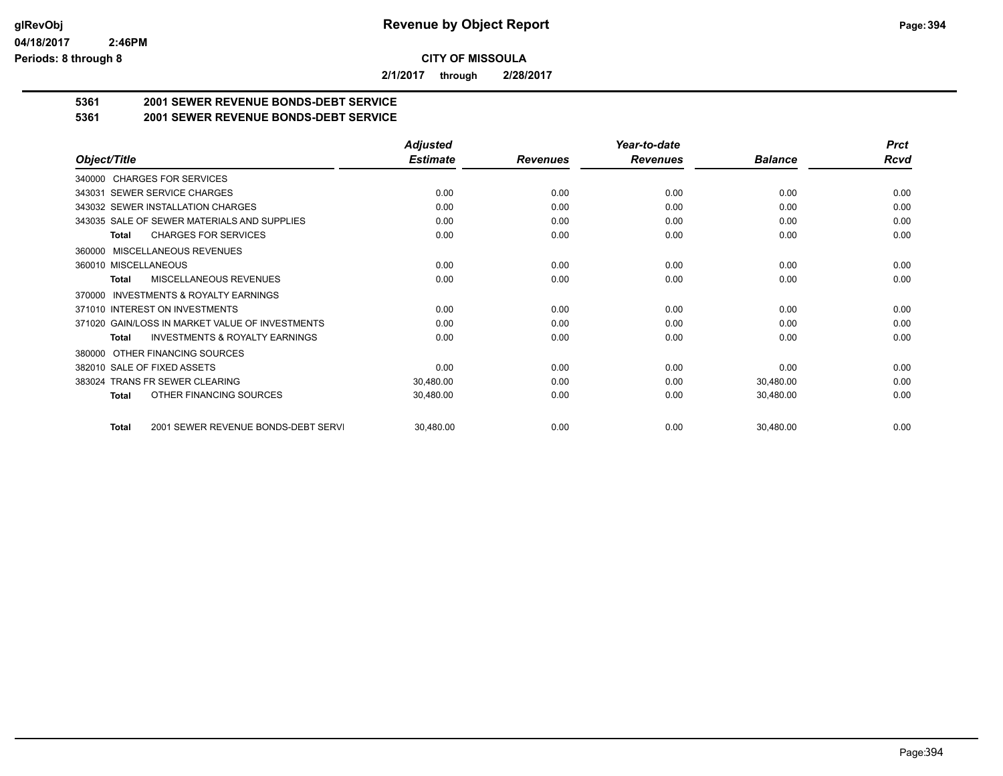**2/1/2017 through 2/28/2017**

# **5361 2001 SEWER REVENUE BONDS-DEBT SERVICE**

| 5361 | <b>2001 SEWER REVENUE BONDS-DEBT SERVICE</b> |
|------|----------------------------------------------|
|      |                                              |

|                                                           | <b>Adjusted</b> |                 | Year-to-date    |                | <b>Prct</b> |
|-----------------------------------------------------------|-----------------|-----------------|-----------------|----------------|-------------|
| Object/Title                                              | <b>Estimate</b> | <b>Revenues</b> | <b>Revenues</b> | <b>Balance</b> | Rcvd        |
| 340000 CHARGES FOR SERVICES                               |                 |                 |                 |                |             |
| 343031 SEWER SERVICE CHARGES                              | 0.00            | 0.00            | 0.00            | 0.00           | 0.00        |
| 343032 SEWER INSTALLATION CHARGES                         | 0.00            | 0.00            | 0.00            | 0.00           | 0.00        |
| 343035 SALE OF SEWER MATERIALS AND SUPPLIES               | 0.00            | 0.00            | 0.00            | 0.00           | 0.00        |
| <b>CHARGES FOR SERVICES</b><br><b>Total</b>               | 0.00            | 0.00            | 0.00            | 0.00           | 0.00        |
| MISCELLANEOUS REVENUES<br>360000                          |                 |                 |                 |                |             |
| 360010 MISCELLANEOUS                                      | 0.00            | 0.00            | 0.00            | 0.00           | 0.00        |
| MISCELLANEOUS REVENUES<br><b>Total</b>                    | 0.00            | 0.00            | 0.00            | 0.00           | 0.00        |
| <b>INVESTMENTS &amp; ROYALTY EARNINGS</b><br>370000       |                 |                 |                 |                |             |
| 371010 INTEREST ON INVESTMENTS                            | 0.00            | 0.00            | 0.00            | 0.00           | 0.00        |
| 371020 GAIN/LOSS IN MARKET VALUE OF INVESTMENTS           | 0.00            | 0.00            | 0.00            | 0.00           | 0.00        |
| <b>INVESTMENTS &amp; ROYALTY EARNINGS</b><br><b>Total</b> | 0.00            | 0.00            | 0.00            | 0.00           | 0.00        |
| OTHER FINANCING SOURCES<br>380000                         |                 |                 |                 |                |             |
| 382010 SALE OF FIXED ASSETS                               | 0.00            | 0.00            | 0.00            | 0.00           | 0.00        |
| 383024 TRANS FR SEWER CLEARING                            | 30,480.00       | 0.00            | 0.00            | 30,480.00      | 0.00        |
| OTHER FINANCING SOURCES<br><b>Total</b>                   | 30,480.00       | 0.00            | 0.00            | 30,480.00      | 0.00        |
| 2001 SEWER REVENUE BONDS-DEBT SERVI<br><b>Total</b>       | 30,480.00       | 0.00            | 0.00            | 30,480.00      | 0.00        |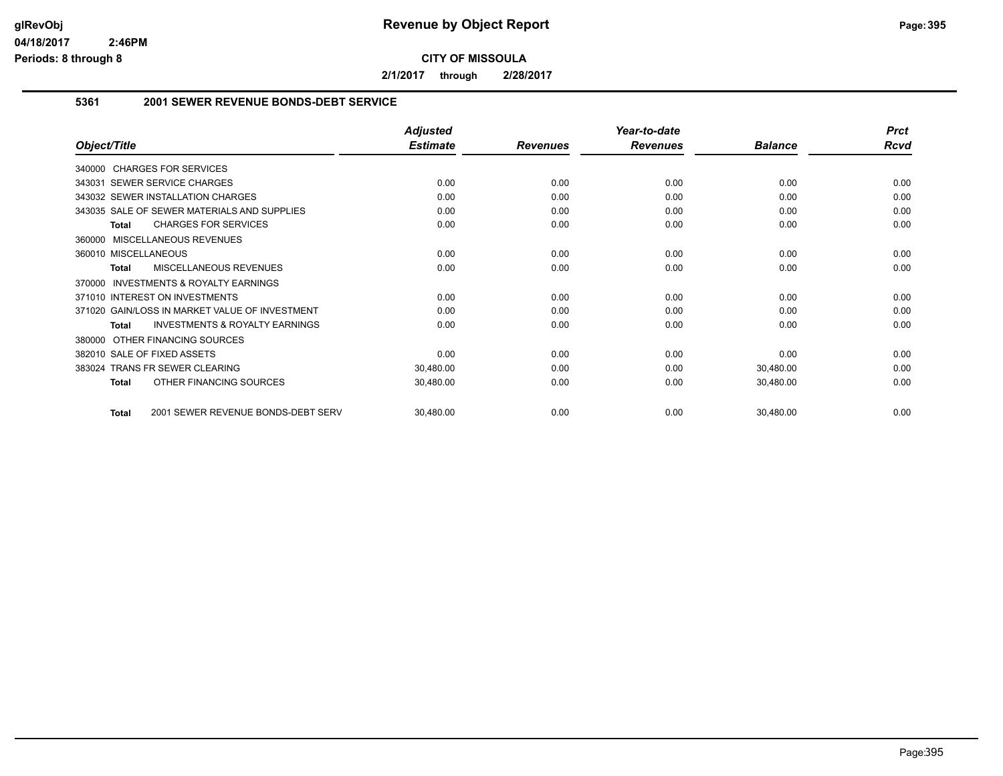**2/1/2017 through 2/28/2017**

# **5361 2001 SEWER REVENUE BONDS-DEBT SERVICE**

|                                                           | <b>Adjusted</b> |                 | Year-to-date    |                | <b>Prct</b> |
|-----------------------------------------------------------|-----------------|-----------------|-----------------|----------------|-------------|
| Object/Title                                              | <b>Estimate</b> | <b>Revenues</b> | <b>Revenues</b> | <b>Balance</b> | <b>Rcvd</b> |
| 340000 CHARGES FOR SERVICES                               |                 |                 |                 |                |             |
| 343031 SEWER SERVICE CHARGES                              | 0.00            | 0.00            | 0.00            | 0.00           | 0.00        |
| 343032 SEWER INSTALLATION CHARGES                         | 0.00            | 0.00            | 0.00            | 0.00           | 0.00        |
| 343035 SALE OF SEWER MATERIALS AND SUPPLIES               | 0.00            | 0.00            | 0.00            | 0.00           | 0.00        |
| <b>CHARGES FOR SERVICES</b><br>Total                      | 0.00            | 0.00            | 0.00            | 0.00           | 0.00        |
| MISCELLANEOUS REVENUES<br>360000                          |                 |                 |                 |                |             |
| 360010 MISCELLANEOUS                                      | 0.00            | 0.00            | 0.00            | 0.00           | 0.00        |
| MISCELLANEOUS REVENUES<br><b>Total</b>                    | 0.00            | 0.00            | 0.00            | 0.00           | 0.00        |
| <b>INVESTMENTS &amp; ROYALTY EARNINGS</b><br>370000       |                 |                 |                 |                |             |
| 371010 INTEREST ON INVESTMENTS                            | 0.00            | 0.00            | 0.00            | 0.00           | 0.00        |
| 371020 GAIN/LOSS IN MARKET VALUE OF INVESTMENT            | 0.00            | 0.00            | 0.00            | 0.00           | 0.00        |
| <b>INVESTMENTS &amp; ROYALTY EARNINGS</b><br><b>Total</b> | 0.00            | 0.00            | 0.00            | 0.00           | 0.00        |
| OTHER FINANCING SOURCES<br>380000                         |                 |                 |                 |                |             |
| 382010 SALE OF FIXED ASSETS                               | 0.00            | 0.00            | 0.00            | 0.00           | 0.00        |
| 383024 TRANS FR SEWER CLEARING                            | 30,480.00       | 0.00            | 0.00            | 30,480.00      | 0.00        |
| OTHER FINANCING SOURCES<br>Total                          | 30,480.00       | 0.00            | 0.00            | 30,480.00      | 0.00        |
| 2001 SEWER REVENUE BONDS-DEBT SERV<br><b>Total</b>        | 30,480.00       | 0.00            | 0.00            | 30,480.00      | 0.00        |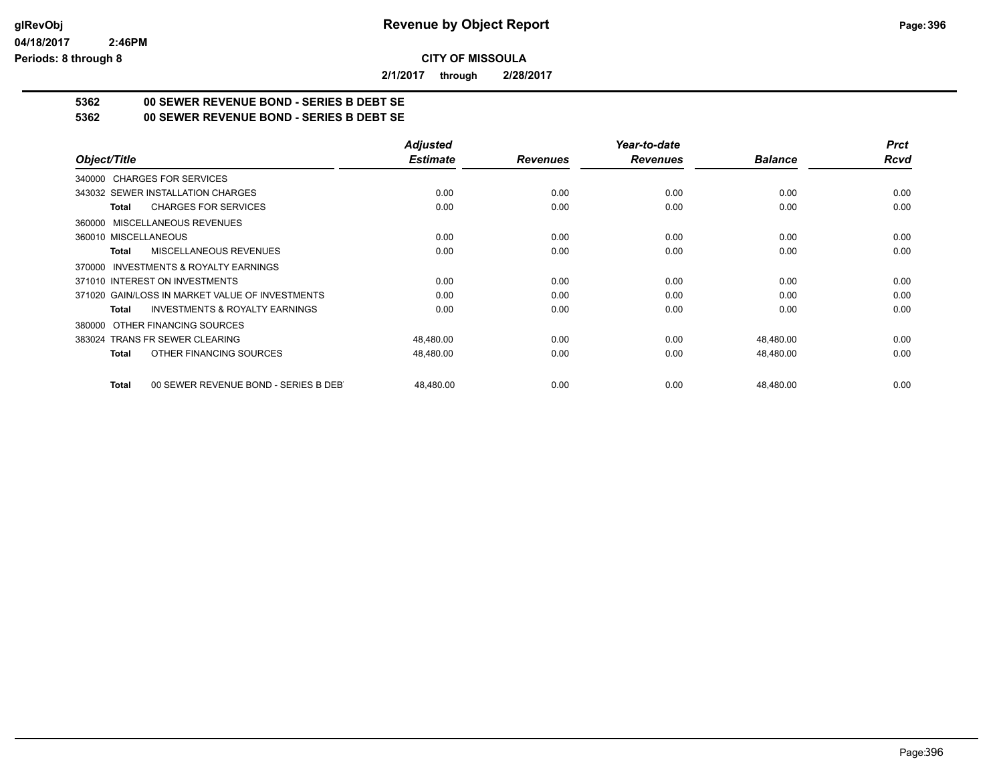#### **04/18/2017 2:46PM Periods: 8 through 8**

# **CITY OF MISSOULA**

**2/1/2017 through 2/28/2017**

# **5362 00 SEWER REVENUE BOND - SERIES B DEBT SE 5362 00 SEWER REVENUE BOND - SERIES B DEBT SE**

|                                                      | <b>Adjusted</b> |                 | Year-to-date    |                | <b>Prct</b> |
|------------------------------------------------------|-----------------|-----------------|-----------------|----------------|-------------|
| Object/Title                                         | <b>Estimate</b> | <b>Revenues</b> | <b>Revenues</b> | <b>Balance</b> | Rcvd        |
| 340000 CHARGES FOR SERVICES                          |                 |                 |                 |                |             |
| 343032 SEWER INSTALLATION CHARGES                    | 0.00            | 0.00            | 0.00            | 0.00           | 0.00        |
| <b>CHARGES FOR SERVICES</b><br><b>Total</b>          | 0.00            | 0.00            | 0.00            | 0.00           | 0.00        |
| 360000 MISCELLANEOUS REVENUES                        |                 |                 |                 |                |             |
| 360010 MISCELLANEOUS                                 | 0.00            | 0.00            | 0.00            | 0.00           | 0.00        |
| MISCELLANEOUS REVENUES<br><b>Total</b>               | 0.00            | 0.00            | 0.00            | 0.00           | 0.00        |
| <b>INVESTMENTS &amp; ROYALTY EARNINGS</b><br>370000  |                 |                 |                 |                |             |
| 371010 INTEREST ON INVESTMENTS                       | 0.00            | 0.00            | 0.00            | 0.00           | 0.00        |
| 371020 GAIN/LOSS IN MARKET VALUE OF INVESTMENTS      | 0.00            | 0.00            | 0.00            | 0.00           | 0.00        |
| <b>INVESTMENTS &amp; ROYALTY EARNINGS</b><br>Total   | 0.00            | 0.00            | 0.00            | 0.00           | 0.00        |
| OTHER FINANCING SOURCES<br>380000                    |                 |                 |                 |                |             |
| 383024 TRANS FR SEWER CLEARING                       | 48,480.00       | 0.00            | 0.00            | 48,480.00      | 0.00        |
| OTHER FINANCING SOURCES<br><b>Total</b>              | 48,480.00       | 0.00            | 0.00            | 48,480.00      | 0.00        |
|                                                      |                 |                 |                 |                |             |
| 00 SEWER REVENUE BOND - SERIES B DEB<br><b>Total</b> | 48,480.00       | 0.00            | 0.00            | 48,480.00      | 0.00        |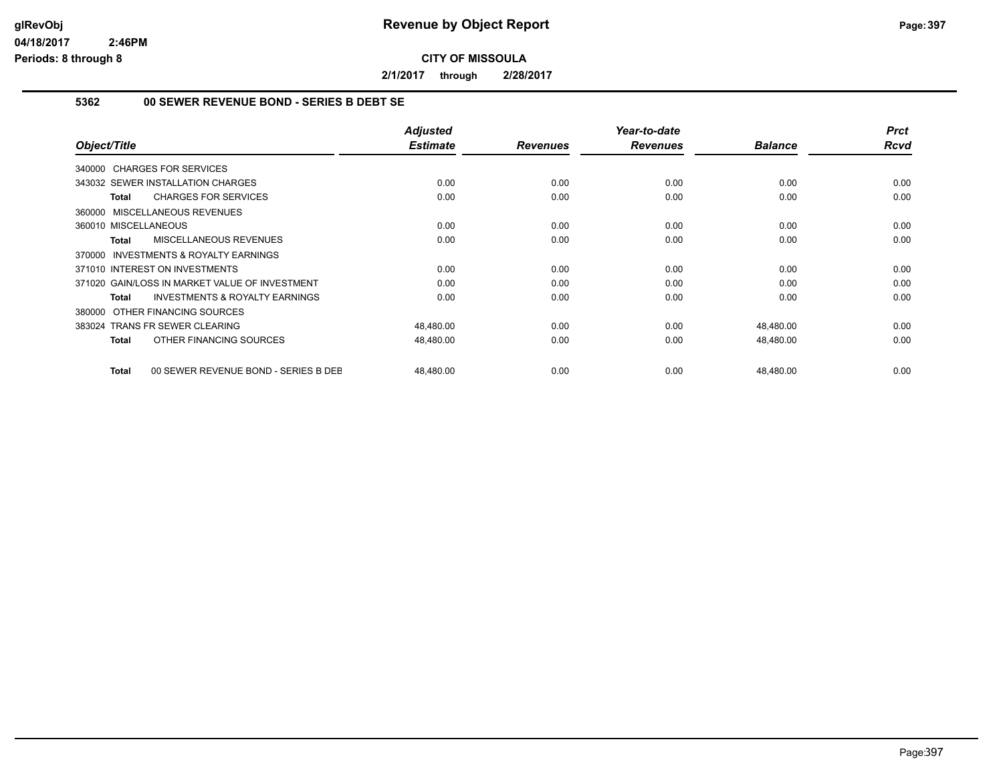**2/1/2017 through 2/28/2017**

# **5362 00 SEWER REVENUE BOND - SERIES B DEBT SE**

| Object/Title                                              | <b>Adjusted</b><br><b>Estimate</b> | <b>Revenues</b> | Year-to-date<br><b>Revenues</b> | <b>Balance</b> | <b>Prct</b><br><b>Rcvd</b> |
|-----------------------------------------------------------|------------------------------------|-----------------|---------------------------------|----------------|----------------------------|
|                                                           |                                    |                 |                                 |                |                            |
| 340000 CHARGES FOR SERVICES                               |                                    |                 |                                 |                |                            |
| 343032 SEWER INSTALLATION CHARGES                         | 0.00                               | 0.00            | 0.00                            | 0.00           | 0.00                       |
| <b>CHARGES FOR SERVICES</b><br>Total                      | 0.00                               | 0.00            | 0.00                            | 0.00           | 0.00                       |
| 360000 MISCELLANEOUS REVENUES                             |                                    |                 |                                 |                |                            |
| 360010 MISCELLANEOUS                                      | 0.00                               | 0.00            | 0.00                            | 0.00           | 0.00                       |
| MISCELLANEOUS REVENUES<br>Total                           | 0.00                               | 0.00            | 0.00                            | 0.00           | 0.00                       |
| <b>INVESTMENTS &amp; ROYALTY EARNINGS</b><br>370000       |                                    |                 |                                 |                |                            |
| 371010 INTEREST ON INVESTMENTS                            | 0.00                               | 0.00            | 0.00                            | 0.00           | 0.00                       |
| 371020 GAIN/LOSS IN MARKET VALUE OF INVESTMENT            | 0.00                               | 0.00            | 0.00                            | 0.00           | 0.00                       |
| <b>INVESTMENTS &amp; ROYALTY EARNINGS</b><br><b>Total</b> | 0.00                               | 0.00            | 0.00                            | 0.00           | 0.00                       |
| 380000 OTHER FINANCING SOURCES                            |                                    |                 |                                 |                |                            |
| 383024 TRANS FR SEWER CLEARING                            | 48,480.00                          | 0.00            | 0.00                            | 48,480.00      | 0.00                       |
| OTHER FINANCING SOURCES<br>Total                          | 48,480.00                          | 0.00            | 0.00                            | 48,480.00      | 0.00                       |
|                                                           |                                    |                 |                                 |                |                            |
| 00 SEWER REVENUE BOND - SERIES B DEE<br>Total             | 48,480.00                          | 0.00            | 0.00                            | 48,480.00      | 0.00                       |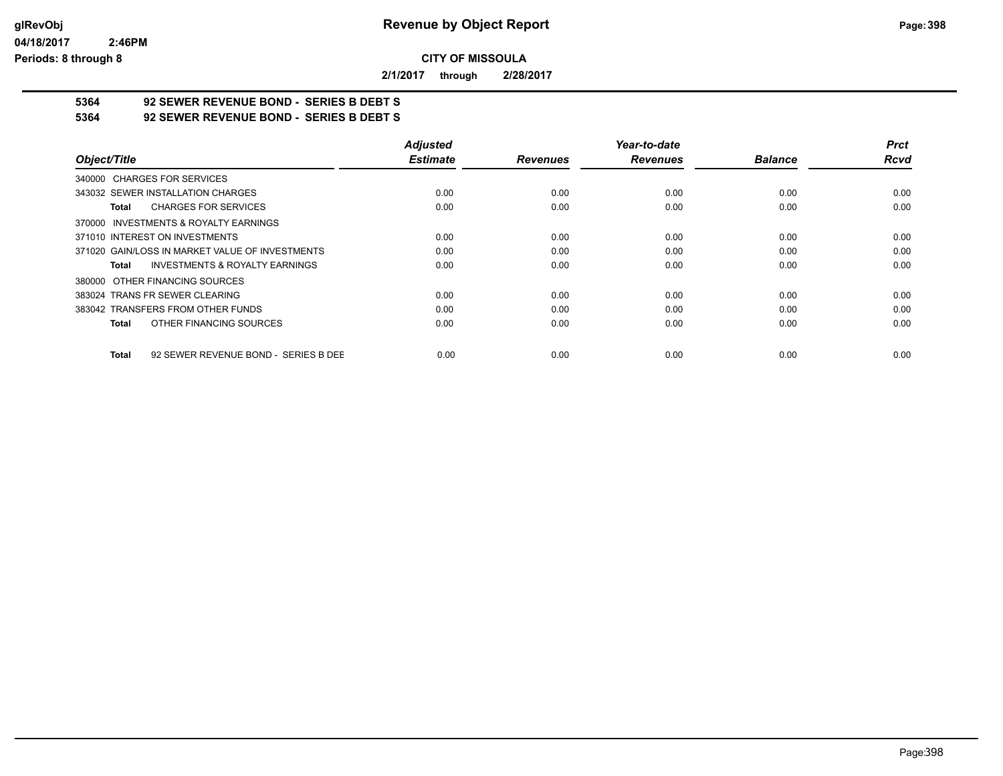**Periods: 8 through 8**

 **2:46PM**

**CITY OF MISSOULA**

**2/1/2017 through 2/28/2017**

#### **5364 92 SEWER REVENUE BOND - SERIES B DEBT S 5364 92 SEWER REVENUE BOND - SERIES B DEBT S**

|                                                    | <b>Adjusted</b> |                 | Year-to-date    |                | <b>Prct</b> |
|----------------------------------------------------|-----------------|-----------------|-----------------|----------------|-------------|
| Object/Title                                       | <b>Estimate</b> | <b>Revenues</b> | <b>Revenues</b> | <b>Balance</b> | Rcvd        |
| 340000 CHARGES FOR SERVICES                        |                 |                 |                 |                |             |
| 343032 SEWER INSTALLATION CHARGES                  | 0.00            | 0.00            | 0.00            | 0.00           | 0.00        |
| <b>CHARGES FOR SERVICES</b><br>Total               | 0.00            | 0.00            | 0.00            | 0.00           | 0.00        |
| 370000 INVESTMENTS & ROYALTY EARNINGS              |                 |                 |                 |                |             |
| 371010 INTEREST ON INVESTMENTS                     | 0.00            | 0.00            | 0.00            | 0.00           | 0.00        |
| 371020 GAIN/LOSS IN MARKET VALUE OF INVESTMENTS    | 0.00            | 0.00            | 0.00            | 0.00           | 0.00        |
| <b>INVESTMENTS &amp; ROYALTY EARNINGS</b><br>Total | 0.00            | 0.00            | 0.00            | 0.00           | 0.00        |
| 380000 OTHER FINANCING SOURCES                     |                 |                 |                 |                |             |
| 383024 TRANS FR SEWER CLEARING                     | 0.00            | 0.00            | 0.00            | 0.00           | 0.00        |
| 383042 TRANSFERS FROM OTHER FUNDS                  | 0.00            | 0.00            | 0.00            | 0.00           | 0.00        |
| OTHER FINANCING SOURCES<br>Total                   | 0.00            | 0.00            | 0.00            | 0.00           | 0.00        |
| 92 SEWER REVENUE BOND - SERIES B DEE<br>Total      | 0.00            | 0.00            | 0.00            | 0.00           | 0.00        |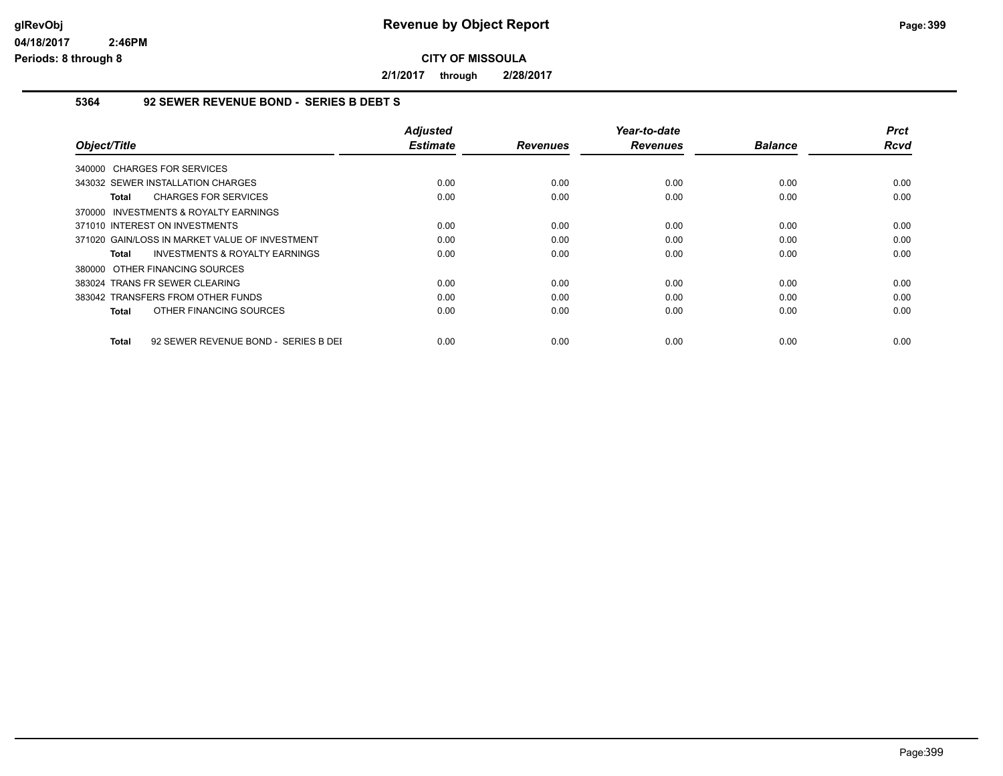**2/1/2017 through 2/28/2017**

# **5364 92 SEWER REVENUE BOND - SERIES B DEBT S**

| Object/Title                                         | <b>Adjusted</b><br><b>Estimate</b> | <b>Revenues</b> | Year-to-date<br><b>Revenues</b> | <b>Balance</b> | <b>Prct</b><br><b>Rcvd</b> |
|------------------------------------------------------|------------------------------------|-----------------|---------------------------------|----------------|----------------------------|
| 340000 CHARGES FOR SERVICES                          |                                    |                 |                                 |                |                            |
|                                                      |                                    |                 |                                 |                |                            |
| 343032 SEWER INSTALLATION CHARGES                    | 0.00                               | 0.00            | 0.00                            | 0.00           | 0.00                       |
| <b>CHARGES FOR SERVICES</b><br>Total                 | 0.00                               | 0.00            | 0.00                            | 0.00           | 0.00                       |
| 370000 INVESTMENTS & ROYALTY EARNINGS                |                                    |                 |                                 |                |                            |
| 371010 INTEREST ON INVESTMENTS                       | 0.00                               | 0.00            | 0.00                            | 0.00           | 0.00                       |
| 371020 GAIN/LOSS IN MARKET VALUE OF INVESTMENT       | 0.00                               | 0.00            | 0.00                            | 0.00           | 0.00                       |
| <b>INVESTMENTS &amp; ROYALTY EARNINGS</b><br>Total   | 0.00                               | 0.00            | 0.00                            | 0.00           | 0.00                       |
| 380000 OTHER FINANCING SOURCES                       |                                    |                 |                                 |                |                            |
| 383024 TRANS FR SEWER CLEARING                       | 0.00                               | 0.00            | 0.00                            | 0.00           | 0.00                       |
| 383042 TRANSFERS FROM OTHER FUNDS                    | 0.00                               | 0.00            | 0.00                            | 0.00           | 0.00                       |
| OTHER FINANCING SOURCES<br><b>Total</b>              | 0.00                               | 0.00            | 0.00                            | 0.00           | 0.00                       |
| 92 SEWER REVENUE BOND - SERIES B DEI<br><b>Total</b> | 0.00                               | 0.00            | 0.00                            | 0.00           | 0.00                       |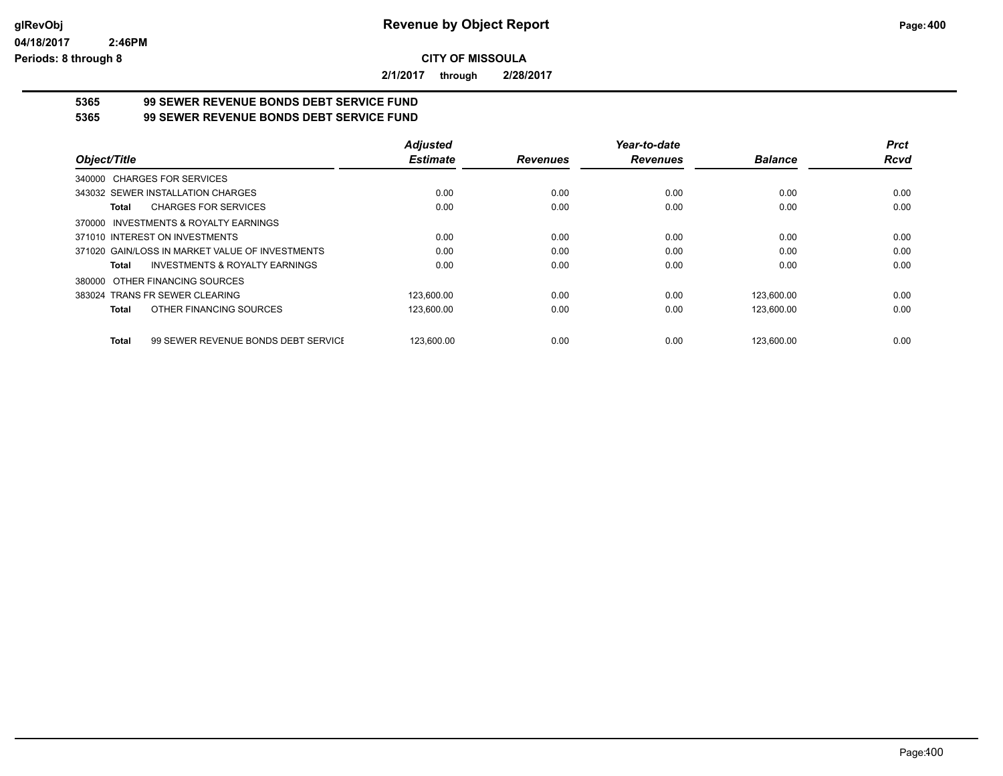*Prct Rcvd*

### **CITY OF MISSOULA**

**2/1/2017 through 2/28/2017**

#### **5365 99 SEWER REVENUE BONDS DEBT SERVICE FUND 5365 99 SEWER REVENUE BONDS DEBT SERVICE FUND**

|                                                    | <b>Adjusted</b> |                 | Year-to-date    |                | <b>Prct</b> |
|----------------------------------------------------|-----------------|-----------------|-----------------|----------------|-------------|
| Object/Title                                       | <b>Estimate</b> | <b>Revenues</b> | <b>Revenues</b> | <b>Balance</b> | Rcva        |
| 340000 CHARGES FOR SERVICES                        |                 |                 |                 |                |             |
| 343032 SEWER INSTALLATION CHARGES                  | 0.00            | 0.00            | 0.00            | 0.00           | 0.00        |
| <b>CHARGES FOR SERVICES</b><br>Total               | 0.00            | 0.00            | 0.00            | 0.00           | 0.00        |
| 370000 INVESTMENTS & ROYALTY EARNINGS              |                 |                 |                 |                |             |
| 371010 INTEREST ON INVESTMENTS                     | 0.00            | 0.00            | 0.00            | 0.00           | 0.00        |
| 371020 GAIN/LOSS IN MARKET VALUE OF INVESTMENTS    | 0.00            | 0.00            | 0.00            | 0.00           | 0.00        |
| <b>INVESTMENTS &amp; ROYALTY EARNINGS</b><br>Total | 0.00            | 0.00            | 0.00            | 0.00           | 0.00        |
| OTHER FINANCING SOURCES<br>380000                  |                 |                 |                 |                |             |
| 383024 TRANS FR SEWER CLEARING                     | 123,600.00      | 0.00            | 0.00            | 123,600.00     | 0.00        |
| OTHER FINANCING SOURCES<br>Total                   | 123,600.00      | 0.00            | 0.00            | 123,600.00     | 0.00        |
|                                                    |                 |                 |                 |                |             |
| 99 SEWER REVENUE BONDS DEBT SERVICE<br>Total       | 123.600.00      | 0.00            | 0.00            | 123.600.00     | 0.00        |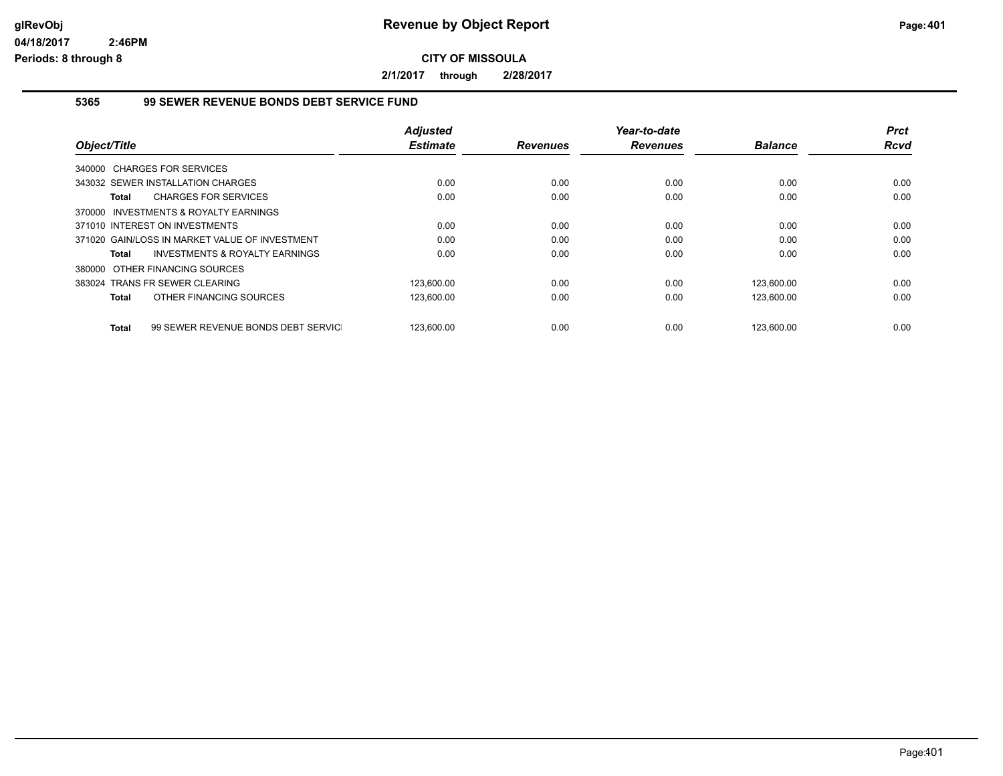**2/1/2017 through 2/28/2017**

# **5365 99 SEWER REVENUE BONDS DEBT SERVICE FUND**

| Object/Title                                        | <b>Adjusted</b><br><b>Estimate</b> | <b>Revenues</b> | Year-to-date<br><b>Revenues</b> | <b>Balance</b> | <b>Prct</b><br><b>Rcvd</b> |
|-----------------------------------------------------|------------------------------------|-----------------|---------------------------------|----------------|----------------------------|
| 340000 CHARGES FOR SERVICES                         |                                    |                 |                                 |                |                            |
| 343032 SEWER INSTALLATION CHARGES                   | 0.00                               | 0.00            | 0.00                            | 0.00           | 0.00                       |
| <b>CHARGES FOR SERVICES</b><br>Total                | 0.00                               | 0.00            | 0.00                            | 0.00           | 0.00                       |
| 370000 INVESTMENTS & ROYALTY EARNINGS               |                                    |                 |                                 |                |                            |
| 371010 INTEREST ON INVESTMENTS                      | 0.00                               | 0.00            | 0.00                            | 0.00           | 0.00                       |
| 371020 GAIN/LOSS IN MARKET VALUE OF INVESTMENT      | 0.00                               | 0.00            | 0.00                            | 0.00           | 0.00                       |
| INVESTMENTS & ROYALTY EARNINGS<br>Total             | 0.00                               | 0.00            | 0.00                            | 0.00           | 0.00                       |
| 380000 OTHER FINANCING SOURCES                      |                                    |                 |                                 |                |                            |
| 383024 TRANS FR SEWER CLEARING                      | 123,600.00                         | 0.00            | 0.00                            | 123,600.00     | 0.00                       |
| OTHER FINANCING SOURCES<br>Total                    | 123,600.00                         | 0.00            | 0.00                            | 123,600.00     | 0.00                       |
| 99 SEWER REVENUE BONDS DEBT SERVICI<br><b>Total</b> | 123.600.00                         | 0.00            | 0.00                            | 123.600.00     | 0.00                       |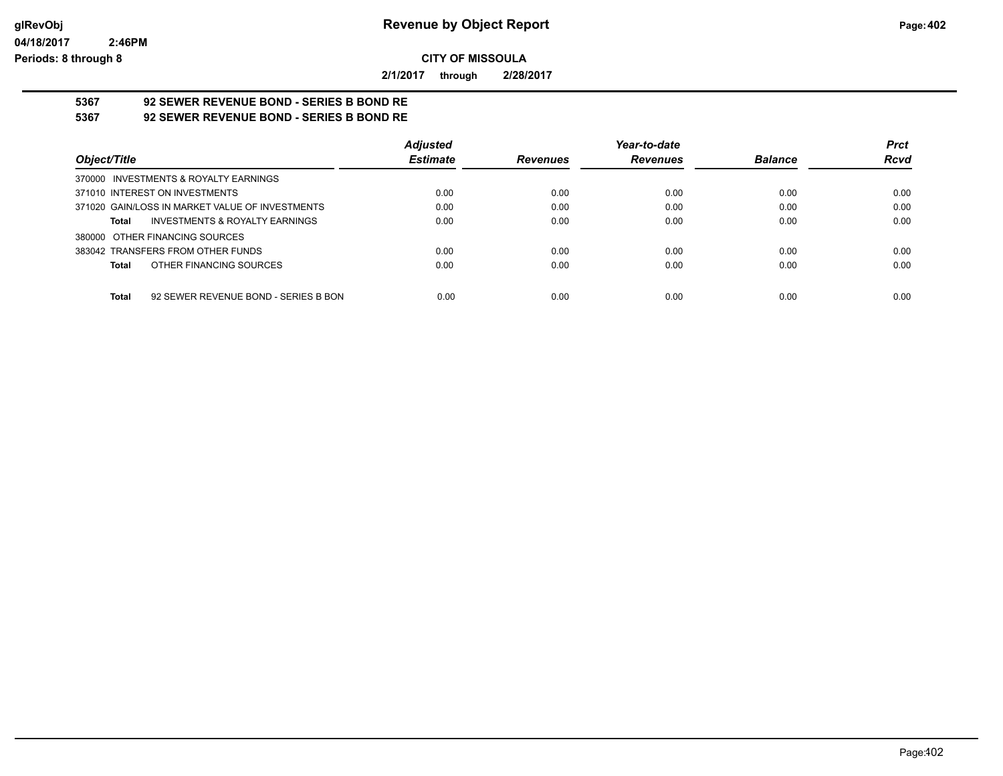**2/1/2017 through 2/28/2017**

#### **5367 92 SEWER REVENUE BOND - SERIES B BOND RE 5367 92 SEWER REVENUE BOND - SERIES B BOND RE**

|                                                      | <b>Adjusted</b> |                 | Year-to-date    |                | <b>Prct</b> |
|------------------------------------------------------|-----------------|-----------------|-----------------|----------------|-------------|
| Object/Title                                         | <b>Estimate</b> | <b>Revenues</b> | <b>Revenues</b> | <b>Balance</b> | Rcvd        |
| 370000 INVESTMENTS & ROYALTY EARNINGS                |                 |                 |                 |                |             |
| 371010 INTEREST ON INVESTMENTS                       | 0.00            | 0.00            | 0.00            | 0.00           | 0.00        |
| 371020 GAIN/LOSS IN MARKET VALUE OF INVESTMENTS      | 0.00            | 0.00            | 0.00            | 0.00           | 0.00        |
| INVESTMENTS & ROYALTY EARNINGS<br>Total              | 0.00            | 0.00            | 0.00            | 0.00           | 0.00        |
| 380000 OTHER FINANCING SOURCES                       |                 |                 |                 |                |             |
| 383042 TRANSFERS FROM OTHER FUNDS                    | 0.00            | 0.00            | 0.00            | 0.00           | 0.00        |
| OTHER FINANCING SOURCES<br>Total                     | 0.00            | 0.00            | 0.00            | 0.00           | 0.00        |
| <b>Total</b><br>92 SEWER REVENUE BOND - SERIES B BON | 0.00            | 0.00            | 0.00            | 0.00           | 0.00        |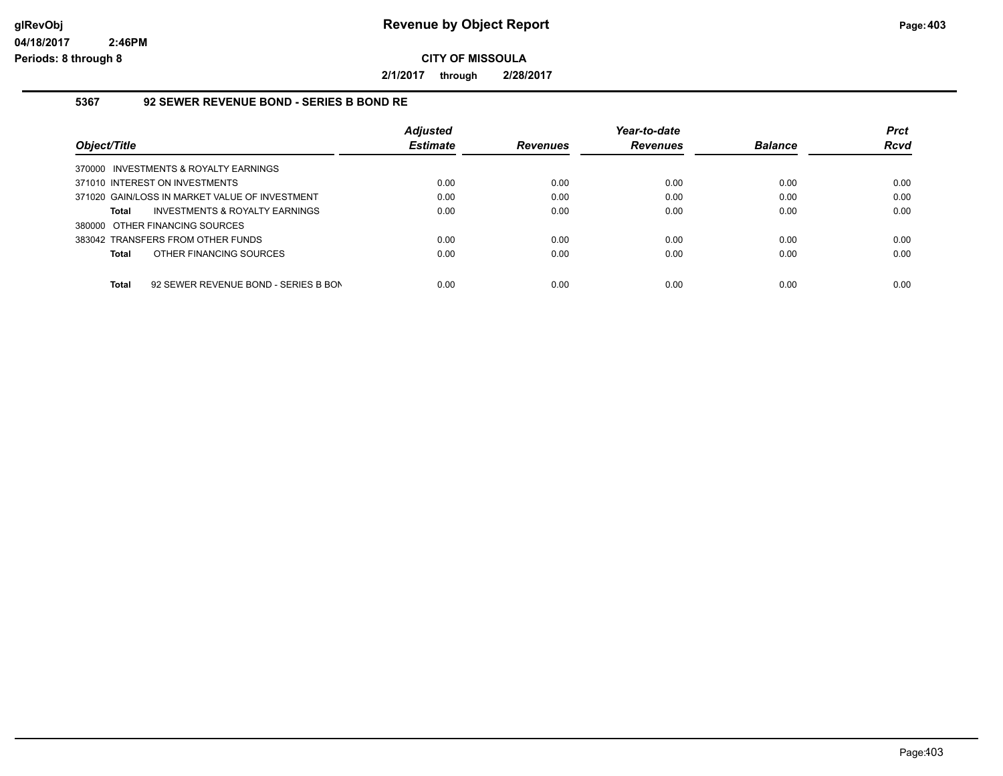**2/1/2017 through 2/28/2017**

# **5367 92 SEWER REVENUE BOND - SERIES B BOND RE**

|                                                | <b>Adjusted</b> |                 | Year-to-date    |                | <b>Prct</b> |
|------------------------------------------------|-----------------|-----------------|-----------------|----------------|-------------|
| Object/Title                                   | <b>Estimate</b> | <b>Revenues</b> | <b>Revenues</b> | <b>Balance</b> | <b>Rcvd</b> |
| 370000 INVESTMENTS & ROYALTY EARNINGS          |                 |                 |                 |                |             |
| 371010 INTEREST ON INVESTMENTS                 | 0.00            | 0.00            | 0.00            | 0.00           | 0.00        |
| 371020 GAIN/LOSS IN MARKET VALUE OF INVESTMENT | 0.00            | 0.00            | 0.00            | 0.00           | 0.00        |
| INVESTMENTS & ROYALTY EARNINGS<br><b>Total</b> | 0.00            | 0.00            | 0.00            | 0.00           | 0.00        |
| 380000 OTHER FINANCING SOURCES                 |                 |                 |                 |                |             |
| 383042 TRANSFERS FROM OTHER FUNDS              | 0.00            | 0.00            | 0.00            | 0.00           | 0.00        |
| OTHER FINANCING SOURCES<br><b>Total</b>        | 0.00            | 0.00            | 0.00            | 0.00           | 0.00        |
| Total<br>92 SEWER REVENUE BOND - SERIES B BON  | 0.00            | 0.00            | 0.00            | 0.00           | 0.00        |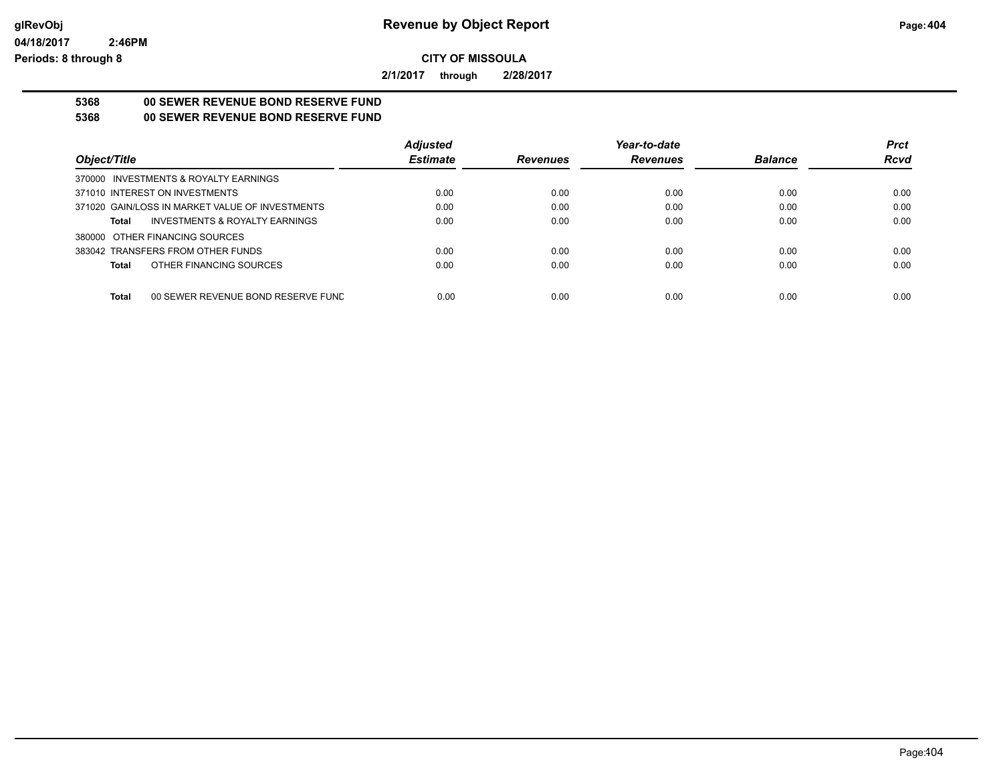**2/1/2017 through 2/28/2017**

#### **5368 00 SEWER REVENUE BOND RESERVE FUND 5368 00 SEWER REVENUE BOND RESERVE FUND**

|                                                    | <b>Adiusted</b> |                 | Year-to-date    |                | <b>Prct</b> |
|----------------------------------------------------|-----------------|-----------------|-----------------|----------------|-------------|
| Object/Title                                       | <b>Estimate</b> | <b>Revenues</b> | <b>Revenues</b> | <b>Balance</b> | <b>Rcvd</b> |
| 370000 INVESTMENTS & ROYALTY EARNINGS              |                 |                 |                 |                |             |
| 371010 INTEREST ON INVESTMENTS                     | 0.00            | 0.00            | 0.00            | 0.00           | 0.00        |
| 371020 GAIN/LOSS IN MARKET VALUE OF INVESTMENTS    | 0.00            | 0.00            | 0.00            | 0.00           | 0.00        |
| <b>INVESTMENTS &amp; ROYALTY EARNINGS</b><br>Total | 0.00            | 0.00            | 0.00            | 0.00           | 0.00        |
| 380000 OTHER FINANCING SOURCES                     |                 |                 |                 |                |             |
| 383042 TRANSFERS FROM OTHER FUNDS                  | 0.00            | 0.00            | 0.00            | 0.00           | 0.00        |
| OTHER FINANCING SOURCES<br>Total                   | 0.00            | 0.00            | 0.00            | 0.00           | 0.00        |
|                                                    |                 |                 |                 |                |             |
| 00 SEWER REVENUE BOND RESERVE FUND<br>Total        | 0.00            | 0.00            | 0.00            | 0.00           | 0.00        |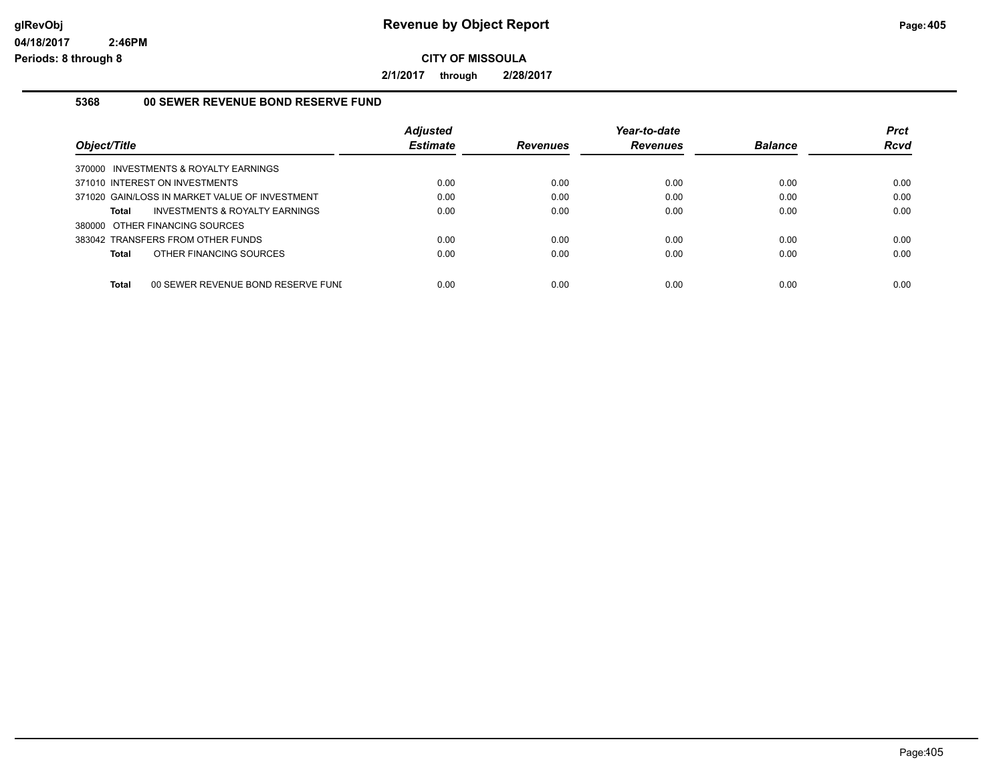**2/1/2017 through 2/28/2017**

#### **5368 00 SEWER REVENUE BOND RESERVE FUND**

| Object/Title                                       | <b>Adjusted</b><br><b>Estimate</b> | <b>Revenues</b> | Year-to-date<br><b>Revenues</b> | <b>Balance</b> | <b>Prct</b><br><b>Rcvd</b> |
|----------------------------------------------------|------------------------------------|-----------------|---------------------------------|----------------|----------------------------|
| 370000 INVESTMENTS & ROYALTY EARNINGS              |                                    |                 |                                 |                |                            |
| 371010 INTEREST ON INVESTMENTS                     | 0.00                               | 0.00            | 0.00                            | 0.00           | 0.00                       |
| 371020 GAIN/LOSS IN MARKET VALUE OF INVESTMENT     | 0.00                               | 0.00            | 0.00                            | 0.00           | 0.00                       |
| Total<br>INVESTMENTS & ROYALTY EARNINGS            | 0.00                               | 0.00            | 0.00                            | 0.00           | 0.00                       |
| 380000 OTHER FINANCING SOURCES                     |                                    |                 |                                 |                |                            |
| 383042 TRANSFERS FROM OTHER FUNDS                  | 0.00                               | 0.00            | 0.00                            | 0.00           | 0.00                       |
| OTHER FINANCING SOURCES<br>Total                   | 0.00                               | 0.00            | 0.00                            | 0.00           | 0.00                       |
|                                                    |                                    |                 |                                 |                |                            |
| <b>Total</b><br>00 SEWER REVENUE BOND RESERVE FUNI | 0.00                               | 0.00            | 0.00                            | 0.00           | 0.00                       |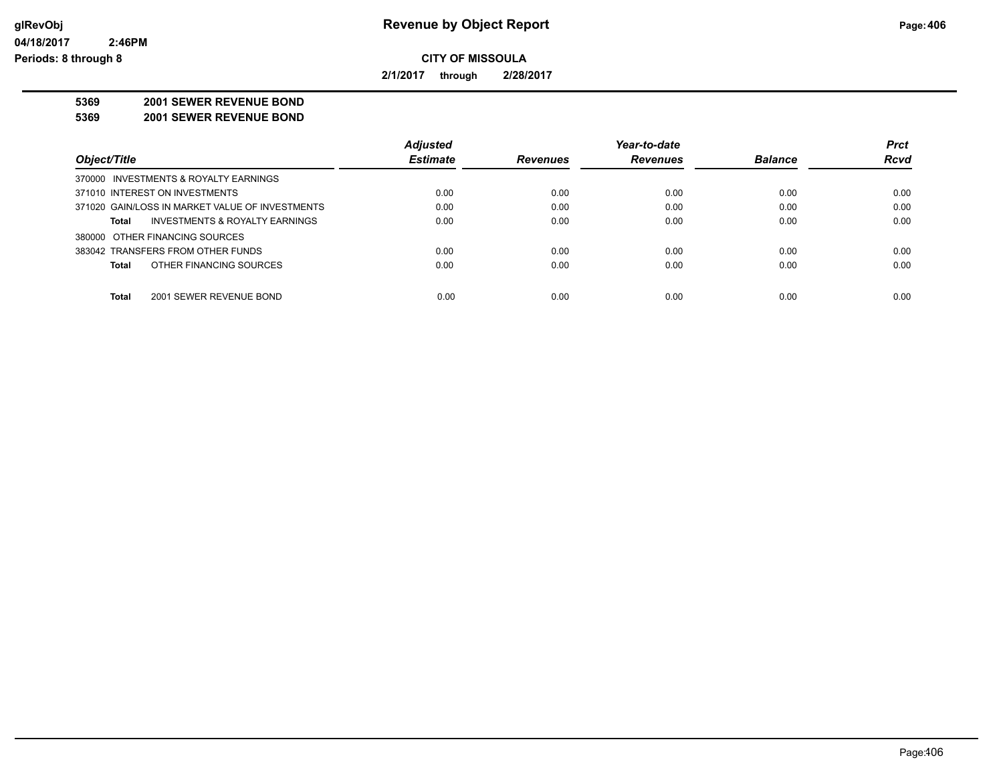**2/1/2017 through 2/28/2017**

**5369 2001 SEWER REVENUE BOND**

**5369 2001 SEWER REVENUE BOND**

|                                                 | <b>Adjusted</b> |                 | Year-to-date    |                | <b>Prct</b> |
|-------------------------------------------------|-----------------|-----------------|-----------------|----------------|-------------|
| Object/Title                                    | <b>Estimate</b> | <b>Revenues</b> | <b>Revenues</b> | <b>Balance</b> | <b>Rcvd</b> |
| 370000 INVESTMENTS & ROYALTY EARNINGS           |                 |                 |                 |                |             |
| 371010 INTEREST ON INVESTMENTS                  | 0.00            | 0.00            | 0.00            | 0.00           | 0.00        |
| 371020 GAIN/LOSS IN MARKET VALUE OF INVESTMENTS | 0.00            | 0.00            | 0.00            | 0.00           | 0.00        |
| INVESTMENTS & ROYALTY EARNINGS<br>Total         | 0.00            | 0.00            | 0.00            | 0.00           | 0.00        |
| 380000 OTHER FINANCING SOURCES                  |                 |                 |                 |                |             |
| 383042 TRANSFERS FROM OTHER FUNDS               | 0.00            | 0.00            | 0.00            | 0.00           | 0.00        |
| OTHER FINANCING SOURCES<br>Total                | 0.00            | 0.00            | 0.00            | 0.00           | 0.00        |
| <b>Total</b><br>2001 SEWER REVENUE BOND         | 0.00            | 0.00            | 0.00            | 0.00           | 0.00        |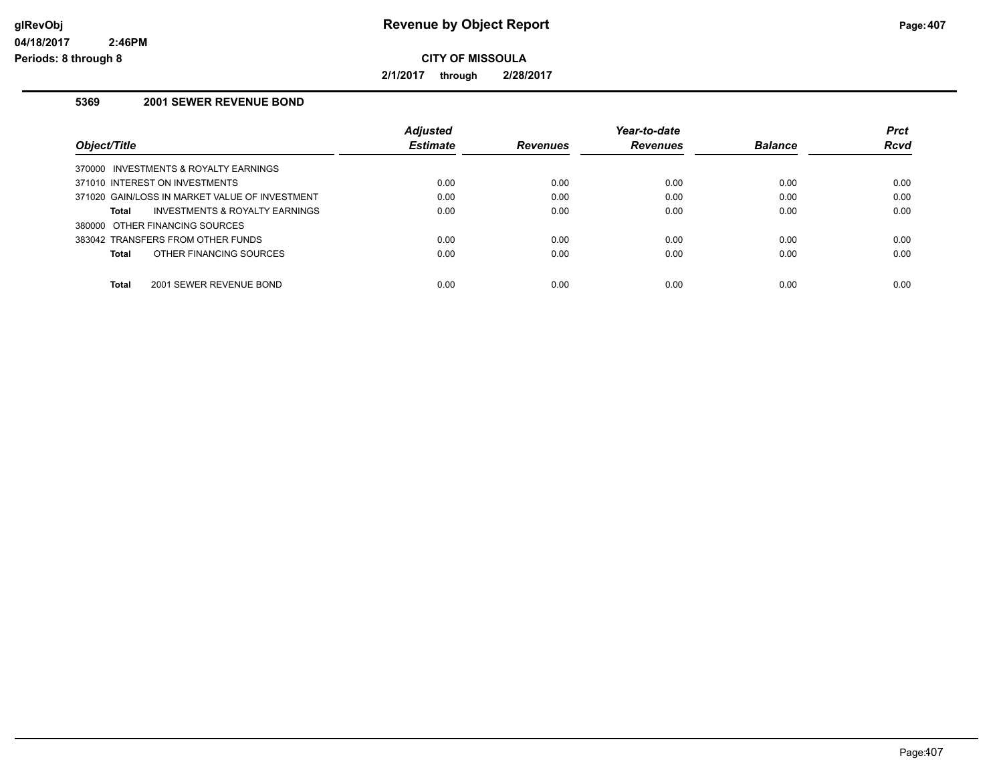**2/1/2017 through 2/28/2017**

#### **5369 2001 SEWER REVENUE BOND**

|                                                | <b>Adjusted</b> |                 | Year-to-date    |                | <b>Prct</b> |
|------------------------------------------------|-----------------|-----------------|-----------------|----------------|-------------|
| Object/Title                                   | <b>Estimate</b> | <b>Revenues</b> | <b>Revenues</b> | <b>Balance</b> | <b>Rcvd</b> |
| 370000 INVESTMENTS & ROYALTY EARNINGS          |                 |                 |                 |                |             |
| 371010 INTEREST ON INVESTMENTS                 | 0.00            | 0.00            | 0.00            | 0.00           | 0.00        |
| 371020 GAIN/LOSS IN MARKET VALUE OF INVESTMENT | 0.00            | 0.00            | 0.00            | 0.00           | 0.00        |
| Total<br>INVESTMENTS & ROYALTY EARNINGS        | 0.00            | 0.00            | 0.00            | 0.00           | 0.00        |
| 380000 OTHER FINANCING SOURCES                 |                 |                 |                 |                |             |
| 383042 TRANSFERS FROM OTHER FUNDS              | 0.00            | 0.00            | 0.00            | 0.00           | 0.00        |
| OTHER FINANCING SOURCES<br>Total               | 0.00            | 0.00            | 0.00            | 0.00           | 0.00        |
| Total<br>2001 SEWER REVENUE BOND               | 0.00            | 0.00            | 0.00            | 0.00           | 0.00        |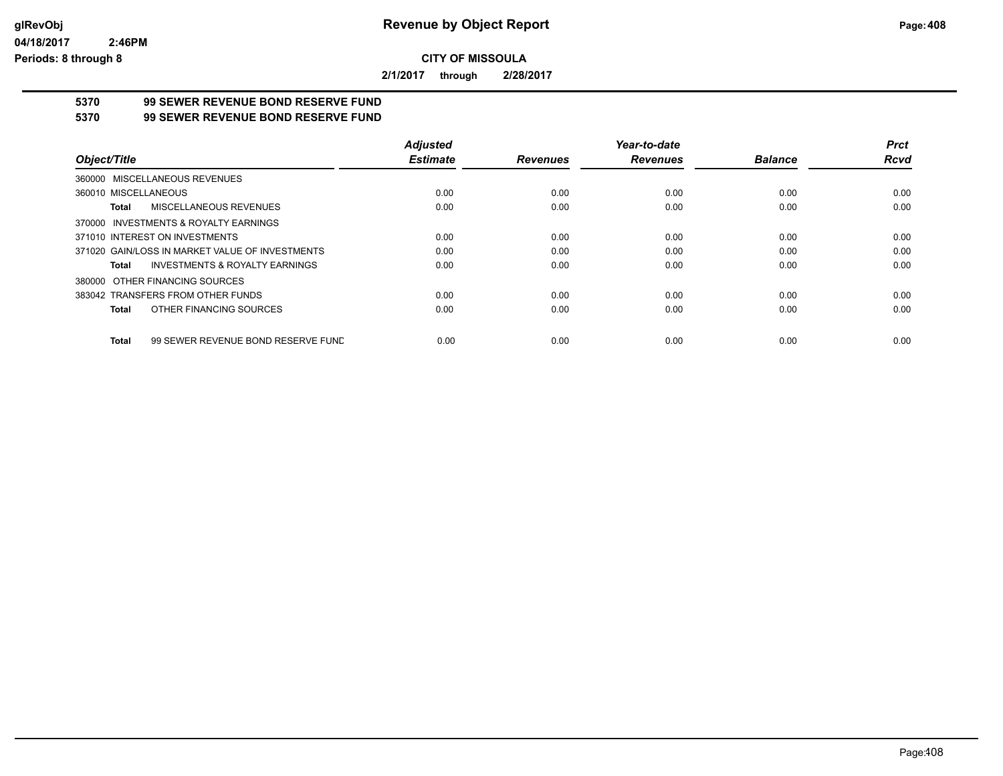**2/1/2017 through 2/28/2017**

#### **5370 99 SEWER REVENUE BOND RESERVE FUND 5370 99 SEWER REVENUE BOND RESERVE FUND**

|                                                    | <b>Adjusted</b> |                 | Year-to-date    |                | <b>Prct</b> |
|----------------------------------------------------|-----------------|-----------------|-----------------|----------------|-------------|
| Object/Title                                       | <b>Estimate</b> | <b>Revenues</b> | <b>Revenues</b> | <b>Balance</b> | Rcvd        |
| 360000 MISCELLANEOUS REVENUES                      |                 |                 |                 |                |             |
| 360010 MISCELLANEOUS                               | 0.00            | 0.00            | 0.00            | 0.00           | 0.00        |
| <b>MISCELLANEOUS REVENUES</b><br>Total             | 0.00            | 0.00            | 0.00            | 0.00           | 0.00        |
| 370000 INVESTMENTS & ROYALTY EARNINGS              |                 |                 |                 |                |             |
| 371010 INTEREST ON INVESTMENTS                     | 0.00            | 0.00            | 0.00            | 0.00           | 0.00        |
| 371020 GAIN/LOSS IN MARKET VALUE OF INVESTMENTS    | 0.00            | 0.00            | 0.00            | 0.00           | 0.00        |
| <b>INVESTMENTS &amp; ROYALTY EARNINGS</b><br>Total | 0.00            | 0.00            | 0.00            | 0.00           | 0.00        |
| 380000 OTHER FINANCING SOURCES                     |                 |                 |                 |                |             |
| 383042 TRANSFERS FROM OTHER FUNDS                  | 0.00            | 0.00            | 0.00            | 0.00           | 0.00        |
| OTHER FINANCING SOURCES<br>Total                   | 0.00            | 0.00            | 0.00            | 0.00           | 0.00        |
| 99 SEWER REVENUE BOND RESERVE FUND<br><b>Total</b> | 0.00            | 0.00            | 0.00            | 0.00           | 0.00        |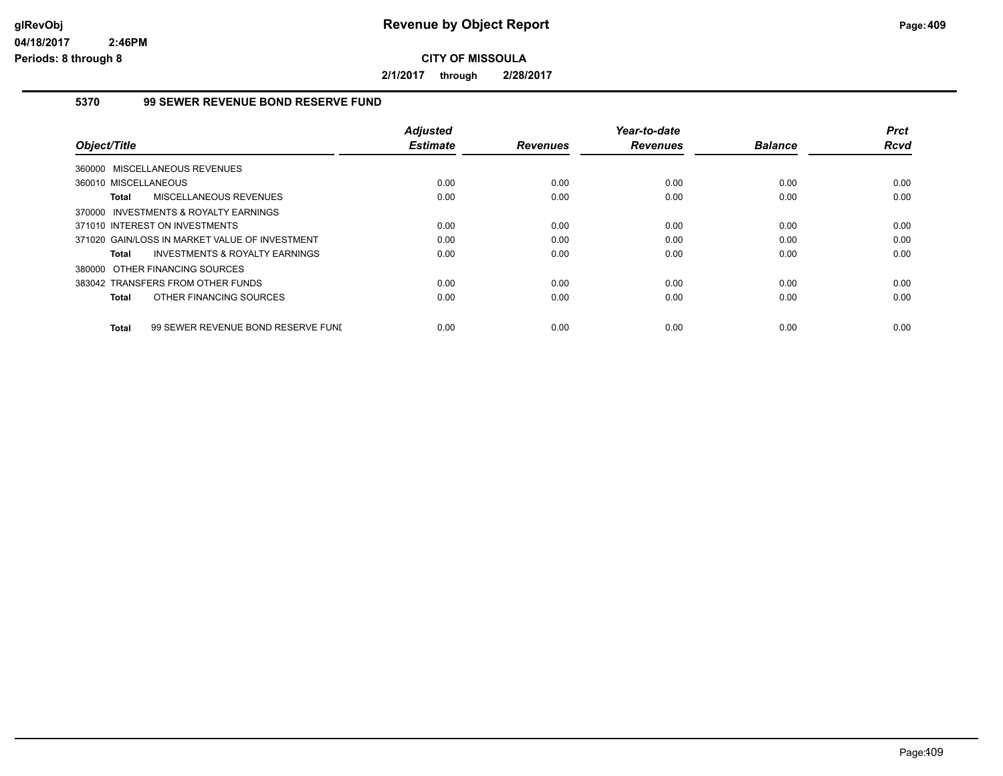**2/1/2017 through 2/28/2017**

#### **5370 99 SEWER REVENUE BOND RESERVE FUND**

| Object/Title                                       | <b>Adjusted</b><br><b>Estimate</b> | <b>Revenues</b> | Year-to-date<br><b>Revenues</b> | <b>Balance</b> | <b>Prct</b><br><b>Rcvd</b> |
|----------------------------------------------------|------------------------------------|-----------------|---------------------------------|----------------|----------------------------|
|                                                    |                                    |                 |                                 |                |                            |
| 360000 MISCELLANEOUS REVENUES                      |                                    |                 |                                 |                |                            |
| 360010 MISCELLANEOUS                               | 0.00                               | 0.00            | 0.00                            | 0.00           | 0.00                       |
| MISCELLANEOUS REVENUES<br>Total                    | 0.00                               | 0.00            | 0.00                            | 0.00           | 0.00                       |
| 370000 INVESTMENTS & ROYALTY EARNINGS              |                                    |                 |                                 |                |                            |
| 371010 INTEREST ON INVESTMENTS                     | 0.00                               | 0.00            | 0.00                            | 0.00           | 0.00                       |
| 371020 GAIN/LOSS IN MARKET VALUE OF INVESTMENT     | 0.00                               | 0.00            | 0.00                            | 0.00           | 0.00                       |
| INVESTMENTS & ROYALTY EARNINGS<br>Total            | 0.00                               | 0.00            | 0.00                            | 0.00           | 0.00                       |
| 380000 OTHER FINANCING SOURCES                     |                                    |                 |                                 |                |                            |
| 383042 TRANSFERS FROM OTHER FUNDS                  | 0.00                               | 0.00            | 0.00                            | 0.00           | 0.00                       |
| OTHER FINANCING SOURCES<br>Total                   | 0.00                               | 0.00            | 0.00                            | 0.00           | 0.00                       |
| 99 SEWER REVENUE BOND RESERVE FUNI<br><b>Total</b> | 0.00                               | 0.00            | 0.00                            | 0.00           | 0.00                       |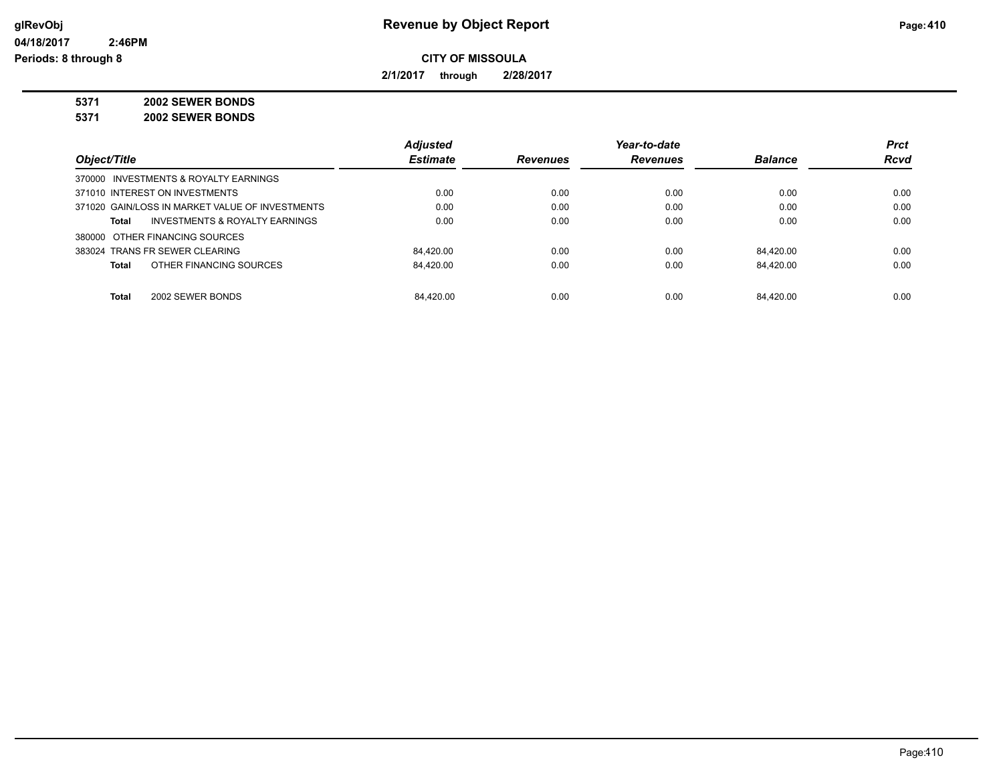**2/1/2017 through 2/28/2017**

**5371 2002 SEWER BONDS**

**5371 2002 SEWER BONDS**

|                                                    | <b>Adjusted</b> |                 | Year-to-date    |                | <b>Prct</b> |
|----------------------------------------------------|-----------------|-----------------|-----------------|----------------|-------------|
| Object/Title                                       | <b>Estimate</b> | <b>Revenues</b> | <b>Revenues</b> | <b>Balance</b> | <b>Rcvd</b> |
| 370000 INVESTMENTS & ROYALTY EARNINGS              |                 |                 |                 |                |             |
| 371010 INTEREST ON INVESTMENTS                     | 0.00            | 0.00            | 0.00            | 0.00           | 0.00        |
| 371020 GAIN/LOSS IN MARKET VALUE OF INVESTMENTS    | 0.00            | 0.00            | 0.00            | 0.00           | 0.00        |
| <b>INVESTMENTS &amp; ROYALTY EARNINGS</b><br>Total | 0.00            | 0.00            | 0.00            | 0.00           | 0.00        |
| 380000 OTHER FINANCING SOURCES                     |                 |                 |                 |                |             |
| 383024 TRANS FR SEWER CLEARING                     | 84.420.00       | 0.00            | 0.00            | 84.420.00      | 0.00        |
| OTHER FINANCING SOURCES<br>Total                   | 84.420.00       | 0.00            | 0.00            | 84.420.00      | 0.00        |
|                                                    |                 |                 |                 |                |             |
| <b>Total</b><br>2002 SEWER BONDS                   | 84.420.00       | 0.00            | 0.00            | 84.420.00      | 0.00        |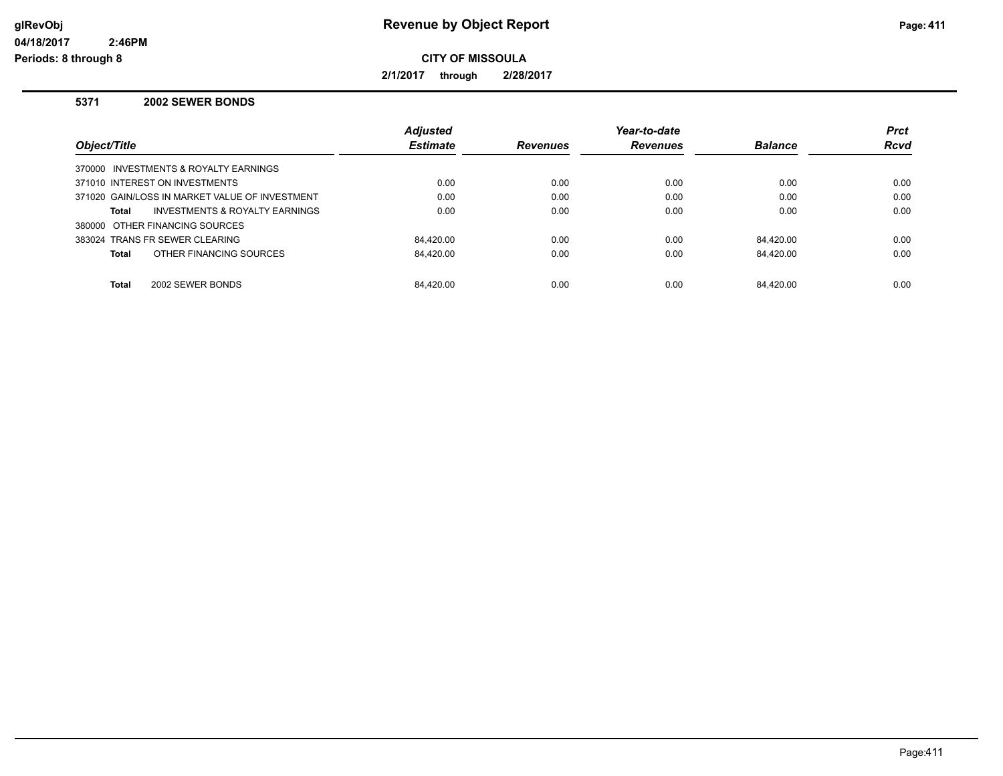**2/1/2017 through 2/28/2017**

#### **5371 2002 SEWER BONDS**

|              |                                                | <b>Adjusted</b> |                 | Year-to-date    |                | <b>Prct</b> |
|--------------|------------------------------------------------|-----------------|-----------------|-----------------|----------------|-------------|
| Object/Title |                                                | <b>Estimate</b> | <b>Revenues</b> | <b>Revenues</b> | <b>Balance</b> | <b>Rcvd</b> |
| 370000       | INVESTMENTS & ROYALTY EARNINGS                 |                 |                 |                 |                |             |
|              | 371010 INTEREST ON INVESTMENTS                 | 0.00            | 0.00            | 0.00            | 0.00           | 0.00        |
|              | 371020 GAIN/LOSS IN MARKET VALUE OF INVESTMENT | 0.00            | 0.00            | 0.00            | 0.00           | 0.00        |
| Total        | INVESTMENTS & ROYALTY EARNINGS                 | 0.00            | 0.00            | 0.00            | 0.00           | 0.00        |
|              | 380000 OTHER FINANCING SOURCES                 |                 |                 |                 |                |             |
|              | 383024 TRANS FR SEWER CLEARING                 | 84.420.00       | 0.00            | 0.00            | 84.420.00      | 0.00        |
| Total        | OTHER FINANCING SOURCES                        | 84.420.00       | 0.00            | 0.00            | 84.420.00      | 0.00        |
| <b>Total</b> | 2002 SEWER BONDS                               | 84.420.00       | 0.00            | 0.00            | 84.420.00      | 0.00        |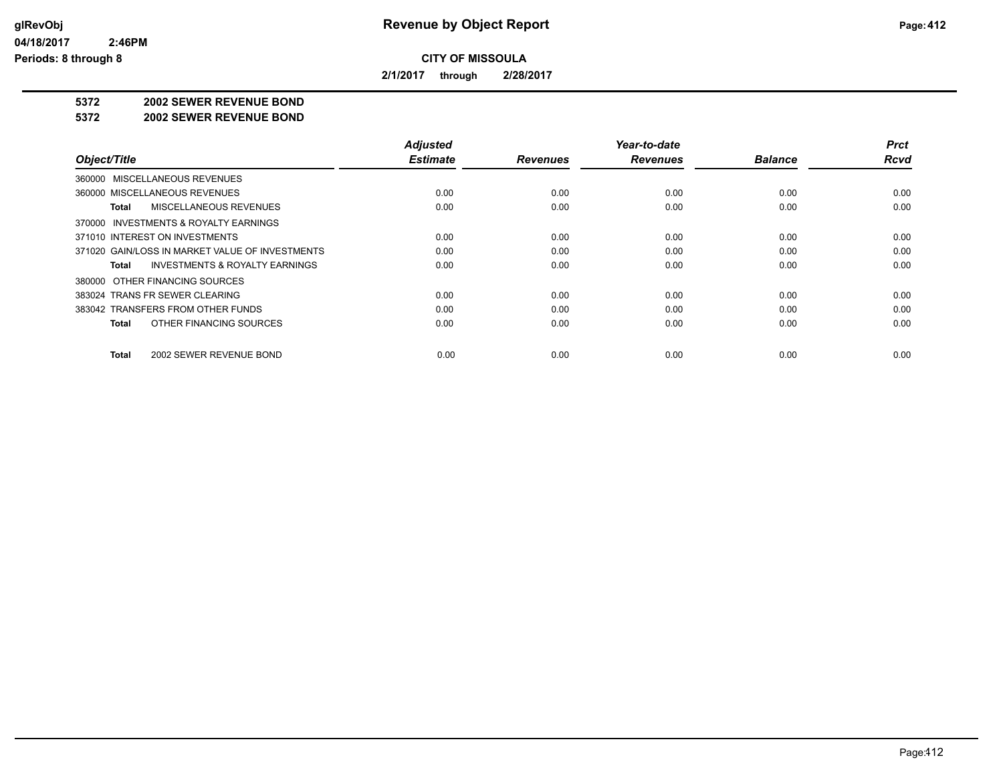**2/1/2017 through 2/28/2017**

**5372 2002 SEWER REVENUE BOND**

**5372 2002 SEWER REVENUE BOND**

|                                                    | <b>Adjusted</b> |                 | Year-to-date    |                | <b>Prct</b> |
|----------------------------------------------------|-----------------|-----------------|-----------------|----------------|-------------|
| Object/Title                                       | <b>Estimate</b> | <b>Revenues</b> | <b>Revenues</b> | <b>Balance</b> | <b>Rcvd</b> |
| 360000 MISCELLANEOUS REVENUES                      |                 |                 |                 |                |             |
| 360000 MISCELLANEOUS REVENUES                      | 0.00            | 0.00            | 0.00            | 0.00           | 0.00        |
| MISCELLANEOUS REVENUES<br>Total                    | 0.00            | 0.00            | 0.00            | 0.00           | 0.00        |
| 370000 INVESTMENTS & ROYALTY EARNINGS              |                 |                 |                 |                |             |
| 371010 INTEREST ON INVESTMENTS                     | 0.00            | 0.00            | 0.00            | 0.00           | 0.00        |
| 371020 GAIN/LOSS IN MARKET VALUE OF INVESTMENTS    | 0.00            | 0.00            | 0.00            | 0.00           | 0.00        |
| <b>INVESTMENTS &amp; ROYALTY EARNINGS</b><br>Total | 0.00            | 0.00            | 0.00            | 0.00           | 0.00        |
| 380000 OTHER FINANCING SOURCES                     |                 |                 |                 |                |             |
| 383024 TRANS FR SEWER CLEARING                     | 0.00            | 0.00            | 0.00            | 0.00           | 0.00        |
| 383042 TRANSFERS FROM OTHER FUNDS                  | 0.00            | 0.00            | 0.00            | 0.00           | 0.00        |
| OTHER FINANCING SOURCES<br>Total                   | 0.00            | 0.00            | 0.00            | 0.00           | 0.00        |
| 2002 SEWER REVENUE BOND<br>Total                   | 0.00            | 0.00            | 0.00            | 0.00           | 0.00        |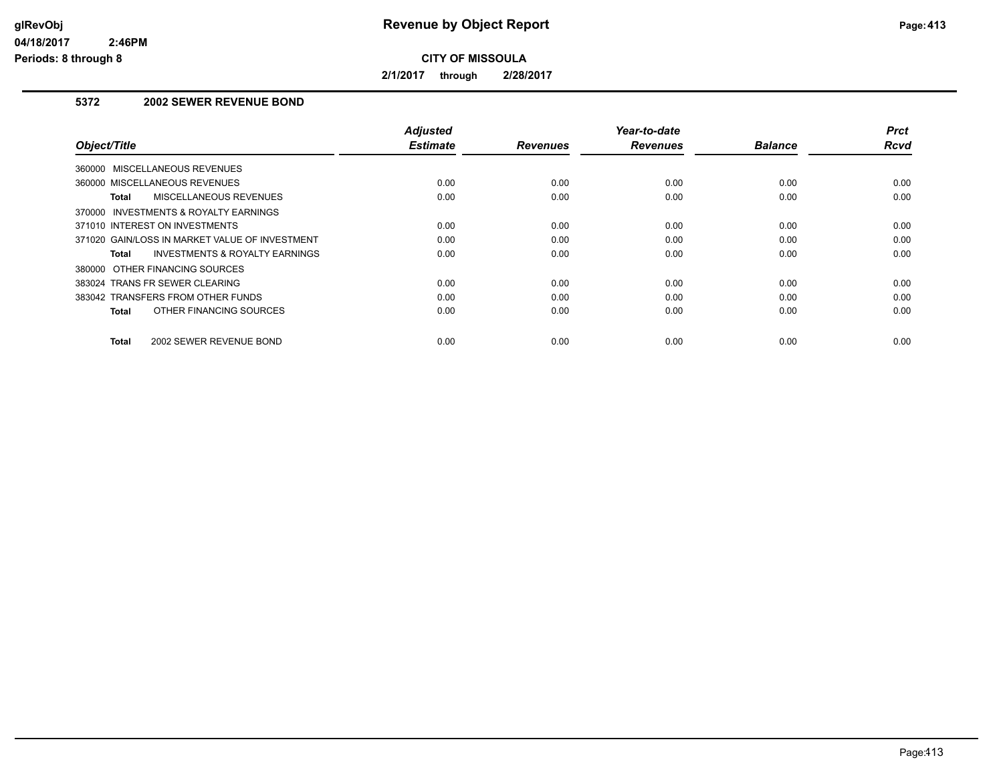**2/1/2017 through 2/28/2017**

#### **5372 2002 SEWER REVENUE BOND**

| Object/Title                                       | <b>Adjusted</b><br><b>Estimate</b> | <b>Revenues</b> | Year-to-date<br><b>Revenues</b> | <b>Balance</b> | <b>Prct</b><br>Rcvd |
|----------------------------------------------------|------------------------------------|-----------------|---------------------------------|----------------|---------------------|
| MISCELLANEOUS REVENUES<br>360000                   |                                    |                 |                                 |                |                     |
| 360000 MISCELLANEOUS REVENUES                      | 0.00                               | 0.00            | 0.00                            | 0.00           | 0.00                |
| MISCELLANEOUS REVENUES<br><b>Total</b>             | 0.00                               | 0.00            | 0.00                            | 0.00           | 0.00                |
| INVESTMENTS & ROYALTY EARNINGS<br>370000           |                                    |                 |                                 |                |                     |
| 371010 INTEREST ON INVESTMENTS                     | 0.00                               | 0.00            | 0.00                            | 0.00           | 0.00                |
| 371020 GAIN/LOSS IN MARKET VALUE OF INVESTMENT     | 0.00                               | 0.00            | 0.00                            | 0.00           | 0.00                |
| <b>INVESTMENTS &amp; ROYALTY EARNINGS</b><br>Total | 0.00                               | 0.00            | 0.00                            | 0.00           | 0.00                |
| OTHER FINANCING SOURCES<br>380000                  |                                    |                 |                                 |                |                     |
| 383024 TRANS FR SEWER CLEARING                     | 0.00                               | 0.00            | 0.00                            | 0.00           | 0.00                |
| 383042 TRANSFERS FROM OTHER FUNDS                  | 0.00                               | 0.00            | 0.00                            | 0.00           | 0.00                |
| OTHER FINANCING SOURCES<br><b>Total</b>            | 0.00                               | 0.00            | 0.00                            | 0.00           | 0.00                |
| <b>Total</b><br>2002 SEWER REVENUE BOND            | 0.00                               | 0.00            | 0.00                            | 0.00           | 0.00                |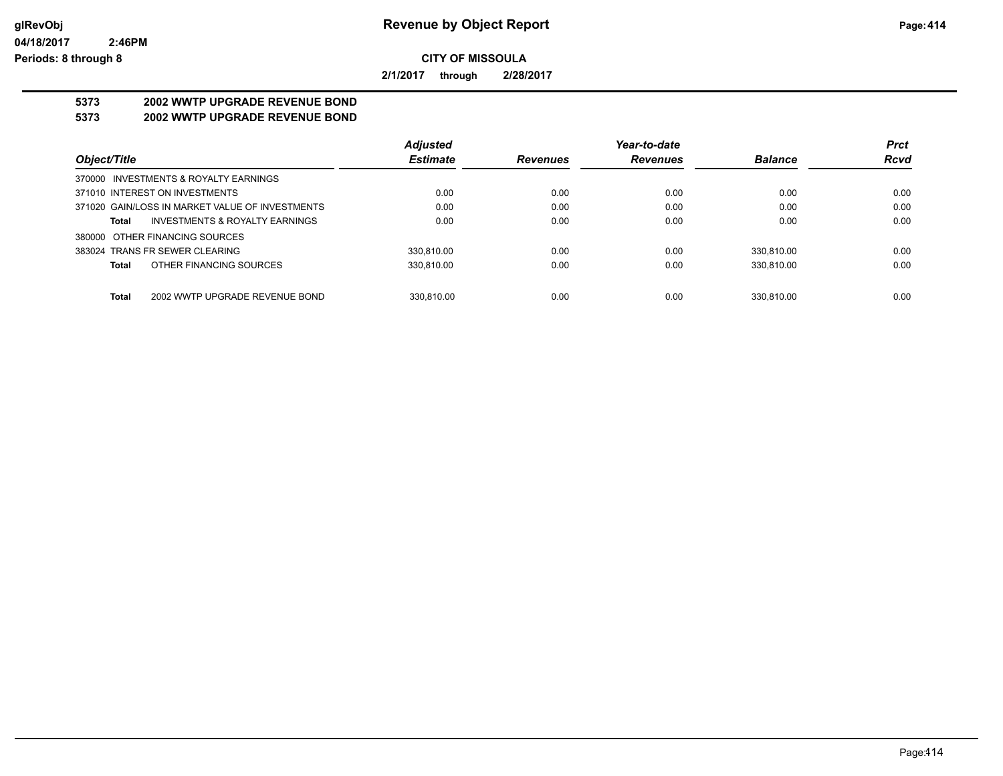**2/1/2017 through 2/28/2017**

#### **5373 2002 WWTP UPGRADE REVENUE BOND 5373 2002 WWTP UPGRADE REVENUE BOND**

|                                                 | <b>Adjusted</b> |                 | Year-to-date    |                | <b>Prct</b> |
|-------------------------------------------------|-----------------|-----------------|-----------------|----------------|-------------|
| Object/Title                                    | <b>Estimate</b> | <b>Revenues</b> | <b>Revenues</b> | <b>Balance</b> | <b>Rcvd</b> |
| 370000 INVESTMENTS & ROYALTY EARNINGS           |                 |                 |                 |                |             |
| 371010 INTEREST ON INVESTMENTS                  | 0.00            | 0.00            | 0.00            | 0.00           | 0.00        |
| 371020 GAIN/LOSS IN MARKET VALUE OF INVESTMENTS | 0.00            | 0.00            | 0.00            | 0.00           | 0.00        |
| INVESTMENTS & ROYALTY EARNINGS<br>Total         | 0.00            | 0.00            | 0.00            | 0.00           | 0.00        |
| 380000 OTHER FINANCING SOURCES                  |                 |                 |                 |                |             |
| 383024 TRANS FR SEWER CLEARING                  | 330.810.00      | 0.00            | 0.00            | 330.810.00     | 0.00        |
| OTHER FINANCING SOURCES<br>Total                | 330.810.00      | 0.00            | 0.00            | 330.810.00     | 0.00        |
|                                                 |                 |                 |                 |                |             |
| 2002 WWTP UPGRADE REVENUE BOND<br>Total         | 330.810.00      | 0.00            | 0.00            | 330.810.00     | 0.00        |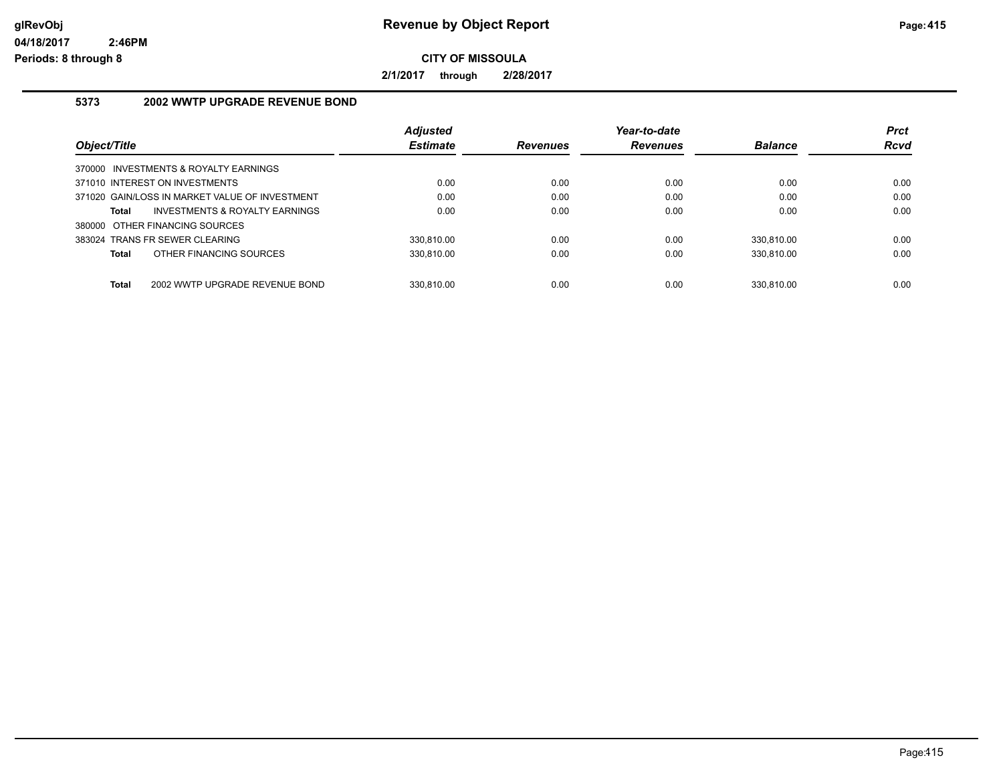**2/1/2017 through 2/28/2017**

#### **5373 2002 WWTP UPGRADE REVENUE BOND**

| Object/Title                   |                                                | <b>Adjusted</b><br><b>Estimate</b> | <b>Revenues</b> | Year-to-date<br><b>Revenues</b> | <b>Balance</b> | <b>Prct</b><br><b>Rcvd</b> |
|--------------------------------|------------------------------------------------|------------------------------------|-----------------|---------------------------------|----------------|----------------------------|
|                                | 370000 INVESTMENTS & ROYALTY EARNINGS          |                                    |                 |                                 |                |                            |
| 371010 INTEREST ON INVESTMENTS |                                                | 0.00                               | 0.00            | 0.00                            | 0.00           | 0.00                       |
|                                | 371020 GAIN/LOSS IN MARKET VALUE OF INVESTMENT | 0.00                               | 0.00            | 0.00                            | 0.00           | 0.00                       |
| Total                          | INVESTMENTS & ROYALTY EARNINGS                 | 0.00                               | 0.00            | 0.00                            | 0.00           | 0.00                       |
| 380000 OTHER FINANCING SOURCES |                                                |                                    |                 |                                 |                |                            |
| 383024 TRANS FR SEWER CLEARING |                                                | 330.810.00                         | 0.00            | 0.00                            | 330.810.00     | 0.00                       |
| Total                          | OTHER FINANCING SOURCES                        | 330.810.00                         | 0.00            | 0.00                            | 330.810.00     | 0.00                       |
|                                |                                                |                                    |                 |                                 |                |                            |
| <b>Total</b>                   | 2002 WWTP UPGRADE REVENUE BOND                 | 330.810.00                         | 0.00            | 0.00                            | 330.810.00     | 0.00                       |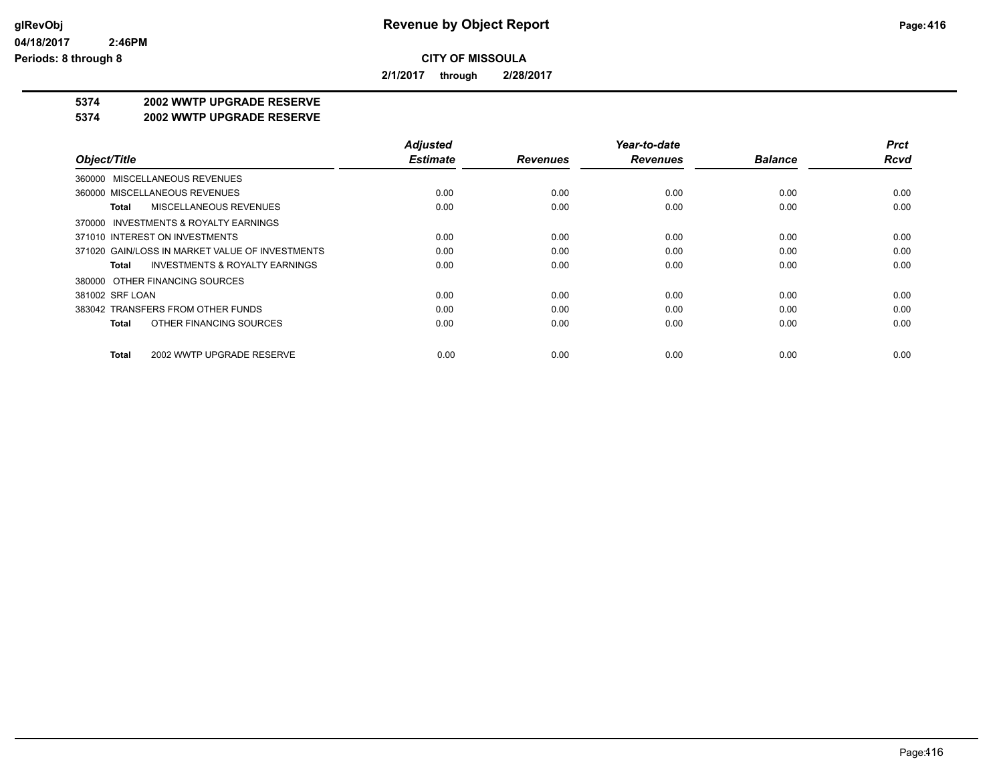**2/1/2017 through 2/28/2017**

#### **5374 2002 WWTP UPGRADE RESERVE**

**5374 2002 WWTP UPGRADE RESERVE**

|                                                    | <b>Adjusted</b> |                 | Year-to-date    |                | <b>Prct</b> |
|----------------------------------------------------|-----------------|-----------------|-----------------|----------------|-------------|
| Object/Title                                       | <b>Estimate</b> | <b>Revenues</b> | <b>Revenues</b> | <b>Balance</b> | Rcvd        |
| 360000 MISCELLANEOUS REVENUES                      |                 |                 |                 |                |             |
| 360000 MISCELLANEOUS REVENUES                      | 0.00            | 0.00            | 0.00            | 0.00           | 0.00        |
| MISCELLANEOUS REVENUES<br>Total                    | 0.00            | 0.00            | 0.00            | 0.00           | 0.00        |
| 370000 INVESTMENTS & ROYALTY EARNINGS              |                 |                 |                 |                |             |
| 371010 INTEREST ON INVESTMENTS                     | 0.00            | 0.00            | 0.00            | 0.00           | 0.00        |
| 371020 GAIN/LOSS IN MARKET VALUE OF INVESTMENTS    | 0.00            | 0.00            | 0.00            | 0.00           | 0.00        |
| <b>INVESTMENTS &amp; ROYALTY EARNINGS</b><br>Total | 0.00            | 0.00            | 0.00            | 0.00           | 0.00        |
| 380000 OTHER FINANCING SOURCES                     |                 |                 |                 |                |             |
| 381002 SRF LOAN                                    | 0.00            | 0.00            | 0.00            | 0.00           | 0.00        |
| 383042 TRANSFERS FROM OTHER FUNDS                  | 0.00            | 0.00            | 0.00            | 0.00           | 0.00        |
| OTHER FINANCING SOURCES<br>Total                   | 0.00            | 0.00            | 0.00            | 0.00           | 0.00        |
| 2002 WWTP UPGRADE RESERVE<br>Total                 | 0.00            | 0.00            | 0.00            | 0.00           | 0.00        |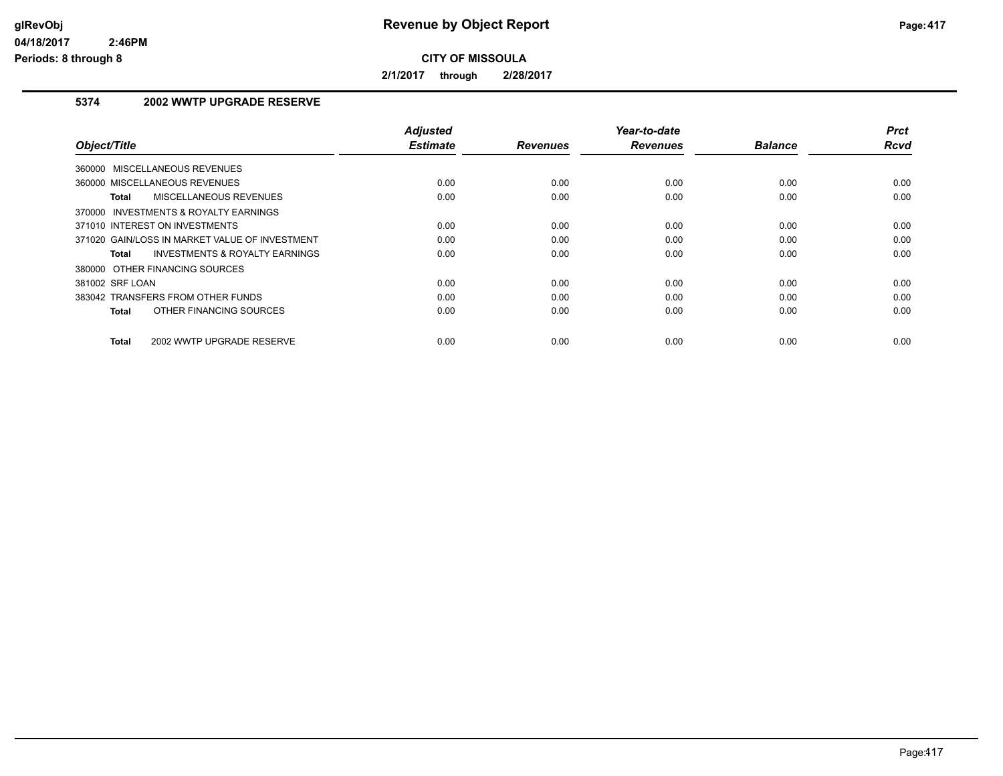**2/1/2017 through 2/28/2017**

#### **5374 2002 WWTP UPGRADE RESERVE**

| Object/Title                                       | <b>Adjusted</b><br><b>Estimate</b> | <b>Revenues</b> | Year-to-date<br><b>Revenues</b> | <b>Balance</b> | <b>Prct</b><br>Rcvd |
|----------------------------------------------------|------------------------------------|-----------------|---------------------------------|----------------|---------------------|
| MISCELLANEOUS REVENUES                             |                                    |                 |                                 |                |                     |
| 360000                                             |                                    |                 |                                 |                |                     |
| 360000 MISCELLANEOUS REVENUES                      | 0.00                               | 0.00            | 0.00                            | 0.00           | 0.00                |
| MISCELLANEOUS REVENUES<br>Total                    | 0.00                               | 0.00            | 0.00                            | 0.00           | 0.00                |
| INVESTMENTS & ROYALTY EARNINGS<br>370000           |                                    |                 |                                 |                |                     |
| 371010 INTEREST ON INVESTMENTS                     | 0.00                               | 0.00            | 0.00                            | 0.00           | 0.00                |
| 371020 GAIN/LOSS IN MARKET VALUE OF INVESTMENT     | 0.00                               | 0.00            | 0.00                            | 0.00           | 0.00                |
| <b>INVESTMENTS &amp; ROYALTY EARNINGS</b><br>Total | 0.00                               | 0.00            | 0.00                            | 0.00           | 0.00                |
| 380000 OTHER FINANCING SOURCES                     |                                    |                 |                                 |                |                     |
| 381002 SRF LOAN                                    | 0.00                               | 0.00            | 0.00                            | 0.00           | 0.00                |
| 383042 TRANSFERS FROM OTHER FUNDS                  | 0.00                               | 0.00            | 0.00                            | 0.00           | 0.00                |
| OTHER FINANCING SOURCES<br><b>Total</b>            | 0.00                               | 0.00            | 0.00                            | 0.00           | 0.00                |
| <b>Total</b><br>2002 WWTP UPGRADE RESERVE          | 0.00                               | 0.00            | 0.00                            | 0.00           | 0.00                |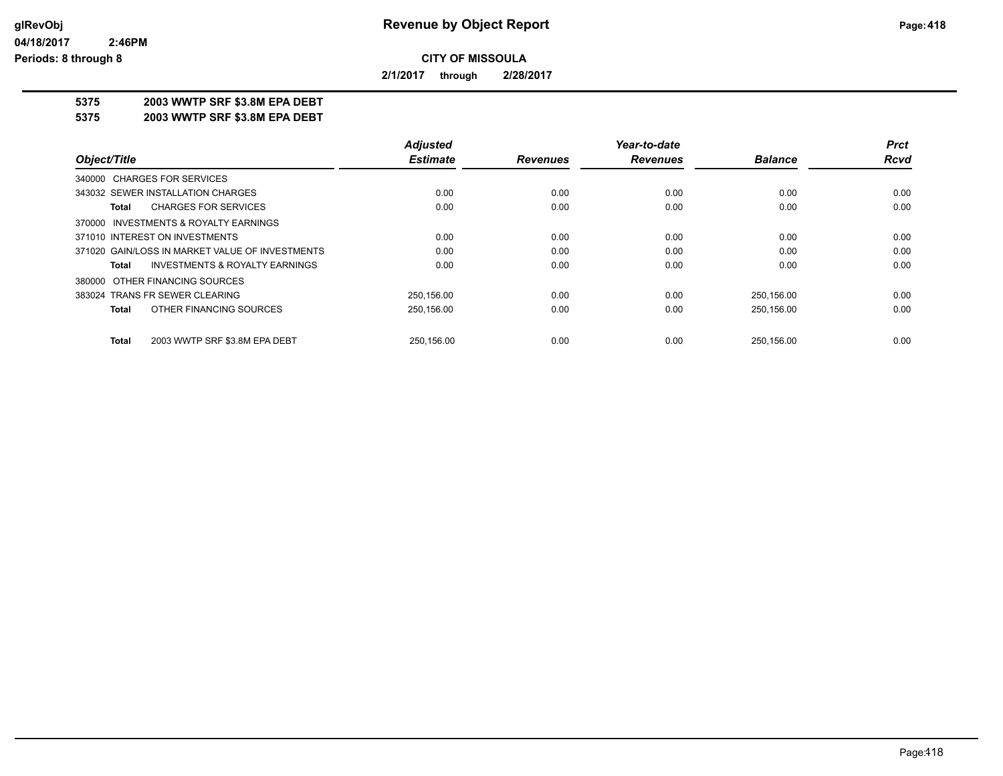**2/1/2017 through 2/28/2017**

**5375 2003 WWTP SRF \$3.8M EPA DEBT**

**5375 2003 WWTP SRF \$3.8M EPA DEBT**

| Object/Title                                       | <b>Adjusted</b><br><b>Estimate</b> | <b>Revenues</b> | Year-to-date<br><b>Revenues</b> | <b>Balance</b> | <b>Prct</b><br><b>Rcvd</b> |
|----------------------------------------------------|------------------------------------|-----------------|---------------------------------|----------------|----------------------------|
| 340000 CHARGES FOR SERVICES                        |                                    |                 |                                 |                |                            |
| 343032 SEWER INSTALLATION CHARGES                  | 0.00                               | 0.00            | 0.00                            | 0.00           | 0.00                       |
| <b>CHARGES FOR SERVICES</b><br>Total               | 0.00                               | 0.00            | 0.00                            | 0.00           | 0.00                       |
| 370000 INVESTMENTS & ROYALTY EARNINGS              |                                    |                 |                                 |                |                            |
| 371010 INTEREST ON INVESTMENTS                     | 0.00                               | 0.00            | 0.00                            | 0.00           | 0.00                       |
| 371020 GAIN/LOSS IN MARKET VALUE OF INVESTMENTS    | 0.00                               | 0.00            | 0.00                            | 0.00           | 0.00                       |
| <b>INVESTMENTS &amp; ROYALTY EARNINGS</b><br>Total | 0.00                               | 0.00            | 0.00                            | 0.00           | 0.00                       |
| 380000 OTHER FINANCING SOURCES                     |                                    |                 |                                 |                |                            |
| 383024 TRANS FR SEWER CLEARING                     | 250,156.00                         | 0.00            | 0.00                            | 250,156.00     | 0.00                       |
| OTHER FINANCING SOURCES<br>Total                   | 250,156.00                         | 0.00            | 0.00                            | 250,156.00     | 0.00                       |
| <b>Total</b><br>2003 WWTP SRF \$3.8M EPA DEBT      | 250.156.00                         | 0.00            | 0.00                            | 250.156.00     | 0.00                       |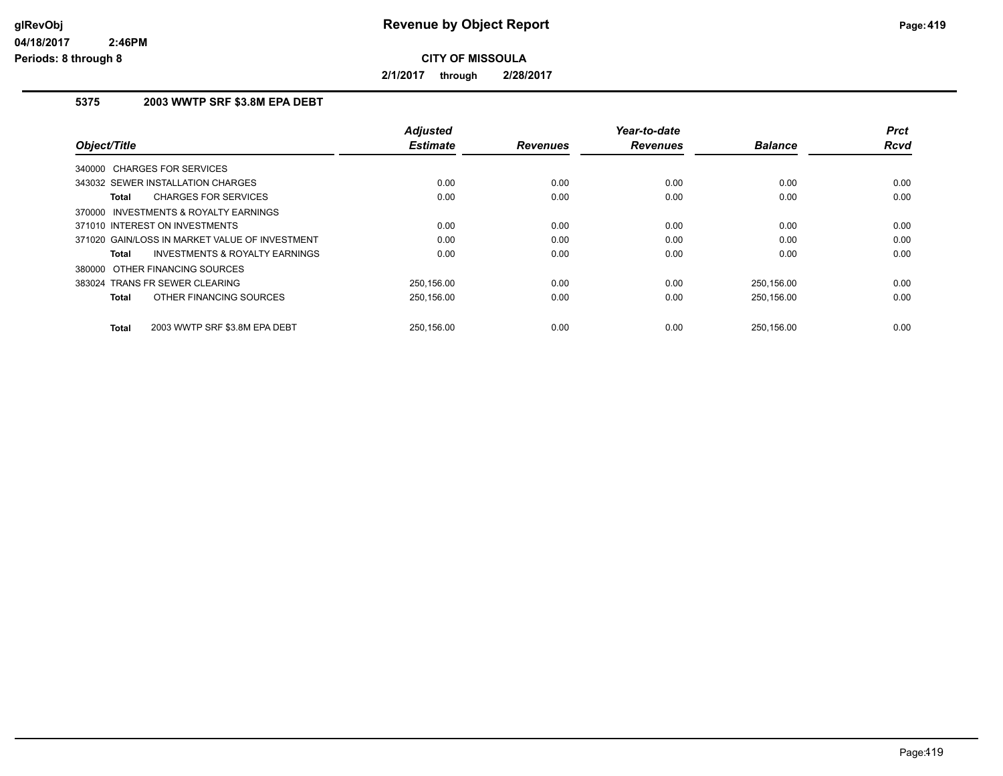**2/1/2017 through 2/28/2017**

#### **5375 2003 WWTP SRF \$3.8M EPA DEBT**

|                                                     | <b>Adjusted</b> |                 | Year-to-date    |                | <b>Prct</b> |
|-----------------------------------------------------|-----------------|-----------------|-----------------|----------------|-------------|
| Object/Title                                        | <b>Estimate</b> | <b>Revenues</b> | <b>Revenues</b> | <b>Balance</b> | <b>Rcvd</b> |
| <b>CHARGES FOR SERVICES</b><br>340000               |                 |                 |                 |                |             |
| 343032 SEWER INSTALLATION CHARGES                   | 0.00            | 0.00            | 0.00            | 0.00           | 0.00        |
| <b>CHARGES FOR SERVICES</b><br>Total                | 0.00            | 0.00            | 0.00            | 0.00           | 0.00        |
| <b>INVESTMENTS &amp; ROYALTY EARNINGS</b><br>370000 |                 |                 |                 |                |             |
| 371010 INTEREST ON INVESTMENTS                      | 0.00            | 0.00            | 0.00            | 0.00           | 0.00        |
| 371020 GAIN/LOSS IN MARKET VALUE OF INVESTMENT      | 0.00            | 0.00            | 0.00            | 0.00           | 0.00        |
| <b>INVESTMENTS &amp; ROYALTY EARNINGS</b><br>Total  | 0.00            | 0.00            | 0.00            | 0.00           | 0.00        |
| OTHER FINANCING SOURCES<br>380000                   |                 |                 |                 |                |             |
| 383024 TRANS FR SEWER CLEARING                      | 250,156.00      | 0.00            | 0.00            | 250,156.00     | 0.00        |
| OTHER FINANCING SOURCES<br><b>Total</b>             | 250,156.00      | 0.00            | 0.00            | 250,156.00     | 0.00        |
| 2003 WWTP SRF \$3.8M EPA DEBT<br><b>Total</b>       | 250.156.00      | 0.00            | 0.00            | 250.156.00     | 0.00        |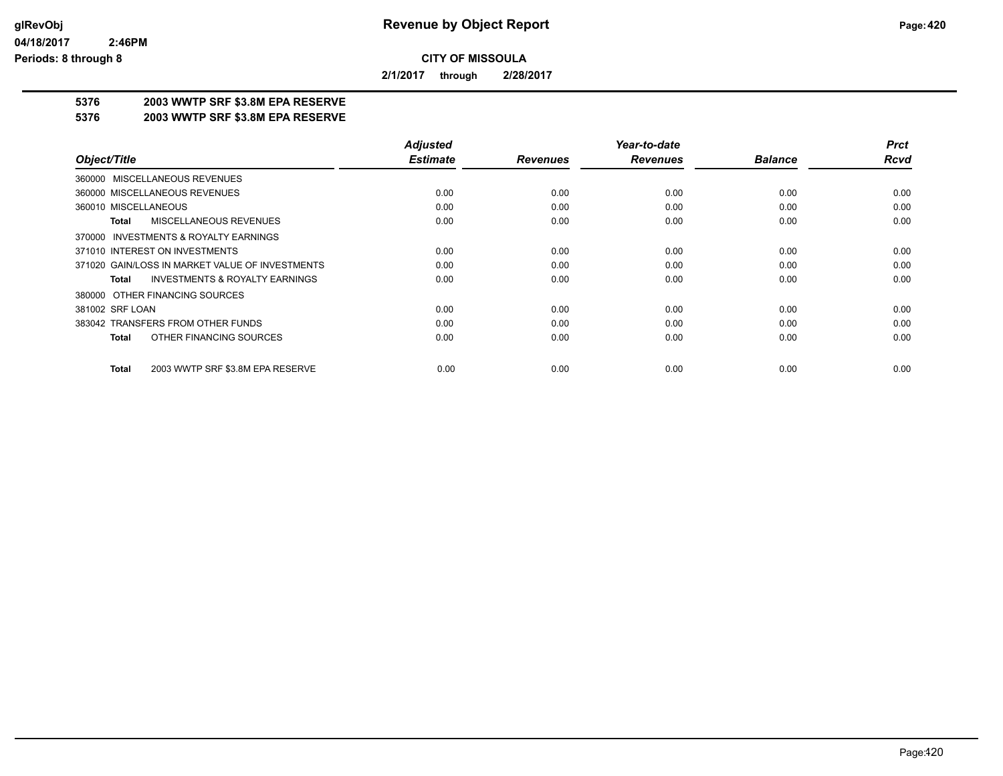**2/1/2017 through 2/28/2017**

# **5376 2003 WWTP SRF \$3.8M EPA RESERVE**

**5376 2003 WWTP SRF \$3.8M EPA RESERVE**

|                                                           | <b>Adjusted</b> |                 | Year-to-date    |                | <b>Prct</b> |
|-----------------------------------------------------------|-----------------|-----------------|-----------------|----------------|-------------|
| Object/Title                                              | <b>Estimate</b> | <b>Revenues</b> | <b>Revenues</b> | <b>Balance</b> | <b>Rcvd</b> |
| 360000 MISCELLANEOUS REVENUES                             |                 |                 |                 |                |             |
| 360000 MISCELLANEOUS REVENUES                             | 0.00            | 0.00            | 0.00            | 0.00           | 0.00        |
| 360010 MISCELLANEOUS                                      | 0.00            | 0.00            | 0.00            | 0.00           | 0.00        |
| MISCELLANEOUS REVENUES<br>Total                           | 0.00            | 0.00            | 0.00            | 0.00           | 0.00        |
| 370000 INVESTMENTS & ROYALTY EARNINGS                     |                 |                 |                 |                |             |
| 371010 INTEREST ON INVESTMENTS                            | 0.00            | 0.00            | 0.00            | 0.00           | 0.00        |
| 371020 GAIN/LOSS IN MARKET VALUE OF INVESTMENTS           | 0.00            | 0.00            | 0.00            | 0.00           | 0.00        |
| <b>INVESTMENTS &amp; ROYALTY EARNINGS</b><br><b>Total</b> | 0.00            | 0.00            | 0.00            | 0.00           | 0.00        |
| 380000 OTHER FINANCING SOURCES                            |                 |                 |                 |                |             |
| 381002 SRF LOAN                                           | 0.00            | 0.00            | 0.00            | 0.00           | 0.00        |
| 383042 TRANSFERS FROM OTHER FUNDS                         | 0.00            | 0.00            | 0.00            | 0.00           | 0.00        |
| OTHER FINANCING SOURCES<br>Total                          | 0.00            | 0.00            | 0.00            | 0.00           | 0.00        |
| 2003 WWTP SRF \$3.8M EPA RESERVE<br>Total                 | 0.00            | 0.00            | 0.00            | 0.00           | 0.00        |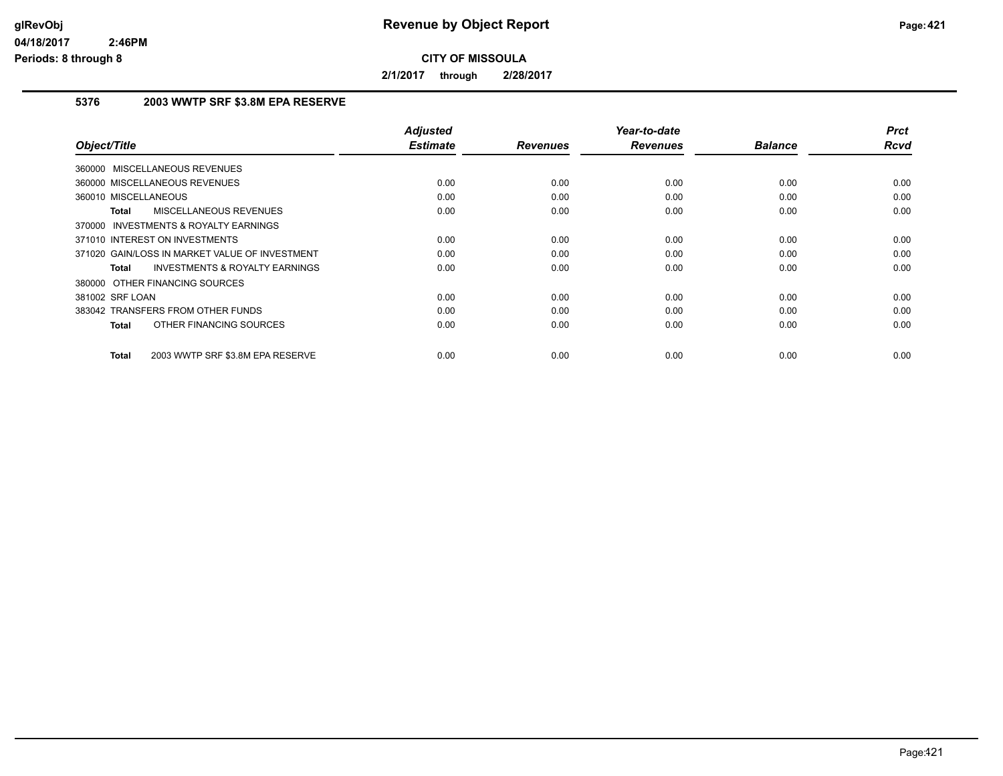**2/1/2017 through 2/28/2017**

#### **5376 2003 WWTP SRF \$3.8M EPA RESERVE**

|                                                    | <b>Adjusted</b> |                 | Year-to-date    |                | <b>Prct</b> |
|----------------------------------------------------|-----------------|-----------------|-----------------|----------------|-------------|
| Object/Title                                       | <b>Estimate</b> | <b>Revenues</b> | <b>Revenues</b> | <b>Balance</b> | <b>Rcvd</b> |
| 360000 MISCELLANEOUS REVENUES                      |                 |                 |                 |                |             |
| 360000 MISCELLANEOUS REVENUES                      | 0.00            | 0.00            | 0.00            | 0.00           | 0.00        |
| 360010 MISCELLANEOUS                               | 0.00            | 0.00            | 0.00            | 0.00           | 0.00        |
| MISCELLANEOUS REVENUES<br>Total                    | 0.00            | 0.00            | 0.00            | 0.00           | 0.00        |
| 370000 INVESTMENTS & ROYALTY EARNINGS              |                 |                 |                 |                |             |
| 371010 INTEREST ON INVESTMENTS                     | 0.00            | 0.00            | 0.00            | 0.00           | 0.00        |
| 371020 GAIN/LOSS IN MARKET VALUE OF INVESTMENT     | 0.00            | 0.00            | 0.00            | 0.00           | 0.00        |
| <b>INVESTMENTS &amp; ROYALTY EARNINGS</b><br>Total | 0.00            | 0.00            | 0.00            | 0.00           | 0.00        |
| 380000 OTHER FINANCING SOURCES                     |                 |                 |                 |                |             |
| 381002 SRF LOAN                                    | 0.00            | 0.00            | 0.00            | 0.00           | 0.00        |
| 383042 TRANSFERS FROM OTHER FUNDS                  | 0.00            | 0.00            | 0.00            | 0.00           | 0.00        |
| <b>Total</b><br>OTHER FINANCING SOURCES            | 0.00            | 0.00            | 0.00            | 0.00           | 0.00        |
|                                                    |                 |                 |                 |                |             |
| 2003 WWTP SRF \$3.8M EPA RESERVE<br><b>Total</b>   | 0.00            | 0.00            | 0.00            | 0.00           | 0.00        |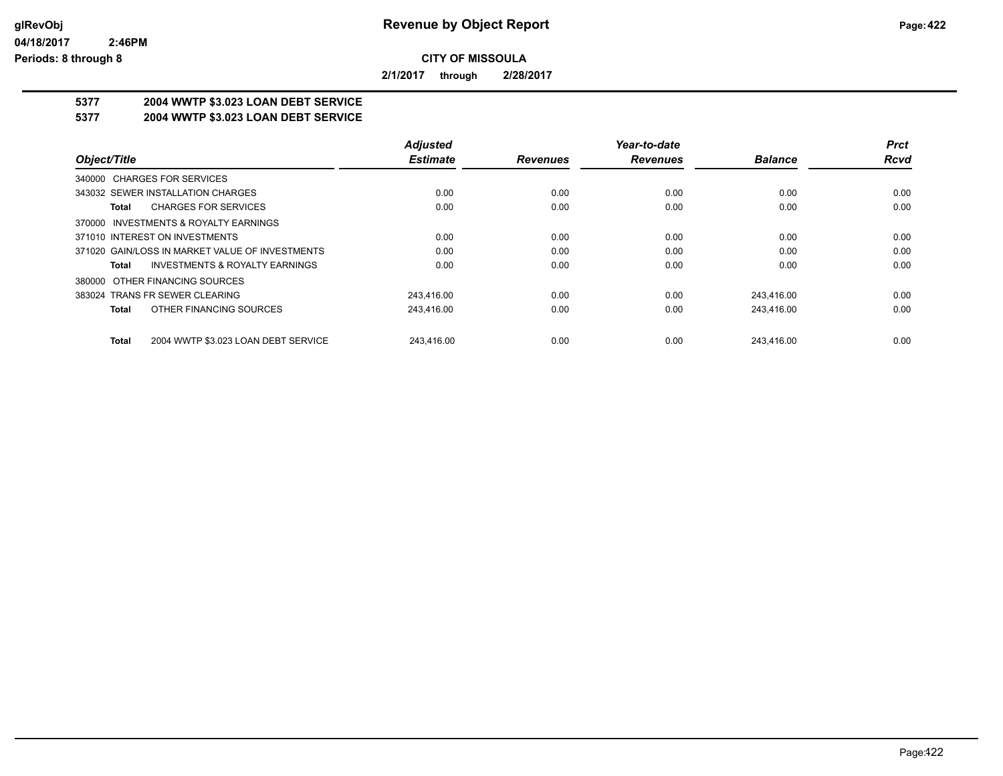**2/1/2017 through 2/28/2017**

#### **5377 2004 WWTP \$3.023 LOAN DEBT SERVICE 5377 2004 WWTP \$3.023 LOAN DEBT SERVICE**

|                                                    | <b>Adjusted</b> |                 | Year-to-date    |                | <b>Prct</b> |
|----------------------------------------------------|-----------------|-----------------|-----------------|----------------|-------------|
| Object/Title                                       | <b>Estimate</b> | <b>Revenues</b> | <b>Revenues</b> | <b>Balance</b> | <b>Rcvd</b> |
| 340000 CHARGES FOR SERVICES                        |                 |                 |                 |                |             |
| 343032 SEWER INSTALLATION CHARGES                  | 0.00            | 0.00            | 0.00            | 0.00           | 0.00        |
| <b>CHARGES FOR SERVICES</b><br>Total               | 0.00            | 0.00            | 0.00            | 0.00           | 0.00        |
| 370000 INVESTMENTS & ROYALTY EARNINGS              |                 |                 |                 |                |             |
| 371010 INTEREST ON INVESTMENTS                     | 0.00            | 0.00            | 0.00            | 0.00           | 0.00        |
| 371020 GAIN/LOSS IN MARKET VALUE OF INVESTMENTS    | 0.00            | 0.00            | 0.00            | 0.00           | 0.00        |
| <b>INVESTMENTS &amp; ROYALTY EARNINGS</b><br>Total | 0.00            | 0.00            | 0.00            | 0.00           | 0.00        |
| 380000 OTHER FINANCING SOURCES                     |                 |                 |                 |                |             |
| 383024 TRANS FR SEWER CLEARING                     | 243.416.00      | 0.00            | 0.00            | 243.416.00     | 0.00        |
| OTHER FINANCING SOURCES<br>Total                   | 243,416.00      | 0.00            | 0.00            | 243,416.00     | 0.00        |
| 2004 WWTP \$3.023 LOAN DEBT SERVICE<br>Total       | 243.416.00      | 0.00            | 0.00            | 243.416.00     | 0.00        |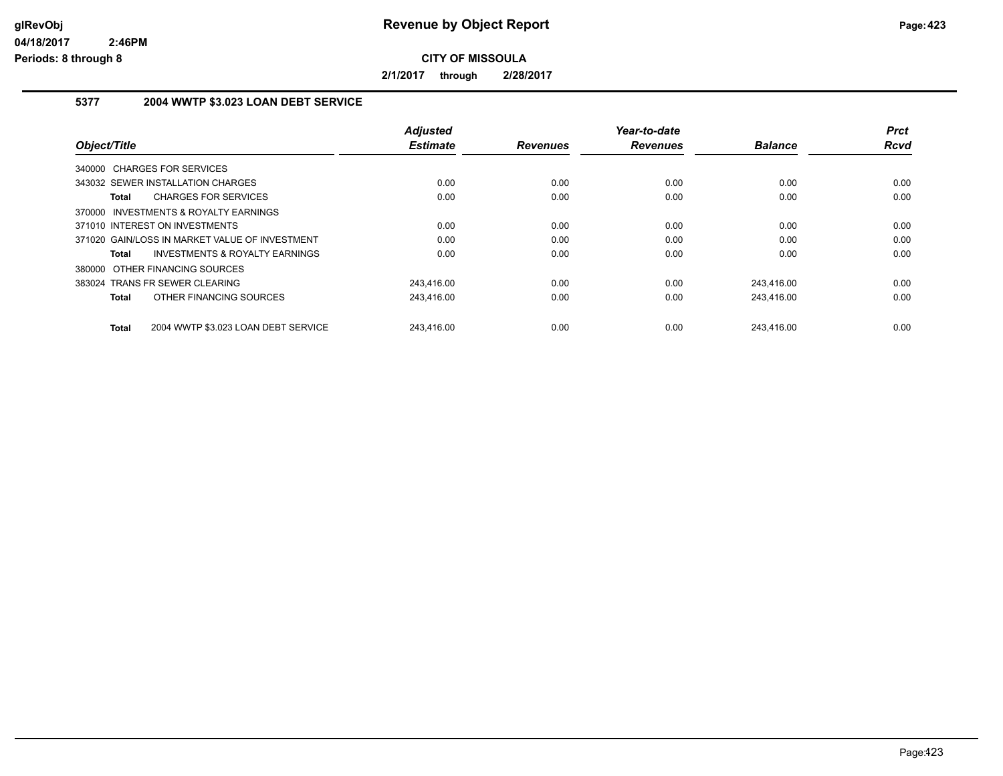**2/1/2017 through 2/28/2017**

#### **5377 2004 WWTP \$3.023 LOAN DEBT SERVICE**

|              |                                                | <b>Adjusted</b> |                 | Year-to-date    |                | <b>Prct</b> |
|--------------|------------------------------------------------|-----------------|-----------------|-----------------|----------------|-------------|
| Object/Title |                                                | <b>Estimate</b> | <b>Revenues</b> | <b>Revenues</b> | <b>Balance</b> | <b>Rcvd</b> |
| 340000       | <b>CHARGES FOR SERVICES</b>                    |                 |                 |                 |                |             |
|              | 343032 SEWER INSTALLATION CHARGES              | 0.00            | 0.00            | 0.00            | 0.00           | 0.00        |
| Total        | <b>CHARGES FOR SERVICES</b>                    | 0.00            | 0.00            | 0.00            | 0.00           | 0.00        |
| 370000       | INVESTMENTS & ROYALTY EARNINGS                 |                 |                 |                 |                |             |
|              | 371010 INTEREST ON INVESTMENTS                 | 0.00            | 0.00            | 0.00            | 0.00           | 0.00        |
|              | 371020 GAIN/LOSS IN MARKET VALUE OF INVESTMENT | 0.00            | 0.00            | 0.00            | 0.00           | 0.00        |
| Total        | <b>INVESTMENTS &amp; ROYALTY EARNINGS</b>      | 0.00            | 0.00            | 0.00            | 0.00           | 0.00        |
| 380000       | OTHER FINANCING SOURCES                        |                 |                 |                 |                |             |
|              | 383024 TRANS FR SEWER CLEARING                 | 243,416.00      | 0.00            | 0.00            | 243,416.00     | 0.00        |
| Total        | OTHER FINANCING SOURCES                        | 243.416.00      | 0.00            | 0.00            | 243.416.00     | 0.00        |
| <b>Total</b> | 2004 WWTP \$3.023 LOAN DEBT SERVICE            | 243.416.00      | 0.00            | 0.00            | 243.416.00     | 0.00        |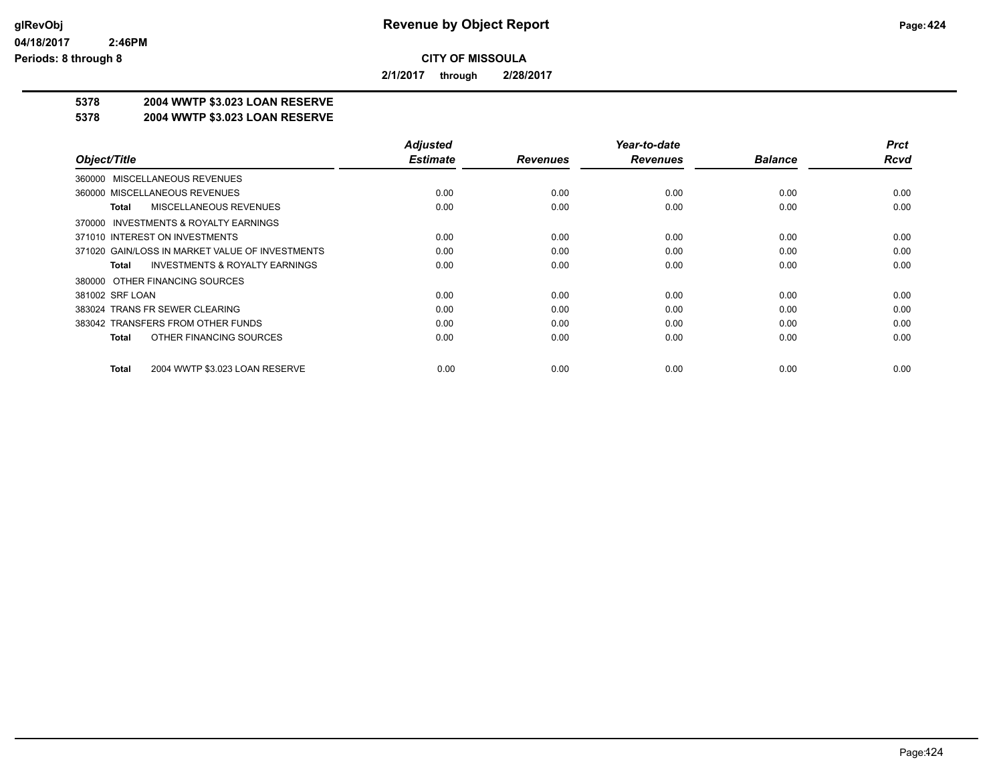**2/1/2017 through 2/28/2017**

# **5378 2004 WWTP \$3.023 LOAN RESERVE**

**5378 2004 WWTP \$3.023 LOAN RESERVE**

|                                                    | <b>Adjusted</b> |                 | Year-to-date    |                | <b>Prct</b> |
|----------------------------------------------------|-----------------|-----------------|-----------------|----------------|-------------|
| Object/Title                                       | <b>Estimate</b> | <b>Revenues</b> | <b>Revenues</b> | <b>Balance</b> | <b>Rcvd</b> |
| 360000 MISCELLANEOUS REVENUES                      |                 |                 |                 |                |             |
| 360000 MISCELLANEOUS REVENUES                      | 0.00            | 0.00            | 0.00            | 0.00           | 0.00        |
| <b>MISCELLANEOUS REVENUES</b><br><b>Total</b>      | 0.00            | 0.00            | 0.00            | 0.00           | 0.00        |
| 370000 INVESTMENTS & ROYALTY EARNINGS              |                 |                 |                 |                |             |
| 371010 INTEREST ON INVESTMENTS                     | 0.00            | 0.00            | 0.00            | 0.00           | 0.00        |
| 371020 GAIN/LOSS IN MARKET VALUE OF INVESTMENTS    | 0.00            | 0.00            | 0.00            | 0.00           | 0.00        |
| <b>INVESTMENTS &amp; ROYALTY EARNINGS</b><br>Total | 0.00            | 0.00            | 0.00            | 0.00           | 0.00        |
| 380000 OTHER FINANCING SOURCES                     |                 |                 |                 |                |             |
| 381002 SRF LOAN                                    | 0.00            | 0.00            | 0.00            | 0.00           | 0.00        |
| 383024 TRANS FR SEWER CLEARING                     | 0.00            | 0.00            | 0.00            | 0.00           | 0.00        |
| 383042 TRANSFERS FROM OTHER FUNDS                  | 0.00            | 0.00            | 0.00            | 0.00           | 0.00        |
| OTHER FINANCING SOURCES<br>Total                   | 0.00            | 0.00            | 0.00            | 0.00           | 0.00        |
| 2004 WWTP \$3.023 LOAN RESERVE<br>Total            | 0.00            | 0.00            | 0.00            | 0.00           | 0.00        |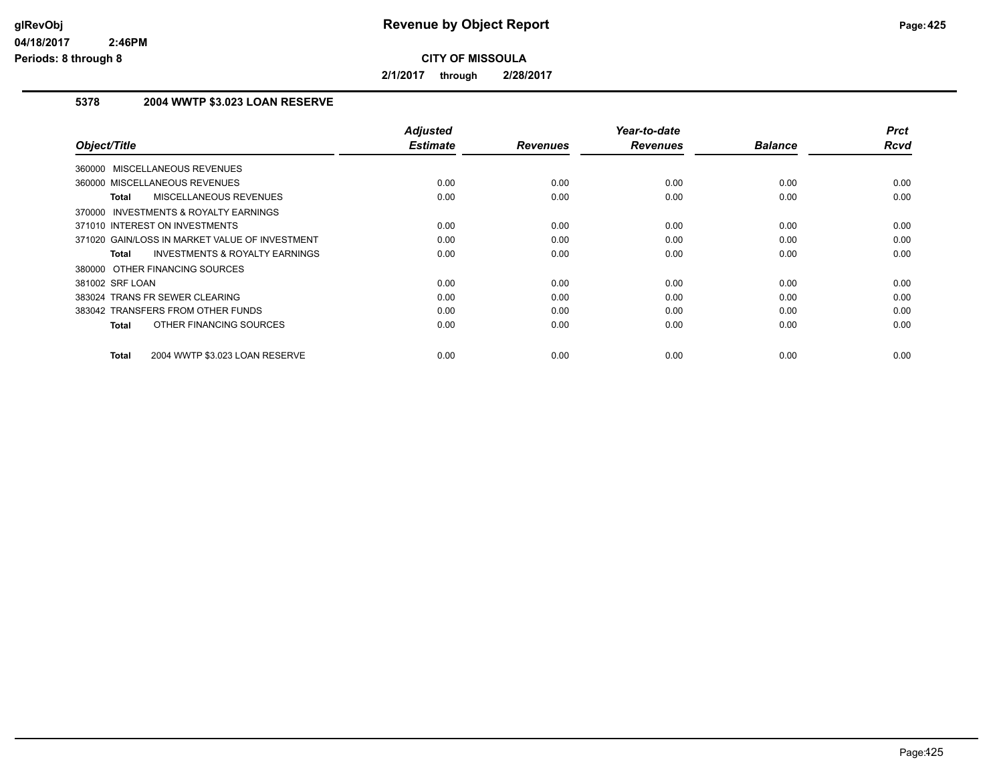**2/1/2017 through 2/28/2017**

#### **5378 2004 WWTP \$3.023 LOAN RESERVE**

| Object/Title                                              | <b>Adjusted</b><br><b>Estimate</b> | <b>Revenues</b> | Year-to-date<br><b>Revenues</b> | <b>Balance</b> | <b>Prct</b><br><b>Rcvd</b> |
|-----------------------------------------------------------|------------------------------------|-----------------|---------------------------------|----------------|----------------------------|
|                                                           |                                    |                 |                                 |                |                            |
| <b>MISCELLANEOUS REVENUES</b><br>360000                   |                                    |                 |                                 |                |                            |
| 360000 MISCELLANEOUS REVENUES                             | 0.00                               | 0.00            | 0.00                            | 0.00           | 0.00                       |
| MISCELLANEOUS REVENUES<br><b>Total</b>                    | 0.00                               | 0.00            | 0.00                            | 0.00           | 0.00                       |
| <b>INVESTMENTS &amp; ROYALTY EARNINGS</b><br>370000       |                                    |                 |                                 |                |                            |
| 371010 INTEREST ON INVESTMENTS                            | 0.00                               | 0.00            | 0.00                            | 0.00           | 0.00                       |
| 371020 GAIN/LOSS IN MARKET VALUE OF INVESTMENT            | 0.00                               | 0.00            | 0.00                            | 0.00           | 0.00                       |
| <b>INVESTMENTS &amp; ROYALTY EARNINGS</b><br><b>Total</b> | 0.00                               | 0.00            | 0.00                            | 0.00           | 0.00                       |
| 380000 OTHER FINANCING SOURCES                            |                                    |                 |                                 |                |                            |
| 381002 SRF LOAN                                           | 0.00                               | 0.00            | 0.00                            | 0.00           | 0.00                       |
| 383024 TRANS FR SEWER CLEARING                            | 0.00                               | 0.00            | 0.00                            | 0.00           | 0.00                       |
| 383042 TRANSFERS FROM OTHER FUNDS                         | 0.00                               | 0.00            | 0.00                            | 0.00           | 0.00                       |
| OTHER FINANCING SOURCES<br><b>Total</b>                   | 0.00                               | 0.00            | 0.00                            | 0.00           | 0.00                       |
|                                                           |                                    |                 |                                 |                |                            |
| 2004 WWTP \$3.023 LOAN RESERVE<br><b>Total</b>            | 0.00                               | 0.00            | 0.00                            | 0.00           | 0.00                       |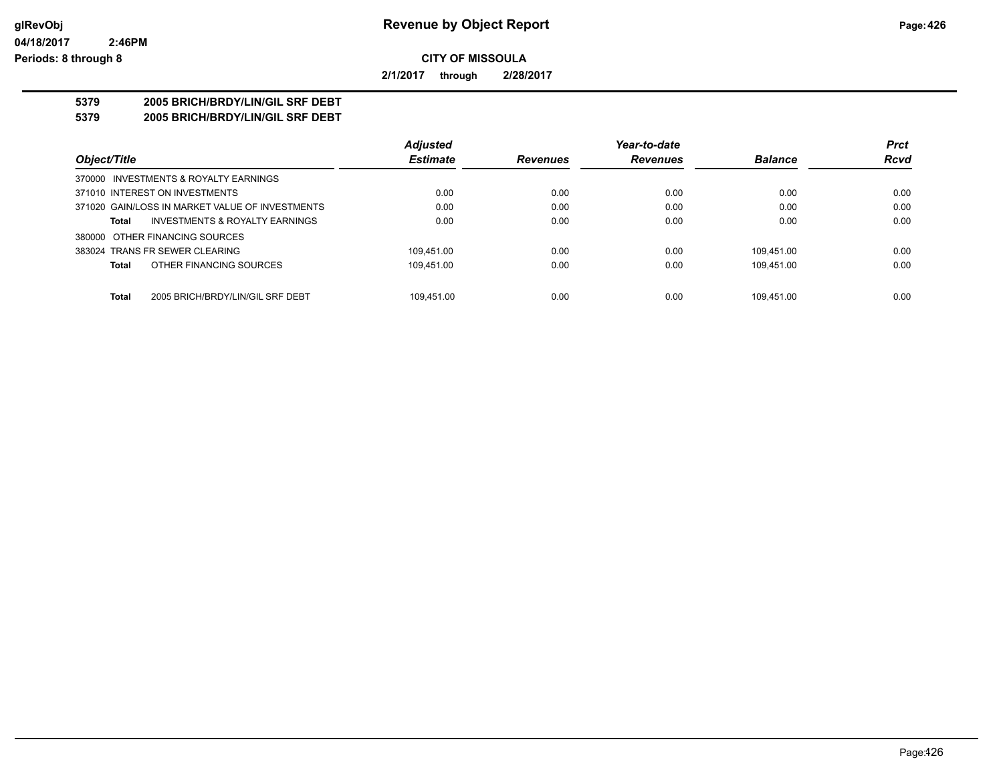**2/1/2017 through 2/28/2017**

#### **5379 2005 BRICH/BRDY/LIN/GIL SRF DEBT 5379 2005 BRICH/BRDY/LIN/GIL SRF DEBT**

|                                                  | <b>Adiusted</b> |                 | Year-to-date    |                | <b>Prct</b> |
|--------------------------------------------------|-----------------|-----------------|-----------------|----------------|-------------|
| Object/Title                                     | <b>Estimate</b> | <b>Revenues</b> | <b>Revenues</b> | <b>Balance</b> | <b>Rcvd</b> |
| INVESTMENTS & ROYALTY EARNINGS<br>370000         |                 |                 |                 |                |             |
| 371010 INTEREST ON INVESTMENTS                   | 0.00            | 0.00            | 0.00            | 0.00           | 0.00        |
| 371020 GAIN/LOSS IN MARKET VALUE OF INVESTMENTS  | 0.00            | 0.00            | 0.00            | 0.00           | 0.00        |
| INVESTMENTS & ROYALTY EARNINGS<br>Total          | 0.00            | 0.00            | 0.00            | 0.00           | 0.00        |
| 380000 OTHER FINANCING SOURCES                   |                 |                 |                 |                |             |
| 383024 TRANS FR SEWER CLEARING                   | 109.451.00      | 0.00            | 0.00            | 109.451.00     | 0.00        |
| OTHER FINANCING SOURCES<br>Total                 | 109,451.00      | 0.00            | 0.00            | 109.451.00     | 0.00        |
| <b>Total</b><br>2005 BRICH/BRDY/LIN/GIL SRF DEBT | 109.451.00      | 0.00            | 0.00            | 109.451.00     | 0.00        |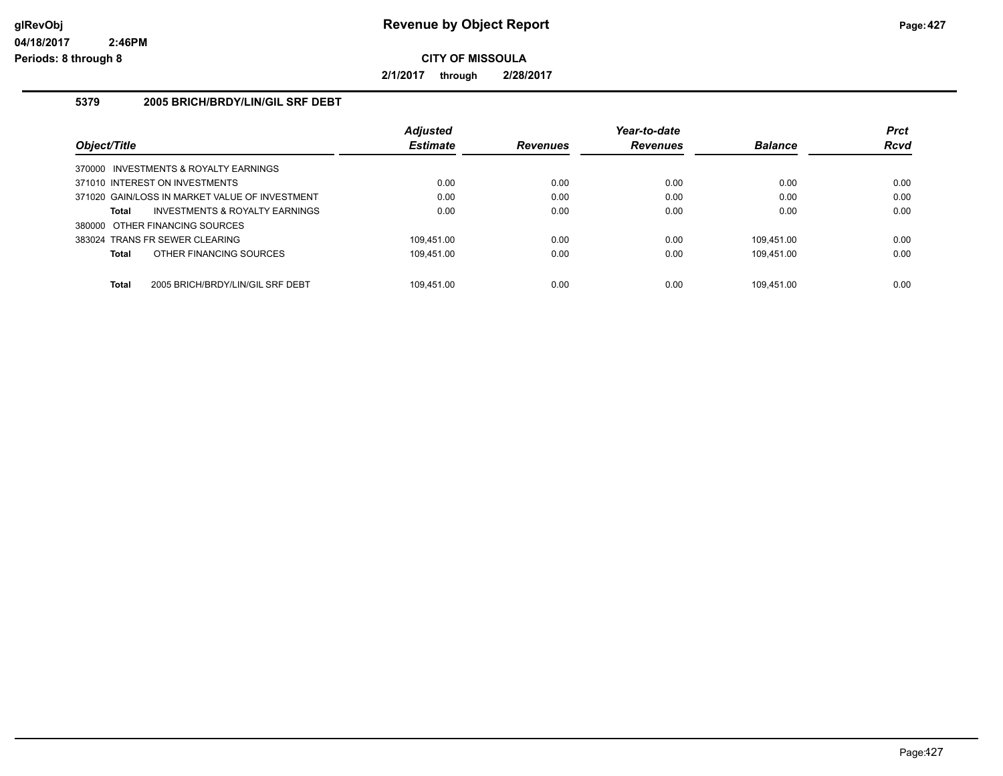**2/1/2017 through 2/28/2017**

#### **5379 2005 BRICH/BRDY/LIN/GIL SRF DEBT**

|              |                                                | <b>Adjusted</b> |                 | Year-to-date    |                | <b>Prct</b> |
|--------------|------------------------------------------------|-----------------|-----------------|-----------------|----------------|-------------|
| Object/Title |                                                | <b>Estimate</b> | <b>Revenues</b> | <b>Revenues</b> | <b>Balance</b> | <b>Rcvd</b> |
| 370000       | INVESTMENTS & ROYALTY EARNINGS                 |                 |                 |                 |                |             |
|              | 371010 INTEREST ON INVESTMENTS                 | 0.00            | 0.00            | 0.00            | 0.00           | 0.00        |
|              | 371020 GAIN/LOSS IN MARKET VALUE OF INVESTMENT | 0.00            | 0.00            | 0.00            | 0.00           | 0.00        |
| Total        | INVESTMENTS & ROYALTY EARNINGS                 | 0.00            | 0.00            | 0.00            | 0.00           | 0.00        |
|              | 380000 OTHER FINANCING SOURCES                 |                 |                 |                 |                |             |
|              | 383024 TRANS FR SEWER CLEARING                 | 109.451.00      | 0.00            | 0.00            | 109.451.00     | 0.00        |
| Total        | OTHER FINANCING SOURCES                        | 109.451.00      | 0.00            | 0.00            | 109.451.00     | 0.00        |
| <b>Total</b> | 2005 BRICH/BRDY/LIN/GIL SRF DEBT               | 109.451.00      | 0.00            | 0.00            | 109.451.00     | 0.00        |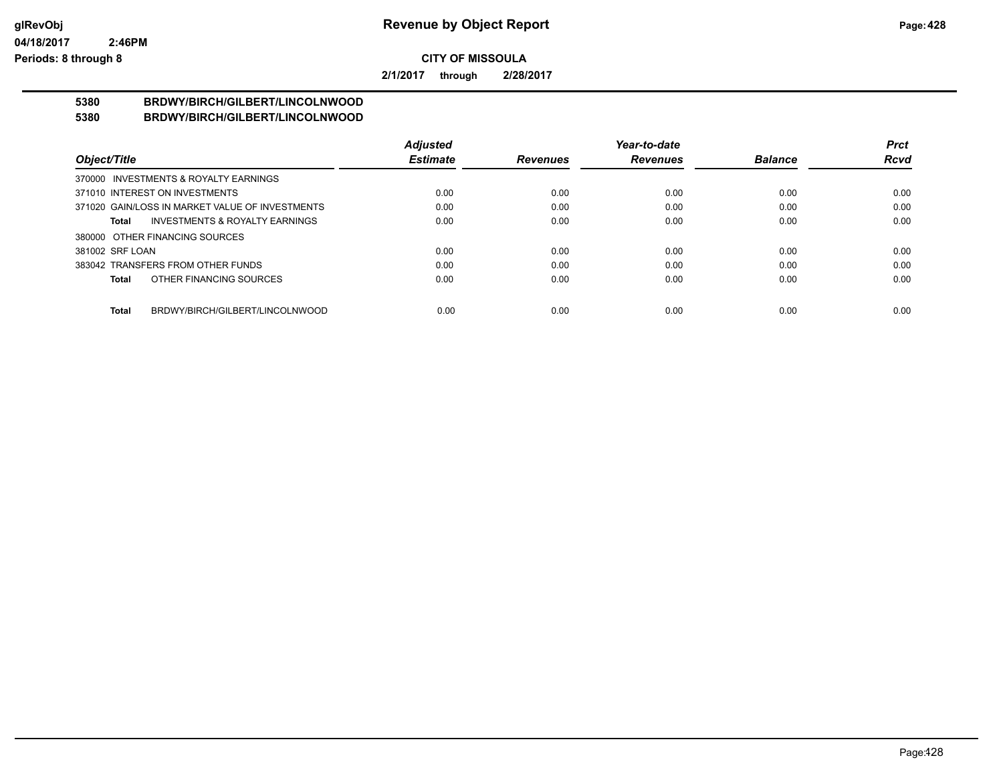**2/1/2017 through 2/28/2017**

#### **5380 BRDWY/BIRCH/GILBERT/LINCOLNWOOD 5380 BRDWY/BIRCH/GILBERT/LINCOLNWOOD**

|                                                    | <b>Adjusted</b> |                 | Year-to-date    |                | <b>Prct</b> |
|----------------------------------------------------|-----------------|-----------------|-----------------|----------------|-------------|
| Object/Title                                       | <b>Estimate</b> | <b>Revenues</b> | <b>Revenues</b> | <b>Balance</b> | <b>Rcvd</b> |
| 370000 INVESTMENTS & ROYALTY EARNINGS              |                 |                 |                 |                |             |
| 371010 INTEREST ON INVESTMENTS                     | 0.00            | 0.00            | 0.00            | 0.00           | 0.00        |
| 371020 GAIN/LOSS IN MARKET VALUE OF INVESTMENTS    | 0.00            | 0.00            | 0.00            | 0.00           | 0.00        |
| <b>INVESTMENTS &amp; ROYALTY EARNINGS</b><br>Total | 0.00            | 0.00            | 0.00            | 0.00           | 0.00        |
| 380000 OTHER FINANCING SOURCES                     |                 |                 |                 |                |             |
| 381002 SRF LOAN                                    | 0.00            | 0.00            | 0.00            | 0.00           | 0.00        |
| 383042 TRANSFERS FROM OTHER FUNDS                  | 0.00            | 0.00            | 0.00            | 0.00           | 0.00        |
| OTHER FINANCING SOURCES<br>Total                   | 0.00            | 0.00            | 0.00            | 0.00           | 0.00        |
|                                                    |                 |                 |                 |                |             |
| BRDWY/BIRCH/GILBERT/LINCOLNWOOD<br>Total           | 0.00            | 0.00            | 0.00            | 0.00           | 0.00        |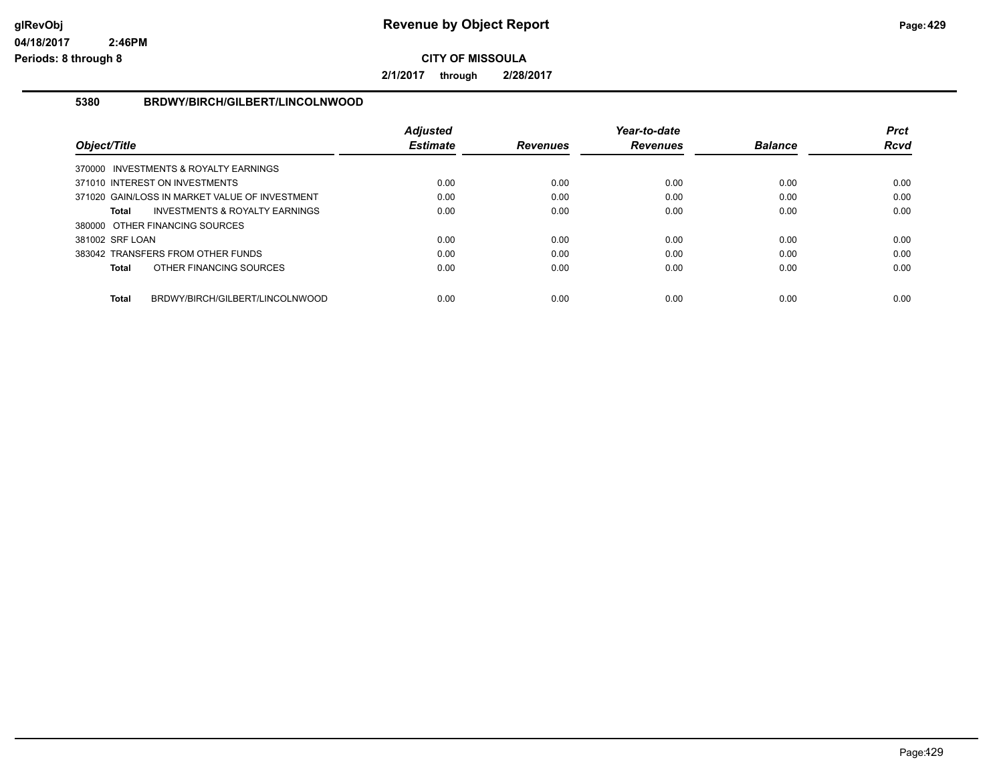**2/1/2017 through 2/28/2017**

#### **5380 BRDWY/BIRCH/GILBERT/LINCOLNWOOD**

|                                                 | <b>Adjusted</b> |                 | Year-to-date    |                | <b>Prct</b> |
|-------------------------------------------------|-----------------|-----------------|-----------------|----------------|-------------|
| Object/Title                                    | <b>Estimate</b> | <b>Revenues</b> | <b>Revenues</b> | <b>Balance</b> | Rcvd        |
| 370000 INVESTMENTS & ROYALTY EARNINGS           |                 |                 |                 |                |             |
| 371010 INTEREST ON INVESTMENTS                  | 0.00            | 0.00            | 0.00            | 0.00           | 0.00        |
| 371020 GAIN/LOSS IN MARKET VALUE OF INVESTMENT  | 0.00            | 0.00            | 0.00            | 0.00           | 0.00        |
| INVESTMENTS & ROYALTY EARNINGS<br>Total         | 0.00            | 0.00            | 0.00            | 0.00           | 0.00        |
| 380000 OTHER FINANCING SOURCES                  |                 |                 |                 |                |             |
| 381002 SRF LOAN                                 | 0.00            | 0.00            | 0.00            | 0.00           | 0.00        |
| 383042 TRANSFERS FROM OTHER FUNDS               | 0.00            | 0.00            | 0.00            | 0.00           | 0.00        |
| Total<br>OTHER FINANCING SOURCES                | 0.00            | 0.00            | 0.00            | 0.00           | 0.00        |
| BRDWY/BIRCH/GILBERT/LINCOLNWOOD<br><b>Total</b> | 0.00            | 0.00            | 0.00            | 0.00           | 0.00        |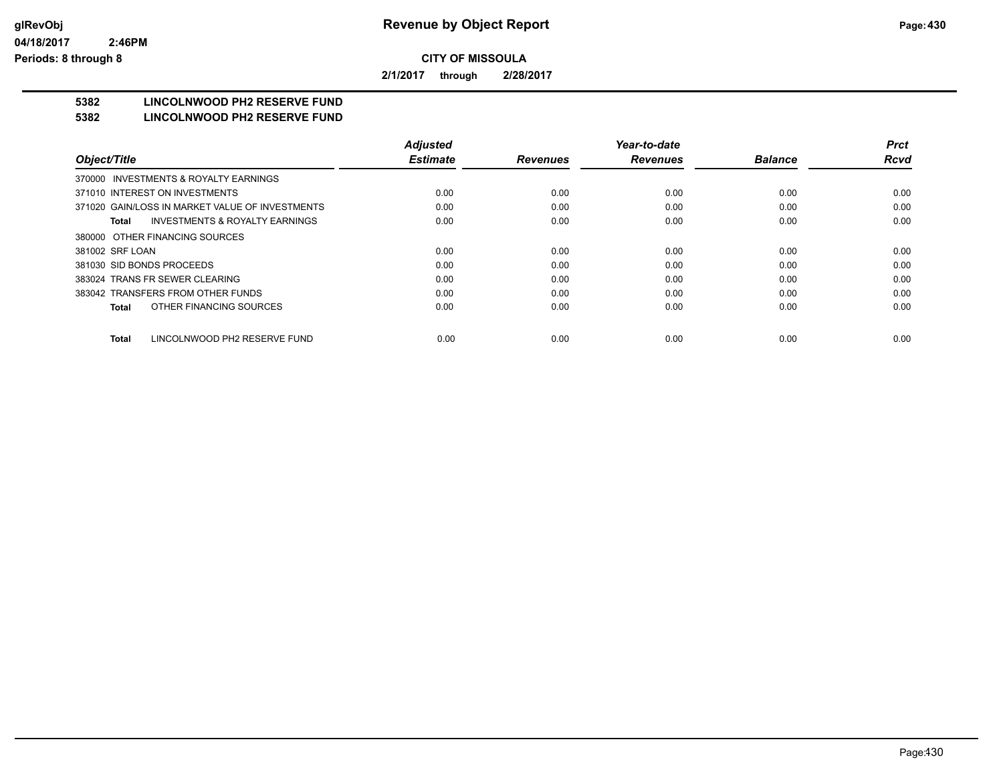**2/1/2017 through 2/28/2017**

#### **5382 LINCOLNWOOD PH2 RESERVE FUND 5382 LINCOLNWOOD PH2 RESERVE FUND**

|                                                    | <b>Adjusted</b> |                 | Year-to-date    |                | <b>Prct</b> |
|----------------------------------------------------|-----------------|-----------------|-----------------|----------------|-------------|
| Object/Title                                       | <b>Estimate</b> | <b>Revenues</b> | <b>Revenues</b> | <b>Balance</b> | <b>Rcvd</b> |
| 370000 INVESTMENTS & ROYALTY EARNINGS              |                 |                 |                 |                |             |
| 371010 INTEREST ON INVESTMENTS                     | 0.00            | 0.00            | 0.00            | 0.00           | 0.00        |
| 371020 GAIN/LOSS IN MARKET VALUE OF INVESTMENTS    | 0.00            | 0.00            | 0.00            | 0.00           | 0.00        |
| <b>INVESTMENTS &amp; ROYALTY EARNINGS</b><br>Total | 0.00            | 0.00            | 0.00            | 0.00           | 0.00        |
| 380000 OTHER FINANCING SOURCES                     |                 |                 |                 |                |             |
| 381002 SRF LOAN                                    | 0.00            | 0.00            | 0.00            | 0.00           | 0.00        |
| 381030 SID BONDS PROCEEDS                          | 0.00            | 0.00            | 0.00            | 0.00           | 0.00        |
| 383024 TRANS FR SEWER CLEARING                     | 0.00            | 0.00            | 0.00            | 0.00           | 0.00        |
| 383042 TRANSFERS FROM OTHER FUNDS                  | 0.00            | 0.00            | 0.00            | 0.00           | 0.00        |
| OTHER FINANCING SOURCES<br>Total                   | 0.00            | 0.00            | 0.00            | 0.00           | 0.00        |
| LINCOLNWOOD PH2 RESERVE FUND<br><b>Total</b>       | 0.00            | 0.00            | 0.00            | 0.00           | 0.00        |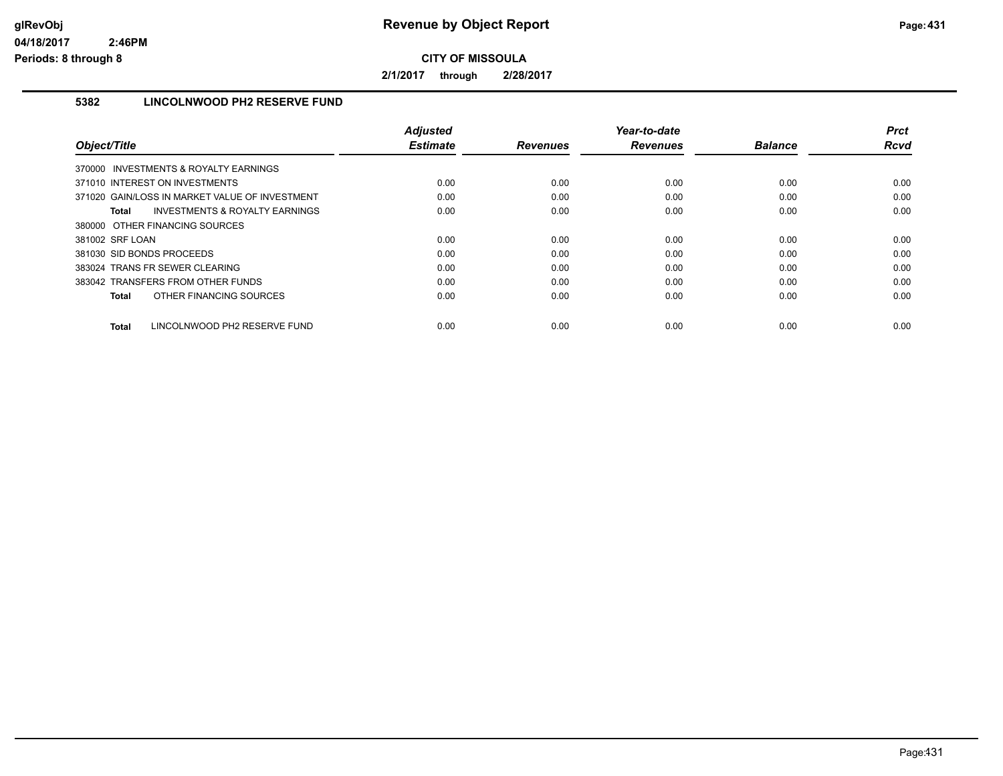**2/1/2017 through 2/28/2017**

#### **5382 LINCOLNWOOD PH2 RESERVE FUND**

|                                                | <b>Adjusted</b> |                 | Year-to-date    |                | <b>Prct</b> |
|------------------------------------------------|-----------------|-----------------|-----------------|----------------|-------------|
| Object/Title                                   | <b>Estimate</b> | <b>Revenues</b> | <b>Revenues</b> | <b>Balance</b> | Rcvd        |
| 370000 INVESTMENTS & ROYALTY EARNINGS          |                 |                 |                 |                |             |
| 371010 INTEREST ON INVESTMENTS                 | 0.00            | 0.00            | 0.00            | 0.00           | 0.00        |
| 371020 GAIN/LOSS IN MARKET VALUE OF INVESTMENT | 0.00            | 0.00            | 0.00            | 0.00           | 0.00        |
| INVESTMENTS & ROYALTY EARNINGS<br>Total        | 0.00            | 0.00            | 0.00            | 0.00           | 0.00        |
| 380000 OTHER FINANCING SOURCES                 |                 |                 |                 |                |             |
| 381002 SRF LOAN                                | 0.00            | 0.00            | 0.00            | 0.00           | 0.00        |
| 381030 SID BONDS PROCEEDS                      | 0.00            | 0.00            | 0.00            | 0.00           | 0.00        |
| 383024 TRANS FR SEWER CLEARING                 | 0.00            | 0.00            | 0.00            | 0.00           | 0.00        |
| 383042 TRANSFERS FROM OTHER FUNDS              | 0.00            | 0.00            | 0.00            | 0.00           | 0.00        |
| OTHER FINANCING SOURCES<br>Total               | 0.00            | 0.00            | 0.00            | 0.00           | 0.00        |
| LINCOLNWOOD PH2 RESERVE FUND<br><b>Total</b>   | 0.00            | 0.00            | 0.00            | 0.00           | 0.00        |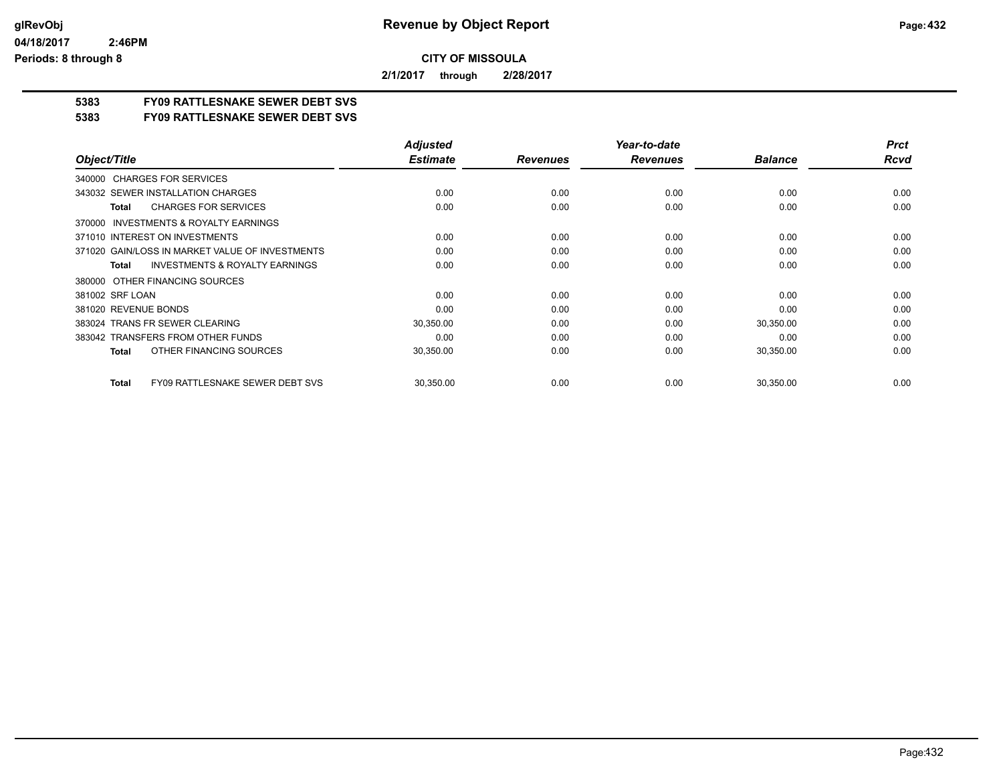**2/1/2017 through 2/28/2017**

#### **5383 FY09 RATTLESNAKE SEWER DEBT SVS 5383 FY09 RATTLESNAKE SEWER DEBT SVS**

|                                                        | <b>Adjusted</b> |                 | Year-to-date    |                | <b>Prct</b> |
|--------------------------------------------------------|-----------------|-----------------|-----------------|----------------|-------------|
| Object/Title                                           | <b>Estimate</b> | <b>Revenues</b> | <b>Revenues</b> | <b>Balance</b> | Rcvd        |
| 340000 CHARGES FOR SERVICES                            |                 |                 |                 |                |             |
| 343032 SEWER INSTALLATION CHARGES                      | 0.00            | 0.00            | 0.00            | 0.00           | 0.00        |
| <b>CHARGES FOR SERVICES</b><br>Total                   | 0.00            | 0.00            | 0.00            | 0.00           | 0.00        |
| 370000 INVESTMENTS & ROYALTY EARNINGS                  |                 |                 |                 |                |             |
| 371010 INTEREST ON INVESTMENTS                         | 0.00            | 0.00            | 0.00            | 0.00           | 0.00        |
| 371020 GAIN/LOSS IN MARKET VALUE OF INVESTMENTS        | 0.00            | 0.00            | 0.00            | 0.00           | 0.00        |
| <b>INVESTMENTS &amp; ROYALTY EARNINGS</b><br>Total     | 0.00            | 0.00            | 0.00            | 0.00           | 0.00        |
| OTHER FINANCING SOURCES<br>380000                      |                 |                 |                 |                |             |
| 381002 SRF LOAN                                        | 0.00            | 0.00            | 0.00            | 0.00           | 0.00        |
| 381020 REVENUE BONDS                                   | 0.00            | 0.00            | 0.00            | 0.00           | 0.00        |
| 383024 TRANS FR SEWER CLEARING                         | 30,350.00       | 0.00            | 0.00            | 30,350.00      | 0.00        |
| 383042 TRANSFERS FROM OTHER FUNDS                      | 0.00            | 0.00            | 0.00            | 0.00           | 0.00        |
| OTHER FINANCING SOURCES<br>Total                       | 30,350.00       | 0.00            | 0.00            | 30,350.00      | 0.00        |
| <b>FY09 RATTLESNAKE SEWER DEBT SVS</b><br><b>Total</b> | 30,350.00       | 0.00            | 0.00            | 30,350.00      | 0.00        |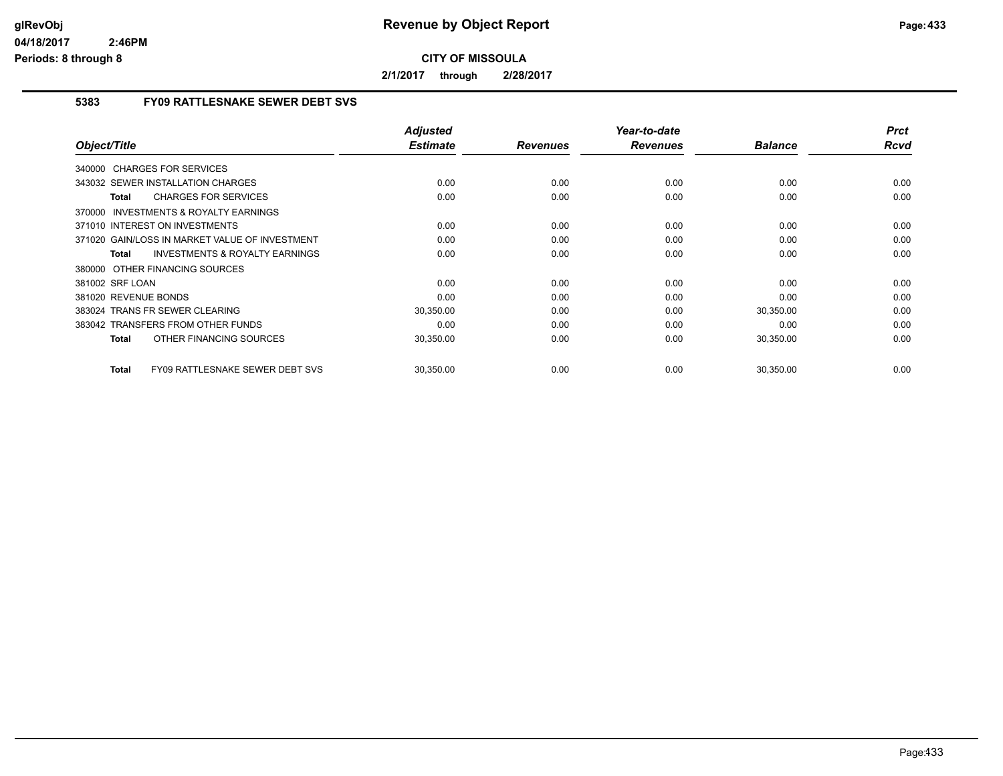**2/1/2017 through 2/28/2017**

#### **5383 FY09 RATTLESNAKE SEWER DEBT SVS**

| Object/Title                                              | <b>Adjusted</b><br><b>Estimate</b> | <b>Revenues</b> | Year-to-date<br><b>Revenues</b> | <b>Balance</b> | <b>Prct</b><br><b>Rcvd</b> |
|-----------------------------------------------------------|------------------------------------|-----------------|---------------------------------|----------------|----------------------------|
| <b>CHARGES FOR SERVICES</b><br>340000                     |                                    |                 |                                 |                |                            |
| 343032 SEWER INSTALLATION CHARGES                         | 0.00                               | 0.00            | 0.00                            | 0.00           | 0.00                       |
| <b>CHARGES FOR SERVICES</b><br><b>Total</b>               | 0.00                               | 0.00            | 0.00                            | 0.00           | 0.00                       |
| <b>INVESTMENTS &amp; ROYALTY EARNINGS</b><br>370000       |                                    |                 |                                 |                |                            |
| 371010 INTEREST ON INVESTMENTS                            | 0.00                               | 0.00            | 0.00                            | 0.00           | 0.00                       |
| 371020 GAIN/LOSS IN MARKET VALUE OF INVESTMENT            | 0.00                               | 0.00            | 0.00                            | 0.00           | 0.00                       |
| <b>INVESTMENTS &amp; ROYALTY EARNINGS</b><br><b>Total</b> | 0.00                               | 0.00            | 0.00                            | 0.00           | 0.00                       |
| 380000 OTHER FINANCING SOURCES                            |                                    |                 |                                 |                |                            |
| 381002 SRF LOAN                                           | 0.00                               | 0.00            | 0.00                            | 0.00           | 0.00                       |
| 381020 REVENUE BONDS                                      | 0.00                               | 0.00            | 0.00                            | 0.00           | 0.00                       |
| 383024 TRANS FR SEWER CLEARING                            | 30,350.00                          | 0.00            | 0.00                            | 30,350.00      | 0.00                       |
| 383042 TRANSFERS FROM OTHER FUNDS                         | 0.00                               | 0.00            | 0.00                            | 0.00           | 0.00                       |
| OTHER FINANCING SOURCES<br><b>Total</b>                   | 30,350.00                          | 0.00            | 0.00                            | 30,350.00      | 0.00                       |
| FY09 RATTLESNAKE SEWER DEBT SVS<br>Total                  | 30,350.00                          | 0.00            | 0.00                            | 30,350.00      | 0.00                       |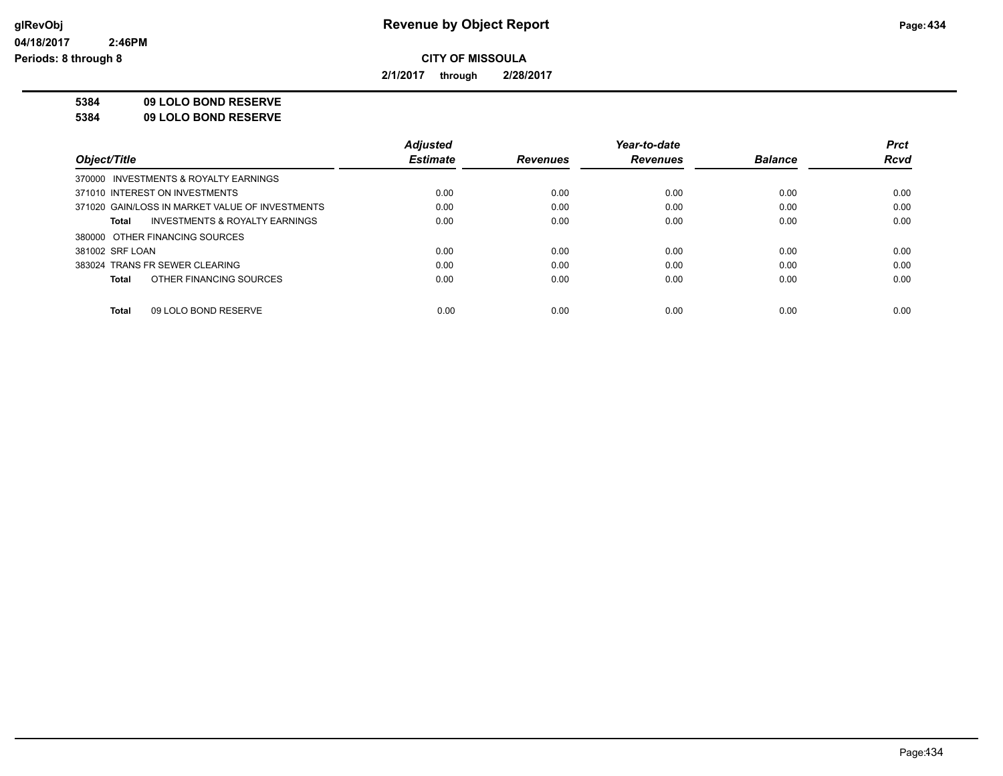**2/1/2017 through 2/28/2017**

**5384 09 LOLO BOND RESERVE**

**5384 09 LOLO BOND RESERVE**

|                                                 | <b>Adjusted</b> |                 | Year-to-date    |                | <b>Prct</b> |
|-------------------------------------------------|-----------------|-----------------|-----------------|----------------|-------------|
| Object/Title                                    | <b>Estimate</b> | <b>Revenues</b> | <b>Revenues</b> | <b>Balance</b> | <b>Rcvd</b> |
| 370000 INVESTMENTS & ROYALTY EARNINGS           |                 |                 |                 |                |             |
| 371010 INTEREST ON INVESTMENTS                  | 0.00            | 0.00            | 0.00            | 0.00           | 0.00        |
| 371020 GAIN/LOSS IN MARKET VALUE OF INVESTMENTS | 0.00            | 0.00            | 0.00            | 0.00           | 0.00        |
| INVESTMENTS & ROYALTY EARNINGS<br>Total         | 0.00            | 0.00            | 0.00            | 0.00           | 0.00        |
| 380000 OTHER FINANCING SOURCES                  |                 |                 |                 |                |             |
| 381002 SRF LOAN                                 | 0.00            | 0.00            | 0.00            | 0.00           | 0.00        |
| 383024 TRANS FR SEWER CLEARING                  | 0.00            | 0.00            | 0.00            | 0.00           | 0.00        |
| OTHER FINANCING SOURCES<br><b>Total</b>         | 0.00            | 0.00            | 0.00            | 0.00           | 0.00        |
| 09 LOLO BOND RESERVE<br><b>Total</b>            | 0.00            | 0.00            | 0.00            | 0.00           | 0.00        |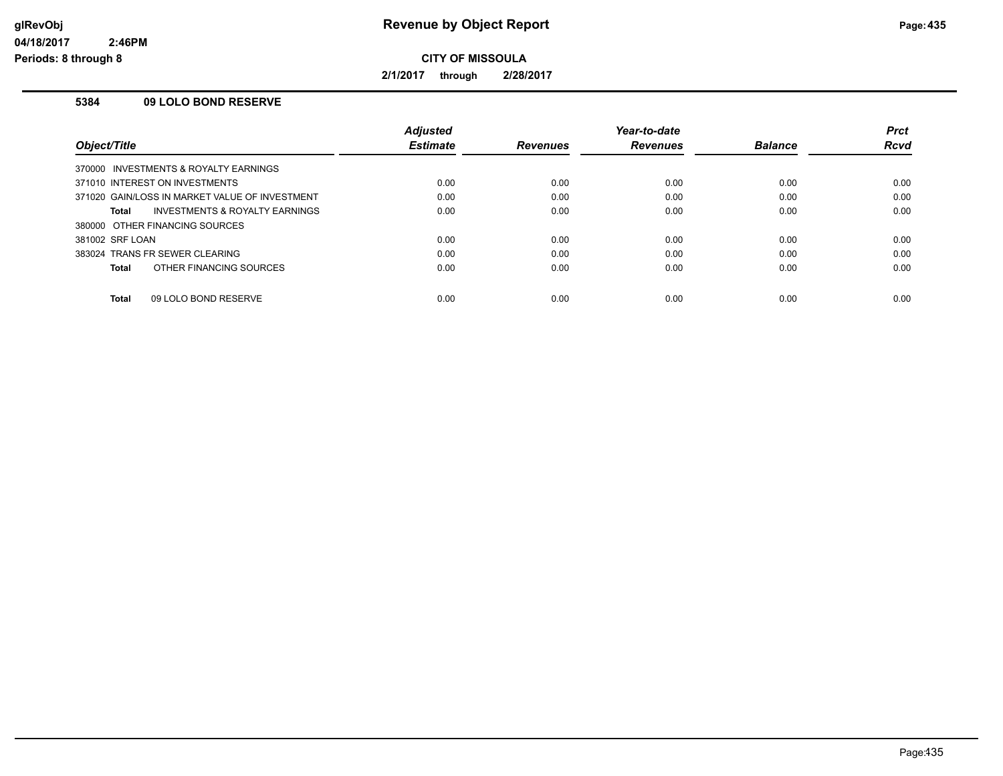**2/1/2017 through 2/28/2017**

#### **5384 09 LOLO BOND RESERVE**

|                                                | <b>Adjusted</b> |                 | Year-to-date    |                | <b>Prct</b> |
|------------------------------------------------|-----------------|-----------------|-----------------|----------------|-------------|
| Object/Title                                   | <b>Estimate</b> | <b>Revenues</b> | <b>Revenues</b> | <b>Balance</b> | <b>Rcvd</b> |
| 370000 INVESTMENTS & ROYALTY EARNINGS          |                 |                 |                 |                |             |
| 371010 INTEREST ON INVESTMENTS                 | 0.00            | 0.00            | 0.00            | 0.00           | 0.00        |
| 371020 GAIN/LOSS IN MARKET VALUE OF INVESTMENT | 0.00            | 0.00            | 0.00            | 0.00           | 0.00        |
| INVESTMENTS & ROYALTY EARNINGS<br>Total        | 0.00            | 0.00            | 0.00            | 0.00           | 0.00        |
| 380000 OTHER FINANCING SOURCES                 |                 |                 |                 |                |             |
| 381002 SRF LOAN                                | 0.00            | 0.00            | 0.00            | 0.00           | 0.00        |
| 383024 TRANS FR SEWER CLEARING                 | 0.00            | 0.00            | 0.00            | 0.00           | 0.00        |
| OTHER FINANCING SOURCES<br>Total               | 0.00            | 0.00            | 0.00            | 0.00           | 0.00        |
| 09 LOLO BOND RESERVE<br>Total                  | 0.00            | 0.00            | 0.00            | 0.00           | 0.00        |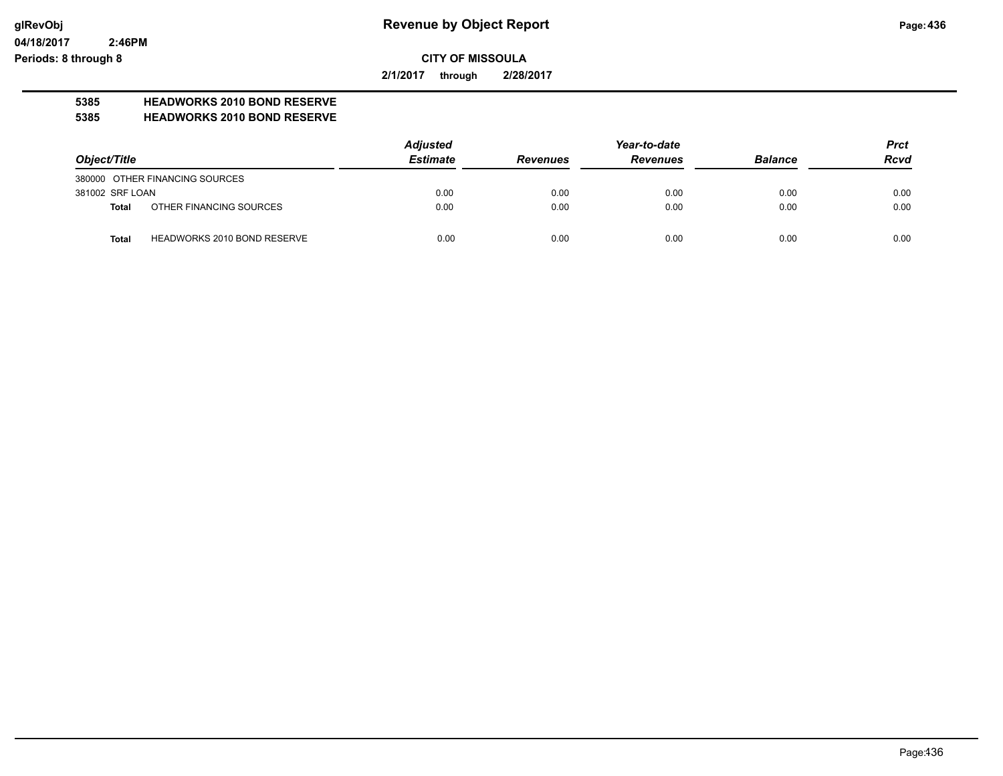**2/1/2017 through 2/28/2017**

#### **5385 HEADWORKS 2010 BOND RESERVE 5385 HEADWORKS 2010 BOND RESERVE**

|                 |                                    | <b>Adjusted</b> |                 | Year-to-date    |                | <b>Prct</b> |
|-----------------|------------------------------------|-----------------|-----------------|-----------------|----------------|-------------|
| Object/Title    |                                    | <b>Estimate</b> | <b>Revenues</b> | <b>Revenues</b> | <b>Balance</b> | <b>Rcvd</b> |
|                 | 380000 OTHER FINANCING SOURCES     |                 |                 |                 |                |             |
| 381002 SRF LOAN |                                    | 0.00            | 0.00            | 0.00            | 0.00           | 0.00        |
| <b>Total</b>    | OTHER FINANCING SOURCES            | 0.00            | 0.00            | 0.00            | 0.00           | 0.00        |
| <b>Total</b>    | <b>HEADWORKS 2010 BOND RESERVE</b> | 0.00            | 0.00            | 0.00            | 0.00           | 0.00        |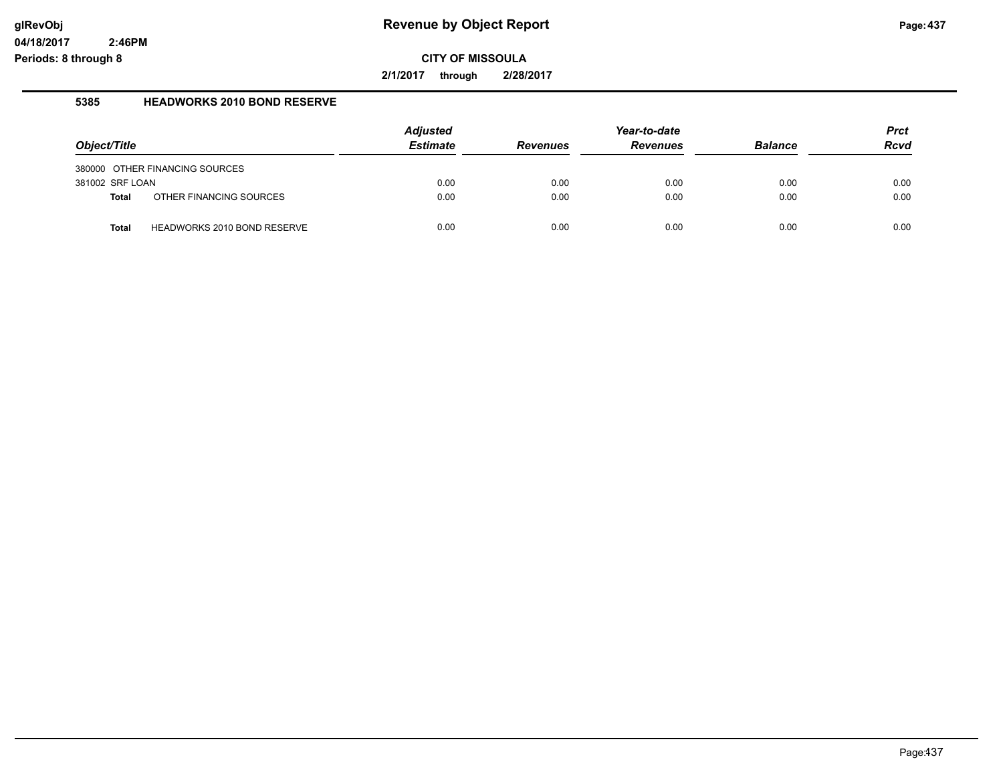**2/1/2017 through 2/28/2017**

#### **5385 HEADWORKS 2010 BOND RESERVE**

|                 |                                    | <b>Adjusted</b> |                 | Year-to-date    |                | <b>Prct</b> |
|-----------------|------------------------------------|-----------------|-----------------|-----------------|----------------|-------------|
| Object/Title    |                                    | <b>Estimate</b> | <b>Revenues</b> | <b>Revenues</b> | <b>Balance</b> | <b>Rcvd</b> |
|                 | 380000 OTHER FINANCING SOURCES     |                 |                 |                 |                |             |
| 381002 SRF LOAN |                                    | 0.00            | 0.00            | 0.00            | 0.00           | 0.00        |
| <b>Total</b>    | OTHER FINANCING SOURCES            | 0.00            | 0.00            | 0.00            | 0.00           | 0.00        |
| Total           | <b>HEADWORKS 2010 BOND RESERVE</b> | 0.00            | 0.00            | 0.00            | 0.00           | 0.00        |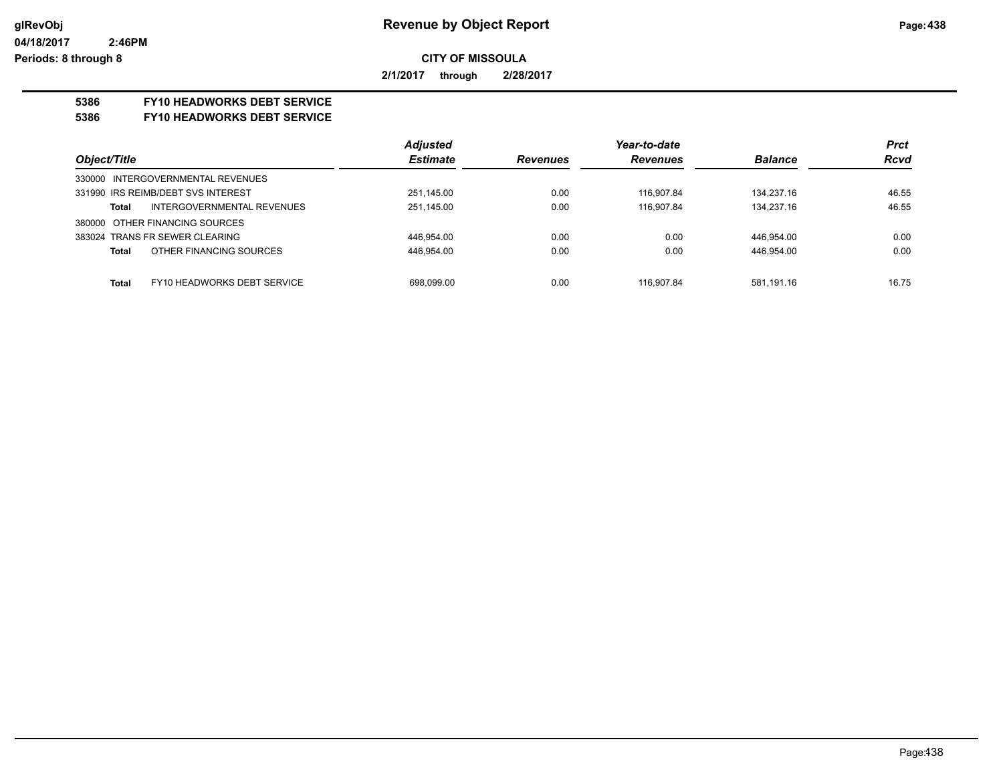**2/1/2017 through 2/28/2017**

#### **5386 FY10 HEADWORKS DEBT SERVICE 5386 FY10 HEADWORKS DEBT SERVICE**

|                                                    | <b>Adjusted</b> |                 | Year-to-date    |                | <b>Prct</b> |
|----------------------------------------------------|-----------------|-----------------|-----------------|----------------|-------------|
| Object/Title                                       | <b>Estimate</b> | <b>Revenues</b> | <b>Revenues</b> | <b>Balance</b> | <b>Rcvd</b> |
| 330000 INTERGOVERNMENTAL REVENUES                  |                 |                 |                 |                |             |
| 331990 IRS REIMB/DEBT SVS INTEREST                 | 251.145.00      | 0.00            | 116.907.84      | 134.237.16     | 46.55       |
| INTERGOVERNMENTAL REVENUES<br>Total                | 251,145.00      | 0.00            | 116,907.84      | 134,237.16     | 46.55       |
| 380000 OTHER FINANCING SOURCES                     |                 |                 |                 |                |             |
| 383024 TRANS FR SEWER CLEARING                     | 446.954.00      | 0.00            | 0.00            | 446.954.00     | 0.00        |
| OTHER FINANCING SOURCES<br><b>Total</b>            | 446.954.00      | 0.00            | 0.00            | 446,954.00     | 0.00        |
| <b>FY10 HEADWORKS DEBT SERVICE</b><br><b>Total</b> | 698.099.00      | 0.00            | 116.907.84      | 581.191.16     | 16.75       |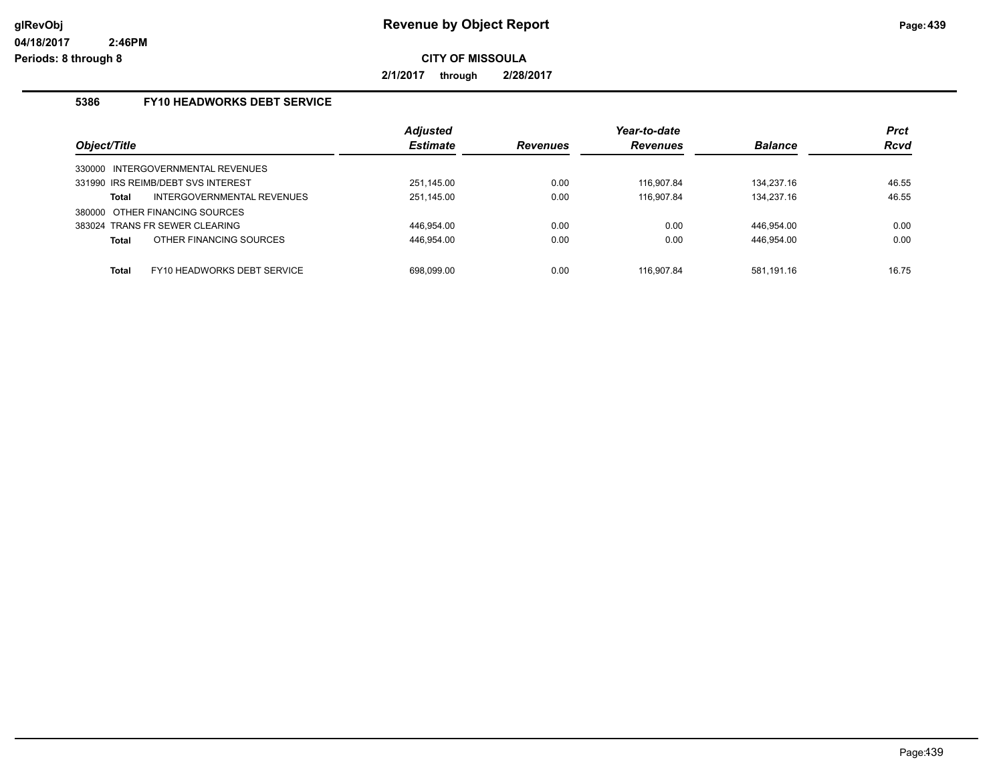**2/1/2017 through 2/28/2017**

#### **5386 FY10 HEADWORKS DEBT SERVICE**

|              |                                    | <b>Adjusted</b> |                 | Year-to-date    |                | <b>Prct</b> |
|--------------|------------------------------------|-----------------|-----------------|-----------------|----------------|-------------|
| Object/Title |                                    | <b>Estimate</b> | <b>Revenues</b> | <b>Revenues</b> | <b>Balance</b> | Rcvd        |
|              | 330000 INTERGOVERNMENTAL REVENUES  |                 |                 |                 |                |             |
|              | 331990 IRS REIMB/DEBT SVS INTEREST | 251.145.00      | 0.00            | 116.907.84      | 134.237.16     | 46.55       |
| Total        | INTERGOVERNMENTAL REVENUES         | 251,145.00      | 0.00            | 116.907.84      | 134.237.16     | 46.55       |
|              | 380000 OTHER FINANCING SOURCES     |                 |                 |                 |                |             |
|              | 383024 TRANS FR SEWER CLEARING     | 446,954.00      | 0.00            | 0.00            | 446,954.00     | 0.00        |
| Total        | OTHER FINANCING SOURCES            | 446,954.00      | 0.00            | 0.00            | 446,954.00     | 0.00        |
| <b>Total</b> | FY10 HEADWORKS DEBT SERVICE        | 698.099.00      | 0.00            | 116.907.84      | 581.191.16     | 16.75       |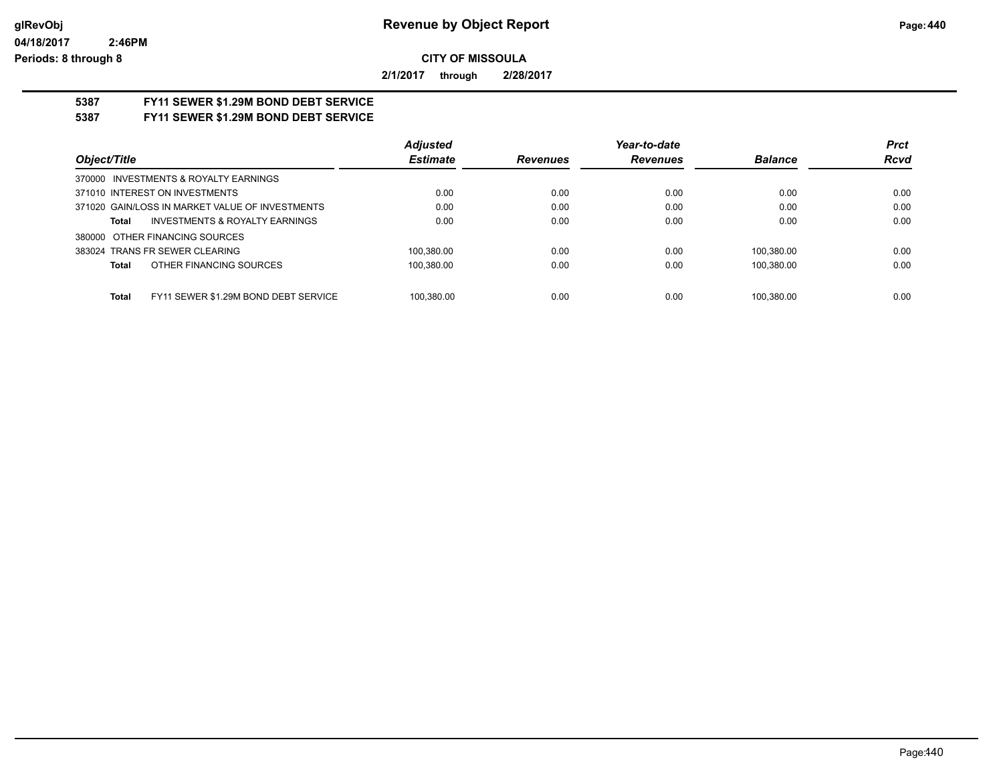**2/1/2017 through 2/28/2017**

#### **5387 FY11 SEWER \$1.29M BOND DEBT SERVICE 5387 FY11 SEWER \$1.29M BOND DEBT SERVICE**

|                                                 | <b>Adjusted</b> |                 | Year-to-date    |                | <b>Prct</b> |
|-------------------------------------------------|-----------------|-----------------|-----------------|----------------|-------------|
| Object/Title                                    | <b>Estimate</b> | <b>Revenues</b> | <b>Revenues</b> | <b>Balance</b> | <b>Rcvd</b> |
| INVESTMENTS & ROYALTY EARNINGS<br>370000        |                 |                 |                 |                |             |
| 371010 INTEREST ON INVESTMENTS                  | 0.00            | 0.00            | 0.00            | 0.00           | 0.00        |
| 371020 GAIN/LOSS IN MARKET VALUE OF INVESTMENTS | 0.00            | 0.00            | 0.00            | 0.00           | 0.00        |
| INVESTMENTS & ROYALTY EARNINGS<br>Total         | 0.00            | 0.00            | 0.00            | 0.00           | 0.00        |
| 380000 OTHER FINANCING SOURCES                  |                 |                 |                 |                |             |
| 383024 TRANS FR SEWER CLEARING                  | 100.380.00      | 0.00            | 0.00            | 100.380.00     | 0.00        |
| OTHER FINANCING SOURCES<br>Total                | 100.380.00      | 0.00            | 0.00            | 100.380.00     | 0.00        |
| <b>Total</b>                                    | 100.380.00      |                 |                 | 100.380.00     |             |
| FY11 SEWER \$1.29M BOND DEBT SERVICE            |                 | 0.00            | 0.00            |                | 0.00        |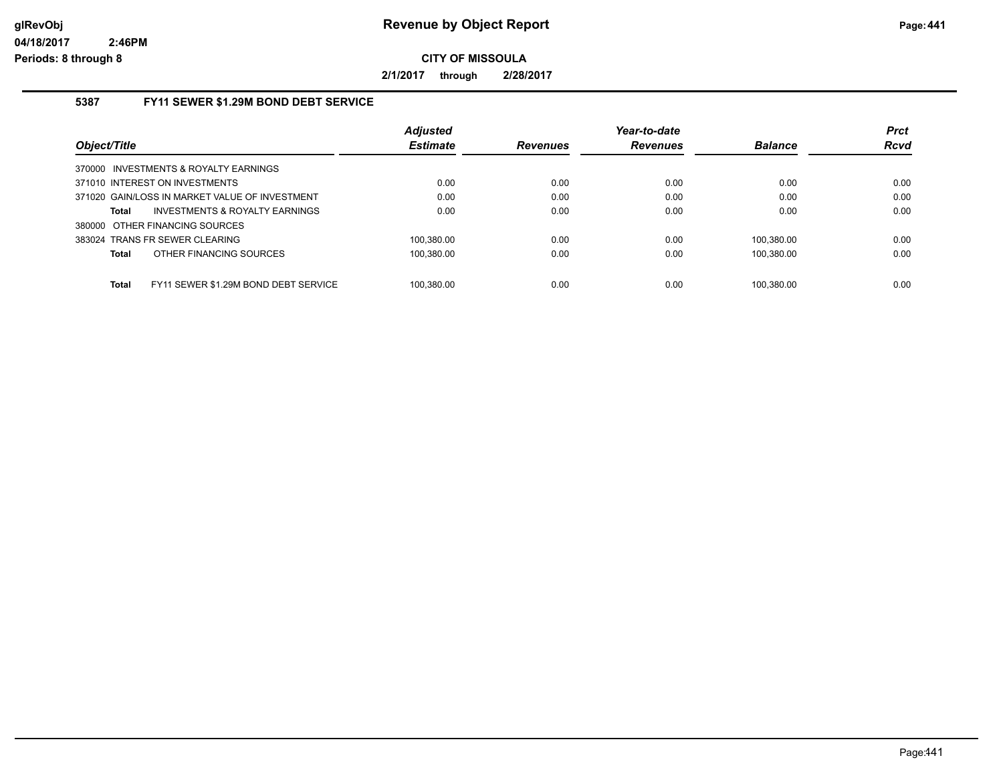**2/1/2017 through 2/28/2017**

#### **5387 FY11 SEWER \$1.29M BOND DEBT SERVICE**

| Object/Title |                                                | <b>Adjusted</b><br><b>Estimate</b> | <b>Revenues</b> | Year-to-date<br><b>Revenues</b> | <b>Balance</b> | <b>Prct</b><br><b>Rcvd</b> |
|--------------|------------------------------------------------|------------------------------------|-----------------|---------------------------------|----------------|----------------------------|
|              | 370000 INVESTMENTS & ROYALTY EARNINGS          |                                    |                 |                                 |                |                            |
|              | 371010 INTEREST ON INVESTMENTS                 | 0.00                               | 0.00            | 0.00                            | 0.00           | 0.00                       |
|              | 371020 GAIN/LOSS IN MARKET VALUE OF INVESTMENT | 0.00                               | 0.00            | 0.00                            | 0.00           | 0.00                       |
| Total        | <b>INVESTMENTS &amp; ROYALTY EARNINGS</b>      | 0.00                               | 0.00            | 0.00                            | 0.00           | 0.00                       |
|              | 380000 OTHER FINANCING SOURCES                 |                                    |                 |                                 |                |                            |
|              | 383024 TRANS FR SEWER CLEARING                 | 100.380.00                         | 0.00            | 0.00                            | 100.380.00     | 0.00                       |
| Total        | OTHER FINANCING SOURCES                        | 100.380.00                         | 0.00            | 0.00                            | 100.380.00     | 0.00                       |
|              |                                                |                                    |                 |                                 |                |                            |
| <b>Total</b> | FY11 SEWER \$1.29M BOND DEBT SERVICE           | 100.380.00                         | 0.00            | 0.00                            | 100.380.00     | 0.00                       |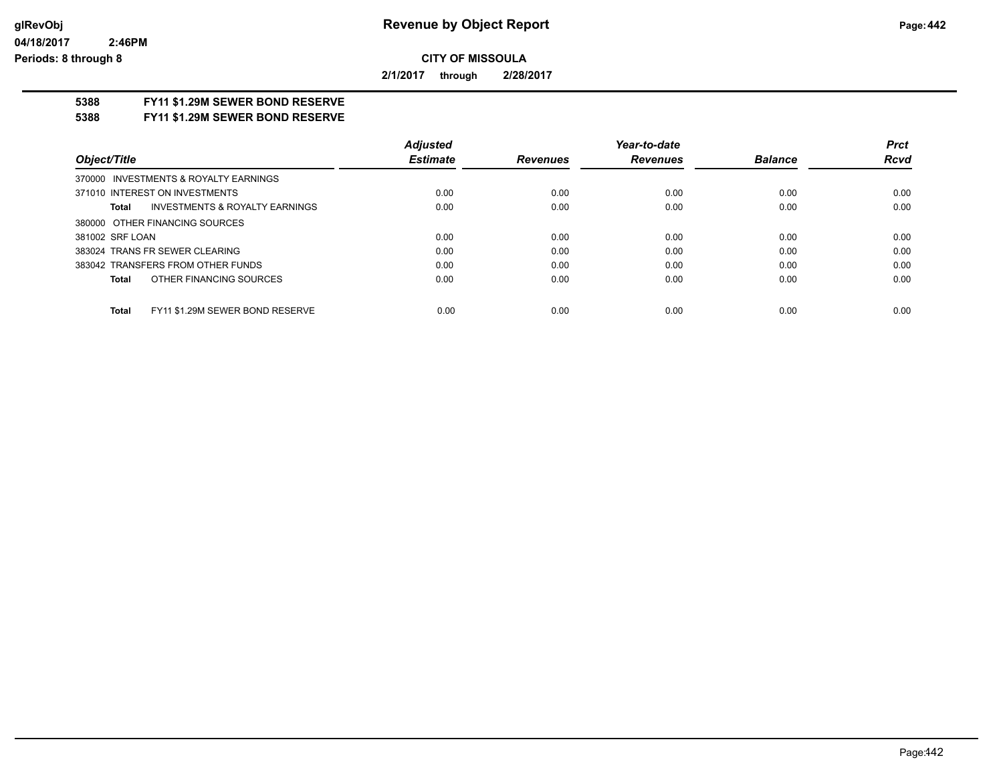**2/1/2017 through 2/28/2017**

#### **5388 FY11 \$1.29M SEWER BOND RESERVE 5388 FY11 \$1.29M SEWER BOND RESERVE**

|                                                    | <b>Adjusted</b> |                 | Year-to-date    |                | <b>Prct</b> |
|----------------------------------------------------|-----------------|-----------------|-----------------|----------------|-------------|
| Object/Title                                       | <b>Estimate</b> | <b>Revenues</b> | <b>Revenues</b> | <b>Balance</b> | <b>Rcvd</b> |
| 370000 INVESTMENTS & ROYALTY EARNINGS              |                 |                 |                 |                |             |
| 371010 INTEREST ON INVESTMENTS                     | 0.00            | 0.00            | 0.00            | 0.00           | 0.00        |
| <b>INVESTMENTS &amp; ROYALTY EARNINGS</b><br>Total | 0.00            | 0.00            | 0.00            | 0.00           | 0.00        |
| 380000 OTHER FINANCING SOURCES                     |                 |                 |                 |                |             |
| 381002 SRF LOAN                                    | 0.00            | 0.00            | 0.00            | 0.00           | 0.00        |
| 383024 TRANS FR SEWER CLEARING                     | 0.00            | 0.00            | 0.00            | 0.00           | 0.00        |
| 383042 TRANSFERS FROM OTHER FUNDS                  | 0.00            | 0.00            | 0.00            | 0.00           | 0.00        |
| OTHER FINANCING SOURCES<br>Total                   | 0.00            | 0.00            | 0.00            | 0.00           | 0.00        |
|                                                    |                 |                 |                 |                |             |
| FY11 \$1.29M SEWER BOND RESERVE<br>Total           | 0.00            | 0.00            | 0.00            | 0.00           | 0.00        |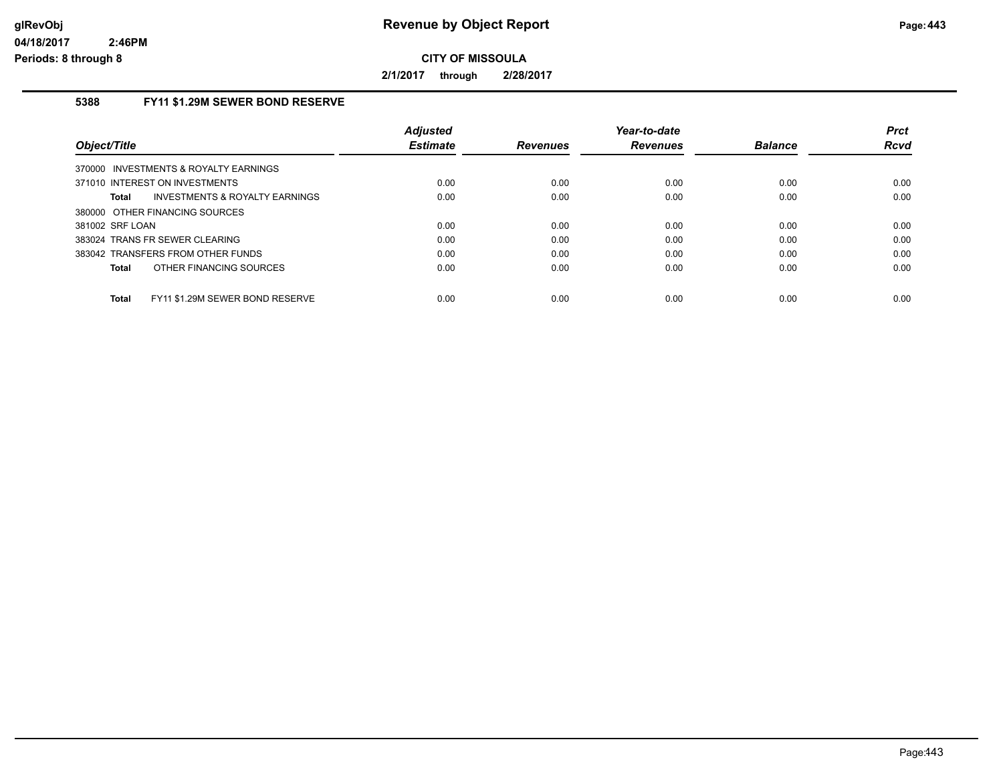**2/1/2017 through 2/28/2017**

#### **5388 FY11 \$1.29M SEWER BOND RESERVE**

|                                                 | <b>Adiusted</b> |                 | Year-to-date    |                | <b>Prct</b> |
|-------------------------------------------------|-----------------|-----------------|-----------------|----------------|-------------|
| Object/Title                                    | <b>Estimate</b> | <b>Revenues</b> | <b>Revenues</b> | <b>Balance</b> | <b>Rcvd</b> |
| 370000 INVESTMENTS & ROYALTY EARNINGS           |                 |                 |                 |                |             |
| 371010 INTEREST ON INVESTMENTS                  | 0.00            | 0.00            | 0.00            | 0.00           | 0.00        |
| INVESTMENTS & ROYALTY EARNINGS<br>Total         | 0.00            | 0.00            | 0.00            | 0.00           | 0.00        |
| 380000 OTHER FINANCING SOURCES                  |                 |                 |                 |                |             |
| 381002 SRF LOAN                                 | 0.00            | 0.00            | 0.00            | 0.00           | 0.00        |
| 383024 TRANS FR SEWER CLEARING                  | 0.00            | 0.00            | 0.00            | 0.00           | 0.00        |
| 383042 TRANSFERS FROM OTHER FUNDS               | 0.00            | 0.00            | 0.00            | 0.00           | 0.00        |
| OTHER FINANCING SOURCES<br>Total                | 0.00            | 0.00            | 0.00            | 0.00           | 0.00        |
| FY11 \$1.29M SEWER BOND RESERVE<br><b>Total</b> | 0.00            | 0.00            | 0.00            | 0.00           | 0.00        |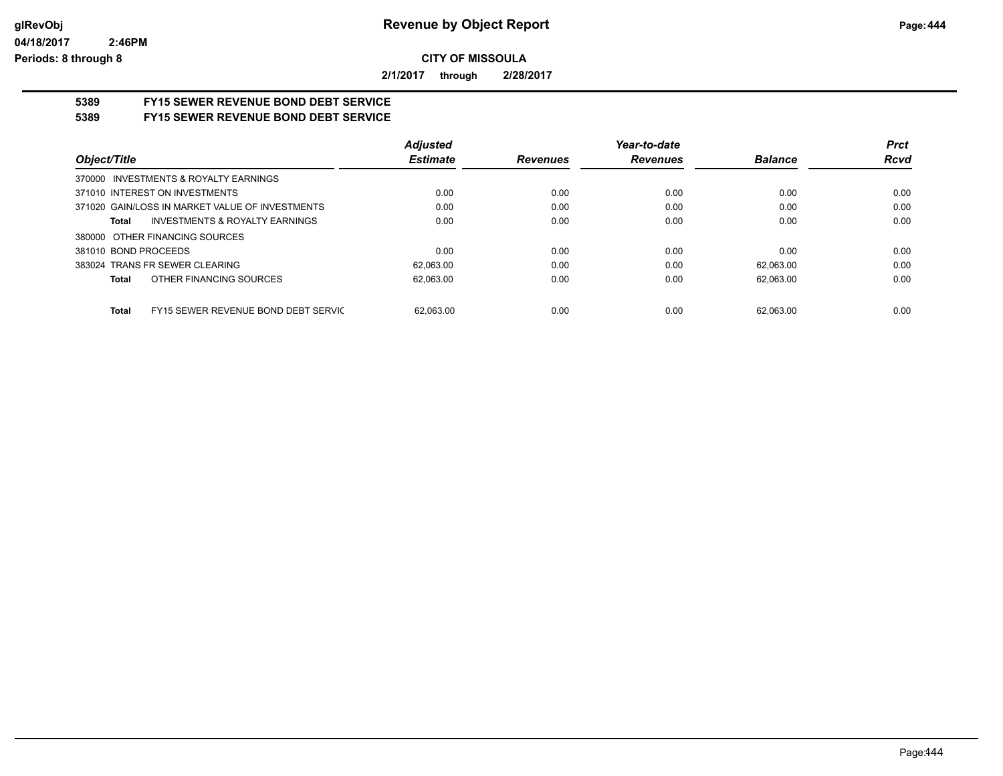**2/1/2017 through 2/28/2017**

#### **5389 FY15 SEWER REVENUE BOND DEBT SERVICE 5389 FY15 SEWER REVENUE BOND DEBT SERVICE**

|                                                 |                                           | <b>Adjusted</b> |                 | Year-to-date    |                | <b>Prct</b> |
|-------------------------------------------------|-------------------------------------------|-----------------|-----------------|-----------------|----------------|-------------|
| Object/Title                                    |                                           | <b>Estimate</b> | <b>Revenues</b> | <b>Revenues</b> | <b>Balance</b> | <b>Rcvd</b> |
| INVESTMENTS & ROYALTY EARNINGS<br>370000        |                                           |                 |                 |                 |                |             |
| 371010 INTEREST ON INVESTMENTS                  |                                           | 0.00            | 0.00            | 0.00            | 0.00           | 0.00        |
| 371020 GAIN/LOSS IN MARKET VALUE OF INVESTMENTS |                                           | 0.00            | 0.00            | 0.00            | 0.00           | 0.00        |
| Total                                           | <b>INVESTMENTS &amp; ROYALTY EARNINGS</b> | 0.00            | 0.00            | 0.00            | 0.00           | 0.00        |
| OTHER FINANCING SOURCES<br>380000               |                                           |                 |                 |                 |                |             |
| 381010 BOND PROCEEDS                            |                                           | 0.00            | 0.00            | 0.00            | 0.00           | 0.00        |
| 383024 TRANS FR SEWER CLEARING                  |                                           | 62.063.00       | 0.00            | 0.00            | 62.063.00      | 0.00        |
| OTHER FINANCING SOURCES<br>Total                |                                           | 62,063.00       | 0.00            | 0.00            | 62.063.00      | 0.00        |
|                                                 |                                           |                 |                 |                 |                |             |
| <b>Total</b>                                    | FY15 SEWER REVENUE BOND DEBT SERVIC       | 62.063.00       | 0.00            | 0.00            | 62.063.00      | 0.00        |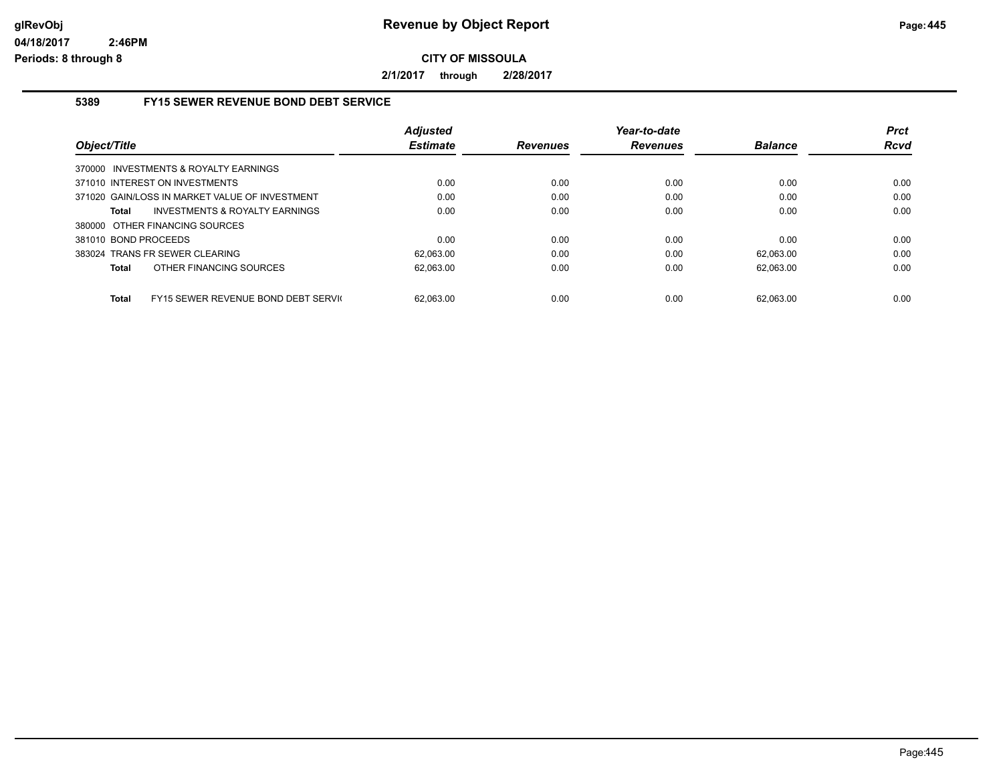**2/1/2017 through 2/28/2017**

## **5389 FY15 SEWER REVENUE BOND DEBT SERVICE**

|                                                      | <b>Adiusted</b> |                 | Year-to-date    |                | <b>Prct</b> |
|------------------------------------------------------|-----------------|-----------------|-----------------|----------------|-------------|
| Object/Title                                         | <b>Estimate</b> | <b>Revenues</b> | <b>Revenues</b> | <b>Balance</b> | <b>Rcvd</b> |
| 370000 INVESTMENTS & ROYALTY EARNINGS                |                 |                 |                 |                |             |
| 371010 INTEREST ON INVESTMENTS                       | 0.00            | 0.00            | 0.00            | 0.00           | 0.00        |
| 371020 GAIN/LOSS IN MARKET VALUE OF INVESTMENT       | 0.00            | 0.00            | 0.00            | 0.00           | 0.00        |
| INVESTMENTS & ROYALTY EARNINGS<br>Total              | 0.00            | 0.00            | 0.00            | 0.00           | 0.00        |
| 380000 OTHER FINANCING SOURCES                       |                 |                 |                 |                |             |
| 381010 BOND PROCEEDS                                 | 0.00            | 0.00            | 0.00            | 0.00           | 0.00        |
| 383024 TRANS FR SEWER CLEARING                       | 62.063.00       | 0.00            | 0.00            | 62.063.00      | 0.00        |
| OTHER FINANCING SOURCES<br>Total                     | 62,063.00       | 0.00            | 0.00            | 62.063.00      | 0.00        |
| <b>FY15 SEWER REVENUE BOND DEBT SERVICE</b><br>Total | 62.063.00       | 0.00            | 0.00            | 62.063.00      | 0.00        |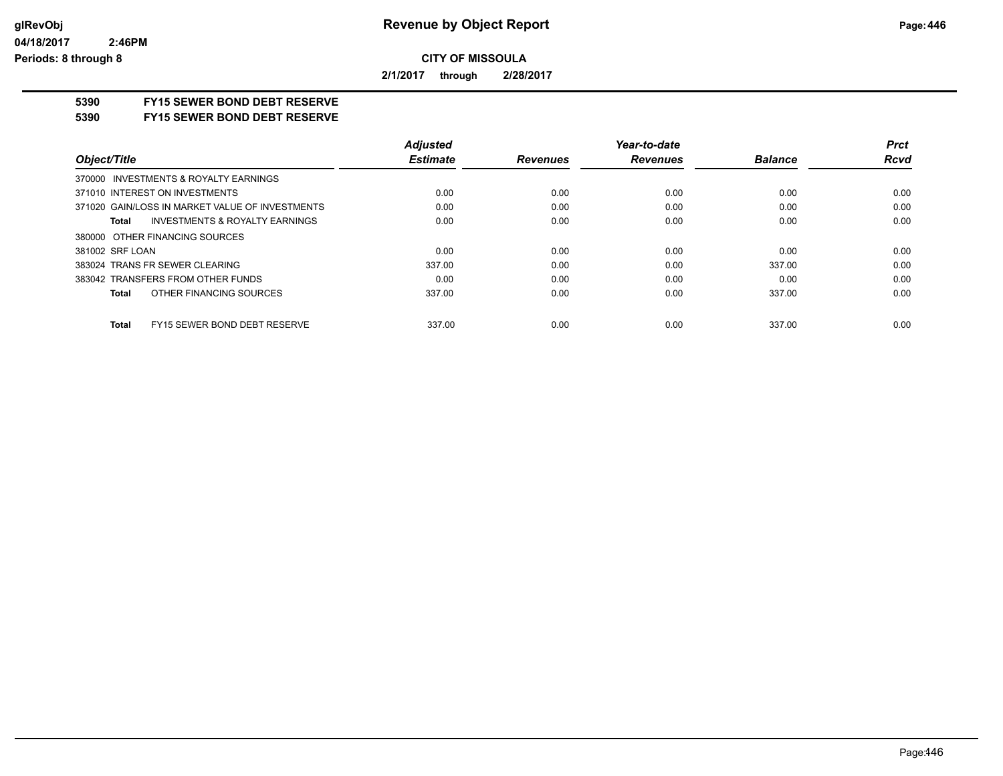**2/1/2017 through 2/28/2017**

#### **5390 FY15 SEWER BOND DEBT RESERVE 5390 FY15 SEWER BOND DEBT RESERVE**

| Object/Title                                        | <b>Adjusted</b><br><b>Estimate</b> | <b>Revenues</b> | Year-to-date<br><b>Revenues</b> | <b>Balance</b> | <b>Prct</b><br><b>Rcvd</b> |
|-----------------------------------------------------|------------------------------------|-----------------|---------------------------------|----------------|----------------------------|
| 370000 INVESTMENTS & ROYALTY EARNINGS               |                                    |                 |                                 |                |                            |
| 371010 INTEREST ON INVESTMENTS                      | 0.00                               | 0.00            | 0.00                            | 0.00           | 0.00                       |
| 371020 GAIN/LOSS IN MARKET VALUE OF INVESTMENTS     | 0.00                               | 0.00            | 0.00                            | 0.00           | 0.00                       |
| <b>INVESTMENTS &amp; ROYALTY EARNINGS</b><br>Total  | 0.00                               | 0.00            | 0.00                            | 0.00           | 0.00                       |
| 380000 OTHER FINANCING SOURCES                      |                                    |                 |                                 |                |                            |
| 381002 SRF LOAN                                     | 0.00                               | 0.00            | 0.00                            | 0.00           | 0.00                       |
| 383024 TRANS FR SEWER CLEARING                      | 337.00                             | 0.00            | 0.00                            | 337.00         | 0.00                       |
| 383042 TRANSFERS FROM OTHER FUNDS                   | 0.00                               | 0.00            | 0.00                            | 0.00           | 0.00                       |
| OTHER FINANCING SOURCES<br>Total                    | 337.00                             | 0.00            | 0.00                            | 337.00         | 0.00                       |
|                                                     |                                    |                 |                                 |                |                            |
| <b>FY15 SEWER BOND DEBT RESERVE</b><br><b>Total</b> | 337.00                             | 0.00            | 0.00                            | 337.00         | 0.00                       |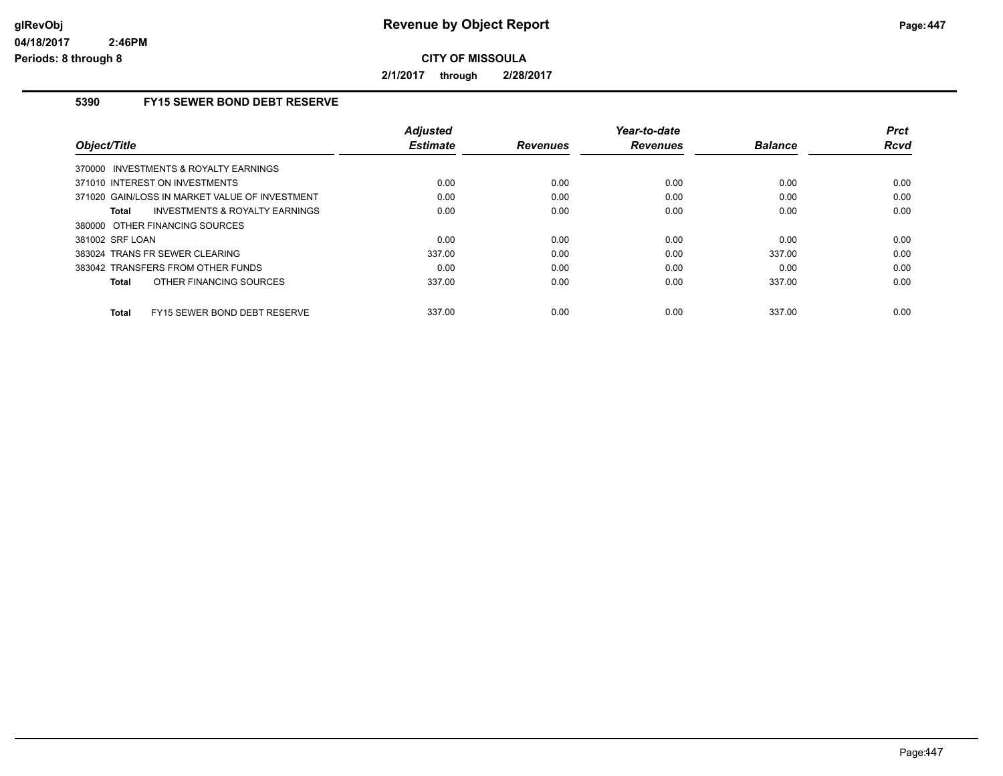**2/1/2017 through 2/28/2017**

#### **5390 FY15 SEWER BOND DEBT RESERVE**

| Object/Title                                        | <b>Adjusted</b><br><b>Estimate</b> | <b>Revenues</b> | Year-to-date<br><b>Revenues</b> | <b>Balance</b> | <b>Prct</b><br><b>Rcvd</b> |
|-----------------------------------------------------|------------------------------------|-----------------|---------------------------------|----------------|----------------------------|
| 370000 INVESTMENTS & ROYALTY EARNINGS               |                                    |                 |                                 |                |                            |
| 371010 INTEREST ON INVESTMENTS                      | 0.00                               | 0.00            | 0.00                            | 0.00           | 0.00                       |
| 371020 GAIN/LOSS IN MARKET VALUE OF INVESTMENT      | 0.00                               | 0.00            | 0.00                            | 0.00           | 0.00                       |
| INVESTMENTS & ROYALTY EARNINGS<br>Total             | 0.00                               | 0.00            | 0.00                            | 0.00           | 0.00                       |
| 380000 OTHER FINANCING SOURCES                      |                                    |                 |                                 |                |                            |
| 381002 SRF LOAN                                     | 0.00                               | 0.00            | 0.00                            | 0.00           | 0.00                       |
| 383024 TRANS FR SEWER CLEARING                      | 337.00                             | 0.00            | 0.00                            | 337.00         | 0.00                       |
| 383042 TRANSFERS FROM OTHER FUNDS                   | 0.00                               | 0.00            | 0.00                            | 0.00           | 0.00                       |
| OTHER FINANCING SOURCES<br>Total                    | 337.00                             | 0.00            | 0.00                            | 337.00         | 0.00                       |
| <b>FY15 SEWER BOND DEBT RESERVE</b><br><b>Total</b> | 337.00                             | 0.00            | 0.00                            | 337.00         | 0.00                       |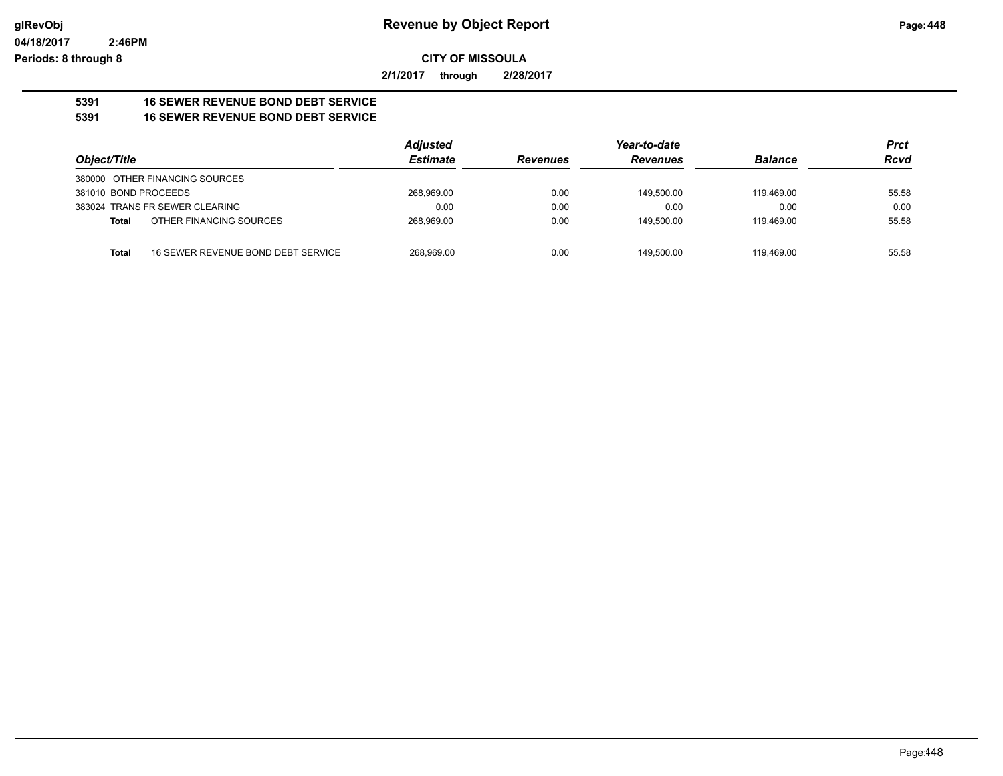**2/1/2017 through 2/28/2017**

#### **5391 16 SEWER REVENUE BOND DEBT SERVICE 5391 16 SEWER REVENUE BOND DEBT SERVICE**

|                      |                                    | <b>Adjusted</b> |                 | Year-to-date    |                | <b>Prct</b> |
|----------------------|------------------------------------|-----------------|-----------------|-----------------|----------------|-------------|
| Object/Title         |                                    | <b>Estimate</b> | <b>Revenues</b> | <b>Revenues</b> | <b>Balance</b> | <b>Rcvd</b> |
|                      | 380000 OTHER FINANCING SOURCES     |                 |                 |                 |                |             |
| 381010 BOND PROCEEDS |                                    | 268.969.00      | 0.00            | 149.500.00      | 119.469.00     | 55.58       |
|                      | 383024 TRANS FR SEWER CLEARING     | 0.00            | 0.00            | 0.00            | 0.00           | 0.00        |
| <b>Total</b>         | OTHER FINANCING SOURCES            | 268.969.00      | 0.00            | 149.500.00      | 119.469.00     | 55.58       |
|                      |                                    |                 |                 |                 |                |             |
| <b>Total</b>         | 16 SEWER REVENUE BOND DEBT SERVICE | 268,969.00      | 0.00            | 149.500.00      | 119.469.00     | 55.58       |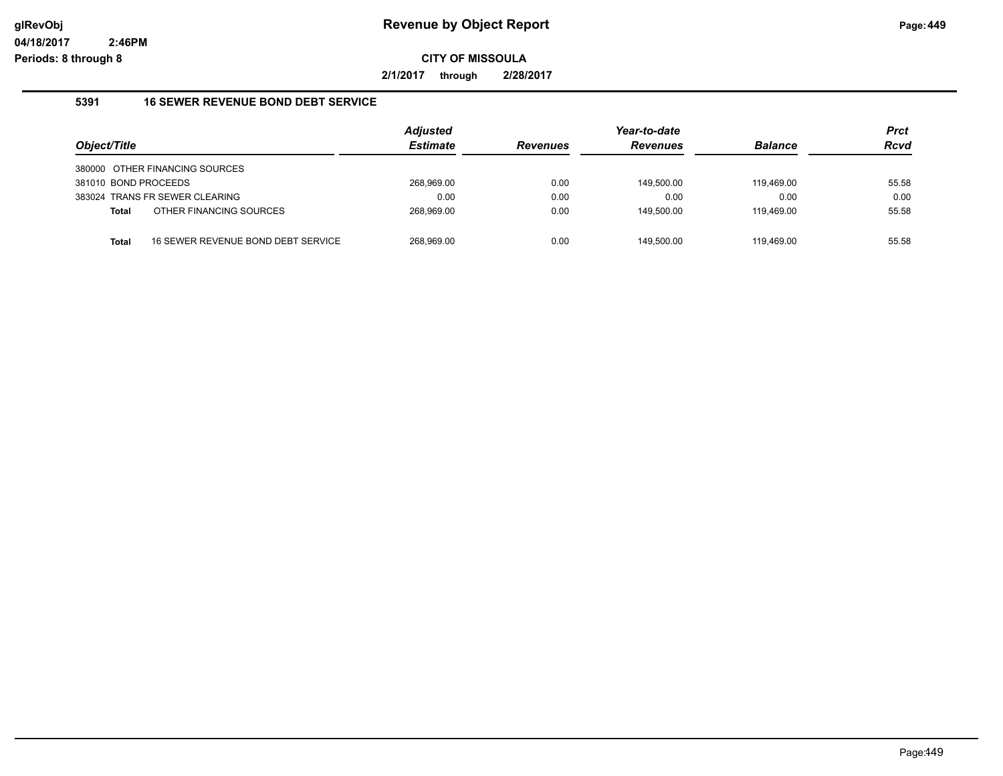**2/1/2017 through 2/28/2017**

#### **5391 16 SEWER REVENUE BOND DEBT SERVICE**

|                      |                                    | <b>Adjusted</b> |                                    | Year-to-date |                | <b>Prct</b> |
|----------------------|------------------------------------|-----------------|------------------------------------|--------------|----------------|-------------|
| Object/Title         |                                    | <b>Estimate</b> | <b>Revenues</b><br><b>Revenues</b> |              | <b>Balance</b> | <b>Rcvd</b> |
|                      | 380000 OTHER FINANCING SOURCES     |                 |                                    |              |                |             |
| 381010 BOND PROCEEDS |                                    | 268.969.00      | 0.00                               | 149.500.00   | 119,469.00     | 55.58       |
|                      | 383024 TRANS FR SEWER CLEARING     | 0.00            | 0.00                               | 0.00         | 0.00           | 0.00        |
| <b>Total</b>         | OTHER FINANCING SOURCES            | 268.969.00      | 0.00                               | 149.500.00   | 119.469.00     | 55.58       |
| <b>Total</b>         | 16 SEWER REVENUE BOND DEBT SERVICE | 268.969.00      | 0.00                               | 149.500.00   | 119.469.00     | 55.58       |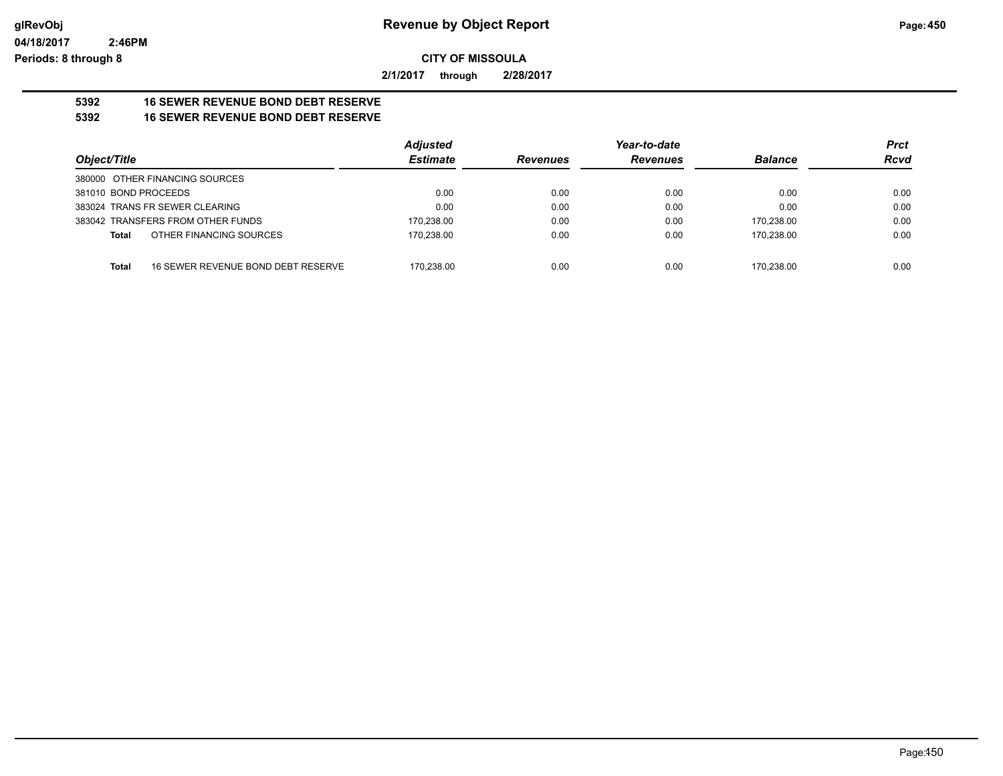**2/1/2017 through 2/28/2017**

#### **5392 16 SEWER REVENUE BOND DEBT RESERVE 5392 16 SEWER REVENUE BOND DEBT RESERVE**

| Object/Title                      |                                    | <b>Adjusted</b><br><b>Estimate</b> | <b>Revenues</b> | Year-to-date<br><b>Revenues</b> | <b>Balance</b> | <b>Prct</b><br><b>Rcvd</b> |
|-----------------------------------|------------------------------------|------------------------------------|-----------------|---------------------------------|----------------|----------------------------|
|                                   |                                    |                                    |                 |                                 |                |                            |
| 380000 OTHER FINANCING SOURCES    |                                    |                                    |                 |                                 |                |                            |
| 381010 BOND PROCEEDS              |                                    | 0.00                               | 0.00            | 0.00                            | 0.00           | 0.00                       |
| 383024 TRANS FR SEWER CLEARING    |                                    | 0.00                               | 0.00            | 0.00                            | 0.00           | 0.00                       |
| 383042 TRANSFERS FROM OTHER FUNDS |                                    | 170.238.00                         | 0.00            | 0.00                            | 170.238.00     | 0.00                       |
| OTHER FINANCING SOURCES<br>Total  |                                    | 170.238.00                         | 0.00            | 0.00                            | 170.238.00     | 0.00                       |
|                                   |                                    |                                    |                 |                                 |                |                            |
| <b>Total</b>                      | 16 SEWER REVENUE BOND DEBT RESERVE | 170.238.00                         | 0.00            | 0.00                            | 170.238.00     | 0.00                       |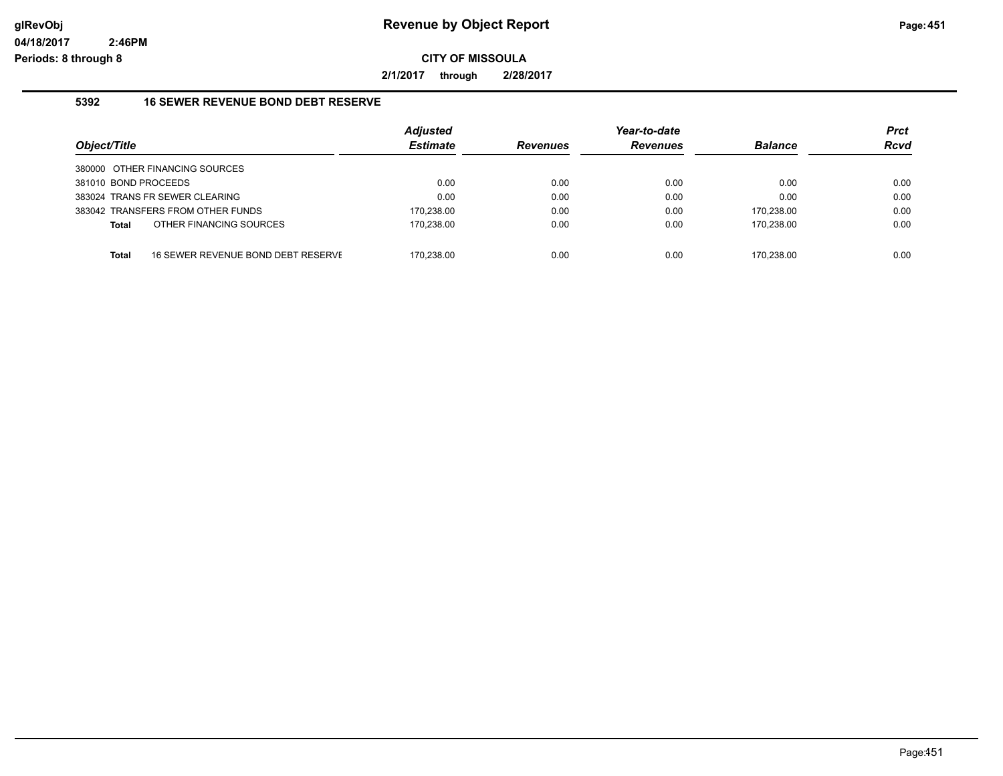**2/1/2017 through 2/28/2017**

#### **5392 16 SEWER REVENUE BOND DEBT RESERVE**

| Object/Title         |                                    | <b>Adjusted</b><br><b>Estimate</b> | <b>Revenues</b> | Year-to-date<br><b>Revenues</b> | <b>Balance</b> | <b>Prct</b><br><b>Rcvd</b> |
|----------------------|------------------------------------|------------------------------------|-----------------|---------------------------------|----------------|----------------------------|
|                      | 380000 OTHER FINANCING SOURCES     |                                    |                 |                                 |                |                            |
| 381010 BOND PROCEEDS |                                    | 0.00                               | 0.00            | 0.00                            | 0.00           | 0.00                       |
|                      | 383024 TRANS FR SEWER CLEARING     | 0.00                               | 0.00            | 0.00                            | 0.00           | 0.00                       |
|                      | 383042 TRANSFERS FROM OTHER FUNDS  | 170,238.00                         | 0.00            | 0.00                            | 170.238.00     | 0.00                       |
| <b>Total</b>         | OTHER FINANCING SOURCES            | 170,238.00                         | 0.00            | 0.00                            | 170,238.00     | 0.00                       |
| <b>Total</b>         | 16 SEWER REVENUE BOND DEBT RESERVE | 170.238.00                         | 0.00            | 0.00                            | 170.238.00     | 0.00                       |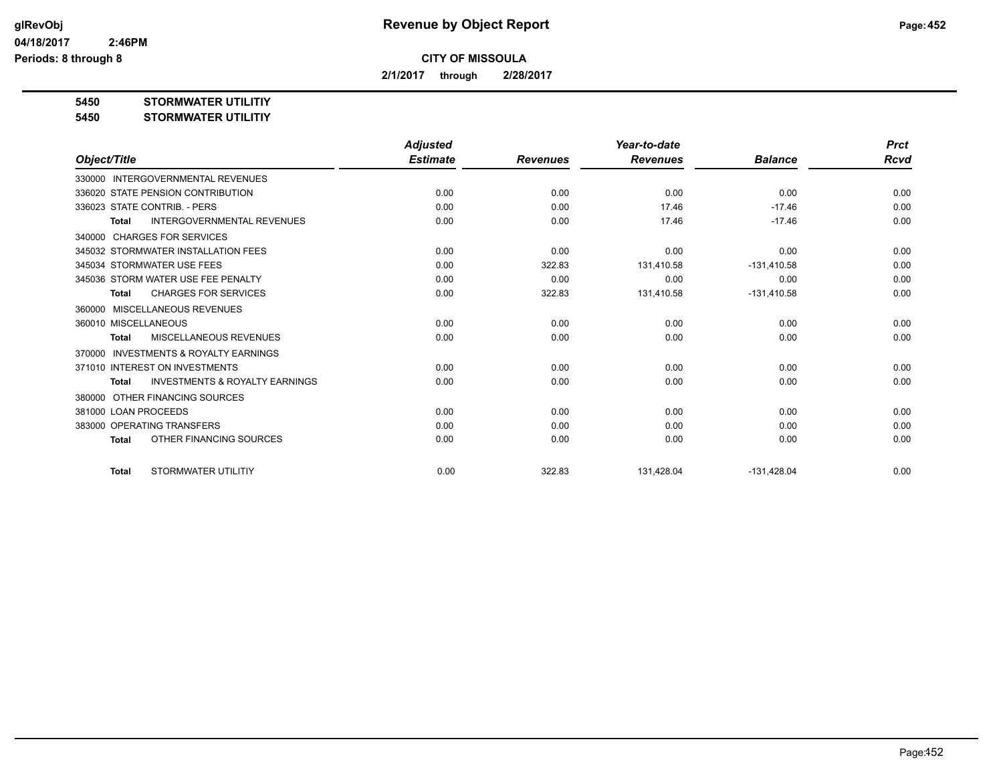**2/1/2017 through 2/28/2017**

**5450 STORMWATER UTILITIY**

**5450 STORMWATER UTILITIY**

|                                                           | <b>Adjusted</b> |                 | Year-to-date    |                | <b>Prct</b> |
|-----------------------------------------------------------|-----------------|-----------------|-----------------|----------------|-------------|
| Object/Title                                              | <b>Estimate</b> | <b>Revenues</b> | <b>Revenues</b> | <b>Balance</b> | <b>Rcvd</b> |
| 330000 INTERGOVERNMENTAL REVENUES                         |                 |                 |                 |                |             |
| 336020 STATE PENSION CONTRIBUTION                         | 0.00            | 0.00            | 0.00            | 0.00           | 0.00        |
| 336023 STATE CONTRIB. - PERS                              | 0.00            | 0.00            | 17.46           | $-17.46$       | 0.00        |
| <b>INTERGOVERNMENTAL REVENUES</b><br><b>Total</b>         | 0.00            | 0.00            | 17.46           | $-17.46$       | 0.00        |
| 340000 CHARGES FOR SERVICES                               |                 |                 |                 |                |             |
| 345032 STORMWATER INSTALLATION FEES                       | 0.00            | 0.00            | 0.00            | 0.00           | 0.00        |
| 345034 STORMWATER USE FEES                                | 0.00            | 322.83          | 131.410.58      | $-131.410.58$  | 0.00        |
| 345036 STORM WATER USE FEE PENALTY                        | 0.00            | 0.00            | 0.00            | 0.00           | 0.00        |
| <b>CHARGES FOR SERVICES</b><br><b>Total</b>               | 0.00            | 322.83          | 131,410.58      | $-131,410.58$  | 0.00        |
| MISCELLANEOUS REVENUES<br>360000                          |                 |                 |                 |                |             |
| 360010 MISCELLANEOUS                                      | 0.00            | 0.00            | 0.00            | 0.00           | 0.00        |
| <b>MISCELLANEOUS REVENUES</b><br><b>Total</b>             | 0.00            | 0.00            | 0.00            | 0.00           | 0.00        |
| <b>INVESTMENTS &amp; ROYALTY EARNINGS</b><br>370000       |                 |                 |                 |                |             |
| 371010 INTEREST ON INVESTMENTS                            | 0.00            | 0.00            | 0.00            | 0.00           | 0.00        |
| <b>INVESTMENTS &amp; ROYALTY EARNINGS</b><br><b>Total</b> | 0.00            | 0.00            | 0.00            | 0.00           | 0.00        |
| 380000 OTHER FINANCING SOURCES                            |                 |                 |                 |                |             |
| 381000 LOAN PROCEEDS                                      | 0.00            | 0.00            | 0.00            | 0.00           | 0.00        |
| 383000 OPERATING TRANSFERS                                | 0.00            | 0.00            | 0.00            | 0.00           | 0.00        |
| OTHER FINANCING SOURCES<br><b>Total</b>                   | 0.00            | 0.00            | 0.00            | 0.00           | 0.00        |
| STORMWATER UTILITIY<br><b>Total</b>                       | 0.00            | 322.83          | 131,428.04      | $-131,428.04$  | 0.00        |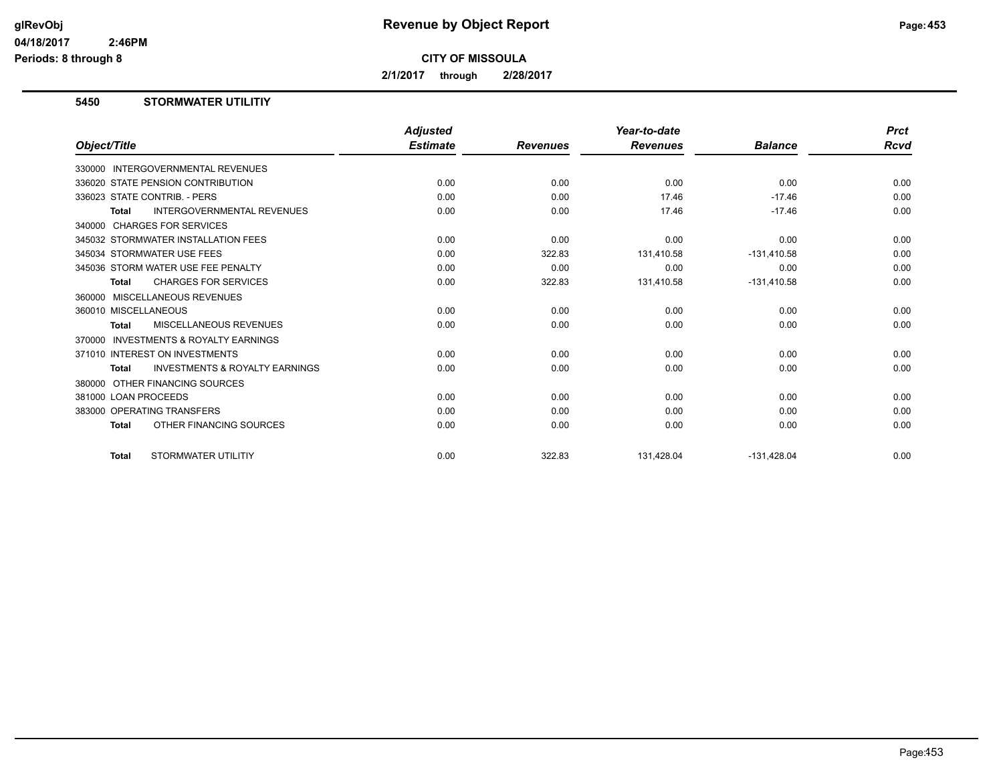**2/1/2017 through 2/28/2017**

#### **5450 STORMWATER UTILITIY**

|                                                           | <b>Adjusted</b> |                 | Year-to-date    |                | <b>Prct</b> |
|-----------------------------------------------------------|-----------------|-----------------|-----------------|----------------|-------------|
| Object/Title                                              | <b>Estimate</b> | <b>Revenues</b> | <b>Revenues</b> | <b>Balance</b> | Rcvd        |
| 330000 INTERGOVERNMENTAL REVENUES                         |                 |                 |                 |                |             |
| 336020 STATE PENSION CONTRIBUTION                         | 0.00            | 0.00            | 0.00            | 0.00           | 0.00        |
| 336023 STATE CONTRIB. - PERS                              | 0.00            | 0.00            | 17.46           | $-17.46$       | 0.00        |
| <b>INTERGOVERNMENTAL REVENUES</b><br>Total                | 0.00            | 0.00            | 17.46           | $-17.46$       | 0.00        |
| 340000 CHARGES FOR SERVICES                               |                 |                 |                 |                |             |
| 345032 STORMWATER INSTALLATION FEES                       | 0.00            | 0.00            | 0.00            | 0.00           | 0.00        |
| 345034 STORMWATER USE FEES                                | 0.00            | 322.83          | 131,410.58      | $-131,410.58$  | 0.00        |
| 345036 STORM WATER USE FEE PENALTY                        | 0.00            | 0.00            | 0.00            | 0.00           | 0.00        |
| <b>CHARGES FOR SERVICES</b><br><b>Total</b>               | 0.00            | 322.83          | 131,410.58      | $-131,410.58$  | 0.00        |
| 360000 MISCELLANEOUS REVENUES                             |                 |                 |                 |                |             |
| 360010 MISCELLANEOUS                                      | 0.00            | 0.00            | 0.00            | 0.00           | 0.00        |
| MISCELLANEOUS REVENUES<br><b>Total</b>                    | 0.00            | 0.00            | 0.00            | 0.00           | 0.00        |
| 370000 INVESTMENTS & ROYALTY EARNINGS                     |                 |                 |                 |                |             |
| 371010 INTEREST ON INVESTMENTS                            | 0.00            | 0.00            | 0.00            | 0.00           | 0.00        |
| <b>INVESTMENTS &amp; ROYALTY EARNINGS</b><br><b>Total</b> | 0.00            | 0.00            | 0.00            | 0.00           | 0.00        |
| 380000 OTHER FINANCING SOURCES                            |                 |                 |                 |                |             |
| 381000 LOAN PROCEEDS                                      | 0.00            | 0.00            | 0.00            | 0.00           | 0.00        |
| 383000 OPERATING TRANSFERS                                | 0.00            | 0.00            | 0.00            | 0.00           | 0.00        |
| OTHER FINANCING SOURCES<br><b>Total</b>                   | 0.00            | 0.00            | 0.00            | 0.00           | 0.00        |
| STORMWATER UTILITIY<br><b>Total</b>                       | 0.00            | 322.83          | 131,428.04      | $-131,428.04$  | 0.00        |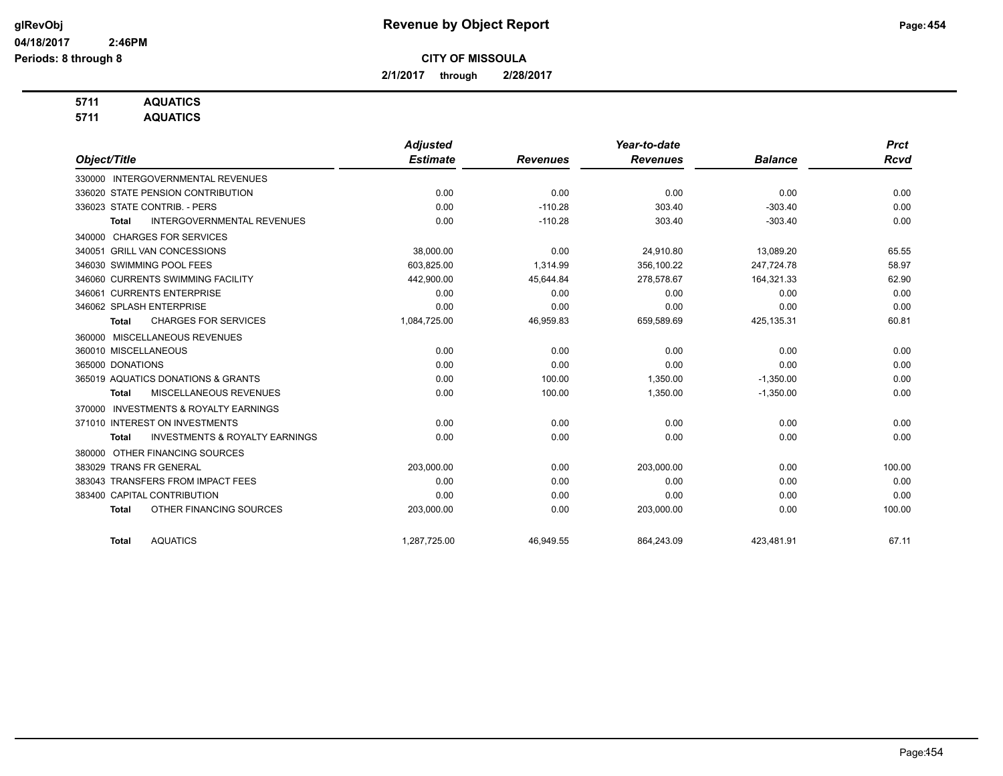**2/1/2017 through 2/28/2017**

## **5711 AQUATICS**

**5711 AQUATICS**

|                                                           | <b>Adjusted</b> |                 | Year-to-date    |                | <b>Prct</b> |
|-----------------------------------------------------------|-----------------|-----------------|-----------------|----------------|-------------|
| Object/Title                                              | <b>Estimate</b> | <b>Revenues</b> | <b>Revenues</b> | <b>Balance</b> | <b>Rcvd</b> |
| 330000 INTERGOVERNMENTAL REVENUES                         |                 |                 |                 |                |             |
| 336020 STATE PENSION CONTRIBUTION                         | 0.00            | 0.00            | 0.00            | 0.00           | 0.00        |
| 336023 STATE CONTRIB. - PERS                              | 0.00            | $-110.28$       | 303.40          | $-303.40$      | 0.00        |
| <b>INTERGOVERNMENTAL REVENUES</b><br><b>Total</b>         | 0.00            | $-110.28$       | 303.40          | $-303.40$      | 0.00        |
| 340000 CHARGES FOR SERVICES                               |                 |                 |                 |                |             |
| 340051 GRILL VAN CONCESSIONS                              | 38,000.00       | 0.00            | 24,910.80       | 13,089.20      | 65.55       |
| 346030 SWIMMING POOL FEES                                 | 603,825.00      | 1,314.99        | 356,100.22      | 247,724.78     | 58.97       |
| 346060 CURRENTS SWIMMING FACILITY                         | 442,900.00      | 45,644.84       | 278,578.67      | 164,321.33     | 62.90       |
| 346061 CURRENTS ENTERPRISE                                | 0.00            | 0.00            | 0.00            | 0.00           | 0.00        |
| 346062 SPLASH ENTERPRISE                                  | 0.00            | 0.00            | 0.00            | 0.00           | 0.00        |
| <b>CHARGES FOR SERVICES</b><br><b>Total</b>               | 1,084,725.00    | 46,959.83       | 659,589.69      | 425,135.31     | 60.81       |
| 360000 MISCELLANEOUS REVENUES                             |                 |                 |                 |                |             |
| 360010 MISCELLANEOUS                                      | 0.00            | 0.00            | 0.00            | 0.00           | 0.00        |
| 365000 DONATIONS                                          | 0.00            | 0.00            | 0.00            | 0.00           | 0.00        |
| 365019 AQUATICS DONATIONS & GRANTS                        | 0.00            | 100.00          | 1,350.00        | $-1,350.00$    | 0.00        |
| MISCELLANEOUS REVENUES<br><b>Total</b>                    | 0.00            | 100.00          | 1,350.00        | $-1,350.00$    | 0.00        |
| 370000 INVESTMENTS & ROYALTY EARNINGS                     |                 |                 |                 |                |             |
| 371010 INTEREST ON INVESTMENTS                            | 0.00            | 0.00            | 0.00            | 0.00           | 0.00        |
| <b>INVESTMENTS &amp; ROYALTY EARNINGS</b><br><b>Total</b> | 0.00            | 0.00            | 0.00            | 0.00           | 0.00        |
| 380000 OTHER FINANCING SOURCES                            |                 |                 |                 |                |             |
| 383029 TRANS FR GENERAL                                   | 203,000.00      | 0.00            | 203,000.00      | 0.00           | 100.00      |
| 383043 TRANSFERS FROM IMPACT FEES                         | 0.00            | 0.00            | 0.00            | 0.00           | 0.00        |
| 383400 CAPITAL CONTRIBUTION                               | 0.00            | 0.00            | 0.00            | 0.00           | 0.00        |
| OTHER FINANCING SOURCES<br><b>Total</b>                   | 203,000.00      | 0.00            | 203,000.00      | 0.00           | 100.00      |
| <b>AQUATICS</b><br><b>Total</b>                           | 1,287,725.00    | 46,949.55       | 864,243.09      | 423,481.91     | 67.11       |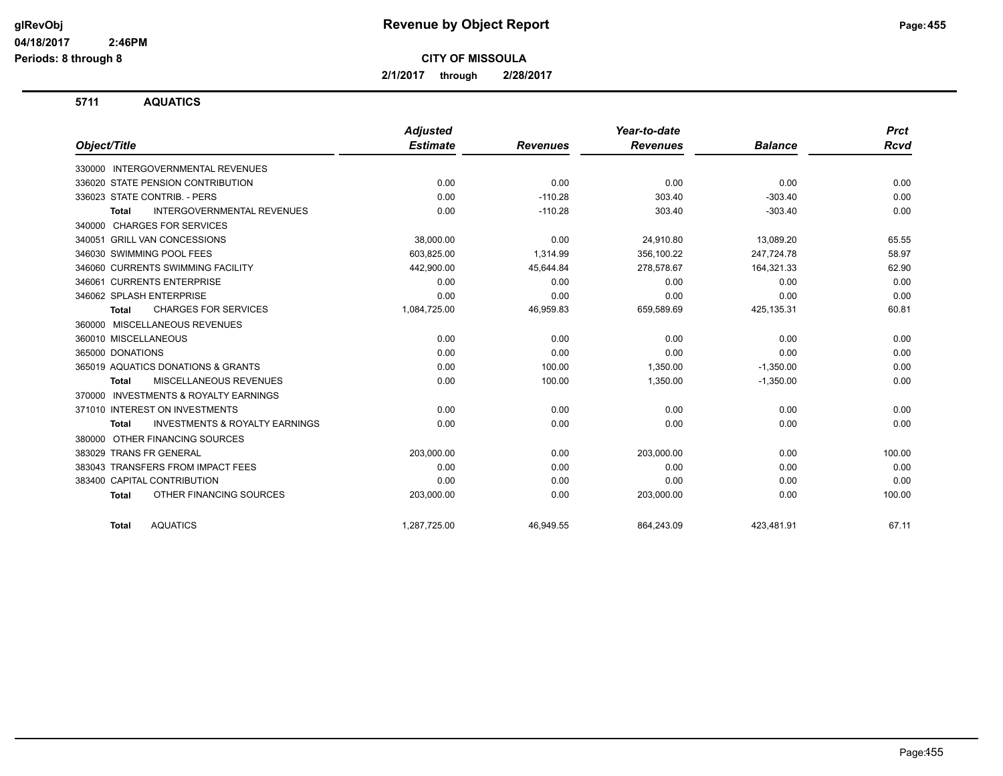**2/1/2017 through 2/28/2017**

#### **5711 AQUATICS**

|                                                     | <b>Adjusted</b> |                 | Year-to-date    |                | <b>Prct</b> |
|-----------------------------------------------------|-----------------|-----------------|-----------------|----------------|-------------|
| Object/Title                                        | <b>Estimate</b> | <b>Revenues</b> | <b>Revenues</b> | <b>Balance</b> | <b>Rcvd</b> |
| <b>INTERGOVERNMENTAL REVENUES</b><br>330000         |                 |                 |                 |                |             |
| 336020 STATE PENSION CONTRIBUTION                   | 0.00            | 0.00            | 0.00            | 0.00           | 0.00        |
| 336023 STATE CONTRIB. - PERS                        | 0.00            | $-110.28$       | 303.40          | $-303.40$      | 0.00        |
| <b>INTERGOVERNMENTAL REVENUES</b><br><b>Total</b>   | 0.00            | $-110.28$       | 303.40          | $-303.40$      | 0.00        |
| 340000 CHARGES FOR SERVICES                         |                 |                 |                 |                |             |
| 340051 GRILL VAN CONCESSIONS                        | 38.000.00       | 0.00            | 24.910.80       | 13.089.20      | 65.55       |
| 346030 SWIMMING POOL FEES                           | 603,825.00      | 1,314.99        | 356,100.22      | 247,724.78     | 58.97       |
| 346060 CURRENTS SWIMMING FACILITY                   | 442,900.00      | 45,644.84       | 278,578.67      | 164,321.33     | 62.90       |
| 346061 CURRENTS ENTERPRISE                          | 0.00            | 0.00            | 0.00            | 0.00           | 0.00        |
| 346062 SPLASH ENTERPRISE                            | 0.00            | 0.00            | 0.00            | 0.00           | 0.00        |
| <b>CHARGES FOR SERVICES</b><br><b>Total</b>         | 1,084,725.00    | 46,959.83       | 659,589.69      | 425,135.31     | 60.81       |
| 360000 MISCELLANEOUS REVENUES                       |                 |                 |                 |                |             |
| 360010 MISCELLANEOUS                                | 0.00            | 0.00            | 0.00            | 0.00           | 0.00        |
| 365000 DONATIONS                                    | 0.00            | 0.00            | 0.00            | 0.00           | 0.00        |
| 365019 AQUATICS DONATIONS & GRANTS                  | 0.00            | 100.00          | 1,350.00        | $-1,350.00$    | 0.00        |
| <b>MISCELLANEOUS REVENUES</b><br><b>Total</b>       | 0.00            | 100.00          | 1,350.00        | $-1,350.00$    | 0.00        |
| <b>INVESTMENTS &amp; ROYALTY EARNINGS</b><br>370000 |                 |                 |                 |                |             |
| 371010 INTEREST ON INVESTMENTS                      | 0.00            | 0.00            | 0.00            | 0.00           | 0.00        |
| <b>INVESTMENTS &amp; ROYALTY EARNINGS</b><br>Total  | 0.00            | 0.00            | 0.00            | 0.00           | 0.00        |
| OTHER FINANCING SOURCES<br>380000                   |                 |                 |                 |                |             |
| 383029 TRANS FR GENERAL                             | 203.000.00      | 0.00            | 203,000.00      | 0.00           | 100.00      |
| 383043 TRANSFERS FROM IMPACT FEES                   | 0.00            | 0.00            | 0.00            | 0.00           | 0.00        |
| 383400 CAPITAL CONTRIBUTION                         | 0.00            | 0.00            | 0.00            | 0.00           | 0.00        |
| OTHER FINANCING SOURCES<br><b>Total</b>             | 203,000.00      | 0.00            | 203,000.00      | 0.00           | 100.00      |
| <b>AQUATICS</b><br><b>Total</b>                     | 1,287,725.00    | 46,949.55       | 864,243.09      | 423,481.91     | 67.11       |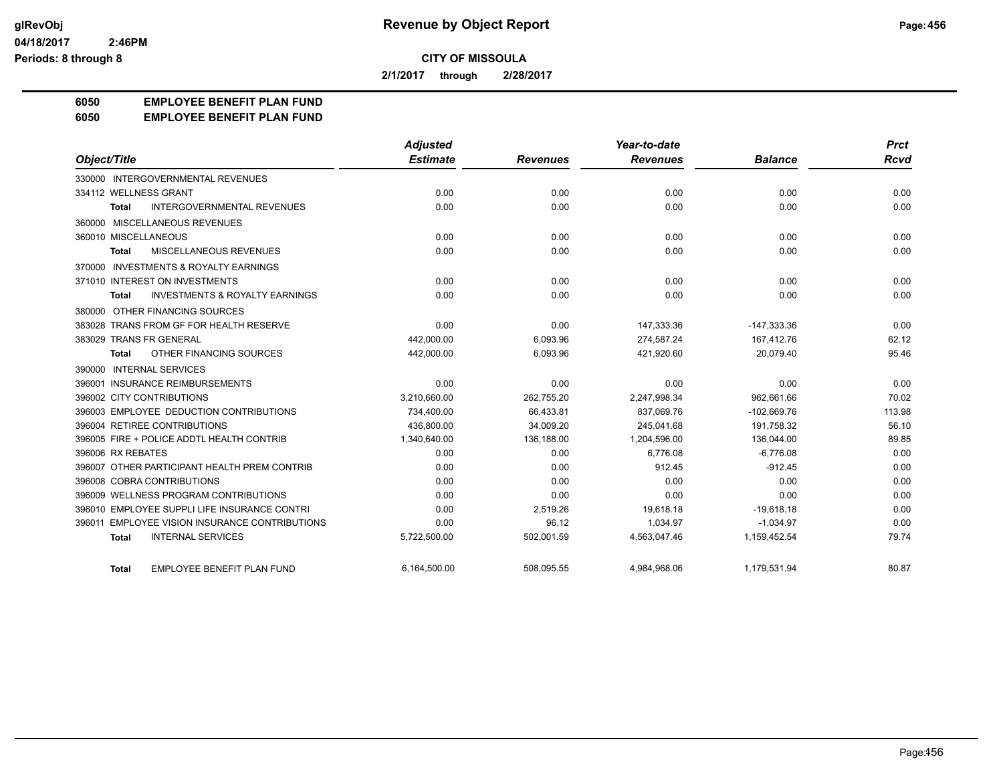**2/1/2017 through 2/28/2017**

**6050 EMPLOYEE BENEFIT PLAN FUND 6050 EMPLOYEE BENEFIT PLAN FUND**

| 6050 | <b>EMPLOYEE BENEFIT PLAN FUNI</b> |
|------|-----------------------------------|
|      |                                   |

|                                                    | <b>Adjusted</b> |                 | Year-to-date    |                | <b>Prct</b> |
|----------------------------------------------------|-----------------|-----------------|-----------------|----------------|-------------|
| Object/Title                                       | <b>Estimate</b> | <b>Revenues</b> | <b>Revenues</b> | <b>Balance</b> | Rcvd        |
| 330000 INTERGOVERNMENTAL REVENUES                  |                 |                 |                 |                |             |
| 334112 WELLNESS GRANT                              | 0.00            | 0.00            | 0.00            | 0.00           | 0.00        |
| <b>INTERGOVERNMENTAL REVENUES</b><br><b>Total</b>  | 0.00            | 0.00            | 0.00            | 0.00           | 0.00        |
| 360000 MISCELLANEOUS REVENUES                      |                 |                 |                 |                |             |
| 360010 MISCELLANEOUS                               | 0.00            | 0.00            | 0.00            | 0.00           | 0.00        |
| <b>MISCELLANEOUS REVENUES</b><br><b>Total</b>      | 0.00            | 0.00            | 0.00            | 0.00           | 0.00        |
| 370000 INVESTMENTS & ROYALTY EARNINGS              |                 |                 |                 |                |             |
| 371010 INTEREST ON INVESTMENTS                     | 0.00            | 0.00            | 0.00            | 0.00           | 0.00        |
| <b>INVESTMENTS &amp; ROYALTY EARNINGS</b><br>Total | 0.00            | 0.00            | 0.00            | 0.00           | 0.00        |
| 380000 OTHER FINANCING SOURCES                     |                 |                 |                 |                |             |
| 383028 TRANS FROM GF FOR HEALTH RESERVE            | 0.00            | 0.00            | 147,333.36      | $-147,333.36$  | 0.00        |
| 383029 TRANS FR GENERAL                            | 442.000.00      | 6,093.96        | 274.587.24      | 167,412.76     | 62.12       |
| OTHER FINANCING SOURCES<br><b>Total</b>            | 442,000.00      | 6,093.96        | 421,920.60      | 20,079.40      | 95.46       |
| 390000 INTERNAL SERVICES                           |                 |                 |                 |                |             |
| 396001 INSURANCE REIMBURSEMENTS                    | 0.00            | 0.00            | 0.00            | 0.00           | 0.00        |
| 396002 CITY CONTRIBUTIONS                          | 3,210,660.00    | 262,755.20      | 2,247,998.34    | 962.661.66     | 70.02       |
| 396003 EMPLOYEE DEDUCTION CONTRIBUTIONS            | 734,400.00      | 66,433.81       | 837,069.76      | $-102,669.76$  | 113.98      |
| 396004 RETIREE CONTRIBUTIONS                       | 436,800.00      | 34,009.20       | 245,041.68      | 191,758.32     | 56.10       |
| 396005 FIRE + POLICE ADDTL HEALTH CONTRIB          | 1,340,640.00    | 136,188.00      | 1,204,596.00    | 136,044.00     | 89.85       |
| 396006 RX REBATES                                  | 0.00            | 0.00            | 6,776.08        | $-6,776.08$    | 0.00        |
| 396007 OTHER PARTICIPANT HEALTH PREM CONTRIB       | 0.00            | 0.00            | 912.45          | $-912.45$      | 0.00        |
| 396008 COBRA CONTRIBUTIONS                         | 0.00            | 0.00            | 0.00            | 0.00           | 0.00        |
| 396009 WELLNESS PROGRAM CONTRIBUTIONS              | 0.00            | 0.00            | 0.00            | 0.00           | 0.00        |
| 396010 EMPLOYEE SUPPLI LIFE INSURANCE CONTRI       | 0.00            | 2,519.26        | 19,618.18       | $-19,618.18$   | 0.00        |
| 396011 EMPLOYEE VISION INSURANCE CONTRIBUTIONS     | 0.00            | 96.12           | 1,034.97        | $-1,034.97$    | 0.00        |
| <b>INTERNAL SERVICES</b><br><b>Total</b>           | 5,722,500.00    | 502,001.59      | 4,563,047.46    | 1,159,452.54   | 79.74       |
| <b>EMPLOYEE BENEFIT PLAN FUND</b><br><b>Total</b>  | 6,164,500.00    | 508,095.55      | 4,984,968.06    | 1,179,531.94   | 80.87       |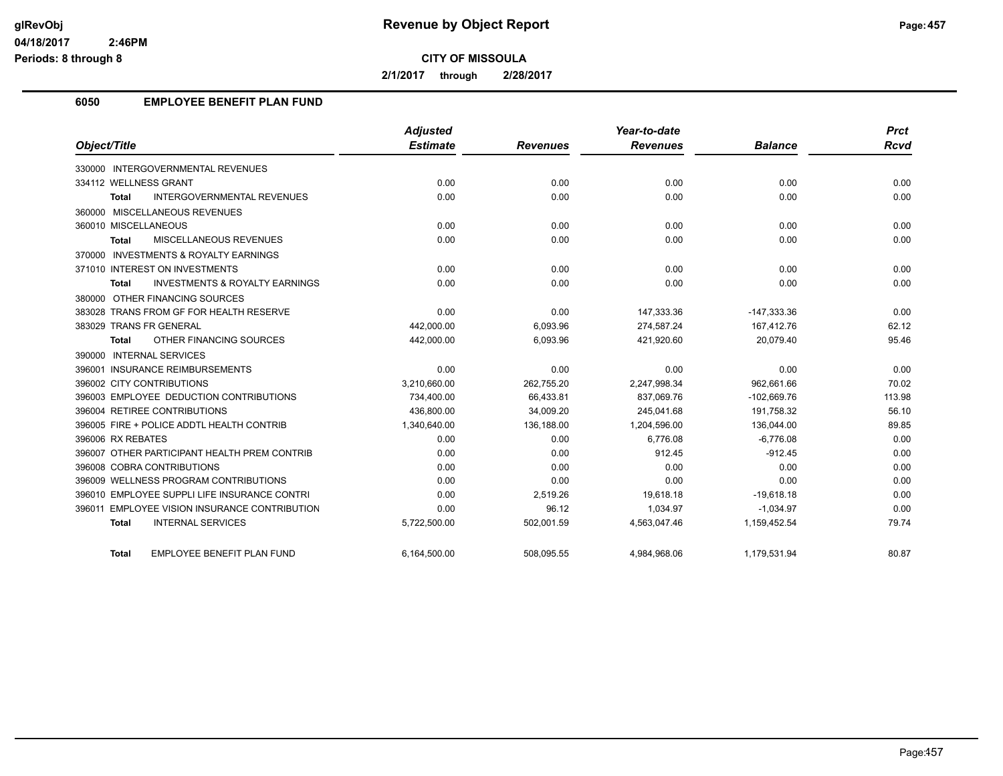**2/1/2017 through 2/28/2017**

#### **6050 EMPLOYEE BENEFIT PLAN FUND**

|                                                           | <b>Adjusted</b> |                 | Year-to-date    |                | <b>Prct</b> |
|-----------------------------------------------------------|-----------------|-----------------|-----------------|----------------|-------------|
| Object/Title                                              | <b>Estimate</b> | <b>Revenues</b> | <b>Revenues</b> | <b>Balance</b> | <b>Rcvd</b> |
| 330000 INTERGOVERNMENTAL REVENUES                         |                 |                 |                 |                |             |
| 334112 WELLNESS GRANT                                     | 0.00            | 0.00            | 0.00            | 0.00           | 0.00        |
| <b>INTERGOVERNMENTAL REVENUES</b><br><b>Total</b>         | 0.00            | 0.00            | 0.00            | 0.00           | 0.00        |
| 360000 MISCELLANEOUS REVENUES                             |                 |                 |                 |                |             |
| 360010 MISCELLANEOUS                                      | 0.00            | 0.00            | 0.00            | 0.00           | 0.00        |
| MISCELLANEOUS REVENUES<br><b>Total</b>                    | 0.00            | 0.00            | 0.00            | 0.00           | 0.00        |
| 370000 INVESTMENTS & ROYALTY EARNINGS                     |                 |                 |                 |                |             |
| 371010 INTEREST ON INVESTMENTS                            | 0.00            | 0.00            | 0.00            | 0.00           | 0.00        |
| <b>INVESTMENTS &amp; ROYALTY EARNINGS</b><br><b>Total</b> | 0.00            | 0.00            | 0.00            | 0.00           | 0.00        |
| 380000 OTHER FINANCING SOURCES                            |                 |                 |                 |                |             |
| 383028 TRANS FROM GF FOR HEALTH RESERVE                   | 0.00            | 0.00            | 147,333.36      | $-147,333.36$  | 0.00        |
| 383029 TRANS FR GENERAL                                   | 442,000.00      | 6,093.96        | 274,587.24      | 167,412.76     | 62.12       |
| OTHER FINANCING SOURCES<br>Total                          | 442,000.00      | 6,093.96        | 421,920.60      | 20,079.40      | 95.46       |
| 390000 INTERNAL SERVICES                                  |                 |                 |                 |                |             |
| 396001 INSURANCE REIMBURSEMENTS                           | 0.00            | 0.00            | 0.00            | 0.00           | 0.00        |
| 396002 CITY CONTRIBUTIONS                                 | 3,210,660.00    | 262,755.20      | 2,247,998.34    | 962,661.66     | 70.02       |
| 396003 EMPLOYEE DEDUCTION CONTRIBUTIONS                   | 734,400.00      | 66,433.81       | 837,069.76      | $-102,669.76$  | 113.98      |
| 396004 RETIREE CONTRIBUTIONS                              | 436,800.00      | 34,009.20       | 245,041.68      | 191,758.32     | 56.10       |
| 396005 FIRE + POLICE ADDTL HEALTH CONTRIB                 | 1,340,640.00    | 136,188.00      | 1,204,596.00    | 136,044.00     | 89.85       |
| 396006 RX REBATES                                         | 0.00            | 0.00            | 6,776.08        | $-6,776.08$    | 0.00        |
| 396007 OTHER PARTICIPANT HEALTH PREM CONTRIB              | 0.00            | 0.00            | 912.45          | $-912.45$      | 0.00        |
| 396008 COBRA CONTRIBUTIONS                                | 0.00            | 0.00            | 0.00            | 0.00           | 0.00        |
| 396009 WELLNESS PROGRAM CONTRIBUTIONS                     | 0.00            | 0.00            | 0.00            | 0.00           | 0.00        |
| 396010 EMPLOYEE SUPPLI LIFE INSURANCE CONTRI              | 0.00            | 2,519.26        | 19,618.18       | $-19,618.18$   | 0.00        |
| 396011 EMPLOYEE VISION INSURANCE CONTRIBUTION             | 0.00            | 96.12           | 1,034.97        | $-1,034.97$    | 0.00        |
| <b>INTERNAL SERVICES</b><br><b>Total</b>                  | 5,722,500.00    | 502,001.59      | 4,563,047.46    | 1,159,452.54   | 79.74       |
| <b>EMPLOYEE BENEFIT PLAN FUND</b><br>Total                | 6,164,500.00    | 508,095.55      | 4,984,968.06    | 1,179,531.94   | 80.87       |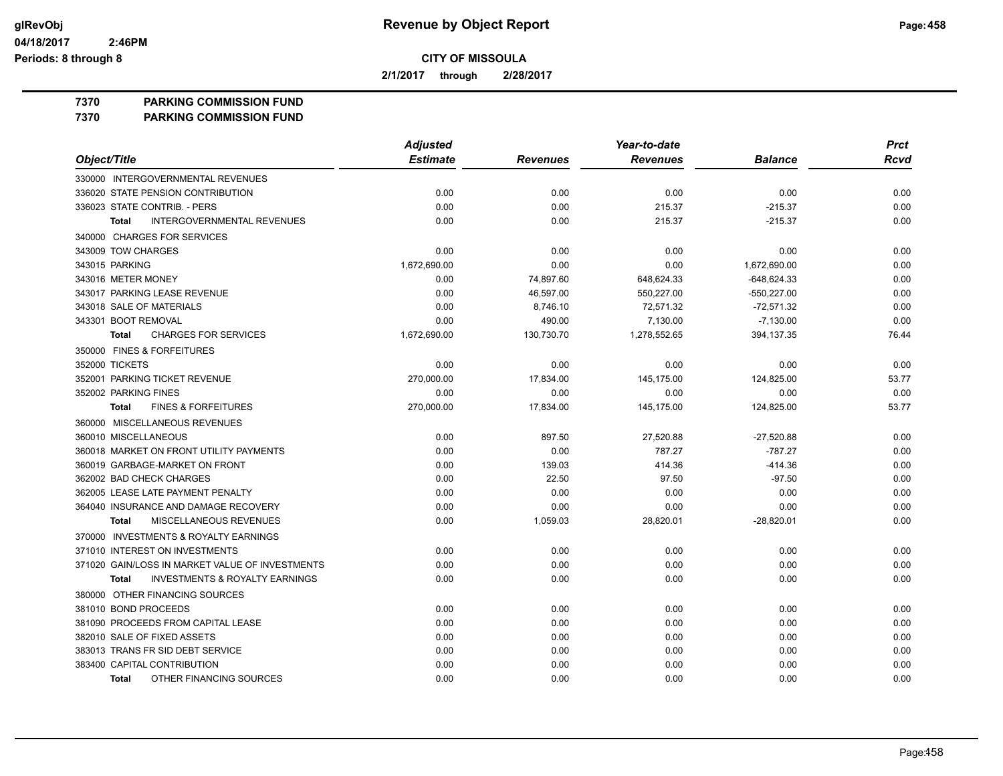**2/1/2017 through 2/28/2017**

**7370 PARKING COMMISSION FUND**

|  | 7370 | <b>PARKING COMMISSION FUND</b> |
|--|------|--------------------------------|
|--|------|--------------------------------|

|                                                    | <b>Adjusted</b> |                 | Year-to-date    |                | <b>Prct</b> |
|----------------------------------------------------|-----------------|-----------------|-----------------|----------------|-------------|
| Object/Title                                       | <b>Estimate</b> | <b>Revenues</b> | <b>Revenues</b> | <b>Balance</b> | <b>Rcvd</b> |
| 330000 INTERGOVERNMENTAL REVENUES                  |                 |                 |                 |                |             |
| 336020 STATE PENSION CONTRIBUTION                  | 0.00            | 0.00            | 0.00            | 0.00           | 0.00        |
| 336023 STATE CONTRIB. - PERS                       | 0.00            | 0.00            | 215.37          | $-215.37$      | 0.00        |
| INTERGOVERNMENTAL REVENUES<br><b>Total</b>         | 0.00            | 0.00            | 215.37          | $-215.37$      | 0.00        |
| 340000 CHARGES FOR SERVICES                        |                 |                 |                 |                |             |
| 343009 TOW CHARGES                                 | 0.00            | 0.00            | 0.00            | 0.00           | 0.00        |
| 343015 PARKING                                     | 1,672,690.00    | 0.00            | 0.00            | 1,672,690.00   | 0.00        |
| 343016 METER MONEY                                 | 0.00            | 74,897.60       | 648,624.33      | $-648,624.33$  | 0.00        |
| 343017 PARKING LEASE REVENUE                       | 0.00            | 46,597.00       | 550,227.00      | $-550,227.00$  | 0.00        |
| 343018 SALE OF MATERIALS                           | 0.00            | 8,746.10        | 72,571.32       | $-72,571.32$   | 0.00        |
| 343301 BOOT REMOVAL                                | 0.00            | 490.00          | 7,130.00        | $-7,130.00$    | 0.00        |
| <b>CHARGES FOR SERVICES</b><br>Total               | 1,672,690.00    | 130,730.70      | 1,278,552.65    | 394,137.35     | 76.44       |
| 350000 FINES & FORFEITURES                         |                 |                 |                 |                |             |
| 352000 TICKETS                                     | 0.00            | 0.00            | 0.00            | 0.00           | 0.00        |
| 352001 PARKING TICKET REVENUE                      | 270,000.00      | 17,834.00       | 145,175.00      | 124,825.00     | 53.77       |
| 352002 PARKING FINES                               | 0.00            | 0.00            | 0.00            | 0.00           | 0.00        |
| <b>FINES &amp; FORFEITURES</b><br>Total            | 270,000.00      | 17,834.00       | 145,175.00      | 124,825.00     | 53.77       |
| 360000 MISCELLANEOUS REVENUES                      |                 |                 |                 |                |             |
| 360010 MISCELLANEOUS                               | 0.00            | 897.50          | 27,520.88       | $-27,520.88$   | 0.00        |
| 360018 MARKET ON FRONT UTILITY PAYMENTS            | 0.00            | 0.00            | 787.27          | $-787.27$      | 0.00        |
| 360019 GARBAGE-MARKET ON FRONT                     | 0.00            | 139.03          | 414.36          | $-414.36$      | 0.00        |
| 362002 BAD CHECK CHARGES                           | 0.00            | 22.50           | 97.50           | $-97.50$       | 0.00        |
| 362005 LEASE LATE PAYMENT PENALTY                  | 0.00            | 0.00            | 0.00            | 0.00           | 0.00        |
| 364040 INSURANCE AND DAMAGE RECOVERY               | 0.00            | 0.00            | 0.00            | 0.00           | 0.00        |
| MISCELLANEOUS REVENUES<br>Total                    | 0.00            | 1,059.03        | 28,820.01       | $-28,820.01$   | 0.00        |
| 370000 INVESTMENTS & ROYALTY EARNINGS              |                 |                 |                 |                |             |
| 371010 INTEREST ON INVESTMENTS                     | 0.00            | 0.00            | 0.00            | 0.00           | 0.00        |
| 371020 GAIN/LOSS IN MARKET VALUE OF INVESTMENTS    | 0.00            | 0.00            | 0.00            | 0.00           | 0.00        |
| <b>INVESTMENTS &amp; ROYALTY EARNINGS</b><br>Total | 0.00            | 0.00            | 0.00            | 0.00           | 0.00        |
| 380000 OTHER FINANCING SOURCES                     |                 |                 |                 |                |             |
| 381010 BOND PROCEEDS                               | 0.00            | 0.00            | 0.00            | 0.00           | 0.00        |
| 381090 PROCEEDS FROM CAPITAL LEASE                 | 0.00            | 0.00            | 0.00            | 0.00           | 0.00        |
| 382010 SALE OF FIXED ASSETS                        | 0.00            | 0.00            | 0.00            | 0.00           | 0.00        |
| 383013 TRANS FR SID DEBT SERVICE                   | 0.00            | 0.00            | 0.00            | 0.00           | 0.00        |
| 383400 CAPITAL CONTRIBUTION                        | 0.00            | 0.00            | 0.00            | 0.00           | 0.00        |
| <b>Total</b><br>OTHER FINANCING SOURCES            | 0.00            | 0.00            | 0.00            | 0.00           | 0.00        |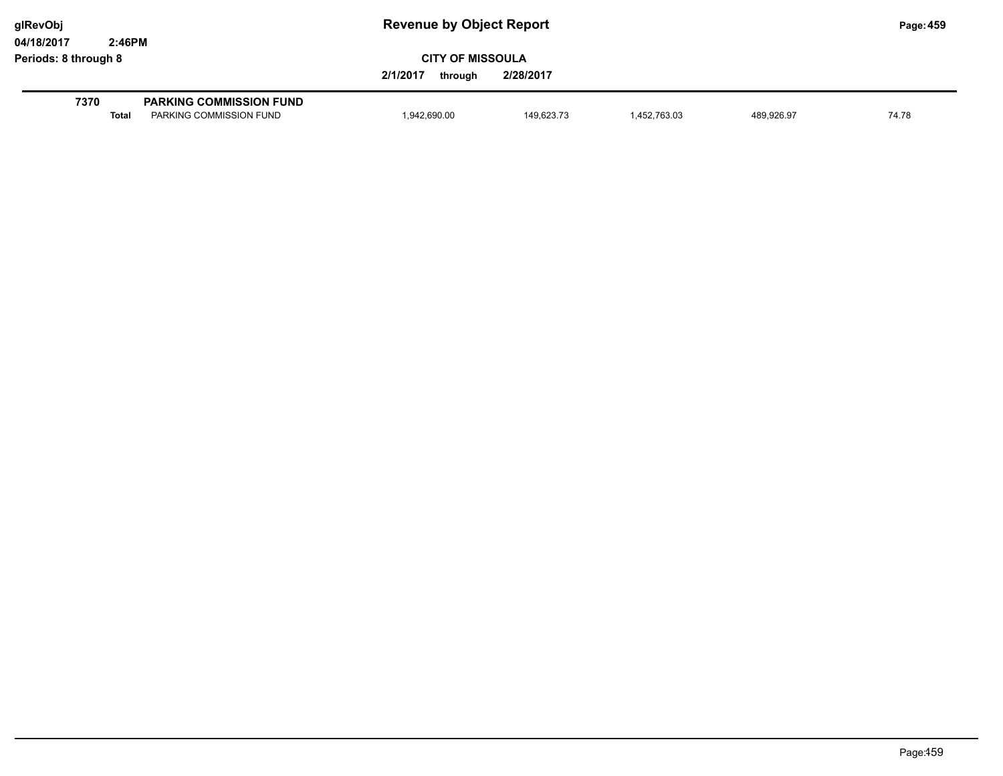| glRevObj<br>04/18/2017<br>2:46PM<br>Periods: 8 through 8 |              |                                                             | <b>Revenue by Object Report</b> |            |              |            |       |  |
|----------------------------------------------------------|--------------|-------------------------------------------------------------|---------------------------------|------------|--------------|------------|-------|--|
|                                                          |              | <b>CITY OF MISSOULA</b><br>2/1/2017<br>2/28/2017<br>through |                                 |            |              |            |       |  |
| 7370                                                     | <b>Total</b> | <b>PARKING COMMISSION FUND</b><br>PARKING COMMISSION FUND   | 1,942,690.00                    | 149.623.73 | 1,452,763.03 | 489.926.97 | 74.78 |  |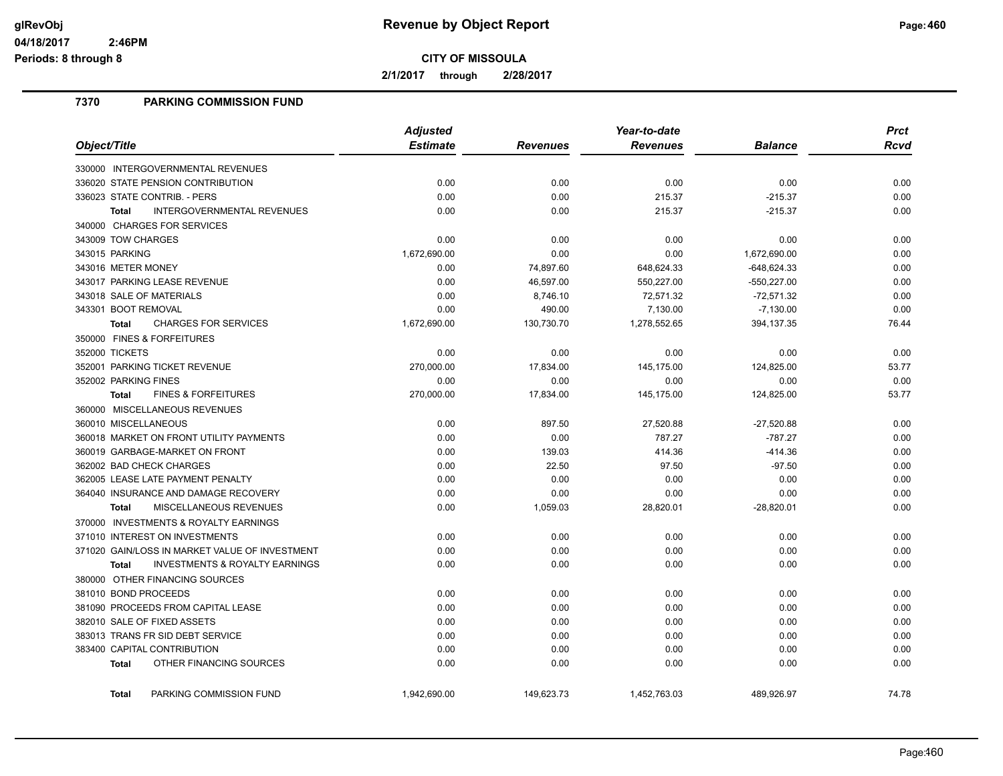**2/1/2017 through 2/28/2017**

#### **7370 PARKING COMMISSION FUND**

|                                                           | <b>Adjusted</b> |                 | Year-to-date    |                | <b>Prct</b> |
|-----------------------------------------------------------|-----------------|-----------------|-----------------|----------------|-------------|
| Object/Title                                              | <b>Estimate</b> | <b>Revenues</b> | <b>Revenues</b> | <b>Balance</b> | Rcvd        |
| 330000 INTERGOVERNMENTAL REVENUES                         |                 |                 |                 |                |             |
| 336020 STATE PENSION CONTRIBUTION                         | 0.00            | 0.00            | 0.00            | 0.00           | 0.00        |
| 336023 STATE CONTRIB. - PERS                              | 0.00            | 0.00            | 215.37          | $-215.37$      | 0.00        |
| <b>INTERGOVERNMENTAL REVENUES</b><br>Total                | 0.00            | 0.00            | 215.37          | $-215.37$      | 0.00        |
| 340000 CHARGES FOR SERVICES                               |                 |                 |                 |                |             |
| 343009 TOW CHARGES                                        | 0.00            | 0.00            | 0.00            | 0.00           | 0.00        |
| 343015 PARKING                                            | 1,672,690.00    | 0.00            | 0.00            | 1,672,690.00   | 0.00        |
| 343016 METER MONEY                                        | 0.00            | 74,897.60       | 648,624.33      | $-648,624.33$  | 0.00        |
| 343017 PARKING LEASE REVENUE                              | 0.00            | 46,597.00       | 550,227.00      | -550,227.00    | 0.00        |
| 343018 SALE OF MATERIALS                                  | 0.00            | 8,746.10        | 72,571.32       | $-72,571.32$   | 0.00        |
| 343301 BOOT REMOVAL                                       | 0.00            | 490.00          | 7,130.00        | $-7,130.00$    | 0.00        |
| <b>CHARGES FOR SERVICES</b><br><b>Total</b>               | 1,672,690.00    | 130,730.70      | 1,278,552.65    | 394,137.35     | 76.44       |
| 350000 FINES & FORFEITURES                                |                 |                 |                 |                |             |
| 352000 TICKETS                                            | 0.00            | 0.00            | 0.00            | 0.00           | 0.00        |
| 352001 PARKING TICKET REVENUE                             | 270,000.00      | 17,834.00       | 145,175.00      | 124,825.00     | 53.77       |
| 352002 PARKING FINES                                      | 0.00            | 0.00            | 0.00            | 0.00           | 0.00        |
| <b>FINES &amp; FORFEITURES</b><br>Total                   | 270,000.00      | 17,834.00       | 145,175.00      | 124,825.00     | 53.77       |
| 360000 MISCELLANEOUS REVENUES                             |                 |                 |                 |                |             |
| 360010 MISCELLANEOUS                                      | 0.00            | 897.50          | 27,520.88       | $-27,520.88$   | 0.00        |
| 360018 MARKET ON FRONT UTILITY PAYMENTS                   | 0.00            | 0.00            | 787.27          | $-787.27$      | 0.00        |
| 360019 GARBAGE-MARKET ON FRONT                            | 0.00            | 139.03          | 414.36          | $-414.36$      | 0.00        |
| 362002 BAD CHECK CHARGES                                  | 0.00            | 22.50           | 97.50           | $-97.50$       | 0.00        |
| 362005 LEASE LATE PAYMENT PENALTY                         | 0.00            | 0.00            | 0.00            | 0.00           | 0.00        |
| 364040 INSURANCE AND DAMAGE RECOVERY                      | 0.00            | 0.00            | 0.00            | 0.00           | 0.00        |
| MISCELLANEOUS REVENUES<br><b>Total</b>                    | 0.00            | 1,059.03        | 28,820.01       | $-28,820.01$   | 0.00        |
| 370000 INVESTMENTS & ROYALTY EARNINGS                     |                 |                 |                 |                |             |
| 371010 INTEREST ON INVESTMENTS                            | 0.00            | 0.00            | 0.00            | 0.00           | 0.00        |
| 371020 GAIN/LOSS IN MARKET VALUE OF INVESTMENT            | 0.00            | 0.00            | 0.00            | 0.00           | 0.00        |
| <b>INVESTMENTS &amp; ROYALTY EARNINGS</b><br><b>Total</b> | 0.00            | 0.00            | 0.00            | 0.00           | 0.00        |
| 380000 OTHER FINANCING SOURCES                            |                 |                 |                 |                |             |
| 381010 BOND PROCEEDS                                      | 0.00            | 0.00            | 0.00            | 0.00           | 0.00        |
| 381090 PROCEEDS FROM CAPITAL LEASE                        | 0.00            | 0.00            | 0.00            | 0.00           | 0.00        |
| 382010 SALE OF FIXED ASSETS                               | 0.00            | 0.00            | 0.00            | 0.00           | 0.00        |
| 383013 TRANS FR SID DEBT SERVICE                          | 0.00            | 0.00            | 0.00            | 0.00           | 0.00        |
| 383400 CAPITAL CONTRIBUTION                               | 0.00            | 0.00            | 0.00            | 0.00           | 0.00        |
| OTHER FINANCING SOURCES<br><b>Total</b>                   | 0.00            | 0.00            | 0.00            | 0.00           | 0.00        |
| PARKING COMMISSION FUND<br><b>Total</b>                   | 1,942,690.00    | 149,623.73      | 1,452,763.03    | 489,926.97     | 74.78       |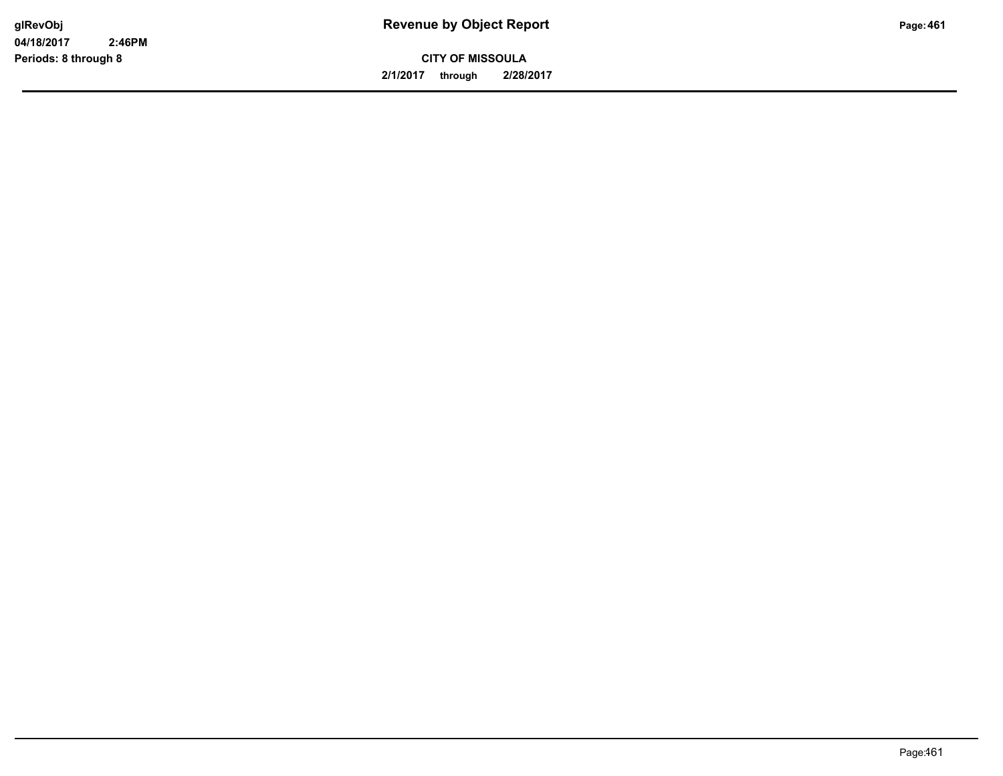**2/1/2017 through 2/28/2017**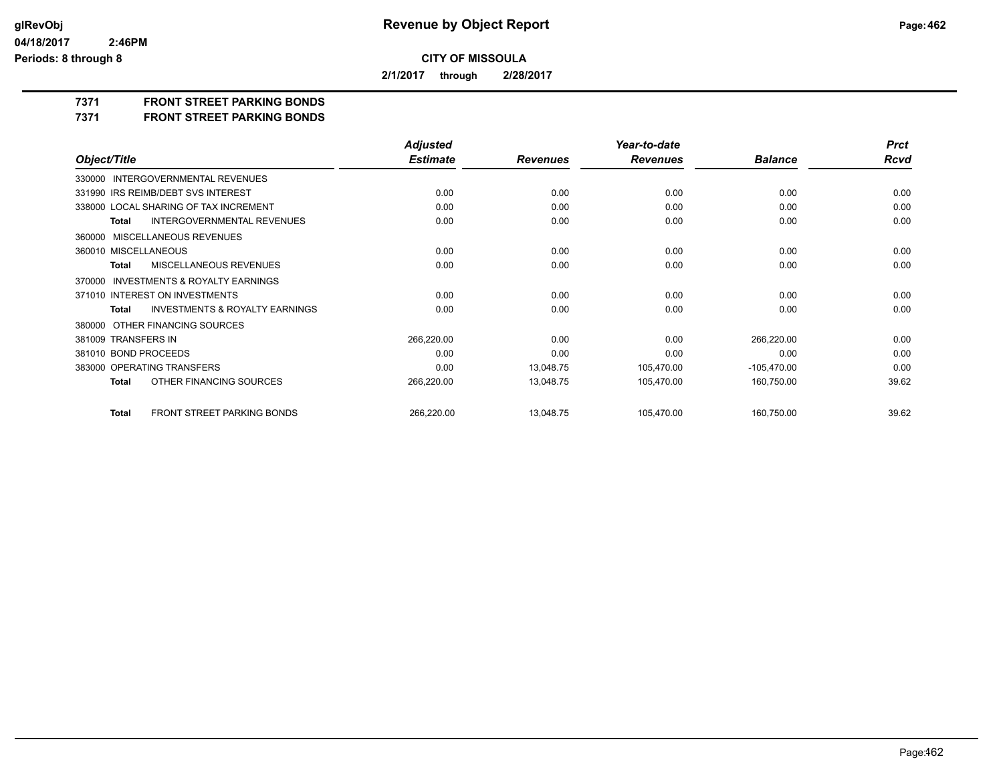**2/1/2017 through 2/28/2017**

## **7371 FRONT STREET PARKING BONDS**

**7371 FRONT STREET PARKING BONDS**

|                                                           | <b>Adjusted</b> |                 | Year-to-date    |                | <b>Prct</b> |
|-----------------------------------------------------------|-----------------|-----------------|-----------------|----------------|-------------|
| Object/Title                                              | <b>Estimate</b> | <b>Revenues</b> | <b>Revenues</b> | <b>Balance</b> | Rcvd        |
| INTERGOVERNMENTAL REVENUES<br>330000                      |                 |                 |                 |                |             |
| 331990 IRS REIMB/DEBT SVS INTEREST                        | 0.00            | 0.00            | 0.00            | 0.00           | 0.00        |
| 338000 LOCAL SHARING OF TAX INCREMENT                     | 0.00            | 0.00            | 0.00            | 0.00           | 0.00        |
| <b>INTERGOVERNMENTAL REVENUES</b><br><b>Total</b>         | 0.00            | 0.00            | 0.00            | 0.00           | 0.00        |
| MISCELLANEOUS REVENUES<br>360000                          |                 |                 |                 |                |             |
| 360010 MISCELLANEOUS                                      | 0.00            | 0.00            | 0.00            | 0.00           | 0.00        |
| MISCELLANEOUS REVENUES<br><b>Total</b>                    | 0.00            | 0.00            | 0.00            | 0.00           | 0.00        |
| <b>INVESTMENTS &amp; ROYALTY EARNINGS</b><br>370000       |                 |                 |                 |                |             |
| 371010 INTEREST ON INVESTMENTS                            | 0.00            | 0.00            | 0.00            | 0.00           | 0.00        |
| <b>INVESTMENTS &amp; ROYALTY EARNINGS</b><br><b>Total</b> | 0.00            | 0.00            | 0.00            | 0.00           | 0.00        |
| OTHER FINANCING SOURCES<br>380000                         |                 |                 |                 |                |             |
| 381009 TRANSFERS IN                                       | 266,220.00      | 0.00            | 0.00            | 266,220.00     | 0.00        |
| 381010 BOND PROCEEDS                                      | 0.00            | 0.00            | 0.00            | 0.00           | 0.00        |
| 383000 OPERATING TRANSFERS                                | 0.00            | 13,048.75       | 105,470.00      | $-105,470.00$  | 0.00        |
| OTHER FINANCING SOURCES<br>Total                          | 266,220.00      | 13,048.75       | 105,470.00      | 160,750.00     | 39.62       |
| <b>FRONT STREET PARKING BONDS</b><br>Total                | 266,220.00      | 13,048.75       | 105,470.00      | 160,750.00     | 39.62       |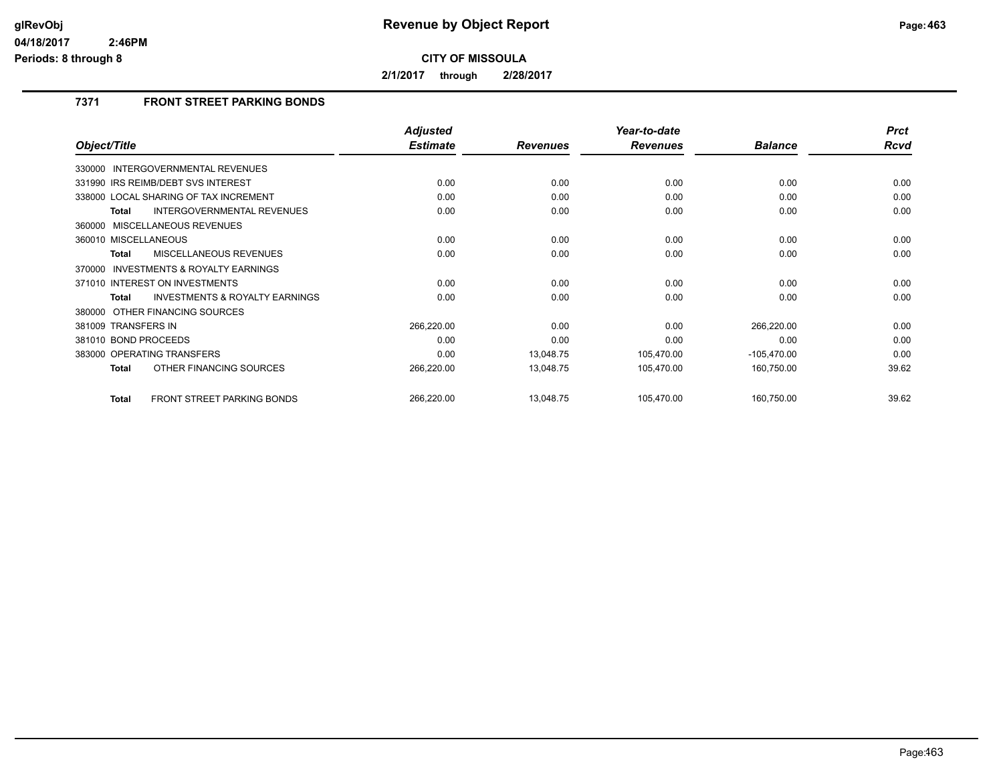**2/1/2017 through 2/28/2017**

#### **7371 FRONT STREET PARKING BONDS**

|                                                           | <b>Adjusted</b> |                 | Year-to-date    |                | <b>Prct</b> |
|-----------------------------------------------------------|-----------------|-----------------|-----------------|----------------|-------------|
| Object/Title                                              | <b>Estimate</b> | <b>Revenues</b> | <b>Revenues</b> | <b>Balance</b> | <b>Rcvd</b> |
| 330000 INTERGOVERNMENTAL REVENUES                         |                 |                 |                 |                |             |
| 331990 IRS REIMB/DEBT SVS INTEREST                        | 0.00            | 0.00            | 0.00            | 0.00           | 0.00        |
| 338000 LOCAL SHARING OF TAX INCREMENT                     | 0.00            | 0.00            | 0.00            | 0.00           | 0.00        |
| <b>INTERGOVERNMENTAL REVENUES</b><br><b>Total</b>         | 0.00            | 0.00            | 0.00            | 0.00           | 0.00        |
| 360000 MISCELLANEOUS REVENUES                             |                 |                 |                 |                |             |
| 360010 MISCELLANEOUS                                      | 0.00            | 0.00            | 0.00            | 0.00           | 0.00        |
| MISCELLANEOUS REVENUES<br><b>Total</b>                    | 0.00            | 0.00            | 0.00            | 0.00           | 0.00        |
| 370000 INVESTMENTS & ROYALTY EARNINGS                     |                 |                 |                 |                |             |
| 371010 INTEREST ON INVESTMENTS                            | 0.00            | 0.00            | 0.00            | 0.00           | 0.00        |
| <b>INVESTMENTS &amp; ROYALTY EARNINGS</b><br><b>Total</b> | 0.00            | 0.00            | 0.00            | 0.00           | 0.00        |
| 380000 OTHER FINANCING SOURCES                            |                 |                 |                 |                |             |
| 381009 TRANSFERS IN                                       | 266,220.00      | 0.00            | 0.00            | 266,220.00     | 0.00        |
| 381010 BOND PROCEEDS                                      | 0.00            | 0.00            | 0.00            | 0.00           | 0.00        |
| 383000 OPERATING TRANSFERS                                | 0.00            | 13,048.75       | 105,470.00      | $-105,470.00$  | 0.00        |
| OTHER FINANCING SOURCES<br><b>Total</b>                   | 266,220.00      | 13,048.75       | 105,470.00      | 160,750.00     | 39.62       |
| FRONT STREET PARKING BONDS<br><b>Total</b>                | 266,220.00      | 13,048.75       | 105,470.00      | 160,750.00     | 39.62       |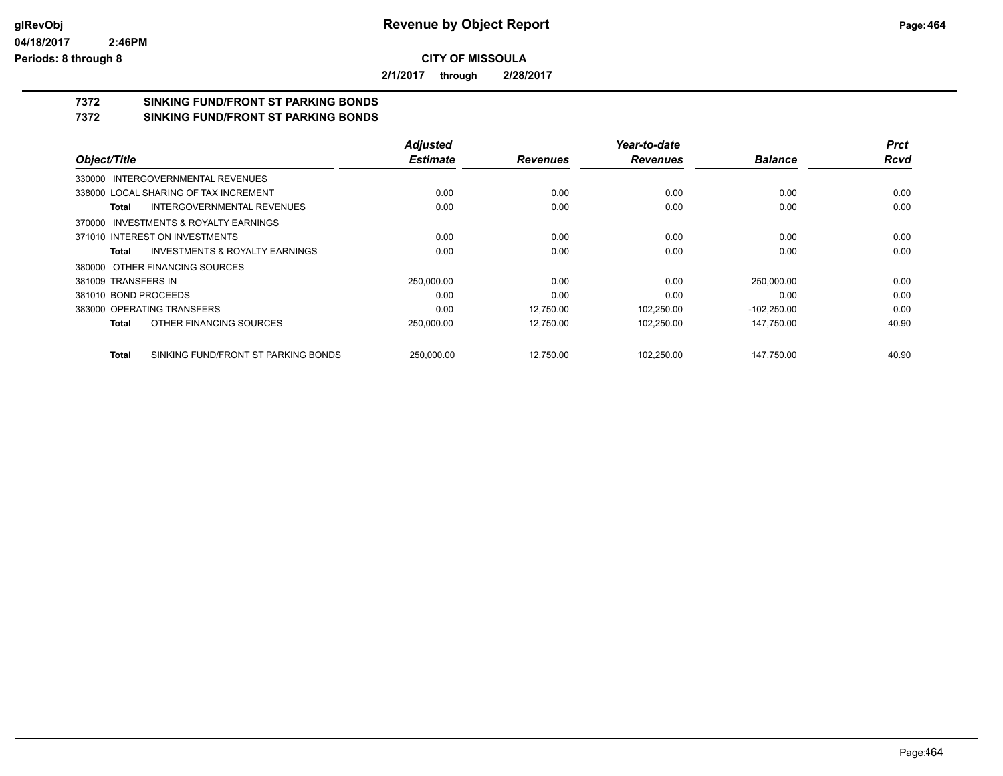**2/1/2017 through 2/28/2017**

#### **7372 SINKING FUND/FRONT ST PARKING BONDS 7372 SINKING FUND/FRONT ST PARKING BONDS**

|                      |                                           | <b>Adjusted</b> |                 | Year-to-date    |                | <b>Prct</b> |
|----------------------|-------------------------------------------|-----------------|-----------------|-----------------|----------------|-------------|
| Object/Title         |                                           | <b>Estimate</b> | <b>Revenues</b> | <b>Revenues</b> | <b>Balance</b> | Rcvd        |
|                      | 330000 INTERGOVERNMENTAL REVENUES         |                 |                 |                 |                |             |
|                      | 338000 LOCAL SHARING OF TAX INCREMENT     | 0.00            | 0.00            | 0.00            | 0.00           | 0.00        |
| Total                | INTERGOVERNMENTAL REVENUES                | 0.00            | 0.00            | 0.00            | 0.00           | 0.00        |
| 370000               | INVESTMENTS & ROYALTY EARNINGS            |                 |                 |                 |                |             |
|                      | 371010 INTEREST ON INVESTMENTS            | 0.00            | 0.00            | 0.00            | 0.00           | 0.00        |
| Total                | <b>INVESTMENTS &amp; ROYALTY EARNINGS</b> | 0.00            | 0.00            | 0.00            | 0.00           | 0.00        |
|                      | 380000 OTHER FINANCING SOURCES            |                 |                 |                 |                |             |
| 381009 TRANSFERS IN  |                                           | 250.000.00      | 0.00            | 0.00            | 250,000,00     | 0.00        |
| 381010 BOND PROCEEDS |                                           | 0.00            | 0.00            | 0.00            | 0.00           | 0.00        |
|                      | 383000 OPERATING TRANSFERS                | 0.00            | 12,750.00       | 102,250.00      | $-102,250.00$  | 0.00        |
| Total                | OTHER FINANCING SOURCES                   | 250,000.00      | 12.750.00       | 102,250.00      | 147,750.00     | 40.90       |
| Total                | SINKING FUND/FRONT ST PARKING BONDS       | 250,000.00      | 12.750.00       | 102,250.00      | 147.750.00     | 40.90       |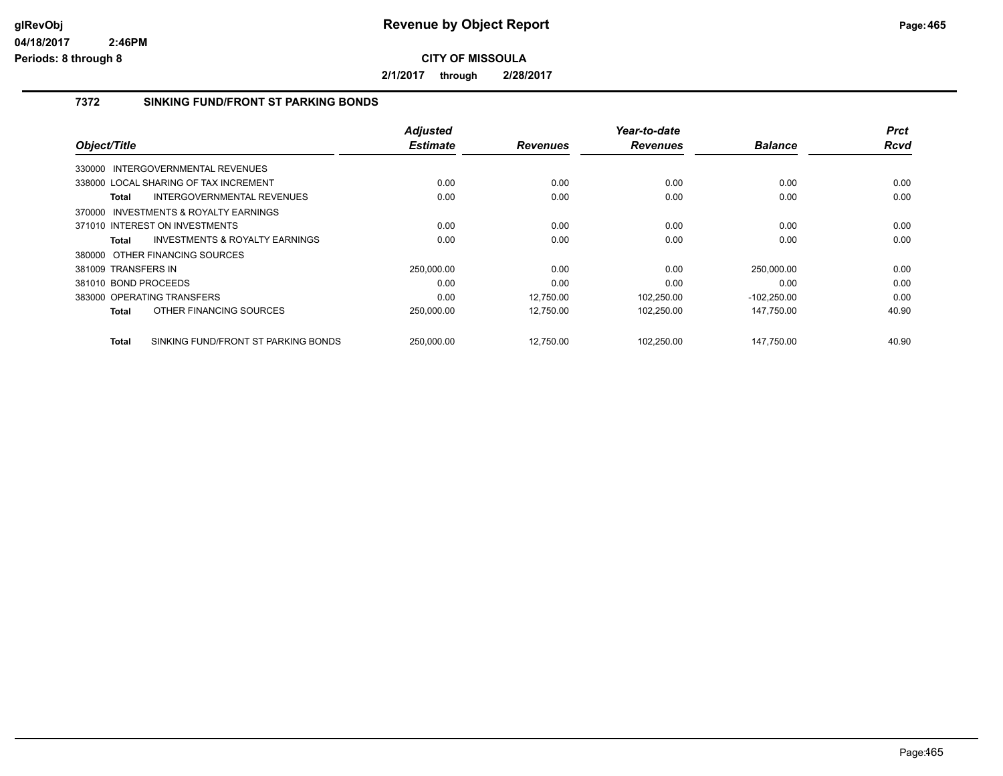**2/1/2017 through 2/28/2017**

#### **7372 SINKING FUND/FRONT ST PARKING BONDS**

|                                                     | <b>Adjusted</b> |                 | Year-to-date    |                | <b>Prct</b> |
|-----------------------------------------------------|-----------------|-----------------|-----------------|----------------|-------------|
| Object/Title                                        | <b>Estimate</b> | <b>Revenues</b> | <b>Revenues</b> | <b>Balance</b> | <b>Rcvd</b> |
| 330000 INTERGOVERNMENTAL REVENUES                   |                 |                 |                 |                |             |
| 338000 LOCAL SHARING OF TAX INCREMENT               | 0.00            | 0.00            | 0.00            | 0.00           | 0.00        |
| INTERGOVERNMENTAL REVENUES<br><b>Total</b>          | 0.00            | 0.00            | 0.00            | 0.00           | 0.00        |
| 370000 INVESTMENTS & ROYALTY EARNINGS               |                 |                 |                 |                |             |
| 371010 INTEREST ON INVESTMENTS                      | 0.00            | 0.00            | 0.00            | 0.00           | 0.00        |
| INVESTMENTS & ROYALTY EARNINGS<br>Total             | 0.00            | 0.00            | 0.00            | 0.00           | 0.00        |
| 380000 OTHER FINANCING SOURCES                      |                 |                 |                 |                |             |
| 381009 TRANSFERS IN                                 | 250.000.00      | 0.00            | 0.00            | 250,000.00     | 0.00        |
| 381010 BOND PROCEEDS                                | 0.00            | 0.00            | 0.00            | 0.00           | 0.00        |
| 383000 OPERATING TRANSFERS                          | 0.00            | 12.750.00       | 102,250.00      | $-102,250.00$  | 0.00        |
| OTHER FINANCING SOURCES<br><b>Total</b>             | 250,000.00      | 12,750.00       | 102,250.00      | 147,750.00     | 40.90       |
| SINKING FUND/FRONT ST PARKING BONDS<br><b>Total</b> | 250.000.00      | 12,750.00       | 102,250.00      | 147,750.00     | 40.90       |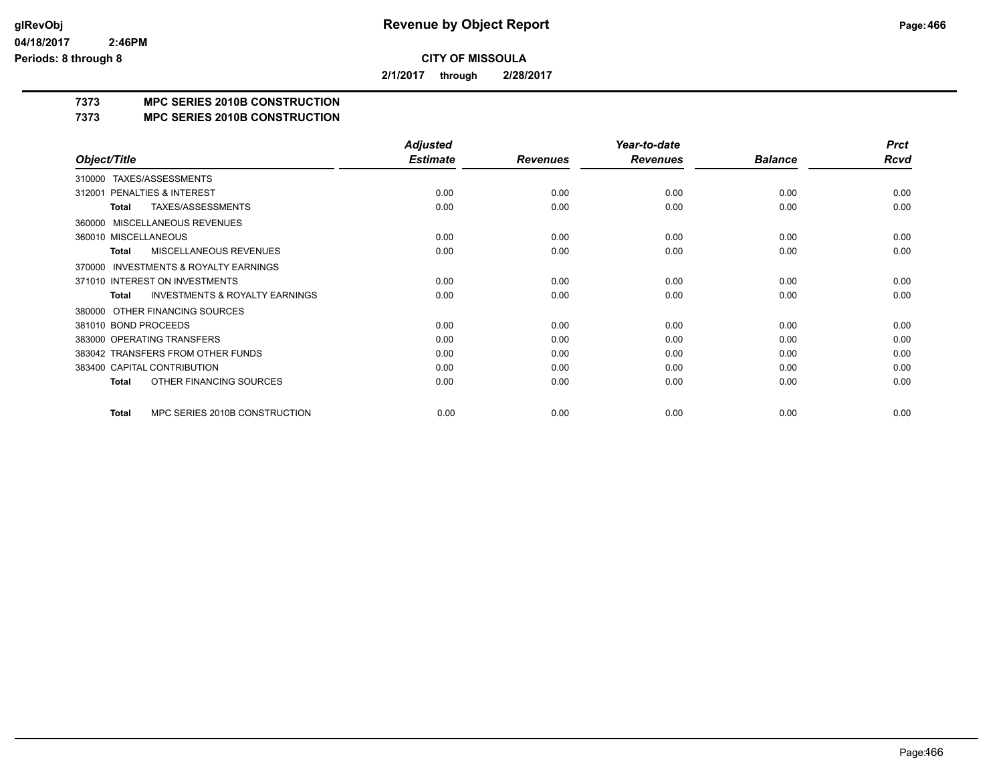**2/1/2017 through 2/28/2017**

## **7373 MPC SERIES 2010B CONSTRUCTION**

**7373 MPC SERIES 2010B CONSTRUCTION**

|                                                     | <b>Adjusted</b> |                 | Year-to-date    |                | <b>Prct</b> |
|-----------------------------------------------------|-----------------|-----------------|-----------------|----------------|-------------|
| Object/Title                                        | <b>Estimate</b> | <b>Revenues</b> | <b>Revenues</b> | <b>Balance</b> | <b>Rcvd</b> |
| TAXES/ASSESSMENTS<br>310000                         |                 |                 |                 |                |             |
| 312001 PENALTIES & INTEREST                         | 0.00            | 0.00            | 0.00            | 0.00           | 0.00        |
| TAXES/ASSESSMENTS<br>Total                          | 0.00            | 0.00            | 0.00            | 0.00           | 0.00        |
| 360000 MISCELLANEOUS REVENUES                       |                 |                 |                 |                |             |
| 360010 MISCELLANEOUS                                | 0.00            | 0.00            | 0.00            | 0.00           | 0.00        |
| MISCELLANEOUS REVENUES<br>Total                     | 0.00            | 0.00            | 0.00            | 0.00           | 0.00        |
| <b>INVESTMENTS &amp; ROYALTY EARNINGS</b><br>370000 |                 |                 |                 |                |             |
| 371010 INTEREST ON INVESTMENTS                      | 0.00            | 0.00            | 0.00            | 0.00           | 0.00        |
| <b>INVESTMENTS &amp; ROYALTY EARNINGS</b><br>Total  | 0.00            | 0.00            | 0.00            | 0.00           | 0.00        |
| OTHER FINANCING SOURCES<br>380000                   |                 |                 |                 |                |             |
| 381010 BOND PROCEEDS                                | 0.00            | 0.00            | 0.00            | 0.00           | 0.00        |
| 383000 OPERATING TRANSFERS                          | 0.00            | 0.00            | 0.00            | 0.00           | 0.00        |
| 383042 TRANSFERS FROM OTHER FUNDS                   | 0.00            | 0.00            | 0.00            | 0.00           | 0.00        |
| 383400 CAPITAL CONTRIBUTION                         | 0.00            | 0.00            | 0.00            | 0.00           | 0.00        |
| OTHER FINANCING SOURCES<br><b>Total</b>             | 0.00            | 0.00            | 0.00            | 0.00           | 0.00        |
| MPC SERIES 2010B CONSTRUCTION<br><b>Total</b>       | 0.00            | 0.00            | 0.00            | 0.00           | 0.00        |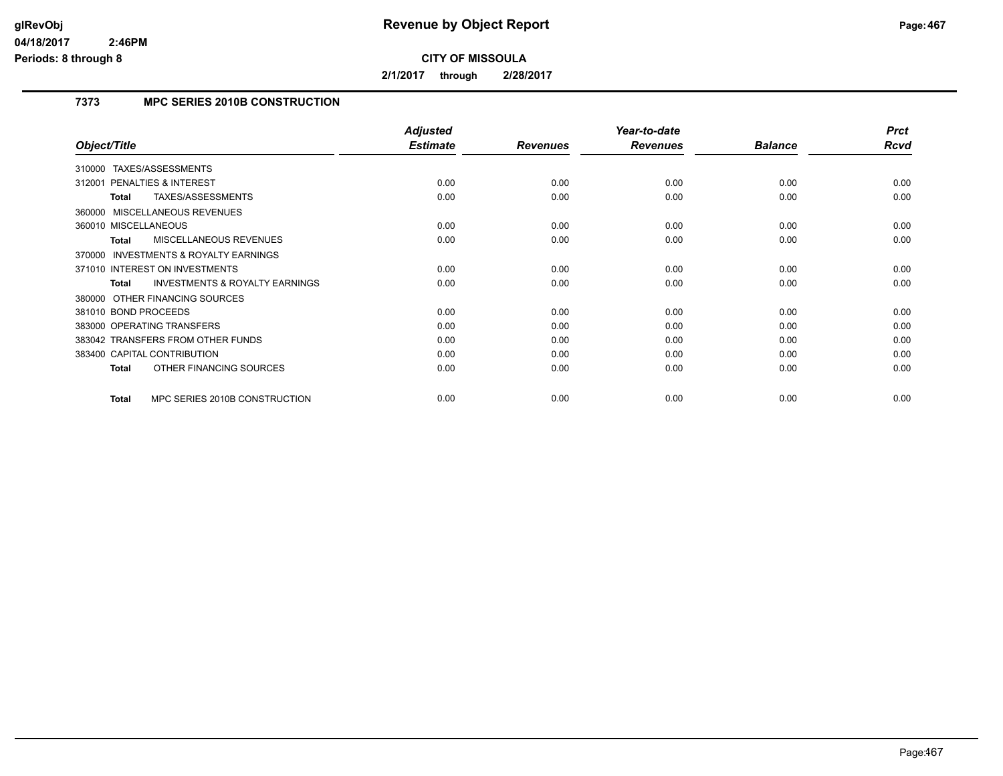**2/1/2017 through 2/28/2017**

#### **7373 MPC SERIES 2010B CONSTRUCTION**

|                                                           | <b>Adjusted</b> |                 | Year-to-date    |                | <b>Prct</b> |
|-----------------------------------------------------------|-----------------|-----------------|-----------------|----------------|-------------|
| Object/Title                                              | <b>Estimate</b> | <b>Revenues</b> | <b>Revenues</b> | <b>Balance</b> | <b>Rcvd</b> |
| TAXES/ASSESSMENTS<br>310000                               |                 |                 |                 |                |             |
| 312001 PENALTIES & INTEREST                               | 0.00            | 0.00            | 0.00            | 0.00           | 0.00        |
| TAXES/ASSESSMENTS<br>Total                                | 0.00            | 0.00            | 0.00            | 0.00           | 0.00        |
| 360000 MISCELLANEOUS REVENUES                             |                 |                 |                 |                |             |
| 360010 MISCELLANEOUS                                      | 0.00            | 0.00            | 0.00            | 0.00           | 0.00        |
| MISCELLANEOUS REVENUES<br><b>Total</b>                    | 0.00            | 0.00            | 0.00            | 0.00           | 0.00        |
| <b>INVESTMENTS &amp; ROYALTY EARNINGS</b><br>370000       |                 |                 |                 |                |             |
| 371010 INTEREST ON INVESTMENTS                            | 0.00            | 0.00            | 0.00            | 0.00           | 0.00        |
| <b>INVESTMENTS &amp; ROYALTY EARNINGS</b><br><b>Total</b> | 0.00            | 0.00            | 0.00            | 0.00           | 0.00        |
| 380000 OTHER FINANCING SOURCES                            |                 |                 |                 |                |             |
| 381010 BOND PROCEEDS                                      | 0.00            | 0.00            | 0.00            | 0.00           | 0.00        |
| 383000 OPERATING TRANSFERS                                | 0.00            | 0.00            | 0.00            | 0.00           | 0.00        |
| 383042 TRANSFERS FROM OTHER FUNDS                         | 0.00            | 0.00            | 0.00            | 0.00           | 0.00        |
| 383400 CAPITAL CONTRIBUTION                               | 0.00            | 0.00            | 0.00            | 0.00           | 0.00        |
| OTHER FINANCING SOURCES<br><b>Total</b>                   | 0.00            | 0.00            | 0.00            | 0.00           | 0.00        |
| MPC SERIES 2010B CONSTRUCTION<br><b>Total</b>             | 0.00            | 0.00            | 0.00            | 0.00           | 0.00        |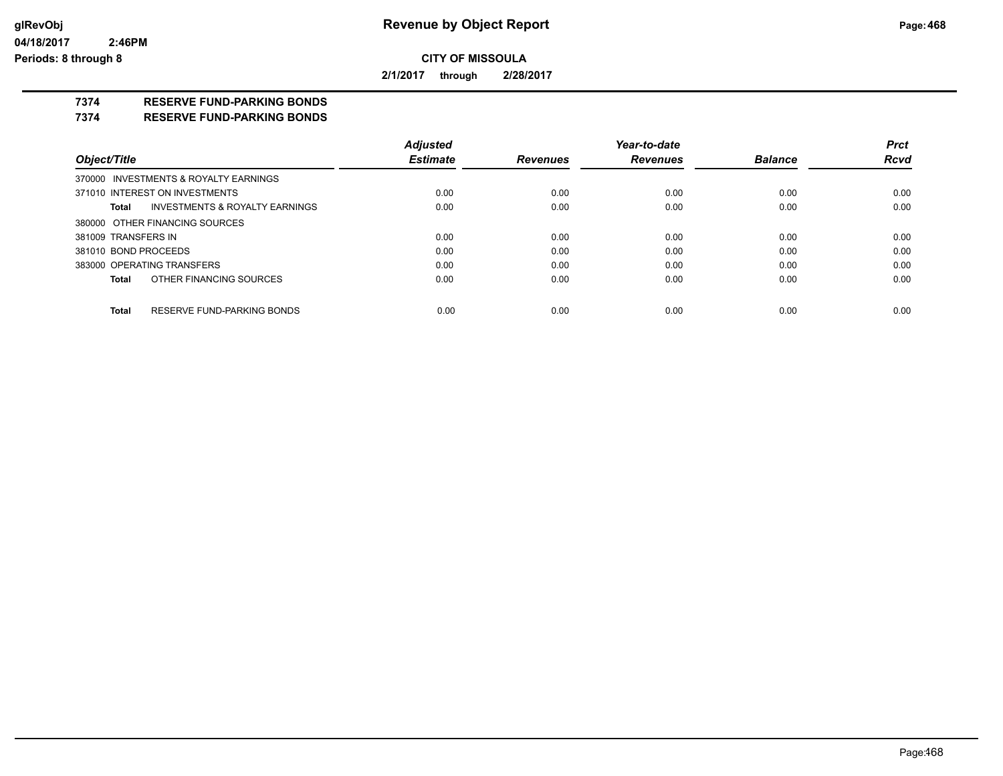**2/1/2017 through 2/28/2017**

# **7374 RESERVE FUND-PARKING BONDS**

## **7374 RESERVE FUND-PARKING BONDS**

|                                            | Adjusted<br><b>Estimate</b> |                 | Year-to-date    |                | <b>Prct</b><br><b>Rcvd</b> |
|--------------------------------------------|-----------------------------|-----------------|-----------------|----------------|----------------------------|
| Object/Title                               |                             | <b>Revenues</b> | <b>Revenues</b> | <b>Balance</b> |                            |
| 370000 INVESTMENTS & ROYALTY EARNINGS      |                             |                 |                 |                |                            |
| 371010 INTEREST ON INVESTMENTS             | 0.00                        | 0.00            | 0.00            | 0.00           | 0.00                       |
| INVESTMENTS & ROYALTY EARNINGS<br>Total    | 0.00                        | 0.00            | 0.00            | 0.00           | 0.00                       |
| 380000 OTHER FINANCING SOURCES             |                             |                 |                 |                |                            |
| 381009 TRANSFERS IN                        | 0.00                        | 0.00            | 0.00            | 0.00           | 0.00                       |
| 381010 BOND PROCEEDS                       | 0.00                        | 0.00            | 0.00            | 0.00           | 0.00                       |
| 383000 OPERATING TRANSFERS                 | 0.00                        | 0.00            | 0.00            | 0.00           | 0.00                       |
| OTHER FINANCING SOURCES<br>Total           | 0.00                        | 0.00            | 0.00            | 0.00           | 0.00                       |
| <b>Total</b><br>RESERVE FUND-PARKING BONDS | 0.00                        | 0.00            | 0.00            | 0.00           | 0.00                       |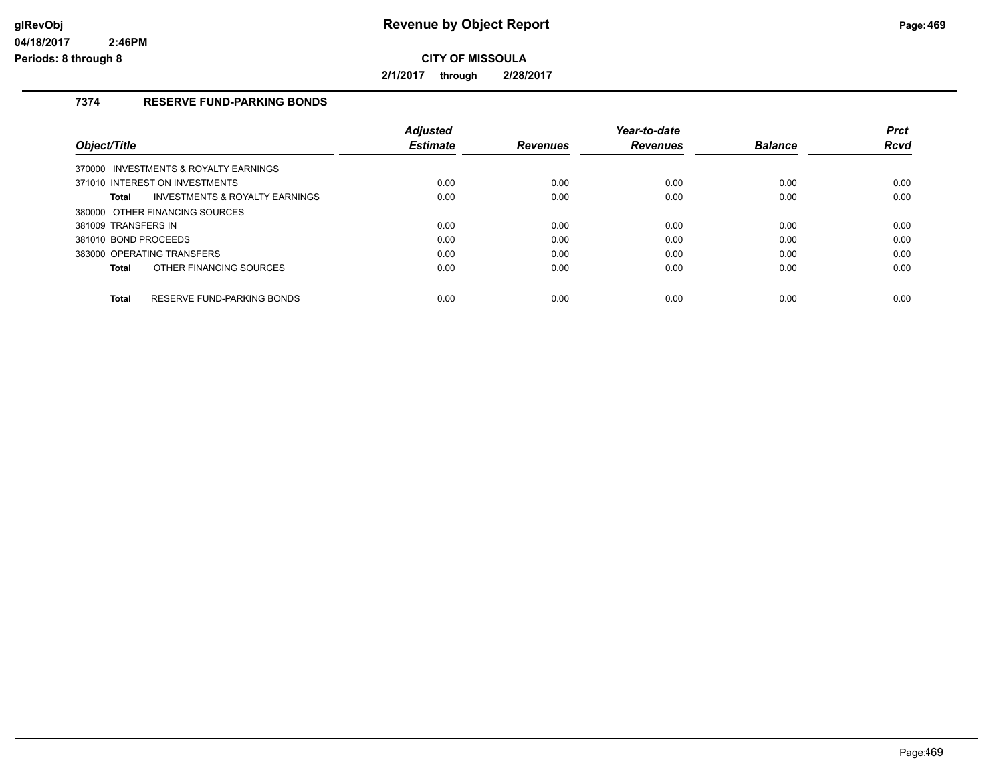**2/1/2017 through 2/28/2017**

#### **7374 RESERVE FUND-PARKING BONDS**

|                                                   | <b>Adjusted</b> |                 | Year-to-date    |                | <b>Prct</b> |
|---------------------------------------------------|-----------------|-----------------|-----------------|----------------|-------------|
| Object/Title                                      | <b>Estimate</b> | <b>Revenues</b> | <b>Revenues</b> | <b>Balance</b> | <b>Rcvd</b> |
| 370000 INVESTMENTS & ROYALTY EARNINGS             |                 |                 |                 |                |             |
| 371010 INTEREST ON INVESTMENTS                    | 0.00            | 0.00            | 0.00            | 0.00           | 0.00        |
| INVESTMENTS & ROYALTY EARNINGS<br><b>Total</b>    | 0.00            | 0.00            | 0.00            | 0.00           | 0.00        |
| 380000 OTHER FINANCING SOURCES                    |                 |                 |                 |                |             |
| 381009 TRANSFERS IN                               | 0.00            | 0.00            | 0.00            | 0.00           | 0.00        |
| 381010 BOND PROCEEDS                              | 0.00            | 0.00            | 0.00            | 0.00           | 0.00        |
| 383000 OPERATING TRANSFERS                        | 0.00            | 0.00            | 0.00            | 0.00           | 0.00        |
| <b>Total</b><br>OTHER FINANCING SOURCES           | 0.00            | 0.00            | 0.00            | 0.00           | 0.00        |
| <b>RESERVE FUND-PARKING BONDS</b><br><b>Total</b> | 0.00            | 0.00            | 0.00            | 0.00           | 0.00        |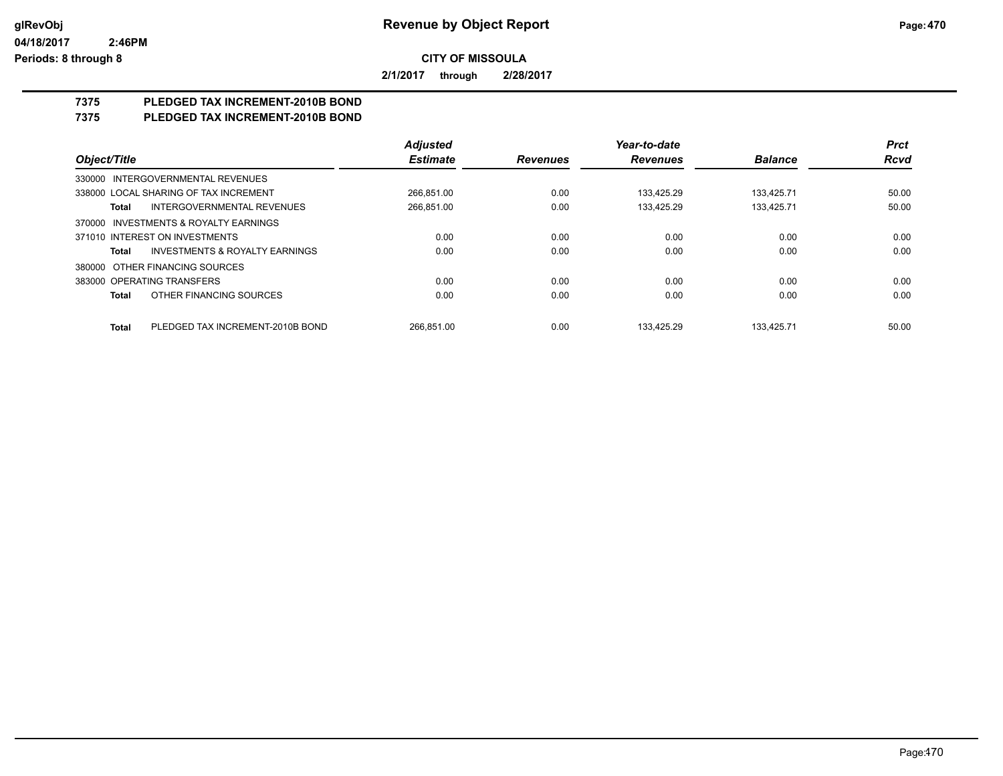**2/1/2017 through 2/28/2017**

#### **7375 PLEDGED TAX INCREMENT-2010B BOND 7375 PLEDGED TAX INCREMENT-2010B BOND**

|                                                    | <b>Adjusted</b> |                 | Year-to-date    |                | <b>Prct</b> |
|----------------------------------------------------|-----------------|-----------------|-----------------|----------------|-------------|
| Object/Title                                       | <b>Estimate</b> | <b>Revenues</b> | <b>Revenues</b> | <b>Balance</b> | Rcvd        |
| 330000 INTERGOVERNMENTAL REVENUES                  |                 |                 |                 |                |             |
| 338000 LOCAL SHARING OF TAX INCREMENT              | 266.851.00      | 0.00            | 133.425.29      | 133.425.71     | 50.00       |
| INTERGOVERNMENTAL REVENUES<br>Total                | 266,851.00      | 0.00            | 133,425.29      | 133,425.71     | 50.00       |
| 370000 INVESTMENTS & ROYALTY EARNINGS              |                 |                 |                 |                |             |
| 371010 INTEREST ON INVESTMENTS                     | 0.00            | 0.00            | 0.00            | 0.00           | 0.00        |
| <b>INVESTMENTS &amp; ROYALTY EARNINGS</b><br>Total | 0.00            | 0.00            | 0.00            | 0.00           | 0.00        |
| 380000 OTHER FINANCING SOURCES                     |                 |                 |                 |                |             |
| 383000 OPERATING TRANSFERS                         | 0.00            | 0.00            | 0.00            | 0.00           | 0.00        |
| OTHER FINANCING SOURCES<br>Total                   | 0.00            | 0.00            | 0.00            | 0.00           | 0.00        |
|                                                    |                 |                 |                 |                |             |
| PLEDGED TAX INCREMENT-2010B BOND<br><b>Total</b>   | 266.851.00      | 0.00            | 133.425.29      | 133.425.71     | 50.00       |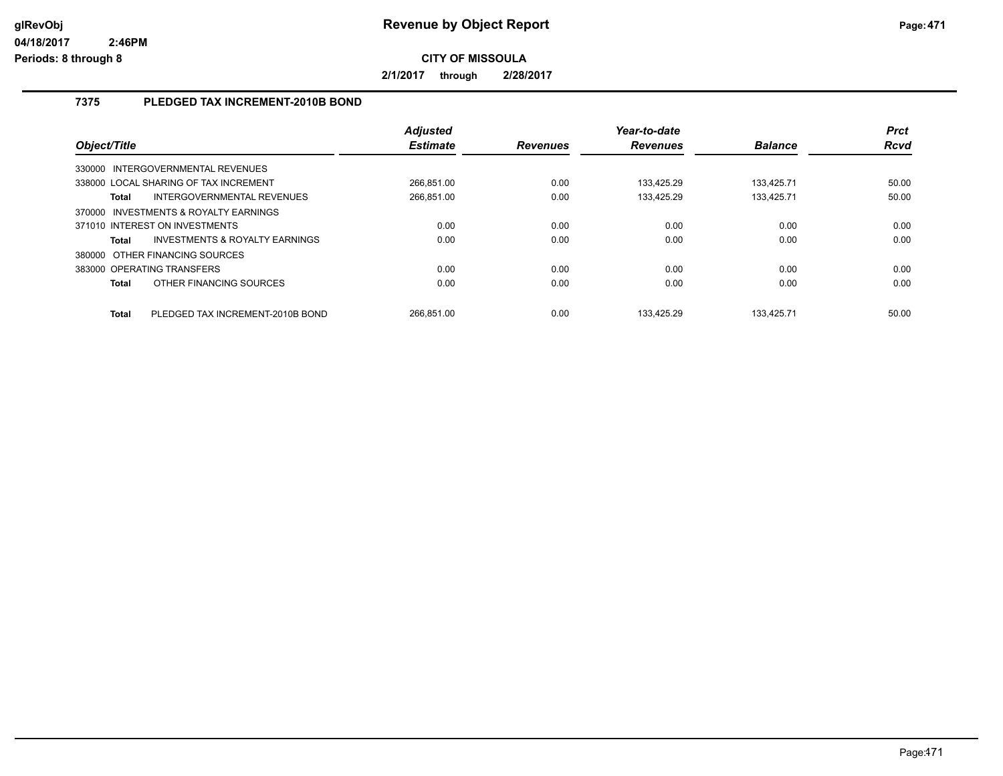**2/1/2017 through 2/28/2017**

#### **7375 PLEDGED TAX INCREMENT-2010B BOND**

| Object/Title |                                       | <b>Adjusted</b><br><b>Estimate</b> | <b>Revenues</b> | Year-to-date<br><b>Revenues</b> | <b>Balance</b> | <b>Prct</b><br><b>Rcvd</b> |
|--------------|---------------------------------------|------------------------------------|-----------------|---------------------------------|----------------|----------------------------|
| 330000       | INTERGOVERNMENTAL REVENUES            |                                    |                 |                                 |                |                            |
|              | 338000 LOCAL SHARING OF TAX INCREMENT | 266,851.00                         | 0.00            | 133.425.29                      | 133.425.71     | 50.00                      |
| Total        | INTERGOVERNMENTAL REVENUES            | 266.851.00                         | 0.00            | 133.425.29                      | 133.425.71     | 50.00                      |
| 370000       | INVESTMENTS & ROYALTY EARNINGS        |                                    |                 |                                 |                |                            |
|              | 371010 INTEREST ON INVESTMENTS        | 0.00                               | 0.00            | 0.00                            | 0.00           | 0.00                       |
| Total        | INVESTMENTS & ROYALTY EARNINGS        | 0.00                               | 0.00            | 0.00                            | 0.00           | 0.00                       |
|              | 380000 OTHER FINANCING SOURCES        |                                    |                 |                                 |                |                            |
|              | 383000 OPERATING TRANSFERS            | 0.00                               | 0.00            | 0.00                            | 0.00           | 0.00                       |
| Total        | OTHER FINANCING SOURCES               | 0.00                               | 0.00            | 0.00                            | 0.00           | 0.00                       |
| Total        | PLEDGED TAX INCREMENT-2010B BOND      | 266.851.00                         | 0.00            | 133.425.29                      | 133.425.71     | 50.00                      |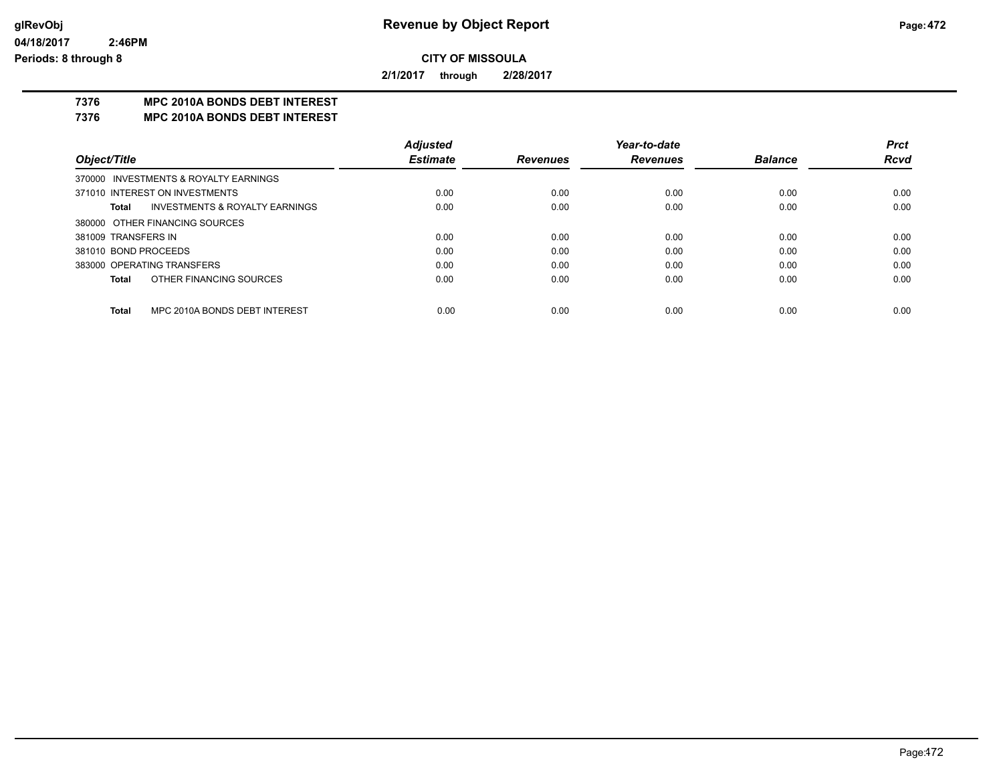**2/1/2017 through 2/28/2017**

# **7376 MPC 2010A BONDS DEBT INTEREST**

## **7376 MPC 2010A BONDS DEBT INTEREST**

|                                               | <b>Adjusted</b> |                 | Year-to-date    |                | <b>Prct</b> |
|-----------------------------------------------|-----------------|-----------------|-----------------|----------------|-------------|
| Object/Title                                  | <b>Estimate</b> | <b>Revenues</b> | <b>Revenues</b> | <b>Balance</b> | <b>Rcvd</b> |
| 370000 INVESTMENTS & ROYALTY EARNINGS         |                 |                 |                 |                |             |
| 371010 INTEREST ON INVESTMENTS                | 0.00            | 0.00            | 0.00            | 0.00           | 0.00        |
| INVESTMENTS & ROYALTY EARNINGS<br>Total       | 0.00            | 0.00            | 0.00            | 0.00           | 0.00        |
| 380000 OTHER FINANCING SOURCES                |                 |                 |                 |                |             |
| 381009 TRANSFERS IN                           | 0.00            | 0.00            | 0.00            | 0.00           | 0.00        |
| 381010 BOND PROCEEDS                          | 0.00            | 0.00            | 0.00            | 0.00           | 0.00        |
| 383000 OPERATING TRANSFERS                    | 0.00            | 0.00            | 0.00            | 0.00           | 0.00        |
| OTHER FINANCING SOURCES<br>Total              | 0.00            | 0.00            | 0.00            | 0.00           | 0.00        |
|                                               |                 |                 |                 |                |             |
| <b>Total</b><br>MPC 2010A BONDS DEBT INTEREST | 0.00            | 0.00            | 0.00            | 0.00           | 0.00        |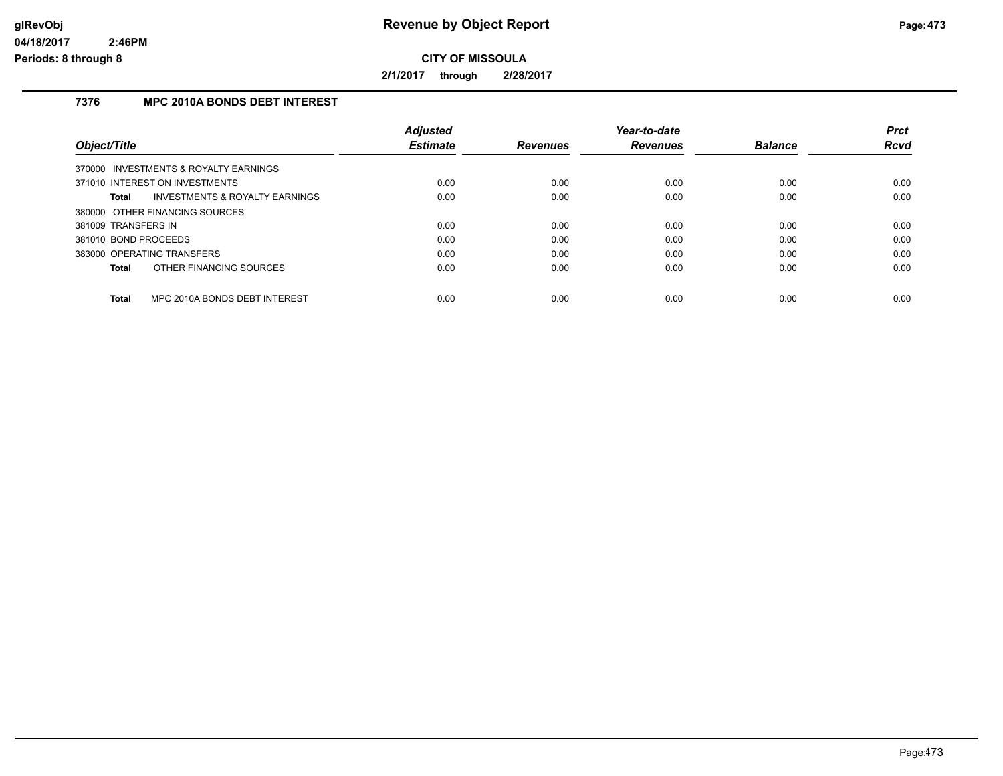**2/1/2017 through 2/28/2017**

#### **7376 MPC 2010A BONDS DEBT INTEREST**

|                                               | <b>Adiusted</b> |                 | Year-to-date    |                | <b>Prct</b> |
|-----------------------------------------------|-----------------|-----------------|-----------------|----------------|-------------|
| Object/Title                                  | <b>Estimate</b> | <b>Revenues</b> | <b>Revenues</b> | <b>Balance</b> | <b>Rcvd</b> |
| 370000 INVESTMENTS & ROYALTY EARNINGS         |                 |                 |                 |                |             |
| 371010 INTEREST ON INVESTMENTS                | 0.00            | 0.00            | 0.00            | 0.00           | 0.00        |
| INVESTMENTS & ROYALTY EARNINGS<br>Total       | 0.00            | 0.00            | 0.00            | 0.00           | 0.00        |
| 380000 OTHER FINANCING SOURCES                |                 |                 |                 |                |             |
| 381009 TRANSFERS IN                           | 0.00            | 0.00            | 0.00            | 0.00           | 0.00        |
| 381010 BOND PROCEEDS                          | 0.00            | 0.00            | 0.00            | 0.00           | 0.00        |
| 383000 OPERATING TRANSFERS                    | 0.00            | 0.00            | 0.00            | 0.00           | 0.00        |
| OTHER FINANCING SOURCES<br><b>Total</b>       | 0.00            | 0.00            | 0.00            | 0.00           | 0.00        |
|                                               |                 |                 |                 |                |             |
| MPC 2010A BONDS DEBT INTEREST<br><b>Total</b> | 0.00            | 0.00            | 0.00            | 0.00           | 0.00        |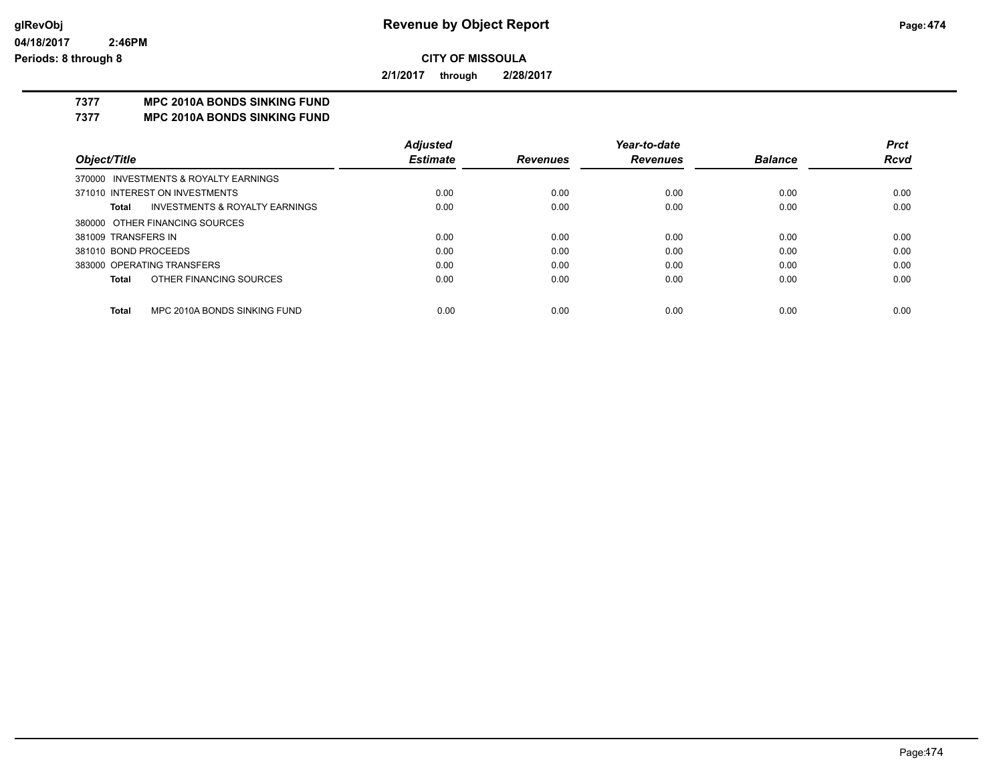**2/1/2017 through 2/28/2017**

## **7377 MPC 2010A BONDS SINKING FUND**

**7377 MPC 2010A BONDS SINKING FUND**

|                                                    | <b>Adjusted</b> |                 | Year-to-date    |                | <b>Prct</b> |
|----------------------------------------------------|-----------------|-----------------|-----------------|----------------|-------------|
| Object/Title                                       | <b>Estimate</b> | <b>Revenues</b> | <b>Revenues</b> | <b>Balance</b> | Rcvd        |
| 370000 INVESTMENTS & ROYALTY EARNINGS              |                 |                 |                 |                |             |
| 371010 INTEREST ON INVESTMENTS                     | 0.00            | 0.00            | 0.00            | 0.00           | 0.00        |
| <b>INVESTMENTS &amp; ROYALTY EARNINGS</b><br>Total | 0.00            | 0.00            | 0.00            | 0.00           | 0.00        |
| 380000 OTHER FINANCING SOURCES                     |                 |                 |                 |                |             |
| 381009 TRANSFERS IN                                | 0.00            | 0.00            | 0.00            | 0.00           | 0.00        |
| 381010 BOND PROCEEDS                               | 0.00            | 0.00            | 0.00            | 0.00           | 0.00        |
| 383000 OPERATING TRANSFERS                         | 0.00            | 0.00            | 0.00            | 0.00           | 0.00        |
| OTHER FINANCING SOURCES<br>Total                   | 0.00            | 0.00            | 0.00            | 0.00           | 0.00        |
|                                                    |                 |                 |                 |                |             |
| MPC 2010A BONDS SINKING FUND<br><b>Total</b>       | 0.00            | 0.00            | 0.00            | 0.00           | 0.00        |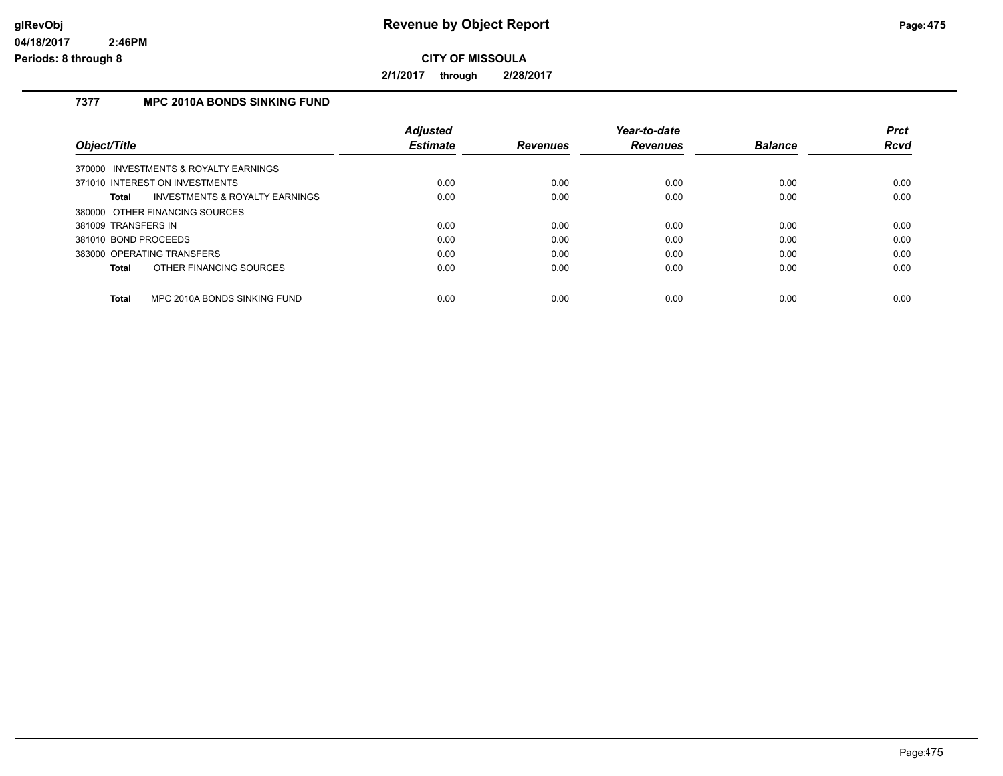**2/1/2017 through 2/28/2017**

#### **7377 MPC 2010A BONDS SINKING FUND**

|                                              | <b>Adjusted</b> |                 | Year-to-date    |                | <b>Prct</b> |
|----------------------------------------------|-----------------|-----------------|-----------------|----------------|-------------|
| Object/Title                                 | <b>Estimate</b> | <b>Revenues</b> | <b>Revenues</b> | <b>Balance</b> | <b>Rcvd</b> |
| INVESTMENTS & ROYALTY EARNINGS<br>370000     |                 |                 |                 |                |             |
| 371010 INTEREST ON INVESTMENTS               | 0.00            | 0.00            | 0.00            | 0.00           | 0.00        |
| INVESTMENTS & ROYALTY EARNINGS<br>Total      | 0.00            | 0.00            | 0.00            | 0.00           | 0.00        |
| 380000 OTHER FINANCING SOURCES               |                 |                 |                 |                |             |
| 381009 TRANSFERS IN                          | 0.00            | 0.00            | 0.00            | 0.00           | 0.00        |
| 381010 BOND PROCEEDS                         | 0.00            | 0.00            | 0.00            | 0.00           | 0.00        |
| 383000 OPERATING TRANSFERS                   | 0.00            | 0.00            | 0.00            | 0.00           | 0.00        |
| <b>Total</b><br>OTHER FINANCING SOURCES      | 0.00            | 0.00            | 0.00            | 0.00           | 0.00        |
| MPC 2010A BONDS SINKING FUND<br><b>Total</b> | 0.00            | 0.00            | 0.00            | 0.00           | 0.00        |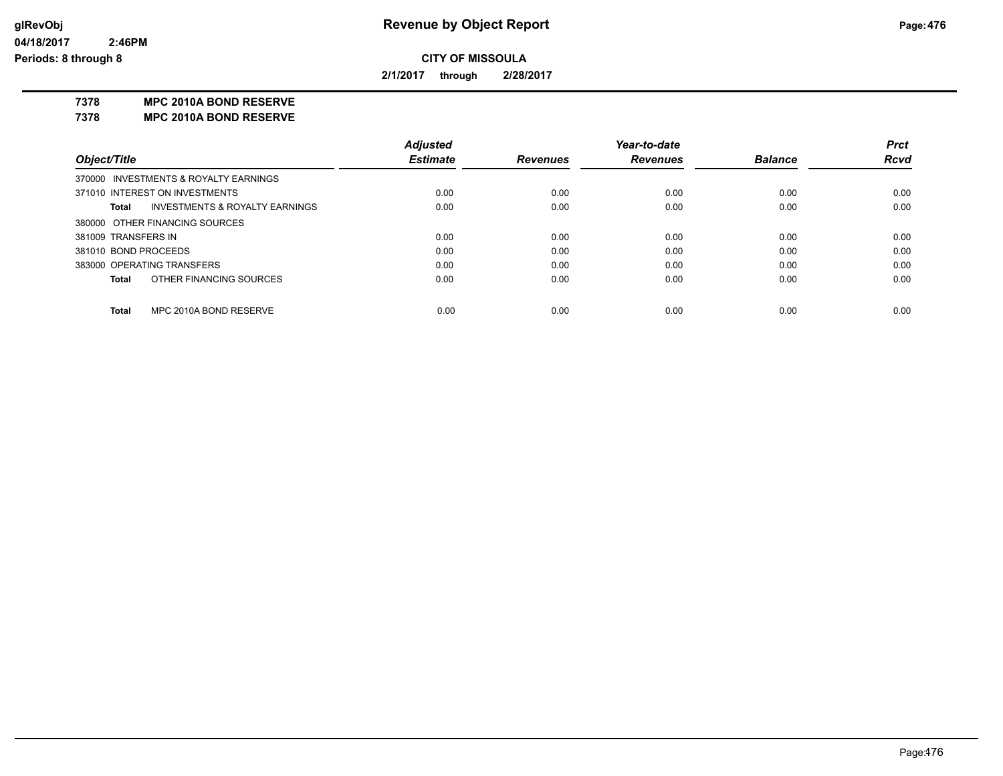**2/1/2017 through 2/28/2017**

**7378 MPC 2010A BOND RESERVE**

**7378 MPC 2010A BOND RESERVE**

|                                         | <b>Adjusted</b> |                 | Year-to-date    |                | <b>Prct</b> |
|-----------------------------------------|-----------------|-----------------|-----------------|----------------|-------------|
| Object/Title                            | <b>Estimate</b> | <b>Revenues</b> | <b>Revenues</b> | <b>Balance</b> | <b>Rcvd</b> |
| 370000 INVESTMENTS & ROYALTY EARNINGS   |                 |                 |                 |                |             |
| 371010 INTEREST ON INVESTMENTS          | 0.00            | 0.00            | 0.00            | 0.00           | 0.00        |
| INVESTMENTS & ROYALTY EARNINGS<br>Total | 0.00            | 0.00            | 0.00            | 0.00           | 0.00        |
| 380000 OTHER FINANCING SOURCES          |                 |                 |                 |                |             |
| 381009 TRANSFERS IN                     | 0.00            | 0.00            | 0.00            | 0.00           | 0.00        |
| 381010 BOND PROCEEDS                    | 0.00            | 0.00            | 0.00            | 0.00           | 0.00        |
| 383000 OPERATING TRANSFERS              | 0.00            | 0.00            | 0.00            | 0.00           | 0.00        |
| OTHER FINANCING SOURCES<br><b>Total</b> | 0.00            | 0.00            | 0.00            | 0.00           | 0.00        |
| <b>Total</b><br>MPC 2010A BOND RESERVE  | 0.00            | 0.00            | 0.00            | 0.00           | 0.00        |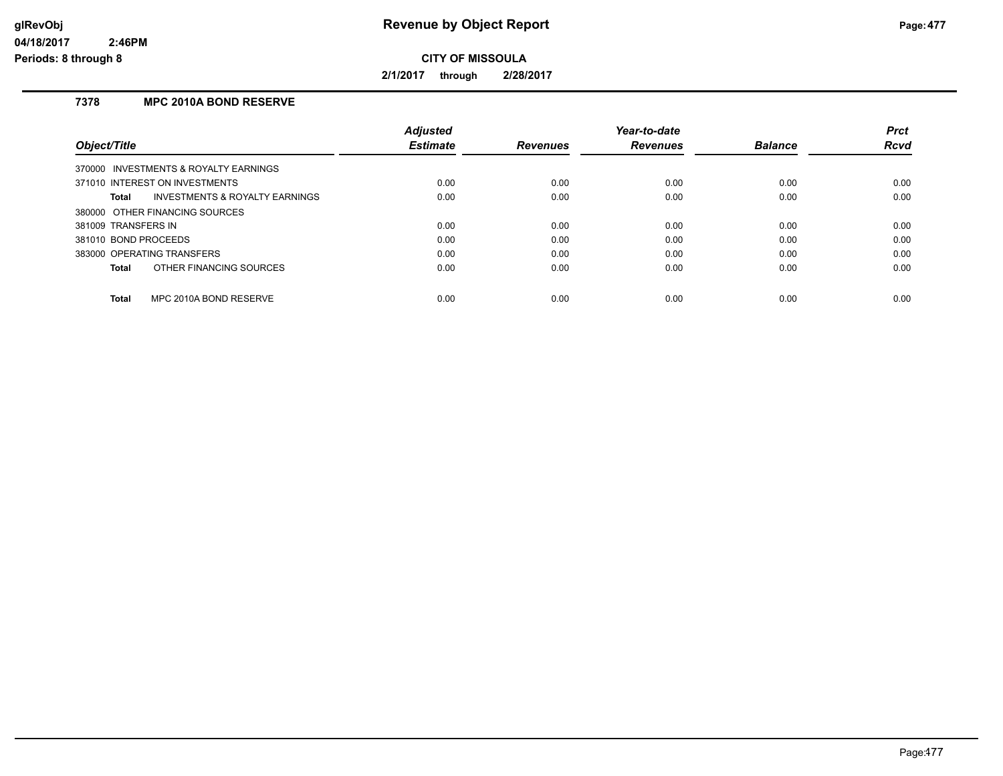**2/1/2017 through 2/28/2017**

#### **7378 MPC 2010A BOND RESERVE**

|                      |                                       | <b>Adiusted</b> |                 | Year-to-date    |                | <b>Prct</b> |
|----------------------|---------------------------------------|-----------------|-----------------|-----------------|----------------|-------------|
| Object/Title         |                                       | <b>Estimate</b> | <b>Revenues</b> | <b>Revenues</b> | <b>Balance</b> | <b>Rcvd</b> |
|                      | 370000 INVESTMENTS & ROYALTY EARNINGS |                 |                 |                 |                |             |
|                      | 371010 INTEREST ON INVESTMENTS        | 0.00            | 0.00            | 0.00            | 0.00           | 0.00        |
| Total                | INVESTMENTS & ROYALTY EARNINGS        | 0.00            | 0.00            | 0.00            | 0.00           | 0.00        |
|                      | 380000 OTHER FINANCING SOURCES        |                 |                 |                 |                |             |
| 381009 TRANSFERS IN  |                                       | 0.00            | 0.00            | 0.00            | 0.00           | 0.00        |
| 381010 BOND PROCEEDS |                                       | 0.00            | 0.00            | 0.00            | 0.00           | 0.00        |
|                      | 383000 OPERATING TRANSFERS            | 0.00            | 0.00            | 0.00            | 0.00           | 0.00        |
| Total                | OTHER FINANCING SOURCES               | 0.00            | 0.00            | 0.00            | 0.00           | 0.00        |
| <b>Total</b>         | MPC 2010A BOND RESERVE                | 0.00            | 0.00            | 0.00            | 0.00           | 0.00        |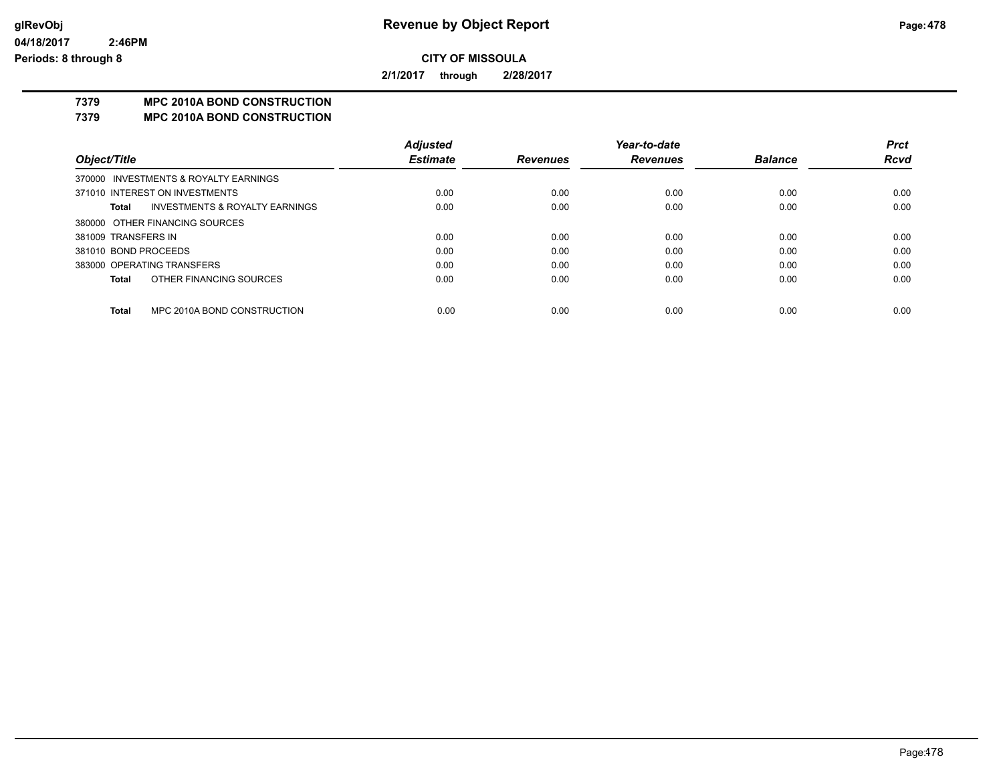**2/1/2017 through 2/28/2017**

## **7379 MPC 2010A BOND CONSTRUCTION**

### **7379 MPC 2010A BOND CONSTRUCTION**

|                                                    | <b>Adjusted</b> |                 | Year-to-date    |                | <b>Prct</b> |
|----------------------------------------------------|-----------------|-----------------|-----------------|----------------|-------------|
| Object/Title                                       | <b>Estimate</b> | <b>Revenues</b> | <b>Revenues</b> | <b>Balance</b> | <b>Rcvd</b> |
| 370000 INVESTMENTS & ROYALTY EARNINGS              |                 |                 |                 |                |             |
| 371010 INTEREST ON INVESTMENTS                     | 0.00            | 0.00            | 0.00            | 0.00           | 0.00        |
| <b>INVESTMENTS &amp; ROYALTY EARNINGS</b><br>Total | 0.00            | 0.00            | 0.00            | 0.00           | 0.00        |
| 380000 OTHER FINANCING SOURCES                     |                 |                 |                 |                |             |
| 381009 TRANSFERS IN                                | 0.00            | 0.00            | 0.00            | 0.00           | 0.00        |
| 381010 BOND PROCEEDS                               | 0.00            | 0.00            | 0.00            | 0.00           | 0.00        |
| 383000 OPERATING TRANSFERS                         | 0.00            | 0.00            | 0.00            | 0.00           | 0.00        |
| OTHER FINANCING SOURCES<br>Total                   | 0.00            | 0.00            | 0.00            | 0.00           | 0.00        |
| MPC 2010A BOND CONSTRUCTION<br>Total               | 0.00            | 0.00            | 0.00            | 0.00           | 0.00        |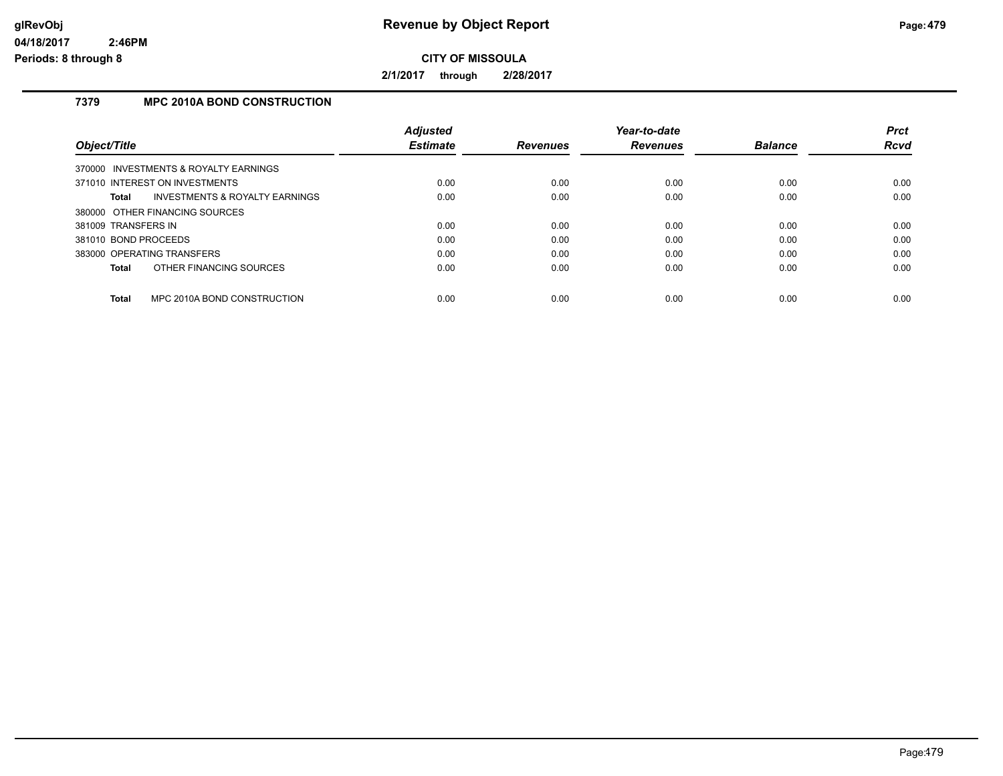**2/1/2017 through 2/28/2017**

#### **7379 MPC 2010A BOND CONSTRUCTION**

|                                             | <b>Adiusted</b> |                 | Year-to-date    |                | <b>Prct</b> |
|---------------------------------------------|-----------------|-----------------|-----------------|----------------|-------------|
| <b>Object/Title</b>                         | <b>Estimate</b> | <b>Revenues</b> | <b>Revenues</b> | <b>Balance</b> | <b>Rcvd</b> |
| 370000 INVESTMENTS & ROYALTY EARNINGS       |                 |                 |                 |                |             |
| 371010 INTEREST ON INVESTMENTS              | 0.00            | 0.00            | 0.00            | 0.00           | 0.00        |
| INVESTMENTS & ROYALTY EARNINGS<br>Total     | 0.00            | 0.00            | 0.00            | 0.00           | 0.00        |
| 380000 OTHER FINANCING SOURCES              |                 |                 |                 |                |             |
| 381009 TRANSFERS IN                         | 0.00            | 0.00            | 0.00            | 0.00           | 0.00        |
| 381010 BOND PROCEEDS                        | 0.00            | 0.00            | 0.00            | 0.00           | 0.00        |
| 383000 OPERATING TRANSFERS                  | 0.00            | 0.00            | 0.00            | 0.00           | 0.00        |
| OTHER FINANCING SOURCES<br>Total            | 0.00            | 0.00            | 0.00            | 0.00           | 0.00        |
| MPC 2010A BOND CONSTRUCTION<br><b>Total</b> | 0.00            | 0.00            | 0.00            | 0.00           | 0.00        |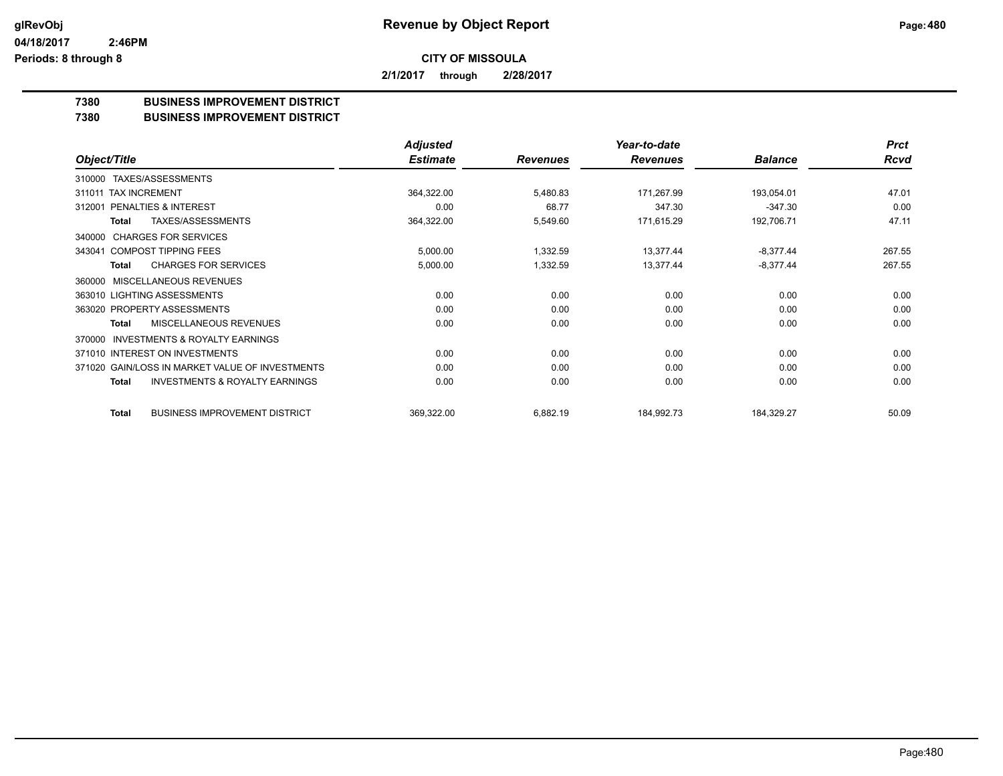**2/1/2017 through 2/28/2017**

## **7380 BUSINESS IMPROVEMENT DISTRICT**

#### **7380 BUSINESS IMPROVEMENT DISTRICT**

|                                                           | <b>Adjusted</b> |                 | Year-to-date    |                | <b>Prct</b> |
|-----------------------------------------------------------|-----------------|-----------------|-----------------|----------------|-------------|
| Object/Title                                              | <b>Estimate</b> | <b>Revenues</b> | <b>Revenues</b> | <b>Balance</b> | <b>Rcvd</b> |
| 310000 TAXES/ASSESSMENTS                                  |                 |                 |                 |                |             |
| <b>TAX INCREMENT</b><br>311011                            | 364,322.00      | 5,480.83        | 171,267.99      | 193,054.01     | 47.01       |
| PENALTIES & INTEREST<br>312001                            | 0.00            | 68.77           | 347.30          | $-347.30$      | 0.00        |
| TAXES/ASSESSMENTS<br><b>Total</b>                         | 364,322.00      | 5,549.60        | 171,615.29      | 192,706.71     | 47.11       |
| <b>CHARGES FOR SERVICES</b><br>340000                     |                 |                 |                 |                |             |
| <b>COMPOST TIPPING FEES</b><br>343041                     | 5,000.00        | 1,332.59        | 13,377.44       | $-8,377.44$    | 267.55      |
| <b>CHARGES FOR SERVICES</b><br><b>Total</b>               | 5,000.00        | 1,332.59        | 13,377.44       | $-8,377.44$    | 267.55      |
| <b>MISCELLANEOUS REVENUES</b><br>360000                   |                 |                 |                 |                |             |
| 363010 LIGHTING ASSESSMENTS                               | 0.00            | 0.00            | 0.00            | 0.00           | 0.00        |
| 363020 PROPERTY ASSESSMENTS                               | 0.00            | 0.00            | 0.00            | 0.00           | 0.00        |
| <b>MISCELLANEOUS REVENUES</b><br>Total                    | 0.00            | 0.00            | 0.00            | 0.00           | 0.00        |
| <b>INVESTMENTS &amp; ROYALTY EARNINGS</b><br>370000       |                 |                 |                 |                |             |
| 371010 INTEREST ON INVESTMENTS                            | 0.00            | 0.00            | 0.00            | 0.00           | 0.00        |
| 371020 GAIN/LOSS IN MARKET VALUE OF INVESTMENTS           | 0.00            | 0.00            | 0.00            | 0.00           | 0.00        |
| <b>INVESTMENTS &amp; ROYALTY EARNINGS</b><br><b>Total</b> | 0.00            | 0.00            | 0.00            | 0.00           | 0.00        |
| <b>BUSINESS IMPROVEMENT DISTRICT</b><br><b>Total</b>      | 369,322.00      | 6,882.19        | 184,992.73      | 184,329.27     | 50.09       |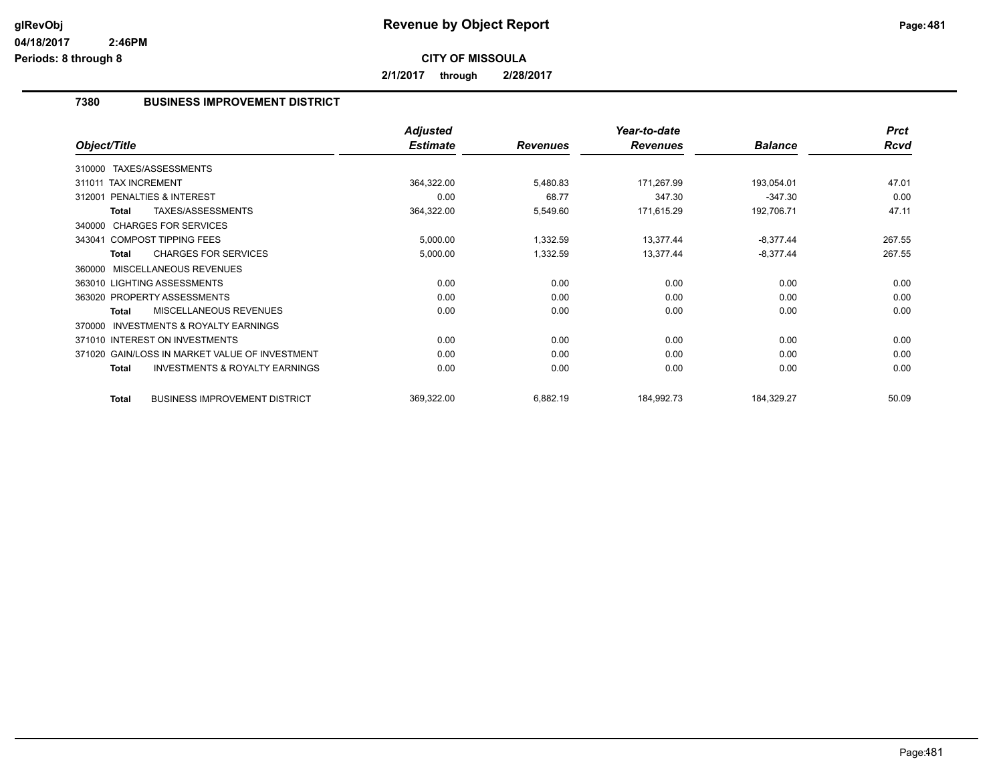**2/1/2017 through 2/28/2017**

#### **7380 BUSINESS IMPROVEMENT DISTRICT**

|                                                           | <b>Adjusted</b> |                 | Year-to-date    |                | <b>Prct</b> |
|-----------------------------------------------------------|-----------------|-----------------|-----------------|----------------|-------------|
| Object/Title                                              | <b>Estimate</b> | <b>Revenues</b> | <b>Revenues</b> | <b>Balance</b> | <b>Rcvd</b> |
| TAXES/ASSESSMENTS<br>310000                               |                 |                 |                 |                |             |
| 311011 TAX INCREMENT                                      | 364,322.00      | 5,480.83        | 171,267.99      | 193,054.01     | 47.01       |
| 312001 PENALTIES & INTEREST                               | 0.00            | 68.77           | 347.30          | $-347.30$      | 0.00        |
| TAXES/ASSESSMENTS<br><b>Total</b>                         | 364,322.00      | 5,549.60        | 171,615.29      | 192,706.71     | 47.11       |
| 340000 CHARGES FOR SERVICES                               |                 |                 |                 |                |             |
| 343041 COMPOST TIPPING FEES                               | 5,000.00        | 1,332.59        | 13,377.44       | $-8,377.44$    | 267.55      |
| <b>CHARGES FOR SERVICES</b><br>Total                      | 5,000.00        | 1,332.59        | 13,377.44       | $-8,377.44$    | 267.55      |
| MISCELLANEOUS REVENUES<br>360000                          |                 |                 |                 |                |             |
| 363010 LIGHTING ASSESSMENTS                               | 0.00            | 0.00            | 0.00            | 0.00           | 0.00        |
| 363020 PROPERTY ASSESSMENTS                               | 0.00            | 0.00            | 0.00            | 0.00           | 0.00        |
| <b>MISCELLANEOUS REVENUES</b><br>Total                    | 0.00            | 0.00            | 0.00            | 0.00           | 0.00        |
| <b>INVESTMENTS &amp; ROYALTY EARNINGS</b><br>370000       |                 |                 |                 |                |             |
| 371010 INTEREST ON INVESTMENTS                            | 0.00            | 0.00            | 0.00            | 0.00           | 0.00        |
| 371020 GAIN/LOSS IN MARKET VALUE OF INVESTMENT            | 0.00            | 0.00            | 0.00            | 0.00           | 0.00        |
| <b>INVESTMENTS &amp; ROYALTY EARNINGS</b><br><b>Total</b> | 0.00            | 0.00            | 0.00            | 0.00           | 0.00        |
| <b>BUSINESS IMPROVEMENT DISTRICT</b><br>Total             | 369,322.00      | 6,882.19        | 184,992.73      | 184,329.27     | 50.09       |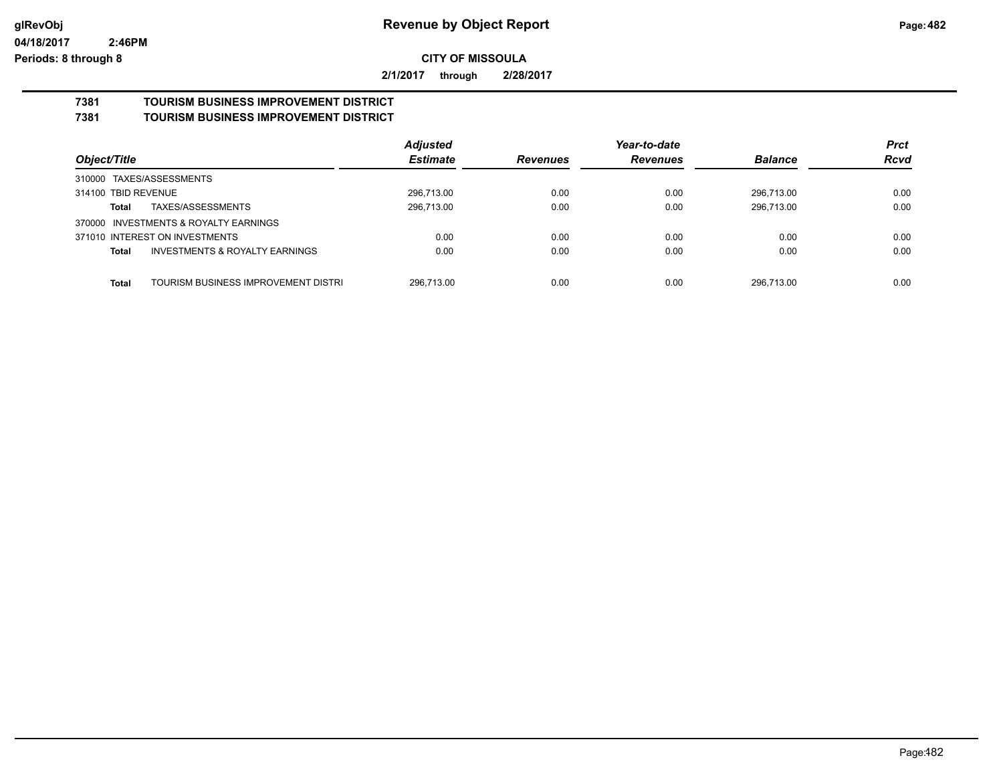**2/1/2017 through 2/28/2017**

#### **7381 TOURISM BUSINESS IMPROVEMENT DISTRICT 7381 TOURISM BUSINESS IMPROVEMENT DISTRICT**

|                                                           | <b>Adjusted</b> |                 | Year-to-date    |                | <b>Prct</b> |
|-----------------------------------------------------------|-----------------|-----------------|-----------------|----------------|-------------|
| Object/Title                                              | <b>Estimate</b> | <b>Revenues</b> | <b>Revenues</b> | <b>Balance</b> | <b>Rcvd</b> |
| TAXES/ASSESSMENTS<br>310000                               |                 |                 |                 |                |             |
| 314100 TBID REVENUE                                       | 296.713.00      | 0.00            | 0.00            | 296.713.00     | 0.00        |
| TAXES/ASSESSMENTS<br>Total                                | 296,713.00      | 0.00            | 0.00            | 296,713.00     | 0.00        |
| 370000 INVESTMENTS & ROYALTY EARNINGS                     |                 |                 |                 |                |             |
| 371010 INTEREST ON INVESTMENTS                            | 0.00            | 0.00            | 0.00            | 0.00           | 0.00        |
| <b>INVESTMENTS &amp; ROYALTY EARNINGS</b><br><b>Total</b> | 0.00            | 0.00            | 0.00            | 0.00           | 0.00        |
|                                                           |                 |                 |                 |                |             |
| TOURISM BUSINESS IMPROVEMENT DISTRI<br>Total              | 296.713.00      | 0.00            | 0.00            | 296.713.00     | 0.00        |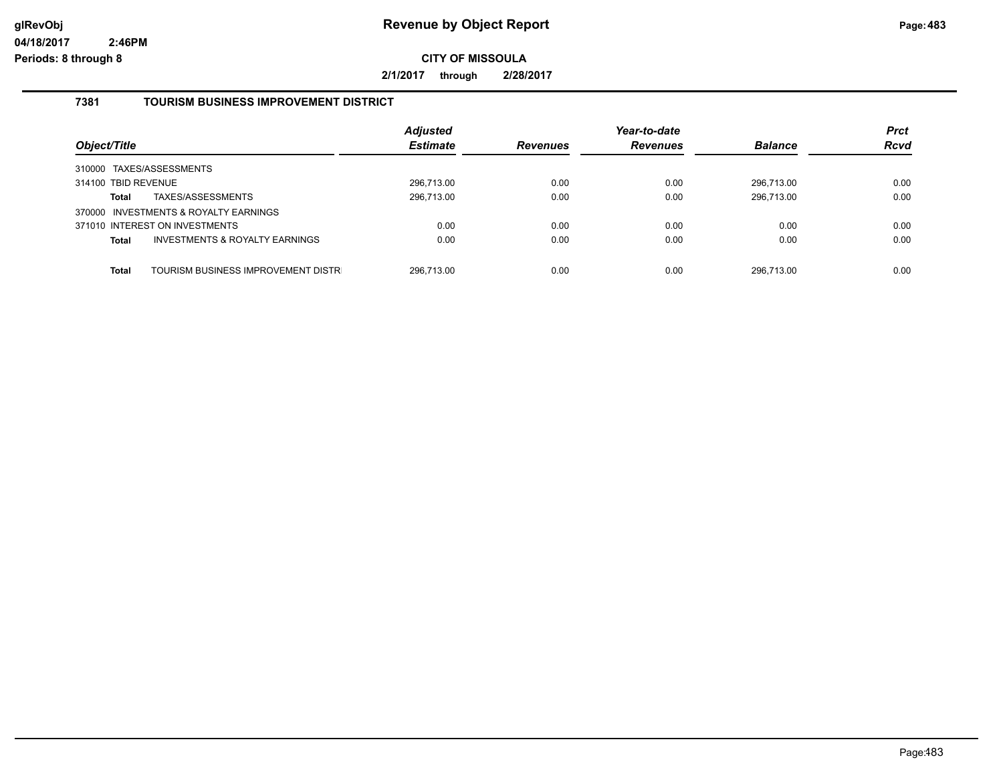**2/1/2017 through 2/28/2017**

#### **7381 TOURISM BUSINESS IMPROVEMENT DISTRICT**

| Object/Title        |                                           | <b>Adjusted</b><br><b>Estimate</b> | <b>Revenues</b> | Year-to-date<br><b>Revenues</b> | <b>Balance</b> | <b>Prct</b><br><b>Rcvd</b> |
|---------------------|-------------------------------------------|------------------------------------|-----------------|---------------------------------|----------------|----------------------------|
|                     | 310000 TAXES/ASSESSMENTS                  |                                    |                 |                                 |                |                            |
| 314100 TBID REVENUE |                                           | 296.713.00                         | 0.00            | 0.00                            | 296.713.00     | 0.00                       |
| Total               | TAXES/ASSESSMENTS                         | 296,713.00                         | 0.00            | 0.00                            | 296,713.00     | 0.00                       |
|                     | 370000 INVESTMENTS & ROYALTY EARNINGS     |                                    |                 |                                 |                |                            |
|                     | 371010 INTEREST ON INVESTMENTS            | 0.00                               | 0.00            | 0.00                            | 0.00           | 0.00                       |
| Total               | <b>INVESTMENTS &amp; ROYALTY EARNINGS</b> | 0.00                               | 0.00            | 0.00                            | 0.00           | 0.00                       |
|                     |                                           |                                    |                 |                                 |                |                            |
| Total               | TOURISM BUSINESS IMPROVEMENT DISTR        | 296.713.00                         | 0.00            | 0.00                            | 296.713.00     | 0.00                       |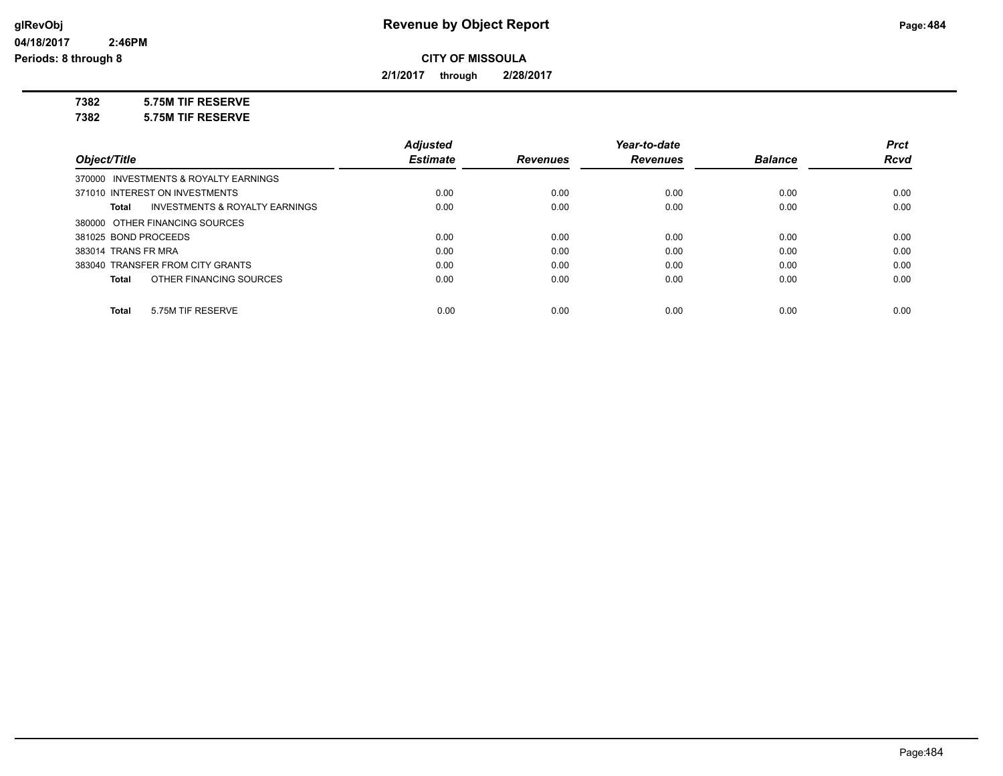**2/1/2017 through 2/28/2017**

**7382 5.75M TIF RESERVE**

|  | 7382 | 5.75M TIF RESERVE |
|--|------|-------------------|
|--|------|-------------------|

|                                          | <b>Adjusted</b> |                 | Year-to-date    |                | <b>Prct</b> |
|------------------------------------------|-----------------|-----------------|-----------------|----------------|-------------|
| Object/Title                             | <b>Estimate</b> | <b>Revenues</b> | <b>Revenues</b> | <b>Balance</b> | <b>Rcvd</b> |
| INVESTMENTS & ROYALTY EARNINGS<br>370000 |                 |                 |                 |                |             |
| 371010 INTEREST ON INVESTMENTS           | 0.00            | 0.00            | 0.00            | 0.00           | 0.00        |
| INVESTMENTS & ROYALTY EARNINGS<br>Total  | 0.00            | 0.00            | 0.00            | 0.00           | 0.00        |
| 380000 OTHER FINANCING SOURCES           |                 |                 |                 |                |             |
| 381025 BOND PROCEEDS                     | 0.00            | 0.00            | 0.00            | 0.00           | 0.00        |
| 383014 TRANS FR MRA                      | 0.00            | 0.00            | 0.00            | 0.00           | 0.00        |
| 383040 TRANSFER FROM CITY GRANTS         | 0.00            | 0.00            | 0.00            | 0.00           | 0.00        |
| OTHER FINANCING SOURCES<br>Total         | 0.00            | 0.00            | 0.00            | 0.00           | 0.00        |
| 5.75M TIF RESERVE<br><b>Total</b>        | 0.00            | 0.00            | 0.00            | 0.00           | 0.00        |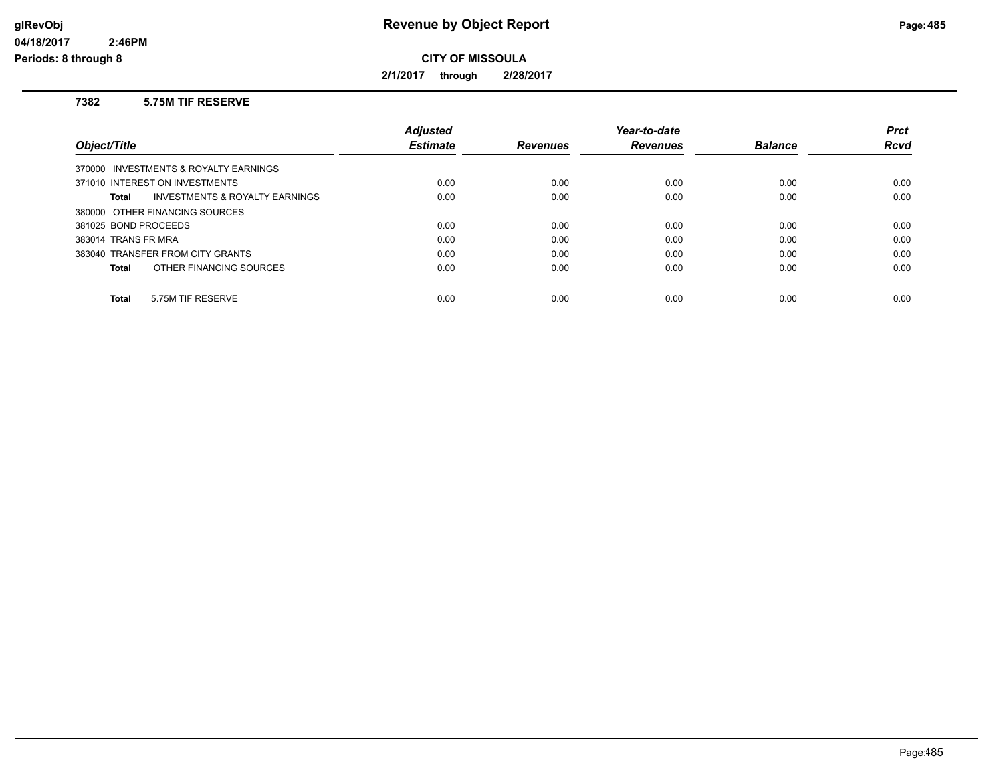**2/1/2017 through 2/28/2017**

#### **7382 5.75M TIF RESERVE**

|                                                | <b>Adiusted</b> |                 | Year-to-date    |                | <b>Prct</b> |
|------------------------------------------------|-----------------|-----------------|-----------------|----------------|-------------|
| Object/Title                                   | <b>Estimate</b> | <b>Revenues</b> | <b>Revenues</b> | <b>Balance</b> | <b>Rcvd</b> |
| 370000 INVESTMENTS & ROYALTY EARNINGS          |                 |                 |                 |                |             |
| 371010 INTEREST ON INVESTMENTS                 | 0.00            | 0.00            | 0.00            | 0.00           | 0.00        |
| INVESTMENTS & ROYALTY EARNINGS<br><b>Total</b> | 0.00            | 0.00            | 0.00            | 0.00           | 0.00        |
| 380000 OTHER FINANCING SOURCES                 |                 |                 |                 |                |             |
| 381025 BOND PROCEEDS                           | 0.00            | 0.00            | 0.00            | 0.00           | 0.00        |
| 383014 TRANS FR MRA                            | 0.00            | 0.00            | 0.00            | 0.00           | 0.00        |
| 383040 TRANSFER FROM CITY GRANTS               | 0.00            | 0.00            | 0.00            | 0.00           | 0.00        |
| OTHER FINANCING SOURCES<br><b>Total</b>        | 0.00            | 0.00            | 0.00            | 0.00           | 0.00        |
|                                                |                 |                 |                 |                |             |
| 5.75M TIF RESERVE<br><b>Total</b>              | 0.00            | 0.00            | 0.00            | 0.00           | 0.00        |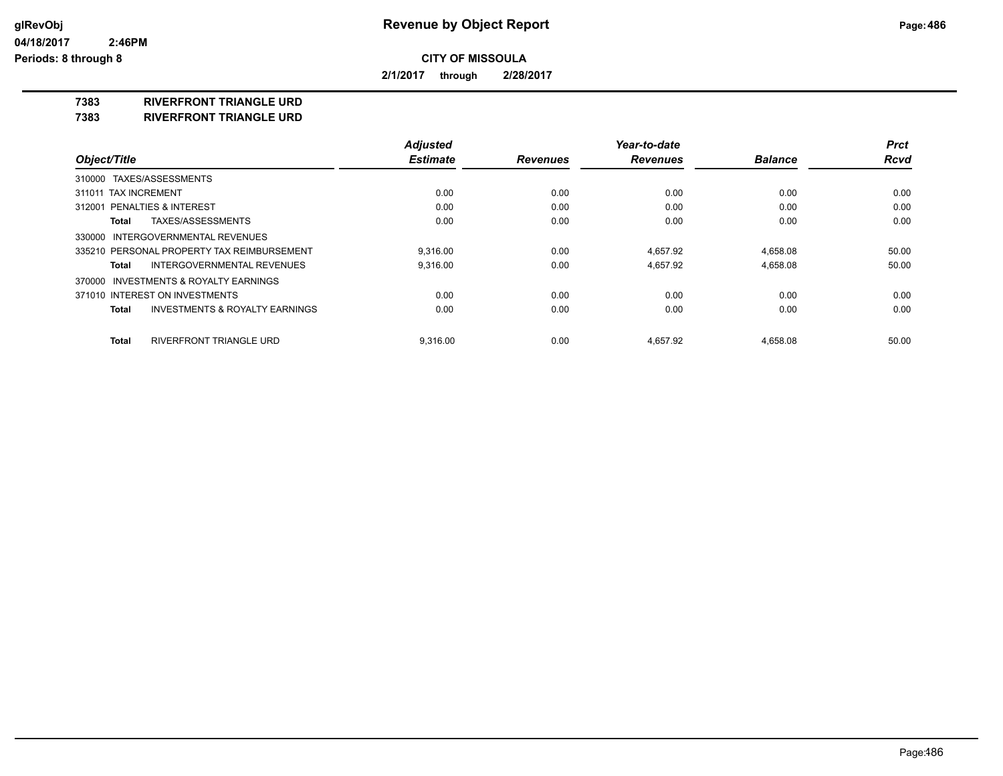**2/1/2017 through 2/28/2017**

**7383 RIVERFRONT TRIANGLE URD**

**7383 RIVERFRONT TRIANGLE URD**

|                                                    | <b>Adjusted</b> |                 | Year-to-date    |                | <b>Prct</b> |
|----------------------------------------------------|-----------------|-----------------|-----------------|----------------|-------------|
| Object/Title                                       | <b>Estimate</b> | <b>Revenues</b> | <b>Revenues</b> | <b>Balance</b> | <b>Rcvd</b> |
| 310000 TAXES/ASSESSMENTS                           |                 |                 |                 |                |             |
| 311011 TAX INCREMENT                               | 0.00            | 0.00            | 0.00            | 0.00           | 0.00        |
| 312001 PENALTIES & INTEREST                        | 0.00            | 0.00            | 0.00            | 0.00           | 0.00        |
| TAXES/ASSESSMENTS<br>Total                         | 0.00            | 0.00            | 0.00            | 0.00           | 0.00        |
| 330000 INTERGOVERNMENTAL REVENUES                  |                 |                 |                 |                |             |
| 335210 PERSONAL PROPERTY TAX REIMBURSEMENT         | 9,316.00        | 0.00            | 4,657.92        | 4,658.08       | 50.00       |
| <b>INTERGOVERNMENTAL REVENUES</b><br>Total         | 9.316.00        | 0.00            | 4,657.92        | 4,658.08       | 50.00       |
| 370000 INVESTMENTS & ROYALTY EARNINGS              |                 |                 |                 |                |             |
| 371010 INTEREST ON INVESTMENTS                     | 0.00            | 0.00            | 0.00            | 0.00           | 0.00        |
| <b>INVESTMENTS &amp; ROYALTY EARNINGS</b><br>Total | 0.00            | 0.00            | 0.00            | 0.00           | 0.00        |
| <b>RIVERFRONT TRIANGLE URD</b><br>Total            | 9.316.00        | 0.00            | 4,657.92        | 4,658.08       | 50.00       |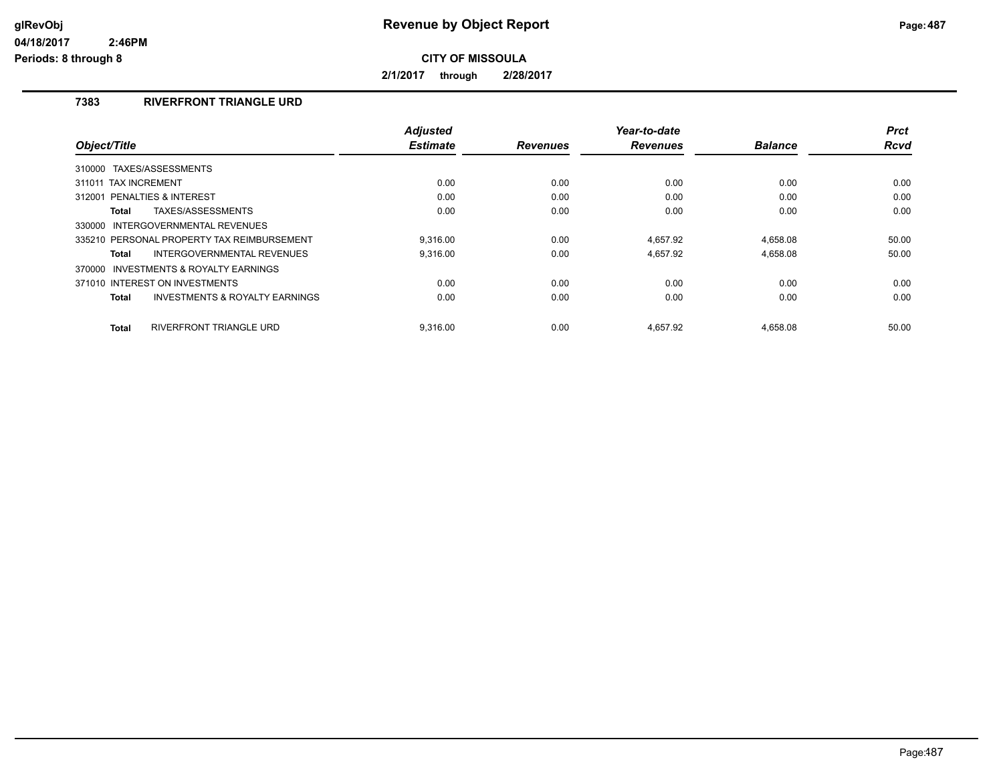**2/1/2017 through 2/28/2017**

#### **7383 RIVERFRONT TRIANGLE URD**

|                                            | <b>Adjusted</b> |                 | Year-to-date    |                | <b>Prct</b> |
|--------------------------------------------|-----------------|-----------------|-----------------|----------------|-------------|
| Object/Title                               | <b>Estimate</b> | <b>Revenues</b> | <b>Revenues</b> | <b>Balance</b> | <b>Rcvd</b> |
| 310000 TAXES/ASSESSMENTS                   |                 |                 |                 |                |             |
| 311011 TAX INCREMENT                       | 0.00            | 0.00            | 0.00            | 0.00           | 0.00        |
| PENALTIES & INTEREST<br>312001             | 0.00            | 0.00            | 0.00            | 0.00           | 0.00        |
| TAXES/ASSESSMENTS<br>Total                 | 0.00            | 0.00            | 0.00            | 0.00           | 0.00        |
| 330000 INTERGOVERNMENTAL REVENUES          |                 |                 |                 |                |             |
| 335210 PERSONAL PROPERTY TAX REIMBURSEMENT | 9.316.00        | 0.00            | 4.657.92        | 4,658.08       | 50.00       |
| INTERGOVERNMENTAL REVENUES<br>Total        | 9,316.00        | 0.00            | 4,657.92        | 4,658.08       | 50.00       |
| 370000 INVESTMENTS & ROYALTY EARNINGS      |                 |                 |                 |                |             |
| 371010 INTEREST ON INVESTMENTS             | 0.00            | 0.00            | 0.00            | 0.00           | 0.00        |
| INVESTMENTS & ROYALTY EARNINGS<br>Total    | 0.00            | 0.00            | 0.00            | 0.00           | 0.00        |
| RIVERFRONT TRIANGLE URD<br><b>Total</b>    | 9.316.00        | 0.00            | 4.657.92        | 4.658.08       | 50.00       |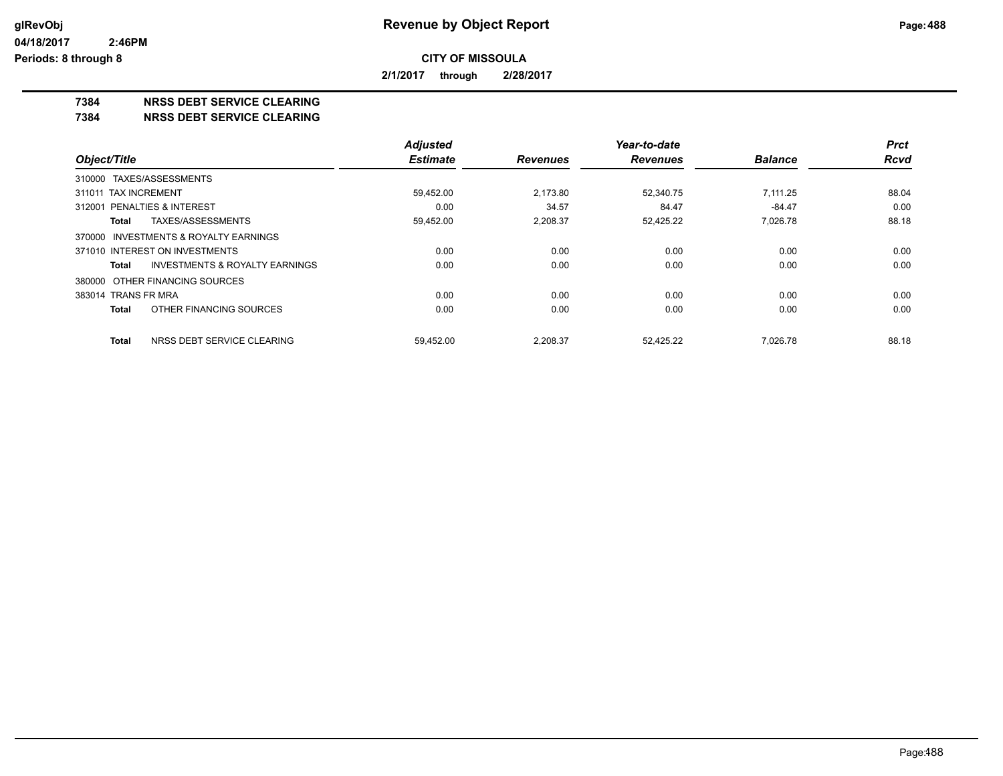**2/1/2017 through 2/28/2017**

## **7384 NRSS DEBT SERVICE CLEARING**

**7384 NRSS DEBT SERVICE CLEARING**

|                                                    | <b>Adjusted</b> |                 | Year-to-date    |                | <b>Prct</b> |
|----------------------------------------------------|-----------------|-----------------|-----------------|----------------|-------------|
| Object/Title                                       | <b>Estimate</b> | <b>Revenues</b> | <b>Revenues</b> | <b>Balance</b> | <b>Rcvd</b> |
| 310000 TAXES/ASSESSMENTS                           |                 |                 |                 |                |             |
| 311011 TAX INCREMENT                               | 59,452.00       | 2.173.80        | 52.340.75       | 7.111.25       | 88.04       |
| 312001 PENALTIES & INTEREST                        | 0.00            | 34.57           | 84.47           | -84.47         | 0.00        |
| TAXES/ASSESSMENTS<br>Total                         | 59,452.00       | 2,208.37        | 52,425.22       | 7,026.78       | 88.18       |
| 370000 INVESTMENTS & ROYALTY EARNINGS              |                 |                 |                 |                |             |
| 371010 INTEREST ON INVESTMENTS                     | 0.00            | 0.00            | 0.00            | 0.00           | 0.00        |
| <b>INVESTMENTS &amp; ROYALTY EARNINGS</b><br>Total | 0.00            | 0.00            | 0.00            | 0.00           | 0.00        |
| 380000 OTHER FINANCING SOURCES                     |                 |                 |                 |                |             |
| 383014 TRANS FR MRA                                | 0.00            | 0.00            | 0.00            | 0.00           | 0.00        |
| OTHER FINANCING SOURCES<br>Total                   | 0.00            | 0.00            | 0.00            | 0.00           | 0.00        |
| NRSS DEBT SERVICE CLEARING<br>Total                | 59,452.00       | 2.208.37        | 52.425.22       | 7.026.78       | 88.18       |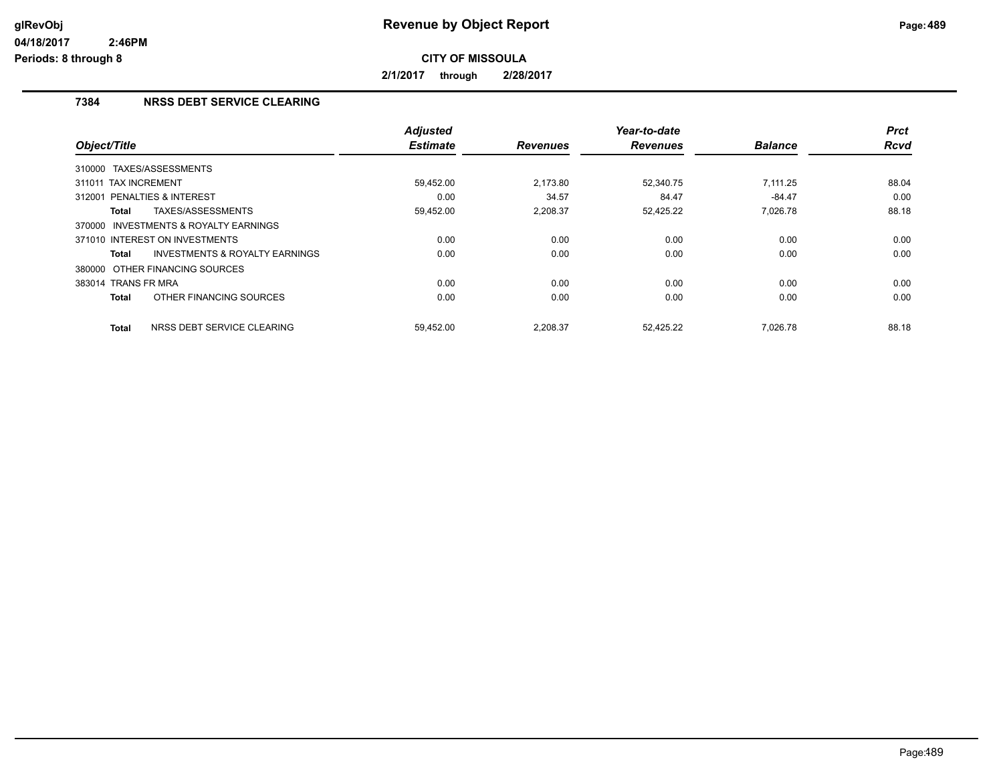**2/1/2017 through 2/28/2017**

#### **7384 NRSS DEBT SERVICE CLEARING**

|                                                | <b>Adjusted</b> |                 | Year-to-date    |                | <b>Prct</b> |
|------------------------------------------------|-----------------|-----------------|-----------------|----------------|-------------|
| Object/Title                                   | <b>Estimate</b> | <b>Revenues</b> | <b>Revenues</b> | <b>Balance</b> | <b>Rcvd</b> |
| TAXES/ASSESSMENTS<br>310000                    |                 |                 |                 |                |             |
| 311011 TAX INCREMENT                           | 59,452.00       | 2.173.80        | 52,340.75       | 7,111.25       | 88.04       |
| PENALTIES & INTEREST<br>312001                 | 0.00            | 34.57           | 84.47           | $-84.47$       | 0.00        |
| TAXES/ASSESSMENTS<br><b>Total</b>              | 59,452.00       | 2,208.37        | 52,425.22       | 7.026.78       | 88.18       |
| INVESTMENTS & ROYALTY EARNINGS<br>370000       |                 |                 |                 |                |             |
| 371010 INTEREST ON INVESTMENTS                 | 0.00            | 0.00            | 0.00            | 0.00           | 0.00        |
| INVESTMENTS & ROYALTY EARNINGS<br><b>Total</b> | 0.00            | 0.00            | 0.00            | 0.00           | 0.00        |
| 380000 OTHER FINANCING SOURCES                 |                 |                 |                 |                |             |
| 383014 TRANS FR MRA                            | 0.00            | 0.00            | 0.00            | 0.00           | 0.00        |
| OTHER FINANCING SOURCES<br><b>Total</b>        | 0.00            | 0.00            | 0.00            | 0.00           | 0.00        |
| NRSS DEBT SERVICE CLEARING<br><b>Total</b>     | 59,452.00       | 2,208.37        | 52,425.22       | 7.026.78       | 88.18       |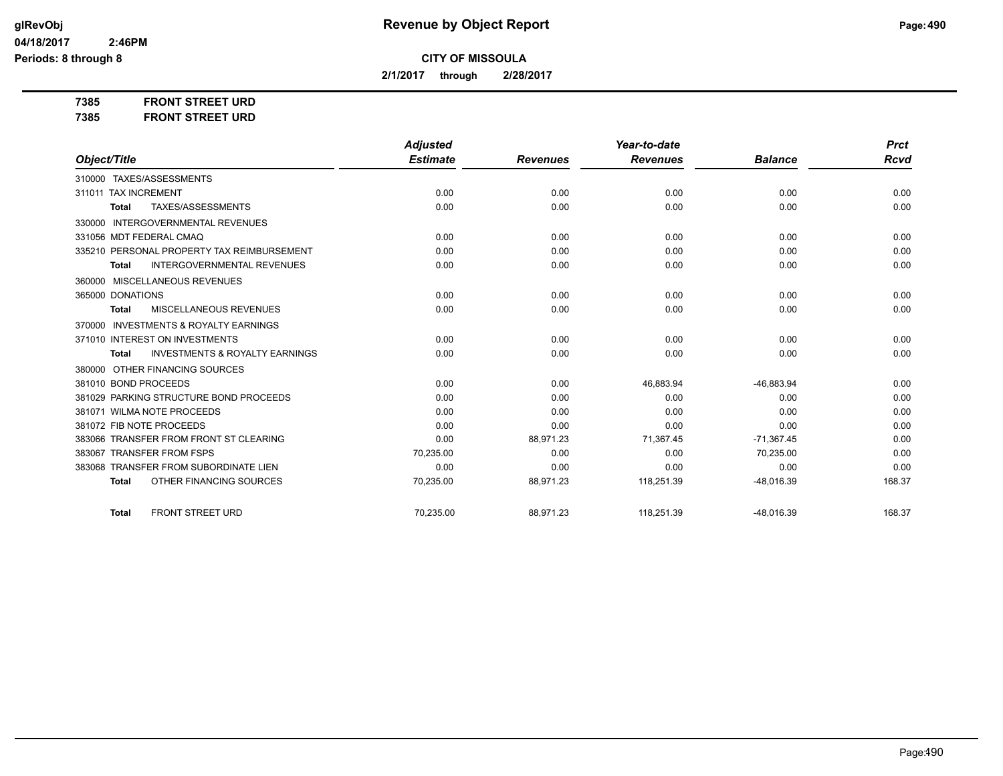**2/1/2017 through 2/28/2017**

**7385 FRONT STREET URD**

| 7385 | <b>FRONT STREET URD</b> |
|------|-------------------------|

|                                                     | <b>Adjusted</b> |                 | Year-to-date    |                | <b>Prct</b> |
|-----------------------------------------------------|-----------------|-----------------|-----------------|----------------|-------------|
| Object/Title                                        | <b>Estimate</b> | <b>Revenues</b> | <b>Revenues</b> | <b>Balance</b> | <b>Rcvd</b> |
| 310000 TAXES/ASSESSMENTS                            |                 |                 |                 |                |             |
| 311011 TAX INCREMENT                                | 0.00            | 0.00            | 0.00            | 0.00           | 0.00        |
| TAXES/ASSESSMENTS<br><b>Total</b>                   | 0.00            | 0.00            | 0.00            | 0.00           | 0.00        |
| <b>INTERGOVERNMENTAL REVENUES</b><br>330000         |                 |                 |                 |                |             |
| 331056 MDT FEDERAL CMAQ                             | 0.00            | 0.00            | 0.00            | 0.00           | 0.00        |
| 335210 PERSONAL PROPERTY TAX REIMBURSEMENT          | 0.00            | 0.00            | 0.00            | 0.00           | 0.00        |
| <b>INTERGOVERNMENTAL REVENUES</b><br><b>Total</b>   | 0.00            | 0.00            | 0.00            | 0.00           | 0.00        |
| 360000 MISCELLANEOUS REVENUES                       |                 |                 |                 |                |             |
| 365000 DONATIONS                                    | 0.00            | 0.00            | 0.00            | 0.00           | 0.00        |
| <b>MISCELLANEOUS REVENUES</b><br><b>Total</b>       | 0.00            | 0.00            | 0.00            | 0.00           | 0.00        |
| <b>INVESTMENTS &amp; ROYALTY EARNINGS</b><br>370000 |                 |                 |                 |                |             |
| 371010 INTEREST ON INVESTMENTS                      | 0.00            | 0.00            | 0.00            | 0.00           | 0.00        |
| <b>INVESTMENTS &amp; ROYALTY EARNINGS</b><br>Total  | 0.00            | 0.00            | 0.00            | 0.00           | 0.00        |
| 380000 OTHER FINANCING SOURCES                      |                 |                 |                 |                |             |
| 381010 BOND PROCEEDS                                | 0.00            | 0.00            | 46,883.94       | $-46,883.94$   | 0.00        |
| 381029 PARKING STRUCTURE BOND PROCEEDS              | 0.00            | 0.00            | 0.00            | 0.00           | 0.00        |
| 381071 WILMA NOTE PROCEEDS                          | 0.00            | 0.00            | 0.00            | 0.00           | 0.00        |
| 381072 FIB NOTE PROCEEDS                            | 0.00            | 0.00            | 0.00            | 0.00           | 0.00        |
| 383066 TRANSFER FROM FRONT ST CLEARING              | 0.00            | 88,971.23       | 71,367.45       | $-71,367.45$   | 0.00        |
| 383067 TRANSFER FROM FSPS                           | 70,235.00       | 0.00            | 0.00            | 70,235.00      | 0.00        |
| 383068 TRANSFER FROM SUBORDINATE LIEN               | 0.00            | 0.00            | 0.00            | 0.00           | 0.00        |
| OTHER FINANCING SOURCES<br><b>Total</b>             | 70,235.00       | 88,971.23       | 118,251.39      | $-48,016.39$   | 168.37      |
| <b>FRONT STREET URD</b><br><b>Total</b>             | 70,235.00       | 88,971.23       | 118,251.39      | $-48,016.39$   | 168.37      |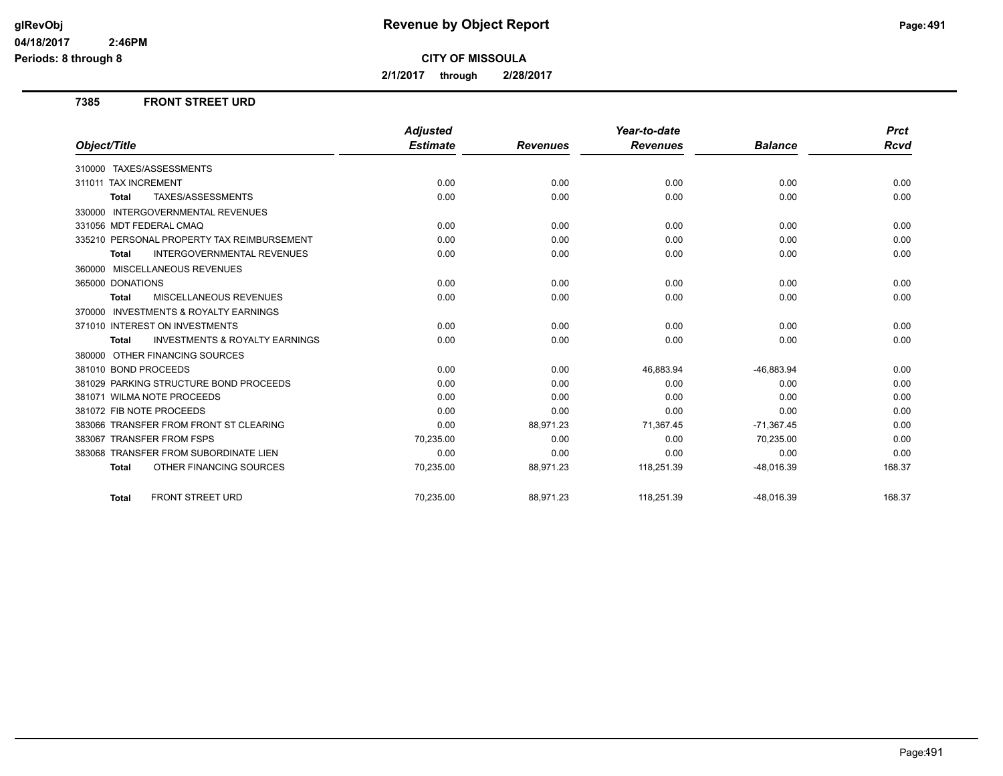**2/1/2017 through 2/28/2017**

#### **7385 FRONT STREET URD**

|                                                    | <b>Adjusted</b> |                 | Year-to-date    |                | <b>Prct</b> |
|----------------------------------------------------|-----------------|-----------------|-----------------|----------------|-------------|
| Object/Title                                       | <b>Estimate</b> | <b>Revenues</b> | <b>Revenues</b> | <b>Balance</b> | Rcvd        |
| 310000 TAXES/ASSESSMENTS                           |                 |                 |                 |                |             |
| 311011 TAX INCREMENT                               | 0.00            | 0.00            | 0.00            | 0.00           | 0.00        |
| TAXES/ASSESSMENTS<br><b>Total</b>                  | 0.00            | 0.00            | 0.00            | 0.00           | 0.00        |
| 330000 INTERGOVERNMENTAL REVENUES                  |                 |                 |                 |                |             |
| 331056 MDT FEDERAL CMAQ                            | 0.00            | 0.00            | 0.00            | 0.00           | 0.00        |
| 335210 PERSONAL PROPERTY TAX REIMBURSEMENT         | 0.00            | 0.00            | 0.00            | 0.00           | 0.00        |
| <b>INTERGOVERNMENTAL REVENUES</b><br><b>Total</b>  | 0.00            | 0.00            | 0.00            | 0.00           | 0.00        |
| 360000 MISCELLANEOUS REVENUES                      |                 |                 |                 |                |             |
| 365000 DONATIONS                                   | 0.00            | 0.00            | 0.00            | 0.00           | 0.00        |
| <b>MISCELLANEOUS REVENUES</b><br><b>Total</b>      | 0.00            | 0.00            | 0.00            | 0.00           | 0.00        |
| 370000 INVESTMENTS & ROYALTY EARNINGS              |                 |                 |                 |                |             |
| 371010 INTEREST ON INVESTMENTS                     | 0.00            | 0.00            | 0.00            | 0.00           | 0.00        |
| <b>INVESTMENTS &amp; ROYALTY EARNINGS</b><br>Total | 0.00            | 0.00            | 0.00            | 0.00           | 0.00        |
| 380000 OTHER FINANCING SOURCES                     |                 |                 |                 |                |             |
| 381010 BOND PROCEEDS                               | 0.00            | 0.00            | 46.883.94       | -46.883.94     | 0.00        |
| 381029 PARKING STRUCTURE BOND PROCEEDS             | 0.00            | 0.00            | 0.00            | 0.00           | 0.00        |
| 381071 WILMA NOTE PROCEEDS                         | 0.00            | 0.00            | 0.00            | 0.00           | 0.00        |
| 381072 FIB NOTE PROCEEDS                           | 0.00            | 0.00            | 0.00            | 0.00           | 0.00        |
| 383066 TRANSFER FROM FRONT ST CLEARING             | 0.00            | 88,971.23       | 71,367.45       | $-71,367.45$   | 0.00        |
| 383067 TRANSFER FROM FSPS                          | 70,235.00       | 0.00            | 0.00            | 70,235.00      | 0.00        |
| 383068 TRANSFER FROM SUBORDINATE LIEN              | 0.00            | 0.00            | 0.00            | 0.00           | 0.00        |
| OTHER FINANCING SOURCES<br><b>Total</b>            | 70,235.00       | 88,971.23       | 118,251.39      | $-48,016.39$   | 168.37      |
| <b>FRONT STREET URD</b><br><b>Total</b>            | 70.235.00       | 88.971.23       | 118.251.39      | -48.016.39     | 168.37      |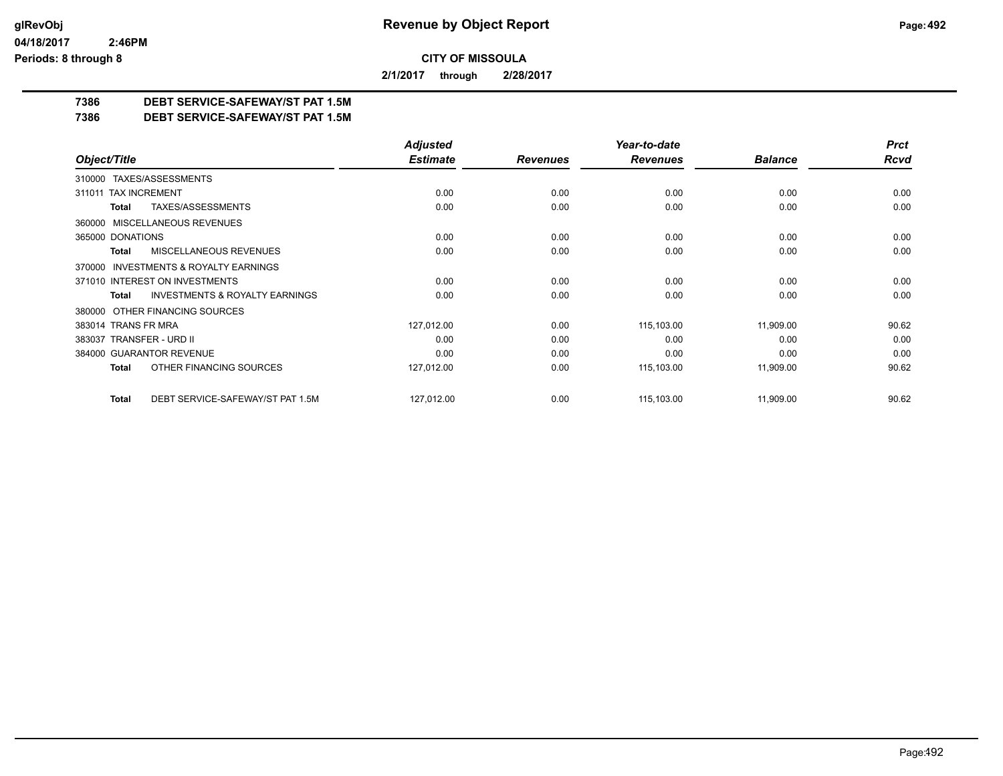**2/1/2017 through 2/28/2017**

#### **7386 DEBT SERVICE-SAFEWAY/ST PAT 1.5M 7386 DEBT SERVICE-SAFEWAY/ST PAT 1.5M**

|                                                           | <b>Adjusted</b> |                 | Year-to-date    |                | <b>Prct</b> |
|-----------------------------------------------------------|-----------------|-----------------|-----------------|----------------|-------------|
| Object/Title                                              | <b>Estimate</b> | <b>Revenues</b> | <b>Revenues</b> | <b>Balance</b> | <b>Rcvd</b> |
| 310000 TAXES/ASSESSMENTS                                  |                 |                 |                 |                |             |
| <b>TAX INCREMENT</b><br>311011                            | 0.00            | 0.00            | 0.00            | 0.00           | 0.00        |
| TAXES/ASSESSMENTS<br><b>Total</b>                         | 0.00            | 0.00            | 0.00            | 0.00           | 0.00        |
| 360000 MISCELLANEOUS REVENUES                             |                 |                 |                 |                |             |
| 365000 DONATIONS                                          | 0.00            | 0.00            | 0.00            | 0.00           | 0.00        |
| MISCELLANEOUS REVENUES<br><b>Total</b>                    | 0.00            | 0.00            | 0.00            | 0.00           | 0.00        |
| <b>INVESTMENTS &amp; ROYALTY EARNINGS</b><br>370000       |                 |                 |                 |                |             |
| 371010 INTEREST ON INVESTMENTS                            | 0.00            | 0.00            | 0.00            | 0.00           | 0.00        |
| <b>INVESTMENTS &amp; ROYALTY EARNINGS</b><br><b>Total</b> | 0.00            | 0.00            | 0.00            | 0.00           | 0.00        |
| OTHER FINANCING SOURCES<br>380000                         |                 |                 |                 |                |             |
| 383014 TRANS FR MRA                                       | 127,012.00      | 0.00            | 115,103.00      | 11,909.00      | 90.62       |
| 383037 TRANSFER - URD II                                  | 0.00            | 0.00            | 0.00            | 0.00           | 0.00        |
| 384000 GUARANTOR REVENUE                                  | 0.00            | 0.00            | 0.00            | 0.00           | 0.00        |
| OTHER FINANCING SOURCES<br><b>Total</b>                   | 127,012.00      | 0.00            | 115,103.00      | 11,909.00      | 90.62       |
| DEBT SERVICE-SAFEWAY/ST PAT 1.5M<br><b>Total</b>          | 127,012.00      | 0.00            | 115,103.00      | 11,909.00      | 90.62       |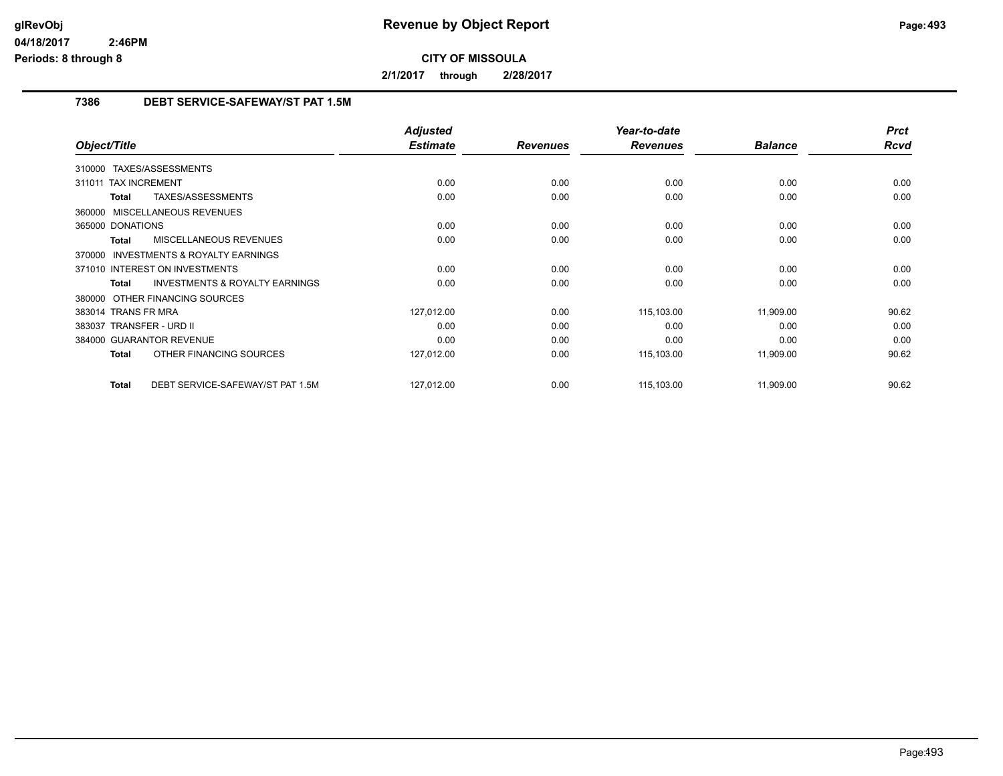**2/1/2017 through 2/28/2017**

#### **7386 DEBT SERVICE-SAFEWAY/ST PAT 1.5M**

|                                                           | <b>Adjusted</b> |                 | Year-to-date    |                | <b>Prct</b> |
|-----------------------------------------------------------|-----------------|-----------------|-----------------|----------------|-------------|
| Object/Title                                              | <b>Estimate</b> | <b>Revenues</b> | <b>Revenues</b> | <b>Balance</b> | <b>Rcvd</b> |
| 310000 TAXES/ASSESSMENTS                                  |                 |                 |                 |                |             |
| <b>TAX INCREMENT</b><br>311011                            | 0.00            | 0.00            | 0.00            | 0.00           | 0.00        |
| TAXES/ASSESSMENTS<br><b>Total</b>                         | 0.00            | 0.00            | 0.00            | 0.00           | 0.00        |
| 360000 MISCELLANEOUS REVENUES                             |                 |                 |                 |                |             |
| 365000 DONATIONS                                          | 0.00            | 0.00            | 0.00            | 0.00           | 0.00        |
| MISCELLANEOUS REVENUES<br><b>Total</b>                    | 0.00            | 0.00            | 0.00            | 0.00           | 0.00        |
| 370000 INVESTMENTS & ROYALTY EARNINGS                     |                 |                 |                 |                |             |
| 371010 INTEREST ON INVESTMENTS                            | 0.00            | 0.00            | 0.00            | 0.00           | 0.00        |
| <b>INVESTMENTS &amp; ROYALTY EARNINGS</b><br><b>Total</b> | 0.00            | 0.00            | 0.00            | 0.00           | 0.00        |
| 380000 OTHER FINANCING SOURCES                            |                 |                 |                 |                |             |
| 383014 TRANS FR MRA                                       | 127,012.00      | 0.00            | 115,103.00      | 11,909.00      | 90.62       |
| 383037 TRANSFER - URD II                                  | 0.00            | 0.00            | 0.00            | 0.00           | 0.00        |
| 384000 GUARANTOR REVENUE                                  | 0.00            | 0.00            | 0.00            | 0.00           | 0.00        |
| OTHER FINANCING SOURCES<br><b>Total</b>                   | 127,012.00      | 0.00            | 115,103.00      | 11,909.00      | 90.62       |
| DEBT SERVICE-SAFEWAY/ST PAT 1.5M<br><b>Total</b>          | 127,012.00      | 0.00            | 115,103.00      | 11,909.00      | 90.62       |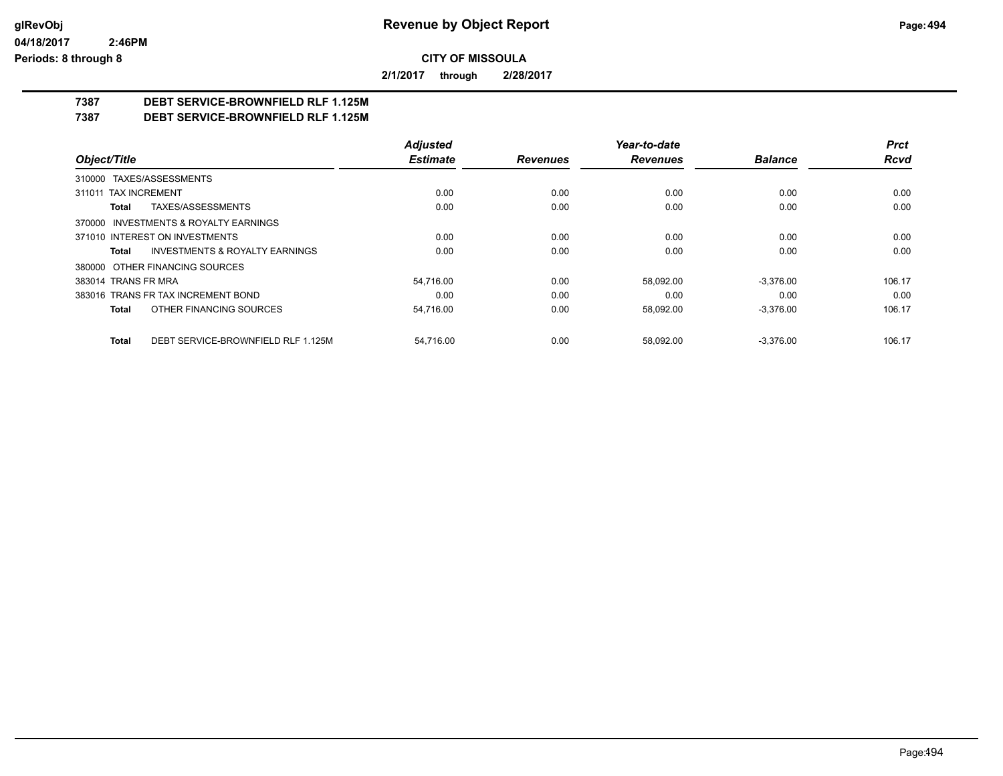**2/1/2017 through 2/28/2017**

#### **7387 DEBT SERVICE-BROWNFIELD RLF 1.125M 7387 DEBT SERVICE-BROWNFIELD RLF 1.125M**

|                                                     | <b>Adjusted</b> |                 | Year-to-date    |                | <b>Prct</b> |
|-----------------------------------------------------|-----------------|-----------------|-----------------|----------------|-------------|
| Object/Title                                        | <b>Estimate</b> | <b>Revenues</b> | <b>Revenues</b> | <b>Balance</b> | <b>Rcvd</b> |
| TAXES/ASSESSMENTS<br>310000                         |                 |                 |                 |                |             |
| <b>TAX INCREMENT</b><br>311011                      | 0.00            | 0.00            | 0.00            | 0.00           | 0.00        |
| TAXES/ASSESSMENTS<br>Total                          | 0.00            | 0.00            | 0.00            | 0.00           | 0.00        |
| <b>INVESTMENTS &amp; ROYALTY EARNINGS</b><br>370000 |                 |                 |                 |                |             |
| 371010 INTEREST ON INVESTMENTS                      | 0.00            | 0.00            | 0.00            | 0.00           | 0.00        |
| <b>INVESTMENTS &amp; ROYALTY EARNINGS</b><br>Total  | 0.00            | 0.00            | 0.00            | 0.00           | 0.00        |
| 380000 OTHER FINANCING SOURCES                      |                 |                 |                 |                |             |
| 383014 TRANS FR MRA                                 | 54.716.00       | 0.00            | 58,092.00       | $-3.376.00$    | 106.17      |
| 383016 TRANS FR TAX INCREMENT BOND                  | 0.00            | 0.00            | 0.00            | 0.00           | 0.00        |
| OTHER FINANCING SOURCES<br>Total                    | 54,716.00       | 0.00            | 58,092.00       | $-3,376.00$    | 106.17      |
| DEBT SERVICE-BROWNFIELD RLF 1.125M<br>Total         | 54.716.00       | 0.00            | 58.092.00       | $-3.376.00$    | 106.17      |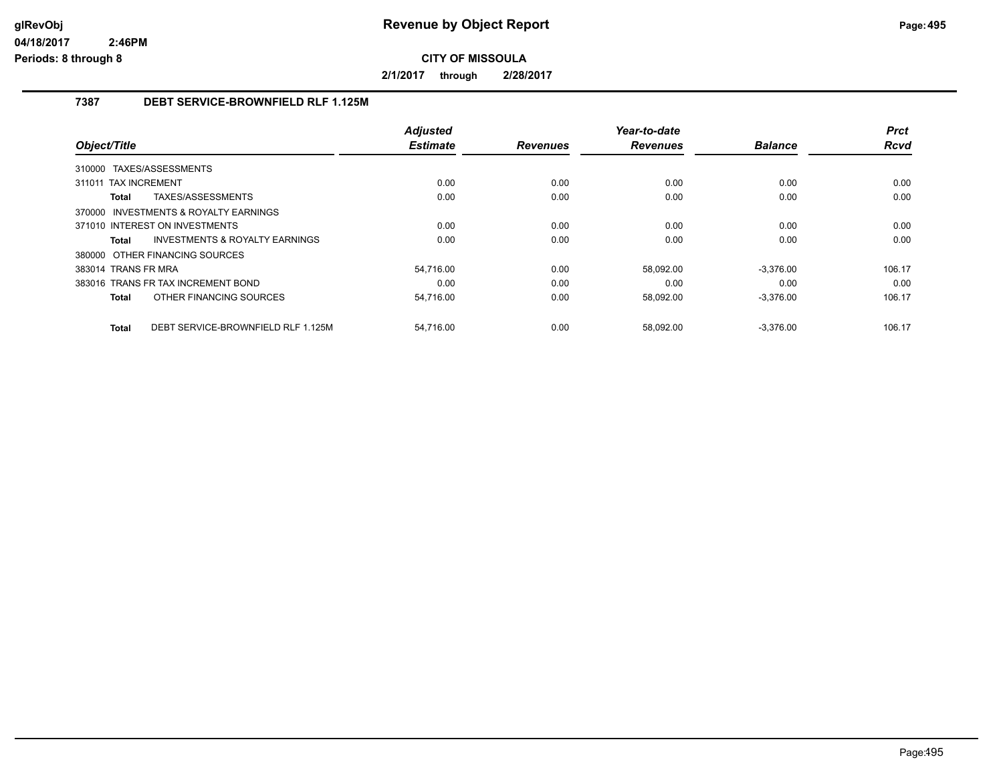**2/1/2017 through 2/28/2017**

#### **7387 DEBT SERVICE-BROWNFIELD RLF 1.125M**

|                                                    | <b>Adjusted</b> |                 | Year-to-date    |                | <b>Prct</b> |
|----------------------------------------------------|-----------------|-----------------|-----------------|----------------|-------------|
| Object/Title                                       | <b>Estimate</b> | <b>Revenues</b> | <b>Revenues</b> | <b>Balance</b> | <b>Rcvd</b> |
| TAXES/ASSESSMENTS<br>310000                        |                 |                 |                 |                |             |
| 311011 TAX INCREMENT                               | 0.00            | 0.00            | 0.00            | 0.00           | 0.00        |
| TAXES/ASSESSMENTS<br><b>Total</b>                  | 0.00            | 0.00            | 0.00            | 0.00           | 0.00        |
| 370000 INVESTMENTS & ROYALTY EARNINGS              |                 |                 |                 |                |             |
| 371010 INTEREST ON INVESTMENTS                     | 0.00            | 0.00            | 0.00            | 0.00           | 0.00        |
| <b>INVESTMENTS &amp; ROYALTY EARNINGS</b><br>Total | 0.00            | 0.00            | 0.00            | 0.00           | 0.00        |
| 380000 OTHER FINANCING SOURCES                     |                 |                 |                 |                |             |
| 383014 TRANS FR MRA                                | 54.716.00       | 0.00            | 58.092.00       | $-3.376.00$    | 106.17      |
| 383016 TRANS FR TAX INCREMENT BOND                 | 0.00            | 0.00            | 0.00            | 0.00           | 0.00        |
| OTHER FINANCING SOURCES<br><b>Total</b>            | 54,716.00       | 0.00            | 58,092.00       | $-3,376.00$    | 106.17      |
| DEBT SERVICE-BROWNFIELD RLF 1.125M<br><b>Total</b> | 54.716.00       | 0.00            | 58.092.00       | $-3.376.00$    | 106.17      |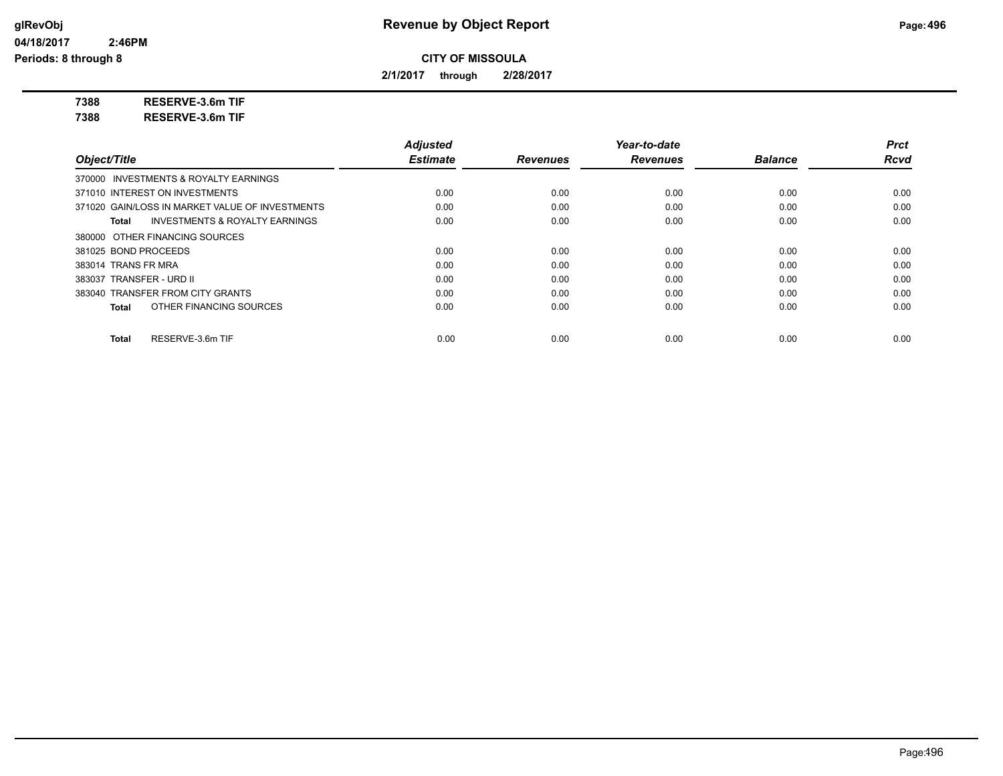**2/1/2017 through 2/28/2017**

**7388 RESERVE-3.6m TIF 7388 RESERVE-3.6m TIF**

|                                                    | <b>Adjusted</b> |                 | Year-to-date    |                | <b>Prct</b> |
|----------------------------------------------------|-----------------|-----------------|-----------------|----------------|-------------|
| Object/Title                                       | <b>Estimate</b> | <b>Revenues</b> | <b>Revenues</b> | <b>Balance</b> | Rcvd        |
| 370000 INVESTMENTS & ROYALTY EARNINGS              |                 |                 |                 |                |             |
| 371010 INTEREST ON INVESTMENTS                     | 0.00            | 0.00            | 0.00            | 0.00           | 0.00        |
| 371020 GAIN/LOSS IN MARKET VALUE OF INVESTMENTS    | 0.00            | 0.00            | 0.00            | 0.00           | 0.00        |
| <b>INVESTMENTS &amp; ROYALTY EARNINGS</b><br>Total | 0.00            | 0.00            | 0.00            | 0.00           | 0.00        |
| 380000 OTHER FINANCING SOURCES                     |                 |                 |                 |                |             |
| 381025 BOND PROCEEDS                               | 0.00            | 0.00            | 0.00            | 0.00           | 0.00        |
| 383014 TRANS FR MRA                                | 0.00            | 0.00            | 0.00            | 0.00           | 0.00        |
| 383037 TRANSFER - URD II                           | 0.00            | 0.00            | 0.00            | 0.00           | 0.00        |
| 383040 TRANSFER FROM CITY GRANTS                   | 0.00            | 0.00            | 0.00            | 0.00           | 0.00        |
| OTHER FINANCING SOURCES<br>Total                   | 0.00            | 0.00            | 0.00            | 0.00           | 0.00        |
| RESERVE-3.6m TIF<br>Total                          | 0.00            | 0.00            | 0.00            | 0.00           | 0.00        |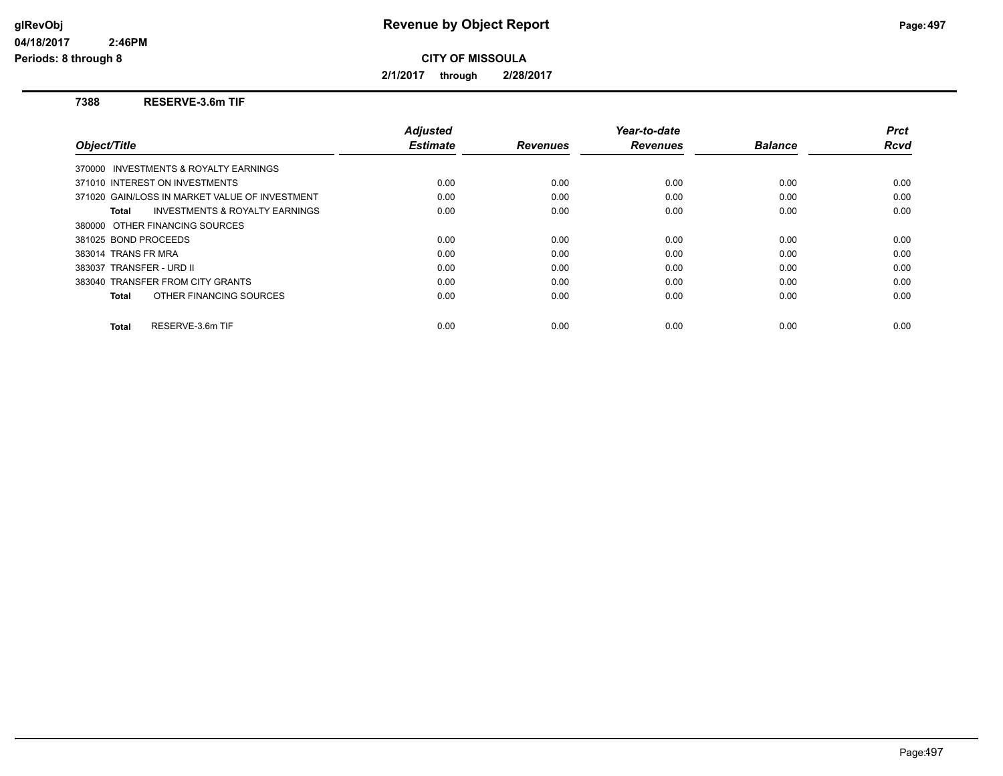**Periods: 8 through 8**

#### **CITY OF MISSOULA**

**2/1/2017 through 2/28/2017**

#### **7388 RESERVE-3.6m TIF**

 **2:46PM**

| Object/Title                                   | <b>Adjusted</b><br><b>Estimate</b> | <b>Revenues</b> | Year-to-date<br><b>Revenues</b> | <b>Balance</b> | <b>Prct</b><br><b>Rcvd</b> |
|------------------------------------------------|------------------------------------|-----------------|---------------------------------|----------------|----------------------------|
|                                                |                                    |                 |                                 |                |                            |
| 370000 INVESTMENTS & ROYALTY EARNINGS          |                                    |                 |                                 |                |                            |
| 371010 INTEREST ON INVESTMENTS                 | 0.00                               | 0.00            | 0.00                            | 0.00           | 0.00                       |
| 371020 GAIN/LOSS IN MARKET VALUE OF INVESTMENT | 0.00                               | 0.00            | 0.00                            | 0.00           | 0.00                       |
| INVESTMENTS & ROYALTY EARNINGS<br>Total        | 0.00                               | 0.00            | 0.00                            | 0.00           | 0.00                       |
| 380000 OTHER FINANCING SOURCES                 |                                    |                 |                                 |                |                            |
| 381025 BOND PROCEEDS                           | 0.00                               | 0.00            | 0.00                            | 0.00           | 0.00                       |
| 383014 TRANS FR MRA                            | 0.00                               | 0.00            | 0.00                            | 0.00           | 0.00                       |
| 383037 TRANSFER - URD II                       | 0.00                               | 0.00            | 0.00                            | 0.00           | 0.00                       |
| 383040 TRANSFER FROM CITY GRANTS               | 0.00                               | 0.00            | 0.00                            | 0.00           | 0.00                       |
| OTHER FINANCING SOURCES<br><b>Total</b>        | 0.00                               | 0.00            | 0.00                            | 0.00           | 0.00                       |
|                                                |                                    |                 |                                 |                |                            |
| RESERVE-3.6m TIF<br><b>Total</b>               | 0.00                               | 0.00            | 0.00                            | 0.00           | 0.00                       |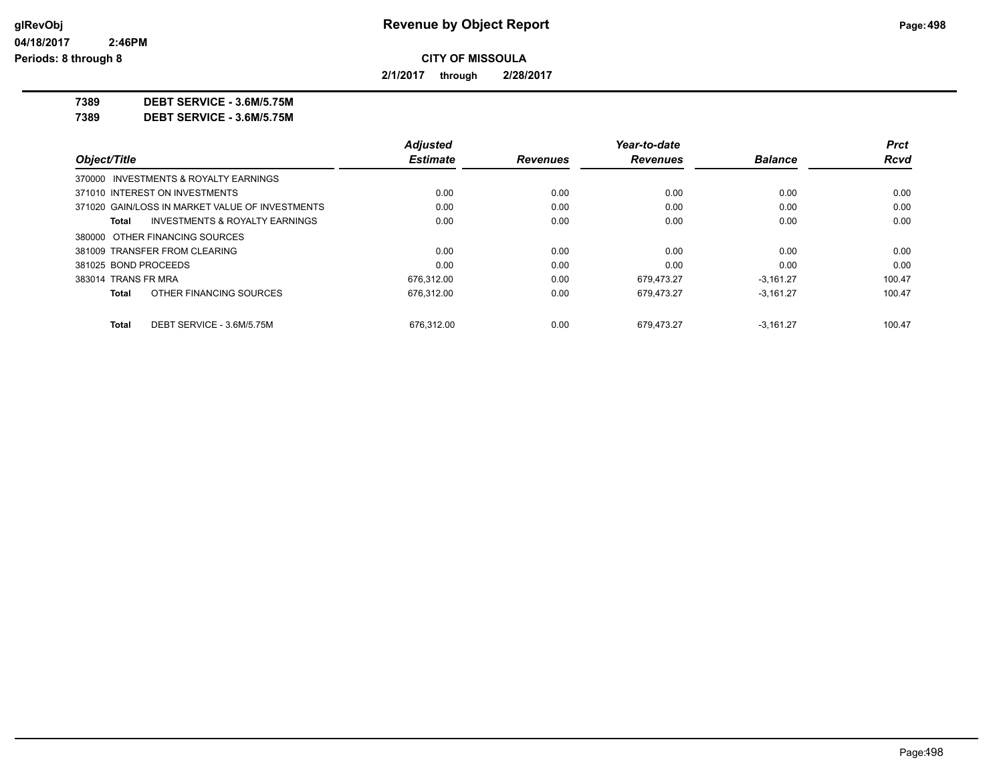**2/1/2017 through 2/28/2017**

**7389 DEBT SERVICE - 3.6M/5.75M 7389 DEBT SERVICE - 3.6M/5.75M**

|                                                 | <b>Adjusted</b> |                 | Year-to-date    |                | Prct        |
|-------------------------------------------------|-----------------|-----------------|-----------------|----------------|-------------|
| Object/Title                                    | <b>Estimate</b> | <b>Revenues</b> | <b>Revenues</b> | <b>Balance</b> | <b>Rcvd</b> |
| 370000 INVESTMENTS & ROYALTY EARNINGS           |                 |                 |                 |                |             |
| 371010 INTEREST ON INVESTMENTS                  | 0.00            | 0.00            | 0.00            | 0.00           | 0.00        |
| 371020 GAIN/LOSS IN MARKET VALUE OF INVESTMENTS | 0.00            | 0.00            | 0.00            | 0.00           | 0.00        |
| INVESTMENTS & ROYALTY EARNINGS<br>Total         | 0.00            | 0.00            | 0.00            | 0.00           | 0.00        |
| OTHER FINANCING SOURCES<br>380000               |                 |                 |                 |                |             |
| 381009 TRANSFER FROM CLEARING                   | 0.00            | 0.00            | 0.00            | 0.00           | 0.00        |
| 381025 BOND PROCEEDS                            | 0.00            | 0.00            | 0.00            | 0.00           | 0.00        |
| 383014 TRANS FR MRA                             | 676.312.00      | 0.00            | 679.473.27      | $-3.161.27$    | 100.47      |
| OTHER FINANCING SOURCES<br>Total                | 676,312.00      | 0.00            | 679,473.27      | $-3.161.27$    | 100.47      |
|                                                 |                 |                 |                 |                |             |
| DEBT SERVICE - 3.6M/5.75M<br><b>Total</b>       | 676.312.00      | 0.00            | 679.473.27      | $-3.161.27$    | 100.47      |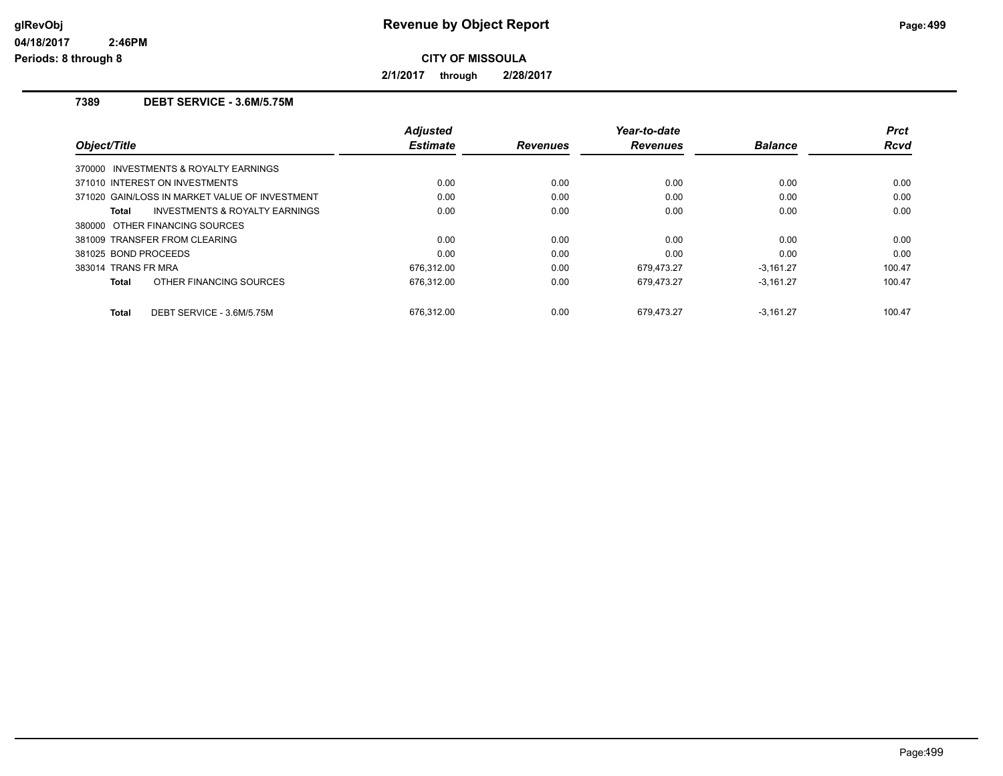**2/1/2017 through 2/28/2017**

#### **7389 DEBT SERVICE - 3.6M/5.75M**

| Object/Title                                   | <b>Adjusted</b><br><b>Estimate</b> | <b>Revenues</b> | Year-to-date<br><b>Revenues</b> | <b>Balance</b> | <b>Prct</b><br>Rcvd |
|------------------------------------------------|------------------------------------|-----------------|---------------------------------|----------------|---------------------|
| 370000 INVESTMENTS & ROYALTY EARNINGS          |                                    |                 |                                 |                |                     |
| 371010 INTEREST ON INVESTMENTS                 | 0.00                               | 0.00            | 0.00                            | 0.00           | 0.00                |
| 371020 GAIN/LOSS IN MARKET VALUE OF INVESTMENT | 0.00                               | 0.00            | 0.00                            | 0.00           | 0.00                |
| INVESTMENTS & ROYALTY EARNINGS<br>Total        | 0.00                               | 0.00            | 0.00                            | 0.00           | 0.00                |
| 380000 OTHER FINANCING SOURCES                 |                                    |                 |                                 |                |                     |
| 381009 TRANSFER FROM CLEARING                  | 0.00                               | 0.00            | 0.00                            | 0.00           | 0.00                |
| 381025 BOND PROCEEDS                           | 0.00                               | 0.00            | 0.00                            | 0.00           | 0.00                |
| 383014 TRANS FR MRA                            | 676.312.00                         | 0.00            | 679.473.27                      | $-3.161.27$    | 100.47              |
| OTHER FINANCING SOURCES<br><b>Total</b>        | 676,312.00                         | 0.00            | 679,473.27                      | $-3.161.27$    | 100.47              |
| <b>Total</b><br>DEBT SERVICE - 3.6M/5.75M      | 676.312.00                         | 0.00            | 679.473.27                      | $-3.161.27$    | 100.47              |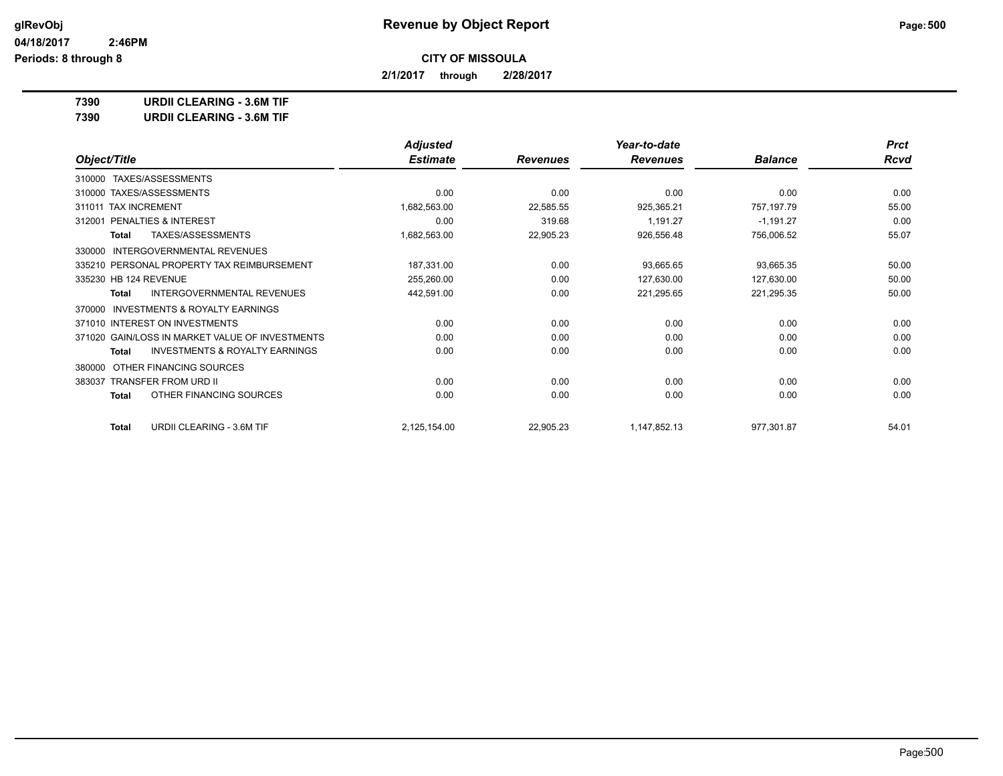**2/1/2017 through 2/28/2017**

**7390 URDII CLEARING - 3.6M TIF**

|  | 7390 | <b>URDII CLEARING - 3.6M TIF</b> |
|--|------|----------------------------------|
|--|------|----------------------------------|

|                                                           | <b>Adjusted</b> |                 | Year-to-date    |                | <b>Prct</b> |
|-----------------------------------------------------------|-----------------|-----------------|-----------------|----------------|-------------|
| Object/Title                                              | <b>Estimate</b> | <b>Revenues</b> | <b>Revenues</b> | <b>Balance</b> | Rcvd        |
| TAXES/ASSESSMENTS<br>310000                               |                 |                 |                 |                |             |
| 310000 TAXES/ASSESSMENTS                                  | 0.00            | 0.00            | 0.00            | 0.00           | 0.00        |
| 311011 TAX INCREMENT                                      | 1,682,563.00    | 22,585.55       | 925,365.21      | 757,197.79     | 55.00       |
| 312001 PENALTIES & INTEREST                               | 0.00            | 319.68          | 1,191.27        | $-1,191.27$    | 0.00        |
| TAXES/ASSESSMENTS<br><b>Total</b>                         | 1,682,563.00    | 22,905.23       | 926,556.48      | 756,006.52     | 55.07       |
| <b>INTERGOVERNMENTAL REVENUES</b><br>330000               |                 |                 |                 |                |             |
| 335210 PERSONAL PROPERTY TAX REIMBURSEMENT                | 187,331.00      | 0.00            | 93,665.65       | 93,665.35      | 50.00       |
| 335230 HB 124 REVENUE                                     | 255,260.00      | 0.00            | 127,630.00      | 127,630.00     | 50.00       |
| <b>INTERGOVERNMENTAL REVENUES</b><br><b>Total</b>         | 442,591.00      | 0.00            | 221,295.65      | 221,295.35     | 50.00       |
| <b>INVESTMENTS &amp; ROYALTY EARNINGS</b><br>370000       |                 |                 |                 |                |             |
| 371010 INTEREST ON INVESTMENTS                            | 0.00            | 0.00            | 0.00            | 0.00           | 0.00        |
| 371020 GAIN/LOSS IN MARKET VALUE OF INVESTMENTS           | 0.00            | 0.00            | 0.00            | 0.00           | 0.00        |
| <b>INVESTMENTS &amp; ROYALTY EARNINGS</b><br><b>Total</b> | 0.00            | 0.00            | 0.00            | 0.00           | 0.00        |
| OTHER FINANCING SOURCES<br>380000                         |                 |                 |                 |                |             |
| <b>TRANSFER FROM URD II</b><br>383037                     | 0.00            | 0.00            | 0.00            | 0.00           | 0.00        |
| OTHER FINANCING SOURCES<br><b>Total</b>                   | 0.00            | 0.00            | 0.00            | 0.00           | 0.00        |
| URDII CLEARING - 3.6M TIF<br><b>Total</b>                 | 2,125,154.00    | 22,905.23       | 1,147,852.13    | 977,301.87     | 54.01       |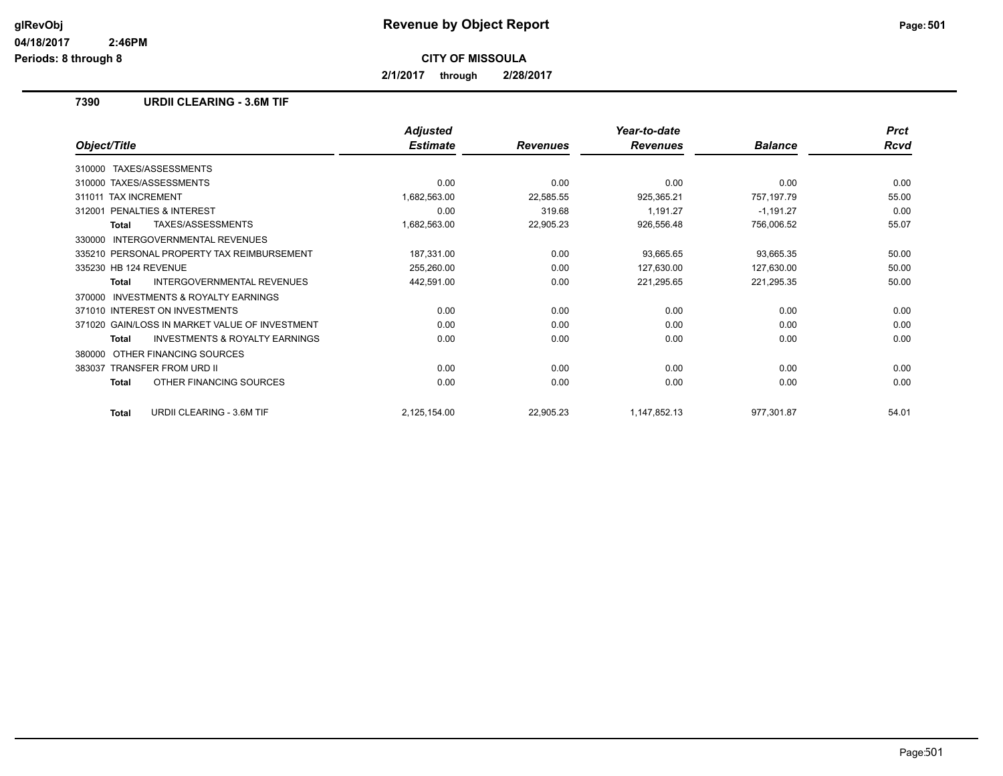**2/1/2017 through 2/28/2017**

#### **7390 URDII CLEARING - 3.6M TIF**

|                                                     | <b>Adjusted</b> |                 | Year-to-date    |                | <b>Prct</b> |
|-----------------------------------------------------|-----------------|-----------------|-----------------|----------------|-------------|
| Object/Title                                        | <b>Estimate</b> | <b>Revenues</b> | <b>Revenues</b> | <b>Balance</b> | <b>Rcvd</b> |
| TAXES/ASSESSMENTS<br>310000                         |                 |                 |                 |                |             |
| 310000 TAXES/ASSESSMENTS                            | 0.00            | 0.00            | 0.00            | 0.00           | 0.00        |
| 311011 TAX INCREMENT                                | 1,682,563.00    | 22,585.55       | 925,365.21      | 757,197.79     | 55.00       |
| 312001 PENALTIES & INTEREST                         | 0.00            | 319.68          | 1,191.27        | $-1,191.27$    | 0.00        |
| TAXES/ASSESSMENTS<br>Total                          | 1,682,563.00    | 22,905.23       | 926,556.48      | 756,006.52     | 55.07       |
| INTERGOVERNMENTAL REVENUES<br>330000                |                 |                 |                 |                |             |
| 335210 PERSONAL PROPERTY TAX REIMBURSEMENT          | 187,331.00      | 0.00            | 93,665.65       | 93,665.35      | 50.00       |
| 335230 HB 124 REVENUE                               | 255,260.00      | 0.00            | 127,630.00      | 127,630.00     | 50.00       |
| <b>INTERGOVERNMENTAL REVENUES</b><br>Total          | 442,591.00      | 0.00            | 221,295.65      | 221,295.35     | 50.00       |
| <b>INVESTMENTS &amp; ROYALTY EARNINGS</b><br>370000 |                 |                 |                 |                |             |
| 371010 INTEREST ON INVESTMENTS                      | 0.00            | 0.00            | 0.00            | 0.00           | 0.00        |
| 371020 GAIN/LOSS IN MARKET VALUE OF INVESTMENT      | 0.00            | 0.00            | 0.00            | 0.00           | 0.00        |
| <b>INVESTMENTS &amp; ROYALTY EARNINGS</b><br>Total  | 0.00            | 0.00            | 0.00            | 0.00           | 0.00        |
| OTHER FINANCING SOURCES<br>380000                   |                 |                 |                 |                |             |
| 383037 TRANSFER FROM URD II                         | 0.00            | 0.00            | 0.00            | 0.00           | 0.00        |
| OTHER FINANCING SOURCES<br>Total                    | 0.00            | 0.00            | 0.00            | 0.00           | 0.00        |
| <b>URDII CLEARING - 3.6M TIF</b><br><b>Total</b>    | 2,125,154.00    | 22,905.23       | 1,147,852.13    | 977,301.87     | 54.01       |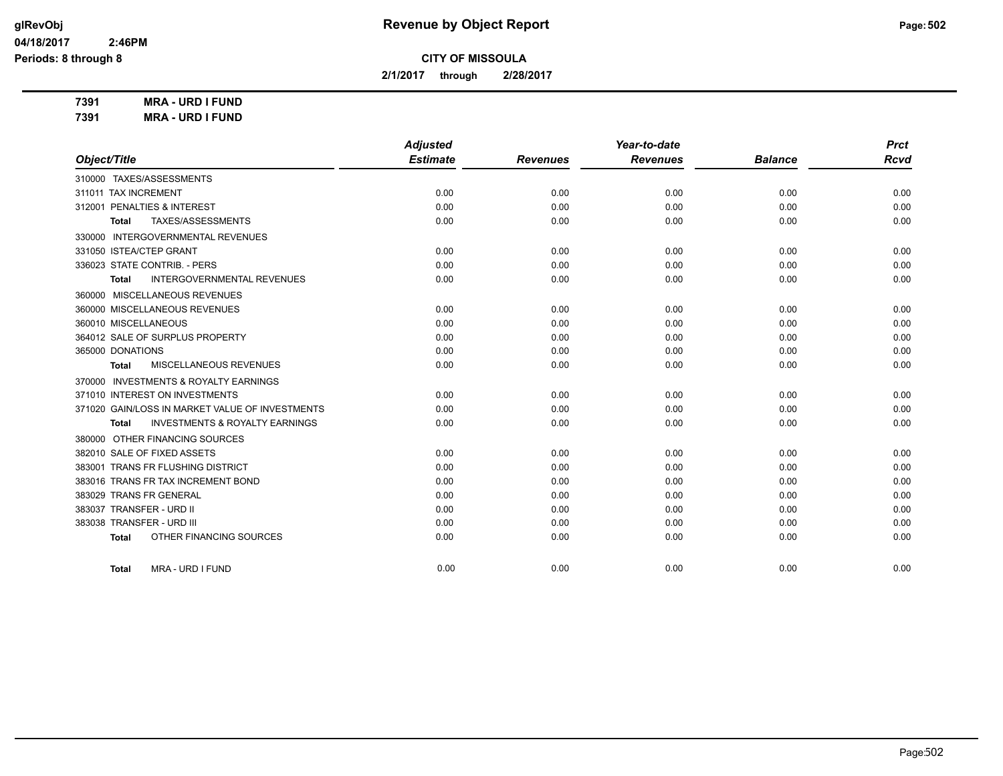**2/1/2017 through 2/28/2017**

**Periods: 8 through 8**

**7391 MRA - URD I FUND**

**7391 MRA - URD I FUND**

 **2:46PM**

|                                                           | <b>Adjusted</b> |                 | Year-to-date    |                | <b>Prct</b> |
|-----------------------------------------------------------|-----------------|-----------------|-----------------|----------------|-------------|
| Object/Title                                              | <b>Estimate</b> | <b>Revenues</b> | <b>Revenues</b> | <b>Balance</b> | <b>Rcvd</b> |
| 310000 TAXES/ASSESSMENTS                                  |                 |                 |                 |                |             |
| 311011 TAX INCREMENT                                      | 0.00            | 0.00            | 0.00            | 0.00           | 0.00        |
| 312001 PENALTIES & INTEREST                               | 0.00            | 0.00            | 0.00            | 0.00           | 0.00        |
| TAXES/ASSESSMENTS<br><b>Total</b>                         | 0.00            | 0.00            | 0.00            | 0.00           | 0.00        |
| 330000 INTERGOVERNMENTAL REVENUES                         |                 |                 |                 |                |             |
| 331050 ISTEA/CTEP GRANT                                   | 0.00            | 0.00            | 0.00            | 0.00           | 0.00        |
| 336023 STATE CONTRIB. - PERS                              | 0.00            | 0.00            | 0.00            | 0.00           | 0.00        |
| <b>INTERGOVERNMENTAL REVENUES</b><br><b>Total</b>         | 0.00            | 0.00            | 0.00            | 0.00           | 0.00        |
| 360000 MISCELLANEOUS REVENUES                             |                 |                 |                 |                |             |
| 360000 MISCELLANEOUS REVENUES                             | 0.00            | 0.00            | 0.00            | 0.00           | 0.00        |
| 360010 MISCELLANEOUS                                      | 0.00            | 0.00            | 0.00            | 0.00           | 0.00        |
| 364012 SALE OF SURPLUS PROPERTY                           | 0.00            | 0.00            | 0.00            | 0.00           | 0.00        |
| 365000 DONATIONS                                          | 0.00            | 0.00            | 0.00            | 0.00           | 0.00        |
| MISCELLANEOUS REVENUES<br><b>Total</b>                    | 0.00            | 0.00            | 0.00            | 0.00           | 0.00        |
| 370000 INVESTMENTS & ROYALTY EARNINGS                     |                 |                 |                 |                |             |
| 371010 INTEREST ON INVESTMENTS                            | 0.00            | 0.00            | 0.00            | 0.00           | 0.00        |
| 371020 GAIN/LOSS IN MARKET VALUE OF INVESTMENTS           | 0.00            | 0.00            | 0.00            | 0.00           | 0.00        |
| <b>INVESTMENTS &amp; ROYALTY EARNINGS</b><br><b>Total</b> | 0.00            | 0.00            | 0.00            | 0.00           | 0.00        |
| 380000 OTHER FINANCING SOURCES                            |                 |                 |                 |                |             |
| 382010 SALE OF FIXED ASSETS                               | 0.00            | 0.00            | 0.00            | 0.00           | 0.00        |
| 383001 TRANS FR FLUSHING DISTRICT                         | 0.00            | 0.00            | 0.00            | 0.00           | 0.00        |
| 383016 TRANS FR TAX INCREMENT BOND                        | 0.00            | 0.00            | 0.00            | 0.00           | 0.00        |
| 383029 TRANS FR GENERAL                                   | 0.00            | 0.00            | 0.00            | 0.00           | 0.00        |
| 383037 TRANSFER - URD II                                  | 0.00            | 0.00            | 0.00            | 0.00           | 0.00        |
| 383038 TRANSFER - URD III                                 | 0.00            | 0.00            | 0.00            | 0.00           | 0.00        |
| OTHER FINANCING SOURCES<br><b>Total</b>                   | 0.00            | 0.00            | 0.00            | 0.00           | 0.00        |
|                                                           |                 |                 |                 |                |             |
| MRA - URD I FUND<br>Total                                 | 0.00            | 0.00            | 0.00            | 0.00           | 0.00        |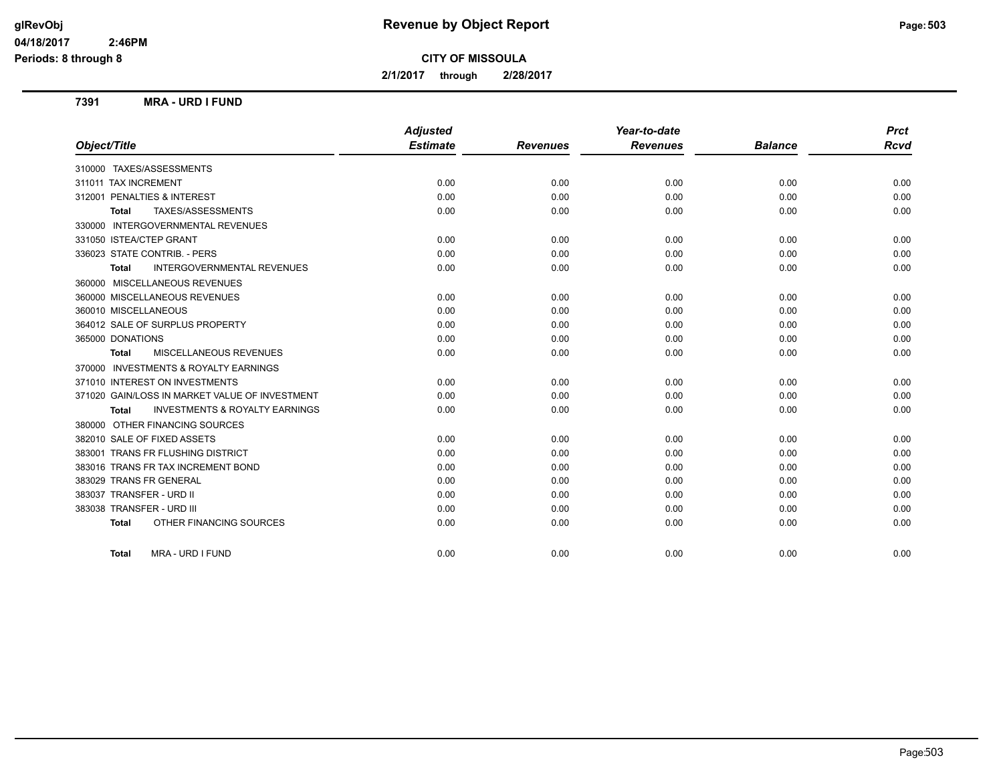**Periods: 8 through 8**

**CITY OF MISSOULA**

**2/1/2017 through 2/28/2017**

#### **7391 MRA - URD I FUND**

 **2:46PM**

| Object/Title                                       | <b>Adjusted</b><br><b>Estimate</b> | <b>Revenues</b> | Year-to-date<br><b>Revenues</b> | <b>Balance</b> | <b>Prct</b><br><b>Rcvd</b> |
|----------------------------------------------------|------------------------------------|-----------------|---------------------------------|----------------|----------------------------|
|                                                    |                                    |                 |                                 |                |                            |
| 311011 TAX INCREMENT                               | 0.00                               | 0.00            | 0.00                            | 0.00           | 0.00                       |
| 312001 PENALTIES & INTEREST                        | 0.00                               | 0.00            | 0.00                            | 0.00           | 0.00                       |
| TAXES/ASSESSMENTS<br><b>Total</b>                  | 0.00                               | 0.00            | 0.00                            | 0.00           | 0.00                       |
| 330000 INTERGOVERNMENTAL REVENUES                  |                                    |                 |                                 |                |                            |
| 331050 ISTEA/CTEP GRANT                            | 0.00                               | 0.00            | 0.00                            | 0.00           | 0.00                       |
| 336023 STATE CONTRIB. - PERS                       | 0.00                               | 0.00            | 0.00                            | 0.00           | 0.00                       |
| <b>INTERGOVERNMENTAL REVENUES</b><br><b>Total</b>  | 0.00                               | 0.00            | 0.00                            | 0.00           | 0.00                       |
| 360000 MISCELLANEOUS REVENUES                      |                                    |                 |                                 |                |                            |
| 360000 MISCELLANEOUS REVENUES                      | 0.00                               | 0.00            | 0.00                            | 0.00           | 0.00                       |
| 360010 MISCELLANEOUS                               | 0.00                               | 0.00            | 0.00                            | 0.00           | 0.00                       |
| 364012 SALE OF SURPLUS PROPERTY                    | 0.00                               | 0.00            | 0.00                            | 0.00           | 0.00                       |
| 365000 DONATIONS                                   | 0.00                               | 0.00            | 0.00                            | 0.00           | 0.00                       |
| <b>MISCELLANEOUS REVENUES</b><br><b>Total</b>      | 0.00                               | 0.00            | 0.00                            | 0.00           | 0.00                       |
| 370000 INVESTMENTS & ROYALTY EARNINGS              |                                    |                 |                                 |                |                            |
| 371010 INTEREST ON INVESTMENTS                     | 0.00                               | 0.00            | 0.00                            | 0.00           | 0.00                       |
| 371020 GAIN/LOSS IN MARKET VALUE OF INVESTMENT     | 0.00                               | 0.00            | 0.00                            | 0.00           | 0.00                       |
| <b>INVESTMENTS &amp; ROYALTY EARNINGS</b><br>Total | 0.00                               | 0.00            | 0.00                            | 0.00           | 0.00                       |
| 380000 OTHER FINANCING SOURCES                     |                                    |                 |                                 |                |                            |
| 382010 SALE OF FIXED ASSETS                        | 0.00                               | 0.00            | 0.00                            | 0.00           | 0.00                       |
| 383001 TRANS FR FLUSHING DISTRICT                  | 0.00                               | 0.00            | 0.00                            | 0.00           | 0.00                       |
| 383016 TRANS FR TAX INCREMENT BOND                 | 0.00                               | 0.00            | 0.00                            | 0.00           | 0.00                       |
| 383029 TRANS FR GENERAL                            | 0.00                               | 0.00            | 0.00                            | 0.00           | 0.00                       |
| 383037 TRANSFER - URD II                           | 0.00                               | 0.00            | 0.00                            | 0.00           | 0.00                       |
| 383038 TRANSFER - URD III                          | 0.00                               | 0.00            | 0.00                            | 0.00           | 0.00                       |
| OTHER FINANCING SOURCES<br><b>Total</b>            | 0.00                               | 0.00            | 0.00                            | 0.00           | 0.00                       |
| MRA - URD I FUND<br><b>Total</b>                   | 0.00                               | 0.00            | 0.00                            | 0.00           | 0.00                       |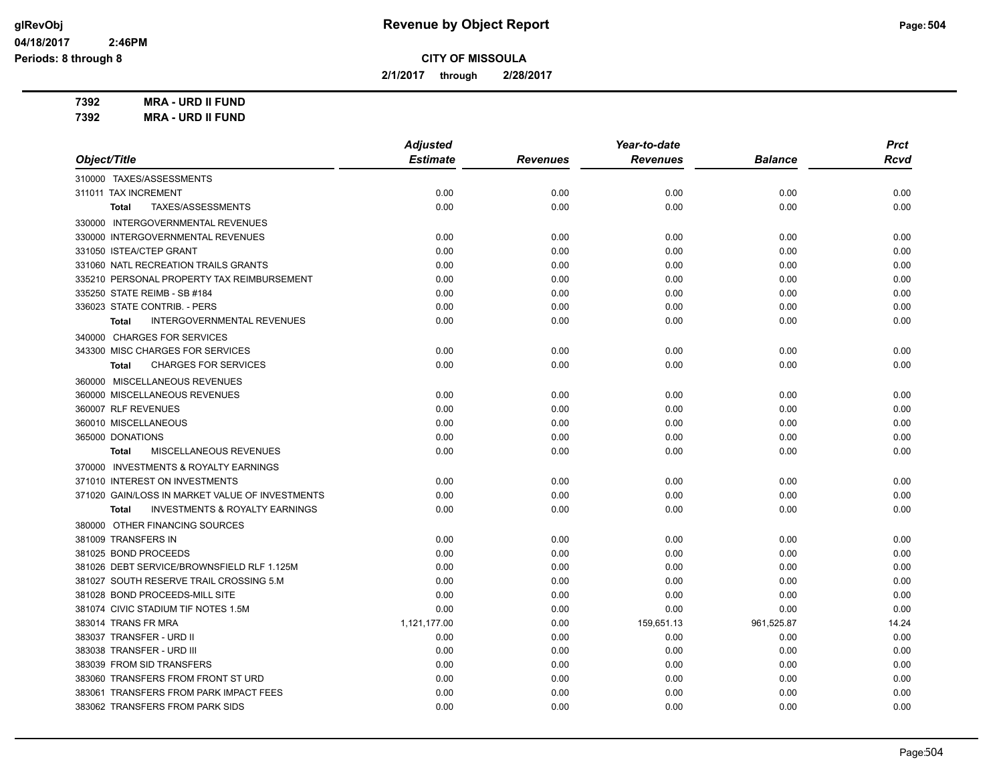**Periods: 8 through 8**

**CITY OF MISSOULA**

**2/1/2017 through 2/28/2017**

 **2:46PM**

**7392 MRA - URD II FUND**

**7392 MRA - URD II FUND**

| Object/Title                                              | <b>Adjusted</b> |                 | Year-to-date    |                | <b>Prct</b> |
|-----------------------------------------------------------|-----------------|-----------------|-----------------|----------------|-------------|
|                                                           | <b>Estimate</b> | <b>Revenues</b> | <b>Revenues</b> | <b>Balance</b> | Rcvd        |
| 310000 TAXES/ASSESSMENTS                                  |                 |                 |                 |                |             |
| 311011 TAX INCREMENT                                      | 0.00            | 0.00            | 0.00            | 0.00           | 0.00        |
| TAXES/ASSESSMENTS<br>Total                                | 0.00            | 0.00            | 0.00            | 0.00           | 0.00        |
| 330000 INTERGOVERNMENTAL REVENUES                         |                 |                 |                 |                |             |
| 330000 INTERGOVERNMENTAL REVENUES                         | 0.00            | 0.00            | 0.00            | 0.00           | 0.00        |
| 331050 ISTEA/CTEP GRANT                                   | 0.00            | 0.00            | 0.00            | 0.00           | 0.00        |
| 331060 NATL RECREATION TRAILS GRANTS                      | 0.00            | 0.00            | 0.00            | 0.00           | 0.00        |
| 335210 PERSONAL PROPERTY TAX REIMBURSEMENT                | 0.00            | 0.00            | 0.00            | 0.00           | 0.00        |
| 335250 STATE REIMB - SB #184                              | 0.00            | 0.00            | 0.00            | 0.00           | 0.00        |
| 336023 STATE CONTRIB. - PERS                              | 0.00            | 0.00            | 0.00            | 0.00           | 0.00        |
| <b>INTERGOVERNMENTAL REVENUES</b><br><b>Total</b>         | 0.00            | 0.00            | 0.00            | 0.00           | 0.00        |
| 340000 CHARGES FOR SERVICES                               |                 |                 |                 |                |             |
| 343300 MISC CHARGES FOR SERVICES                          | 0.00            | 0.00            | 0.00            | 0.00           | 0.00        |
| <b>CHARGES FOR SERVICES</b><br>Total                      | 0.00            | 0.00            | 0.00            | 0.00           | 0.00        |
| 360000 MISCELLANEOUS REVENUES                             |                 |                 |                 |                |             |
| 360000 MISCELLANEOUS REVENUES                             | 0.00            | 0.00            | 0.00            | 0.00           | 0.00        |
| 360007 RLF REVENUES                                       | 0.00            | 0.00            | 0.00            | 0.00           | 0.00        |
| 360010 MISCELLANEOUS                                      | 0.00            | 0.00            | 0.00            | 0.00           | 0.00        |
| 365000 DONATIONS                                          | 0.00            | 0.00            | 0.00            | 0.00           | 0.00        |
| MISCELLANEOUS REVENUES<br><b>Total</b>                    | 0.00            | 0.00            | 0.00            | 0.00           | 0.00        |
| 370000 INVESTMENTS & ROYALTY EARNINGS                     |                 |                 |                 |                |             |
| 371010 INTEREST ON INVESTMENTS                            | 0.00            | 0.00            | 0.00            | 0.00           | 0.00        |
| 371020 GAIN/LOSS IN MARKET VALUE OF INVESTMENTS           | 0.00            | 0.00            | 0.00            | 0.00           | 0.00        |
| <b>INVESTMENTS &amp; ROYALTY EARNINGS</b><br><b>Total</b> | 0.00            | 0.00            | 0.00            | 0.00           | 0.00        |
| 380000 OTHER FINANCING SOURCES                            |                 |                 |                 |                |             |
| 381009 TRANSFERS IN                                       | 0.00            | 0.00            | 0.00            | 0.00           | 0.00        |
| 381025 BOND PROCEEDS                                      | 0.00            | 0.00            | 0.00            | 0.00           | 0.00        |
| 381026 DEBT SERVICE/BROWNSFIELD RLF 1.125M                | 0.00            | 0.00            | 0.00            | 0.00           | 0.00        |
| 381027 SOUTH RESERVE TRAIL CROSSING 5.M                   | 0.00            | 0.00            | 0.00            | 0.00           | 0.00        |
| 381028 BOND PROCEEDS-MILL SITE                            | 0.00            | 0.00            | 0.00            | 0.00           | 0.00        |
| 381074 CIVIC STADIUM TIF NOTES 1.5M                       | 0.00            | 0.00            | 0.00            | 0.00           | 0.00        |
| 383014 TRANS FR MRA                                       | 1,121,177.00    | 0.00            | 159,651.13      | 961,525.87     | 14.24       |
| 383037 TRANSFER - URD II                                  | 0.00            | 0.00            | 0.00            | 0.00           | 0.00        |
| 383038 TRANSFER - URD III                                 | 0.00            | 0.00            | 0.00            | 0.00           | 0.00        |
| 383039 FROM SID TRANSFERS                                 | 0.00            | 0.00            | 0.00            | 0.00           | 0.00        |
| 383060 TRANSFERS FROM FRONT ST URD                        | 0.00            | 0.00            | 0.00            | 0.00           | 0.00        |
| 383061 TRANSFERS FROM PARK IMPACT FEES                    | 0.00            | 0.00            | 0.00            | 0.00           | 0.00        |
| 383062 TRANSFERS FROM PARK SIDS                           | 0.00            | 0.00            | 0.00            | 0.00           | 0.00        |
|                                                           |                 |                 |                 |                |             |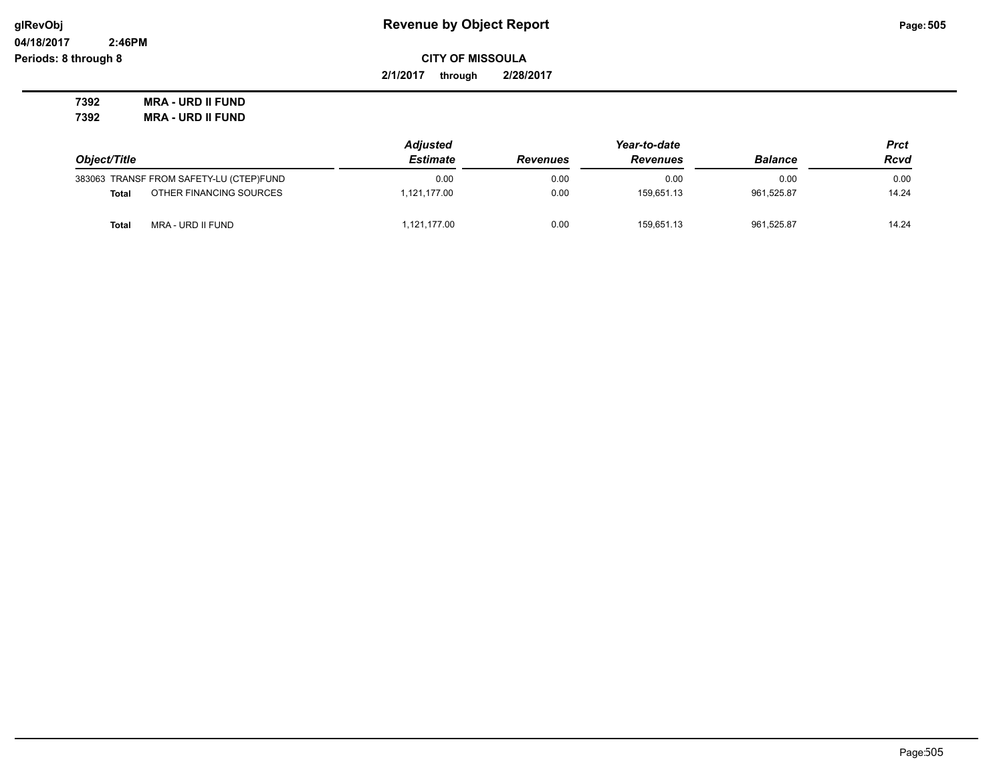**04/18/2017**

**Periods: 8 through 8**

**glRevObj Revenue by Object Report Page:505** 

**CITY OF MISSOULA**

**2/1/2017 through 2/28/2017**

**7392 MRA - URD II FUND 7392 MRA - URD II FUND**

 **2:46PM**

|                                         | <b>Adjusted</b> | Year-to-date    |                 |                | <b>Prct</b> |
|-----------------------------------------|-----------------|-----------------|-----------------|----------------|-------------|
| Object/Title                            | <b>Estimate</b> | <b>Revenues</b> | <b>Revenues</b> | <b>Balance</b> | <b>Rcvd</b> |
| 383063 TRANSF FROM SAFETY-LU (CTEP)FUND | 0.00            | 0.00            | 0.00            | 0.00           | 0.00        |
| OTHER FINANCING SOURCES<br>Total        | 1,121,177.00    | 0.00            | 159.651.13      | 961.525.87     | 14.24       |
| MRA - URD II FUND<br><b>Total</b>       | 1,121,177.00    | 0.00            | 159.651.13      | 961.525.87     | 14.24       |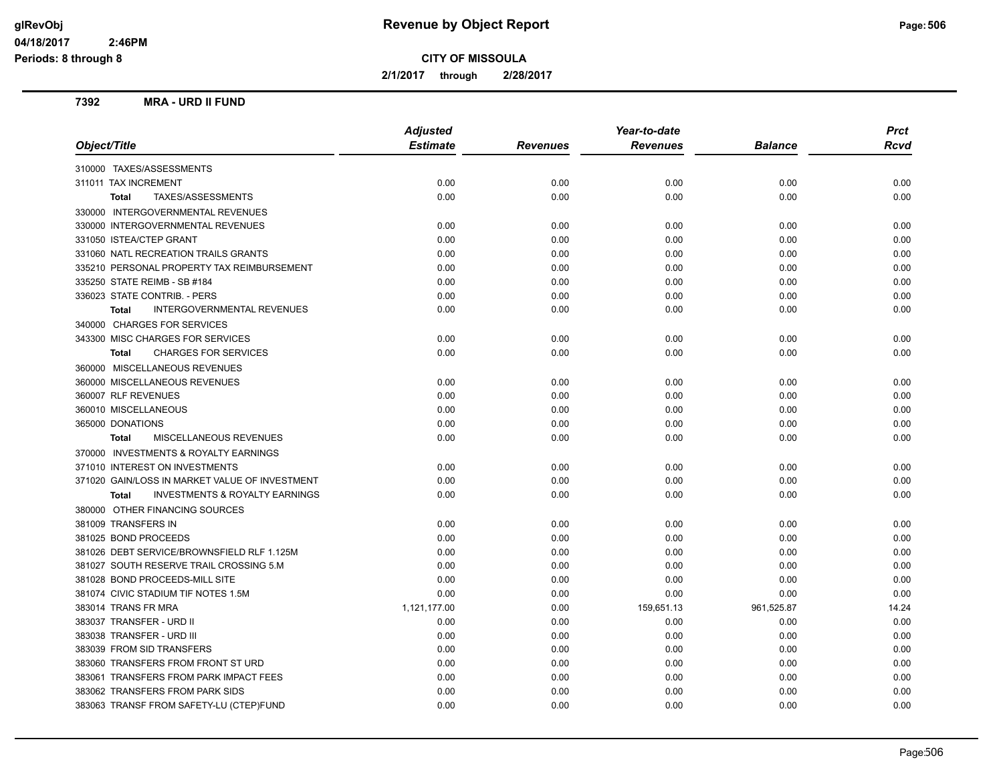**Periods: 8 through 8**

**CITY OF MISSOULA**

**2/1/2017 through 2/28/2017**

#### **7392 MRA - URD II FUND**

|                                                    | <b>Adjusted</b> |                 | Year-to-date    |                | <b>Prct</b> |
|----------------------------------------------------|-----------------|-----------------|-----------------|----------------|-------------|
| Object/Title                                       | <b>Estimate</b> | <b>Revenues</b> | <b>Revenues</b> | <b>Balance</b> | <b>Rcvd</b> |
| 310000 TAXES/ASSESSMENTS                           |                 |                 |                 |                |             |
| 311011 TAX INCREMENT                               | 0.00            | 0.00            | 0.00            | 0.00           | 0.00        |
| TAXES/ASSESSMENTS<br>Total                         | 0.00            | 0.00            | 0.00            | 0.00           | 0.00        |
| 330000 INTERGOVERNMENTAL REVENUES                  |                 |                 |                 |                |             |
| 330000 INTERGOVERNMENTAL REVENUES                  | 0.00            | 0.00            | 0.00            | 0.00           | 0.00        |
| 331050 ISTEA/CTEP GRANT                            | 0.00            | 0.00            | 0.00            | 0.00           | 0.00        |
| 331060 NATL RECREATION TRAILS GRANTS               | 0.00            | 0.00            | 0.00            | 0.00           | 0.00        |
| 335210 PERSONAL PROPERTY TAX REIMBURSEMENT         | 0.00            | 0.00            | 0.00            | 0.00           | 0.00        |
| 335250 STATE REIMB - SB #184                       | 0.00            | 0.00            | 0.00            | 0.00           | 0.00        |
| 336023 STATE CONTRIB. - PERS                       | 0.00            | 0.00            | 0.00            | 0.00           | 0.00        |
| INTERGOVERNMENTAL REVENUES<br><b>Total</b>         | 0.00            | 0.00            | 0.00            | 0.00           | 0.00        |
| 340000 CHARGES FOR SERVICES                        |                 |                 |                 |                |             |
| 343300 MISC CHARGES FOR SERVICES                   | 0.00            | 0.00            | 0.00            | 0.00           | 0.00        |
| <b>CHARGES FOR SERVICES</b><br>Total               | 0.00            | 0.00            | 0.00            | 0.00           | 0.00        |
| 360000 MISCELLANEOUS REVENUES                      |                 |                 |                 |                |             |
| 360000 MISCELLANEOUS REVENUES                      | 0.00            | 0.00            | 0.00            | 0.00           | 0.00        |
| 360007 RLF REVENUES                                | 0.00            | 0.00            | 0.00            | 0.00           | 0.00        |
| 360010 MISCELLANEOUS                               | 0.00            | 0.00            | 0.00            | 0.00           | 0.00        |
| 365000 DONATIONS                                   | 0.00            | 0.00            | 0.00            | 0.00           | 0.00        |
| MISCELLANEOUS REVENUES<br><b>Total</b>             | 0.00            | 0.00            | 0.00            | 0.00           | 0.00        |
| 370000 INVESTMENTS & ROYALTY EARNINGS              |                 |                 |                 |                |             |
| 371010 INTEREST ON INVESTMENTS                     | 0.00            | 0.00            | 0.00            | 0.00           | 0.00        |
| 371020 GAIN/LOSS IN MARKET VALUE OF INVESTMENT     | 0.00            | 0.00            | 0.00            | 0.00           | 0.00        |
| <b>INVESTMENTS &amp; ROYALTY EARNINGS</b><br>Total | 0.00            | 0.00            | 0.00            | 0.00           | 0.00        |
| 380000 OTHER FINANCING SOURCES                     |                 |                 |                 |                |             |
| 381009 TRANSFERS IN                                | 0.00            | 0.00            | 0.00            | 0.00           | 0.00        |
| 381025 BOND PROCEEDS                               | 0.00            | 0.00            | 0.00            | 0.00           | 0.00        |
| 381026 DEBT SERVICE/BROWNSFIELD RLF 1.125M         | 0.00            | 0.00            | 0.00            | 0.00           | 0.00        |
| 381027 SOUTH RESERVE TRAIL CROSSING 5.M            | 0.00            | 0.00            | 0.00            | 0.00           | 0.00        |
| 381028 BOND PROCEEDS-MILL SITE                     | 0.00            | 0.00            | 0.00            | 0.00           | 0.00        |
| 381074 CIVIC STADIUM TIF NOTES 1.5M                | 0.00            | 0.00            | 0.00            | 0.00           | 0.00        |
| 383014 TRANS FR MRA                                | 1,121,177.00    | 0.00            | 159,651.13      | 961,525.87     | 14.24       |
| 383037 TRANSFER - URD II                           | 0.00            | 0.00            | 0.00            | 0.00           | 0.00        |
| 383038 TRANSFER - URD III                          | 0.00            | 0.00            | 0.00            | 0.00           | 0.00        |
| 383039 FROM SID TRANSFERS                          | 0.00            | 0.00            | 0.00            | 0.00           | 0.00        |
| 383060 TRANSFERS FROM FRONT ST URD                 | 0.00            | 0.00            | 0.00            | 0.00           | 0.00        |
| 383061 TRANSFERS FROM PARK IMPACT FEES             | 0.00            | 0.00            | 0.00            | 0.00           | 0.00        |
| 383062 TRANSFERS FROM PARK SIDS                    | 0.00            | 0.00            | 0.00            | 0.00           | 0.00        |
| 383063 TRANSF FROM SAFETY-LU (CTEP)FUND            | 0.00            | 0.00            | 0.00            | 0.00           | 0.00        |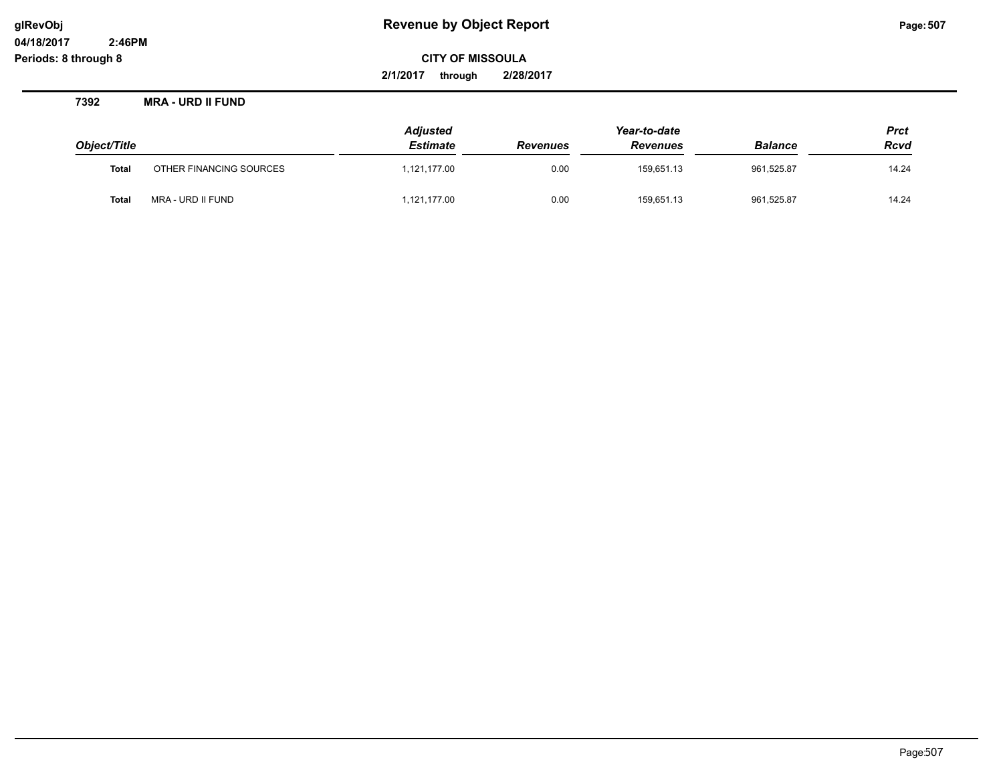**04/18/2017 2:46PM Periods: 8 through 8**

## **CITY OF MISSOULA**

**2/1/2017 through 2/28/2017**

#### **7392 MRA - URD II FUND**

|              |                         | <b>Adjusted</b> | Year-to-date    |                 |                | <b>Prct</b> |
|--------------|-------------------------|-----------------|-----------------|-----------------|----------------|-------------|
| Object/Title |                         | <b>Estimate</b> | <b>Revenues</b> | <b>Revenues</b> | <b>Balance</b> | Rcvd        |
| <b>Total</b> | OTHER FINANCING SOURCES | 1.121.177.00    | 0.00            | 159.651.13      | 961.525.87     | 14.24       |
| Total        | MRA - URD II FUND       | 1,121,177.00    | 0.00            | 159,651.13      | 961,525.87     | 14.24       |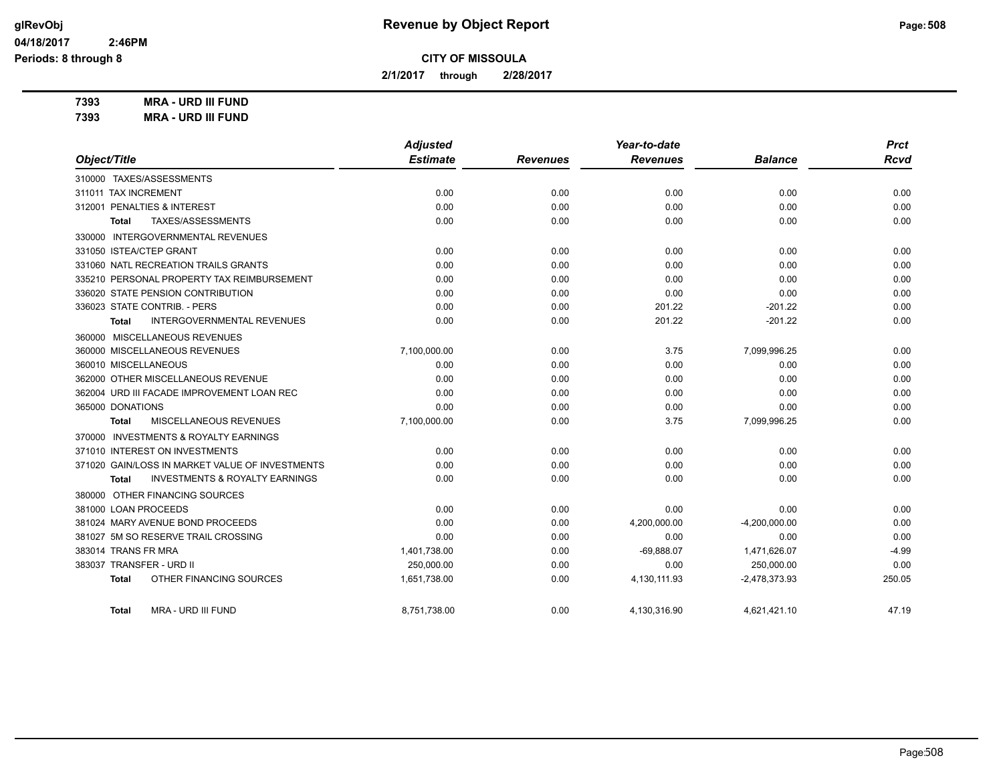**2/1/2017 through 2/28/2017**

**7393 MRA - URD III FUND**

| <b>MRA - URD III FUND</b><br>7393 |
|-----------------------------------|
|-----------------------------------|

|                                                    | <b>Adjusted</b> |                 | Year-to-date    |                 | <b>Prct</b> |
|----------------------------------------------------|-----------------|-----------------|-----------------|-----------------|-------------|
| Object/Title                                       | <b>Estimate</b> | <b>Revenues</b> | <b>Revenues</b> | <b>Balance</b>  | <b>Rcvd</b> |
| 310000 TAXES/ASSESSMENTS                           |                 |                 |                 |                 |             |
| 311011 TAX INCREMENT                               | 0.00            | 0.00            | 0.00            | 0.00            | 0.00        |
| 312001 PENALTIES & INTEREST                        | 0.00            | 0.00            | 0.00            | 0.00            | 0.00        |
| TAXES/ASSESSMENTS<br>Total                         | 0.00            | 0.00            | 0.00            | 0.00            | 0.00        |
| 330000 INTERGOVERNMENTAL REVENUES                  |                 |                 |                 |                 |             |
| 331050 ISTEA/CTEP GRANT                            | 0.00            | 0.00            | 0.00            | 0.00            | 0.00        |
| 331060 NATL RECREATION TRAILS GRANTS               | 0.00            | 0.00            | 0.00            | 0.00            | 0.00        |
| 335210 PERSONAL PROPERTY TAX REIMBURSEMENT         | 0.00            | 0.00            | 0.00            | 0.00            | 0.00        |
| 336020 STATE PENSION CONTRIBUTION                  | 0.00            | 0.00            | 0.00            | 0.00            | 0.00        |
| 336023 STATE CONTRIB. - PERS                       | 0.00            | 0.00            | 201.22          | $-201.22$       | 0.00        |
| <b>INTERGOVERNMENTAL REVENUES</b><br>Total         | 0.00            | 0.00            | 201.22          | $-201.22$       | 0.00        |
| 360000 MISCELLANEOUS REVENUES                      |                 |                 |                 |                 |             |
| 360000 MISCELLANEOUS REVENUES                      | 7,100,000.00    | 0.00            | 3.75            | 7,099,996.25    | 0.00        |
| 360010 MISCELLANEOUS                               | 0.00            | 0.00            | 0.00            | 0.00            | 0.00        |
| 362000 OTHER MISCELLANEOUS REVENUE                 | 0.00            | 0.00            | 0.00            | 0.00            | 0.00        |
| 362004 URD III FACADE IMPROVEMENT LOAN REC         | 0.00            | 0.00            | 0.00            | 0.00            | 0.00        |
| 365000 DONATIONS                                   | 0.00            | 0.00            | 0.00            | 0.00            | 0.00        |
| MISCELLANEOUS REVENUES<br>Total                    | 7,100,000.00    | 0.00            | 3.75            | 7,099,996.25    | 0.00        |
| 370000 INVESTMENTS & ROYALTY EARNINGS              |                 |                 |                 |                 |             |
| 371010 INTEREST ON INVESTMENTS                     | 0.00            | 0.00            | 0.00            | 0.00            | 0.00        |
| 371020 GAIN/LOSS IN MARKET VALUE OF INVESTMENTS    | 0.00            | 0.00            | 0.00            | 0.00            | 0.00        |
| <b>INVESTMENTS &amp; ROYALTY EARNINGS</b><br>Total | 0.00            | 0.00            | 0.00            | 0.00            | 0.00        |
| 380000 OTHER FINANCING SOURCES                     |                 |                 |                 |                 |             |
| 381000 LOAN PROCEEDS                               | 0.00            | 0.00            | 0.00            | 0.00            | 0.00        |
| 381024 MARY AVENUE BOND PROCEEDS                   | 0.00            | 0.00            | 4,200,000.00    | $-4,200,000.00$ | 0.00        |
| 381027 5M SO RESERVE TRAIL CROSSING                | 0.00            | 0.00            | 0.00            | 0.00            | 0.00        |
| 383014 TRANS FR MRA                                | 1,401,738.00    | 0.00            | $-69,888.07$    | 1,471,626.07    | $-4.99$     |
| 383037 TRANSFER - URD II                           | 250,000.00      | 0.00            | 0.00            | 250,000.00      | 0.00        |
| OTHER FINANCING SOURCES<br><b>Total</b>            | 1,651,738.00    | 0.00            | 4,130,111.93    | $-2,478,373.93$ | 250.05      |
| MRA - URD III FUND<br>Total                        | 8,751,738.00    | 0.00            | 4,130,316.90    | 4,621,421.10    | 47.19       |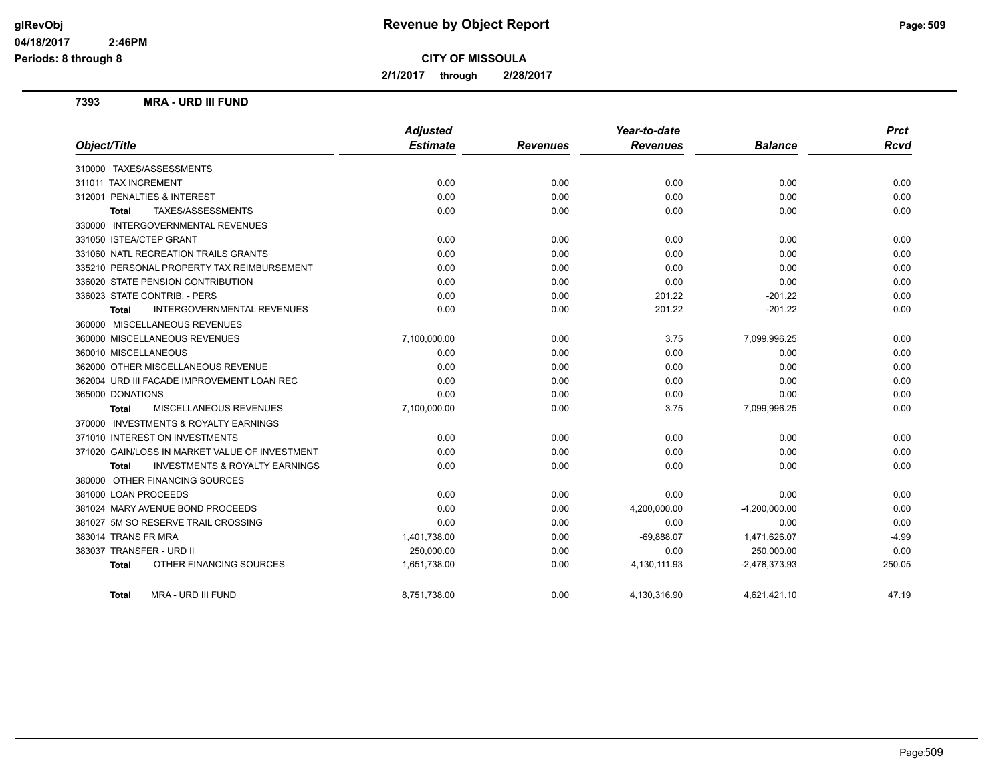**2/1/2017 through 2/28/2017**

#### **7393 MRA - URD III FUND**

| Object/Title                                       | <b>Adjusted</b><br><b>Estimate</b> | <b>Revenues</b> | Year-to-date<br><b>Revenues</b> | <b>Balance</b>  | <b>Prct</b><br><b>Rcvd</b> |
|----------------------------------------------------|------------------------------------|-----------------|---------------------------------|-----------------|----------------------------|
|                                                    |                                    |                 |                                 |                 |                            |
| 310000 TAXES/ASSESSMENTS                           |                                    |                 |                                 |                 |                            |
| 311011 TAX INCREMENT                               | 0.00                               | 0.00            | 0.00                            | 0.00            | 0.00                       |
| 312001 PENALTIES & INTEREST                        | 0.00                               | 0.00            | 0.00                            | 0.00            | 0.00                       |
| TAXES/ASSESSMENTS<br>Total                         | 0.00                               | 0.00            | 0.00                            | 0.00            | 0.00                       |
| 330000 INTERGOVERNMENTAL REVENUES                  |                                    |                 |                                 |                 |                            |
| 331050 ISTEA/CTEP GRANT                            | 0.00                               | 0.00            | 0.00                            | 0.00            | 0.00                       |
| 331060 NATL RECREATION TRAILS GRANTS               | 0.00                               | 0.00            | 0.00                            | 0.00            | 0.00                       |
| 335210 PERSONAL PROPERTY TAX REIMBURSEMENT         | 0.00                               | 0.00            | 0.00                            | 0.00            | 0.00                       |
| 336020 STATE PENSION CONTRIBUTION                  | 0.00                               | 0.00            | 0.00                            | 0.00            | 0.00                       |
| 336023 STATE CONTRIB. - PERS                       | 0.00                               | 0.00            | 201.22                          | $-201.22$       | 0.00                       |
| <b>INTERGOVERNMENTAL REVENUES</b><br>Total         | 0.00                               | 0.00            | 201.22                          | $-201.22$       | 0.00                       |
| 360000 MISCELLANEOUS REVENUES                      |                                    |                 |                                 |                 |                            |
| 360000 MISCELLANEOUS REVENUES                      | 7,100,000.00                       | 0.00            | 3.75                            | 7,099,996.25    | 0.00                       |
| 360010 MISCELLANEOUS                               | 0.00                               | 0.00            | 0.00                            | 0.00            | 0.00                       |
| 362000 OTHER MISCELLANEOUS REVENUE                 | 0.00                               | 0.00            | 0.00                            | 0.00            | 0.00                       |
| 362004 URD III FACADE IMPROVEMENT LOAN REC         | 0.00                               | 0.00            | 0.00                            | 0.00            | 0.00                       |
| 365000 DONATIONS                                   | 0.00                               | 0.00            | 0.00                            | 0.00            | 0.00                       |
| MISCELLANEOUS REVENUES<br>Total                    | 7,100,000.00                       | 0.00            | 3.75                            | 7,099,996.25    | 0.00                       |
| 370000 INVESTMENTS & ROYALTY EARNINGS              |                                    |                 |                                 |                 |                            |
| 371010 INTEREST ON INVESTMENTS                     | 0.00                               | 0.00            | 0.00                            | 0.00            | 0.00                       |
| 371020 GAIN/LOSS IN MARKET VALUE OF INVESTMENT     | 0.00                               | 0.00            | 0.00                            | 0.00            | 0.00                       |
| <b>INVESTMENTS &amp; ROYALTY EARNINGS</b><br>Total | 0.00                               | 0.00            | 0.00                            | 0.00            | 0.00                       |
| 380000 OTHER FINANCING SOURCES                     |                                    |                 |                                 |                 |                            |
| 381000 LOAN PROCEEDS                               | 0.00                               | 0.00            | 0.00                            | 0.00            | 0.00                       |
| 381024 MARY AVENUE BOND PROCEEDS                   | 0.00                               | 0.00            | 4,200,000.00                    | $-4,200,000.00$ | 0.00                       |
| 381027 5M SO RESERVE TRAIL CROSSING                | 0.00                               | 0.00            | 0.00                            | 0.00            | 0.00                       |
| 383014 TRANS FR MRA                                | 1,401,738.00                       | 0.00            | $-69,888.07$                    | 1,471,626.07    | $-4.99$                    |
| 383037 TRANSFER - URD II                           | 250,000.00                         | 0.00            | 0.00                            | 250,000.00      | 0.00                       |
| OTHER FINANCING SOURCES<br>Total                   | 1,651,738.00                       | 0.00            | 4,130,111.93                    | $-2,478,373.93$ | 250.05                     |
| <b>MRA - URD III FUND</b><br><b>Total</b>          | 8.751.738.00                       | 0.00            | 4.130.316.90                    | 4.621.421.10    | 47.19                      |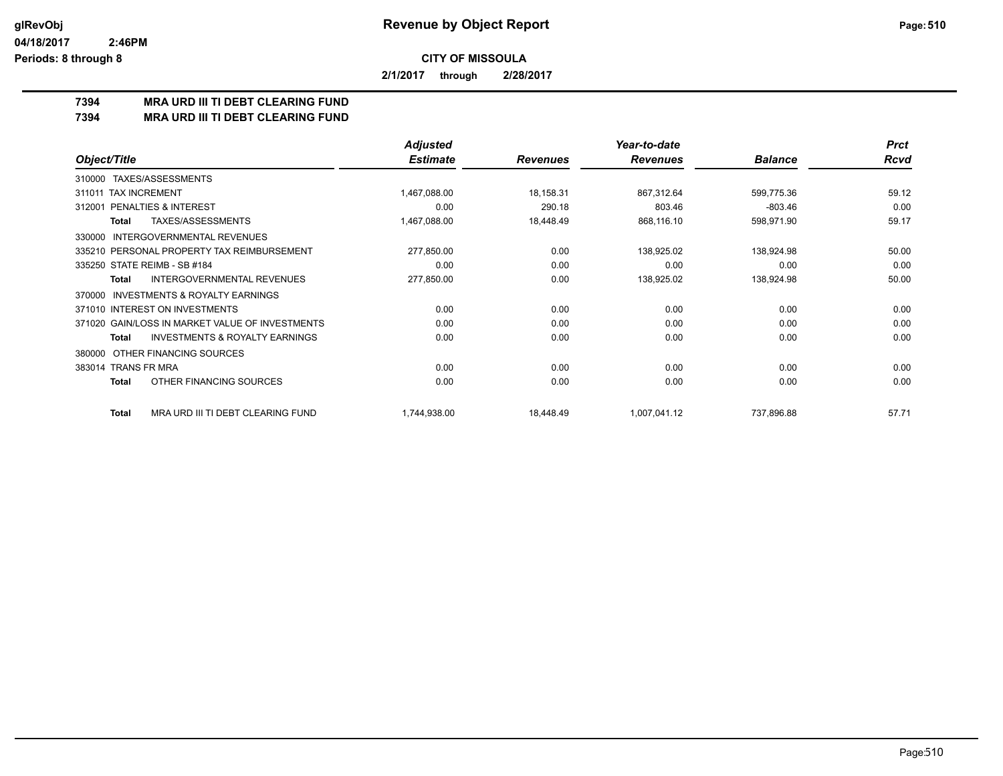**2/1/2017 through 2/28/2017**

# **7394 MRA URD III TI DEBT CLEARING FUND**

**7394 MRA URD III TI DEBT CLEARING FUND**

|                                                     | <b>Adjusted</b> |                 | Year-to-date    |                | Prct  |
|-----------------------------------------------------|-----------------|-----------------|-----------------|----------------|-------|
| Object/Title                                        | <b>Estimate</b> | <b>Revenues</b> | <b>Revenues</b> | <b>Balance</b> | Rcvd  |
| TAXES/ASSESSMENTS<br>310000                         |                 |                 |                 |                |       |
| <b>TAX INCREMENT</b><br>311011                      | 1,467,088.00    | 18,158.31       | 867,312.64      | 599,775.36     | 59.12 |
| <b>PENALTIES &amp; INTEREST</b><br>312001           | 0.00            | 290.18          | 803.46          | $-803.46$      | 0.00  |
| TAXES/ASSESSMENTS<br>Total                          | 1,467,088.00    | 18,448.49       | 868,116.10      | 598,971.90     | 59.17 |
| 330000 INTERGOVERNMENTAL REVENUES                   |                 |                 |                 |                |       |
| 335210 PERSONAL PROPERTY TAX REIMBURSEMENT          | 277,850.00      | 0.00            | 138,925.02      | 138,924.98     | 50.00 |
| 335250 STATE REIMB - SB #184                        | 0.00            | 0.00            | 0.00            | 0.00           | 0.00  |
| <b>INTERGOVERNMENTAL REVENUES</b><br>Total          | 277,850.00      | 0.00            | 138,925.02      | 138,924.98     | 50.00 |
| <b>INVESTMENTS &amp; ROYALTY EARNINGS</b><br>370000 |                 |                 |                 |                |       |
| 371010 INTEREST ON INVESTMENTS                      | 0.00            | 0.00            | 0.00            | 0.00           | 0.00  |
| 371020 GAIN/LOSS IN MARKET VALUE OF INVESTMENTS     | 0.00            | 0.00            | 0.00            | 0.00           | 0.00  |
| <b>INVESTMENTS &amp; ROYALTY EARNINGS</b><br>Total  | 0.00            | 0.00            | 0.00            | 0.00           | 0.00  |
| 380000 OTHER FINANCING SOURCES                      |                 |                 |                 |                |       |
| 383014 TRANS FR MRA                                 | 0.00            | 0.00            | 0.00            | 0.00           | 0.00  |
| OTHER FINANCING SOURCES<br>Total                    | 0.00            | 0.00            | 0.00            | 0.00           | 0.00  |
| MRA URD III TI DEBT CLEARING FUND<br><b>Total</b>   | 1,744,938.00    | 18,448.49       | 1,007,041.12    | 737,896.88     | 57.71 |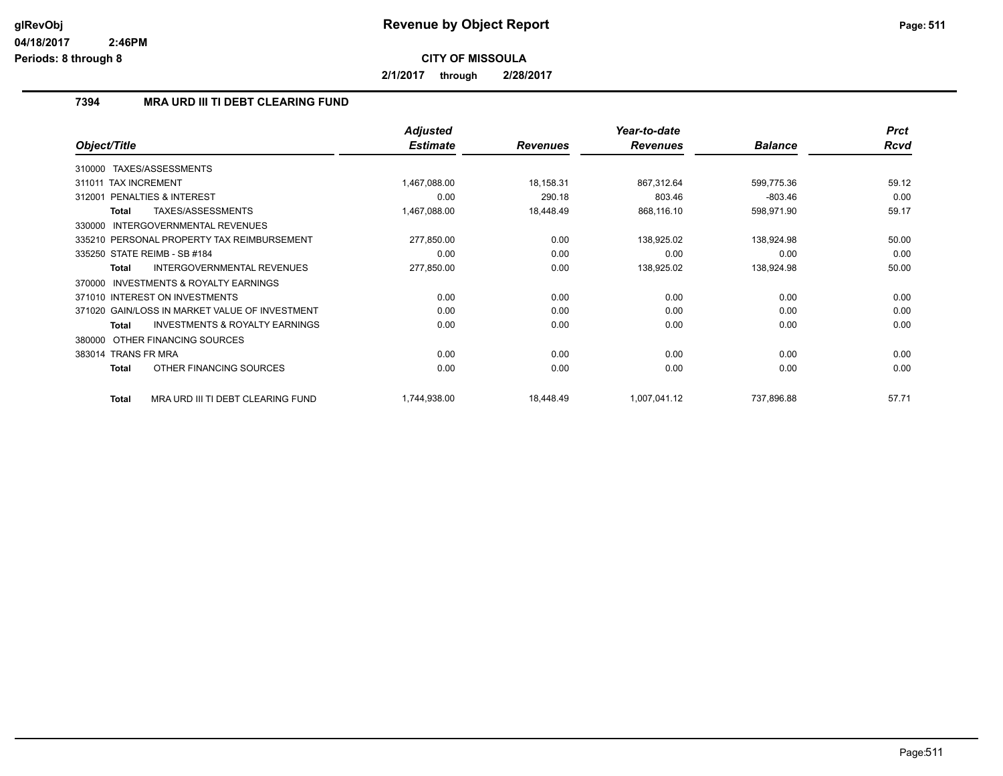**2/1/2017 through 2/28/2017**

## **7394 MRA URD III TI DEBT CLEARING FUND**

|                                                    | <b>Adjusted</b> |                 | Year-to-date    |                | <b>Prct</b> |
|----------------------------------------------------|-----------------|-----------------|-----------------|----------------|-------------|
| Object/Title                                       | <b>Estimate</b> | <b>Revenues</b> | <b>Revenues</b> | <b>Balance</b> | <b>Rcvd</b> |
| TAXES/ASSESSMENTS<br>310000                        |                 |                 |                 |                |             |
| 311011 TAX INCREMENT                               | 1,467,088.00    | 18,158.31       | 867,312.64      | 599,775.36     | 59.12       |
| 312001 PENALTIES & INTEREST                        | 0.00            | 290.18          | 803.46          | $-803.46$      | 0.00        |
| TAXES/ASSESSMENTS<br>Total                         | 1,467,088.00    | 18,448.49       | 868,116.10      | 598,971.90     | 59.17       |
| <b>INTERGOVERNMENTAL REVENUES</b><br>330000        |                 |                 |                 |                |             |
| 335210 PERSONAL PROPERTY TAX REIMBURSEMENT         | 277,850.00      | 0.00            | 138,925.02      | 138,924.98     | 50.00       |
| 335250 STATE REIMB - SB #184                       | 0.00            | 0.00            | 0.00            | 0.00           | 0.00        |
| <b>INTERGOVERNMENTAL REVENUES</b><br><b>Total</b>  | 277,850.00      | 0.00            | 138,925.02      | 138,924.98     | 50.00       |
| INVESTMENTS & ROYALTY EARNINGS<br>370000           |                 |                 |                 |                |             |
| 371010 INTEREST ON INVESTMENTS                     | 0.00            | 0.00            | 0.00            | 0.00           | 0.00        |
| 371020 GAIN/LOSS IN MARKET VALUE OF INVESTMENT     | 0.00            | 0.00            | 0.00            | 0.00           | 0.00        |
| <b>INVESTMENTS &amp; ROYALTY EARNINGS</b><br>Total | 0.00            | 0.00            | 0.00            | 0.00           | 0.00        |
| OTHER FINANCING SOURCES<br>380000                  |                 |                 |                 |                |             |
| 383014 TRANS FR MRA                                | 0.00            | 0.00            | 0.00            | 0.00           | 0.00        |
| OTHER FINANCING SOURCES<br><b>Total</b>            | 0.00            | 0.00            | 0.00            | 0.00           | 0.00        |
| MRA URD III TI DEBT CLEARING FUND<br><b>Total</b>  | 1,744,938.00    | 18,448.49       | 1,007,041.12    | 737,896.88     | 57.71       |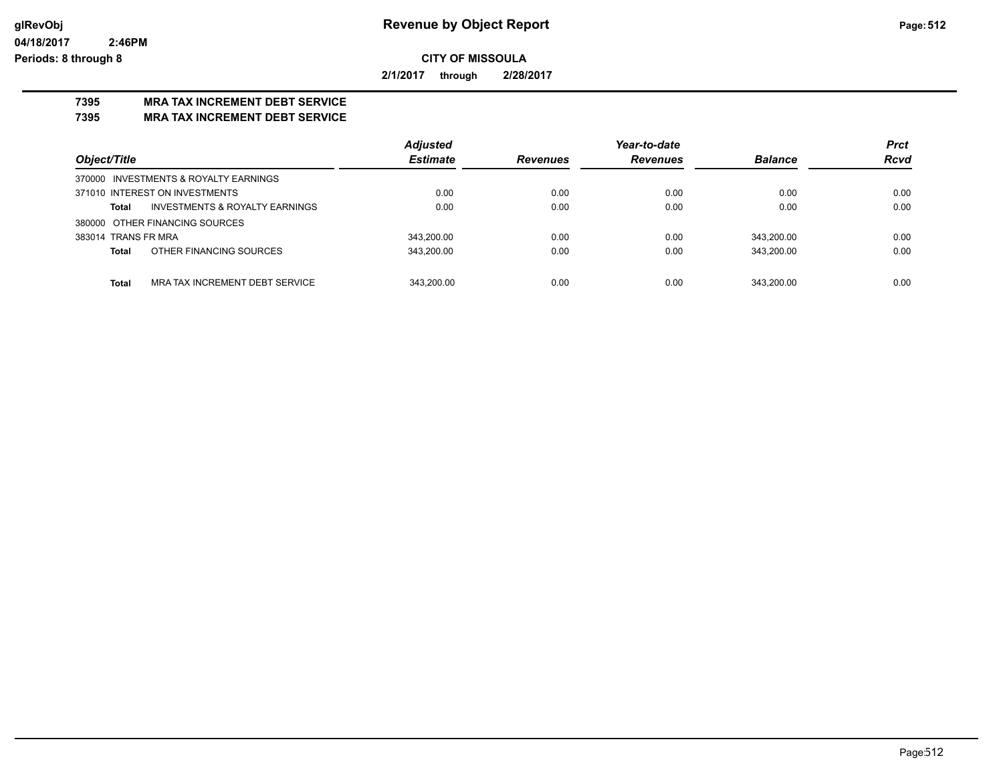**2/1/2017 through 2/28/2017**

## **7395 MRA TAX INCREMENT DEBT SERVICE 7395 MRA TAX INCREMENT DEBT SERVICE**

|                                         | <b>Adjusted</b> |                 | Year-to-date    |                | <b>Prct</b> |
|-----------------------------------------|-----------------|-----------------|-----------------|----------------|-------------|
| Object/Title                            | <b>Estimate</b> | <b>Revenues</b> | <b>Revenues</b> | <b>Balance</b> | <b>Rcvd</b> |
| 370000 INVESTMENTS & ROYALTY EARNINGS   |                 |                 |                 |                |             |
| 371010 INTEREST ON INVESTMENTS          | 0.00            | 0.00            | 0.00            | 0.00           | 0.00        |
| INVESTMENTS & ROYALTY EARNINGS<br>Total | 0.00            | 0.00            | 0.00            | 0.00           | 0.00        |
| 380000 OTHER FINANCING SOURCES          |                 |                 |                 |                |             |
| 383014 TRANS FR MRA                     | 343,200.00      | 0.00            | 0.00            | 343.200.00     | 0.00        |
| OTHER FINANCING SOURCES<br>Total        | 343,200.00      | 0.00            | 0.00            | 343.200.00     | 0.00        |
|                                         |                 |                 |                 |                |             |
| MRA TAX INCREMENT DEBT SERVICE<br>Total | 343.200.00      | 0.00            | 0.00            | 343.200.00     | 0.00        |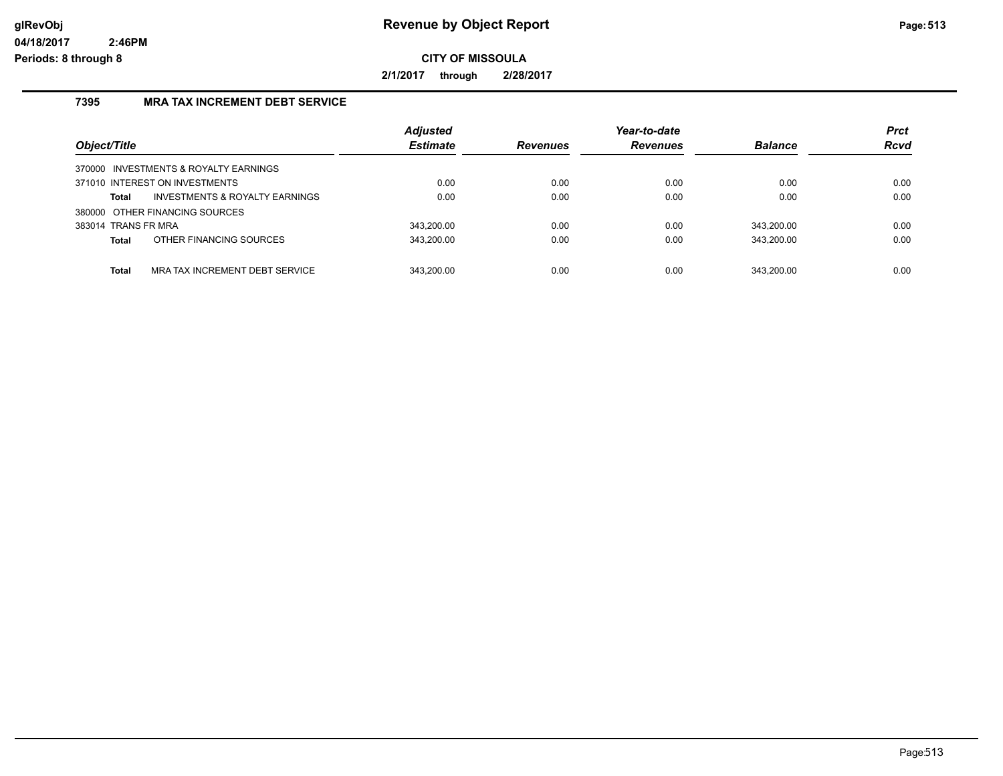**2/1/2017 through 2/28/2017**

## **7395 MRA TAX INCREMENT DEBT SERVICE**

|                     |                                           | <b>Adjusted</b> |                 | Year-to-date    |                | <b>Prct</b> |
|---------------------|-------------------------------------------|-----------------|-----------------|-----------------|----------------|-------------|
| Object/Title        |                                           | <b>Estimate</b> | <b>Revenues</b> | <b>Revenues</b> | <b>Balance</b> | <b>Rcvd</b> |
|                     | 370000 INVESTMENTS & ROYALTY EARNINGS     |                 |                 |                 |                |             |
|                     | 371010 INTEREST ON INVESTMENTS            | 0.00            | 0.00            | 0.00            | 0.00           | 0.00        |
| Total               | <b>INVESTMENTS &amp; ROYALTY EARNINGS</b> | 0.00            | 0.00            | 0.00            | 0.00           | 0.00        |
|                     | 380000 OTHER FINANCING SOURCES            |                 |                 |                 |                |             |
| 383014 TRANS FR MRA |                                           | 343,200.00      | 0.00            | 0.00            | 343,200.00     | 0.00        |
| <b>Total</b>        | OTHER FINANCING SOURCES                   | 343,200.00      | 0.00            | 0.00            | 343,200.00     | 0.00        |
| <b>Total</b>        | MRA TAX INCREMENT DEBT SERVICE            | 343,200.00      | 0.00            | 0.00            | 343,200.00     | 0.00        |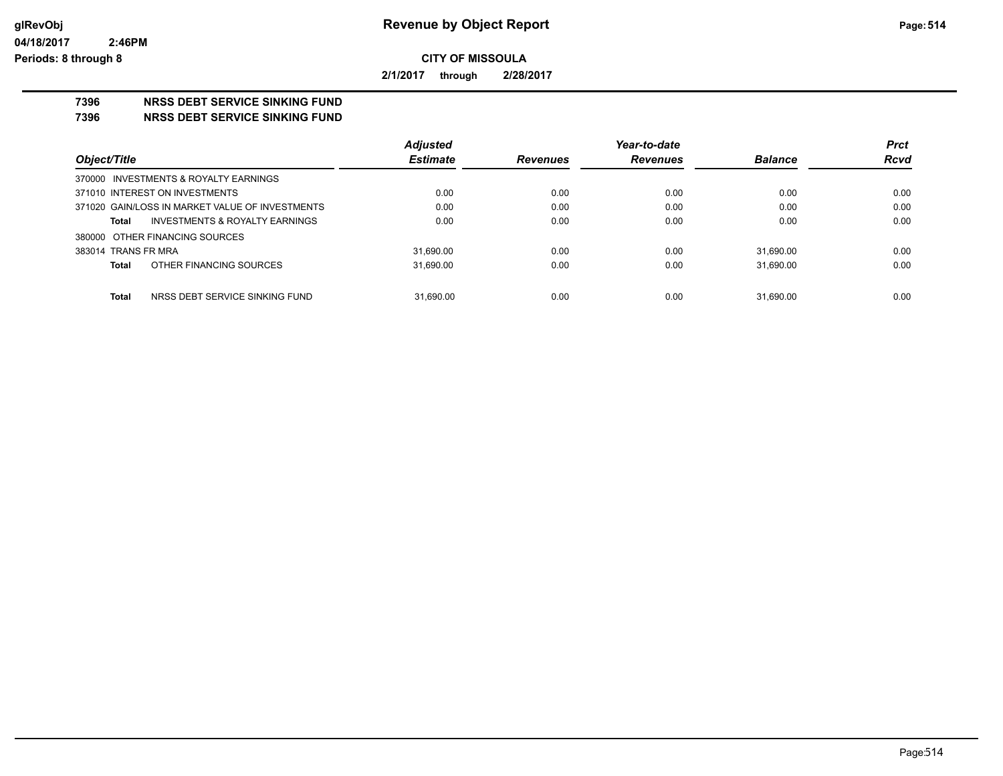**2/1/2017 through 2/28/2017**

## **7396 NRSS DEBT SERVICE SINKING FUND 7396 NRSS DEBT SERVICE SINKING FUND**

|                                                 | <b>Adjusted</b> |                 | Year-to-date    |                | <b>Prct</b> |
|-------------------------------------------------|-----------------|-----------------|-----------------|----------------|-------------|
| Object/Title                                    | <b>Estimate</b> | <b>Revenues</b> | <b>Revenues</b> | <b>Balance</b> | <b>Rcvd</b> |
| 370000 INVESTMENTS & ROYALTY EARNINGS           |                 |                 |                 |                |             |
| 371010 INTEREST ON INVESTMENTS                  | 0.00            | 0.00            | 0.00            | 0.00           | 0.00        |
| 371020 GAIN/LOSS IN MARKET VALUE OF INVESTMENTS | 0.00            | 0.00            | 0.00            | 0.00           | 0.00        |
| INVESTMENTS & ROYALTY EARNINGS<br>Total         | 0.00            | 0.00            | 0.00            | 0.00           | 0.00        |
| 380000 OTHER FINANCING SOURCES                  |                 |                 |                 |                |             |
| 383014 TRANS FR MRA                             | 31.690.00       | 0.00            | 0.00            | 31.690.00      | 0.00        |
| OTHER FINANCING SOURCES<br>Total                | 31,690.00       | 0.00            | 0.00            | 31,690.00      | 0.00        |
|                                                 |                 |                 |                 |                |             |
| NRSS DEBT SERVICE SINKING FUND<br><b>Total</b>  | 31.690.00       | 0.00            | 0.00            | 31.690.00      | 0.00        |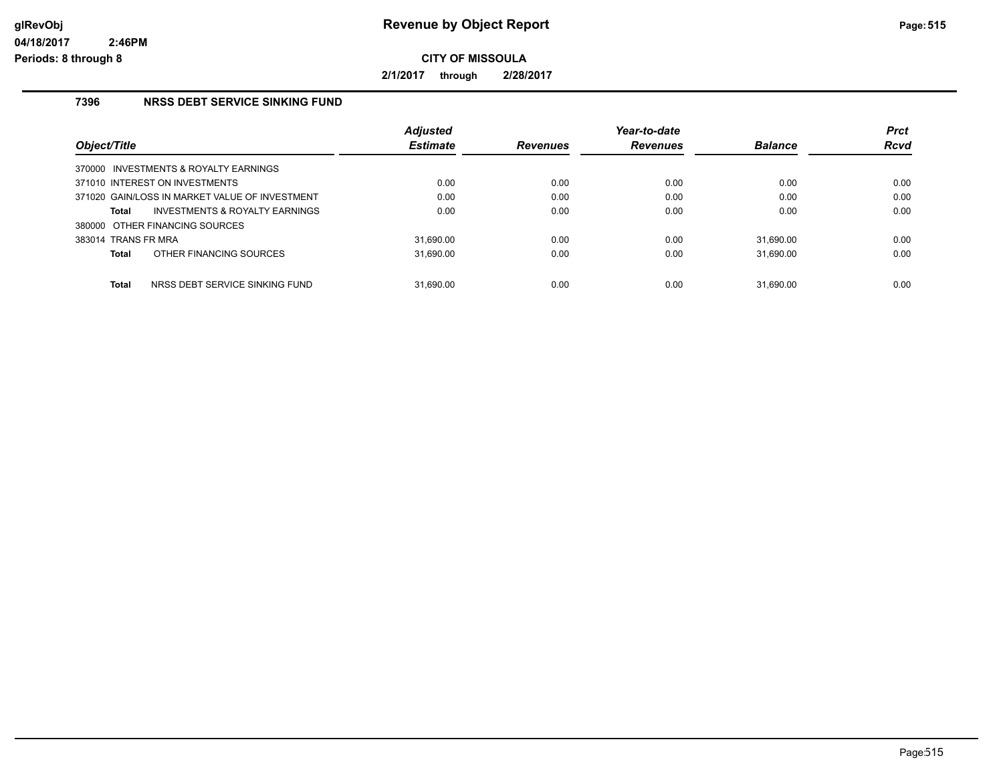**2/1/2017 through 2/28/2017**

#### **7396 NRSS DEBT SERVICE SINKING FUND**

|                     |                                                | <b>Adjusted</b> |                 | Year-to-date    |                | <b>Prct</b> |
|---------------------|------------------------------------------------|-----------------|-----------------|-----------------|----------------|-------------|
| Object/Title        |                                                | <b>Estimate</b> | <b>Revenues</b> | <b>Revenues</b> | <b>Balance</b> | <b>Rcvd</b> |
|                     | 370000 INVESTMENTS & ROYALTY EARNINGS          |                 |                 |                 |                |             |
|                     | 371010 INTEREST ON INVESTMENTS                 | 0.00            | 0.00            | 0.00            | 0.00           | 0.00        |
|                     | 371020 GAIN/LOSS IN MARKET VALUE OF INVESTMENT | 0.00            | 0.00            | 0.00            | 0.00           | 0.00        |
| Total               | INVESTMENTS & ROYALTY EARNINGS                 | 0.00            | 0.00            | 0.00            | 0.00           | 0.00        |
|                     | 380000 OTHER FINANCING SOURCES                 |                 |                 |                 |                |             |
| 383014 TRANS FR MRA |                                                | 31.690.00       | 0.00            | 0.00            | 31.690.00      | 0.00        |
| Total               | OTHER FINANCING SOURCES                        | 31.690.00       | 0.00            | 0.00            | 31.690.00      | 0.00        |
| <b>Total</b>        | NRSS DEBT SERVICE SINKING FUND                 | 31.690.00       | 0.00            | 0.00            | 31.690.00      | 0.00        |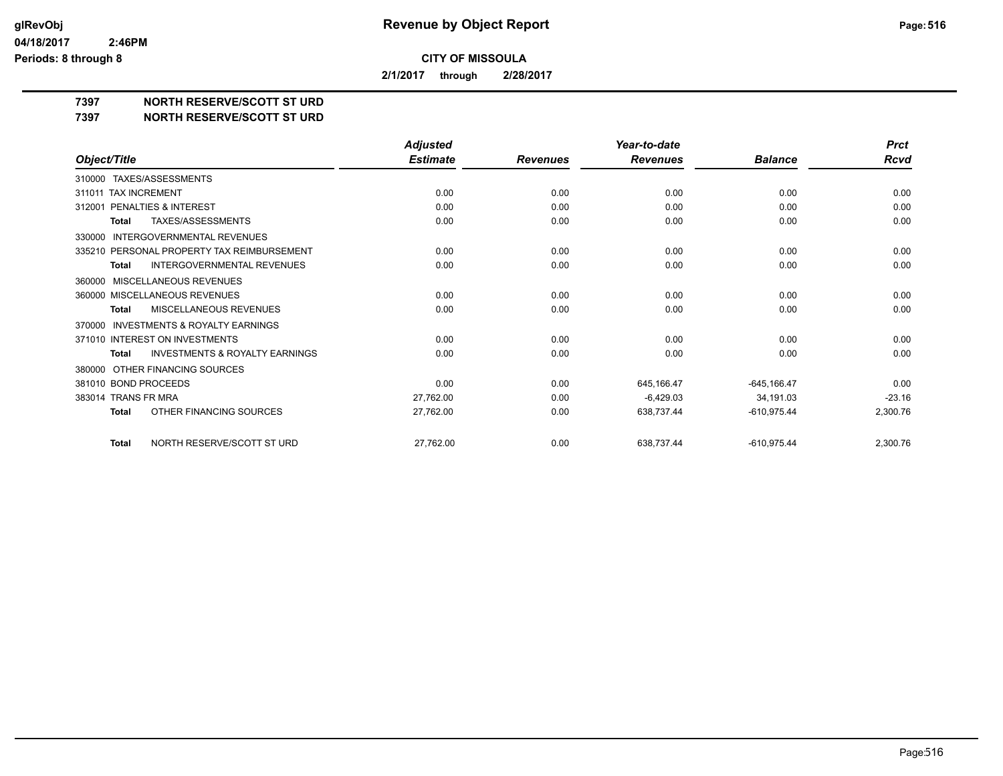**2/1/2017 through 2/28/2017**

**7397 NORTH RESERVE/SCOTT ST URD**

**7397 NORTH RESERVE/SCOTT ST URD**

|                                                           | <b>Adjusted</b> |                 | Year-to-date    |                | <b>Prct</b> |
|-----------------------------------------------------------|-----------------|-----------------|-----------------|----------------|-------------|
| Object/Title                                              | <b>Estimate</b> | <b>Revenues</b> | <b>Revenues</b> | <b>Balance</b> | <b>Rcvd</b> |
| TAXES/ASSESSMENTS<br>310000                               |                 |                 |                 |                |             |
| 311011 TAX INCREMENT                                      | 0.00            | 0.00            | 0.00            | 0.00           | 0.00        |
| PENALTIES & INTEREST<br>312001                            | 0.00            | 0.00            | 0.00            | 0.00           | 0.00        |
| TAXES/ASSESSMENTS<br><b>Total</b>                         | 0.00            | 0.00            | 0.00            | 0.00           | 0.00        |
| <b>INTERGOVERNMENTAL REVENUES</b><br>330000               |                 |                 |                 |                |             |
| 335210 PERSONAL PROPERTY TAX REIMBURSEMENT                | 0.00            | 0.00            | 0.00            | 0.00           | 0.00        |
| <b>INTERGOVERNMENTAL REVENUES</b><br>Total                | 0.00            | 0.00            | 0.00            | 0.00           | 0.00        |
| MISCELLANEOUS REVENUES<br>360000                          |                 |                 |                 |                |             |
| 360000 MISCELLANEOUS REVENUES                             | 0.00            | 0.00            | 0.00            | 0.00           | 0.00        |
| MISCELLANEOUS REVENUES<br><b>Total</b>                    | 0.00            | 0.00            | 0.00            | 0.00           | 0.00        |
| <b>INVESTMENTS &amp; ROYALTY EARNINGS</b><br>370000       |                 |                 |                 |                |             |
| 371010 INTEREST ON INVESTMENTS                            | 0.00            | 0.00            | 0.00            | 0.00           | 0.00        |
| <b>INVESTMENTS &amp; ROYALTY EARNINGS</b><br><b>Total</b> | 0.00            | 0.00            | 0.00            | 0.00           | 0.00        |
| OTHER FINANCING SOURCES<br>380000                         |                 |                 |                 |                |             |
| 381010 BOND PROCEEDS                                      | 0.00            | 0.00            | 645,166.47      | $-645, 166.47$ | 0.00        |
| 383014 TRANS FR MRA                                       | 27,762.00       | 0.00            | $-6,429.03$     | 34,191.03      | $-23.16$    |
| OTHER FINANCING SOURCES<br><b>Total</b>                   | 27,762.00       | 0.00            | 638,737.44      | $-610,975.44$  | 2,300.76    |
| NORTH RESERVE/SCOTT ST URD<br><b>Total</b>                | 27,762.00       | 0.00            | 638,737.44      | $-610,975.44$  | 2,300.76    |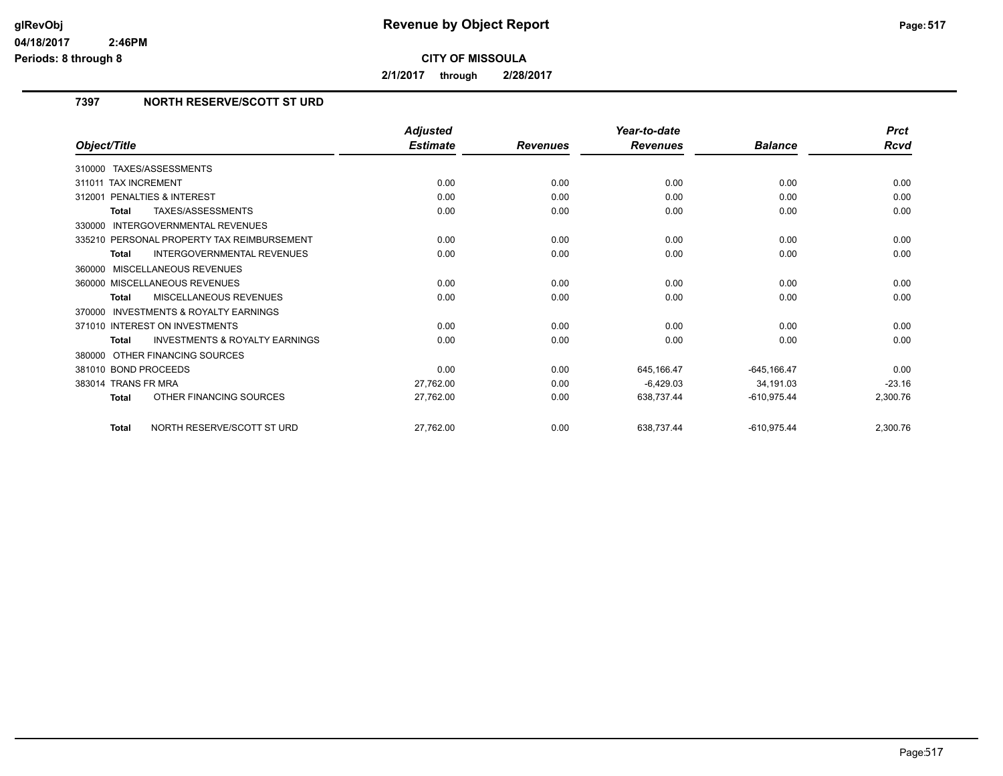**2/1/2017 through 2/28/2017**

## **7397 NORTH RESERVE/SCOTT ST URD**

|                                                           | <b>Adjusted</b> |                 | Year-to-date    |                | <b>Prct</b> |
|-----------------------------------------------------------|-----------------|-----------------|-----------------|----------------|-------------|
| Object/Title                                              | <b>Estimate</b> | <b>Revenues</b> | <b>Revenues</b> | <b>Balance</b> | <b>Rcvd</b> |
| 310000 TAXES/ASSESSMENTS                                  |                 |                 |                 |                |             |
| 311011 TAX INCREMENT                                      | 0.00            | 0.00            | 0.00            | 0.00           | 0.00        |
| 312001 PENALTIES & INTEREST                               | 0.00            | 0.00            | 0.00            | 0.00           | 0.00        |
| TAXES/ASSESSMENTS<br><b>Total</b>                         | 0.00            | 0.00            | 0.00            | 0.00           | 0.00        |
| INTERGOVERNMENTAL REVENUES<br>330000                      |                 |                 |                 |                |             |
| 335210 PERSONAL PROPERTY TAX REIMBURSEMENT                | 0.00            | 0.00            | 0.00            | 0.00           | 0.00        |
| <b>INTERGOVERNMENTAL REVENUES</b><br><b>Total</b>         | 0.00            | 0.00            | 0.00            | 0.00           | 0.00        |
| 360000 MISCELLANEOUS REVENUES                             |                 |                 |                 |                |             |
| 360000 MISCELLANEOUS REVENUES                             | 0.00            | 0.00            | 0.00            | 0.00           | 0.00        |
| MISCELLANEOUS REVENUES<br><b>Total</b>                    | 0.00            | 0.00            | 0.00            | 0.00           | 0.00        |
| <b>INVESTMENTS &amp; ROYALTY EARNINGS</b><br>370000       |                 |                 |                 |                |             |
| 371010 INTEREST ON INVESTMENTS                            | 0.00            | 0.00            | 0.00            | 0.00           | 0.00        |
| <b>INVESTMENTS &amp; ROYALTY EARNINGS</b><br><b>Total</b> | 0.00            | 0.00            | 0.00            | 0.00           | 0.00        |
| OTHER FINANCING SOURCES<br>380000                         |                 |                 |                 |                |             |
| 381010 BOND PROCEEDS                                      | 0.00            | 0.00            | 645,166.47      | $-645, 166.47$ | 0.00        |
| 383014 TRANS FR MRA                                       | 27,762.00       | 0.00            | $-6.429.03$     | 34,191.03      | $-23.16$    |
| OTHER FINANCING SOURCES<br><b>Total</b>                   | 27,762.00       | 0.00            | 638,737.44      | $-610,975.44$  | 2,300.76    |
| NORTH RESERVE/SCOTT ST URD<br><b>Total</b>                | 27,762.00       | 0.00            | 638,737.44      | $-610,975.44$  | 2,300.76    |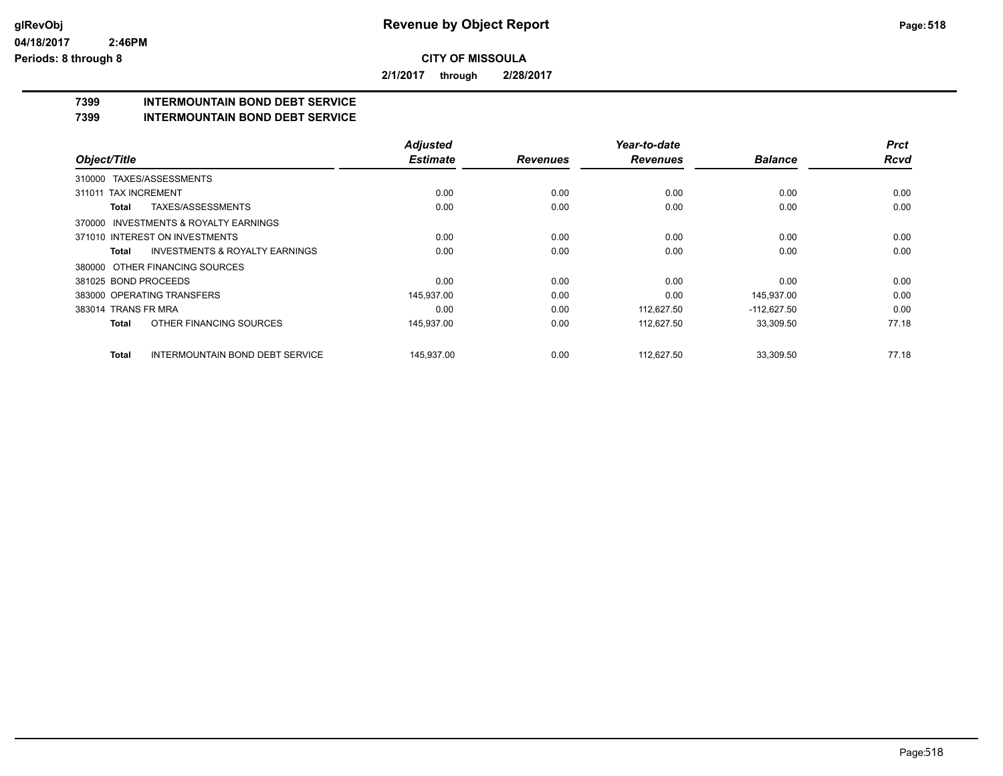**2/1/2017 through 2/28/2017**

## **7399 INTERMOUNTAIN BOND DEBT SERVICE 7399 INTERMOUNTAIN BOND DEBT SERVICE**

|                      |                                           | <b>Adjusted</b> |                 | Year-to-date    |                | <b>Prct</b> |
|----------------------|-------------------------------------------|-----------------|-----------------|-----------------|----------------|-------------|
| Object/Title         |                                           | <b>Estimate</b> | <b>Revenues</b> | <b>Revenues</b> | <b>Balance</b> | Rcvd        |
|                      | 310000 TAXES/ASSESSMENTS                  |                 |                 |                 |                |             |
| 311011               | <b>TAX INCREMENT</b>                      | 0.00            | 0.00            | 0.00            | 0.00           | 0.00        |
| Total                | TAXES/ASSESSMENTS                         | 0.00            | 0.00            | 0.00            | 0.00           | 0.00        |
| 370000               | <b>INVESTMENTS &amp; ROYALTY EARNINGS</b> |                 |                 |                 |                |             |
|                      | 371010 INTEREST ON INVESTMENTS            | 0.00            | 0.00            | 0.00            | 0.00           | 0.00        |
| Total                | <b>INVESTMENTS &amp; ROYALTY EARNINGS</b> | 0.00            | 0.00            | 0.00            | 0.00           | 0.00        |
|                      | 380000 OTHER FINANCING SOURCES            |                 |                 |                 |                |             |
| 381025 BOND PROCEEDS |                                           | 0.00            | 0.00            | 0.00            | 0.00           | 0.00        |
|                      | 383000 OPERATING TRANSFERS                | 145,937.00      | 0.00            | 0.00            | 145,937.00     | 0.00        |
| 383014 TRANS FR MRA  |                                           | 0.00            | 0.00            | 112,627.50      | $-112,627.50$  | 0.00        |
| Total                | OTHER FINANCING SOURCES                   | 145,937.00      | 0.00            | 112.627.50      | 33,309.50      | 77.18       |
| <b>Total</b>         | INTERMOUNTAIN BOND DEBT SERVICE           | 145,937.00      | 0.00            | 112,627.50      | 33,309.50      | 77.18       |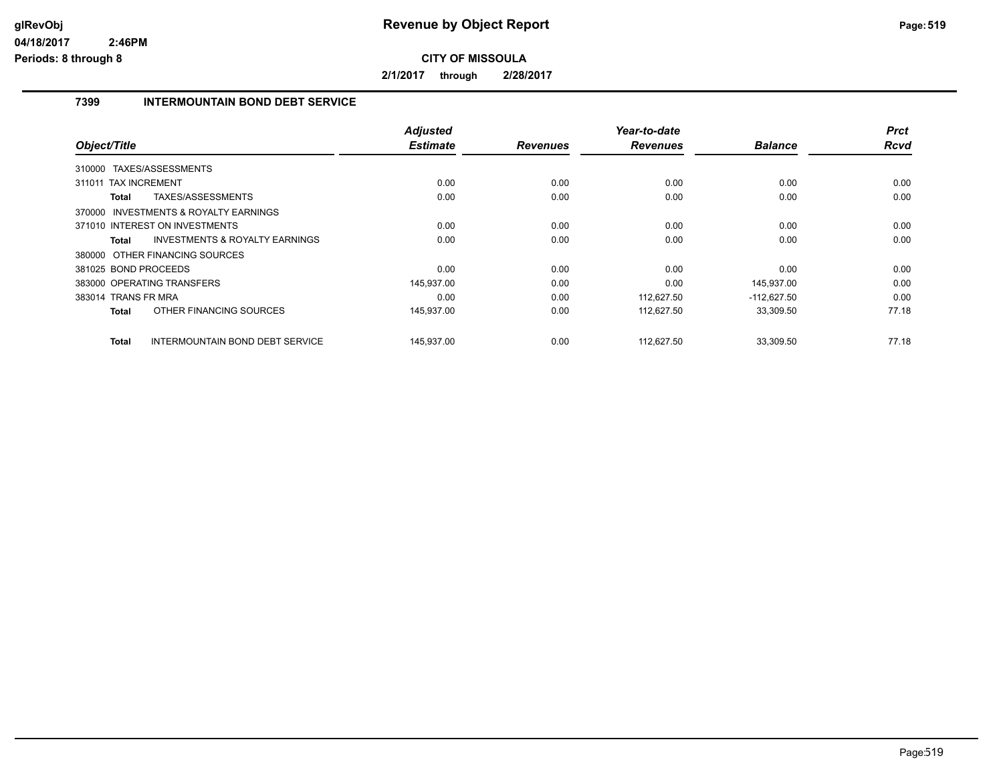**2/1/2017 through 2/28/2017**

## **7399 INTERMOUNTAIN BOND DEBT SERVICE**

|                                                    | <b>Adjusted</b> |                 | Year-to-date    |                | <b>Prct</b> |
|----------------------------------------------------|-----------------|-----------------|-----------------|----------------|-------------|
| Object/Title                                       | <b>Estimate</b> | <b>Revenues</b> | <b>Revenues</b> | <b>Balance</b> | Rcvd        |
| TAXES/ASSESSMENTS<br>310000                        |                 |                 |                 |                |             |
| 311011 TAX INCREMENT                               | 0.00            | 0.00            | 0.00            | 0.00           | 0.00        |
| TAXES/ASSESSMENTS<br>Total                         | 0.00            | 0.00            | 0.00            | 0.00           | 0.00        |
| 370000 INVESTMENTS & ROYALTY EARNINGS              |                 |                 |                 |                |             |
| 371010 INTEREST ON INVESTMENTS                     | 0.00            | 0.00            | 0.00            | 0.00           | 0.00        |
| <b>INVESTMENTS &amp; ROYALTY EARNINGS</b><br>Total | 0.00            | 0.00            | 0.00            | 0.00           | 0.00        |
| 380000 OTHER FINANCING SOURCES                     |                 |                 |                 |                |             |
| 381025 BOND PROCEEDS                               | 0.00            | 0.00            | 0.00            | 0.00           | 0.00        |
| 383000 OPERATING TRANSFERS                         | 145,937.00      | 0.00            | 0.00            | 145,937.00     | 0.00        |
| 383014 TRANS FR MRA                                | 0.00            | 0.00            | 112,627.50      | $-112,627.50$  | 0.00        |
| OTHER FINANCING SOURCES<br><b>Total</b>            | 145,937.00      | 0.00            | 112,627.50      | 33,309.50      | 77.18       |
| INTERMOUNTAIN BOND DEBT SERVICE<br><b>Total</b>    | 145,937.00      | 0.00            | 112.627.50      | 33,309.50      | 77.18       |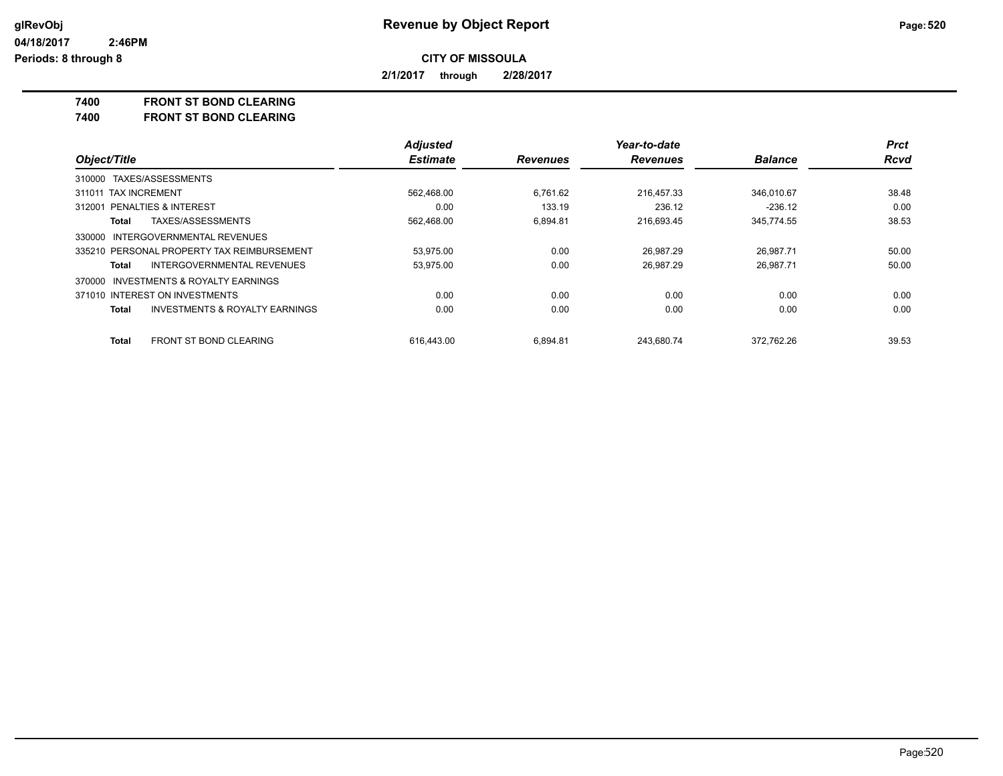*Prct Rcvd*

**CITY OF MISSOULA**

**2/1/2017 through 2/28/2017**

**7400 FRONT ST BOND CLEARING 7400 FRONT ST BOND CLEARING**

*Object/Title Adjusted Estimate Revenues Year-to-date Revenues Balance* 310000 TAXES/ASSESSMENTS 311011 TAX INCREMENT 562,468.00 6,761.62 216,457.33 346,010.67 38.48 312001 PENALTIES & INTEREST 0.00 133.19 236.12 -236.12 0.00 **Total** TAXES/ASSESSMENTS 562,468.00 6,894.81 216,693.45 345,774.55 38.53 330000 INTERGOVERNMENTAL REVENUES 335210 PERSONAL PROPERTY TAX REIMBURSEMENT 53,975.00 0.00 26,987.29 26,987.71 50.00 **Total** INTERGOVERNMENTAL REVENUES 53,975.00 0.00 26,987.29 26,987.71 50.00 370000 INVESTMENTS & ROYALTY EARNINGS 371010 INTEREST ON INVESTMENTS 0.00 0.00 0.00 0.00 0.00 **Total** INVESTMENTS & ROYALTY EARNINGS 0.00 0.00 0.00 0.00 0.00 **Total** FRONT ST BOND CLEARING 616,443.00 6,894.81 243,680.74 372,762.26 39.53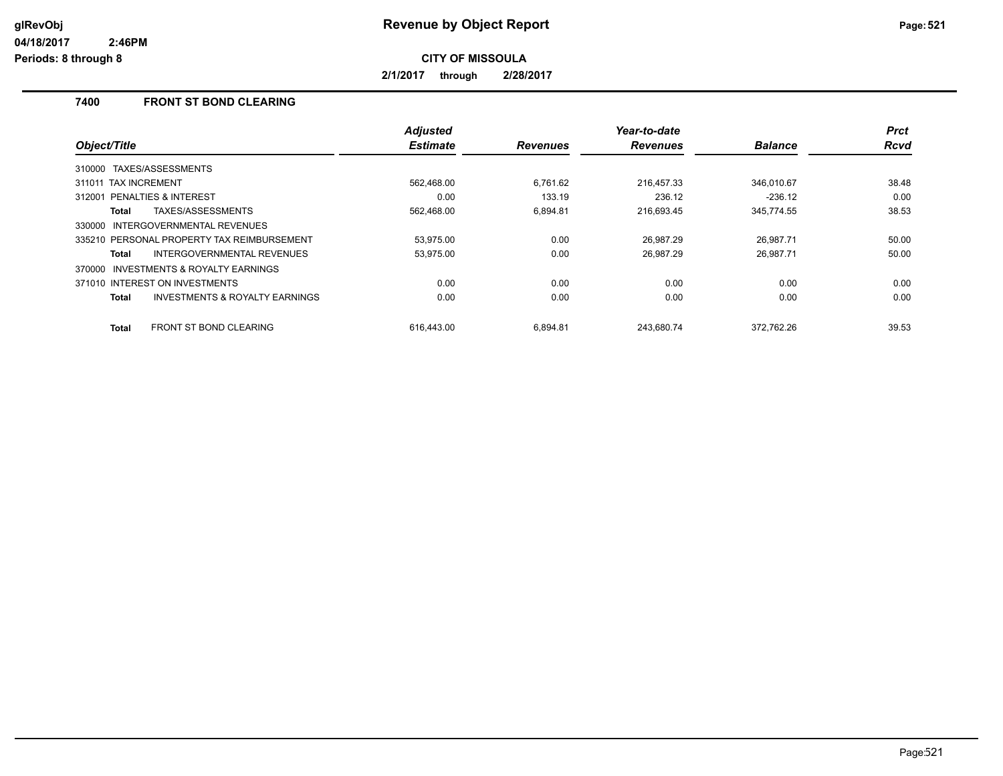**2/1/2017 through 2/28/2017**

## **7400 FRONT ST BOND CLEARING**

|                                                           | <b>Adjusted</b> |                 | Year-to-date    |                | <b>Prct</b> |
|-----------------------------------------------------------|-----------------|-----------------|-----------------|----------------|-------------|
| Object/Title                                              | <b>Estimate</b> | <b>Revenues</b> | <b>Revenues</b> | <b>Balance</b> | <b>Rcvd</b> |
| TAXES/ASSESSMENTS<br>310000                               |                 |                 |                 |                |             |
| 311011 TAX INCREMENT                                      | 562,468.00      | 6,761.62        | 216,457.33      | 346,010.67     | 38.48       |
| PENALTIES & INTEREST<br>312001                            | 0.00            | 133.19          | 236.12          | $-236.12$      | 0.00        |
| TAXES/ASSESSMENTS<br>Total                                | 562,468.00      | 6.894.81        | 216,693.45      | 345.774.55     | 38.53       |
| INTERGOVERNMENTAL REVENUES<br>330000                      |                 |                 |                 |                |             |
| 335210 PERSONAL PROPERTY TAX REIMBURSEMENT                | 53,975.00       | 0.00            | 26,987.29       | 26,987.71      | 50.00       |
| INTERGOVERNMENTAL REVENUES<br><b>Total</b>                | 53.975.00       | 0.00            | 26.987.29       | 26.987.71      | 50.00       |
| INVESTMENTS & ROYALTY EARNINGS<br>370000                  |                 |                 |                 |                |             |
| 371010 INTEREST ON INVESTMENTS                            | 0.00            | 0.00            | 0.00            | 0.00           | 0.00        |
| <b>INVESTMENTS &amp; ROYALTY EARNINGS</b><br><b>Total</b> | 0.00            | 0.00            | 0.00            | 0.00           | 0.00        |
| <b>FRONT ST BOND CLEARING</b><br><b>Total</b>             | 616.443.00      | 6.894.81        | 243.680.74      | 372.762.26     | 39.53       |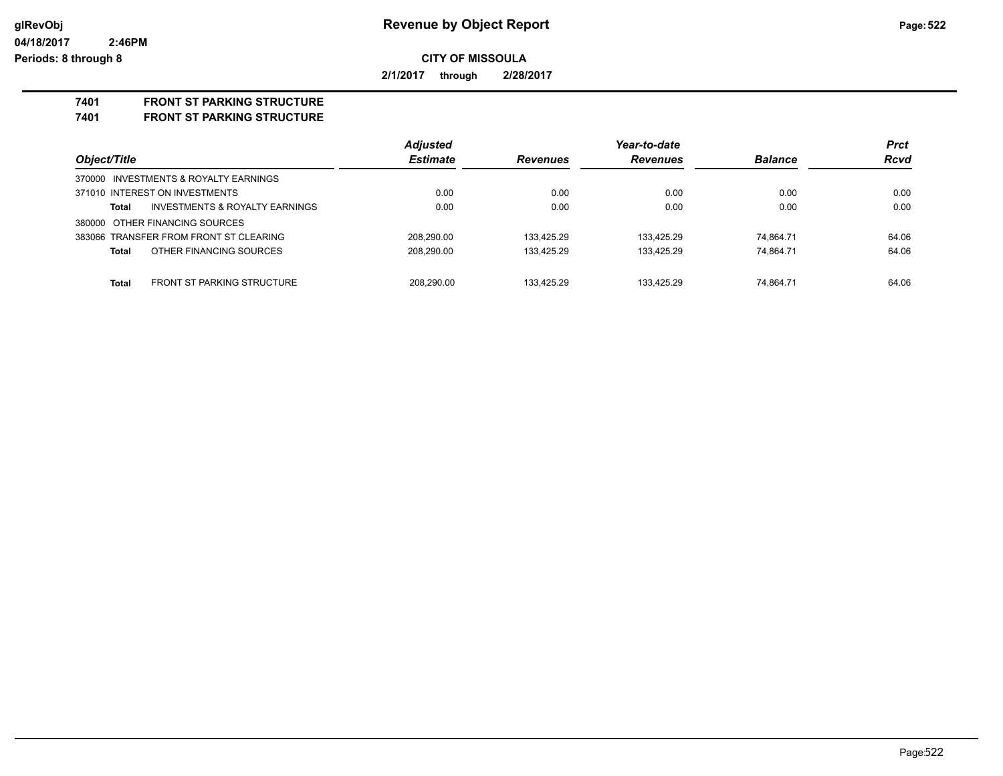**2/1/2017 through 2/28/2017**

**7401 FRONT ST PARKING STRUCTURE**

**7401 FRONT ST PARKING STRUCTURE**

|                                                   | <b>Adjusted</b> |                 | Year-to-date    |                | <b>Prct</b> |
|---------------------------------------------------|-----------------|-----------------|-----------------|----------------|-------------|
| Object/Title                                      | <b>Estimate</b> | <b>Revenues</b> | <b>Revenues</b> | <b>Balance</b> | <b>Rcvd</b> |
| 370000 INVESTMENTS & ROYALTY EARNINGS             |                 |                 |                 |                |             |
| 371010 INTEREST ON INVESTMENTS                    | 0.00            | 0.00            | 0.00            | 0.00           | 0.00        |
| INVESTMENTS & ROYALTY EARNINGS<br><b>Total</b>    | 0.00            | 0.00            | 0.00            | 0.00           | 0.00        |
| 380000 OTHER FINANCING SOURCES                    |                 |                 |                 |                |             |
| 383066 TRANSFER FROM FRONT ST CLEARING            | 208.290.00      | 133.425.29      | 133.425.29      | 74.864.71      | 64.06       |
| OTHER FINANCING SOURCES<br><b>Total</b>           | 208.290.00      | 133.425.29      | 133.425.29      | 74.864.71      | 64.06       |
|                                                   |                 |                 |                 |                |             |
| <b>Total</b><br><b>FRONT ST PARKING STRUCTURE</b> | 208.290.00      | 133.425.29      | 133.425.29      | 74.864.71      | 64.06       |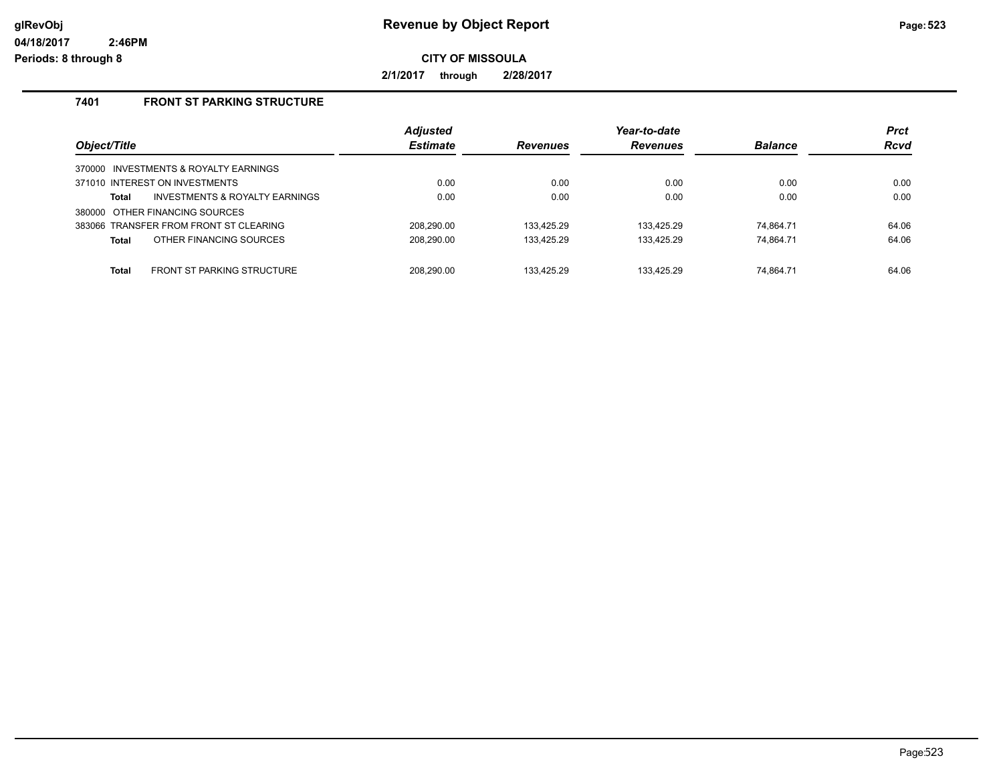**2/1/2017 through 2/28/2017**

## **7401 FRONT ST PARKING STRUCTURE**

|              |                                           | <b>Adjusted</b> |                 | Year-to-date    |                | <b>Prct</b> |
|--------------|-------------------------------------------|-----------------|-----------------|-----------------|----------------|-------------|
| Object/Title |                                           | <b>Estimate</b> | <b>Revenues</b> | <b>Revenues</b> | <b>Balance</b> | <b>Rcvd</b> |
|              | 370000 INVESTMENTS & ROYALTY EARNINGS     |                 |                 |                 |                |             |
|              | 371010 INTEREST ON INVESTMENTS            | 0.00            | 0.00            | 0.00            | 0.00           | 0.00        |
| Total        | <b>INVESTMENTS &amp; ROYALTY EARNINGS</b> | 0.00            | 0.00            | 0.00            | 0.00           | 0.00        |
|              | 380000 OTHER FINANCING SOURCES            |                 |                 |                 |                |             |
|              | 383066 TRANSFER FROM FRONT ST CLEARING    | 208.290.00      | 133.425.29      | 133.425.29      | 74.864.71      | 64.06       |
| Total        | OTHER FINANCING SOURCES                   | 208.290.00      | 133.425.29      | 133.425.29      | 74.864.71      | 64.06       |
| <b>Total</b> | <b>FRONT ST PARKING STRUCTURE</b>         | 208.290.00      | 133.425.29      | 133.425.29      | 74.864.71      | 64.06       |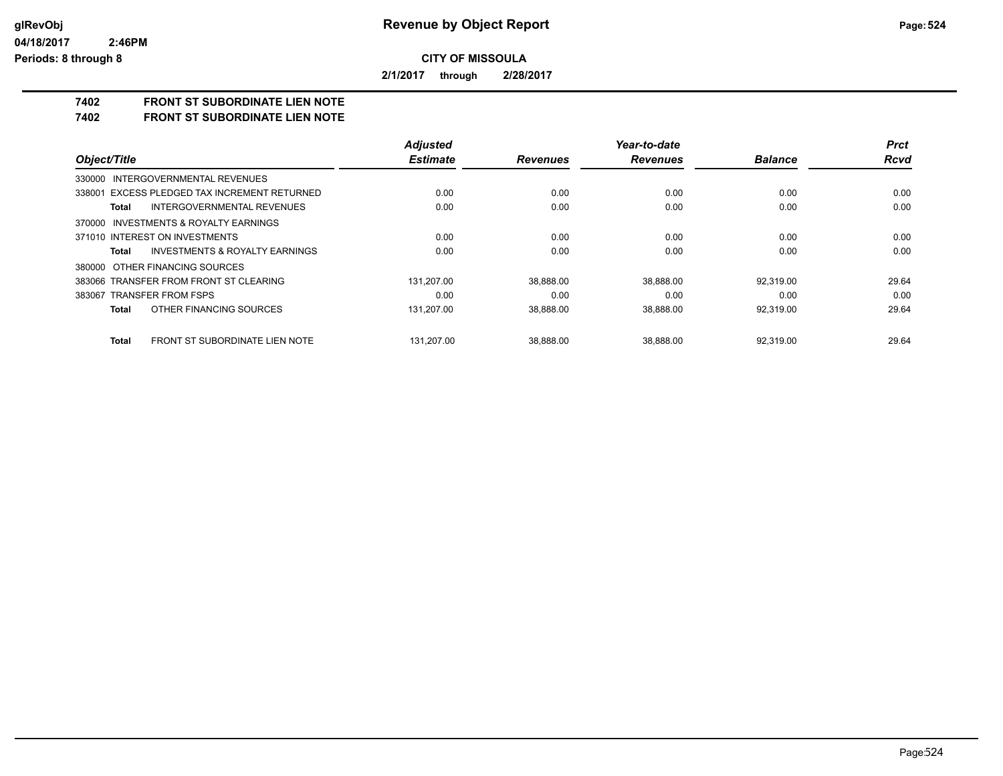**2/1/2017 through 2/28/2017**

## **7402 FRONT ST SUBORDINATE LIEN NOTE 7402 FRONT ST SUBORDINATE LIEN NOTE**

|                                                       | <b>Adjusted</b> |                 | Year-to-date    |                | <b>Prct</b> |
|-------------------------------------------------------|-----------------|-----------------|-----------------|----------------|-------------|
| Object/Title                                          | <b>Estimate</b> | <b>Revenues</b> | <b>Revenues</b> | <b>Balance</b> | <b>Rcvd</b> |
| INTERGOVERNMENTAL REVENUES<br>330000                  |                 |                 |                 |                |             |
| 338001 EXCESS PLEDGED TAX INCREMENT RETURNED          | 0.00            | 0.00            | 0.00            | 0.00           | 0.00        |
| INTERGOVERNMENTAL REVENUES<br>Total                   | 0.00            | 0.00            | 0.00            | 0.00           | 0.00        |
| INVESTMENTS & ROYALTY EARNINGS<br>370000              |                 |                 |                 |                |             |
| 371010 INTEREST ON INVESTMENTS                        | 0.00            | 0.00            | 0.00            | 0.00           | 0.00        |
| <b>INVESTMENTS &amp; ROYALTY EARNINGS</b><br>Total    | 0.00            | 0.00            | 0.00            | 0.00           | 0.00        |
| OTHER FINANCING SOURCES<br>380000                     |                 |                 |                 |                |             |
| 383066 TRANSFER FROM FRONT ST CLEARING                | 131.207.00      | 38.888.00       | 38.888.00       | 92.319.00      | 29.64       |
| <b>TRANSFER FROM FSPS</b><br>383067                   | 0.00            | 0.00            | 0.00            | 0.00           | 0.00        |
| OTHER FINANCING SOURCES<br>Total                      | 131.207.00      | 38,888.00       | 38,888.00       | 92.319.00      | 29.64       |
| <b>FRONT ST SUBORDINATE LIEN NOTE</b><br><b>Total</b> | 131.207.00      | 38.888.00       | 38.888.00       | 92.319.00      | 29.64       |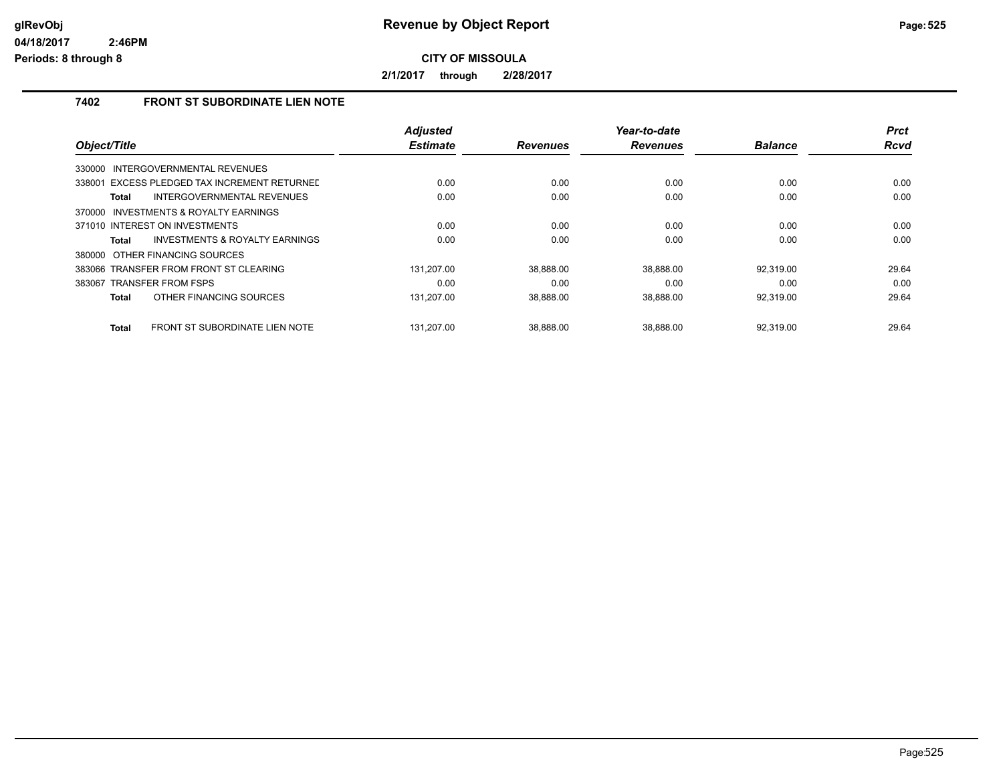**2/1/2017 through 2/28/2017**

### **7402 FRONT ST SUBORDINATE LIEN NOTE**

|              |                                              | <b>Adjusted</b> |                 | Year-to-date    |                | <b>Prct</b> |
|--------------|----------------------------------------------|-----------------|-----------------|-----------------|----------------|-------------|
| Object/Title |                                              | <b>Estimate</b> | <b>Revenues</b> | <b>Revenues</b> | <b>Balance</b> | <b>Rcvd</b> |
| 330000       | INTERGOVERNMENTAL REVENUES                   |                 |                 |                 |                |             |
|              | 338001 EXCESS PLEDGED TAX INCREMENT RETURNED | 0.00            | 0.00            | 0.00            | 0.00           | 0.00        |
| Total        | INTERGOVERNMENTAL REVENUES                   | 0.00            | 0.00            | 0.00            | 0.00           | 0.00        |
| 370000       | <b>INVESTMENTS &amp; ROYALTY EARNINGS</b>    |                 |                 |                 |                |             |
|              | 371010 INTEREST ON INVESTMENTS               | 0.00            | 0.00            | 0.00            | 0.00           | 0.00        |
| Total        | INVESTMENTS & ROYALTY EARNINGS               | 0.00            | 0.00            | 0.00            | 0.00           | 0.00        |
| 380000       | OTHER FINANCING SOURCES                      |                 |                 |                 |                |             |
|              | 383066 TRANSFER FROM FRONT ST CLEARING       | 131,207.00      | 38.888.00       | 38.888.00       | 92.319.00      | 29.64       |
|              | 383067 TRANSFER FROM FSPS                    | 0.00            | 0.00            | 0.00            | 0.00           | 0.00        |
| Total        | OTHER FINANCING SOURCES                      | 131,207.00      | 38,888.00       | 38,888.00       | 92.319.00      | 29.64       |
| <b>Total</b> | FRONT ST SUBORDINATE LIEN NOTE               | 131,207.00      | 38,888.00       | 38,888.00       | 92,319.00      | 29.64       |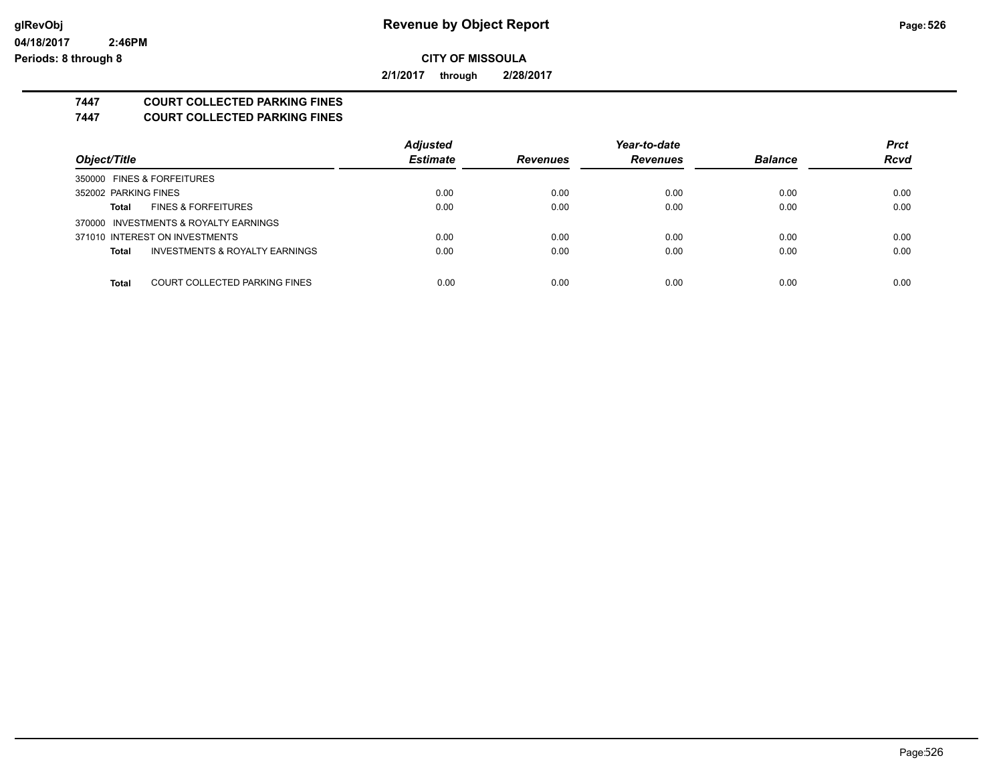**2/1/2017 through 2/28/2017**

## **7447 COURT COLLECTED PARKING FINES 7447 COURT COLLECTED PARKING FINES**

| Object/Title                                  | <b>Adjusted</b><br><b>Estimate</b> | <b>Revenues</b> | Year-to-date<br><b>Revenues</b> | <b>Balance</b> | <b>Prct</b><br><b>Rcvd</b> |
|-----------------------------------------------|------------------------------------|-----------------|---------------------------------|----------------|----------------------------|
| 350000 FINES & FORFEITURES                    |                                    |                 |                                 |                |                            |
| 352002 PARKING FINES                          | 0.00                               | 0.00            | 0.00                            | 0.00           | 0.00                       |
| <b>FINES &amp; FORFEITURES</b><br>Total       | 0.00                               | 0.00            | 0.00                            | 0.00           | 0.00                       |
| 370000 INVESTMENTS & ROYALTY EARNINGS         |                                    |                 |                                 |                |                            |
| 371010 INTEREST ON INVESTMENTS                | 0.00                               | 0.00            | 0.00                            | 0.00           | 0.00                       |
| INVESTMENTS & ROYALTY EARNINGS<br>Total       | 0.00                               | 0.00            | 0.00                            | 0.00           | 0.00                       |
|                                               |                                    |                 |                                 |                |                            |
| <b>Total</b><br>COURT COLLECTED PARKING FINES | 0.00                               | 0.00            | 0.00                            | 0.00           | 0.00                       |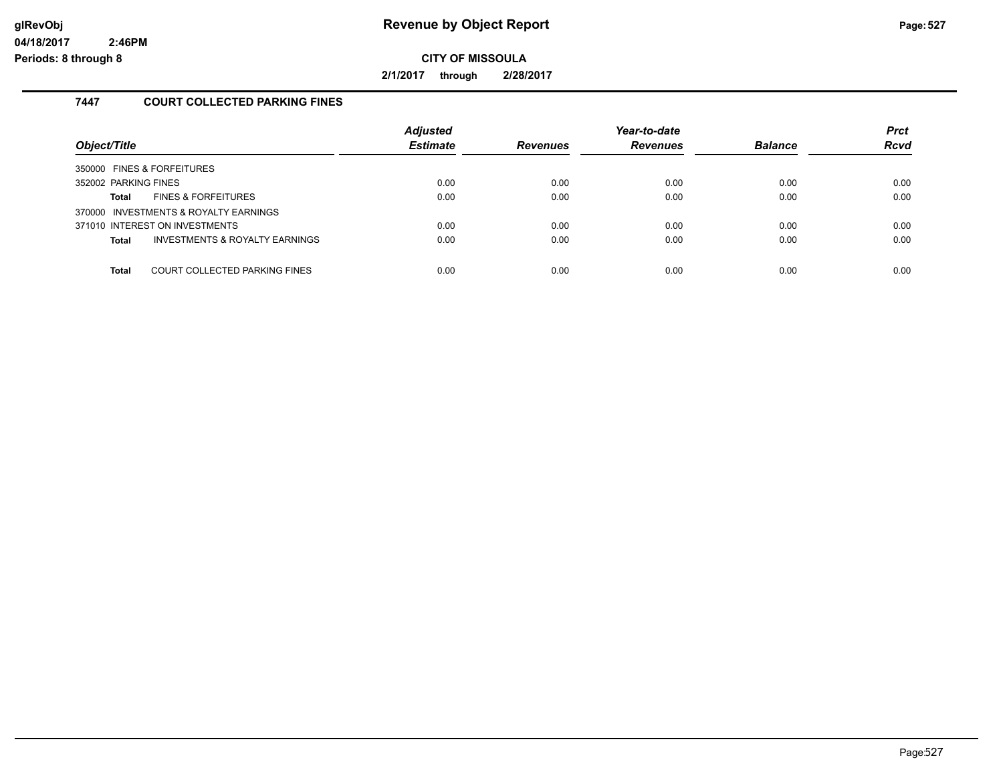**2/1/2017 through 2/28/2017**

## **7447 COURT COLLECTED PARKING FINES**

|                                                           | <b>Adjusted</b> |                 | Year-to-date    |                | <b>Prct</b> |
|-----------------------------------------------------------|-----------------|-----------------|-----------------|----------------|-------------|
| Object/Title                                              | <b>Estimate</b> | <b>Revenues</b> | <b>Revenues</b> | <b>Balance</b> | <b>Rcvd</b> |
| 350000 FINES & FORFEITURES                                |                 |                 |                 |                |             |
| 352002 PARKING FINES                                      | 0.00            | 0.00            | 0.00            | 0.00           | 0.00        |
| <b>FINES &amp; FORFEITURES</b><br>Total                   | 0.00            | 0.00            | 0.00            | 0.00           | 0.00        |
| 370000 INVESTMENTS & ROYALTY EARNINGS                     |                 |                 |                 |                |             |
| 371010 INTEREST ON INVESTMENTS                            | 0.00            | 0.00            | 0.00            | 0.00           | 0.00        |
| <b>INVESTMENTS &amp; ROYALTY EARNINGS</b><br><b>Total</b> | 0.00            | 0.00            | 0.00            | 0.00           | 0.00        |
| <b>Total</b><br>COURT COLLECTED PARKING FINES             | 0.00            | 0.00            | 0.00            | 0.00           | 0.00        |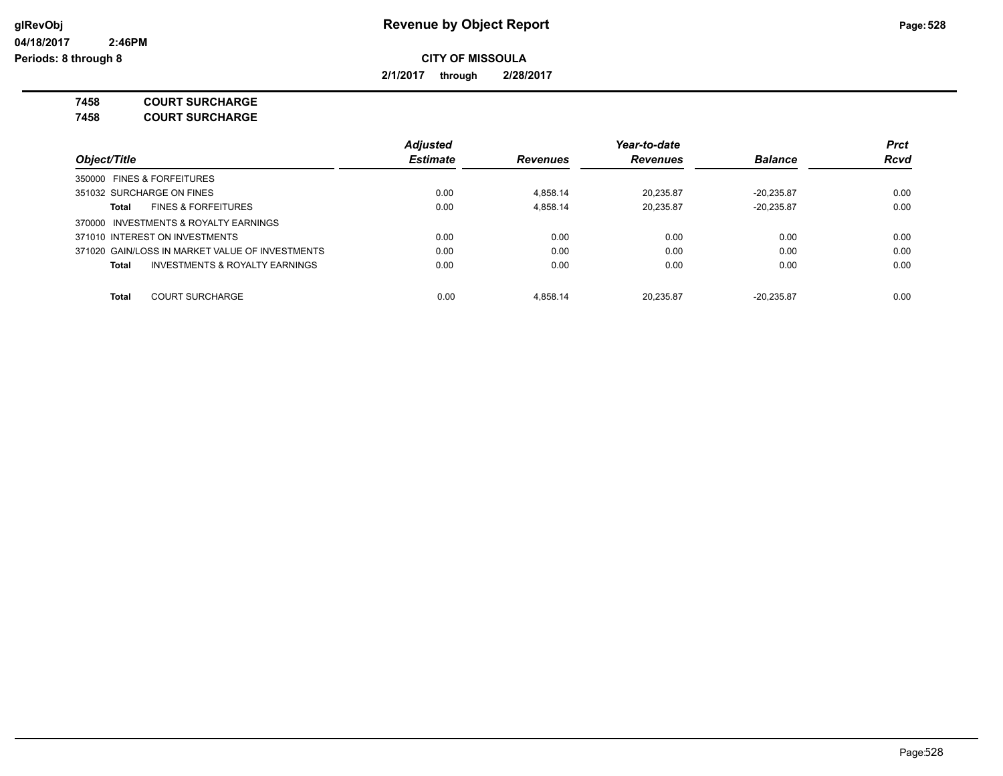**2/1/2017 through 2/28/2017**

**7458 COURT SURCHARGE**

**7458 COURT SURCHARGE**

|                                                           | <b>Adjusted</b> |                 | Year-to-date    |                | <b>Prct</b> |
|-----------------------------------------------------------|-----------------|-----------------|-----------------|----------------|-------------|
| Object/Title                                              | <b>Estimate</b> | <b>Revenues</b> | <b>Revenues</b> | <b>Balance</b> | <b>Rcvd</b> |
| 350000 FINES & FORFEITURES                                |                 |                 |                 |                |             |
| 351032 SURCHARGE ON FINES                                 | 0.00            | 4.858.14        | 20.235.87       | $-20.235.87$   | 0.00        |
| <b>FINES &amp; FORFEITURES</b><br>Total                   | 0.00            | 4.858.14        | 20.235.87       | $-20.235.87$   | 0.00        |
| 370000 INVESTMENTS & ROYALTY EARNINGS                     |                 |                 |                 |                |             |
| 371010 INTEREST ON INVESTMENTS                            | 0.00            | 0.00            | 0.00            | 0.00           | 0.00        |
| 371020 GAIN/LOSS IN MARKET VALUE OF INVESTMENTS           | 0.00            | 0.00            | 0.00            | 0.00           | 0.00        |
| <b>INVESTMENTS &amp; ROYALTY EARNINGS</b><br><b>Total</b> | 0.00            | 0.00            | 0.00            | 0.00           | 0.00        |
| Total<br><b>COURT SURCHARGE</b>                           | 0.00            | 4.858.14        | 20.235.87       | $-20.235.87$   | 0.00        |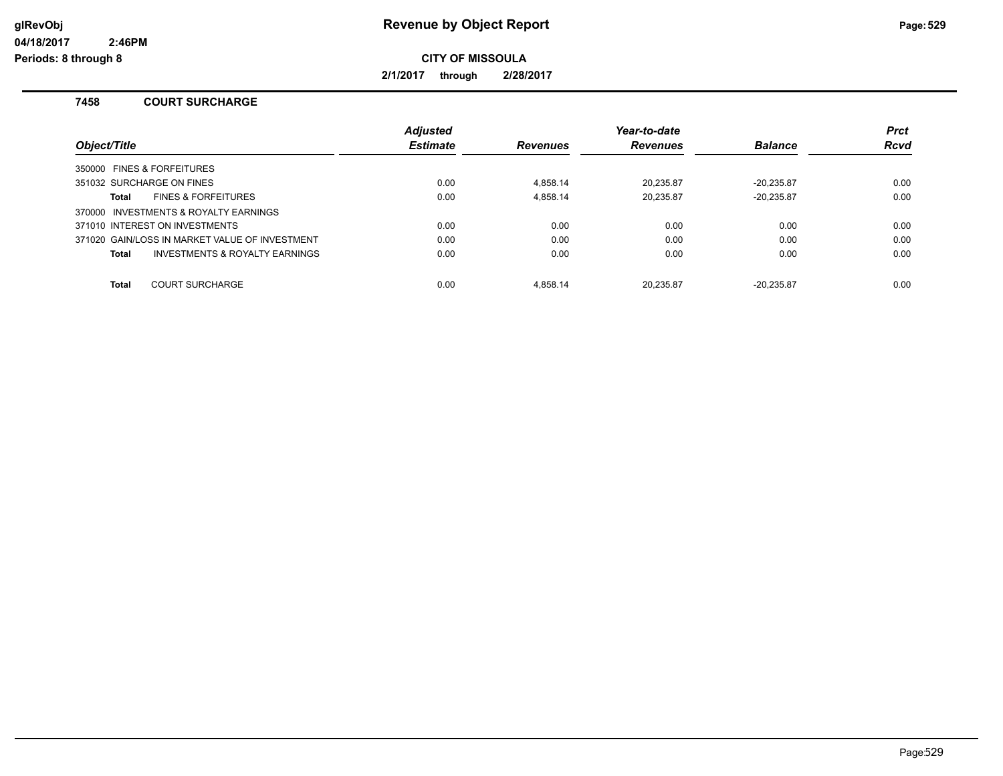**2/1/2017 through 2/28/2017**

#### **7458 COURT SURCHARGE**

| Object/Title                                   | <b>Adjusted</b><br><b>Estimate</b> | <b>Revenues</b> | Year-to-date<br><b>Revenues</b> | <b>Balance</b> | <b>Prct</b><br><b>Rcvd</b> |
|------------------------------------------------|------------------------------------|-----------------|---------------------------------|----------------|----------------------------|
| 350000 FINES & FORFEITURES                     |                                    |                 |                                 |                |                            |
| 351032 SURCHARGE ON FINES                      | 0.00                               | 4.858.14        | 20.235.87                       | $-20.235.87$   | 0.00                       |
| <b>FINES &amp; FORFEITURES</b><br>Total        | 0.00                               | 4.858.14        | 20,235.87                       | $-20,235.87$   | 0.00                       |
| 370000 INVESTMENTS & ROYALTY EARNINGS          |                                    |                 |                                 |                |                            |
| 371010 INTEREST ON INVESTMENTS                 | 0.00                               | 0.00            | 0.00                            | 0.00           | 0.00                       |
| 371020 GAIN/LOSS IN MARKET VALUE OF INVESTMENT | 0.00                               | 0.00            | 0.00                            | 0.00           | 0.00                       |
| INVESTMENTS & ROYALTY EARNINGS<br>Total        | 0.00                               | 0.00            | 0.00                            | 0.00           | 0.00                       |
| <b>COURT SURCHARGE</b><br><b>Total</b>         | 0.00                               | 4.858.14        | 20.235.87                       | $-20.235.87$   | 0.00                       |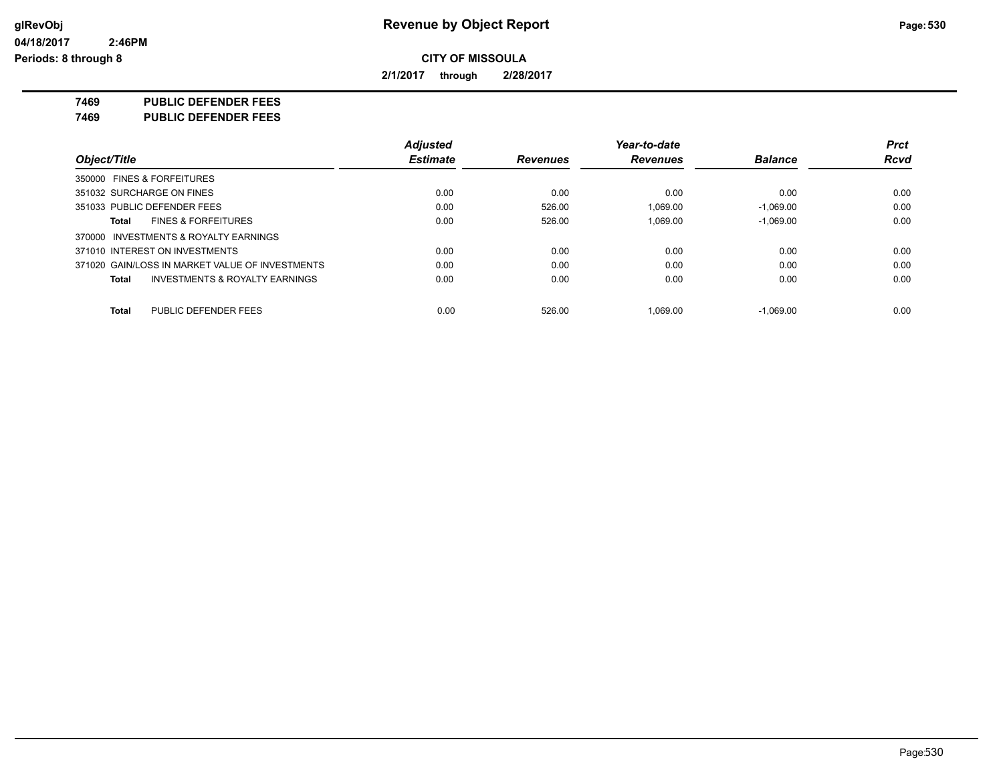*Prct Rcvd*

**CITY OF MISSOULA**

**2/1/2017 through 2/28/2017**

**7469 PUBLIC DEFENDER FEES 7469 PUBLIC DEFENDER FEES**

*Object/Title Adjusted Estimate Revenues Year-to-date Revenues Balance* 350000 FINES & FORFEITURES  $0.00 \hspace{1.5cm} 0.00 \hspace{3.5cm} 0.00 \hspace{1.5cm} 0.00 \hspace{1.5cm} 0.00 \hspace{1.5cm} 0.00 \hspace{1.5cm} 0.00 \hspace{1.5cm} 0.00 \hspace{1.5cm} 0.00 \hspace{1.5cm} 0.00 \hspace{1.5cm} 0.00 \hspace{1.5cm} 0.00 \hspace{1.5cm} 0.00 \hspace{1.5cm} 0.00 \hspace{1.5cm} 0.00 \hspace{1.5cm} 0.00 \hspace{1.5$ 351033 PUBLIC DEFENDER FEES 0.00 0.00 526.00 1,069.00 1,069.00 -1,069.00 -1,069.00 0.00 **Total** FINES & FORFEITURES 0.00 526.00 1,069.00 -1,069.00 0.00 370000 INVESTMENTS & ROYALTY EARNINGS 371010 INTEREST ON INVESTMENTS 0.00 0.00 0.00 0.00 0.00 371020 GAIN/LOSS IN MARKET VALUE OF INVESTMENTS  $0.00$   $0.00$   $0.00$   $0.00$   $0.00$   $0.00$   $0.00$   $0.00$   $0.00$   $0.00$ **Total** INVESTMENTS & ROYALTY EARNINGS 0.00 0.00 0.00 0.00 0.00 **Total** PUBLIC DEFENDER FEES 0.00 0.00 526.00 1,069.00 1,069.00 -1,069.00 0.00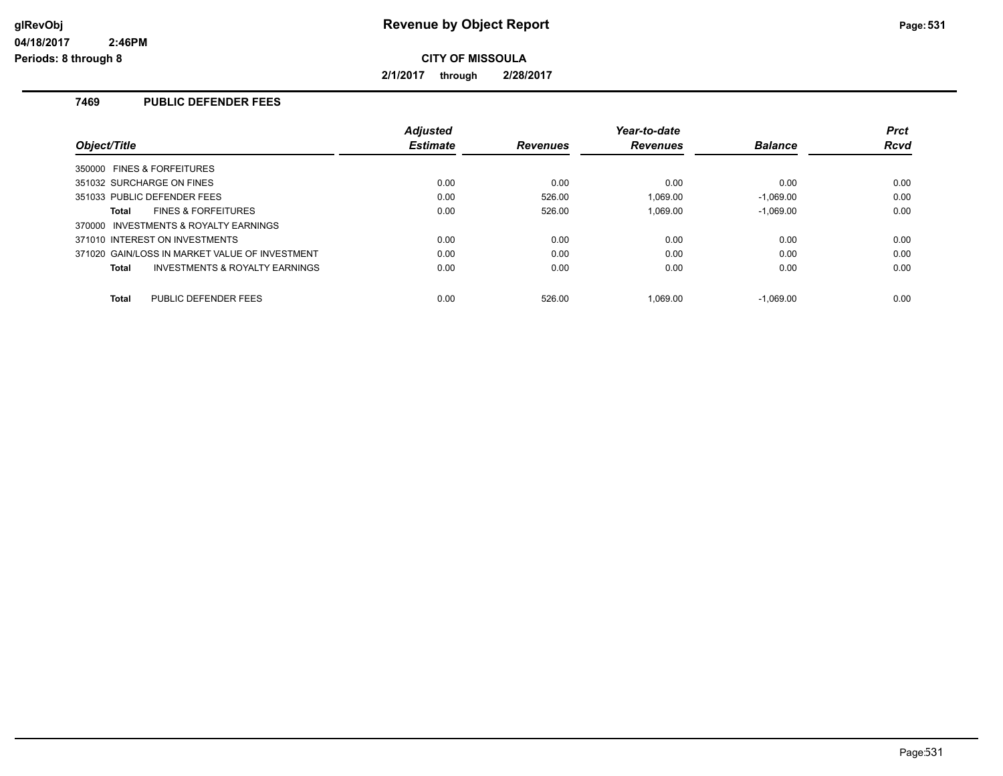**2/1/2017 through 2/28/2017**

## **7469 PUBLIC DEFENDER FEES**

|                                                    | <b>Adjusted</b> |                 | Year-to-date    |                | <b>Prct</b> |
|----------------------------------------------------|-----------------|-----------------|-----------------|----------------|-------------|
| Object/Title                                       | <b>Estimate</b> | <b>Revenues</b> | <b>Revenues</b> | <b>Balance</b> | <b>Rcvd</b> |
| 350000 FINES & FORFEITURES                         |                 |                 |                 |                |             |
| 351032 SURCHARGE ON FINES                          | 0.00            | 0.00            | 0.00            | 0.00           | 0.00        |
| 351033 PUBLIC DEFENDER FEES                        | 0.00            | 526.00          | 1.069.00        | $-1,069.00$    | 0.00        |
| <b>FINES &amp; FORFEITURES</b><br>Total            | 0.00            | 526.00          | 1.069.00        | $-1.069.00$    | 0.00        |
| 370000 INVESTMENTS & ROYALTY EARNINGS              |                 |                 |                 |                |             |
| 371010 INTEREST ON INVESTMENTS                     | 0.00            | 0.00            | 0.00            | 0.00           | 0.00        |
| 371020 GAIN/LOSS IN MARKET VALUE OF INVESTMENT     | 0.00            | 0.00            | 0.00            | 0.00           | 0.00        |
| <b>INVESTMENTS &amp; ROYALTY EARNINGS</b><br>Total | 0.00            | 0.00            | 0.00            | 0.00           | 0.00        |
| PUBLIC DEFENDER FEES<br><b>Total</b>               | 0.00            | 526.00          | 1.069.00        | $-1.069.00$    | 0.00        |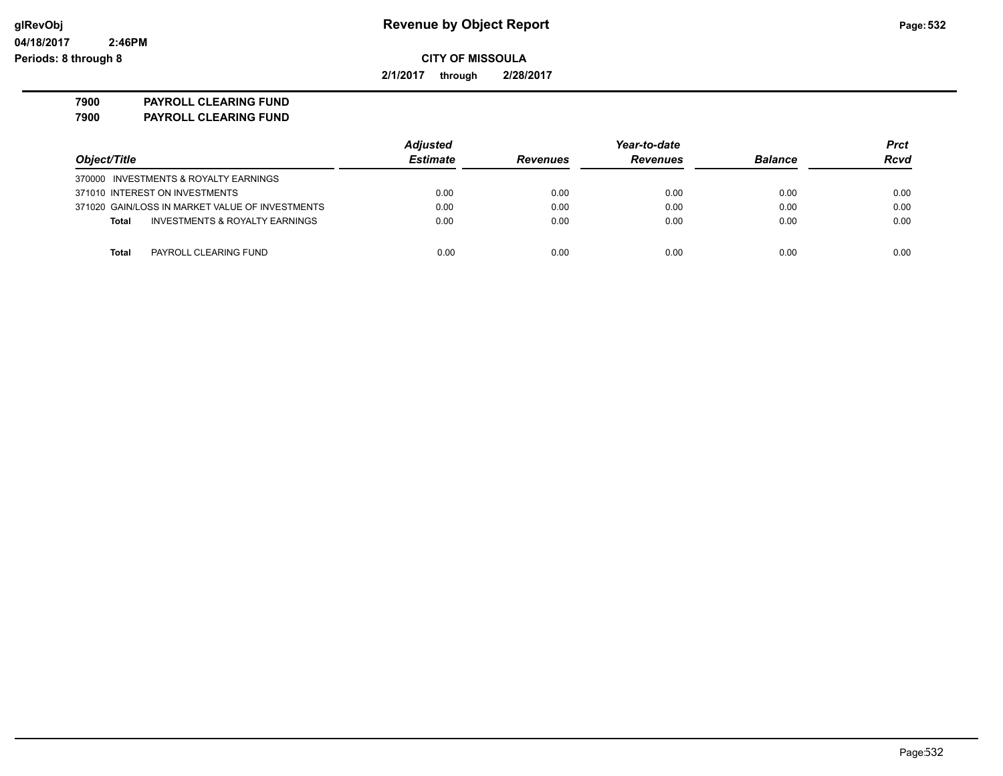*Prct Rcvd*

**CITY OF MISSOULA**

**2/1/2017 through 2/28/2017**

**7900 PAYROLL CLEARING FUND 7900 PAYROLL CLEARING FUND**

|                                                 | <b>Adjusted</b> |                                    | Year-to-date |                | <b>Prct</b> |
|-------------------------------------------------|-----------------|------------------------------------|--------------|----------------|-------------|
| <b>Object/Title</b>                             | <b>Estimate</b> | <b>Revenues</b><br><b>Revenues</b> |              | <b>Balance</b> | Rcvd        |
| 370000 INVESTMENTS & ROYALTY EARNINGS           |                 |                                    |              |                |             |
| 371010 INTEREST ON INVESTMENTS                  | 0.00            | 0.00                               | 0.00         | 0.00           | 0.00        |
| 371020 GAIN/LOSS IN MARKET VALUE OF INVESTMENTS | 0.00            | 0.00                               | 0.00         | 0.00           | 0.00        |
| INVESTMENTS & ROYALTY EARNINGS<br>Total         | 0.00            | 0.00                               | 0.00         | 0.00           | 0.00        |
| PAYROLL CLEARING FUND<br><b>Total</b>           | 0.00            | 0.00                               | 0.00         | 0.00           | 0.00        |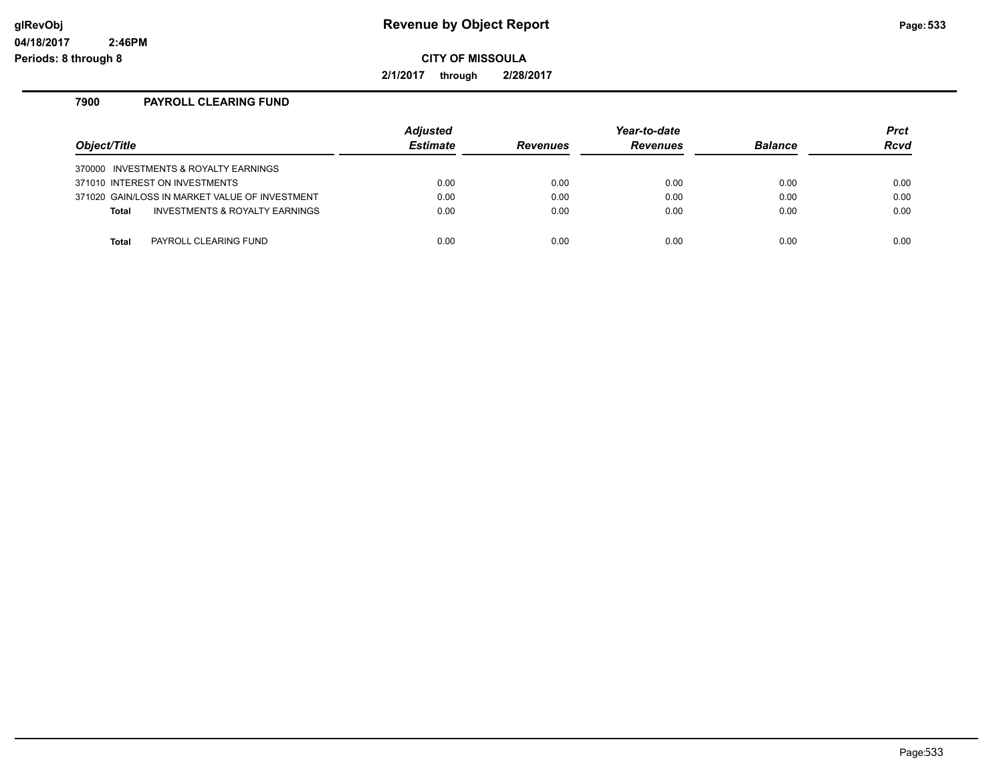**2/1/2017 through 2/28/2017**

### **7900 PAYROLL CLEARING FUND**

|                                                           | <b>Adjusted</b> | Year-to-date    |                 |                | <b>Prct</b> |
|-----------------------------------------------------------|-----------------|-----------------|-----------------|----------------|-------------|
| Object/Title                                              | <b>Estimate</b> | <b>Revenues</b> | <b>Revenues</b> | <b>Balance</b> | <b>Rcvd</b> |
| 370000 INVESTMENTS & ROYALTY EARNINGS                     |                 |                 |                 |                |             |
| 371010 INTEREST ON INVESTMENTS                            | 0.00            | 0.00            | 0.00            | 0.00           | 0.00        |
| 371020 GAIN/LOSS IN MARKET VALUE OF INVESTMENT            | 0.00            | 0.00            | 0.00            | 0.00           | 0.00        |
| <b>INVESTMENTS &amp; ROYALTY EARNINGS</b><br><b>Total</b> | 0.00            | 0.00            | 0.00            | 0.00           | 0.00        |
| Total<br>PAYROLL CLEARING FUND                            | 0.00            | 0.00            | 0.00            | 0.00           | 0.00        |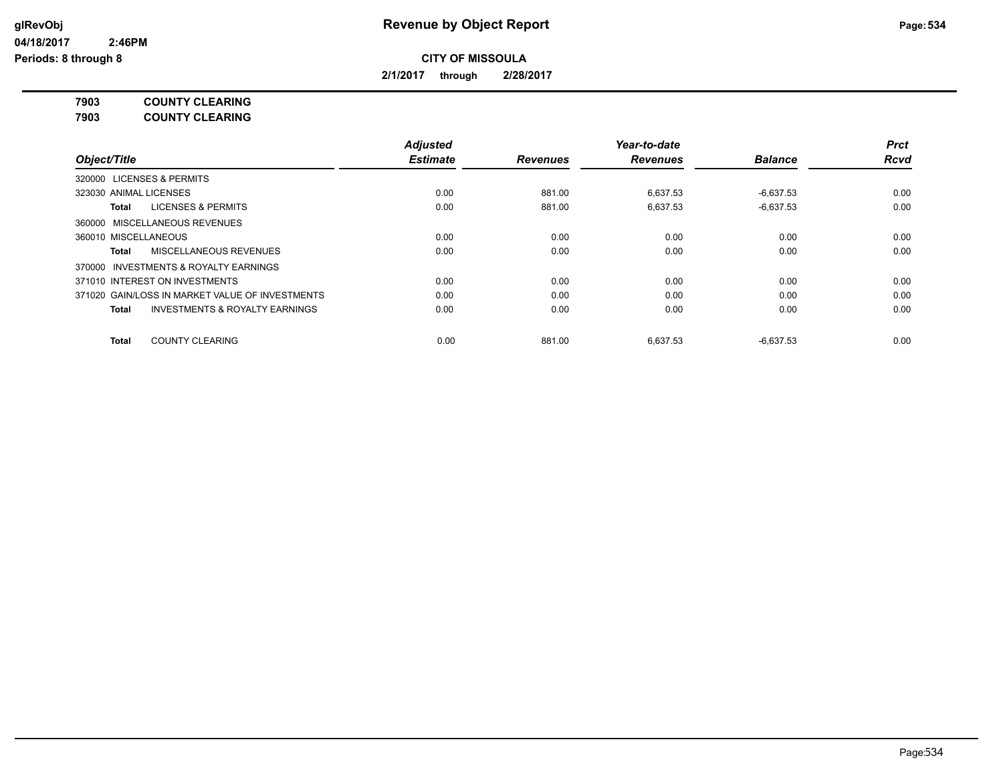**2/1/2017 through 2/28/2017**

**7903 COUNTY CLEARING 7903 COUNTY CLEARING**

|                                                    | <b>Adjusted</b> |                 | Year-to-date    |                | <b>Prct</b> |
|----------------------------------------------------|-----------------|-----------------|-----------------|----------------|-------------|
| Object/Title                                       | <b>Estimate</b> | <b>Revenues</b> | <b>Revenues</b> | <b>Balance</b> | Rcvd        |
| <b>LICENSES &amp; PERMITS</b><br>320000            |                 |                 |                 |                |             |
| 323030 ANIMAL LICENSES                             | 0.00            | 881.00          | 6.637.53        | $-6.637.53$    | 0.00        |
| <b>LICENSES &amp; PERMITS</b><br>Total             | 0.00            | 881.00          | 6,637.53        | $-6,637.53$    | 0.00        |
| 360000 MISCELLANEOUS REVENUES                      |                 |                 |                 |                |             |
| 360010 MISCELLANEOUS                               | 0.00            | 0.00            | 0.00            | 0.00           | 0.00        |
| <b>MISCELLANEOUS REVENUES</b><br><b>Total</b>      | 0.00            | 0.00            | 0.00            | 0.00           | 0.00        |
| INVESTMENTS & ROYALTY EARNINGS<br>370000           |                 |                 |                 |                |             |
| 371010 INTEREST ON INVESTMENTS                     | 0.00            | 0.00            | 0.00            | 0.00           | 0.00        |
| 371020 GAIN/LOSS IN MARKET VALUE OF INVESTMENTS    | 0.00            | 0.00            | 0.00            | 0.00           | 0.00        |
| <b>INVESTMENTS &amp; ROYALTY EARNINGS</b><br>Total | 0.00            | 0.00            | 0.00            | 0.00           | 0.00        |
| <b>COUNTY CLEARING</b><br><b>Total</b>             | 0.00            | 881.00          | 6.637.53        | $-6.637.53$    | 0.00        |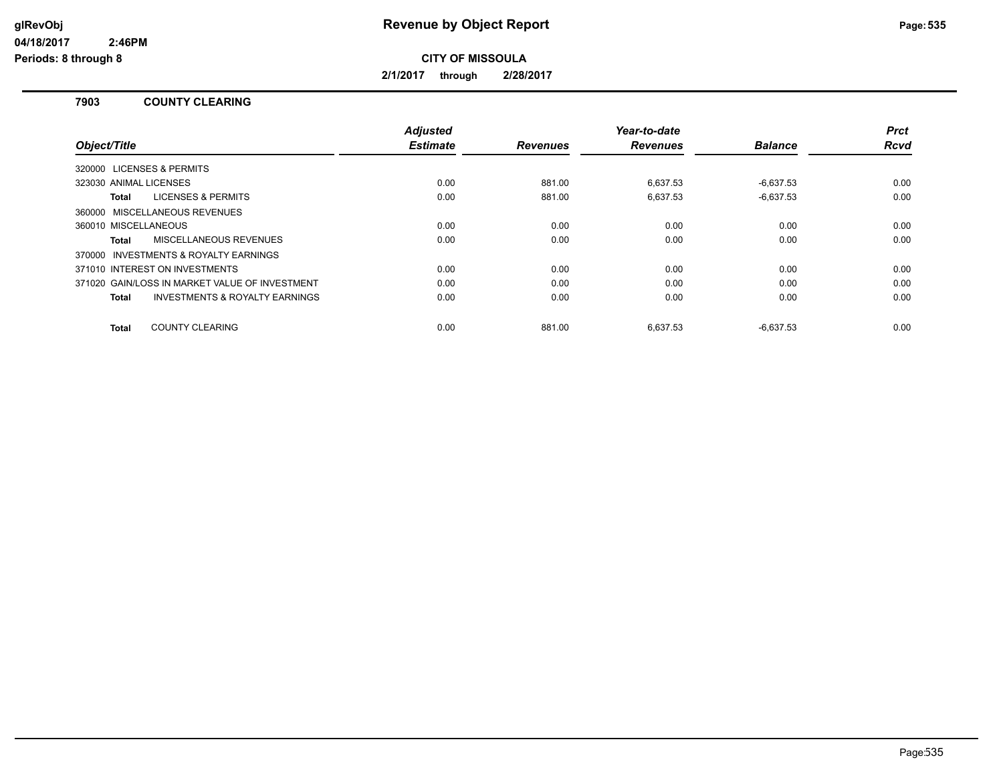**2/1/2017 through 2/28/2017**

## **7903 COUNTY CLEARING**

|                                                | <b>Adjusted</b> |                 | Year-to-date    |                | <b>Prct</b> |
|------------------------------------------------|-----------------|-----------------|-----------------|----------------|-------------|
| Object/Title                                   | <b>Estimate</b> | <b>Revenues</b> | <b>Revenues</b> | <b>Balance</b> | <b>Rcvd</b> |
| 320000 LICENSES & PERMITS                      |                 |                 |                 |                |             |
| 323030 ANIMAL LICENSES                         | 0.00            | 881.00          | 6.637.53        | $-6.637.53$    | 0.00        |
| <b>LICENSES &amp; PERMITS</b><br><b>Total</b>  | 0.00            | 881.00          | 6,637.53        | $-6,637.53$    | 0.00        |
| 360000 MISCELLANEOUS REVENUES                  |                 |                 |                 |                |             |
| 360010 MISCELLANEOUS                           | 0.00            | 0.00            | 0.00            | 0.00           | 0.00        |
| MISCELLANEOUS REVENUES<br>Total                | 0.00            | 0.00            | 0.00            | 0.00           | 0.00        |
| 370000 INVESTMENTS & ROYALTY EARNINGS          |                 |                 |                 |                |             |
| 371010 INTEREST ON INVESTMENTS                 | 0.00            | 0.00            | 0.00            | 0.00           | 0.00        |
| 371020 GAIN/LOSS IN MARKET VALUE OF INVESTMENT | 0.00            | 0.00            | 0.00            | 0.00           | 0.00        |
| INVESTMENTS & ROYALTY EARNINGS<br><b>Total</b> | 0.00            | 0.00            | 0.00            | 0.00           | 0.00        |
| <b>Total</b><br><b>COUNTY CLEARING</b>         | 0.00            | 881.00          | 6.637.53        | $-6.637.53$    | 0.00        |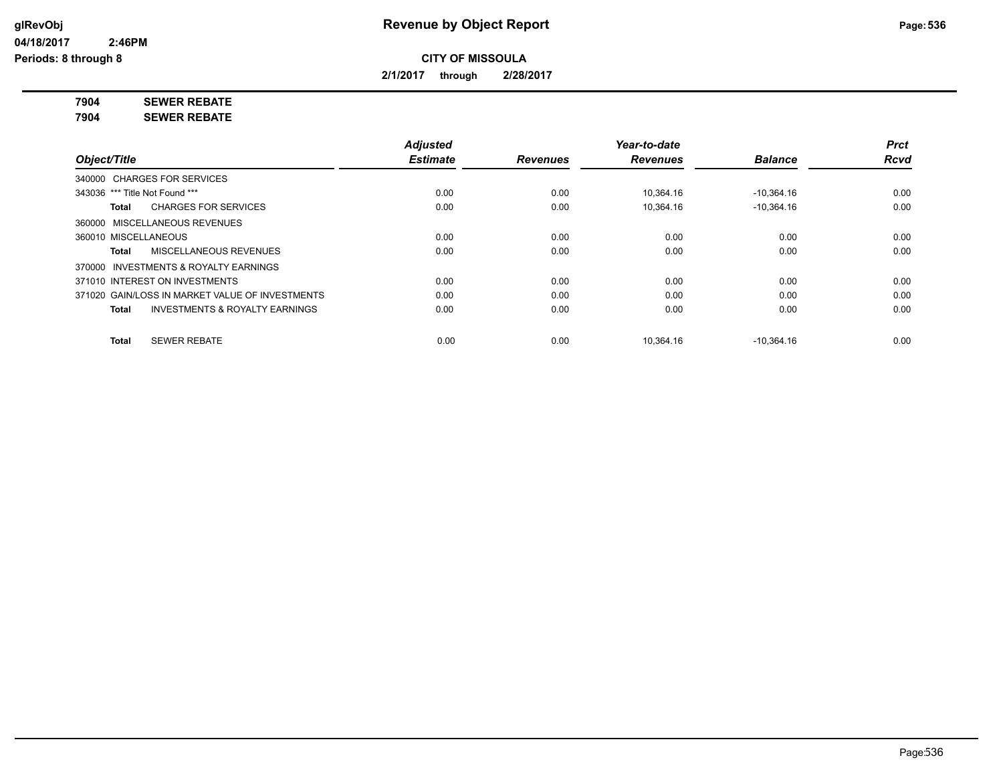**2/1/2017 through 2/28/2017**

**7904 SEWER REBATE 7904 SEWER REBATE**

|                                                    | <b>Adjusted</b> |                 | Year-to-date    |                | <b>Prct</b> |
|----------------------------------------------------|-----------------|-----------------|-----------------|----------------|-------------|
| Object/Title                                       | <b>Estimate</b> | <b>Revenues</b> | <b>Revenues</b> | <b>Balance</b> | Rcvd        |
| 340000 CHARGES FOR SERVICES                        |                 |                 |                 |                |             |
| 343036 *** Title Not Found ***                     | 0.00            | 0.00            | 10,364.16       | $-10,364.16$   | 0.00        |
| <b>CHARGES FOR SERVICES</b><br>Total               | 0.00            | 0.00            | 10,364.16       | $-10,364.16$   | 0.00        |
| <b>MISCELLANEOUS REVENUES</b><br>360000            |                 |                 |                 |                |             |
| 360010 MISCELLANEOUS                               | 0.00            | 0.00            | 0.00            | 0.00           | 0.00        |
| MISCELLANEOUS REVENUES<br>Total                    | 0.00            | 0.00            | 0.00            | 0.00           | 0.00        |
| 370000 INVESTMENTS & ROYALTY EARNINGS              |                 |                 |                 |                |             |
| 371010 INTEREST ON INVESTMENTS                     | 0.00            | 0.00            | 0.00            | 0.00           | 0.00        |
| 371020 GAIN/LOSS IN MARKET VALUE OF INVESTMENTS    | 0.00            | 0.00            | 0.00            | 0.00           | 0.00        |
| <b>INVESTMENTS &amp; ROYALTY EARNINGS</b><br>Total | 0.00            | 0.00            | 0.00            | 0.00           | 0.00        |
| <b>SEWER REBATE</b><br>Total                       | 0.00            | 0.00            | 10.364.16       | $-10.364.16$   | 0.00        |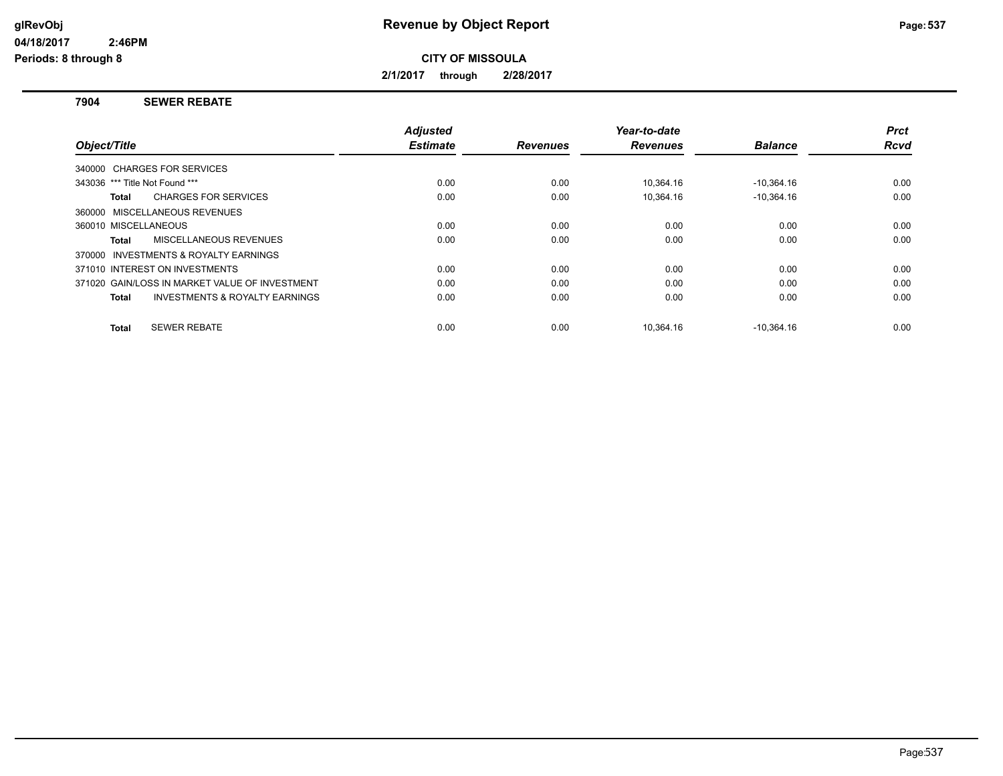**2/1/2017 through 2/28/2017**

#### **7904 SEWER REBATE**

|                                                           | <b>Adjusted</b> |                 | Year-to-date    |                | <b>Prct</b> |
|-----------------------------------------------------------|-----------------|-----------------|-----------------|----------------|-------------|
| Object/Title                                              | <b>Estimate</b> | <b>Revenues</b> | <b>Revenues</b> | <b>Balance</b> | <b>Rcvd</b> |
| <b>CHARGES FOR SERVICES</b><br>340000                     |                 |                 |                 |                |             |
| 343036 *** Title Not Found ***                            | 0.00            | 0.00            | 10.364.16       | $-10,364.16$   | 0.00        |
| <b>CHARGES FOR SERVICES</b><br><b>Total</b>               | 0.00            | 0.00            | 10,364.16       | $-10,364.16$   | 0.00        |
| 360000 MISCELLANEOUS REVENUES                             |                 |                 |                 |                |             |
| 360010 MISCELLANEOUS                                      | 0.00            | 0.00            | 0.00            | 0.00           | 0.00        |
| MISCELLANEOUS REVENUES<br>Total                           | 0.00            | 0.00            | 0.00            | 0.00           | 0.00        |
| 370000 INVESTMENTS & ROYALTY EARNINGS                     |                 |                 |                 |                |             |
| 371010 INTEREST ON INVESTMENTS                            | 0.00            | 0.00            | 0.00            | 0.00           | 0.00        |
| 371020 GAIN/LOSS IN MARKET VALUE OF INVESTMENT            | 0.00            | 0.00            | 0.00            | 0.00           | 0.00        |
| <b>INVESTMENTS &amp; ROYALTY EARNINGS</b><br><b>Total</b> | 0.00            | 0.00            | 0.00            | 0.00           | 0.00        |
| <b>SEWER REBATE</b><br><b>Total</b>                       | 0.00            | 0.00            | 10.364.16       | $-10.364.16$   | 0.00        |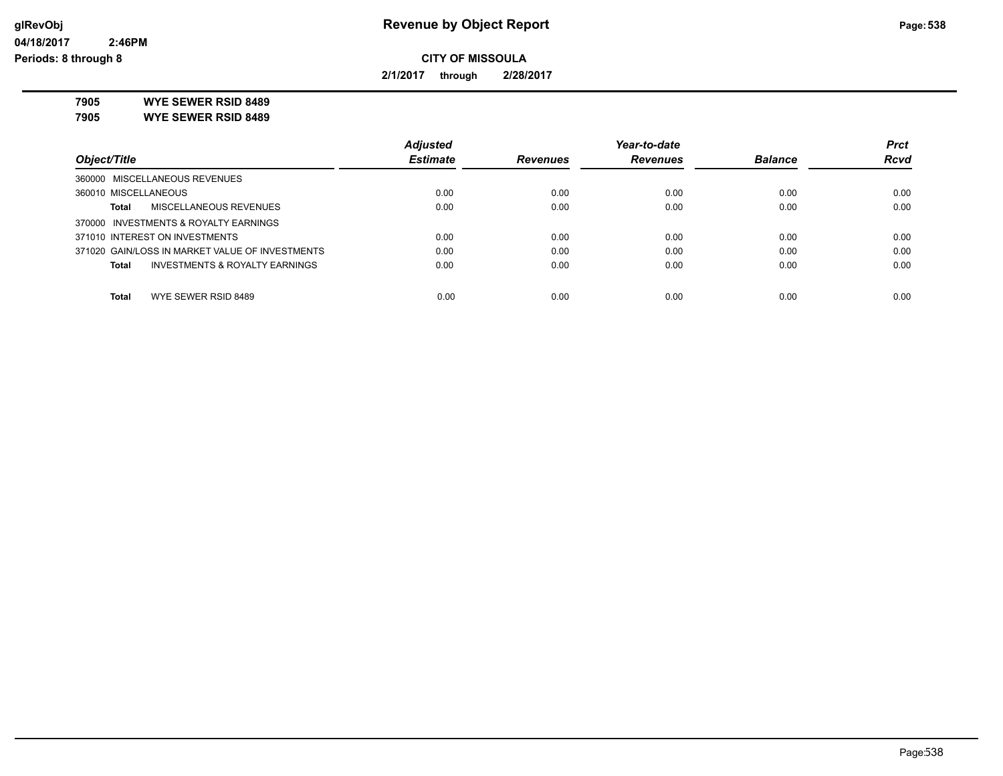**2/1/2017 through 2/28/2017**

**7905 WYE SEWER RSID 8489**

**7905 WYE SEWER RSID 8489**

|                                                 | <b>Adjusted</b> |                 | Year-to-date    |                | <b>Prct</b> |
|-------------------------------------------------|-----------------|-----------------|-----------------|----------------|-------------|
| Object/Title                                    | <b>Estimate</b> | <b>Revenues</b> | <b>Revenues</b> | <b>Balance</b> | <b>Rcvd</b> |
| 360000 MISCELLANEOUS REVENUES                   |                 |                 |                 |                |             |
| 360010 MISCELLANEOUS                            | 0.00            | 0.00            | 0.00            | 0.00           | 0.00        |
| MISCELLANEOUS REVENUES<br>Total                 | 0.00            | 0.00            | 0.00            | 0.00           | 0.00        |
| 370000 INVESTMENTS & ROYALTY EARNINGS           |                 |                 |                 |                |             |
| 371010 INTEREST ON INVESTMENTS                  | 0.00            | 0.00            | 0.00            | 0.00           | 0.00        |
| 371020 GAIN/LOSS IN MARKET VALUE OF INVESTMENTS | 0.00            | 0.00            | 0.00            | 0.00           | 0.00        |
| INVESTMENTS & ROYALTY EARNINGS<br>Total         | 0.00            | 0.00            | 0.00            | 0.00           | 0.00        |
|                                                 |                 |                 |                 |                |             |
| WYE SEWER RSID 8489<br><b>Total</b>             | 0.00            | 0.00            | 0.00            | 0.00           | 0.00        |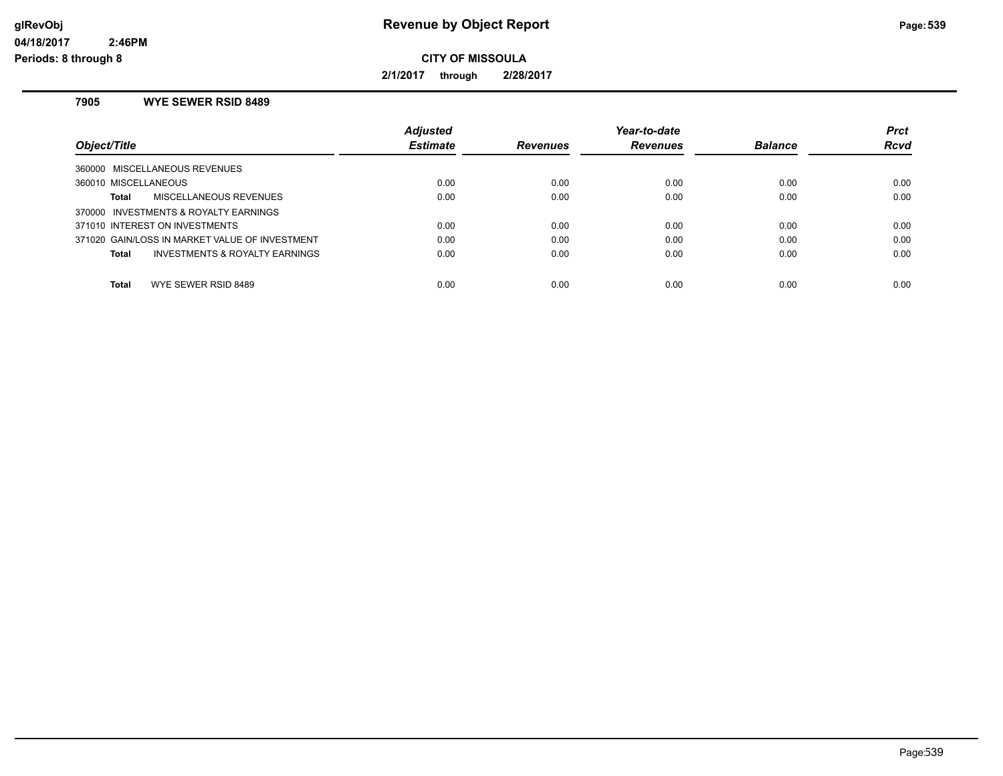**2/1/2017 through 2/28/2017**

#### **7905 WYE SEWER RSID 8489**

| Object/Title                                       | <b>Adjusted</b><br><b>Estimate</b> | <b>Revenues</b> | Year-to-date<br><b>Revenues</b> | <b>Balance</b> | <b>Prct</b><br><b>Rcvd</b> |
|----------------------------------------------------|------------------------------------|-----------------|---------------------------------|----------------|----------------------------|
|                                                    |                                    |                 |                                 |                |                            |
| 360000 MISCELLANEOUS REVENUES                      |                                    |                 |                                 |                |                            |
| 360010 MISCELLANEOUS                               | 0.00                               | 0.00            | 0.00                            | 0.00           | 0.00                       |
| MISCELLANEOUS REVENUES<br>Total                    | 0.00                               | 0.00            | 0.00                            | 0.00           | 0.00                       |
| 370000 INVESTMENTS & ROYALTY EARNINGS              |                                    |                 |                                 |                |                            |
| 371010 INTEREST ON INVESTMENTS                     | 0.00                               | 0.00            | 0.00                            | 0.00           | 0.00                       |
| 371020 GAIN/LOSS IN MARKET VALUE OF INVESTMENT     | 0.00                               | 0.00            | 0.00                            | 0.00           | 0.00                       |
| <b>INVESTMENTS &amp; ROYALTY EARNINGS</b><br>Total | 0.00                               | 0.00            | 0.00                            | 0.00           | 0.00                       |
| Total<br>WYE SEWER RSID 8489                       | 0.00                               | 0.00            | 0.00                            | 0.00           | 0.00                       |
|                                                    |                                    |                 |                                 |                |                            |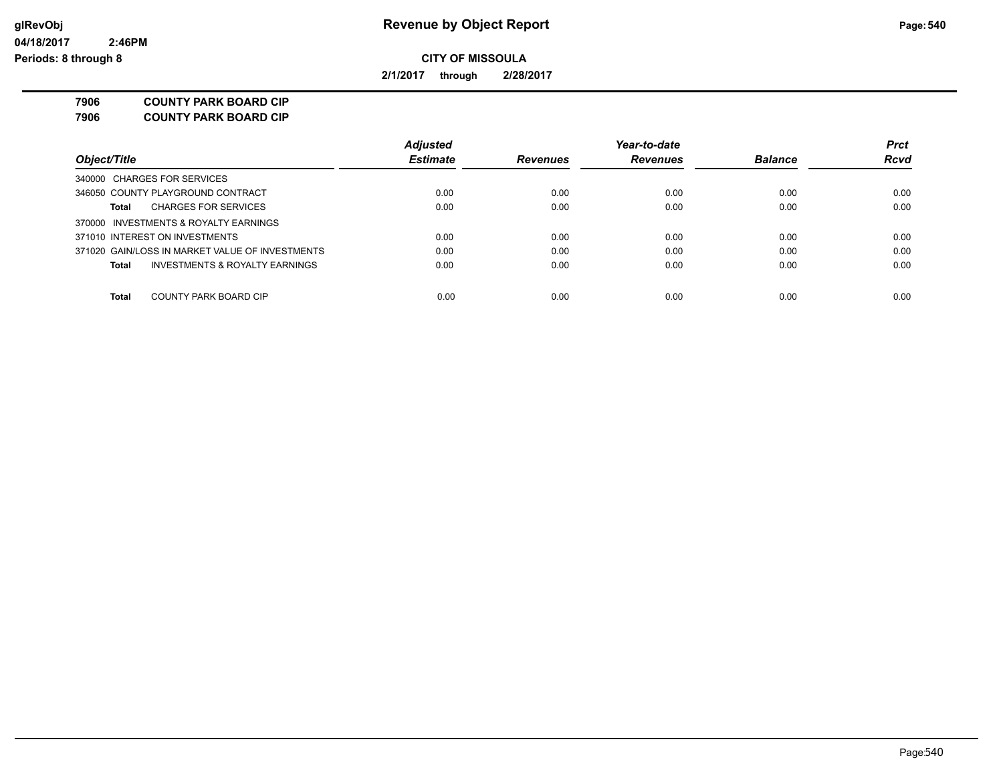**2/1/2017 through 2/28/2017**

**7906 COUNTY PARK BOARD CIP**

**7906 COUNTY PARK BOARD CIP**

|                                                 | <b>Adjusted</b> |                 | Year-to-date    |                | <b>Prct</b> |
|-------------------------------------------------|-----------------|-----------------|-----------------|----------------|-------------|
| Object/Title                                    | <b>Estimate</b> | <b>Revenues</b> | <b>Revenues</b> | <b>Balance</b> | Rcvd        |
| 340000 CHARGES FOR SERVICES                     |                 |                 |                 |                |             |
| 346050 COUNTY PLAYGROUND CONTRACT               | 0.00            | 0.00            | 0.00            | 0.00           | 0.00        |
| <b>CHARGES FOR SERVICES</b><br>Total            | 0.00            | 0.00            | 0.00            | 0.00           | 0.00        |
| 370000 INVESTMENTS & ROYALTY EARNINGS           |                 |                 |                 |                |             |
| 371010 INTEREST ON INVESTMENTS                  | 0.00            | 0.00            | 0.00            | 0.00           | 0.00        |
| 371020 GAIN/LOSS IN MARKET VALUE OF INVESTMENTS | 0.00            | 0.00            | 0.00            | 0.00           | 0.00        |
| INVESTMENTS & ROYALTY EARNINGS<br>Total         | 0.00            | 0.00            | 0.00            | 0.00           | 0.00        |
| <b>Total</b><br>COUNTY PARK BOARD CIP           | 0.00            | 0.00            | 0.00            | 0.00           | 0.00        |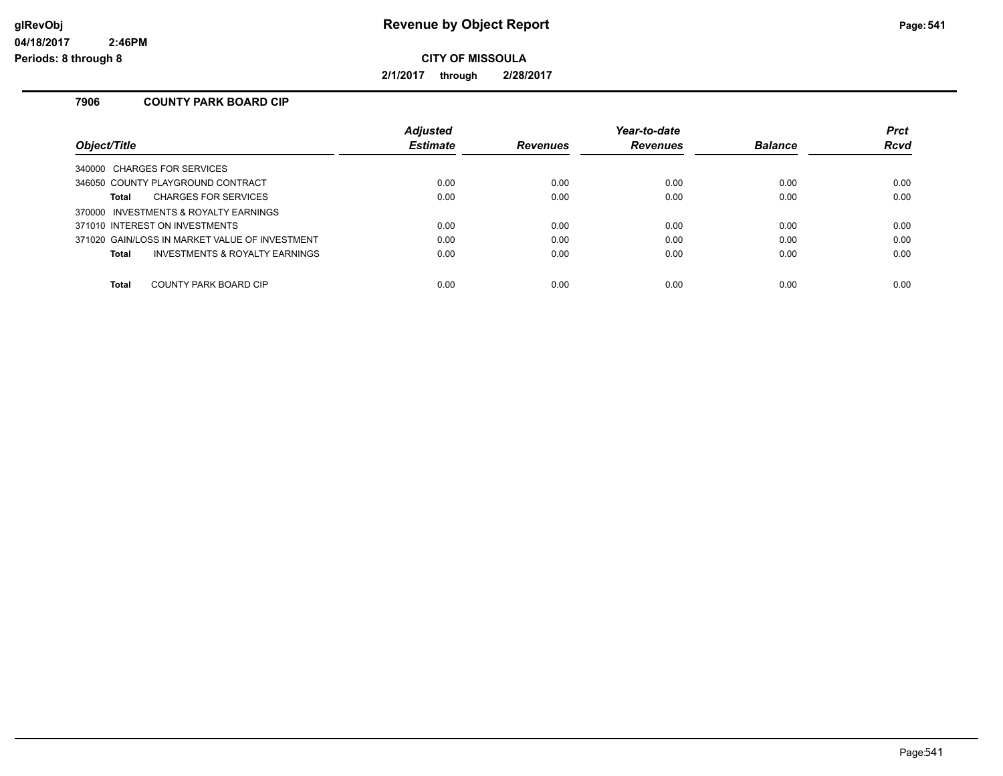**2/1/2017 through 2/28/2017**

#### **7906 COUNTY PARK BOARD CIP**

| Object/Title                                   | <b>Adjusted</b><br><b>Estimate</b> | <b>Revenues</b> | Year-to-date<br><b>Revenues</b> | <b>Balance</b> | <b>Prct</b><br><b>Rcvd</b> |
|------------------------------------------------|------------------------------------|-----------------|---------------------------------|----------------|----------------------------|
| 340000 CHARGES FOR SERVICES                    |                                    |                 |                                 |                |                            |
| 346050 COUNTY PLAYGROUND CONTRACT              | 0.00                               | 0.00            | 0.00                            | 0.00           | 0.00                       |
| <b>CHARGES FOR SERVICES</b><br>Total           | 0.00                               | 0.00            | 0.00                            | 0.00           | 0.00                       |
| 370000 INVESTMENTS & ROYALTY EARNINGS          |                                    |                 |                                 |                |                            |
| 371010 INTEREST ON INVESTMENTS                 | 0.00                               | 0.00            | 0.00                            | 0.00           | 0.00                       |
| 371020 GAIN/LOSS IN MARKET VALUE OF INVESTMENT | 0.00                               | 0.00            | 0.00                            | 0.00           | 0.00                       |
| INVESTMENTS & ROYALTY EARNINGS<br>Total        | 0.00                               | 0.00            | 0.00                            | 0.00           | 0.00                       |
| Total<br>COUNTY PARK BOARD CIP                 | 0.00                               | 0.00            | 0.00                            | 0.00           | 0.00                       |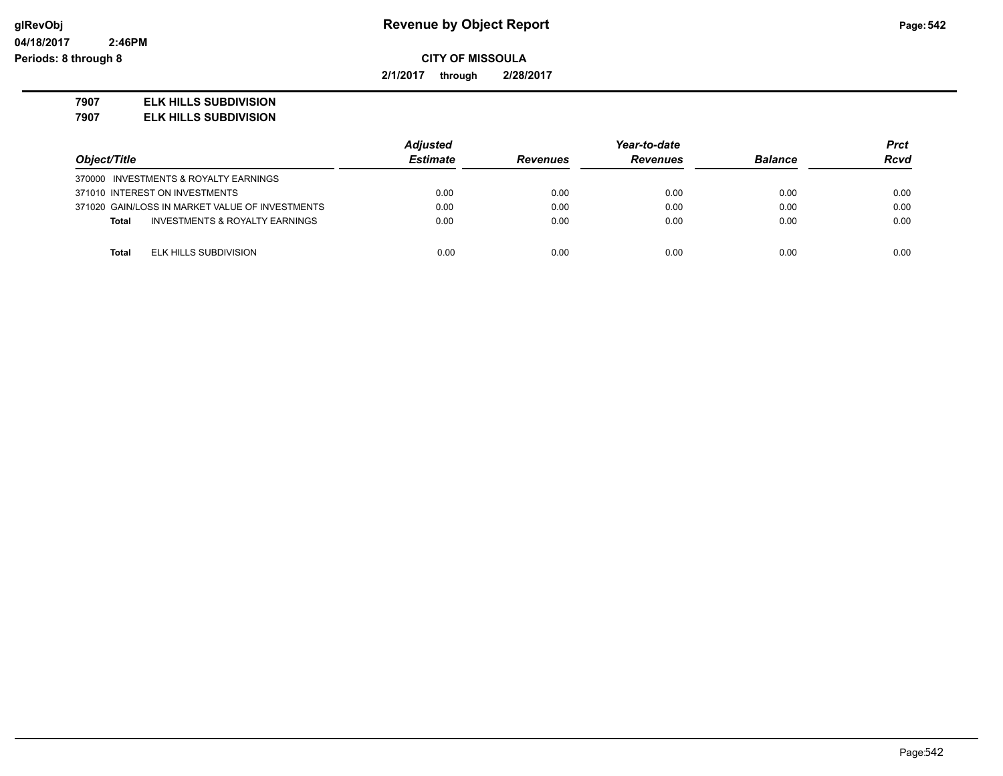**2/1/2017 through 2/28/2017**

**7907 ELK HILLS SUBDIVISION 7907 ELK HILLS SUBDIVISION**

| Object/Title                                    | <b>Adjusted</b><br><b>Estimate</b> | <b>Revenues</b> | Year-to-date<br><b>Revenues</b> | <b>Balance</b> | <b>Prct</b><br><b>Rcvd</b> |
|-------------------------------------------------|------------------------------------|-----------------|---------------------------------|----------------|----------------------------|
| 370000 INVESTMENTS & ROYALTY EARNINGS           |                                    |                 |                                 |                |                            |
| 371010 INTEREST ON INVESTMENTS                  | 0.00                               | 0.00            | 0.00                            | 0.00           | 0.00                       |
| 371020 GAIN/LOSS IN MARKET VALUE OF INVESTMENTS | 0.00                               | 0.00            | 0.00                            | 0.00           | 0.00                       |
| INVESTMENTS & ROYALTY EARNINGS<br><b>Total</b>  | 0.00                               | 0.00            | 0.00                            | 0.00           | 0.00                       |
| ELK HILLS SUBDIVISION<br>Total                  | 0.00                               | 0.00            | 0.00                            | 0.00           | 0.00                       |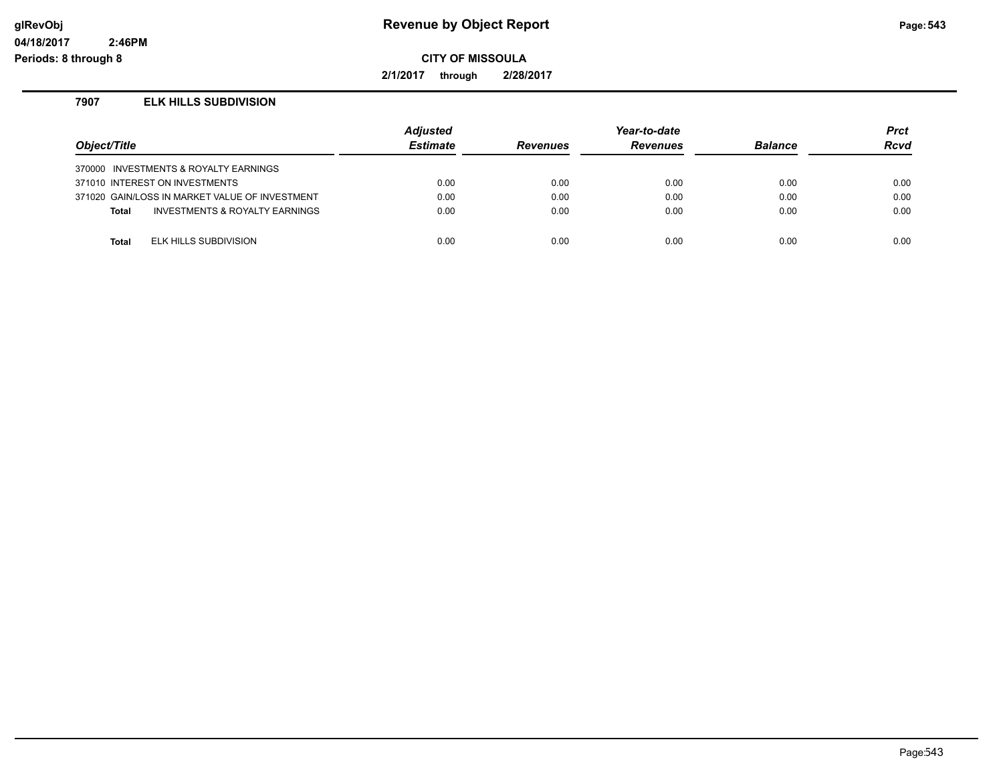**2/1/2017 through 2/28/2017**

#### **7907 ELK HILLS SUBDIVISION**

|                                                | <b>Adjusted</b> |                 | Year-to-date    |      |             |  |
|------------------------------------------------|-----------------|-----------------|-----------------|------|-------------|--|
| Object/Title                                   | <b>Estimate</b> | <b>Revenues</b> | <b>Revenues</b> |      | <b>Rcvd</b> |  |
| 370000 INVESTMENTS & ROYALTY EARNINGS          |                 |                 |                 |      |             |  |
| 371010 INTEREST ON INVESTMENTS                 | 0.00            | 0.00            | 0.00            | 0.00 | 0.00        |  |
| 371020 GAIN/LOSS IN MARKET VALUE OF INVESTMENT | 0.00            | 0.00            | 0.00            | 0.00 | 0.00        |  |
| INVESTMENTS & ROYALTY EARNINGS<br><b>Total</b> | 0.00            | 0.00            | 0.00            | 0.00 | 0.00        |  |
| ELK HILLS SUBDIVISION<br>Total                 | 0.00            | 0.00            | 0.00            | 0.00 | 0.00        |  |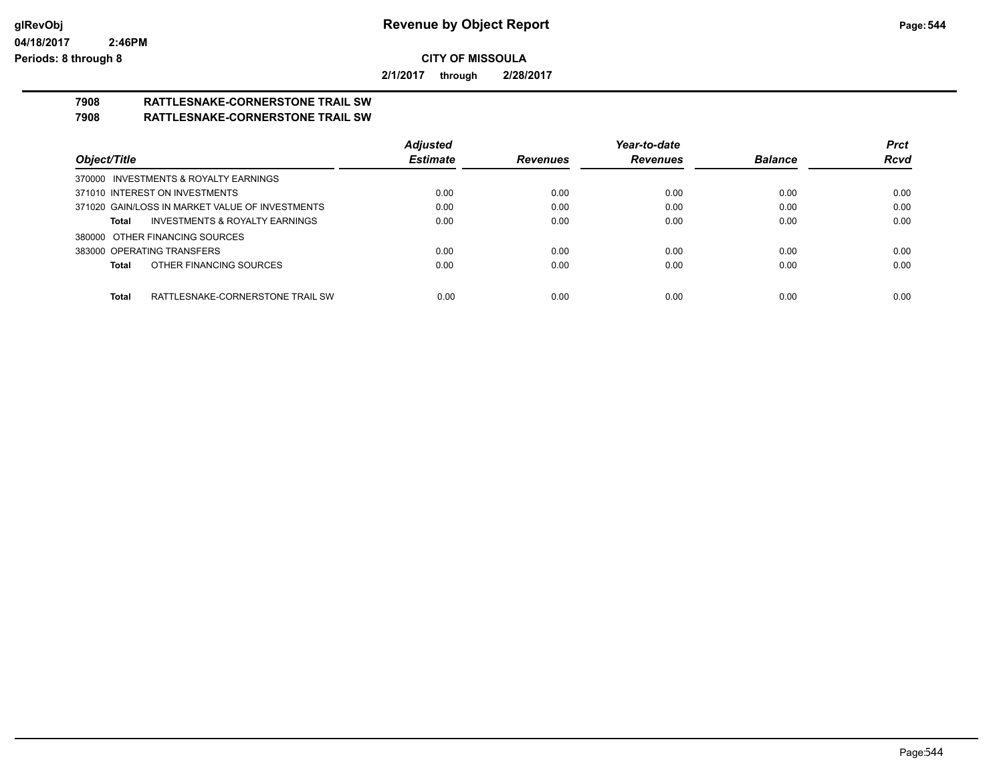**2/1/2017 through 2/28/2017**

#### **7908 RATTLESNAKE-CORNERSTONE TRAIL SW 7908 RATTLESNAKE-CORNERSTONE TRAIL SW**

|                                                 | <b>Adjusted</b> |                 | Year-to-date    |                | <b>Prct</b> |
|-------------------------------------------------|-----------------|-----------------|-----------------|----------------|-------------|
| Object/Title                                    | <b>Estimate</b> | <b>Revenues</b> | <b>Revenues</b> | <b>Balance</b> | <b>Rcvd</b> |
| 370000 INVESTMENTS & ROYALTY EARNINGS           |                 |                 |                 |                |             |
| 371010 INTEREST ON INVESTMENTS                  | 0.00            | 0.00            | 0.00            | 0.00           | 0.00        |
| 371020 GAIN/LOSS IN MARKET VALUE OF INVESTMENTS | 0.00            | 0.00            | 0.00            | 0.00           | 0.00        |
| INVESTMENTS & ROYALTY EARNINGS<br>Total         | 0.00            | 0.00            | 0.00            | 0.00           | 0.00        |
| 380000 OTHER FINANCING SOURCES                  |                 |                 |                 |                |             |
| 383000 OPERATING TRANSFERS                      | 0.00            | 0.00            | 0.00            | 0.00           | 0.00        |
| OTHER FINANCING SOURCES<br>Total                | 0.00            | 0.00            | 0.00            | 0.00           | 0.00        |
|                                                 |                 |                 |                 |                |             |
| Total<br>RATTLESNAKE-CORNERSTONE TRAIL SW       | 0.00            | 0.00            | 0.00            | 0.00           | 0.00        |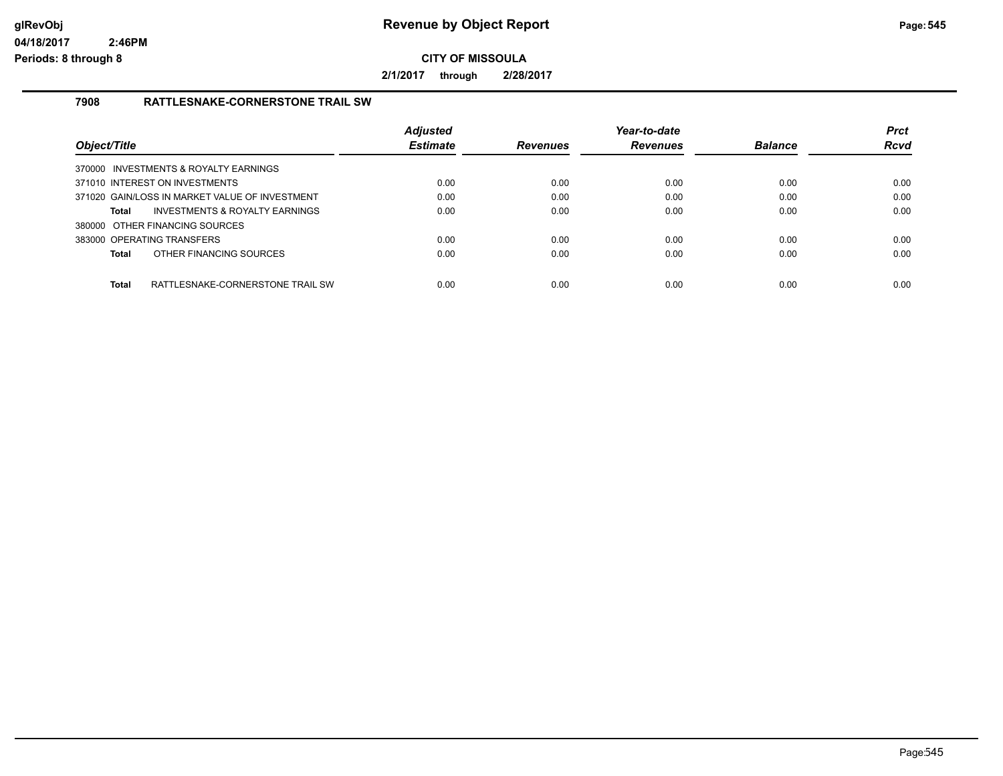**2/1/2017 through 2/28/2017**

#### **7908 RATTLESNAKE-CORNERSTONE TRAIL SW**

|              |                                                | <b>Adjusted</b> |                 | Year-to-date |                | <b>Prct</b> |
|--------------|------------------------------------------------|-----------------|-----------------|--------------|----------------|-------------|
| Object/Title |                                                | <b>Estimate</b> | <b>Revenues</b> | Revenues     | <b>Balance</b> | <b>Rcvd</b> |
|              | 370000 INVESTMENTS & ROYALTY EARNINGS          |                 |                 |              |                |             |
|              | 371010 INTEREST ON INVESTMENTS                 | 0.00            | 0.00            | 0.00         | 0.00           | 0.00        |
|              | 371020 GAIN/LOSS IN MARKET VALUE OF INVESTMENT | 0.00            | 0.00            | 0.00         | 0.00           | 0.00        |
| Total        | INVESTMENTS & ROYALTY EARNINGS                 | 0.00            | 0.00            | 0.00         | 0.00           | 0.00        |
|              | 380000 OTHER FINANCING SOURCES                 |                 |                 |              |                |             |
|              | 383000 OPERATING TRANSFERS                     | 0.00            | 0.00            | 0.00         | 0.00           | 0.00        |
| Total        | OTHER FINANCING SOURCES                        | 0.00            | 0.00            | 0.00         | 0.00           | 0.00        |
| Total        | RATTLESNAKE-CORNERSTONE TRAIL SW               | 0.00            | 0.00            | 0.00         | 0.00           | 0.00        |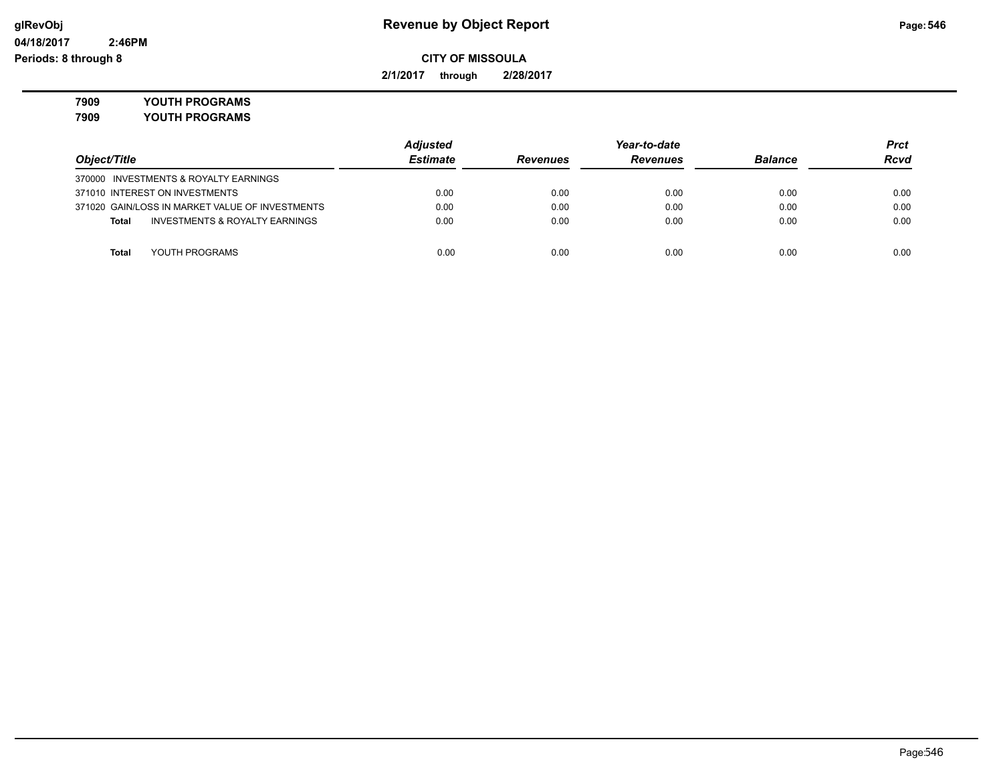**2/1/2017 through 2/28/2017**

**7909 YOUTH PROGRAMS 7909 YOUTH PROGRAMS**

| Object/Title                                       | <b>Adjusted</b><br><b>Estimate</b> | <b>Revenues</b> | Year-to-date<br><b>Revenues</b> | <b>Balance</b> | Prct<br><b>Rcvd</b> |
|----------------------------------------------------|------------------------------------|-----------------|---------------------------------|----------------|---------------------|
| 370000 INVESTMENTS & ROYALTY EARNINGS              |                                    |                 |                                 |                |                     |
| 371010 INTEREST ON INVESTMENTS                     | 0.00                               | 0.00            | 0.00                            | 0.00           | 0.00                |
| 371020 GAIN/LOSS IN MARKET VALUE OF INVESTMENTS    | 0.00                               | 0.00            | 0.00                            | 0.00           | 0.00                |
| <b>INVESTMENTS &amp; ROYALTY EARNINGS</b><br>Total | 0.00                               | 0.00            | 0.00                            | 0.00           | 0.00                |
|                                                    |                                    |                 |                                 |                |                     |
| YOUTH PROGRAMS<br>Total                            | 0.00                               | 0.00            | 0.00                            | 0.00           | 0.00                |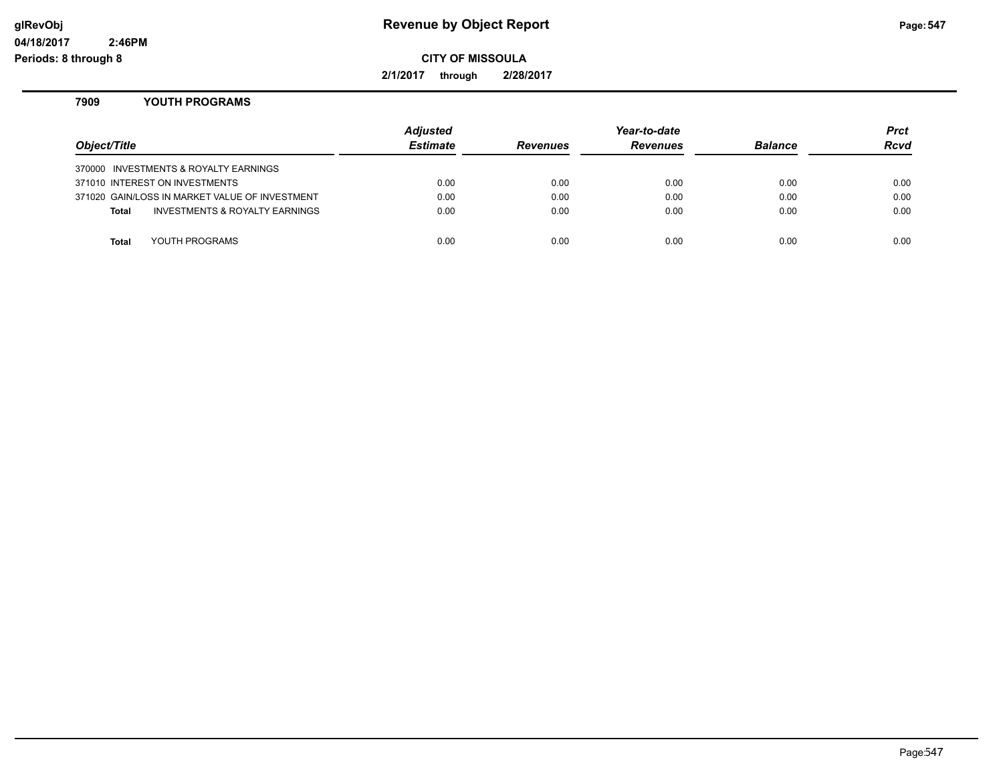**Periods: 8 through 8**

**CITY OF MISSOULA**

**2/1/2017 through 2/28/2017**

#### **7909 YOUTH PROGRAMS**

 **2:46PM**

|                                                | Adjusted        |                 | Year-to-date    |                | <b>Prct</b> |
|------------------------------------------------|-----------------|-----------------|-----------------|----------------|-------------|
| Object/Title                                   | <b>Estimate</b> | <b>Revenues</b> | <b>Revenues</b> | <b>Balance</b> | <b>Rcvd</b> |
| 370000 INVESTMENTS & ROYALTY EARNINGS          |                 |                 |                 |                |             |
| 371010 INTEREST ON INVESTMENTS                 | 0.00            | 0.00            | 0.00            | 0.00           | 0.00        |
| 371020 GAIN/LOSS IN MARKET VALUE OF INVESTMENT | 0.00            | 0.00            | 0.00            | 0.00           | 0.00        |
| INVESTMENTS & ROYALTY EARNINGS<br><b>Total</b> | 0.00            | 0.00            | 0.00            | 0.00           | 0.00        |
|                                                |                 |                 |                 |                |             |
| <b>Total</b><br>YOUTH PROGRAMS                 | 0.00            | 0.00            | 0.00            | 0.00           | 0.00        |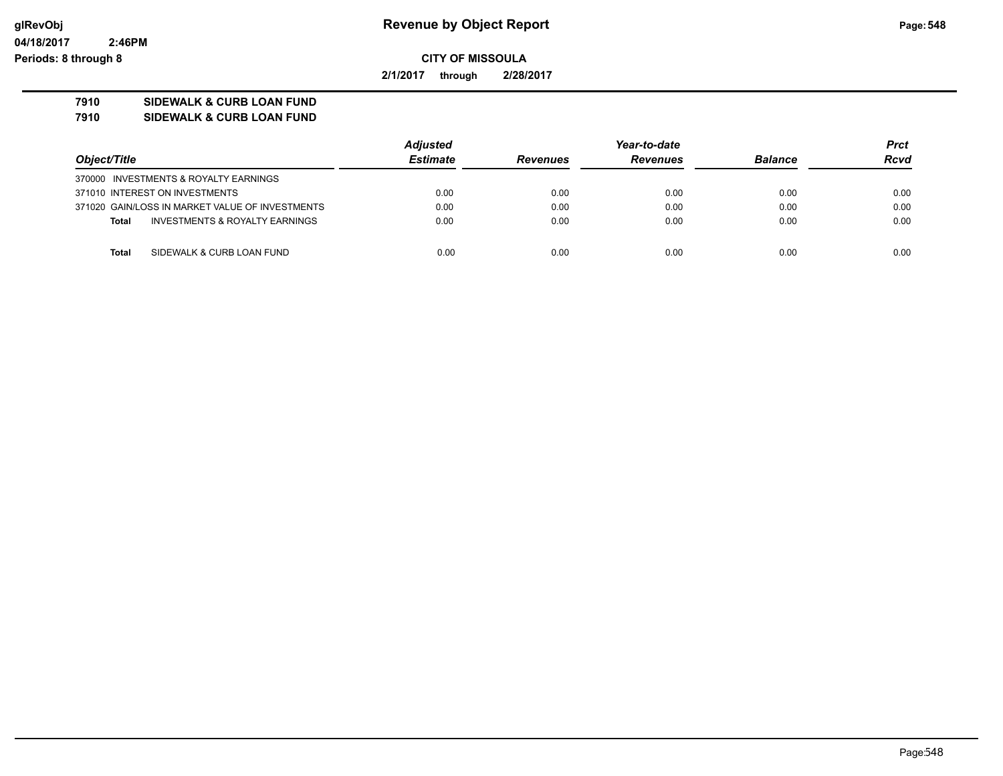**2/1/2017 through 2/28/2017**

**7910 SIDEWALK & CURB LOAN FUND 7910 SIDEWALK & CURB LOAN FUND**

|                                                 | <b>Adjusted</b> |                 | Year-to-date    |                | Prct |
|-------------------------------------------------|-----------------|-----------------|-----------------|----------------|------|
| Object/Title                                    | <b>Estimate</b> | <b>Revenues</b> | <b>Revenues</b> | <b>Balance</b> | Rcvd |
| 370000 INVESTMENTS & ROYALTY EARNINGS           |                 |                 |                 |                |      |
| 371010 INTEREST ON INVESTMENTS                  | 0.00            | 0.00            | 0.00            | 0.00           | 0.00 |
| 371020 GAIN/LOSS IN MARKET VALUE OF INVESTMENTS | 0.00            | 0.00            | 0.00            | 0.00           | 0.00 |
| INVESTMENTS & ROYALTY EARNINGS<br>Total         | 0.00            | 0.00            | 0.00            | 0.00           | 0.00 |
|                                                 |                 |                 |                 |                |      |
| SIDEWALK & CURB LOAN FUND<br>Total              | 0.00            | 0.00            | 0.00            | 0.00           | 0.00 |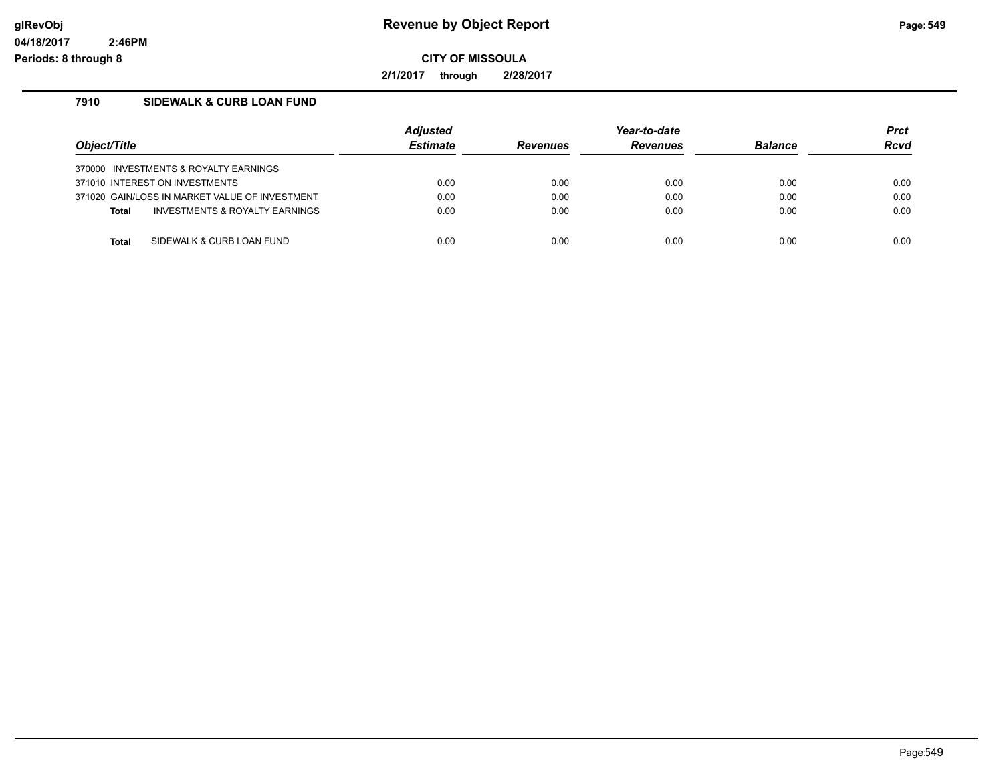**2/1/2017 through 2/28/2017**

#### **7910 SIDEWALK & CURB LOAN FUND**

|                                                | <b>Adjusted</b> |                 | Year-to-date    |                |             |
|------------------------------------------------|-----------------|-----------------|-----------------|----------------|-------------|
| Object/Title                                   | <b>Estimate</b> | <b>Revenues</b> | <b>Revenues</b> | <b>Balance</b> | <b>Rcvd</b> |
| 370000 INVESTMENTS & ROYALTY EARNINGS          |                 |                 |                 |                |             |
| 371010 INTEREST ON INVESTMENTS                 | 0.00            | 0.00            | 0.00            | 0.00           | 0.00        |
| 371020 GAIN/LOSS IN MARKET VALUE OF INVESTMENT | 0.00            | 0.00            | 0.00            | 0.00           | 0.00        |
| INVESTMENTS & ROYALTY EARNINGS<br><b>Total</b> | 0.00            | 0.00            | 0.00            | 0.00           | 0.00        |
| Total<br>SIDEWALK & CURB LOAN FUND             | 0.00            | 0.00            | 0.00            | 0.00           | 0.00        |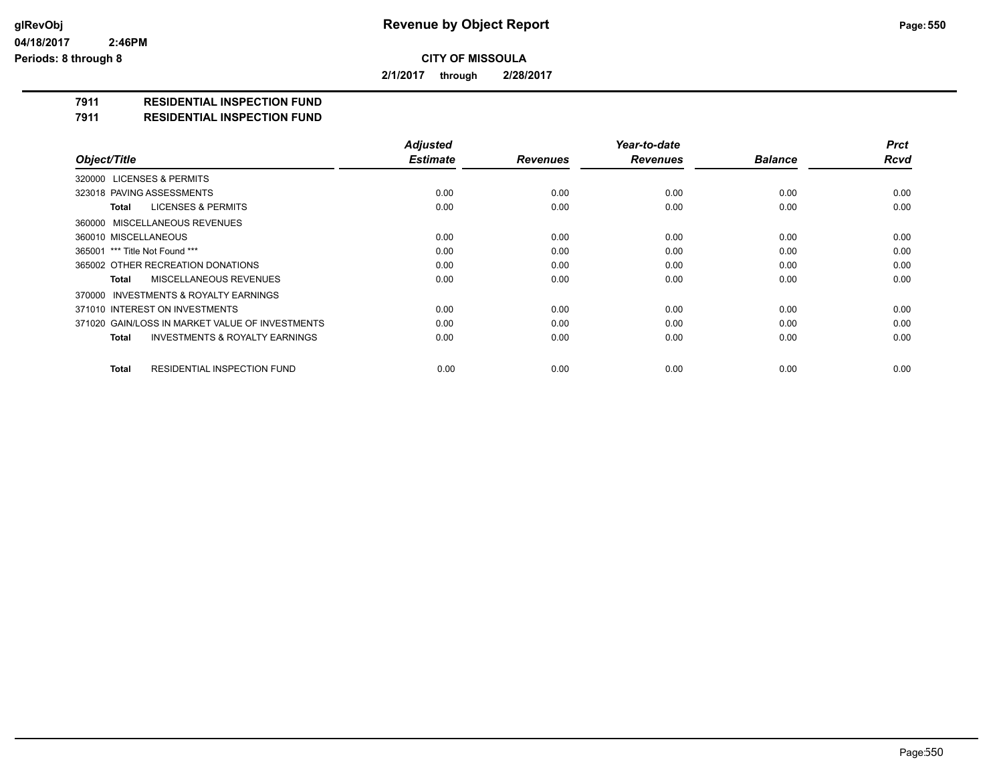**2/1/2017 through 2/28/2017**

**7911 RESIDENTIAL INSPECTION FUND**

**7911 RESIDENTIAL INSPECTION FUND**

|                                                    | <b>Adjusted</b> |                 | Year-to-date    |                | <b>Prct</b> |
|----------------------------------------------------|-----------------|-----------------|-----------------|----------------|-------------|
| Object/Title                                       | <b>Estimate</b> | <b>Revenues</b> | <b>Revenues</b> | <b>Balance</b> | <b>Rcvd</b> |
| 320000 LICENSES & PERMITS                          |                 |                 |                 |                |             |
| 323018 PAVING ASSESSMENTS                          | 0.00            | 0.00            | 0.00            | 0.00           | 0.00        |
| <b>LICENSES &amp; PERMITS</b><br>Total             | 0.00            | 0.00            | 0.00            | 0.00           | 0.00        |
| 360000 MISCELLANEOUS REVENUES                      |                 |                 |                 |                |             |
| 360010 MISCELLANEOUS                               | 0.00            | 0.00            | 0.00            | 0.00           | 0.00        |
| 365001 *** Title Not Found ***                     | 0.00            | 0.00            | 0.00            | 0.00           | 0.00        |
| 365002 OTHER RECREATION DONATIONS                  | 0.00            | 0.00            | 0.00            | 0.00           | 0.00        |
| MISCELLANEOUS REVENUES<br>Total                    | 0.00            | 0.00            | 0.00            | 0.00           | 0.00        |
| 370000 INVESTMENTS & ROYALTY EARNINGS              |                 |                 |                 |                |             |
| 371010 INTEREST ON INVESTMENTS                     | 0.00            | 0.00            | 0.00            | 0.00           | 0.00        |
| 371020 GAIN/LOSS IN MARKET VALUE OF INVESTMENTS    | 0.00            | 0.00            | 0.00            | 0.00           | 0.00        |
| <b>INVESTMENTS &amp; ROYALTY EARNINGS</b><br>Total | 0.00            | 0.00            | 0.00            | 0.00           | 0.00        |
| <b>RESIDENTIAL INSPECTION FUND</b><br>Total        | 0.00            | 0.00            | 0.00            | 0.00           | 0.00        |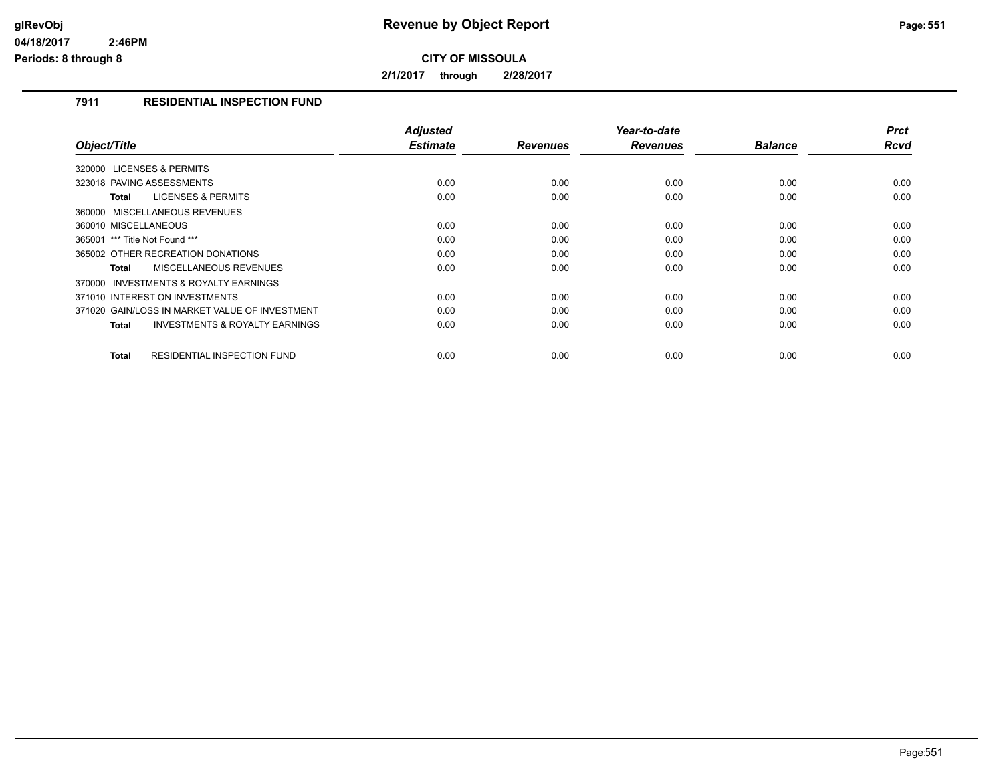**2/1/2017 through 2/28/2017**

#### **7911 RESIDENTIAL INSPECTION FUND**

|                                                           | <b>Adjusted</b><br><b>Estimate</b> |                 | Year-to-date    | <b>Balance</b> | <b>Prct</b> |
|-----------------------------------------------------------|------------------------------------|-----------------|-----------------|----------------|-------------|
| Object/Title                                              |                                    | <b>Revenues</b> | <b>Revenues</b> |                | Rcvd        |
| <b>LICENSES &amp; PERMITS</b><br>320000                   |                                    |                 |                 |                |             |
| 323018 PAVING ASSESSMENTS                                 | 0.00                               | 0.00            | 0.00            | 0.00           | 0.00        |
| <b>LICENSES &amp; PERMITS</b><br><b>Total</b>             | 0.00                               | 0.00            | 0.00            | 0.00           | 0.00        |
| 360000 MISCELLANEOUS REVENUES                             |                                    |                 |                 |                |             |
| 360010 MISCELLANEOUS                                      | 0.00                               | 0.00            | 0.00            | 0.00           | 0.00        |
| 365001 *** Title Not Found ***                            | 0.00                               | 0.00            | 0.00            | 0.00           | 0.00        |
| 365002 OTHER RECREATION DONATIONS                         | 0.00                               | 0.00            | 0.00            | 0.00           | 0.00        |
| MISCELLANEOUS REVENUES<br>Total                           | 0.00                               | 0.00            | 0.00            | 0.00           | 0.00        |
| INVESTMENTS & ROYALTY EARNINGS<br>370000                  |                                    |                 |                 |                |             |
| 371010 INTEREST ON INVESTMENTS                            | 0.00                               | 0.00            | 0.00            | 0.00           | 0.00        |
| 371020 GAIN/LOSS IN MARKET VALUE OF INVESTMENT            | 0.00                               | 0.00            | 0.00            | 0.00           | 0.00        |
| <b>INVESTMENTS &amp; ROYALTY EARNINGS</b><br><b>Total</b> | 0.00                               | 0.00            | 0.00            | 0.00           | 0.00        |
|                                                           |                                    |                 |                 |                |             |
| <b>RESIDENTIAL INSPECTION FUND</b><br><b>Total</b>        | 0.00                               | 0.00            | 0.00            | 0.00           | 0.00        |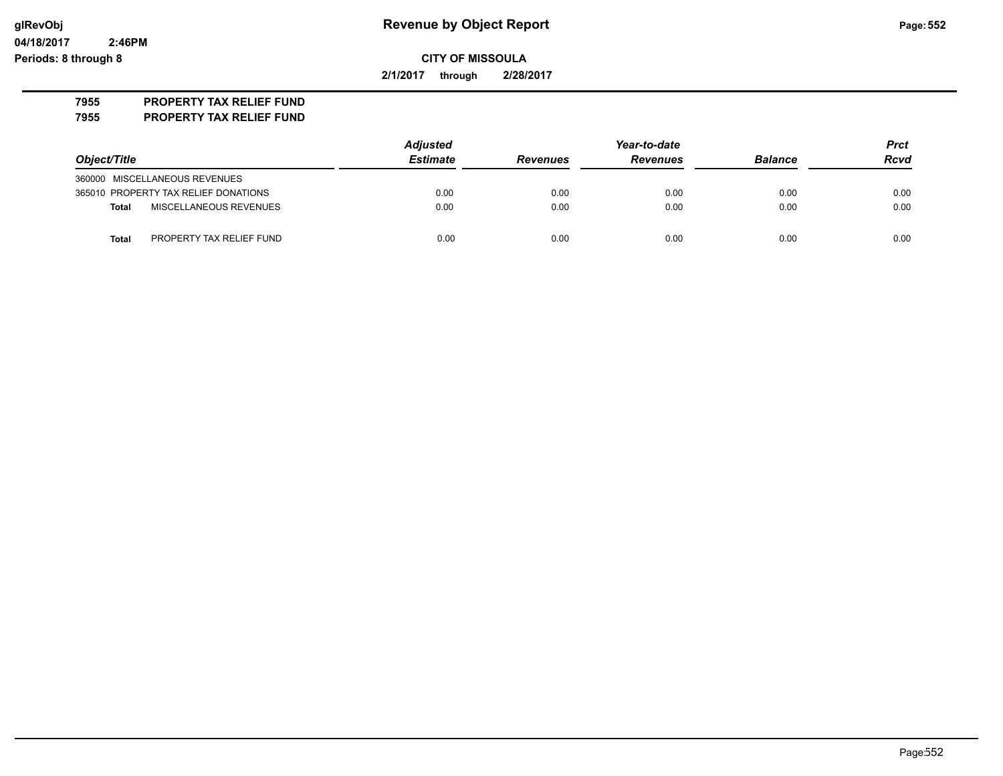**2/1/2017 through 2/28/2017**

**7955 PROPERTY TAX RELIEF FUND**

**7955 PROPERTY TAX RELIEF FUND**

|                                          | <b>Adjusted</b> |                 | Year-to-date    |      |             |
|------------------------------------------|-----------------|-----------------|-----------------|------|-------------|
| Object/Title                             | <b>Estimate</b> | <b>Revenues</b> | <b>Revenues</b> |      | <b>Rcvd</b> |
| 360000 MISCELLANEOUS REVENUES            |                 |                 |                 |      |             |
| 365010 PROPERTY TAX RELIEF DONATIONS     | 0.00            | 0.00            | 0.00            | 0.00 | 0.00        |
| MISCELLANEOUS REVENUES<br><b>Total</b>   | 0.00            | 0.00            | 0.00            | 0.00 | 0.00        |
| <b>Total</b><br>PROPERTY TAX RELIEF FUND | 0.00            | 0.00            | 0.00            | 0.00 | 0.00        |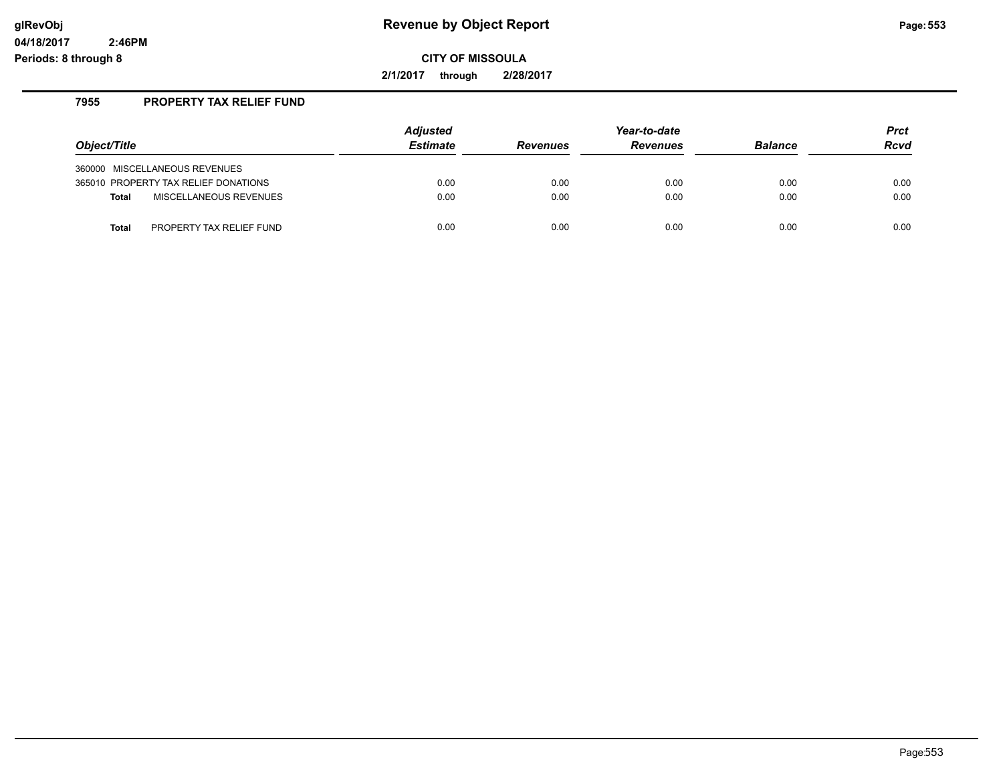**2/1/2017 through 2/28/2017**

#### **7955 PROPERTY TAX RELIEF FUND**

|                                               | <b>Adjusted</b> |                 |                 | <b>Prct</b>    |             |
|-----------------------------------------------|-----------------|-----------------|-----------------|----------------|-------------|
| Object/Title                                  | <b>Estimate</b> | <b>Revenues</b> | <b>Revenues</b> | <b>Balance</b> | <b>Rcvd</b> |
| 360000 MISCELLANEOUS REVENUES                 |                 |                 |                 |                |             |
| 365010 PROPERTY TAX RELIEF DONATIONS          | 0.00            | 0.00            | 0.00            | 0.00           | 0.00        |
| <b>MISCELLANEOUS REVENUES</b><br><b>Total</b> | 0.00            | 0.00            | 0.00            | 0.00           | 0.00        |
| <b>Total</b><br>PROPERTY TAX RELIEF FUND      | 0.00            | 0.00            | 0.00            | 0.00           | 0.00        |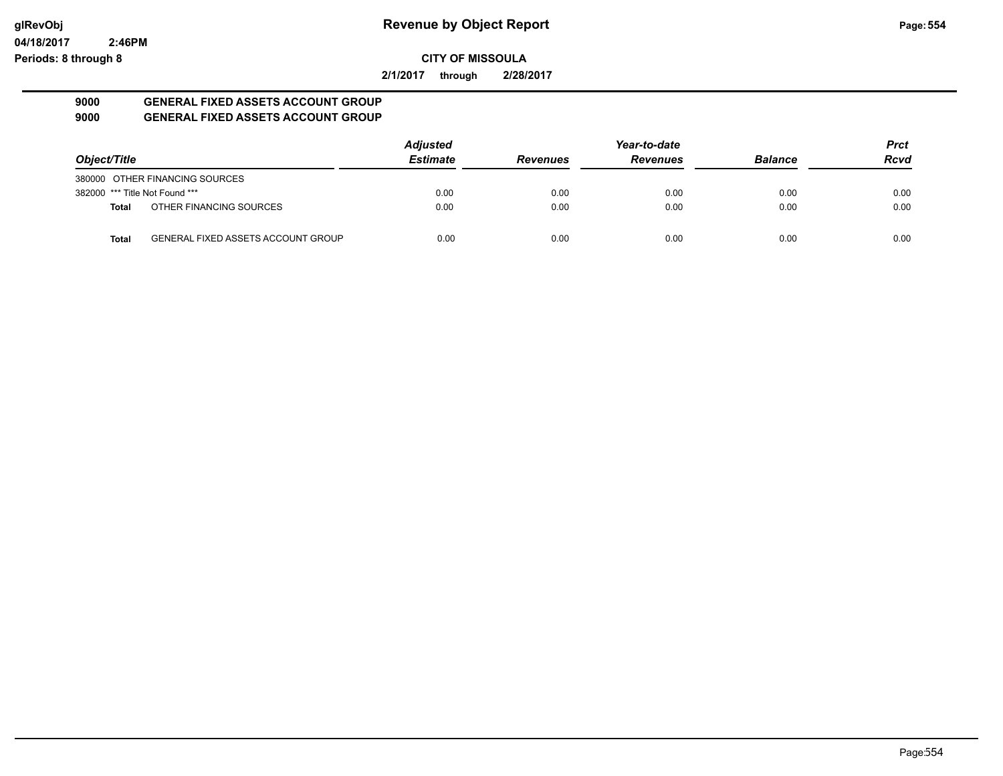**Periods: 8 through 8**

 **2:46PM**

**CITY OF MISSOULA**

**2/1/2017 through 2/28/2017**

#### **9000 GENERAL FIXED ASSETS ACCOUNT GROUP 9000 GENERAL FIXED ASSETS ACCOUNT GROUP**

|                                |                                           | <b>Adjusted</b> |                 | Year-to-date    |                | <b>Prct</b> |
|--------------------------------|-------------------------------------------|-----------------|-----------------|-----------------|----------------|-------------|
| Object/Title                   |                                           | <b>Estimate</b> | <b>Revenues</b> | <b>Revenues</b> | <b>Balance</b> | Rcvd        |
|                                | 380000 OTHER FINANCING SOURCES            |                 |                 |                 |                |             |
| 382000 *** Title Not Found *** |                                           | 0.00            | 0.00            | 0.00            | 0.00           | 0.00        |
| <b>Total</b>                   | OTHER FINANCING SOURCES                   | 0.00            | 0.00            | 0.00            | 0.00           | 0.00        |
| Total                          | <b>GENERAL FIXED ASSETS ACCOUNT GROUP</b> | 0.00            | 0.00            | 0.00            | 0.00           | 0.00        |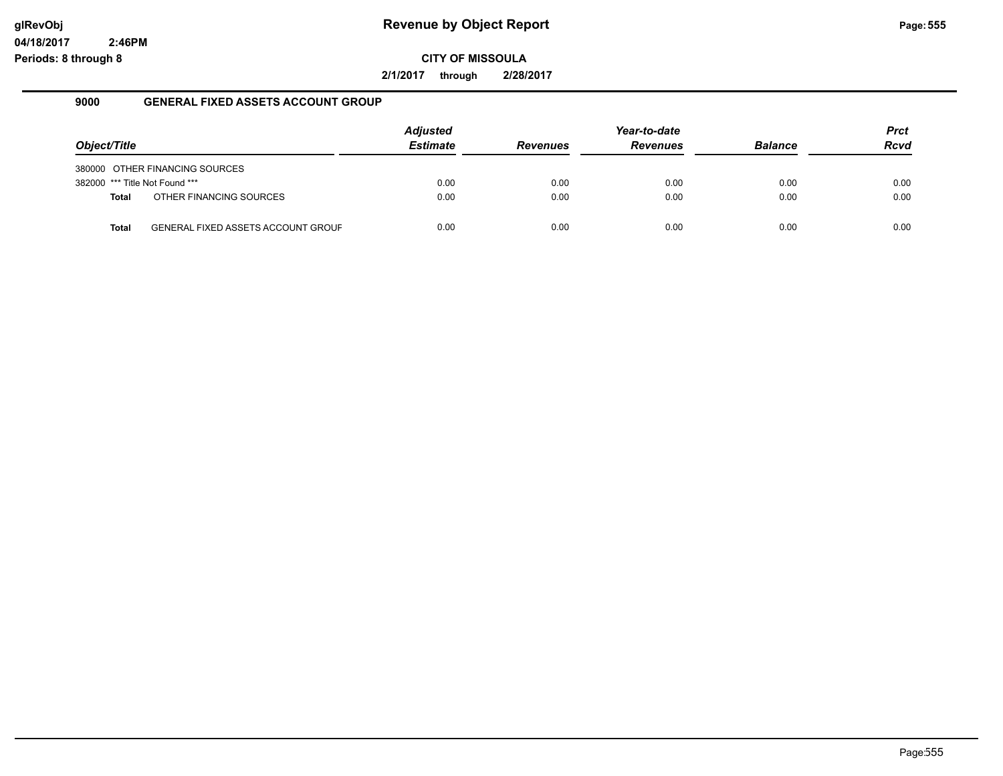**2/1/2017 through 2/28/2017**

## **9000 GENERAL FIXED ASSETS ACCOUNT GROUP**

|                                |                                           | <b>Adjusted</b> |                 | Year-to-date    |                | <b>Prct</b> |
|--------------------------------|-------------------------------------------|-----------------|-----------------|-----------------|----------------|-------------|
| Object/Title                   |                                           | <b>Estimate</b> | <b>Revenues</b> | <b>Revenues</b> | <b>Balance</b> | <b>Rcvd</b> |
|                                | 380000 OTHER FINANCING SOURCES            |                 |                 |                 |                |             |
| 382000 *** Title Not Found *** |                                           | 0.00            | 0.00            | 0.00            | 0.00           | 0.00        |
| <b>Total</b>                   | OTHER FINANCING SOURCES                   | 0.00            | 0.00            | 0.00            | 0.00           | 0.00        |
| <b>Total</b>                   | <b>GENERAL FIXED ASSETS ACCOUNT GROUF</b> | 0.00            | 0.00            | 0.00            | 0.00           | 0.00        |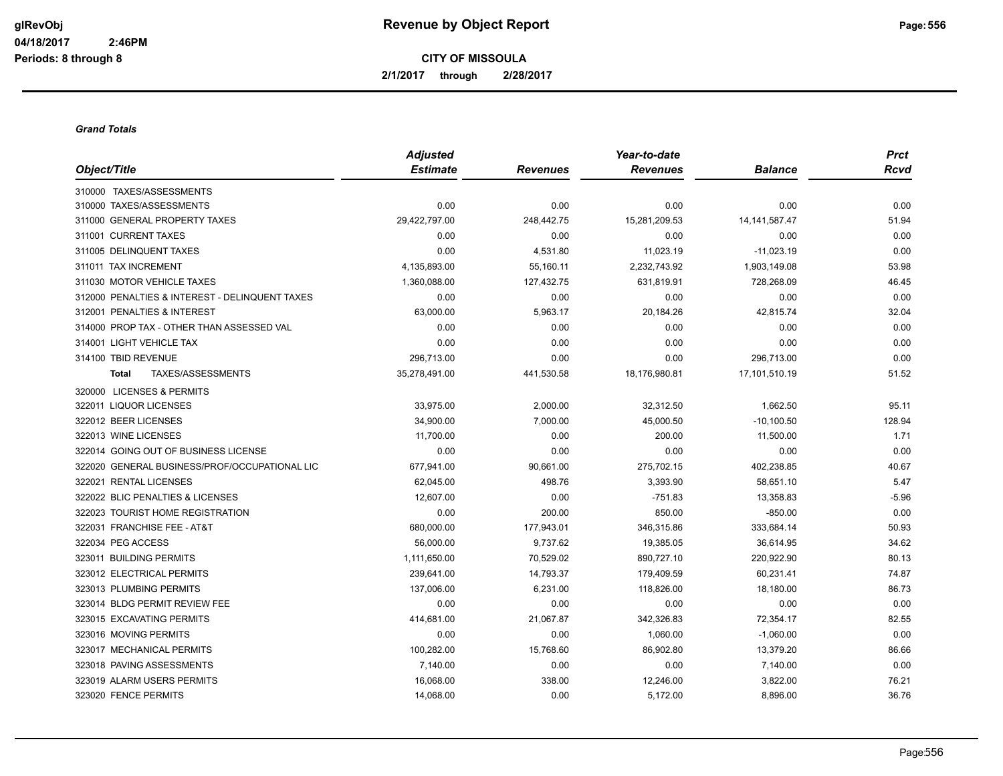**CITY OF MISSOULA 2/1/2017 through 2/28/2017**

#### *Grand Totals*

| Object/Title                                   | <b>Adjusted</b><br><b>Estimate</b> | <b>Revenues</b> | Year-to-date<br><b>Revenues</b> | <b>Balance</b>   | <b>Prct</b><br><b>Rcvd</b> |
|------------------------------------------------|------------------------------------|-----------------|---------------------------------|------------------|----------------------------|
|                                                |                                    |                 |                                 |                  |                            |
| 310000 TAXES/ASSESSMENTS                       |                                    |                 |                                 |                  |                            |
| 310000 TAXES/ASSESSMENTS                       | 0.00                               | 0.00            | 0.00                            | 0.00             | 0.00                       |
| 311000 GENERAL PROPERTY TAXES                  | 29,422,797.00                      | 248,442.75      | 15,281,209.53                   | 14, 141, 587. 47 | 51.94                      |
| 311001 CURRENT TAXES                           | 0.00                               | 0.00            | 0.00                            | 0.00             | 0.00                       |
| 311005 DELINQUENT TAXES                        | 0.00                               | 4,531.80        | 11,023.19                       | $-11,023.19$     | 0.00                       |
| 311011 TAX INCREMENT                           | 4,135,893.00                       | 55,160.11       | 2,232,743.92                    | 1,903,149.08     | 53.98                      |
| 311030 MOTOR VEHICLE TAXES                     | 1,360,088.00                       | 127,432.75      | 631,819.91                      | 728,268.09       | 46.45                      |
| 312000 PENALTIES & INTEREST - DELINQUENT TAXES | 0.00                               | 0.00            | 0.00                            | 0.00             | 0.00                       |
| 312001 PENALTIES & INTEREST                    | 63,000.00                          | 5,963.17        | 20,184.26                       | 42,815.74        | 32.04                      |
| 314000 PROP TAX - OTHER THAN ASSESSED VAL      | 0.00                               | 0.00            | 0.00                            | 0.00             | 0.00                       |
| 314001 LIGHT VEHICLE TAX                       | 0.00                               | 0.00            | 0.00                            | 0.00             | 0.00                       |
| 314100 TBID REVENUE                            | 296,713.00                         | 0.00            | 0.00                            | 296,713.00       | 0.00                       |
| TAXES/ASSESSMENTS<br><b>Total</b>              | 35,278,491.00                      | 441,530.58      | 18,176,980.81                   | 17,101,510.19    | 51.52                      |
| 320000 LICENSES & PERMITS                      |                                    |                 |                                 |                  |                            |
| 322011 LIQUOR LICENSES                         | 33,975.00                          | 2,000.00        | 32,312.50                       | 1,662.50         | 95.11                      |
| 322012 BEER LICENSES                           | 34,900.00                          | 7,000.00        | 45,000.50                       | $-10,100.50$     | 128.94                     |
| 322013 WINE LICENSES                           | 11,700.00                          | 0.00            | 200.00                          | 11,500.00        | 1.71                       |
| 322014 GOING OUT OF BUSINESS LICENSE           | 0.00                               | 0.00            | 0.00                            | 0.00             | 0.00                       |
| 322020 GENERAL BUSINESS/PROF/OCCUPATIONAL LIC  | 677,941.00                         | 90,661.00       | 275,702.15                      | 402,238.85       | 40.67                      |
| 322021 RENTAL LICENSES                         | 62,045.00                          | 498.76          | 3,393.90                        | 58,651.10        | 5.47                       |
| 322022 BLIC PENALTIES & LICENSES               | 12,607.00                          | 0.00            | $-751.83$                       | 13,358.83        | $-5.96$                    |
| 322023 TOURIST HOME REGISTRATION               | 0.00                               | 200.00          | 850.00                          | $-850.00$        | 0.00                       |
| 322031 FRANCHISE FEE - AT&T                    | 680,000.00                         | 177,943.01      | 346,315.86                      | 333,684.14       | 50.93                      |
| 322034 PEG ACCESS                              | 56.000.00                          | 9.737.62        | 19,385.05                       | 36.614.95        | 34.62                      |
| 323011 BUILDING PERMITS                        | 1,111,650.00                       | 70,529.02       | 890,727.10                      | 220,922.90       | 80.13                      |
| 323012 ELECTRICAL PERMITS                      | 239,641.00                         | 14,793.37       | 179,409.59                      | 60,231.41        | 74.87                      |
| 323013 PLUMBING PERMITS                        | 137,006.00                         | 6,231.00        | 118,826.00                      | 18,180.00        | 86.73                      |
| 323014 BLDG PERMIT REVIEW FEE                  | 0.00                               | 0.00            | 0.00                            | 0.00             | 0.00                       |
| 323015 EXCAVATING PERMITS                      | 414,681.00                         | 21,067.87       | 342,326.83                      | 72,354.17        | 82.55                      |
| 323016 MOVING PERMITS                          | 0.00                               | 0.00            | 1,060.00                        | $-1,060.00$      | 0.00                       |
| 323017 MECHANICAL PERMITS                      | 100,282.00                         | 15,768.60       | 86,902.80                       | 13,379.20        | 86.66                      |
| 323018 PAVING ASSESSMENTS                      | 7,140.00                           | 0.00            | 0.00                            | 7,140.00         | 0.00                       |
| 323019 ALARM USERS PERMITS                     | 16,068.00                          | 338.00          | 12,246.00                       | 3,822.00         | 76.21                      |
| 323020 FENCE PERMITS                           | 14,068.00                          | 0.00            | 5,172.00                        | 8,896.00         | 36.76                      |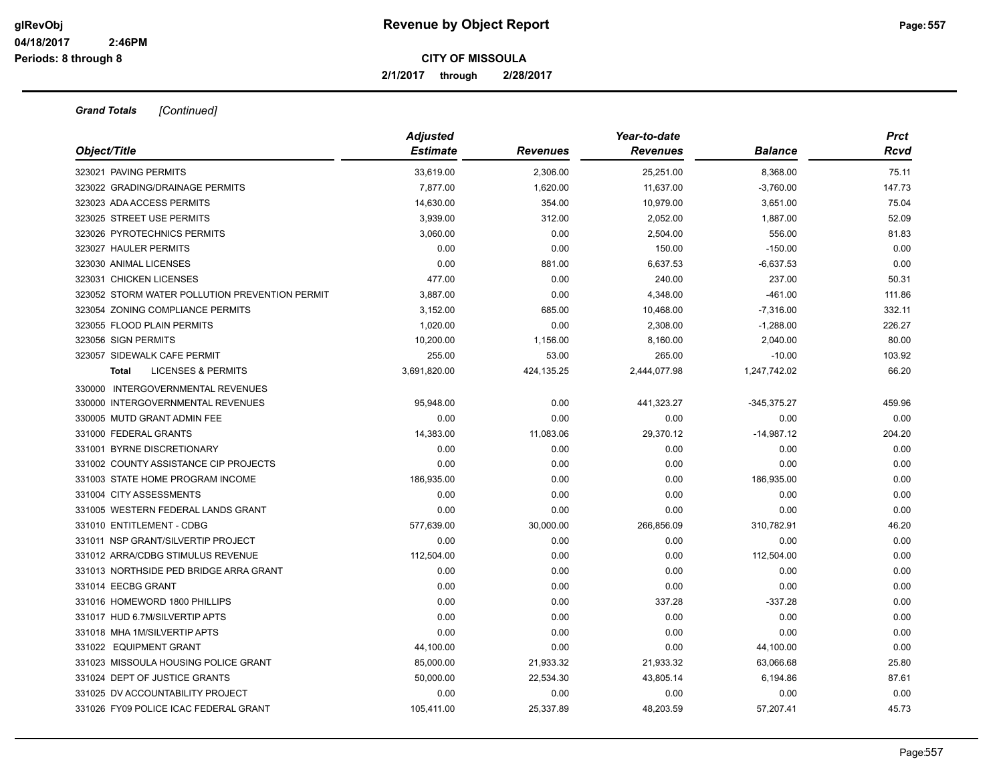**2/1/2017 through 2/28/2017**

| Object/Title                                   | <b>Adjusted</b><br><b>Estimate</b> | <b>Revenues</b> | Year-to-date<br><b>Revenues</b> | <b>Balance</b> | <b>Prct</b><br><b>Rcvd</b> |
|------------------------------------------------|------------------------------------|-----------------|---------------------------------|----------------|----------------------------|
| 323021 PAVING PERMITS                          | 33.619.00                          | 2,306.00        | 25,251.00                       | 8,368.00       | 75.11                      |
| 323022 GRADING/DRAINAGE PERMITS                | 7,877.00                           | 1,620.00        | 11,637.00                       | $-3,760.00$    | 147.73                     |
| 323023 ADA ACCESS PERMITS                      | 14,630.00                          | 354.00          | 10,979.00                       | 3,651.00       | 75.04                      |
| 323025 STREET USE PERMITS                      | 3,939.00                           | 312.00          | 2,052.00                        | 1,887.00       | 52.09                      |
| 323026 PYROTECHNICS PERMITS                    | 3,060.00                           | 0.00            | 2,504.00                        | 556.00         | 81.83                      |
| 323027 HAULER PERMITS                          | 0.00                               | 0.00            | 150.00                          | $-150.00$      | 0.00                       |
| 323030 ANIMAL LICENSES                         | 0.00                               | 881.00          | 6,637.53                        | $-6,637.53$    | 0.00                       |
| 323031 CHICKEN LICENSES                        | 477.00                             | 0.00            | 240.00                          | 237.00         | 50.31                      |
| 323052 STORM WATER POLLUTION PREVENTION PERMIT | 3,887.00                           | 0.00            | 4,348.00                        | $-461.00$      | 111.86                     |
| 323054 ZONING COMPLIANCE PERMITS               | 3,152.00                           | 685.00          | 10,468.00                       | $-7,316.00$    | 332.11                     |
| 323055 FLOOD PLAIN PERMITS                     | 1,020.00                           | 0.00            | 2,308.00                        | $-1,288.00$    | 226.27                     |
| 323056 SIGN PERMITS                            | 10,200.00                          | 1,156.00        | 8,160.00                        | 2,040.00       | 80.00                      |
| 323057 SIDEWALK CAFE PERMIT                    | 255.00                             | 53.00           | 265.00                          | $-10.00$       | 103.92                     |
| <b>LICENSES &amp; PERMITS</b><br>Total         | 3,691,820.00                       | 424,135.25      | 2,444,077.98                    | 1,247,742.02   | 66.20                      |
| 330000 INTERGOVERNMENTAL REVENUES              |                                    |                 |                                 |                |                            |
| 330000 INTERGOVERNMENTAL REVENUES              | 95,948.00                          | 0.00            | 441,323.27                      | $-345,375.27$  | 459.96                     |
| 330005 MUTD GRANT ADMIN FEE                    | 0.00                               | 0.00            | 0.00                            | 0.00           | 0.00                       |
| 331000 FEDERAL GRANTS                          | 14,383.00                          | 11,083.06       | 29,370.12                       | $-14,987.12$   | 204.20                     |
| 331001 BYRNE DISCRETIONARY                     | 0.00                               | 0.00            | 0.00                            | 0.00           | 0.00                       |
| 331002 COUNTY ASSISTANCE CIP PROJECTS          | 0.00                               | 0.00            | 0.00                            | 0.00           | 0.00                       |
| 331003 STATE HOME PROGRAM INCOME               | 186,935.00                         | 0.00            | 0.00                            | 186,935.00     | 0.00                       |
| 331004 CITY ASSESSMENTS                        | 0.00                               | 0.00            | 0.00                            | 0.00           | 0.00                       |
| 331005 WESTERN FEDERAL LANDS GRANT             | 0.00                               | 0.00            | 0.00                            | 0.00           | 0.00                       |
| 331010 ENTITLEMENT - CDBG                      | 577,639.00                         | 30,000.00       | 266,856.09                      | 310,782.91     | 46.20                      |
| 331011 NSP GRANT/SILVERTIP PROJECT             | 0.00                               | 0.00            | 0.00                            | 0.00           | 0.00                       |
| 331012 ARRA/CDBG STIMULUS REVENUE              | 112,504.00                         | 0.00            | 0.00                            | 112,504.00     | 0.00                       |
| 331013 NORTHSIDE PED BRIDGE ARRA GRANT         | 0.00                               | 0.00            | 0.00                            | 0.00           | 0.00                       |
| 331014 EECBG GRANT                             | 0.00                               | 0.00            | 0.00                            | 0.00           | 0.00                       |
| 331016 HOMEWORD 1800 PHILLIPS                  | 0.00                               | 0.00            | 337.28                          | $-337.28$      | 0.00                       |
| 331017 HUD 6.7M/SILVERTIP APTS                 | 0.00                               | 0.00            | 0.00                            | 0.00           | 0.00                       |
| 331018 MHA 1M/SILVERTIP APTS                   | 0.00                               | 0.00            | 0.00                            | 0.00           | 0.00                       |
| 331022 EQUIPMENT GRANT                         | 44,100.00                          | 0.00            | 0.00                            | 44,100.00      | 0.00                       |
| 331023 MISSOULA HOUSING POLICE GRANT           | 85,000.00                          | 21,933.32       | 21,933.32                       | 63,066.68      | 25.80                      |
| 331024 DEPT OF JUSTICE GRANTS                  | 50,000.00                          | 22,534.30       | 43,805.14                       | 6,194.86       | 87.61                      |
| 331025 DV ACCOUNTABILITY PROJECT               | 0.00                               | 0.00            | 0.00                            | 0.00           | 0.00                       |
| 331026 FY09 POLICE ICAC FEDERAL GRANT          | 105,411.00                         | 25,337.89       | 48,203.59                       | 57,207.41      | 45.73                      |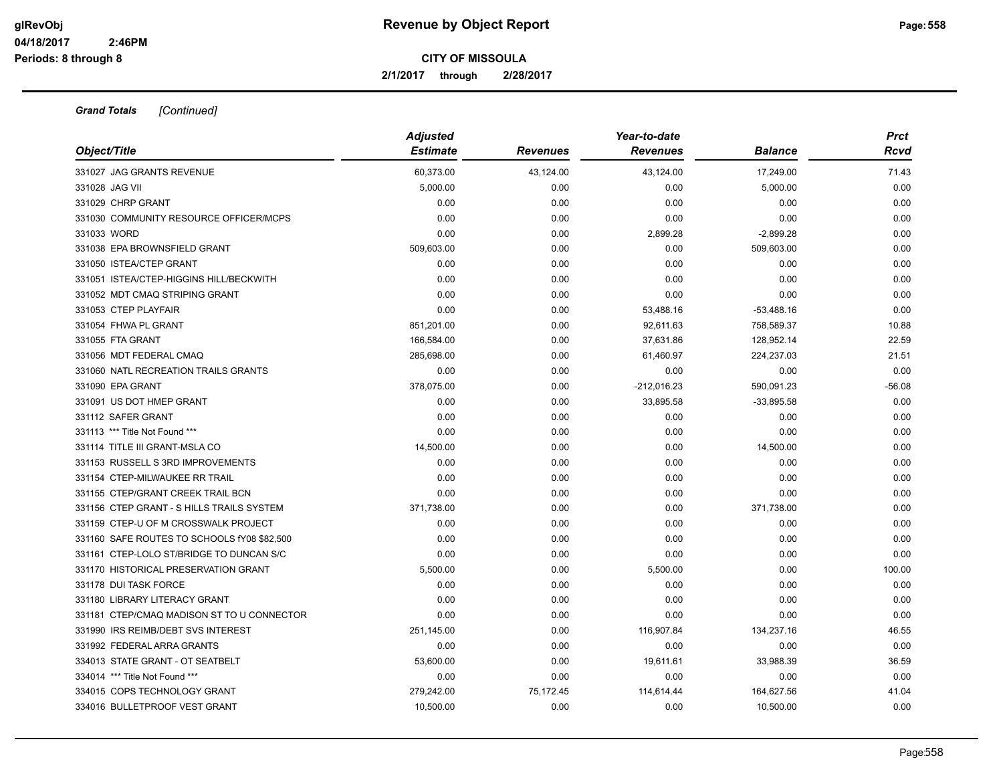**2/1/2017 through 2/28/2017**

|                                             | <b>Adjusted</b> |                 | Year-to-date    |                | <b>Prct</b> |
|---------------------------------------------|-----------------|-----------------|-----------------|----------------|-------------|
| Object/Title                                | <b>Estimate</b> | <b>Revenues</b> | <b>Revenues</b> | <b>Balance</b> | Rcvd        |
| 331027 JAG GRANTS REVENUE                   | 60,373.00       | 43,124.00       | 43,124.00       | 17,249.00      | 71.43       |
| 331028 JAG VII                              | 5,000.00        | 0.00            | 0.00            | 5,000.00       | 0.00        |
| 331029 CHRP GRANT                           | 0.00            | 0.00            | 0.00            | 0.00           | 0.00        |
| 331030 COMMUNITY RESOURCE OFFICER/MCPS      | 0.00            | 0.00            | 0.00            | 0.00           | 0.00        |
| 331033 WORD                                 | 0.00            | 0.00            | 2,899.28        | $-2,899.28$    | 0.00        |
| 331038 EPA BROWNSFIELD GRANT                | 509,603.00      | 0.00            | 0.00            | 509,603.00     | 0.00        |
| 331050 ISTEA/CTEP GRANT                     | 0.00            | 0.00            | 0.00            | 0.00           | 0.00        |
| 331051 ISTEA/CTEP-HIGGINS HILL/BECKWITH     | 0.00            | 0.00            | 0.00            | 0.00           | 0.00        |
| 331052 MDT CMAQ STRIPING GRANT              | 0.00            | 0.00            | 0.00            | 0.00           | 0.00        |
| 331053 CTEP PLAYFAIR                        | 0.00            | 0.00            | 53,488.16       | $-53,488.16$   | 0.00        |
| 331054 FHWA PL GRANT                        | 851,201.00      | 0.00            | 92,611.63       | 758,589.37     | 10.88       |
| 331055 FTA GRANT                            | 166,584.00      | 0.00            | 37,631.86       | 128,952.14     | 22.59       |
| 331056 MDT FEDERAL CMAQ                     | 285,698.00      | 0.00            | 61,460.97       | 224,237.03     | 21.51       |
| 331060 NATL RECREATION TRAILS GRANTS        | 0.00            | 0.00            | 0.00            | 0.00           | 0.00        |
| 331090 EPA GRANT                            | 378,075.00      | 0.00            | $-212,016.23$   | 590,091.23     | $-56.08$    |
| 331091 US DOT HMEP GRANT                    | 0.00            | 0.00            | 33,895.58       | $-33,895.58$   | 0.00        |
| 331112 SAFER GRANT                          | 0.00            | 0.00            | 0.00            | 0.00           | 0.00        |
| 331113 *** Title Not Found ***              | 0.00            | 0.00            | 0.00            | 0.00           | 0.00        |
| 331114 TITLE III GRANT-MSLA CO              | 14,500.00       | 0.00            | 0.00            | 14,500.00      | 0.00        |
| 331153 RUSSELL S 3RD IMPROVEMENTS           | 0.00            | 0.00            | 0.00            | 0.00           | 0.00        |
| 331154 CTEP-MILWAUKEE RR TRAIL              | 0.00            | 0.00            | 0.00            | 0.00           | 0.00        |
| 331155 CTEP/GRANT CREEK TRAIL BCN           | 0.00            | 0.00            | 0.00            | 0.00           | 0.00        |
| 331156 CTEP GRANT - S HILLS TRAILS SYSTEM   | 371,738.00      | 0.00            | 0.00            | 371,738.00     | 0.00        |
| 331159 CTEP-U OF M CROSSWALK PROJECT        | 0.00            | 0.00            | 0.00            | 0.00           | 0.00        |
| 331160 SAFE ROUTES TO SCHOOLS fY08 \$82,500 | 0.00            | 0.00            | 0.00            | 0.00           | 0.00        |
| 331161 CTEP-LOLO ST/BRIDGE TO DUNCAN S/C    | 0.00            | 0.00            | 0.00            | 0.00           | 0.00        |
| 331170 HISTORICAL PRESERVATION GRANT        | 5,500.00        | 0.00            | 5,500.00        | 0.00           | 100.00      |
| 331178 DUI TASK FORCE                       | 0.00            | 0.00            | 0.00            | 0.00           | 0.00        |
| 331180 LIBRARY LITERACY GRANT               | 0.00            | 0.00            | 0.00            | 0.00           | 0.00        |
| 331181 CTEP/CMAQ MADISON ST TO U CONNECTOR  | 0.00            | 0.00            | 0.00            | 0.00           | 0.00        |
| 331990 IRS REIMB/DEBT SVS INTEREST          | 251,145.00      | 0.00            | 116,907.84      | 134,237.16     | 46.55       |
| 331992 FEDERAL ARRA GRANTS                  | 0.00            | 0.00            | 0.00            | 0.00           | 0.00        |
| 334013 STATE GRANT - OT SEATBELT            | 53,600.00       | 0.00            | 19,611.61       | 33,988.39      | 36.59       |
| 334014 *** Title Not Found ***              | 0.00            | 0.00            | 0.00            | 0.00           | 0.00        |
| 334015 COPS TECHNOLOGY GRANT                | 279,242.00      | 75,172.45       | 114,614.44      | 164,627.56     | 41.04       |
| 334016 BULLETPROOF VEST GRANT               | 10,500.00       | 0.00            | 0.00            | 10,500.00      | 0.00        |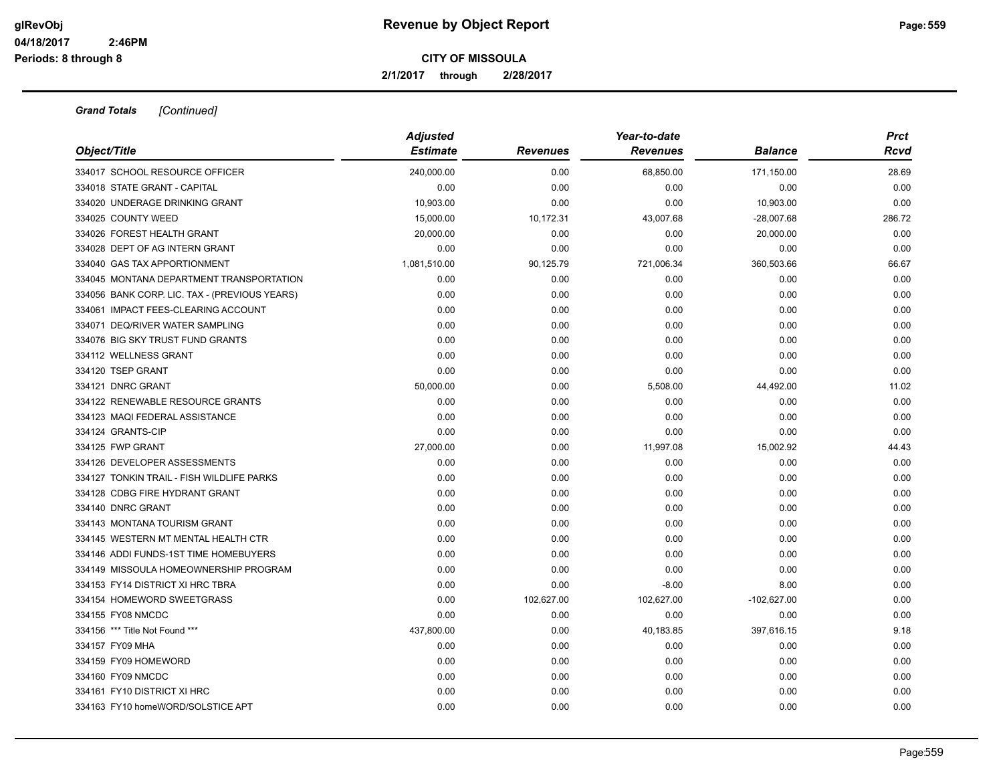**2/1/2017 through 2/28/2017**

| Object/Title                                  | <b>Adjusted</b><br><b>Estimate</b> | <b>Revenues</b> | Year-to-date<br><b>Revenues</b> | <b>Balance</b> | <b>Prct</b><br><b>Rcvd</b> |
|-----------------------------------------------|------------------------------------|-----------------|---------------------------------|----------------|----------------------------|
| 334017 SCHOOL RESOURCE OFFICER                | 240,000.00                         | 0.00            | 68,850.00                       | 171,150.00     | 28.69                      |
| 334018 STATE GRANT - CAPITAL                  | 0.00                               | 0.00            | 0.00                            | 0.00           | 0.00                       |
| 334020 UNDERAGE DRINKING GRANT                | 10,903.00                          | 0.00            | 0.00                            | 10,903.00      | 0.00                       |
| 334025 COUNTY WEED                            | 15,000.00                          | 10,172.31       | 43,007.68                       | $-28,007.68$   | 286.72                     |
| 334026 FOREST HEALTH GRANT                    | 20,000.00                          | 0.00            | 0.00                            | 20,000.00      | 0.00                       |
| 334028 DEPT OF AG INTERN GRANT                | 0.00                               | 0.00            | 0.00                            | 0.00           | 0.00                       |
| 334040 GAS TAX APPORTIONMENT                  | 1,081,510.00                       | 90,125.79       | 721,006.34                      | 360,503.66     | 66.67                      |
| 334045 MONTANA DEPARTMENT TRANSPORTATION      | 0.00                               | 0.00            | 0.00                            | 0.00           | 0.00                       |
| 334056 BANK CORP. LIC. TAX - (PREVIOUS YEARS) | 0.00                               | 0.00            | 0.00                            | 0.00           | 0.00                       |
| 334061 IMPACT FEES-CLEARING ACCOUNT           | 0.00                               | 0.00            | 0.00                            | 0.00           | 0.00                       |
| 334071 DEQ/RIVER WATER SAMPLING               | 0.00                               | 0.00            | 0.00                            | 0.00           | 0.00                       |
| 334076 BIG SKY TRUST FUND GRANTS              | 0.00                               | 0.00            | 0.00                            | 0.00           | 0.00                       |
| 334112 WELLNESS GRANT                         | 0.00                               | 0.00            | 0.00                            | 0.00           | 0.00                       |
| 334120 TSEP GRANT                             | 0.00                               | 0.00            | 0.00                            | 0.00           | 0.00                       |
| 334121 DNRC GRANT                             | 50,000.00                          | 0.00            | 5,508.00                        | 44,492.00      | 11.02                      |
| 334122 RENEWABLE RESOURCE GRANTS              | 0.00                               | 0.00            | 0.00                            | 0.00           | 0.00                       |
| 334123 MAQI FEDERAL ASSISTANCE                | 0.00                               | 0.00            | 0.00                            | 0.00           | 0.00                       |
| 334124 GRANTS-CIP                             | 0.00                               | 0.00            | 0.00                            | 0.00           | 0.00                       |
| 334125 FWP GRANT                              | 27,000.00                          | 0.00            | 11,997.08                       | 15,002.92      | 44.43                      |
| 334126 DEVELOPER ASSESSMENTS                  | 0.00                               | 0.00            | 0.00                            | 0.00           | 0.00                       |
| 334127 TONKIN TRAIL - FISH WILDLIFE PARKS     | 0.00                               | 0.00            | 0.00                            | 0.00           | 0.00                       |
| 334128 CDBG FIRE HYDRANT GRANT                | 0.00                               | 0.00            | 0.00                            | 0.00           | 0.00                       |
| 334140 DNRC GRANT                             | 0.00                               | 0.00            | 0.00                            | 0.00           | 0.00                       |
| 334143 MONTANA TOURISM GRANT                  | 0.00                               | 0.00            | 0.00                            | 0.00           | 0.00                       |
| 334145 WESTERN MT MENTAL HEALTH CTR           | 0.00                               | 0.00            | 0.00                            | 0.00           | 0.00                       |
| 334146 ADDI FUNDS-1ST TIME HOMEBUYERS         | 0.00                               | 0.00            | 0.00                            | 0.00           | 0.00                       |
| 334149 MISSOULA HOMEOWNERSHIP PROGRAM         | 0.00                               | 0.00            | 0.00                            | 0.00           | 0.00                       |
| 334153 FY14 DISTRICT XI HRC TBRA              | 0.00                               | 0.00            | $-8.00$                         | 8.00           | 0.00                       |
| 334154 HOMEWORD SWEETGRASS                    | 0.00                               | 102,627.00      | 102,627.00                      | $-102,627.00$  | 0.00                       |
| 334155 FY08 NMCDC                             | 0.00                               | 0.00            | 0.00                            | 0.00           | 0.00                       |
| 334156 *** Title Not Found ***                | 437,800.00                         | 0.00            | 40,183.85                       | 397,616.15     | 9.18                       |
| 334157 FY09 MHA                               | 0.00                               | 0.00            | 0.00                            | 0.00           | 0.00                       |
| 334159 FY09 HOMEWORD                          | 0.00                               | 0.00            | 0.00                            | 0.00           | 0.00                       |
| 334160 FY09 NMCDC                             | 0.00                               | 0.00            | 0.00                            | 0.00           | 0.00                       |
| 334161 FY10 DISTRICT XI HRC                   | 0.00                               | 0.00            | 0.00                            | 0.00           | 0.00                       |
| 334163 FY10 homeWORD/SOLSTICE APT             | 0.00                               | 0.00            | 0.00                            | 0.00           | 0.00                       |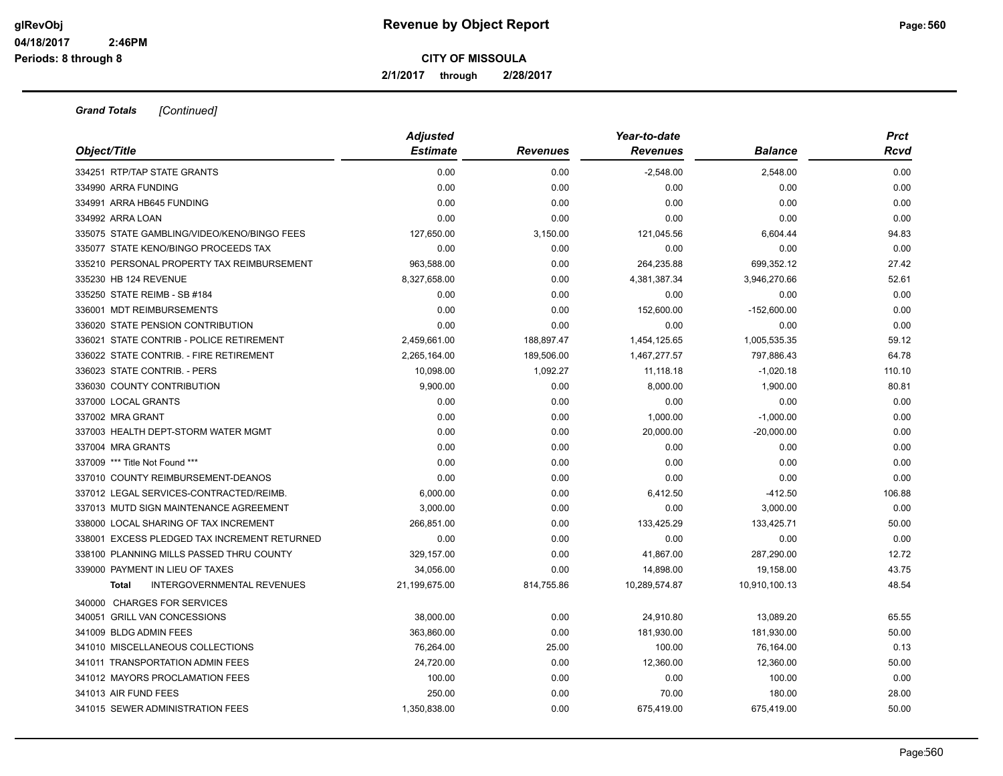**2/1/2017 through 2/28/2017**

|                                                   | <b>Adjusted</b> |                 | Year-to-date    |                | <b>Prct</b> |
|---------------------------------------------------|-----------------|-----------------|-----------------|----------------|-------------|
| Object/Title                                      | <b>Estimate</b> | <b>Revenues</b> | <b>Revenues</b> | <b>Balance</b> | Rcvd        |
| 334251 RTP/TAP STATE GRANTS                       | 0.00            | 0.00            | $-2,548.00$     | 2,548.00       | 0.00        |
| 334990 ARRA FUNDING                               | 0.00            | 0.00            | 0.00            | 0.00           | 0.00        |
| 334991 ARRA HB645 FUNDING                         | 0.00            | 0.00            | 0.00            | 0.00           | 0.00        |
| 334992 ARRA LOAN                                  | 0.00            | 0.00            | 0.00            | 0.00           | 0.00        |
| 335075 STATE GAMBLING/VIDEO/KENO/BINGO FEES       | 127,650.00      | 3,150.00        | 121,045.56      | 6,604.44       | 94.83       |
| 335077 STATE KENO/BINGO PROCEEDS TAX              | 0.00            | 0.00            | 0.00            | 0.00           | 0.00        |
| 335210 PERSONAL PROPERTY TAX REIMBURSEMENT        | 963.588.00      | 0.00            | 264,235.88      | 699.352.12     | 27.42       |
| 335230 HB 124 REVENUE                             | 8,327,658.00    | 0.00            | 4,381,387.34    | 3,946,270.66   | 52.61       |
| 335250 STATE REIMB - SB #184                      | 0.00            | 0.00            | 0.00            | 0.00           | 0.00        |
| 336001 MDT REIMBURSEMENTS                         | 0.00            | 0.00            | 152,600.00      | $-152,600.00$  | 0.00        |
| 336020 STATE PENSION CONTRIBUTION                 | 0.00            | 0.00            | 0.00            | 0.00           | 0.00        |
| 336021 STATE CONTRIB - POLICE RETIREMENT          | 2,459,661.00    | 188,897.47      | 1,454,125.65    | 1,005,535.35   | 59.12       |
| 336022 STATE CONTRIB. - FIRE RETIREMENT           | 2,265,164.00    | 189,506.00      | 1,467,277.57    | 797,886.43     | 64.78       |
| 336023 STATE CONTRIB. - PERS                      | 10,098.00       | 1,092.27        | 11,118.18       | $-1,020.18$    | 110.10      |
| 336030 COUNTY CONTRIBUTION                        | 9,900.00        | 0.00            | 8,000.00        | 1,900.00       | 80.81       |
| 337000 LOCAL GRANTS                               | 0.00            | 0.00            | 0.00            | 0.00           | 0.00        |
| 337002 MRA GRANT                                  | 0.00            | 0.00            | 1,000.00        | $-1,000.00$    | 0.00        |
| 337003 HEALTH DEPT-STORM WATER MGMT               | 0.00            | 0.00            | 20,000.00       | $-20,000.00$   | 0.00        |
| 337004 MRA GRANTS                                 | 0.00            | 0.00            | 0.00            | 0.00           | 0.00        |
| 337009 *** Title Not Found ***                    | 0.00            | 0.00            | 0.00            | 0.00           | 0.00        |
| 337010 COUNTY REIMBURSEMENT-DEANOS                | 0.00            | 0.00            | 0.00            | 0.00           | 0.00        |
| 337012 LEGAL SERVICES-CONTRACTED/REIMB.           | 6,000.00        | 0.00            | 6,412.50        | $-412.50$      | 106.88      |
| 337013 MUTD SIGN MAINTENANCE AGREEMENT            | 3,000.00        | 0.00            | 0.00            | 3,000.00       | 0.00        |
| 338000 LOCAL SHARING OF TAX INCREMENT             | 266,851.00      | 0.00            | 133,425.29      | 133,425.71     | 50.00       |
| 338001 EXCESS PLEDGED TAX INCREMENT RETURNED      | 0.00            | 0.00            | 0.00            | 0.00           | 0.00        |
| 338100 PLANNING MILLS PASSED THRU COUNTY          | 329,157.00      | 0.00            | 41,867.00       | 287,290.00     | 12.72       |
| 339000 PAYMENT IN LIEU OF TAXES                   | 34,056.00       | 0.00            | 14,898.00       | 19,158.00      | 43.75       |
| <b>INTERGOVERNMENTAL REVENUES</b><br><b>Total</b> | 21,199,675.00   | 814,755.86      | 10,289,574.87   | 10,910,100.13  | 48.54       |
| 340000 CHARGES FOR SERVICES                       |                 |                 |                 |                |             |
| 340051 GRILL VAN CONCESSIONS                      | 38,000.00       | 0.00            | 24,910.80       | 13,089.20      | 65.55       |
| 341009 BLDG ADMIN FEES                            | 363,860.00      | 0.00            | 181,930.00      | 181,930.00     | 50.00       |
| 341010 MISCELLANEOUS COLLECTIONS                  | 76,264.00       | 25.00           | 100.00          | 76,164.00      | 0.13        |
| 341011 TRANSPORTATION ADMIN FEES                  | 24,720.00       | 0.00            | 12,360.00       | 12,360.00      | 50.00       |
| 341012 MAYORS PROCLAMATION FEES                   | 100.00          | 0.00            | 0.00            | 100.00         | 0.00        |
| 341013 AIR FUND FEES                              | 250.00          | 0.00            | 70.00           | 180.00         | 28.00       |
| 341015 SEWER ADMINISTRATION FEES                  | 1,350,838.00    | 0.00            | 675,419.00      | 675,419.00     | 50.00       |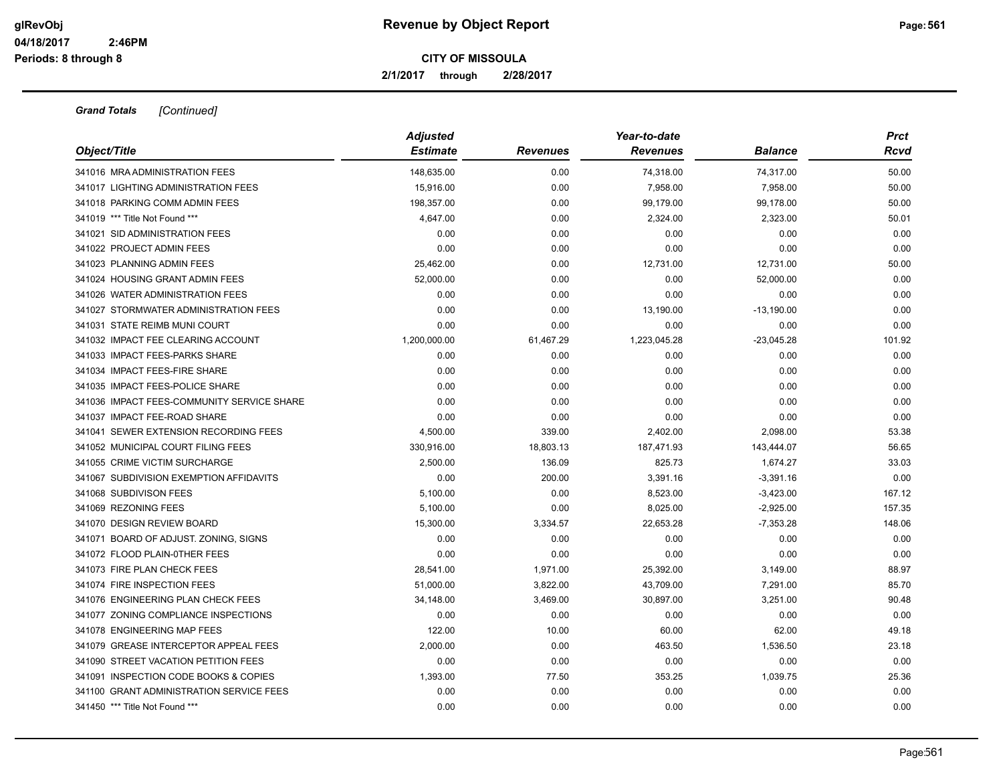**2/1/2017 through 2/28/2017**

| Object/Title                               | <b>Adjusted</b><br><b>Estimate</b> | <b>Revenues</b> | Year-to-date<br><b>Revenues</b> | <b>Balance</b> | Prct<br>Rcvd |
|--------------------------------------------|------------------------------------|-----------------|---------------------------------|----------------|--------------|
| 341016 MRA ADMINISTRATION FEES             | 148,635.00                         | 0.00            | 74,318.00                       | 74,317.00      | 50.00        |
| 341017 LIGHTING ADMINISTRATION FEES        | 15,916.00                          | 0.00            | 7,958.00                        | 7,958.00       | 50.00        |
| 341018 PARKING COMM ADMIN FEES             | 198,357.00                         | 0.00            | 99,179.00                       | 99,178.00      | 50.00        |
| 341019 *** Title Not Found ***             | 4,647.00                           | 0.00            | 2,324.00                        | 2,323.00       | 50.01        |
| 341021 SID ADMINISTRATION FEES             | 0.00                               | 0.00            | 0.00                            | 0.00           | 0.00         |
| 341022 PROJECT ADMIN FEES                  | 0.00                               | 0.00            | 0.00                            | 0.00           | 0.00         |
| 341023 PLANNING ADMIN FEES                 | 25,462.00                          | 0.00            | 12,731.00                       | 12,731.00      | 50.00        |
| 341024 HOUSING GRANT ADMIN FEES            | 52,000.00                          | 0.00            | 0.00                            | 52,000.00      | 0.00         |
| 341026 WATER ADMINISTRATION FEES           | 0.00                               | 0.00            | 0.00                            | 0.00           | 0.00         |
| 341027 STORMWATER ADMINISTRATION FEES      | 0.00                               | 0.00            | 13,190.00                       | $-13,190.00$   | 0.00         |
| 341031 STATE REIMB MUNI COURT              | 0.00                               | 0.00            | 0.00                            | 0.00           | 0.00         |
| 341032 IMPACT FEE CLEARING ACCOUNT         | 1,200,000.00                       | 61,467.29       | 1,223,045.28                    | $-23,045.28$   | 101.92       |
| 341033 IMPACT FEES-PARKS SHARE             | 0.00                               | 0.00            | 0.00                            | 0.00           | 0.00         |
| 341034 IMPACT FEES-FIRE SHARE              | 0.00                               | 0.00            | 0.00                            | 0.00           | 0.00         |
| 341035 IMPACT FEES-POLICE SHARE            | 0.00                               | 0.00            | 0.00                            | 0.00           | 0.00         |
| 341036 IMPACT FEES-COMMUNITY SERVICE SHARE | 0.00                               | 0.00            | 0.00                            | 0.00           | 0.00         |
| 341037 IMPACT FEE-ROAD SHARE               | 0.00                               | 0.00            | 0.00                            | 0.00           | 0.00         |
| 341041 SEWER EXTENSION RECORDING FEES      | 4,500.00                           | 339.00          | 2,402.00                        | 2,098.00       | 53.38        |
| 341052 MUNICIPAL COURT FILING FEES         | 330,916.00                         | 18,803.13       | 187,471.93                      | 143,444.07     | 56.65        |
| 341055 CRIME VICTIM SURCHARGE              | 2,500.00                           | 136.09          | 825.73                          | 1,674.27       | 33.03        |
| 341067 SUBDIVISION EXEMPTION AFFIDAVITS    | 0.00                               | 200.00          | 3,391.16                        | $-3,391.16$    | 0.00         |
| 341068 SUBDIVISON FEES                     | 5,100.00                           | 0.00            | 8,523.00                        | $-3,423.00$    | 167.12       |
| 341069 REZONING FEES                       | 5,100.00                           | 0.00            | 8,025.00                        | $-2,925.00$    | 157.35       |
| 341070 DESIGN REVIEW BOARD                 | 15,300.00                          | 3,334.57        | 22,653.28                       | $-7,353.28$    | 148.06       |
| 341071 BOARD OF ADJUST. ZONING, SIGNS      | 0.00                               | 0.00            | 0.00                            | 0.00           | 0.00         |
| 341072 FLOOD PLAIN-0THER FEES              | 0.00                               | 0.00            | 0.00                            | 0.00           | 0.00         |
| 341073 FIRE PLAN CHECK FEES                | 28,541.00                          | 1,971.00        | 25,392.00                       | 3,149.00       | 88.97        |
| 341074 FIRE INSPECTION FEES                | 51,000.00                          | 3,822.00        | 43,709.00                       | 7,291.00       | 85.70        |
| 341076 ENGINEERING PLAN CHECK FEES         | 34,148.00                          | 3,469.00        | 30,897.00                       | 3,251.00       | 90.48        |
| 341077 ZONING COMPLIANCE INSPECTIONS       | 0.00                               | 0.00            | 0.00                            | 0.00           | 0.00         |
| 341078 ENGINEERING MAP FEES                | 122.00                             | 10.00           | 60.00                           | 62.00          | 49.18        |
| 341079 GREASE INTERCEPTOR APPEAL FEES      | 2,000.00                           | 0.00            | 463.50                          | 1,536.50       | 23.18        |
| 341090 STREET VACATION PETITION FEES       | 0.00                               | 0.00            | 0.00                            | 0.00           | 0.00         |
| 341091 INSPECTION CODE BOOKS & COPIES      | 1,393.00                           | 77.50           | 353.25                          | 1,039.75       | 25.36        |
| 341100 GRANT ADMINISTRATION SERVICE FEES   | 0.00                               | 0.00            | 0.00                            | 0.00           | 0.00         |
| 341450 *** Title Not Found ***             | 0.00                               | 0.00            | 0.00                            | 0.00           | 0.00         |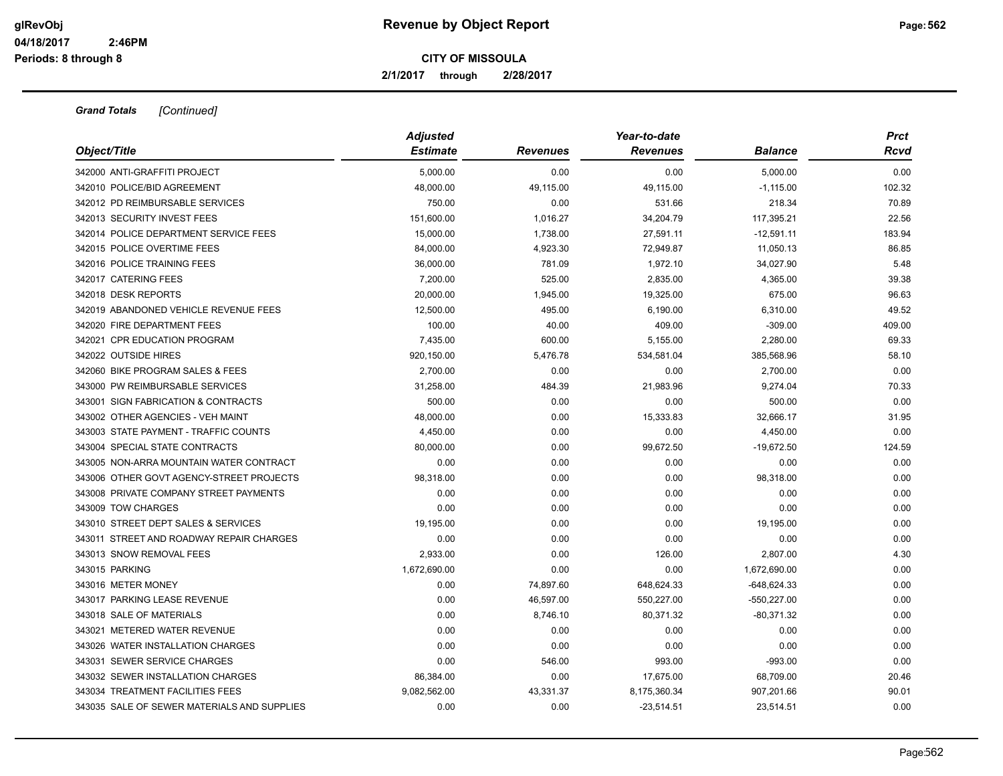**2/1/2017 through 2/28/2017**

| Object/Title                                | <b>Adjusted</b><br><b>Estimate</b> | <b>Revenues</b> | Year-to-date<br><b>Revenues</b> | <b>Balance</b> | <b>Prct</b><br>Rcvd |
|---------------------------------------------|------------------------------------|-----------------|---------------------------------|----------------|---------------------|
|                                             |                                    |                 |                                 |                |                     |
| 342000 ANTI-GRAFFITI PROJECT                | 5,000.00                           | 0.00            | 0.00                            | 5,000.00       | 0.00                |
| 342010 POLICE/BID AGREEMENT                 | 48,000.00                          | 49,115.00       | 49,115.00                       | $-1,115.00$    | 102.32              |
| 342012 PD REIMBURSABLE SERVICES             | 750.00                             | 0.00            | 531.66                          | 218.34         | 70.89               |
| 342013 SECURITY INVEST FEES                 | 151,600.00                         | 1,016.27        | 34,204.79                       | 117,395.21     | 22.56               |
| 342014 POLICE DEPARTMENT SERVICE FEES       | 15,000.00                          | 1,738.00        | 27,591.11                       | $-12,591.11$   | 183.94              |
| 342015 POLICE OVERTIME FEES                 | 84,000.00                          | 4,923.30        | 72,949.87                       | 11,050.13      | 86.85               |
| 342016 POLICE TRAINING FEES                 | 36,000.00                          | 781.09          | 1,972.10                        | 34,027.90      | 5.48                |
| 342017 CATERING FEES                        | 7,200.00                           | 525.00          | 2,835.00                        | 4,365.00       | 39.38               |
| 342018 DESK REPORTS                         | 20,000.00                          | 1,945.00        | 19,325.00                       | 675.00         | 96.63               |
| 342019 ABANDONED VEHICLE REVENUE FEES       | 12,500.00                          | 495.00          | 6,190.00                        | 6,310.00       | 49.52               |
| 342020 FIRE DEPARTMENT FEES                 | 100.00                             | 40.00           | 409.00                          | $-309.00$      | 409.00              |
| 342021 CPR EDUCATION PROGRAM                | 7,435.00                           | 600.00          | 5,155.00                        | 2,280.00       | 69.33               |
| 342022 OUTSIDE HIRES                        | 920,150.00                         | 5,476.78        | 534,581.04                      | 385,568.96     | 58.10               |
| 342060 BIKE PROGRAM SALES & FEES            | 2,700.00                           | 0.00            | 0.00                            | 2,700.00       | 0.00                |
| 343000 PW REIMBURSABLE SERVICES             | 31,258.00                          | 484.39          | 21,983.96                       | 9,274.04       | 70.33               |
| 343001 SIGN FABRICATION & CONTRACTS         | 500.00                             | 0.00            | 0.00                            | 500.00         | 0.00                |
| 343002 OTHER AGENCIES - VEH MAINT           | 48,000.00                          | 0.00            | 15,333.83                       | 32,666.17      | 31.95               |
| 343003 STATE PAYMENT - TRAFFIC COUNTS       | 4,450.00                           | 0.00            | 0.00                            | 4,450.00       | 0.00                |
| 343004 SPECIAL STATE CONTRACTS              | 80,000.00                          | 0.00            | 99,672.50                       | $-19,672.50$   | 124.59              |
| 343005 NON-ARRA MOUNTAIN WATER CONTRACT     | 0.00                               | 0.00            | 0.00                            | 0.00           | 0.00                |
| 343006 OTHER GOVT AGENCY-STREET PROJECTS    | 98,318.00                          | 0.00            | 0.00                            | 98,318.00      | 0.00                |
| 343008 PRIVATE COMPANY STREET PAYMENTS      | 0.00                               | 0.00            | 0.00                            | 0.00           | 0.00                |
| 343009 TOW CHARGES                          | 0.00                               | 0.00            | 0.00                            | 0.00           | 0.00                |
| 343010 STREET DEPT SALES & SERVICES         | 19,195.00                          | 0.00            | 0.00                            | 19,195.00      | 0.00                |
| 343011 STREET AND ROADWAY REPAIR CHARGES    | 0.00                               | 0.00            | 0.00                            | 0.00           | 0.00                |
| 343013 SNOW REMOVAL FEES                    | 2,933.00                           | 0.00            | 126.00                          | 2,807.00       | 4.30                |
| 343015 PARKING                              | 1,672,690.00                       | 0.00            | 0.00                            | 1,672,690.00   | 0.00                |
| 343016 METER MONEY                          | 0.00                               | 74,897.60       | 648,624.33                      | $-648,624.33$  | 0.00                |
| 343017 PARKING LEASE REVENUE                | 0.00                               | 46,597.00       | 550,227.00                      | $-550,227.00$  | 0.00                |
| 343018 SALE OF MATERIALS                    | 0.00                               | 8,746.10        | 80,371.32                       | $-80,371.32$   | 0.00                |
| 343021 METERED WATER REVENUE                | 0.00                               | 0.00            | 0.00                            | 0.00           | 0.00                |
| 343026 WATER INSTALLATION CHARGES           | 0.00                               | 0.00            | 0.00                            | 0.00           | 0.00                |
| 343031 SEWER SERVICE CHARGES                | 0.00                               | 546.00          | 993.00                          | $-993.00$      | 0.00                |
| 343032 SEWER INSTALLATION CHARGES           | 86,384.00                          | 0.00            | 17,675.00                       | 68,709.00      | 20.46               |
| 343034 TREATMENT FACILITIES FEES            | 9,082,562.00                       | 43,331.37       | 8,175,360.34                    | 907,201.66     | 90.01               |
| 343035 SALE OF SEWER MATERIALS AND SUPPLIES | 0.00                               | 0.00            | $-23,514.51$                    | 23,514.51      | 0.00                |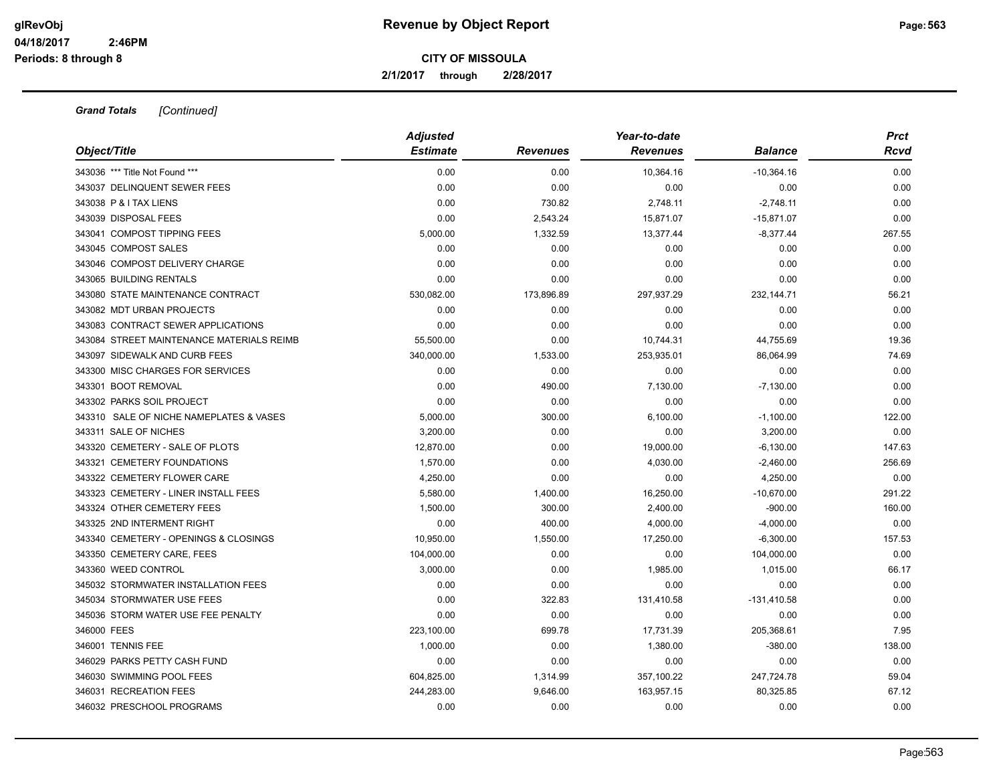**2/1/2017 through 2/28/2017**

| Object/Title                              | <b>Adjusted</b><br><b>Estimate</b> | <b>Revenues</b> | Year-to-date<br><b>Revenues</b> | <b>Balance</b> | Prct<br><b>Rcvd</b> |
|-------------------------------------------|------------------------------------|-----------------|---------------------------------|----------------|---------------------|
|                                           |                                    |                 |                                 |                |                     |
| 343036 *** Title Not Found ***            | 0.00                               | 0.00            | 10,364.16                       | $-10,364.16$   | 0.00                |
| 343037 DELINQUENT SEWER FEES              | 0.00                               | 0.00            | 0.00                            | 0.00           | 0.00                |
| 343038 P & I TAX LIENS                    | 0.00                               | 730.82          | 2,748.11                        | $-2,748.11$    | 0.00                |
| 343039 DISPOSAL FEES                      | 0.00                               | 2,543.24        | 15,871.07                       | $-15,871.07$   | 0.00                |
| 343041 COMPOST TIPPING FEES               | 5,000.00                           | 1,332.59        | 13,377.44                       | $-8,377.44$    | 267.55              |
| 343045 COMPOST SALES                      | 0.00                               | 0.00            | 0.00                            | 0.00           | 0.00                |
| 343046 COMPOST DELIVERY CHARGE            | 0.00                               | 0.00            | 0.00                            | 0.00           | 0.00                |
| 343065 BUILDING RENTALS                   | 0.00                               | 0.00            | 0.00                            | 0.00           | 0.00                |
| 343080 STATE MAINTENANCE CONTRACT         | 530,082.00                         | 173,896.89      | 297,937.29                      | 232,144.71     | 56.21               |
| 343082 MDT URBAN PROJECTS                 | 0.00                               | 0.00            | 0.00                            | 0.00           | 0.00                |
| 343083 CONTRACT SEWER APPLICATIONS        | 0.00                               | 0.00            | 0.00                            | 0.00           | 0.00                |
| 343084 STREET MAINTENANCE MATERIALS REIMB | 55,500.00                          | 0.00            | 10,744.31                       | 44,755.69      | 19.36               |
| 343097 SIDEWALK AND CURB FEES             | 340,000.00                         | 1,533.00        | 253,935.01                      | 86,064.99      | 74.69               |
| 343300 MISC CHARGES FOR SERVICES          | 0.00                               | 0.00            | 0.00                            | 0.00           | 0.00                |
| 343301 BOOT REMOVAL                       | 0.00                               | 490.00          | 7,130.00                        | $-7,130.00$    | 0.00                |
| 343302 PARKS SOIL PROJECT                 | 0.00                               | 0.00            | 0.00                            | 0.00           | 0.00                |
| 343310 SALE OF NICHE NAMEPLATES & VASES   | 5,000.00                           | 300.00          | 6,100.00                        | $-1,100.00$    | 122.00              |
| 343311 SALE OF NICHES                     | 3,200.00                           | 0.00            | 0.00                            | 3,200.00       | 0.00                |
| 343320 CEMETERY - SALE OF PLOTS           | 12,870.00                          | 0.00            | 19,000.00                       | $-6,130.00$    | 147.63              |
| 343321 CEMETERY FOUNDATIONS               | 1,570.00                           | 0.00            | 4,030.00                        | $-2,460.00$    | 256.69              |
| 343322 CEMETERY FLOWER CARE               | 4,250.00                           | 0.00            | 0.00                            | 4,250.00       | 0.00                |
| 343323 CEMETERY - LINER INSTALL FEES      | 5,580.00                           | 1,400.00        | 16,250.00                       | $-10,670.00$   | 291.22              |
| 343324 OTHER CEMETERY FEES                | 1,500.00                           | 300.00          | 2,400.00                        | $-900.00$      | 160.00              |
| 343325 2ND INTERMENT RIGHT                | 0.00                               | 400.00          | 4,000.00                        | $-4,000.00$    | 0.00                |
| 343340 CEMETERY - OPENINGS & CLOSINGS     | 10,950.00                          | 1,550.00        | 17,250.00                       | $-6,300.00$    | 157.53              |
| 343350 CEMETERY CARE, FEES                | 104,000.00                         | 0.00            | 0.00                            | 104,000.00     | 0.00                |
| 343360 WEED CONTROL                       | 3,000.00                           | 0.00            | 1,985.00                        | 1,015.00       | 66.17               |
| 345032 STORMWATER INSTALLATION FEES       | 0.00                               | 0.00            | 0.00                            | 0.00           | 0.00                |
| 345034 STORMWATER USE FEES                | 0.00                               | 322.83          | 131,410.58                      | $-131,410.58$  | 0.00                |
| 345036 STORM WATER USE FEE PENALTY        | 0.00                               | 0.00            | 0.00                            | 0.00           | 0.00                |
| 346000 FEES                               | 223,100.00                         | 699.78          | 17,731.39                       | 205,368.61     | 7.95                |
| 346001 TENNIS FEE                         | 1,000.00                           | 0.00            | 1,380.00                        | $-380.00$      | 138.00              |
| 346029 PARKS PETTY CASH FUND              | 0.00                               | 0.00            | 0.00                            | 0.00           | 0.00                |
| 346030 SWIMMING POOL FEES                 | 604,825.00                         | 1,314.99        | 357,100.22                      | 247,724.78     | 59.04               |
| 346031 RECREATION FEES                    | 244,283.00                         | 9,646.00        | 163,957.15                      | 80,325.85      | 67.12               |
| 346032 PRESCHOOL PROGRAMS                 | 0.00                               | 0.00            | 0.00                            | 0.00           | 0.00                |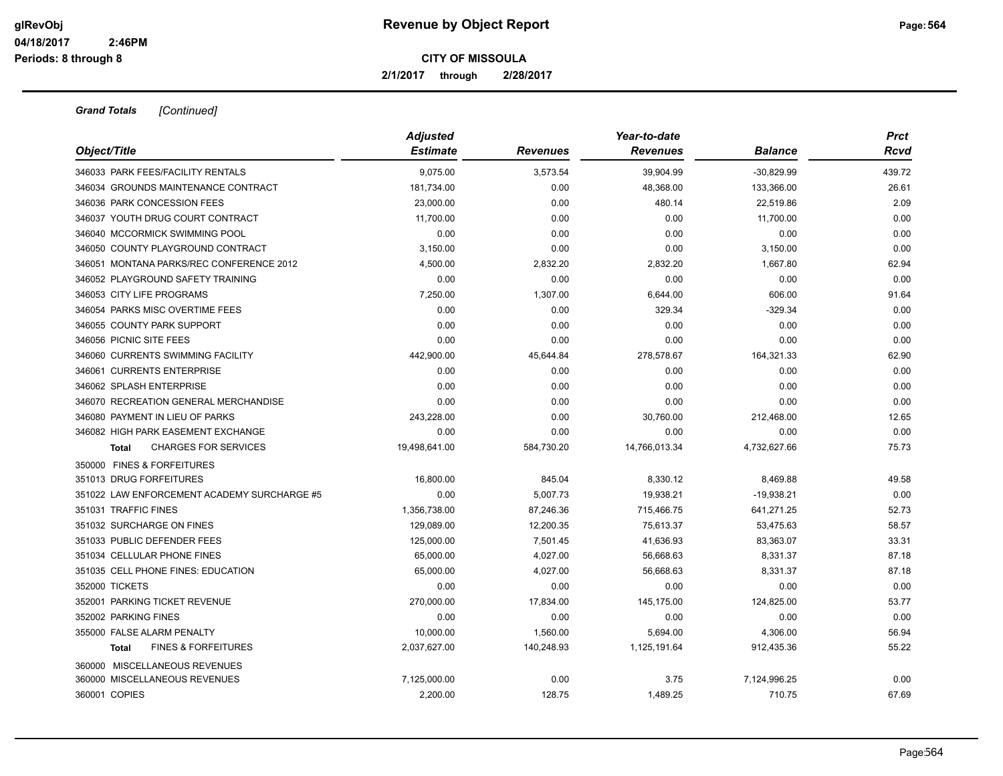**2/1/2017 through 2/28/2017**

| Object/Title                                   | <b>Adjusted</b><br><b>Estimate</b> | <b>Revenues</b> | Year-to-date<br><b>Revenues</b> | <b>Balance</b> | Prct<br><b>Rcvd</b> |
|------------------------------------------------|------------------------------------|-----------------|---------------------------------|----------------|---------------------|
| 346033 PARK FEES/FACILITY RENTALS              | 9,075.00                           | 3,573.54        | 39,904.99                       | $-30,829.99$   | 439.72              |
| 346034 GROUNDS MAINTENANCE CONTRACT            | 181,734.00                         | 0.00            | 48,368.00                       | 133,366.00     | 26.61               |
| 346036 PARK CONCESSION FEES                    | 23,000.00                          | 0.00            | 480.14                          | 22,519.86      | 2.09                |
| 346037 YOUTH DRUG COURT CONTRACT               | 11,700.00                          | 0.00            | 0.00                            | 11,700.00      | 0.00                |
| 346040 MCCORMICK SWIMMING POOL                 | 0.00                               | 0.00            | 0.00                            | 0.00           | 0.00                |
| 346050 COUNTY PLAYGROUND CONTRACT              | 3,150.00                           | 0.00            | 0.00                            | 3,150.00       | 0.00                |
| 346051 MONTANA PARKS/REC CONFERENCE 2012       | 4.500.00                           | 2.832.20        | 2.832.20                        | 1,667.80       | 62.94               |
| 346052 PLAYGROUND SAFETY TRAINING              | 0.00                               | 0.00            | 0.00                            | 0.00           | 0.00                |
| 346053 CITY LIFE PROGRAMS                      | 7,250.00                           | 1,307.00        | 6,644.00                        | 606.00         | 91.64               |
| 346054 PARKS MISC OVERTIME FEES                | 0.00                               | 0.00            | 329.34                          | $-329.34$      | 0.00                |
| 346055 COUNTY PARK SUPPORT                     | 0.00                               | 0.00            | 0.00                            | 0.00           | 0.00                |
| 346056 PICNIC SITE FEES                        | 0.00                               | 0.00            | 0.00                            | 0.00           | 0.00                |
| 346060 CURRENTS SWIMMING FACILITY              | 442,900.00                         | 45,644.84       | 278,578.67                      | 164,321.33     | 62.90               |
| 346061 CURRENTS ENTERPRISE                     | 0.00                               | 0.00            | 0.00                            | 0.00           | 0.00                |
| 346062 SPLASH ENTERPRISE                       | 0.00                               | 0.00            | 0.00                            | 0.00           | 0.00                |
| 346070 RECREATION GENERAL MERCHANDISE          | 0.00                               | 0.00            | 0.00                            | 0.00           | 0.00                |
| 346080 PAYMENT IN LIEU OF PARKS                | 243,228.00                         | 0.00            | 30,760.00                       | 212,468.00     | 12.65               |
| 346082 HIGH PARK EASEMENT EXCHANGE             | 0.00                               | 0.00            | 0.00                            | 0.00           | 0.00                |
| <b>CHARGES FOR SERVICES</b><br><b>Total</b>    | 19,498,641.00                      | 584,730.20      | 14,766,013.34                   | 4,732,627.66   | 75.73               |
| 350000 FINES & FORFEITURES                     |                                    |                 |                                 |                |                     |
| 351013 DRUG FORFEITURES                        | 16.800.00                          | 845.04          | 8.330.12                        | 8,469.88       | 49.58               |
| 351022 LAW ENFORCEMENT ACADEMY SURCHARGE #5    | 0.00                               | 5,007.73        | 19,938.21                       | $-19,938.21$   | 0.00                |
| 351031 TRAFFIC FINES                           | 1,356,738.00                       | 87,246.36       | 715,466.75                      | 641,271.25     | 52.73               |
| 351032 SURCHARGE ON FINES                      | 129,089.00                         | 12,200.35       | 75,613.37                       | 53,475.63      | 58.57               |
| 351033 PUBLIC DEFENDER FEES                    | 125,000.00                         | 7,501.45        | 41,636.93                       | 83,363.07      | 33.31               |
| 351034 CELLULAR PHONE FINES                    | 65.000.00                          | 4,027.00        | 56,668.63                       | 8,331.37       | 87.18               |
| 351035 CELL PHONE FINES: EDUCATION             | 65,000.00                          | 4,027.00        | 56,668.63                       | 8,331.37       | 87.18               |
| 352000 TICKETS                                 | 0.00                               | 0.00            | 0.00                            | 0.00           | 0.00                |
| 352001 PARKING TICKET REVENUE                  | 270,000.00                         | 17,834.00       | 145,175.00                      | 124,825.00     | 53.77               |
| 352002 PARKING FINES                           | 0.00                               | 0.00            | 0.00                            | 0.00           | 0.00                |
| 355000 FALSE ALARM PENALTY                     | 10,000.00                          | 1,560.00        | 5,694.00                        | 4,306.00       | 56.94               |
| <b>FINES &amp; FORFEITURES</b><br><b>Total</b> | 2,037,627.00                       | 140,248.93      | 1,125,191.64                    | 912,435.36     | 55.22               |
| 360000 MISCELLANEOUS REVENUES                  |                                    |                 |                                 |                |                     |
| 360000 MISCELLANEOUS REVENUES                  | 7,125,000.00                       | 0.00            | 3.75                            | 7,124,996.25   | 0.00                |
| 360001 COPIES                                  | 2.200.00                           | 128.75          | 1,489.25                        | 710.75         | 67.69               |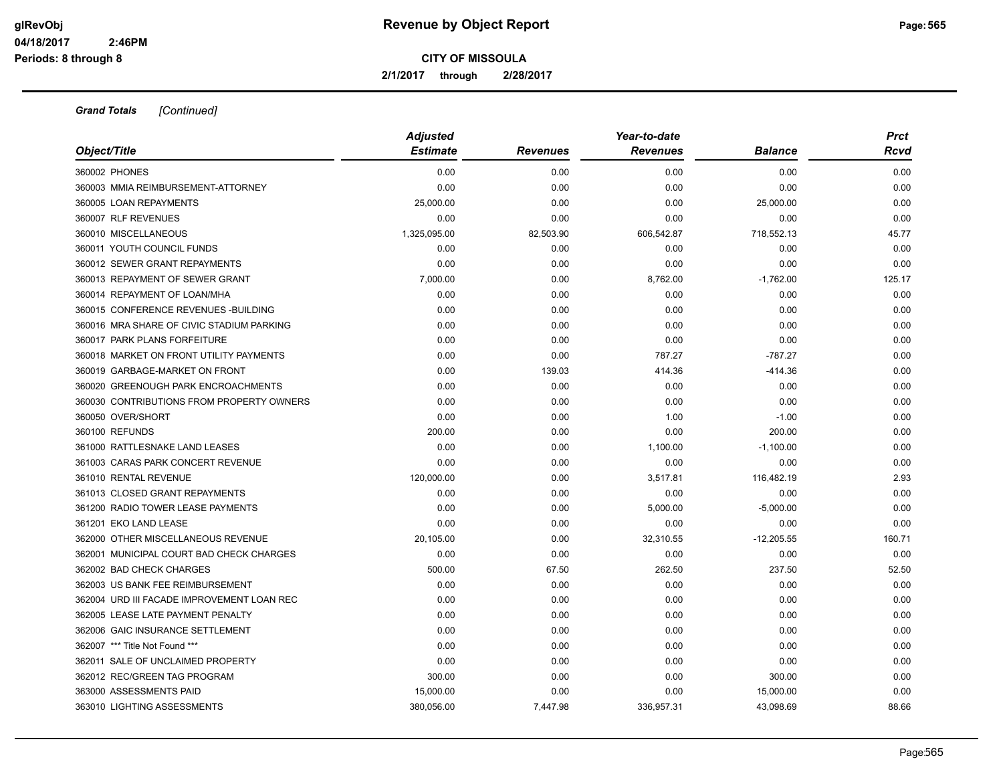**2/1/2017 through 2/28/2017**

| Object/Title                               | <b>Adjusted</b><br><b>Estimate</b> | <b>Revenues</b> | Year-to-date<br><b>Revenues</b> | <b>Balance</b> | <b>Prct</b><br><b>Rcvd</b> |
|--------------------------------------------|------------------------------------|-----------------|---------------------------------|----------------|----------------------------|
|                                            |                                    |                 |                                 |                |                            |
| 360002 PHONES                              | 0.00                               | 0.00            | 0.00                            | 0.00           | 0.00                       |
| 360003 MMIA REIMBURSEMENT-ATTORNEY         | 0.00                               | 0.00            | 0.00                            | 0.00           | 0.00                       |
| 360005 LOAN REPAYMENTS                     | 25,000.00                          | 0.00            | 0.00                            | 25,000.00      | 0.00                       |
| 360007 RLF REVENUES                        | 0.00                               | 0.00            | 0.00                            | 0.00           | 0.00                       |
| 360010 MISCELLANEOUS                       | 1,325,095.00                       | 82,503.90       | 606,542.87                      | 718,552.13     | 45.77                      |
| 360011 YOUTH COUNCIL FUNDS                 | 0.00                               | 0.00            | 0.00                            | 0.00           | 0.00                       |
| 360012 SEWER GRANT REPAYMENTS              | 0.00                               | 0.00            | 0.00                            | 0.00           | 0.00                       |
| 360013 REPAYMENT OF SEWER GRANT            | 7,000.00                           | 0.00            | 8,762.00                        | $-1,762.00$    | 125.17                     |
| 360014 REPAYMENT OF LOAN/MHA               | 0.00                               | 0.00            | 0.00                            | 0.00           | 0.00                       |
| 360015 CONFERENCE REVENUES - BUILDING      | 0.00                               | 0.00            | 0.00                            | 0.00           | 0.00                       |
| 360016 MRA SHARE OF CIVIC STADIUM PARKING  | 0.00                               | 0.00            | 0.00                            | 0.00           | 0.00                       |
| 360017 PARK PLANS FORFEITURE               | 0.00                               | 0.00            | 0.00                            | 0.00           | 0.00                       |
| 360018 MARKET ON FRONT UTILITY PAYMENTS    | 0.00                               | 0.00            | 787.27                          | $-787.27$      | 0.00                       |
| 360019 GARBAGE-MARKET ON FRONT             | 0.00                               | 139.03          | 414.36                          | $-414.36$      | 0.00                       |
| 360020 GREENOUGH PARK ENCROACHMENTS        | 0.00                               | 0.00            | 0.00                            | 0.00           | 0.00                       |
| 360030 CONTRIBUTIONS FROM PROPERTY OWNERS  | 0.00                               | 0.00            | 0.00                            | 0.00           | 0.00                       |
| 360050 OVER/SHORT                          | 0.00                               | 0.00            | 1.00                            | $-1.00$        | 0.00                       |
| 360100 REFUNDS                             | 200.00                             | 0.00            | 0.00                            | 200.00         | 0.00                       |
| 361000 RATTLESNAKE LAND LEASES             | 0.00                               | 0.00            | 1,100.00                        | $-1,100.00$    | 0.00                       |
| 361003 CARAS PARK CONCERT REVENUE          | 0.00                               | 0.00            | 0.00                            | 0.00           | 0.00                       |
| 361010 RENTAL REVENUE                      | 120,000.00                         | 0.00            | 3,517.81                        | 116,482.19     | 2.93                       |
| 361013 CLOSED GRANT REPAYMENTS             | 0.00                               | 0.00            | 0.00                            | 0.00           | 0.00                       |
| 361200 RADIO TOWER LEASE PAYMENTS          | 0.00                               | 0.00            | 5,000.00                        | $-5,000.00$    | 0.00                       |
| 361201 EKO LAND LEASE                      | 0.00                               | 0.00            | 0.00                            | 0.00           | 0.00                       |
| 362000 OTHER MISCELLANEOUS REVENUE         | 20,105.00                          | 0.00            | 32,310.55                       | $-12,205.55$   | 160.71                     |
| 362001 MUNICIPAL COURT BAD CHECK CHARGES   | 0.00                               | 0.00            | 0.00                            | 0.00           | 0.00                       |
| 362002 BAD CHECK CHARGES                   | 500.00                             | 67.50           | 262.50                          | 237.50         | 52.50                      |
| 362003 US BANK FEE REIMBURSEMENT           | 0.00                               | 0.00            | 0.00                            | 0.00           | 0.00                       |
| 362004 URD III FACADE IMPROVEMENT LOAN REC | 0.00                               | 0.00            | 0.00                            | 0.00           | 0.00                       |
| 362005 LEASE LATE PAYMENT PENALTY          | 0.00                               | 0.00            | 0.00                            | 0.00           | 0.00                       |
| 362006 GAIC INSURANCE SETTLEMENT           | 0.00                               | 0.00            | 0.00                            | 0.00           | 0.00                       |
| 362007 *** Title Not Found ***             | 0.00                               | 0.00            | 0.00                            | 0.00           | 0.00                       |
| 362011 SALE OF UNCLAIMED PROPERTY          | 0.00                               | 0.00            | 0.00                            | 0.00           | 0.00                       |
| 362012 REC/GREEN TAG PROGRAM               | 300.00                             | 0.00            | 0.00                            | 300.00         | 0.00                       |
| 363000 ASSESSMENTS PAID                    | 15,000.00                          | 0.00            | 0.00                            | 15,000.00      | 0.00                       |
| 363010 LIGHTING ASSESSMENTS                | 380,056.00                         | 7,447.98        | 336.957.31                      | 43,098.69      | 88.66                      |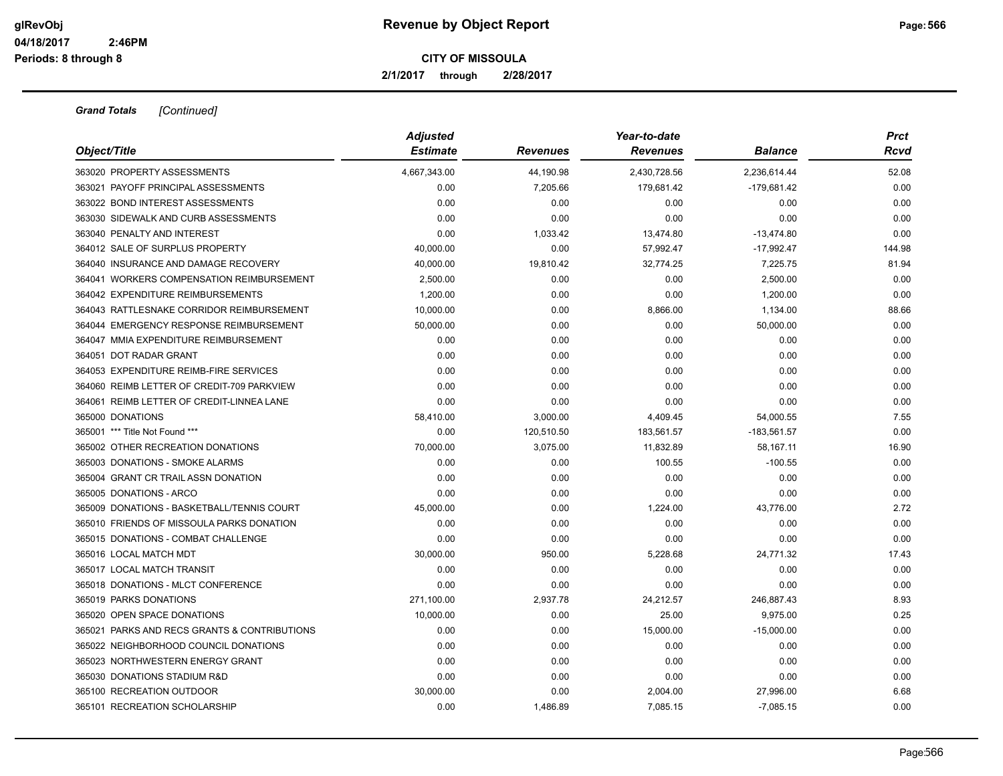**2/1/2017 through 2/28/2017**

| Object/Title                                 | <b>Adjusted</b><br><b>Estimate</b> | <b>Revenues</b> | Year-to-date<br><b>Revenues</b> | <b>Balance</b> | <b>Prct</b><br>Rcvd |
|----------------------------------------------|------------------------------------|-----------------|---------------------------------|----------------|---------------------|
| 363020 PROPERTY ASSESSMENTS                  | 4,667,343.00                       | 44,190.98       | 2,430,728.56                    | 2,236,614.44   | 52.08               |
| 363021 PAYOFF PRINCIPAL ASSESSMENTS          | 0.00                               | 7,205.66        | 179,681.42                      | $-179,681.42$  | 0.00                |
| 363022 BOND INTEREST ASSESSMENTS             | 0.00                               | 0.00            | 0.00                            | 0.00           | 0.00                |
| 363030 SIDEWALK AND CURB ASSESSMENTS         | 0.00                               | 0.00            | 0.00                            | 0.00           | 0.00                |
| 363040 PENALTY AND INTEREST                  | 0.00                               | 1,033.42        | 13,474.80                       | $-13,474.80$   | 0.00                |
| 364012 SALE OF SURPLUS PROPERTY              | 40,000.00                          | 0.00            | 57,992.47                       | $-17,992.47$   | 144.98              |
| 364040 INSURANCE AND DAMAGE RECOVERY         | 40,000.00                          | 19,810.42       | 32,774.25                       | 7,225.75       | 81.94               |
| 364041 WORKERS COMPENSATION REIMBURSEMENT    | 2,500.00                           | 0.00            | 0.00                            | 2,500.00       | 0.00                |
| 364042 EXPENDITURE REIMBURSEMENTS            | 1,200.00                           | 0.00            | 0.00                            | 1,200.00       | 0.00                |
| 364043 RATTLESNAKE CORRIDOR REIMBURSEMENT    | 10,000.00                          | 0.00            | 8,866.00                        | 1,134.00       | 88.66               |
| 364044 EMERGENCY RESPONSE REIMBURSEMENT      | 50,000.00                          | 0.00            | 0.00                            | 50,000.00      | 0.00                |
| 364047 MMIA EXPENDITURE REIMBURSEMENT        | 0.00                               | 0.00            | 0.00                            | 0.00           | 0.00                |
| 364051 DOT RADAR GRANT                       | 0.00                               | 0.00            | 0.00                            | 0.00           | 0.00                |
| 364053 EXPENDITURE REIMB-FIRE SERVICES       | 0.00                               | 0.00            | 0.00                            | 0.00           | 0.00                |
| 364060 REIMB LETTER OF CREDIT-709 PARKVIEW   | 0.00                               | 0.00            | 0.00                            | 0.00           | 0.00                |
| 364061 REIMB LETTER OF CREDIT-LINNEA LANE    | 0.00                               | 0.00            | 0.00                            | 0.00           | 0.00                |
| 365000 DONATIONS                             | 58,410.00                          | 3,000.00        | 4,409.45                        | 54,000.55      | 7.55                |
| 365001 *** Title Not Found ***               | 0.00                               | 120,510.50      | 183,561.57                      | $-183,561.57$  | 0.00                |
| 365002 OTHER RECREATION DONATIONS            | 70,000.00                          | 3,075.00        | 11,832.89                       | 58,167.11      | 16.90               |
| 365003 DONATIONS - SMOKE ALARMS              | 0.00                               | 0.00            | 100.55                          | $-100.55$      | 0.00                |
| 365004 GRANT CR TRAIL ASSN DONATION          | 0.00                               | 0.00            | 0.00                            | 0.00           | 0.00                |
| 365005 DONATIONS - ARCO                      | 0.00                               | 0.00            | 0.00                            | 0.00           | 0.00                |
| 365009 DONATIONS - BASKETBALL/TENNIS COURT   | 45,000.00                          | 0.00            | 1,224.00                        | 43,776.00      | 2.72                |
| 365010 FRIENDS OF MISSOULA PARKS DONATION    | 0.00                               | 0.00            | 0.00                            | 0.00           | 0.00                |
| 365015 DONATIONS - COMBAT CHALLENGE          | 0.00                               | 0.00            | 0.00                            | 0.00           | 0.00                |
| 365016 LOCAL MATCH MDT                       | 30.000.00                          | 950.00          | 5,228.68                        | 24.771.32      | 17.43               |
| 365017 LOCAL MATCH TRANSIT                   | 0.00                               | 0.00            | 0.00                            | 0.00           | 0.00                |
| 365018 DONATIONS - MLCT CONFERENCE           | 0.00                               | 0.00            | 0.00                            | 0.00           | 0.00                |
| 365019 PARKS DONATIONS                       | 271,100.00                         | 2,937.78        | 24,212.57                       | 246,887.43     | 8.93                |
| 365020 OPEN SPACE DONATIONS                  | 10,000.00                          | 0.00            | 25.00                           | 9,975.00       | 0.25                |
| 365021 PARKS AND RECS GRANTS & CONTRIBUTIONS | 0.00                               | 0.00            | 15,000.00                       | $-15,000.00$   | 0.00                |
| 365022 NEIGHBORHOOD COUNCIL DONATIONS        | 0.00                               | 0.00            | 0.00                            | 0.00           | 0.00                |
| 365023 NORTHWESTERN ENERGY GRANT             | 0.00                               | 0.00            | 0.00                            | 0.00           | 0.00                |
| 365030 DONATIONS STADIUM R&D                 | 0.00                               | 0.00            | 0.00                            | 0.00           | 0.00                |
| 365100 RECREATION OUTDOOR                    | 30,000.00                          | 0.00            | 2,004.00                        | 27,996.00      | 6.68                |
| 365101 RECREATION SCHOLARSHIP                | 0.00                               | 1,486.89        | 7.085.15                        | $-7.085.15$    | 0.00                |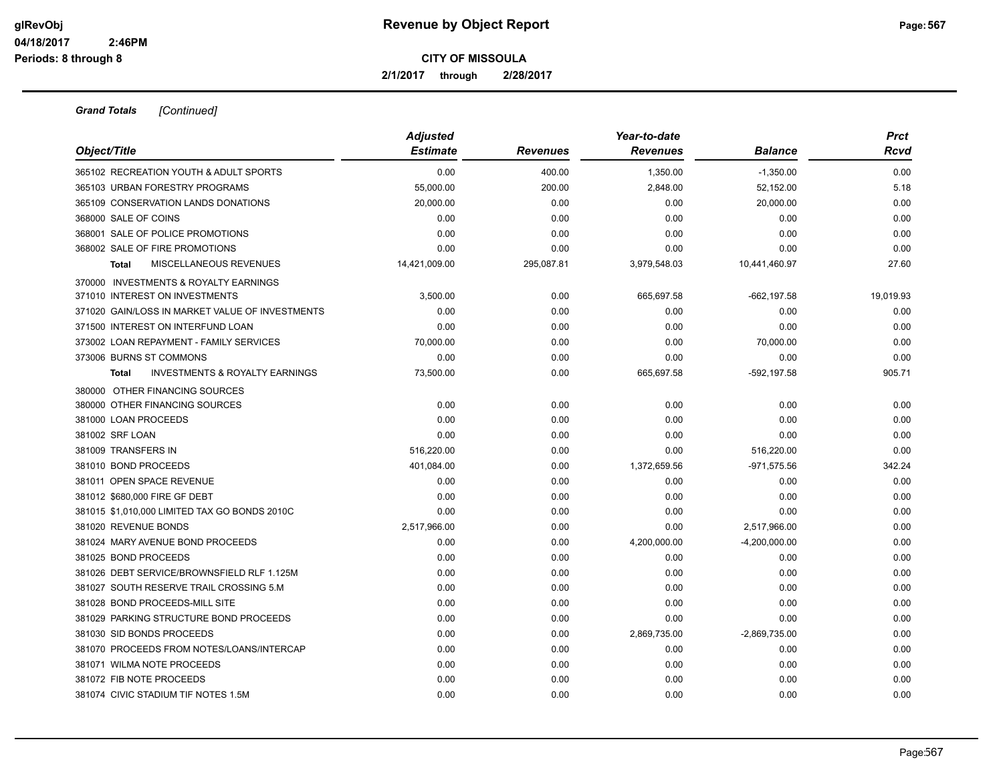**2/1/2017 through 2/28/2017**

| Object/Title                                              | <b>Adjusted</b><br><b>Estimate</b> | <b>Revenues</b> | Year-to-date<br><b>Revenues</b> | <b>Balance</b>  | <b>Prct</b><br><b>Rcvd</b> |
|-----------------------------------------------------------|------------------------------------|-----------------|---------------------------------|-----------------|----------------------------|
| 365102 RECREATION YOUTH & ADULT SPORTS                    | 0.00                               | 400.00          | 1,350.00                        | $-1,350.00$     | 0.00                       |
| 365103 URBAN FORESTRY PROGRAMS                            | 55,000.00                          | 200.00          | 2,848.00                        | 52,152.00       | 5.18                       |
| 365109 CONSERVATION LANDS DONATIONS                       | 20,000.00                          | 0.00            | 0.00                            | 20,000.00       | 0.00                       |
| 368000 SALE OF COINS                                      | 0.00                               | 0.00            | 0.00                            | 0.00            | 0.00                       |
| 368001 SALE OF POLICE PROMOTIONS                          | 0.00                               | 0.00            | 0.00                            | 0.00            | 0.00                       |
| 368002 SALE OF FIRE PROMOTIONS                            | 0.00                               | 0.00            | 0.00                            | 0.00            | 0.00                       |
| <b>Total</b><br>MISCELLANEOUS REVENUES                    | 14,421,009.00                      | 295,087.81      | 3,979,548.03                    | 10,441,460.97   | 27.60                      |
| 370000 INVESTMENTS & ROYALTY EARNINGS                     |                                    |                 |                                 |                 |                            |
| 371010 INTEREST ON INVESTMENTS                            | 3,500.00                           | 0.00            | 665,697.58                      | $-662, 197.58$  | 19,019.93                  |
| 371020 GAIN/LOSS IN MARKET VALUE OF INVESTMENTS           | 0.00                               | 0.00            | 0.00                            | 0.00            | 0.00                       |
| 371500 INTEREST ON INTERFUND LOAN                         | 0.00                               | 0.00            | 0.00                            | 0.00            | 0.00                       |
| 373002 LOAN REPAYMENT - FAMILY SERVICES                   | 70,000.00                          | 0.00            | 0.00                            | 70,000.00       | 0.00                       |
| 373006 BURNS ST COMMONS                                   | 0.00                               | 0.00            | 0.00                            | 0.00            | 0.00                       |
| <b>INVESTMENTS &amp; ROYALTY EARNINGS</b><br><b>Total</b> | 73,500.00                          | 0.00            | 665,697.58                      | $-592, 197.58$  | 905.71                     |
| 380000 OTHER FINANCING SOURCES                            |                                    |                 |                                 |                 |                            |
| 380000 OTHER FINANCING SOURCES                            | 0.00                               | 0.00            | 0.00                            | 0.00            | 0.00                       |
| 381000 LOAN PROCEEDS                                      | 0.00                               | 0.00            | 0.00                            | 0.00            | 0.00                       |
| 381002 SRF LOAN                                           | 0.00                               | 0.00            | 0.00                            | 0.00            | 0.00                       |
| 381009 TRANSFERS IN                                       | 516,220.00                         | 0.00            | 0.00                            | 516,220.00      | 0.00                       |
| 381010 BOND PROCEEDS                                      | 401,084.00                         | 0.00            | 1,372,659.56                    | $-971,575.56$   | 342.24                     |
| 381011 OPEN SPACE REVENUE                                 | 0.00                               | 0.00            | 0.00                            | 0.00            | 0.00                       |
| 381012 \$680,000 FIRE GF DEBT                             | 0.00                               | 0.00            | 0.00                            | 0.00            | 0.00                       |
| 381015 \$1,010,000 LIMITED TAX GO BONDS 2010C             | 0.00                               | 0.00            | 0.00                            | 0.00            | 0.00                       |
| 381020 REVENUE BONDS                                      | 2,517,966.00                       | 0.00            | 0.00                            | 2,517,966.00    | 0.00                       |
| 381024 MARY AVENUE BOND PROCEEDS                          | 0.00                               | 0.00            | 4,200,000.00                    | $-4,200,000.00$ | 0.00                       |
| 381025 BOND PROCEEDS                                      | 0.00                               | 0.00            | 0.00                            | 0.00            | 0.00                       |
| 381026 DEBT SERVICE/BROWNSFIELD RLF 1.125M                | 0.00                               | 0.00            | 0.00                            | 0.00            | 0.00                       |
| 381027 SOUTH RESERVE TRAIL CROSSING 5.M                   | 0.00                               | 0.00            | 0.00                            | 0.00            | 0.00                       |
| 381028 BOND PROCEEDS-MILL SITE                            | 0.00                               | 0.00            | 0.00                            | 0.00            | 0.00                       |
| 381029 PARKING STRUCTURE BOND PROCEEDS                    | 0.00                               | 0.00            | 0.00                            | 0.00            | 0.00                       |
| 381030 SID BONDS PROCEEDS                                 | 0.00                               | 0.00            | 2,869,735.00                    | $-2,869,735.00$ | 0.00                       |
| 381070 PROCEEDS FROM NOTES/LOANS/INTERCAP                 | 0.00                               | 0.00            | 0.00                            | 0.00            | 0.00                       |
| 381071 WILMA NOTE PROCEEDS                                | 0.00                               | 0.00            | 0.00                            | 0.00            | 0.00                       |
| 381072 FIB NOTE PROCEEDS                                  | 0.00                               | 0.00            | 0.00                            | 0.00            | 0.00                       |
| 381074 CIVIC STADIUM TIF NOTES 1.5M                       | 0.00                               | 0.00            | 0.00                            | 0.00            | 0.00                       |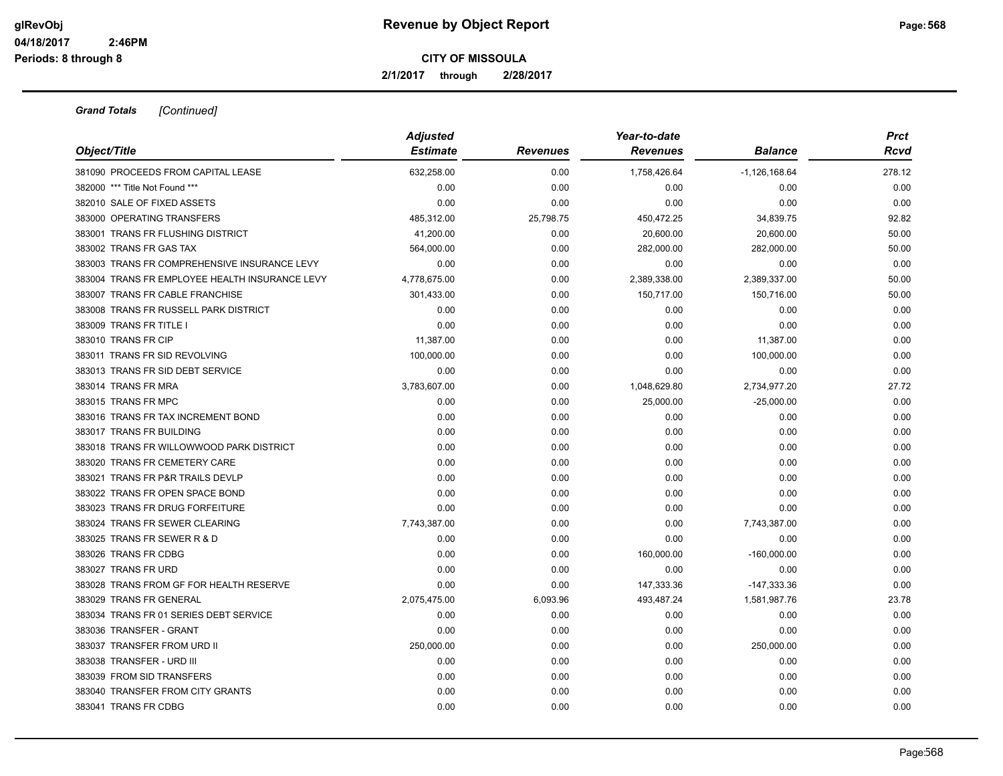**2/1/2017 through 2/28/2017**

| Object/Title                                   | <b>Adjusted</b><br><b>Estimate</b> | <b>Revenues</b> | Year-to-date<br><b>Revenues</b> | <b>Balance</b>    | <b>Prct</b><br><b>Rcvd</b> |
|------------------------------------------------|------------------------------------|-----------------|---------------------------------|-------------------|----------------------------|
| 381090 PROCEEDS FROM CAPITAL LEASE             | 632.258.00                         | 0.00            | 1,758,426.64                    | $-1, 126, 168.64$ | 278.12                     |
| 382000 *** Title Not Found ***                 | 0.00                               | 0.00            | 0.00                            | 0.00              | 0.00                       |
| 382010 SALE OF FIXED ASSETS                    | 0.00                               | 0.00            | 0.00                            | 0.00              | 0.00                       |
| 383000 OPERATING TRANSFERS                     | 485,312.00                         | 25,798.75       | 450,472.25                      | 34,839.75         | 92.82                      |
| 383001 TRANS FR FLUSHING DISTRICT              | 41,200.00                          | 0.00            | 20,600.00                       | 20,600.00         | 50.00                      |
| 383002 TRANS FR GAS TAX                        | 564,000.00                         | 0.00            | 282,000.00                      | 282,000.00        | 50.00                      |
| 383003 TRANS FR COMPREHENSIVE INSURANCE LEVY   | 0.00                               | 0.00            | 0.00                            | 0.00              | 0.00                       |
| 383004 TRANS FR EMPLOYEE HEALTH INSURANCE LEVY | 4,778,675.00                       | 0.00            | 2,389,338.00                    | 2,389,337.00      | 50.00                      |
| 383007 TRANS FR CABLE FRANCHISE                | 301,433.00                         | 0.00            | 150,717.00                      | 150,716.00        | 50.00                      |
| 383008 TRANS FR RUSSELL PARK DISTRICT          | 0.00                               | 0.00            | 0.00                            | 0.00              | 0.00                       |
| 383009 TRANS FR TITLE I                        | 0.00                               | 0.00            | 0.00                            | 0.00              | 0.00                       |
| 383010 TRANS FR CIP                            | 11,387.00                          | 0.00            | 0.00                            | 11,387.00         | 0.00                       |
| 383011 TRANS FR SID REVOLVING                  | 100,000.00                         | 0.00            | 0.00                            | 100,000.00        | 0.00                       |
| 383013 TRANS FR SID DEBT SERVICE               | 0.00                               | 0.00            | 0.00                            | 0.00              | 0.00                       |
| 383014 TRANS FR MRA                            | 3,783,607.00                       | 0.00            | 1,048,629.80                    | 2,734,977.20      | 27.72                      |
| 383015 TRANS FR MPC                            | 0.00                               | 0.00            | 25,000.00                       | $-25,000.00$      | 0.00                       |
| 383016 TRANS FR TAX INCREMENT BOND             | 0.00                               | 0.00            | 0.00                            | 0.00              | 0.00                       |
| 383017 TRANS FR BUILDING                       | 0.00                               | 0.00            | 0.00                            | 0.00              | 0.00                       |
| 383018 TRANS FR WILLOWWOOD PARK DISTRICT       | 0.00                               | 0.00            | 0.00                            | 0.00              | 0.00                       |
| 383020 TRANS FR CEMETERY CARE                  | 0.00                               | 0.00            | 0.00                            | 0.00              | 0.00                       |
| 383021 TRANS FR P&R TRAILS DEVLP               | 0.00                               | 0.00            | 0.00                            | 0.00              | 0.00                       |
| 383022 TRANS FR OPEN SPACE BOND                | 0.00                               | 0.00            | 0.00                            | 0.00              | 0.00                       |
| 383023 TRANS FR DRUG FORFEITURE                | 0.00                               | 0.00            | 0.00                            | 0.00              | 0.00                       |
| 383024 TRANS FR SEWER CLEARING                 | 7,743,387.00                       | 0.00            | 0.00                            | 7,743,387.00      | 0.00                       |
| 383025 TRANS FR SEWER R & D                    | 0.00                               | 0.00            | 0.00                            | 0.00              | 0.00                       |
| 383026 TRANS FR CDBG                           | 0.00                               | 0.00            | 160,000.00                      | $-160,000.00$     | 0.00                       |
| 383027 TRANS FR URD                            | 0.00                               | 0.00            | 0.00                            | 0.00              | 0.00                       |
| 383028 TRANS FROM GF FOR HEALTH RESERVE        | 0.00                               | 0.00            | 147,333.36                      | $-147,333.36$     | 0.00                       |
| 383029 TRANS FR GENERAL                        | 2,075,475.00                       | 6,093.96        | 493,487.24                      | 1,581,987.76      | 23.78                      |
| 383034 TRANS FR 01 SERIES DEBT SERVICE         | 0.00                               | 0.00            | 0.00                            | 0.00              | 0.00                       |
| 383036 TRANSFER - GRANT                        | 0.00                               | 0.00            | 0.00                            | 0.00              | 0.00                       |
| 383037 TRANSFER FROM URD II                    | 250,000.00                         | 0.00            | 0.00                            | 250,000.00        | 0.00                       |
| 383038 TRANSFER - URD III                      | 0.00                               | 0.00            | 0.00                            | 0.00              | 0.00                       |
| 383039 FROM SID TRANSFERS                      | 0.00                               | 0.00            | 0.00                            | 0.00              | 0.00                       |
| 383040 TRANSFER FROM CITY GRANTS               | 0.00                               | 0.00            | 0.00                            | 0.00              | 0.00                       |
| 383041 TRANS FR CDBG                           | 0.00                               | 0.00            | 0.00                            | 0.00              | 0.00                       |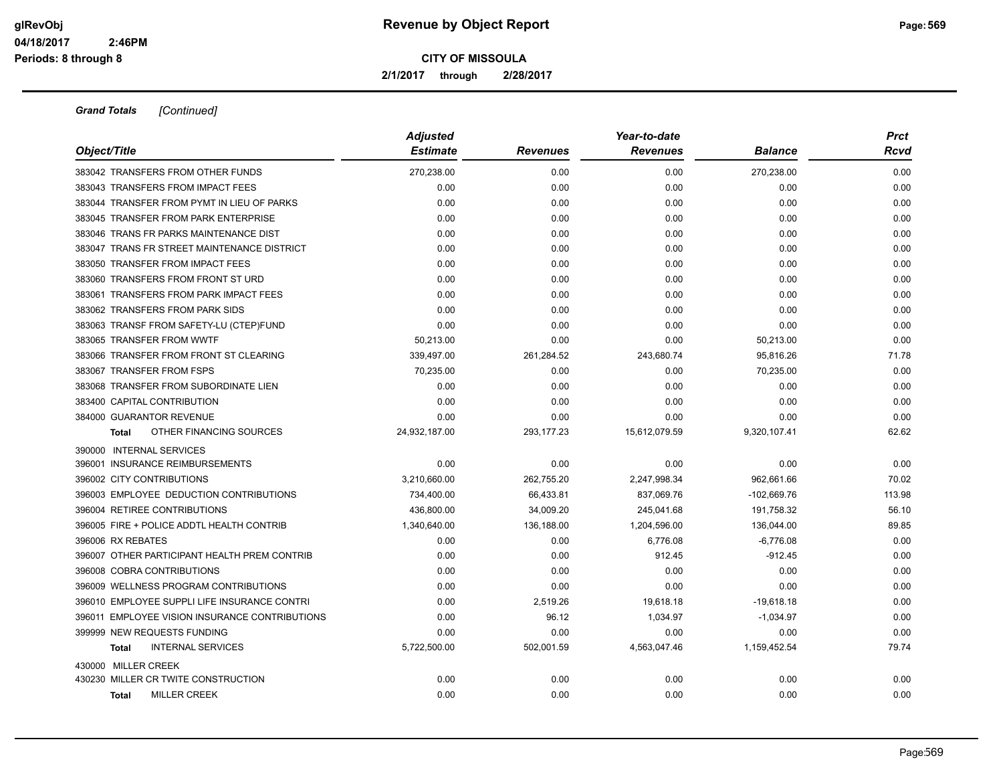**2/1/2017 through 2/28/2017**

| Object/Title                                   | <b>Adjusted</b> |                 | Year-to-date    |                | Prct        |
|------------------------------------------------|-----------------|-----------------|-----------------|----------------|-------------|
|                                                | <b>Estimate</b> | <b>Revenues</b> | <b>Revenues</b> | <b>Balance</b> | <b>Rcvd</b> |
| 383042 TRANSFERS FROM OTHER FUNDS              | 270,238.00      | 0.00            | 0.00            | 270,238.00     | 0.00        |
| 383043 TRANSFERS FROM IMPACT FEES              | 0.00            | 0.00            | 0.00            | 0.00           | 0.00        |
| 383044 TRANSFER FROM PYMT IN LIEU OF PARKS     | 0.00            | 0.00            | 0.00            | 0.00           | 0.00        |
| 383045 TRANSFER FROM PARK ENTERPRISE           | 0.00            | 0.00            | 0.00            | 0.00           | 0.00        |
| 383046 TRANS FR PARKS MAINTENANCE DIST         | 0.00            | 0.00            | 0.00            | 0.00           | 0.00        |
| 383047 TRANS FR STREET MAINTENANCE DISTRICT    | 0.00            | 0.00            | 0.00            | 0.00           | 0.00        |
| 383050 TRANSFER FROM IMPACT FEES               | 0.00            | 0.00            | 0.00            | 0.00           | 0.00        |
| 383060 TRANSFERS FROM FRONT ST URD             | 0.00            | 0.00            | 0.00            | 0.00           | 0.00        |
| 383061 TRANSFERS FROM PARK IMPACT FEES         | 0.00            | 0.00            | 0.00            | 0.00           | 0.00        |
| 383062 TRANSFERS FROM PARK SIDS                | 0.00            | 0.00            | 0.00            | 0.00           | 0.00        |
| 383063 TRANSF FROM SAFETY-LU (CTEP)FUND        | 0.00            | 0.00            | 0.00            | 0.00           | 0.00        |
| 383065 TRANSFER FROM WWTF                      | 50,213.00       | 0.00            | 0.00            | 50,213.00      | 0.00        |
| 383066 TRANSFER FROM FRONT ST CLEARING         | 339,497.00      | 261,284.52      | 243,680.74      | 95,816.26      | 71.78       |
| 383067 TRANSFER FROM FSPS                      | 70.235.00       | 0.00            | 0.00            | 70,235.00      | 0.00        |
| 383068 TRANSFER FROM SUBORDINATE LIEN          | 0.00            | 0.00            | 0.00            | 0.00           | 0.00        |
| 383400 CAPITAL CONTRIBUTION                    | 0.00            | 0.00            | 0.00            | 0.00           | 0.00        |
| 384000 GUARANTOR REVENUE                       | 0.00            | 0.00            | 0.00            | 0.00           | 0.00        |
| OTHER FINANCING SOURCES<br><b>Total</b>        | 24,932,187.00   | 293,177.23      | 15,612,079.59   | 9,320,107.41   | 62.62       |
| 390000 INTERNAL SERVICES                       |                 |                 |                 |                |             |
| 396001 INSURANCE REIMBURSEMENTS                | 0.00            | 0.00            | 0.00            | 0.00           | 0.00        |
| 396002 CITY CONTRIBUTIONS                      | 3,210,660.00    | 262,755.20      | 2,247,998.34    | 962,661.66     | 70.02       |
| 396003 EMPLOYEE DEDUCTION CONTRIBUTIONS        | 734,400.00      | 66,433.81       | 837,069.76      | $-102,669.76$  | 113.98      |
| 396004 RETIREE CONTRIBUTIONS                   | 436,800.00      | 34,009.20       | 245,041.68      | 191,758.32     | 56.10       |
| 396005 FIRE + POLICE ADDTL HEALTH CONTRIB      | 1,340,640.00    | 136,188.00      | 1,204,596.00    | 136,044.00     | 89.85       |
| 396006 RX REBATES                              | 0.00            | 0.00            | 6,776.08        | $-6,776.08$    | 0.00        |
| 396007 OTHER PARTICIPANT HEALTH PREM CONTRIB   | 0.00            | 0.00            | 912.45          | $-912.45$      | 0.00        |
| 396008 COBRA CONTRIBUTIONS                     | 0.00            | 0.00            | 0.00            | 0.00           | 0.00        |
| 396009 WELLNESS PROGRAM CONTRIBUTIONS          | 0.00            | 0.00            | 0.00            | 0.00           | 0.00        |
| 396010 EMPLOYEE SUPPLI LIFE INSURANCE CONTRI   | 0.00            | 2,519.26        | 19,618.18       | $-19,618.18$   | 0.00        |
| 396011 EMPLOYEE VISION INSURANCE CONTRIBUTIONS | 0.00            | 96.12           | 1,034.97        | $-1,034.97$    | 0.00        |
| 399999 NEW REQUESTS FUNDING                    | 0.00            | 0.00            | 0.00            | 0.00           | 0.00        |
| <b>INTERNAL SERVICES</b><br>Total              | 5,722,500.00    | 502,001.59      | 4,563,047.46    | 1,159,452.54   | 79.74       |
| 430000 MILLER CREEK                            |                 |                 |                 |                |             |
| 430230 MILLER CR TWITE CONSTRUCTION            | 0.00            | 0.00            | 0.00            | 0.00           | 0.00        |
| <b>MILLER CREEK</b><br><b>Total</b>            | 0.00            | 0.00            | 0.00            | 0.00           | 0.00        |